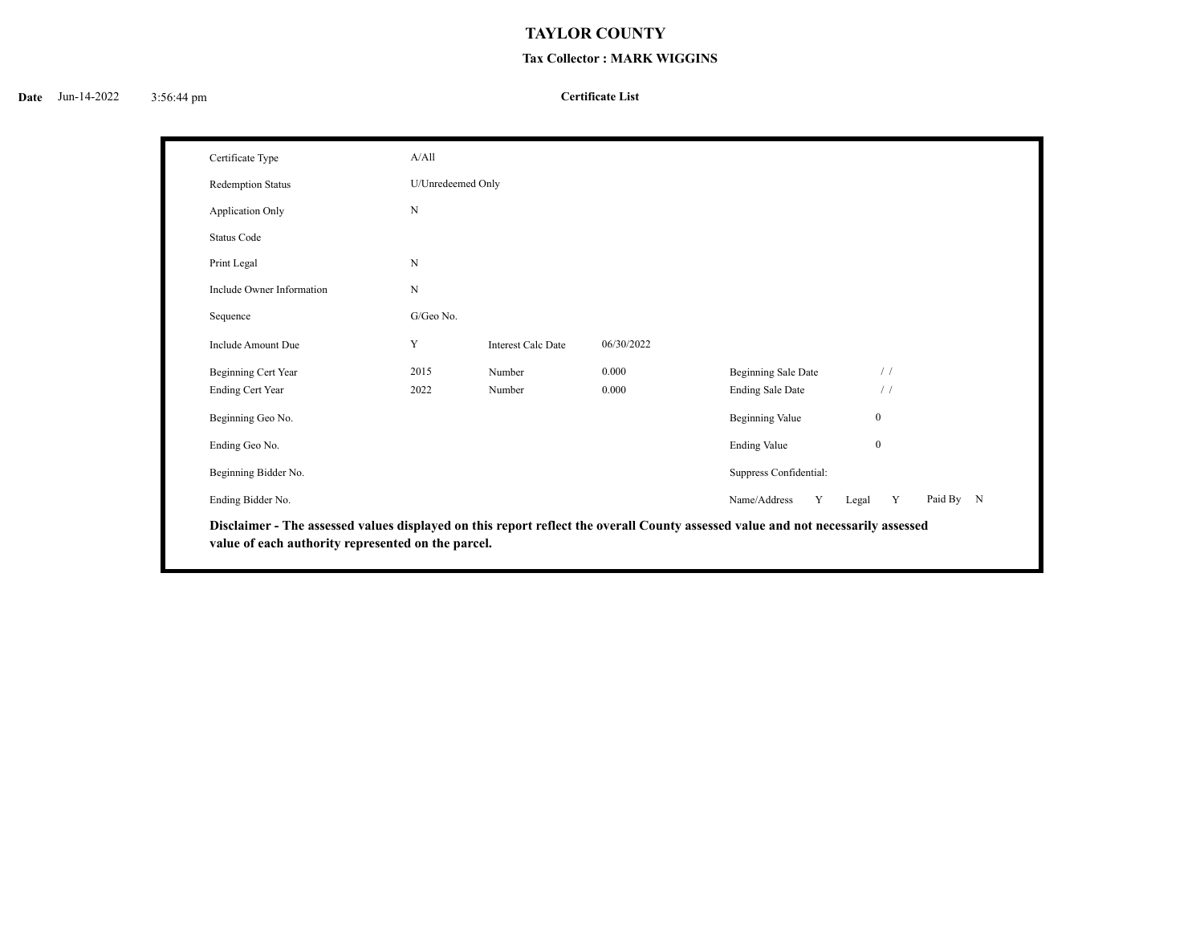## **TAYLOR COUNTY**

## **Tax Collector : MARK WIGGINS**

## **Certificate List**

| Certificate Type          | A/All             |                           |            |                         |                  |           |
|---------------------------|-------------------|---------------------------|------------|-------------------------|------------------|-----------|
| Redemption Status         | U/Unredeemed Only |                           |            |                         |                  |           |
| <b>Application Only</b>   | $\mathbf N$       |                           |            |                         |                  |           |
| <b>Status Code</b>        |                   |                           |            |                         |                  |           |
| Print Legal               | $_{\rm N}$        |                           |            |                         |                  |           |
| Include Owner Information | $\mathbf N$       |                           |            |                         |                  |           |
| Sequence                  | G/Geo No.         |                           |            |                         |                  |           |
| Include Amount Due        | Y                 | <b>Interest Calc Date</b> | 06/30/2022 |                         |                  |           |
| Beginning Cert Year       | 2015              | Number                    | 0.000      | Beginning Sale Date     | $\frac{1}{2}$    |           |
| <b>Ending Cert Year</b>   | 2022              | Number                    | 0.000      | <b>Ending Sale Date</b> | $\frac{1}{2}$    |           |
| Beginning Geo No.         |                   |                           |            | <b>Beginning Value</b>  | $\boldsymbol{0}$ |           |
| Ending Geo No.            |                   |                           |            | <b>Ending Value</b>     | $\mathbf{0}$     |           |
| Beginning Bidder No.      |                   |                           |            | Suppress Confidential:  |                  |           |
| Ending Bidder No.         |                   |                           |            | Name/Address<br>Y       | Y<br>Legal       | Paid By N |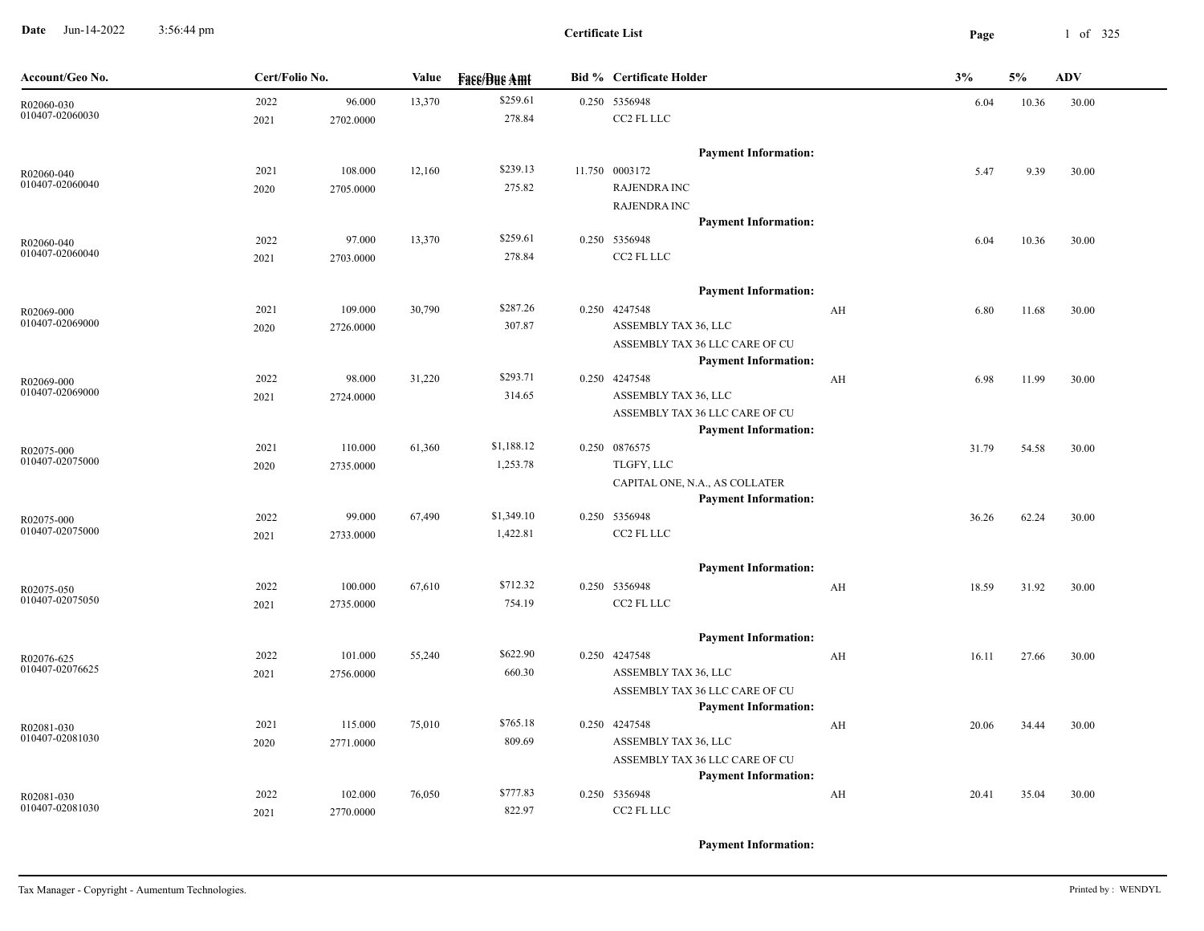**Date** Jun-14-2022 3:56:44 pm **Page** 1 of 325 3:56:44 pm

**Certificate List**

| \$259.61                                                                                                        |       |
|-----------------------------------------------------------------------------------------------------------------|-------|
| 2022<br>13,370<br>0.250 5356948<br>96.000<br>6.04<br>10.36<br>R02060-030                                        | 30.00 |
| 010407-02060030<br>CC2 FL LLC<br>278.84<br>2021<br>2702.0000                                                    |       |
| <b>Payment Information:</b>                                                                                     |       |
| \$239.13<br>11.750 0003172<br>108.000<br>12,160<br>2021<br>9.39<br>5.47<br>R02060-040                           | 30.00 |
| 010407-02060040<br>275.82<br><b>RAJENDRA INC</b><br>2020<br>2705.0000                                           |       |
| <b>RAJENDRA INC</b>                                                                                             |       |
| <b>Payment Information:</b>                                                                                     |       |
| \$259.61<br>97.000<br>13,370<br>0.250 5356948<br>2022<br>6.04<br>10.36<br>R02060-040                            | 30.00 |
| 010407-02060040<br>CC2 FL LLC<br>278.84<br>2021<br>2703.0000                                                    |       |
| <b>Payment Information:</b>                                                                                     |       |
| \$287.26<br>30,790<br>0.250 4247548<br>2021<br>109.000<br>AH<br>6.80<br>11.68<br>R02069-000                     | 30.00 |
| 010407-02069000<br>307.87<br>ASSEMBLY TAX 36, LLC<br>2726.0000<br>2020                                          |       |
| ASSEMBLY TAX 36 LLC CARE OF CU                                                                                  |       |
| <b>Payment Information:</b>                                                                                     |       |
| \$293.71<br>0.250 4247548<br>2022<br>98.000<br>31,220<br>AH<br>6.98<br>11.99<br>R02069-000                      | 30.00 |
| 010407-02069000<br>314.65<br>ASSEMBLY TAX 36, LLC<br>2021<br>2724.0000                                          |       |
| ASSEMBLY TAX 36 LLC CARE OF CU                                                                                  |       |
| <b>Payment Information:</b>                                                                                     |       |
| \$1,188.12<br>110.000<br>61,360<br>0.250 0876575<br>2021<br>31.79<br>54.58<br>R02075-000<br>010407-02075000     | 30.00 |
| 1,253.78<br>TLGFY, LLC<br>2020<br>2735.0000                                                                     |       |
| CAPITAL ONE, N.A., AS COLLATER<br><b>Payment Information:</b>                                                   |       |
| \$1,349.10<br>2022<br>99.000<br>67,490<br>0.250 5356948<br>36.26<br>62.24                                       | 30.00 |
| R02075-000<br>010407-02075000<br>CC2 FL LLC<br>1,422.81<br>2021<br>2733.0000                                    |       |
|                                                                                                                 |       |
| <b>Payment Information:</b>                                                                                     |       |
| \$712.32<br>0.250 5356948<br>2022<br>100.000<br>67,610<br>AH<br>18.59<br>31.92<br>R02075-050<br>010407-02075050 | 30.00 |
| 754.19<br>CC2 FL LLC<br>2735.0000<br>2021                                                                       |       |
| <b>Payment Information:</b>                                                                                     |       |
| \$622.90<br>0.250 4247548<br>2022<br>101.000<br>55,240<br>AH<br>16.11<br>27.66<br>R02076-625                    | 30.00 |
| 010407-02076625<br>660.30<br>ASSEMBLY TAX 36, LLC<br>2021<br>2756.0000                                          |       |
| ASSEMBLY TAX 36 LLC CARE OF CU                                                                                  |       |
| <b>Payment Information:</b><br>\$765.18<br>0.250 4247548<br>2021<br>115.000<br>75,010<br>AH<br>20.06<br>34.44   | 30.00 |
| R02081-030<br>010407-02081030<br>809.69<br>ASSEMBLY TAX 36, LLC<br>2771.0000<br>2020                            |       |
| ASSEMBLY TAX 36 LLC CARE OF CU                                                                                  |       |
| <b>Payment Information:</b>                                                                                     |       |
| \$777.83<br>0.250 5356948<br>2022<br>102.000<br>76,050<br>AH<br>20.41<br>35.04<br>R02081-030                    | 30.00 |
| 010407-02081030<br>822.97<br>CC2 FL LLC<br>2021<br>2770.0000                                                    |       |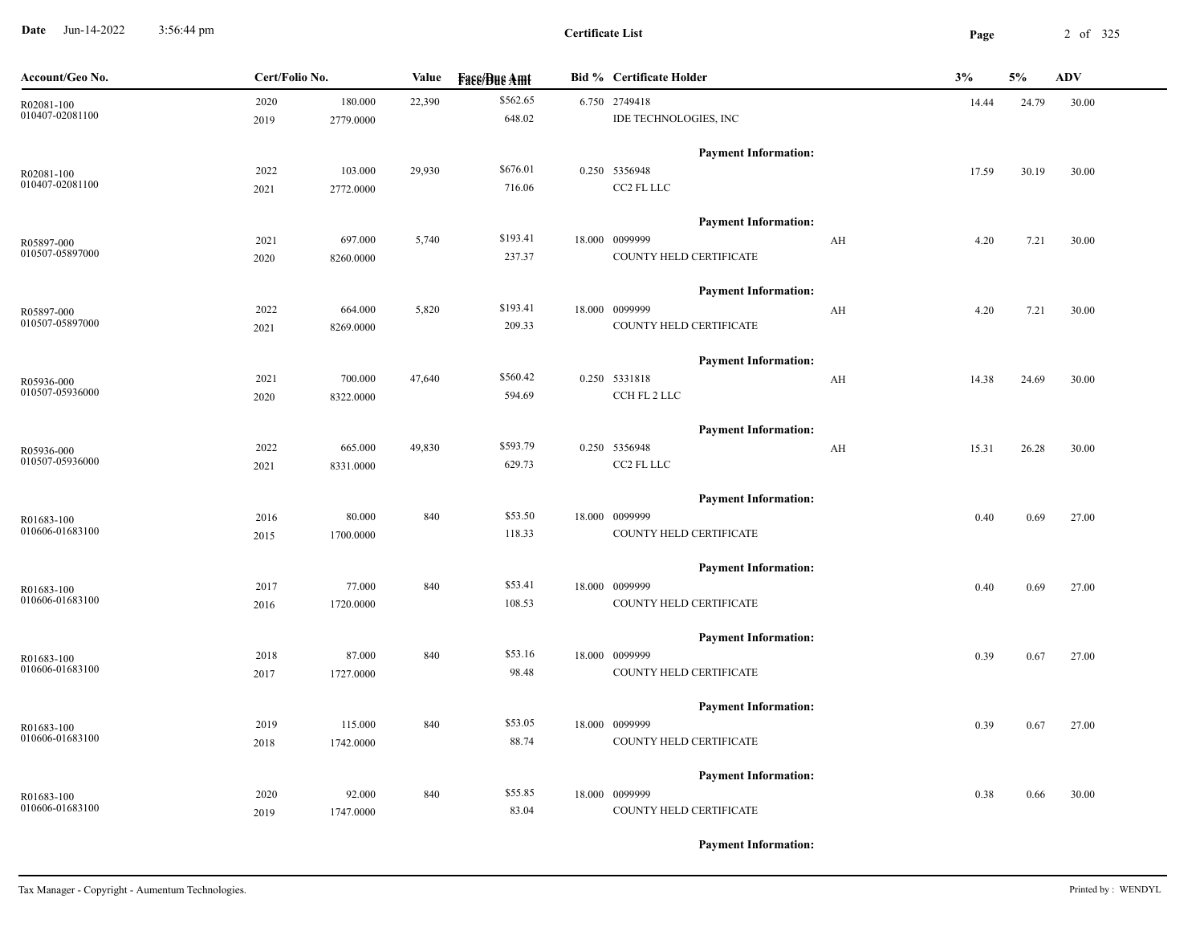**Date** Jun-14-2022 3:56:44 pm **Page** 2 of 325 3:56:44 pm

**Certificate List**

| Account/Geo No. | Cert/Folio No. |           | Value  | <b>Fass/Bus Amt</b> | <b>Bid % Certificate Holder</b> | 3%    | 5%    | ADV   |
|-----------------|----------------|-----------|--------|---------------------|---------------------------------|-------|-------|-------|
| R02081-100      | 2020           | 180.000   | 22,390 | \$562.65            | 6.750 2749418                   | 14.44 | 24.79 | 30.00 |
| 010407-02081100 | 2019           | 2779.0000 |        | 648.02              | IDE TECHNOLOGIES, INC           |       |       |       |
|                 |                |           |        |                     | <b>Payment Information:</b>     |       |       |       |
| R02081-100      | 2022           | 103.000   | 29,930 | \$676.01            | 0.250 5356948                   | 17.59 | 30.19 | 30.00 |
| 010407-02081100 | 2021           | 2772.0000 |        | 716.06              | CC2 FL LLC                      |       |       |       |
|                 |                |           |        |                     | <b>Payment Information:</b>     |       |       |       |
| R05897-000      | 2021           | 697.000   | 5,740  | \$193.41            | 18.000 0099999<br>AH            | 4.20  | 7.21  | 30.00 |
| 010507-05897000 | 2020           | 8260.0000 |        | 237.37              | COUNTY HELD CERTIFICATE         |       |       |       |
|                 |                |           |        |                     | <b>Payment Information:</b>     |       |       |       |
| R05897-000      | 2022           | 664.000   | 5,820  | \$193.41            | 18.000 0099999<br>AH            | 4.20  | 7.21  | 30.00 |
| 010507-05897000 | 2021           | 8269.0000 |        | 209.33              | COUNTY HELD CERTIFICATE         |       |       |       |
|                 |                |           |        |                     | <b>Payment Information:</b>     |       |       |       |
| R05936-000      | 2021           | 700.000   | 47,640 | \$560.42            | 0.250 5331818<br>AH             | 14.38 | 24.69 | 30.00 |
| 010507-05936000 | 2020           | 8322.0000 |        | 594.69              | CCH FL 2 LLC                    |       |       |       |
|                 |                |           |        |                     | <b>Payment Information:</b>     |       |       |       |
| R05936-000      | 2022           | 665.000   | 49,830 | \$593.79            | 0.250 5356948<br>AH             | 15.31 | 26.28 | 30.00 |
| 010507-05936000 | 2021           | 8331.0000 |        | 629.73              | CC2 FL LLC                      |       |       |       |
|                 |                |           |        |                     | <b>Payment Information:</b>     |       |       |       |
| R01683-100      | 2016           | 80.000    | 840    | \$53.50             | 18.000 0099999                  | 0.40  | 0.69  | 27.00 |
| 010606-01683100 | 2015           | 1700.0000 |        | 118.33              | COUNTY HELD CERTIFICATE         |       |       |       |
|                 |                |           |        |                     | <b>Payment Information:</b>     |       |       |       |
| R01683-100      | 2017           | 77.000    | 840    | \$53.41             | 18.000 0099999                  | 0.40  | 0.69  | 27.00 |
| 010606-01683100 | 2016           | 1720.0000 |        | 108.53              | COUNTY HELD CERTIFICATE         |       |       |       |
|                 |                |           |        |                     | <b>Payment Information:</b>     |       |       |       |
| R01683-100      | 2018           | 87.000    | 840    | \$53.16             | 18.000 0099999                  | 0.39  | 0.67  | 27.00 |
| 010606-01683100 | 2017           | 1727.0000 |        | 98.48               | COUNTY HELD CERTIFICATE         |       |       |       |
|                 |                |           |        |                     | <b>Payment Information:</b>     |       |       |       |
| R01683-100      | 2019           | 115.000   | 840    | \$53.05             | 18.000 0099999                  | 0.39  | 0.67  | 27.00 |
| 010606-01683100 | 2018           | 1742.0000 |        | 88.74               | COUNTY HELD CERTIFICATE         |       |       |       |
|                 |                |           |        |                     | <b>Payment Information:</b>     |       |       |       |
| R01683-100      | 2020           | 92.000    | 840    | \$55.85             | 18.000 0099999                  | 0.38  | 0.66  | 30.00 |
| 010606-01683100 | 2019           | 1747.0000 |        | 83.04               | COUNTY HELD CERTIFICATE         |       |       |       |
|                 |                |           |        |                     |                                 |       |       |       |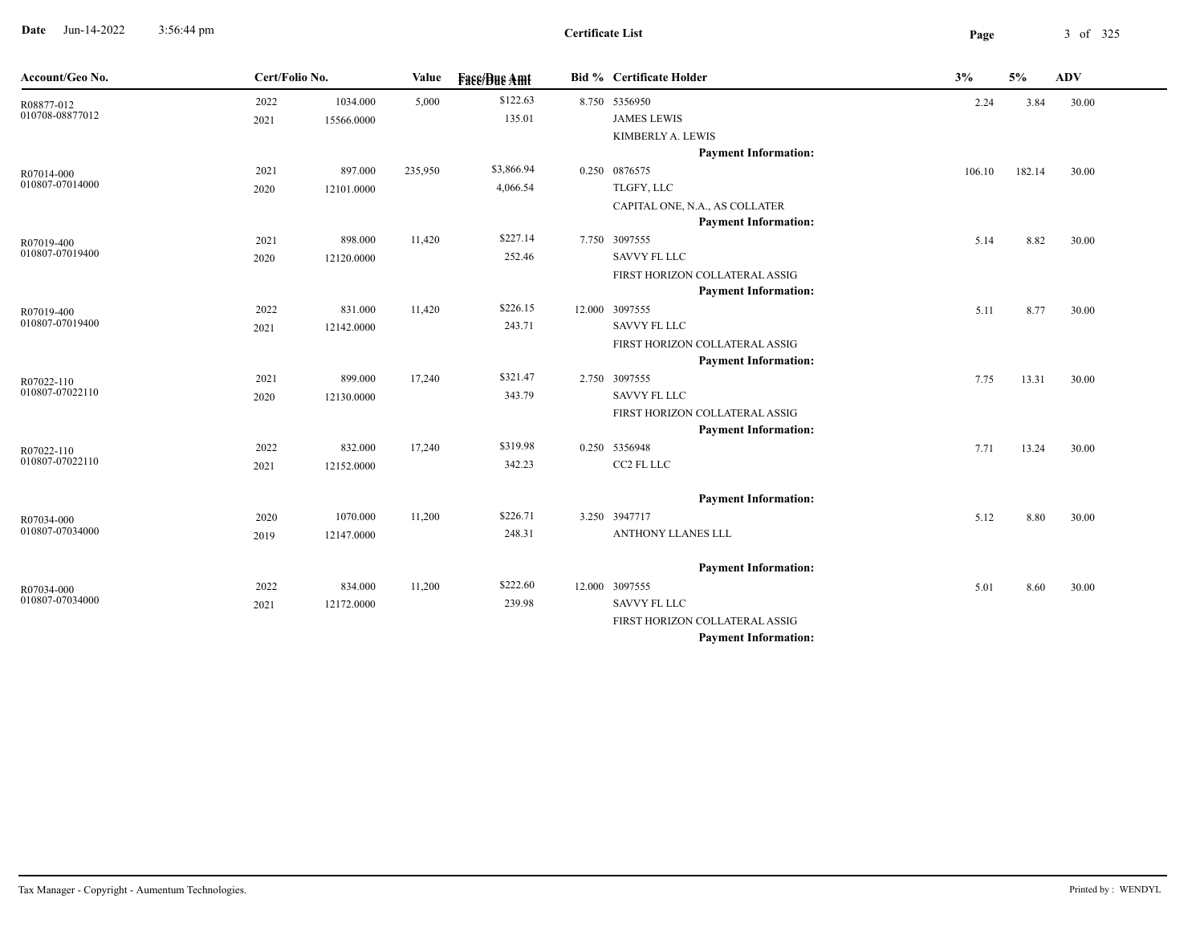**Date** Jun-14-2022 3:56:44 pm **Page** 3 of 325 3:56:44 pm

| Account/Geo No.               | Cert/Folio No. |            | <b>Value</b> | <b>Face/Bue Amt</b> | <b>Bid % Certificate Holder</b>                               | 3%     | 5%     | <b>ADV</b> |  |
|-------------------------------|----------------|------------|--------------|---------------------|---------------------------------------------------------------|--------|--------|------------|--|
| R08877-012                    | 2022           | 1034.000   | 5,000        | \$122.63            | 8.750 5356950                                                 | 2.24   | 3.84   | 30.00      |  |
| 010708-08877012               | 2021           | 15566.0000 |              | 135.01              | <b>JAMES LEWIS</b>                                            |        |        |            |  |
|                               |                |            |              |                     | KIMBERLY A. LEWIS                                             |        |        |            |  |
|                               |                |            |              |                     | <b>Payment Information:</b>                                   |        |        |            |  |
| R07014-000                    | 2021           | 897.000    | 235,950      | \$3,866.94          | 0.250 0876575                                                 | 106.10 | 182.14 | 30.00      |  |
| 010807-07014000               | 2020           | 12101.0000 |              | 4,066.54            | TLGFY, LLC                                                    |        |        |            |  |
|                               |                |            |              |                     | CAPITAL ONE, N.A., AS COLLATER                                |        |        |            |  |
|                               |                |            |              |                     | <b>Payment Information:</b>                                   |        |        |            |  |
| R07019-400                    | 2021           | 898.000    | 11,420       | \$227.14            | 7.750 3097555                                                 | 5.14   | 8.82   | 30.00      |  |
| 010807-07019400               | 2020           | 12120.0000 |              | 252.46              | <b>SAVVY FL LLC</b>                                           |        |        |            |  |
|                               |                |            |              |                     | FIRST HORIZON COLLATERAL ASSIG                                |        |        |            |  |
|                               |                |            |              |                     | <b>Payment Information:</b>                                   |        |        |            |  |
| R07019-400<br>010807-07019400 | 2022           | 831.000    | 11,420       | \$226.15            | 12.000 3097555                                                | 5.11   | 8.77   | 30.00      |  |
|                               | 2021           | 12142.0000 |              | 243.71              | <b>SAVVY FL LLC</b>                                           |        |        |            |  |
|                               |                |            |              |                     | FIRST HORIZON COLLATERAL ASSIG<br><b>Payment Information:</b> |        |        |            |  |
|                               | 2021           | 899.000    | 17,240       | \$321.47            | 2.750 3097555                                                 | 7.75   | 13.31  | 30.00      |  |
| R07022-110<br>010807-07022110 | 2020           | 12130.0000 |              | 343.79              | <b>SAVVY FL LLC</b>                                           |        |        |            |  |
|                               |                |            |              |                     | FIRST HORIZON COLLATERAL ASSIG                                |        |        |            |  |
|                               |                |            |              |                     | <b>Payment Information:</b>                                   |        |        |            |  |
| R07022-110                    | 2022           | 832.000    | 17,240       | \$319.98            | 0.250 5356948                                                 | 7.71   | 13.24  | 30.00      |  |
| 010807-07022110               | 2021           | 12152.0000 |              | 342.23              | CC2 FL LLC                                                    |        |        |            |  |
|                               |                |            |              |                     |                                                               |        |        |            |  |
|                               |                |            |              |                     | <b>Payment Information:</b>                                   |        |        |            |  |
| R07034-000                    | 2020           | 1070.000   | 11,200       | \$226.71            | 3.250 3947717                                                 | 5.12   | 8.80   | 30.00      |  |
| 010807-07034000               | 2019           | 12147.0000 |              | 248.31              | <b>ANTHONY LLANES LLL</b>                                     |        |        |            |  |
|                               |                |            |              |                     |                                                               |        |        |            |  |
|                               |                |            |              |                     | <b>Payment Information:</b>                                   |        |        |            |  |
| R07034-000                    | 2022           | 834.000    | 11,200       | \$222.60            | 12.000 3097555                                                | 5.01   | 8.60   | 30.00      |  |
| 010807-07034000               | 2021           | 12172.0000 |              | 239.98              | <b>SAVVY FL LLC</b>                                           |        |        |            |  |
|                               |                |            |              |                     | FIRST HORIZON COLLATERAL ASSIG                                |        |        |            |  |
|                               |                |            |              |                     | <b>Payment Information:</b>                                   |        |        |            |  |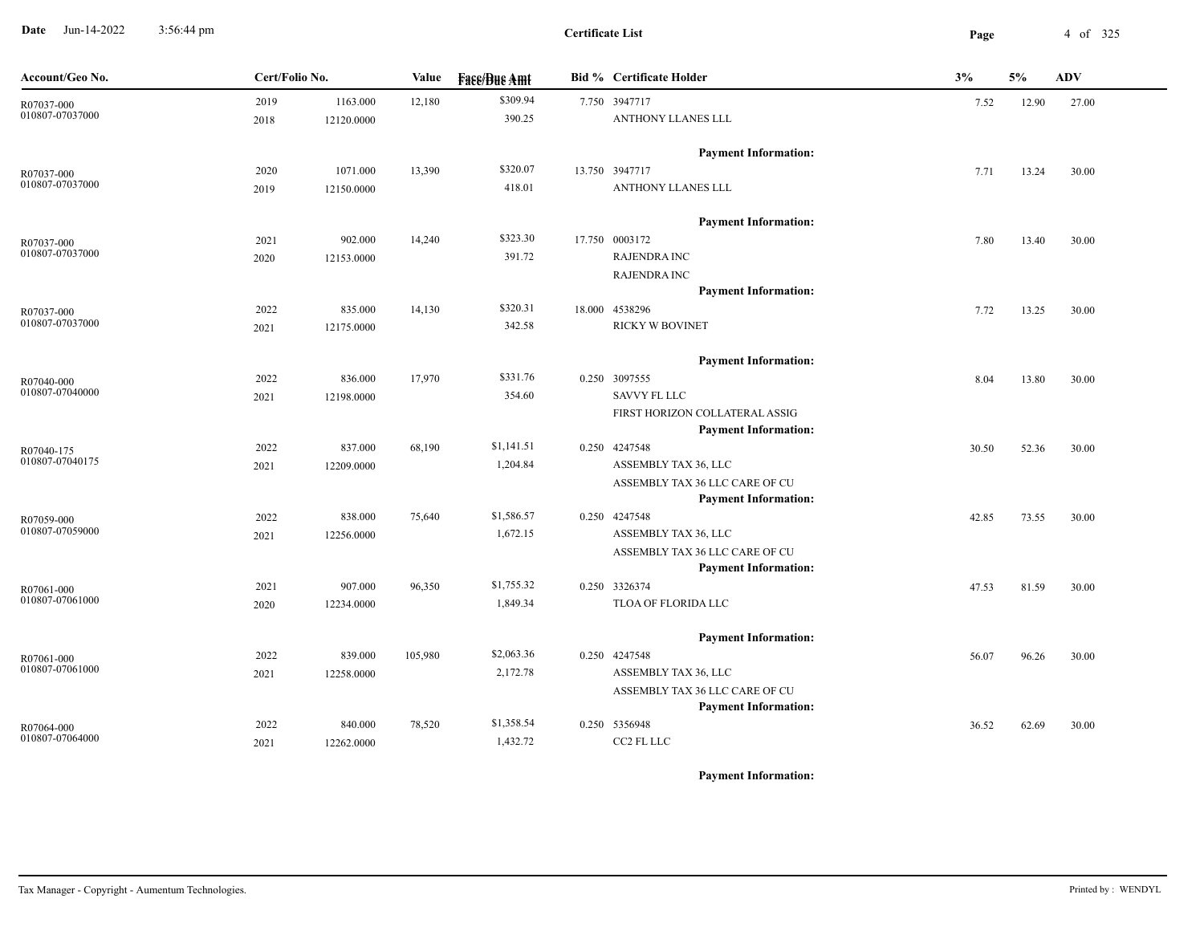**Date** Jun-14-2022 3:56:44 pm **Page** 4 of 325 3:56:44 pm

**Certificate List**

| Account/Geo No.               | Cert/Folio No. |            | Value   | <b>Fase/Bue Amt</b> | <b>Bid % Certificate Holder</b> | 3%    | 5%    | <b>ADV</b> |
|-------------------------------|----------------|------------|---------|---------------------|---------------------------------|-------|-------|------------|
| R07037-000                    | 2019           | 1163.000   | 12,180  | \$309.94            | 7.750 3947717                   | 7.52  | 12.90 | 27.00      |
| 010807-07037000               | 2018           | 12120.0000 |         | 390.25              | ANTHONY LLANES LLL              |       |       |            |
|                               |                |            |         |                     | <b>Payment Information:</b>     |       |       |            |
| R07037-000                    | 2020           | 1071.000   | 13,390  | \$320.07            | 13.750 3947717                  | 7.71  | 13.24 | 30.00      |
| 010807-07037000               | 2019           | 12150.0000 |         | 418.01              | ANTHONY LLANES LLL              |       |       |            |
|                               |                |            |         |                     | <b>Payment Information:</b>     |       |       |            |
| R07037-000                    | 2021           | 902.000    | 14,240  | \$323.30            | 17.750 0003172                  | 7.80  | 13.40 | 30.00      |
| 010807-07037000               | 2020           | 12153.0000 |         | 391.72              | <b>RAJENDRA INC</b>             |       |       |            |
|                               |                |            |         |                     | <b>RAJENDRA INC</b>             |       |       |            |
|                               |                |            |         |                     | <b>Payment Information:</b>     |       |       |            |
| R07037-000                    | 2022           | 835.000    | 14,130  | \$320.31            | 18.000 4538296                  | 7.72  | 13.25 | 30.00      |
| 010807-07037000               | 2021           | 12175.0000 |         | 342.58              | <b>RICKY W BOVINET</b>          |       |       |            |
|                               |                |            |         |                     | <b>Payment Information:</b>     |       |       |            |
| R07040-000                    | 2022           | 836.000    | 17,970  | \$331.76            | 0.250 3097555                   | 8.04  | 13.80 | 30.00      |
| 010807-07040000               | 2021           | 12198.0000 |         | 354.60              | <b>SAVVY FL LLC</b>             |       |       |            |
|                               |                |            |         |                     | FIRST HORIZON COLLATERAL ASSIG  |       |       |            |
|                               |                |            |         |                     | <b>Payment Information:</b>     |       |       |            |
| R07040-175                    | 2022           | 837.000    | 68,190  | \$1,141.51          | 0.250 4247548                   | 30.50 | 52.36 | 30.00      |
| 010807-07040175               | 2021           | 12209.0000 |         | 1,204.84            | ASSEMBLY TAX 36, LLC            |       |       |            |
|                               |                |            |         |                     | ASSEMBLY TAX 36 LLC CARE OF CU  |       |       |            |
|                               |                |            |         |                     | <b>Payment Information:</b>     |       |       |            |
| R07059-000                    | 2022           | 838.000    | 75,640  | \$1,586.57          | 0.250 4247548                   | 42.85 | 73.55 | 30.00      |
| 010807-07059000               | 2021           | 12256.0000 |         | 1,672.15            | ASSEMBLY TAX 36, LLC            |       |       |            |
|                               |                |            |         |                     | ASSEMBLY TAX 36 LLC CARE OF CU  |       |       |            |
|                               |                |            |         |                     | <b>Payment Information:</b>     |       |       |            |
| R07061-000<br>010807-07061000 | 2021           | 907.000    | 96,350  | \$1,755.32          | 0.250 3326374                   | 47.53 | 81.59 | 30.00      |
|                               | 2020           | 12234.0000 |         | 1,849.34            | TLOA OF FLORIDA LLC             |       |       |            |
|                               |                |            |         |                     | <b>Payment Information:</b>     |       |       |            |
| R07061-000                    | 2022           | 839.000    | 105,980 | \$2,063.36          | 0.250 4247548                   | 56.07 | 96.26 | 30.00      |
| 010807-07061000               | 2021           | 12258.0000 |         | 2,172.78            | ASSEMBLY TAX 36, LLC            |       |       |            |
|                               |                |            |         |                     | ASSEMBLY TAX 36 LLC CARE OF CU  |       |       |            |
|                               |                |            |         |                     | <b>Payment Information:</b>     |       |       |            |
| R07064-000                    | 2022           | 840.000    | 78,520  | \$1,358.54          | 0.250 5356948                   | 36.52 | 62.69 | 30.00      |
| 010807-07064000               | 2021           | 12262.0000 |         | 1,432.72            | CC2 FL LLC                      |       |       |            |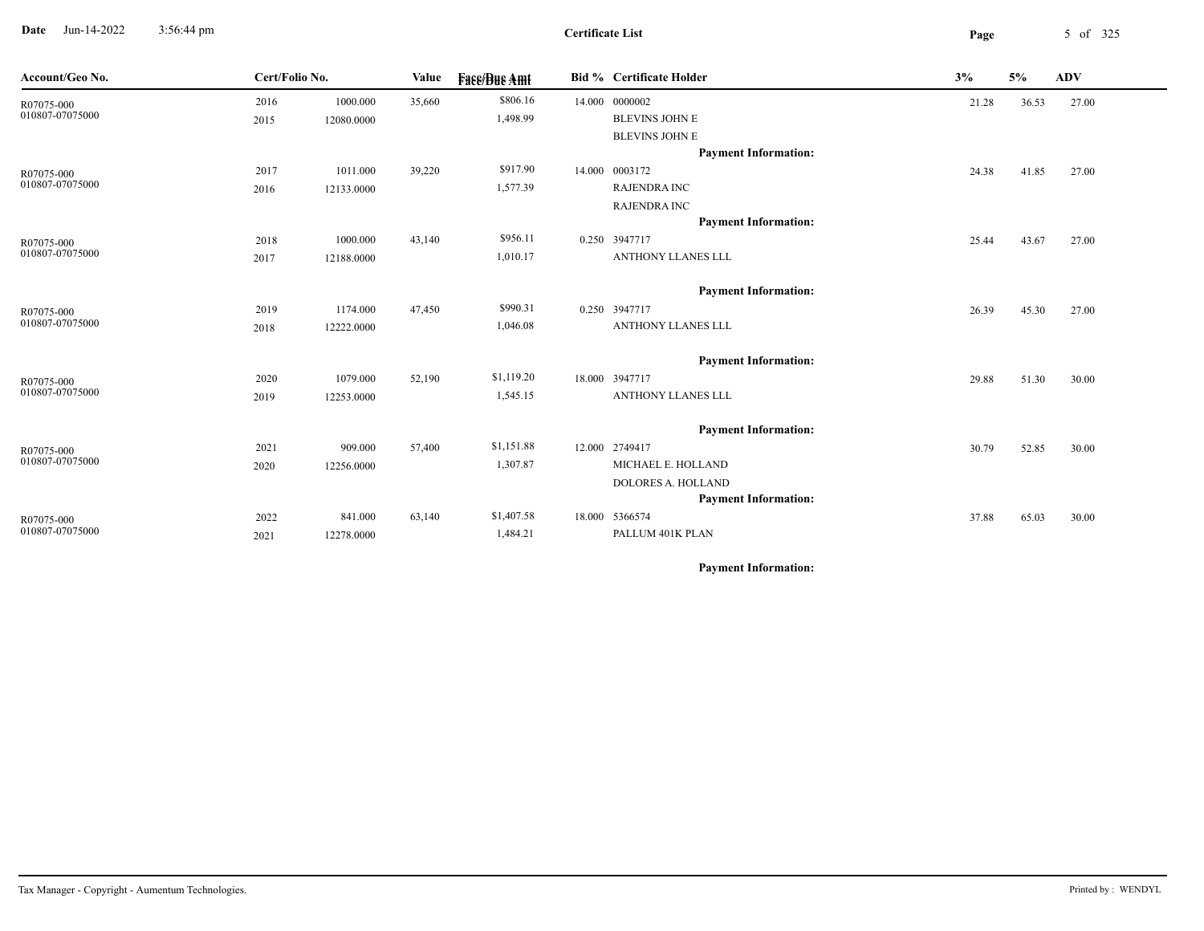**Date** Jun-14-2022 3:56:44 pm **Page** 5 of 325 3:56:44 pm

| Account/Geo No. | Cert/Folio No. |            | Value  | <b>Face/Bue Amt</b> | <b>Bid % Certificate Holder</b> | 3%    | 5%    | <b>ADV</b> |
|-----------------|----------------|------------|--------|---------------------|---------------------------------|-------|-------|------------|
| R07075-000      | 2016           | 1000.000   | 35,660 | \$806.16            | 14.000 0000002                  | 21.28 | 36.53 | 27.00      |
| 010807-07075000 | 2015           | 12080.0000 |        | 1,498.99            | <b>BLEVINS JOHN E</b>           |       |       |            |
|                 |                |            |        |                     | <b>BLEVINS JOHN E</b>           |       |       |            |
|                 |                |            |        |                     | <b>Payment Information:</b>     |       |       |            |
| R07075-000      | 2017           | 1011.000   | 39,220 | \$917.90            | 14.000 0003172                  | 24.38 | 41.85 | 27.00      |
| 010807-07075000 | 2016           | 12133.0000 |        | 1,577.39            | <b>RAJENDRA INC</b>             |       |       |            |
|                 |                |            |        |                     | <b>RAJENDRA INC</b>             |       |       |            |
|                 |                |            |        |                     | <b>Payment Information:</b>     |       |       |            |
| R07075-000      | 2018           | 1000.000   | 43,140 | \$956.11            | 0.250 3947717                   | 25.44 | 43.67 | 27.00      |
| 010807-07075000 | 2017           | 12188.0000 |        | 1,010.17            | ANTHONY LLANES LLL              |       |       |            |
|                 |                |            |        |                     | <b>Payment Information:</b>     |       |       |            |
| R07075-000      | 2019           | 1174.000   | 47,450 | \$990.31            | 0.250 3947717                   | 26.39 | 45.30 | 27.00      |
| 010807-07075000 | 2018           | 12222.0000 |        | 1,046.08            | ANTHONY LLANES LLL              |       |       |            |
|                 |                |            |        |                     | <b>Payment Information:</b>     |       |       |            |
| R07075-000      | 2020           | 1079.000   | 52,190 | \$1,119.20          | 18.000 3947717                  | 29.88 | 51.30 | 30.00      |
| 010807-07075000 | 2019           | 12253.0000 |        | 1,545.15            | ANTHONY LLANES LLL              |       |       |            |
|                 |                |            |        |                     | <b>Payment Information:</b>     |       |       |            |
| R07075-000      | 2021           | 909.000    | 57,400 | \$1,151.88          | 12.000 2749417                  | 30.79 | 52.85 | 30.00      |
| 010807-07075000 | 2020           | 12256.0000 |        | 1,307.87            | MICHAEL E. HOLLAND              |       |       |            |
|                 |                |            |        |                     | <b>DOLORES A. HOLLAND</b>       |       |       |            |
|                 |                |            |        |                     | <b>Payment Information:</b>     |       |       |            |
| R07075-000      | 2022           | 841.000    | 63,140 | \$1,407.58          | 18.000 5366574                  | 37.88 | 65.03 | 30.00      |
| 010807-07075000 | 2021           | 12278.0000 |        | 1,484.21            | PALLUM 401K PLAN                |       |       |            |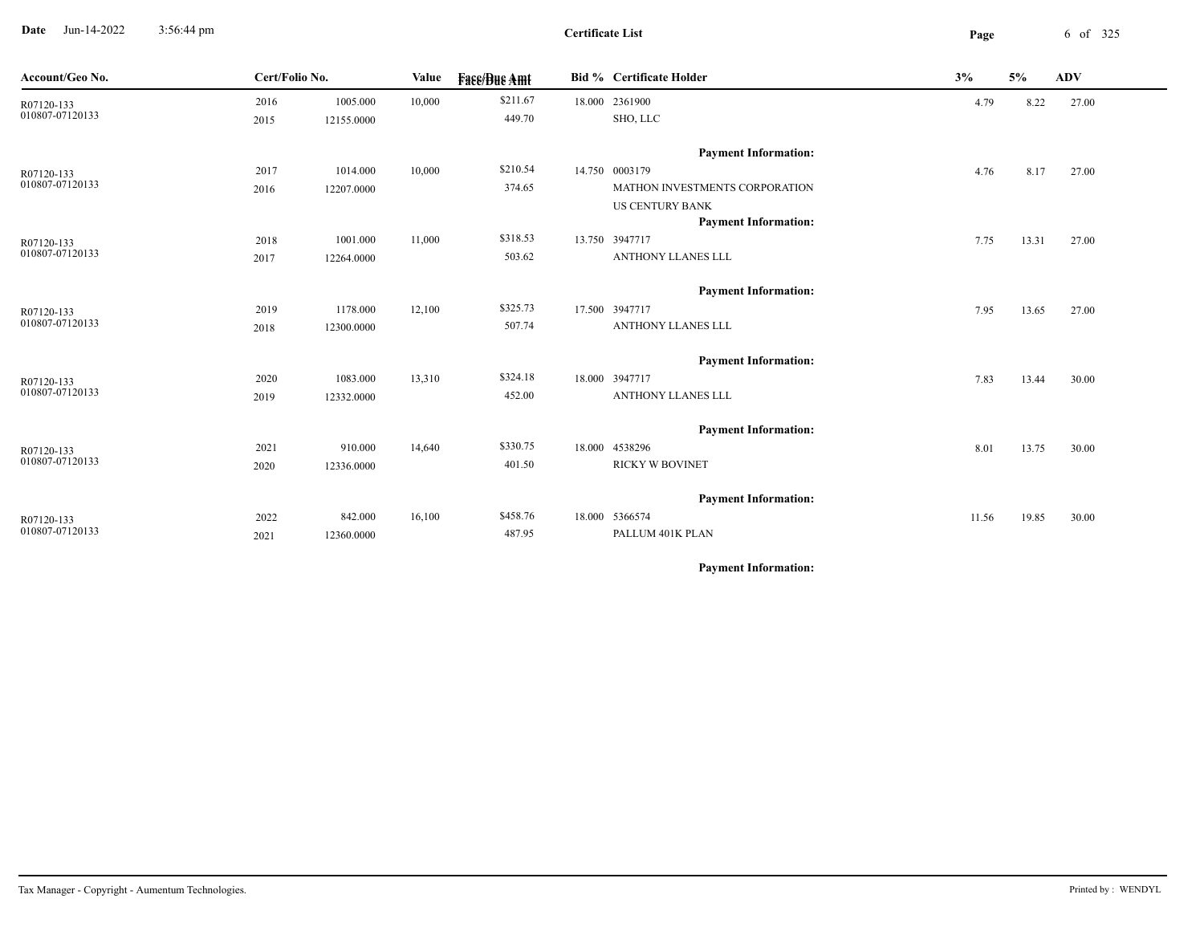**Date** Jun-14-2022 3:56:44 pm **Page** 6 of 325 3:56:44 pm

**Certificate List**

 $\overline{\phantom{a}}$ 

| Account/Geo No.               | Cert/Folio No. |            | Value  | <b>Face/Bue Amt</b> | <b>Bid % Certificate Holder</b> | 3%    | 5%    | <b>ADV</b> |
|-------------------------------|----------------|------------|--------|---------------------|---------------------------------|-------|-------|------------|
| R07120-133                    | 2016           | 1005.000   | 10,000 | \$211.67            | 18.000 2361900                  | 4.79  | 8.22  | 27.00      |
| 010807-07120133               | 2015           | 12155.0000 |        | 449.70              | SHO, LLC                        |       |       |            |
|                               |                |            |        |                     | <b>Payment Information:</b>     |       |       |            |
| R07120-133                    | 2017           | 1014.000   | 10,000 | \$210.54            | 14.750 0003179                  | 4.76  | 8.17  | 27.00      |
| 010807-07120133               | 2016           | 12207.0000 |        | 374.65              | MATHON INVESTMENTS CORPORATION  |       |       |            |
|                               |                |            |        |                     | <b>US CENTURY BANK</b>          |       |       |            |
|                               |                |            |        |                     | <b>Payment Information:</b>     |       |       |            |
| R07120-133                    | 2018           | 1001.000   | 11,000 | \$318.53            | 13.750 3947717                  | 7.75  | 13.31 | 27.00      |
| 010807-07120133               | 2017           | 12264.0000 |        | 503.62              | ANTHONY LLANES LLL              |       |       |            |
|                               |                |            |        |                     | <b>Payment Information:</b>     |       |       |            |
| R07120-133                    | 2019           | 1178.000   | 12,100 | \$325.73            | 17.500 3947717                  | 7.95  | 13.65 | 27.00      |
| 010807-07120133               | 2018           | 12300.0000 |        | 507.74              | ANTHONY LLANES LLL              |       |       |            |
|                               |                |            |        |                     | <b>Payment Information:</b>     |       |       |            |
| R07120-133                    | 2020           | 1083.000   | 13,310 | \$324.18            | 18.000 3947717                  | 7.83  | 13.44 | 30.00      |
| 010807-07120133               | 2019           | 12332.0000 |        | 452.00              | ANTHONY LLANES LLL              |       |       |            |
|                               |                |            |        |                     | <b>Payment Information:</b>     |       |       |            |
|                               | 2021           | 910.000    | 14,640 | \$330.75            | 18.000 4538296                  | 8.01  | 13.75 | 30.00      |
| R07120-133<br>010807-07120133 | 2020           | 12336.0000 |        | 401.50              | <b>RICKY W BOVINET</b>          |       |       |            |
|                               |                |            |        |                     |                                 |       |       |            |
|                               |                |            |        |                     | <b>Payment Information:</b>     |       |       |            |
| R07120-133                    | 2022           | 842.000    | 16,100 | \$458.76            | 18.000 5366574                  | 11.56 | 19.85 | 30.00      |
| 010807-07120133               | 2021           | 12360.0000 |        | 487.95              | PALLUM 401K PLAN                |       |       |            |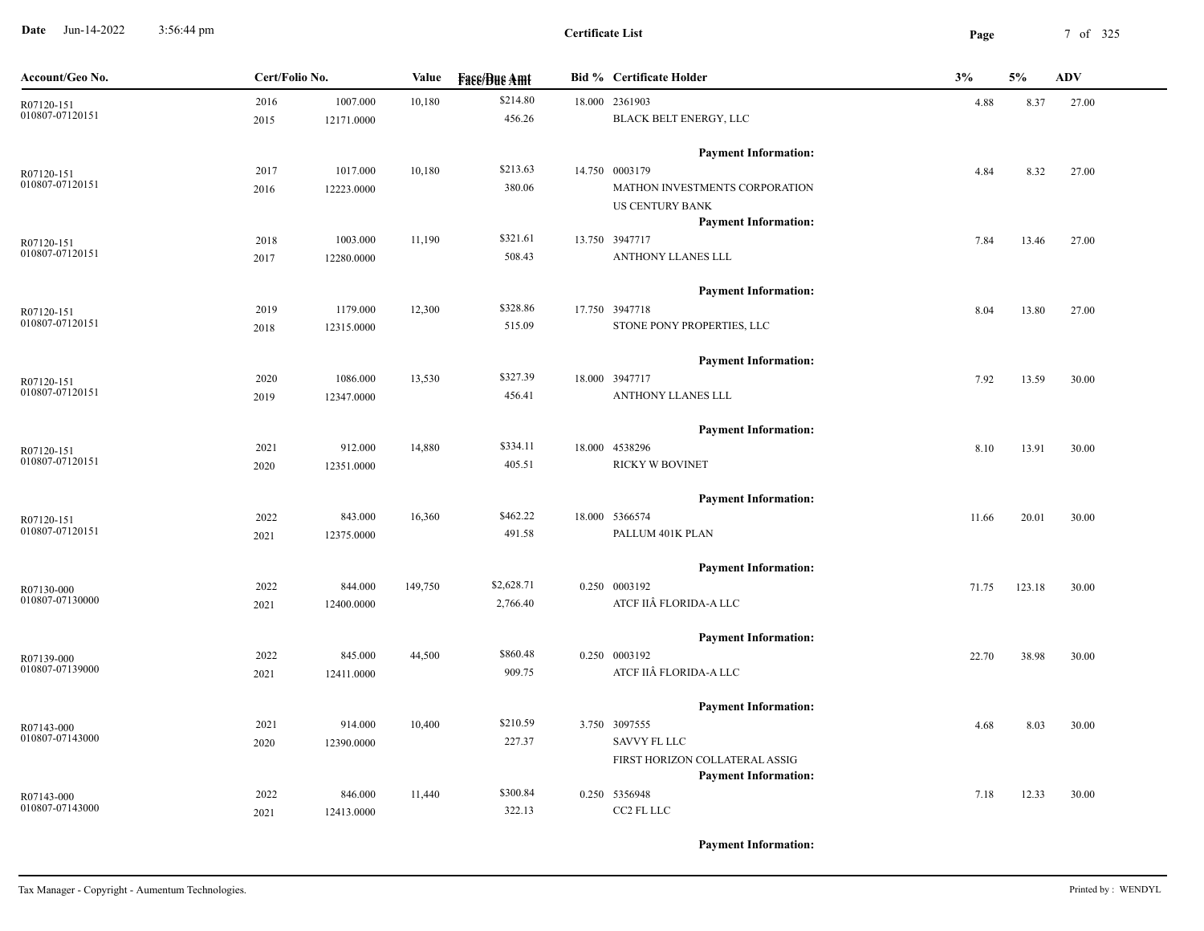**Date** Jun-14-2022 3:56:44 pm **Page** 7 of 325 3:56:44 pm

**Certificate List**

| Account/Geo No. | Cert/Folio No. |            | Value   | <b>Face/Bue Amt</b> | <b>Bid % Certificate Holder</b> | 3%    |        | <b>ADV</b> |
|-----------------|----------------|------------|---------|---------------------|---------------------------------|-------|--------|------------|
| R07120-151      | 2016           | 1007.000   | 10,180  | \$214.80            | 18.000 2361903                  | 4.88  | 8.37   | 27.00      |
| 010807-07120151 | 2015           | 12171.0000 |         | 456.26              | BLACK BELT ENERGY, LLC          |       |        |            |
|                 |                |            |         |                     | <b>Payment Information:</b>     |       |        |            |
| R07120-151      | 2017           | 1017.000   | 10,180  | \$213.63            | 14.750 0003179                  | 4.84  | 8.32   | 27.00      |
| 010807-07120151 | 2016           | 12223.0000 |         | 380.06              | MATHON INVESTMENTS CORPORATION  |       |        |            |
|                 |                |            |         |                     | <b>US CENTURY BANK</b>          |       |        |            |
|                 |                |            |         |                     | <b>Payment Information:</b>     |       |        |            |
| R07120-151      | 2018           | 1003.000   | 11,190  | \$321.61            | 13.750 3947717                  | 7.84  | 13.46  | 27.00      |
| 010807-07120151 | 2017           | 12280.0000 |         | 508.43              | ANTHONY LLANES LLL              |       |        |            |
|                 |                |            |         |                     | <b>Payment Information:</b>     |       |        |            |
| R07120-151      | 2019           | 1179.000   | 12,300  | \$328.86            | 17.750 3947718                  | 8.04  | 13.80  | 27.00      |
| 010807-07120151 | 2018           | 12315.0000 |         | 515.09              | STONE PONY PROPERTIES, LLC      |       |        |            |
|                 |                |            |         |                     | <b>Payment Information:</b>     |       |        |            |
| R07120-151      | 2020           | 1086.000   | 13,530  | \$327.39            | 18.000 3947717                  | 7.92  | 13.59  | 30.00      |
| 010807-07120151 | 2019           | 12347.0000 |         | 456.41              | ANTHONY LLANES LLL              |       |        |            |
|                 |                |            |         |                     | <b>Payment Information:</b>     |       |        |            |
| R07120-151      | 2021           | 912.000    | 14,880  | \$334.11            | 18.000 4538296                  | 8.10  | 13.91  | 30.00      |
| 010807-07120151 | 2020           | 12351.0000 |         | 405.51              | RICKY W BOVINET                 |       |        |            |
|                 |                |            |         |                     | <b>Payment Information:</b>     |       |        |            |
| R07120-151      | 2022           | 843.000    | 16,360  | \$462.22            | 18.000 5366574                  | 11.66 | 20.01  | 30.00      |
| 010807-07120151 | 2021           | 12375.0000 |         | 491.58              | PALLUM 401K PLAN                |       |        |            |
|                 |                |            |         |                     | <b>Payment Information:</b>     |       |        |            |
| R07130-000      | 2022           | 844.000    | 149,750 | \$2,628.71          | 0.250 0003192                   | 71.75 | 123.18 | 30.00      |
| 010807-07130000 | 2021           | 12400.0000 |         | 2,766.40            | ATCF IIÂ FLORIDA-A LLC          |       |        |            |
|                 |                |            |         |                     | <b>Payment Information:</b>     |       |        |            |
| R07139-000      | 2022           | 845.000    | 44,500  | \$860.48            | 0.250 0003192                   | 22.70 | 38.98  | 30.00      |
| 010807-07139000 | 2021           | 12411.0000 |         | 909.75              | ATCF IIÂ FLORIDA-A LLC          |       |        |            |
|                 |                |            |         |                     | <b>Payment Information:</b>     |       |        |            |
| R07143-000      | 2021           | 914.000    | 10,400  | \$210.59            | 3.750 3097555                   | 4.68  | 8.03   | 30.00      |
| 010807-07143000 | 2020           | 12390.0000 |         | 227.37              | SAVVY FL LLC                    |       |        |            |
|                 |                |            |         |                     | FIRST HORIZON COLLATERAL ASSIG  |       |        |            |
|                 |                |            |         |                     | <b>Payment Information:</b>     |       |        |            |
| R07143-000      | 2022           | 846.000    | 11,440  | \$300.84            | 0.250 5356948                   | 7.18  | 12.33  | 30.00      |
| 010807-07143000 | 2021           | 12413.0000 |         | 322.13              | CC2 FL LLC                      |       |        |            |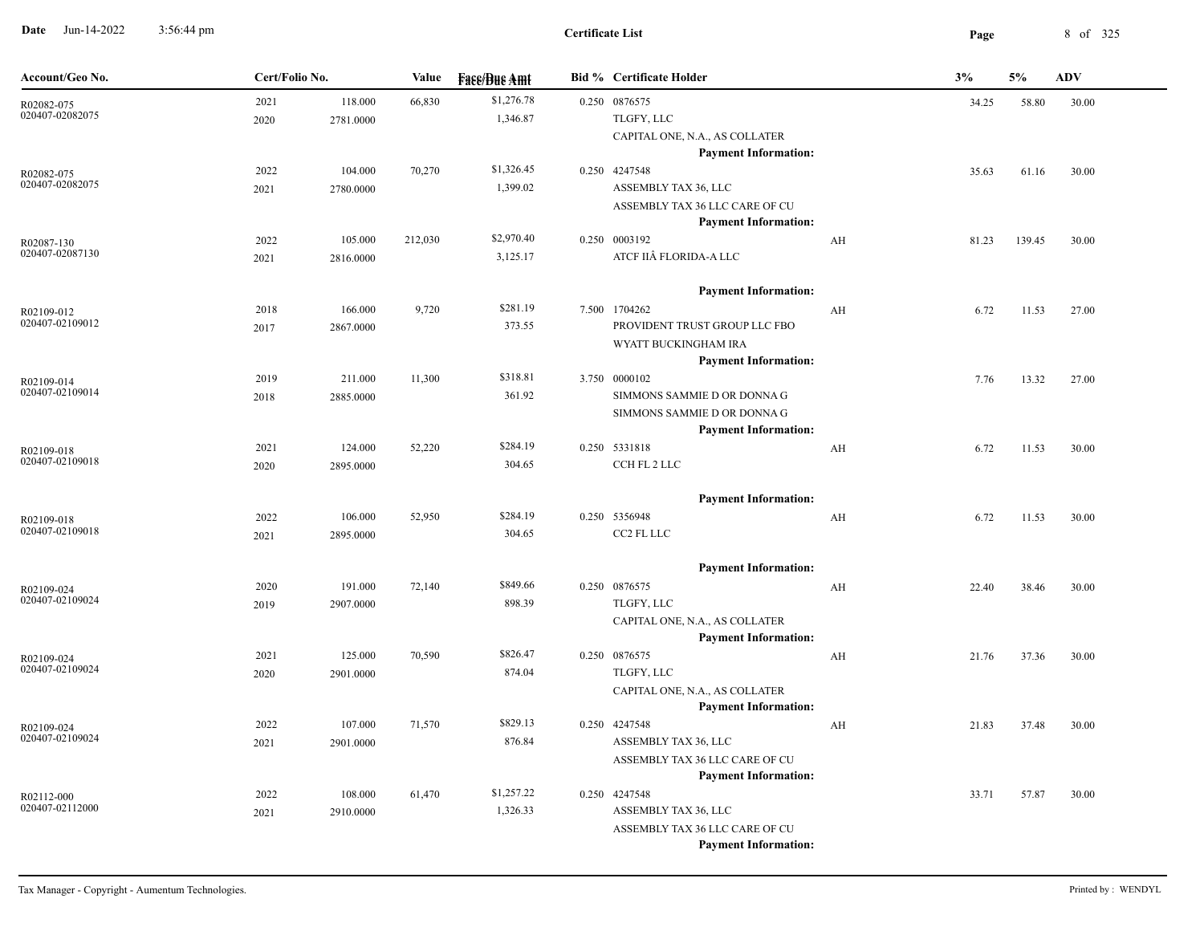**Date** Jun-14-2022 3:56:44 pm 8 of 325 3:56:44 pm

| Account/Geo No.               | Cert/Folio No. |           | <b>Value</b> | <b>Fase/Bue Amt</b> | <b>Bid % Certificate Holder</b>                               |    | 3%    | 5%     | <b>ADV</b> |  |
|-------------------------------|----------------|-----------|--------------|---------------------|---------------------------------------------------------------|----|-------|--------|------------|--|
| R02082-075                    | 2021           | 118.000   | 66,830       | \$1,276.78          | 0.250 0876575                                                 |    | 34.25 | 58.80  | 30.00      |  |
| 020407-02082075               | 2020           | 2781.0000 |              | 1,346.87            | TLGFY, LLC                                                    |    |       |        |            |  |
|                               |                |           |              |                     | CAPITAL ONE, N.A., AS COLLATER                                |    |       |        |            |  |
|                               |                |           |              |                     | <b>Payment Information:</b>                                   |    |       |        |            |  |
| R02082-075                    | 2022           | 104.000   | 70,270       | \$1,326.45          | 0.250 4247548                                                 |    | 35.63 | 61.16  | 30.00      |  |
| 020407-02082075               | 2021           | 2780.0000 |              | 1,399.02            | ASSEMBLY TAX 36, LLC                                          |    |       |        |            |  |
|                               |                |           |              |                     | ASSEMBLY TAX 36 LLC CARE OF CU                                |    |       |        |            |  |
|                               |                |           |              |                     | <b>Payment Information:</b>                                   |    |       |        |            |  |
| R02087-130<br>020407-02087130 | 2022           | 105.000   | 212,030      | \$2,970.40          | 0.250 0003192<br>ATCF IIÂ FLORIDA-A LLC                       | AH | 81.23 | 139.45 | 30.00      |  |
|                               | 2021           | 2816.0000 |              | 3,125.17            |                                                               |    |       |        |            |  |
|                               |                |           |              |                     | <b>Payment Information:</b>                                   |    |       |        |            |  |
| R02109-012                    | 2018           | 166.000   | 9,720        | \$281.19            | 7.500 1704262                                                 | AH | 6.72  | 11.53  | 27.00      |  |
| 020407-02109012               | 2017           | 2867.0000 |              | 373.55              | PROVIDENT TRUST GROUP LLC FBO                                 |    |       |        |            |  |
|                               |                |           |              |                     | WYATT BUCKINGHAM IRA                                          |    |       |        |            |  |
|                               |                |           |              |                     | <b>Payment Information:</b>                                   |    |       |        |            |  |
| R02109-014                    | 2019           | 211.000   | 11,300       | \$318.81            | 3.750 0000102                                                 |    | 7.76  | 13.32  | 27.00      |  |
| 020407-02109014               | 2018           | 2885.0000 |              | 361.92              | SIMMONS SAMMIE D OR DONNA G                                   |    |       |        |            |  |
|                               |                |           |              |                     | SIMMONS SAMMIE D OR DONNA G                                   |    |       |        |            |  |
|                               |                |           |              |                     | <b>Payment Information:</b>                                   |    |       |        |            |  |
| R02109-018                    | 2021           | 124.000   | 52,220       | \$284.19            | 0.250 5331818                                                 | AH | 6.72  | 11.53  | 30.00      |  |
| 020407-02109018               | 2020           | 2895.0000 |              | 304.65              | CCH FL 2 LLC                                                  |    |       |        |            |  |
|                               |                |           |              |                     | <b>Payment Information:</b>                                   |    |       |        |            |  |
| R02109-018                    | 2022           | 106.000   | 52,950       | \$284.19            | 0.250 5356948                                                 | AH | 6.72  | 11.53  | 30.00      |  |
| 020407-02109018               | 2021           | 2895.0000 |              | 304.65              | CC2 FL LLC                                                    |    |       |        |            |  |
|                               |                |           |              |                     |                                                               |    |       |        |            |  |
|                               |                |           |              |                     | <b>Payment Information:</b>                                   |    |       |        |            |  |
| R02109-024                    | 2020           | 191.000   | 72,140       | \$849.66            | 0.250 0876575                                                 | AH | 22.40 | 38.46  | 30.00      |  |
| 020407-02109024               | 2019           | 2907.0000 |              | 898.39              | TLGFY, LLC                                                    |    |       |        |            |  |
|                               |                |           |              |                     | CAPITAL ONE, N.A., AS COLLATER                                |    |       |        |            |  |
|                               |                |           |              |                     | <b>Payment Information:</b>                                   |    |       |        |            |  |
| R02109-024<br>020407-02109024 | 2021           | 125.000   | 70,590       | \$826.47            | 0.250 0876575                                                 | AH | 21.76 | 37.36  | 30.00      |  |
|                               | 2020           | 2901.0000 |              | 874.04              | TLGFY, LLC                                                    |    |       |        |            |  |
|                               |                |           |              |                     | CAPITAL ONE, N.A., AS COLLATER<br><b>Payment Information:</b> |    |       |        |            |  |
|                               | 2022           | 107.000   | 71,570       | \$829.13            | 0.250 4247548                                                 | AH | 21.83 | 37.48  | 30.00      |  |
| R02109-024<br>020407-02109024 | 2021           | 2901.0000 |              | 876.84              | ASSEMBLY TAX 36, LLC                                          |    |       |        |            |  |
|                               |                |           |              |                     | ASSEMBLY TAX 36 LLC CARE OF CU                                |    |       |        |            |  |
|                               |                |           |              |                     | <b>Payment Information:</b>                                   |    |       |        |            |  |
| R02112-000                    | 2022           | 108.000   | 61,470       | \$1,257.22          | 0.250 4247548                                                 |    | 33.71 | 57.87  | 30.00      |  |
| 020407-02112000               | 2021           | 2910.0000 |              | 1,326.33            | ASSEMBLY TAX 36, LLC                                          |    |       |        |            |  |
|                               |                |           |              |                     | ASSEMBLY TAX 36 LLC CARE OF CU                                |    |       |        |            |  |
|                               |                |           |              |                     | <b>Payment Information:</b>                                   |    |       |        |            |  |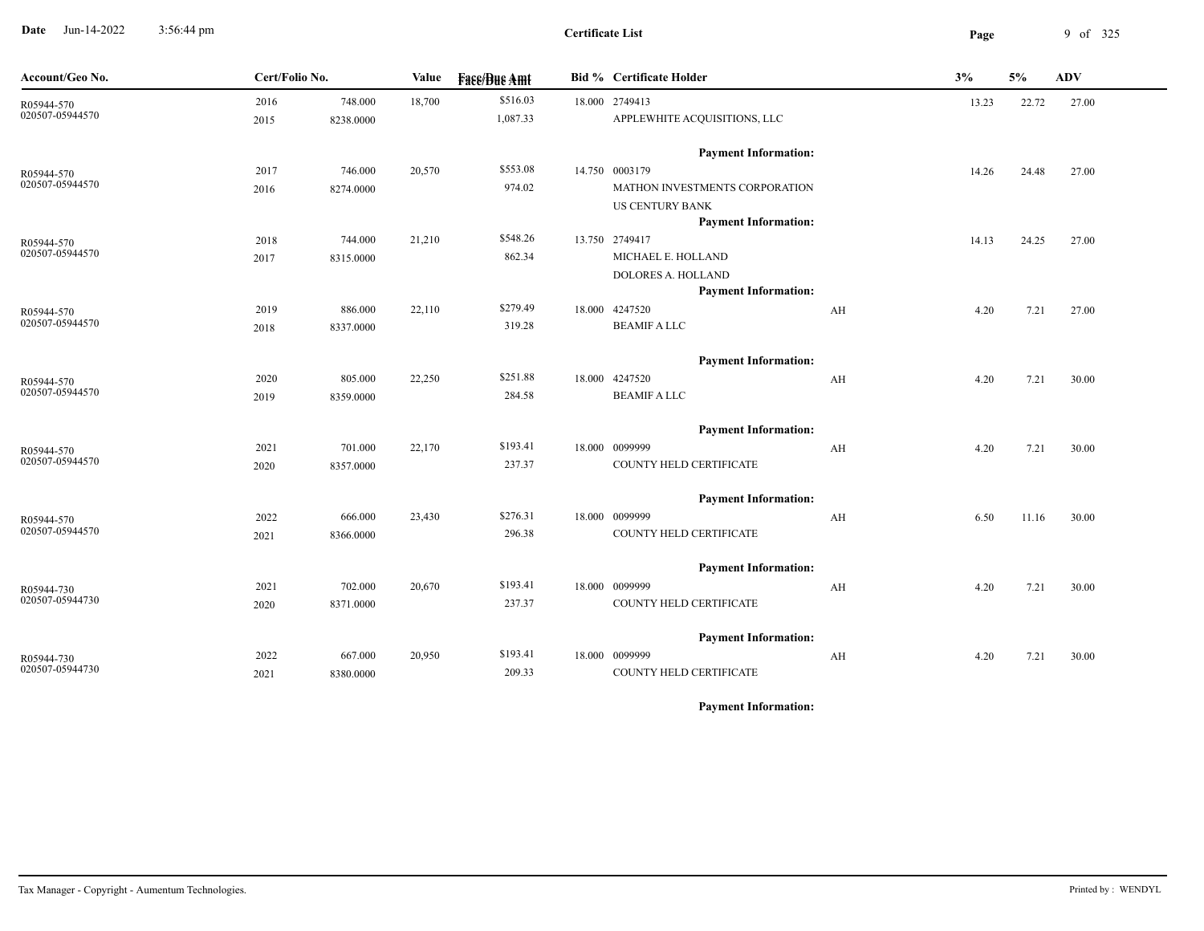**Date** Jun-14-2022 3:56:44 pm **Page** 9 of 325 3:56:44 pm

| Account/Geo No.               | Cert/Folio No. |           | Value  | <b>Fase/Bue Amt</b>  | <b>Bid % Certificate Holder</b>                   | 3%    | 5%    | <b>ADV</b> |
|-------------------------------|----------------|-----------|--------|----------------------|---------------------------------------------------|-------|-------|------------|
| R05944-570<br>020507-05944570 | 2016           | 748.000   | 18,700 | \$516.03<br>1,087.33 | 18.000 2749413<br>APPLEWHITE ACQUISITIONS, LLC    | 13.23 | 22.72 | 27.00      |
|                               | 2015           | 8238.0000 |        |                      |                                                   |       |       |            |
|                               |                |           |        |                      | <b>Payment Information:</b>                       |       |       |            |
| R05944-570                    | 2017           | 746.000   | 20,570 | \$553.08             | 14.750 0003179                                    | 14.26 | 24.48 | 27.00      |
| 020507-05944570               | 2016           | 8274.0000 |        | 974.02               | MATHON INVESTMENTS CORPORATION                    |       |       |            |
|                               |                |           |        |                      | <b>US CENTURY BANK</b>                            |       |       |            |
|                               |                |           |        |                      | <b>Payment Information:</b>                       |       |       |            |
| R05944-570<br>020507-05944570 | 2018           | 744.000   | 21,210 | \$548.26             | 13.750 2749417                                    | 14.13 | 24.25 | 27.00      |
|                               | 2017           | 8315.0000 |        | 862.34               | MICHAEL E. HOLLAND                                |       |       |            |
|                               |                |           |        |                      | DOLORES A. HOLLAND<br><b>Payment Information:</b> |       |       |            |
|                               | 2019           | 886.000   | 22,110 | \$279.49             | 18.000 4247520<br>$\mathbf{A} \mathbf{H}$         | 4.20  | 7.21  | 27.00      |
| R05944-570<br>020507-05944570 | 2018           | 8337.0000 |        | 319.28               | <b>BEAMIF A LLC</b>                               |       |       |            |
|                               |                |           |        |                      |                                                   |       |       |            |
|                               |                |           |        |                      | <b>Payment Information:</b>                       |       |       |            |
| R05944-570                    | 2020           | 805.000   | 22,250 | \$251.88             | 18.000 4247520<br>AH                              | 4.20  | 7.21  | 30.00      |
| 020507-05944570               | 2019           | 8359.0000 |        | 284.58               | <b>BEAMIF A LLC</b>                               |       |       |            |
|                               |                |           |        |                      | <b>Payment Information:</b>                       |       |       |            |
|                               | 2021           | 701.000   | 22,170 | \$193.41             | 18.000 0099999<br>AH                              | 4.20  | 7.21  | 30.00      |
| R05944-570<br>020507-05944570 | 2020           | 8357.0000 |        | 237.37               | COUNTY HELD CERTIFICATE                           |       |       |            |
|                               |                |           |        |                      |                                                   |       |       |            |
|                               |                |           |        |                      | <b>Payment Information:</b>                       |       |       |            |
| R05944-570                    | 2022           | 666.000   | 23,430 | \$276.31             | 18.000 0099999<br>AH                              | 6.50  | 11.16 | 30.00      |
| 020507-05944570               | 2021           | 8366.0000 |        | 296.38               | COUNTY HELD CERTIFICATE                           |       |       |            |
|                               |                |           |        |                      | <b>Payment Information:</b>                       |       |       |            |
| R05944-730                    | 2021           | 702.000   | 20,670 | \$193.41             | 18.000 0099999<br>AH                              | 4.20  | 7.21  | 30.00      |
| 020507-05944730               | 2020           | 8371.0000 |        | 237.37               | COUNTY HELD CERTIFICATE                           |       |       |            |
|                               |                |           |        |                      |                                                   |       |       |            |
|                               |                |           |        |                      | <b>Payment Information:</b>                       |       |       |            |
| R05944-730<br>020507-05944730 | 2022           | 667.000   | 20,950 | \$193.41             | 18.000 0099999<br>AH                              | 4.20  | 7.21  | 30.00      |
|                               | 2021           | 8380.0000 |        | 209.33               | COUNTY HELD CERTIFICATE                           |       |       |            |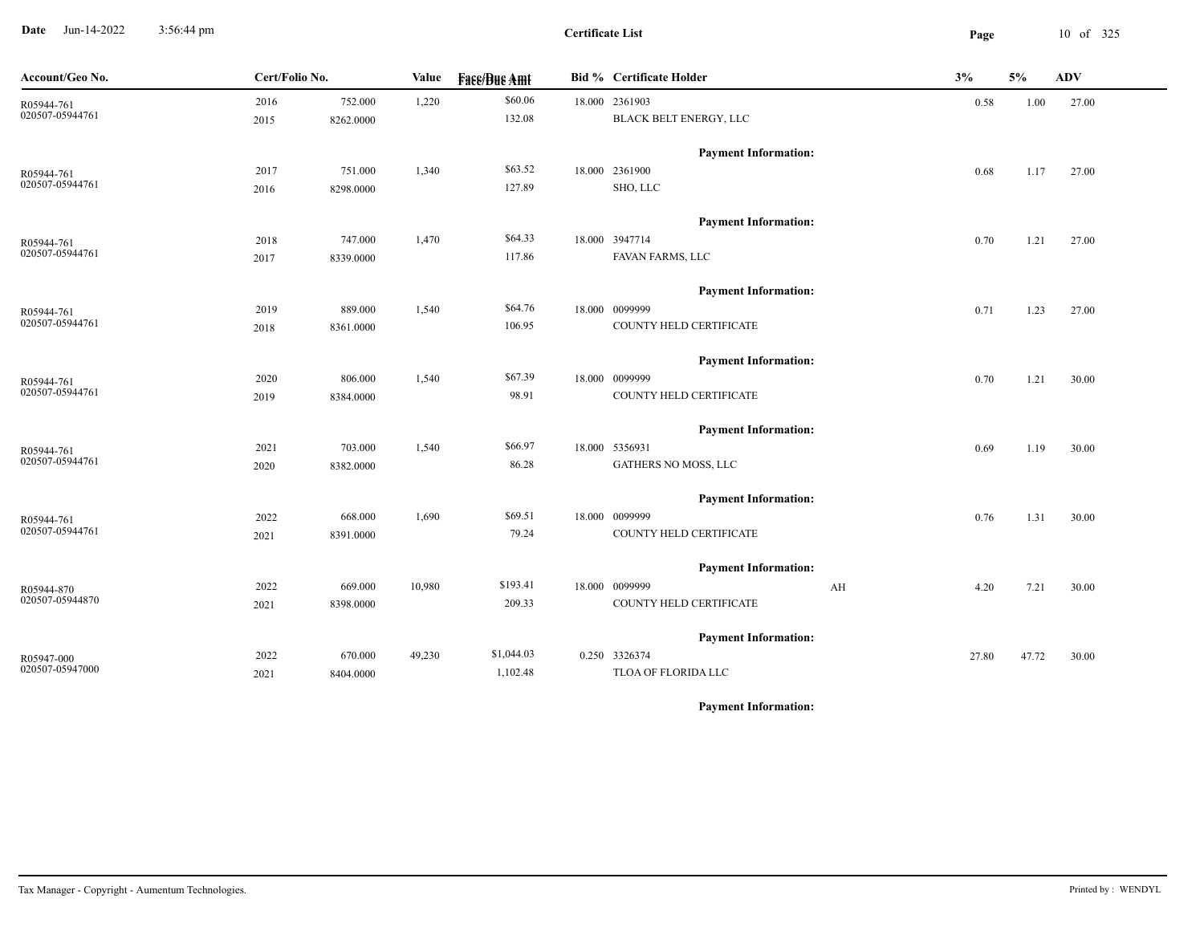**Date** Jun-14-2022 3:56:44 pm **Page** 10 of 325 3:56:44 pm

**Certificate List**

| Account/Geo No. | Cert/Folio No. |           | Value  | <b>Fase/Bue Amt</b> | Bid % Certificate Holder    | 3%    | 5%    | <b>ADV</b> |
|-----------------|----------------|-----------|--------|---------------------|-----------------------------|-------|-------|------------|
| R05944-761      | 2016           | 752.000   | 1,220  | \$60.06             | 18.000 2361903              | 0.58  | 1.00  | 27.00      |
| 020507-05944761 | 2015           | 8262.0000 |        | 132.08              | BLACK BELT ENERGY, LLC      |       |       |            |
|                 |                |           |        |                     | <b>Payment Information:</b> |       |       |            |
| R05944-761      | 2017           | 751.000   | 1,340  | \$63.52             | 18.000 2361900              | 0.68  | 1.17  | 27.00      |
| 020507-05944761 | 2016           | 8298.0000 |        | 127.89              | SHO, LLC                    |       |       |            |
|                 |                |           |        |                     | <b>Payment Information:</b> |       |       |            |
| R05944-761      | 2018           | 747.000   | 1,470  | \$64.33             | 18.000 3947714              | 0.70  | 1.21  | 27.00      |
| 020507-05944761 | 2017           | 8339.0000 |        | 117.86              | FAVAN FARMS, LLC            |       |       |            |
|                 |                |           |        |                     | <b>Payment Information:</b> |       |       |            |
| R05944-761      | 2019           | 889.000   | 1,540  | \$64.76             | 18.000 0099999              | 0.71  | 1.23  | 27.00      |
| 020507-05944761 | 2018           | 8361.0000 |        | 106.95              | COUNTY HELD CERTIFICATE     |       |       |            |
|                 |                |           |        |                     | <b>Payment Information:</b> |       |       |            |
| R05944-761      | 2020           | 806.000   | 1,540  | \$67.39             | 18.000 0099999              | 0.70  | 1.21  | 30.00      |
| 020507-05944761 | 2019           | 8384.0000 |        | 98.91               | COUNTY HELD CERTIFICATE     |       |       |            |
|                 |                |           |        |                     | <b>Payment Information:</b> |       |       |            |
| R05944-761      | 2021           | 703.000   | 1,540  | \$66.97             | 18.000 5356931              | 0.69  | 1.19  | 30.00      |
| 020507-05944761 | 2020           | 8382.0000 |        | 86.28               | GATHERS NO MOSS, LLC        |       |       |            |
|                 |                |           |        |                     | <b>Payment Information:</b> |       |       |            |
| R05944-761      | 2022           | 668.000   | 1,690  | \$69.51             | 18.000 0099999              | 0.76  | 1.31  | 30.00      |
| 020507-05944761 | 2021           | 8391.0000 |        | 79.24               | COUNTY HELD CERTIFICATE     |       |       |            |
|                 |                |           |        |                     | <b>Payment Information:</b> |       |       |            |
| R05944-870      | 2022           | 669.000   | 10,980 | \$193.41            | 18.000 0099999<br>AH        | 4.20  | 7.21  | 30.00      |
| 020507-05944870 | 2021           | 8398.0000 |        | 209.33              | COUNTY HELD CERTIFICATE     |       |       |            |
|                 |                |           |        |                     | <b>Payment Information:</b> |       |       |            |
| R05947-000      | 2022           | 670.000   | 49,230 | \$1,044.03          | 0.250 3326374               | 27.80 | 47.72 | 30.00      |
| 020507-05947000 | 2021           | 8404.0000 |        | 1,102.48            | TLOA OF FLORIDA LLC         |       |       |            |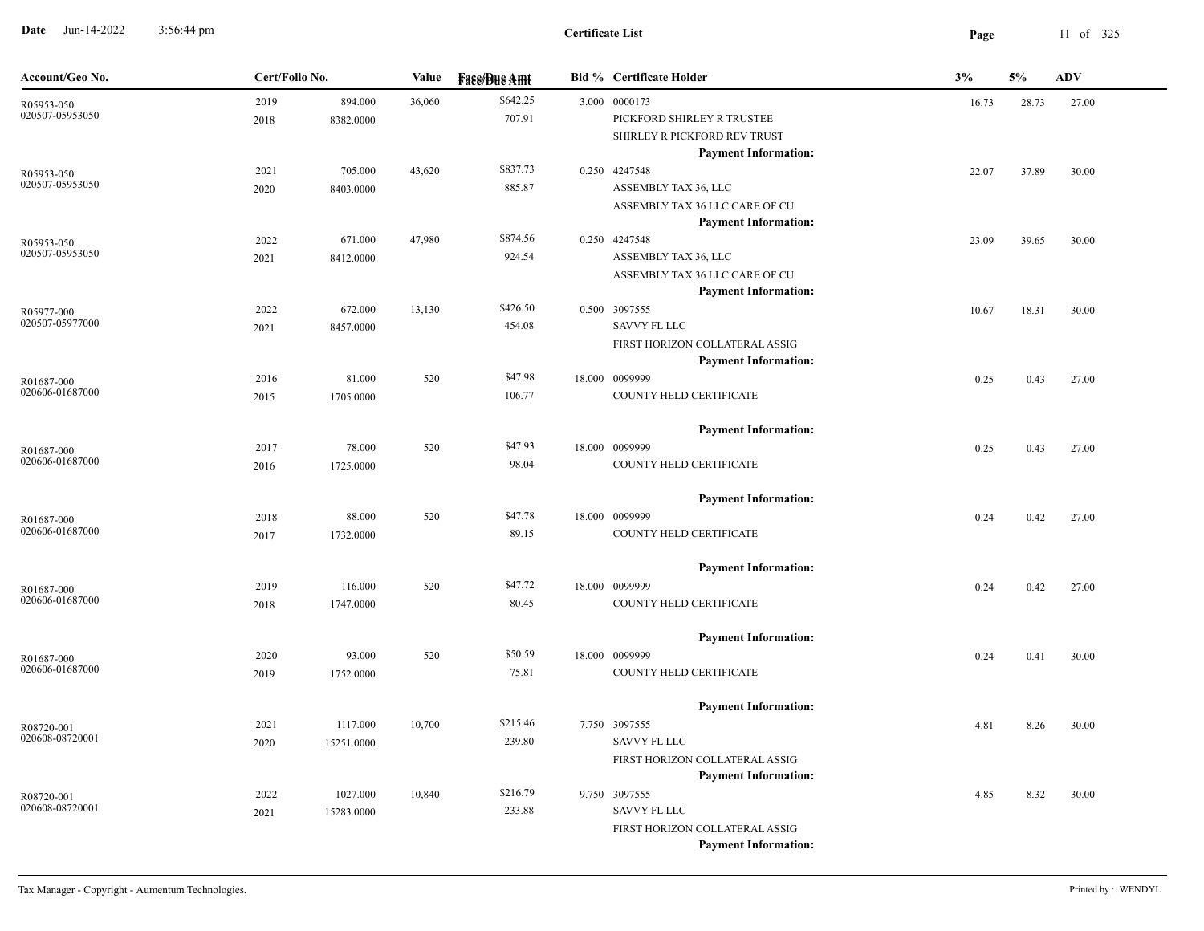**Date** Jun-14-2022 3:56:44 pm **Page** 11 of 325 3:56:44 pm

| Account/Geo No. | Cert/Folio No. |            | <b>Value</b> | <b>Fase/Bue Amt</b> | <b>Bid % Certificate Holder</b> | 3%    | 5%    | <b>ADV</b> |
|-----------------|----------------|------------|--------------|---------------------|---------------------------------|-------|-------|------------|
| R05953-050      | 2019           | 894.000    | 36,060       | \$642.25            | 3.000 0000173                   | 16.73 | 28.73 | 27.00      |
| 020507-05953050 | 2018           | 8382.0000  |              | 707.91              | PICKFORD SHIRLEY R TRUSTEE      |       |       |            |
|                 |                |            |              |                     | SHIRLEY R PICKFORD REV TRUST    |       |       |            |
|                 |                |            |              |                     | <b>Payment Information:</b>     |       |       |            |
| R05953-050      | 2021           | 705.000    | 43,620       | \$837.73            | 0.250 4247548                   | 22.07 | 37.89 | 30.00      |
| 020507-05953050 | 2020           | 8403.0000  |              | 885.87              | ASSEMBLY TAX 36, LLC            |       |       |            |
|                 |                |            |              |                     | ASSEMBLY TAX 36 LLC CARE OF CU  |       |       |            |
|                 |                |            |              |                     | <b>Payment Information:</b>     |       |       |            |
| R05953-050      | 2022           | 671.000    | 47,980       | \$874.56            | 0.250 4247548                   | 23.09 | 39.65 | 30.00      |
| 020507-05953050 | 2021           | 8412.0000  |              | 924.54              | ASSEMBLY TAX 36, LLC            |       |       |            |
|                 |                |            |              |                     | ASSEMBLY TAX 36 LLC CARE OF CU  |       |       |            |
|                 |                |            |              |                     | <b>Payment Information:</b>     |       |       |            |
| R05977-000      | 2022           | 672.000    | 13,130       | \$426.50            | 0.500 3097555                   | 10.67 | 18.31 | 30.00      |
| 020507-05977000 | 2021           | 8457.0000  |              | 454.08              | <b>SAVVY FL LLC</b>             |       |       |            |
|                 |                |            |              |                     | FIRST HORIZON COLLATERAL ASSIG  |       |       |            |
|                 |                |            |              |                     | <b>Payment Information:</b>     |       |       |            |
| R01687-000      | 2016           | 81.000     | 520          | \$47.98             | 18.000 0099999                  | 0.25  | 0.43  | 27.00      |
| 020606-01687000 | 2015           | 1705.0000  |              | 106.77              | COUNTY HELD CERTIFICATE         |       |       |            |
|                 |                |            |              |                     | <b>Payment Information:</b>     |       |       |            |
| R01687-000      | 2017           | 78.000     | 520          | \$47.93             | 18.000 0099999                  | 0.25  | 0.43  | 27.00      |
| 020606-01687000 | 2016           | 1725.0000  |              | 98.04               | COUNTY HELD CERTIFICATE         |       |       |            |
|                 |                |            |              |                     | <b>Payment Information:</b>     |       |       |            |
| R01687-000      | 2018           | 88.000     | 520          | \$47.78             | 18.000 0099999                  | 0.24  | 0.42  | 27.00      |
| 020606-01687000 | 2017           | 1732.0000  |              | 89.15               | COUNTY HELD CERTIFICATE         |       |       |            |
|                 |                |            |              |                     | <b>Payment Information:</b>     |       |       |            |
| R01687-000      | 2019           | 116.000    | 520          | \$47.72             | 18.000 0099999                  | 0.24  | 0.42  | 27.00      |
| 020606-01687000 | 2018           | 1747.0000  |              | 80.45               | COUNTY HELD CERTIFICATE         |       |       |            |
|                 |                |            |              |                     | <b>Payment Information:</b>     |       |       |            |
| R01687-000      | 2020           | 93.000     | 520          | \$50.59             | 18.000 0099999                  | 0.24  | 0.41  | 30.00      |
| 020606-01687000 | 2019           | 1752.0000  |              | 75.81               | COUNTY HELD CERTIFICATE         |       |       |            |
|                 |                |            |              |                     | <b>Payment Information:</b>     |       |       |            |
| R08720-001      | 2021           | 1117.000   | 10,700       | \$215.46            | 7.750 3097555                   | 4.81  | 8.26  | 30.00      |
| 020608-08720001 | 2020           | 15251.0000 |              | 239.80              | <b>SAVVY FL LLC</b>             |       |       |            |
|                 |                |            |              |                     | FIRST HORIZON COLLATERAL ASSIG  |       |       |            |
|                 |                |            |              |                     | <b>Payment Information:</b>     |       |       |            |
| R08720-001      | 2022           | 1027.000   | 10,840       | \$216.79            | 9.750 3097555                   | 4.85  | 8.32  | 30.00      |
| 020608-08720001 | 2021           | 15283.0000 |              | 233.88              | <b>SAVVY FL LLC</b>             |       |       |            |
|                 |                |            |              |                     | FIRST HORIZON COLLATERAL ASSIG  |       |       |            |
|                 |                |            |              |                     | <b>Payment Information:</b>     |       |       |            |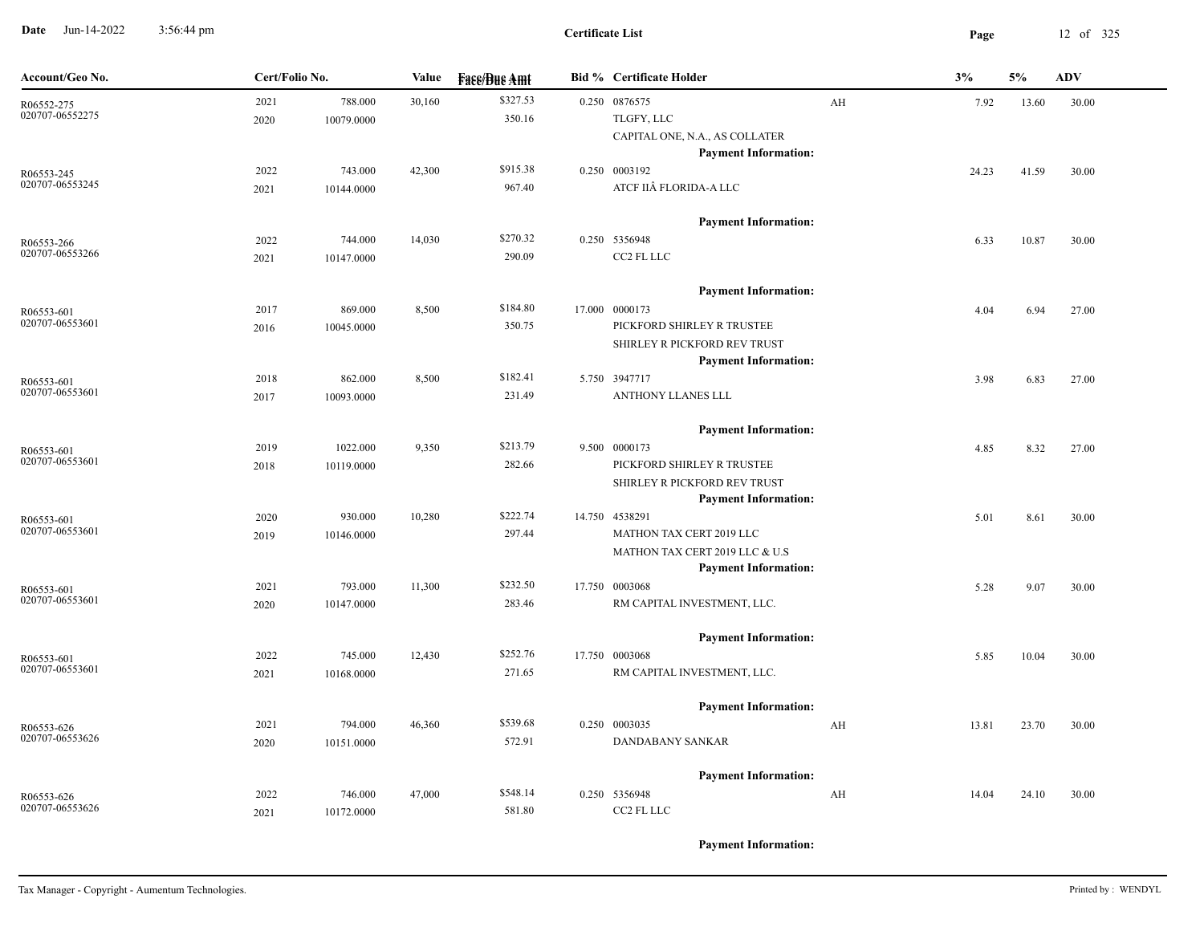**Date** Jun-14-2022 3:56:44 pm **Page** 12 of 325 3:56:44 pm

| Account/Geo No.               | Cert/Folio No. |            | Value  | <b>Face/Bue Amt</b> | <b>Bid % Certificate Holder</b> |    | 3%    | 5%    | <b>ADV</b> |
|-------------------------------|----------------|------------|--------|---------------------|---------------------------------|----|-------|-------|------------|
| R06552-275                    | 2021           | 788.000    | 30,160 | \$327.53            | $0.250$ 0876575                 | AH | 7.92  | 13.60 | 30.00      |
| 020707-06552275               | 2020           | 10079.0000 |        | 350.16              | TLGFY, LLC                      |    |       |       |            |
|                               |                |            |        |                     | CAPITAL ONE, N.A., AS COLLATER  |    |       |       |            |
|                               |                |            |        |                     | <b>Payment Information:</b>     |    |       |       |            |
| R06553-245<br>020707-06553245 | 2022           | 743.000    | 42,300 | \$915.38            | 0.250 0003192                   |    | 24.23 | 41.59 | 30.00      |
|                               | 2021           | 10144.0000 |        | 967.40              | ATCF IIÂ FLORIDA-A LLC          |    |       |       |            |
|                               |                |            |        |                     | <b>Payment Information:</b>     |    |       |       |            |
| R06553-266                    | 2022           | 744.000    | 14,030 | \$270.32            | 0.250 5356948                   |    | 6.33  | 10.87 | 30.00      |
| 020707-06553266               | 2021           | 10147.0000 |        | 290.09              | CC2 FL LLC                      |    |       |       |            |
|                               |                |            |        |                     |                                 |    |       |       |            |
|                               |                |            |        |                     | <b>Payment Information:</b>     |    |       |       |            |
| R06553-601                    | 2017           | 869.000    | 8,500  | \$184.80            | 17.000 0000173                  |    | 4.04  | 6.94  | 27.00      |
| 020707-06553601               | 2016           | 10045.0000 |        | 350.75              | PICKFORD SHIRLEY R TRUSTEE      |    |       |       |            |
|                               |                |            |        |                     | SHIRLEY R PICKFORD REV TRUST    |    |       |       |            |
|                               |                |            |        |                     | <b>Payment Information:</b>     |    |       |       |            |
| R06553-601<br>020707-06553601 | 2018           | 862.000    | 8,500  | \$182.41            | 5.750 3947717                   |    | 3.98  | 6.83  | 27.00      |
|                               | 2017           | 10093.0000 |        | 231.49              | ANTHONY LLANES LLL              |    |       |       |            |
|                               |                |            |        |                     | <b>Payment Information:</b>     |    |       |       |            |
| R06553-601                    | 2019           | 1022.000   | 9,350  | \$213.79            | 9.500 0000173                   |    | 4.85  | 8.32  | 27.00      |
| 020707-06553601               | 2018           | 10119.0000 |        | 282.66              | PICKFORD SHIRLEY R TRUSTEE      |    |       |       |            |
|                               |                |            |        |                     | SHIRLEY R PICKFORD REV TRUST    |    |       |       |            |
|                               |                |            |        |                     | <b>Payment Information:</b>     |    |       |       |            |
| R06553-601                    | 2020           | 930.000    | 10,280 | \$222.74            | 14.750 4538291                  |    | 5.01  | 8.61  | 30.00      |
| 020707-06553601               | 2019           | 10146.0000 |        | 297.44              | MATHON TAX CERT 2019 LLC        |    |       |       |            |
|                               |                |            |        |                     | MATHON TAX CERT 2019 LLC & U.S  |    |       |       |            |
|                               |                |            |        |                     | <b>Payment Information:</b>     |    |       |       |            |
| R06553-601<br>020707-06553601 | 2021           | 793.000    | 11,300 | \$232.50            | 17.750 0003068                  |    | 5.28  | 9.07  | 30.00      |
|                               | 2020           | 10147.0000 |        | 283.46              | RM CAPITAL INVESTMENT, LLC.     |    |       |       |            |
|                               |                |            |        |                     | <b>Payment Information:</b>     |    |       |       |            |
| R06553-601                    | 2022           | 745.000    | 12,430 | \$252.76            | 17.750 0003068                  |    | 5.85  | 10.04 | 30.00      |
| 020707-06553601               | 2021           | 10168.0000 |        | 271.65              | RM CAPITAL INVESTMENT, LLC.     |    |       |       |            |
|                               |                |            |        |                     |                                 |    |       |       |            |
|                               |                |            |        |                     | <b>Payment Information:</b>     |    |       |       |            |
| R06553-626<br>020707-06553626 | 2021           | 794.000    | 46,360 | \$539.68            | 0.250 0003035                   | AH | 13.81 | 23.70 | 30.00      |
|                               | 2020           | 10151.0000 |        | 572.91              | <b>DANDABANY SANKAR</b>         |    |       |       |            |
|                               |                |            |        |                     | <b>Payment Information:</b>     |    |       |       |            |
| R06553-626                    | 2022           | 746.000    | 47,000 | \$548.14            | 0.250 5356948                   | AH | 14.04 | 24.10 | 30.00      |
| 020707-06553626               | 2021           | 10172.0000 |        | 581.80              | CC2 FL LLC                      |    |       |       |            |
|                               |                |            |        |                     |                                 |    |       |       |            |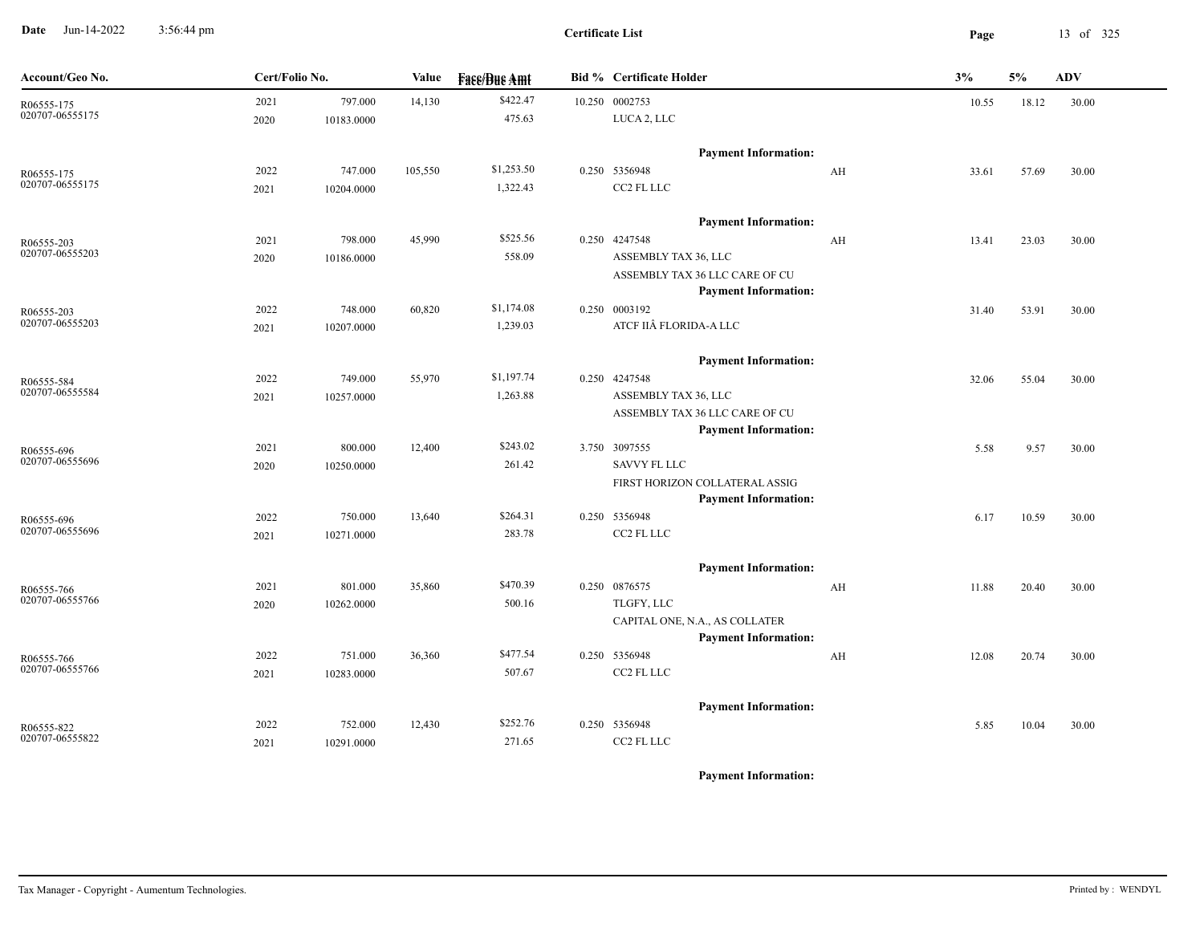**Date** Jun-14-2022 3:56:44 pm **Page** 13 of 325 3:56:44 pm

**Certificate List**

| Account/Geo No. | Cert/Folio No. |            | Value   | <b>Fase/Bue Amt</b> | <b>Bid % Certificate Holder</b>                               |    | 3%    | 5%    | <b>ADV</b> |
|-----------------|----------------|------------|---------|---------------------|---------------------------------------------------------------|----|-------|-------|------------|
| R06555-175      | 2021           | 797.000    | 14,130  | \$422.47            | 10.250 0002753                                                |    | 10.55 | 18.12 | 30.00      |
| 020707-06555175 | 2020           | 10183.0000 |         | 475.63              | LUCA 2, LLC                                                   |    |       |       |            |
|                 |                |            |         |                     | <b>Payment Information:</b>                                   |    |       |       |            |
| R06555-175      | 2022           | 747.000    | 105,550 | \$1,253.50          | 0.250 5356948                                                 | AH | 33.61 | 57.69 | 30.00      |
| 020707-06555175 | 2021           | 10204.0000 |         | 1,322.43            | CC2 FL LLC                                                    |    |       |       |            |
|                 |                |            |         |                     | <b>Payment Information:</b>                                   |    |       |       |            |
| R06555-203      | 2021           | 798.000    | 45,990  | \$525.56            | 0.250 4247548                                                 | AH | 13.41 | 23.03 | 30.00      |
| 020707-06555203 | 2020           | 10186.0000 |         | 558.09              | ASSEMBLY TAX 36, LLC                                          |    |       |       |            |
|                 |                |            |         |                     | ASSEMBLY TAX 36 LLC CARE OF CU                                |    |       |       |            |
|                 |                |            |         |                     | <b>Payment Information:</b>                                   |    |       |       |            |
| R06555-203      | 2022           | 748.000    | 60,820  | \$1,174.08          | 0.250 0003192                                                 |    | 31.40 | 53.91 | 30.00      |
| 020707-06555203 | 2021           | 10207.0000 |         | 1,239.03            | ATCF IIÂ FLORIDA-A LLC                                        |    |       |       |            |
|                 |                |            |         |                     | <b>Payment Information:</b>                                   |    |       |       |            |
| R06555-584      | 2022           | 749.000    | 55,970  | \$1,197.74          | 0.250 4247548                                                 |    | 32.06 | 55.04 | 30.00      |
| 020707-06555584 | 2021           | 10257.0000 |         | 1,263.88            | ASSEMBLY TAX 36, LLC                                          |    |       |       |            |
|                 |                |            |         |                     | ASSEMBLY TAX 36 LLC CARE OF CU                                |    |       |       |            |
|                 |                |            |         |                     | <b>Payment Information:</b>                                   |    |       |       |            |
| R06555-696      | 2021           | 800.000    | 12,400  | \$243.02            | 3.750 3097555                                                 |    | 5.58  | 9.57  | 30.00      |
| 020707-06555696 | 2020           | 10250.0000 |         | 261.42              | <b>SAVVY FL LLC</b>                                           |    |       |       |            |
|                 |                |            |         |                     | FIRST HORIZON COLLATERAL ASSIG<br><b>Payment Information:</b> |    |       |       |            |
| R06555-696      | 2022           | 750.000    | 13,640  | \$264.31            | 0.250 5356948                                                 |    | 6.17  | 10.59 | 30.00      |
| 020707-06555696 | 2021           | 10271.0000 |         | 283.78              | CC2 FL LLC                                                    |    |       |       |            |
|                 |                |            |         |                     | <b>Payment Information:</b>                                   |    |       |       |            |
| R06555-766      | 2021           | 801.000    | 35,860  | \$470.39            | 0.250 0876575                                                 | AH | 11.88 | 20.40 | 30.00      |
| 020707-06555766 | 2020           | 10262.0000 |         | 500.16              | TLGFY, LLC                                                    |    |       |       |            |
|                 |                |            |         |                     | CAPITAL ONE, N.A., AS COLLATER                                |    |       |       |            |
|                 |                |            |         |                     | <b>Payment Information:</b>                                   |    |       |       |            |
| R06555-766      | 2022           | 751.000    | 36,360  | \$477.54            | 0.250 5356948                                                 | AH | 12.08 | 20.74 | 30.00      |
| 020707-06555766 | 2021           | 10283.0000 |         | 507.67              | CC2 FL LLC                                                    |    |       |       |            |
|                 |                |            |         |                     | <b>Payment Information:</b>                                   |    |       |       |            |
| R06555-822      | 2022           | 752.000    | 12,430  | \$252.76            | 0.250 5356948                                                 |    | 5.85  | 10.04 | 30.00      |
| 020707-06555822 | 2021           | 10291.0000 |         | 271.65              | CC2 FL LLC                                                    |    |       |       |            |
|                 |                |            |         |                     |                                                               |    |       |       |            |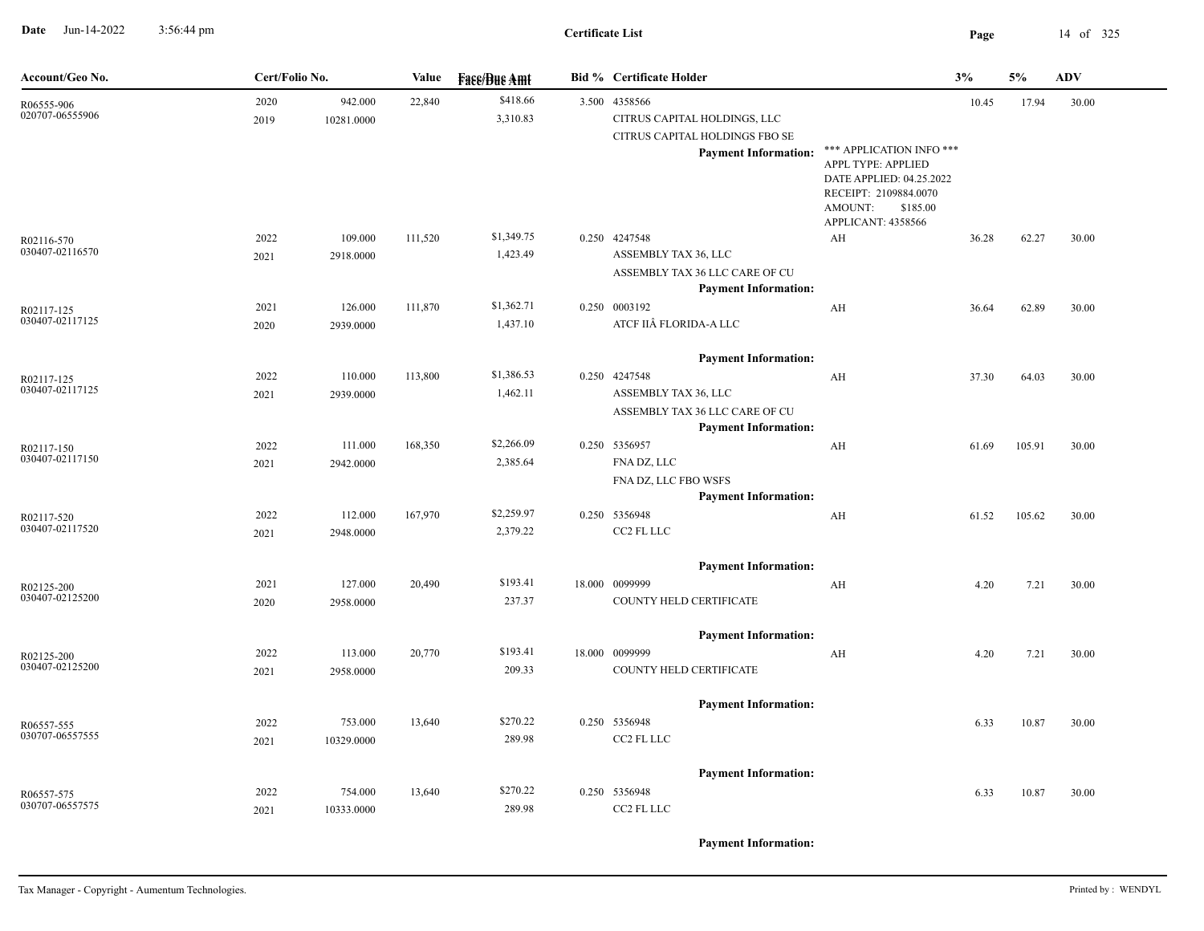**Date** Jun-14-2022 3:56:44 pm **Page** 14 of 325 3:56:44 pm

## **Certificate List**

| Account/Geo No.               | Cert/Folio No. |                       | Value   | <b>Fase/Bue Amt</b>    | <b>Bid % Certificate Holder</b>                                                                                |                                                                                                                                                  | 3%    | 5%     | <b>ADV</b> |
|-------------------------------|----------------|-----------------------|---------|------------------------|----------------------------------------------------------------------------------------------------------------|--------------------------------------------------------------------------------------------------------------------------------------------------|-------|--------|------------|
| R06555-906<br>020707-06555906 | 2020<br>2019   | 942.000<br>10281.0000 | 22,840  | \$418.66<br>3,310.83   | 3.500 4358566<br>CITRUS CAPITAL HOLDINGS, LLC<br>CITRUS CAPITAL HOLDINGS FBO SE<br><b>Payment Information:</b> | *** APPLICATION INFO ***<br>APPL TYPE: APPLIED<br>DATE APPLIED: 04.25.2022<br>RECEIPT: 2109884.0070<br>AMOUNT:<br>\$185.00<br>APPLICANT: 4358566 | 10.45 | 17.94  | 30.00      |
| R02116-570<br>030407-02116570 | 2022<br>2021   | 109.000<br>2918.0000  | 111,520 | \$1,349.75<br>1,423.49 | 0.250 4247548<br>ASSEMBLY TAX 36, LLC<br>ASSEMBLY TAX 36 LLC CARE OF CU<br><b>Payment Information:</b>         | AH                                                                                                                                               | 36.28 | 62.27  | 30.00      |
| R02117-125<br>030407-02117125 | 2021<br>2020   | 126.000<br>2939.0000  | 111,870 | \$1,362.71<br>1,437.10 | 0.250 0003192<br>ATCF IIÂ FLORIDA-A LLC<br><b>Payment Information:</b>                                         | AH                                                                                                                                               | 36.64 | 62.89  | 30.00      |
| R02117-125<br>030407-02117125 | 2022<br>2021   | 110.000<br>2939.0000  | 113,800 | \$1,386.53<br>1,462.11 | 0.250 4247548<br>ASSEMBLY TAX 36, LLC<br>ASSEMBLY TAX 36 LLC CARE OF CU<br><b>Payment Information:</b>         | AH                                                                                                                                               | 37.30 | 64.03  | 30.00      |
| R02117-150<br>030407-02117150 | 2022<br>2021   | 111.000<br>2942.0000  | 168,350 | \$2,266.09<br>2,385.64 | 0.250 5356957<br>FNA DZ, LLC<br>FNA DZ, LLC FBO WSFS<br><b>Payment Information:</b>                            | AH                                                                                                                                               | 61.69 | 105.91 | 30.00      |
| R02117-520<br>030407-02117520 | 2022<br>2021   | 112.000<br>2948.0000  | 167,970 | \$2,259.97<br>2,379.22 | 0.250 5356948<br>CC2 FL LLC<br><b>Payment Information:</b>                                                     | AH                                                                                                                                               | 61.52 | 105.62 | 30.00      |
| R02125-200<br>030407-02125200 | 2021<br>2020   | 127.000<br>2958.0000  | 20,490  | \$193.41<br>237.37     | 18.000 0099999<br>COUNTY HELD CERTIFICATE<br><b>Payment Information:</b>                                       | AH                                                                                                                                               | 4.20  | 7.21   | 30.00      |
| R02125-200<br>030407-02125200 | 2022<br>2021   | 113.000<br>2958.0000  | 20,770  | \$193.41<br>209.33     | 18.000 0099999<br>COUNTY HELD CERTIFICATE<br><b>Payment Information:</b>                                       | AH                                                                                                                                               | 4.20  | 7.21   | 30.00      |
| R06557-555<br>030707-06557555 | 2022<br>2021   | 753.000<br>10329.0000 | 13,640  | \$270.22<br>289.98     | 0.250 5356948<br>CC2 FL LLC<br><b>Payment Information:</b>                                                     |                                                                                                                                                  | 6.33  | 10.87  | 30.00      |
| R06557-575<br>030707-06557575 | 2022<br>2021   | 754.000<br>10333.0000 | 13,640  | \$270.22<br>289.98     | 0.250 5356948<br>CC2 FL LLC                                                                                    |                                                                                                                                                  | 6.33  | 10.87  | 30.00      |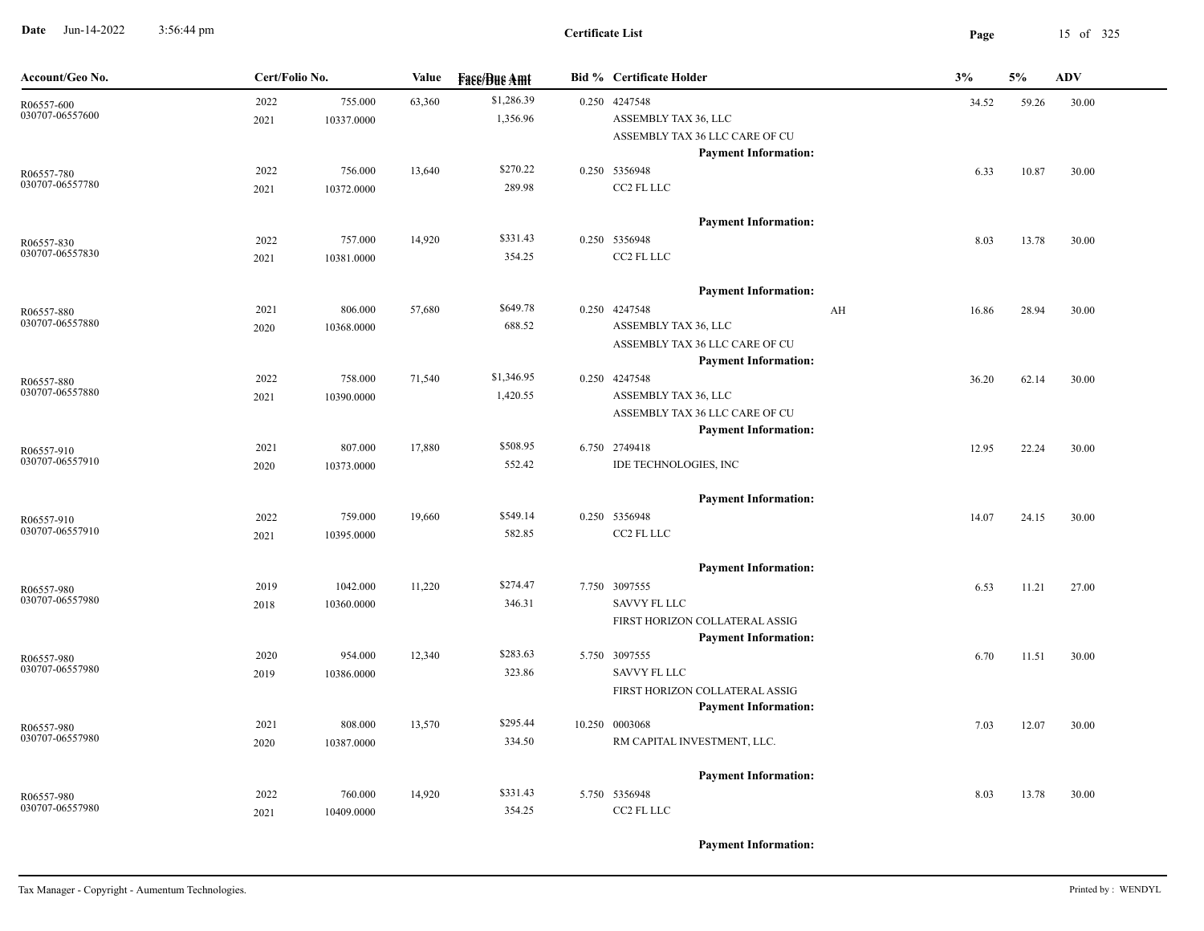**Date** Jun-14-2022 3:56:44 pm **Page** 15 of 325 3:56:44 pm

| Account/Geo No.               | Cert/Folio No. |                        | Value  | <b>Face/Bue Amt</b>    | <b>Bid % Certificate Holder</b>                                                                                | 3%    | 5%    | <b>ADV</b> |
|-------------------------------|----------------|------------------------|--------|------------------------|----------------------------------------------------------------------------------------------------------------|-------|-------|------------|
| R06557-600<br>030707-06557600 | 2022<br>2021   | 755.000<br>10337.0000  | 63,360 | \$1,286.39<br>1,356.96 | 0.250 4247548<br>ASSEMBLY TAX 36, LLC<br>ASSEMBLY TAX 36 LLC CARE OF CU<br><b>Payment Information:</b>         | 34.52 | 59.26 | 30.00      |
| R06557-780<br>030707-06557780 | 2022<br>2021   | 756.000<br>10372.0000  | 13,640 | \$270.22<br>289.98     | 0.250 5356948<br>CC2 FL LLC                                                                                    | 6.33  | 10.87 | 30.00      |
| R06557-830<br>030707-06557830 | 2022<br>2021   | 757.000<br>10381.0000  | 14,920 | \$331.43<br>354.25     | <b>Payment Information:</b><br>0.250 5356948<br>CC2 FL LLC                                                     | 8.03  | 13.78 | 30.00      |
| R06557-880<br>030707-06557880 | 2021<br>2020   | 806.000<br>10368.0000  | 57,680 | \$649.78<br>688.52     | <b>Payment Information:</b><br>0.250 4247548<br>AH<br>ASSEMBLY TAX 36, LLC<br>ASSEMBLY TAX 36 LLC CARE OF CU   | 16.86 | 28.94 | 30.00      |
| R06557-880<br>030707-06557880 | 2022<br>2021   | 758.000<br>10390.0000  | 71,540 | \$1,346.95<br>1,420.55 | <b>Payment Information:</b><br>0.250 4247548<br>ASSEMBLY TAX 36, LLC<br>ASSEMBLY TAX 36 LLC CARE OF CU         | 36.20 | 62.14 | 30.00      |
| R06557-910<br>030707-06557910 | 2021<br>2020   | 807.000<br>10373.0000  | 17,880 | \$508.95<br>552.42     | <b>Payment Information:</b><br>6.750 2749418<br>IDE TECHNOLOGIES, INC                                          | 12.95 | 22.24 | 30.00      |
| R06557-910<br>030707-06557910 | 2022<br>2021   | 759.000<br>10395.0000  | 19,660 | \$549.14<br>582.85     | <b>Payment Information:</b><br>0.250 5356948<br>CC2 FL LLC                                                     | 14.07 | 24.15 | 30.00      |
| R06557-980<br>030707-06557980 | 2019<br>2018   | 1042.000<br>10360.0000 | 11,220 | \$274.47<br>346.31     | <b>Payment Information:</b><br>7.750 3097555<br><b>SAVVY FL LLC</b>                                            | 6.53  | 11.21 | 27.00      |
| R06557-980<br>030707-06557980 | 2020<br>2019   | 954.000<br>10386.0000  | 12,340 | \$283.63<br>323.86     | FIRST HORIZON COLLATERAL ASSIG<br><b>Payment Information:</b><br>5.750 3097555<br><b>SAVVY FL LLC</b>          | 6.70  | 11.51 | 30.00      |
| R06557-980<br>030707-06557980 | 2021<br>2020   | 808.000<br>10387.0000  | 13,570 | \$295.44<br>334.50     | FIRST HORIZON COLLATERAL ASSIG<br><b>Payment Information:</b><br>10.250 0003068<br>RM CAPITAL INVESTMENT, LLC. | 7.03  | 12.07 | 30.00      |
| R06557-980<br>030707-06557980 | 2022<br>2021   | 760.000<br>10409.0000  | 14,920 | \$331.43<br>354.25     | <b>Payment Information:</b><br>5.750 5356948<br>CC2 FL LLC                                                     | 8.03  | 13.78 | 30.00      |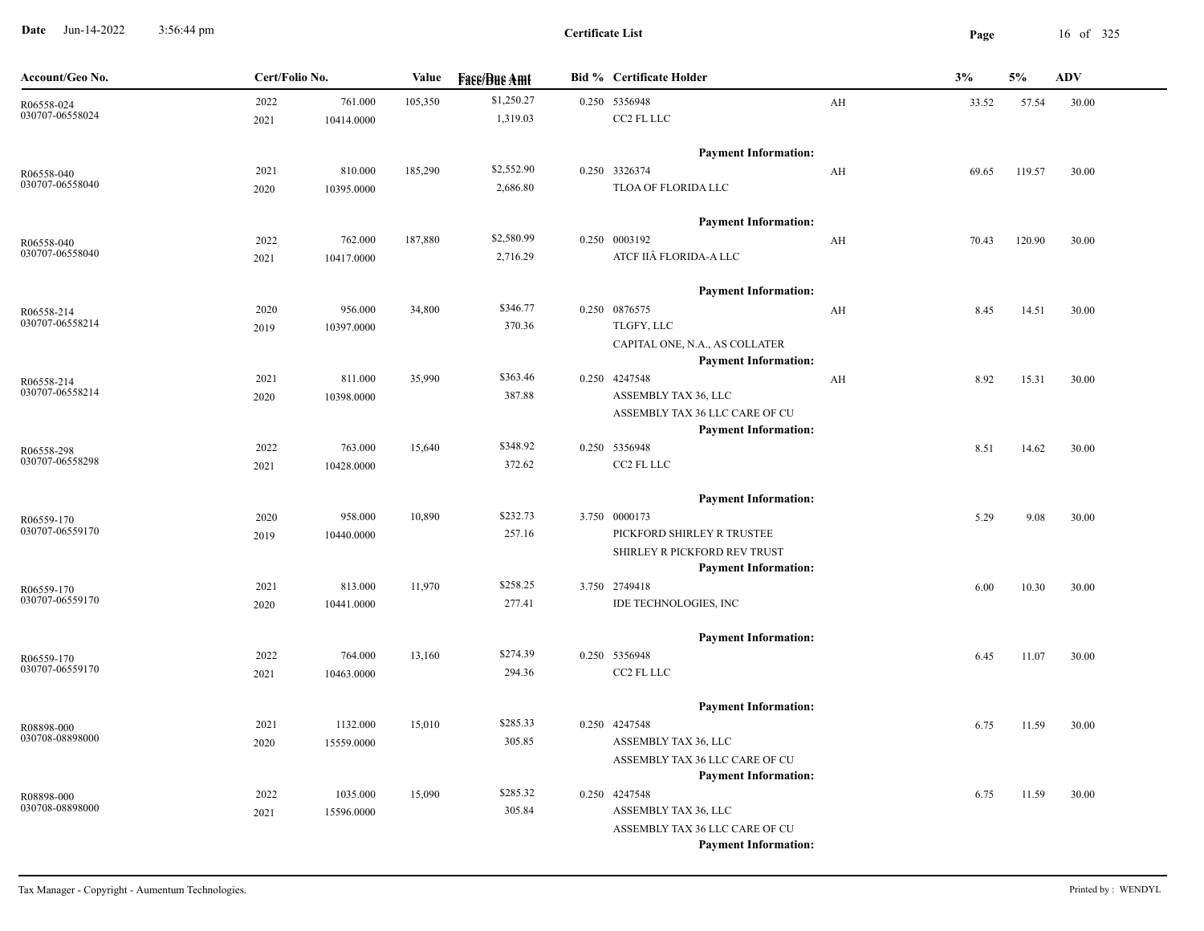**Date** Jun-14-2022 3:56:44 pm **Page** 16 of 325 3:56:44 pm

| Account/Geo No.               | Cert/Folio No. | Value                           | <b>Face/Bue Amt</b> | <b>Bid % Certificate Holder</b>                               |    | 3%    | 5%     | <b>ADV</b> |
|-------------------------------|----------------|---------------------------------|---------------------|---------------------------------------------------------------|----|-------|--------|------------|
| R06558-024                    | 2022           | 761.000<br>105,350              | \$1,250.27          | 0.250 5356948                                                 | AH | 33.52 | 57.54  | 30.00      |
| 030707-06558024               | 2021           | 10414.0000                      | 1,319.03            | CC2 FL LLC                                                    |    |       |        |            |
|                               |                |                                 |                     | <b>Payment Information:</b>                                   |    |       |        |            |
| R06558-040                    | 2021           | 185,290<br>810.000              | \$2,552.90          | 0.250 3326374                                                 | AH | 69.65 | 119.57 | 30.00      |
| 030707-06558040               | 2020           | 10395.0000                      | 2,686.80            | TLOA OF FLORIDA LLC                                           |    |       |        |            |
|                               |                |                                 |                     | <b>Payment Information:</b>                                   |    |       |        |            |
| R06558-040                    | 2022           | 762.000<br>187,880              | \$2,580.99          | 0.250 0003192                                                 | AH | 70.43 | 120.90 | 30.00      |
| 030707-06558040               | 2021           | 10417.0000                      | 2,716.29            | ATCF IIÂ FLORIDA-A LLC                                        |    |       |        |            |
|                               |                |                                 |                     | <b>Payment Information:</b>                                   |    |       |        |            |
| R06558-214                    | 2020           | 956.000<br>34,800               | \$346.77            | 0.250 0876575                                                 | AH | 8.45  | 14.51  | 30.00      |
| 030707-06558214               | 2019           | 10397.0000                      | 370.36              | TLGFY, LLC                                                    |    |       |        |            |
|                               |                |                                 |                     | CAPITAL ONE, N.A., AS COLLATER<br><b>Payment Information:</b> |    |       |        |            |
| R06558-214                    | 2021           | 811.000<br>35,990               | \$363.46            | 0.250 4247548                                                 | AH | 8.92  | 15.31  | 30.00      |
| 030707-06558214               | 2020           | 10398.0000                      | 387.88              | ASSEMBLY TAX 36, LLC                                          |    |       |        |            |
|                               |                |                                 |                     | ASSEMBLY TAX 36 LLC CARE OF CU                                |    |       |        |            |
|                               |                |                                 |                     | <b>Payment Information:</b>                                   |    |       |        |            |
| R06558-298                    | 2022           | 763.000<br>15,640               | \$348.92            | 0.250 5356948                                                 |    | 8.51  | 14.62  | 30.00      |
| 030707-06558298               | 2021           | 10428.0000                      | 372.62              | CC2 FL LLC                                                    |    |       |        |            |
|                               |                |                                 |                     | <b>Payment Information:</b>                                   |    |       |        |            |
| R06559-170                    | 2020           | 958.000<br>10,890               | \$232.73            | 3.750 0000173                                                 |    | 5.29  | 9.08   | 30.00      |
| 030707-06559170               | 2019           | 10440.0000                      | 257.16              | PICKFORD SHIRLEY R TRUSTEE                                    |    |       |        |            |
|                               |                |                                 |                     | SHIRLEY R PICKFORD REV TRUST                                  |    |       |        |            |
|                               |                |                                 |                     | <b>Payment Information:</b>                                   |    |       |        |            |
| R06559-170<br>030707-06559170 | 2021<br>2020   | 813.000<br>11,970<br>10441.0000 | \$258.25<br>277.41  | 3.750 2749418<br>IDE TECHNOLOGIES, INC                        |    | 6.00  | 10.30  | 30.00      |
|                               |                |                                 |                     |                                                               |    |       |        |            |
|                               |                |                                 |                     | <b>Payment Information:</b>                                   |    |       |        |            |
| R06559-170<br>030707-06559170 | 2022           | 764.000<br>13,160               | \$274.39            | 0.250 5356948                                                 |    | 6.45  | 11.07  | 30.00      |
|                               | 2021           | 10463.0000                      | 294.36              | CC2 FL LLC                                                    |    |       |        |            |
|                               |                |                                 |                     | <b>Payment Information:</b>                                   |    |       |        |            |
| R08898-000                    | 2021           | 1132.000<br>15,010              | \$285.33            | 0.250 4247548                                                 |    | 6.75  | 11.59  | 30.00      |
| 030708-08898000               | 2020           | 15559.0000                      | 305.85              | ASSEMBLY TAX 36, LLC                                          |    |       |        |            |
|                               |                |                                 |                     | ASSEMBLY TAX 36 LLC CARE OF CU                                |    |       |        |            |
|                               |                |                                 | \$285.32            | <b>Payment Information:</b>                                   |    |       |        |            |
| R08898-000<br>030708-08898000 | 2022           | 1035.000<br>15,090              | 305.84              | 0.250 4247548<br>ASSEMBLY TAX 36, LLC                         |    | 6.75  | 11.59  | 30.00      |
|                               | 2021           | 15596.0000                      |                     | ASSEMBLY TAX 36 LLC CARE OF CU                                |    |       |        |            |
|                               |                |                                 |                     | <b>Payment Information:</b>                                   |    |       |        |            |
|                               |                |                                 |                     |                                                               |    |       |        |            |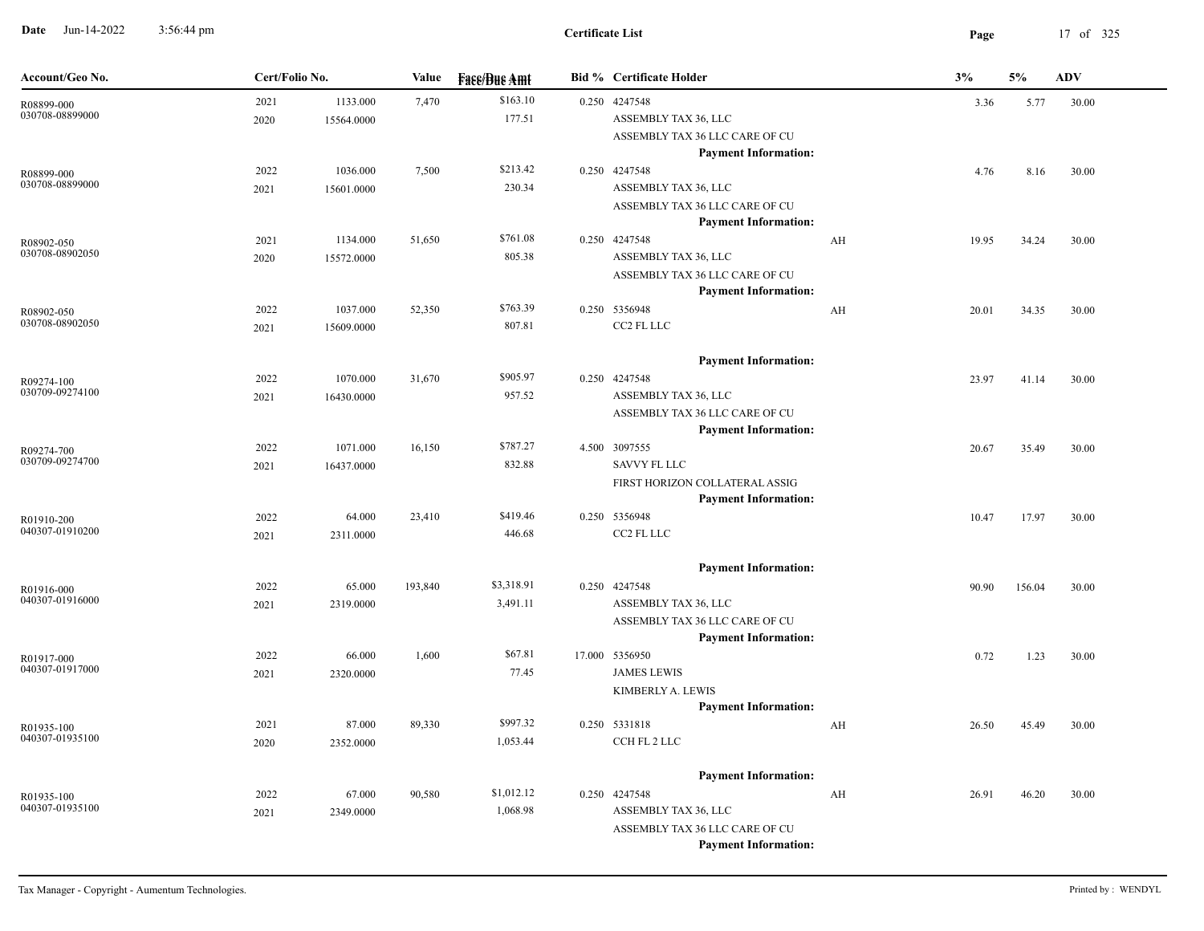**Date** Jun-14-2022 3:56:44 pm **Page** 17 of 325 3:56:44 pm

| Account/Geo No.               | Cert/Folio No. |            | Value   | <b>Face/Bue Amt</b> | <b>Bid % Certificate Holder</b>                               |    | 3%    | 5%     | <b>ADV</b> |
|-------------------------------|----------------|------------|---------|---------------------|---------------------------------------------------------------|----|-------|--------|------------|
| R08899-000                    | 2021           | 1133.000   | 7,470   | \$163.10            | 0.250 4247548                                                 |    | 3.36  | 5.77   | 30.00      |
| 030708-08899000               | 2020           | 15564.0000 |         | 177.51              | ASSEMBLY TAX 36, LLC                                          |    |       |        |            |
|                               |                |            |         |                     | ASSEMBLY TAX 36 LLC CARE OF CU                                |    |       |        |            |
|                               |                |            |         |                     | <b>Payment Information:</b>                                   |    |       |        |            |
| R08899-000<br>030708-08899000 | 2022           | 1036.000   | 7,500   | \$213.42<br>230.34  | 0.250 4247548                                                 |    | 4.76  | 8.16   | 30.00      |
|                               | 2021           | 15601.0000 |         |                     | ASSEMBLY TAX 36, LLC                                          |    |       |        |            |
|                               |                |            |         |                     | ASSEMBLY TAX 36 LLC CARE OF CU<br><b>Payment Information:</b> |    |       |        |            |
| R08902-050                    | 2021           | 1134.000   | 51,650  | \$761.08            | 0.250 4247548                                                 | AH | 19.95 | 34.24  | 30.00      |
| 030708-08902050               | 2020           | 15572.0000 |         | 805.38              | ASSEMBLY TAX 36, LLC                                          |    |       |        |            |
|                               |                |            |         |                     | ASSEMBLY TAX 36 LLC CARE OF CU                                |    |       |        |            |
|                               |                |            |         |                     | <b>Payment Information:</b>                                   |    |       |        |            |
| R08902-050                    | 2022           | 1037.000   | 52,350  | \$763.39            | 0.250 5356948                                                 | AH | 20.01 | 34.35  | 30.00      |
| 030708-08902050               | 2021           | 15609.0000 |         | 807.81              | CC2 FL LLC                                                    |    |       |        |            |
|                               |                |            |         |                     | <b>Payment Information:</b>                                   |    |       |        |            |
|                               | 2022           | 1070.000   | 31,670  | \$905.97            | 0.250 4247548                                                 |    | 23.97 | 41.14  | 30.00      |
| R09274-100<br>030709-09274100 | 2021           | 16430.0000 |         | 957.52              | ASSEMBLY TAX 36, LLC                                          |    |       |        |            |
|                               |                |            |         |                     | ASSEMBLY TAX 36 LLC CARE OF CU                                |    |       |        |            |
|                               |                |            |         |                     | <b>Payment Information:</b>                                   |    |       |        |            |
| R09274-700                    | 2022           | 1071.000   | 16,150  | \$787.27            | 4.500 3097555                                                 |    | 20.67 | 35.49  | 30.00      |
| 030709-09274700               | 2021           | 16437.0000 |         | 832.88              | <b>SAVVY FL LLC</b>                                           |    |       |        |            |
|                               |                |            |         |                     | FIRST HORIZON COLLATERAL ASSIG                                |    |       |        |            |
|                               |                |            |         |                     | <b>Payment Information:</b>                                   |    |       |        |            |
| R01910-200<br>040307-01910200 | 2022           | 64.000     | 23,410  | \$419.46            | 0.250 5356948                                                 |    | 10.47 | 17.97  | 30.00      |
|                               | 2021           | 2311.0000  |         | 446.68              | CC2 FL LLC                                                    |    |       |        |            |
|                               |                |            |         |                     | <b>Payment Information:</b>                                   |    |       |        |            |
| R01916-000                    | 2022           | 65.000     | 193,840 | \$3,318.91          | 0.250 4247548                                                 |    | 90.90 | 156.04 | 30.00      |
| 040307-01916000               | 2021           | 2319.0000  |         | 3,491.11            | ASSEMBLY TAX 36, LLC                                          |    |       |        |            |
|                               |                |            |         |                     | ASSEMBLY TAX 36 LLC CARE OF CU                                |    |       |        |            |
|                               |                |            |         |                     | <b>Payment Information:</b>                                   |    |       |        |            |
| R01917-000                    | 2022           | 66.000     | 1,600   | \$67.81             | 17.000 5356950                                                |    | 0.72  | 1.23   | 30.00      |
| 040307-01917000               | 2021           | 2320.0000  |         | 77.45               | <b>JAMES LEWIS</b>                                            |    |       |        |            |
|                               |                |            |         |                     | KIMBERLY A. LEWIS                                             |    |       |        |            |
|                               |                |            |         | \$997.32            | <b>Payment Information:</b>                                   |    |       |        |            |
| R01935-100<br>040307-01935100 | 2021           | 87.000     | 89,330  | 1,053.44            | 0.250 5331818<br>CCH FL 2 LLC                                 | AH | 26.50 | 45.49  | 30.00      |
|                               | 2020           | 2352.0000  |         |                     |                                                               |    |       |        |            |
|                               |                |            |         |                     | <b>Payment Information:</b>                                   |    |       |        |            |
| R01935-100                    | 2022           | 67.000     | 90,580  | \$1,012.12          | 0.250 4247548                                                 | AH | 26.91 | 46.20  | 30.00      |
| 040307-01935100               | 2021           | 2349.0000  |         | 1,068.98            | ASSEMBLY TAX 36, LLC                                          |    |       |        |            |
|                               |                |            |         |                     | ASSEMBLY TAX 36 LLC CARE OF CU                                |    |       |        |            |
|                               |                |            |         |                     | <b>Payment Information:</b>                                   |    |       |        |            |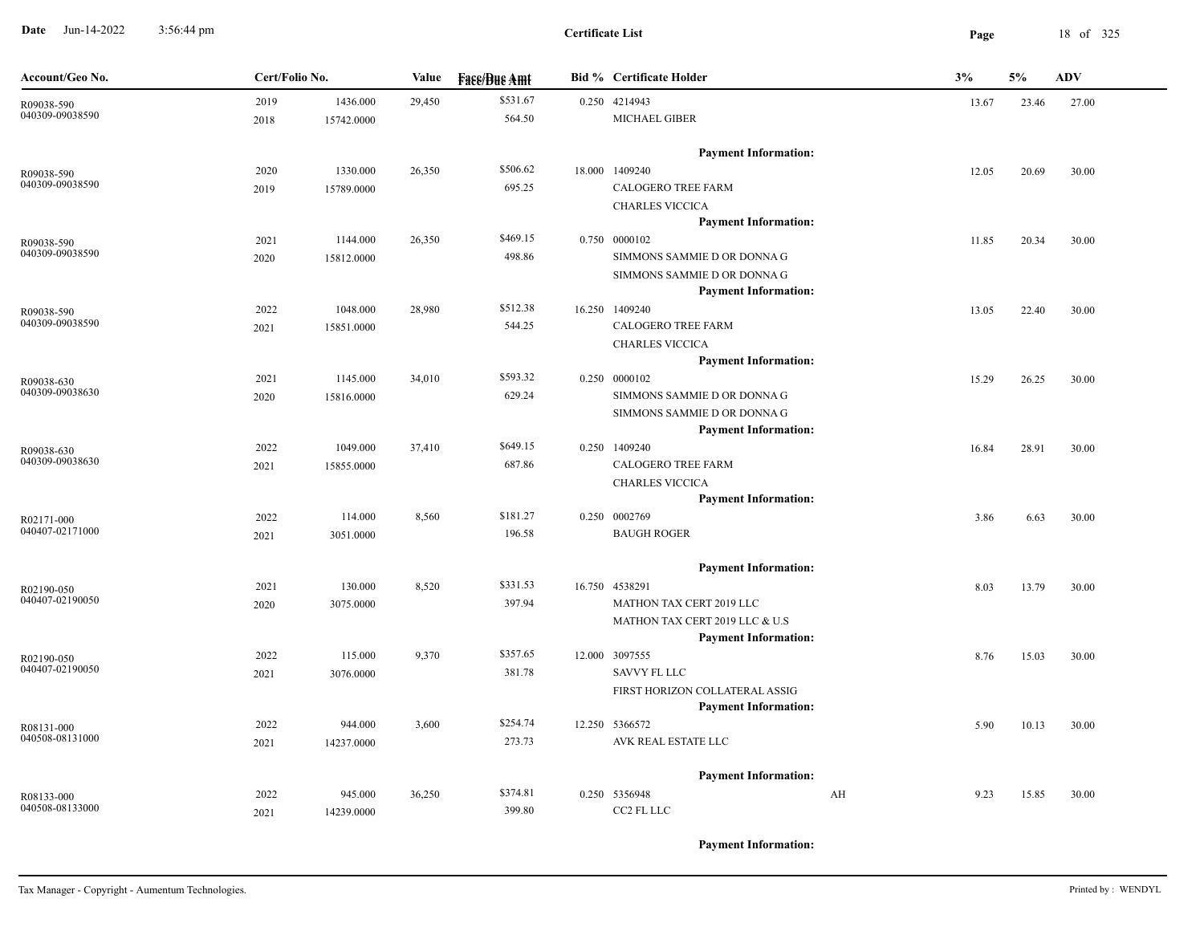**Date** Jun-14-2022 3:56:44 pm **Page** 18 of 325 3:56:44 pm

| Account/Geo No.               | Cert/Folio No. |            | Value  | <b>Face/Bue Amt</b> | <b>Bid % Certificate Holder</b>                       | 3% |       | 5%    | <b>ADV</b> |
|-------------------------------|----------------|------------|--------|---------------------|-------------------------------------------------------|----|-------|-------|------------|
| R09038-590                    | 2019           | 1436.000   | 29,450 | \$531.67            | 0.250 4214943                                         |    | 13.67 | 23.46 | 27.00      |
| 040309-09038590               | 2018           | 15742.0000 |        | 564.50              | MICHAEL GIBER                                         |    |       |       |            |
|                               |                |            |        |                     | <b>Payment Information:</b>                           |    |       |       |            |
| R09038-590                    | 2020           | 1330.000   | 26,350 | \$506.62            | 18.000 1409240                                        |    | 12.05 | 20.69 | 30.00      |
| 040309-09038590               | 2019           | 15789.0000 |        | 695.25              | <b>CALOGERO TREE FARM</b>                             |    |       |       |            |
|                               |                |            |        |                     | <b>CHARLES VICCICA</b>                                |    |       |       |            |
|                               |                |            |        |                     | <b>Payment Information:</b>                           |    |       |       |            |
| R09038-590                    | 2021           | 1144.000   | 26,350 | \$469.15            | 0.750 0000102                                         |    | 11.85 | 20.34 | 30.00      |
| 040309-09038590               | 2020           | 15812.0000 |        | 498.86              | SIMMONS SAMMIE D OR DONNA G                           |    |       |       |            |
|                               |                |            |        |                     | SIMMONS SAMMIE D OR DONNA G                           |    |       |       |            |
|                               |                |            |        |                     | <b>Payment Information:</b>                           |    |       |       |            |
| R09038-590<br>040309-09038590 | 2022           | 1048.000   | 28,980 | \$512.38            | 16.250 1409240                                        |    | 13.05 | 22.40 | 30.00      |
|                               | 2021           | 15851.0000 |        | 544.25              | <b>CALOGERO TREE FARM</b>                             |    |       |       |            |
|                               |                |            |        |                     | <b>CHARLES VICCICA</b><br><b>Payment Information:</b> |    |       |       |            |
|                               | 2021           | 1145.000   | 34,010 | \$593.32            | 0.250 0000102                                         |    | 15.29 | 26.25 | 30.00      |
| R09038-630<br>040309-09038630 | 2020           | 15816.0000 |        | 629.24              | SIMMONS SAMMIE D OR DONNA G                           |    |       |       |            |
|                               |                |            |        |                     | SIMMONS SAMMIE D OR DONNA G                           |    |       |       |            |
|                               |                |            |        |                     | <b>Payment Information:</b>                           |    |       |       |            |
| R09038-630                    | 2022           | 1049.000   | 37,410 | \$649.15            | 0.250 1409240                                         |    | 16.84 | 28.91 | 30.00      |
| 040309-09038630               | 2021           | 15855.0000 |        | 687.86              | <b>CALOGERO TREE FARM</b>                             |    |       |       |            |
|                               |                |            |        |                     | <b>CHARLES VICCICA</b>                                |    |       |       |            |
|                               |                |            |        |                     | <b>Payment Information:</b>                           |    |       |       |            |
| R02171-000                    | 2022           | 114.000    | 8,560  | \$181.27            | 0.250 0002769                                         |    | 3.86  | 6.63  | 30.00      |
| 040407-02171000               | 2021           | 3051.0000  |        | 196.58              | <b>BAUGH ROGER</b>                                    |    |       |       |            |
|                               |                |            |        |                     | <b>Payment Information:</b>                           |    |       |       |            |
| R02190-050                    | 2021           | 130.000    | 8,520  | \$331.53            | 16.750 4538291                                        |    | 8.03  | 13.79 | 30.00      |
| 040407-02190050               | 2020           | 3075.0000  |        | 397.94              | MATHON TAX CERT 2019 LLC                              |    |       |       |            |
|                               |                |            |        |                     | MATHON TAX CERT 2019 LLC & U.S                        |    |       |       |            |
|                               |                |            |        |                     | <b>Payment Information:</b>                           |    |       |       |            |
| R02190-050                    | 2022           | 115.000    | 9,370  | \$357.65            | 12.000 3097555                                        |    | 8.76  | 15.03 | 30.00      |
| 040407-02190050               | 2021           | 3076.0000  |        | 381.78              | SAVVY FL LLC                                          |    |       |       |            |
|                               |                |            |        |                     | FIRST HORIZON COLLATERAL ASSIG                        |    |       |       |            |
|                               |                |            |        |                     | <b>Payment Information:</b>                           |    |       |       |            |
| R08131-000<br>040508-08131000 | 2022           | 944.000    | 3,600  | \$254.74            | 12.250 5366572                                        |    | 5.90  | 10.13 | 30.00      |
|                               | 2021           | 14237.0000 |        | 273.73              | AVK REAL ESTATE LLC                                   |    |       |       |            |
|                               |                |            |        |                     | <b>Payment Information:</b>                           |    |       |       |            |
| R08133-000                    | 2022           | 945.000    | 36,250 | \$374.81            | 0.250 5356948                                         | AH | 9.23  | 15.85 | 30.00      |
| 040508-08133000               | 2021           | 14239.0000 |        | 399.80              | CC2 FL LLC                                            |    |       |       |            |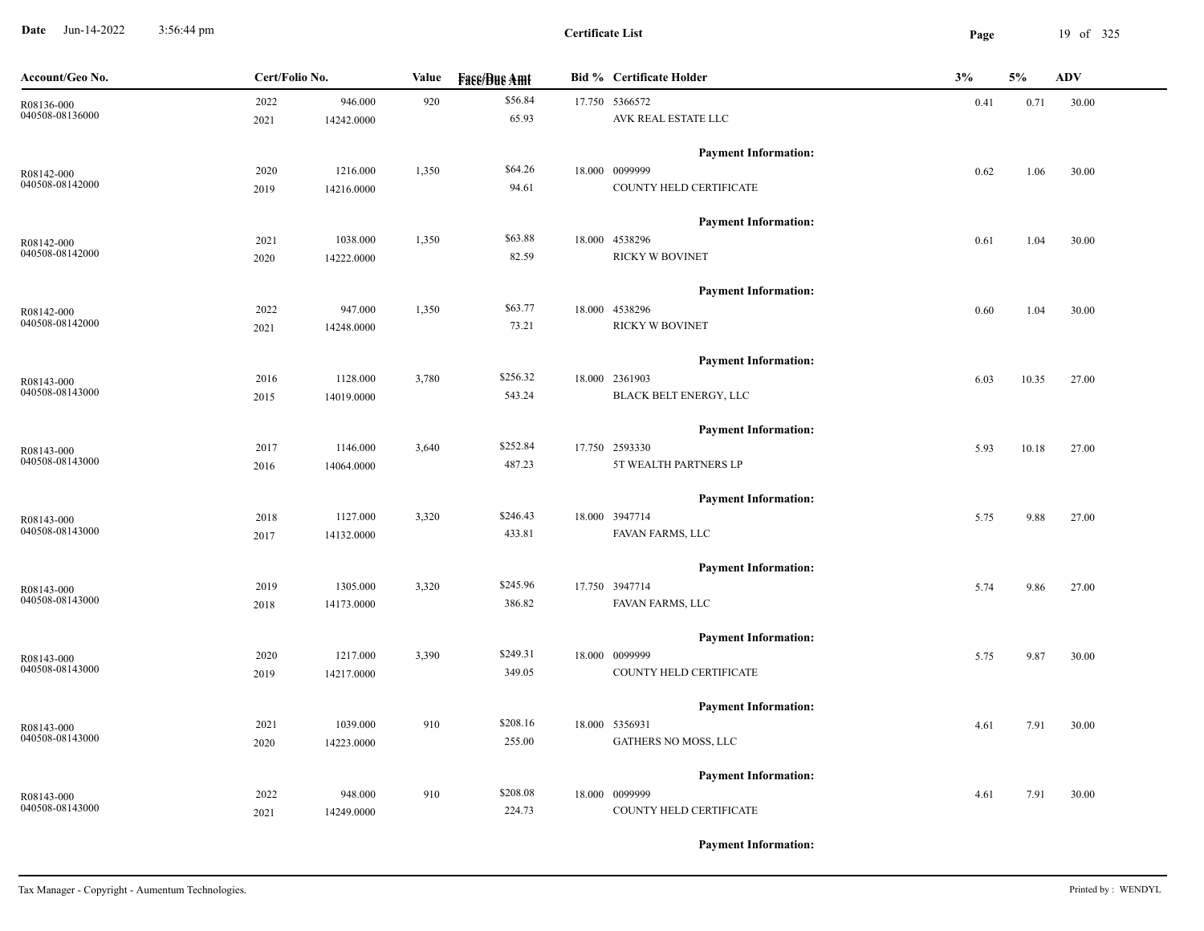**Date** Jun-14-2022 3:56:44 pm **Page** 19 of 325 3:56:44 pm

**Certificate List**

| Account/Geo No. | Cert/Folio No. |            | Value | <b>Face/Bue Amt</b> | <b>Bid % Certificate Holder</b> | 3%   | 5%    | <b>ADV</b> |
|-----------------|----------------|------------|-------|---------------------|---------------------------------|------|-------|------------|
| R08136-000      | 2022           | 946.000    | 920   | \$56.84             | 17.750 5366572                  | 0.41 | 0.71  | 30.00      |
| 040508-08136000 | 2021           | 14242.0000 |       | 65.93               | AVK REAL ESTATE LLC             |      |       |            |
|                 |                |            |       |                     | <b>Payment Information:</b>     |      |       |            |
| R08142-000      | 2020           | 1216.000   | 1,350 | \$64.26             | 18.000 0099999                  | 0.62 | 1.06  | 30.00      |
| 040508-08142000 | 2019           | 14216.0000 |       | 94.61               | COUNTY HELD CERTIFICATE         |      |       |            |
|                 |                |            |       |                     | <b>Payment Information:</b>     |      |       |            |
| R08142-000      | 2021           | 1038.000   | 1,350 | \$63.88             | 18.000 4538296                  | 0.61 | 1.04  | 30.00      |
| 040508-08142000 | 2020           | 14222.0000 |       | 82.59               | <b>RICKY W BOVINET</b>          |      |       |            |
|                 |                |            |       |                     | <b>Payment Information:</b>     |      |       |            |
| R08142-000      | 2022           | 947.000    | 1,350 | \$63.77             | 18.000 4538296                  | 0.60 | 1.04  | 30.00      |
| 040508-08142000 | 2021           | 14248.0000 |       | 73.21               | <b>RICKY W BOVINET</b>          |      |       |            |
|                 |                |            |       |                     | <b>Payment Information:</b>     |      |       |            |
| R08143-000      | 2016           | 1128.000   | 3,780 | \$256.32            | 18.000 2361903                  | 6.03 | 10.35 | 27.00      |
| 040508-08143000 | 2015           | 14019.0000 |       | 543.24              | BLACK BELT ENERGY, LLC          |      |       |            |
|                 |                |            |       |                     | <b>Payment Information:</b>     |      |       |            |
| R08143-000      | 2017           | 1146.000   | 3,640 | \$252.84            | 17.750 2593330                  | 5.93 | 10.18 | 27.00      |
| 040508-08143000 | 2016           | 14064.0000 |       | 487.23              | 5T WEALTH PARTNERS LP           |      |       |            |
|                 |                |            |       |                     | <b>Payment Information:</b>     |      |       |            |
| R08143-000      | 2018           | 1127.000   | 3,320 | \$246.43            | 18.000 3947714                  | 5.75 | 9.88  | 27.00      |
| 040508-08143000 | 2017           | 14132.0000 |       | 433.81              | FAVAN FARMS, LLC                |      |       |            |
|                 |                |            |       |                     | <b>Payment Information:</b>     |      |       |            |
| R08143-000      | 2019           | 1305.000   | 3,320 | \$245.96            | 17.750 3947714                  | 5.74 | 9.86  | 27.00      |
| 040508-08143000 | 2018           | 14173.0000 |       | 386.82              | FAVAN FARMS, LLC                |      |       |            |
|                 |                |            |       |                     | <b>Payment Information:</b>     |      |       |            |
| R08143-000      | 2020           | 1217.000   | 3,390 | \$249.31            | 18.000 0099999                  | 5.75 | 9.87  | 30.00      |
| 040508-08143000 | 2019           | 14217.0000 |       | 349.05              | COUNTY HELD CERTIFICATE         |      |       |            |
|                 |                |            |       |                     | <b>Payment Information:</b>     |      |       |            |
| R08143-000      | 2021           | 1039.000   | 910   | \$208.16            | 18.000 5356931                  | 4.61 | 7.91  | 30.00      |
| 040508-08143000 | 2020           | 14223.0000 |       | 255.00              | GATHERS NO MOSS, LLC            |      |       |            |
|                 |                |            |       |                     | <b>Payment Information:</b>     |      |       |            |
| R08143-000      | 2022           | 948.000    | 910   | \$208.08            | 18.000 0099999                  | 4.61 | 7.91  | 30.00      |
| 040508-08143000 | 2021           | 14249.0000 |       | 224.73              | COUNTY HELD CERTIFICATE         |      |       |            |
|                 |                |            |       |                     |                                 |      |       |            |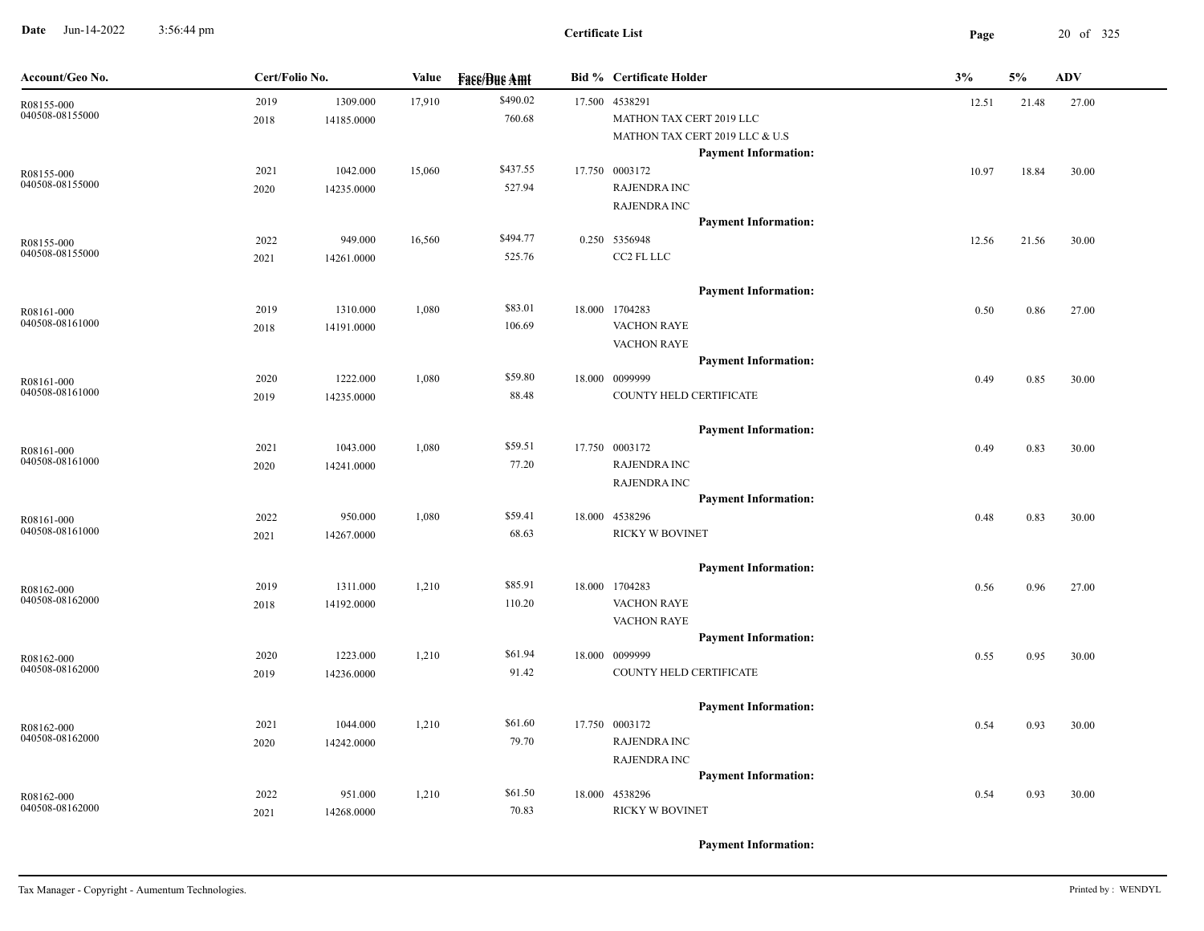**Date** Jun-14-2022 3:56:44 pm **Page** 20 of 325 3:56:44 pm

| Account/Geo No.               | Cert/Folio No. |            | Value  | <b>Face/Bue Amt</b> | <b>Bid % Certificate Holder</b> | 3%    | 5%    | <b>ADV</b> |
|-------------------------------|----------------|------------|--------|---------------------|---------------------------------|-------|-------|------------|
| R08155-000                    | 2019           | 1309.000   | 17,910 | \$490.02            | 17.500 4538291                  | 12.51 | 21.48 | 27.00      |
| 040508-08155000               | 2018           | 14185.0000 |        | 760.68              | MATHON TAX CERT 2019 LLC        |       |       |            |
|                               |                |            |        |                     | MATHON TAX CERT 2019 LLC & U.S  |       |       |            |
|                               |                |            |        |                     | <b>Payment Information:</b>     |       |       |            |
| R08155-000                    | 2021           | 1042.000   | 15,060 | \$437.55            | 17.750 0003172                  | 10.97 | 18.84 | 30.00      |
| 040508-08155000               | 2020           | 14235.0000 |        | 527.94              | <b>RAJENDRA INC</b>             |       |       |            |
|                               |                |            |        |                     | <b>RAJENDRA INC</b>             |       |       |            |
|                               |                |            |        |                     | <b>Payment Information:</b>     |       |       |            |
| R08155-000<br>040508-08155000 | 2022           | 949.000    | 16,560 | \$494.77            | 0.250 5356948                   | 12.56 | 21.56 | 30.00      |
|                               | 2021           | 14261.0000 |        | 525.76              | CC2 FL LLC                      |       |       |            |
|                               |                |            |        |                     | <b>Payment Information:</b>     |       |       |            |
| R08161-000                    | 2019           | 1310.000   | 1,080  | \$83.01             | 18.000 1704283                  | 0.50  | 0.86  | 27.00      |
| 040508-08161000               | 2018           | 14191.0000 |        | 106.69              | <b>VACHON RAYE</b>              |       |       |            |
|                               |                |            |        |                     | <b>VACHON RAYE</b>              |       |       |            |
|                               |                |            |        |                     | <b>Payment Information:</b>     |       |       |            |
| R08161-000                    | 2020           | 1222.000   | 1,080  | \$59.80             | 18.000 0099999                  | 0.49  | 0.85  | 30.00      |
| 040508-08161000               | 2019           | 14235.0000 |        | 88.48               | COUNTY HELD CERTIFICATE         |       |       |            |
|                               |                |            |        |                     | <b>Payment Information:</b>     |       |       |            |
| R08161-000                    | 2021           | 1043.000   | 1,080  | \$59.51             | 17.750 0003172                  | 0.49  | 0.83  | 30.00      |
| 040508-08161000               | 2020           | 14241.0000 |        | 77.20               | <b>RAJENDRA INC</b>             |       |       |            |
|                               |                |            |        |                     | <b>RAJENDRA INC</b>             |       |       |            |
|                               |                |            |        |                     | <b>Payment Information:</b>     |       |       |            |
| R08161-000                    | 2022           | 950.000    | 1,080  | \$59.41             | 18.000 4538296                  | 0.48  | 0.83  | 30.00      |
| 040508-08161000               | 2021           | 14267.0000 |        | 68.63               | RICKY W BOVINET                 |       |       |            |
|                               |                |            |        |                     | <b>Payment Information:</b>     |       |       |            |
| R08162-000                    | 2019           | 1311.000   | 1,210  | \$85.91             | 18.000 1704283                  | 0.56  | 0.96  | 27.00      |
| 040508-08162000               | 2018           | 14192.0000 |        | 110.20              | <b>VACHON RAYE</b>              |       |       |            |
|                               |                |            |        |                     | <b>VACHON RAYE</b>              |       |       |            |
|                               |                |            |        |                     | <b>Payment Information:</b>     |       |       |            |
| R08162-000                    | 2020           | 1223.000   | 1,210  | \$61.94             | 18.000 0099999                  | 0.55  | 0.95  | 30.00      |
| 040508-08162000               | 2019           | 14236.0000 |        | 91.42               | COUNTY HELD CERTIFICATE         |       |       |            |
|                               |                |            |        |                     | <b>Payment Information:</b>     |       |       |            |
|                               | 2021           |            |        | \$61.60             | 17.750 0003172                  |       |       |            |
| R08162-000<br>040508-08162000 |                | 1044.000   | 1,210  | 79.70               | <b>RAJENDRA INC</b>             | 0.54  | 0.93  | 30.00      |
|                               | 2020           | 14242.0000 |        |                     | <b>RAJENDRA INC</b>             |       |       |            |
|                               |                |            |        |                     | <b>Payment Information:</b>     |       |       |            |
|                               | 2022           |            |        | \$61.50             | 18.000 4538296                  |       |       |            |
| R08162-000<br>040508-08162000 |                | 951.000    | 1,210  | 70.83               | RICKY W BOVINET                 | 0.54  | 0.93  | 30.00      |
|                               | 2021           | 14268.0000 |        |                     |                                 |       |       |            |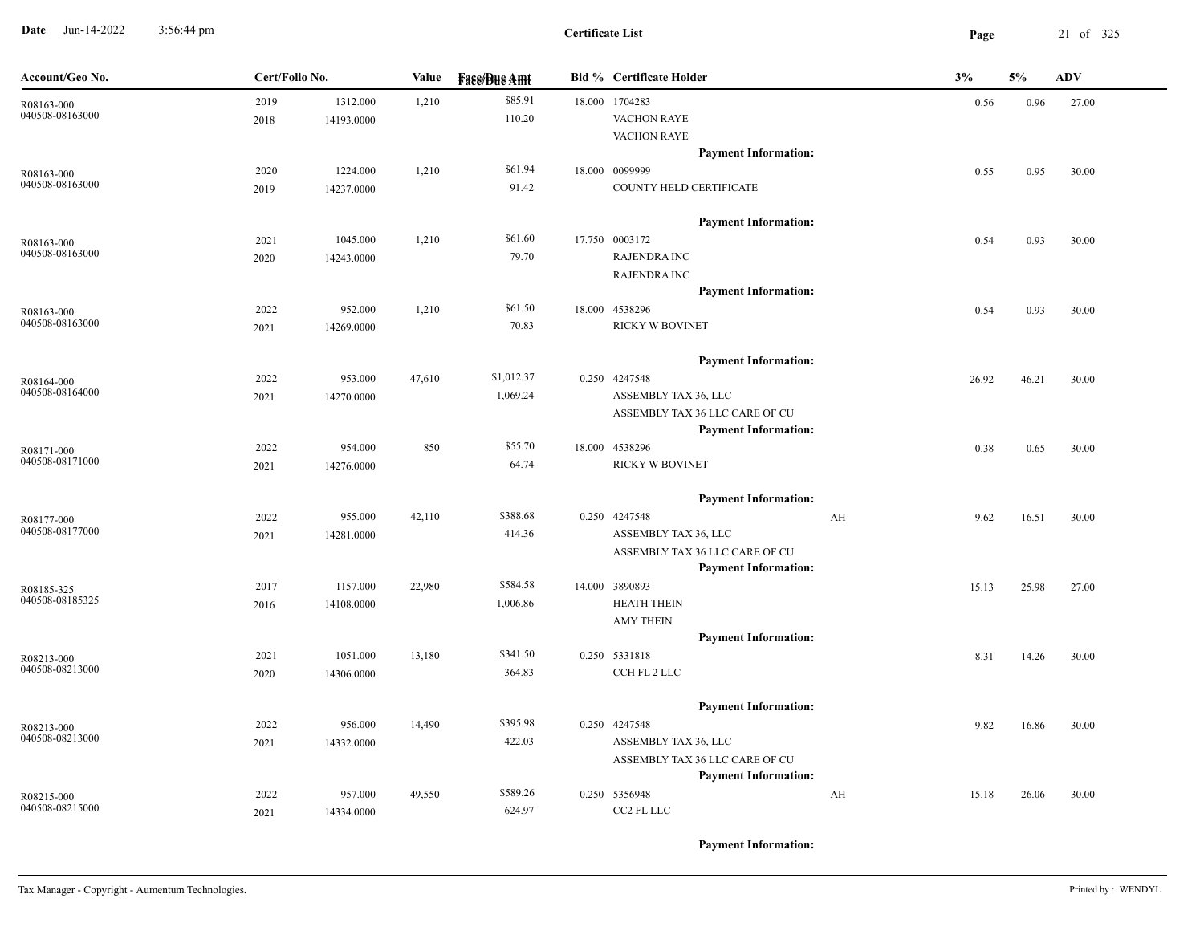**Date** Jun-14-2022 3:56:44 pm **Page** 21 of 325 3:56:44 pm

| Account/Geo No.               | Cert/Folio No. |                        | Value  | <b>Fase/Bue Amt</b> | <b>Bid % Certificate Holder</b>                               |    | 3%    | 5%    | <b>ADV</b> |
|-------------------------------|----------------|------------------------|--------|---------------------|---------------------------------------------------------------|----|-------|-------|------------|
| R08163-000<br>040508-08163000 | 2019<br>2018   | 1312.000<br>14193.0000 | 1,210  | \$85.91<br>110.20   | 18.000 1704283<br><b>VACHON RAYE</b>                          |    | 0.56  | 0.96  | 27.00      |
|                               |                |                        |        |                     | <b>VACHON RAYE</b><br><b>Payment Information:</b>             |    |       |       |            |
| R08163-000                    | 2020           | 1224.000               | 1,210  | \$61.94             | 18.000 0099999                                                |    | 0.55  | 0.95  | 30.00      |
| 040508-08163000               | 2019           | 14237.0000             |        | 91.42               | COUNTY HELD CERTIFICATE                                       |    |       |       |            |
|                               |                |                        |        |                     | <b>Payment Information:</b>                                   |    |       |       |            |
| R08163-000                    | 2021           | 1045.000               | 1,210  | \$61.60             | 17.750 0003172                                                |    | 0.54  | 0.93  | 30.00      |
| 040508-08163000               | 2020           | 14243.0000             |        | 79.70               | <b>RAJENDRA INC</b><br><b>RAJENDRA INC</b>                    |    |       |       |            |
|                               |                |                        |        |                     | <b>Payment Information:</b>                                   |    |       |       |            |
| R08163-000                    | 2022           | 952.000                | 1,210  | \$61.50             | 18.000 4538296                                                |    | 0.54  | 0.93  | 30.00      |
| 040508-08163000               | 2021           | 14269.0000             |        | 70.83               | RICKY W BOVINET                                               |    |       |       |            |
|                               |                |                        |        |                     | <b>Payment Information:</b>                                   |    |       |       |            |
| R08164-000<br>040508-08164000 | 2022           | 953.000                | 47,610 | \$1,012.37          | 0.250 4247548                                                 |    | 26.92 | 46.21 | 30.00      |
|                               | 2021           | 14270.0000             |        | 1,069.24            | ASSEMBLY TAX 36, LLC                                          |    |       |       |            |
|                               |                |                        |        |                     | ASSEMBLY TAX 36 LLC CARE OF CU<br><b>Payment Information:</b> |    |       |       |            |
| R08171-000                    | 2022           | 954.000                | 850    | \$55.70             | 18.000 4538296                                                |    | 0.38  | 0.65  | 30.00      |
| 040508-08171000               | 2021           | 14276.0000             |        | 64.74               | <b>RICKY W BOVINET</b>                                        |    |       |       |            |
|                               |                |                        |        |                     | <b>Payment Information:</b>                                   |    |       |       |            |
| R08177-000                    | 2022           | 955.000                | 42,110 | \$388.68            | 0.250 4247548                                                 | AH | 9.62  | 16.51 | 30.00      |
| 040508-08177000               | 2021           | 14281.0000             |        | 414.36              | ASSEMBLY TAX 36, LLC                                          |    |       |       |            |
|                               |                |                        |        |                     | ASSEMBLY TAX 36 LLC CARE OF CU<br><b>Payment Information:</b> |    |       |       |            |
| R08185-325                    | 2017           | 1157.000               | 22,980 | \$584.58            | 14.000 3890893                                                |    | 15.13 | 25.98 | 27.00      |
| 040508-08185325               | 2016           | 14108.0000             |        | 1,006.86            | <b>HEATH THEIN</b>                                            |    |       |       |            |
|                               |                |                        |        |                     | <b>AMY THEIN</b>                                              |    |       |       |            |
|                               |                |                        |        |                     | <b>Payment Information:</b>                                   |    |       |       |            |
| R08213-000<br>040508-08213000 | 2021           | 1051.000               | 13,180 | \$341.50            | 0.250 5331818                                                 |    | 8.31  | 14.26 | 30.00      |
|                               | 2020           | 14306.0000             |        | 364.83              | CCH FL 2 LLC                                                  |    |       |       |            |
|                               |                |                        |        |                     | <b>Payment Information:</b>                                   |    |       |       |            |
| R08213-000<br>040508-08213000 | 2022           | 956.000                | 14,490 | \$395.98            | 0.250 4247548                                                 |    | 9.82  | 16.86 | 30.00      |
|                               | 2021           | 14332.0000             |        | 422.03              | ASSEMBLY TAX 36, LLC<br>ASSEMBLY TAX 36 LLC CARE OF CU        |    |       |       |            |
|                               |                |                        |        |                     | <b>Payment Information:</b>                                   |    |       |       |            |
| R08215-000                    | 2022           | 957.000                | 49,550 | \$589.26            | 0.250 5356948                                                 | AH | 15.18 | 26.06 | 30.00      |
| 040508-08215000               | 2021           | 14334.0000             |        | 624.97              | CC2 FL LLC                                                    |    |       |       |            |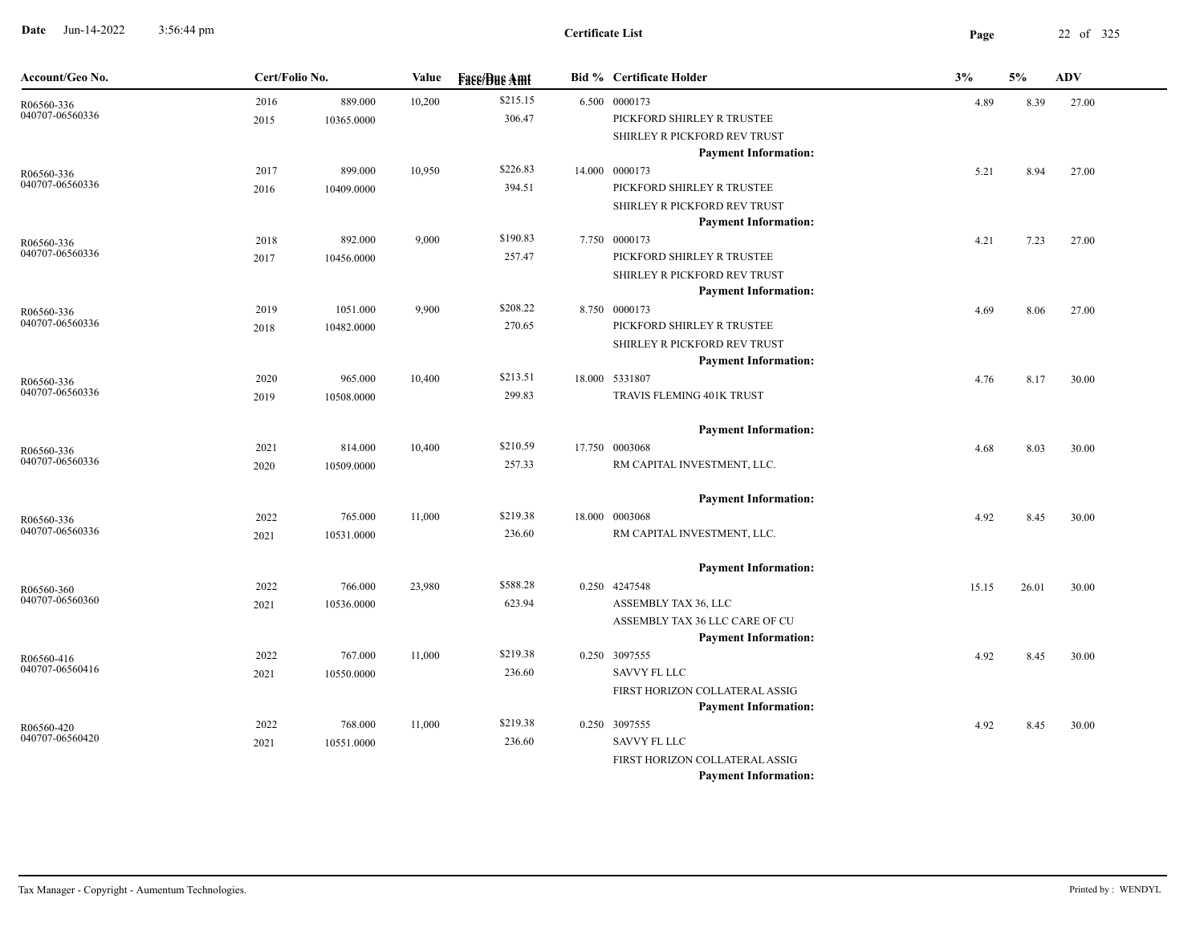**Date** Jun-14-2022 3:56:44 pm **Page** 22 of 325 3:56:44 pm

| Account/Geo No.               | Cert/Folio No. |            | Value  | <b>Face/Bue Amt</b> | <b>Bid %</b> Certificate Holder | 3%    | 5%    | <b>ADV</b> |
|-------------------------------|----------------|------------|--------|---------------------|---------------------------------|-------|-------|------------|
| R06560-336                    | 2016           | 889.000    | 10,200 | \$215.15            | 6.500 0000173                   | 4.89  | 8.39  | 27.00      |
| 040707-06560336               | 2015           | 10365.0000 |        | 306.47              | PICKFORD SHIRLEY R TRUSTEE      |       |       |            |
|                               |                |            |        |                     | SHIRLEY R PICKFORD REV TRUST    |       |       |            |
|                               |                |            |        |                     | <b>Payment Information:</b>     |       |       |            |
| R06560-336                    | 2017           | 899.000    | 10,950 | \$226.83            | 14.000 0000173                  | 5.21  | 8.94  | 27.00      |
| 040707-06560336               | 2016           | 10409.0000 |        | 394.51              | PICKFORD SHIRLEY R TRUSTEE      |       |       |            |
|                               |                |            |        |                     | SHIRLEY R PICKFORD REV TRUST    |       |       |            |
|                               |                |            |        |                     | <b>Payment Information:</b>     |       |       |            |
| R06560-336                    | 2018           | 892.000    | 9,000  | \$190.83            | 7.750 0000173                   | 4.21  | 7.23  | 27.00      |
| 040707-06560336               | 2017           | 10456.0000 |        | 257.47              | PICKFORD SHIRLEY R TRUSTEE      |       |       |            |
|                               |                |            |        |                     | SHIRLEY R PICKFORD REV TRUST    |       |       |            |
|                               |                |            |        |                     | <b>Payment Information:</b>     |       |       |            |
| R06560-336<br>040707-06560336 | 2019           | 1051.000   | 9,900  | \$208.22            | 8.750 0000173                   | 4.69  | 8.06  | 27.00      |
|                               | 2018           | 10482.0000 |        | 270.65              | PICKFORD SHIRLEY R TRUSTEE      |       |       |            |
|                               |                |            |        |                     | SHIRLEY R PICKFORD REV TRUST    |       |       |            |
|                               |                |            |        |                     | <b>Payment Information:</b>     |       |       |            |
| R06560-336<br>040707-06560336 | 2020           | 965.000    | 10,400 | \$213.51            | 18.000 5331807                  | 4.76  | 8.17  | 30.00      |
|                               | 2019           | 10508.0000 |        | 299.83              | TRAVIS FLEMING 401K TRUST       |       |       |            |
|                               |                |            |        |                     | <b>Payment Information:</b>     |       |       |            |
| R06560-336                    | 2021           | 814.000    | 10,400 | \$210.59            | 17.750 0003068                  | 4.68  | 8.03  | 30.00      |
| 040707-06560336               | 2020           | 10509.0000 |        | 257.33              | RM CAPITAL INVESTMENT, LLC.     |       |       |            |
|                               |                |            |        |                     | <b>Payment Information:</b>     |       |       |            |
| R06560-336                    | 2022           | 765.000    | 11,000 | \$219.38            | 18.000 0003068                  | 4.92  | 8.45  | 30.00      |
| 040707-06560336               | 2021           | 10531.0000 |        | 236.60              | RM CAPITAL INVESTMENT, LLC.     |       |       |            |
|                               |                |            |        |                     | <b>Payment Information:</b>     |       |       |            |
| R06560-360                    | 2022           | 766.000    | 23,980 | \$588.28            | 0.250 4247548                   | 15.15 | 26.01 | 30.00      |
| 040707-06560360               | 2021           | 10536.0000 |        | 623.94              | ASSEMBLY TAX 36, LLC            |       |       |            |
|                               |                |            |        |                     | ASSEMBLY TAX 36 LLC CARE OF CU  |       |       |            |
|                               |                |            |        |                     | <b>Payment Information:</b>     |       |       |            |
| R06560-416                    | 2022           | 767.000    | 11,000 | \$219.38            | 0.250 3097555                   | 4.92  | 8.45  | 30.00      |
| 040707-06560416               | 2021           | 10550.0000 |        | 236.60              | <b>SAVVY FL LLC</b>             |       |       |            |
|                               |                |            |        |                     | FIRST HORIZON COLLATERAL ASSIG  |       |       |            |
|                               |                |            |        |                     | <b>Payment Information:</b>     |       |       |            |
| R06560-420                    | 2022           | 768.000    | 11,000 | \$219.38            | 0.250 3097555                   | 4.92  | 8.45  | 30.00      |
| 040707-06560420               | 2021           | 10551.0000 |        | 236.60              | <b>SAVVY FL LLC</b>             |       |       |            |
|                               |                |            |        |                     | FIRST HORIZON COLLATERAL ASSIG  |       |       |            |
|                               |                |            |        |                     | <b>Payment Information:</b>     |       |       |            |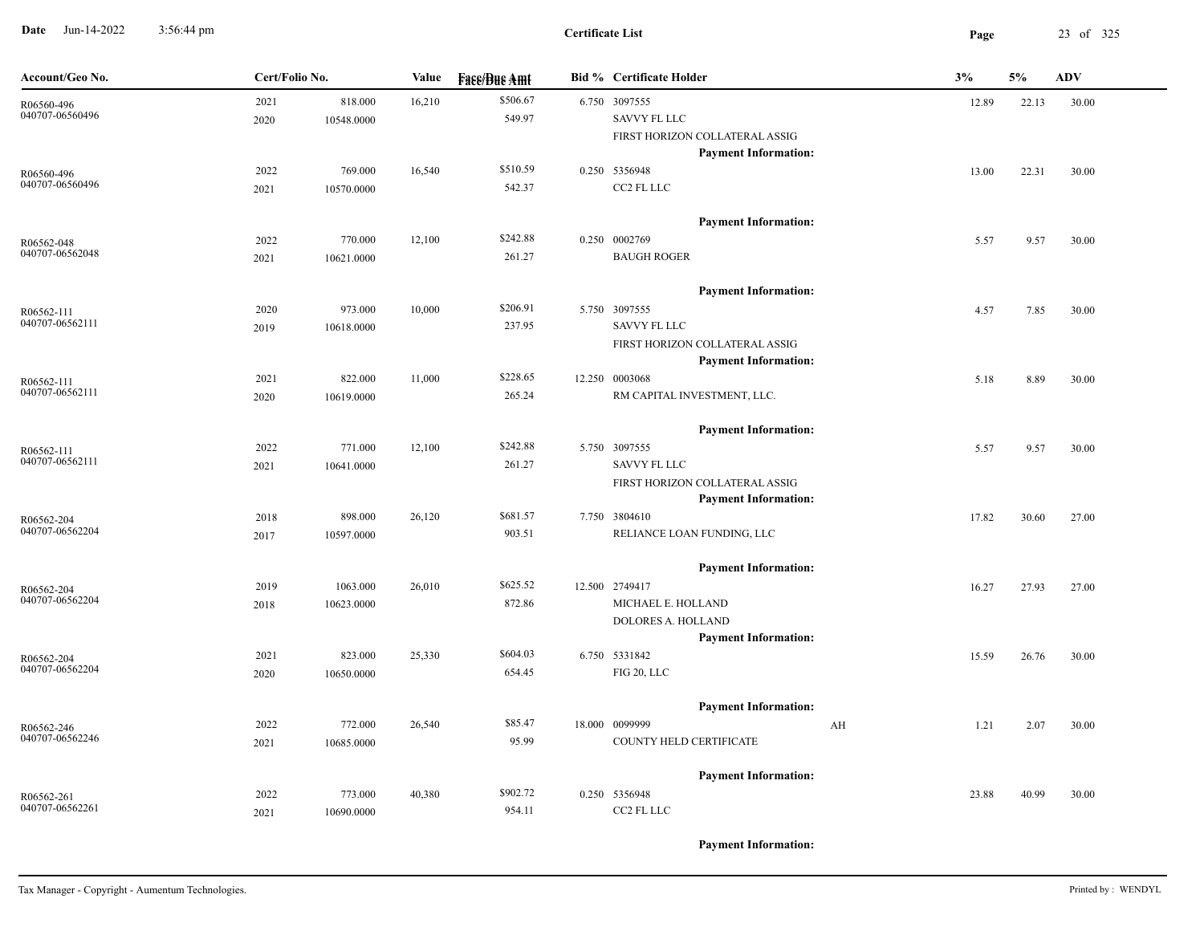**Date** Jun-14-2022 3:56:44 pm **Page** 23 of 325 3:56:44 pm

| Account/Geo No.               | Cert/Folio No. |            | Value  | <b>Fase/Bue Amt</b> | <b>Bid % Certificate Holder</b>                               | 3%         | 5%    | <b>ADV</b> |
|-------------------------------|----------------|------------|--------|---------------------|---------------------------------------------------------------|------------|-------|------------|
| R06560-496                    | 2021           | 818.000    | 16,210 | \$506.67            | 6.750 3097555                                                 | 12.89      | 22.13 | 30.00      |
| 040707-06560496               | 2020           | 10548.0000 |        | 549.97              | <b>SAVVY FL LLC</b>                                           |            |       |            |
|                               |                |            |        |                     | FIRST HORIZON COLLATERAL ASSIG                                |            |       |            |
|                               |                |            |        |                     | <b>Payment Information:</b>                                   |            |       |            |
| R06560-496<br>040707-06560496 | 2022           | 769.000    | 16,540 | \$510.59            | 0.250 5356948                                                 | 13.00      | 22.31 | 30.00      |
|                               | 2021           | 10570.0000 |        | 542.37              | CC2 FL LLC                                                    |            |       |            |
|                               |                |            |        |                     | <b>Payment Information:</b>                                   |            |       |            |
| R06562-048                    | 2022           | 770.000    | 12,100 | \$242.88            | 0.250 0002769                                                 | 5.57       | 9.57  | 30.00      |
| 040707-06562048               | 2021           | 10621.0000 |        | 261.27              | <b>BAUGH ROGER</b>                                            |            |       |            |
|                               |                |            |        |                     |                                                               |            |       |            |
|                               |                |            |        |                     | <b>Payment Information:</b>                                   |            |       |            |
| R06562-111<br>040707-06562111 | 2020           | 973.000    | 10,000 | \$206.91            | 5.750 3097555                                                 | 4.57       | 7.85  | 30.00      |
|                               | 2019           | 10618.0000 |        | 237.95              | <b>SAVVY FL LLC</b>                                           |            |       |            |
|                               |                |            |        |                     | FIRST HORIZON COLLATERAL ASSIG<br><b>Payment Information:</b> |            |       |            |
|                               | 2021           | 822.000    | 11,000 | \$228.65            | 12.250 0003068                                                | 5.18       | 8.89  | 30.00      |
| R06562-111<br>040707-06562111 | 2020           | 10619.0000 |        | 265.24              | RM CAPITAL INVESTMENT, LLC.                                   |            |       |            |
|                               |                |            |        |                     |                                                               |            |       |            |
|                               |                |            |        |                     | <b>Payment Information:</b>                                   |            |       |            |
| R06562-111                    | 2022           | 771.000    | 12,100 | \$242.88            | 5.750 3097555                                                 | 5.57       | 9.57  | 30.00      |
| 040707-06562111               | 2021           | 10641.0000 |        | 261.27              | <b>SAVVY FL LLC</b>                                           |            |       |            |
|                               |                |            |        |                     | FIRST HORIZON COLLATERAL ASSIG                                |            |       |            |
|                               |                |            |        | \$681.57            | <b>Payment Information:</b>                                   |            |       |            |
| R06562-204<br>040707-06562204 | 2018<br>2017   | 898.000    | 26,120 | 903.51              | 7.750 3804610<br>RELIANCE LOAN FUNDING, LLC                   | 17.82      | 30.60 | 27.00      |
|                               |                | 10597.0000 |        |                     |                                                               |            |       |            |
|                               |                |            |        |                     | <b>Payment Information:</b>                                   |            |       |            |
| R06562-204                    | 2019           | 1063.000   | 26,010 | \$625.52            | 12.500 2749417                                                | 16.27      | 27.93 | 27.00      |
| 040707-06562204               | 2018           | 10623.0000 |        | 872.86              | MICHAEL E. HOLLAND                                            |            |       |            |
|                               |                |            |        |                     | DOLORES A. HOLLAND                                            |            |       |            |
|                               |                |            |        | \$604.03            | <b>Payment Information:</b>                                   |            |       |            |
| R06562-204<br>040707-06562204 | 2021           | 823.000    | 25,330 | 654.45              | 6.750 5331842<br>FIG 20, LLC                                  | 15.59      | 26.76 | 30.00      |
|                               | 2020           | 10650.0000 |        |                     |                                                               |            |       |            |
|                               |                |            |        |                     | <b>Payment Information:</b>                                   |            |       |            |
| R06562-246                    | 2022           | 772.000    | 26,540 | \$85.47             | 18.000 0099999                                                | AH<br>1.21 | 2.07  | 30.00      |
| 040707-06562246               | 2021           | 10685.0000 |        | 95.99               | COUNTY HELD CERTIFICATE                                       |            |       |            |
|                               |                |            |        |                     |                                                               |            |       |            |
|                               |                |            |        |                     | <b>Payment Information:</b>                                   |            |       |            |
| R06562-261<br>040707-06562261 | 2022           | 773.000    | 40,380 | \$902.72            | 0.250 5356948                                                 | 23.88      | 40.99 | 30.00      |
|                               | 2021           | 10690.0000 |        | 954.11              | CC2 FL LLC                                                    |            |       |            |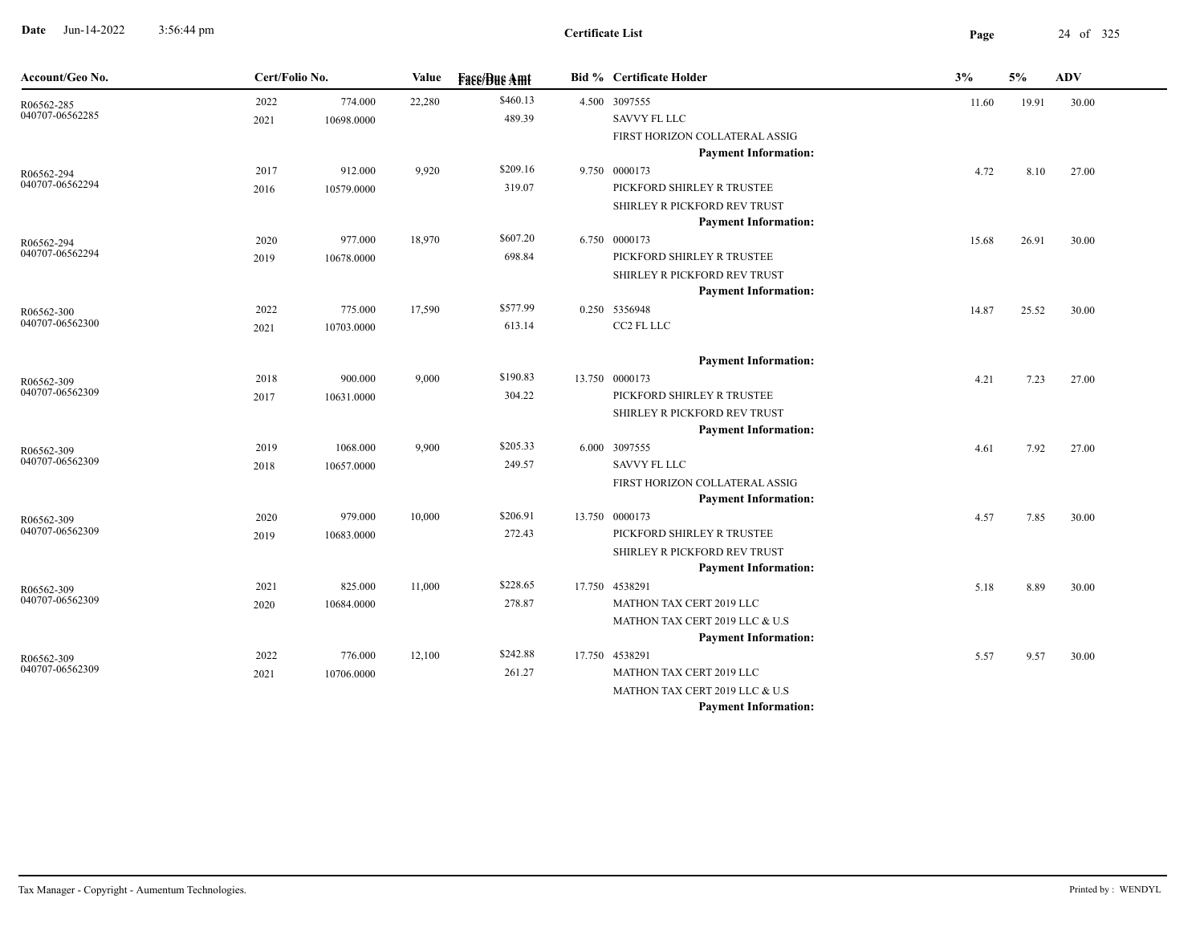**Date** Jun-14-2022 3:56:44 pm **Page** 24 of 325 3:56:44 pm

| Account/Geo No.               | Cert/Folio No. |            | Value  | <b>Fase/Bue Amt</b> | <b>Bid % Certificate Holder</b> | 3%    | 5%    | ${\bf A}{\bf D}{\bf V}$ |
|-------------------------------|----------------|------------|--------|---------------------|---------------------------------|-------|-------|-------------------------|
| R06562-285                    | 2022           | 774.000    | 22,280 | \$460.13            | 4.500 3097555                   | 11.60 | 19.91 | 30.00                   |
| 040707-06562285               | 2021           | 10698.0000 |        | 489.39              | SAVVY FL LLC                    |       |       |                         |
|                               |                |            |        |                     | FIRST HORIZON COLLATERAL ASSIG  |       |       |                         |
|                               |                |            |        |                     | <b>Payment Information:</b>     |       |       |                         |
| R06562-294                    | 2017           | 912.000    | 9,920  | \$209.16            | 9.750 0000173                   | 4.72  | 8.10  | 27.00                   |
| 040707-06562294               | 2016           | 10579.0000 |        | 319.07              | PICKFORD SHIRLEY R TRUSTEE      |       |       |                         |
|                               |                |            |        |                     | SHIRLEY R PICKFORD REV TRUST    |       |       |                         |
|                               |                |            |        |                     | <b>Payment Information:</b>     |       |       |                         |
| R06562-294<br>040707-06562294 | 2020           | 977.000    | 18,970 | \$607.20            | 6.750 0000173                   | 15.68 | 26.91 | 30.00                   |
|                               | 2019           | 10678.0000 |        | 698.84              | PICKFORD SHIRLEY R TRUSTEE      |       |       |                         |
|                               |                |            |        |                     | SHIRLEY R PICKFORD REV TRUST    |       |       |                         |
|                               |                |            |        |                     | <b>Payment Information:</b>     |       |       |                         |
| R06562-300<br>040707-06562300 | 2022           | 775.000    | 17,590 | \$577.99            | 0.250 5356948                   | 14.87 | 25.52 | 30.00                   |
|                               | 2021           | 10703.0000 |        | 613.14              | CC2 FL LLC                      |       |       |                         |
|                               |                |            |        |                     | <b>Payment Information:</b>     |       |       |                         |
| R06562-309                    | 2018           | 900.000    | 9,000  | \$190.83            | 13.750 0000173                  | 4.21  | 7.23  | 27.00                   |
| 040707-06562309               | 2017           | 10631.0000 |        | 304.22              | PICKFORD SHIRLEY R TRUSTEE      |       |       |                         |
|                               |                |            |        |                     | SHIRLEY R PICKFORD REV TRUST    |       |       |                         |
|                               |                |            |        |                     | <b>Payment Information:</b>     |       |       |                         |
| R06562-309                    | 2019           | 1068.000   | 9,900  | \$205.33            | 6.000 3097555                   | 4.61  | 7.92  | 27.00                   |
| 040707-06562309               | 2018           | 10657.0000 |        | 249.57              | SAVVY FL LLC                    |       |       |                         |
|                               |                |            |        |                     | FIRST HORIZON COLLATERAL ASSIG  |       |       |                         |
|                               |                |            |        |                     | <b>Payment Information:</b>     |       |       |                         |
| R06562-309                    | 2020           | 979.000    | 10,000 | \$206.91            | 13.750 0000173                  | 4.57  | 7.85  | 30.00                   |
| 040707-06562309               | 2019           | 10683.0000 |        | 272.43              | PICKFORD SHIRLEY R TRUSTEE      |       |       |                         |
|                               |                |            |        |                     | SHIRLEY R PICKFORD REV TRUST    |       |       |                         |
|                               |                |            |        |                     | <b>Payment Information:</b>     |       |       |                         |
| R06562-309<br>040707-06562309 | 2021           | 825.000    | 11,000 | \$228.65            | 17.750 4538291                  | 5.18  | 8.89  | 30.00                   |
|                               | 2020           | 10684.0000 |        | 278.87              | MATHON TAX CERT 2019 LLC        |       |       |                         |
|                               |                |            |        |                     | MATHON TAX CERT 2019 LLC & U.S  |       |       |                         |
|                               |                |            |        |                     | <b>Payment Information:</b>     |       |       |                         |
| R06562-309<br>040707-06562309 | 2022           | 776.000    | 12,100 | \$242.88            | 17.750 4538291                  | 5.57  | 9.57  | 30.00                   |
|                               | 2021           | 10706.0000 |        | 261.27              | MATHON TAX CERT 2019 LLC        |       |       |                         |
|                               |                |            |        |                     | MATHON TAX CERT 2019 LLC & U.S  |       |       |                         |
|                               |                |            |        |                     | <b>Payment Information:</b>     |       |       |                         |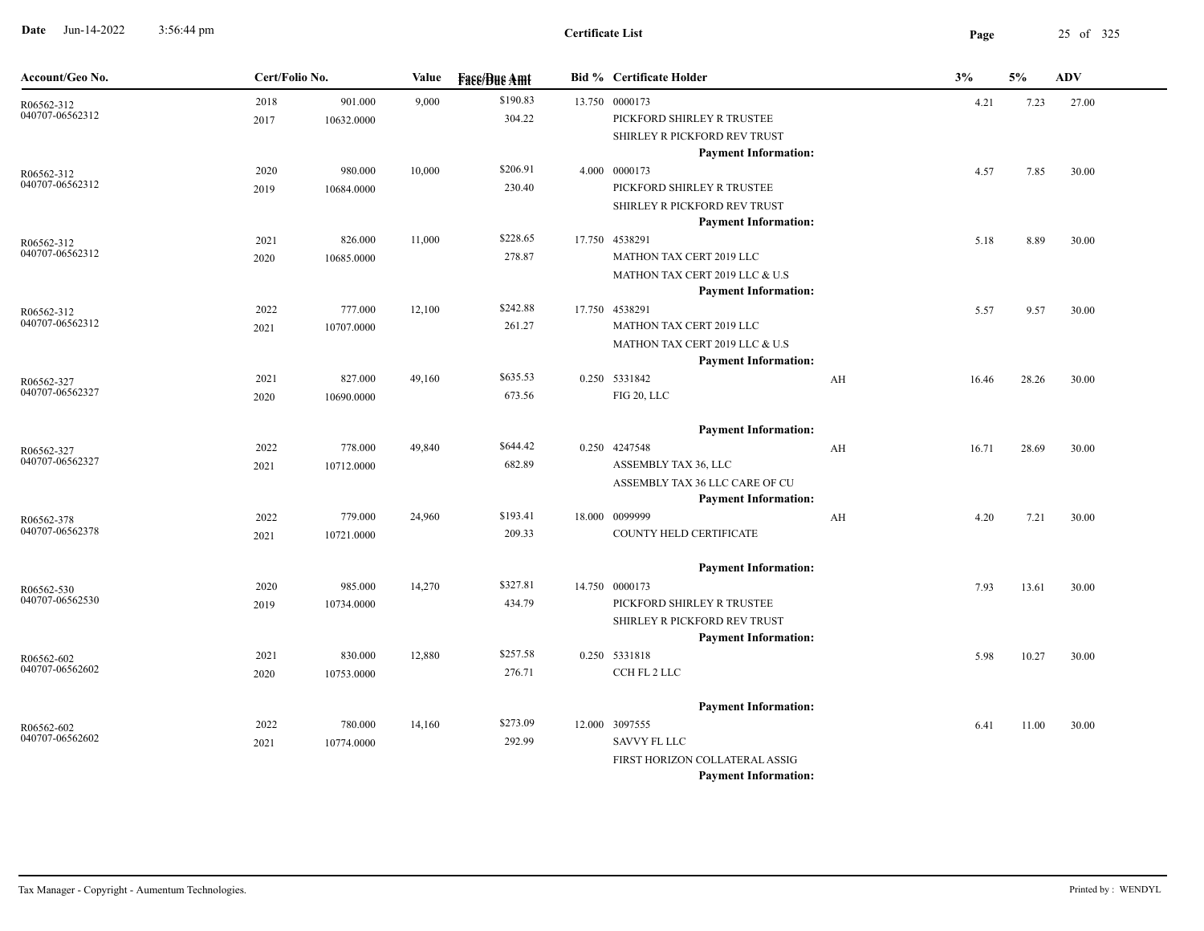**Date** Jun-14-2022 3:56:44 pm **Page** 25 of 325 3:56:44 pm

| Account/Geo No.               | Cert/Folio No. |            | Value  | <b>Fase/Bue Amt</b> | <b>Bid % Certificate Holder</b>               |    | 3%    | 5%    | <b>ADV</b> |
|-------------------------------|----------------|------------|--------|---------------------|-----------------------------------------------|----|-------|-------|------------|
| R06562-312                    | 2018           | 901.000    | 9,000  | \$190.83            | 13.750 0000173                                |    | 4.21  | 7.23  | 27.00      |
| 040707-06562312               | 2017           | 10632.0000 |        | 304.22              | PICKFORD SHIRLEY R TRUSTEE                    |    |       |       |            |
|                               |                |            |        |                     | SHIRLEY R PICKFORD REV TRUST                  |    |       |       |            |
|                               |                |            |        |                     | <b>Payment Information:</b>                   |    |       |       |            |
| R06562-312<br>040707-06562312 | 2020           | 980.000    | 10,000 | \$206.91            | 4.000 0000173                                 |    | 4.57  | 7.85  | 30.00      |
|                               | 2019           | 10684.0000 |        | 230.40              | PICKFORD SHIRLEY R TRUSTEE                    |    |       |       |            |
|                               |                |            |        |                     | SHIRLEY R PICKFORD REV TRUST                  |    |       |       |            |
|                               | 2021           | 826.000    | 11,000 | \$228.65            | <b>Payment Information:</b><br>17.750 4538291 |    | 5.18  | 8.89  | 30.00      |
| R06562-312<br>040707-06562312 | 2020           | 10685.0000 |        | 278.87              | MATHON TAX CERT 2019 LLC                      |    |       |       |            |
|                               |                |            |        |                     | MATHON TAX CERT 2019 LLC & U.S                |    |       |       |            |
|                               |                |            |        |                     | <b>Payment Information:</b>                   |    |       |       |            |
| R06562-312                    | 2022           | 777.000    | 12,100 | \$242.88            | 17.750 4538291                                |    | 5.57  | 9.57  | 30.00      |
| 040707-06562312               | 2021           | 10707.0000 |        | 261.27              | MATHON TAX CERT 2019 LLC                      |    |       |       |            |
|                               |                |            |        |                     | MATHON TAX CERT 2019 LLC & U.S                |    |       |       |            |
|                               |                |            |        |                     | <b>Payment Information:</b>                   |    |       |       |            |
| R06562-327                    | 2021           | 827.000    | 49,160 | \$635.53            | 0.250 5331842                                 | AH | 16.46 | 28.26 | 30.00      |
| 040707-06562327               | 2020           | 10690.0000 |        | 673.56              | FIG 20, LLC                                   |    |       |       |            |
|                               |                |            |        |                     |                                               |    |       |       |            |
|                               |                |            |        |                     | <b>Payment Information:</b>                   |    |       |       |            |
| R06562-327                    | 2022           | 778.000    | 49,840 | \$644.42            | 0.250 4247548                                 | AH | 16.71 | 28.69 | 30.00      |
| 040707-06562327               | 2021           | 10712.0000 |        | 682.89              | ASSEMBLY TAX 36, LLC                          |    |       |       |            |
|                               |                |            |        |                     | ASSEMBLY TAX 36 LLC CARE OF CU                |    |       |       |            |
|                               |                |            |        |                     | <b>Payment Information:</b>                   |    |       |       |            |
| R06562-378<br>040707-06562378 | 2022           | 779.000    | 24,960 | \$193.41            | 18.000 0099999                                | AH | 4.20  | 7.21  | 30.00      |
|                               | 2021           | 10721.0000 |        | 209.33              | COUNTY HELD CERTIFICATE                       |    |       |       |            |
|                               |                |            |        |                     | <b>Payment Information:</b>                   |    |       |       |            |
| R06562-530                    | 2020           | 985.000    | 14,270 | \$327.81            | 14.750 0000173                                |    | 7.93  | 13.61 | 30.00      |
| 040707-06562530               | 2019           | 10734.0000 |        | 434.79              | PICKFORD SHIRLEY R TRUSTEE                    |    |       |       |            |
|                               |                |            |        |                     | SHIRLEY R PICKFORD REV TRUST                  |    |       |       |            |
|                               |                |            |        |                     | <b>Payment Information:</b>                   |    |       |       |            |
| R06562-602                    | 2021           | 830.000    | 12,880 | \$257.58            | 0.250 5331818                                 |    | 5.98  | 10.27 | 30.00      |
| 040707-06562602               | 2020           | 10753.0000 |        | 276.71              | CCH FL 2 LLC                                  |    |       |       |            |
|                               |                |            |        |                     |                                               |    |       |       |            |
|                               |                |            |        |                     | <b>Payment Information:</b>                   |    |       |       |            |
| R06562-602                    | 2022           | 780.000    | 14,160 | \$273.09            | 12.000 3097555                                |    | 6.41  | 11.00 | 30.00      |
| 040707-06562602               | 2021           | 10774.0000 |        | 292.99              | <b>SAVVY FL LLC</b>                           |    |       |       |            |
|                               |                |            |        |                     | FIRST HORIZON COLLATERAL ASSIG                |    |       |       |            |
|                               |                |            |        |                     | <b>Payment Information:</b>                   |    |       |       |            |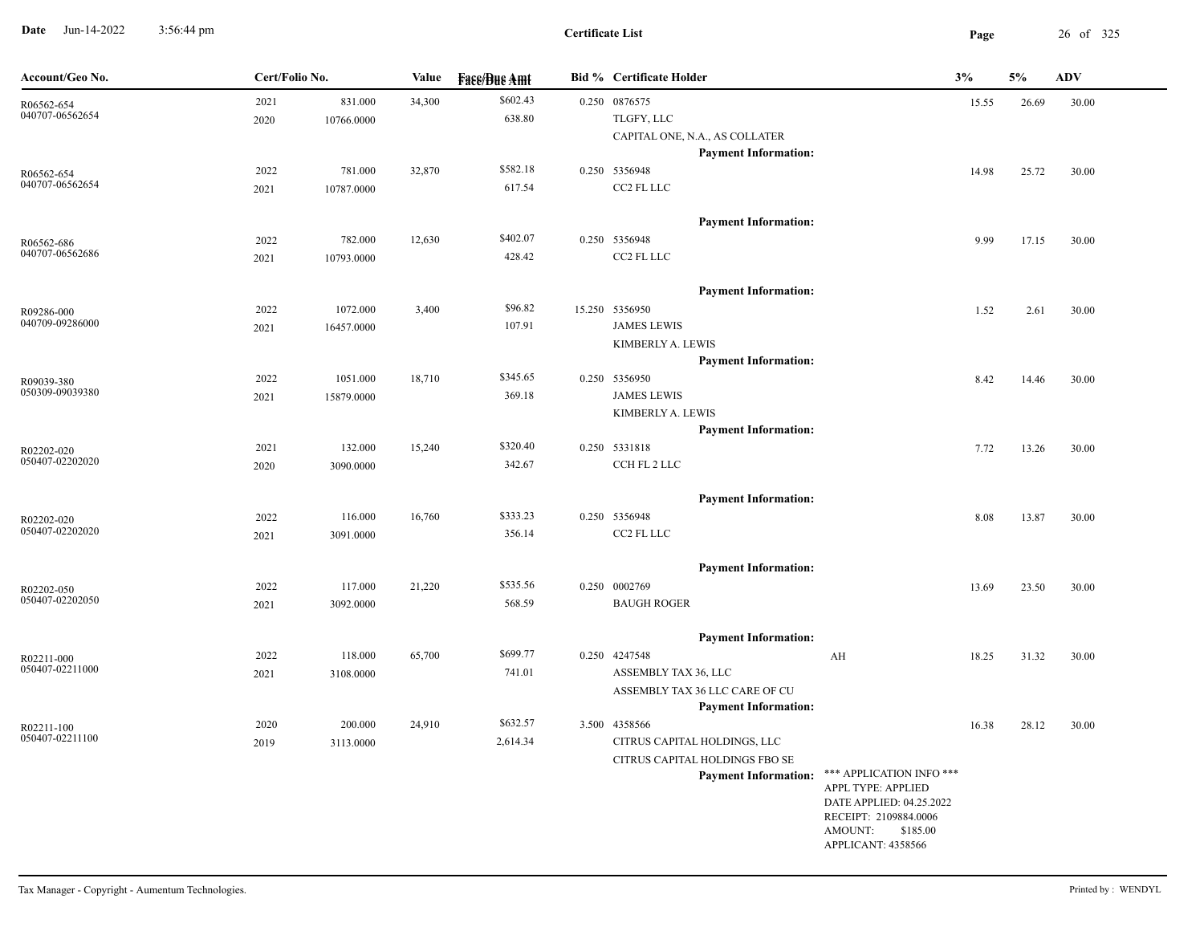**Date** Jun-14-2022 3:56:44 pm **Page** 26 of 325 3:56:44 pm

| Account/Geo No.               | Cert/Folio No. |                       | Value  | <b>Fase/Bue Amt</b> | <b>Bid % Certificate Holder</b>              |                                                | 3%    | 5%    | ADV   |
|-------------------------------|----------------|-----------------------|--------|---------------------|----------------------------------------------|------------------------------------------------|-------|-------|-------|
| R06562-654                    | 2021           | 831.000               | 34,300 | \$602.43            | 0.250 0876575                                |                                                | 15.55 | 26.69 | 30.00 |
| 040707-06562654               | 2020           | 10766.0000            |        | 638.80              | TLGFY, LLC                                   |                                                |       |       |       |
|                               |                |                       |        |                     | CAPITAL ONE, N.A., AS COLLATER               |                                                |       |       |       |
|                               |                |                       |        |                     | <b>Payment Information:</b>                  |                                                |       |       |       |
| R06562-654                    | 2022           | 781.000               | 32,870 | \$582.18            | 0.250 5356948                                |                                                | 14.98 | 25.72 | 30.00 |
| 040707-06562654               | 2021           | 10787.0000            |        | 617.54              | CC2 FL LLC                                   |                                                |       |       |       |
|                               |                |                       |        |                     |                                              |                                                |       |       |       |
|                               |                |                       |        | \$402.07            | <b>Payment Information:</b><br>0.250 5356948 |                                                |       |       |       |
| R06562-686<br>040707-06562686 | 2022<br>2021   | 782.000<br>10793.0000 | 12,630 | 428.42              | CC2 FL LLC                                   |                                                | 9.99  | 17.15 | 30.00 |
|                               |                |                       |        |                     |                                              |                                                |       |       |       |
|                               |                |                       |        |                     | <b>Payment Information:</b>                  |                                                |       |       |       |
| R09286-000                    | 2022           | 1072.000              | 3,400  | \$96.82             | 15.250 5356950                               |                                                | 1.52  | 2.61  | 30.00 |
| 040709-09286000               | 2021           | 16457.0000            |        | 107.91              | <b>JAMES LEWIS</b>                           |                                                |       |       |       |
|                               |                |                       |        |                     | KIMBERLY A. LEWIS                            |                                                |       |       |       |
|                               |                |                       |        |                     | <b>Payment Information:</b>                  |                                                |       |       |       |
| R09039-380                    | 2022           | 1051.000              | 18,710 | \$345.65            | 0.250 5356950                                |                                                | 8.42  | 14.46 | 30.00 |
| 050309-09039380               | 2021           | 15879.0000            |        | 369.18              | <b>JAMES LEWIS</b>                           |                                                |       |       |       |
|                               |                |                       |        |                     | KIMBERLY A. LEWIS                            |                                                |       |       |       |
|                               |                |                       |        |                     | <b>Payment Information:</b>                  |                                                |       |       |       |
| R02202-020                    | 2021           | 132.000               | 15,240 | \$320.40            | 0.250 5331818                                |                                                | 7.72  | 13.26 | 30.00 |
| 050407-02202020               | 2020           | 3090.0000             |        | 342.67              | CCH FL 2 LLC                                 |                                                |       |       |       |
|                               |                |                       |        |                     |                                              |                                                |       |       |       |
|                               |                |                       |        | \$333.23            | <b>Payment Information:</b>                  |                                                |       |       |       |
| R02202-020<br>050407-02202020 | 2022           | 116.000               | 16,760 | 356.14              | 0.250 5356948<br>CC2 FL LLC                  |                                                | 8.08  | 13.87 | 30.00 |
|                               | 2021           | 3091.0000             |        |                     |                                              |                                                |       |       |       |
|                               |                |                       |        |                     | <b>Payment Information:</b>                  |                                                |       |       |       |
| R02202-050                    | 2022           | 117.000               | 21,220 | \$535.56            | 0.250 0002769                                |                                                | 13.69 | 23.50 | 30.00 |
| 050407-02202050               | 2021           | 3092.0000             |        | 568.59              | <b>BAUGH ROGER</b>                           |                                                |       |       |       |
|                               |                |                       |        |                     |                                              |                                                |       |       |       |
|                               |                |                       |        |                     | <b>Payment Information:</b>                  |                                                |       |       |       |
| R02211-000                    | 2022           | 118.000               | 65,700 | \$699.77            | 0.250 4247548                                | AH                                             | 18.25 | 31.32 | 30.00 |
| 050407-02211000               | 2021           | 3108.0000             |        | 741.01              | ASSEMBLY TAX 36, LLC                         |                                                |       |       |       |
|                               |                |                       |        |                     | ASSEMBLY TAX 36 LLC CARE OF CU               |                                                |       |       |       |
|                               |                |                       |        |                     | <b>Payment Information:</b>                  |                                                |       |       |       |
| R02211-100                    | 2020           | 200.000               | 24,910 | \$632.57            | 3.500 4358566                                |                                                | 16.38 | 28.12 | 30.00 |
| 050407-02211100               | 2019           | 3113.0000             |        | 2,614.34            | CITRUS CAPITAL HOLDINGS, LLC                 |                                                |       |       |       |
|                               |                |                       |        |                     | CITRUS CAPITAL HOLDINGS FBO SE               |                                                |       |       |       |
|                               |                |                       |        |                     | <b>Payment Information:</b>                  | *** APPLICATION INFO ***<br>APPL TYPE: APPLIED |       |       |       |
|                               |                |                       |        |                     |                                              | DATE APPLIED: 04.25.2022                       |       |       |       |
|                               |                |                       |        |                     |                                              | RECEIPT: 2109884.0006                          |       |       |       |
|                               |                |                       |        |                     |                                              | AMOUNT: \$185.00<br>APPLICANT: 4358566         |       |       |       |
|                               |                |                       |        |                     |                                              |                                                |       |       |       |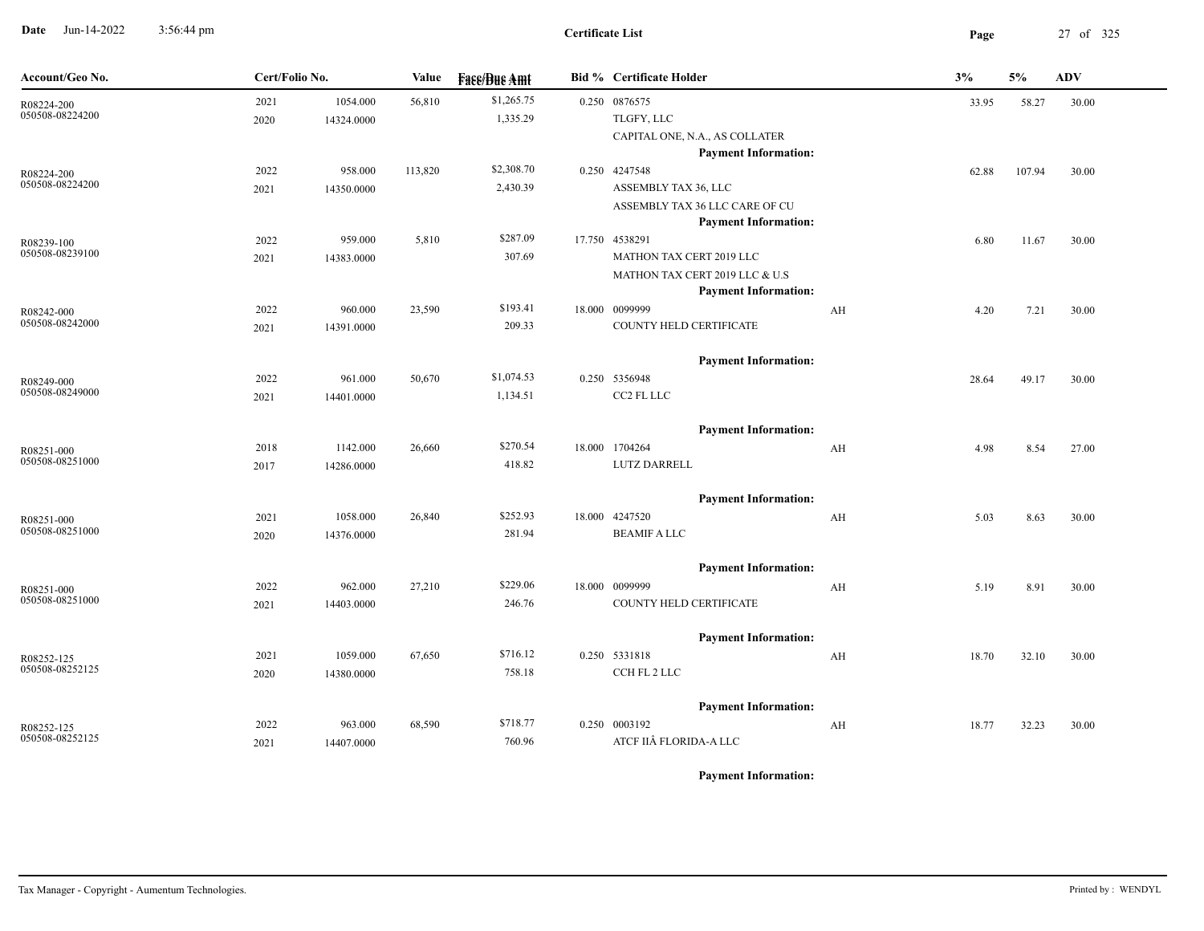**Date** Jun-14-2022 3:56:44 pm **Page** 27 of 325 3:56:44 pm

| Account/Geo No.               | Cert/Folio No. |            | <b>Value</b> | <b>Fass/Bus Amt</b> | <b>Bid % Certificate Holder</b>               |                         | 3%    | 5%     | <b>ADV</b> |
|-------------------------------|----------------|------------|--------------|---------------------|-----------------------------------------------|-------------------------|-------|--------|------------|
| R08224-200                    | 2021           | 1054.000   | 56,810       | \$1,265.75          | 0.250 0876575                                 |                         | 33.95 | 58.27  | 30.00      |
| 050508-08224200               | 2020           | 14324.0000 |              | 1,335.29            | TLGFY, LLC                                    |                         |       |        |            |
|                               |                |            |              |                     | CAPITAL ONE, N.A., AS COLLATER                |                         |       |        |            |
|                               |                |            |              |                     | <b>Payment Information:</b>                   |                         |       |        |            |
| R08224-200<br>050508-08224200 | 2022           | 958.000    | 113,820      | \$2,308.70          | 0.250 4247548                                 |                         | 62.88 | 107.94 | 30.00      |
|                               | 2021           | 14350.0000 |              | 2,430.39            | ASSEMBLY TAX 36, LLC                          |                         |       |        |            |
|                               |                |            |              |                     | ASSEMBLY TAX 36 LLC CARE OF CU                |                         |       |        |            |
|                               | 2022           | 959.000    | 5,810        | \$287.09            | <b>Payment Information:</b><br>17.750 4538291 |                         |       |        |            |
| R08239-100<br>050508-08239100 |                |            |              | 307.69              | MATHON TAX CERT 2019 LLC                      |                         | 6.80  | 11.67  | 30.00      |
|                               | 2021           | 14383.0000 |              |                     | MATHON TAX CERT 2019 LLC & U.S                |                         |       |        |            |
|                               |                |            |              |                     | <b>Payment Information:</b>                   |                         |       |        |            |
| R08242-000                    | 2022           | 960.000    | 23,590       | \$193.41            | 18.000 0099999                                | $\mathbf{A} \mathbf{H}$ | 4.20  | 7.21   | 30.00      |
| 050508-08242000               | 2021           | 14391.0000 |              | 209.33              | COUNTY HELD CERTIFICATE                       |                         |       |        |            |
|                               |                |            |              |                     |                                               |                         |       |        |            |
|                               |                |            |              |                     | <b>Payment Information:</b>                   |                         |       |        |            |
| R08249-000                    | 2022           | 961.000    | 50,670       | \$1,074.53          | 0.250 5356948                                 |                         | 28.64 | 49.17  | 30.00      |
| 050508-08249000               | 2021           | 14401.0000 |              | 1,134.51            | CC2 FL LLC                                    |                         |       |        |            |
|                               |                |            |              |                     |                                               |                         |       |        |            |
|                               |                |            |              |                     | <b>Payment Information:</b>                   |                         |       |        |            |
| R08251-000<br>050508-08251000 | 2018           | 1142.000   | 26,660       | \$270.54            | 18.000 1704264                                | AH                      | 4.98  | 8.54   | 27.00      |
|                               | 2017           | 14286.0000 |              | 418.82              | LUTZ DARRELL                                  |                         |       |        |            |
|                               |                |            |              |                     | <b>Payment Information:</b>                   |                         |       |        |            |
| R08251-000                    | 2021           | 1058.000   | 26,840       | \$252.93            | 18.000 4247520                                | $\mathbf{A} \mathbf{H}$ | 5.03  | 8.63   | 30.00      |
| 050508-08251000               | 2020           | 14376.0000 |              | 281.94              | <b>BEAMIF A LLC</b>                           |                         |       |        |            |
|                               |                |            |              |                     |                                               |                         |       |        |            |
|                               |                |            |              |                     | <b>Payment Information:</b>                   |                         |       |        |            |
| R08251-000                    | 2022           | 962.000    | 27,210       | \$229.06            | 18.000 0099999                                | AH                      | 5.19  | 8.91   | 30.00      |
| 050508-08251000               | 2021           | 14403.0000 |              | 246.76              | COUNTY HELD CERTIFICATE                       |                         |       |        |            |
|                               |                |            |              |                     |                                               |                         |       |        |            |
|                               |                |            |              |                     | <b>Payment Information:</b>                   |                         |       |        |            |
| R08252-125                    | 2021           | 1059.000   | 67,650       | \$716.12            | 0.250 5331818                                 | $\mathbf{A} \mathbf{H}$ | 18.70 | 32.10  | 30.00      |
| 050508-08252125               | 2020           | 14380.0000 |              | 758.18              | CCH FL 2 LLC                                  |                         |       |        |            |
|                               |                |            |              |                     |                                               |                         |       |        |            |
|                               | 2022           | 963.000    | 68,590       | \$718.77            | <b>Payment Information:</b><br>0.250 0003192  |                         |       |        |            |
| R08252-125<br>050508-08252125 | 2021           | 14407.0000 |              | 760.96              | ATCF IIÂ FLORIDA-A LLC                        | AH                      | 18.77 | 32.23  | 30.00      |
|                               |                |            |              |                     |                                               |                         |       |        |            |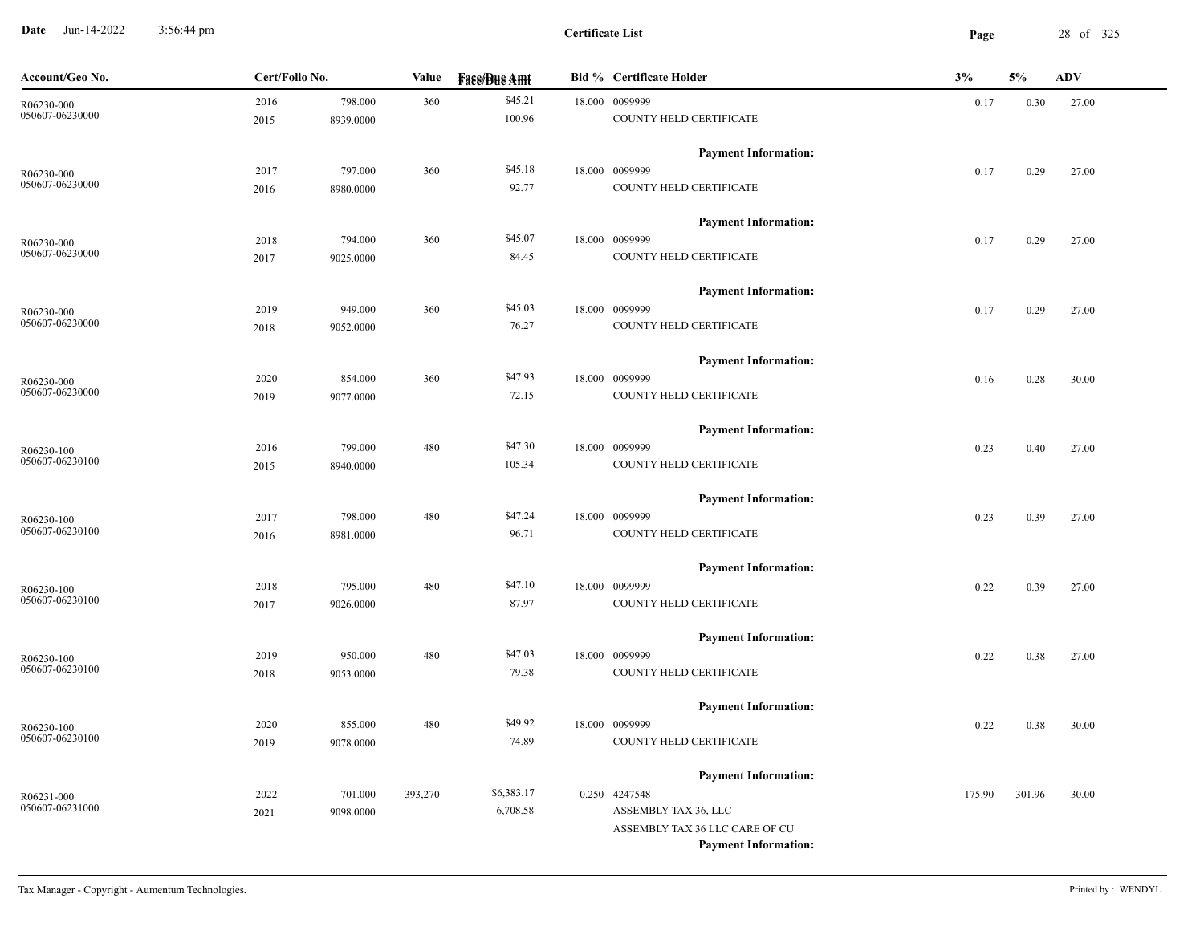**Date** Jun-14-2022 3:56:44 pm **Page** 28 of 325 3:56:44 pm

| Account/Geo No.               | Cert/Folio No. |           | Value   | <b>Face/Bue Amt</b> | <b>Bid % Certificate Holder</b>              | 3%     | 5%     | <b>ADV</b> |
|-------------------------------|----------------|-----------|---------|---------------------|----------------------------------------------|--------|--------|------------|
| R06230-000                    | 2016           | 798.000   | 360     | \$45.21             | 18.000 0099999                               | 0.17   | 0.30   | 27.00      |
| 050607-06230000               | 2015           | 8939.0000 |         | 100.96              | COUNTY HELD CERTIFICATE                      |        |        |            |
|                               |                |           |         |                     | <b>Payment Information:</b>                  |        |        |            |
| R06230-000                    | 2017           | 797.000   | 360     | \$45.18             | 18.000 0099999                               | 0.17   | 0.29   | 27.00      |
| 050607-06230000               | 2016           | 8980.0000 |         | 92.77               | COUNTY HELD CERTIFICATE                      |        |        |            |
|                               |                |           |         |                     | <b>Payment Information:</b>                  |        |        |            |
| R06230-000                    | 2018           | 794.000   | 360     | \$45.07             | 18.000 0099999                               | 0.17   | 0.29   | 27.00      |
| 050607-06230000               | 2017           | 9025.0000 |         | 84.45               | COUNTY HELD CERTIFICATE                      |        |        |            |
|                               |                |           |         |                     | <b>Payment Information:</b>                  |        |        |            |
| R06230-000                    | 2019           | 949.000   | 360     | \$45.03             | 18.000 0099999                               | 0.17   | 0.29   | 27.00      |
| 050607-06230000               | 2018           | 9052.0000 |         | 76.27               | COUNTY HELD CERTIFICATE                      |        |        |            |
|                               |                |           |         |                     | <b>Payment Information:</b>                  |        |        |            |
| R06230-000                    | 2020           | 854.000   | 360     | \$47.93             | 18.000 0099999                               | 0.16   | 0.28   | 30.00      |
| 050607-06230000               | 2019           | 9077.0000 |         | 72.15               | COUNTY HELD CERTIFICATE                      |        |        |            |
|                               |                |           |         |                     | <b>Payment Information:</b>                  |        |        |            |
| R06230-100                    | 2016           | 799.000   | 480     | \$47.30             | 18.000 0099999                               | 0.23   | 0.40   | 27.00      |
| 050607-06230100               | 2015           | 8940.0000 |         | 105.34              | COUNTY HELD CERTIFICATE                      |        |        |            |
|                               |                |           |         |                     | <b>Payment Information:</b>                  |        |        |            |
| R06230-100                    | 2017           | 798.000   | 480     | \$47.24             | 18.000 0099999                               | 0.23   | 0.39   | 27.00      |
| 050607-06230100               | 2016           | 8981.0000 |         | 96.71               | COUNTY HELD CERTIFICATE                      |        |        |            |
|                               |                |           |         |                     | <b>Payment Information:</b>                  |        |        |            |
| R06230-100                    | 2018           | 795.000   | 480     | \$47.10             | 18.000 0099999                               | 0.22   | 0.39   | 27.00      |
| 050607-06230100               | 2017           | 9026.0000 |         | 87.97               | COUNTY HELD CERTIFICATE                      |        |        |            |
|                               |                |           |         |                     | <b>Payment Information:</b>                  |        |        |            |
| R06230-100                    | 2019           | 950.000   | 480     | \$47.03             | 18.000 0099999                               | 0.22   | 0.38   | 27.00      |
| 050607-06230100               | 2018           | 9053.0000 |         | 79.38               | COUNTY HELD CERTIFICATE                      |        |        |            |
|                               |                |           |         |                     | <b>Payment Information:</b>                  |        |        |            |
| R06230-100                    | 2020           | 855.000   | 480     | \$49.92             | 18.000 0099999                               | 0.22   | 0.38   | 30.00      |
| 050607-06230100               | 2019           | 9078.0000 |         | 74.89               | COUNTY HELD CERTIFICATE                      |        |        |            |
|                               |                |           |         |                     |                                              |        |        |            |
|                               | 2022           | 701.000   | 393,270 | \$6,383.17          | <b>Payment Information:</b><br>0.250 4247548 | 175.90 | 301.96 | 30.00      |
| R06231-000<br>050607-06231000 |                |           |         | 6,708.58            | ASSEMBLY TAX 36, LLC                         |        |        |            |
|                               | 2021           | 9098.0000 |         |                     | ASSEMBLY TAX 36 LLC CARE OF CU               |        |        |            |
|                               |                |           |         |                     | <b>Payment Information:</b>                  |        |        |            |
|                               |                |           |         |                     |                                              |        |        |            |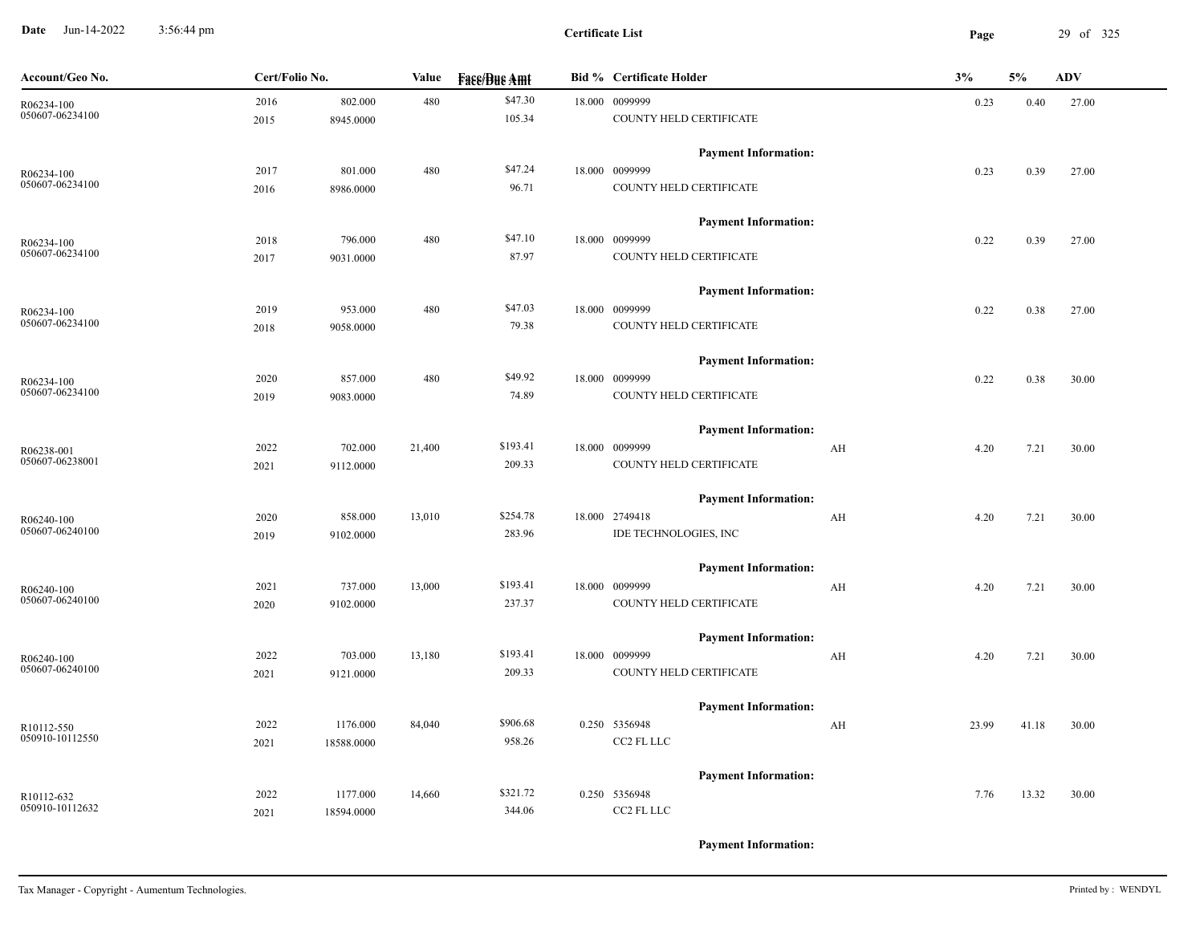**Date** Jun-14-2022 3:56:44 pm **Page** 29 of 325 3:56:44 pm

| Account/Geo No. | Cert/Folio No. |            | Value  | <b>Fase/Bue Amt</b> | <b>Bid % Certificate Holder</b> | 3% |       | 5%    | ADV   |
|-----------------|----------------|------------|--------|---------------------|---------------------------------|----|-------|-------|-------|
| R06234-100      | 2016           | 802.000    | 480    | \$47.30             | 18.000 0099999                  |    | 0.23  | 0.40  | 27.00 |
| 050607-06234100 | 2015           | 8945.0000  |        | 105.34              | COUNTY HELD CERTIFICATE         |    |       |       |       |
|                 |                |            |        |                     | <b>Payment Information:</b>     |    |       |       |       |
| R06234-100      | 2017           | 801.000    | 480    | \$47.24             | 18.000 0099999                  |    | 0.23  | 0.39  | 27.00 |
| 050607-06234100 | 2016           | 8986.0000  |        | 96.71               | COUNTY HELD CERTIFICATE         |    |       |       |       |
|                 |                |            |        |                     | <b>Payment Information:</b>     |    |       |       |       |
| R06234-100      | 2018           | 796.000    | 480    | \$47.10             | 18.000 0099999                  |    | 0.22  | 0.39  | 27.00 |
| 050607-06234100 | 2017           | 9031.0000  |        | 87.97               | COUNTY HELD CERTIFICATE         |    |       |       |       |
|                 |                |            |        |                     | <b>Payment Information:</b>     |    |       |       |       |
| R06234-100      | 2019           | 953.000    | 480    | \$47.03             | 18.000 0099999                  |    | 0.22  | 0.38  | 27.00 |
| 050607-06234100 | 2018           | 9058.0000  |        | 79.38               | COUNTY HELD CERTIFICATE         |    |       |       |       |
|                 |                |            |        |                     | <b>Payment Information:</b>     |    |       |       |       |
| R06234-100      | 2020           | 857.000    | 480    | \$49.92             | 18.000 0099999                  |    | 0.22  | 0.38  | 30.00 |
| 050607-06234100 | 2019           | 9083.0000  |        | 74.89               | COUNTY HELD CERTIFICATE         |    |       |       |       |
|                 |                |            |        |                     | <b>Payment Information:</b>     |    |       |       |       |
| R06238-001      | 2022           | 702.000    | 21,400 | \$193.41            | 18.000 0099999                  | AH | 4.20  | 7.21  | 30.00 |
| 050607-06238001 | 2021           | 9112.0000  |        | 209.33              | COUNTY HELD CERTIFICATE         |    |       |       |       |
|                 |                |            |        |                     | <b>Payment Information:</b>     |    |       |       |       |
| R06240-100      | 2020           | 858.000    | 13,010 | \$254.78            | 18.000 2749418                  | AH | 4.20  | 7.21  | 30.00 |
| 050607-06240100 | 2019           | 9102.0000  |        | 283.96              | IDE TECHNOLOGIES, INC           |    |       |       |       |
|                 |                |            |        |                     | <b>Payment Information:</b>     |    |       |       |       |
| R06240-100      | 2021           | 737.000    | 13,000 | \$193.41            | 18.000 0099999                  | AH | 4.20  | 7.21  | 30.00 |
| 050607-06240100 | 2020           | 9102.0000  |        | 237.37              | COUNTY HELD CERTIFICATE         |    |       |       |       |
|                 |                |            |        |                     | <b>Payment Information:</b>     |    |       |       |       |
| R06240-100      | 2022           | 703.000    | 13,180 | \$193.41            | 18.000 0099999                  | AH | 4.20  | 7.21  | 30.00 |
| 050607-06240100 | 2021           | 9121.0000  |        | 209.33              | COUNTY HELD CERTIFICATE         |    |       |       |       |
|                 |                |            |        |                     | <b>Payment Information:</b>     |    |       |       |       |
| R10112-550      | 2022           | 1176.000   | 84,040 | \$906.68            | 0.250 5356948                   | AH | 23.99 | 41.18 | 30.00 |
| 050910-10112550 | 2021           | 18588.0000 |        | 958.26              | CC2 FL LLC                      |    |       |       |       |
|                 |                |            |        |                     | <b>Payment Information:</b>     |    |       |       |       |
| R10112-632      | 2022           | 1177.000   | 14,660 | \$321.72            | 0.250 5356948                   |    | 7.76  | 13.32 | 30.00 |
| 050910-10112632 | 2021           | 18594.0000 |        | 344.06              | CC2 FL LLC                      |    |       |       |       |
|                 |                |            |        |                     |                                 |    |       |       |       |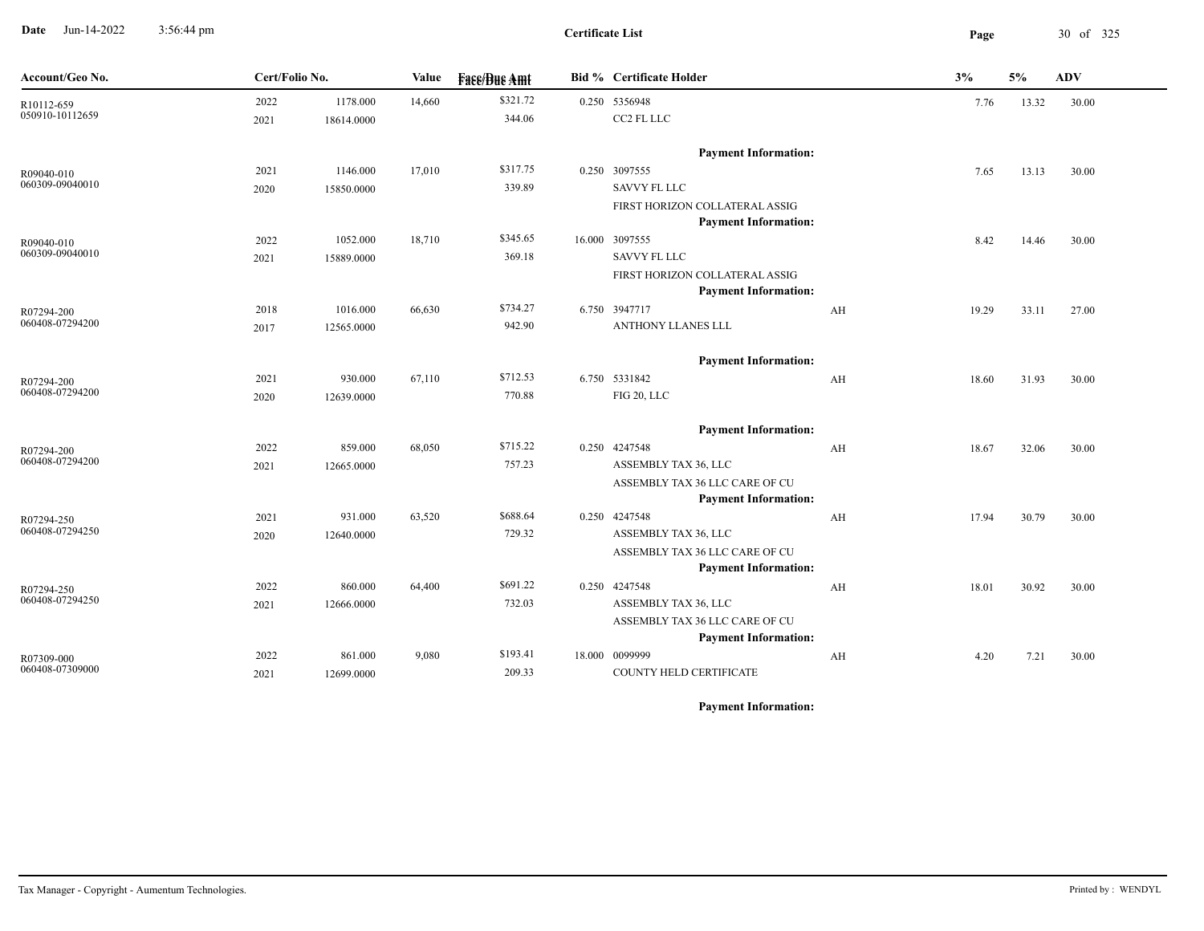**Date** Jun-14-2022 3:56:44 pm **Page** 30 of 325 3:56:44 pm

| Account/Geo No.               | Cert/Folio No. |            | Value  | <b>Face/Bue Amt</b> | <b>Bid % Certificate Holder</b>                               |    | 3%    | 5%    | <b>ADV</b> |
|-------------------------------|----------------|------------|--------|---------------------|---------------------------------------------------------------|----|-------|-------|------------|
| R10112-659                    | 2022           | 1178.000   | 14,660 | \$321.72            | 0.250 5356948                                                 |    | 7.76  | 13.32 | 30.00      |
| 050910-10112659               | 2021           | 18614.0000 |        | 344.06              | CC2 FL LLC                                                    |    |       |       |            |
|                               |                |            |        |                     | <b>Payment Information:</b>                                   |    |       |       |            |
| R09040-010                    | 2021           | 1146.000   | 17,010 | \$317.75            | 0.250 3097555                                                 |    | 7.65  | 13.13 | 30.00      |
| 060309-09040010               | 2020           | 15850.0000 |        | 339.89              | <b>SAVVY FL LLC</b>                                           |    |       |       |            |
|                               |                |            |        |                     | FIRST HORIZON COLLATERAL ASSIG<br><b>Payment Information:</b> |    |       |       |            |
| R09040-010                    | 2022           | 1052.000   | 18,710 | \$345.65            | 16.000 3097555                                                |    | 8.42  | 14.46 | 30.00      |
| 060309-09040010               | 2021           | 15889.0000 |        | 369.18              | <b>SAVVY FL LLC</b>                                           |    |       |       |            |
|                               |                |            |        |                     | FIRST HORIZON COLLATERAL ASSIG                                |    |       |       |            |
|                               |                |            |        |                     | <b>Payment Information:</b>                                   |    |       |       |            |
| R07294-200                    | 2018           | 1016.000   | 66,630 | \$734.27            | 6.750 3947717                                                 | AH | 19.29 | 33.11 | 27.00      |
| 060408-07294200               | 2017           | 12565.0000 |        | 942.90              | ANTHONY LLANES LLL                                            |    |       |       |            |
|                               |                |            |        |                     | <b>Payment Information:</b>                                   |    |       |       |            |
| R07294-200                    | 2021           | 930.000    | 67,110 | \$712.53            | 6.750 5331842                                                 | AH | 18.60 | 31.93 | 30.00      |
| 060408-07294200               | 2020           | 12639.0000 |        | 770.88              | FIG 20, LLC                                                   |    |       |       |            |
|                               |                |            |        |                     | <b>Payment Information:</b>                                   |    |       |       |            |
| R07294-200                    | 2022           | 859.000    | 68,050 | \$715.22            | 0.250 4247548                                                 | AH | 18.67 | 32.06 | 30.00      |
| 060408-07294200               | 2021           | 12665.0000 |        | 757.23              | ASSEMBLY TAX 36, LLC                                          |    |       |       |            |
|                               |                |            |        |                     | ASSEMBLY TAX 36 LLC CARE OF CU                                |    |       |       |            |
|                               |                |            |        |                     | <b>Payment Information:</b>                                   |    |       |       |            |
| R07294-250<br>060408-07294250 | 2021           | 931.000    | 63,520 | \$688.64            | 0.250 4247548                                                 | AH | 17.94 | 30.79 | 30.00      |
|                               | 2020           | 12640.0000 |        | 729.32              | ASSEMBLY TAX 36, LLC                                          |    |       |       |            |
|                               |                |            |        |                     | ASSEMBLY TAX 36 LLC CARE OF CU<br><b>Payment Information:</b> |    |       |       |            |
| R07294-250                    | 2022           | 860.000    | 64,400 | \$691.22            | 0.250 4247548                                                 | AH | 18.01 | 30.92 | 30.00      |
| 060408-07294250               | 2021           | 12666.0000 |        | 732.03              | ASSEMBLY TAX 36, LLC                                          |    |       |       |            |
|                               |                |            |        |                     | ASSEMBLY TAX 36 LLC CARE OF CU                                |    |       |       |            |
|                               |                |            |        |                     | <b>Payment Information:</b>                                   |    |       |       |            |
| R07309-000                    | 2022           | 861.000    | 9,080  | \$193.41            | 18.000 0099999                                                | AH | 4.20  | 7.21  | 30.00      |
| 060408-07309000               | 2021           | 12699.0000 |        | 209.33              | COUNTY HELD CERTIFICATE                                       |    |       |       |            |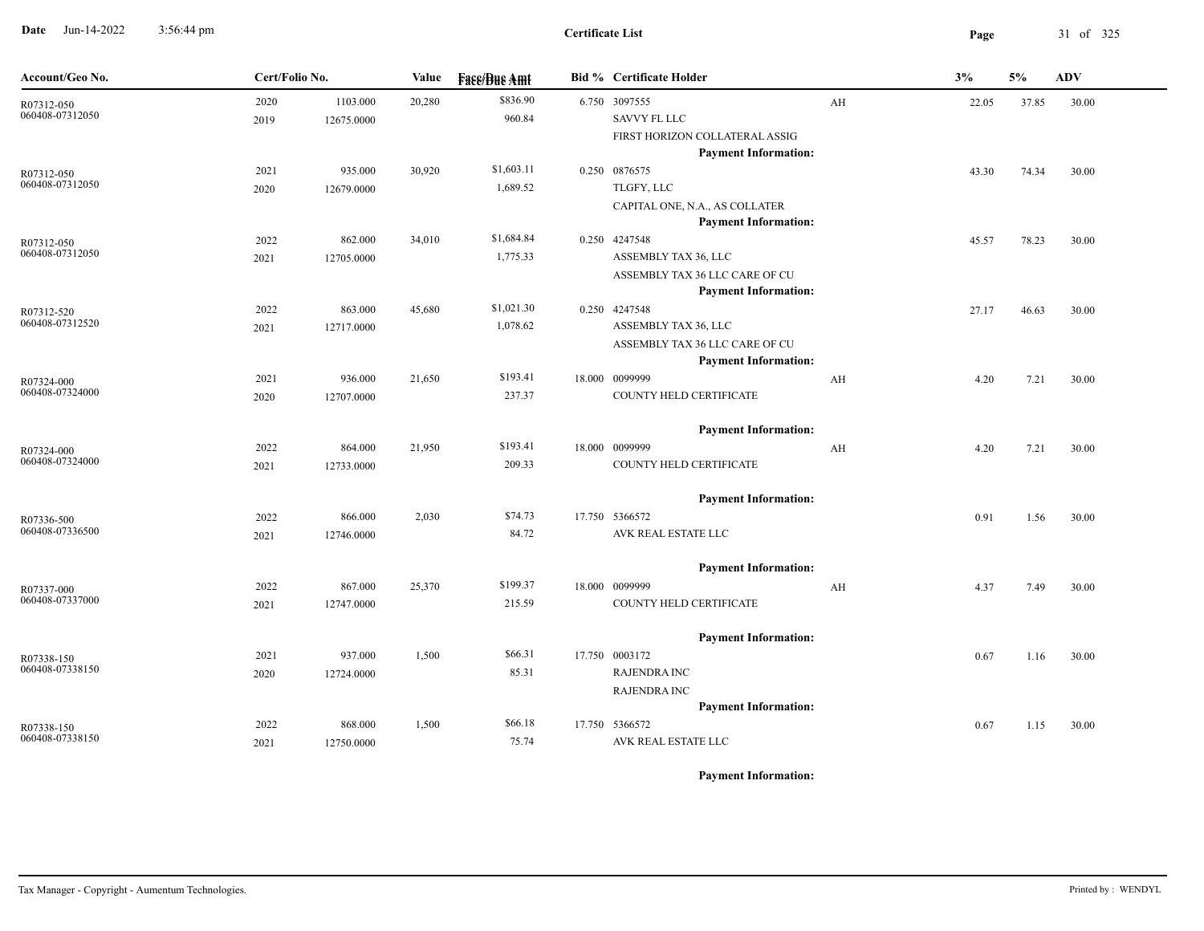**Date** Jun-14-2022 3:56:44 pm **Page** 31 of 325 3:56:44 pm

| Account/Geo No.               | Cert/Folio No. |                       | Value  | <b>Fase/Bue Amt</b> | <b>Bid % Certificate Holder</b>               |    | 3%    | 5%    | <b>ADV</b> |
|-------------------------------|----------------|-----------------------|--------|---------------------|-----------------------------------------------|----|-------|-------|------------|
| R07312-050                    | 2020           | 1103.000              | 20,280 | \$836.90            | 6.750 3097555                                 | AH | 22.05 | 37.85 | 30.00      |
| 060408-07312050               | 2019           | 12675.0000            |        | 960.84              | <b>SAVVY FL LLC</b>                           |    |       |       |            |
|                               |                |                       |        |                     | FIRST HORIZON COLLATERAL ASSIG                |    |       |       |            |
|                               |                |                       |        |                     | <b>Payment Information:</b>                   |    |       |       |            |
| R07312-050                    | 2021           | 935.000               | 30,920 | \$1,603.11          | 0.250 0876575                                 |    | 43.30 | 74.34 | 30.00      |
| 060408-07312050               | 2020           | 12679.0000            |        | 1,689.52            | TLGFY, LLC                                    |    |       |       |            |
|                               |                |                       |        |                     | CAPITAL ONE, N.A., AS COLLATER                |    |       |       |            |
|                               |                |                       |        |                     | <b>Payment Information:</b>                   |    |       |       |            |
| R07312-050<br>060408-07312050 | 2022           | 862.000               | 34,010 | \$1,684.84          | 0.250 4247548                                 |    | 45.57 | 78.23 | 30.00      |
|                               | 2021           | 12705.0000            |        | 1,775.33            | ASSEMBLY TAX 36, LLC                          |    |       |       |            |
|                               |                |                       |        |                     | ASSEMBLY TAX 36 LLC CARE OF CU                |    |       |       |            |
|                               |                | 863.000               | 45,680 | \$1,021.30          | <b>Payment Information:</b><br>0.250 4247548  |    |       |       |            |
| R07312-520<br>060408-07312520 | 2022           | 12717.0000            |        | 1,078.62            | ASSEMBLY TAX 36, LLC                          |    | 27.17 | 46.63 | 30.00      |
|                               | 2021           |                       |        |                     | ASSEMBLY TAX 36 LLC CARE OF CU                |    |       |       |            |
|                               |                |                       |        |                     | <b>Payment Information:</b>                   |    |       |       |            |
| R07324-000                    | 2021           | 936.000               | 21,650 | \$193.41            | 18.000 0099999                                | AH | 4.20  | 7.21  | 30.00      |
| 060408-07324000               | 2020           | 12707.0000            |        | 237.37              | COUNTY HELD CERTIFICATE                       |    |       |       |            |
|                               |                |                       |        |                     |                                               |    |       |       |            |
|                               |                |                       |        |                     | <b>Payment Information:</b>                   |    |       |       |            |
| R07324-000                    | 2022           | 864.000               | 21,950 | \$193.41            | 18.000 0099999                                | AH | 4.20  | 7.21  | 30.00      |
| 060408-07324000               | 2021           | 12733.0000            |        | 209.33              | COUNTY HELD CERTIFICATE                       |    |       |       |            |
|                               |                |                       |        |                     |                                               |    |       |       |            |
|                               |                |                       |        |                     | <b>Payment Information:</b>                   |    |       |       |            |
| R07336-500                    | 2022           | 866.000               | 2,030  | \$74.73             | 17.750 5366572                                |    | 0.91  | 1.56  | 30.00      |
| 060408-07336500               | 2021           | 12746.0000            |        | 84.72               | AVK REAL ESTATE LLC                           |    |       |       |            |
|                               |                |                       |        |                     |                                               |    |       |       |            |
|                               |                |                       |        | \$199.37            | <b>Payment Information:</b><br>18.000 0099999 |    |       |       |            |
| R07337-000<br>060408-07337000 | 2022           | 867.000<br>12747.0000 | 25,370 | 215.59              | COUNTY HELD CERTIFICATE                       | AH | 4.37  | 7.49  | 30.00      |
|                               | 2021           |                       |        |                     |                                               |    |       |       |            |
|                               |                |                       |        |                     | <b>Payment Information:</b>                   |    |       |       |            |
| R07338-150                    | 2021           | 937.000               | 1,500  | \$66.31             | 17.750 0003172                                |    | 0.67  | 1.16  | 30.00      |
| 060408-07338150               | 2020           | 12724.0000            |        | 85.31               | <b>RAJENDRA INC</b>                           |    |       |       |            |
|                               |                |                       |        |                     | <b>RAJENDRA INC</b>                           |    |       |       |            |
|                               |                |                       |        |                     | <b>Payment Information:</b>                   |    |       |       |            |
| R07338-150                    | 2022           | 868.000               | 1,500  | \$66.18             | 17.750 5366572                                |    | 0.67  | 1.15  | 30.00      |
| 060408-07338150               | 2021           | 12750.0000            |        | 75.74               | AVK REAL ESTATE LLC                           |    |       |       |            |
|                               |                |                       |        |                     |                                               |    |       |       |            |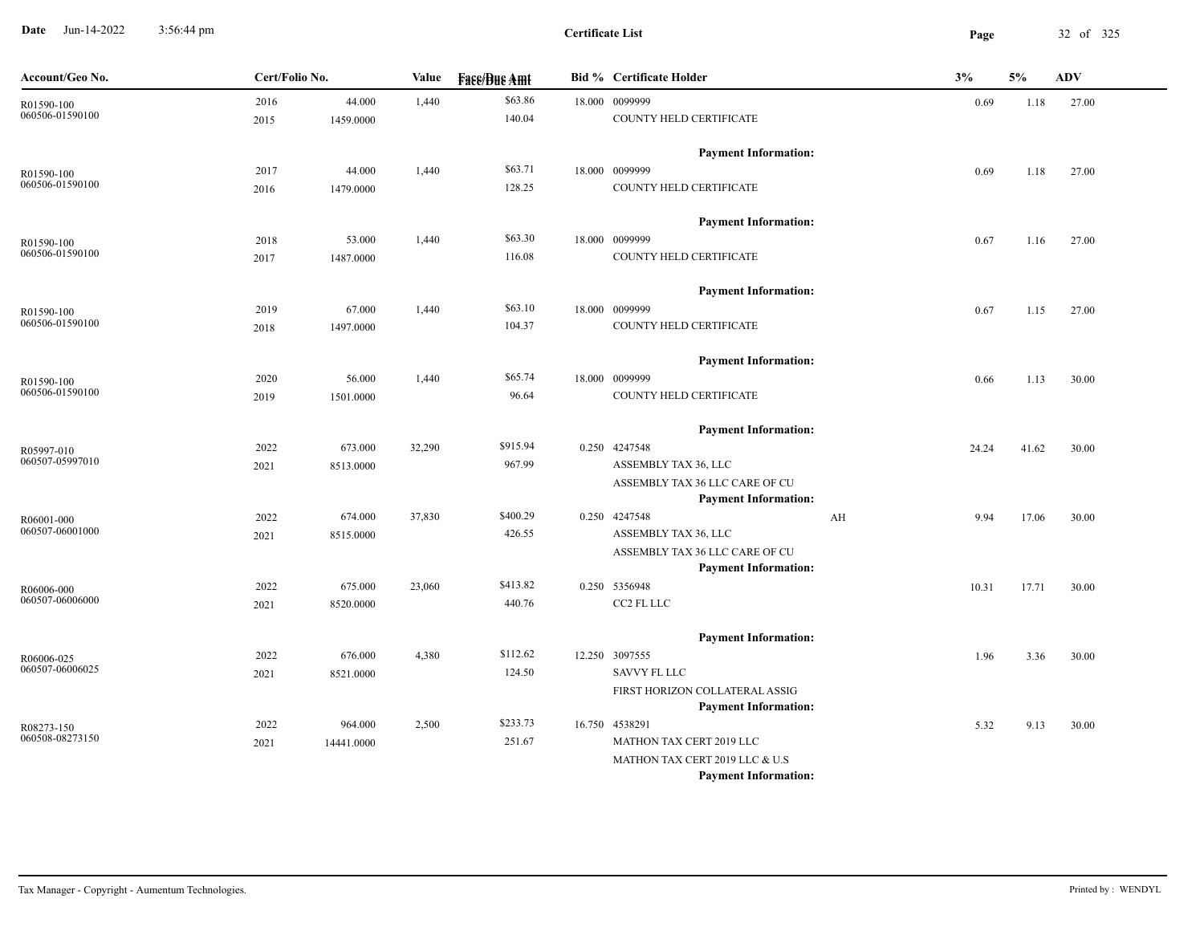**Date** Jun-14-2022 3:56:44 pm **Page** 32 of 325 3:56:44 pm

| Account/Geo No.               | Cert/Folio No. |            | Value  | <b>Fase/Bue Amt</b> | <b>Bid % Certificate Holder</b>                               | 3% |       | 5%    | ADV   |
|-------------------------------|----------------|------------|--------|---------------------|---------------------------------------------------------------|----|-------|-------|-------|
| R01590-100                    | 2016           | 44.000     | 1,440  | \$63.86             | 18.000 0099999                                                |    | 0.69  | 1.18  | 27.00 |
| 060506-01590100               | 2015           | 1459.0000  |        | 140.04              | COUNTY HELD CERTIFICATE                                       |    |       |       |       |
|                               |                |            |        |                     | <b>Payment Information:</b>                                   |    |       |       |       |
| R01590-100                    | 2017           | 44.000     | 1,440  | \$63.71             | 18.000 0099999                                                |    | 0.69  | 1.18  | 27.00 |
| 060506-01590100               | 2016           | 1479.0000  |        | 128.25              | COUNTY HELD CERTIFICATE                                       |    |       |       |       |
|                               |                |            |        |                     | <b>Payment Information:</b>                                   |    |       |       |       |
| R01590-100                    | 2018           | 53.000     | 1,440  | \$63.30             | 18.000 0099999                                                |    | 0.67  | 1.16  | 27.00 |
| 060506-01590100               | 2017           | 1487.0000  |        | 116.08              | COUNTY HELD CERTIFICATE                                       |    |       |       |       |
|                               |                |            |        |                     | <b>Payment Information:</b>                                   |    |       |       |       |
| R01590-100                    | 2019           | 67.000     | 1,440  | \$63.10             | 18.000 0099999                                                |    | 0.67  | 1.15  | 27.00 |
| 060506-01590100               | 2018           | 1497.0000  |        | 104.37              | COUNTY HELD CERTIFICATE                                       |    |       |       |       |
|                               |                |            |        |                     | <b>Payment Information:</b>                                   |    |       |       |       |
| R01590-100                    | 2020           | 56.000     | 1,440  | \$65.74             | 18.000 0099999                                                |    | 0.66  | 1.13  | 30.00 |
| 060506-01590100               | 2019           | 1501.0000  |        | 96.64               | COUNTY HELD CERTIFICATE                                       |    |       |       |       |
|                               |                |            |        |                     | <b>Payment Information:</b>                                   |    |       |       |       |
| R05997-010                    | 2022           | 673.000    | 32,290 | \$915.94            | 0.250 4247548                                                 |    | 24.24 | 41.62 | 30.00 |
| 060507-05997010               | 2021           | 8513.0000  |        | 967.99              | ASSEMBLY TAX 36, LLC                                          |    |       |       |       |
|                               |                |            |        |                     | ASSEMBLY TAX 36 LLC CARE OF CU                                |    |       |       |       |
|                               |                |            |        |                     | <b>Payment Information:</b>                                   |    |       |       |       |
| R06001-000<br>060507-06001000 | 2022           | 674.000    | 37,830 | \$400.29            | 0.250 4247548                                                 | AH | 9.94  | 17.06 | 30.00 |
|                               | 2021           | 8515.0000  |        | 426.55              | ASSEMBLY TAX 36, LLC                                          |    |       |       |       |
|                               |                |            |        |                     | ASSEMBLY TAX 36 LLC CARE OF CU<br><b>Payment Information:</b> |    |       |       |       |
| R06006-000                    | 2022           | 675.000    | 23,060 | \$413.82            | 0.250 5356948                                                 |    | 10.31 | 17.71 | 30.00 |
| 060507-06006000               | 2021           | 8520.0000  |        | 440.76              | CC2 FL LLC                                                    |    |       |       |       |
|                               |                |            |        |                     | <b>Payment Information:</b>                                   |    |       |       |       |
| R06006-025                    | 2022           | 676.000    | 4,380  | \$112.62            | 12.250 3097555                                                |    | 1.96  | 3.36  | 30.00 |
| 060507-06006025               | 2021           | 8521.0000  |        | 124.50              | <b>SAVVY FL LLC</b>                                           |    |       |       |       |
|                               |                |            |        |                     | FIRST HORIZON COLLATERAL ASSIG                                |    |       |       |       |
|                               |                |            |        |                     | <b>Payment Information:</b>                                   |    |       |       |       |
| R08273-150                    | 2022           | 964.000    | 2,500  | \$233.73            | 16.750 4538291                                                |    | 5.32  | 9.13  | 30.00 |
| 060508-08273150               | 2021           | 14441.0000 |        | 251.67              | MATHON TAX CERT 2019 LLC                                      |    |       |       |       |
|                               |                |            |        |                     | MATHON TAX CERT 2019 LLC & U.S                                |    |       |       |       |
|                               |                |            |        |                     | <b>Payment Information:</b>                                   |    |       |       |       |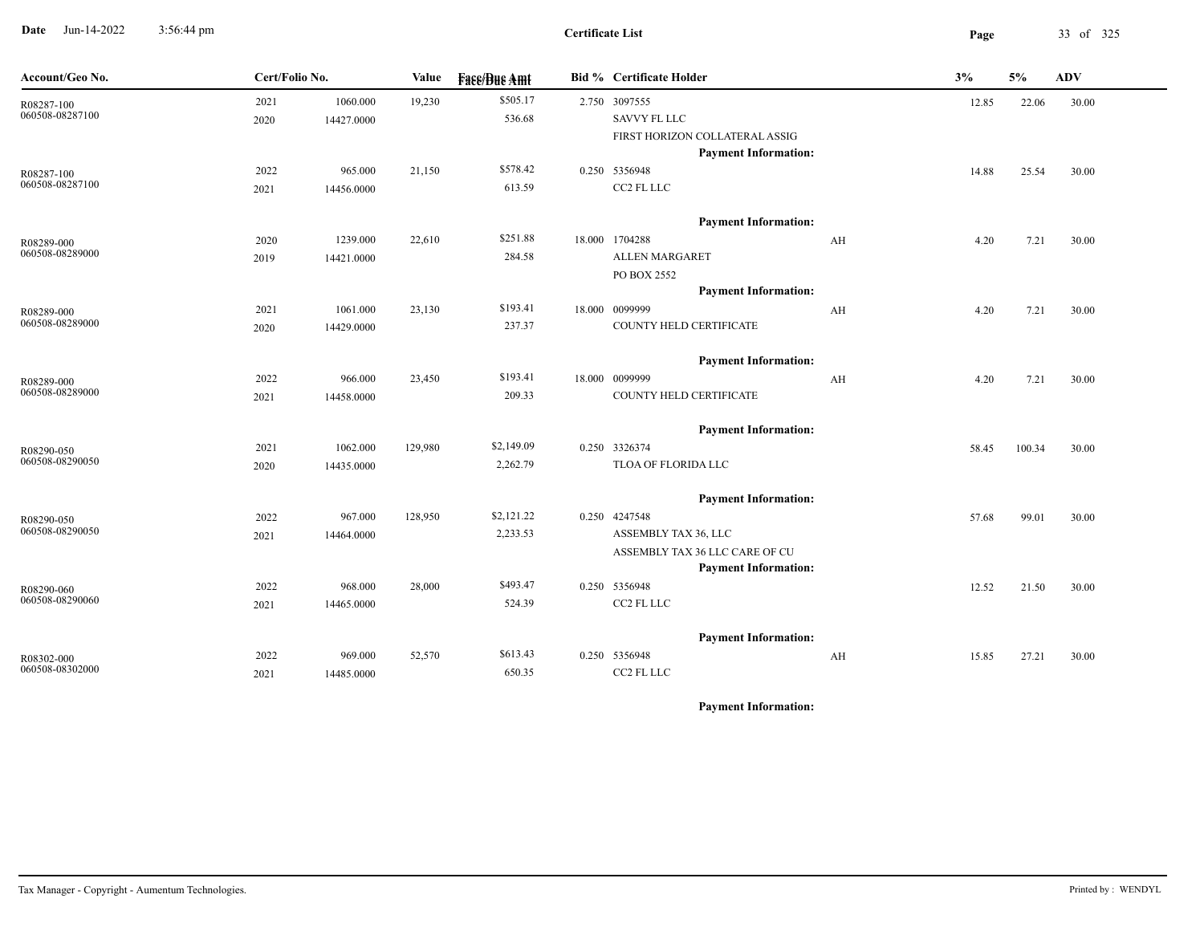**Date** Jun-14-2022 3:56:44 pm **Page** 33 of 325 3:56:44 pm

| Account/Geo No.               | Cert/Folio No. |            | Value   | <b>Fase/Bue Amt</b> | <b>Bid % Certificate Holder</b> |    | 3%    | $5\%$  | <b>ADV</b> |  |
|-------------------------------|----------------|------------|---------|---------------------|---------------------------------|----|-------|--------|------------|--|
| R08287-100                    | 2021           | 1060.000   | 19,230  | \$505.17            | 2.750 3097555                   |    | 12.85 | 22.06  | 30.00      |  |
| 060508-08287100               | 2020           | 14427.0000 |         | 536.68              | SAVVY FL LLC                    |    |       |        |            |  |
|                               |                |            |         |                     | FIRST HORIZON COLLATERAL ASSIG  |    |       |        |            |  |
|                               |                |            |         |                     | <b>Payment Information:</b>     |    |       |        |            |  |
| R08287-100<br>060508-08287100 | 2022           | 965.000    | 21,150  | \$578.42            | 0.250 5356948                   |    | 14.88 | 25.54  | 30.00      |  |
|                               | 2021           | 14456.0000 |         | 613.59              | CC2 FL LLC                      |    |       |        |            |  |
|                               |                |            |         |                     | <b>Payment Information:</b>     |    |       |        |            |  |
| R08289-000                    | 2020           | 1239.000   | 22,610  | \$251.88            | 18.000 1704288                  | AH | 4.20  | 7.21   | 30.00      |  |
| 060508-08289000               | 2019           | 14421.0000 |         | 284.58              | <b>ALLEN MARGARET</b>           |    |       |        |            |  |
|                               |                |            |         |                     | PO BOX 2552                     |    |       |        |            |  |
|                               |                |            |         |                     | <b>Payment Information:</b>     |    |       |        |            |  |
| R08289-000                    | 2021           | 1061.000   | 23,130  | \$193.41            | 18.000 0099999                  | AH | 4.20  | 7.21   | 30.00      |  |
| 060508-08289000               | 2020           | 14429.0000 |         | 237.37              | COUNTY HELD CERTIFICATE         |    |       |        |            |  |
|                               |                |            |         |                     | <b>Payment Information:</b>     |    |       |        |            |  |
| R08289-000                    | 2022           | 966.000    | 23,450  | \$193.41            | 18.000 0099999                  | AH | 4.20  | 7.21   | 30.00      |  |
| 060508-08289000               | 2021           | 14458.0000 |         | 209.33              | COUNTY HELD CERTIFICATE         |    |       |        |            |  |
|                               |                |            |         |                     | <b>Payment Information:</b>     |    |       |        |            |  |
| R08290-050                    | 2021           | 1062.000   | 129,980 | \$2,149.09          | 0.250 3326374                   |    | 58.45 | 100.34 | 30.00      |  |
| 060508-08290050               | 2020           | 14435.0000 |         | 2,262.79            | TLOA OF FLORIDA LLC             |    |       |        |            |  |
|                               |                |            |         |                     | <b>Payment Information:</b>     |    |       |        |            |  |
| R08290-050                    | 2022           | 967.000    | 128,950 | \$2,121.22          | 0.250 4247548                   |    | 57.68 | 99.01  | 30.00      |  |
| 060508-08290050               | 2021           | 14464.0000 |         | 2,233.53            | ASSEMBLY TAX 36, LLC            |    |       |        |            |  |
|                               |                |            |         |                     | ASSEMBLY TAX 36 LLC CARE OF CU  |    |       |        |            |  |
|                               |                |            |         |                     | <b>Payment Information:</b>     |    |       |        |            |  |
| R08290-060                    | 2022           | 968.000    | 28,000  | \$493.47            | 0.250 5356948                   |    | 12.52 | 21.50  | 30.00      |  |
| 060508-08290060               | 2021           | 14465.0000 |         | 524.39              | CC2 FL LLC                      |    |       |        |            |  |
|                               |                |            |         |                     | <b>Payment Information:</b>     |    |       |        |            |  |
| R08302-000                    | 2022           | 969.000    | 52,570  | \$613.43            | 0.250 5356948                   | AH | 15.85 | 27.21  | 30.00      |  |
| 060508-08302000               | 2021           | 14485.0000 |         | 650.35              | CC2 FL LLC                      |    |       |        |            |  |
|                               |                |            |         |                     |                                 |    |       |        |            |  |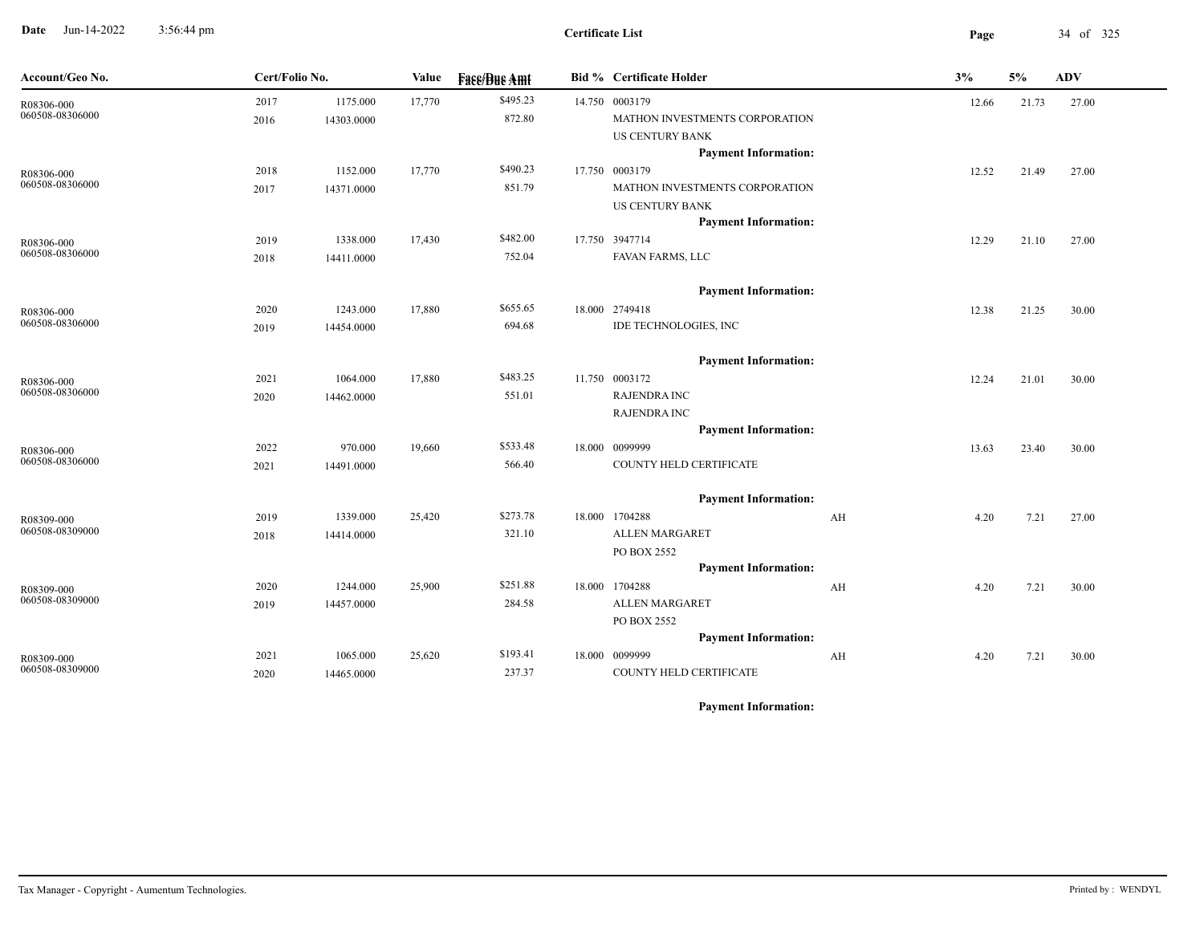**Date** Jun-14-2022 3:56:44 pm **Page** 34 of 325 3:56:44 pm

| \$495.23<br>1175.000<br>17,770<br>14.750 0003179<br>2017<br>12.66<br>21.73<br>27.00<br>R08306-000<br>060508-08306000<br>872.80<br>MATHON INVESTMENTS CORPORATION<br>2016<br>14303.0000<br><b>US CENTURY BANK</b><br><b>Payment Information:</b><br>\$490.23<br>1152.000<br>17,770<br>17.750 0003179<br>2018<br>12.52<br>21.49<br>27.00<br>R08306-000<br>060508-08306000<br>851.79<br>MATHON INVESTMENTS CORPORATION<br>14371.0000<br>2017<br><b>US CENTURY BANK</b><br><b>Payment Information:</b><br>\$482.00<br>17.750 3947714<br>2019<br>1338.000<br>17,430<br>12.29<br>21.10<br>27.00<br>R08306-000<br>060508-08306000<br>752.04<br>FAVAN FARMS, LLC<br>14411.0000<br>2018<br><b>Payment Information:</b><br>\$655.65<br>1243.000<br>17,880<br>18.000 2749418<br>2020<br>12.38<br>21.25<br>30.00<br>R08306-000<br>060508-08306000<br>IDE TECHNOLOGIES, INC<br>694.68<br>14454.0000<br>2019<br><b>Payment Information:</b><br>\$483.25<br>11.750 0003172<br>2021<br>1064.000<br>17,880<br>12.24<br>21.01 |  |
|-------------------------------------------------------------------------------------------------------------------------------------------------------------------------------------------------------------------------------------------------------------------------------------------------------------------------------------------------------------------------------------------------------------------------------------------------------------------------------------------------------------------------------------------------------------------------------------------------------------------------------------------------------------------------------------------------------------------------------------------------------------------------------------------------------------------------------------------------------------------------------------------------------------------------------------------------------------------------------------------------------------|--|
|                                                                                                                                                                                                                                                                                                                                                                                                                                                                                                                                                                                                                                                                                                                                                                                                                                                                                                                                                                                                             |  |
|                                                                                                                                                                                                                                                                                                                                                                                                                                                                                                                                                                                                                                                                                                                                                                                                                                                                                                                                                                                                             |  |
|                                                                                                                                                                                                                                                                                                                                                                                                                                                                                                                                                                                                                                                                                                                                                                                                                                                                                                                                                                                                             |  |
|                                                                                                                                                                                                                                                                                                                                                                                                                                                                                                                                                                                                                                                                                                                                                                                                                                                                                                                                                                                                             |  |
|                                                                                                                                                                                                                                                                                                                                                                                                                                                                                                                                                                                                                                                                                                                                                                                                                                                                                                                                                                                                             |  |
|                                                                                                                                                                                                                                                                                                                                                                                                                                                                                                                                                                                                                                                                                                                                                                                                                                                                                                                                                                                                             |  |
|                                                                                                                                                                                                                                                                                                                                                                                                                                                                                                                                                                                                                                                                                                                                                                                                                                                                                                                                                                                                             |  |
|                                                                                                                                                                                                                                                                                                                                                                                                                                                                                                                                                                                                                                                                                                                                                                                                                                                                                                                                                                                                             |  |
|                                                                                                                                                                                                                                                                                                                                                                                                                                                                                                                                                                                                                                                                                                                                                                                                                                                                                                                                                                                                             |  |
|                                                                                                                                                                                                                                                                                                                                                                                                                                                                                                                                                                                                                                                                                                                                                                                                                                                                                                                                                                                                             |  |
|                                                                                                                                                                                                                                                                                                                                                                                                                                                                                                                                                                                                                                                                                                                                                                                                                                                                                                                                                                                                             |  |
|                                                                                                                                                                                                                                                                                                                                                                                                                                                                                                                                                                                                                                                                                                                                                                                                                                                                                                                                                                                                             |  |
|                                                                                                                                                                                                                                                                                                                                                                                                                                                                                                                                                                                                                                                                                                                                                                                                                                                                                                                                                                                                             |  |
|                                                                                                                                                                                                                                                                                                                                                                                                                                                                                                                                                                                                                                                                                                                                                                                                                                                                                                                                                                                                             |  |
| 30.00                                                                                                                                                                                                                                                                                                                                                                                                                                                                                                                                                                                                                                                                                                                                                                                                                                                                                                                                                                                                       |  |
| R08306-000<br>060508-08306000<br>551.01<br><b>RAJENDRA INC</b><br>2020<br>14462.0000                                                                                                                                                                                                                                                                                                                                                                                                                                                                                                                                                                                                                                                                                                                                                                                                                                                                                                                        |  |
| <b>RAJENDRA INC</b>                                                                                                                                                                                                                                                                                                                                                                                                                                                                                                                                                                                                                                                                                                                                                                                                                                                                                                                                                                                         |  |
| <b>Payment Information:</b>                                                                                                                                                                                                                                                                                                                                                                                                                                                                                                                                                                                                                                                                                                                                                                                                                                                                                                                                                                                 |  |
| \$533.48<br>18.000 0099999<br>2022<br>970.000<br>19,660<br>23.40<br>30.00<br>13.63<br>R08306-000                                                                                                                                                                                                                                                                                                                                                                                                                                                                                                                                                                                                                                                                                                                                                                                                                                                                                                            |  |
| 060508-08306000<br>566.40<br>COUNTY HELD CERTIFICATE<br>2021<br>14491.0000                                                                                                                                                                                                                                                                                                                                                                                                                                                                                                                                                                                                                                                                                                                                                                                                                                                                                                                                  |  |
| <b>Payment Information:</b>                                                                                                                                                                                                                                                                                                                                                                                                                                                                                                                                                                                                                                                                                                                                                                                                                                                                                                                                                                                 |  |
| \$273.78<br>18.000 1704288<br>1339.000<br>25,420<br>2019<br>AH<br>4.20<br>7.21<br>27.00<br>R08309-000                                                                                                                                                                                                                                                                                                                                                                                                                                                                                                                                                                                                                                                                                                                                                                                                                                                                                                       |  |
| 060508-08309000<br>321.10<br><b>ALLEN MARGARET</b><br>2018<br>14414.0000                                                                                                                                                                                                                                                                                                                                                                                                                                                                                                                                                                                                                                                                                                                                                                                                                                                                                                                                    |  |
| PO BOX 2552                                                                                                                                                                                                                                                                                                                                                                                                                                                                                                                                                                                                                                                                                                                                                                                                                                                                                                                                                                                                 |  |
| <b>Payment Information:</b>                                                                                                                                                                                                                                                                                                                                                                                                                                                                                                                                                                                                                                                                                                                                                                                                                                                                                                                                                                                 |  |
| \$251.88<br>18.000 1704288<br>2020<br>1244.000<br>25,900<br>AH<br>7.21<br>30.00<br>4.20<br>R08309-000                                                                                                                                                                                                                                                                                                                                                                                                                                                                                                                                                                                                                                                                                                                                                                                                                                                                                                       |  |
| 060508-08309000<br><b>ALLEN MARGARET</b><br>284.58<br>14457.0000<br>2019                                                                                                                                                                                                                                                                                                                                                                                                                                                                                                                                                                                                                                                                                                                                                                                                                                                                                                                                    |  |
| PO BOX 2552                                                                                                                                                                                                                                                                                                                                                                                                                                                                                                                                                                                                                                                                                                                                                                                                                                                                                                                                                                                                 |  |
| <b>Payment Information:</b>                                                                                                                                                                                                                                                                                                                                                                                                                                                                                                                                                                                                                                                                                                                                                                                                                                                                                                                                                                                 |  |
| \$193.41<br>18.000 0099999<br>2021<br>1065.000<br>25,620<br>AH<br>7.21<br>30.00<br>4.20<br>R08309-000                                                                                                                                                                                                                                                                                                                                                                                                                                                                                                                                                                                                                                                                                                                                                                                                                                                                                                       |  |
| 060508-08309000<br>237.37<br>COUNTY HELD CERTIFICATE<br>2020<br>14465.0000                                                                                                                                                                                                                                                                                                                                                                                                                                                                                                                                                                                                                                                                                                                                                                                                                                                                                                                                  |  |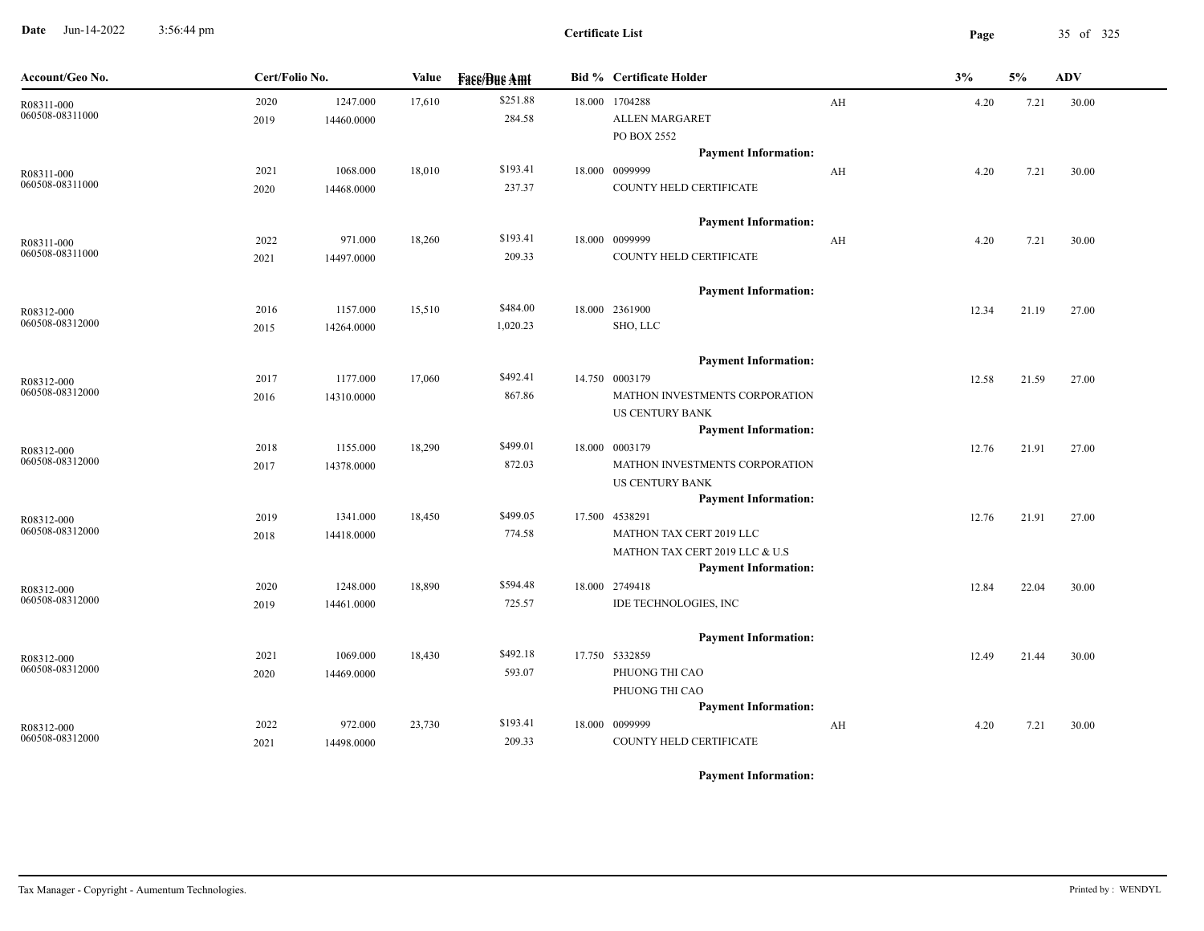**Date** Jun-14-2022 3:56:44 pm **Page** 35 of 325 3:56:44 pm

| Account/Geo No.               | Cert/Folio No. |                        | Value  | <b>Face/Bue Amt</b> | <b>Bid % Certificate Holder</b>                                                         |    | 3%    | 5%    | ADV   |
|-------------------------------|----------------|------------------------|--------|---------------------|-----------------------------------------------------------------------------------------|----|-------|-------|-------|
| R08311-000<br>060508-08311000 | 2020<br>2019   | 1247.000<br>14460.0000 | 17,610 | \$251.88<br>284.58  | 18.000 1704288<br>ALLEN MARGARET                                                        | AH | 4.20  | 7.21  | 30.00 |
|                               | 2021           | 1068.000               | 18,010 | \$193.41            | PO BOX 2552<br><b>Payment Information:</b><br>18.000 0099999                            | AH | 4.20  | 7.21  | 30.00 |
| R08311-000<br>060508-08311000 | 2020           | 14468.0000             |        | 237.37              | COUNTY HELD CERTIFICATE                                                                 |    |       |       |       |
| R08311-000                    | 2022           | 971.000                | 18,260 | \$193.41            | <b>Payment Information:</b><br>18.000 0099999                                           | AH | 4.20  | 7.21  | 30.00 |
| 060508-08311000               | 2021           | 14497.0000             |        | 209.33              | COUNTY HELD CERTIFICATE                                                                 |    |       |       |       |
| R08312-000                    | 2016           | 1157.000               | 15,510 | \$484.00            | <b>Payment Information:</b><br>18.000 2361900                                           |    | 12.34 | 21.19 | 27.00 |
| 060508-08312000               | 2015           | 14264.0000             |        | 1,020.23            | SHO, LLC                                                                                |    |       |       |       |
| R08312-000<br>060508-08312000 | 2017           | 1177.000               | 17,060 | \$492.41            | <b>Payment Information:</b><br>14.750 0003179                                           |    | 12.58 | 21.59 | 27.00 |
|                               | 2016           | 14310.0000             |        | 867.86              | MATHON INVESTMENTS CORPORATION<br><b>US CENTURY BANK</b><br><b>Payment Information:</b> |    |       |       |       |
| R08312-000<br>060508-08312000 | 2018<br>2017   | 1155.000<br>14378.0000 | 18,290 | \$499.01<br>872.03  | 18.000 0003179<br>MATHON INVESTMENTS CORPORATION                                        |    | 12.76 | 21.91 | 27.00 |
|                               |                |                        |        |                     | US CENTURY BANK<br><b>Payment Information:</b>                                          |    |       |       |       |
| R08312-000<br>060508-08312000 | 2019<br>2018   | 1341.000<br>14418.0000 | 18,450 | \$499.05<br>774.58  | 17.500 4538291<br>MATHON TAX CERT 2019 LLC                                              |    | 12.76 | 21.91 | 27.00 |
|                               |                |                        |        |                     | MATHON TAX CERT 2019 LLC & U.S<br><b>Payment Information:</b>                           |    |       |       |       |
| R08312-000<br>060508-08312000 | 2020<br>2019   | 1248.000<br>14461.0000 | 18,890 | \$594.48<br>725.57  | 18.000 2749418<br>IDE TECHNOLOGIES, INC                                                 |    | 12.84 | 22.04 | 30.00 |
|                               | 2021           | 1069.000               | 18,430 | \$492.18            | <b>Payment Information:</b><br>17.750 5332859                                           |    | 12.49 | 21.44 | 30.00 |
| R08312-000<br>060508-08312000 | 2020           | 14469.0000             |        | 593.07              | PHUONG THI CAO<br>PHUONG THI CAO                                                        |    |       |       |       |
| R08312-000                    | 2022           | 972.000                | 23,730 | \$193.41            | <b>Payment Information:</b><br>18.000 0099999                                           | AH | 4.20  | 7.21  | 30.00 |
| 060508-08312000               | 2021           | 14498.0000             |        | 209.33              | COUNTY HELD CERTIFICATE                                                                 |    |       |       |       |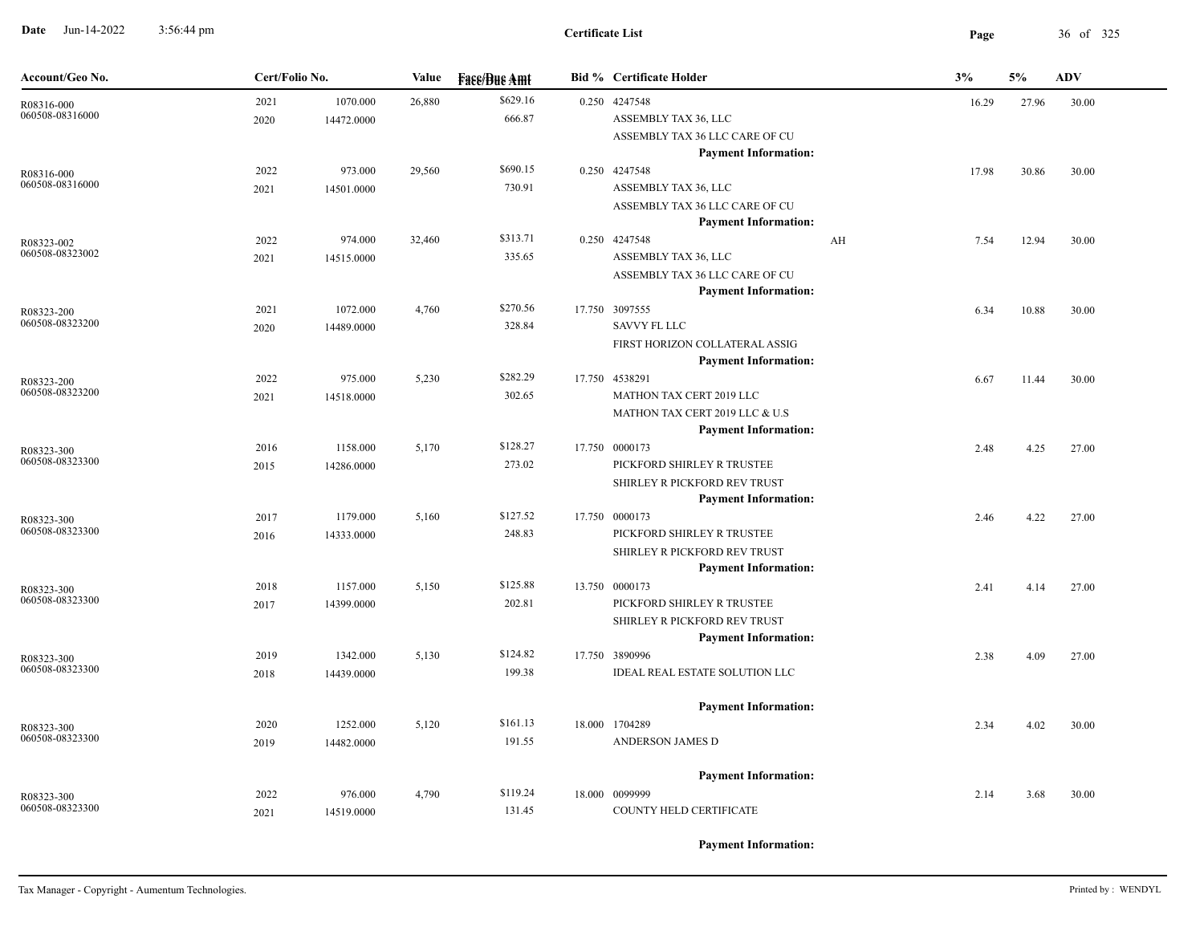**Date** Jun-14-2022 3:56:44 pm **Page** 36 of 325 3:56:44 pm

| Account/Geo No.               | Cert/Folio No. |                        | Value  | <b>Fase/Bue Amt</b> | <b>Bid % Certificate Holder</b>                                                                              | 3%    | 5%    | <b>ADV</b> |
|-------------------------------|----------------|------------------------|--------|---------------------|--------------------------------------------------------------------------------------------------------------|-------|-------|------------|
| R08316-000<br>060508-08316000 | 2021<br>2020   | 1070.000<br>14472.0000 | 26,880 | \$629.16<br>666.87  | 0.250 4247548<br>ASSEMBLY TAX 36, LLC<br>ASSEMBLY TAX 36 LLC CARE OF CU                                      | 16.29 | 27.96 | 30.00      |
| R08316-000<br>060508-08316000 | 2022<br>2021   | 973.000<br>14501.0000  | 29,560 | \$690.15<br>730.91  | <b>Payment Information:</b><br>0.250 4247548<br>ASSEMBLY TAX 36, LLC<br>ASSEMBLY TAX 36 LLC CARE OF CU       | 17.98 | 30.86 | 30.00      |
| R08323-002<br>060508-08323002 | 2022<br>2021   | 974.000<br>14515.0000  | 32,460 | \$313.71<br>335.65  | <b>Payment Information:</b><br>0.250 4247548<br>AH<br>ASSEMBLY TAX 36, LLC<br>ASSEMBLY TAX 36 LLC CARE OF CU | 7.54  | 12.94 | 30.00      |
| R08323-200<br>060508-08323200 | 2021<br>2020   | 1072.000<br>14489.0000 | 4,760  | \$270.56<br>328.84  | <b>Payment Information:</b><br>17.750 3097555<br><b>SAVVY FL LLC</b><br>FIRST HORIZON COLLATERAL ASSIG       | 6.34  | 10.88 | 30.00      |
| R08323-200<br>060508-08323200 | 2022<br>2021   | 975.000<br>14518.0000  | 5,230  | \$282.29<br>302.65  | <b>Payment Information:</b><br>17.750 4538291<br>MATHON TAX CERT 2019 LLC<br>MATHON TAX CERT 2019 LLC & U.S  | 6.67  | 11.44 | 30.00      |
| R08323-300<br>060508-08323300 | 2016<br>2015   | 1158.000<br>14286.0000 | 5,170  | \$128.27<br>273.02  | <b>Payment Information:</b><br>17.750 0000173<br>PICKFORD SHIRLEY R TRUSTEE<br>SHIRLEY R PICKFORD REV TRUST  | 2.48  | 4.25  | 27.00      |
| R08323-300<br>060508-08323300 | 2017<br>2016   | 1179.000<br>14333.0000 | 5,160  | \$127.52<br>248.83  | <b>Payment Information:</b><br>17.750 0000173<br>PICKFORD SHIRLEY R TRUSTEE<br>SHIRLEY R PICKFORD REV TRUST  | 2.46  | 4.22  | 27.00      |
| R08323-300<br>060508-08323300 | 2018<br>2017   | 1157.000<br>14399.0000 | 5,150  | \$125.88<br>202.81  | <b>Payment Information:</b><br>13.750 0000173<br>PICKFORD SHIRLEY R TRUSTEE<br>SHIRLEY R PICKFORD REV TRUST  | 2.41  | 4.14  | 27.00      |
| R08323-300<br>060508-08323300 | 2019<br>2018   | 1342.000<br>14439.0000 | 5,130  | \$124.82<br>199.38  | <b>Payment Information:</b><br>17.750 3890996<br>IDEAL REAL ESTATE SOLUTION LLC                              | 2.38  | 4.09  | 27.00      |
| R08323-300<br>060508-08323300 | 2020<br>2019   | 1252.000<br>14482.0000 | 5,120  | \$161.13<br>191.55  | <b>Payment Information:</b><br>18.000 1704289<br>ANDERSON JAMES D                                            | 2.34  | 4.02  | 30.00      |
| R08323-300<br>060508-08323300 | 2022<br>2021   | 976.000<br>14519.0000  | 4,790  | \$119.24<br>131.45  | <b>Payment Information:</b><br>18.000 0099999<br>COUNTY HELD CERTIFICATE                                     | 2.14  | 3.68  | 30.00      |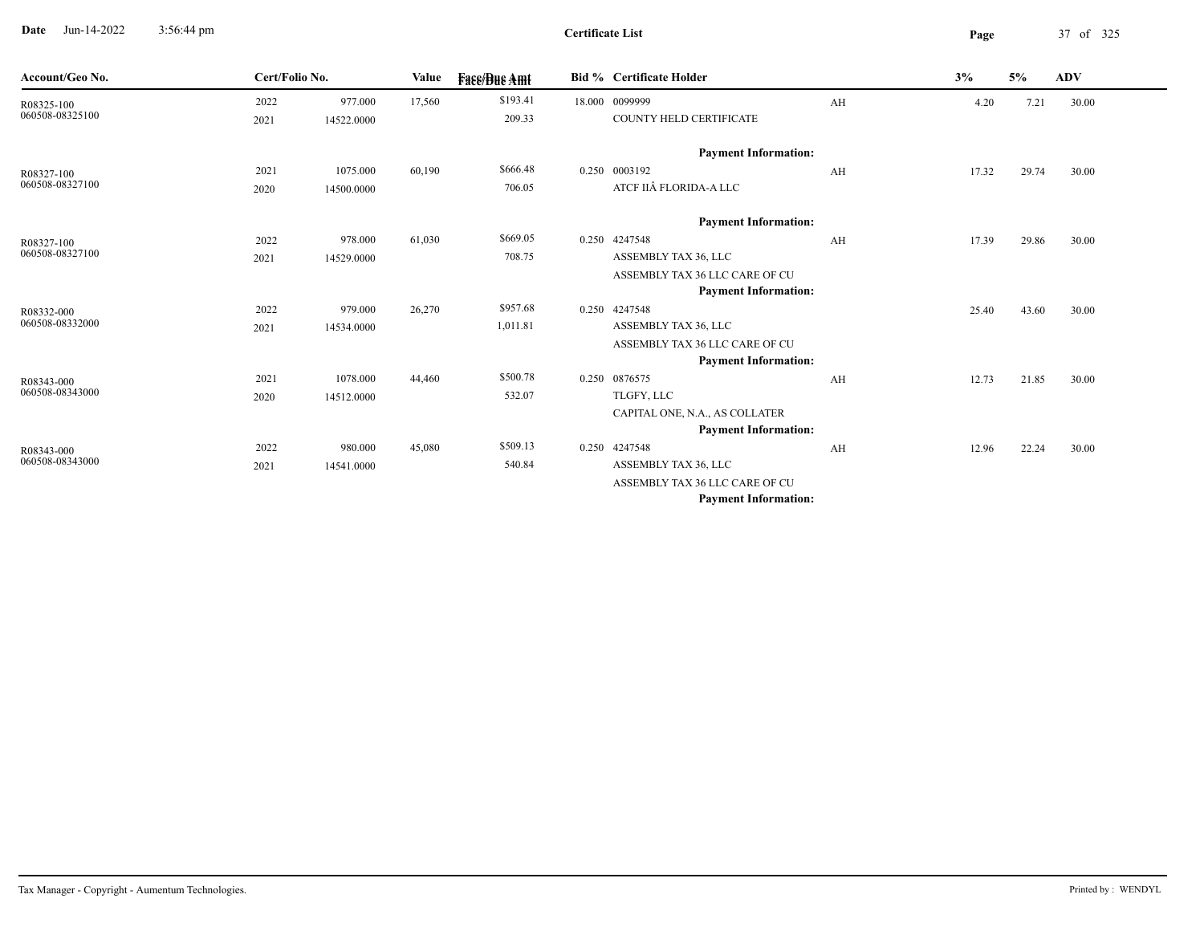**Date** Jun-14-2022 3:56:44 pm **Page** 37 of 325 3:56:44 pm

-

| Account/Geo No. | Cert/Folio No. |            | Value  | <b>Fass/Bus Amt</b> | <b>Bid % Certificate Holder</b> |    | 3%    | 5%    | <b>ADV</b> |
|-----------------|----------------|------------|--------|---------------------|---------------------------------|----|-------|-------|------------|
| R08325-100      | 2022           | 977.000    | 17,560 | \$193.41            | 18.000 0099999                  | AH | 4.20  | 7.21  | 30.00      |
| 060508-08325100 | 2021           | 14522.0000 |        | 209.33              | COUNTY HELD CERTIFICATE         |    |       |       |            |
|                 |                |            |        |                     | <b>Payment Information:</b>     |    |       |       |            |
| R08327-100      | 2021           | 1075.000   | 60,190 | \$666.48            | 0.250 0003192                   | AH | 17.32 | 29.74 | 30.00      |
| 060508-08327100 | 2020           | 14500.0000 |        | 706.05              | ATCF IIÂ FLORIDA-A LLC          |    |       |       |            |
|                 |                |            |        |                     | <b>Payment Information:</b>     |    |       |       |            |
| R08327-100      | 2022           | 978.000    | 61,030 | \$669.05            | 0.250 4247548                   | AH | 17.39 | 29.86 | 30.00      |
| 060508-08327100 | 2021           | 14529.0000 |        | 708.75              | ASSEMBLY TAX 36, LLC            |    |       |       |            |
|                 |                |            |        |                     | ASSEMBLY TAX 36 LLC CARE OF CU  |    |       |       |            |
|                 |                |            |        |                     | <b>Payment Information:</b>     |    |       |       |            |
| R08332-000      | 2022           | 979.000    | 26,270 | \$957.68            | 0.250 4247548                   |    | 25.40 | 43.60 | 30.00      |
| 060508-08332000 | 2021           | 14534.0000 |        | 1,011.81            | ASSEMBLY TAX 36, LLC            |    |       |       |            |
|                 |                |            |        |                     | ASSEMBLY TAX 36 LLC CARE OF CU  |    |       |       |            |
|                 |                |            |        |                     | <b>Payment Information:</b>     |    |       |       |            |
| R08343-000      | 2021           | 1078.000   | 44,460 | \$500.78            | 0.250 0876575                   | AH | 12.73 | 21.85 | 30.00      |
| 060508-08343000 | 2020           | 14512.0000 |        | 532.07              | TLGFY, LLC                      |    |       |       |            |
|                 |                |            |        |                     | CAPITAL ONE, N.A., AS COLLATER  |    |       |       |            |
|                 |                |            |        |                     | <b>Payment Information:</b>     |    |       |       |            |
| R08343-000      | 2022           | 980.000    | 45,080 | \$509.13            | 0.250 4247548                   | AH | 12.96 | 22.24 | 30.00      |
| 060508-08343000 | 2021           | 14541.0000 |        | 540.84              | ASSEMBLY TAX 36, LLC            |    |       |       |            |
|                 |                |            |        |                     | ASSEMBLY TAX 36 LLC CARE OF CU  |    |       |       |            |
|                 |                |            |        |                     | <b>Payment Information:</b>     |    |       |       |            |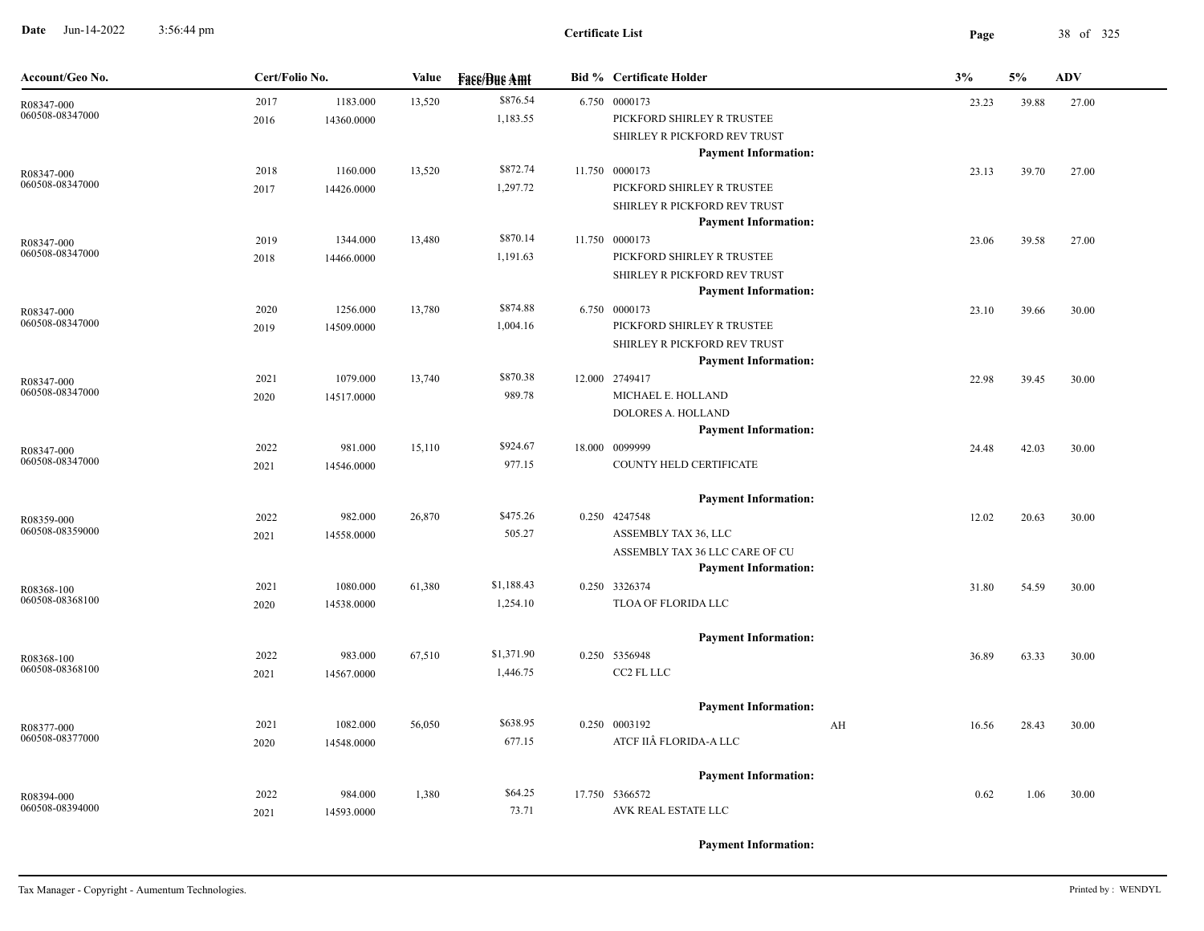**Date** Jun-14-2022 3:56:44 pm **Page** 38 of 325 3:56:44 pm

| Account/Geo No.               | Cert/Folio No. |            | Value  | <b>Fase/Bue Amt</b> | <b>Bid % Certificate Holder</b> | 3%                                                |             | <b>ADV</b> |       |
|-------------------------------|----------------|------------|--------|---------------------|---------------------------------|---------------------------------------------------|-------------|------------|-------|
| R08347-000                    | 2017           | 1183.000   | 13,520 | \$876.54            |                                 | 6.750 0000173                                     | 23.23       | 39.88      | 27.00 |
| 060508-08347000               | 2016           | 14360.0000 |        | 1,183.55            |                                 | PICKFORD SHIRLEY R TRUSTEE                        |             |            |       |
|                               |                |            |        |                     |                                 | SHIRLEY R PICKFORD REV TRUST                      |             |            |       |
|                               |                |            |        |                     |                                 | <b>Payment Information:</b>                       |             |            |       |
| R08347-000                    | 2018           | 1160.000   | 13,520 | \$872.74            |                                 | 11.750 0000173                                    | 23.13       | 39.70      | 27.00 |
| 060508-08347000               | 2017           | 14426.0000 |        | 1,297.72            |                                 | PICKFORD SHIRLEY R TRUSTEE                        |             |            |       |
|                               |                |            |        |                     |                                 | SHIRLEY R PICKFORD REV TRUST                      |             |            |       |
|                               |                |            |        |                     |                                 | <b>Payment Information:</b>                       |             |            |       |
| R08347-000<br>060508-08347000 | 2019           | 1344.000   | 13,480 | \$870.14            |                                 | 11.750 0000173                                    | 23.06       | 39.58      | 27.00 |
|                               | 2018           | 14466.0000 |        | 1,191.63            |                                 | PICKFORD SHIRLEY R TRUSTEE                        |             |            |       |
|                               |                |            |        |                     |                                 | SHIRLEY R PICKFORD REV TRUST                      |             |            |       |
|                               |                |            |        |                     |                                 | <b>Payment Information:</b>                       |             |            |       |
| R08347-000<br>060508-08347000 | 2020           | 1256.000   | 13,780 | \$874.88            |                                 | 6.750 0000173                                     | 23.10       | 39.66      | 30.00 |
|                               | 2019           | 14509.0000 |        | 1,004.16            |                                 | PICKFORD SHIRLEY R TRUSTEE                        |             |            |       |
|                               |                |            |        |                     |                                 | SHIRLEY R PICKFORD REV TRUST                      |             |            |       |
|                               |                |            |        | \$870.38            |                                 | <b>Payment Information:</b>                       |             |            |       |
| R08347-000<br>060508-08347000 | 2021           | 1079.000   | 13,740 | 989.78              |                                 | 12.000 2749417<br>MICHAEL E. HOLLAND              | 22.98       | 39.45      | 30.00 |
|                               | 2020           | 14517.0000 |        |                     |                                 |                                                   |             |            |       |
|                               |                |            |        |                     |                                 | DOLORES A. HOLLAND<br><b>Payment Information:</b> |             |            |       |
|                               | 2022           | 981.000    | 15,110 | \$924.67            |                                 | 18.000 0099999                                    |             | 42.03      |       |
| R08347-000<br>060508-08347000 | 2021           | 14546.0000 |        | 977.15              |                                 | COUNTY HELD CERTIFICATE                           | 24.48       |            | 30.00 |
|                               |                |            |        |                     |                                 |                                                   |             |            |       |
|                               |                |            |        |                     |                                 | <b>Payment Information:</b>                       |             |            |       |
| R08359-000                    | 2022           | 982.000    | 26,870 | \$475.26            |                                 | 0.250 4247548                                     | 12.02       | 20.63      | 30.00 |
| 060508-08359000               | 2021           | 14558.0000 |        | 505.27              |                                 | ASSEMBLY TAX 36, LLC                              |             |            |       |
|                               |                |            |        |                     |                                 | ASSEMBLY TAX 36 LLC CARE OF CU                    |             |            |       |
|                               |                |            |        |                     |                                 | <b>Payment Information:</b>                       |             |            |       |
| R08368-100                    | 2021           | 1080.000   | 61,380 | \$1,188.43          |                                 | 0.250 3326374                                     | 31.80       | 54.59      | 30.00 |
| 060508-08368100               | 2020           | 14538.0000 |        | 1,254.10            |                                 | TLOA OF FLORIDA LLC                               |             |            |       |
|                               |                |            |        |                     |                                 | <b>Payment Information:</b>                       |             |            |       |
| R08368-100                    | 2022           | 983.000    | 67,510 | \$1,371.90          |                                 | 0.250 5356948                                     | 36.89       | 63.33      | 30.00 |
| 060508-08368100               | 2021           | 14567.0000 |        | 1,446.75            |                                 | CC2 FL LLC                                        |             |            |       |
|                               |                |            |        |                     |                                 |                                                   |             |            |       |
|                               |                |            |        |                     |                                 | <b>Payment Information:</b>                       |             |            |       |
| R08377-000                    | 2021           | 1082.000   | 56,050 | \$638.95            |                                 | 0.250 0003192                                     | AH<br>16.56 | 28.43      | 30.00 |
| 060508-08377000               | 2020           | 14548.0000 |        | 677.15              |                                 | ATCF IIÂ FLORIDA-A LLC                            |             |            |       |
|                               |                |            |        |                     |                                 | <b>Payment Information:</b>                       |             |            |       |
| R08394-000                    | 2022           | 984.000    | 1,380  | \$64.25             |                                 | 17.750 5366572                                    | 0.62        | 1.06       | 30.00 |
| 060508-08394000               | 2021           | 14593.0000 |        | 73.71               |                                 | AVK REAL ESTATE LLC                               |             |            |       |
|                               |                |            |        |                     |                                 |                                                   |             |            |       |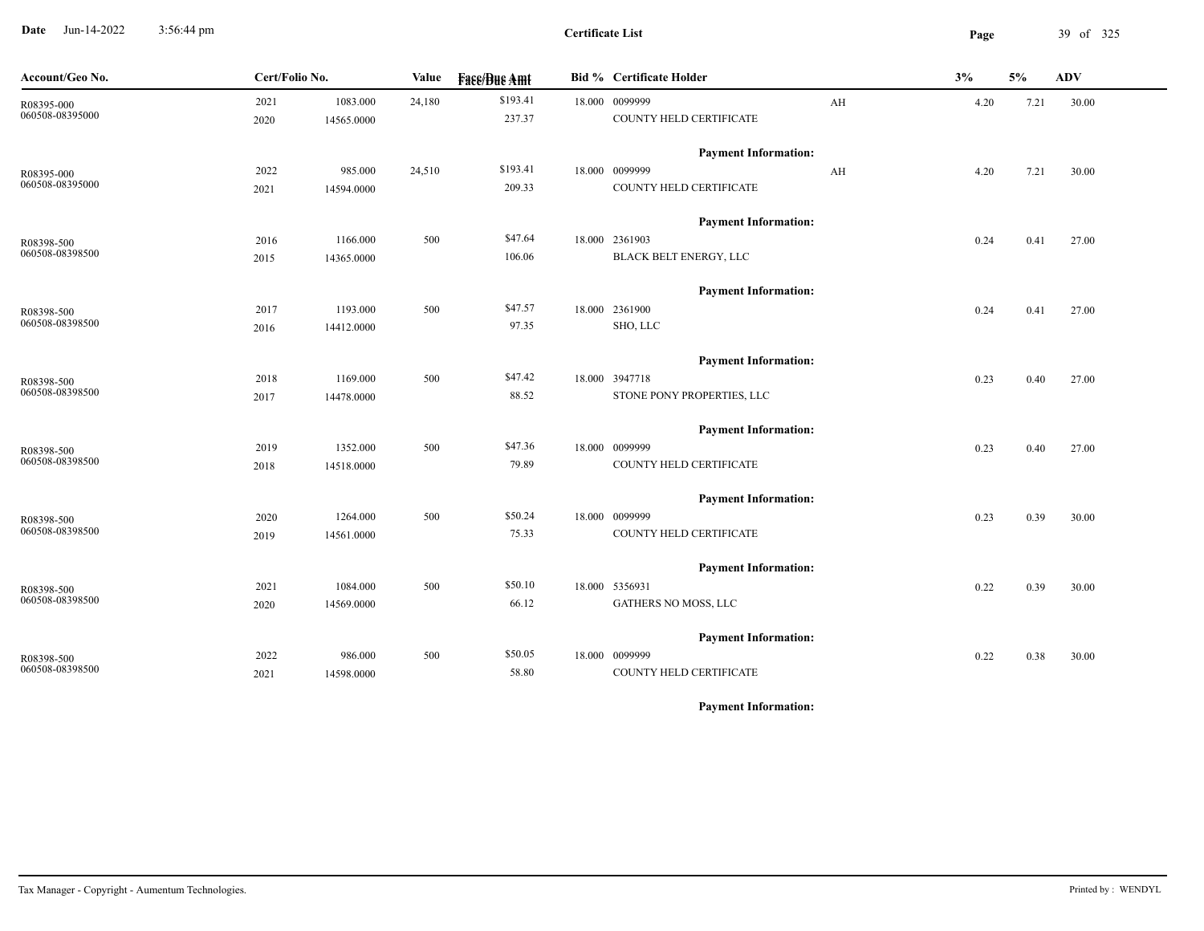**Date** Jun-14-2022 3:56:44 pm **Page** 39 of 325 3:56:44 pm

| Account/Geo No. | Cert/Folio No. |            | Value  | <b>Fase/Bue Amt</b> | <b>Bid % Certificate Holder</b> | 3%   | 5%   | <b>ADV</b> |
|-----------------|----------------|------------|--------|---------------------|---------------------------------|------|------|------------|
| R08395-000      | 2021           | 1083.000   | 24,180 | \$193.41            | 18.000 0099999<br>AH            | 4.20 | 7.21 | 30.00      |
| 060508-08395000 | 2020           | 14565.0000 |        | 237.37              | COUNTY HELD CERTIFICATE         |      |      |            |
|                 |                |            |        |                     | <b>Payment Information:</b>     |      |      |            |
| R08395-000      | 2022           | 985.000    | 24,510 | \$193.41            | 18.000 0099999<br>AH            | 4.20 | 7.21 | 30.00      |
| 060508-08395000 | 2021           | 14594.0000 |        | 209.33              | COUNTY HELD CERTIFICATE         |      |      |            |
|                 |                |            |        |                     | <b>Payment Information:</b>     |      |      |            |
| R08398-500      | 2016           | 1166.000   | 500    | \$47.64             | 18.000 2361903                  | 0.24 | 0.41 | 27.00      |
| 060508-08398500 | 2015           | 14365.0000 |        | 106.06              | <b>BLACK BELT ENERGY, LLC</b>   |      |      |            |
|                 |                |            |        |                     | <b>Payment Information:</b>     |      |      |            |
| R08398-500      | 2017           | 1193.000   | 500    | \$47.57             | 18.000 2361900                  | 0.24 | 0.41 | 27.00      |
| 060508-08398500 | 2016           | 14412.0000 |        | 97.35               | SHO, LLC                        |      |      |            |
|                 |                |            |        |                     | <b>Payment Information:</b>     |      |      |            |
| R08398-500      | 2018           | 1169.000   | 500    | \$47.42             | 18.000 3947718                  | 0.23 | 0.40 | 27.00      |
| 060508-08398500 | 2017           | 14478.0000 |        | 88.52               | STONE PONY PROPERTIES, LLC      |      |      |            |
|                 |                |            |        |                     | <b>Payment Information:</b>     |      |      |            |
| R08398-500      | 2019           | 1352.000   | 500    | \$47.36             | 18.000 0099999                  | 0.23 | 0.40 | 27.00      |
| 060508-08398500 | 2018           | 14518.0000 |        | 79.89               | COUNTY HELD CERTIFICATE         |      |      |            |
|                 |                |            |        |                     | <b>Payment Information:</b>     |      |      |            |
| R08398-500      | 2020           | 1264.000   | 500    | \$50.24             | 18.000 0099999                  | 0.23 | 0.39 | 30.00      |
| 060508-08398500 | 2019           | 14561.0000 |        | 75.33               | COUNTY HELD CERTIFICATE         |      |      |            |
|                 |                |            |        |                     | <b>Payment Information:</b>     |      |      |            |
| R08398-500      | 2021           | 1084.000   | 500    | \$50.10             | 18.000 5356931                  | 0.22 | 0.39 | 30.00      |
| 060508-08398500 | 2020           | 14569.0000 |        | 66.12               | GATHERS NO MOSS, LLC            |      |      |            |
|                 |                |            |        |                     | <b>Payment Information:</b>     |      |      |            |
| R08398-500      | 2022           | 986.000    | 500    | \$50.05             | 18.000 0099999                  | 0.22 | 0.38 | 30.00      |
| 060508-08398500 | 2021           | 14598.0000 |        | 58.80               | COUNTY HELD CERTIFICATE         |      |      |            |
|                 |                |            |        |                     |                                 |      |      |            |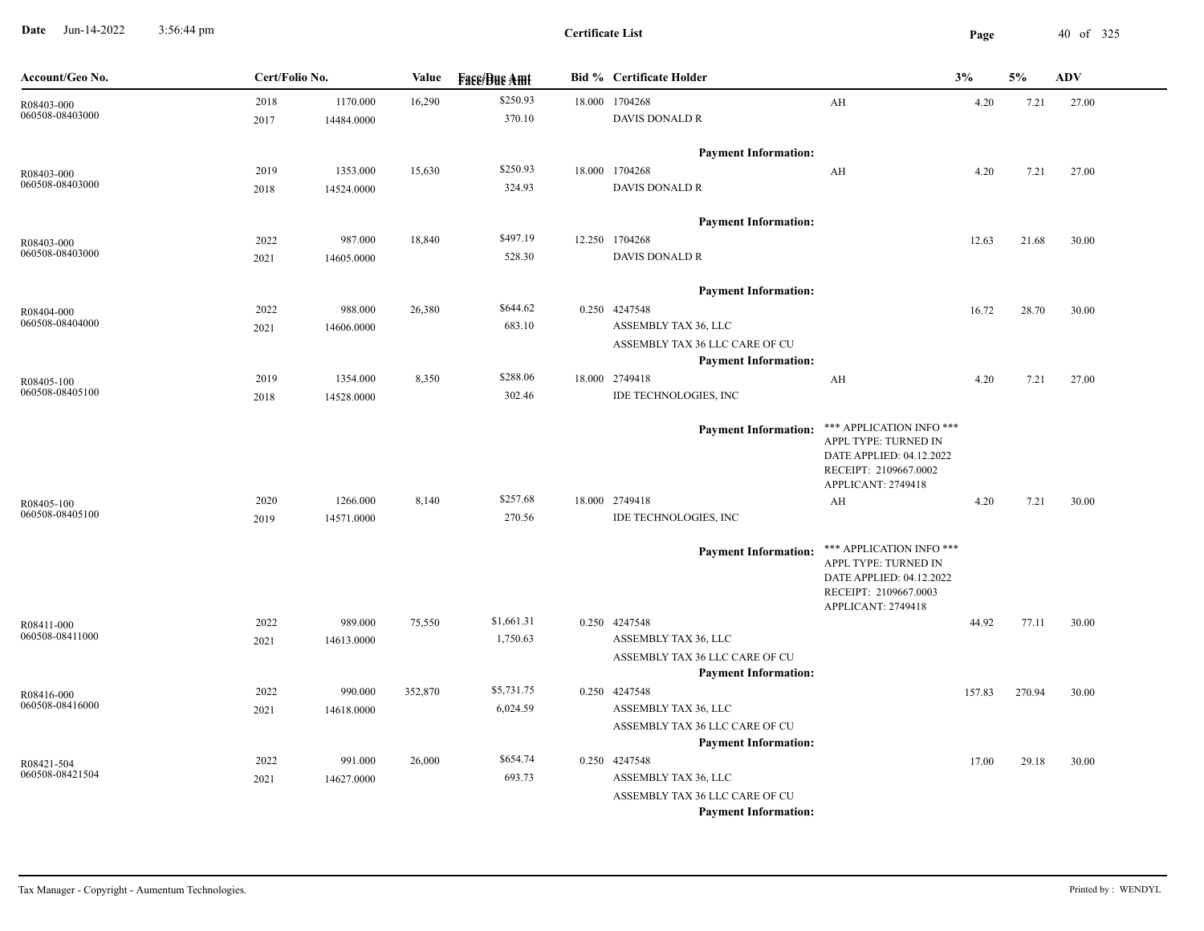**Date** Jun-14-2022 3:56:44 pm **Page** 40 of 325 3:56:44 pm

| Account/Geo No.               | Cert/Folio No. |            | Value   | <b>Fass/Bus Amt</b> | <b>Bid % Certificate Holder</b>              |                                                   | 3%     | 5%     | <b>ADV</b> |
|-------------------------------|----------------|------------|---------|---------------------|----------------------------------------------|---------------------------------------------------|--------|--------|------------|
| R08403-000                    | 2018           | 1170.000   | 16,290  | \$250.93            | 18.000 1704268                               | AH                                                | 4.20   | 7.21   | 27.00      |
| 060508-08403000               | 2017           | 14484.0000 |         | 370.10              | DAVIS DONALD R                               |                                                   |        |        |            |
|                               |                |            |         |                     | <b>Payment Information:</b>                  |                                                   |        |        |            |
| R08403-000                    | 2019           | 1353.000   | 15,630  | \$250.93            | 18.000 1704268                               | AH                                                | 4.20   | 7.21   | 27.00      |
| 060508-08403000               | 2018           | 14524.0000 |         | 324.93              | <b>DAVIS DONALD R</b>                        |                                                   |        |        |            |
|                               |                |            |         |                     | <b>Payment Information:</b>                  |                                                   |        |        |            |
| R08403-000                    | 2022           | 987.000    | 18,840  | \$497.19            | 12.250 1704268                               |                                                   | 12.63  | 21.68  | 30.00      |
| 060508-08403000               | 2021           | 14605.0000 |         | 528.30              | <b>DAVIS DONALD R</b>                        |                                                   |        |        |            |
|                               |                |            |         |                     | <b>Payment Information:</b>                  |                                                   |        |        |            |
|                               | 2022           | 988.000    | 26,380  | \$644.62            | 0.250 4247548                                |                                                   | 16.72  | 28.70  | 30.00      |
| R08404-000<br>060508-08404000 | 2021           | 14606.0000 |         | 683.10              | ASSEMBLY TAX 36, LLC                         |                                                   |        |        |            |
|                               |                |            |         |                     | ASSEMBLY TAX 36 LLC CARE OF CU               |                                                   |        |        |            |
|                               |                |            |         |                     | <b>Payment Information:</b>                  |                                                   |        |        |            |
| R08405-100                    | 2019           | 1354.000   | 8,350   | \$288.06            | 18.000 2749418                               | AH                                                | 4.20   | 7.21   | 27.00      |
| 060508-08405100               | 2018           | 14528.0000 |         | 302.46              | IDE TECHNOLOGIES, INC                        |                                                   |        |        |            |
|                               |                |            |         |                     | <b>Payment Information:</b>                  | *** APPLICATION INFO ***                          |        |        |            |
|                               |                |            |         |                     |                                              | APPL TYPE: TURNED IN                              |        |        |            |
|                               |                |            |         |                     |                                              | DATE APPLIED: 04.12.2022<br>RECEIPT: 2109667.0002 |        |        |            |
|                               |                |            |         |                     |                                              | APPLICANT: 2749418                                |        |        |            |
| R08405-100                    | 2020           | 1266.000   | 8,140   | \$257.68            | 18.000 2749418                               | AH                                                | 4.20   | 7.21   | 30.00      |
| 060508-08405100               | 2019           | 14571.0000 |         | 270.56              | IDE TECHNOLOGIES, INC                        |                                                   |        |        |            |
|                               |                |            |         |                     | <b>Payment Information:</b>                  | *** APPLICATION INFO ***                          |        |        |            |
|                               |                |            |         |                     |                                              | APPL TYPE: TURNED IN                              |        |        |            |
|                               |                |            |         |                     |                                              | DATE APPLIED: 04.12.2022<br>RECEIPT: 2109667.0003 |        |        |            |
|                               |                |            |         |                     |                                              | APPLICANT: 2749418                                |        |        |            |
| R08411-000                    | 2022           | 989.000    | 75,550  | \$1,661.31          | 0.250 4247548                                |                                                   | 44.92  | 77.11  | 30.00      |
| 060508-08411000               | 2021           | 14613.0000 |         | 1,750.63            | ASSEMBLY TAX 36, LLC                         |                                                   |        |        |            |
|                               |                |            |         |                     | ASSEMBLY TAX 36 LLC CARE OF CU               |                                                   |        |        |            |
|                               |                |            |         |                     | <b>Payment Information:</b>                  |                                                   |        |        |            |
| R08416-000<br>060508-08416000 | 2022           | 990.000    | 352,870 | \$5,731.75          | 0.250 4247548                                |                                                   | 157.83 | 270.94 | 30.00      |
|                               | 2021           | 14618.0000 |         | 6,024.59            | ASSEMBLY TAX 36, LLC                         |                                                   |        |        |            |
|                               |                |            |         |                     | ASSEMBLY TAX 36 LLC CARE OF CU               |                                                   |        |        |            |
|                               |                |            |         | \$654.74            | <b>Payment Information:</b><br>0.250 4247548 |                                                   |        |        |            |
| R08421-504<br>060508-08421504 | 2022           | 991.000    | 26,000  | 693.73              | ASSEMBLY TAX 36, LLC                         |                                                   | 17.00  | 29.18  | 30.00      |
|                               | 2021           | 14627.0000 |         |                     | ASSEMBLY TAX 36 LLC CARE OF CU               |                                                   |        |        |            |
|                               |                |            |         |                     | <b>Payment Information:</b>                  |                                                   |        |        |            |
|                               |                |            |         |                     |                                              |                                                   |        |        |            |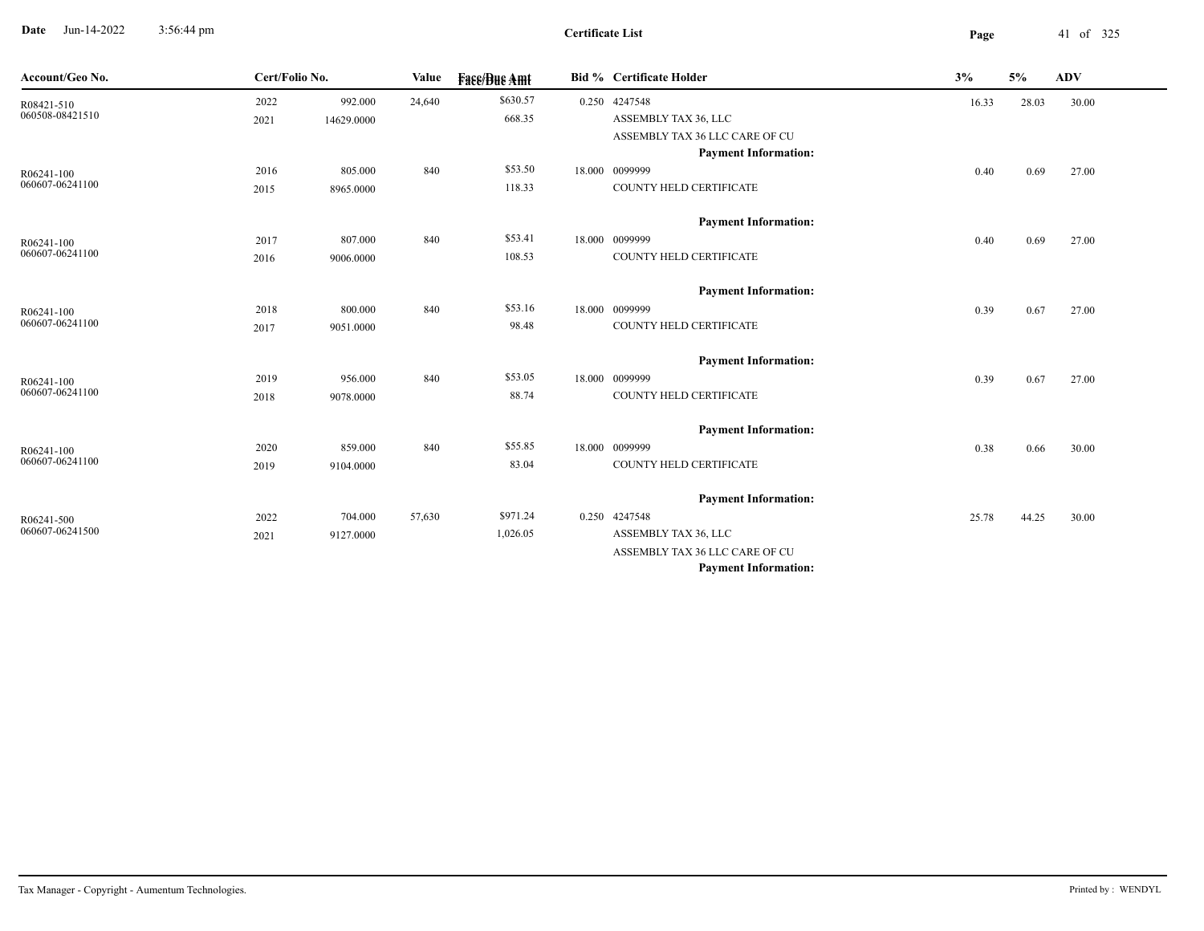**Date** Jun-14-2022 3:56:44 pm **Page** 41 of 325 3:56:44 pm

| Account/Geo No.               | Cert/Folio No. |            | Value  | <b>Fase/Bue Amt</b> | Bid % Certificate Holder       | 3%    | 5%    | <b>ADV</b> |  |
|-------------------------------|----------------|------------|--------|---------------------|--------------------------------|-------|-------|------------|--|
| R08421-510                    | 2022           | 992.000    | 24,640 | \$630.57            | 0.250 4247548                  | 16.33 | 28.03 | 30.00      |  |
| 060508-08421510               | 2021           | 14629.0000 |        | 668.35              | ASSEMBLY TAX 36, LLC           |       |       |            |  |
|                               |                |            |        |                     | ASSEMBLY TAX 36 LLC CARE OF CU |       |       |            |  |
|                               |                |            |        |                     | <b>Payment Information:</b>    |       |       |            |  |
| R06241-100                    | 2016           | 805.000    | 840    | \$53.50             | 18.000 0099999                 | 0.40  | 0.69  | 27.00      |  |
| 060607-06241100               | 2015           | 8965.0000  |        | 118.33              | COUNTY HELD CERTIFICATE        |       |       |            |  |
|                               |                |            |        |                     | <b>Payment Information:</b>    |       |       |            |  |
| R06241-100                    | 2017           | 807.000    | 840    | \$53.41             | 18.000 0099999                 | 0.40  | 0.69  | 27.00      |  |
| 060607-06241100               | 2016           | 9006.0000  |        | 108.53              | COUNTY HELD CERTIFICATE        |       |       |            |  |
|                               |                |            |        |                     | <b>Payment Information:</b>    |       |       |            |  |
| R06241-100                    | 2018           | 800.000    | 840    | \$53.16             | 18.000 0099999                 | 0.39  | 0.67  | 27.00      |  |
| 060607-06241100               | 2017           | 9051.0000  |        | 98.48               | COUNTY HELD CERTIFICATE        |       |       |            |  |
|                               |                |            |        |                     | <b>Payment Information:</b>    |       |       |            |  |
| R06241-100                    | 2019           | 956.000    | 840    | \$53.05             | 18.000 0099999                 | 0.39  | 0.67  | 27.00      |  |
| 060607-06241100               | 2018           | 9078.0000  |        | 88.74               | COUNTY HELD CERTIFICATE        |       |       |            |  |
|                               |                |            |        |                     | <b>Payment Information:</b>    |       |       |            |  |
|                               | 2020           | 859.000    | 840    | \$55.85             | 18.000 0099999                 |       |       |            |  |
| R06241-100<br>060607-06241100 | 2019           | 9104.0000  |        | 83.04               | COUNTY HELD CERTIFICATE        | 0.38  | 0.66  | 30.00      |  |
|                               |                |            |        |                     |                                |       |       |            |  |
|                               |                |            |        |                     | <b>Payment Information:</b>    |       |       |            |  |
| R06241-500                    | 2022           | 704.000    | 57,630 | \$971.24            | 0.250 4247548                  | 25.78 | 44.25 | 30.00      |  |
| 060607-06241500               | 2021           | 9127.0000  |        | 1,026.05            | ASSEMBLY TAX 36, LLC           |       |       |            |  |
|                               |                |            |        |                     | ASSEMBLY TAX 36 LLC CARE OF CU |       |       |            |  |
|                               |                |            |        |                     | <b>Payment Information:</b>    |       |       |            |  |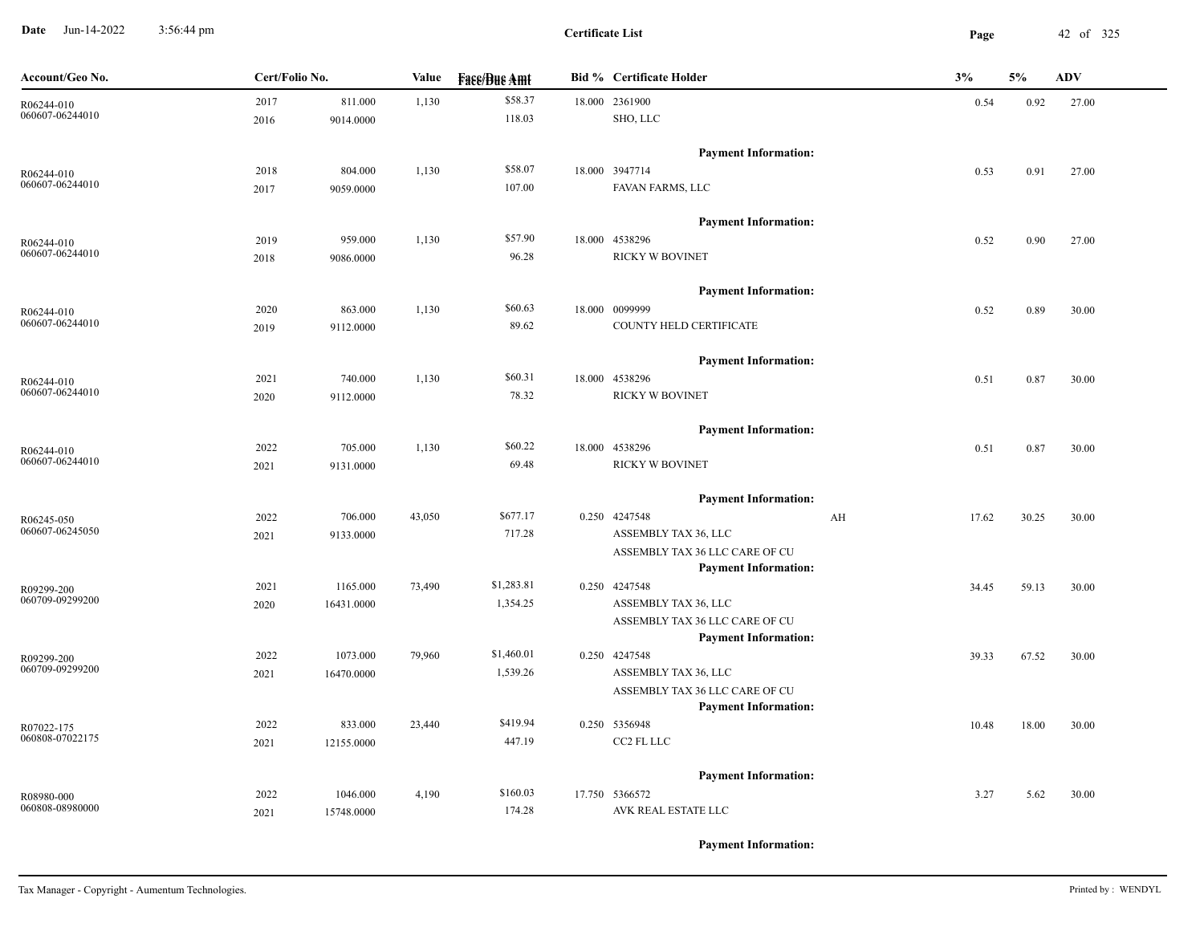**Date** Jun-14-2022 3:56:44 pm **Page** 42 of 325 3:56:44 pm

**Certificate List**

| Account/Geo No.               | Cert/Folio No. |            | Value  | <b>Fase/Bue Amt</b> | <b>Bid % Certificate Holder</b>                               | 3%          | 5%    | <b>ADV</b> |
|-------------------------------|----------------|------------|--------|---------------------|---------------------------------------------------------------|-------------|-------|------------|
| R06244-010                    | 2017           | 811.000    | 1,130  | \$58.37             | 18.000 2361900                                                | 0.54        | 0.92  | 27.00      |
| 060607-06244010               | 2016           | 9014.0000  |        | 118.03              | SHO, LLC                                                      |             |       |            |
|                               |                |            |        |                     | <b>Payment Information:</b>                                   |             |       |            |
| R06244-010                    | 2018           | 804.000    | 1,130  | \$58.07             | 18.000 3947714                                                | 0.53        | 0.91  | 27.00      |
| 060607-06244010               | 2017           | 9059.0000  |        | 107.00              | FAVAN FARMS, LLC                                              |             |       |            |
|                               |                |            |        |                     | <b>Payment Information:</b>                                   |             |       |            |
| R06244-010                    | 2019           | 959.000    | 1,130  | \$57.90             | 18.000 4538296                                                | 0.52        | 0.90  | 27.00      |
| 060607-06244010               | 2018           | 9086.0000  |        | 96.28               | <b>RICKY W BOVINET</b>                                        |             |       |            |
|                               |                |            |        |                     | <b>Payment Information:</b>                                   |             |       |            |
| R06244-010                    | 2020           | 863.000    | 1,130  | \$60.63             | 18.000 0099999                                                | 0.52        | 0.89  | 30.00      |
| 060607-06244010               | 2019           | 9112.0000  |        | 89.62               | COUNTY HELD CERTIFICATE                                       |             |       |            |
|                               |                |            |        |                     | <b>Payment Information:</b>                                   |             |       |            |
| R06244-010                    | 2021           | 740.000    | 1,130  | \$60.31             | 18.000 4538296                                                | 0.51        | 0.87  | 30.00      |
| 060607-06244010               | 2020           | 9112.0000  |        | 78.32               | <b>RICKY W BOVINET</b>                                        |             |       |            |
|                               |                |            |        |                     | <b>Payment Information:</b>                                   |             |       |            |
| R06244-010                    | 2022           | 705.000    | 1,130  | \$60.22             | 18.000 4538296                                                | 0.51        | 0.87  | 30.00      |
| 060607-06244010               | 2021           | 9131.0000  |        | 69.48               | <b>RICKY W BOVINET</b>                                        |             |       |            |
|                               |                |            |        |                     | <b>Payment Information:</b>                                   |             |       |            |
| R06245-050                    | 2022           | 706.000    | 43,050 | \$677.17            | 0.250 4247548                                                 | AH<br>17.62 | 30.25 | 30.00      |
| 060607-06245050               | 2021           | 9133.0000  |        | 717.28              | ASSEMBLY TAX 36, LLC                                          |             |       |            |
|                               |                |            |        |                     | ASSEMBLY TAX 36 LLC CARE OF CU                                |             |       |            |
|                               |                |            |        |                     | <b>Payment Information:</b>                                   |             |       |            |
| R09299-200                    | 2021           | 1165.000   | 73,490 | \$1,283.81          | 0.250 4247548                                                 | 34.45       | 59.13 | 30.00      |
| 060709-09299200               | 2020           | 16431.0000 |        | 1,354.25            | ASSEMBLY TAX 36, LLC                                          |             |       |            |
|                               |                |            |        |                     | ASSEMBLY TAX 36 LLC CARE OF CU                                |             |       |            |
|                               |                |            |        |                     | <b>Payment Information:</b>                                   |             |       |            |
| R09299-200<br>060709-09299200 | 2022           | 1073.000   | 79,960 | \$1,460.01          | 0.250 4247548                                                 | 39.33       | 67.52 | 30.00      |
|                               | 2021           | 16470.0000 |        | 1,539.26            | ASSEMBLY TAX 36, LLC                                          |             |       |            |
|                               |                |            |        |                     | ASSEMBLY TAX 36 LLC CARE OF CU<br><b>Payment Information:</b> |             |       |            |
|                               | 2022           | 833.000    | 23,440 | \$419.94            | 0.250 5356948                                                 |             |       |            |
| R07022-175<br>060808-07022175 | 2021           | 12155.0000 |        | 447.19              | CC2 FL LLC                                                    | 10.48       | 18.00 | 30.00      |
|                               |                |            |        |                     |                                                               |             |       |            |
|                               |                |            |        |                     | <b>Payment Information:</b>                                   |             |       |            |
| R08980-000                    | 2022           | 1046.000   | 4,190  | \$160.03            | 17.750 5366572                                                | 3.27        | 5.62  | 30.00      |
| 060808-08980000               | 2021           | 15748.0000 |        | 174.28              | AVK REAL ESTATE LLC                                           |             |       |            |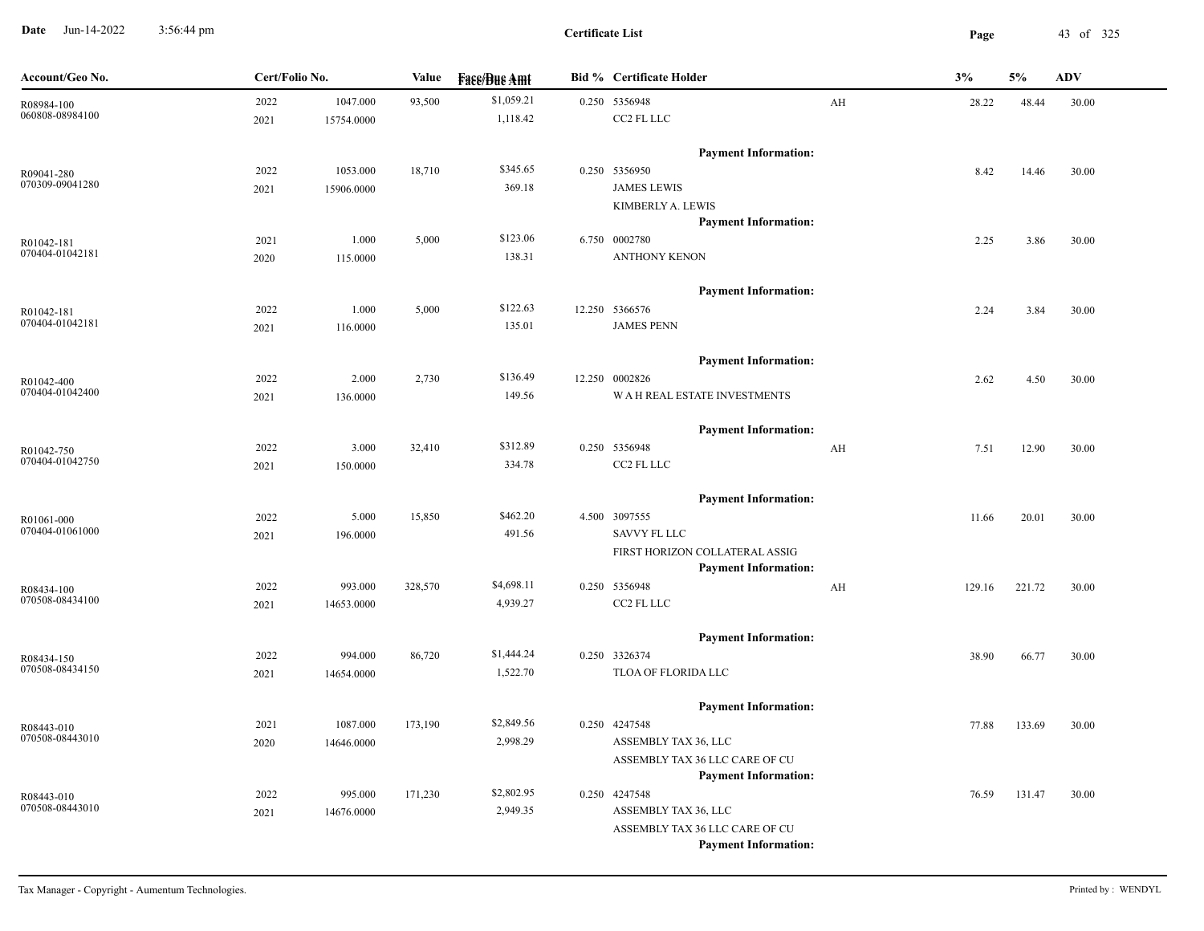**Date** Jun-14-2022 3:56:44 pm **Page** 43 of 325 3:56:44 pm

| Account/Geo No.               | Cert/Folio No. |            | Value   | <b>Face/Bue Amt</b> | <b>Bid % Certificate Holder</b>              |    | 3%     | 5%     | <b>ADV</b> |
|-------------------------------|----------------|------------|---------|---------------------|----------------------------------------------|----|--------|--------|------------|
| R08984-100                    | 2022           | 1047.000   | 93,500  | \$1,059.21          | 0.250 5356948                                | AH | 28.22  | 48.44  | 30.00      |
| 060808-08984100               | 2021           | 15754.0000 |         | 1,118.42            | CC2 FL LLC                                   |    |        |        |            |
|                               |                |            |         |                     | <b>Payment Information:</b>                  |    |        |        |            |
| R09041-280                    | 2022           | 1053.000   | 18,710  | \$345.65            | 0.250 5356950                                |    | 8.42   | 14.46  | 30.00      |
| 070309-09041280               | 2021           | 15906.0000 |         | 369.18              | <b>JAMES LEWIS</b>                           |    |        |        |            |
|                               |                |            |         |                     | KIMBERLY A. LEWIS                            |    |        |        |            |
|                               |                |            |         |                     | <b>Payment Information:</b>                  |    |        |        |            |
| R01042-181                    | 2021           | 1.000      | 5,000   | \$123.06            | 6.750 0002780                                |    | 2.25   | 3.86   | 30.00      |
| 070404-01042181               | 2020           | 115.0000   |         | 138.31              | <b>ANTHONY KENON</b>                         |    |        |        |            |
|                               |                |            |         |                     | <b>Payment Information:</b>                  |    |        |        |            |
| R01042-181                    | 2022           | 1.000      | 5,000   | \$122.63            | 12.250 5366576                               |    | 2.24   | 3.84   | 30.00      |
| 070404-01042181               | 2021           | 116.0000   |         | 135.01              | <b>JAMES PENN</b>                            |    |        |        |            |
|                               |                |            |         |                     | <b>Payment Information:</b>                  |    |        |        |            |
| R01042-400                    | 2022           | 2.000      | 2,730   | \$136.49            | 12.250 0002826                               |    | 2.62   | 4.50   | 30.00      |
| 070404-01042400               | 2021           | 136.0000   |         | 149.56              | W A H REAL ESTATE INVESTMENTS                |    |        |        |            |
|                               |                |            |         |                     | <b>Payment Information:</b>                  |    |        |        |            |
| R01042-750                    | 2022           | 3.000      | 32,410  | \$312.89            | 0.250 5356948                                | AH | 7.51   | 12.90  | 30.00      |
| 070404-01042750               | 2021           | 150.0000   |         | 334.78              | CC2 FL LLC                                   |    |        |        |            |
|                               |                |            |         |                     |                                              |    |        |        |            |
|                               |                |            |         | \$462.20            | <b>Payment Information:</b>                  |    |        |        |            |
| R01061-000<br>070404-01061000 | 2022           | 5.000      | 15,850  | 491.56              | 4.500 3097555<br>SAVVY FL LLC                |    | 11.66  | 20.01  | 30.00      |
|                               | 2021           | 196.0000   |         |                     | FIRST HORIZON COLLATERAL ASSIG               |    |        |        |            |
|                               |                |            |         |                     | <b>Payment Information:</b>                  |    |        |        |            |
|                               | 2022           | 993.000    | 328,570 | \$4,698.11          | 0.250 5356948                                | AH | 129.16 | 221.72 | 30.00      |
| R08434-100<br>070508-08434100 | 2021           | 14653.0000 |         | 4,939.27            | CC2 FL LLC                                   |    |        |        |            |
|                               |                |            |         |                     |                                              |    |        |        |            |
|                               |                |            |         | \$1,444.24          | <b>Payment Information:</b>                  |    |        |        |            |
| R08434-150<br>070508-08434150 | 2022           | 994.000    | 86,720  | 1,522.70            | 0.250 3326374<br>TLOA OF FLORIDA LLC         |    | 38.90  | 66.77  | 30.00      |
|                               | 2021           | 14654.0000 |         |                     |                                              |    |        |        |            |
|                               |                |            |         |                     | <b>Payment Information:</b>                  |    |        |        |            |
| R08443-010<br>070508-08443010 | 2021           | 1087.000   | 173,190 | \$2,849.56          | 0.250 4247548                                |    | 77.88  | 133.69 | 30.00      |
|                               | 2020           | 14646.0000 |         | 2,998.29            | ASSEMBLY TAX 36, LLC                         |    |        |        |            |
|                               |                |            |         |                     | ASSEMBLY TAX 36 LLC CARE OF CU               |    |        |        |            |
|                               | 2022           | 995.000    |         | \$2,802.95          | <b>Payment Information:</b><br>0.250 4247548 |    |        |        |            |
| R08443-010<br>070508-08443010 | 2021           | 14676.0000 | 171,230 | 2,949.35            | ASSEMBLY TAX 36, LLC                         |    | 76.59  | 131.47 | 30.00      |
|                               |                |            |         |                     | ASSEMBLY TAX 36 LLC CARE OF CU               |    |        |        |            |
|                               |                |            |         |                     | <b>Payment Information:</b>                  |    |        |        |            |
|                               |                |            |         |                     |                                              |    |        |        |            |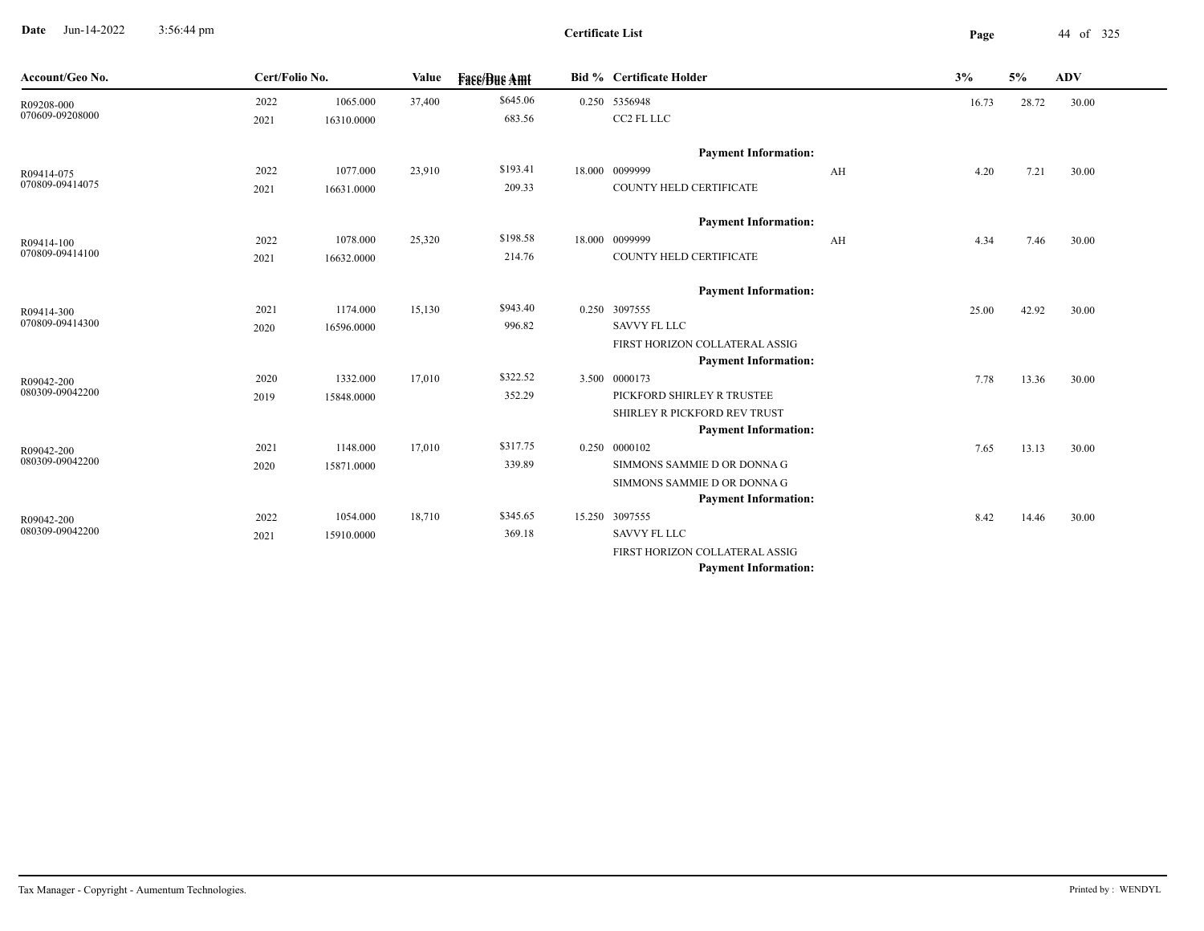**Date** Jun-14-2022 3:56:44 pm **Page** 44 of 325 3:56:44 pm

| Account/Geo No. | Cert/Folio No. |            | Value  | <b>Face/Bue Amt</b> | <b>Bid % Certificate Holder</b> |    | 3%    | 5%    | <b>ADV</b> |  |
|-----------------|----------------|------------|--------|---------------------|---------------------------------|----|-------|-------|------------|--|
| R09208-000      | 2022           | 1065.000   | 37,400 | \$645.06            | 0.250 5356948                   |    | 16.73 | 28.72 | 30.00      |  |
| 070609-09208000 | 2021           | 16310.0000 |        | 683.56              | CC2 FL LLC                      |    |       |       |            |  |
|                 |                |            |        |                     | <b>Payment Information:</b>     |    |       |       |            |  |
| R09414-075      | 2022           | 1077.000   | 23,910 | \$193.41            | 18.000 0099999                  | AH | 4.20  | 7.21  | 30.00      |  |
| 070809-09414075 | 2021           | 16631.0000 |        | 209.33              | COUNTY HELD CERTIFICATE         |    |       |       |            |  |
|                 |                |            |        |                     | <b>Payment Information:</b>     |    |       |       |            |  |
| R09414-100      | 2022           | 1078.000   | 25,320 | \$198.58            | 18.000 0099999                  | AH | 4.34  | 7.46  | 30.00      |  |
| 070809-09414100 | 2021           | 16632.0000 |        | 214.76              | COUNTY HELD CERTIFICATE         |    |       |       |            |  |
|                 |                |            |        |                     | <b>Payment Information:</b>     |    |       |       |            |  |
| R09414-300      | 2021           | 1174.000   | 15,130 | \$943.40            | 0.250 3097555                   |    | 25.00 | 42.92 | 30.00      |  |
| 070809-09414300 | 2020           | 16596.0000 |        | 996.82              | <b>SAVVY FL LLC</b>             |    |       |       |            |  |
|                 |                |            |        |                     | FIRST HORIZON COLLATERAL ASSIG  |    |       |       |            |  |
|                 |                |            |        |                     | <b>Payment Information:</b>     |    |       |       |            |  |
| R09042-200      | 2020           | 1332.000   | 17,010 | \$322.52            | 3.500 0000173                   |    | 7.78  | 13.36 | 30.00      |  |
| 080309-09042200 | 2019           | 15848.0000 |        | 352.29              | PICKFORD SHIRLEY R TRUSTEE      |    |       |       |            |  |
|                 |                |            |        |                     | SHIRLEY R PICKFORD REV TRUST    |    |       |       |            |  |
|                 |                |            |        |                     | <b>Payment Information:</b>     |    |       |       |            |  |
| R09042-200      | 2021           | 1148.000   | 17,010 | \$317.75            | 0.250 0000102                   |    | 7.65  | 13.13 | 30.00      |  |
| 080309-09042200 | 2020           | 15871.0000 |        | 339.89              | SIMMONS SAMMIE D OR DONNA G     |    |       |       |            |  |
|                 |                |            |        |                     | SIMMONS SAMMIE D OR DONNA G     |    |       |       |            |  |
|                 |                |            |        |                     | <b>Payment Information:</b>     |    |       |       |            |  |
| R09042-200      | 2022           | 1054.000   | 18,710 | \$345.65            | 15.250 3097555                  |    | 8.42  | 14.46 | 30.00      |  |
| 080309-09042200 | 2021           | 15910.0000 |        | 369.18              | <b>SAVVY FL LLC</b>             |    |       |       |            |  |
|                 |                |            |        |                     | FIRST HORIZON COLLATERAL ASSIG  |    |       |       |            |  |
|                 |                |            |        |                     | <b>Payment Information:</b>     |    |       |       |            |  |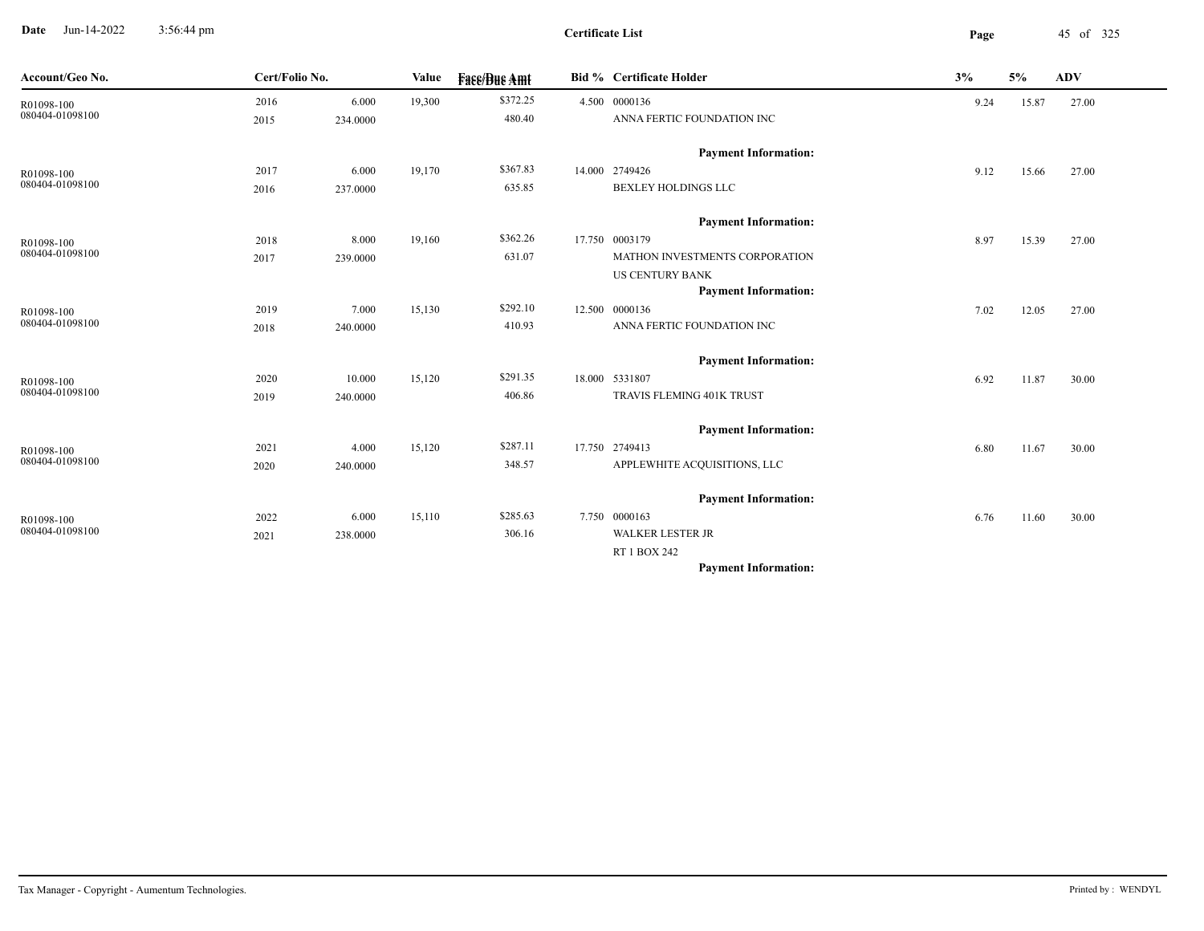**Date** Jun-14-2022 3:56:44 pm **Page** 45 of 325 3:56:44 pm

| Account/Geo No. | Cert/Folio No. |          | Value  | <b>Fase/Bue Amt</b> | <b>Bid % Certificate Holder</b> | 3%   | $5\%$ | <b>ADV</b> |
|-----------------|----------------|----------|--------|---------------------|---------------------------------|------|-------|------------|
| R01098-100      | 2016           | 6.000    | 19,300 | \$372.25            | 4.500 0000136                   | 9.24 | 15.87 | 27.00      |
| 080404-01098100 | 2015           | 234.0000 |        | 480.40              | ANNA FERTIC FOUNDATION INC      |      |       |            |
|                 |                |          |        |                     | <b>Payment Information:</b>     |      |       |            |
| R01098-100      | 2017           | 6.000    | 19,170 | \$367.83            | 14.000 2749426                  | 9.12 | 15.66 | 27.00      |
| 080404-01098100 | 2016           | 237.0000 |        | 635.85              | <b>BEXLEY HOLDINGS LLC</b>      |      |       |            |
|                 |                |          |        |                     | <b>Payment Information:</b>     |      |       |            |
| R01098-100      | 2018           | 8.000    | 19,160 | \$362.26            | 17.750 0003179                  | 8.97 | 15.39 | 27.00      |
| 080404-01098100 | 2017           | 239.0000 |        | 631.07              | MATHON INVESTMENTS CORPORATION  |      |       |            |
|                 |                |          |        |                     | <b>US CENTURY BANK</b>          |      |       |            |
|                 |                |          |        |                     | <b>Payment Information:</b>     |      |       |            |
| R01098-100      | 2019           | 7.000    | 15,130 | \$292.10            | 12.500 0000136                  | 7.02 | 12.05 | 27.00      |
| 080404-01098100 | 2018           | 240.0000 |        | 410.93              | ANNA FERTIC FOUNDATION INC      |      |       |            |
|                 |                |          |        |                     | <b>Payment Information:</b>     |      |       |            |
| R01098-100      | 2020           | 10.000   | 15,120 | \$291.35            | 18.000 5331807                  | 6.92 | 11.87 | 30.00      |
| 080404-01098100 | 2019           | 240.0000 |        | 406.86              | TRAVIS FLEMING 401K TRUST       |      |       |            |
|                 |                |          |        |                     | <b>Payment Information:</b>     |      |       |            |
| R01098-100      | 2021           | 4.000    | 15,120 | \$287.11            | 17.750 2749413                  | 6.80 | 11.67 | 30.00      |
| 080404-01098100 | 2020           | 240.0000 |        | 348.57              | APPLEWHITE ACQUISITIONS, LLC    |      |       |            |
|                 |                |          |        |                     | <b>Payment Information:</b>     |      |       |            |
| R01098-100      | 2022           | 6.000    | 15,110 | \$285.63            | 7.750 0000163                   | 6.76 | 11.60 | 30.00      |
| 080404-01098100 | 2021           | 238.0000 |        | 306.16              | <b>WALKER LESTER JR</b>         |      |       |            |
|                 |                |          |        |                     | RT 1 BOX 242                    |      |       |            |
|                 |                |          |        |                     | <b>Payment Information:</b>     |      |       |            |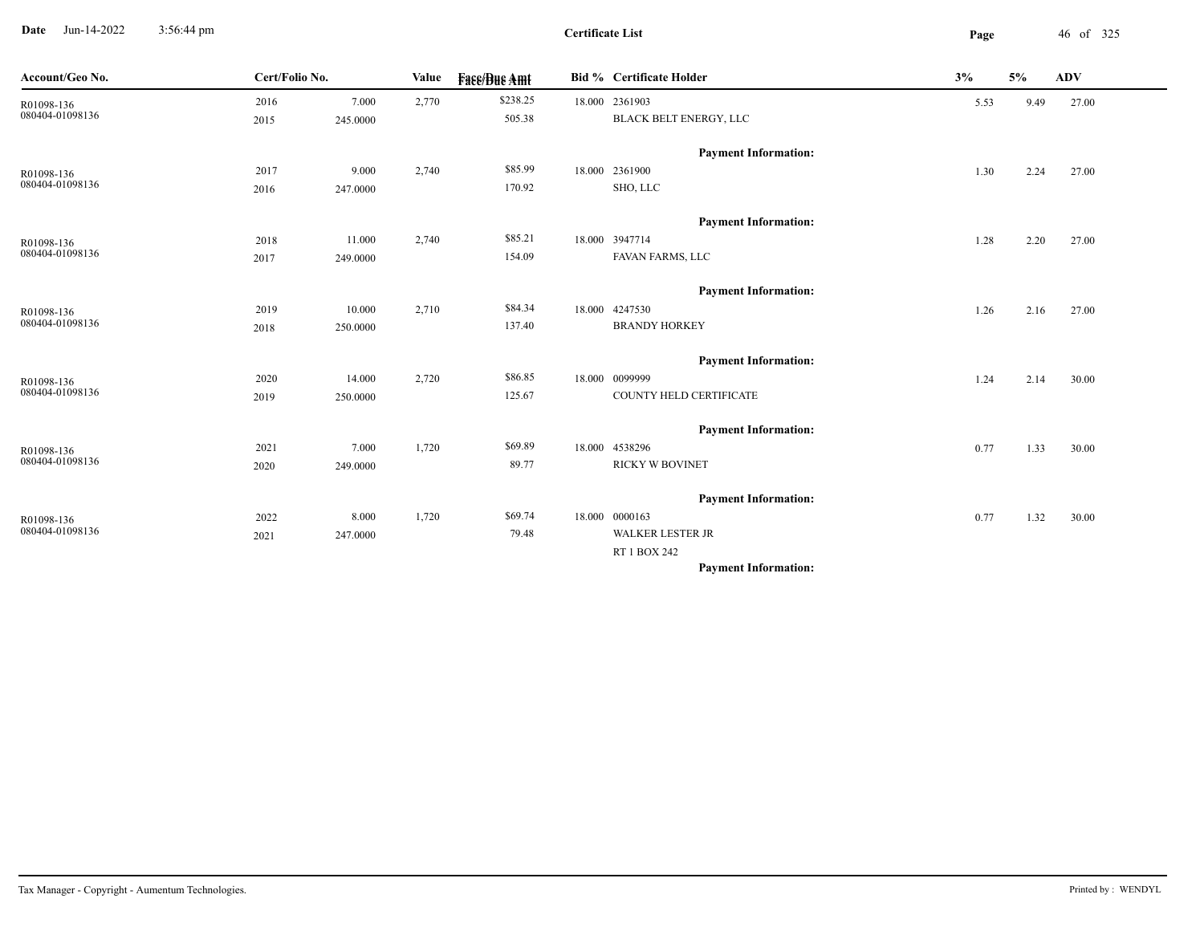**Date** Jun-14-2022 3:56:44 pm **Page** 46 of 325 3:56:44 pm

**Certificate List**

 $\overline{\phantom{a}}$ 

| Account/Geo No.               | Cert/Folio No. |          | Value | <b>Fase/Bue Amt</b> | <b>Bid % Certificate Holder</b> | 3%   | 5%   | <b>ADV</b> |
|-------------------------------|----------------|----------|-------|---------------------|---------------------------------|------|------|------------|
| R01098-136                    | 2016           | 7.000    | 2,770 | \$238.25            | 18.000 2361903                  | 5.53 | 9.49 | 27.00      |
| 080404-01098136               | 2015           | 245.0000 |       | 505.38              | BLACK BELT ENERGY, LLC          |      |      |            |
|                               |                |          |       |                     | <b>Payment Information:</b>     |      |      |            |
| R01098-136                    | 2017           | 9.000    | 2,740 | \$85.99             | 18.000 2361900                  | 1.30 | 2.24 | 27.00      |
| 080404-01098136               | 2016           | 247.0000 |       | 170.92              | SHO, LLC                        |      |      |            |
|                               |                |          |       |                     | <b>Payment Information:</b>     |      |      |            |
| R01098-136                    | 2018           | 11.000   | 2,740 | \$85.21             | 18.000 3947714                  | 1.28 | 2.20 | 27.00      |
| 080404-01098136               | 2017           | 249.0000 |       | 154.09              | FAVAN FARMS, LLC                |      |      |            |
|                               |                |          |       |                     | <b>Payment Information:</b>     |      |      |            |
|                               | 2019           | 10.000   | 2,710 | \$84.34             | 18.000 4247530                  | 1.26 | 2.16 | 27.00      |
| R01098-136<br>080404-01098136 | 2018           | 250.0000 |       | 137.40              | <b>BRANDY HORKEY</b>            |      |      |            |
|                               |                |          |       |                     |                                 |      |      |            |
|                               |                |          |       |                     | <b>Payment Information:</b>     |      |      |            |
| R01098-136                    | 2020           | 14.000   | 2,720 | \$86.85             | 18.000 0099999                  | 1.24 | 2.14 | 30.00      |
| 080404-01098136               | 2019           | 250.0000 |       | 125.67              | COUNTY HELD CERTIFICATE         |      |      |            |
|                               |                |          |       |                     | <b>Payment Information:</b>     |      |      |            |
| R01098-136                    | 2021           | 7.000    | 1,720 | \$69.89             | 18.000 4538296                  | 0.77 | 1.33 | 30.00      |
| 080404-01098136               | 2020           | 249.0000 |       | 89.77               | <b>RICKY W BOVINET</b>          |      |      |            |
|                               |                |          |       |                     | <b>Payment Information:</b>     |      |      |            |
| R01098-136                    | 2022           | 8.000    | 1,720 | \$69.74             | 18.000 0000163                  | 0.77 | 1.32 | 30.00      |
| 080404-01098136               | 2021           | 247.0000 |       | 79.48               | <b>WALKER LESTER JR</b>         |      |      |            |
|                               |                |          |       |                     | RT 1 BOX 242                    |      |      |            |
|                               |                |          |       |                     | <b>Payment Information:</b>     |      |      |            |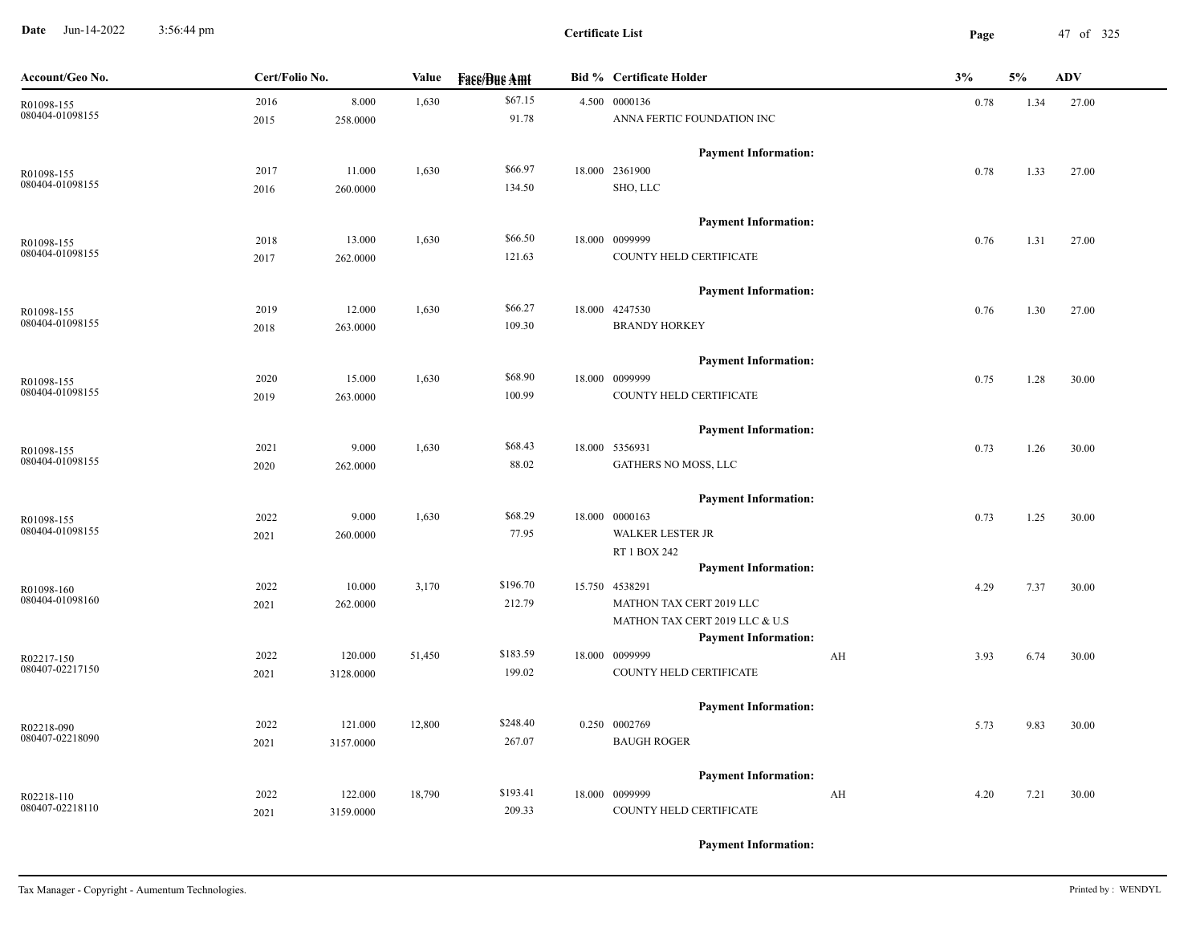**Date** Jun-14-2022 3:56:44 pm **Page** 47 of 325 3:56:44 pm

| Account/Geo No.               | Cert/Folio No. |           |        | <b>Fass/Bus Amt</b><br>Value | <b>Bid % Certificate Holder</b>             | 3% |      | 5%   | <b>ADV</b> |
|-------------------------------|----------------|-----------|--------|------------------------------|---------------------------------------------|----|------|------|------------|
| R01098-155                    | 2016           | 8.000     | 1,630  | \$67.15                      | 4.500 0000136                               |    | 0.78 | 1.34 | 27.00      |
| 080404-01098155               | 2015           | 258.0000  |        | 91.78                        | ANNA FERTIC FOUNDATION INC                  |    |      |      |            |
|                               |                |           |        |                              | <b>Payment Information:</b>                 |    |      |      |            |
| R01098-155                    | 2017           | 11.000    | 1,630  | \$66.97                      | 18.000 2361900                              |    | 0.78 | 1.33 | 27.00      |
| 080404-01098155               | 2016           | 260.0000  |        | 134.50                       | SHO, LLC                                    |    |      |      |            |
|                               |                |           |        |                              | <b>Payment Information:</b>                 |    |      |      |            |
| R01098-155                    | 2018           | 13.000    | 1,630  | \$66.50                      | 18.000 0099999                              |    | 0.76 | 1.31 | 27.00      |
| 080404-01098155               | 2017           | 262.0000  |        | 121.63                       | COUNTY HELD CERTIFICATE                     |    |      |      |            |
|                               |                |           |        |                              | <b>Payment Information:</b>                 |    |      |      |            |
| R01098-155                    | 2019           | 12.000    | 1,630  | \$66.27                      | 18.000 4247530                              |    | 0.76 | 1.30 | 27.00      |
| 080404-01098155               | 2018           | 263.0000  |        | 109.30                       | <b>BRANDY HORKEY</b>                        |    |      |      |            |
|                               |                |           |        |                              | <b>Payment Information:</b>                 |    |      |      |            |
| R01098-155                    | 2020           | 15.000    | 1,630  | \$68.90                      | 18.000 0099999                              |    | 0.75 | 1.28 | 30.00      |
| 080404-01098155               | 2019           | 263.0000  |        | 100.99                       | COUNTY HELD CERTIFICATE                     |    |      |      |            |
|                               |                |           |        |                              | <b>Payment Information:</b>                 |    |      |      |            |
| R01098-155                    | 2021           | 9.000     | 1,630  | \$68.43                      | 18.000 5356931                              |    | 0.73 | 1.26 | 30.00      |
| 080404-01098155               | 2020           | 262.0000  |        | 88.02                        | GATHERS NO MOSS, LLC                        |    |      |      |            |
|                               |                |           |        |                              | <b>Payment Information:</b>                 |    |      |      |            |
| R01098-155                    | 2022           | 9.000     | 1,630  | \$68.29                      | 18.000 0000163                              |    | 0.73 | 1.25 | 30.00      |
| 080404-01098155               | 2021           | 260.0000  |        | 77.95                        | WALKER LESTER JR                            |    |      |      |            |
|                               |                |           |        |                              | RT 1 BOX 242<br><b>Payment Information:</b> |    |      |      |            |
|                               | 2022           | 10.000    | 3,170  | \$196.70                     | 15.750 4538291                              |    | 4.29 | 7.37 | 30.00      |
| R01098-160<br>080404-01098160 | 2021           | 262.0000  |        | 212.79                       | MATHON TAX CERT 2019 LLC                    |    |      |      |            |
|                               |                |           |        |                              | MATHON TAX CERT 2019 LLC & U.S              |    |      |      |            |
|                               |                |           |        |                              | <b>Payment Information:</b>                 |    |      |      |            |
| R02217-150                    | 2022           | 120.000   | 51,450 | \$183.59                     | 18.000 0099999                              | AH | 3.93 | 6.74 | 30.00      |
| 080407-02217150               | 2021           | 3128.0000 |        | 199.02                       | COUNTY HELD CERTIFICATE                     |    |      |      |            |
|                               |                |           |        |                              | <b>Payment Information:</b>                 |    |      |      |            |
| R02218-090                    | 2022           | 121.000   | 12,800 | \$248.40                     | 0.250 0002769                               |    | 5.73 | 9.83 | 30.00      |
| 080407-02218090               | 2021           | 3157.0000 |        | 267.07                       | <b>BAUGH ROGER</b>                          |    |      |      |            |
|                               |                |           |        |                              | <b>Payment Information:</b>                 |    |      |      |            |
| R02218-110                    | 2022           | 122.000   | 18,790 | \$193.41                     | 18.000 0099999                              | AH | 4.20 | 7.21 | 30.00      |
| 080407-02218110               | 2021           | 3159.0000 |        | 209.33                       | COUNTY HELD CERTIFICATE                     |    |      |      |            |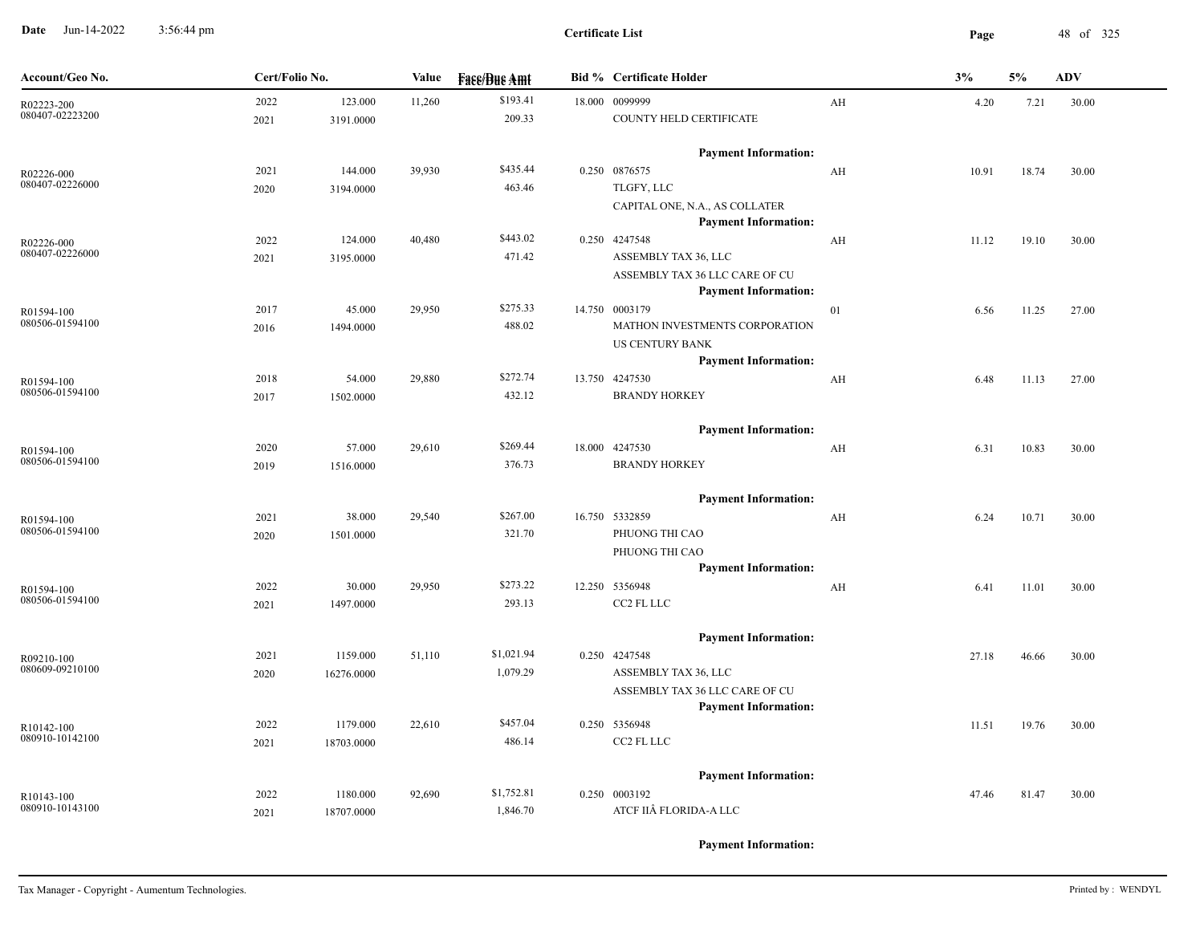**Date** Jun-14-2022 3:56:44 pm **Page** 48 of 325 3:56:44 pm

| Account/Geo No.               |      | Cert/Folio No. |        | Value<br><b>Fase/Bue Amt</b> |  | <b>Bid % Certificate Holder</b>              |    | 3%    | 5%    | <b>ADV</b> |  |
|-------------------------------|------|----------------|--------|------------------------------|--|----------------------------------------------|----|-------|-------|------------|--|
| R02223-200                    | 2022 | 123.000        | 11,260 | \$193.41                     |  | 18.000 0099999                               | AH | 4.20  | 7.21  | 30.00      |  |
| 080407-02223200               | 2021 | 3191.0000      |        | 209.33                       |  | COUNTY HELD CERTIFICATE                      |    |       |       |            |  |
|                               |      |                |        |                              |  | <b>Payment Information:</b>                  |    |       |       |            |  |
| R02226-000                    | 2021 | 144.000        | 39,930 | \$435.44                     |  | 0.250 0876575                                | AH | 10.91 | 18.74 | 30.00      |  |
| 080407-02226000               | 2020 | 3194.0000      |        | 463.46                       |  | TLGFY, LLC                                   |    |       |       |            |  |
|                               |      |                |        |                              |  | CAPITAL ONE, N.A., AS COLLATER               |    |       |       |            |  |
|                               | 2022 | 124.000        | 40,480 | \$443.02                     |  | <b>Payment Information:</b><br>0.250 4247548 |    | 11.12 | 19.10 | 30.00      |  |
| R02226-000<br>080407-02226000 | 2021 | 3195.0000      |        | 471.42                       |  | ASSEMBLY TAX 36, LLC                         | AH |       |       |            |  |
|                               |      |                |        |                              |  | ASSEMBLY TAX 36 LLC CARE OF CU               |    |       |       |            |  |
|                               |      |                |        |                              |  | <b>Payment Information:</b>                  |    |       |       |            |  |
| R01594-100                    | 2017 | 45.000         | 29,950 | \$275.33                     |  | 14.750 0003179                               | 01 | 6.56  | 11.25 | 27.00      |  |
| 080506-01594100               | 2016 | 1494.0000      |        | 488.02                       |  | MATHON INVESTMENTS CORPORATION               |    |       |       |            |  |
|                               |      |                |        |                              |  | <b>US CENTURY BANK</b>                       |    |       |       |            |  |
|                               |      |                |        |                              |  | <b>Payment Information:</b>                  |    |       |       |            |  |
| R01594-100                    | 2018 | 54.000         | 29,880 | \$272.74                     |  | 13.750 4247530                               | AH | 6.48  | 11.13 | 27.00      |  |
| 080506-01594100               | 2017 | 1502.0000      |        | 432.12                       |  | <b>BRANDY HORKEY</b>                         |    |       |       |            |  |
|                               |      |                |        |                              |  | <b>Payment Information:</b>                  |    |       |       |            |  |
| R01594-100                    | 2020 | 57.000         | 29,610 | \$269.44                     |  | 18.000 4247530                               | AH | 6.31  | 10.83 | 30.00      |  |
| 080506-01594100               | 2019 | 1516.0000      |        | 376.73                       |  | <b>BRANDY HORKEY</b>                         |    |       |       |            |  |
|                               |      |                |        |                              |  | <b>Payment Information:</b>                  |    |       |       |            |  |
| R01594-100                    | 2021 | 38.000         | 29,540 | \$267.00                     |  | 16.750 5332859                               | AH | 6.24  | 10.71 | 30.00      |  |
| 080506-01594100               | 2020 | 1501.0000      |        | 321.70                       |  | PHUONG THI CAO                               |    |       |       |            |  |
|                               |      |                |        |                              |  | PHUONG THI CAO                               |    |       |       |            |  |
|                               |      |                |        |                              |  | <b>Payment Information:</b>                  |    |       |       |            |  |
| R01594-100                    | 2022 | 30.000         | 29,950 | \$273.22                     |  | 12.250 5356948                               | AH | 6.41  | 11.01 | 30.00      |  |
| 080506-01594100               | 2021 | 1497.0000      |        | 293.13                       |  | CC2 FL LLC                                   |    |       |       |            |  |
|                               |      |                |        |                              |  | <b>Payment Information:</b>                  |    |       |       |            |  |
| R09210-100                    | 2021 | 1159.000       | 51,110 | \$1,021.94                   |  | 0.250 4247548                                |    | 27.18 | 46.66 | 30.00      |  |
| 080609-09210100               | 2020 | 16276.0000     |        | 1,079.29                     |  | ASSEMBLY TAX 36, LLC                         |    |       |       |            |  |
|                               |      |                |        |                              |  | ASSEMBLY TAX 36 LLC CARE OF CU               |    |       |       |            |  |
|                               |      |                |        |                              |  | <b>Payment Information:</b>                  |    |       |       |            |  |
| R10142-100                    | 2022 | 1179.000       | 22,610 | \$457.04                     |  | 0.250 5356948                                |    | 11.51 | 19.76 | 30.00      |  |
| 080910-10142100               | 2021 | 18703.0000     |        | 486.14                       |  | CC2 FL LLC                                   |    |       |       |            |  |
|                               |      |                |        |                              |  | <b>Payment Information:</b>                  |    |       |       |            |  |
| R10143-100                    | 2022 | 1180.000       | 92,690 | \$1,752.81                   |  | 0.250 0003192                                |    | 47.46 | 81.47 | 30.00      |  |
| 080910-10143100               | 2021 | 18707.0000     |        | 1,846.70                     |  | ATCF IIÂ FLORIDA-A LLC                       |    |       |       |            |  |
|                               |      |                |        |                              |  |                                              |    |       |       |            |  |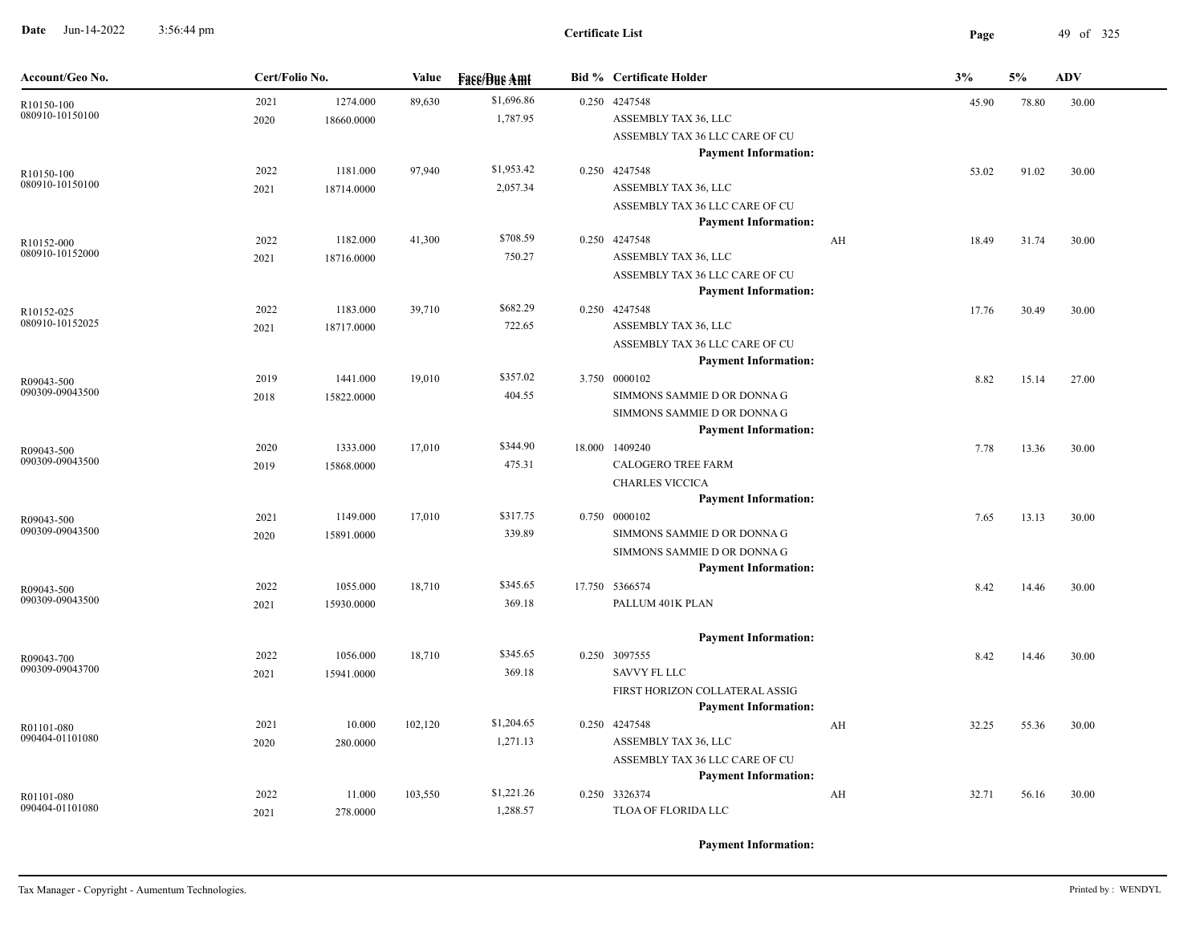**Date** Jun-14-2022 3:56:44 pm **Page** 49 of 325 3:56:44 pm

| Account/Geo No.               | Cert/Folio No. |            | <b>Value</b> | <b>Face/Bue Amt</b>    | <b>Bid % Certificate Holder</b>                               |    | 3%    | 5%    | <b>ADV</b> |
|-------------------------------|----------------|------------|--------------|------------------------|---------------------------------------------------------------|----|-------|-------|------------|
| R10150-100                    | 2021           | 1274.000   | 89,630       | \$1,696.86             | 0.250 4247548                                                 |    | 45.90 | 78.80 | 30.00      |
| 080910-10150100               | 2020           | 18660.0000 |              | 1,787.95               | ASSEMBLY TAX 36, LLC                                          |    |       |       |            |
|                               |                |            |              |                        | ASSEMBLY TAX 36 LLC CARE OF CU<br><b>Payment Information:</b> |    |       |       |            |
| R10150-100                    | 2022           | 1181.000   | 97,940       | \$1,953.42             | 0.250 4247548                                                 |    | 53.02 | 91.02 | 30.00      |
| 080910-10150100               | 2021           | 18714.0000 |              | 2,057.34               | ASSEMBLY TAX 36, LLC                                          |    |       |       |            |
|                               |                |            |              |                        | ASSEMBLY TAX 36 LLC CARE OF CU                                |    |       |       |            |
|                               |                |            |              |                        | <b>Payment Information:</b>                                   |    |       |       |            |
| R10152-000                    | 2022           | 1182.000   | 41,300       | \$708.59               | 0.250 4247548                                                 | AH | 18.49 | 31.74 | 30.00      |
| 080910-10152000               | 2021           | 18716.0000 |              | 750.27                 | ASSEMBLY TAX 36, LLC                                          |    |       |       |            |
|                               |                |            |              |                        | ASSEMBLY TAX 36 LLC CARE OF CU                                |    |       |       |            |
|                               |                |            |              |                        | <b>Payment Information:</b>                                   |    |       |       |            |
| R10152-025<br>080910-10152025 | 2022           | 1183.000   | 39,710       | \$682.29<br>722.65     | 0.250 4247548<br>ASSEMBLY TAX 36, LLC                         |    | 17.76 | 30.49 | 30.00      |
|                               | 2021           | 18717.0000 |              |                        | ASSEMBLY TAX 36 LLC CARE OF CU                                |    |       |       |            |
|                               |                |            |              |                        | <b>Payment Information:</b>                                   |    |       |       |            |
| R09043-500                    | 2019           | 1441.000   | 19,010       | \$357.02               | 3.750 0000102                                                 |    | 8.82  | 15.14 | 27.00      |
| 090309-09043500               | 2018           | 15822.0000 |              | 404.55                 | SIMMONS SAMMIE D OR DONNA G                                   |    |       |       |            |
|                               |                |            |              |                        | SIMMONS SAMMIE D OR DONNA G                                   |    |       |       |            |
|                               |                |            |              |                        | <b>Payment Information:</b>                                   |    |       |       |            |
| R09043-500                    | 2020           | 1333.000   | 17,010       | \$344.90               | 18.000 1409240                                                |    | 7.78  | 13.36 | 30.00      |
| 090309-09043500               | 2019           | 15868.0000 |              | 475.31                 | <b>CALOGERO TREE FARM</b>                                     |    |       |       |            |
|                               |                |            |              |                        | <b>CHARLES VICCICA</b>                                        |    |       |       |            |
|                               |                |            |              |                        | <b>Payment Information:</b>                                   |    |       |       |            |
| R09043-500<br>090309-09043500 | 2021           | 1149.000   | 17,010       | \$317.75<br>339.89     | 0.750 0000102                                                 |    | 7.65  | 13.13 | 30.00      |
|                               | 2020           | 15891.0000 |              |                        | SIMMONS SAMMIE D OR DONNA G<br>SIMMONS SAMMIE D OR DONNA G    |    |       |       |            |
|                               |                |            |              |                        | <b>Payment Information:</b>                                   |    |       |       |            |
| R09043-500                    | 2022           | 1055.000   | 18,710       | \$345.65               | 17.750 5366574                                                |    | 8.42  | 14.46 | 30.00      |
| 090309-09043500               | 2021           | 15930.0000 |              | 369.18                 | PALLUM 401K PLAN                                              |    |       |       |            |
|                               |                |            |              |                        |                                                               |    |       |       |            |
|                               |                |            |              |                        | <b>Payment Information:</b>                                   |    |       |       |            |
| R09043-700                    | 2022           | 1056.000   | 18,710       | \$345.65               | 0.250 3097555                                                 |    | 8.42  | 14.46 | 30.00      |
| 090309-09043700               | 2021           | 15941.0000 |              | 369.18                 | <b>SAVVY FL LLC</b>                                           |    |       |       |            |
|                               |                |            |              |                        | FIRST HORIZON COLLATERAL ASSIG                                |    |       |       |            |
|                               |                |            |              |                        | <b>Payment Information:</b>                                   |    |       |       |            |
| R01101-080<br>090404-01101080 | 2021           | 10.000     | 102,120      | \$1,204.65<br>1,271.13 | 0.250 4247548<br>ASSEMBLY TAX 36, LLC                         | AH | 32.25 | 55.36 | 30.00      |
|                               | 2020           | 280.0000   |              |                        | ASSEMBLY TAX 36 LLC CARE OF CU                                |    |       |       |            |
|                               |                |            |              |                        | <b>Payment Information:</b>                                   |    |       |       |            |
| R01101-080                    | 2022           | 11.000     | 103,550      | \$1,221.26             | 0.250 3326374                                                 | AH | 32.71 | 56.16 | 30.00      |
| 090404-01101080               | 2021           | 278.0000   |              | 1,288.57               | TLOA OF FLORIDA LLC                                           |    |       |       |            |
|                               |                |            |              |                        |                                                               |    |       |       |            |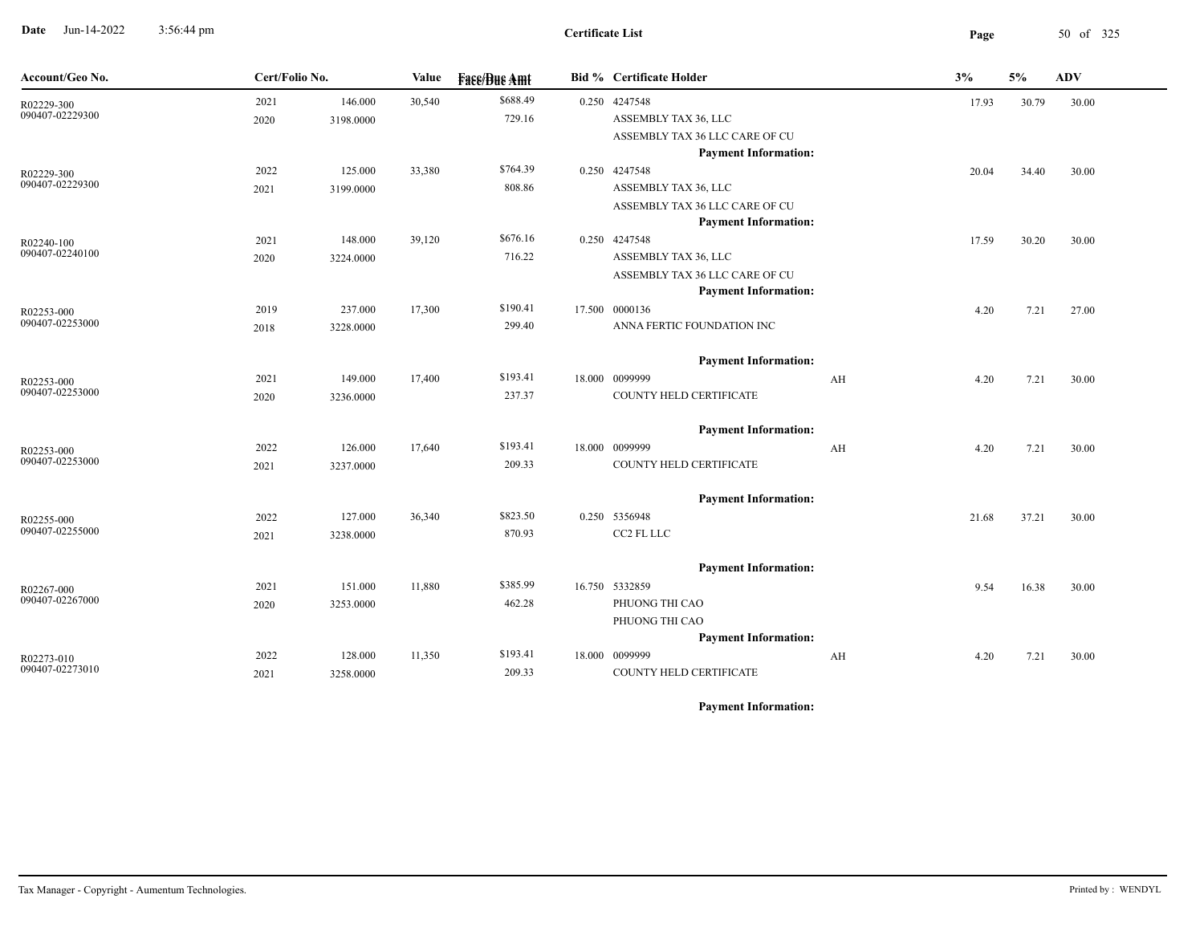**Date** Jun-14-2022 3:56:44 pm **Page** 50 of 325 3:56:44 pm

## **Certificate List**

| Account/Geo No.               | Cert/Folio No. |           | Value  | <b>Face/Bue Amt</b> | <b>Bid % Certificate Holder</b>                               |    | 3%    | 5%    | <b>ADV</b> |
|-------------------------------|----------------|-----------|--------|---------------------|---------------------------------------------------------------|----|-------|-------|------------|
| R02229-300                    | 2021           | 146.000   | 30,540 | \$688.49            | 0.250 4247548                                                 |    | 17.93 | 30.79 | 30.00      |
| 090407-02229300               | 2020           | 3198.0000 |        | 729.16              | ASSEMBLY TAX 36, LLC                                          |    |       |       |            |
|                               |                |           |        |                     | ASSEMBLY TAX 36 LLC CARE OF CU                                |    |       |       |            |
|                               |                |           |        |                     | <b>Payment Information:</b>                                   |    |       |       |            |
| R02229-300<br>090407-02229300 | 2022           | 125.000   | 33,380 | \$764.39            | 0.250 4247548                                                 |    | 20.04 | 34.40 | 30.00      |
|                               | 2021           | 3199.0000 |        | 808.86              | ASSEMBLY TAX 36, LLC                                          |    |       |       |            |
|                               |                |           |        |                     | ASSEMBLY TAX 36 LLC CARE OF CU<br><b>Payment Information:</b> |    |       |       |            |
| R02240-100                    | 2021           | 148.000   | 39,120 | \$676.16            | 0.250 4247548                                                 |    | 17.59 | 30.20 | 30.00      |
| 090407-02240100               | 2020           | 3224.0000 |        | 716.22              | ASSEMBLY TAX 36, LLC                                          |    |       |       |            |
|                               |                |           |        |                     | ASSEMBLY TAX 36 LLC CARE OF CU                                |    |       |       |            |
|                               |                |           |        |                     | <b>Payment Information:</b>                                   |    |       |       |            |
| R02253-000                    | 2019           | 237.000   | 17,300 | \$190.41            | 17.500 0000136                                                |    | 4.20  | 7.21  | 27.00      |
| 090407-02253000               | 2018           | 3228.0000 |        | 299.40              | ANNA FERTIC FOUNDATION INC                                    |    |       |       |            |
|                               |                |           |        |                     | <b>Payment Information:</b>                                   |    |       |       |            |
| R02253-000                    | 2021           | 149.000   | 17,400 | \$193.41            | 18.000 0099999                                                | AH | 4.20  | 7.21  | 30.00      |
| 090407-02253000               | 2020           | 3236.0000 |        | 237.37              | COUNTY HELD CERTIFICATE                                       |    |       |       |            |
|                               |                |           |        |                     | <b>Payment Information:</b>                                   |    |       |       |            |
| R02253-000                    | 2022           | 126.000   | 17,640 | \$193.41            | 18.000 0099999                                                | AH | 4.20  | 7.21  | 30.00      |
| 090407-02253000               | 2021           | 3237.0000 |        | 209.33              | COUNTY HELD CERTIFICATE                                       |    |       |       |            |
|                               |                |           |        |                     | <b>Payment Information:</b>                                   |    |       |       |            |
| R02255-000                    | 2022           | 127.000   | 36,340 | \$823.50            | 0.250 5356948                                                 |    | 21.68 | 37.21 | 30.00      |
| 090407-02255000               | 2021           | 3238.0000 |        | 870.93              | CC2 FL LLC                                                    |    |       |       |            |
|                               |                |           |        |                     | <b>Payment Information:</b>                                   |    |       |       |            |
| R02267-000                    | 2021           | 151.000   | 11,880 | \$385.99            | 16.750 5332859                                                |    | 9.54  | 16.38 | 30.00      |
| 090407-02267000               | 2020           | 3253.0000 |        | 462.28              | PHUONG THI CAO                                                |    |       |       |            |
|                               |                |           |        |                     | PHUONG THI CAO                                                |    |       |       |            |
|                               |                |           |        |                     | <b>Payment Information:</b>                                   |    |       |       |            |
| R02273-010                    | 2022           | 128.000   | 11,350 | \$193.41            | 18.000 0099999                                                | AH | 4.20  | 7.21  | 30.00      |
| 090407-02273010               | 2021           | 3258.0000 |        | 209.33              | COUNTY HELD CERTIFICATE                                       |    |       |       |            |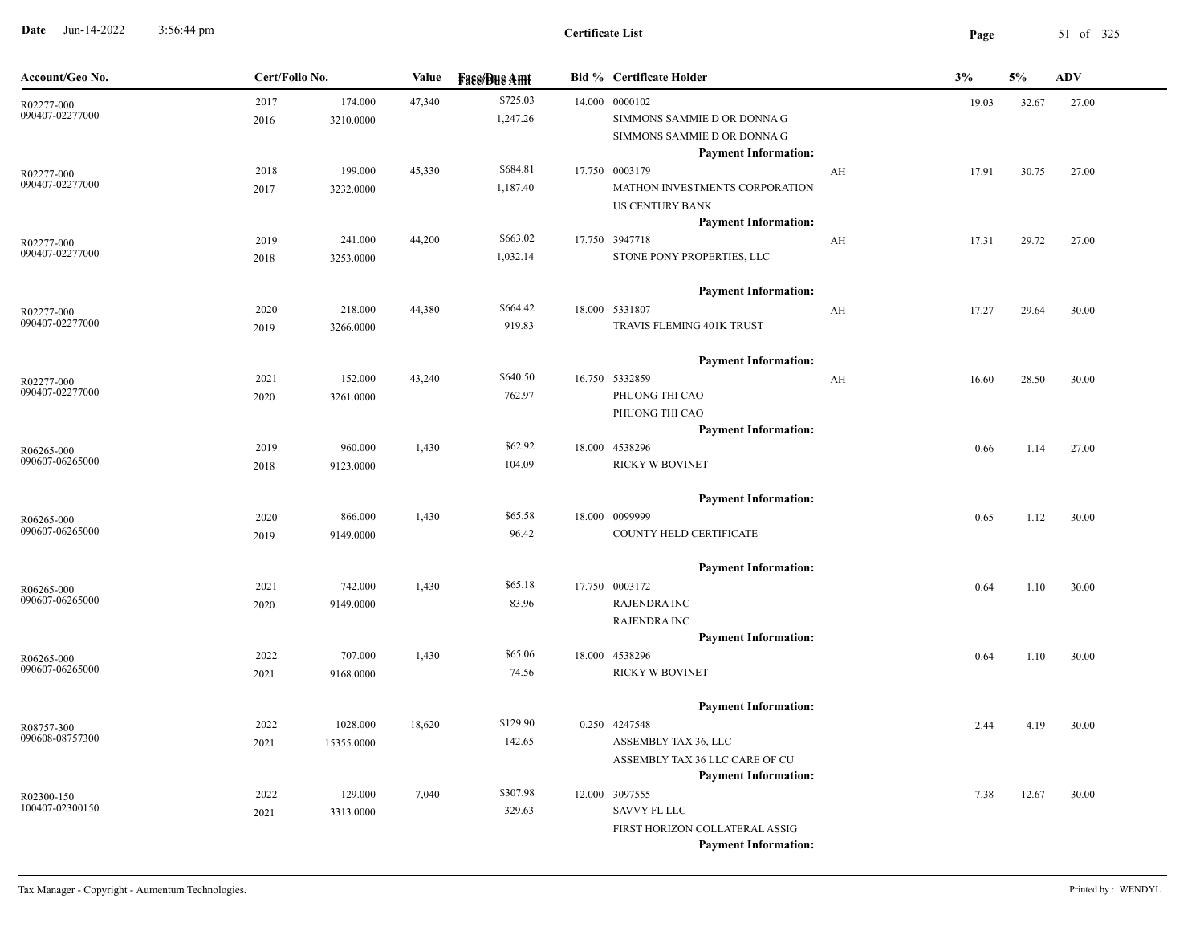**Date** Jun-14-2022 3:56:44 pm **Page** 51 of 325 3:56:44 pm

| Account/Geo No.               | Cert/Folio No. |            | Value<br><b>Fase/Bue Amt</b> |          | <b>Bid % Certificate Holder</b> |                                                    | 3% | 5%    | <b>ADV</b> |       |
|-------------------------------|----------------|------------|------------------------------|----------|---------------------------------|----------------------------------------------------|----|-------|------------|-------|
| R02277-000                    | 2017           | 174.000    | 47,340                       | \$725.03 |                                 | 14.000 0000102                                     |    | 19.03 | 32.67      | 27.00 |
| 090407-02277000               | 2016           | 3210.0000  |                              | 1,247.26 |                                 | SIMMONS SAMMIE D OR DONNA G                        |    |       |            |       |
|                               |                |            |                              |          |                                 | SIMMONS SAMMIE D OR DONNA G                        |    |       |            |       |
|                               |                |            |                              | \$684.81 |                                 | <b>Payment Information:</b>                        |    |       |            |       |
| R02277-000<br>090407-02277000 | 2018           | 199.000    | 45,330                       |          |                                 | 17.750 0003179<br>MATHON INVESTMENTS CORPORATION   | AH | 17.91 | 30.75      | 27.00 |
|                               | 2017           | 3232.0000  |                              | 1,187.40 |                                 | US CENTURY BANK                                    |    |       |            |       |
|                               |                |            |                              |          |                                 | <b>Payment Information:</b>                        |    |       |            |       |
| R02277-000                    | 2019           | 241.000    | 44,200                       | \$663.02 |                                 | 17.750 3947718                                     | AH | 17.31 | 29.72      | 27.00 |
| 090407-02277000               | 2018           | 3253.0000  |                              | 1,032.14 |                                 | STONE PONY PROPERTIES, LLC                         |    |       |            |       |
|                               |                |            |                              |          |                                 |                                                    |    |       |            |       |
|                               |                |            |                              |          |                                 | <b>Payment Information:</b>                        |    |       |            |       |
| R02277-000                    | 2020           | 218.000    | 44,380                       | \$664.42 |                                 | 18.000 5331807                                     | AH | 17.27 | 29.64      | 30.00 |
| 090407-02277000               | 2019           | 3266.0000  |                              | 919.83   |                                 | TRAVIS FLEMING 401K TRUST                          |    |       |            |       |
|                               |                |            |                              |          |                                 |                                                    |    |       |            |       |
|                               |                |            |                              |          |                                 | <b>Payment Information:</b>                        |    |       |            |       |
| R02277-000<br>090407-02277000 | 2021           | 152.000    | 43,240                       | \$640.50 |                                 | 16.750 5332859                                     | AH | 16.60 | 28.50      | 30.00 |
|                               | 2020           | 3261.0000  |                              | 762.97   |                                 | PHUONG THI CAO                                     |    |       |            |       |
|                               |                |            |                              |          |                                 | PHUONG THI CAO<br><b>Payment Information:</b>      |    |       |            |       |
|                               | 2019           | 960.000    | 1,430                        | \$62.92  |                                 | 18.000 4538296                                     |    | 0.66  | 1.14       | 27.00 |
| R06265-000<br>090607-06265000 | 2018           | 9123.0000  |                              | 104.09   |                                 | <b>RICKY W BOVINET</b>                             |    |       |            |       |
|                               |                |            |                              |          |                                 |                                                    |    |       |            |       |
|                               |                |            |                              |          |                                 | <b>Payment Information:</b>                        |    |       |            |       |
| R06265-000                    | 2020           | 866.000    | 1,430                        | \$65.58  |                                 | 18.000 0099999                                     |    | 0.65  | 1.12       | 30.00 |
| 090607-06265000               | 2019           | 9149.0000  |                              | 96.42    |                                 | COUNTY HELD CERTIFICATE                            |    |       |            |       |
|                               |                |            |                              |          |                                 |                                                    |    |       |            |       |
|                               |                |            |                              |          |                                 | <b>Payment Information:</b>                        |    |       |            |       |
| R06265-000<br>090607-06265000 | 2021           | 742.000    | 1,430                        | \$65.18  |                                 | 17.750 0003172                                     |    | 0.64  | 1.10       | 30.00 |
|                               | 2020           | 9149.0000  |                              | 83.96    |                                 | <b>RAJENDRA INC</b>                                |    |       |            |       |
|                               |                |            |                              |          |                                 | <b>RAJENDRA INC</b><br><b>Payment Information:</b> |    |       |            |       |
|                               | 2022           | 707.000    | 1,430                        | \$65.06  |                                 | 18.000 4538296                                     |    | 0.64  | 1.10       | 30.00 |
| R06265-000<br>090607-06265000 | 2021           | 9168.0000  |                              | 74.56    |                                 | RICKY W BOVINET                                    |    |       |            |       |
|                               |                |            |                              |          |                                 |                                                    |    |       |            |       |
|                               |                |            |                              |          |                                 | <b>Payment Information:</b>                        |    |       |            |       |
| R08757-300                    | 2022           | 1028.000   | 18,620                       | \$129.90 |                                 | 0.250 4247548                                      |    | 2.44  | 4.19       | 30.00 |
| 090608-08757300               | 2021           | 15355.0000 |                              | 142.65   |                                 | ASSEMBLY TAX 36, LLC                               |    |       |            |       |
|                               |                |            |                              |          |                                 | ASSEMBLY TAX 36 LLC CARE OF CU                     |    |       |            |       |
|                               |                |            |                              |          |                                 | <b>Payment Information:</b>                        |    |       |            |       |
| R02300-150                    | 2022           | 129.000    | 7,040                        | \$307.98 |                                 | 12.000 3097555                                     |    | 7.38  | 12.67      | 30.00 |
| 100407-02300150               | 2021           | 3313.0000  |                              | 329.63   |                                 | SAVVY FL LLC                                       |    |       |            |       |
|                               |                |            |                              |          |                                 | FIRST HORIZON COLLATERAL ASSIG                     |    |       |            |       |
|                               |                |            |                              |          |                                 | <b>Payment Information:</b>                        |    |       |            |       |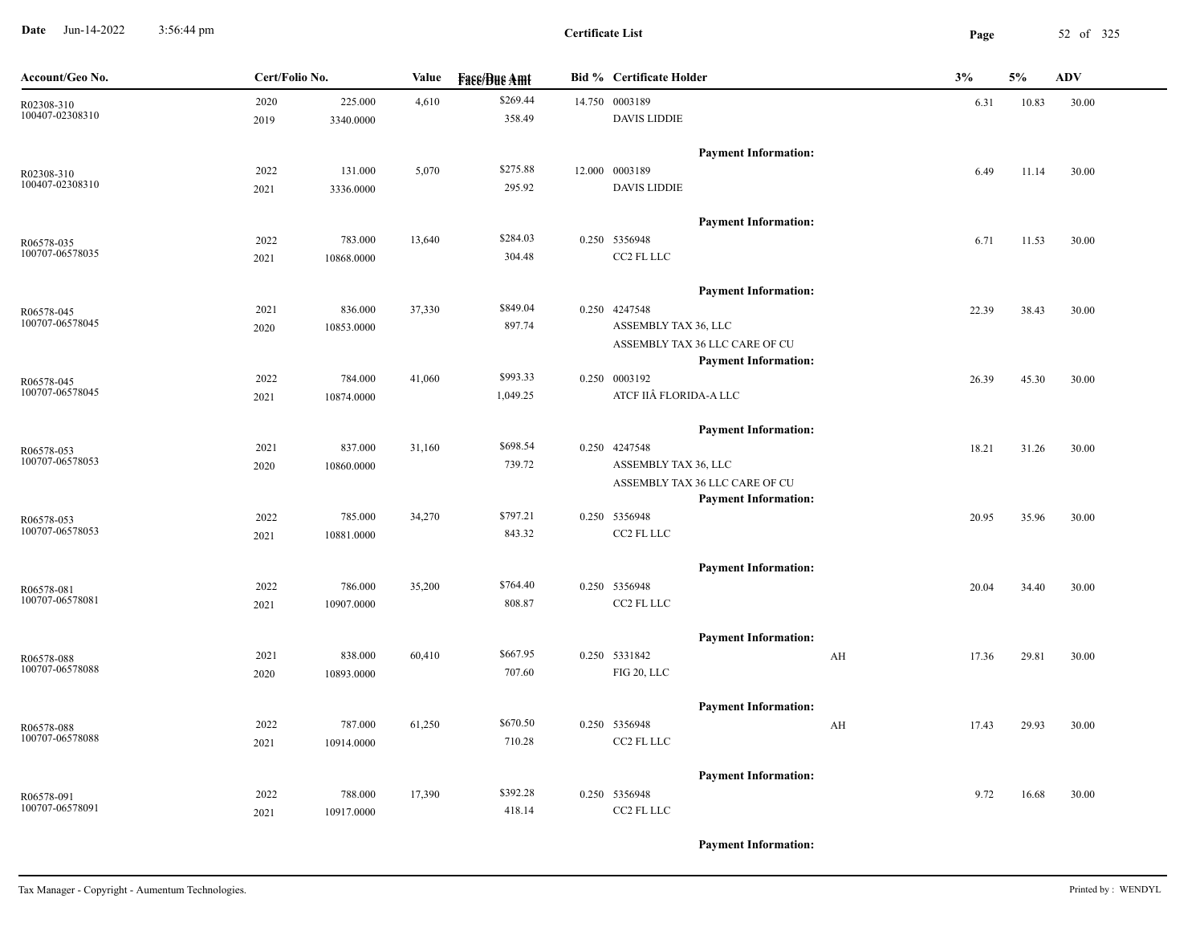**Date** Jun-14-2022 3:56:44 pm **Page** 52 of 325 3:56:44 pm

**Certificate List**

| Account/Geo No.               | Cert/Folio No. |                      | Value  | <b>Face/Bue Amt</b> | <b>Bid % Certificate Holder</b>                               |                         | 3%    | 5%    | <b>ADV</b> |
|-------------------------------|----------------|----------------------|--------|---------------------|---------------------------------------------------------------|-------------------------|-------|-------|------------|
| R02308-310<br>100407-02308310 | 2020<br>2019   | 225.000<br>3340.0000 | 4,610  | \$269.44<br>358.49  | 14.750 0003189<br><b>DAVIS LIDDIE</b>                         |                         | 6.31  | 10.83 | 30.00      |
|                               |                |                      |        |                     | <b>Payment Information:</b>                                   |                         |       |       |            |
|                               | 2022           | 131.000              | 5,070  | \$275.88            | 12.000 0003189                                                |                         | 6.49  | 11.14 | 30.00      |
| R02308-310<br>100407-02308310 | 2021           | 3336.0000            |        | 295.92              | <b>DAVIS LIDDIE</b>                                           |                         |       |       |            |
|                               |                |                      |        |                     |                                                               |                         |       |       |            |
|                               |                |                      |        |                     | <b>Payment Information:</b>                                   |                         |       |       |            |
| R06578-035<br>100707-06578035 | 2022           | 783.000              | 13,640 | \$284.03            | 0.250 5356948                                                 |                         | 6.71  | 11.53 | 30.00      |
|                               | 2021           | 10868.0000           |        | 304.48              | CC2 FL LLC                                                    |                         |       |       |            |
|                               |                |                      |        |                     | <b>Payment Information:</b>                                   |                         |       |       |            |
| R06578-045                    | 2021           | 836.000              | 37,330 | \$849.04            | 0.250 4247548                                                 |                         | 22.39 | 38.43 | 30.00      |
| 100707-06578045               | 2020           | 10853.0000           |        | 897.74              | ASSEMBLY TAX 36, LLC                                          |                         |       |       |            |
|                               |                |                      |        |                     | ASSEMBLY TAX 36 LLC CARE OF CU<br><b>Payment Information:</b> |                         |       |       |            |
| R06578-045                    | 2022           | 784.000              | 41,060 | \$993.33            | 0.250 0003192                                                 |                         | 26.39 | 45.30 | 30.00      |
| 100707-06578045               | 2021           | 10874.0000           |        | 1,049.25            | ATCF IIÂ FLORIDA-A LLC                                        |                         |       |       |            |
|                               |                |                      |        |                     | <b>Payment Information:</b>                                   |                         |       |       |            |
| R06578-053                    | 2021           | 837.000              | 31,160 | \$698.54            | 0.250 4247548                                                 |                         | 18.21 | 31.26 | 30.00      |
| 100707-06578053               | 2020           | 10860.0000           |        | 739.72              | ASSEMBLY TAX 36, LLC                                          |                         |       |       |            |
|                               |                |                      |        |                     | ASSEMBLY TAX 36 LLC CARE OF CU                                |                         |       |       |            |
|                               |                |                      |        |                     | <b>Payment Information:</b>                                   |                         |       |       |            |
| R06578-053                    | 2022           | 785.000              | 34,270 | \$797.21            | 0.250 5356948                                                 |                         | 20.95 | 35.96 | 30.00      |
| 100707-06578053               | 2021           | 10881.0000           |        | 843.32              | CC2 FL LLC                                                    |                         |       |       |            |
|                               |                |                      |        |                     | <b>Payment Information:</b>                                   |                         |       |       |            |
| R06578-081                    | 2022           | 786.000              | 35,200 | \$764.40            | 0.250 5356948                                                 |                         | 20.04 | 34.40 | 30.00      |
| 100707-06578081               | 2021           | 10907.0000           |        | 808.87              | CC2 FL LLC                                                    |                         |       |       |            |
|                               |                |                      |        |                     | <b>Payment Information:</b>                                   |                         |       |       |            |
| R06578-088                    | 2021           | 838.000              | 60,410 | \$667.95            | 0.250 5331842                                                 | AH                      | 17.36 | 29.81 | 30.00      |
| 100707-06578088               | 2020           | 10893.0000           |        | 707.60              | FIG 20, LLC                                                   |                         |       |       |            |
|                               |                |                      |        |                     | <b>Payment Information:</b>                                   |                         |       |       |            |
| R06578-088                    | 2022           | 787.000              | 61,250 | \$670.50            | 0.250 5356948                                                 | $\mathbf{A} \mathbf{H}$ | 17.43 | 29.93 | 30.00      |
| 100707-06578088               | 2021           | 10914.0000           |        | 710.28              | CC2 FL LLC                                                    |                         |       |       |            |
|                               |                |                      |        |                     | <b>Payment Information:</b>                                   |                         |       |       |            |
|                               | 2022           | 788.000              | 17,390 | \$392.28            | 0.250 5356948                                                 |                         | 9.72  | 16.68 | 30.00      |
| R06578-091<br>100707-06578091 | 2021           | 10917.0000           |        | 418.14              | CC2 FL LLC                                                    |                         |       |       |            |
|                               |                |                      |        |                     |                                                               |                         |       |       |            |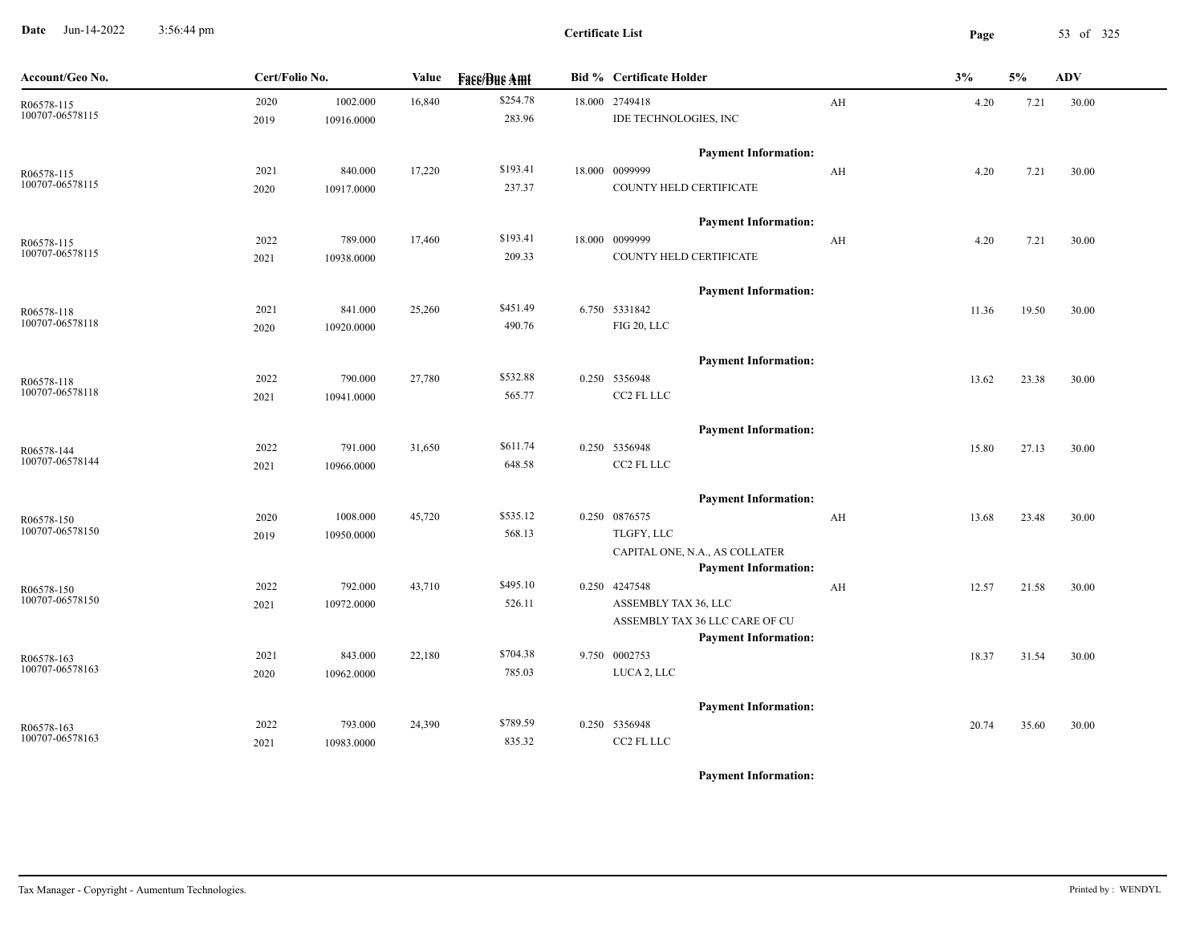**Date** Jun-14-2022 3:56:44 pm **Page** 53 of 325 3:56:44 pm

| Account/Geo No.               | Cert/Folio No.                         | Value  | <b>Face/Bue Amt</b> | <b>Bid % Certificate Holder</b>                               | 3% |       | 5%    | <b>ADV</b> |
|-------------------------------|----------------------------------------|--------|---------------------|---------------------------------------------------------------|----|-------|-------|------------|
| R06578-115<br>100707-06578115 | 2020<br>1002.000<br>2019<br>10916.0000 | 16,840 | \$254.78<br>283.96  | 18.000 2749418<br>IDE TECHNOLOGIES, INC                       | AH | 4.20  | 7.21  | 30.00      |
|                               |                                        |        |                     | <b>Payment Information:</b>                                   |    |       |       |            |
| R06578-115<br>100707-06578115 | 840.000<br>2021                        | 17,220 | \$193.41            | 18.000 0099999<br>COUNTY HELD CERTIFICATE                     | AH | 4.20  | 7.21  | 30.00      |
|                               | 10917.0000<br>2020                     |        | 237.37              |                                                               |    |       |       |            |
|                               |                                        |        |                     | <b>Payment Information:</b>                                   |    |       |       |            |
| R06578-115<br>100707-06578115 | 2022<br>789.000                        | 17,460 | \$193.41            | 18.000 0099999                                                | AH | 4.20  | 7.21  | 30.00      |
|                               | 2021<br>10938.0000                     |        | 209.33              | COUNTY HELD CERTIFICATE                                       |    |       |       |            |
|                               |                                        |        |                     | <b>Payment Information:</b>                                   |    |       |       |            |
| R06578-118                    | 841.000<br>2021                        | 25,260 | \$451.49            | 6.750 5331842                                                 |    | 11.36 | 19.50 | 30.00      |
| 100707-06578118               | 2020<br>10920.0000                     |        | 490.76              | FIG 20, LLC                                                   |    |       |       |            |
|                               |                                        |        |                     | <b>Payment Information:</b>                                   |    |       |       |            |
| R06578-118                    | 2022<br>790.000                        | 27,780 | \$532.88            | 0.250 5356948                                                 |    | 13.62 | 23.38 | 30.00      |
| 100707-06578118               | 2021<br>10941.0000                     |        | 565.77              | CC2 FL LLC                                                    |    |       |       |            |
|                               |                                        |        |                     | <b>Payment Information:</b>                                   |    |       |       |            |
| R06578-144                    | 791.000<br>2022                        | 31,650 | \$611.74            | 0.250 5356948                                                 |    | 15.80 | 27.13 | 30.00      |
| 100707-06578144               | 2021<br>10966.0000                     |        | 648.58              | CC2 FL LLC                                                    |    |       |       |            |
|                               |                                        |        |                     | <b>Payment Information:</b>                                   |    |       |       |            |
| R06578-150                    | 2020<br>1008.000                       | 45,720 | \$535.12            | 0.250 0876575                                                 | AH | 13.68 | 23.48 | 30.00      |
| 100707-06578150               | 2019<br>10950.0000                     |        | 568.13              | TLGFY, LLC                                                    |    |       |       |            |
|                               |                                        |        |                     | CAPITAL ONE, N.A., AS COLLATER<br><b>Payment Information:</b> |    |       |       |            |
| R06578-150                    | 792.000<br>2022                        | 43,710 | \$495.10            | 0.250 4247548                                                 | AH | 12.57 | 21.58 | 30.00      |
| 100707-06578150               | 10972.0000<br>2021                     |        | 526.11              | ASSEMBLY TAX 36, LLC                                          |    |       |       |            |
|                               |                                        |        |                     | ASSEMBLY TAX 36 LLC CARE OF CU                                |    |       |       |            |
|                               |                                        |        |                     | <b>Payment Information:</b>                                   |    |       |       |            |
| R06578-163                    | 2021<br>843.000                        | 22,180 | \$704.38            | 9.750 0002753                                                 |    | 18.37 | 31.54 | 30.00      |
| 100707-06578163               | 2020<br>10962.0000                     |        | 785.03              | LUCA 2, LLC                                                   |    |       |       |            |
|                               |                                        |        |                     | <b>Payment Information:</b>                                   |    |       |       |            |
| R06578-163                    | 2022<br>793.000                        | 24,390 | \$789.59            | 0.250 5356948                                                 |    | 20.74 | 35.60 | 30.00      |
| 100707-06578163               | 10983.0000<br>2021                     |        | 835.32              | CC2 FL LLC                                                    |    |       |       |            |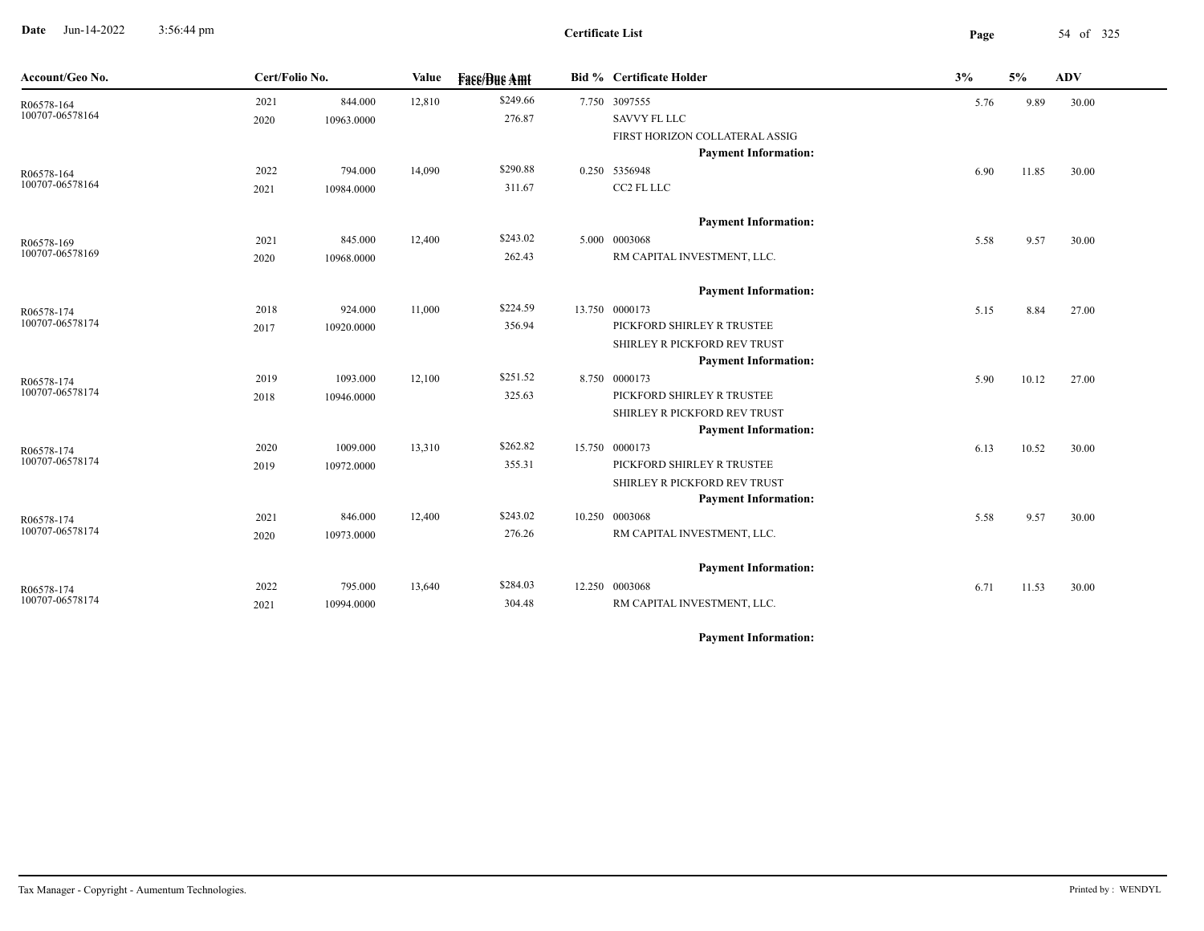**Date** Jun-14-2022 3:56:44 pm **Page** 54 of 325 3:56:44 pm

| Account/Geo No.               | Cert/Folio No. |                       | Value<br><b>Fass/Bus Amt</b> |                    | <b>Bid % Certificate Holder</b>                               | 3%   | 5%    | ${\bf A}{\bf D}{\bf V}$ |
|-------------------------------|----------------|-----------------------|------------------------------|--------------------|---------------------------------------------------------------|------|-------|-------------------------|
| R06578-164<br>100707-06578164 | 2021<br>2020   | 844.000<br>10963.0000 | 12,810                       | \$249.66<br>276.87 | 7.750 3097555<br><b>SAVVY FL LLC</b>                          | 5.76 | 9.89  | 30.00                   |
|                               |                |                       |                              |                    | FIRST HORIZON COLLATERAL ASSIG<br><b>Payment Information:</b> |      |       |                         |
| R06578-164                    | 2022           | 794.000               | 14,090                       | \$290.88           | 0.250 5356948                                                 | 6.90 | 11.85 | 30.00                   |
| 100707-06578164               | 2021           | 10984.0000            |                              | 311.67             | CC2 FL LLC                                                    |      |       |                         |
|                               |                |                       |                              |                    | <b>Payment Information:</b>                                   |      |       |                         |
| R06578-169                    | 2021           | 845.000               | 12,400                       | \$243.02           | 5.000 0003068                                                 | 5.58 | 9.57  | 30.00                   |
| 100707-06578169               | 2020           | 10968.0000            |                              | 262.43             | RM CAPITAL INVESTMENT, LLC.                                   |      |       |                         |
|                               |                |                       |                              |                    | <b>Payment Information:</b>                                   |      |       |                         |
| R06578-174                    | 2018           | 924.000               | 11,000                       | \$224.59           | 13.750 0000173                                                | 5.15 | 8.84  | 27.00                   |
| 100707-06578174               | 2017           | 10920.0000            |                              | 356.94             | PICKFORD SHIRLEY R TRUSTEE                                    |      |       |                         |
|                               |                |                       |                              |                    | SHIRLEY R PICKFORD REV TRUST<br><b>Payment Information:</b>   |      |       |                         |
| R06578-174                    | 2019           | 1093.000              | 12,100                       | \$251.52           | 8.750 0000173                                                 | 5.90 | 10.12 | 27.00                   |
| 100707-06578174               | 2018           | 10946.0000            |                              | 325.63             | PICKFORD SHIRLEY R TRUSTEE                                    |      |       |                         |
|                               |                |                       |                              |                    | SHIRLEY R PICKFORD REV TRUST                                  |      |       |                         |
|                               |                |                       |                              |                    | <b>Payment Information:</b>                                   |      |       |                         |
| R06578-174<br>100707-06578174 | 2020           | 1009.000              | 13,310                       | \$262.82           | 15.750 0000173                                                | 6.13 | 10.52 | 30.00                   |
|                               | 2019           | 10972.0000            |                              | 355.31             | PICKFORD SHIRLEY R TRUSTEE                                    |      |       |                         |
|                               |                |                       |                              |                    | SHIRLEY R PICKFORD REV TRUST<br><b>Payment Information:</b>   |      |       |                         |
| R06578-174                    | 2021           | 846.000               | 12,400                       | \$243.02           | 10.250 0003068                                                | 5.58 | 9.57  | 30.00                   |
| 100707-06578174               | 2020           | 10973.0000            |                              | 276.26             | RM CAPITAL INVESTMENT, LLC.                                   |      |       |                         |
|                               |                |                       |                              |                    | <b>Payment Information:</b>                                   |      |       |                         |
| R06578-174                    | 2022           | 795.000               | 13,640                       | \$284.03           | 12.250 0003068                                                | 6.71 | 11.53 | 30.00                   |
| 100707-06578174               | 2021           | 10994.0000            |                              | 304.48             | RM CAPITAL INVESTMENT, LLC.                                   |      |       |                         |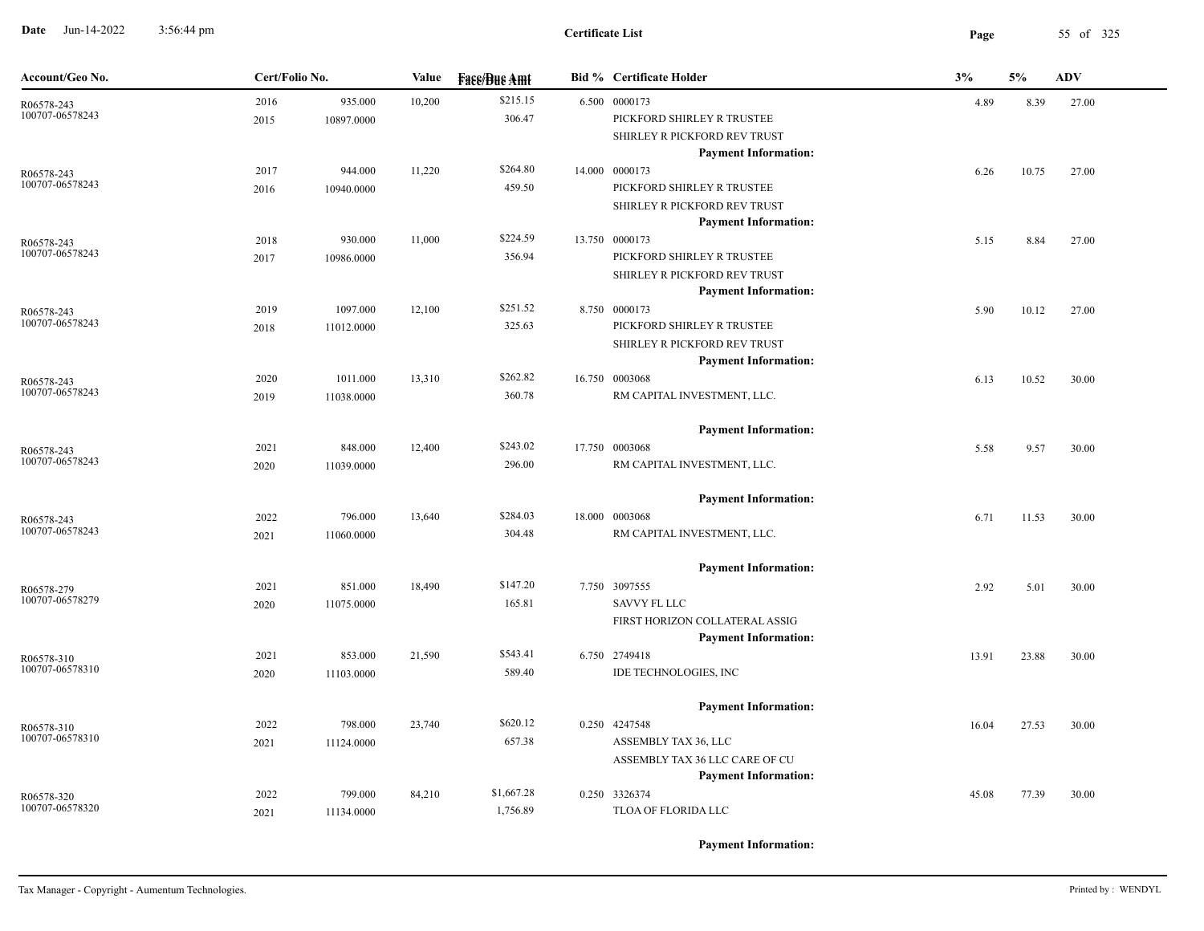**Date** Jun-14-2022 3:56:44 pm **Page** 55 of 325 3:56:44 pm

| Account/Geo No.               | Cert/Folio No.<br>Value |        | <b>Face/Bue Amt</b> | <b>Bid % Certificate Holder</b>                             | 3%    | 5%    | <b>ADV</b> |
|-------------------------------|-------------------------|--------|---------------------|-------------------------------------------------------------|-------|-------|------------|
| R06578-243                    | 935.000<br>2016         | 10,200 | \$215.15            | 6.500 0000173                                               | 4.89  | 8.39  | 27.00      |
| 100707-06578243               | 2015<br>10897.0000      |        | 306.47              | PICKFORD SHIRLEY R TRUSTEE                                  |       |       |            |
|                               |                         |        |                     | SHIRLEY R PICKFORD REV TRUST                                |       |       |            |
|                               |                         |        |                     | <b>Payment Information:</b>                                 |       |       |            |
| R06578-243<br>100707-06578243 | 944.000<br>2017         | 11,220 | \$264.80            | 14.000 0000173                                              | 6.26  | 10.75 | 27.00      |
|                               | 2016<br>10940.0000      |        | 459.50              | PICKFORD SHIRLEY R TRUSTEE                                  |       |       |            |
|                               |                         |        |                     | SHIRLEY R PICKFORD REV TRUST                                |       |       |            |
|                               |                         |        |                     | <b>Payment Information:</b>                                 |       |       |            |
| R06578-243<br>100707-06578243 | 2018<br>930.000         | 11,000 | \$224.59            | 13.750 0000173                                              | 5.15  | 8.84  | 27.00      |
|                               | 2017<br>10986.0000      |        | 356.94              | PICKFORD SHIRLEY R TRUSTEE                                  |       |       |            |
|                               |                         |        |                     | SHIRLEY R PICKFORD REV TRUST                                |       |       |            |
|                               |                         | 12,100 | \$251.52            | <b>Payment Information:</b><br>8.750 0000173                |       |       |            |
| R06578-243<br>100707-06578243 | 2019<br>1097.000        |        |                     | PICKFORD SHIRLEY R TRUSTEE                                  | 5.90  | 10.12 | 27.00      |
|                               | 11012.0000<br>2018      |        | 325.63              |                                                             |       |       |            |
|                               |                         |        |                     | SHIRLEY R PICKFORD REV TRUST<br><b>Payment Information:</b> |       |       |            |
|                               | 2020<br>1011.000        | 13,310 | \$262.82            | 16.750 0003068                                              |       | 10.52 |            |
| R06578-243<br>100707-06578243 |                         |        | 360.78              | RM CAPITAL INVESTMENT, LLC.                                 | 6.13  |       | 30.00      |
|                               | 2019<br>11038.0000      |        |                     |                                                             |       |       |            |
|                               |                         |        |                     | <b>Payment Information:</b>                                 |       |       |            |
| R06578-243                    | 848.000<br>2021         | 12,400 | \$243.02            | 17.750 0003068                                              | 5.58  | 9.57  | 30.00      |
| 100707-06578243               | 11039.0000<br>2020      |        | 296.00              | RM CAPITAL INVESTMENT, LLC.                                 |       |       |            |
|                               |                         |        |                     |                                                             |       |       |            |
|                               |                         |        |                     | <b>Payment Information:</b>                                 |       |       |            |
| R06578-243                    | 2022<br>796.000         | 13,640 | \$284.03            | 18.000 0003068                                              | 6.71  | 11.53 | 30.00      |
| 100707-06578243               | 2021<br>11060.0000      |        | 304.48              | RM CAPITAL INVESTMENT, LLC.                                 |       |       |            |
|                               |                         |        |                     | <b>Payment Information:</b>                                 |       |       |            |
| R06578-279                    | 2021<br>851.000         | 18,490 | \$147.20            | 7.750 3097555                                               | 2.92  | 5.01  | 30.00      |
| 100707-06578279               | 11075.0000<br>2020      |        | 165.81              | <b>SAVVY FL LLC</b>                                         |       |       |            |
|                               |                         |        |                     | FIRST HORIZON COLLATERAL ASSIG                              |       |       |            |
|                               |                         |        |                     | <b>Payment Information:</b>                                 |       |       |            |
| R06578-310                    | 2021<br>853.000         | 21,590 | \$543.41            | 6.750 2749418                                               | 13.91 | 23.88 | 30.00      |
| 100707-06578310               | 2020<br>11103.0000      |        | 589.40              | IDE TECHNOLOGIES, INC                                       |       |       |            |
|                               |                         |        |                     |                                                             |       |       |            |
|                               |                         |        |                     | <b>Payment Information:</b>                                 |       |       |            |
| R06578-310                    | 2022<br>798.000         | 23,740 | \$620.12            | 0.250 4247548                                               | 16.04 | 27.53 | 30.00      |
| 100707-06578310               | 11124.0000<br>2021      |        | 657.38              | ASSEMBLY TAX 36, LLC                                        |       |       |            |
|                               |                         |        |                     | ASSEMBLY TAX 36 LLC CARE OF CU                              |       |       |            |
|                               |                         |        |                     | <b>Payment Information:</b>                                 |       |       |            |
| R06578-320                    | 799.000<br>2022         | 84,210 | \$1,667.28          | 0.250 3326374                                               | 45.08 | 77.39 | 30.00      |
| 100707-06578320               | 2021<br>11134.0000      |        | 1,756.89            | TLOA OF FLORIDA LLC                                         |       |       |            |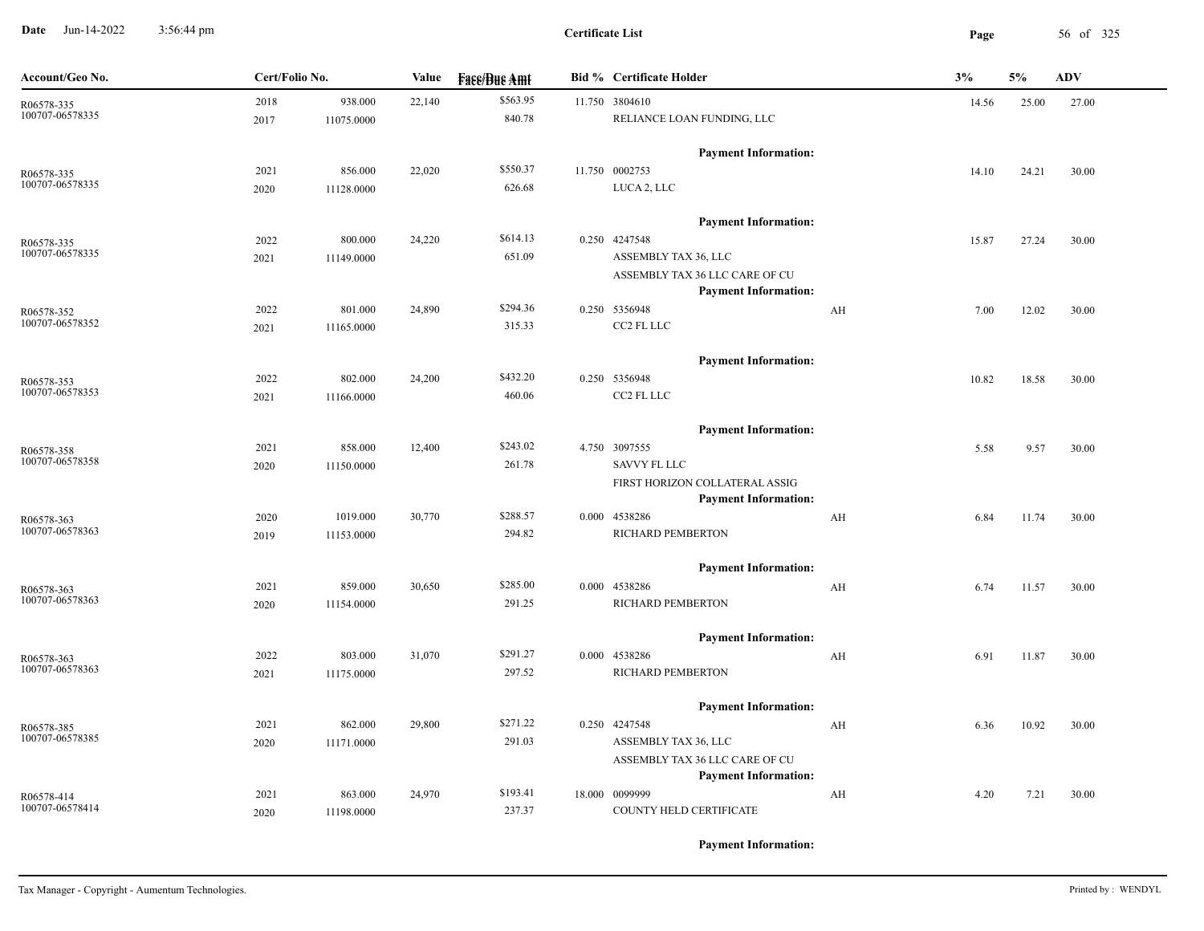**Date** Jun-14-2022 3:56:44 pm **Page** 56 of 325 3:56:44 pm

| Account/Geo No.               | Cert/Folio No. |            | Value  | <b>Face/Bue Amt</b> | <b>Bid %</b> Certificate Holder                               |    | 3%    | 5%    | <b>ADV</b> |
|-------------------------------|----------------|------------|--------|---------------------|---------------------------------------------------------------|----|-------|-------|------------|
| R06578-335                    | 2018           | 938.000    | 22,140 | \$563.95            | 11.750 3804610                                                |    | 14.56 | 25.00 | 27.00      |
| 100707-06578335               | 2017           | 11075.0000 |        | 840.78              | RELIANCE LOAN FUNDING, LLC                                    |    |       |       |            |
|                               |                |            |        |                     | <b>Payment Information:</b>                                   |    |       |       |            |
| R06578-335                    | 2021           | 856.000    | 22,020 | \$550.37            | 11.750 0002753                                                |    | 14.10 | 24.21 | 30.00      |
| 100707-06578335               | 2020           | 11128.0000 |        | 626.68              | LUCA 2, LLC                                                   |    |       |       |            |
|                               |                |            |        |                     | <b>Payment Information:</b>                                   |    |       |       |            |
| R06578-335                    | 2022           | 800.000    | 24,220 | \$614.13            | 0.250 4247548                                                 |    | 15.87 | 27.24 | 30.00      |
| 100707-06578335               | 2021           | 11149.0000 |        | 651.09              | ASSEMBLY TAX 36, LLC                                          |    |       |       |            |
|                               |                |            |        |                     | ASSEMBLY TAX 36 LLC CARE OF CU                                |    |       |       |            |
|                               |                |            |        |                     | <b>Payment Information:</b>                                   |    |       |       |            |
| R06578-352<br>100707-06578352 | 2022           | 801.000    | 24,890 | \$294.36            | 0.250 5356948                                                 | AH | 7.00  | 12.02 | 30.00      |
|                               | 2021           | 11165.0000 |        | 315.33              | CC2 FL LLC                                                    |    |       |       |            |
|                               |                |            |        |                     | <b>Payment Information:</b>                                   |    |       |       |            |
| R06578-353                    | 2022           | 802.000    | 24,200 | \$432.20            | 0.250 5356948                                                 |    | 10.82 | 18.58 | 30.00      |
| 100707-06578353               | 2021           | 11166.0000 |        | 460.06              | CC2 FL LLC                                                    |    |       |       |            |
|                               |                |            |        |                     | <b>Payment Information:</b>                                   |    |       |       |            |
| R06578-358                    | 2021           | 858.000    | 12,400 | \$243.02            | 4.750 3097555                                                 |    | 5.58  | 9.57  | 30.00      |
| 100707-06578358               | 2020           | 11150.0000 |        | 261.78              | SAVVY FL LLC                                                  |    |       |       |            |
|                               |                |            |        |                     | FIRST HORIZON COLLATERAL ASSIG<br><b>Payment Information:</b> |    |       |       |            |
| R06578-363                    | 2020           | 1019.000   | 30,770 | \$288.57            | 0.000 4538286                                                 | AH | 6.84  | 11.74 | 30.00      |
| 100707-06578363               | 2019           | 11153.0000 |        | 294.82              | RICHARD PEMBERTON                                             |    |       |       |            |
|                               |                |            |        |                     |                                                               |    |       |       |            |
| R06578-363                    | 2021           | 859.000    | 30,650 | \$285.00            | <b>Payment Information:</b><br>0.000 4538286                  | AH | 6.74  | 11.57 | 30.00      |
| 100707-06578363               | 2020           | 11154.0000 |        | 291.25              | RICHARD PEMBERTON                                             |    |       |       |            |
|                               |                |            |        |                     | <b>Payment Information:</b>                                   |    |       |       |            |
| R06578-363                    | 2022           | 803.000    | 31,070 | \$291.27            | 0.000 4538286                                                 | AH | 6.91  | 11.87 | 30.00      |
| 100707-06578363               | 2021           | 11175.0000 |        | 297.52              | RICHARD PEMBERTON                                             |    |       |       |            |
|                               |                |            |        |                     | <b>Payment Information:</b>                                   |    |       |       |            |
| R06578-385                    | 2021           | 862.000    | 29,800 | \$271.22            | 0.250 4247548                                                 | AH | 6.36  | 10.92 | 30.00      |
| 100707-06578385               | 2020           | 11171.0000 |        | 291.03              | ASSEMBLY TAX 36, LLC                                          |    |       |       |            |
|                               |                |            |        |                     | ASSEMBLY TAX 36 LLC CARE OF CU                                |    |       |       |            |
|                               |                |            |        |                     | <b>Payment Information:</b>                                   |    |       |       |            |
| R06578-414                    | 2021           | 863.000    | 24,970 | \$193.41            | 18.000 0099999                                                | AH | 4.20  | 7.21  | 30.00      |
| 100707-06578414               | 2020           | 11198.0000 |        | 237.37              | COUNTY HELD CERTIFICATE                                       |    |       |       |            |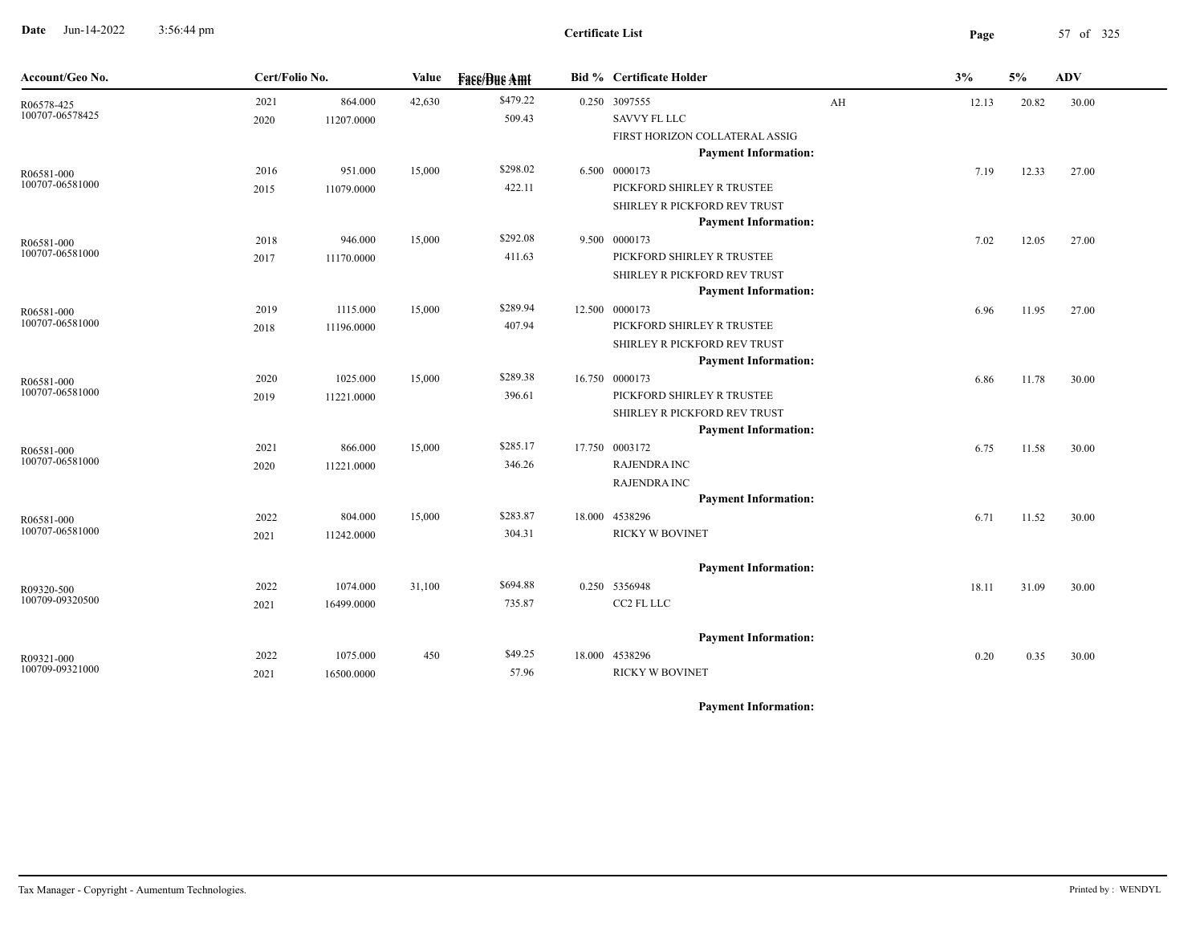**Date** Jun-14-2022 3:56:44 pm **Page** 57 of 325 3:56:44 pm

| Account/Geo No.               | Cert/Folio No. |            | Value  | <b>Face/Bue Amt</b> | <b>Bid % Certificate Holder</b>                             |    | 3%    | 5%    | <b>ADV</b> |
|-------------------------------|----------------|------------|--------|---------------------|-------------------------------------------------------------|----|-------|-------|------------|
| R06578-425                    | 2021           | 864.000    | 42,630 | \$479.22            | 0.250 3097555                                               | AH | 12.13 | 20.82 | 30.00      |
| 100707-06578425               | 2020           | 11207.0000 |        | 509.43              | <b>SAVVY FL LLC</b>                                         |    |       |       |            |
|                               |                |            |        |                     | FIRST HORIZON COLLATERAL ASSIG                              |    |       |       |            |
|                               |                |            |        |                     | <b>Payment Information:</b>                                 |    |       |       |            |
| R06581-000<br>100707-06581000 | 2016           | 951.000    | 15,000 | \$298.02            | 6.500 0000173                                               |    | 7.19  | 12.33 | 27.00      |
|                               | 2015           | 11079.0000 |        | 422.11              | PICKFORD SHIRLEY R TRUSTEE                                  |    |       |       |            |
|                               |                |            |        |                     | SHIRLEY R PICKFORD REV TRUST                                |    |       |       |            |
|                               |                |            |        | \$292.08            | <b>Payment Information:</b>                                 |    |       |       |            |
| R06581-000<br>100707-06581000 | 2018           | 946.000    | 15,000 |                     | 9.500 0000173                                               |    | 7.02  | 12.05 | 27.00      |
|                               | 2017           | 11170.0000 |        | 411.63              | PICKFORD SHIRLEY R TRUSTEE                                  |    |       |       |            |
|                               |                |            |        |                     | SHIRLEY R PICKFORD REV TRUST<br><b>Payment Information:</b> |    |       |       |            |
|                               |                | 1115.000   | 15,000 | \$289.94            | 12.500 0000173                                              |    |       |       |            |
| R06581-000<br>100707-06581000 | 2019           |            |        | 407.94              | PICKFORD SHIRLEY R TRUSTEE                                  |    | 6.96  | 11.95 | 27.00      |
|                               | 2018           | 11196.0000 |        |                     | SHIRLEY R PICKFORD REV TRUST                                |    |       |       |            |
|                               |                |            |        |                     | <b>Payment Information:</b>                                 |    |       |       |            |
|                               | 2020           | 1025.000   | 15,000 | \$289.38            | 16.750 0000173                                              |    | 6.86  | 11.78 | 30.00      |
| R06581-000<br>100707-06581000 | 2019           | 11221.0000 |        | 396.61              | PICKFORD SHIRLEY R TRUSTEE                                  |    |       |       |            |
|                               |                |            |        |                     | SHIRLEY R PICKFORD REV TRUST                                |    |       |       |            |
|                               |                |            |        |                     | <b>Payment Information:</b>                                 |    |       |       |            |
| R06581-000                    | 2021           | 866.000    | 15,000 | \$285.17            | 17.750 0003172                                              |    | 6.75  | 11.58 | 30.00      |
| 100707-06581000               | 2020           | 11221.0000 |        | 346.26              | <b>RAJENDRA INC</b>                                         |    |       |       |            |
|                               |                |            |        |                     | RAJENDRA INC                                                |    |       |       |            |
|                               |                |            |        |                     | <b>Payment Information:</b>                                 |    |       |       |            |
| R06581-000                    | 2022           | 804.000    | 15,000 | \$283.87            | 18.000 4538296                                              |    | 6.71  | 11.52 | 30.00      |
| 100707-06581000               | 2021           | 11242.0000 |        | 304.31              | <b>RICKY W BOVINET</b>                                      |    |       |       |            |
|                               |                |            |        |                     | <b>Payment Information:</b>                                 |    |       |       |            |
| R09320-500                    | 2022           | 1074.000   | 31,100 | \$694.88            | 0.250 5356948                                               |    | 18.11 | 31.09 | 30.00      |
| 100709-09320500               | 2021           | 16499.0000 |        | 735.87              | CC2 FL LLC                                                  |    |       |       |            |
|                               |                |            |        |                     |                                                             |    |       |       |            |
|                               |                |            |        |                     | <b>Payment Information:</b>                                 |    |       |       |            |
| R09321-000<br>100709-09321000 | 2022           | 1075.000   | 450    | \$49.25             | 18.000 4538296                                              |    | 0.20  | 0.35  | 30.00      |
|                               | 2021           | 16500.0000 |        | 57.96               | <b>RICKY W BOVINET</b>                                      |    |       |       |            |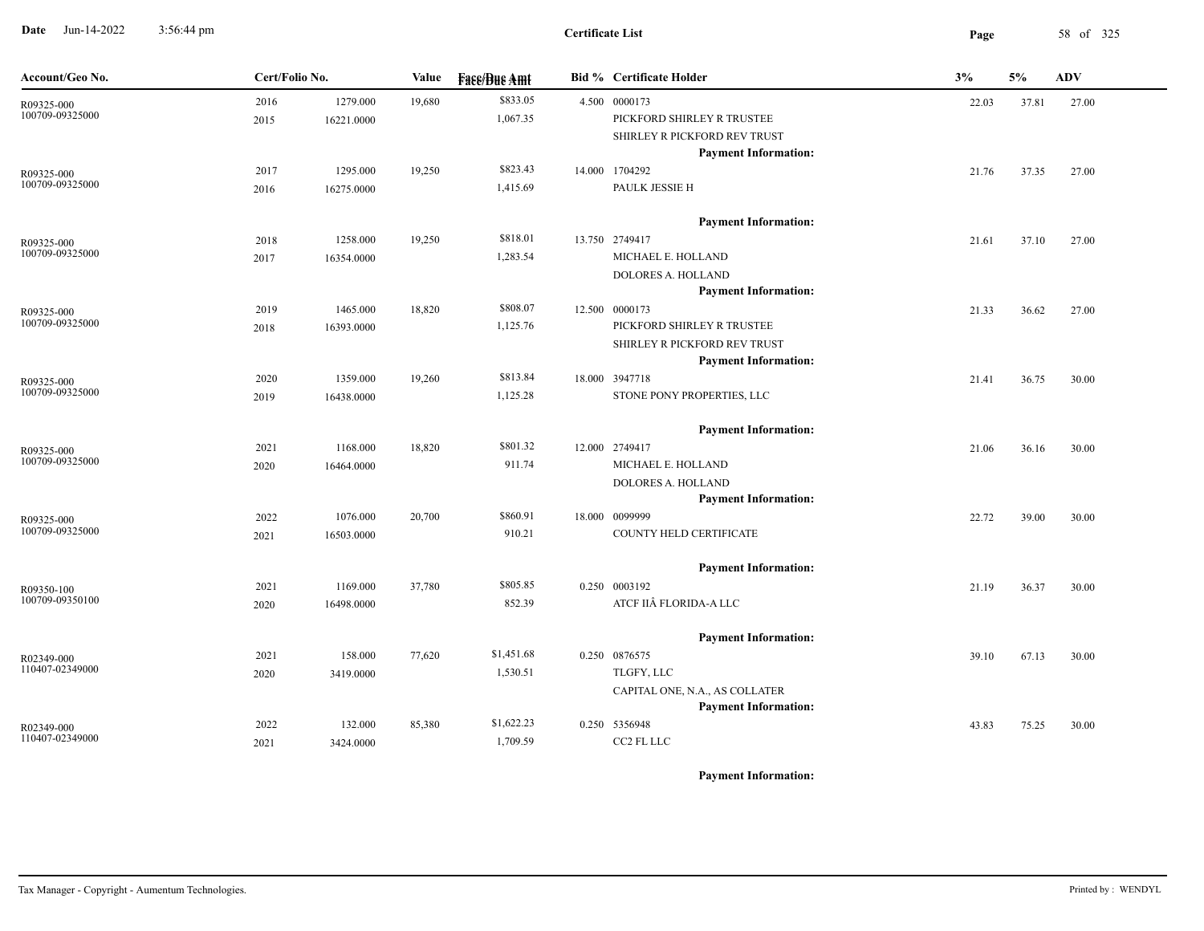**Date** Jun-14-2022 3:56:44 pm **Page** 58 of 325 3:56:44 pm

| Account/Geo No.               | Cert/Folio No. |            | Value  | <b>Fase/Bue Amt</b> | <b>Bid % Certificate Holder</b> | 3%    | 5%    | <b>ADV</b> |
|-------------------------------|----------------|------------|--------|---------------------|---------------------------------|-------|-------|------------|
| R09325-000                    | 2016           | 1279.000   | 19,680 | \$833.05            | 4.500 0000173                   | 22.03 | 37.81 | 27.00      |
| 100709-09325000               | 2015           | 16221.0000 |        | 1,067.35            | PICKFORD SHIRLEY R TRUSTEE      |       |       |            |
|                               |                |            |        |                     | SHIRLEY R PICKFORD REV TRUST    |       |       |            |
|                               |                |            |        |                     | <b>Payment Information:</b>     |       |       |            |
| R09325-000<br>100709-09325000 | 2017           | 1295.000   | 19,250 | \$823.43            | 14.000 1704292                  | 21.76 | 37.35 | 27.00      |
|                               | 2016           | 16275.0000 |        | 1,415.69            | PAULK JESSIE H                  |       |       |            |
|                               |                |            |        |                     | <b>Payment Information:</b>     |       |       |            |
| R09325-000                    | 2018           | 1258.000   | 19,250 | \$818.01            | 13.750 2749417                  | 21.61 | 37.10 | 27.00      |
| 100709-09325000               | 2017           | 16354.0000 |        | 1,283.54            | MICHAEL E. HOLLAND              |       |       |            |
|                               |                |            |        |                     | DOLORES A. HOLLAND              |       |       |            |
|                               |                |            |        |                     | <b>Payment Information:</b>     |       |       |            |
| R09325-000                    | 2019           | 1465.000   | 18,820 | \$808.07            | 12.500 0000173                  | 21.33 | 36.62 | 27.00      |
| 100709-09325000               | 2018           | 16393.0000 |        | 1,125.76            | PICKFORD SHIRLEY R TRUSTEE      |       |       |            |
|                               |                |            |        |                     | SHIRLEY R PICKFORD REV TRUST    |       |       |            |
|                               |                |            |        |                     | <b>Payment Information:</b>     |       |       |            |
| R09325-000<br>100709-09325000 | 2020           | 1359.000   | 19,260 | \$813.84            | 18.000 3947718                  | 21.41 | 36.75 | 30.00      |
|                               | 2019           | 16438.0000 |        | 1,125.28            | STONE PONY PROPERTIES, LLC      |       |       |            |
|                               |                |            |        |                     | <b>Payment Information:</b>     |       |       |            |
| R09325-000                    | 2021           | 1168.000   | 18,820 | \$801.32            | 12.000 2749417                  | 21.06 | 36.16 | 30.00      |
| 100709-09325000               | 2020           | 16464.0000 |        | 911.74              | MICHAEL E. HOLLAND              |       |       |            |
|                               |                |            |        |                     | DOLORES A. HOLLAND              |       |       |            |
|                               |                |            |        |                     | <b>Payment Information:</b>     |       |       |            |
| R09325-000                    | 2022           | 1076.000   | 20,700 | \$860.91            | 18.000 0099999                  | 22.72 | 39.00 | 30.00      |
| 100709-09325000               | 2021           | 16503.0000 |        | 910.21              | COUNTY HELD CERTIFICATE         |       |       |            |
|                               |                |            |        |                     | <b>Payment Information:</b>     |       |       |            |
| R09350-100                    | 2021           | 1169.000   | 37,780 | \$805.85            | 0.250 0003192                   | 21.19 | 36.37 | 30.00      |
| 100709-09350100               | 2020           | 16498.0000 |        | 852.39              | ATCF IIÂ FLORIDA-A LLC          |       |       |            |
|                               |                |            |        |                     | <b>Payment Information:</b>     |       |       |            |
| R02349-000                    | 2021           | 158.000    | 77,620 | \$1,451.68          | 0.250 0876575                   | 39.10 | 67.13 | 30.00      |
| 110407-02349000               | 2020           | 3419.0000  |        | 1,530.51            | TLGFY, LLC                      |       |       |            |
|                               |                |            |        |                     | CAPITAL ONE, N.A., AS COLLATER  |       |       |            |
|                               |                |            |        |                     | <b>Payment Information:</b>     |       |       |            |
| R02349-000                    | 2022           | 132.000    | 85,380 | \$1,622.23          | 0.250 5356948                   | 43.83 | 75.25 | 30.00      |
| 110407-02349000               | 2021           | 3424.0000  |        | 1,709.59            | CC2 FL LLC                      |       |       |            |
|                               |                |            |        |                     |                                 |       |       |            |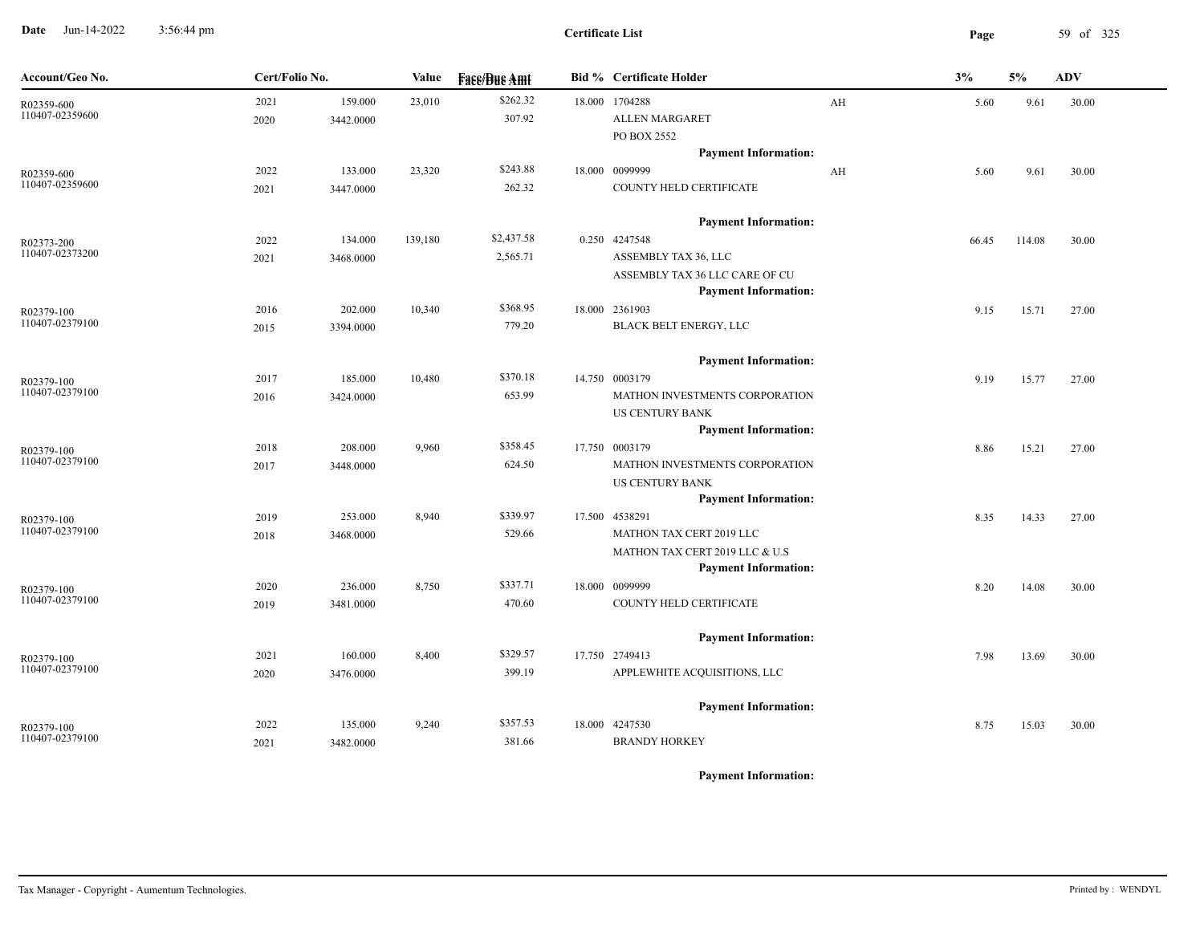**Date** Jun-14-2022 3:56:44 pm **Page** 59 of 325 3:56:44 pm

| Account/Geo No.               | Cert/Folio No. |           | <b>Face/Bue Amt</b><br>Value |            | <b>Bid % Certificate Holder</b> |                                | 3%                      | 5%    | <b>ADV</b> |       |
|-------------------------------|----------------|-----------|------------------------------|------------|---------------------------------|--------------------------------|-------------------------|-------|------------|-------|
| R02359-600<br>110407-02359600 | 2021           | 159.000   | 23,010                       | \$262.32   |                                 | 18.000 1704288                 | AH                      | 5.60  | 9.61       | 30.00 |
|                               | 2020           | 3442.0000 |                              | 307.92     |                                 | <b>ALLEN MARGARET</b>          |                         |       |            |       |
|                               |                |           |                              |            |                                 | PO BOX 2552                    |                         |       |            |       |
|                               |                |           |                              |            |                                 | <b>Payment Information:</b>    |                         |       |            |       |
| R02359-600                    | 2022           | 133.000   | 23,320                       | \$243.88   |                                 | 18.000 0099999                 | $\mathbf{A} \mathbf{H}$ | 5.60  | 9.61       | 30.00 |
| 110407-02359600               | 2021           | 3447.0000 |                              | 262.32     |                                 | COUNTY HELD CERTIFICATE        |                         |       |            |       |
|                               |                |           |                              |            |                                 | <b>Payment Information:</b>    |                         |       |            |       |
| R02373-200                    | 2022           | 134.000   | 139,180                      | \$2,437.58 |                                 | 0.250 4247548                  |                         | 66.45 | 114.08     | 30.00 |
| 110407-02373200               | 2021           | 3468.0000 |                              | 2,565.71   |                                 | ASSEMBLY TAX 36, LLC           |                         |       |            |       |
|                               |                |           |                              |            |                                 | ASSEMBLY TAX 36 LLC CARE OF CU |                         |       |            |       |
|                               |                |           |                              |            |                                 | <b>Payment Information:</b>    |                         |       |            |       |
| R02379-100                    | 2016           | 202.000   | 10,340                       | \$368.95   |                                 | 18.000 2361903                 |                         | 9.15  | 15.71      | 27.00 |
| 110407-02379100               | 2015           | 3394.0000 |                              | 779.20     |                                 | BLACK BELT ENERGY, LLC         |                         |       |            |       |
|                               |                |           |                              |            |                                 | <b>Payment Information:</b>    |                         |       |            |       |
| R02379-100                    | 2017           | 185.000   | 10,480                       | \$370.18   |                                 | 14.750 0003179                 |                         | 9.19  | 15.77      | 27.00 |
| 110407-02379100               | 2016           | 3424.0000 |                              | 653.99     |                                 | MATHON INVESTMENTS CORPORATION |                         |       |            |       |
|                               |                |           |                              |            |                                 | US CENTURY BANK                |                         |       |            |       |
|                               |                |           |                              |            |                                 | <b>Payment Information:</b>    |                         |       |            |       |
| R02379-100                    | 2018           | 208.000   | 9,960                        | \$358.45   |                                 | 17.750 0003179                 |                         | 8.86  | 15.21      | 27.00 |
| 110407-02379100               | 2017           | 3448.0000 |                              | 624.50     |                                 | MATHON INVESTMENTS CORPORATION |                         |       |            |       |
|                               |                |           |                              |            |                                 | <b>US CENTURY BANK</b>         |                         |       |            |       |
|                               |                |           |                              |            |                                 | <b>Payment Information:</b>    |                         |       |            |       |
| R02379-100                    | 2019           | 253.000   | 8,940                        | \$339.97   |                                 | 17.500 4538291                 |                         | 8.35  | 14.33      | 27.00 |
| 110407-02379100               | 2018           | 3468.0000 |                              | 529.66     |                                 | MATHON TAX CERT 2019 LLC       |                         |       |            |       |
|                               |                |           |                              |            |                                 | MATHON TAX CERT 2019 LLC & U.S |                         |       |            |       |
|                               |                |           |                              |            |                                 | <b>Payment Information:</b>    |                         |       |            |       |
| R02379-100                    | 2020           | 236.000   | 8,750                        | \$337.71   |                                 | 18.000 0099999                 |                         | 8.20  | 14.08      | 30.00 |
| 110407-02379100               | 2019           | 3481.0000 |                              | 470.60     |                                 | COUNTY HELD CERTIFICATE        |                         |       |            |       |
|                               |                |           |                              |            |                                 | <b>Payment Information:</b>    |                         |       |            |       |
| R02379-100                    | 2021           | 160.000   | 8,400                        | \$329.57   |                                 | 17.750 2749413                 |                         | 7.98  | 13.69      | 30.00 |
| 110407-02379100               | 2020           | 3476.0000 |                              | 399.19     |                                 | APPLEWHITE ACQUISITIONS, LLC   |                         |       |            |       |
|                               |                |           |                              |            |                                 | <b>Payment Information:</b>    |                         |       |            |       |
| R02379-100                    | 2022           | 135.000   | 9,240                        | \$357.53   |                                 | 18.000 4247530                 |                         | 8.75  | 15.03      | 30.00 |
| 110407-02379100               | 2021           | 3482.0000 |                              | 381.66     |                                 | <b>BRANDY HORKEY</b>           |                         |       |            |       |
|                               |                |           |                              |            |                                 |                                |                         |       |            |       |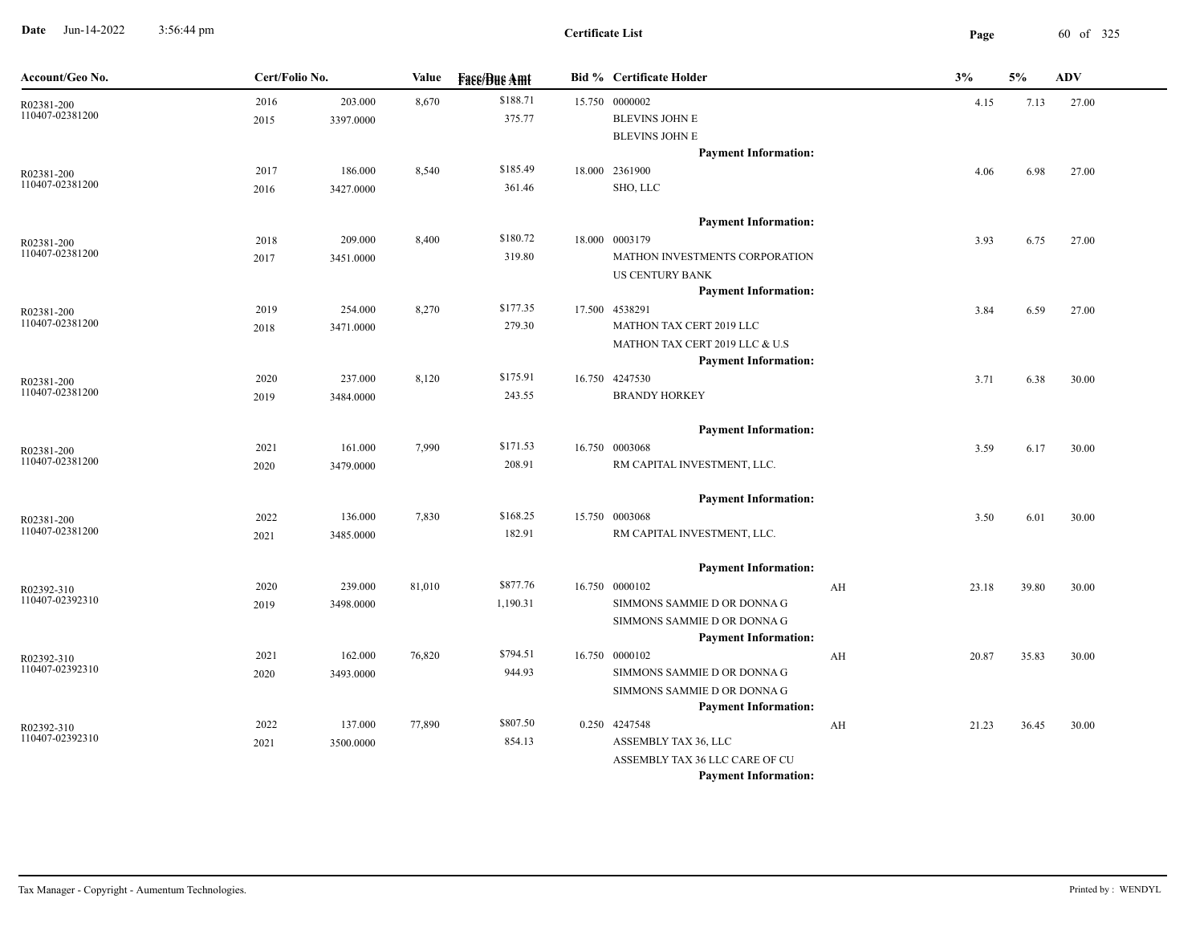**Date** Jun-14-2022 3:56:44 pm **Page** 60 of 325 3:56:44 pm

| Account/Geo No.               | Cert/Folio No. |           | Value  | <b>Fase/Bue Amt</b> | <b>Bid % Certificate Holder</b>               |    | 3%    | 5%    | <b>ADV</b> |
|-------------------------------|----------------|-----------|--------|---------------------|-----------------------------------------------|----|-------|-------|------------|
| R02381-200                    | 2016           | 203.000   | 8,670  | \$188.71            | 15.750 0000002                                |    | 4.15  | 7.13  | 27.00      |
| 110407-02381200               | 2015           | 3397.0000 |        | 375.77              | <b>BLEVINS JOHN E</b>                         |    |       |       |            |
|                               |                |           |        |                     | <b>BLEVINS JOHN E</b>                         |    |       |       |            |
|                               |                |           |        |                     | <b>Payment Information:</b>                   |    |       |       |            |
| R02381-200<br>110407-02381200 | 2017           | 186.000   | 8,540  | \$185.49            | 18.000 2361900                                |    | 4.06  | 6.98  | 27.00      |
|                               | 2016           | 3427.0000 |        | 361.46              | SHO, LLC                                      |    |       |       |            |
|                               |                |           |        |                     | <b>Payment Information:</b>                   |    |       |       |            |
| R02381-200                    | 2018           | 209.000   | 8,400  | \$180.72            | 18.000 0003179                                |    | 3.93  | 6.75  | 27.00      |
| 110407-02381200               | 2017           | 3451.0000 |        | 319.80              | MATHON INVESTMENTS CORPORATION                |    |       |       |            |
|                               |                |           |        |                     | <b>US CENTURY BANK</b>                        |    |       |       |            |
|                               |                |           |        |                     | <b>Payment Information:</b>                   |    |       |       |            |
| R02381-200                    | 2019           | 254.000   | 8,270  | \$177.35            | 17.500 4538291                                |    | 3.84  | 6.59  | 27.00      |
| 110407-02381200               | 2018           | 3471.0000 |        | 279.30              | MATHON TAX CERT 2019 LLC                      |    |       |       |            |
|                               |                |           |        |                     | MATHON TAX CERT 2019 LLC & U.S                |    |       |       |            |
|                               |                |           |        | \$175.91            | <b>Payment Information:</b>                   |    |       |       |            |
| R02381-200<br>110407-02381200 | 2020           | 237.000   | 8,120  | 243.55              | 16.750 4247530<br><b>BRANDY HORKEY</b>        |    | 3.71  | 6.38  | 30.00      |
|                               | 2019           | 3484.0000 |        |                     |                                               |    |       |       |            |
|                               |                |           |        |                     | <b>Payment Information:</b>                   |    |       |       |            |
| R02381-200                    | 2021           | 161.000   | 7,990  | \$171.53            | 16.750 0003068                                |    | 3.59  | 6.17  | 30.00      |
| 110407-02381200               | 2020           | 3479.0000 |        | 208.91              | RM CAPITAL INVESTMENT, LLC.                   |    |       |       |            |
|                               |                |           |        |                     | <b>Payment Information:</b>                   |    |       |       |            |
| R02381-200                    | 2022           | 136.000   | 7,830  | \$168.25            | 15.750 0003068                                |    | 3.50  | 6.01  | 30.00      |
| 110407-02381200               | 2021           | 3485.0000 |        | 182.91              | RM CAPITAL INVESTMENT, LLC.                   |    |       |       |            |
|                               |                |           |        |                     |                                               |    |       |       |            |
|                               |                |           |        | \$877.76            | <b>Payment Information:</b>                   |    |       |       |            |
| R02392-310<br>110407-02392310 | 2020           | 239.000   | 81,010 |                     | 16.750 0000102<br>SIMMONS SAMMIE D OR DONNA G | AH | 23.18 | 39.80 | 30.00      |
|                               | 2019           | 3498.0000 |        | 1,190.31            | SIMMONS SAMMIE D OR DONNA G                   |    |       |       |            |
|                               |                |           |        |                     | <b>Payment Information:</b>                   |    |       |       |            |
| R02392-310                    | 2021           | 162.000   | 76,820 | \$794.51            | 16.750 0000102                                | AH | 20.87 | 35.83 | 30.00      |
| 110407-02392310               | 2020           | 3493.0000 |        | 944.93              | SIMMONS SAMMIE D OR DONNA G                   |    |       |       |            |
|                               |                |           |        |                     | SIMMONS SAMMIE D OR DONNA G                   |    |       |       |            |
|                               |                |           |        |                     | <b>Payment Information:</b>                   |    |       |       |            |
| R02392-310                    | 2022           | 137.000   | 77,890 | \$807.50            | 0.250 4247548                                 | AH | 21.23 | 36.45 | 30.00      |
| 110407-02392310               | 2021           | 3500.0000 |        | 854.13              | ASSEMBLY TAX 36, LLC                          |    |       |       |            |
|                               |                |           |        |                     | ASSEMBLY TAX 36 LLC CARE OF CU                |    |       |       |            |
|                               |                |           |        |                     | <b>Payment Information:</b>                   |    |       |       |            |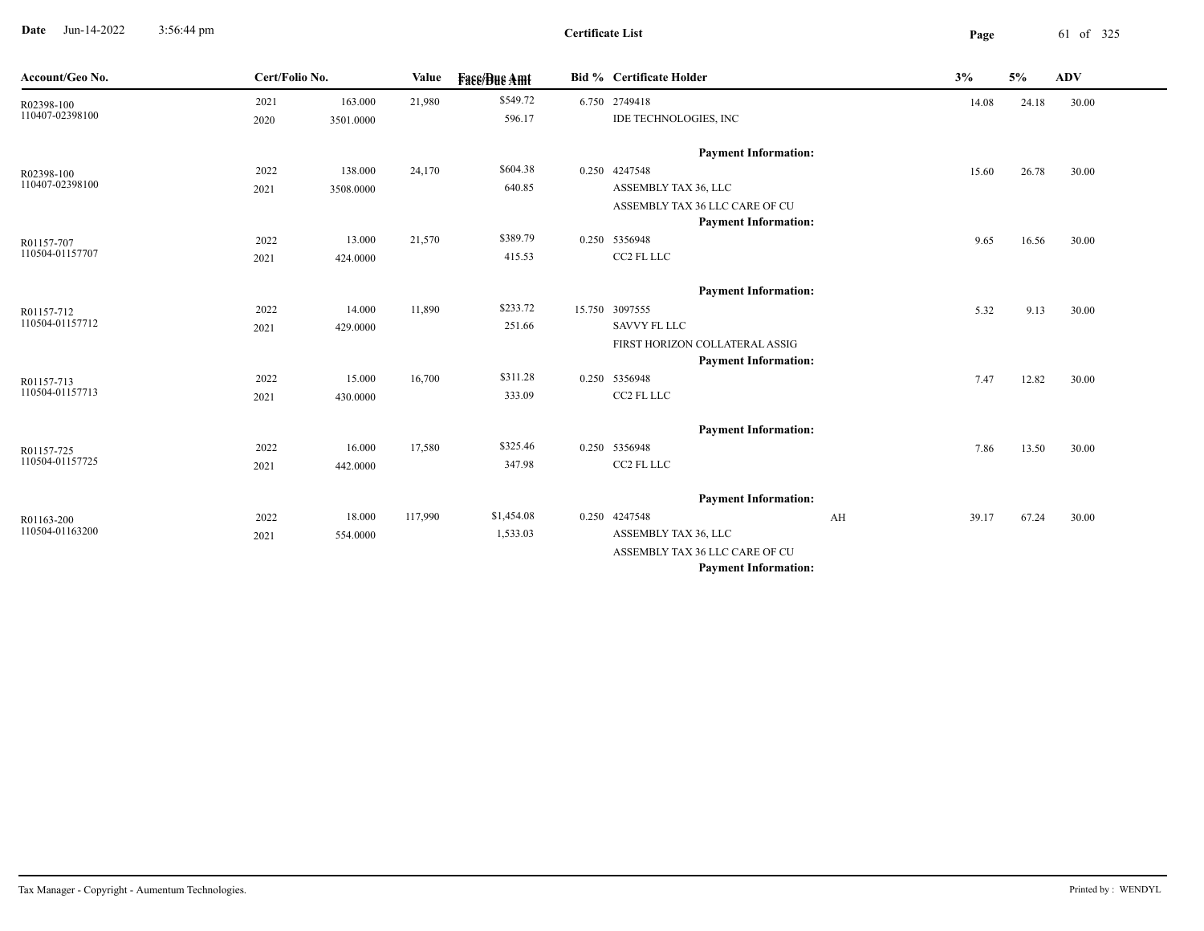**Date** Jun-14-2022 3:56:44 pm **Page** 61 of 325 3:56:44 pm

**Certificate List**

| Account/Geo No. | Cert/Folio No. |           | <b>Value</b> | <b>Fase/Bue Amt</b> | <b>Bid % Certificate Holder</b> |    | 3%    | 5%    | ADV   |  |
|-----------------|----------------|-----------|--------------|---------------------|---------------------------------|----|-------|-------|-------|--|
| R02398-100      | 2021           | 163.000   | 21,980       | \$549.72            | 6.750 2749418                   |    | 14.08 | 24.18 | 30.00 |  |
| 110407-02398100 | 2020           | 3501.0000 |              | 596.17              | IDE TECHNOLOGIES, INC           |    |       |       |       |  |
|                 |                |           |              |                     | <b>Payment Information:</b>     |    |       |       |       |  |
| R02398-100      | 2022           | 138.000   | 24,170       | \$604.38            | 0.250 4247548                   |    | 15.60 | 26.78 | 30.00 |  |
| 110407-02398100 | 2021           | 3508.0000 |              | 640.85              | ASSEMBLY TAX 36, LLC            |    |       |       |       |  |
|                 |                |           |              |                     | ASSEMBLY TAX 36 LLC CARE OF CU  |    |       |       |       |  |
|                 |                |           |              |                     | <b>Payment Information:</b>     |    |       |       |       |  |
| R01157-707      | 2022           | 13.000    | 21,570       | \$389.79            | 0.250 5356948                   |    | 9.65  | 16.56 | 30.00 |  |
| 110504-01157707 | 2021           | 424.0000  |              | 415.53              | CC2 FL LLC                      |    |       |       |       |  |
|                 |                |           |              |                     | <b>Payment Information:</b>     |    |       |       |       |  |
| R01157-712      | 2022           | 14.000    | 11,890       | \$233.72            | 15.750 3097555                  |    | 5.32  | 9.13  | 30.00 |  |
| 110504-01157712 | 2021           | 429.0000  |              | 251.66              | <b>SAVVY FL LLC</b>             |    |       |       |       |  |
|                 |                |           |              |                     | FIRST HORIZON COLLATERAL ASSIG  |    |       |       |       |  |
|                 |                |           |              |                     | <b>Payment Information:</b>     |    |       |       |       |  |
| R01157-713      | 2022           | 15.000    | 16,700       | \$311.28            | 0.250 5356948                   |    | 7.47  | 12.82 | 30.00 |  |
| 110504-01157713 | 2021           | 430.0000  |              | 333.09              | CC2 FL LLC                      |    |       |       |       |  |
|                 |                |           |              |                     | <b>Payment Information:</b>     |    |       |       |       |  |
| R01157-725      | 2022           | 16.000    | 17,580       | \$325.46            | 0.250 5356948                   |    | 7.86  | 13.50 | 30.00 |  |
| 110504-01157725 | 2021           | 442.0000  |              | 347.98              | CC2 FL LLC                      |    |       |       |       |  |
|                 |                |           |              |                     | <b>Payment Information:</b>     |    |       |       |       |  |
| R01163-200      | 2022           | 18.000    | 117,990      | \$1,454.08          | 0.250 4247548                   | AH | 39.17 | 67.24 | 30.00 |  |
| 110504-01163200 | 2021           | 554.0000  |              | 1,533.03            | ASSEMBLY TAX 36, LLC            |    |       |       |       |  |
|                 |                |           |              |                     | ASSEMBLY TAX 36 LLC CARE OF CU  |    |       |       |       |  |
|                 |                |           |              |                     | <b>Payment Information:</b>     |    |       |       |       |  |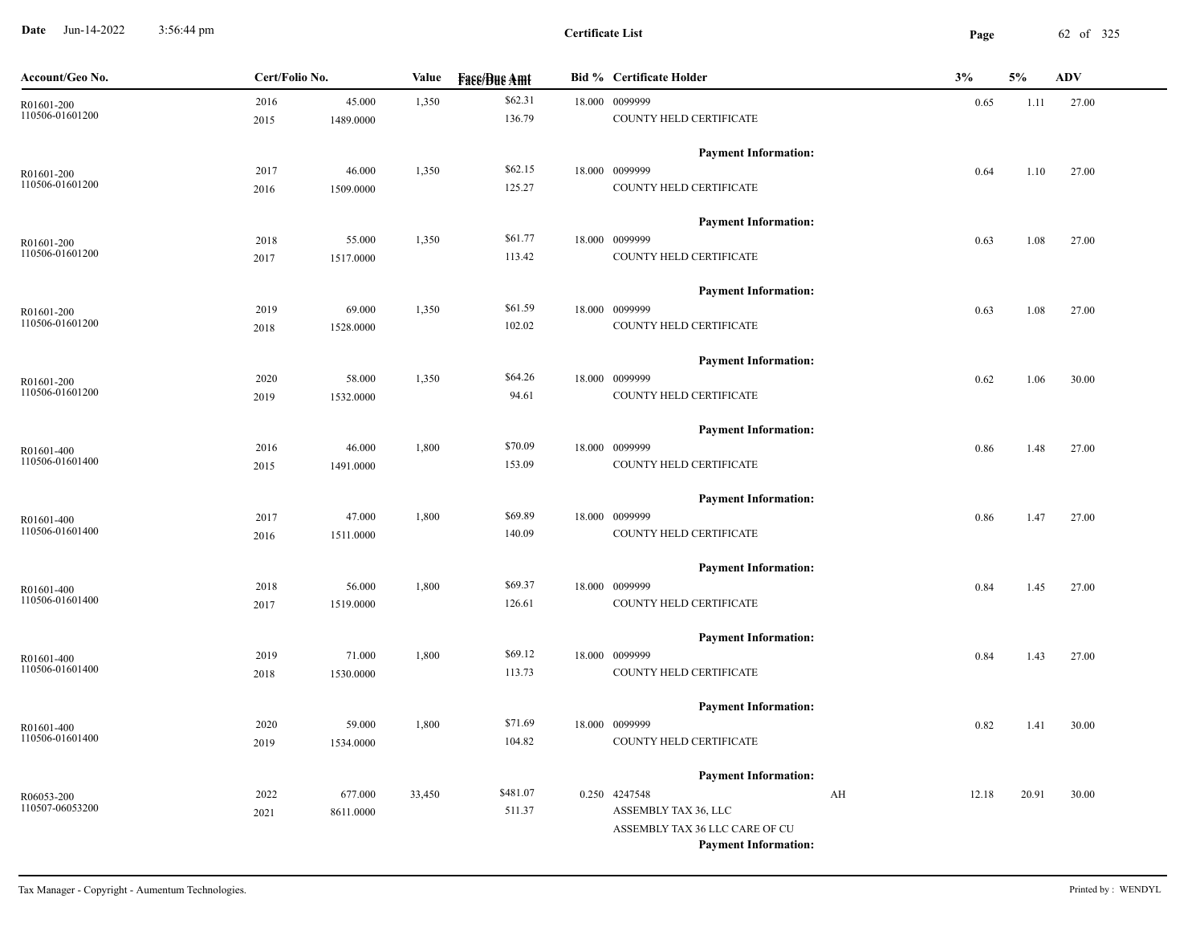**Date** Jun-14-2022 3:56:44 pm **Page** 62 of 325 3:56:44 pm

| Account/Geo No.               | Cert/Folio No. |                     | Value  | <b>Fase/Bue Amt</b> |  | <b>Bid % Certificate Holder</b>           | 3%<br><b>ADV</b><br>5% |       |       |       |
|-------------------------------|----------------|---------------------|--------|---------------------|--|-------------------------------------------|------------------------|-------|-------|-------|
| R01601-200                    | 2016           | 45.000              | 1,350  | \$62.31             |  | 18.000 0099999                            |                        | 0.65  | 1.11  | 27.00 |
| 110506-01601200               | 2015           | 1489.0000           |        | 136.79              |  | COUNTY HELD CERTIFICATE                   |                        |       |       |       |
|                               |                |                     |        |                     |  | <b>Payment Information:</b>               |                        |       |       |       |
| R01601-200<br>110506-01601200 | 2017           | 46.000              | 1,350  | \$62.15             |  | 18.000 0099999                            |                        | 0.64  | 1.10  | 27.00 |
|                               | 2016           | 1509.0000           |        | 125.27              |  | COUNTY HELD CERTIFICATE                   |                        |       |       |       |
|                               |                |                     |        |                     |  | <b>Payment Information:</b>               |                        |       |       |       |
| R01601-200                    | 2018           | 55.000              | 1,350  | \$61.77             |  | 18.000 0099999                            |                        | 0.63  | 1.08  | 27.00 |
| 110506-01601200               | 2017           | 1517.0000           |        | 113.42              |  | COUNTY HELD CERTIFICATE                   |                        |       |       |       |
|                               |                |                     |        |                     |  | <b>Payment Information:</b>               |                        |       |       |       |
| R01601-200                    | 2019           | 69.000              | 1,350  | \$61.59             |  | 18.000 0099999                            |                        | 0.63  | 1.08  | 27.00 |
| 110506-01601200               | 2018           | 1528.0000           |        | 102.02              |  | COUNTY HELD CERTIFICATE                   |                        |       |       |       |
|                               |                |                     |        |                     |  | <b>Payment Information:</b>               |                        |       |       |       |
| R01601-200                    | 2020           | 58.000              | 1,350  | \$64.26             |  | 18.000 0099999                            |                        | 0.62  | 1.06  | 30.00 |
| 110506-01601200               | 2019           | 1532.0000           |        | 94.61               |  | COUNTY HELD CERTIFICATE                   |                        |       |       |       |
|                               |                |                     |        |                     |  | <b>Payment Information:</b>               |                        |       |       |       |
| R01601-400                    | 2016           | 46.000              | 1,800  | \$70.09             |  | 18.000 0099999                            |                        | 0.86  | 1.48  | 27.00 |
| 110506-01601400               | 2015           | 1491.0000           |        | 153.09              |  | COUNTY HELD CERTIFICATE                   |                        |       |       |       |
|                               |                |                     |        |                     |  | <b>Payment Information:</b>               |                        |       |       |       |
| R01601-400                    | 2017           | 47.000              | 1,800  | \$69.89             |  | 18.000 0099999                            |                        | 0.86  | 1.47  | 27.00 |
| 110506-01601400               | 2016           | 1511.0000           |        | 140.09              |  | COUNTY HELD CERTIFICATE                   |                        |       |       |       |
|                               |                |                     |        |                     |  |                                           |                        |       |       |       |
|                               |                |                     |        | \$69.37             |  | <b>Payment Information:</b>               |                        |       |       |       |
| R01601-400<br>110506-01601400 | 2018<br>2017   | 56.000<br>1519.0000 | 1,800  | 126.61              |  | 18.000 0099999<br>COUNTY HELD CERTIFICATE |                        | 0.84  | 1.45  | 27.00 |
|                               |                |                     |        |                     |  |                                           |                        |       |       |       |
|                               |                |                     |        |                     |  | <b>Payment Information:</b>               |                        |       |       |       |
| R01601-400                    | 2019           | 71.000              | 1,800  | \$69.12             |  | 18.000 0099999                            |                        | 0.84  | 1.43  | 27.00 |
| 110506-01601400               | 2018           | 1530.0000           |        | 113.73              |  | COUNTY HELD CERTIFICATE                   |                        |       |       |       |
|                               |                |                     |        |                     |  | <b>Payment Information:</b>               |                        |       |       |       |
| R01601-400                    | 2020           | 59.000              | 1,800  | \$71.69             |  | 18.000 0099999                            |                        | 0.82  | 1.41  | 30.00 |
| 110506-01601400               | 2019           | 1534.0000           |        | 104.82              |  | COUNTY HELD CERTIFICATE                   |                        |       |       |       |
|                               |                |                     |        |                     |  | <b>Payment Information:</b>               |                        |       |       |       |
| R06053-200                    | 2022           | 677.000             | 33,450 | \$481.07            |  | 0.250 4247548                             | AH                     | 12.18 | 20.91 | 30.00 |
| 110507-06053200               | 2021           | 8611.0000           |        | 511.37              |  | ASSEMBLY TAX 36, LLC                      |                        |       |       |       |
|                               |                |                     |        |                     |  | ASSEMBLY TAX 36 LLC CARE OF CU            |                        |       |       |       |
|                               |                |                     |        |                     |  | <b>Payment Information:</b>               |                        |       |       |       |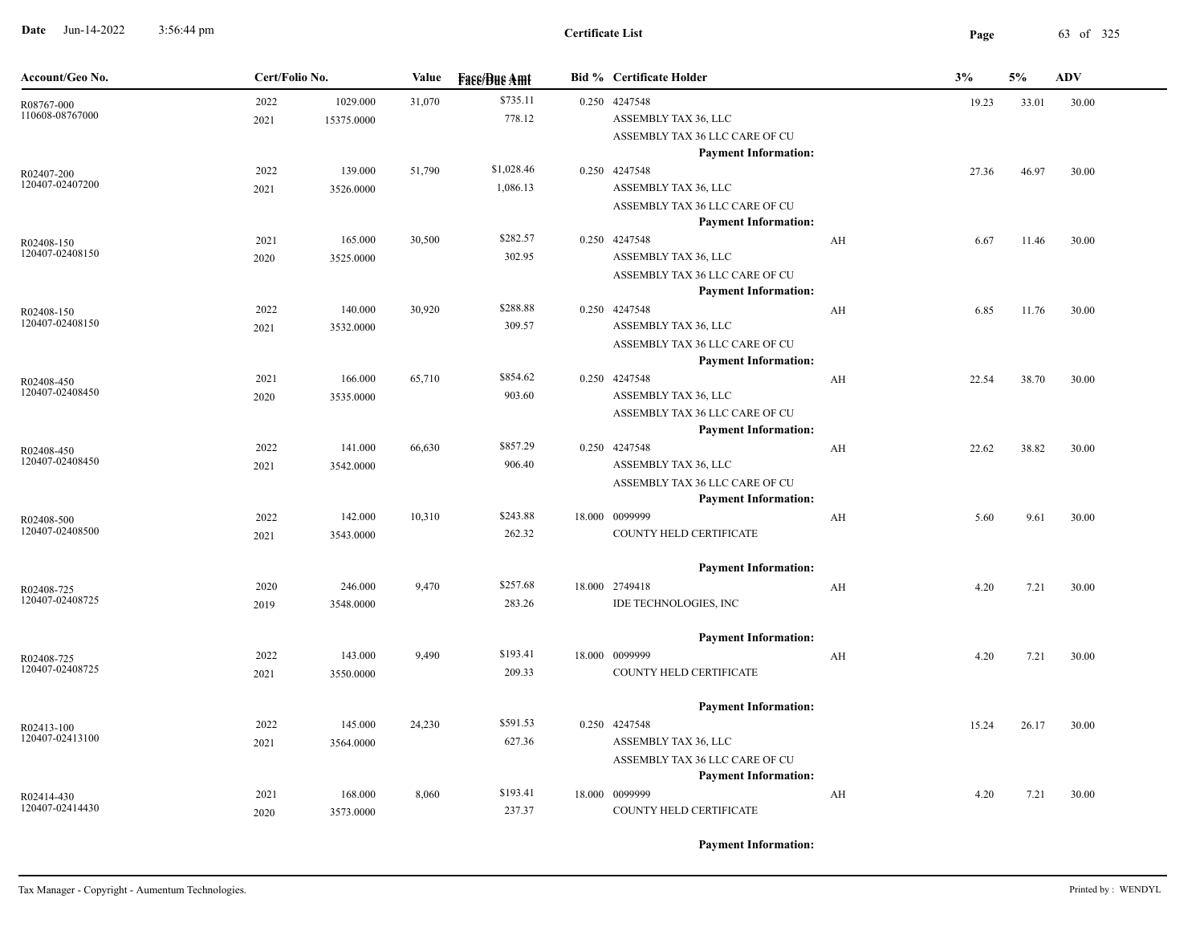**Date** Jun-14-2022 3:56:44 pm **Page** 63 of 325 3:56:44 pm

| Account/Geo No.               | Cert/Folio No. |                        | Value  | <b>Fass/Bus Amt</b>    | <b>Bid % Certificate Holder</b>                                                                        |    | 3%             | 5%    | <b>ADV</b> |
|-------------------------------|----------------|------------------------|--------|------------------------|--------------------------------------------------------------------------------------------------------|----|----------------|-------|------------|
| R08767-000<br>110608-08767000 | 2022<br>2021   | 1029.000<br>15375.0000 | 31,070 | \$735.11<br>778.12     | 0.250 4247548<br>ASSEMBLY TAX 36, LLC<br>ASSEMBLY TAX 36 LLC CARE OF CU<br><b>Payment Information:</b> |    | 19.23<br>33.01 |       | 30.00      |
| R02407-200<br>120407-02407200 | 2022<br>2021   | 139.000<br>3526.0000   | 51,790 | \$1,028.46<br>1,086.13 | 0.250 4247548<br>ASSEMBLY TAX 36, LLC<br>ASSEMBLY TAX 36 LLC CARE OF CU                                |    | 27.36          | 46.97 | 30.00      |
| R02408-150<br>120407-02408150 | 2021<br>2020   | 165.000<br>3525.0000   | 30,500 | \$282.57<br>302.95     | <b>Payment Information:</b><br>0.250 4247548<br>ASSEMBLY TAX 36, LLC<br>ASSEMBLY TAX 36 LLC CARE OF CU | AH | 6.67           | 11.46 | 30.00      |
| R02408-150<br>120407-02408150 | 2022<br>2021   | 140.000<br>3532.0000   | 30,920 | \$288.88<br>309.57     | <b>Payment Information:</b><br>0.250 4247548<br>ASSEMBLY TAX 36, LLC<br>ASSEMBLY TAX 36 LLC CARE OF CU | AH | 6.85           | 11.76 | 30.00      |
| R02408-450<br>120407-02408450 | 2021<br>2020   | 166.000<br>3535.0000   | 65,710 | \$854.62<br>903.60     | <b>Payment Information:</b><br>0.250 4247548<br>ASSEMBLY TAX 36, LLC<br>ASSEMBLY TAX 36 LLC CARE OF CU | AH | 22.54          | 38.70 | 30.00      |
| R02408-450<br>120407-02408450 | 2022<br>2021   | 141.000<br>3542.0000   | 66,630 | \$857.29<br>906.40     | <b>Payment Information:</b><br>0.250 4247548<br>ASSEMBLY TAX 36, LLC<br>ASSEMBLY TAX 36 LLC CARE OF CU | AH | 22.62          | 38.82 | 30.00      |
| R02408-500<br>120407-02408500 | 2022<br>2021   | 142.000<br>3543.0000   | 10,310 | \$243.88<br>262.32     | <b>Payment Information:</b><br>18.000 0099999<br>COUNTY HELD CERTIFICATE                               | AH | 5.60           | 9.61  | 30.00      |
| R02408-725<br>120407-02408725 | 2020<br>2019   | 246.000<br>3548.0000   | 9,470  | \$257.68<br>283.26     | <b>Payment Information:</b><br>18.000 2749418<br>IDE TECHNOLOGIES, INC                                 | AH | 4.20           | 7.21  | 30.00      |
| R02408-725<br>120407-02408725 | 2022<br>2021   | 143.000<br>3550.0000   | 9,490  | \$193.41<br>209.33     | <b>Payment Information:</b><br>18.000 0099999<br>COUNTY HELD CERTIFICATE                               | AH | 4.20           | 7.21  | 30.00      |
| R02413-100<br>120407-02413100 | 2022<br>2021   | 145.000<br>3564.0000   | 24,230 | \$591.53<br>627.36     | <b>Payment Information:</b><br>0.250 4247548<br>ASSEMBLY TAX 36, LLC<br>ASSEMBLY TAX 36 LLC CARE OF CU |    | 15.24          | 26.17 | 30.00      |
| R02414-430<br>120407-02414430 | 2021<br>2020   | 168.000<br>3573.0000   | 8,060  | \$193.41<br>237.37     | <b>Payment Information:</b><br>18.000 0099999<br>COUNTY HELD CERTIFICATE                               | AH | 4.20           | 7.21  | 30.00      |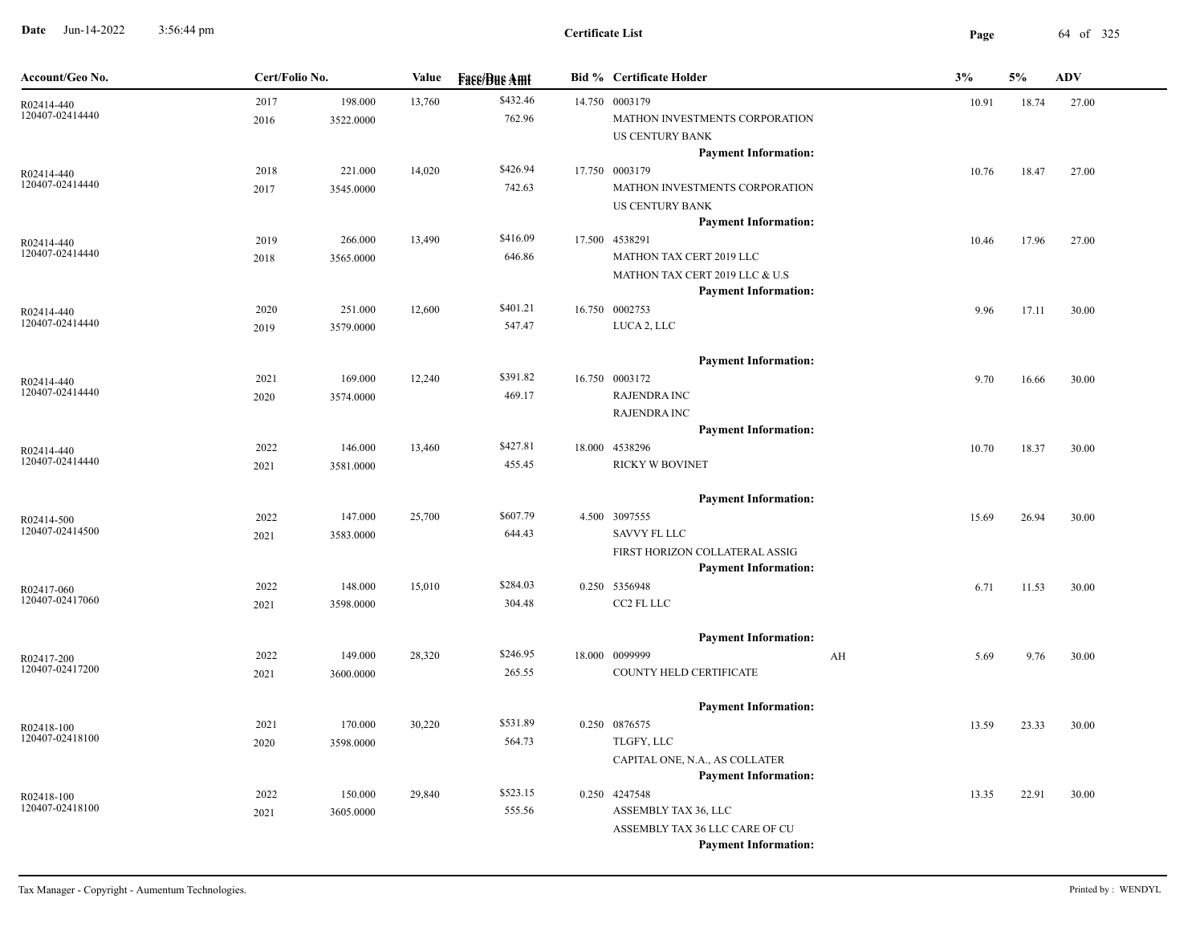**Date** Jun-14-2022 3:56:44 pm **Page** 64 of 325 3:56:44 pm

| Account/Geo No.               | Cert/Folio No. |           | Value  | <b>Face/Bue Amt</b> | <b>Bid % Certificate Holder</b> |    | 3%    | 5%    | <b>ADV</b> |  |
|-------------------------------|----------------|-----------|--------|---------------------|---------------------------------|----|-------|-------|------------|--|
| R02414-440                    | 2017           | 198.000   | 13,760 | \$432.46            | 14.750 0003179                  |    | 10.91 | 18.74 | 27.00      |  |
| 120407-02414440               | 2016           | 3522.0000 |        | 762.96              | MATHON INVESTMENTS CORPORATION  |    |       |       |            |  |
|                               |                |           |        |                     | US CENTURY BANK                 |    |       |       |            |  |
|                               |                |           |        |                     | <b>Payment Information:</b>     |    |       |       |            |  |
| R02414-440                    | 2018           | 221.000   | 14,020 | \$426.94            | 17.750 0003179                  |    | 10.76 | 18.47 | 27.00      |  |
| 120407-02414440               | 2017           | 3545.0000 |        | 742.63              | MATHON INVESTMENTS CORPORATION  |    |       |       |            |  |
|                               |                |           |        |                     | US CENTURY BANK                 |    |       |       |            |  |
|                               |                |           |        |                     | <b>Payment Information:</b>     |    |       |       |            |  |
| R02414-440<br>120407-02414440 | 2019           | 266.000   | 13,490 | \$416.09            | 17.500 4538291                  |    | 10.46 | 17.96 | 27.00      |  |
|                               | 2018           | 3565.0000 |        | 646.86              | MATHON TAX CERT 2019 LLC        |    |       |       |            |  |
|                               |                |           |        |                     | MATHON TAX CERT 2019 LLC & U.S  |    |       |       |            |  |
|                               |                |           |        |                     | <b>Payment Information:</b>     |    |       |       |            |  |
| R02414-440<br>120407-02414440 | 2020           | 251.000   | 12,600 | \$401.21            | 16.750 0002753                  |    | 9.96  | 17.11 | 30.00      |  |
|                               | 2019           | 3579.0000 |        | 547.47              | LUCA 2, LLC                     |    |       |       |            |  |
|                               |                |           |        |                     | <b>Payment Information:</b>     |    |       |       |            |  |
|                               | 2021           | 169.000   | 12,240 | \$391.82            | 16.750 0003172                  |    | 9.70  | 16.66 | 30.00      |  |
| R02414-440<br>120407-02414440 | 2020           | 3574.0000 |        | 469.17              | <b>RAJENDRA INC</b>             |    |       |       |            |  |
|                               |                |           |        |                     | <b>RAJENDRA INC</b>             |    |       |       |            |  |
|                               |                |           |        |                     | <b>Payment Information:</b>     |    |       |       |            |  |
| R02414-440                    | 2022           | 146.000   | 13,460 | \$427.81            | 18.000 4538296                  |    | 10.70 | 18.37 | 30.00      |  |
| 120407-02414440               | 2021           | 3581.0000 |        | 455.45              | RICKY W BOVINET                 |    |       |       |            |  |
|                               |                |           |        |                     |                                 |    |       |       |            |  |
|                               |                |           |        |                     | <b>Payment Information:</b>     |    |       |       |            |  |
| R02414-500                    | 2022           | 147.000   | 25,700 | \$607.79            | 4.500 3097555                   |    | 15.69 | 26.94 | 30.00      |  |
| 120407-02414500               | 2021           | 3583.0000 |        | 644.43              | <b>SAVVY FL LLC</b>             |    |       |       |            |  |
|                               |                |           |        |                     | FIRST HORIZON COLLATERAL ASSIG  |    |       |       |            |  |
|                               |                |           |        |                     | <b>Payment Information:</b>     |    |       |       |            |  |
| R02417-060                    | 2022           | 148.000   | 15,010 | \$284.03            | 0.250 5356948                   |    | 6.71  | 11.53 | 30.00      |  |
| 120407-02417060               | 2021           | 3598.0000 |        | 304.48              | CC2 FL LLC                      |    |       |       |            |  |
|                               |                |           |        |                     |                                 |    |       |       |            |  |
|                               |                |           |        |                     | <b>Payment Information:</b>     |    |       |       |            |  |
| R02417-200<br>120407-02417200 | 2022           | 149.000   | 28,320 | \$246.95            | 18.000 0099999                  | AH | 5.69  | 9.76  | 30.00      |  |
|                               | 2021           | 3600.0000 |        | 265.55              | COUNTY HELD CERTIFICATE         |    |       |       |            |  |
|                               |                |           |        |                     | <b>Payment Information:</b>     |    |       |       |            |  |
| R02418-100                    | 2021           | 170.000   | 30,220 | \$531.89            | 0.250 0876575                   |    | 13.59 | 23.33 | 30.00      |  |
| 120407-02418100               | 2020           | 3598.0000 |        | 564.73              | TLGFY, LLC                      |    |       |       |            |  |
|                               |                |           |        |                     | CAPITAL ONE, N.A., AS COLLATER  |    |       |       |            |  |
|                               |                |           |        |                     | <b>Payment Information:</b>     |    |       |       |            |  |
| R02418-100                    | 2022           | 150.000   | 29,840 | \$523.15            | 0.250 4247548                   |    | 13.35 | 22.91 | 30.00      |  |
| 120407-02418100               | 2021           | 3605.0000 |        | 555.56              | ASSEMBLY TAX 36, LLC            |    |       |       |            |  |
|                               |                |           |        |                     | ASSEMBLY TAX 36 LLC CARE OF CU  |    |       |       |            |  |
|                               |                |           |        |                     | <b>Payment Information:</b>     |    |       |       |            |  |
|                               |                |           |        |                     |                                 |    |       |       |            |  |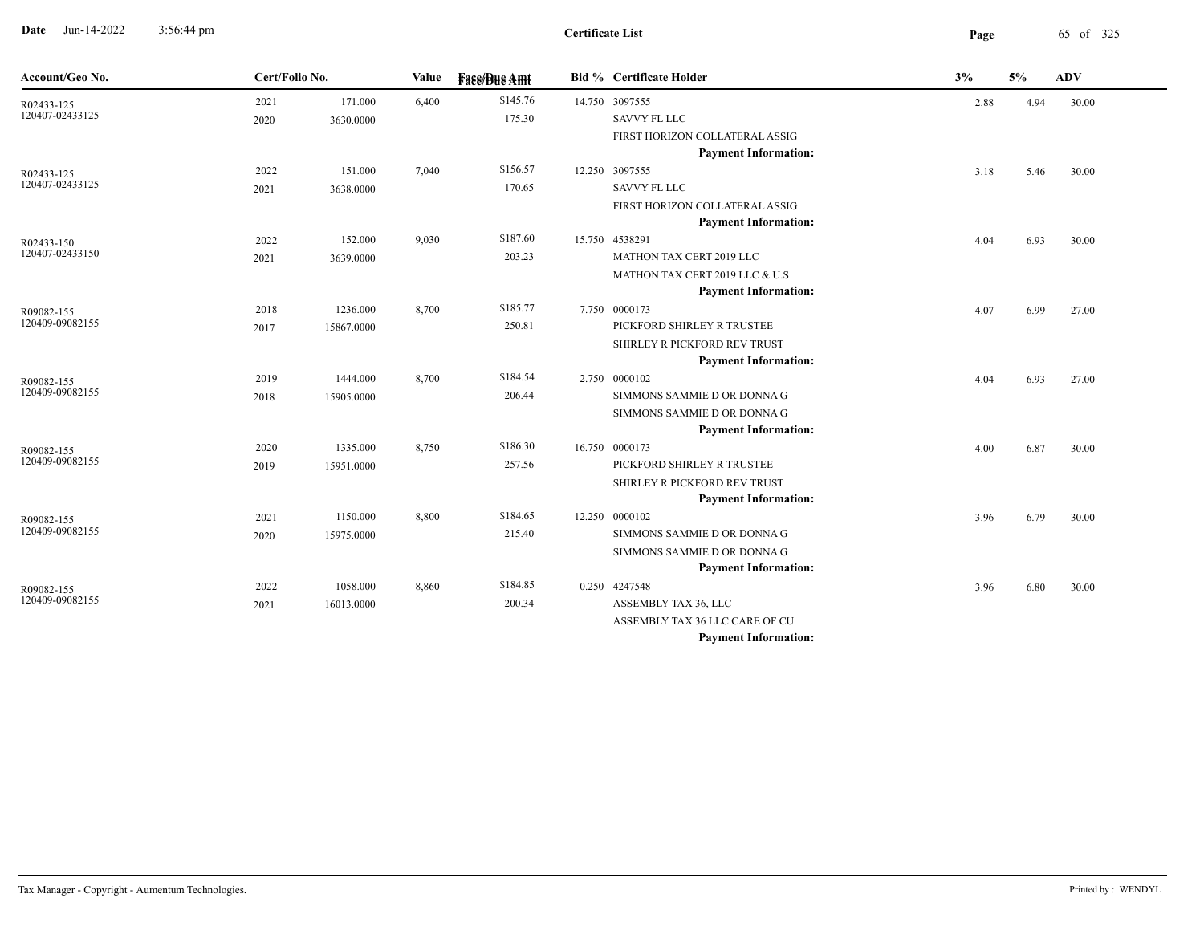**Date** Jun-14-2022 3:56:44 pm **Page** 65 of 325 3:56:44 pm

| Account/Geo No.               | Cert/Folio No. |            | Value | <b>Fase/Bue Amt</b> | <b>Bid % Certificate Holder</b>                             | 3%   | 5%   | <b>ADV</b> |
|-------------------------------|----------------|------------|-------|---------------------|-------------------------------------------------------------|------|------|------------|
| R02433-125                    | 2021           | 171.000    | 6,400 | \$145.76            | 14.750 3097555                                              | 2.88 | 4.94 | 30.00      |
| 120407-02433125               | 2020           | 3630.0000  |       | 175.30              | <b>SAVVY FL LLC</b>                                         |      |      |            |
|                               |                |            |       |                     | FIRST HORIZON COLLATERAL ASSIG                              |      |      |            |
|                               |                |            |       |                     | <b>Payment Information:</b>                                 |      |      |            |
| R02433-125                    | 2022           | 151.000    | 7,040 | \$156.57            | 12.250 3097555                                              | 3.18 | 5.46 | 30.00      |
| 120407-02433125               | 2021           | 3638.0000  |       | 170.65              | <b>SAVVY FL LLC</b>                                         |      |      |            |
|                               |                |            |       |                     | FIRST HORIZON COLLATERAL ASSIG                              |      |      |            |
|                               |                |            |       |                     | <b>Payment Information:</b>                                 |      |      |            |
| R02433-150<br>120407-02433150 | 2022           | 152.000    | 9,030 | \$187.60            | 15.750 4538291                                              | 4.04 | 6.93 | 30.00      |
|                               | 2021           | 3639.0000  |       | 203.23              | MATHON TAX CERT 2019 LLC                                    |      |      |            |
|                               |                |            |       |                     | MATHON TAX CERT 2019 LLC & U.S                              |      |      |            |
|                               |                |            |       |                     | <b>Payment Information:</b>                                 |      |      |            |
| R09082-155<br>120409-09082155 | 2018           | 1236.000   | 8,700 | \$185.77            | 7.750 0000173                                               | 4.07 | 6.99 | 27.00      |
|                               | 2017           | 15867.0000 |       | 250.81              | PICKFORD SHIRLEY R TRUSTEE                                  |      |      |            |
|                               |                |            |       |                     | SHIRLEY R PICKFORD REV TRUST<br><b>Payment Information:</b> |      |      |            |
|                               |                | 1444.000   | 8,700 | \$184.54            | 2.750 0000102                                               |      |      |            |
| R09082-155<br>120409-09082155 | 2019           |            |       | 206.44              | SIMMONS SAMMIE D OR DONNA G                                 | 4.04 | 6.93 | 27.00      |
|                               | 2018           | 15905.0000 |       |                     | SIMMONS SAMMIE D OR DONNA G                                 |      |      |            |
|                               |                |            |       |                     | <b>Payment Information:</b>                                 |      |      |            |
|                               | 2020           | 1335.000   | 8,750 | \$186.30            | 16.750 0000173                                              | 4.00 | 6.87 | 30.00      |
| R09082-155<br>120409-09082155 | 2019           | 15951.0000 |       | 257.56              | PICKFORD SHIRLEY R TRUSTEE                                  |      |      |            |
|                               |                |            |       |                     | SHIRLEY R PICKFORD REV TRUST                                |      |      |            |
|                               |                |            |       |                     | <b>Payment Information:</b>                                 |      |      |            |
| R09082-155                    | 2021           | 1150.000   | 8,800 | \$184.65            | 12.250 0000102                                              | 3.96 | 6.79 | 30.00      |
| 120409-09082155               | 2020           | 15975.0000 |       | 215.40              | SIMMONS SAMMIE D OR DONNA G                                 |      |      |            |
|                               |                |            |       |                     | SIMMONS SAMMIE D OR DONNA G                                 |      |      |            |
|                               |                |            |       |                     | <b>Payment Information:</b>                                 |      |      |            |
| R09082-155                    | 2022           | 1058.000   | 8,860 | \$184.85            | 0.250 4247548                                               | 3.96 | 6.80 | 30.00      |
| 120409-09082155               | 2021           | 16013.0000 |       | 200.34              | ASSEMBLY TAX 36, LLC                                        |      |      |            |
|                               |                |            |       |                     | ASSEMBLY TAX 36 LLC CARE OF CU                              |      |      |            |
|                               |                |            |       |                     | <b>Payment Information:</b>                                 |      |      |            |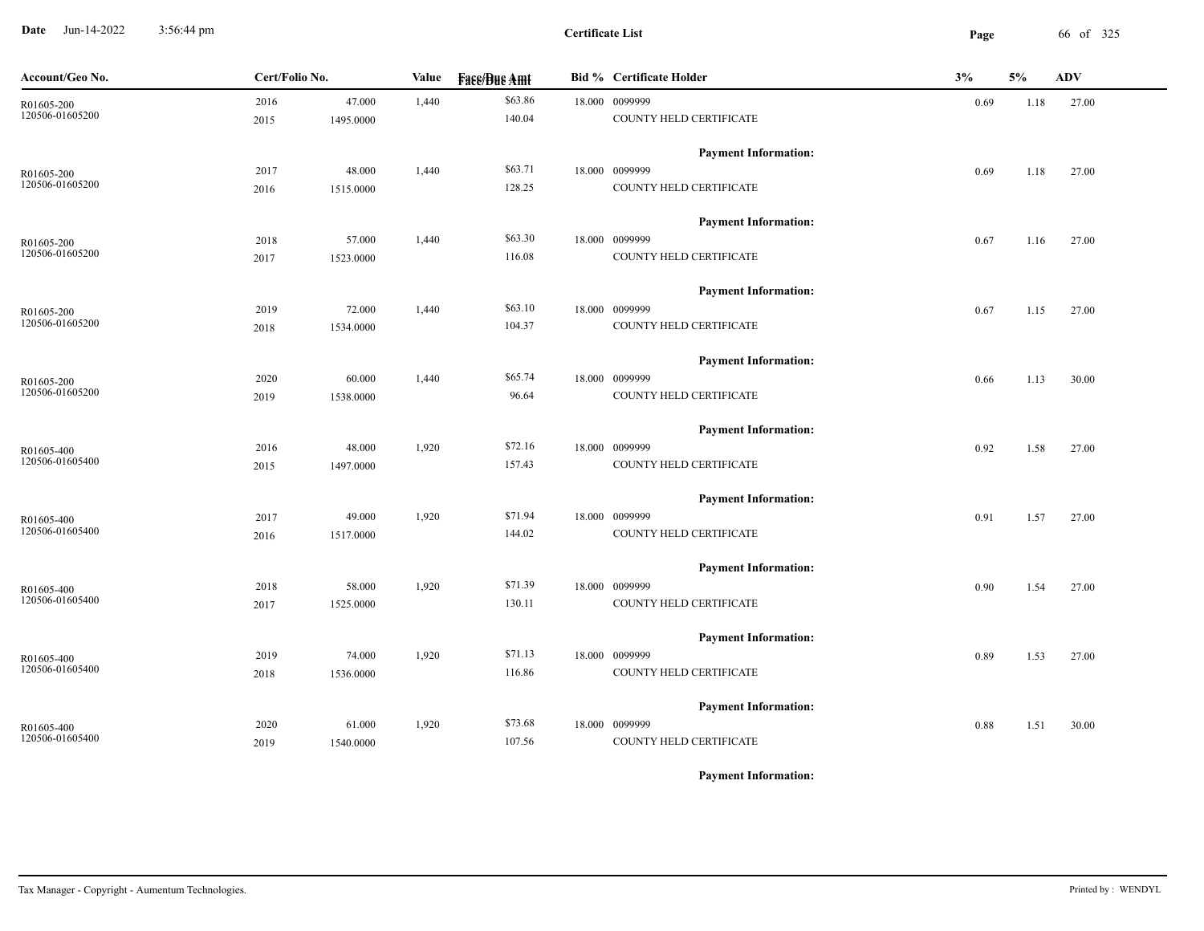**Date** Jun-14-2022 3:56:44 pm **Page** 66 of 325 3:56:44 pm

| Account/Geo No.               | Cert/Folio No. |           | Value | <b>Face/Bue Amt</b> | <b>Bid % Certificate Holder</b>               | 3%   | 5%   | ADV   |
|-------------------------------|----------------|-----------|-------|---------------------|-----------------------------------------------|------|------|-------|
| R01605-200                    | 2016           | 47.000    | 1,440 | \$63.86             | 18.000 0099999                                | 0.69 | 1.18 | 27.00 |
| 120506-01605200               | 2015           | 1495.0000 |       | 140.04              | COUNTY HELD CERTIFICATE                       |      |      |       |
|                               |                |           |       |                     | <b>Payment Information:</b>                   |      |      |       |
| R01605-200                    | 2017           | 48.000    | 1,440 | \$63.71             | 18.000 0099999                                | 0.69 | 1.18 | 27.00 |
| 120506-01605200               | 2016           | 1515.0000 |       | 128.25              | COUNTY HELD CERTIFICATE                       |      |      |       |
|                               |                |           |       |                     |                                               |      |      |       |
|                               | 2018           | 57.000    | 1,440 | \$63.30             | <b>Payment Information:</b><br>18.000 0099999 | 0.67 | 1.16 | 27.00 |
| R01605-200<br>120506-01605200 | 2017           | 1523.0000 |       | 116.08              | COUNTY HELD CERTIFICATE                       |      |      |       |
|                               |                |           |       |                     |                                               |      |      |       |
|                               |                |           |       |                     | <b>Payment Information:</b>                   |      |      |       |
| R01605-200<br>120506-01605200 | 2019           | 72.000    | 1,440 | \$63.10<br>104.37   | 18.000 0099999<br>COUNTY HELD CERTIFICATE     | 0.67 | 1.15 | 27.00 |
|                               | 2018           | 1534.0000 |       |                     |                                               |      |      |       |
|                               |                |           |       |                     | <b>Payment Information:</b>                   |      |      |       |
| R01605-200                    | 2020           | 60.000    | 1,440 | \$65.74             | 18.000 0099999                                | 0.66 | 1.13 | 30.00 |
| 120506-01605200               | 2019           | 1538.0000 |       | 96.64               | COUNTY HELD CERTIFICATE                       |      |      |       |
|                               |                |           |       |                     | <b>Payment Information:</b>                   |      |      |       |
| R01605-400                    | 2016           | 48.000    | 1,920 | \$72.16             | 18.000 0099999                                | 0.92 | 1.58 | 27.00 |
| 120506-01605400               | 2015           | 1497.0000 |       | 157.43              | COUNTY HELD CERTIFICATE                       |      |      |       |
|                               |                |           |       |                     | <b>Payment Information:</b>                   |      |      |       |
| R01605-400                    | 2017           | 49.000    | 1,920 | \$71.94             | 18.000 0099999                                | 0.91 | 1.57 | 27.00 |
| 120506-01605400               | 2016           | 1517.0000 |       | 144.02              | COUNTY HELD CERTIFICATE                       |      |      |       |
|                               |                |           |       |                     |                                               |      |      |       |
|                               |                |           |       |                     | <b>Payment Information:</b>                   |      |      |       |
| R01605-400<br>120506-01605400 | 2018           | 58.000    | 1,920 | \$71.39             | 18.000 0099999                                | 0.90 | 1.54 | 27.00 |
|                               | 2017           | 1525.0000 |       | 130.11              | COUNTY HELD CERTIFICATE                       |      |      |       |
|                               |                |           |       |                     | <b>Payment Information:</b>                   |      |      |       |
| R01605-400                    | 2019           | 74.000    | 1,920 | \$71.13             | 18.000 0099999                                | 0.89 | 1.53 | 27.00 |
| 120506-01605400               | 2018           | 1536.0000 |       | 116.86              | COUNTY HELD CERTIFICATE                       |      |      |       |
|                               |                |           |       |                     | <b>Payment Information:</b>                   |      |      |       |
| R01605-400                    | 2020           | 61.000    | 1,920 | \$73.68             | 18.000 0099999                                | 0.88 | 1.51 | 30.00 |
| 120506-01605400               | 2019           | 1540.0000 |       | 107.56              | COUNTY HELD CERTIFICATE                       |      |      |       |
|                               |                |           |       |                     |                                               |      |      |       |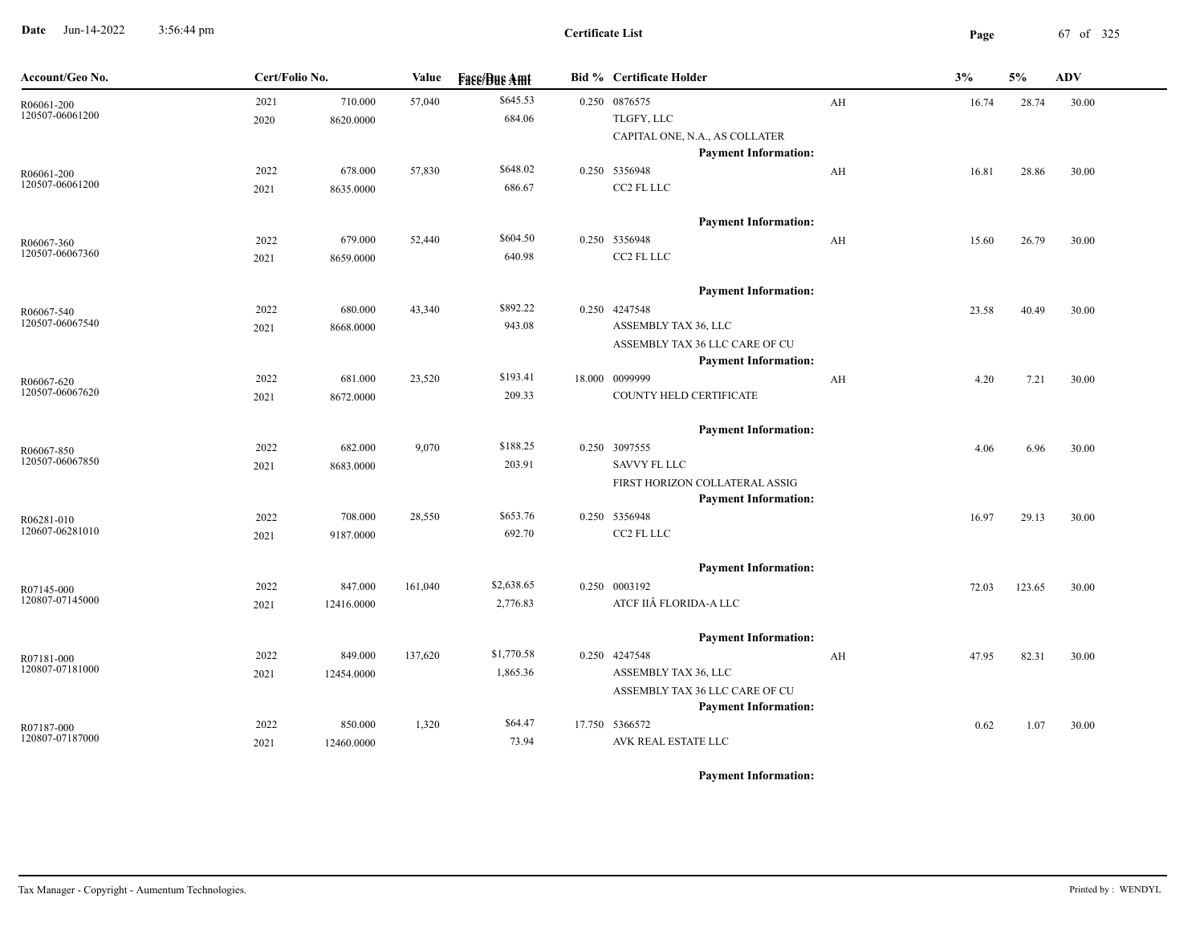**Date** Jun-14-2022 3:56:44 pm **Page** 67 of 325 3:56:44 pm

| Account/Geo No.               | Cert/Folio No. |            | Value   | <b>Face/Bue Amt</b> | <b>Bid % Certificate Holder</b> |    | 3%    | 5%     | <b>ADV</b> |
|-------------------------------|----------------|------------|---------|---------------------|---------------------------------|----|-------|--------|------------|
| R06061-200                    | 2021           | 710.000    | 57,040  | \$645.53            | 0.250 0876575                   | AH | 16.74 | 28.74  | 30.00      |
| 120507-06061200               | 2020           | 8620.0000  |         | 684.06              | TLGFY, LLC                      |    |       |        |            |
|                               |                |            |         |                     | CAPITAL ONE, N.A., AS COLLATER  |    |       |        |            |
|                               |                |            |         | \$648.02            | <b>Payment Information:</b>     |    |       |        |            |
| R06061-200<br>120507-06061200 | 2022           | 678.000    | 57,830  | 686.67              | 0.250 5356948<br>CC2 FL LLC     | AH | 16.81 | 28.86  | 30.00      |
|                               | 2021           | 8635.0000  |         |                     |                                 |    |       |        |            |
|                               |                |            |         |                     | <b>Payment Information:</b>     |    |       |        |            |
| R06067-360                    | 2022           | 679.000    | 52,440  | \$604.50            | 0.250 5356948                   | AH | 15.60 | 26.79  | 30.00      |
| 120507-06067360               | 2021           | 8659.0000  |         | 640.98              | CC2 FL LLC                      |    |       |        |            |
|                               |                |            |         |                     | <b>Payment Information:</b>     |    |       |        |            |
| R06067-540                    | 2022           | 680.000    | 43,340  | \$892.22            | 0.250 4247548                   |    | 23.58 | 40.49  | 30.00      |
| 120507-06067540               | 2021           | 8668.0000  |         | 943.08              | ASSEMBLY TAX 36, LLC            |    |       |        |            |
|                               |                |            |         |                     | ASSEMBLY TAX 36 LLC CARE OF CU  |    |       |        |            |
|                               |                |            |         |                     | <b>Payment Information:</b>     |    |       |        |            |
| R06067-620                    | 2022           | 681.000    | 23,520  | \$193.41            | 18.000 0099999                  | AH | 4.20  | 7.21   | 30.00      |
| 120507-06067620               | 2021           | 8672.0000  |         | 209.33              | COUNTY HELD CERTIFICATE         |    |       |        |            |
|                               |                |            |         |                     | <b>Payment Information:</b>     |    |       |        |            |
| R06067-850                    | 2022           | 682.000    | 9,070   | \$188.25            | 0.250 3097555                   |    | 4.06  | 6.96   | 30.00      |
| 120507-06067850               | 2021           | 8683.0000  |         | 203.91              | <b>SAVVY FL LLC</b>             |    |       |        |            |
|                               |                |            |         |                     | FIRST HORIZON COLLATERAL ASSIG  |    |       |        |            |
|                               |                |            |         |                     | <b>Payment Information:</b>     |    |       |        |            |
| R06281-010                    | 2022           | 708.000    | 28,550  | \$653.76            | 0.250 5356948                   |    | 16.97 | 29.13  | 30.00      |
| 120607-06281010               | 2021           | 9187.0000  |         | 692.70              | CC2 FL LLC                      |    |       |        |            |
|                               |                |            |         |                     | <b>Payment Information:</b>     |    |       |        |            |
| R07145-000                    | 2022           | 847.000    | 161,040 | \$2,638.65          | 0.250 0003192                   |    | 72.03 | 123.65 | 30.00      |
| 120807-07145000               | 2021           | 12416.0000 |         | 2,776.83            | ATCF IIÂ FLORIDA-A LLC          |    |       |        |            |
|                               |                |            |         |                     | <b>Payment Information:</b>     |    |       |        |            |
| R07181-000                    | 2022           | 849.000    | 137,620 | \$1,770.58          | 0.250 4247548                   | AH | 47.95 | 82.31  | 30.00      |
| 120807-07181000               | 2021           | 12454.0000 |         | 1,865.36            | ASSEMBLY TAX 36, LLC            |    |       |        |            |
|                               |                |            |         |                     | ASSEMBLY TAX 36 LLC CARE OF CU  |    |       |        |            |
|                               |                |            |         |                     | <b>Payment Information:</b>     |    |       |        |            |
| R07187-000                    | 2022           | 850.000    | 1,320   | \$64.47             | 17.750 5366572                  |    | 0.62  | 1.07   | 30.00      |
| 120807-07187000               | 2021           | 12460.0000 |         | 73.94               | AVK REAL ESTATE LLC             |    |       |        |            |
|                               |                |            |         |                     |                                 |    |       |        |            |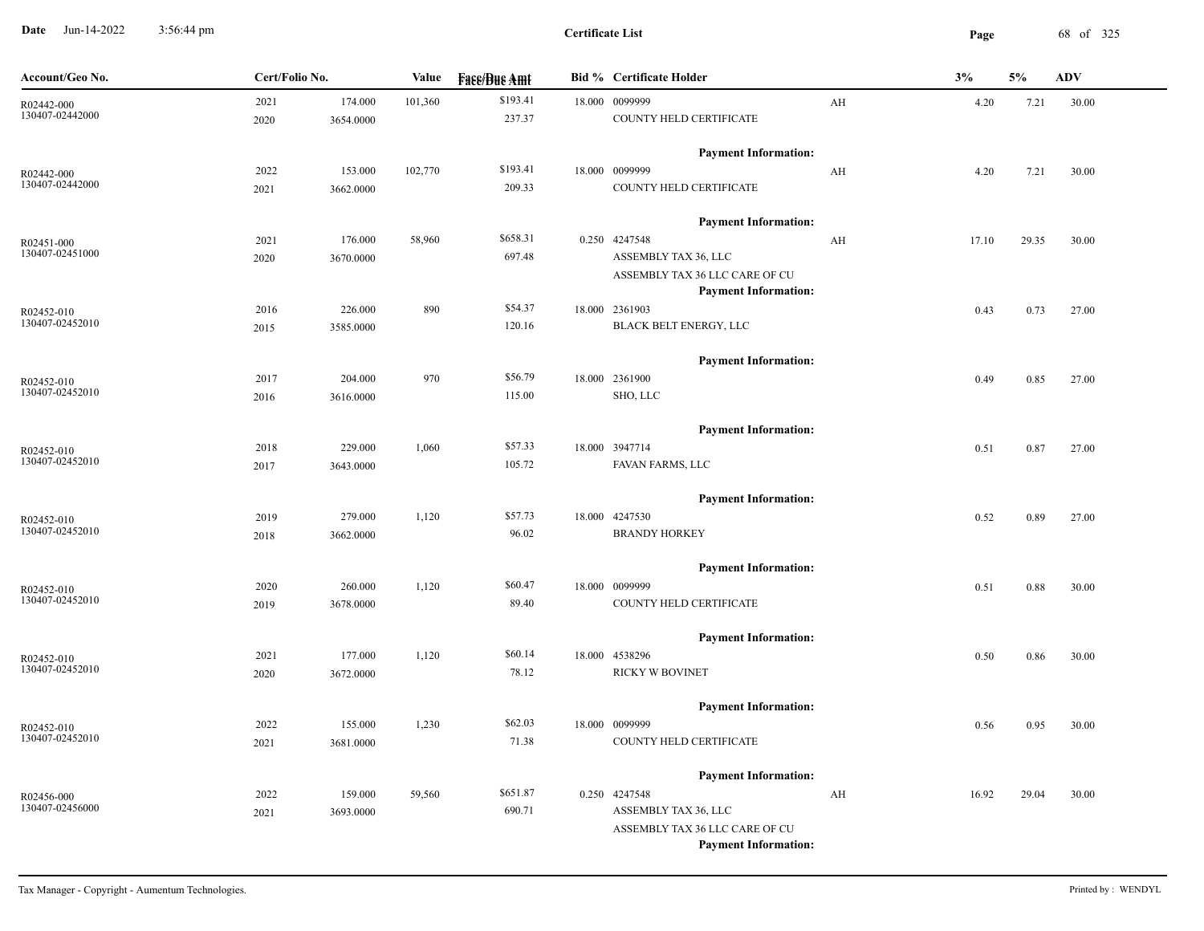**Date** Jun-14-2022 3:56:44 pm **Page** 68 of 325 3:56:44 pm

| \$193.41<br>2021<br>174.000<br>18.000 0099999<br>101,360<br>AH<br>R02442-000<br>130407-02442000<br>237.37<br>COUNTY HELD CERTIFICATE<br>2020<br>3654.0000<br><b>Payment Information:</b> | 4.20<br>4.20 | 7.21<br>7.21 | 30.00 |
|------------------------------------------------------------------------------------------------------------------------------------------------------------------------------------------|--------------|--------------|-------|
|                                                                                                                                                                                          |              |              |       |
|                                                                                                                                                                                          |              |              |       |
|                                                                                                                                                                                          |              |              |       |
| \$193.41<br>18.000 0099999<br>2022<br>153.000<br>102,770<br>AH<br>R02442-000                                                                                                             |              |              | 30.00 |
| 130407-02442000<br>209.33<br>COUNTY HELD CERTIFICATE<br>3662.0000<br>2021                                                                                                                |              |              |       |
| <b>Payment Information:</b>                                                                                                                                                              |              |              |       |
| \$658.31<br>2021<br>176.000<br>58,960<br>0.250 4247548<br>AH<br>R02451-000                                                                                                               | 17.10        | 29.35        | 30.00 |
| 130407-02451000<br>697.48<br>ASSEMBLY TAX 36, LLC<br>2020<br>3670.0000                                                                                                                   |              |              |       |
| ASSEMBLY TAX 36 LLC CARE OF CU                                                                                                                                                           |              |              |       |
| <b>Payment Information:</b>                                                                                                                                                              |              |              |       |
| \$54.37<br>226.000<br>890<br>18.000 2361903<br>2016<br>R02452-010                                                                                                                        | 0.43         | 0.73         | 27.00 |
| 130407-02452010<br>BLACK BELT ENERGY, LLC<br>120.16<br>2015<br>3585.0000                                                                                                                 |              |              |       |
| <b>Payment Information:</b>                                                                                                                                                              |              |              |       |
| \$56.79<br>2017<br>204.000<br>970<br>18.000 2361900<br>R02452-010                                                                                                                        | 0.49         | 0.85         | 27.00 |
| 130407-02452010<br>SHO, LLC<br>115.00<br>2016<br>3616.0000                                                                                                                               |              |              |       |
| <b>Payment Information:</b>                                                                                                                                                              |              |              |       |
| \$57.33<br>229.000<br>1,060<br>18.000 3947714<br>2018<br>R02452-010                                                                                                                      | 0.51         | 0.87         | 27.00 |
| 130407-02452010<br>FAVAN FARMS, LLC<br>105.72<br>2017<br>3643.0000                                                                                                                       |              |              |       |
| <b>Payment Information:</b>                                                                                                                                                              |              |              |       |
| \$57.73<br>18.000 4247530<br>2019<br>279.000<br>1,120<br>R02452-010                                                                                                                      | 0.52         | 0.89         | 27.00 |
| 130407-02452010<br><b>BRANDY HORKEY</b><br>96.02<br>2018<br>3662.0000                                                                                                                    |              |              |       |
| <b>Payment Information:</b>                                                                                                                                                              |              |              |       |
| \$60.47<br>2020<br>18.000 0099999<br>260.000<br>1,120<br>R02452-010                                                                                                                      | 0.51         | 0.88         | 30.00 |
| 130407-02452010<br>89.40<br>COUNTY HELD CERTIFICATE<br>3678.0000<br>2019                                                                                                                 |              |              |       |
| <b>Payment Information:</b>                                                                                                                                                              |              |              |       |
| \$60.14<br>177.000<br>1,120<br>18.000 4538296<br>2021<br>R02452-010                                                                                                                      | 0.50         | 0.86         | 30.00 |
| 130407-02452010<br>78.12<br><b>RICKY W BOVINET</b><br>3672.0000<br>2020                                                                                                                  |              |              |       |
| <b>Payment Information:</b>                                                                                                                                                              |              |              |       |
| \$62.03<br>2022<br>155.000<br>1,230<br>18.000 0099999<br>R02452-010                                                                                                                      | 0.56         | 0.95         | 30.00 |
| 130407-02452010<br>71.38<br>COUNTY HELD CERTIFICATE<br>3681.0000<br>2021                                                                                                                 |              |              |       |
| <b>Payment Information:</b>                                                                                                                                                              |              |              |       |
| \$651.87<br>2022<br>159.000<br>59,560<br>0.250 4247548<br>AH                                                                                                                             | 16.92        | 29.04        | 30.00 |
| R02456-000<br>130407-02456000<br>690.71<br>ASSEMBLY TAX 36, LLC<br>2021<br>3693.0000                                                                                                     |              |              |       |
| ASSEMBLY TAX 36 LLC CARE OF CU                                                                                                                                                           |              |              |       |
| <b>Payment Information:</b>                                                                                                                                                              |              |              |       |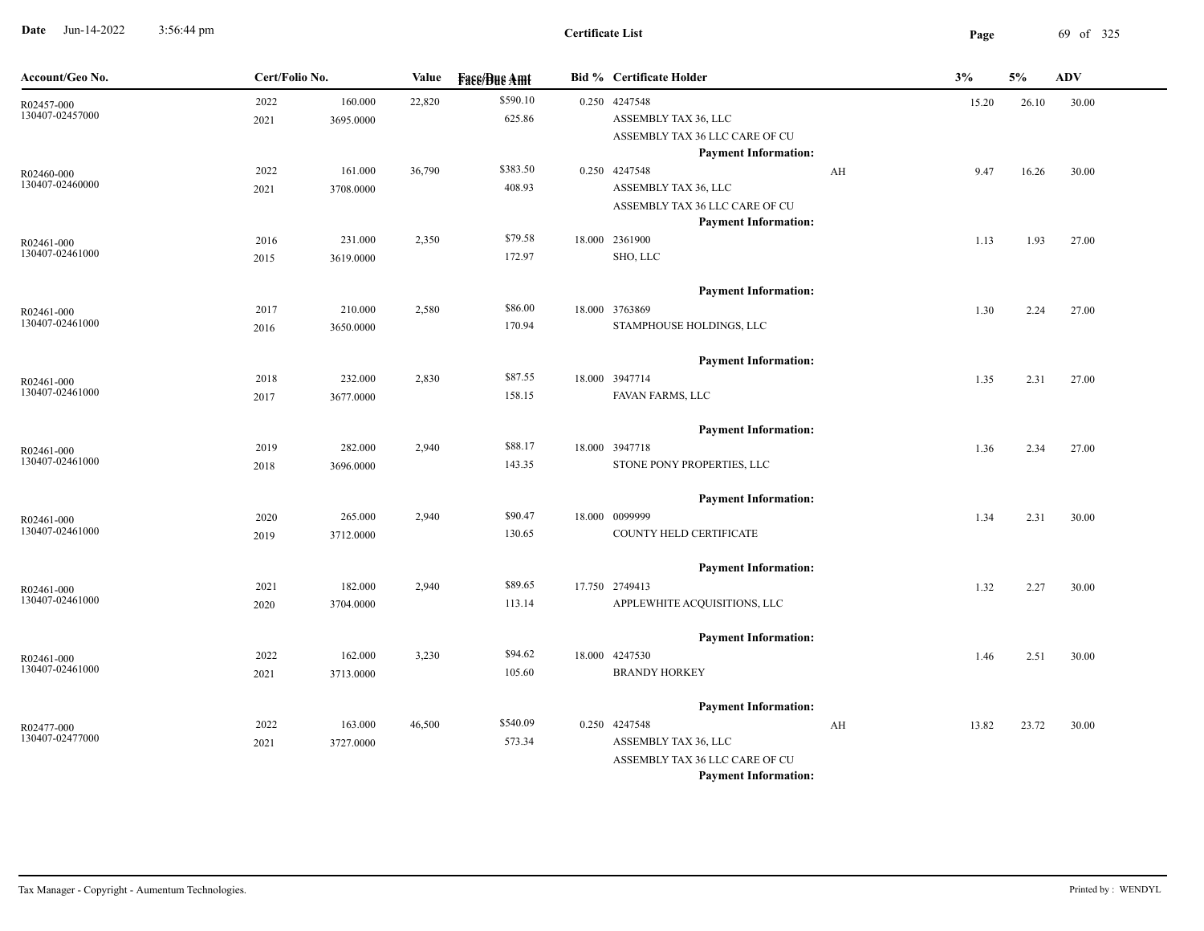**Date** Jun-14-2022 3:56:44 pm **Page** 69 of 325 3:56:44 pm

| Account/Geo No.               | Cert/Folio No. |           | Value  | <b>Fass/Bus Amt</b> | <b>Bid % Certificate Holder</b> |    | 3%    | 5%    | <b>ADV</b> |
|-------------------------------|----------------|-----------|--------|---------------------|---------------------------------|----|-------|-------|------------|
| R02457-000                    | 2022           | 160.000   | 22,820 | \$590.10            | 0.250 4247548                   |    | 15.20 | 26.10 | 30.00      |
| 130407-02457000               | 2021           | 3695.0000 |        | 625.86              | ASSEMBLY TAX 36, LLC            |    |       |       |            |
|                               |                |           |        |                     | ASSEMBLY TAX 36 LLC CARE OF CU  |    |       |       |            |
|                               |                |           |        |                     | <b>Payment Information:</b>     |    |       |       |            |
| R02460-000<br>130407-02460000 | 2022           | 161.000   | 36,790 | \$383.50            | 0.250 4247548                   | AH | 9.47  | 16.26 | 30.00      |
|                               | 2021           | 3708.0000 |        | 408.93              | ASSEMBLY TAX 36, LLC            |    |       |       |            |
|                               |                |           |        |                     | ASSEMBLY TAX 36 LLC CARE OF CU  |    |       |       |            |
|                               |                |           |        | \$79.58             | <b>Payment Information:</b>     |    |       |       |            |
| R02461-000<br>130407-02461000 | 2016<br>2015   | 231.000   | 2,350  | 172.97              | 18.000 2361900<br>SHO, LLC      |    | 1.13  | 1.93  | 27.00      |
|                               |                | 3619.0000 |        |                     |                                 |    |       |       |            |
|                               |                |           |        |                     | <b>Payment Information:</b>     |    |       |       |            |
| R02461-000                    | 2017           | 210.000   | 2,580  | \$86.00             | 18.000 3763869                  |    | 1.30  | 2.24  | 27.00      |
| 130407-02461000               | 2016           | 3650.0000 |        | 170.94              | STAMPHOUSE HOLDINGS, LLC        |    |       |       |            |
|                               |                |           |        |                     | <b>Payment Information:</b>     |    |       |       |            |
| R02461-000                    | 2018           | 232.000   | 2,830  | \$87.55             | 18.000 3947714                  |    | 1.35  | 2.31  | 27.00      |
| 130407-02461000               | 2017           | 3677.0000 |        | 158.15              | FAVAN FARMS, LLC                |    |       |       |            |
|                               |                |           |        |                     |                                 |    |       |       |            |
|                               |                |           |        |                     | <b>Payment Information:</b>     |    |       |       |            |
| R02461-000                    | 2019           | 282.000   | 2,940  | \$88.17             | 18.000 3947718                  |    | 1.36  | 2.34  | 27.00      |
| 130407-02461000               | 2018           | 3696.0000 |        | 143.35              | STONE PONY PROPERTIES, LLC      |    |       |       |            |
|                               |                |           |        |                     | <b>Payment Information:</b>     |    |       |       |            |
| R02461-000                    | 2020           | 265.000   | 2,940  | \$90.47             | 18.000 0099999                  |    | 1.34  | 2.31  | 30.00      |
| 130407-02461000               | 2019           | 3712.0000 |        | 130.65              | COUNTY HELD CERTIFICATE         |    |       |       |            |
|                               |                |           |        |                     |                                 |    |       |       |            |
|                               |                |           |        |                     | <b>Payment Information:</b>     |    |       |       |            |
| R02461-000                    | 2021           | 182.000   | 2,940  | \$89.65             | 17.750 2749413                  |    | 1.32  | 2.27  | 30.00      |
| 130407-02461000               | 2020           | 3704.0000 |        | 113.14              | APPLEWHITE ACQUISITIONS, LLC    |    |       |       |            |
|                               |                |           |        |                     | <b>Payment Information:</b>     |    |       |       |            |
| R02461-000                    | 2022           | 162.000   | 3,230  | \$94.62             | 18.000 4247530                  |    | 1.46  | 2.51  | 30.00      |
| 130407-02461000               | 2021           | 3713.0000 |        | 105.60              | <b>BRANDY HORKEY</b>            |    |       |       |            |
|                               |                |           |        |                     | <b>Payment Information:</b>     |    |       |       |            |
| R02477-000                    | 2022           | 163.000   | 46,500 | \$540.09            | 0.250 4247548                   | AH | 13.82 | 23.72 | 30.00      |
| 130407-02477000               | 2021           | 3727.0000 |        | 573.34              | ASSEMBLY TAX 36, LLC            |    |       |       |            |
|                               |                |           |        |                     | ASSEMBLY TAX 36 LLC CARE OF CU  |    |       |       |            |
|                               |                |           |        |                     | <b>Payment Information:</b>     |    |       |       |            |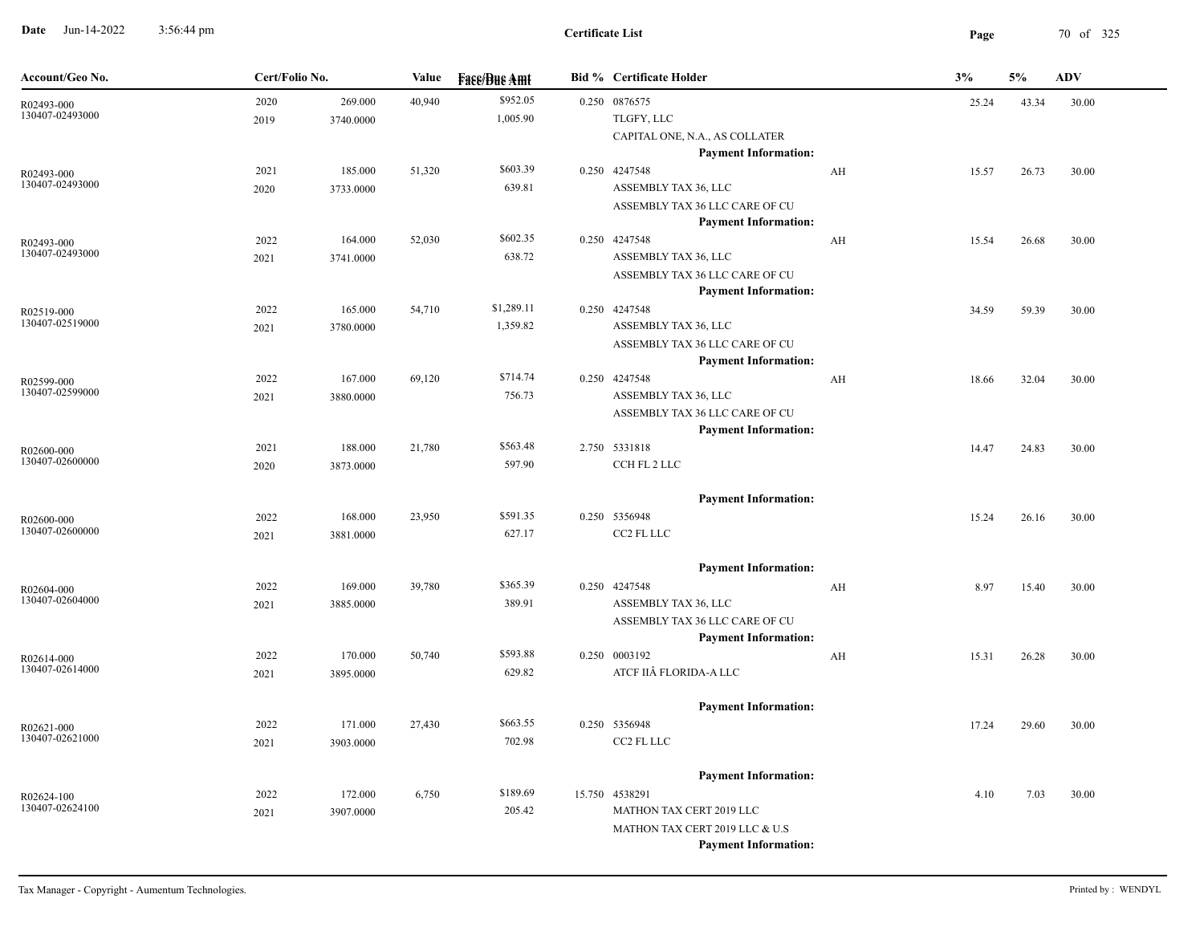**Date** Jun-14-2022 3:56:44 pm **Page** 70 of 325 3:56:44 pm

 $\overline{\phantom{a}}$ 

| Account/Geo No.               | Cert/Folio No. |                      | Value  | <b>Face/Bue Amt</b>    | <b>Bid % Certificate Holder</b>                                                                                                            |    | 3%    | 5%    | ADV   |
|-------------------------------|----------------|----------------------|--------|------------------------|--------------------------------------------------------------------------------------------------------------------------------------------|----|-------|-------|-------|
| R02493-000<br>130407-02493000 | 2020<br>2019   | 269.000<br>3740.0000 | 40,940 | \$952.05<br>1,005.90   | 0.250 0876575<br>TLGFY, LLC<br>CAPITAL ONE, N.A., AS COLLATER                                                                              |    | 25.24 | 43.34 | 30.00 |
| R02493-000<br>130407-02493000 | 2021<br>2020   | 185.000<br>3733.0000 | 51,320 | \$603.39<br>639.81     | <b>Payment Information:</b><br>0.250 4247548<br>ASSEMBLY TAX 36, LLC<br>ASSEMBLY TAX 36 LLC CARE OF CU                                     | AH | 15.57 | 26.73 | 30.00 |
| R02493-000<br>130407-02493000 | 2022<br>2021   | 164.000<br>3741.0000 | 52,030 | \$602.35<br>638.72     | <b>Payment Information:</b><br>0.250 4247548<br>ASSEMBLY TAX 36, LLC<br>ASSEMBLY TAX 36 LLC CARE OF CU                                     | AH | 15.54 | 26.68 | 30.00 |
| R02519-000<br>130407-02519000 | 2022<br>2021   | 165.000<br>3780.0000 | 54,710 | \$1,289.11<br>1,359.82 | <b>Payment Information:</b><br>0.250 4247548<br>ASSEMBLY TAX 36, LLC<br>ASSEMBLY TAX 36 LLC CARE OF CU                                     |    | 34.59 | 59.39 | 30.00 |
| R02599-000<br>130407-02599000 | 2022<br>2021   | 167.000<br>3880.0000 | 69,120 | \$714.74<br>756.73     | <b>Payment Information:</b><br>0.250 4247548<br>ASSEMBLY TAX 36, LLC<br>ASSEMBLY TAX 36 LLC CARE OF CU                                     | AH | 18.66 | 32.04 | 30.00 |
| R02600-000<br>130407-02600000 | 2021<br>2020   | 188.000<br>3873.0000 | 21,780 | \$563.48<br>597.90     | <b>Payment Information:</b><br>2.750 5331818<br>CCH FL 2 LLC                                                                               |    | 14.47 | 24.83 | 30.00 |
| R02600-000<br>130407-02600000 | 2022<br>2021   | 168.000<br>3881.0000 | 23,950 | \$591.35<br>627.17     | <b>Payment Information:</b><br>0.250 5356948<br>CC2 FL LLC                                                                                 |    | 15.24 | 26.16 | 30.00 |
| R02604-000<br>130407-02604000 | 2022<br>2021   | 169.000<br>3885.0000 | 39,780 | \$365.39<br>389.91     | <b>Payment Information:</b><br>0.250 4247548<br>ASSEMBLY TAX 36, LLC                                                                       | AH | 8.97  | 15.40 | 30.00 |
| R02614-000<br>130407-02614000 | 2022<br>2021   | 170.000<br>3895.0000 | 50,740 | \$593.88<br>629.82     | ASSEMBLY TAX 36 LLC CARE OF CU<br><b>Payment Information:</b><br>0.250 0003192<br>ATCF IIÂ FLORIDA-A LLC                                   | AH | 15.31 | 26.28 | 30.00 |
| R02621-000<br>130407-02621000 | 2022<br>2021   | 171.000<br>3903.0000 | 27,430 | \$663.55<br>702.98     | <b>Payment Information:</b><br>0.250 5356948<br>CC2 FL LLC                                                                                 |    | 17.24 | 29.60 | 30.00 |
| R02624-100<br>130407-02624100 | 2022<br>2021   | 172.000<br>3907.0000 | 6,750  | \$189.69<br>205.42     | <b>Payment Information:</b><br>15.750 4538291<br>MATHON TAX CERT 2019 LLC<br>MATHON TAX CERT 2019 LLC & U.S<br><b>Payment Information:</b> |    | 4.10  | 7.03  | 30.00 |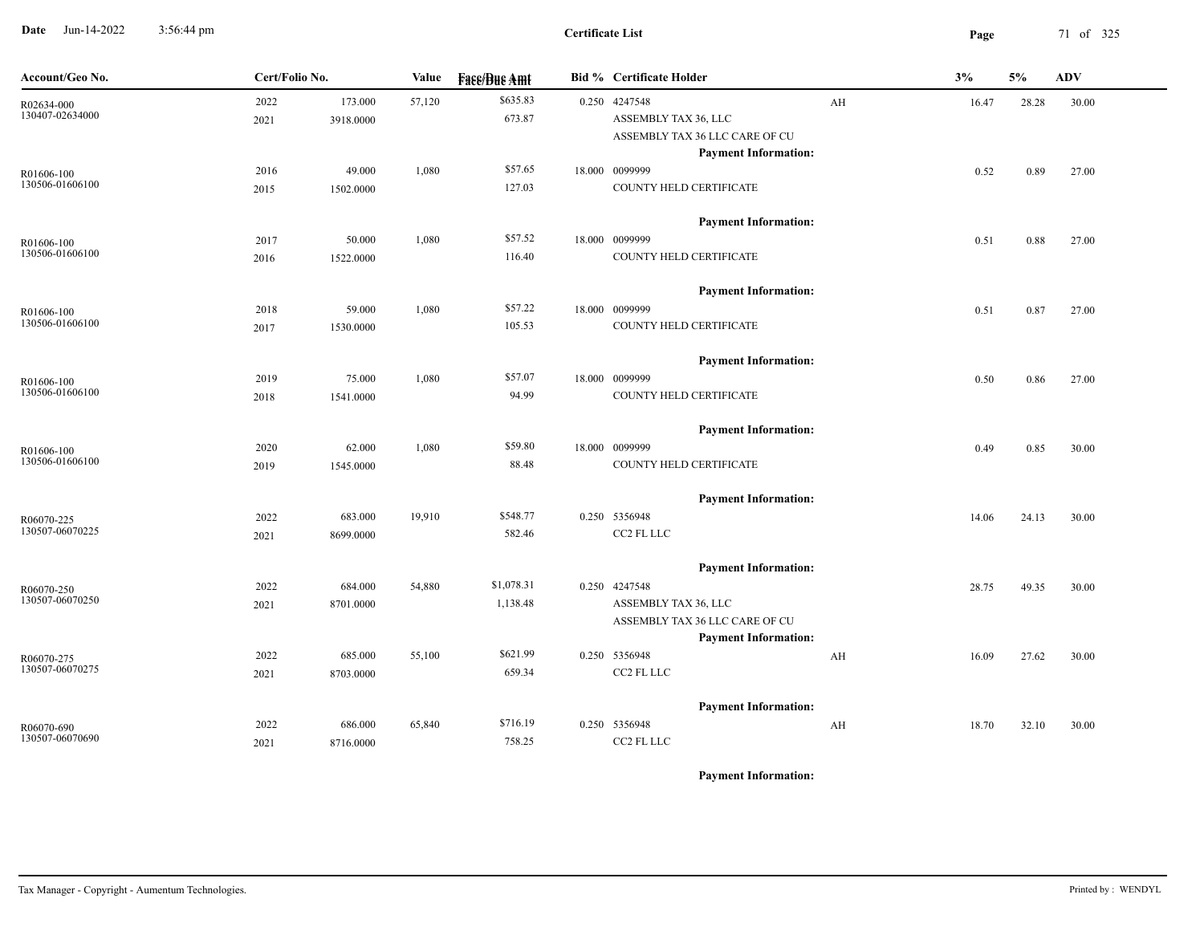**Date** Jun-14-2022 3:56:44 pm **Page** 71 of 325 3:56:44 pm

| Account/Geo No.               | Cert/Folio No. |           | Value  | <b>Face/Bue Amt</b> | Bid % Certificate Holder                     |    | 3%    | 5%    | <b>ADV</b> |
|-------------------------------|----------------|-----------|--------|---------------------|----------------------------------------------|----|-------|-------|------------|
| R02634-000<br>130407-02634000 | 2022           | 173.000   | 57,120 | \$635.83            | 0.250 4247548                                | AH | 16.47 | 28.28 | 30.00      |
|                               | 2021           | 3918.0000 |        | 673.87              | ASSEMBLY TAX 36, LLC                         |    |       |       |            |
|                               |                |           |        |                     | ASSEMBLY TAX 36 LLC CARE OF CU               |    |       |       |            |
|                               |                |           |        |                     | <b>Payment Information:</b>                  |    |       |       |            |
| R01606-100<br>130506-01606100 | 2016           | 49.000    | 1,080  | \$57.65             | 18.000 0099999                               |    | 0.52  | 0.89  | 27.00      |
|                               | 2015           | 1502.0000 |        | 127.03              | COUNTY HELD CERTIFICATE                      |    |       |       |            |
|                               |                |           |        |                     | <b>Payment Information:</b>                  |    |       |       |            |
| R01606-100                    | 2017           | 50.000    | 1,080  | \$57.52             | 18.000 0099999                               |    | 0.51  | 0.88  | 27.00      |
| 130506-01606100               | 2016           | 1522.0000 |        | 116.40              | COUNTY HELD CERTIFICATE                      |    |       |       |            |
|                               |                |           |        |                     | <b>Payment Information:</b>                  |    |       |       |            |
| R01606-100                    | 2018           | 59.000    | 1,080  | \$57.22             | 18.000 0099999                               |    | 0.51  | 0.87  | 27.00      |
| 130506-01606100               | 2017           | 1530.0000 |        | 105.53              | COUNTY HELD CERTIFICATE                      |    |       |       |            |
|                               |                |           |        |                     | <b>Payment Information:</b>                  |    |       |       |            |
| R01606-100                    | 2019           | 75.000    | 1,080  | \$57.07             | 18.000 0099999                               |    | 0.50  | 0.86  | 27.00      |
| 130506-01606100               | 2018           | 1541.0000 |        | 94.99               | COUNTY HELD CERTIFICATE                      |    |       |       |            |
|                               |                |           |        |                     | <b>Payment Information:</b>                  |    |       |       |            |
| R01606-100                    | 2020           | 62.000    | 1,080  | \$59.80             | 18.000 0099999                               |    | 0.49  | 0.85  | 30.00      |
| 130506-01606100               | 2019           | 1545.0000 |        | 88.48               | COUNTY HELD CERTIFICATE                      |    |       |       |            |
|                               |                |           |        |                     | <b>Payment Information:</b>                  |    |       |       |            |
| R06070-225                    | 2022           | 683.000   | 19,910 | \$548.77            | 0.250 5356948                                |    | 14.06 | 24.13 | 30.00      |
| 130507-06070225               | 2021           | 8699.0000 |        | 582.46              | CC2 FL LLC                                   |    |       |       |            |
|                               |                |           |        |                     |                                              |    |       |       |            |
|                               | 2022           | 684.000   | 54,880 | \$1,078.31          | <b>Payment Information:</b><br>0.250 4247548 |    |       |       |            |
| R06070-250<br>130507-06070250 | 2021           | 8701.0000 |        | 1,138.48            | ASSEMBLY TAX 36, LLC                         |    | 28.75 | 49.35 | 30.00      |
|                               |                |           |        |                     | ASSEMBLY TAX 36 LLC CARE OF CU               |    |       |       |            |
|                               |                |           |        |                     | <b>Payment Information:</b>                  |    |       |       |            |
| R06070-275                    | 2022           | 685.000   | 55,100 | \$621.99            | 0.250 5356948                                | AH | 16.09 | 27.62 | 30.00      |
| 130507-06070275               | 2021           | 8703.0000 |        | 659.34              | CC2 FL LLC                                   |    |       |       |            |
|                               |                |           |        |                     | <b>Payment Information:</b>                  |    |       |       |            |
| R06070-690                    | 2022           | 686.000   | 65,840 | \$716.19            | 0.250 5356948                                | AH | 18.70 | 32.10 | 30.00      |
| 130507-06070690               | 2021           | 8716.0000 |        | 758.25              | CC2 FL LLC                                   |    |       |       |            |
|                               |                |           |        |                     |                                              |    |       |       |            |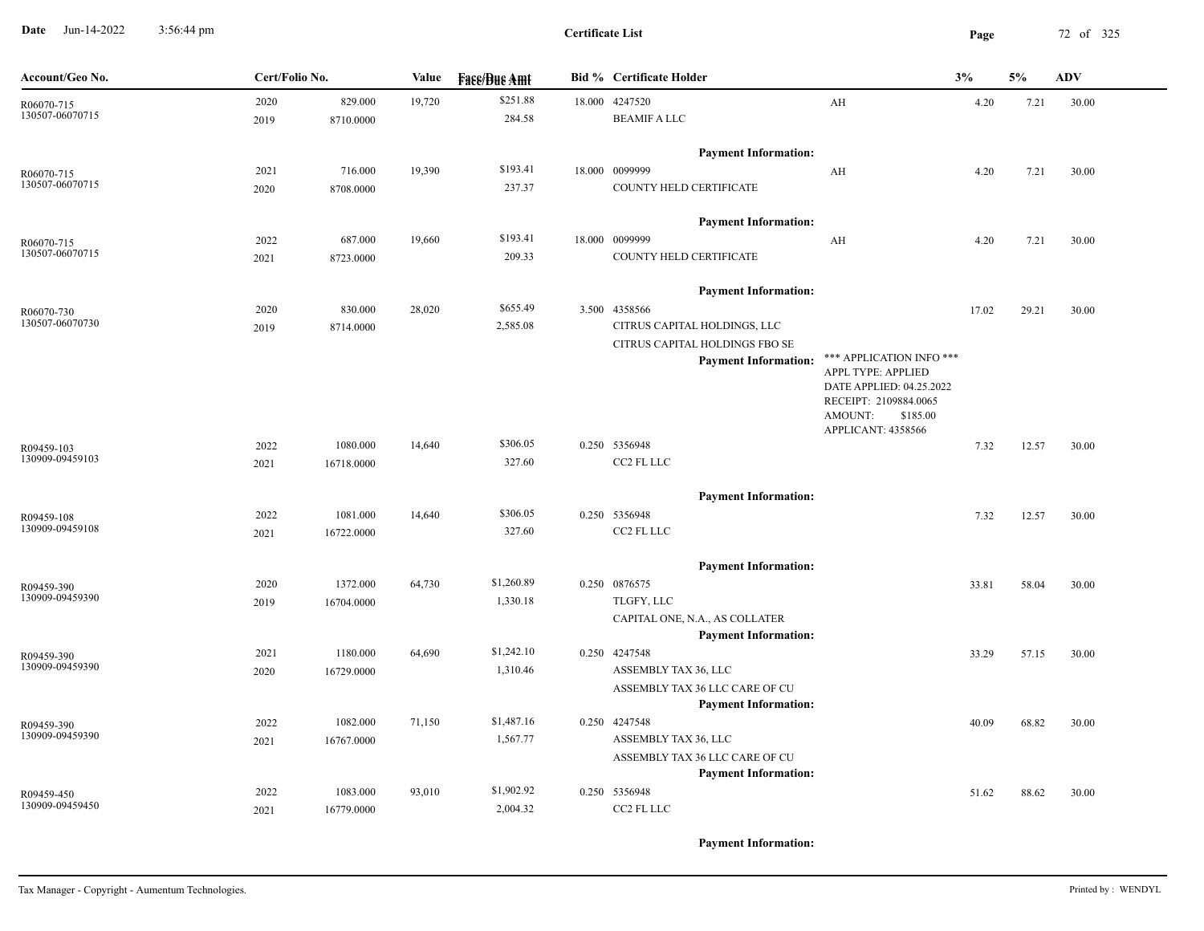**Date** Jun-14-2022 3:56:44 pm **Page** 72 of 325 3:56:44 pm

| Account/Geo No.               | Cert/Folio No. |            | Value  | <b>Fase/Bue Amt</b> |        | <b>Bid % Certificate Holder</b>                               |                                                | 3%    | 5%    | <b>ADV</b> |
|-------------------------------|----------------|------------|--------|---------------------|--------|---------------------------------------------------------------|------------------------------------------------|-------|-------|------------|
| R06070-715                    | 2020           | 829.000    | 19,720 | \$251.88            | 18.000 | 4247520                                                       | $\mathbf{A} \mathbf{H}$                        | 4.20  | 7.21  | 30.00      |
| 130507-06070715               | 2019           | 8710.0000  |        | 284.58              |        | <b>BEAMIF A LLC</b>                                           |                                                |       |       |            |
|                               |                |            |        |                     |        | <b>Payment Information:</b>                                   |                                                |       |       |            |
| R06070-715                    | 2021           | 716.000    | 19,390 | \$193.41            |        | 18.000 0099999                                                | AH                                             | 4.20  | 7.21  | 30.00      |
| 130507-06070715               | 2020           | 8708.0000  |        | 237.37              |        | COUNTY HELD CERTIFICATE                                       |                                                |       |       |            |
|                               |                |            |        |                     |        | <b>Payment Information:</b>                                   |                                                |       |       |            |
| R06070-715                    | 2022           | 687.000    | 19,660 | \$193.41            |        | 18.000 0099999                                                | AH                                             | 4.20  | 7.21  | 30.00      |
| 130507-06070715               | 2021           | 8723.0000  |        | 209.33              |        | COUNTY HELD CERTIFICATE                                       |                                                |       |       |            |
|                               |                |            |        |                     |        | <b>Payment Information:</b>                                   |                                                |       |       |            |
| R06070-730                    | 2020           | 830.000    | 28,020 | \$655.49            |        | 3.500 4358566                                                 |                                                | 17.02 | 29.21 | 30.00      |
| 130507-06070730               | 2019           | 8714.0000  |        | 2,585.08            |        | CITRUS CAPITAL HOLDINGS, LLC                                  |                                                |       |       |            |
|                               |                |            |        |                     |        | CITRUS CAPITAL HOLDINGS FBO SE                                |                                                |       |       |            |
|                               |                |            |        |                     |        | <b>Payment Information:</b>                                   | *** APPLICATION INFO ***                       |       |       |            |
|                               |                |            |        |                     |        |                                                               | APPL TYPE: APPLIED<br>DATE APPLIED: 04.25.2022 |       |       |            |
|                               |                |            |        |                     |        |                                                               | RECEIPT: 2109884.0065                          |       |       |            |
|                               |                |            |        |                     |        |                                                               | AMOUNT:<br>\$185.00                            |       |       |            |
|                               | 2022           | 1080.000   | 14,640 | \$306.05            |        | 0.250 5356948                                                 | APPLICANT: 4358566                             |       |       |            |
| R09459-103<br>130909-09459103 | 2021           | 16718.0000 |        | 327.60              |        | CC2 FL LLC                                                    |                                                | 7.32  | 12.57 | 30.00      |
|                               |                |            |        |                     |        |                                                               |                                                |       |       |            |
|                               |                |            |        |                     |        | <b>Payment Information:</b>                                   |                                                |       |       |            |
| R09459-108                    | 2022           | 1081.000   | 14,640 | \$306.05            |        | 0.250 5356948                                                 |                                                | 7.32  | 12.57 | 30.00      |
| 130909-09459108               | 2021           | 16722.0000 |        | 327.60              |        | CC2 FL LLC                                                    |                                                |       |       |            |
|                               |                |            |        |                     |        | <b>Payment Information:</b>                                   |                                                |       |       |            |
| R09459-390                    | 2020           | 1372.000   | 64,730 | \$1,260.89          |        | 0.250 0876575                                                 |                                                | 33.81 | 58.04 | 30.00      |
| 130909-09459390               | 2019           | 16704.0000 |        | 1,330.18            |        | TLGFY, LLC                                                    |                                                |       |       |            |
|                               |                |            |        |                     |        | CAPITAL ONE, N.A., AS COLLATER                                |                                                |       |       |            |
|                               |                |            |        |                     |        | <b>Payment Information:</b>                                   |                                                |       |       |            |
| R09459-390<br>130909-09459390 | 2021           | 1180.000   | 64,690 | \$1,242.10          |        | 0.250 4247548                                                 |                                                | 33.29 | 57.15 | 30.00      |
|                               | 2020           | 16729.0000 |        | 1,310.46            |        | ASSEMBLY TAX 36, LLC                                          |                                                |       |       |            |
|                               |                |            |        |                     |        | ASSEMBLY TAX 36 LLC CARE OF CU<br><b>Payment Information:</b> |                                                |       |       |            |
|                               | 2022           | 1082.000   | 71,150 | \$1,487.16          |        | 0.250 4247548                                                 |                                                | 40.09 | 68.82 | 30.00      |
| R09459-390<br>130909-09459390 | 2021           | 16767.0000 |        | 1,567.77            |        | ASSEMBLY TAX 36, LLC                                          |                                                |       |       |            |
|                               |                |            |        |                     |        | ASSEMBLY TAX 36 LLC CARE OF CU                                |                                                |       |       |            |
|                               |                |            |        |                     |        | <b>Payment Information:</b>                                   |                                                |       |       |            |
| R09459-450                    | 2022           | 1083.000   | 93,010 | \$1,902.92          |        | 0.250 5356948                                                 |                                                | 51.62 | 88.62 | 30.00      |
| 130909-09459450               | 2021           | 16779.0000 |        | 2,004.32            |        | CC2 FL LLC                                                    |                                                |       |       |            |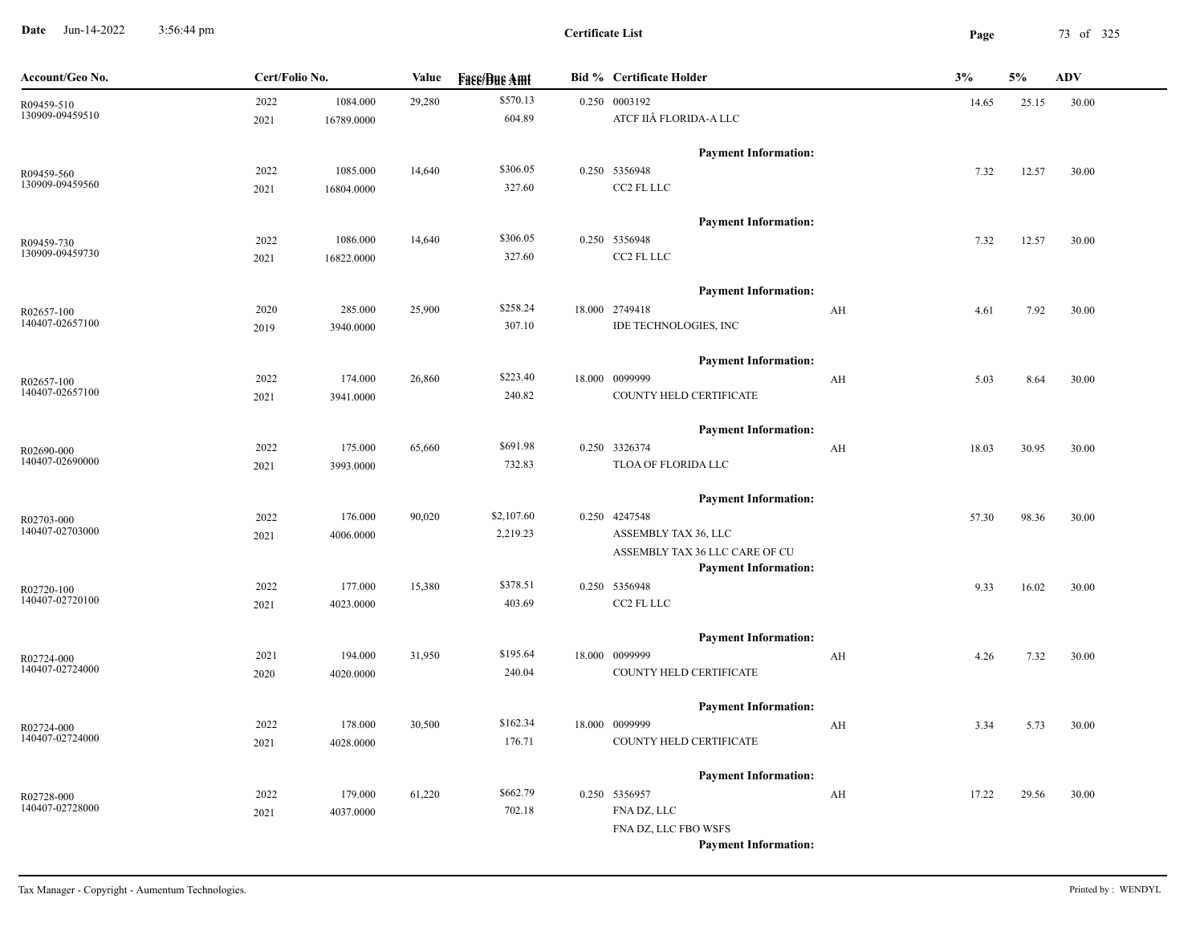**Date** Jun-14-2022 3:56:44 pm **Page** 73 of 325 3:56:44 pm

**Certificate List**

| Account/Geo No.               | Cert/Folio No. |            | Value  | <b>Face/Bue Amt</b> | <b>Bid % Certificate Holder</b>                               | 3%    | 5%    | <b>ADV</b> |
|-------------------------------|----------------|------------|--------|---------------------|---------------------------------------------------------------|-------|-------|------------|
| R09459-510                    | 2022           | 1084.000   | 29,280 | \$570.13            | 0.250 0003192                                                 | 14.65 | 25.15 | 30.00      |
| 130909-09459510               | 2021           | 16789.0000 |        | 604.89              | ATCF IIÂ FLORIDA-A LLC                                        |       |       |            |
|                               |                |            |        |                     | <b>Payment Information:</b>                                   |       |       |            |
| R09459-560                    | 2022           | 1085.000   | 14,640 | \$306.05            | 0.250 5356948                                                 | 7.32  | 12.57 | 30.00      |
| 130909-09459560               | 2021           | 16804.0000 |        | 327.60              | $CC2$ FL LLC $\,$                                             |       |       |            |
|                               |                |            |        |                     | <b>Payment Information:</b>                                   |       |       |            |
| R09459-730                    | 2022           | 1086.000   | 14,640 | \$306.05            | 0.250 5356948                                                 | 7.32  | 12.57 | 30.00      |
| 130909-09459730               | 2021           | 16822.0000 |        | 327.60              | CC2 FL LLC                                                    |       |       |            |
|                               |                |            |        |                     | <b>Payment Information:</b>                                   |       |       |            |
| R02657-100                    | 2020           | 285.000    | 25,900 | \$258.24            | 18.000 2749418<br>AH                                          | 4.61  | 7.92  | 30.00      |
| 140407-02657100               | 2019           | 3940.0000  |        | 307.10              | IDE TECHNOLOGIES, INC                                         |       |       |            |
|                               |                |            |        |                     | <b>Payment Information:</b>                                   |       |       |            |
| R02657-100                    | 2022           | 174.000    | 26,860 | \$223.40            | 18.000 0099999<br>AH                                          | 5.03  | 8.64  | 30.00      |
| 140407-02657100               | 2021           | 3941.0000  |        | 240.82              | COUNTY HELD CERTIFICATE                                       |       |       |            |
|                               |                |            |        |                     |                                                               |       |       |            |
|                               | 2022           | 175.000    | 65,660 | \$691.98            | <b>Payment Information:</b><br>0.250 3326374<br>AH            | 18.03 | 30.95 | 30.00      |
| R02690-000<br>140407-02690000 | 2021           | 3993.0000  |        | 732.83              | TLOA OF FLORIDA LLC                                           |       |       |            |
|                               |                |            |        |                     |                                                               |       |       |            |
|                               |                |            |        |                     | <b>Payment Information:</b>                                   |       |       |            |
| R02703-000<br>140407-02703000 | 2022           | 176.000    | 90,020 | \$2,107.60          | 0.250 4247548                                                 | 57.30 | 98.36 | 30.00      |
|                               | 2021           | 4006.0000  |        | 2,219.23            | ASSEMBLY TAX 36, LLC                                          |       |       |            |
|                               |                |            |        |                     | ASSEMBLY TAX 36 LLC CARE OF CU<br><b>Payment Information:</b> |       |       |            |
| R02720-100                    | 2022           | 177.000    | 15,380 | \$378.51            | 0.250 5356948                                                 | 9.33  | 16.02 | 30.00      |
| 140407-02720100               | 2021           | 4023.0000  |        | 403.69              | CC2 FL LLC                                                    |       |       |            |
|                               |                |            |        |                     |                                                               |       |       |            |
|                               | 2021           | 194.000    | 31,950 | \$195.64            | <b>Payment Information:</b><br>18.000 0099999<br>AH           | 4.26  | 7.32  | 30.00      |
| R02724-000<br>140407-02724000 | 2020           | 4020.0000  |        | 240.04              | COUNTY HELD CERTIFICATE                                       |       |       |            |
|                               |                |            |        |                     |                                                               |       |       |            |
|                               |                |            |        |                     | <b>Payment Information:</b>                                   |       |       |            |
| R02724-000<br>140407-02724000 | 2022           | 178.000    | 30,500 | \$162.34            | 18.000 0099999<br>AH                                          | 3.34  | 5.73  | 30.00      |
|                               | 2021           | 4028.0000  |        | 176.71              | COUNTY HELD CERTIFICATE                                       |       |       |            |
|                               |                |            |        |                     | <b>Payment Information:</b>                                   |       |       |            |
| R02728-000                    | 2022           | 179.000    | 61,220 | \$662.79            | 0.250 5356957<br>AH                                           | 17.22 | 29.56 | 30.00      |
| 140407-02728000               | 2021           | 4037.0000  |        | 702.18              | FNA DZ, LLC                                                   |       |       |            |
|                               |                |            |        |                     | FNA DZ, LLC FBO WSFS                                          |       |       |            |
|                               |                |            |        |                     | <b>Payment Information:</b>                                   |       |       |            |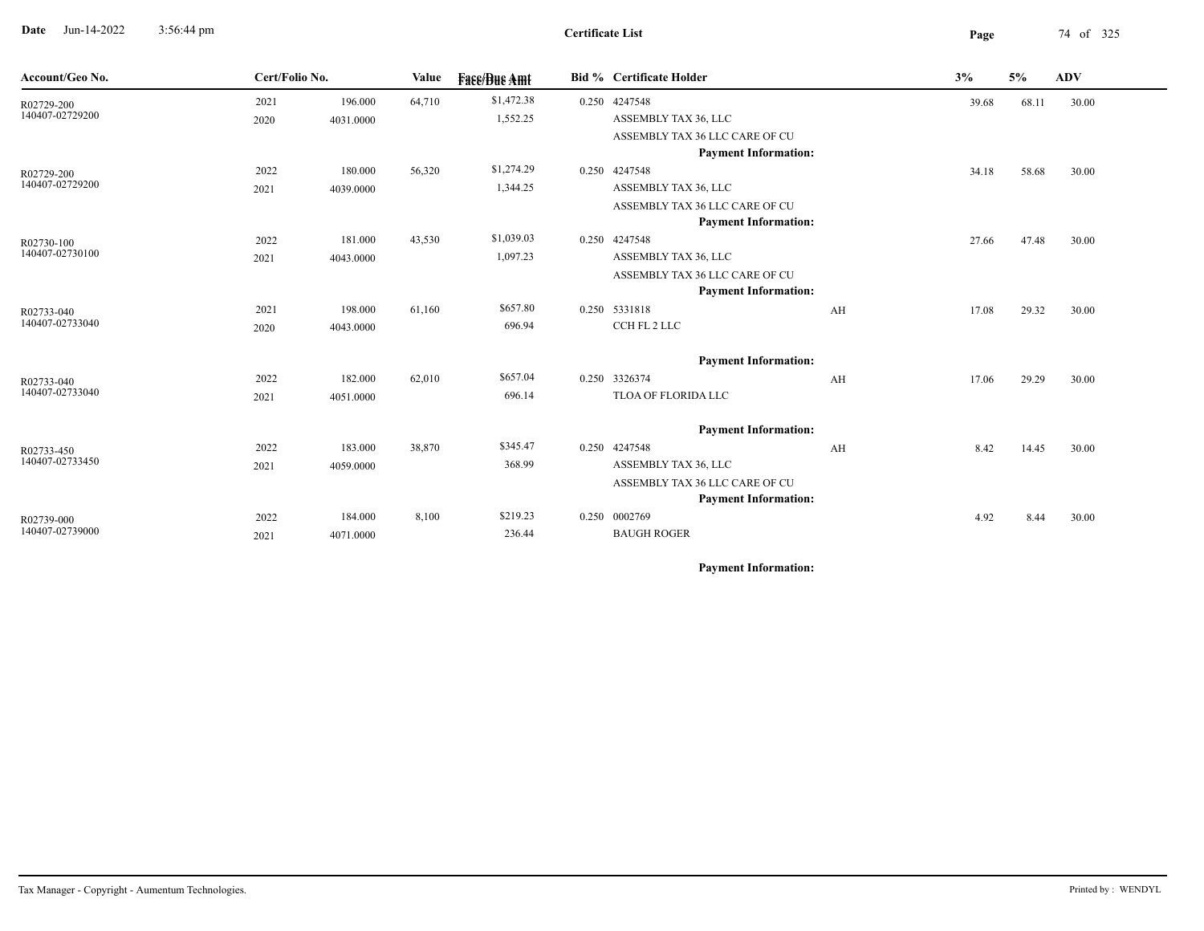**Date** Jun-14-2022 3:56:44 pm **Page** 74 of 325 3:56:44 pm

| Account/Geo No.               | Cert/Folio No. |           | Value  | <b>Fase/Bue Amt</b> | Bid % Certificate Holder       |    | 3%    | 5%    | <b>ADV</b> |
|-------------------------------|----------------|-----------|--------|---------------------|--------------------------------|----|-------|-------|------------|
| R02729-200                    | 2021           | 196.000   | 64,710 | \$1,472.38          | 0.250 4247548                  |    | 39.68 | 68.11 | 30.00      |
| 140407-02729200               | 2020           | 4031.0000 |        | 1,552.25            | ASSEMBLY TAX 36, LLC           |    |       |       |            |
|                               |                |           |        |                     | ASSEMBLY TAX 36 LLC CARE OF CU |    |       |       |            |
|                               |                |           |        |                     | <b>Payment Information:</b>    |    |       |       |            |
| R02729-200                    | 2022           | 180.000   | 56,320 | \$1,274.29          | 0.250 4247548                  |    | 34.18 | 58.68 | 30.00      |
| 140407-02729200               | 2021           | 4039.0000 |        | 1,344.25            | ASSEMBLY TAX 36, LLC           |    |       |       |            |
|                               |                |           |        |                     | ASSEMBLY TAX 36 LLC CARE OF CU |    |       |       |            |
|                               |                |           |        |                     | <b>Payment Information:</b>    |    |       |       |            |
| R02730-100                    | 2022           | 181.000   | 43,530 | \$1,039.03          | 0.250 4247548                  |    | 27.66 | 47.48 | 30.00      |
| 140407-02730100               | 2021           | 4043.0000 |        | 1,097.23            | ASSEMBLY TAX 36, LLC           |    |       |       |            |
|                               |                |           |        |                     | ASSEMBLY TAX 36 LLC CARE OF CU |    |       |       |            |
| R02733-040<br>140407-02733040 |                |           |        |                     | <b>Payment Information:</b>    |    |       |       |            |
|                               | 2021           | 198.000   | 61,160 | \$657.80            | 0.250 5331818                  | AH | 17.08 | 29.32 | 30.00      |
|                               | 2020           | 4043.0000 |        | 696.94              | CCH FL 2 LLC                   |    |       |       |            |
|                               |                |           |        |                     | <b>Payment Information:</b>    |    |       |       |            |
| R02733-040                    | 2022           | 182.000   | 62,010 | \$657.04            | 0.250 3326374                  | AH | 17.06 | 29.29 | 30.00      |
| 140407-02733040               | 2021           | 4051.0000 |        | 696.14              | TLOA OF FLORIDA LLC            |    |       |       |            |
|                               |                |           |        |                     | <b>Payment Information:</b>    |    |       |       |            |
| R02733-450                    | 2022           | 183.000   | 38,870 | \$345.47            | 0.250 4247548                  | AH | 8.42  | 14.45 | 30.00      |
| 140407-02733450               | 2021           | 4059.0000 |        | 368.99              | ASSEMBLY TAX 36, LLC           |    |       |       |            |
|                               |                |           |        |                     | ASSEMBLY TAX 36 LLC CARE OF CU |    |       |       |            |
|                               |                |           |        |                     | <b>Payment Information:</b>    |    |       |       |            |
| R02739-000                    | 2022           | 184.000   | 8,100  | \$219.23            | 0.250 0002769                  |    | 4.92  | 8.44  | 30.00      |
| 140407-02739000               | 2021           | 4071.0000 |        | 236.44              | <b>BAUGH ROGER</b>             |    |       |       |            |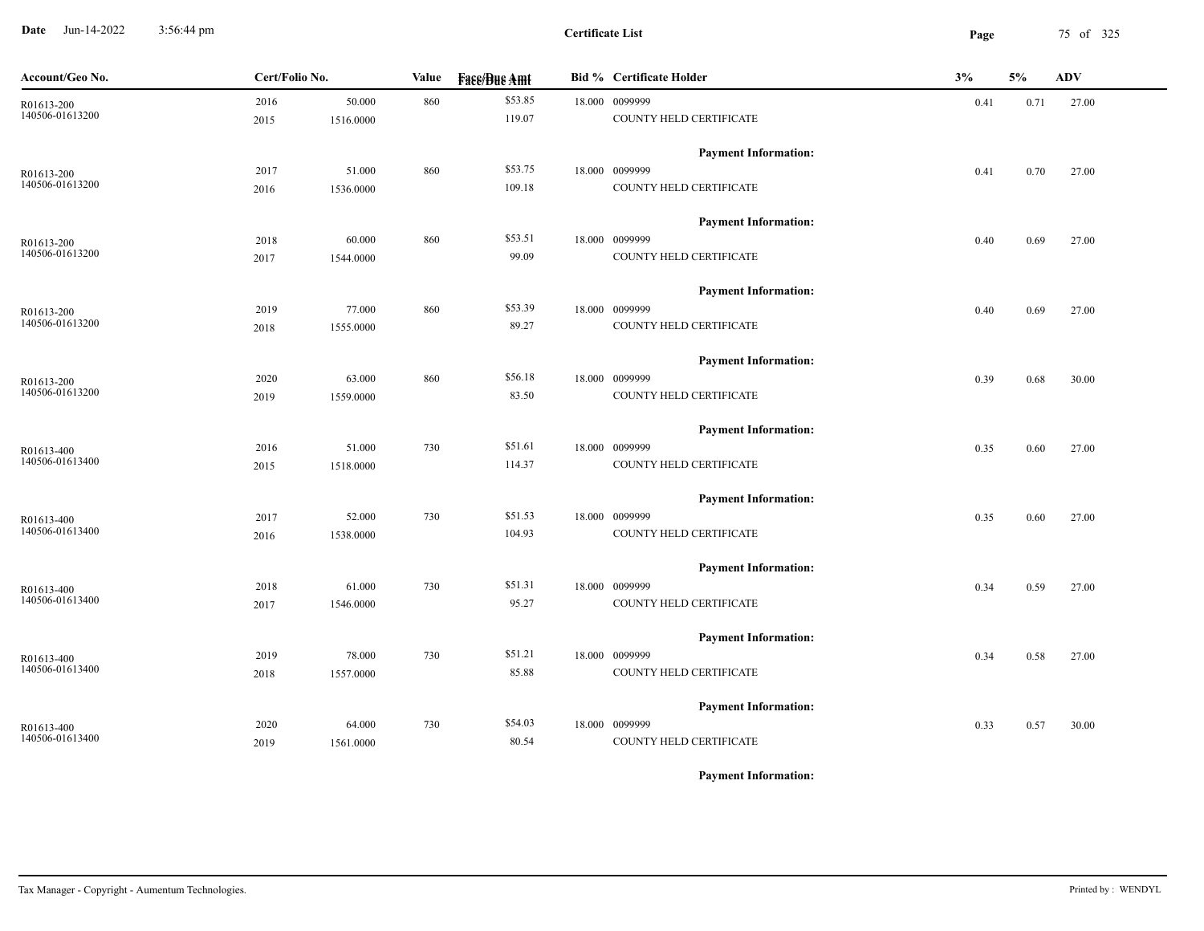**Date** Jun-14-2022 3:56:44 pm **Page** 75 of 325 3:56:44 pm

| Account/Geo No. | Cert/Folio No. |           | Value | <b>Fase/Bue Amt</b> | <b>Bid % Certificate Holder</b> | 3%   | 5%   | ADV   |
|-----------------|----------------|-----------|-------|---------------------|---------------------------------|------|------|-------|
| R01613-200      | 2016           | 50.000    | 860   | \$53.85             | 18.000 0099999                  | 0.41 | 0.71 | 27.00 |
| 140506-01613200 | 2015           | 1516.0000 |       | 119.07              | COUNTY HELD CERTIFICATE         |      |      |       |
|                 |                |           |       |                     | <b>Payment Information:</b>     |      |      |       |
| R01613-200      | 2017           | 51.000    | 860   | \$53.75             | 18.000 0099999                  | 0.41 | 0.70 | 27.00 |
| 140506-01613200 | 2016           | 1536.0000 |       | 109.18              | COUNTY HELD CERTIFICATE         |      |      |       |
|                 |                |           |       |                     | <b>Payment Information:</b>     |      |      |       |
| R01613-200      | 2018           | 60.000    | 860   | \$53.51             | 18.000 0099999                  | 0.40 | 0.69 | 27.00 |
| 140506-01613200 | 2017           | 1544.0000 |       | 99.09               | COUNTY HELD CERTIFICATE         |      |      |       |
|                 |                |           |       |                     | <b>Payment Information:</b>     |      |      |       |
| R01613-200      | 2019           | 77.000    | 860   | \$53.39             | 18.000 0099999                  | 0.40 | 0.69 | 27.00 |
| 140506-01613200 | 2018           | 1555.0000 |       | 89.27               | COUNTY HELD CERTIFICATE         |      |      |       |
|                 |                |           |       |                     | <b>Payment Information:</b>     |      |      |       |
| R01613-200      | 2020           | 63.000    | 860   | \$56.18             | 18.000 0099999                  | 0.39 | 0.68 | 30.00 |
| 140506-01613200 | 2019           | 1559.0000 |       | 83.50               | COUNTY HELD CERTIFICATE         |      |      |       |
|                 |                |           |       |                     | <b>Payment Information:</b>     |      |      |       |
| R01613-400      | 2016           | 51.000    | 730   | \$51.61             | 18.000 0099999                  | 0.35 | 0.60 | 27.00 |
| 140506-01613400 | 2015           | 1518.0000 |       | 114.37              | COUNTY HELD CERTIFICATE         |      |      |       |
|                 |                |           |       |                     | <b>Payment Information:</b>     |      |      |       |
| R01613-400      | 2017           | 52.000    | 730   | \$51.53             | 18.000 0099999                  | 0.35 | 0.60 | 27.00 |
| 140506-01613400 | 2016           | 1538.0000 |       | 104.93              | COUNTY HELD CERTIFICATE         |      |      |       |
|                 |                |           |       |                     | <b>Payment Information:</b>     |      |      |       |
| R01613-400      | 2018           | 61.000    | 730   | \$51.31             | 18.000 0099999                  | 0.34 | 0.59 | 27.00 |
| 140506-01613400 | 2017           | 1546.0000 |       | 95.27               | COUNTY HELD CERTIFICATE         |      |      |       |
|                 |                |           |       |                     | <b>Payment Information:</b>     |      |      |       |
| R01613-400      | 2019           | 78.000    | 730   | \$51.21             | 18.000 0099999                  | 0.34 | 0.58 | 27.00 |
| 140506-01613400 | 2018           | 1557.0000 |       | 85.88               | COUNTY HELD CERTIFICATE         |      |      |       |
|                 |                |           |       |                     | <b>Payment Information:</b>     |      |      |       |
| R01613-400      | 2020           | 64.000    | 730   | \$54.03             | 18.000 0099999                  | 0.33 | 0.57 | 30.00 |
| 140506-01613400 | 2019           | 1561.0000 |       | 80.54               | COUNTY HELD CERTIFICATE         |      |      |       |
|                 |                |           |       |                     |                                 |      |      |       |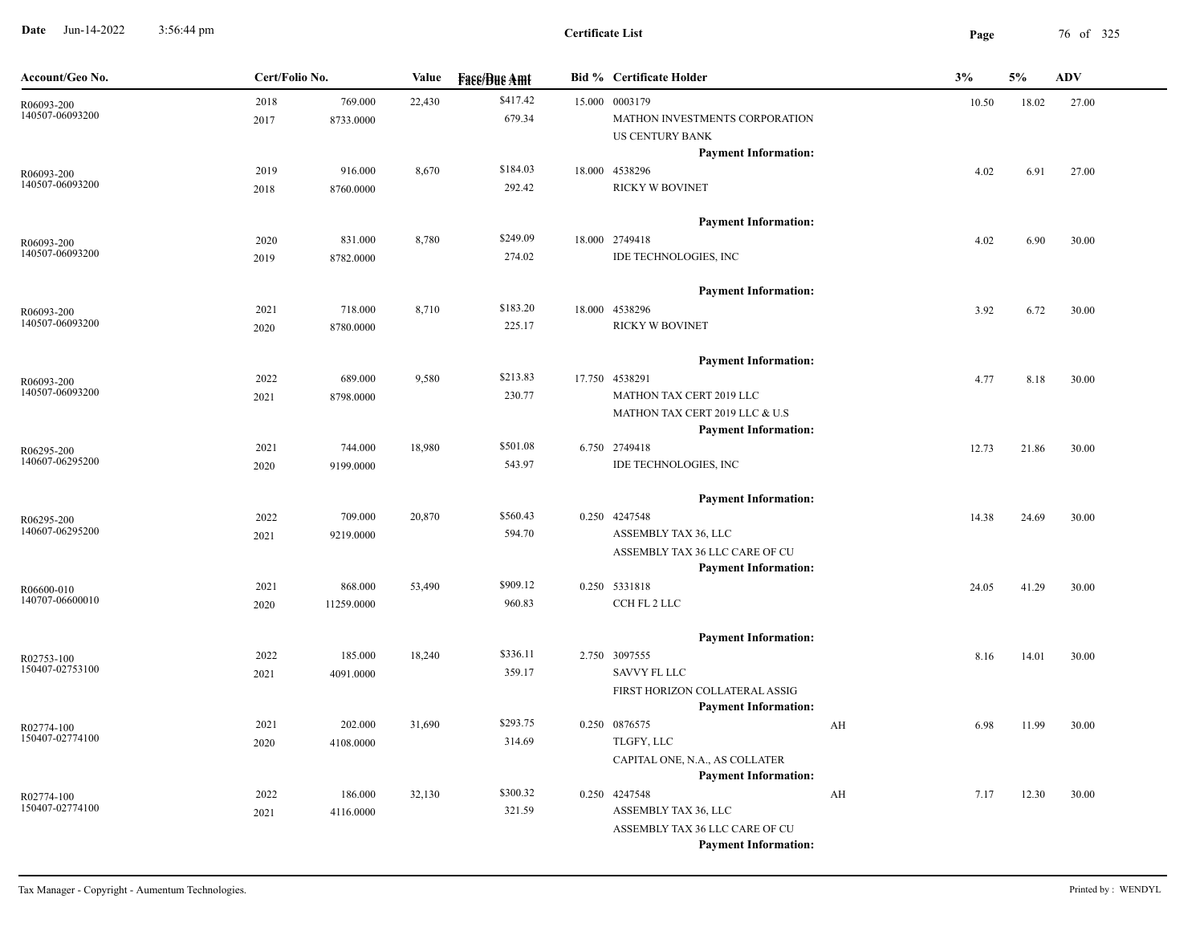**Date** Jun-14-2022 3:56:44 pm **Page** 76 of 325 3:56:44 pm

| Account/Geo No.               | Cert/Folio No. |                      | Value  | <b>Fass/Bus Amt</b> |        | <b>Bid % Certificate Holder</b>                               |    | 3%    | 5%    | <b>ADV</b> |
|-------------------------------|----------------|----------------------|--------|---------------------|--------|---------------------------------------------------------------|----|-------|-------|------------|
| R06093-200<br>140507-06093200 | 2018<br>2017   | 769.000<br>8733.0000 | 22,430 | \$417.42<br>679.34  | 15.000 | 0003179<br>MATHON INVESTMENTS CORPORATION                     |    | 10.50 | 18.02 | 27.00      |
|                               |                |                      |        |                     |        | <b>US CENTURY BANK</b>                                        |    |       |       |            |
|                               |                |                      |        |                     |        | <b>Payment Information:</b>                                   |    |       |       |            |
| R06093-200<br>140507-06093200 | 2019           | 916.000              | 8,670  | \$184.03            |        | 18.000 4538296                                                |    | 4.02  | 6.91  | 27.00      |
|                               | 2018           | 8760.0000            |        | 292.42              |        | RICKY W BOVINET                                               |    |       |       |            |
|                               |                |                      |        |                     |        | <b>Payment Information:</b>                                   |    |       |       |            |
| R06093-200                    | 2020           | 831.000              | 8,780  | \$249.09            |        | 18.000 2749418                                                |    | 4.02  | 6.90  | 30.00      |
| 140507-06093200               | 2019           | 8782.0000            |        | 274.02              |        | IDE TECHNOLOGIES, INC                                         |    |       |       |            |
|                               |                |                      |        |                     |        | <b>Payment Information:</b>                                   |    |       |       |            |
| R06093-200                    | 2021           | 718.000              | 8,710  | \$183.20            |        | 18.000 4538296                                                |    | 3.92  | 6.72  | 30.00      |
| 140507-06093200               | 2020           | 8780.0000            |        | 225.17              |        | RICKY W BOVINET                                               |    |       |       |            |
|                               |                |                      |        |                     |        | <b>Payment Information:</b>                                   |    |       |       |            |
| R06093-200                    | 2022           | 689.000              | 9,580  | \$213.83            |        | 17.750 4538291                                                |    | 4.77  | 8.18  | 30.00      |
| 140507-06093200               | 2021           | 8798.0000            |        | 230.77              |        | MATHON TAX CERT 2019 LLC                                      |    |       |       |            |
|                               |                |                      |        |                     |        | MATHON TAX CERT 2019 LLC & U.S                                |    |       |       |            |
|                               |                |                      |        |                     |        | <b>Payment Information:</b>                                   |    |       |       |            |
| R06295-200                    | 2021           | 744.000              | 18,980 | \$501.08            |        | 6.750 2749418                                                 |    | 12.73 | 21.86 | 30.00      |
| 140607-06295200               | 2020           | 9199.0000            |        | 543.97              |        | IDE TECHNOLOGIES, INC                                         |    |       |       |            |
|                               |                |                      |        |                     |        | <b>Payment Information:</b>                                   |    |       |       |            |
| R06295-200                    | 2022           | 709.000              | 20,870 | \$560.43            |        | 0.250 4247548                                                 |    | 14.38 | 24.69 | 30.00      |
| 140607-06295200               | 2021           | 9219.0000            |        | 594.70              |        | ASSEMBLY TAX 36, LLC                                          |    |       |       |            |
|                               |                |                      |        |                     |        | ASSEMBLY TAX 36 LLC CARE OF CU                                |    |       |       |            |
|                               |                |                      |        |                     |        | <b>Payment Information:</b>                                   |    |       |       |            |
| R06600-010                    | 2021           | 868.000              | 53,490 | \$909.12            |        | 0.250 5331818                                                 |    | 24.05 | 41.29 | 30.00      |
| 140707-06600010               | 2020           | 11259.0000           |        | 960.83              |        | CCH FL 2 LLC                                                  |    |       |       |            |
|                               |                |                      |        |                     |        | <b>Payment Information:</b>                                   |    |       |       |            |
| R02753-100                    | 2022           | 185.000              | 18,240 | \$336.11            |        | 2.750 3097555                                                 |    | 8.16  | 14.01 | 30.00      |
| 150407-02753100               | 2021           | 4091.0000            |        | 359.17              |        | <b>SAVVY FL LLC</b>                                           |    |       |       |            |
|                               |                |                      |        |                     |        | FIRST HORIZON COLLATERAL ASSIG                                |    |       |       |            |
|                               |                |                      |        |                     |        | <b>Payment Information:</b>                                   |    |       |       |            |
| R02774-100<br>150407-02774100 | 2021           | 202.000              | 31,690 | \$293.75            |        | 0.250 0876575                                                 | AH | 6.98  | 11.99 | 30.00      |
|                               | 2020           | 4108.0000            |        | 314.69              |        | TLGFY, LLC                                                    |    |       |       |            |
|                               |                |                      |        |                     |        | CAPITAL ONE, N.A., AS COLLATER<br><b>Payment Information:</b> |    |       |       |            |
|                               | 2022           | 186.000              | 32,130 | \$300.32            |        | 0.250 4247548                                                 |    |       |       |            |
| R02774-100<br>150407-02774100 | 2021           | 4116.0000            |        | 321.59              |        | ASSEMBLY TAX 36, LLC                                          | AH | 7.17  | 12.30 | 30.00      |
|                               |                |                      |        |                     |        | ASSEMBLY TAX 36 LLC CARE OF CU                                |    |       |       |            |
|                               |                |                      |        |                     |        | <b>Payment Information:</b>                                   |    |       |       |            |
|                               |                |                      |        |                     |        |                                                               |    |       |       |            |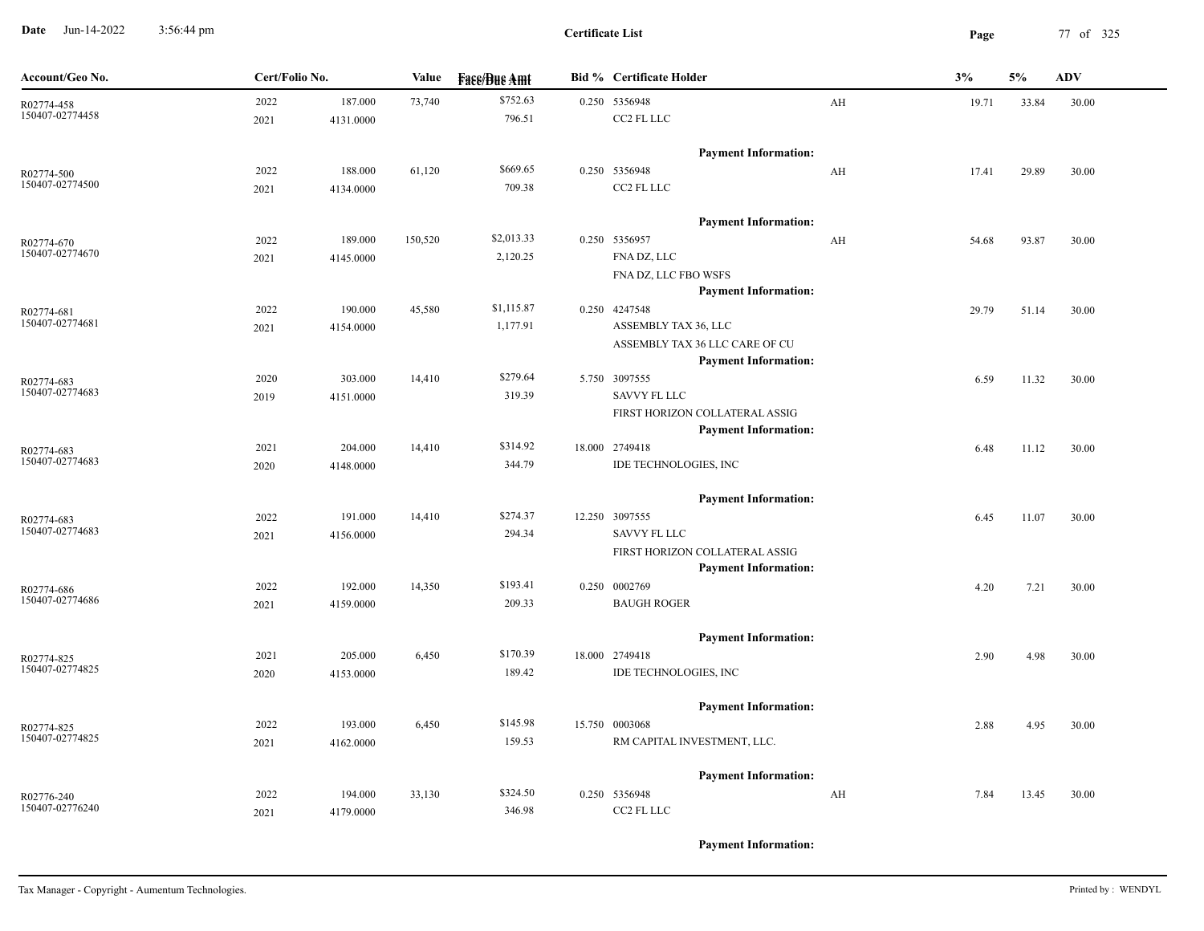**Date** Jun-14-2022 3:56:44 pm **Page** 77 of 325 3:56:44 pm

| Account/Geo No.               | Cert/Folio No. |           | Value   | <b>Face/Bue Amt</b> | <b>Bid % Certificate Holder</b>              |    | 3%    | 5%    | <b>ADV</b> |
|-------------------------------|----------------|-----------|---------|---------------------|----------------------------------------------|----|-------|-------|------------|
| R02774-458                    | 2022           | 187.000   | 73,740  | \$752.63            | 0.250 5356948                                | AH | 19.71 | 33.84 | 30.00      |
| 150407-02774458               | 2021           | 4131.0000 |         | 796.51              | CC2 FL LLC                                   |    |       |       |            |
|                               |                |           |         |                     | <b>Payment Information:</b>                  |    |       |       |            |
| R02774-500                    | 2022           | 188.000   | 61,120  | \$669.65            | 0.250 5356948                                | AH | 17.41 | 29.89 | 30.00      |
| 150407-02774500               | 2021           | 4134.0000 |         | 709.38              | CC2 FL LLC                                   |    |       |       |            |
|                               |                |           |         |                     | <b>Payment Information:</b>                  |    |       |       |            |
| R02774-670                    | 2022           | 189.000   | 150,520 | \$2,013.33          | 0.250 5356957                                | AH | 54.68 | 93.87 | 30.00      |
| 150407-02774670               | 2021           | 4145.0000 |         | 2,120.25            | FNA DZ, LLC                                  |    |       |       |            |
|                               |                |           |         |                     | FNA DZ, LLC FBO WSFS                         |    |       |       |            |
|                               |                |           |         |                     | <b>Payment Information:</b>                  |    |       |       |            |
| R02774-681                    | 2022           | 190.000   | 45,580  | \$1,115.87          | 0.250 4247548                                |    | 29.79 | 51.14 | 30.00      |
| 150407-02774681               | 2021           | 4154.0000 |         | 1,177.91            | ASSEMBLY TAX 36, LLC                         |    |       |       |            |
|                               |                |           |         |                     | ASSEMBLY TAX 36 LLC CARE OF CU               |    |       |       |            |
|                               |                |           |         | \$279.64            | <b>Payment Information:</b>                  |    |       |       |            |
| R02774-683<br>150407-02774683 | 2020           | 303.000   | 14,410  | 319.39              | 5.750 3097555<br><b>SAVVY FL LLC</b>         |    | 6.59  | 11.32 | 30.00      |
|                               | 2019           | 4151.0000 |         |                     | FIRST HORIZON COLLATERAL ASSIG               |    |       |       |            |
|                               |                |           |         |                     | <b>Payment Information:</b>                  |    |       |       |            |
| R02774-683                    | 2021           | 204.000   | 14,410  | \$314.92            | 18.000 2749418                               |    | 6.48  | 11.12 | 30.00      |
| 150407-02774683               | 2020           | 4148.0000 |         | 344.79              | IDE TECHNOLOGIES, INC                        |    |       |       |            |
|                               |                |           |         |                     | <b>Payment Information:</b>                  |    |       |       |            |
|                               | 2022           | 191.000   | 14,410  | \$274.37            | 12.250 3097555                               |    | 6.45  | 11.07 | 30.00      |
| R02774-683<br>150407-02774683 | 2021           | 4156.0000 |         | 294.34              | SAVVY FL LLC                                 |    |       |       |            |
|                               |                |           |         |                     | FIRST HORIZON COLLATERAL ASSIG               |    |       |       |            |
|                               |                |           |         |                     | <b>Payment Information:</b>                  |    |       |       |            |
| R02774-686                    | 2022           | 192.000   | 14,350  | \$193.41            | 0.250 0002769                                |    | 4.20  | 7.21  | 30.00      |
| 150407-02774686               | 2021           | 4159.0000 |         | 209.33              | <b>BAUGH ROGER</b>                           |    |       |       |            |
|                               |                |           |         |                     | <b>Payment Information:</b>                  |    |       |       |            |
| R02774-825                    | 2021           | 205.000   | 6,450   | \$170.39            | 18.000 2749418                               |    | 2.90  | 4.98  | 30.00      |
| 150407-02774825               | 2020           | 4153.0000 |         | 189.42              | IDE TECHNOLOGIES, INC                        |    |       |       |            |
|                               |                |           |         |                     | <b>Payment Information:</b>                  |    |       |       |            |
| R02774-825                    | 2022           | 193.000   | 6,450   | \$145.98            | 15.750 0003068                               |    | 2.88  | 4.95  | 30.00      |
| 150407-02774825               | 2021           | 4162.0000 |         | 159.53              | RM CAPITAL INVESTMENT, LLC.                  |    |       |       |            |
|                               |                |           |         |                     |                                              |    |       |       |            |
|                               | 2022           | 194.000   | 33,130  | \$324.50            | <b>Payment Information:</b><br>0.250 5356948 | AH |       |       |            |
| R02776-240<br>150407-02776240 | 2021           | 4179.0000 |         | 346.98              | CC2 FL LLC                                   |    | 7.84  | 13.45 | 30.00      |
|                               |                |           |         |                     |                                              |    |       |       |            |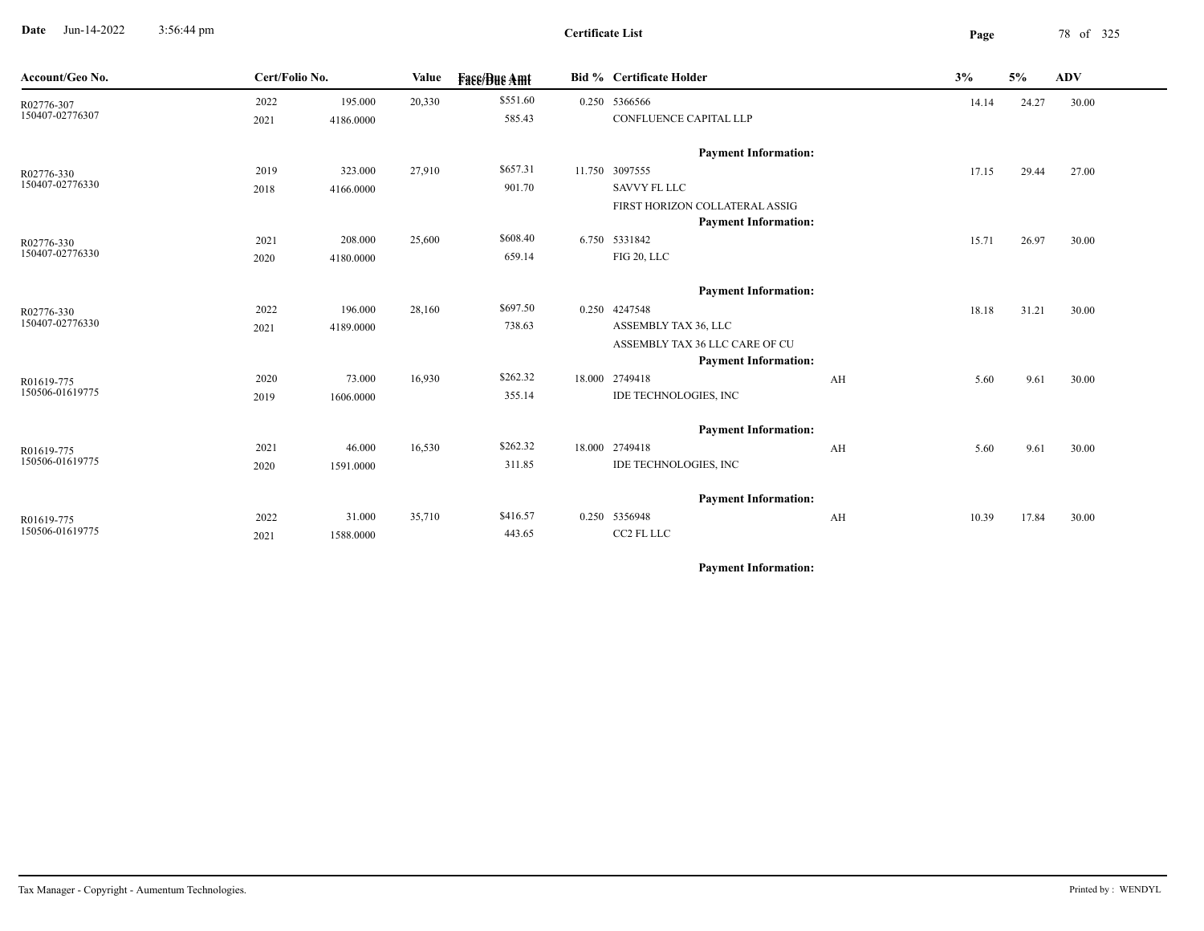**Date** Jun-14-2022 3:56:44 pm **Page** 78 of 325 3:56:44 pm

**Certificate List**

| Account/Geo No. | Cert/Folio No. |           | <b>Value</b> | <b>Face/Bue Amt</b> | Bid % Certificate Holder       |    | 3%    | 5%    | <b>ADV</b> |  |
|-----------------|----------------|-----------|--------------|---------------------|--------------------------------|----|-------|-------|------------|--|
| R02776-307      | 2022           | 195.000   | 20,330       | \$551.60            | 0.250 5366566                  |    | 14.14 | 24.27 | 30.00      |  |
| 150407-02776307 | 2021           | 4186.0000 |              | 585.43              | CONFLUENCE CAPITAL LLP         |    |       |       |            |  |
|                 |                |           |              |                     | <b>Payment Information:</b>    |    |       |       |            |  |
| R02776-330      | 2019           | 323.000   | 27,910       | \$657.31            | 11.750 3097555                 |    | 17.15 | 29.44 | 27.00      |  |
| 150407-02776330 | 2018           | 4166.0000 |              | 901.70              | <b>SAVVY FL LLC</b>            |    |       |       |            |  |
|                 |                |           |              |                     | FIRST HORIZON COLLATERAL ASSIG |    |       |       |            |  |
|                 |                |           |              |                     | <b>Payment Information:</b>    |    |       |       |            |  |
| R02776-330      | 2021           | 208.000   | 25,600       | \$608.40            | 6.750 5331842                  |    | 15.71 | 26.97 | 30.00      |  |
| 150407-02776330 | 2020           | 4180.0000 |              | 659.14              | FIG 20, LLC                    |    |       |       |            |  |
|                 |                |           |              |                     | <b>Payment Information:</b>    |    |       |       |            |  |
| R02776-330      | 2022           | 196.000   | 28,160       | \$697.50            | 0.250 4247548                  |    | 18.18 | 31.21 | 30.00      |  |
| 150407-02776330 | 2021           | 4189.0000 |              | 738.63              | ASSEMBLY TAX 36, LLC           |    |       |       |            |  |
|                 |                |           |              |                     | ASSEMBLY TAX 36 LLC CARE OF CU |    |       |       |            |  |
|                 |                |           |              |                     | <b>Payment Information:</b>    |    |       |       |            |  |
| R01619-775      | 2020           | 73.000    | 16,930       | \$262.32            | 18.000 2749418                 | AH | 5.60  | 9.61  | 30.00      |  |
| 150506-01619775 | 2019           | 1606.0000 |              | 355.14              | IDE TECHNOLOGIES, INC          |    |       |       |            |  |
|                 |                |           |              |                     | <b>Payment Information:</b>    |    |       |       |            |  |
| R01619-775      | 2021           | 46.000    | 16,530       | \$262.32            | 18.000 2749418                 | AH | 5.60  | 9.61  | 30.00      |  |
| 150506-01619775 | 2020           | 1591.0000 |              | 311.85              | <b>IDE TECHNOLOGIES, INC</b>   |    |       |       |            |  |
|                 |                |           |              |                     | <b>Payment Information:</b>    |    |       |       |            |  |
| R01619-775      | 2022           | 31.000    | 35,710       | \$416.57            | 0.250 5356948                  | AH | 10.39 | 17.84 | 30.00      |  |
| 150506-01619775 | 2021           | 1588.0000 |              | 443.65              | CC2 FL LLC                     |    |       |       |            |  |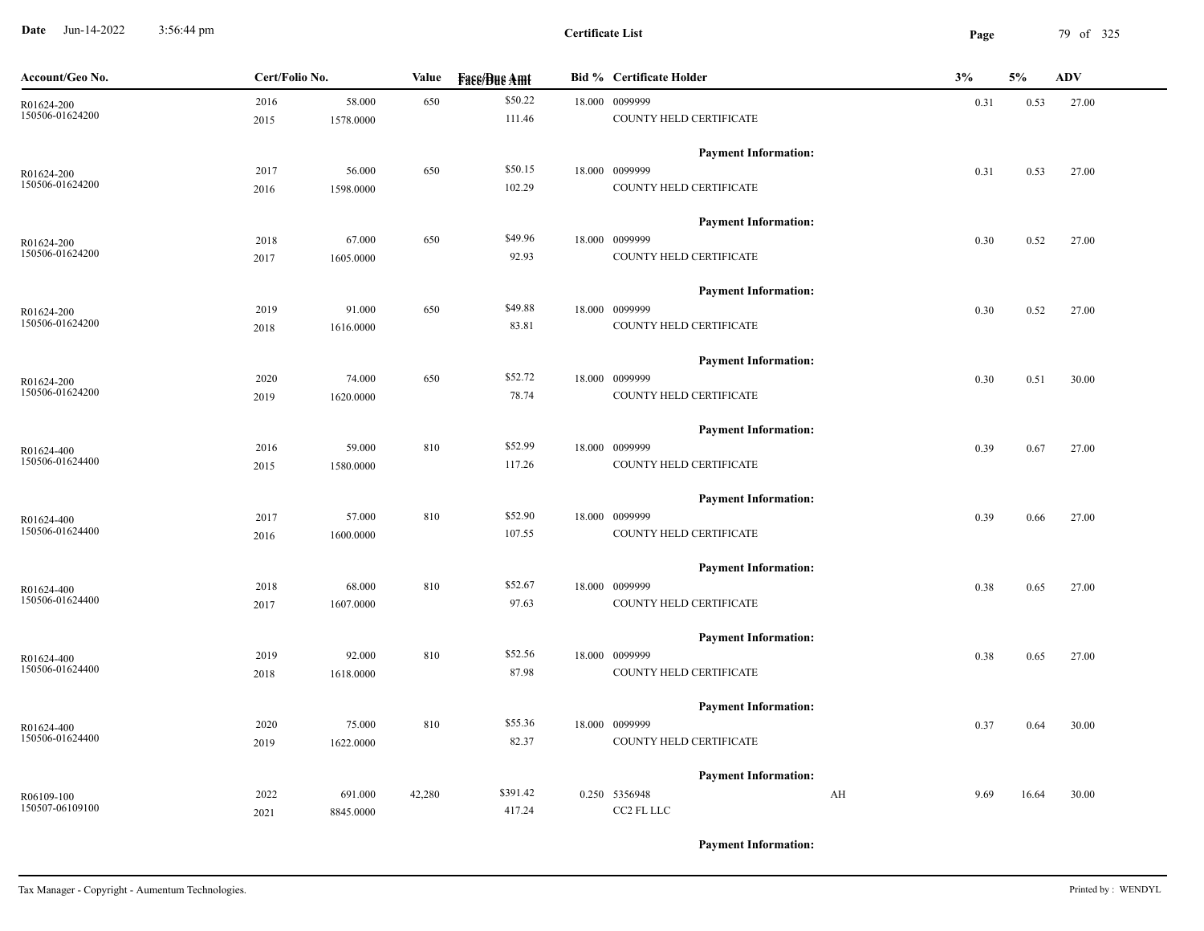**Date** Jun-14-2022 3:56:44 pm **Page** 79 of 325 3:56:44 pm

| Account/Geo No. | Cert/Folio No. |           | <b>Value</b> | <b>Face/Bue Amt</b> | <b>Bid % Certificate Holder</b> | 3%         | 5%    | <b>ADV</b> |
|-----------------|----------------|-----------|--------------|---------------------|---------------------------------|------------|-------|------------|
| R01624-200      | 2016           | 58.000    | 650          | \$50.22             | 18.000 0099999                  | 0.31       | 0.53  | 27.00      |
| 150506-01624200 | 2015           | 1578.0000 |              | 111.46              | COUNTY HELD CERTIFICATE         |            |       |            |
|                 |                |           |              |                     | <b>Payment Information:</b>     |            |       |            |
| R01624-200      | 2017           | 56.000    | 650          | \$50.15             | 18.000 0099999                  | 0.31       | 0.53  | 27.00      |
| 150506-01624200 | 2016           | 1598.0000 |              | 102.29              | COUNTY HELD CERTIFICATE         |            |       |            |
|                 |                |           |              |                     | <b>Payment Information:</b>     |            |       |            |
| R01624-200      | 2018           | 67.000    | 650          | \$49.96             | 18.000 0099999                  | 0.30       | 0.52  | 27.00      |
| 150506-01624200 | 2017           | 1605.0000 |              | 92.93               | COUNTY HELD CERTIFICATE         |            |       |            |
|                 |                |           |              |                     | <b>Payment Information:</b>     |            |       |            |
| R01624-200      | 2019           | 91.000    | 650          | \$49.88             | 18.000 0099999                  | 0.30       | 0.52  | 27.00      |
| 150506-01624200 | 2018           | 1616.0000 |              | 83.81               | COUNTY HELD CERTIFICATE         |            |       |            |
|                 |                |           |              |                     | <b>Payment Information:</b>     |            |       |            |
| R01624-200      | 2020           | 74.000    | 650          | \$52.72             | 18.000 0099999                  | 0.30       | 0.51  | 30.00      |
| 150506-01624200 | 2019           | 1620.0000 |              | 78.74               | COUNTY HELD CERTIFICATE         |            |       |            |
|                 |                |           |              |                     | <b>Payment Information:</b>     |            |       |            |
| R01624-400      | 2016           | 59.000    | 810          | \$52.99             | 18.000 0099999                  | 0.39       | 0.67  | 27.00      |
| 150506-01624400 | 2015           | 1580.0000 |              | 117.26              | COUNTY HELD CERTIFICATE         |            |       |            |
|                 |                |           |              |                     | <b>Payment Information:</b>     |            |       |            |
| R01624-400      | 2017           | 57.000    | 810          | \$52.90             | 18.000 0099999                  | 0.39       | 0.66  | 27.00      |
| 150506-01624400 | 2016           | 1600.0000 |              | 107.55              | COUNTY HELD CERTIFICATE         |            |       |            |
|                 |                |           |              |                     | <b>Payment Information:</b>     |            |       |            |
| R01624-400      | 2018           | 68.000    | 810          | \$52.67             | 18.000 0099999                  | 0.38       | 0.65  | 27.00      |
| 150506-01624400 | 2017           | 1607.0000 |              | 97.63               | COUNTY HELD CERTIFICATE         |            |       |            |
|                 |                |           |              |                     | <b>Payment Information:</b>     |            |       |            |
| R01624-400      | 2019           | 92.000    | 810          | \$52.56             | 18.000 0099999                  | 0.38       | 0.65  | 27.00      |
| 150506-01624400 | 2018           | 1618.0000 |              | 87.98               | COUNTY HELD CERTIFICATE         |            |       |            |
|                 |                |           |              |                     | <b>Payment Information:</b>     |            |       |            |
| R01624-400      | 2020           | 75.000    | 810          | \$55.36             | 18.000 0099999                  | 0.37       | 0.64  | 30.00      |
| 150506-01624400 | 2019           | 1622.0000 |              | 82.37               | COUNTY HELD CERTIFICATE         |            |       |            |
|                 |                |           |              |                     | <b>Payment Information:</b>     |            |       |            |
| R06109-100      | 2022           | 691.000   | 42,280       | \$391.42            | 0.250 5356948                   | AH<br>9.69 | 16.64 | 30.00      |
| 150507-06109100 | 2021           | 8845.0000 |              | 417.24              | CC2 FL LLC                      |            |       |            |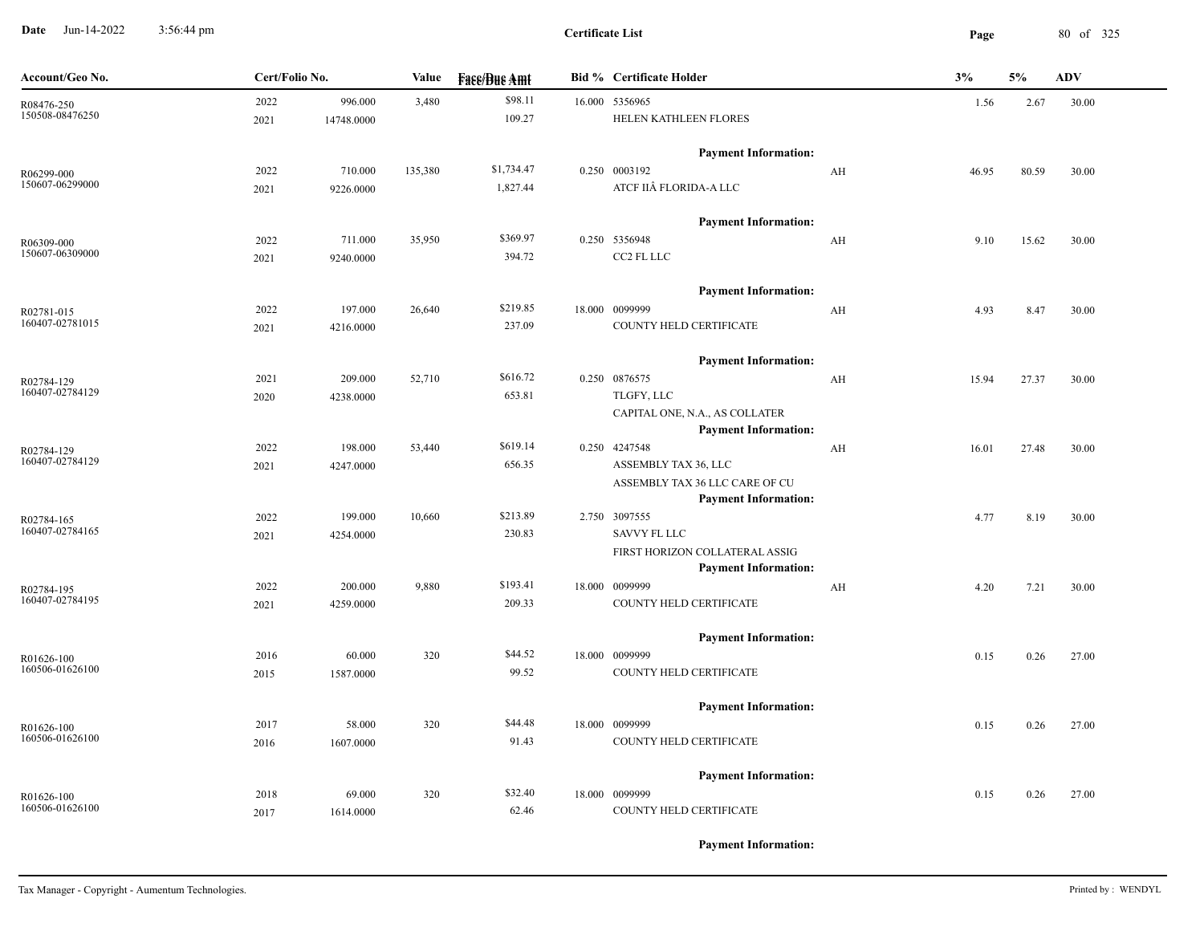**Date** Jun-14-2022 3:56:44 pm **Page** 80 of 325 3:56:44 pm

**Certificate List**

| Cert/Folio No.<br><b>Bid % Certificate Holder</b><br>Account/Geo No.<br>Value<br><b>Fase/Bue Amt</b>                                            | 3%    | 5%    | <b>ADV</b> |
|-------------------------------------------------------------------------------------------------------------------------------------------------|-------|-------|------------|
| \$98.11<br>2022<br>996.000<br>16.000 5356965<br>3,480<br>R08476-250<br>150508-08476250<br>109.27<br>HELEN KATHLEEN FLORES<br>2021<br>14748.0000 | 1.56  | 2.67  | 30.00      |
| <b>Payment Information:</b>                                                                                                                     |       |       |            |
| \$1,734.47<br>0.250 0003192<br>135,380<br>2022<br>710.000<br>AH<br>R06299-000                                                                   | 46.95 | 80.59 | 30.00      |
| 150607-06299000<br>ATCF IIÂ FLORIDA-A LLC<br>1,827.44<br>2021<br>9226.0000                                                                      |       |       |            |
| <b>Payment Information:</b>                                                                                                                     |       |       |            |
| \$369.97<br>2022<br>0.250 5356948<br>711.000<br>35,950<br>AH<br>R06309-000                                                                      | 9.10  | 15.62 | 30.00      |
| 150607-06309000<br>394.72<br>CC2 FL LLC<br>2021<br>9240.0000                                                                                    |       |       |            |
| <b>Payment Information:</b>                                                                                                                     |       |       |            |
| \$219.85<br>18.000 0099999<br>2022<br>197.000<br>26,640<br>AH<br>R02781-015                                                                     | 4.93  | 8.47  | 30.00      |
| 160407-02781015<br>237.09<br>COUNTY HELD CERTIFICATE<br>4216.0000<br>2021                                                                       |       |       |            |
| <b>Payment Information:</b>                                                                                                                     |       |       |            |
| \$616.72<br>2021<br>209.000<br>52,710<br>0.250 0876575<br>AH<br>R02784-129                                                                      | 15.94 | 27.37 | 30.00      |
| 160407-02784129<br>653.81<br>TLGFY, LLC<br>2020<br>4238.0000                                                                                    |       |       |            |
| CAPITAL ONE, N.A., AS COLLATER<br><b>Payment Information:</b>                                                                                   |       |       |            |
| \$619.14<br>53,440<br>0.250 4247548<br>2022<br>198.000<br>AH<br>R02784-129                                                                      | 16.01 | 27.48 | 30.00      |
| 160407-02784129<br>656.35<br>ASSEMBLY TAX 36, LLC<br>2021<br>4247.0000                                                                          |       |       |            |
| ASSEMBLY TAX 36 LLC CARE OF CU                                                                                                                  |       |       |            |
| <b>Payment Information:</b>                                                                                                                     |       |       |            |
| \$213.89<br>2022<br>199.000<br>10,660<br>2.750 3097555<br>R02784-165<br>160407-02784165                                                         | 4.77  | 8.19  | 30.00      |
| 230.83<br>SAVVY FL LLC<br>2021<br>4254.0000<br>FIRST HORIZON COLLATERAL ASSIG                                                                   |       |       |            |
| <b>Payment Information:</b>                                                                                                                     |       |       |            |
| \$193.41<br>18.000 0099999<br>2022<br>200.000<br>9,880<br>AH<br>R02784-195                                                                      | 4.20  | 7.21  | 30.00      |
| 160407-02784195<br>209.33<br>COUNTY HELD CERTIFICATE<br>2021<br>4259.0000                                                                       |       |       |            |
| <b>Payment Information:</b>                                                                                                                     |       |       |            |
| \$44.52<br>320<br>18.000 0099999<br>2016<br>60.000<br>R01626-100                                                                                | 0.15  | 0.26  | 27.00      |
| 160506-01626100<br>99.52<br>COUNTY HELD CERTIFICATE<br>2015<br>1587.0000                                                                        |       |       |            |
| <b>Payment Information:</b>                                                                                                                     |       |       |            |
| \$44.48<br>320<br>18.000 0099999<br>2017<br>58.000<br>R01626-100                                                                                | 0.15  | 0.26  | 27.00      |
| 160506-01626100<br>91.43<br>COUNTY HELD CERTIFICATE<br>2016<br>1607.0000                                                                        |       |       |            |
| <b>Payment Information:</b>                                                                                                                     |       |       |            |
| \$32.40<br>2018<br>320<br>18.000 0099999<br>69.000<br>R01626-100                                                                                | 0.15  | 0.26  | 27.00      |
| 160506-01626100<br>COUNTY HELD CERTIFICATE<br>62.46<br>2017<br>1614.0000                                                                        |       |       |            |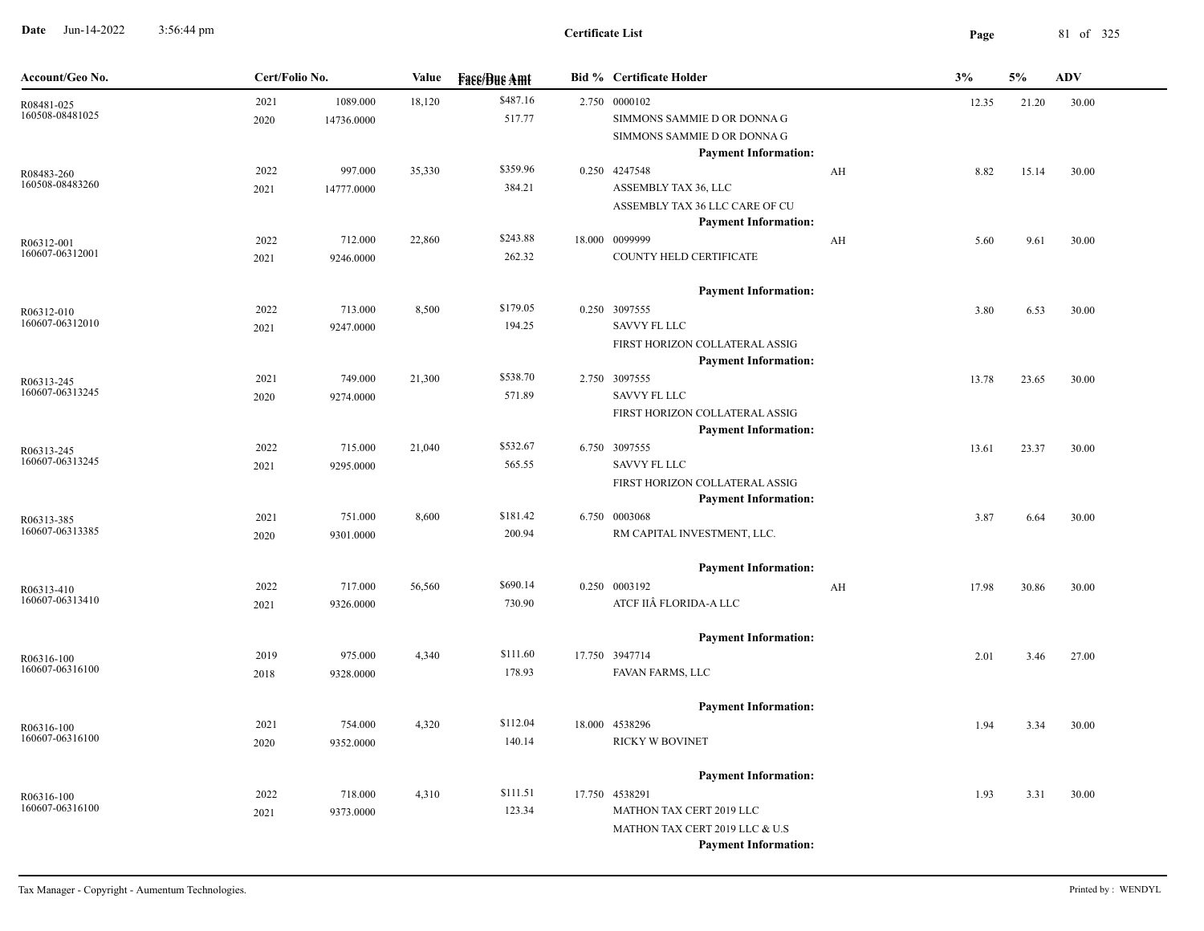**Date** Jun-14-2022 3:56:44 pm **Page** 81 of 325 3:56:44 pm

| Account/Geo No.               | Cert/Folio No. |                        | Value  | <b>Face/Bue Amt</b> | <b>Bid % Certificate Holder</b>                                                                                                            |    | 3%    | 5%    | ADV   |
|-------------------------------|----------------|------------------------|--------|---------------------|--------------------------------------------------------------------------------------------------------------------------------------------|----|-------|-------|-------|
| R08481-025<br>160508-08481025 | 2021<br>2020   | 1089.000<br>14736.0000 | 18,120 | \$487.16<br>517.77  | 2.750 0000102<br>SIMMONS SAMMIE D OR DONNA G<br>SIMMONS SAMMIE D OR DONNA G<br><b>Payment Information:</b>                                 |    | 12.35 | 21.20 | 30.00 |
| R08483-260<br>160508-08483260 | 2022<br>2021   | 997.000<br>14777.0000  | 35,330 | \$359.96<br>384.21  | 0.250 4247548<br>ASSEMBLY TAX 36, LLC<br>ASSEMBLY TAX 36 LLC CARE OF CU<br><b>Payment Information:</b>                                     | AH | 8.82  | 15.14 | 30.00 |
| R06312-001<br>160607-06312001 | 2022<br>2021   | 712.000<br>9246.0000   | 22,860 | \$243.88<br>262.32  | 18.000 0099999<br>COUNTY HELD CERTIFICATE                                                                                                  | AH | 5.60  | 9.61  | 30.00 |
| R06312-010<br>160607-06312010 | 2022<br>2021   | 713.000<br>9247.0000   | 8,500  | \$179.05<br>194.25  | <b>Payment Information:</b><br>0.250 3097555<br><b>SAVVY FL LLC</b><br>FIRST HORIZON COLLATERAL ASSIG                                      |    | 3.80  | 6.53  | 30.00 |
| R06313-245<br>160607-06313245 | 2021<br>2020   | 749.000<br>9274.0000   | 21,300 | \$538.70<br>571.89  | <b>Payment Information:</b><br>2.750 3097555<br>SAVVY FL LLC<br>FIRST HORIZON COLLATERAL ASSIG                                             |    | 13.78 | 23.65 | 30.00 |
| R06313-245<br>160607-06313245 | 2022<br>2021   | 715.000<br>9295.0000   | 21,040 | \$532.67<br>565.55  | <b>Payment Information:</b><br>6.750 3097555<br><b>SAVVY FL LLC</b><br>FIRST HORIZON COLLATERAL ASSIG                                      |    | 13.61 | 23.37 | 30.00 |
| R06313-385<br>160607-06313385 | 2021<br>2020   | 751.000<br>9301.0000   | 8,600  | \$181.42<br>200.94  | <b>Payment Information:</b><br>6.750 0003068<br>RM CAPITAL INVESTMENT, LLC.                                                                |    | 3.87  | 6.64  | 30.00 |
| R06313-410<br>160607-06313410 | 2022<br>2021   | 717.000<br>9326.0000   | 56,560 | \$690.14<br>730.90  | <b>Payment Information:</b><br>0.250 0003192<br>ATCF IIÂ FLORIDA-A LLC                                                                     | AH | 17.98 | 30.86 | 30.00 |
| R06316-100<br>160607-06316100 | 2019<br>2018   | 975.000<br>9328.0000   | 4,340  | \$111.60<br>178.93  | <b>Payment Information:</b><br>17.750 3947714<br>FAVAN FARMS, LLC                                                                          |    | 2.01  | 3.46  | 27.00 |
| R06316-100<br>160607-06316100 | 2021<br>2020   | 754.000<br>9352.0000   | 4,320  | \$112.04<br>140.14  | <b>Payment Information:</b><br>18.000 4538296<br><b>RICKY W BOVINET</b>                                                                    |    | 1.94  | 3.34  | 30.00 |
| R06316-100<br>160607-06316100 | 2022<br>2021   | 718.000<br>9373.0000   | 4,310  | \$111.51<br>123.34  | <b>Payment Information:</b><br>17.750 4538291<br>MATHON TAX CERT 2019 LLC<br>MATHON TAX CERT 2019 LLC & U.S<br><b>Payment Information:</b> |    | 1.93  | 3.31  | 30.00 |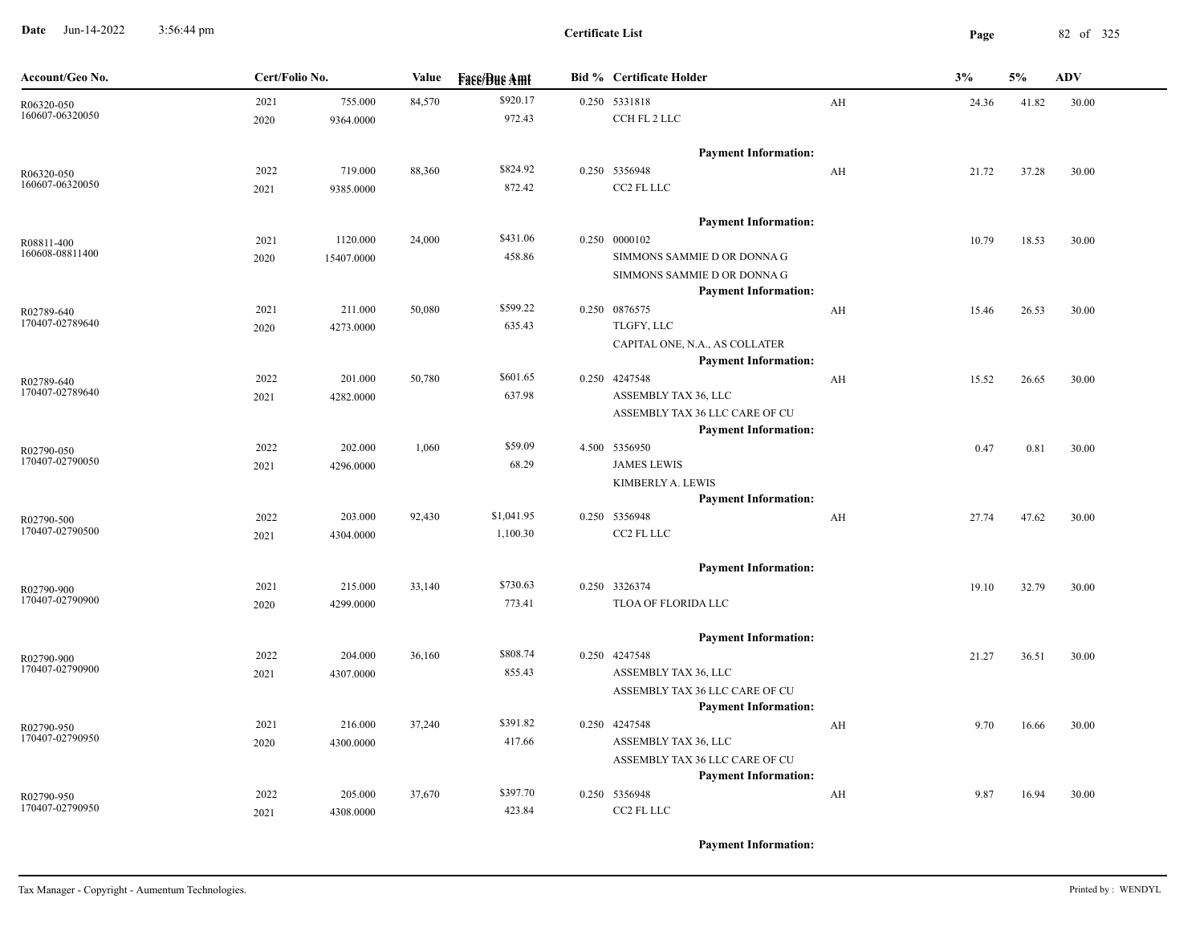**Date** Jun-14-2022 3:56:44 pm **Page** 82 of 325 3:56:44 pm

| Account/Geo No.               | Cert/Folio No. |            | Value  | <b>Fase/Bue Amt</b> | <b>Bid % Certificate Holder</b>                               |    | 3%    | 5%    | <b>ADV</b> |
|-------------------------------|----------------|------------|--------|---------------------|---------------------------------------------------------------|----|-------|-------|------------|
| R06320-050                    | 2021           | 755.000    | 84,570 | \$920.17            | 0.250 5331818                                                 | AH | 24.36 | 41.82 | 30.00      |
| 160607-06320050               | 2020           | 9364.0000  |        | 972.43              | CCH FL 2 LLC                                                  |    |       |       |            |
|                               |                |            |        |                     | <b>Payment Information:</b>                                   |    |       |       |            |
| R06320-050                    | 2022           | 719.000    | 88,360 | \$824.92            | 0.250 5356948                                                 | AH | 21.72 | 37.28 | 30.00      |
| 160607-06320050               | 2021           | 9385.0000  |        | 872.42              | CC2 FL LLC                                                    |    |       |       |            |
|                               |                |            |        |                     | <b>Payment Information:</b>                                   |    |       |       |            |
| R08811-400                    | 2021           | 1120.000   | 24,000 | \$431.06            | 0.250 0000102                                                 |    | 10.79 | 18.53 | 30.00      |
| 160608-08811400               | 2020           | 15407.0000 |        | 458.86              | SIMMONS SAMMIE D OR DONNA G                                   |    |       |       |            |
|                               |                |            |        |                     | SIMMONS SAMMIE D OR DONNA G                                   |    |       |       |            |
|                               |                |            |        |                     | <b>Payment Information:</b>                                   |    |       |       |            |
| R02789-640<br>170407-02789640 | 2021           | 211.000    | 50,080 | \$599.22            | 0.250 0876575                                                 | AH | 15.46 | 26.53 | 30.00      |
|                               | 2020           | 4273.0000  |        | 635.43              | TLGFY, LLC                                                    |    |       |       |            |
|                               |                |            |        |                     | CAPITAL ONE, N.A., AS COLLATER<br><b>Payment Information:</b> |    |       |       |            |
| R02789-640                    | 2022           | 201.000    | 50,780 | \$601.65            | 0.250 4247548                                                 | AH | 15.52 | 26.65 | 30.00      |
| 170407-02789640               | 2021           | 4282.0000  |        | 637.98              | ASSEMBLY TAX 36, LLC                                          |    |       |       |            |
|                               |                |            |        |                     | ASSEMBLY TAX 36 LLC CARE OF CU                                |    |       |       |            |
|                               |                |            |        |                     | <b>Payment Information:</b>                                   |    |       |       |            |
| R02790-050                    | 2022           | 202.000    | 1,060  | \$59.09             | 4.500 5356950                                                 |    | 0.47  | 0.81  | 30.00      |
| 170407-02790050               | 2021           | 4296.0000  |        | 68.29               | <b>JAMES LEWIS</b>                                            |    |       |       |            |
|                               |                |            |        |                     | KIMBERLY A. LEWIS                                             |    |       |       |            |
|                               |                |            |        |                     | <b>Payment Information:</b>                                   |    |       |       |            |
| R02790-500<br>170407-02790500 | 2022           | 203.000    | 92,430 | \$1,041.95          | 0.250 5356948<br>CC2 FL LLC                                   | AH | 27.74 | 47.62 | 30.00      |
|                               | 2021           | 4304.0000  |        | 1,100.30            |                                                               |    |       |       |            |
|                               |                |            |        |                     | <b>Payment Information:</b>                                   |    |       |       |            |
| R02790-900                    | 2021           | 215.000    | 33,140 | \$730.63            | 0.250 3326374                                                 |    | 19.10 | 32.79 | 30.00      |
| 170407-02790900               | 2020           | 4299.0000  |        | 773.41              | TLOA OF FLORIDA LLC                                           |    |       |       |            |
|                               |                |            |        |                     | <b>Payment Information:</b>                                   |    |       |       |            |
| R02790-900                    | 2022           | 204.000    | 36,160 | \$808.74            | 0.250 4247548                                                 |    | 21.27 | 36.51 | 30.00      |
| 170407-02790900               | 2021           | 4307.0000  |        | 855.43              | ASSEMBLY TAX 36, LLC                                          |    |       |       |            |
|                               |                |            |        |                     | ASSEMBLY TAX 36 LLC CARE OF CU                                |    |       |       |            |
|                               |                |            |        | \$391.82            | <b>Payment Information:</b>                                   |    |       |       |            |
| R02790-950<br>170407-02790950 | 2021           | 216.000    | 37,240 | 417.66              | 0.250 4247548<br>ASSEMBLY TAX 36, LLC                         | AH | 9.70  | 16.66 | 30.00      |
|                               | 2020           | 4300.0000  |        |                     | ASSEMBLY TAX 36 LLC CARE OF CU                                |    |       |       |            |
|                               |                |            |        |                     | <b>Payment Information:</b>                                   |    |       |       |            |
| R02790-950                    | 2022           | 205.000    | 37,670 | \$397.70            | 0.250 5356948                                                 | AH | 9.87  | 16.94 | 30.00      |
| 170407-02790950               | 2021           | 4308.0000  |        | 423.84              | CC2 FL LLC                                                    |    |       |       |            |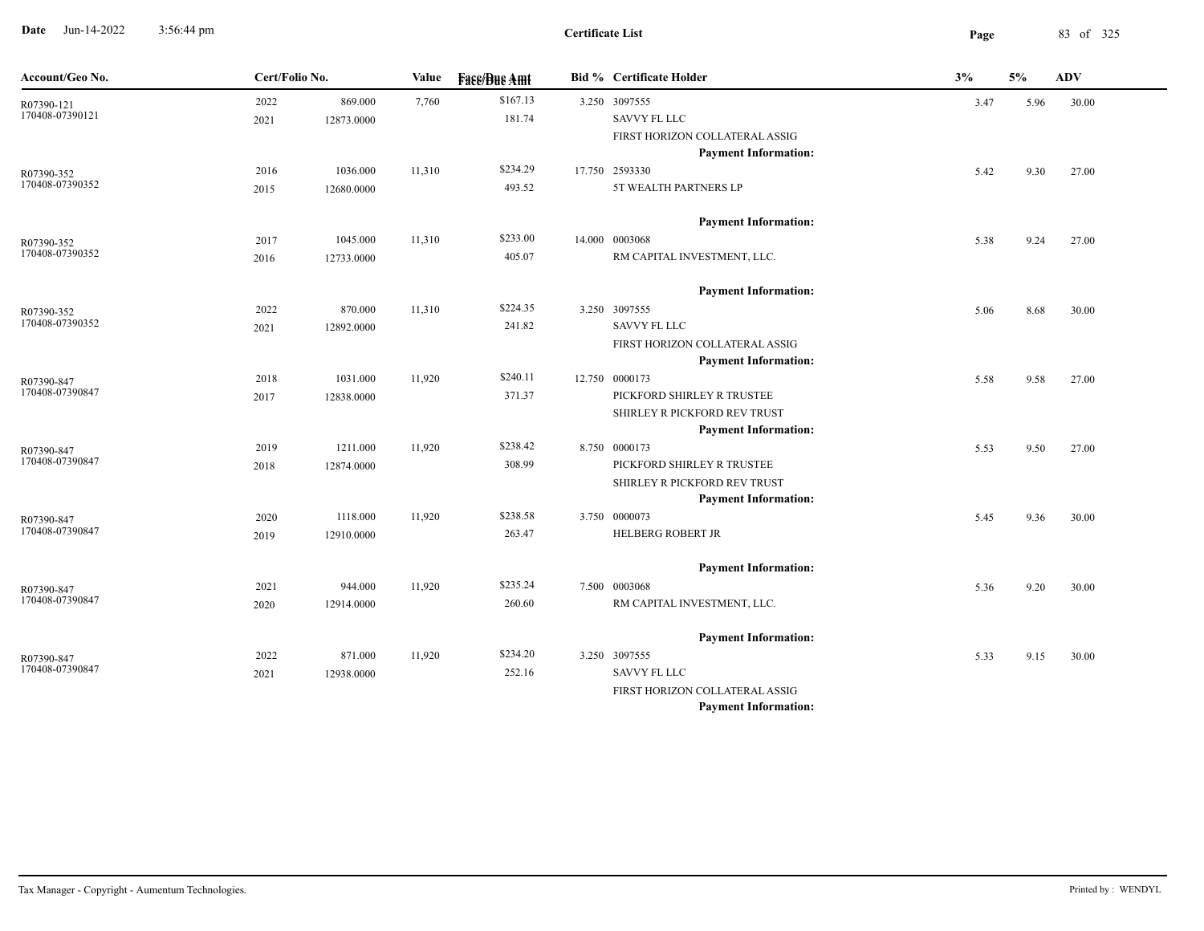**Date** Jun-14-2022 3:56:44 pm **Page** 83 of 325 3:56:44 pm

| Account/Geo No.               | Cert/Folio No. |            | Value  | <b>Fass/Bus Amt</b> | <b>Bid % Certificate Holder</b>                             | 3%   | 5%   | ADV   |
|-------------------------------|----------------|------------|--------|---------------------|-------------------------------------------------------------|------|------|-------|
| R07390-121                    | 2022           | 869.000    | 7,760  | \$167.13            | 3.250 3097555                                               | 3.47 | 5.96 | 30.00 |
| 170408-07390121               | 2021           | 12873.0000 |        | 181.74              | SAVVY FL LLC                                                |      |      |       |
|                               |                |            |        |                     | FIRST HORIZON COLLATERAL ASSIG                              |      |      |       |
|                               |                |            |        |                     | <b>Payment Information:</b>                                 |      |      |       |
| R07390-352<br>170408-07390352 | 2016           | 1036.000   | 11,310 | \$234.29            | 17.750 2593330                                              | 5.42 | 9.30 | 27.00 |
|                               | 2015           | 12680.0000 |        | 493.52              | 5T WEALTH PARTNERS LP                                       |      |      |       |
|                               |                |            |        |                     | <b>Payment Information:</b>                                 |      |      |       |
| R07390-352                    | 2017           | 1045.000   | 11,310 | \$233.00            | 14.000 0003068                                              | 5.38 | 9.24 | 27.00 |
| 170408-07390352               | 2016           | 12733.0000 |        | 405.07              | RM CAPITAL INVESTMENT, LLC.                                 |      |      |       |
|                               |                |            |        |                     | <b>Payment Information:</b>                                 |      |      |       |
| R07390-352                    | 2022           | 870.000    | 11,310 | \$224.35            | 3.250 3097555                                               | 5.06 | 8.68 | 30.00 |
| 170408-07390352               | 2021           | 12892.0000 |        | 241.82              | <b>SAVVY FL LLC</b>                                         |      |      |       |
|                               |                |            |        |                     | FIRST HORIZON COLLATERAL ASSIG                              |      |      |       |
|                               |                |            |        |                     | <b>Payment Information:</b>                                 |      |      |       |
| R07390-847                    | 2018           | 1031.000   | 11,920 | \$240.11            | 12.750 0000173                                              | 5.58 | 9.58 | 27.00 |
| 170408-07390847               | 2017           | 12838.0000 |        | 371.37              | PICKFORD SHIRLEY R TRUSTEE                                  |      |      |       |
|                               |                |            |        |                     | SHIRLEY R PICKFORD REV TRUST                                |      |      |       |
|                               |                |            |        |                     | <b>Payment Information:</b>                                 |      |      |       |
| R07390-847<br>170408-07390847 | 2019           | 1211.000   | 11,920 | \$238.42            | 8.750 0000173                                               | 5.53 | 9.50 | 27.00 |
|                               | 2018           | 12874.0000 |        | 308.99              | PICKFORD SHIRLEY R TRUSTEE                                  |      |      |       |
|                               |                |            |        |                     | SHIRLEY R PICKFORD REV TRUST<br><b>Payment Information:</b> |      |      |       |
|                               | 2020           | 1118.000   | 11,920 | \$238.58            | 3.750 0000073                                               | 5.45 | 9.36 | 30.00 |
| R07390-847<br>170408-07390847 | 2019           | 12910.0000 |        | 263.47              | HELBERG ROBERT JR                                           |      |      |       |
|                               |                |            |        |                     |                                                             |      |      |       |
|                               |                |            |        |                     | <b>Payment Information:</b>                                 |      |      |       |
| R07390-847<br>170408-07390847 | 2021           | 944.000    | 11,920 | \$235.24            | 7.500 0003068                                               | 5.36 | 9.20 | 30.00 |
|                               | 2020           | 12914.0000 |        | 260.60              | RM CAPITAL INVESTMENT, LLC.                                 |      |      |       |
|                               |                |            |        |                     | <b>Payment Information:</b>                                 |      |      |       |
| R07390-847                    | 2022           | 871.000    | 11,920 | \$234.20            | 3.250 3097555                                               | 5.33 | 9.15 | 30.00 |
| 170408-07390847               | 2021           | 12938.0000 |        | 252.16              | <b>SAVVY FL LLC</b>                                         |      |      |       |
|                               |                |            |        |                     | FIRST HORIZON COLLATERAL ASSIG                              |      |      |       |
|                               |                |            |        |                     | <b>Payment Information:</b>                                 |      |      |       |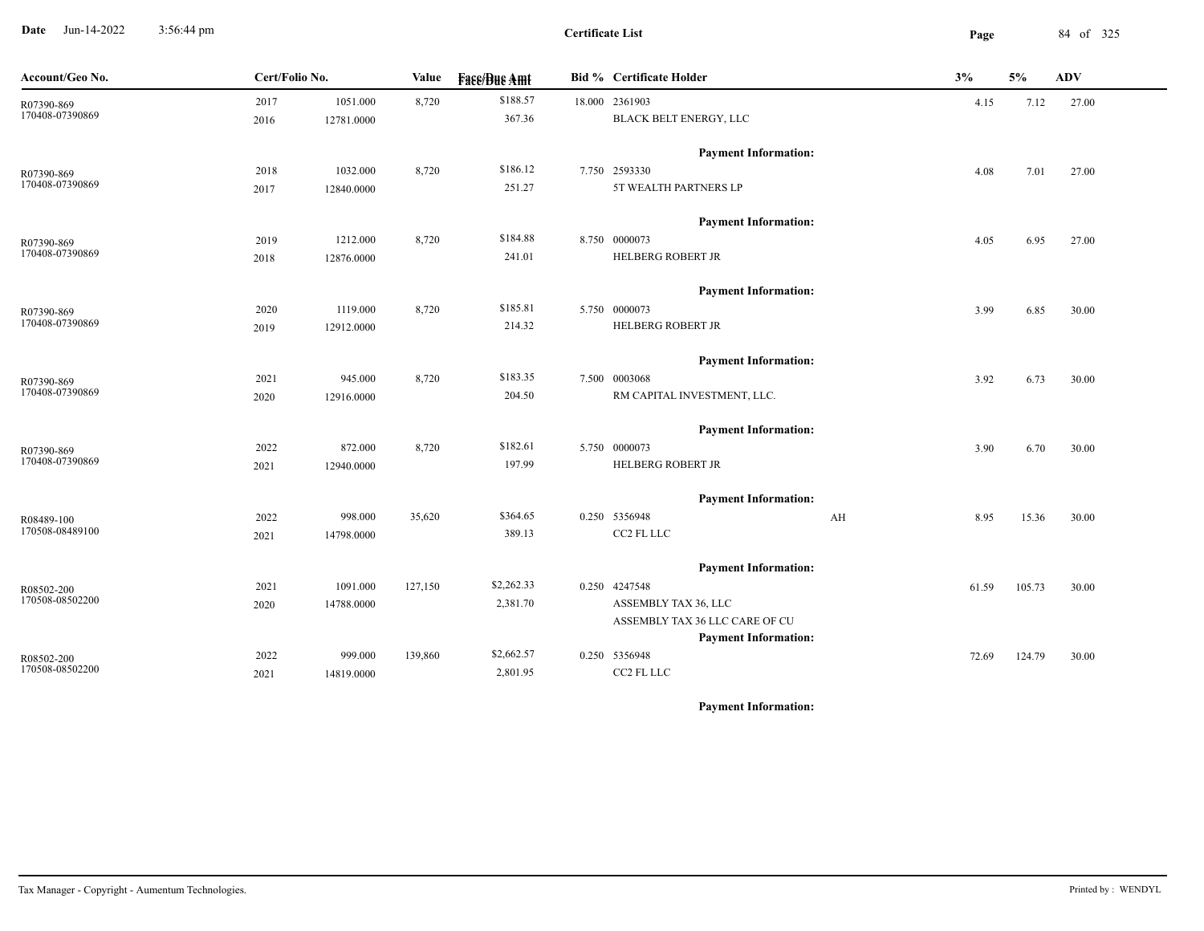**Date** Jun-14-2022 3:56:44 pm **Page** 84 of 325 3:56:44 pm

| Account/Geo No.               | Cert/Folio No. |            | Value   | <b>Face/Bue Amt</b> |  | <b>Bid % Certificate Holder</b> |       | 5%     | <b>ADV</b> |
|-------------------------------|----------------|------------|---------|---------------------|--|---------------------------------|-------|--------|------------|
| R07390-869                    | 2017           | 1051.000   | 8,720   | \$188.57            |  | 18.000 2361903                  | 4.15  | 7.12   | 27.00      |
| 170408-07390869               | 2016           | 12781.0000 |         | 367.36              |  | BLACK BELT ENERGY, LLC          |       |        |            |
|                               |                |            |         |                     |  | <b>Payment Information:</b>     |       |        |            |
| R07390-869                    | 2018           | 1032.000   | 8,720   | \$186.12            |  | 7.750 2593330                   | 4.08  | 7.01   | 27.00      |
| 170408-07390869               | 2017           | 12840.0000 |         | 251.27              |  | 5T WEALTH PARTNERS LP           |       |        |            |
|                               |                |            |         |                     |  | <b>Payment Information:</b>     |       |        |            |
| R07390-869                    | 2019           | 1212.000   | 8,720   | \$184.88            |  | 8.750 0000073                   | 4.05  | 6.95   | 27.00      |
| 170408-07390869               | 2018           | 12876.0000 |         | 241.01              |  | <b>HELBERG ROBERT JR</b>        |       |        |            |
|                               |                |            |         |                     |  | <b>Payment Information:</b>     |       |        |            |
| R07390-869                    | 2020           | 1119.000   | 8,720   | \$185.81            |  | 5.750 0000073                   | 3.99  | 6.85   | 30.00      |
| 170408-07390869               | 2019           | 12912.0000 |         | 214.32              |  | HELBERG ROBERT JR               |       |        |            |
|                               |                |            |         |                     |  | <b>Payment Information:</b>     |       |        |            |
| R07390-869                    | 2021           | 945.000    | 8,720   | \$183.35            |  | 7.500 0003068                   | 3.92  | 6.73   | 30.00      |
| 170408-07390869               | 2020           | 12916.0000 |         | 204.50              |  | RM CAPITAL INVESTMENT, LLC.     |       |        |            |
|                               |                |            |         |                     |  | <b>Payment Information:</b>     |       |        |            |
| R07390-869                    | 2022           | 872.000    | 8,720   | \$182.61            |  | 5.750 0000073                   | 3.90  | 6.70   | 30.00      |
| 170408-07390869               | 2021           | 12940.0000 |         | 197.99              |  | <b>HELBERG ROBERT JR</b>        |       |        |            |
|                               |                |            |         |                     |  | <b>Payment Information:</b>     |       |        |            |
| R08489-100                    | 2022           | 998.000    | 35,620  | \$364.65            |  | 0.250 5356948<br>AH             | 8.95  | 15.36  | 30.00      |
| 170508-08489100               | 2021           | 14798.0000 |         | 389.13              |  | CC2 FL LLC                      |       |        |            |
|                               |                |            |         |                     |  | <b>Payment Information:</b>     |       |        |            |
| R08502-200                    | 2021           | 1091.000   | 127,150 | \$2,262.33          |  | 0.250 4247548                   | 61.59 | 105.73 | 30.00      |
| 170508-08502200               | 2020           | 14788.0000 |         | 2,381.70            |  | ASSEMBLY TAX 36, LLC            |       |        |            |
|                               |                |            |         |                     |  | ASSEMBLY TAX 36 LLC CARE OF CU  |       |        |            |
|                               |                |            |         |                     |  | <b>Payment Information:</b>     |       |        |            |
| R08502-200<br>170508-08502200 | 2022           | 999.000    | 139,860 | \$2,662.57          |  | 0.250 5356948                   | 72.69 | 124.79 | 30.00      |
|                               | 2021           | 14819.0000 |         | 2,801.95            |  | CC2 FL LLC                      |       |        |            |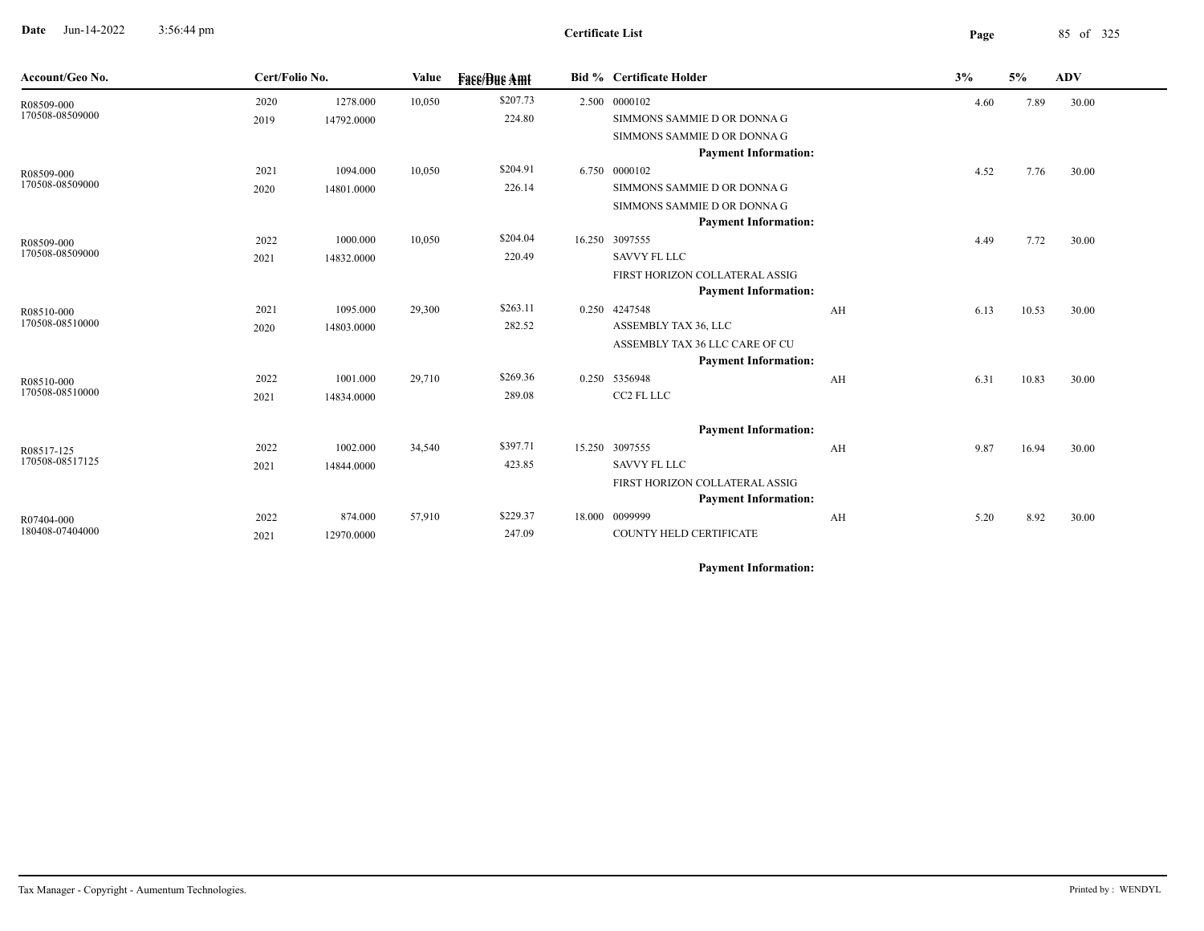**Date** Jun-14-2022 3:56:44 pm **Page** 85 of 325 3:56:44 pm

| Account/Geo No.               | Cert/Folio No. |            | Value  | <b>Face/Bue Amt</b> | <b>Bid % Certificate Holder</b> |    | 3%   | 5%    | <b>ADV</b> |
|-------------------------------|----------------|------------|--------|---------------------|---------------------------------|----|------|-------|------------|
| R08509-000                    | 2020           | 1278.000   | 10,050 | \$207.73            | 2.500 0000102                   |    | 4.60 | 7.89  | 30.00      |
| 170508-08509000               | 2019           | 14792.0000 |        | 224.80              | SIMMONS SAMMIE D OR DONNA G     |    |      |       |            |
|                               |                |            |        |                     | SIMMONS SAMMIE D OR DONNA G     |    |      |       |            |
|                               |                |            |        |                     | <b>Payment Information:</b>     |    |      |       |            |
| R08509-000                    | 2021           | 1094.000   | 10,050 | \$204.91            | 6.750 0000102                   |    | 4.52 | 7.76  | 30.00      |
| 170508-08509000               | 2020           | 14801.0000 |        | 226.14              | SIMMONS SAMMIE D OR DONNA G     |    |      |       |            |
|                               |                |            |        |                     | SIMMONS SAMMIE D OR DONNA G     |    |      |       |            |
|                               |                |            |        |                     | <b>Payment Information:</b>     |    |      |       |            |
| R08509-000                    | 2022           | 1000.000   | 10,050 | \$204.04            | 16.250 3097555                  |    | 4.49 | 7.72  | 30.00      |
| 170508-08509000               | 2021           | 14832.0000 |        | 220.49              | <b>SAVVY FL LLC</b>             |    |      |       |            |
|                               |                |            |        |                     | FIRST HORIZON COLLATERAL ASSIG  |    |      |       |            |
|                               |                |            |        |                     | <b>Payment Information:</b>     |    |      |       |            |
| R08510-000<br>170508-08510000 | 2021           | 1095.000   | 29,300 | \$263.11            | 0.250 4247548                   | AH | 6.13 | 10.53 | 30.00      |
|                               | 2020           | 14803.0000 |        | 282.52              | ASSEMBLY TAX 36, LLC            |    |      |       |            |
|                               |                |            |        |                     | ASSEMBLY TAX 36 LLC CARE OF CU  |    |      |       |            |
|                               |                |            |        |                     | <b>Payment Information:</b>     |    |      |       |            |
| R08510-000<br>170508-08510000 | 2022           | 1001.000   | 29,710 | \$269.36            | 0.250 5356948                   | AH | 6.31 | 10.83 | 30.00      |
|                               | 2021           | 14834.0000 |        | 289.08              | CC2 FL LLC                      |    |      |       |            |
|                               |                |            |        |                     | <b>Payment Information:</b>     |    |      |       |            |
| R08517-125                    | 2022           | 1002.000   | 34,540 | \$397.71            | 15.250 3097555                  | AH | 9.87 | 16.94 | 30.00      |
| 170508-08517125               | 2021           | 14844.0000 |        | 423.85              | <b>SAVVY FL LLC</b>             |    |      |       |            |
|                               |                |            |        |                     | FIRST HORIZON COLLATERAL ASSIG  |    |      |       |            |
|                               |                |            |        |                     | <b>Payment Information:</b>     |    |      |       |            |
| R07404-000                    | 2022           | 874.000    | 57,910 | \$229.37            | 18.000 0099999                  | AH | 5.20 | 8.92  | 30.00      |
| 180408-07404000               | 2021           | 12970.0000 |        | 247.09              | COUNTY HELD CERTIFICATE         |    |      |       |            |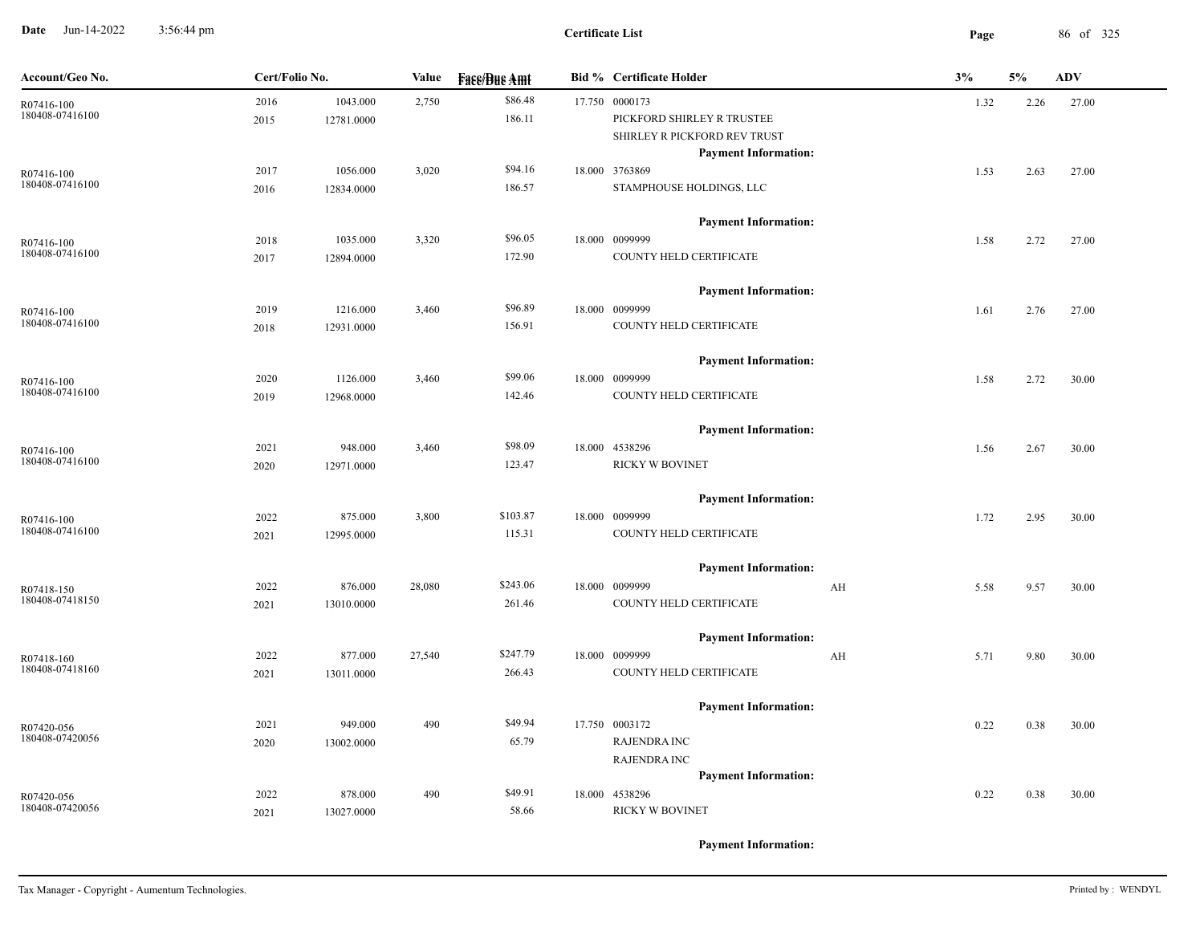**Date** Jun-14-2022 3:56:44 pm **Page** 86 of 325 3:56:44 pm

| Account/Geo No.               | Cert/Folio No. |            | Value  | <b>Fass/Bus Amt</b> | <b>Bid % Certificate Holder</b>               | 3%                      |      | 5%   | <b>ADV</b> |
|-------------------------------|----------------|------------|--------|---------------------|-----------------------------------------------|-------------------------|------|------|------------|
| R07416-100                    | 2016           | 1043.000   | 2,750  | \$86.48             | 17.750 0000173                                |                         | 1.32 | 2.26 | 27.00      |
| 180408-07416100               | 2015           | 12781.0000 |        | 186.11              | PICKFORD SHIRLEY R TRUSTEE                    |                         |      |      |            |
|                               |                |            |        |                     | SHIRLEY R PICKFORD REV TRUST                  |                         |      |      |            |
|                               |                |            |        |                     | <b>Payment Information:</b>                   |                         |      |      |            |
| R07416-100                    | 2017           | 1056.000   | 3,020  | \$94.16             | 18.000 3763869                                |                         | 1.53 | 2.63 | 27.00      |
| 180408-07416100               | 2016           | 12834.0000 |        | 186.57              | STAMPHOUSE HOLDINGS, LLC                      |                         |      |      |            |
|                               |                |            |        |                     |                                               |                         |      |      |            |
|                               |                |            |        |                     | <b>Payment Information:</b>                   |                         |      |      |            |
| R07416-100<br>180408-07416100 | 2018           | 1035.000   | 3,320  | \$96.05             | 18.000 0099999                                |                         | 1.58 | 2.72 | 27.00      |
|                               | 2017           | 12894.0000 |        | 172.90              | COUNTY HELD CERTIFICATE                       |                         |      |      |            |
|                               |                |            |        |                     | <b>Payment Information:</b>                   |                         |      |      |            |
| R07416-100                    | 2019           | 1216.000   | 3,460  | \$96.89             | 18.000 0099999                                |                         | 1.61 | 2.76 | 27.00      |
| 180408-07416100               | 2018           | 12931.0000 |        | 156.91              | COUNTY HELD CERTIFICATE                       |                         |      |      |            |
|                               |                |            |        |                     |                                               |                         |      |      |            |
|                               |                |            |        |                     | <b>Payment Information:</b>                   |                         |      |      |            |
| R07416-100                    | 2020           | 1126.000   | 3,460  | \$99.06             | 18.000 0099999                                |                         | 1.58 | 2.72 | 30.00      |
| 180408-07416100               | 2019           | 12968.0000 |        | 142.46              | COUNTY HELD CERTIFICATE                       |                         |      |      |            |
|                               |                |            |        |                     | <b>Payment Information:</b>                   |                         |      |      |            |
|                               | 2021           | 948.000    | 3,460  | \$98.09             | 18.000 4538296                                |                         | 1.56 | 2.67 | 30.00      |
| R07416-100<br>180408-07416100 | 2020           | 12971.0000 |        | 123.47              | <b>RICKY W BOVINET</b>                        |                         |      |      |            |
|                               |                |            |        |                     |                                               |                         |      |      |            |
|                               |                |            |        |                     | <b>Payment Information:</b>                   |                         |      |      |            |
| R07416-100                    | 2022           | 875.000    | 3,800  | \$103.87            | 18.000 0099999                                |                         | 1.72 | 2.95 | 30.00      |
| 180408-07416100               | 2021           | 12995.0000 |        | 115.31              | COUNTY HELD CERTIFICATE                       |                         |      |      |            |
|                               |                |            |        |                     |                                               |                         |      |      |            |
|                               | 2022           | 876.000    | 28,080 | \$243.06            | <b>Payment Information:</b><br>18.000 0099999 |                         |      |      | 30.00      |
| R07418-150<br>180408-07418150 | 2021           | 13010.0000 |        | 261.46              | COUNTY HELD CERTIFICATE                       | AH                      | 5.58 | 9.57 |            |
|                               |                |            |        |                     |                                               |                         |      |      |            |
|                               |                |            |        |                     | <b>Payment Information:</b>                   |                         |      |      |            |
| R07418-160                    | 2022           | 877.000    | 27,540 | \$247.79            | 18.000 0099999                                | $\mathbf{A} \mathbf{H}$ | 5.71 | 9.80 | 30.00      |
| 180408-07418160               | 2021           | 13011.0000 |        | 266.43              | COUNTY HELD CERTIFICATE                       |                         |      |      |            |
|                               |                |            |        |                     |                                               |                         |      |      |            |
|                               |                |            |        |                     | <b>Payment Information:</b>                   |                         |      |      |            |
| R07420-056<br>180408-07420056 | 2021           | 949.000    | 490    | \$49.94             | 17.750 0003172                                |                         | 0.22 | 0.38 | 30.00      |
|                               | 2020           | 13002.0000 |        | 65.79               | <b>RAJENDRA INC</b>                           |                         |      |      |            |
|                               |                |            |        |                     | <b>RAJENDRA INC</b>                           |                         |      |      |            |
|                               |                |            |        | \$49.91             | <b>Payment Information:</b>                   |                         |      |      |            |
| R07420-056<br>180408-07420056 | 2022           | 878.000    | 490    | 58.66               | 18.000 4538296<br>RICKY W BOVINET             |                         | 0.22 | 0.38 | 30.00      |
|                               | 2021           | 13027.0000 |        |                     |                                               |                         |      |      |            |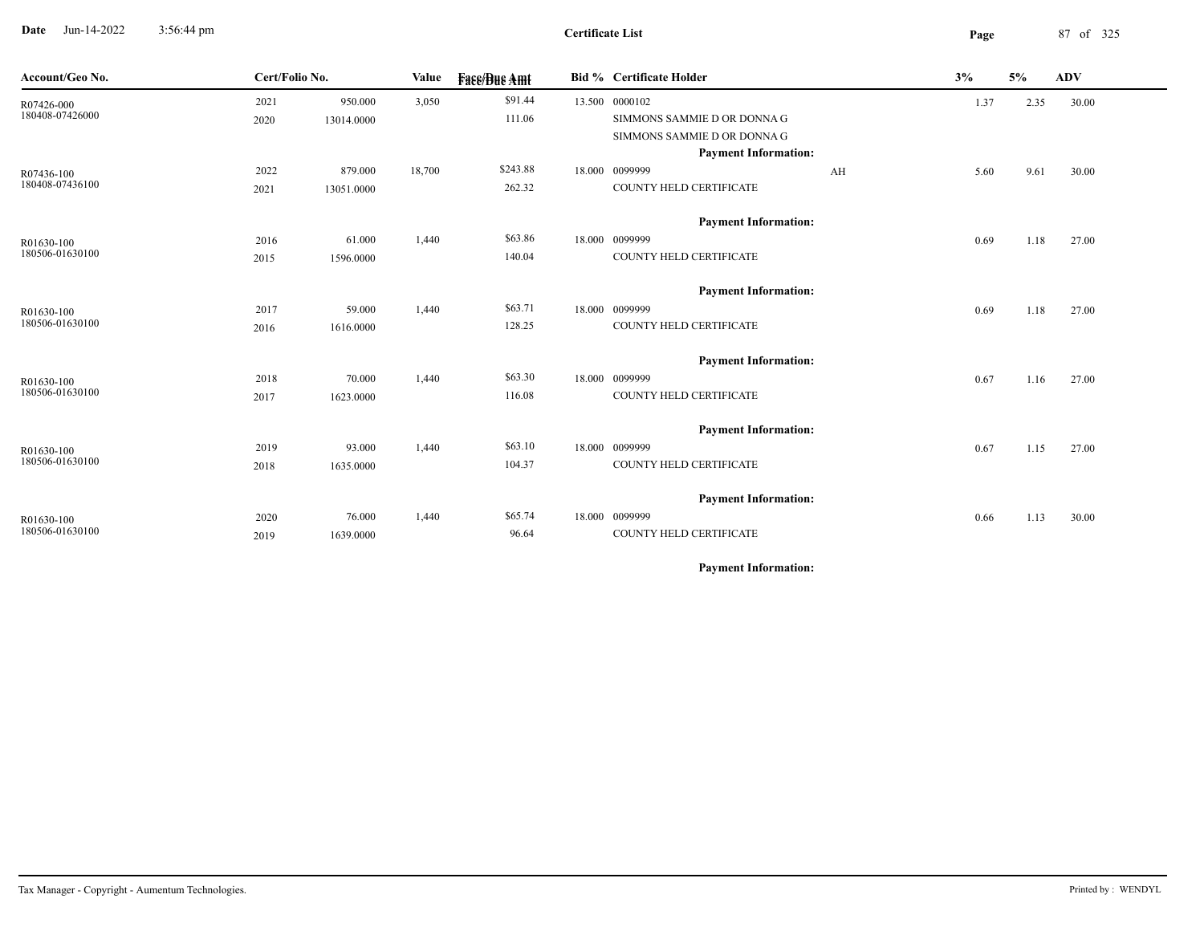**Date** Jun-14-2022 3:56:44 pm **Page** 87 of 325 3:56:44 pm

| Account/Geo No. | Cert/Folio No. |            | Value  | <b>Face/Bue Amt</b> |        | Bid % Certificate Holder    | 3%<br>5%<br><b>ADV</b> |      |       |  |
|-----------------|----------------|------------|--------|---------------------|--------|-----------------------------|------------------------|------|-------|--|
| R07426-000      | 2021           | 950.000    | 3,050  | \$91.44             |        | 13.500 0000102              | 1.37                   | 2.35 | 30.00 |  |
| 180408-07426000 | 2020           | 13014.0000 |        | 111.06              |        | SIMMONS SAMMIE D OR DONNA G |                        |      |       |  |
|                 |                |            |        |                     |        | SIMMONS SAMMIE D OR DONNA G |                        |      |       |  |
|                 |                |            |        |                     |        | <b>Payment Information:</b> |                        |      |       |  |
| R07436-100      | 2022           | 879.000    | 18,700 | \$243.88            |        | 18.000 0099999<br>AH        | 5.60                   | 9.61 | 30.00 |  |
| 180408-07436100 | 2021           | 13051.0000 |        | 262.32              |        | COUNTY HELD CERTIFICATE     |                        |      |       |  |
|                 |                |            |        |                     |        | <b>Payment Information:</b> |                        |      |       |  |
| R01630-100      | 2016           | 61.000     | 1,440  | \$63.86             |        | 18.000 0099999              | 0.69                   | 1.18 | 27.00 |  |
| 180506-01630100 | 2015           | 1596.0000  |        | 140.04              |        | COUNTY HELD CERTIFICATE     |                        |      |       |  |
|                 |                |            |        |                     |        | <b>Payment Information:</b> |                        |      |       |  |
| R01630-100      | 2017           | 59.000     | 1,440  | \$63.71             | 18.000 | 0099999                     | 0.69                   | 1.18 | 27.00 |  |
| 180506-01630100 | 2016           | 1616.0000  |        | 128.25              |        | COUNTY HELD CERTIFICATE     |                        |      |       |  |
|                 |                |            |        |                     |        | <b>Payment Information:</b> |                        |      |       |  |
| R01630-100      | 2018           | 70.000     | 1,440  | \$63.30             |        | 18.000 0099999              | 0.67                   | 1.16 | 27.00 |  |
| 180506-01630100 | 2017           | 1623.0000  |        | 116.08              |        | COUNTY HELD CERTIFICATE     |                        |      |       |  |
|                 |                |            |        |                     |        | <b>Payment Information:</b> |                        |      |       |  |
| R01630-100      | 2019           | 93.000     | 1,440  | \$63.10             |        | 18.000 0099999              | 0.67                   | 1.15 | 27.00 |  |
| 180506-01630100 | 2018           | 1635.0000  |        | 104.37              |        | COUNTY HELD CERTIFICATE     |                        |      |       |  |
|                 |                |            |        |                     |        | <b>Payment Information:</b> |                        |      |       |  |
| R01630-100      | 2020           | 76.000     | 1,440  | \$65.74             |        | 18.000 0099999              | 0.66                   | 1.13 | 30.00 |  |
| 180506-01630100 | 2019           | 1639.0000  |        | 96.64               |        | COUNTY HELD CERTIFICATE     |                        |      |       |  |
|                 |                |            |        |                     |        |                             |                        |      |       |  |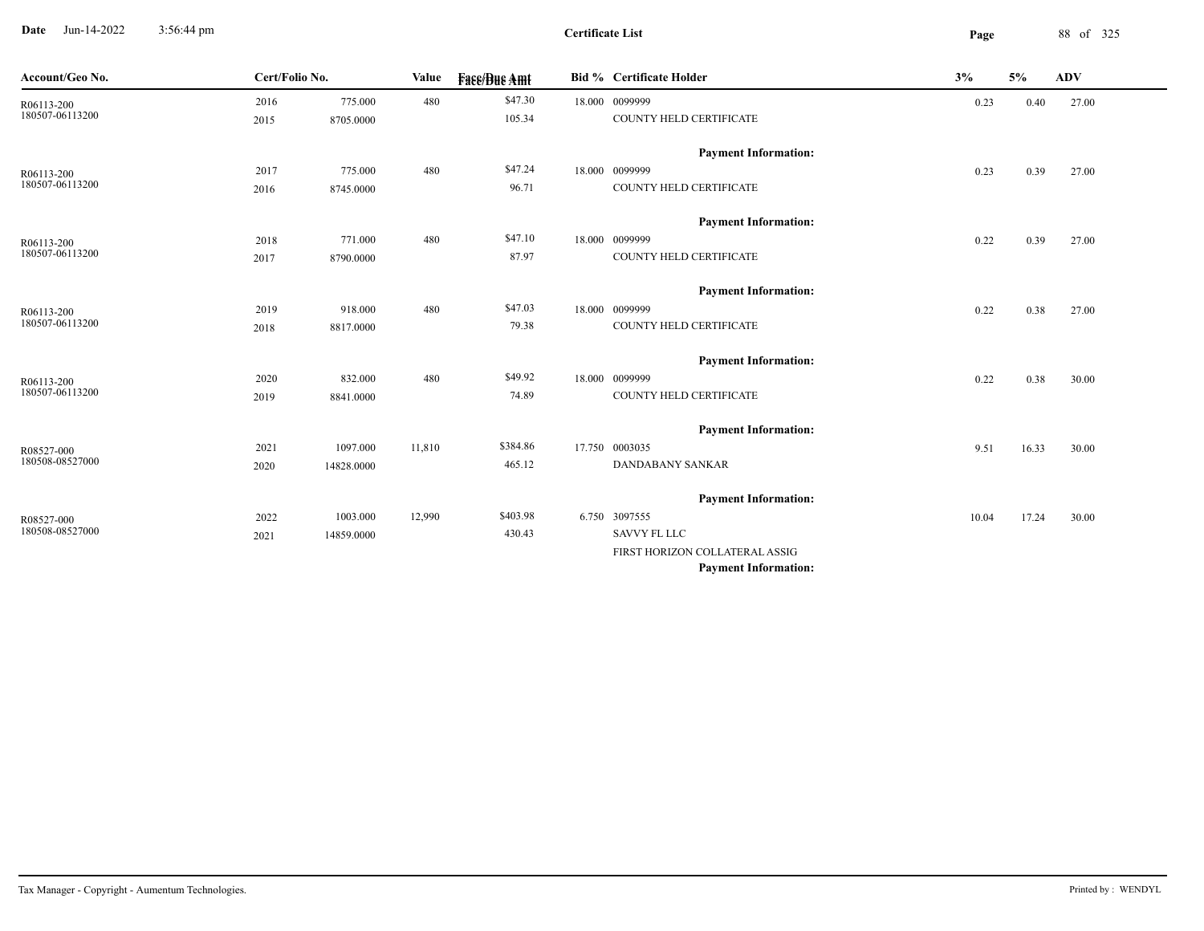**Date** Jun-14-2022 3:56:44 pm **Page** 88 of 325 3:56:44 pm

 $\overline{\phantom{a}}$ 

| Account/Geo No. | Cert/Folio No. |            | Value  | <b>Fase/Bue Amt</b> | <b>Bid % Certificate Holder</b> | 3%    | 5%    | <b>ADV</b> |  |
|-----------------|----------------|------------|--------|---------------------|---------------------------------|-------|-------|------------|--|
| R06113-200      | 2016           | 775.000    | 480    | \$47.30             | 18.000 0099999                  | 0.23  | 0.40  | 27.00      |  |
| 180507-06113200 | 2015           | 8705.0000  |        | 105.34              | COUNTY HELD CERTIFICATE         |       |       |            |  |
|                 |                |            |        |                     | <b>Payment Information:</b>     |       |       |            |  |
| R06113-200      | 2017           | 775.000    | 480    | \$47.24             | 18.000 0099999                  | 0.23  | 0.39  | 27.00      |  |
| 180507-06113200 | 2016           | 8745.0000  |        | 96.71               | COUNTY HELD CERTIFICATE         |       |       |            |  |
|                 |                |            |        |                     | <b>Payment Information:</b>     |       |       |            |  |
| R06113-200      | 2018           | 771.000    | 480    | \$47.10             | 18.000 0099999                  | 0.22  | 0.39  | 27.00      |  |
| 180507-06113200 | 2017           | 8790.0000  |        | 87.97               | COUNTY HELD CERTIFICATE         |       |       |            |  |
|                 |                |            |        |                     | <b>Payment Information:</b>     |       |       |            |  |
| R06113-200      | 2019           | 918.000    | 480    | \$47.03             | 18.000 0099999                  | 0.22  | 0.38  | 27.00      |  |
| 180507-06113200 | 2018           | 8817.0000  |        | 79.38               | COUNTY HELD CERTIFICATE         |       |       |            |  |
|                 |                |            |        |                     | <b>Payment Information:</b>     |       |       |            |  |
| R06113-200      | 2020           | 832.000    | 480    | \$49.92             | 18.000 0099999                  | 0.22  | 0.38  | 30.00      |  |
| 180507-06113200 | 2019           | 8841.0000  |        | 74.89               | COUNTY HELD CERTIFICATE         |       |       |            |  |
|                 |                |            |        |                     | <b>Payment Information:</b>     |       |       |            |  |
| R08527-000      | 2021           | 1097.000   | 11,810 | \$384.86            | 17.750 0003035                  | 9.51  | 16.33 | 30.00      |  |
| 180508-08527000 | 2020           | 14828.0000 |        | 465.12              | DANDABANY SANKAR                |       |       |            |  |
|                 |                |            |        |                     | <b>Payment Information:</b>     |       |       |            |  |
| R08527-000      | 2022           | 1003.000   | 12,990 | \$403.98            | 6.750 3097555                   | 10.04 | 17.24 | 30.00      |  |
| 180508-08527000 | 2021           | 14859.0000 |        | 430.43              | <b>SAVVY FL LLC</b>             |       |       |            |  |
|                 |                |            |        |                     | FIRST HORIZON COLLATERAL ASSIG  |       |       |            |  |
|                 |                |            |        |                     | <b>Payment Information:</b>     |       |       |            |  |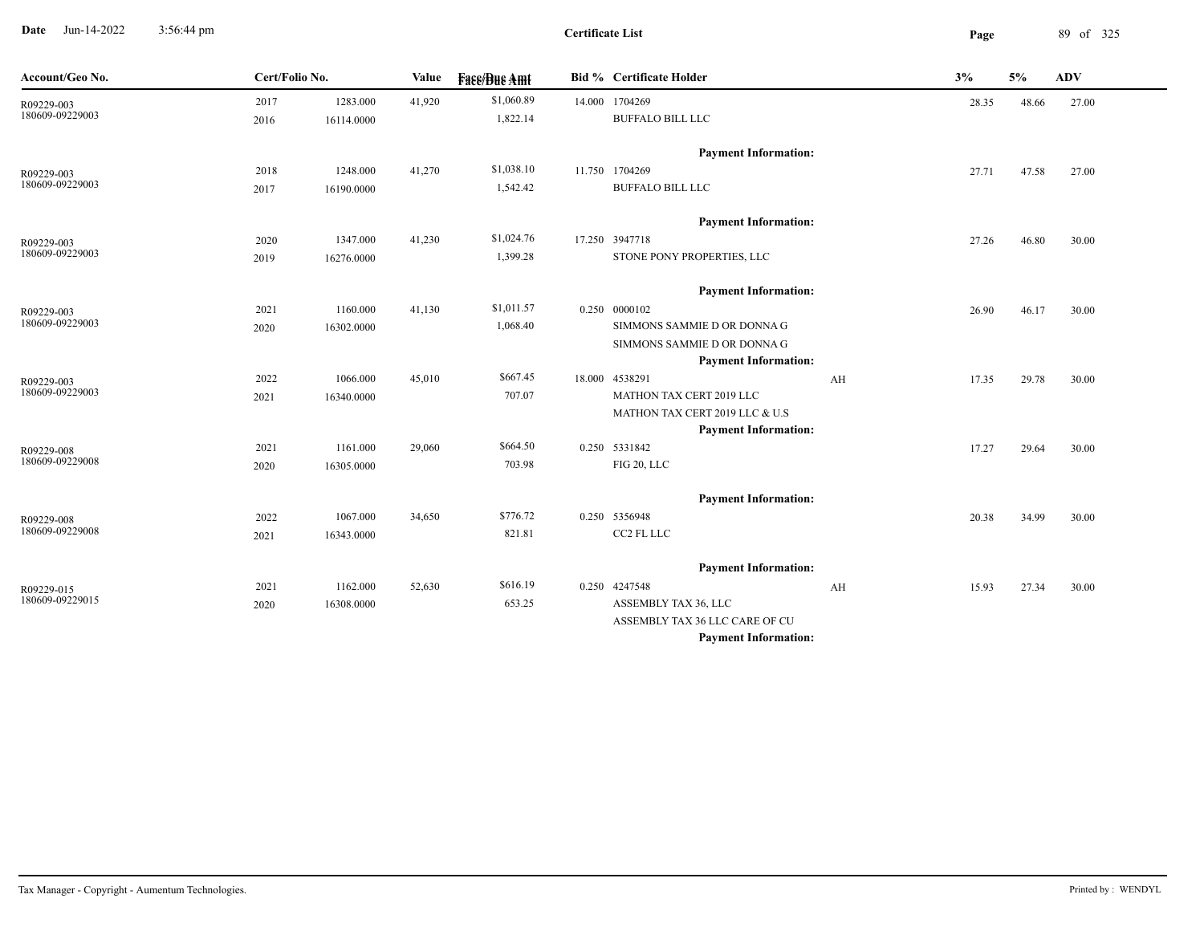**Date** Jun-14-2022 3:56:44 pm **Page** 89 of 325 3:56:44 pm

| Account/Geo No.               | Cert/Folio No. |            | Value  | <b>Face/Bue Amt</b> | <b>Bid % Certificate Holder</b> |    | 3%    | 5%    | <b>ADV</b> |
|-------------------------------|----------------|------------|--------|---------------------|---------------------------------|----|-------|-------|------------|
| R09229-003                    | 2017           | 1283.000   | 41,920 | \$1,060.89          | 14.000 1704269                  |    | 28.35 | 48.66 | 27.00      |
| 180609-09229003               | 2016           | 16114.0000 |        | 1,822.14            | <b>BUFFALO BILL LLC</b>         |    |       |       |            |
|                               |                |            |        |                     | <b>Payment Information:</b>     |    |       |       |            |
| R09229-003                    | 2018           | 1248.000   | 41,270 | \$1,038.10          | 11.750 1704269                  |    | 27.71 | 47.58 | 27.00      |
| 180609-09229003               | 2017           | 16190.0000 |        | 1,542.42            | BUFFALO BILL LLC                |    |       |       |            |
|                               |                |            |        |                     | <b>Payment Information:</b>     |    |       |       |            |
| R09229-003                    | 2020           | 1347.000   | 41,230 | \$1,024.76          | 17.250 3947718                  |    | 27.26 | 46.80 | 30.00      |
| 180609-09229003               | 2019           | 16276.0000 |        | 1,399.28            | STONE PONY PROPERTIES, LLC      |    |       |       |            |
|                               |                |            |        |                     | <b>Payment Information:</b>     |    |       |       |            |
| R09229-003                    | 2021           | 1160.000   | 41,130 | \$1,011.57          | 0.250 0000102                   |    | 26.90 | 46.17 | 30.00      |
| 180609-09229003               | 2020           | 16302.0000 |        | 1,068.40            | SIMMONS SAMMIE D OR DONNA G     |    |       |       |            |
|                               |                |            |        |                     | SIMMONS SAMMIE D OR DONNA G     |    |       |       |            |
|                               |                |            |        |                     | <b>Payment Information:</b>     |    |       |       |            |
| R09229-003                    | 2022           | 1066.000   | 45,010 | \$667.45            | 18.000 4538291                  | AH | 17.35 | 29.78 | 30.00      |
| 180609-09229003               | 2021           | 16340.0000 |        | 707.07              | MATHON TAX CERT 2019 LLC        |    |       |       |            |
|                               |                |            |        |                     | MATHON TAX CERT 2019 LLC & U.S  |    |       |       |            |
|                               |                |            |        |                     | <b>Payment Information:</b>     |    |       |       |            |
| R09229-008<br>180609-09229008 | 2021           | 1161.000   | 29,060 | \$664.50            | 0.250 5331842                   |    | 17.27 | 29.64 | 30.00      |
|                               | 2020           | 16305.0000 |        | 703.98              | FIG 20, LLC                     |    |       |       |            |
|                               |                |            |        |                     | <b>Payment Information:</b>     |    |       |       |            |
| R09229-008<br>180609-09229008 | 2022           | 1067.000   | 34,650 | \$776.72            | 0.250 5356948                   |    | 20.38 | 34.99 | 30.00      |
|                               | 2021           | 16343.0000 |        | 821.81              | CC2 FL LLC                      |    |       |       |            |
|                               |                |            |        |                     | <b>Payment Information:</b>     |    |       |       |            |
| R09229-015                    | 2021           | 1162.000   | 52,630 | \$616.19            | 0.250 4247548                   | AH | 15.93 | 27.34 | 30.00      |
| 180609-09229015               | 2020           | 16308.0000 |        | 653.25              | ASSEMBLY TAX 36, LLC            |    |       |       |            |
|                               |                |            |        |                     | ASSEMBLY TAX 36 LLC CARE OF CU  |    |       |       |            |
|                               |                |            |        |                     | <b>Payment Information:</b>     |    |       |       |            |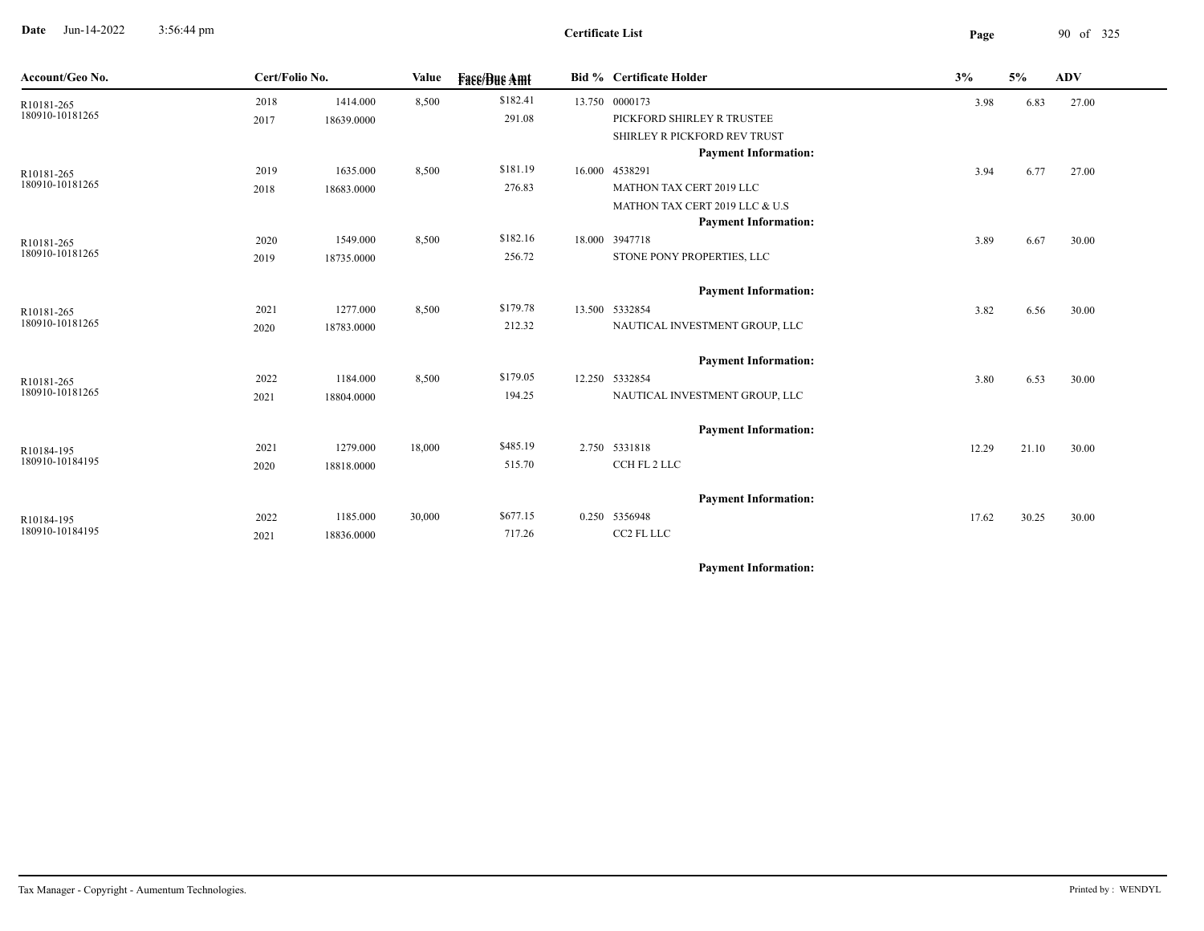**Date** Jun-14-2022 3:56:44 pm **Page** 90 of 325 3:56:44 pm

| Account/Geo No. | Cert/Folio No. |            | Value  | <b>Face/Bue Amt</b> | Bid % Certificate Holder       | 3%    | 5%    | ADV   |
|-----------------|----------------|------------|--------|---------------------|--------------------------------|-------|-------|-------|
| R10181-265      | 2018           | 1414.000   | 8,500  | \$182.41            | 13.750 0000173                 | 3.98  | 6.83  | 27.00 |
| 180910-10181265 | 2017           | 18639.0000 |        | 291.08              | PICKFORD SHIRLEY R TRUSTEE     |       |       |       |
|                 |                |            |        |                     | SHIRLEY R PICKFORD REV TRUST   |       |       |       |
|                 |                |            |        |                     | <b>Payment Information:</b>    |       |       |       |
| R10181-265      | 2019           | 1635.000   | 8,500  | \$181.19            | 16.000 4538291                 | 3.94  | 6.77  | 27.00 |
| 180910-10181265 | 2018           | 18683.0000 |        | 276.83              | MATHON TAX CERT 2019 LLC       |       |       |       |
|                 |                |            |        |                     | MATHON TAX CERT 2019 LLC & U.S |       |       |       |
|                 |                |            |        |                     | <b>Payment Information:</b>    |       |       |       |
| R10181-265      | 2020           | 1549.000   | 8,500  | \$182.16            | 18.000 3947718                 | 3.89  | 6.67  | 30.00 |
| 180910-10181265 | 2019           | 18735.0000 |        | 256.72              | STONE PONY PROPERTIES, LLC     |       |       |       |
|                 |                |            |        |                     | <b>Payment Information:</b>    |       |       |       |
| R10181-265      | 2021           | 1277.000   | 8,500  | \$179.78            | 13.500 5332854                 | 3.82  | 6.56  | 30.00 |
| 180910-10181265 | 2020           | 18783.0000 |        | 212.32              | NAUTICAL INVESTMENT GROUP, LLC |       |       |       |
|                 |                |            |        |                     | <b>Payment Information:</b>    |       |       |       |
| R10181-265      | 2022           | 1184.000   | 8,500  | \$179.05            | 12.250 5332854                 | 3.80  | 6.53  | 30.00 |
| 180910-10181265 | 2021           | 18804.0000 |        | 194.25              | NAUTICAL INVESTMENT GROUP, LLC |       |       |       |
|                 |                |            |        |                     | <b>Payment Information:</b>    |       |       |       |
| R10184-195      | 2021           | 1279.000   | 18,000 | \$485.19            | 2.750 5331818                  | 12.29 | 21.10 | 30.00 |
| 180910-10184195 | 2020           | 18818.0000 |        | 515.70              | CCH FL 2 LLC                   |       |       |       |
|                 |                |            |        |                     |                                |       |       |       |
|                 |                |            |        |                     | <b>Payment Information:</b>    |       |       |       |
| R10184-195      | 2022           | 1185.000   | 30,000 | \$677.15            | 0.250 5356948                  | 17.62 | 30.25 | 30.00 |
| 180910-10184195 | 2021           | 18836.0000 |        | 717.26              | CC2 FL LLC                     |       |       |       |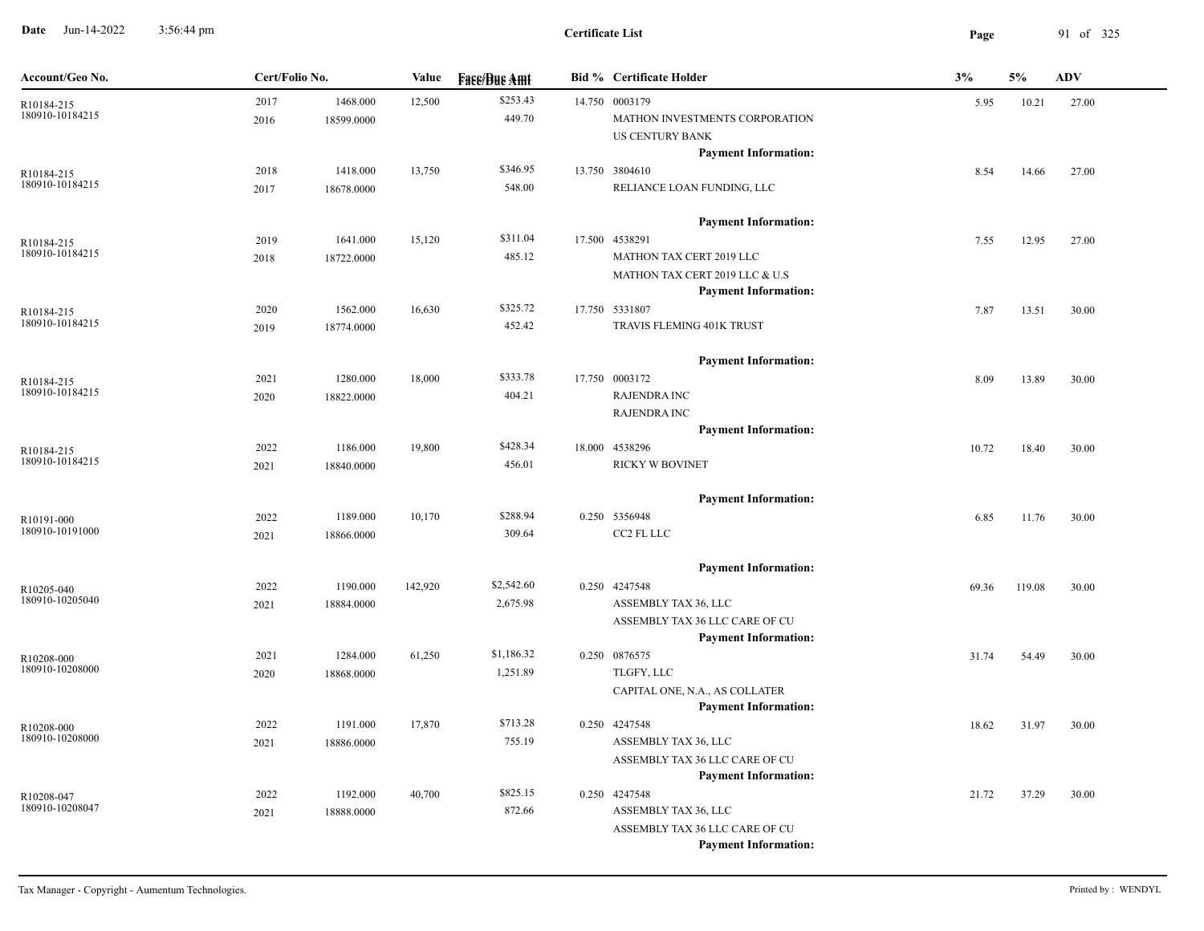**Date** Jun-14-2022 3:56:44 pm **Page** 91 of 325 3:56:44 pm

| Account/Geo No.               | Cert/Folio No.<br>Value |                        | <b>Fase/Bue Amt</b> | <b>Bid % Certificate Holder</b> | 3%                                                                                                                                    | 5%    | <b>ADV</b> |       |
|-------------------------------|-------------------------|------------------------|---------------------|---------------------------------|---------------------------------------------------------------------------------------------------------------------------------------|-------|------------|-------|
| R10184-215<br>180910-10184215 | 2017<br>2016            | 1468.000<br>18599.0000 | 12,500              | \$253.43<br>449.70              | 14.750 0003179<br>MATHON INVESTMENTS CORPORATION<br><b>US CENTURY BANK</b>                                                            | 5.95  | 10.21      | 27.00 |
| R10184-215<br>180910-10184215 | 2018<br>2017            | 1418.000<br>18678.0000 | 13,750              | \$346.95<br>548.00              | <b>Payment Information:</b><br>13.750 3804610<br>RELIANCE LOAN FUNDING, LLC                                                           | 8.54  | 14.66      | 27.00 |
| R10184-215<br>180910-10184215 | 2019<br>2018            | 1641.000<br>18722.0000 | 15,120              | \$311.04<br>485.12              | <b>Payment Information:</b><br>17.500 4538291<br>MATHON TAX CERT 2019 LLC<br>MATHON TAX CERT 2019 LLC & U.S                           | 7.55  | 12.95      | 27.00 |
| R10184-215<br>180910-10184215 | 2020<br>2019            | 1562.000<br>18774.0000 | 16,630              | \$325.72<br>452.42              | <b>Payment Information:</b><br>17.750 5331807<br>TRAVIS FLEMING 401K TRUST                                                            | 7.87  | 13.51      | 30.00 |
| R10184-215<br>180910-10184215 | 2021<br>2020            | 1280.000<br>18822.0000 | 18,000              | \$333.78<br>404.21              | <b>Payment Information:</b><br>17.750 0003172<br><b>RAJENDRA INC</b><br><b>RAJENDRA INC</b>                                           | 8.09  | 13.89      | 30.00 |
| R10184-215<br>180910-10184215 | 2022<br>2021            | 1186.000<br>18840.0000 | 19,800              | \$428.34<br>456.01              | <b>Payment Information:</b><br>18.000 4538296<br>RICKY W BOVINET                                                                      | 10.72 | 18.40      | 30.00 |
| R10191-000<br>180910-10191000 | 2022<br>2021            | 1189.000<br>18866.0000 | 10,170              | \$288.94<br>309.64              | <b>Payment Information:</b><br>0.250 5356948<br>CC2 FL LLC                                                                            | 6.85  | 11.76      | 30.00 |
| R10205-040<br>180910-10205040 | 2022<br>2021            | 1190.000<br>18884.0000 | 142,920             | \$2,542.60<br>2,675.98          | <b>Payment Information:</b><br>0.250 4247548<br>ASSEMBLY TAX 36, LLC<br>ASSEMBLY TAX 36 LLC CARE OF CU                                | 69.36 | 119.08     | 30.00 |
| R10208-000<br>180910-10208000 | 2021<br>2020            | 1284.000<br>18868.0000 | 61,250              | \$1,186.32<br>1,251.89          | <b>Payment Information:</b><br>0.250 0876575<br>TLGFY, LLC<br>CAPITAL ONE, N.A., AS COLLATER                                          | 31.74 | 54.49      | 30.00 |
| R10208-000<br>180910-10208000 | 2022<br>2021            | 1191.000<br>18886.0000 | 17,870              | \$713.28<br>755.19              | <b>Payment Information:</b><br>0.250 4247548<br>ASSEMBLY TAX 36, LLC<br>ASSEMBLY TAX 36 LLC CARE OF CU                                | 18.62 | 31.97      | 30.00 |
| R10208-047<br>180910-10208047 | 2022<br>2021            | 1192.000<br>18888.0000 | 40,700              | \$825.15<br>872.66              | <b>Payment Information:</b><br>0.250 4247548<br>ASSEMBLY TAX 36, LLC<br>ASSEMBLY TAX 36 LLC CARE OF CU<br><b>Payment Information:</b> | 21.72 | 37.29      | 30.00 |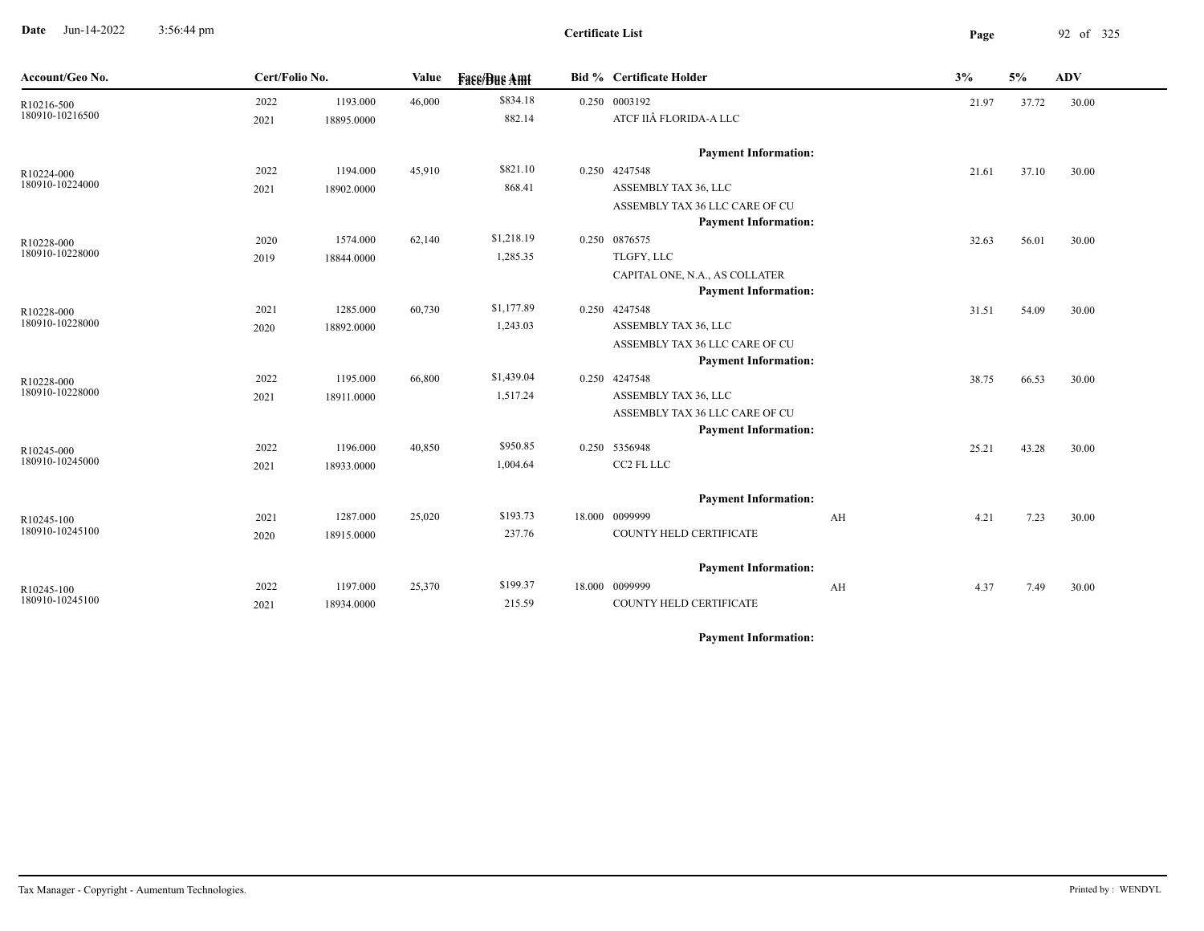**Date** Jun-14-2022 3:56:44 pm **Page** 92 of 325 3:56:44 pm

| Account/Geo No.               | Cert/Folio No. |                        | <b>Value</b> | <b>Face/Bue Amt</b> | <b>Bid % Certificate Holder</b>              |    | 3%    | 5%    | <b>ADV</b> |
|-------------------------------|----------------|------------------------|--------------|---------------------|----------------------------------------------|----|-------|-------|------------|
| R10216-500                    | 2022           | 1193.000               | 46,000       | \$834.18            | 0.250 0003192                                |    | 21.97 | 37.72 | 30.00      |
| 180910-10216500               | 2021           | 18895.0000             |              | 882.14              | ATCF IIÂ FLORIDA-A LLC                       |    |       |       |            |
|                               |                |                        |              |                     | <b>Payment Information:</b>                  |    |       |       |            |
| R10224-000                    | 2022           | 1194.000               | 45,910       | \$821.10            | 0.250 4247548                                |    | 21.61 | 37.10 | 30.00      |
| 180910-10224000               | 2021           | 18902.0000             |              | 868.41              | ASSEMBLY TAX 36, LLC                         |    |       |       |            |
|                               |                |                        |              |                     | ASSEMBLY TAX 36 LLC CARE OF CU               |    |       |       |            |
|                               |                |                        |              |                     | <b>Payment Information:</b>                  |    |       |       |            |
| R10228-000                    | 2020           | 1574.000               | 62,140       | \$1,218.19          | 0.250 0876575                                |    | 32.63 | 56.01 | 30.00      |
| 180910-10228000               | 2019           | 18844.0000             |              | 1,285.35            | TLGFY, LLC                                   |    |       |       |            |
|                               |                |                        |              |                     | CAPITAL ONE, N.A., AS COLLATER               |    |       |       |            |
|                               |                |                        |              | \$1,177.89          | <b>Payment Information:</b><br>0.250 4247548 |    |       |       |            |
| R10228-000<br>180910-10228000 | 2021<br>2020   | 1285.000<br>18892.0000 | 60,730       | 1,243.03            | ASSEMBLY TAX 36, LLC                         |    | 31.51 | 54.09 | 30.00      |
|                               |                |                        |              |                     | ASSEMBLY TAX 36 LLC CARE OF CU               |    |       |       |            |
|                               |                |                        |              |                     | <b>Payment Information:</b>                  |    |       |       |            |
| R10228-000                    | 2022           | 1195.000               | 66,800       | \$1,439.04          | 0.250 4247548                                |    | 38.75 | 66.53 | 30.00      |
| 180910-10228000               | 2021           | 18911.0000             |              | 1,517.24            | ASSEMBLY TAX 36, LLC                         |    |       |       |            |
|                               |                |                        |              |                     | ASSEMBLY TAX 36 LLC CARE OF CU               |    |       |       |            |
|                               |                |                        |              |                     | <b>Payment Information:</b>                  |    |       |       |            |
| R10245-000                    | 2022           | 1196.000               | 40,850       | \$950.85            | 0.250 5356948                                |    | 25.21 | 43.28 | 30.00      |
| 180910-10245000               | 2021           | 18933.0000             |              | 1,004.64            | CC2 FL LLC                                   |    |       |       |            |
|                               |                |                        |              |                     | <b>Payment Information:</b>                  |    |       |       |            |
| R10245-100                    | 2021           | 1287.000               | 25,020       | \$193.73            | 18.000 0099999                               | AH | 4.21  | 7.23  | 30.00      |
| 180910-10245100               | 2020           | 18915.0000             |              | 237.76              | COUNTY HELD CERTIFICATE                      |    |       |       |            |
|                               |                |                        |              |                     | <b>Payment Information:</b>                  |    |       |       |            |
| R10245-100                    | 2022           | 1197.000               | 25,370       | \$199.37            | 18.000 0099999                               | AH | 4.37  | 7.49  | 30.00      |
| 180910-10245100               | 2021           | 18934.0000             |              | 215.59              | COUNTY HELD CERTIFICATE                      |    |       |       |            |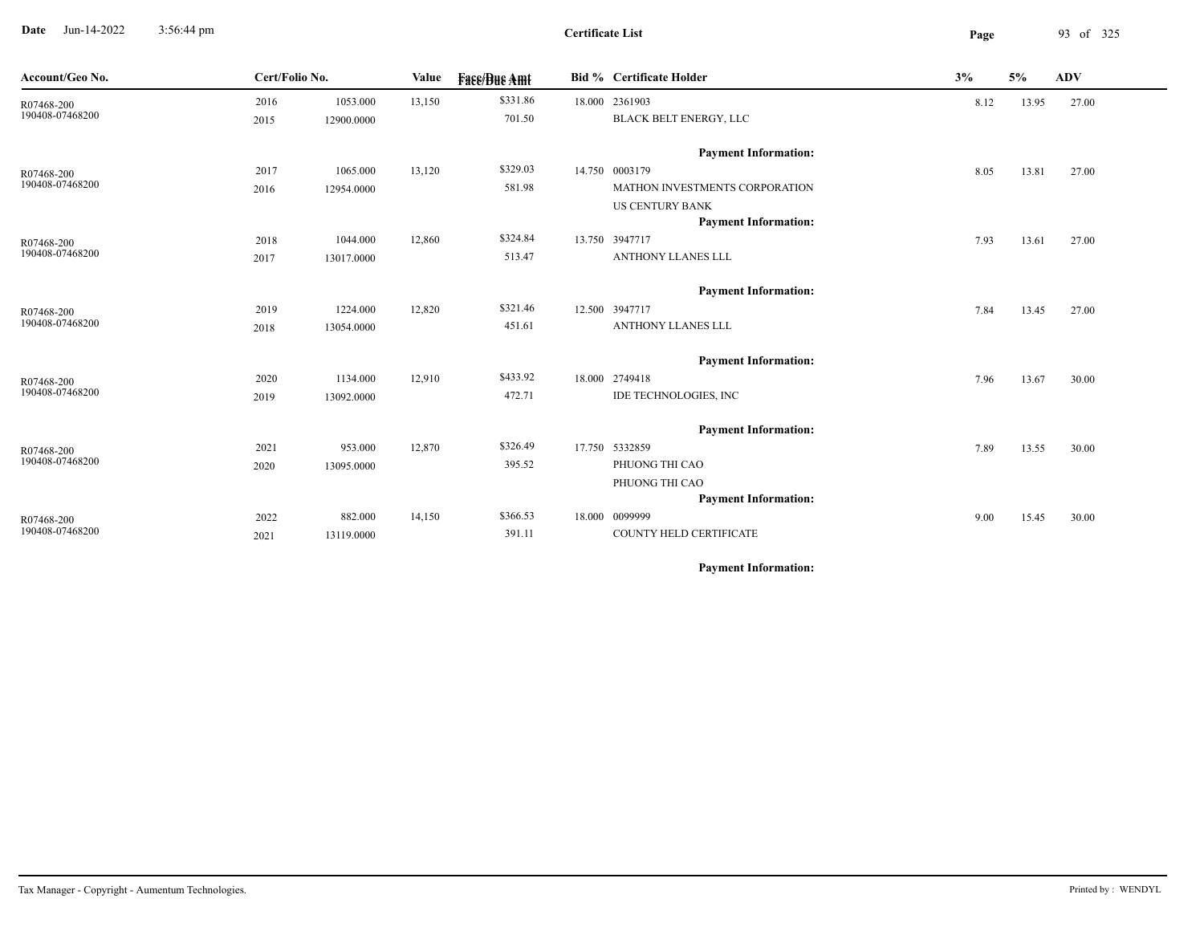**Date** Jun-14-2022 3:56:44 pm **Page** 93 of 325 3:56:44 pm

**Certificate List**

| Account/Geo No.               |      | Cert/Folio No. |        | <b>Fase/Bue Amt</b> |  | <b>Bid % Certificate Holder</b> | 3%   | 5%    | ADV   |
|-------------------------------|------|----------------|--------|---------------------|--|---------------------------------|------|-------|-------|
| R07468-200                    | 2016 | 1053.000       | 13,150 | \$331.86            |  | 18.000 2361903                  | 8.12 | 13.95 | 27.00 |
| 190408-07468200               | 2015 | 12900.0000     |        | 701.50              |  | <b>BLACK BELT ENERGY, LLC</b>   |      |       |       |
|                               |      |                |        |                     |  | <b>Payment Information:</b>     |      |       |       |
| R07468-200                    | 2017 | 1065.000       | 13,120 | \$329.03            |  | 14.750 0003179                  | 8.05 | 13.81 | 27.00 |
| 190408-07468200               | 2016 | 12954.0000     |        | 581.98              |  | MATHON INVESTMENTS CORPORATION  |      |       |       |
|                               |      |                |        |                     |  | <b>US CENTURY BANK</b>          |      |       |       |
|                               |      |                |        |                     |  | <b>Payment Information:</b>     |      |       |       |
| R07468-200<br>190408-07468200 | 2018 | 1044.000       | 12,860 | \$324.84            |  | 13.750 3947717                  | 7.93 | 13.61 | 27.00 |
|                               | 2017 | 13017.0000     |        | 513.47              |  | ANTHONY LLANES LLL              |      |       |       |
|                               |      |                |        |                     |  | <b>Payment Information:</b>     |      |       |       |
| R07468-200                    | 2019 | 1224.000       | 12,820 | \$321.46            |  | 12.500 3947717                  | 7.84 | 13.45 | 27.00 |
| 190408-07468200               | 2018 | 13054.0000     |        | 451.61              |  | ANTHONY LLANES LLL              |      |       |       |
|                               |      |                |        |                     |  | <b>Payment Information:</b>     |      |       |       |
| R07468-200                    | 2020 | 1134.000       | 12,910 | \$433.92            |  | 18.000 2749418                  | 7.96 | 13.67 | 30.00 |
| 190408-07468200               | 2019 | 13092.0000     |        | 472.71              |  | IDE TECHNOLOGIES, INC           |      |       |       |
|                               |      |                |        |                     |  | <b>Payment Information:</b>     |      |       |       |
| R07468-200                    | 2021 | 953.000        | 12,870 | \$326.49            |  | 17.750 5332859                  | 7.89 | 13.55 | 30.00 |
| 190408-07468200               | 2020 | 13095.0000     |        | 395.52              |  | PHUONG THI CAO                  |      |       |       |
|                               |      |                |        |                     |  | PHUONG THI CAO                  |      |       |       |
|                               |      |                |        |                     |  | <b>Payment Information:</b>     |      |       |       |
| R07468-200                    | 2022 | 882.000        | 14,150 | \$366.53            |  | 18.000 0099999                  | 9.00 | 15.45 | 30.00 |
| 190408-07468200               | 2021 | 13119.0000     |        | 391.11              |  | COUNTY HELD CERTIFICATE         |      |       |       |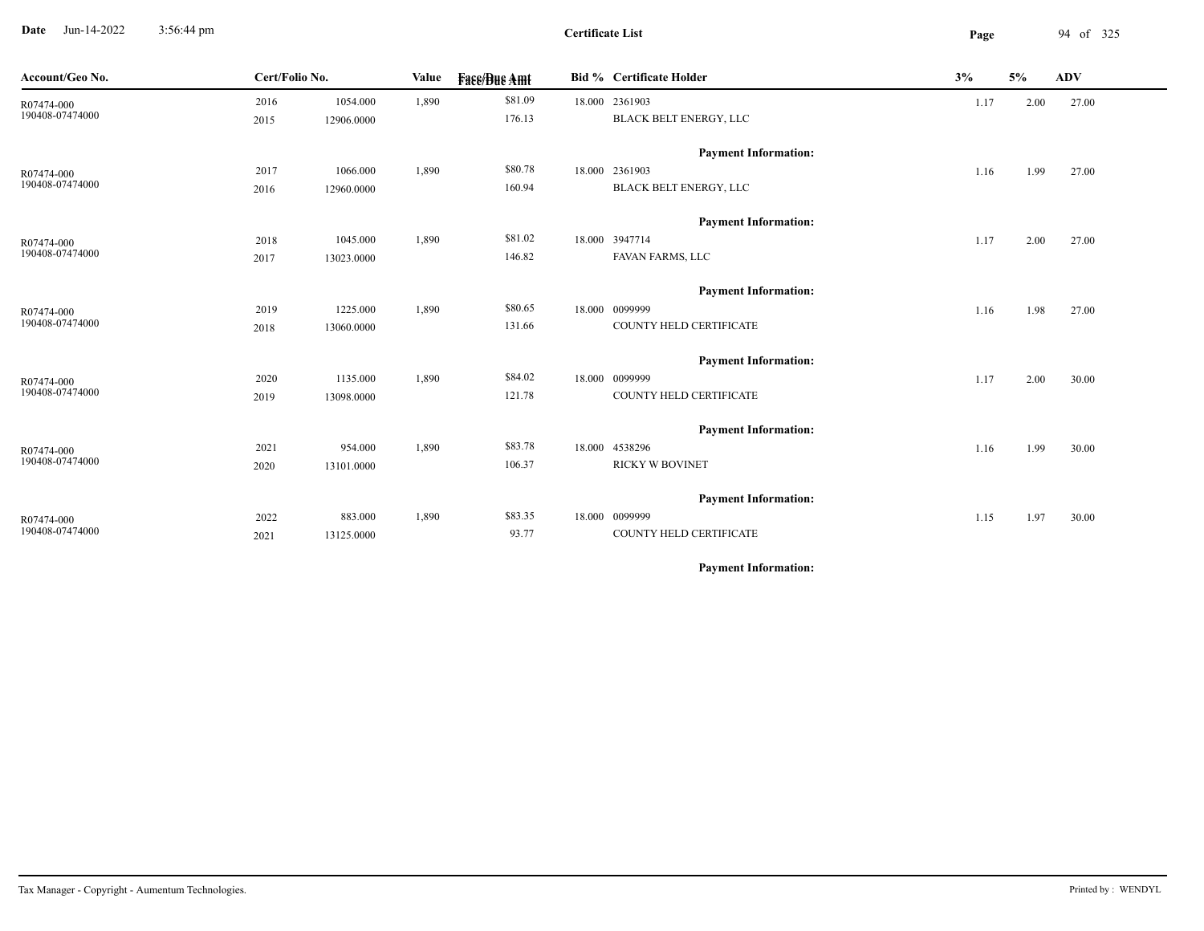**Date** Jun-14-2022 3:56:44 pm **Page** 94 of 325 3:56:44 pm

**Certificate List**

| Account/Geo No.               | Cert/Folio No. |            | Value | <b>Fase/Bue Amt</b> | Bid % Certificate Holder           | 3%   | 5%   | ADV   |
|-------------------------------|----------------|------------|-------|---------------------|------------------------------------|------|------|-------|
| R07474-000                    | 2016           | 1054.000   | 1,890 | \$81.09             | 18.000 2361903                     | 1.17 | 2.00 | 27.00 |
| 190408-07474000               | 2015           | 12906.0000 |       | 176.13              | BLACK BELT ENERGY, LLC             |      |      |       |
|                               |                |            |       |                     | <b>Payment Information:</b>        |      |      |       |
| R07474-000                    | 2017           | 1066.000   | 1,890 | \$80.78             | 18.000 2361903                     | 1.16 | 1.99 | 27.00 |
| 190408-07474000               | 2016           | 12960.0000 |       | 160.94              | BLACK BELT ENERGY, LLC             |      |      |       |
|                               |                |            |       |                     |                                    |      |      |       |
|                               |                |            |       |                     | <b>Payment Information:</b>        |      |      |       |
| R07474-000<br>190408-07474000 | 2018           | 1045.000   | 1,890 | \$81.02<br>146.82   | 18.000 3947714<br>FAVAN FARMS, LLC | 1.17 | 2.00 | 27.00 |
|                               | 2017           | 13023.0000 |       |                     |                                    |      |      |       |
|                               |                |            |       |                     | <b>Payment Information:</b>        |      |      |       |
| R07474-000                    | 2019           | 1225.000   | 1,890 | \$80.65             | 18.000 0099999                     | 1.16 | 1.98 | 27.00 |
| 190408-07474000               | 2018           | 13060.0000 |       | 131.66              | COUNTY HELD CERTIFICATE            |      |      |       |
|                               |                |            |       |                     | <b>Payment Information:</b>        |      |      |       |
| R07474-000                    | 2020           | 1135.000   | 1,890 | \$84.02             | 18.000 0099999                     | 1.17 | 2.00 | 30.00 |
| 190408-07474000               | 2019           | 13098.0000 |       | 121.78              | COUNTY HELD CERTIFICATE            |      |      |       |
|                               |                |            |       |                     |                                    |      |      |       |
|                               |                |            |       |                     | <b>Payment Information:</b>        |      |      |       |
| R07474-000                    | 2021           | 954.000    | 1,890 | \$83.78             | 18.000 4538296                     | 1.16 | 1.99 | 30.00 |
| 190408-07474000               | 2020           | 13101.0000 |       | 106.37              | <b>RICKY W BOVINET</b>             |      |      |       |
|                               |                |            |       |                     | <b>Payment Information:</b>        |      |      |       |
| R07474-000                    | 2022           | 883.000    | 1,890 | \$83.35             | 18.000 0099999                     | 1.15 | 1.97 | 30.00 |
| 190408-07474000               | 2021           | 13125.0000 |       | 93.77               | COUNTY HELD CERTIFICATE            |      |      |       |
|                               |                |            |       |                     |                                    |      |      |       |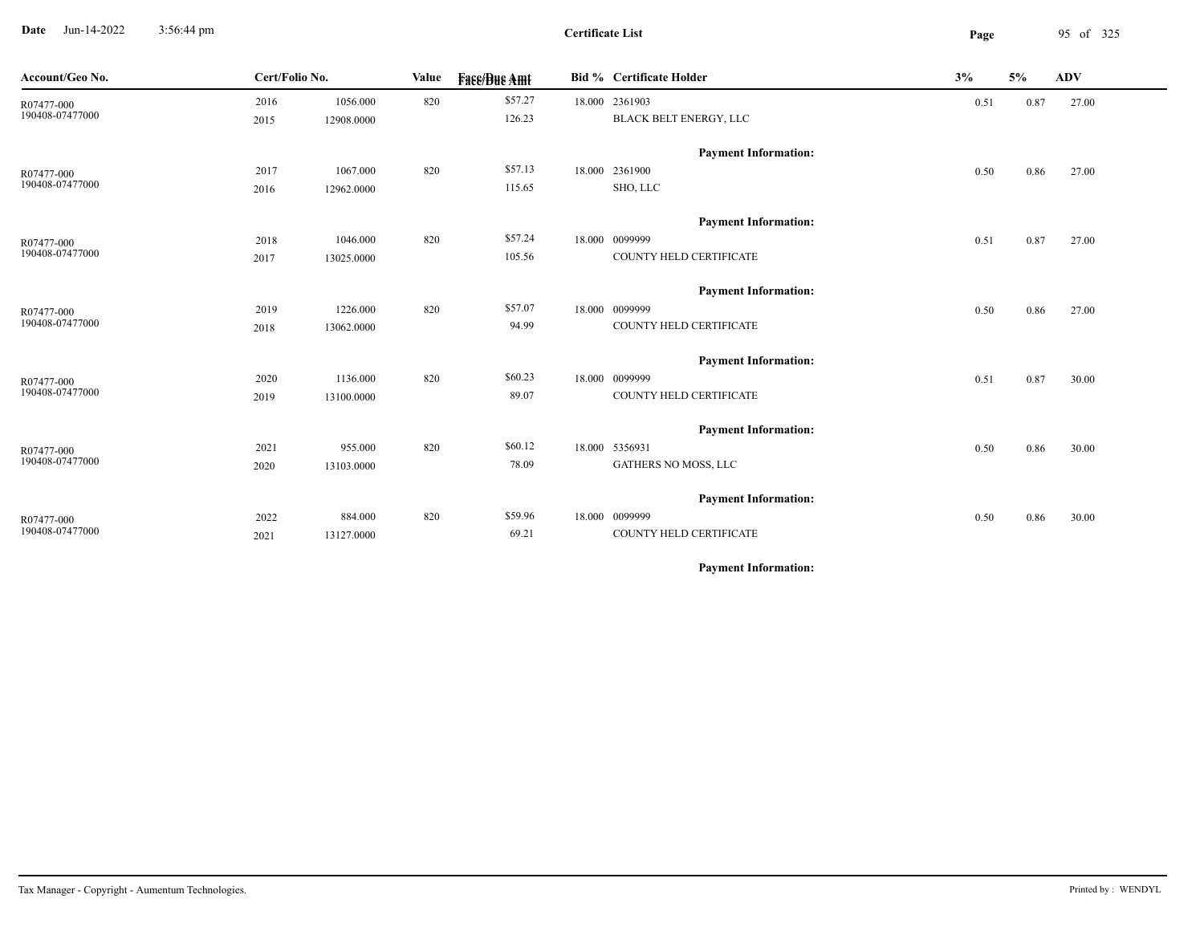**Date** Jun-14-2022 3:56:44 pm **Page** 95 of 325 3:56:44 pm

**Certificate List**

| Cert/Folio No.<br>Account/Geo No. |      | <b>Value</b> |     | <b>Fase/Bue Amt</b> |        | Bid % Certificate Holder    |      | 5%   | ADV   |
|-----------------------------------|------|--------------|-----|---------------------|--------|-----------------------------|------|------|-------|
| R07477-000                        | 2016 | 1056.000     | 820 | \$57.27             |        | 18.000 2361903              | 0.51 | 0.87 | 27.00 |
| 190408-07477000                   | 2015 | 12908.0000   |     | 126.23              |        | BLACK BELT ENERGY, LLC      |      |      |       |
|                                   |      |              |     |                     |        | <b>Payment Information:</b> |      |      |       |
| R07477-000                        | 2017 | 1067.000     | 820 | \$57.13             |        | 18.000 2361900              | 0.50 | 0.86 | 27.00 |
| 190408-07477000                   | 2016 | 12962.0000   |     | 115.65              |        | SHO, LLC                    |      |      |       |
|                                   |      |              |     |                     |        | <b>Payment Information:</b> |      |      |       |
| R07477-000                        | 2018 | 1046.000     | 820 | \$57.24             | 18.000 | 0099999                     | 0.51 | 0.87 | 27.00 |
| 190408-07477000                   | 2017 | 13025.0000   |     | 105.56              |        | COUNTY HELD CERTIFICATE     |      |      |       |
|                                   |      |              |     |                     |        | <b>Payment Information:</b> |      |      |       |
| R07477-000                        | 2019 | 1226.000     | 820 | \$57.07             |        | 18.000 0099999              | 0.50 | 0.86 | 27.00 |
| 190408-07477000                   | 2018 | 13062.0000   |     | 94.99               |        | COUNTY HELD CERTIFICATE     |      |      |       |
|                                   |      |              |     |                     |        | <b>Payment Information:</b> |      |      |       |
| R07477-000                        | 2020 | 1136.000     | 820 | \$60.23             |        | 18.000 0099999              | 0.51 | 0.87 | 30.00 |
| 190408-07477000                   | 2019 | 13100.0000   |     | 89.07               |        | COUNTY HELD CERTIFICATE     |      |      |       |
|                                   |      |              |     |                     |        | <b>Payment Information:</b> |      |      |       |
| R07477-000                        | 2021 | 955.000      | 820 | \$60.12             |        | 18.000 5356931              | 0.50 | 0.86 | 30.00 |
| 190408-07477000                   | 2020 | 13103.0000   |     | 78.09               |        | GATHERS NO MOSS, LLC        |      |      |       |
|                                   |      |              |     |                     |        | <b>Payment Information:</b> |      |      |       |
| R07477-000                        | 2022 | 884.000      | 820 | \$59.96             |        | 18.000 0099999              | 0.50 | 0.86 | 30.00 |
| 190408-07477000                   | 2021 | 13127.0000   |     | 69.21               |        | COUNTY HELD CERTIFICATE     |      |      |       |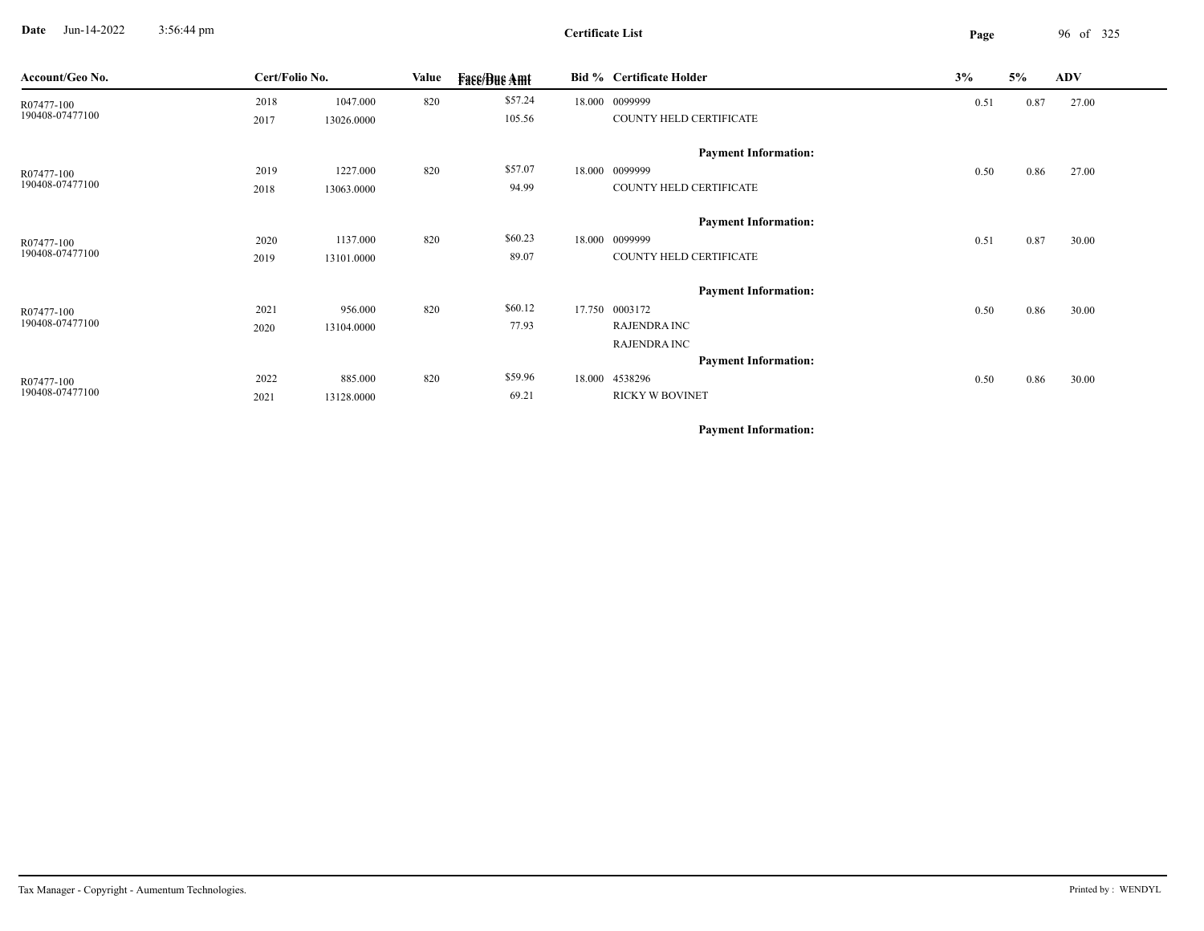**Date** Jun-14-2022 3:56:44 pm **Page** 96 of 325 3:56:44 pm

| Account/Geo No. | Cert/Folio No. |            | Value | <b>Face/Bue Amt</b> |        | <b>Bid % Certificate Holder</b> | 3%   | 5%   | <b>ADV</b> |
|-----------------|----------------|------------|-------|---------------------|--------|---------------------------------|------|------|------------|
| R07477-100      | 2018           | 1047.000   | 820   | \$57.24             |        | 18.000 0099999                  | 0.51 | 0.87 | 27.00      |
| 190408-07477100 | 2017           | 13026.0000 |       | 105.56              |        | COUNTY HELD CERTIFICATE         |      |      |            |
|                 |                |            |       |                     |        | <b>Payment Information:</b>     |      |      |            |
| R07477-100      | 2019           | 1227.000   | 820   | \$57.07             |        | 18.000 0099999                  | 0.50 | 0.86 | 27.00      |
| 190408-07477100 | 2018           | 13063.0000 |       | 94.99               |        | COUNTY HELD CERTIFICATE         |      |      |            |
|                 |                |            |       |                     |        | <b>Payment Information:</b>     |      |      |            |
| R07477-100      | 2020           | 1137.000   | 820   | \$60.23             | 18.000 | 0099999                         | 0.51 | 0.87 | 30.00      |
| 190408-07477100 | 2019           | 13101.0000 |       | 89.07               |        | COUNTY HELD CERTIFICATE         |      |      |            |
|                 |                |            |       |                     |        | <b>Payment Information:</b>     |      |      |            |
| R07477-100      | 2021           | 956.000    | 820   | \$60.12             |        | 17.750 0003172                  | 0.50 | 0.86 | 30.00      |
| 190408-07477100 | 2020           | 13104.0000 |       | 77.93               |        | <b>RAJENDRA INC</b>             |      |      |            |
|                 |                |            |       |                     |        | <b>RAJENDRA INC</b>             |      |      |            |
|                 |                |            |       |                     |        | <b>Payment Information:</b>     |      |      |            |
| R07477-100      | 2022           | 885.000    | 820   | \$59.96             | 18.000 | 4538296                         | 0.50 | 0.86 | 30.00      |
| 190408-07477100 | 2021           | 13128.0000 |       | 69.21               |        | <b>RICKY W BOVINET</b>          |      |      |            |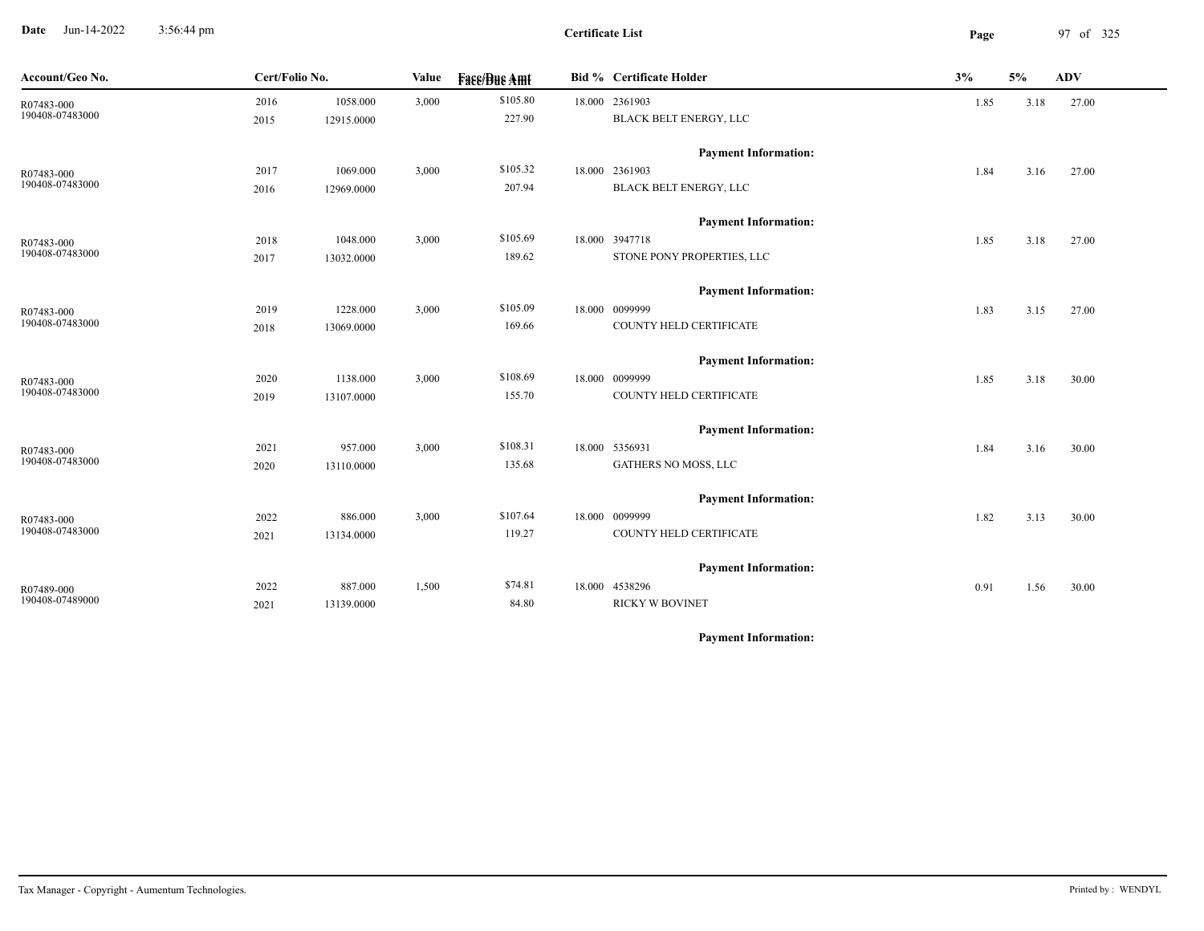**Date** Jun-14-2022 3:56:44 pm **Page** 97 of 325 3:56:44 pm

**Certificate List**

| Account/Geo No. | Cert/Folio No. |            | Value | <b>Fase/Bue Amt</b> | <b>Bid % Certificate Holder</b> | 3%   | 5%   | ADV   |
|-----------------|----------------|------------|-------|---------------------|---------------------------------|------|------|-------|
| R07483-000      | 2016           | 1058.000   | 3,000 | \$105.80            | 18.000 2361903                  | 1.85 | 3.18 | 27.00 |
| 190408-07483000 | 2015           | 12915.0000 |       | 227.90              | BLACK BELT ENERGY, LLC          |      |      |       |
|                 |                |            |       |                     | <b>Payment Information:</b>     |      |      |       |
| R07483-000      | 2017           | 1069.000   | 3,000 | \$105.32            | 18.000 2361903                  | 1.84 | 3.16 | 27.00 |
| 190408-07483000 | 2016           | 12969.0000 |       | 207.94              | BLACK BELT ENERGY, LLC          |      |      |       |
|                 |                |            |       |                     | <b>Payment Information:</b>     |      |      |       |
| R07483-000      | 2018           | 1048.000   | 3,000 | \$105.69            | 18.000 3947718                  | 1.85 | 3.18 | 27.00 |
| 190408-07483000 | 2017           | 13032.0000 |       | 189.62              | STONE PONY PROPERTIES, LLC      |      |      |       |
|                 |                |            |       |                     | <b>Payment Information:</b>     |      |      |       |
| R07483-000      | 2019           | 1228.000   | 3,000 | \$105.09            | 18.000 0099999                  | 1.83 | 3.15 | 27.00 |
| 190408-07483000 | 2018           | 13069.0000 |       | 169.66              | COUNTY HELD CERTIFICATE         |      |      |       |
|                 |                |            |       |                     | <b>Payment Information:</b>     |      |      |       |
| R07483-000      | 2020           | 1138.000   | 3,000 | \$108.69            | 18.000 0099999                  | 1.85 | 3.18 | 30.00 |
| 190408-07483000 | 2019           | 13107.0000 |       | 155.70              | COUNTY HELD CERTIFICATE         |      |      |       |
|                 |                |            |       |                     | <b>Payment Information:</b>     |      |      |       |
| R07483-000      | 2021           | 957.000    | 3,000 | \$108.31            | 18.000 5356931                  | 1.84 | 3.16 | 30.00 |
| 190408-07483000 | 2020           | 13110.0000 |       | 135.68              | GATHERS NO MOSS, LLC            |      |      |       |
|                 |                |            |       |                     | <b>Payment Information:</b>     |      |      |       |
| R07483-000      | 2022           | 886.000    | 3,000 | \$107.64            | 18.000 0099999                  | 1.82 | 3.13 | 30.00 |
| 190408-07483000 | 2021           | 13134.0000 |       | 119.27              | COUNTY HELD CERTIFICATE         |      |      |       |
|                 |                |            |       |                     | <b>Payment Information:</b>     |      |      |       |
| R07489-000      | 2022           | 887.000    | 1,500 | \$74.81             | 18.000 4538296                  | 0.91 | 1.56 | 30.00 |
| 190408-07489000 | 2021           | 13139.0000 |       | 84.80               | <b>RICKY W BOVINET</b>          |      |      |       |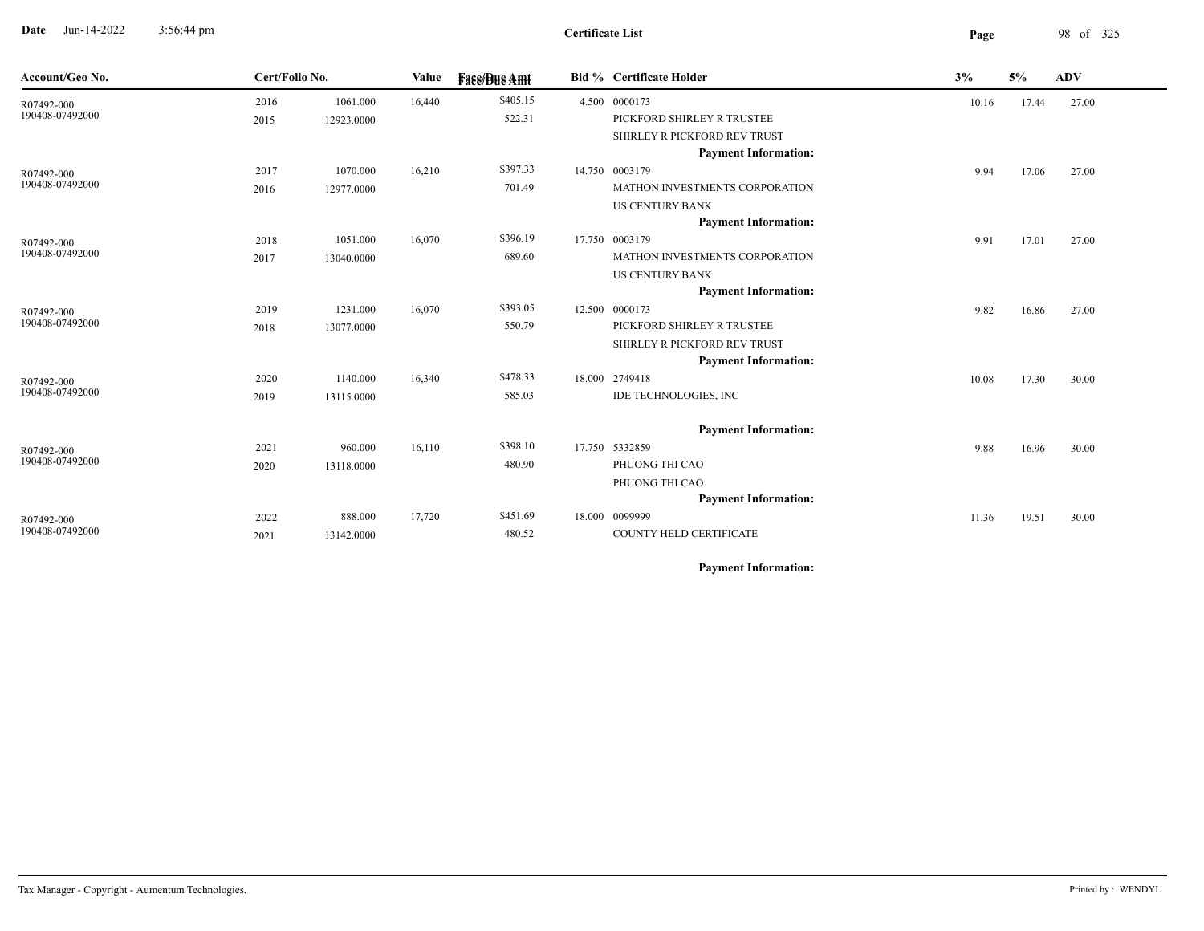**Date** Jun-14-2022 3:56:44 pm **Page** 98 of 325 3:56:44 pm

 $\overline{\phantom{a}}$ 

| Account/Geo No. | Cert/Folio No. |            | Value  | <b>Fase/Bue Amt</b> | <b>Bid % Certificate Holder</b> | 3%    | 5%    | <b>ADV</b> |
|-----------------|----------------|------------|--------|---------------------|---------------------------------|-------|-------|------------|
| R07492-000      | 2016           | 1061.000   | 16,440 | \$405.15            | 4.500 0000173                   | 10.16 | 17.44 | 27.00      |
| 190408-07492000 | 2015           | 12923.0000 |        | 522.31              | PICKFORD SHIRLEY R TRUSTEE      |       |       |            |
|                 |                |            |        |                     | SHIRLEY R PICKFORD REV TRUST    |       |       |            |
|                 |                |            |        |                     | <b>Payment Information:</b>     |       |       |            |
| R07492-000      | 2017           | 1070.000   | 16,210 | \$397.33            | 14.750 0003179                  | 9.94  | 17.06 | 27.00      |
| 190408-07492000 | 2016           | 12977.0000 |        | 701.49              | MATHON INVESTMENTS CORPORATION  |       |       |            |
|                 |                |            |        |                     | <b>US CENTURY BANK</b>          |       |       |            |
|                 |                |            |        |                     | <b>Payment Information:</b>     |       |       |            |
| R07492-000      | 2018           | 1051.000   | 16,070 | \$396.19            | 17.750 0003179                  | 9.91  | 17.01 | 27.00      |
| 190408-07492000 | 2017           | 13040.0000 |        | 689.60              | MATHON INVESTMENTS CORPORATION  |       |       |            |
|                 |                |            |        |                     | <b>US CENTURY BANK</b>          |       |       |            |
|                 |                |            |        |                     | <b>Payment Information:</b>     |       |       |            |
| R07492-000      | 2019           | 1231.000   | 16,070 | \$393.05            | 12.500 0000173                  | 9.82  | 16.86 | 27.00      |
| 190408-07492000 | 2018           | 13077.0000 |        | 550.79              | PICKFORD SHIRLEY R TRUSTEE      |       |       |            |
|                 |                |            |        |                     | SHIRLEY R PICKFORD REV TRUST    |       |       |            |
|                 |                |            |        |                     | <b>Payment Information:</b>     |       |       |            |
| R07492-000      | 2020           | 1140.000   | 16,340 | \$478.33            | 18.000 2749418                  | 10.08 | 17.30 | 30.00      |
| 190408-07492000 | 2019           | 13115.0000 |        | 585.03              | IDE TECHNOLOGIES, INC           |       |       |            |
|                 |                |            |        |                     | <b>Payment Information:</b>     |       |       |            |
| R07492-000      | 2021           | 960.000    | 16,110 | \$398.10            | 17.750 5332859                  | 9.88  | 16.96 | 30.00      |
| 190408-07492000 | 2020           | 13118.0000 |        | 480.90              | PHUONG THI CAO                  |       |       |            |
|                 |                |            |        |                     | PHUONG THI CAO                  |       |       |            |
|                 |                |            |        |                     | <b>Payment Information:</b>     |       |       |            |
| R07492-000      | 2022           | 888.000    | 17,720 | \$451.69            | 18.000 0099999                  | 11.36 | 19.51 | 30.00      |
| 190408-07492000 | 2021           | 13142.0000 |        | 480.52              | COUNTY HELD CERTIFICATE         |       |       |            |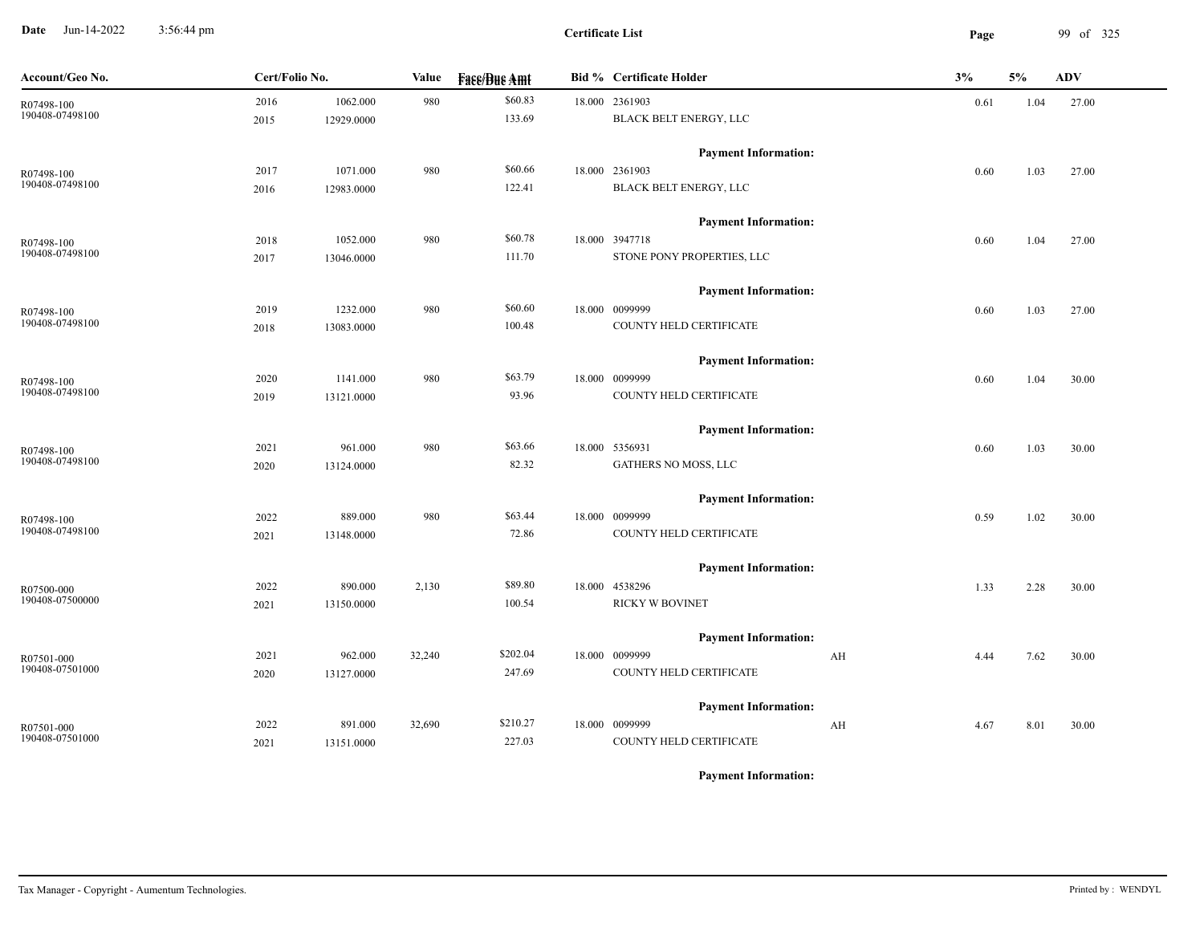**Date** Jun-14-2022 3:56:44 pm **Page** 99 of 325 3:56:44 pm

**Certificate List**

| \$60.83<br>2016<br>1062.000<br>980<br>18.000 2361903<br>0.61<br>R07498-100<br>190408-07498100<br>133.69<br>BLACK BELT ENERGY, LLC<br>12929.0000<br>2015<br><b>Payment Information:</b> | 1.04<br>1.03 | 27.00 |
|----------------------------------------------------------------------------------------------------------------------------------------------------------------------------------------|--------------|-------|
|                                                                                                                                                                                        |              |       |
|                                                                                                                                                                                        |              |       |
|                                                                                                                                                                                        |              |       |
| \$60.66<br>980<br>18.000 2361903<br>2017<br>1071.000<br>0.60<br>R07498-100                                                                                                             |              | 27.00 |
| 190408-07498100<br>122.41<br>BLACK BELT ENERGY, LLC<br>2016<br>12983.0000                                                                                                              |              |       |
| <b>Payment Information:</b>                                                                                                                                                            |              |       |
| \$60.78<br>1052.000<br>980<br>18.000 3947718<br>2018<br>0.60<br>R07498-100                                                                                                             | 1.04         | 27.00 |
| 190408-07498100<br>STONE PONY PROPERTIES, LLC<br>111.70<br>2017<br>13046.0000                                                                                                          |              |       |
| <b>Payment Information:</b>                                                                                                                                                            |              |       |
| \$60.60<br>1232.000<br>980<br>18.000 0099999<br>2019<br>0.60<br>R07498-100                                                                                                             | 1.03         | 27.00 |
| 190408-07498100<br>100.48<br>COUNTY HELD CERTIFICATE<br>13083.0000<br>2018                                                                                                             |              |       |
| <b>Payment Information:</b>                                                                                                                                                            |              |       |
| \$63.79<br>980<br>18.000 0099999<br>2020<br>1141.000<br>0.60<br>R07498-100                                                                                                             | 1.04         | 30.00 |
| 190408-07498100<br>COUNTY HELD CERTIFICATE<br>93.96<br>2019<br>13121.0000                                                                                                              |              |       |
| <b>Payment Information:</b>                                                                                                                                                            |              |       |
| \$63.66<br>961.000<br>980<br>18.000 5356931<br>2021<br>0.60<br>R07498-100                                                                                                              | 1.03         | 30.00 |
| 190408-07498100<br>82.32<br>GATHERS NO MOSS, LLC<br>13124.0000<br>2020                                                                                                                 |              |       |
| <b>Payment Information:</b>                                                                                                                                                            |              |       |
| \$63.44<br>2022<br>889.000<br>980<br>18.000 0099999<br>0.59<br>R07498-100                                                                                                              | 1.02         | 30.00 |
| 190408-07498100<br>72.86<br>COUNTY HELD CERTIFICATE<br>2021<br>13148.0000                                                                                                              |              |       |
| <b>Payment Information:</b>                                                                                                                                                            |              |       |
| \$89.80<br>2022<br>890.000<br>2,130<br>18.000 4538296<br>1.33<br>R07500-000                                                                                                            | 2.28         | 30.00 |
| 190408-07500000<br><b>RICKY W BOVINET</b><br>100.54<br>13150.0000<br>2021                                                                                                              |              |       |
| <b>Payment Information:</b>                                                                                                                                                            |              |       |
| \$202.04<br>962.000<br>32,240<br>18.000 0099999<br>2021<br>AH<br>4.44<br>R07501-000                                                                                                    | 7.62         | 30.00 |
| 190408-07501000<br>247.69<br>COUNTY HELD CERTIFICATE<br>13127.0000<br>2020                                                                                                             |              |       |
| <b>Payment Information:</b>                                                                                                                                                            |              |       |
| \$210.27<br>18.000 0099999<br>891.000<br>32,690<br>2022<br>AH<br>4.67<br>R07501-000                                                                                                    | 8.01         | 30.00 |
| 190408-07501000<br>227.03<br>COUNTY HELD CERTIFICATE<br>13151.0000<br>2021                                                                                                             |              |       |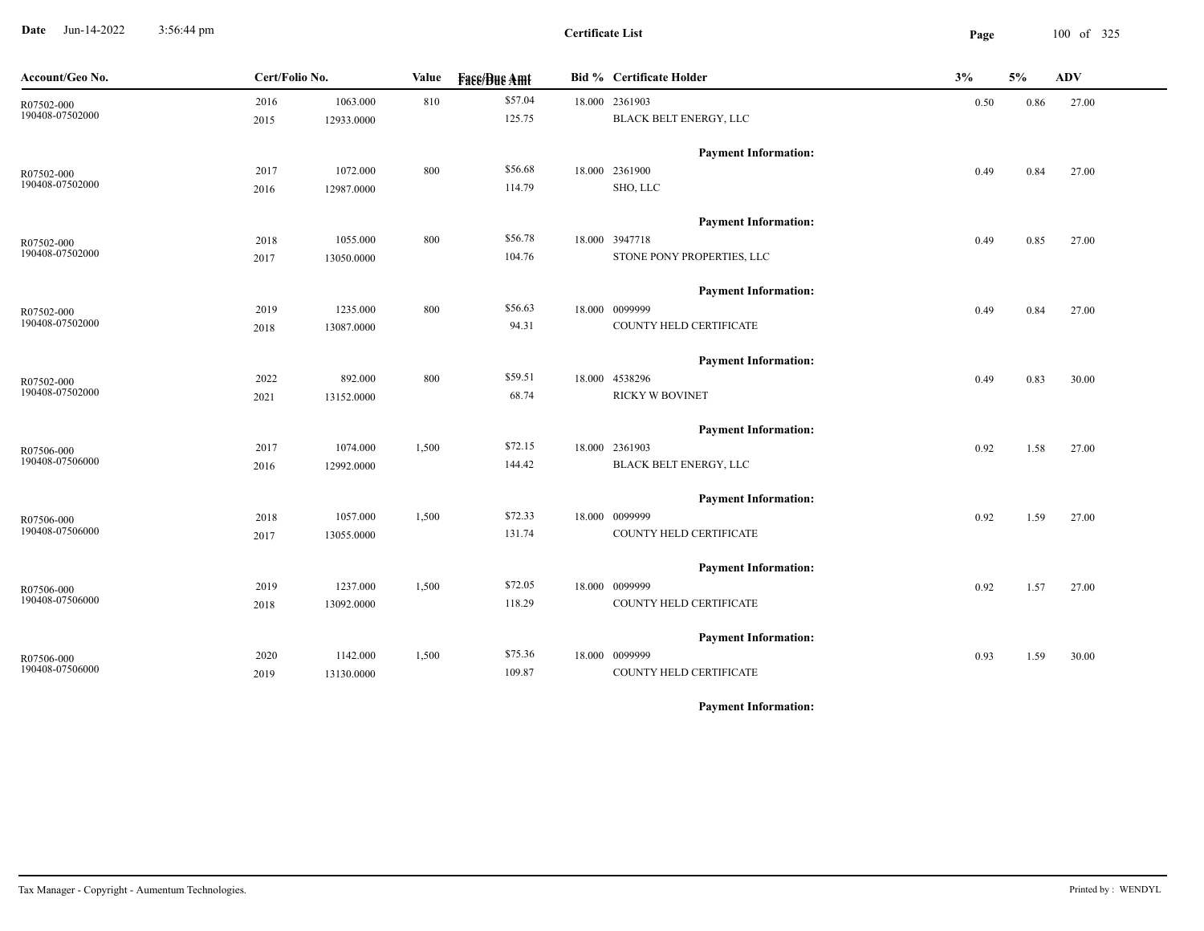**Date** Jun-14-2022 3:56:44 pm **Page** 100 of 325 3:56:44 pm

**Certificate List**

| Account/Geo No.               | Cert/Folio No. |            | Value | <b>Face/Bue Amt</b> | <b>Bid % Certificate Holder</b> | 3%   | 5%   | ADV   |
|-------------------------------|----------------|------------|-------|---------------------|---------------------------------|------|------|-------|
| R07502-000<br>190408-07502000 | 2016           | 1063.000   | 810   | \$57.04             | 18.000 2361903                  | 0.50 | 0.86 | 27.00 |
|                               | 2015           | 12933.0000 |       | 125.75              | BLACK BELT ENERGY, LLC          |      |      |       |
|                               |                |            |       |                     | <b>Payment Information:</b>     |      |      |       |
| R07502-000                    | 2017           | 1072.000   | 800   | \$56.68             | 18.000 2361900                  | 0.49 | 0.84 | 27.00 |
| 190408-07502000               | 2016           | 12987.0000 |       | 114.79              | SHO, LLC                        |      |      |       |
|                               |                |            |       |                     | <b>Payment Information:</b>     |      |      |       |
| R07502-000                    | 2018           | 1055.000   | 800   | \$56.78             | 18.000 3947718                  | 0.49 | 0.85 | 27.00 |
| 190408-07502000               | 2017           | 13050.0000 |       | 104.76              | STONE PONY PROPERTIES, LLC      |      |      |       |
|                               |                |            |       |                     | <b>Payment Information:</b>     |      |      |       |
| R07502-000                    | 2019           | 1235.000   | 800   | \$56.63             | 18.000 0099999                  | 0.49 | 0.84 | 27.00 |
| 190408-07502000               | 2018           | 13087.0000 |       | 94.31               | COUNTY HELD CERTIFICATE         |      |      |       |
|                               |                |            |       |                     | <b>Payment Information:</b>     |      |      |       |
| R07502-000                    | 2022           | 892.000    | 800   | \$59.51             | 18.000 4538296                  | 0.49 | 0.83 | 30.00 |
| 190408-07502000               | 2021           | 13152.0000 |       | 68.74               | <b>RICKY W BOVINET</b>          |      |      |       |
|                               |                |            |       |                     | <b>Payment Information:</b>     |      |      |       |
| R07506-000                    | 2017           | 1074.000   | 1,500 | \$72.15             | 18.000 2361903                  | 0.92 | 1.58 | 27.00 |
| 190408-07506000               | 2016           | 12992.0000 |       | 144.42              | BLACK BELT ENERGY, LLC          |      |      |       |
|                               |                |            |       |                     | <b>Payment Information:</b>     |      |      |       |
| R07506-000                    | 2018           | 1057.000   | 1,500 | \$72.33             | 18.000 0099999                  | 0.92 | 1.59 | 27.00 |
| 190408-07506000               | 2017           | 13055.0000 |       | 131.74              | COUNTY HELD CERTIFICATE         |      |      |       |
|                               |                |            |       |                     | <b>Payment Information:</b>     |      |      |       |
| R07506-000                    | 2019           | 1237.000   | 1,500 | \$72.05             | 18.000 0099999                  | 0.92 | 1.57 | 27.00 |
| 190408-07506000               | 2018           | 13092.0000 |       | 118.29              | COUNTY HELD CERTIFICATE         |      |      |       |
|                               |                |            |       |                     | <b>Payment Information:</b>     |      |      |       |
| R07506-000                    | 2020           | 1142.000   | 1,500 | \$75.36             | 18.000 0099999                  | 0.93 | 1.59 | 30.00 |
| 190408-07506000               | 2019           | 13130.0000 |       | 109.87              | COUNTY HELD CERTIFICATE         |      |      |       |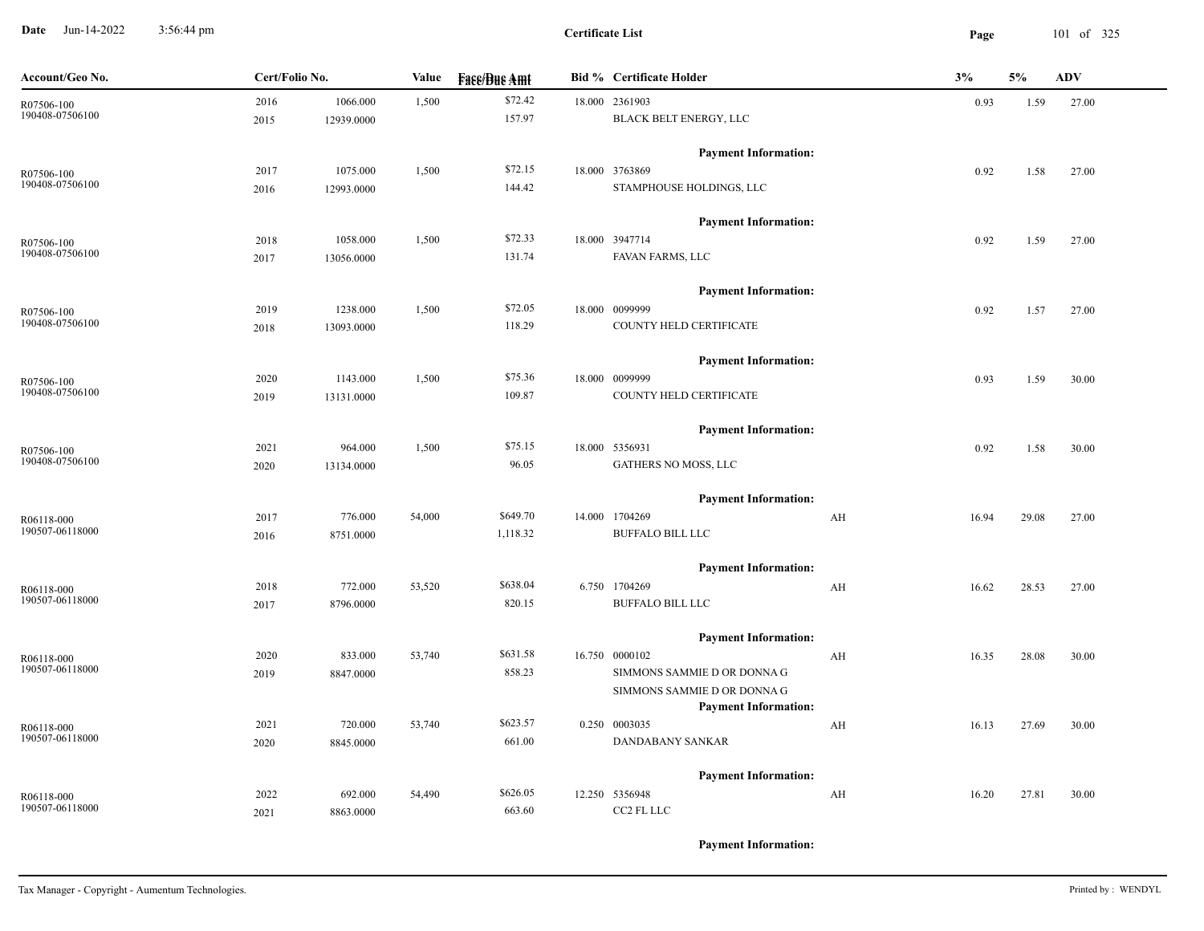**Date** Jun-14-2022 3:56:44 pm **Page** 101 of 325 3:56:44 pm

**Certificate List**

| Account/Geo No. | Cert/Folio No. |            | Value  | <b>Fase/Bue Amt</b> | <b>Bid % Certificate Holder</b>                            | 3%                               | 5%    | <b>ADV</b> |
|-----------------|----------------|------------|--------|---------------------|------------------------------------------------------------|----------------------------------|-------|------------|
| R07506-100      | 2016           | 1066.000   | 1,500  | \$72.42             | 18.000 2361903                                             | 0.93                             | 1.59  | 27.00      |
| 190408-07506100 | 2015           | 12939.0000 |        | 157.97              | BLACK BELT ENERGY, LLC                                     |                                  |       |            |
|                 |                |            |        |                     | <b>Payment Information:</b>                                |                                  |       |            |
| R07506-100      | 2017           | 1075.000   | 1,500  | \$72.15             | 18.000 3763869                                             | 0.92                             | 1.58  | 27.00      |
| 190408-07506100 | 2016           | 12993.0000 |        | 144.42              | STAMPHOUSE HOLDINGS, LLC                                   |                                  |       |            |
|                 |                |            |        |                     | <b>Payment Information:</b>                                |                                  |       |            |
| R07506-100      | 2018           | 1058.000   | 1,500  | \$72.33             | 18.000 3947714                                             | 0.92                             | 1.59  | 27.00      |
| 190408-07506100 | 2017           | 13056.0000 |        | 131.74              | FAVAN FARMS, LLC                                           |                                  |       |            |
|                 |                |            |        |                     | <b>Payment Information:</b>                                |                                  |       |            |
| R07506-100      | 2019           | 1238.000   | 1,500  | \$72.05             | 18.000 0099999                                             | 0.92                             | 1.57  | 27.00      |
| 190408-07506100 | 2018           | 13093.0000 |        | 118.29              | COUNTY HELD CERTIFICATE                                    |                                  |       |            |
|                 |                |            |        |                     | <b>Payment Information:</b>                                |                                  |       |            |
| R07506-100      | 2020           | 1143.000   | 1,500  | \$75.36             | 18.000 0099999                                             | 0.93                             | 1.59  | 30.00      |
| 190408-07506100 | 2019           | 13131.0000 |        | 109.87              | COUNTY HELD CERTIFICATE                                    |                                  |       |            |
|                 |                |            |        |                     | <b>Payment Information:</b>                                |                                  |       |            |
| R07506-100      | 2021           | 964.000    | 1,500  | \$75.15             | 18.000 5356931                                             | 0.92                             | 1.58  | 30.00      |
| 190408-07506100 | 2020           | 13134.0000 |        | 96.05               | GATHERS NO MOSS, LLC                                       |                                  |       |            |
|                 |                |            |        |                     | <b>Payment Information:</b>                                |                                  |       |            |
| R06118-000      | 2017           | 776.000    | 54,000 | \$649.70            | 14.000 1704269                                             | AH<br>16.94                      | 29.08 | 27.00      |
| 190507-06118000 | 2016           | 8751.0000  |        | 1,118.32            | <b>BUFFALO BILL LLC</b>                                    |                                  |       |            |
|                 |                |            |        |                     | <b>Payment Information:</b>                                |                                  |       |            |
| R06118-000      | 2018           | 772.000    | 53,520 | \$638.04            | 6.750 1704269                                              | AH<br>16.62                      | 28.53 | 27.00      |
| 190507-06118000 | 2017           | 8796.0000  |        | 820.15              | <b>BUFFALO BILL LLC</b>                                    |                                  |       |            |
|                 |                |            |        |                     | <b>Payment Information:</b>                                |                                  |       |            |
| R06118-000      | 2020           | 833.000    | 53,740 | \$631.58            | 16.750 0000102                                             | AH<br>16.35                      | 28.08 | 30.00      |
| 190507-06118000 | 2019           | 8847.0000  |        | 858.23              | SIMMONS SAMMIE D OR DONNA G                                |                                  |       |            |
|                 |                |            |        |                     | SIMMONS SAMMIE D OR DONNA G<br><b>Payment Information:</b> |                                  |       |            |
| R06118-000      | 2021           | 720.000    | 53,740 | \$623.57            | 0.250 0003035                                              | AH<br>16.13                      | 27.69 | 30.00      |
| 190507-06118000 | 2020           | 8845.0000  |        | 661.00              | <b>DANDABANY SANKAR</b>                                    |                                  |       |            |
|                 |                |            |        |                     | <b>Payment Information:</b>                                |                                  |       |            |
| R06118-000      | 2022           | 692.000    | 54,490 | \$626.05            | 12.250 5356948                                             | $\mathbf{A} \mathbf{H}$<br>16.20 | 27.81 | 30.00      |
| 190507-06118000 | 2021           | 8863.0000  |        | 663.60              | CC2 FL LLC                                                 |                                  |       |            |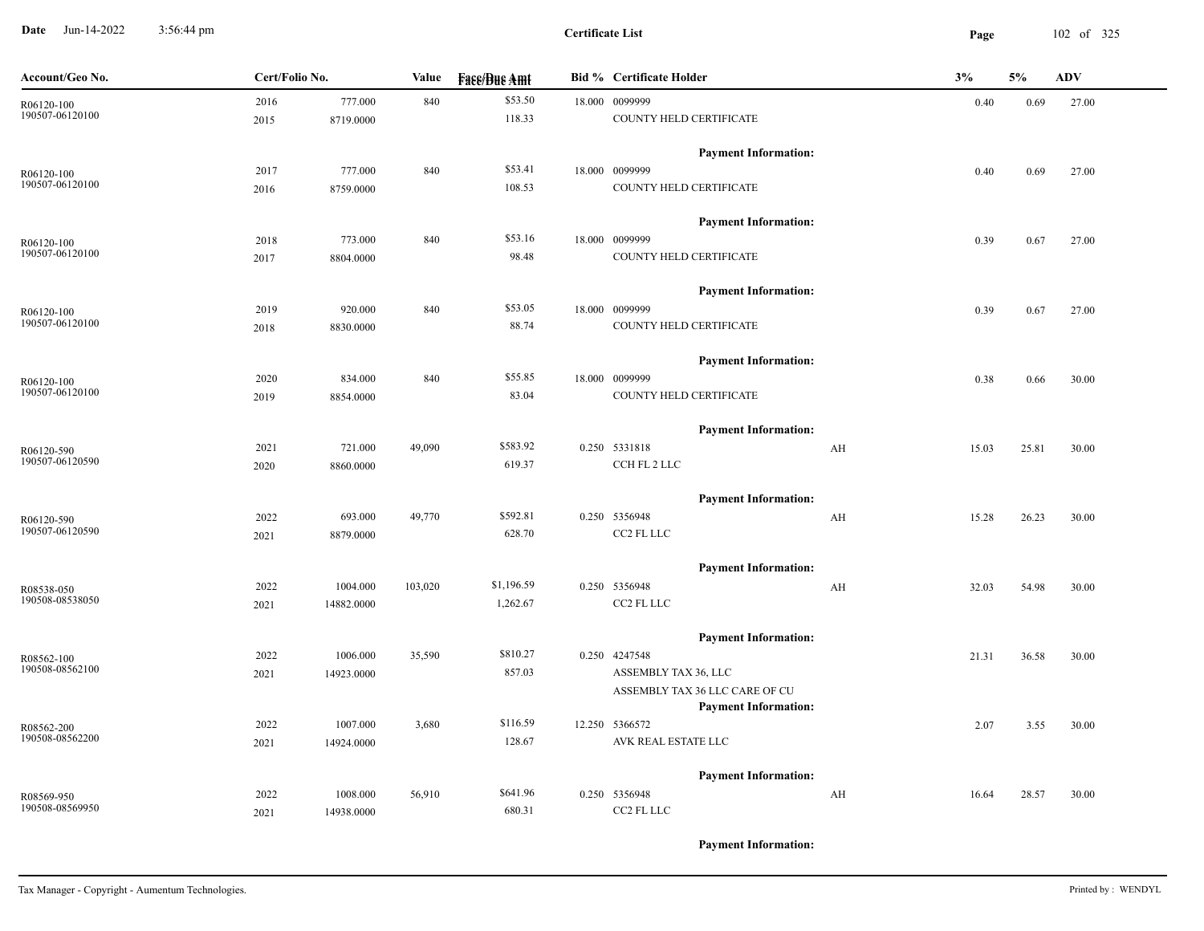**Date** Jun-14-2022 3:56:44 pm **Page** 102 of 325 3:56:44 pm

| Account/Geo No.               | Cert/Folio No. |            | Value   | <b>Face/Bue Amt</b> | <b>Bid % Certificate Holder</b>               | 3% |       | 5%    | <b>ADV</b> |
|-------------------------------|----------------|------------|---------|---------------------|-----------------------------------------------|----|-------|-------|------------|
| R06120-100                    | 2016           | 777.000    | 840     | \$53.50             | 18.000 0099999                                |    | 0.40  | 0.69  | 27.00      |
| 190507-06120100               | 2015           | 8719.0000  |         | 118.33              | COUNTY HELD CERTIFICATE                       |    |       |       |            |
|                               |                |            |         |                     | <b>Payment Information:</b>                   |    |       |       |            |
| R06120-100                    | 2017           | 777.000    | 840     | \$53.41             | 18.000 0099999                                |    | 0.40  | 0.69  | 27.00      |
| 190507-06120100               | 2016           | 8759.0000  |         | 108.53              | COUNTY HELD CERTIFICATE                       |    |       |       |            |
|                               |                |            |         |                     | <b>Payment Information:</b>                   |    |       |       |            |
| R06120-100                    | 2018           | 773.000    | 840     | \$53.16             | 18.000 0099999                                |    | 0.39  | 0.67  | 27.00      |
| 190507-06120100               | 2017           | 8804.0000  |         | 98.48               | COUNTY HELD CERTIFICATE                       |    |       |       |            |
|                               |                |            |         |                     | <b>Payment Information:</b>                   |    |       |       |            |
| R06120-100                    | 2019           | 920.000    | 840     | \$53.05             | 18.000 0099999                                |    | 0.39  | 0.67  | 27.00      |
| 190507-06120100               | 2018           | 8830.0000  |         | 88.74               | COUNTY HELD CERTIFICATE                       |    |       |       |            |
|                               |                |            |         |                     | <b>Payment Information:</b>                   |    |       |       |            |
| R06120-100                    | 2020           | 834.000    | 840     | \$55.85             | 18.000 0099999                                |    | 0.38  | 0.66  | 30.00      |
| 190507-06120100               | 2019           | 8854.0000  |         | 83.04               | COUNTY HELD CERTIFICATE                       |    |       |       |            |
|                               |                |            |         |                     | <b>Payment Information:</b>                   |    |       |       |            |
| R06120-590                    | 2021           | 721.000    | 49,090  | \$583.92            | 0.250 5331818                                 | AH | 15.03 | 25.81 | 30.00      |
| 190507-06120590               | 2020           | 8860.0000  |         | 619.37              | CCH FL 2 LLC                                  |    |       |       |            |
|                               |                |            |         |                     | <b>Payment Information:</b>                   |    |       |       |            |
| R06120-590                    | 2022           | 693.000    | 49,770  | \$592.81            | 0.250 5356948                                 | AH | 15.28 | 26.23 | 30.00      |
| 190507-06120590               | 2021           | 8879.0000  |         | 628.70              | CC2 FL LLC                                    |    |       |       |            |
|                               |                |            |         |                     | <b>Payment Information:</b>                   |    |       |       |            |
| R08538-050                    | 2022           | 1004.000   | 103,020 | \$1,196.59          | 0.250 5356948                                 | AH | 32.03 | 54.98 | 30.00      |
| 190508-08538050               | 2021           | 14882.0000 |         | 1,262.67            | CC2 FL LLC                                    |    |       |       |            |
|                               |                |            |         |                     | <b>Payment Information:</b>                   |    |       |       |            |
| R08562-100<br>190508-08562100 | 2022           | 1006.000   | 35,590  | \$810.27            | 0.250 4247548                                 |    | 21.31 | 36.58 | 30.00      |
|                               | 2021           | 14923.0000 |         | 857.03              | ASSEMBLY TAX 36, LLC                          |    |       |       |            |
|                               |                |            |         |                     | ASSEMBLY TAX 36 LLC CARE OF CU                |    |       |       |            |
|                               | 2022           | 1007.000   | 3,680   | \$116.59            | <b>Payment Information:</b><br>12.250 5366572 |    | 2.07  | 3.55  | 30.00      |
| R08562-200<br>190508-08562200 | 2021           | 14924.0000 |         | 128.67              | AVK REAL ESTATE LLC                           |    |       |       |            |
|                               |                |            |         |                     |                                               |    |       |       |            |
|                               |                |            |         |                     | <b>Payment Information:</b>                   |    |       |       |            |
| R08569-950                    | 2022           | 1008.000   | 56,910  | \$641.96            | 0.250 5356948                                 | AH | 16.64 | 28.57 | 30.00      |
| 190508-08569950               | 2021           | 14938.0000 |         | 680.31              | CC2 FL LLC                                    |    |       |       |            |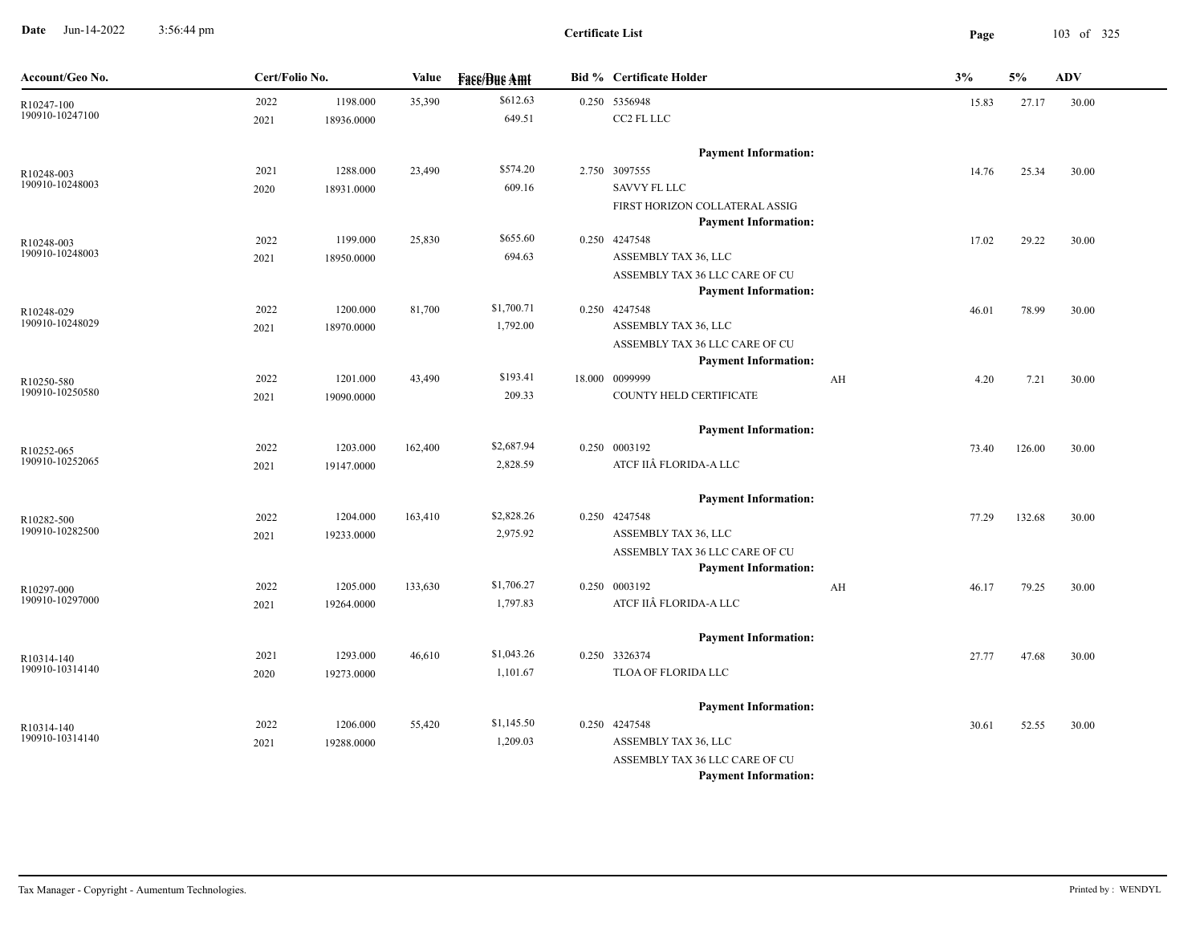**Date** Jun-14-2022 3:56:44 pm **Page** 103 of 325 3:56:44 pm

| Account/Geo No.               | Cert/Folio No. |            | Value   | <b>Fass/Bus Amt</b> | <b>Bid % Certificate Holder</b>                        |    | 3%    | 5%     | <b>ADV</b> |
|-------------------------------|----------------|------------|---------|---------------------|--------------------------------------------------------|----|-------|--------|------------|
| R10247-100                    | 2022           | 1198.000   | 35,390  | \$612.63            | 0.250 5356948                                          |    | 15.83 | 27.17  | 30.00      |
| 190910-10247100               | 2021           | 18936.0000 |         | 649.51              | CC2 FL LLC                                             |    |       |        |            |
|                               |                |            |         |                     | <b>Payment Information:</b>                            |    |       |        |            |
| R10248-003                    | 2021           | 1288.000   | 23,490  | \$574.20            | 2.750 3097555                                          |    | 14.76 | 25.34  | 30.00      |
| 190910-10248003               | 2020           | 18931.0000 |         | 609.16              | <b>SAVVY FL LLC</b>                                    |    |       |        |            |
|                               |                |            |         |                     | FIRST HORIZON COLLATERAL ASSIG                         |    |       |        |            |
|                               |                |            |         |                     | <b>Payment Information:</b>                            |    |       |        |            |
| R10248-003                    | 2022           | 1199.000   | 25,830  | \$655.60            | 0.250 4247548                                          |    | 17.02 | 29.22  | 30.00      |
| 190910-10248003               | 2021           | 18950.0000 |         | 694.63              | ASSEMBLY TAX 36, LLC                                   |    |       |        |            |
|                               |                |            |         |                     | ASSEMBLY TAX 36 LLC CARE OF CU                         |    |       |        |            |
|                               |                |            |         |                     | <b>Payment Information:</b>                            |    |       |        |            |
| R10248-029<br>190910-10248029 | 2022           | 1200.000   | 81,700  | \$1,700.71          | 0.250 4247548                                          |    | 46.01 | 78.99  | 30.00      |
|                               | 2021           | 18970.0000 |         | 1,792.00            | ASSEMBLY TAX 36, LLC<br>ASSEMBLY TAX 36 LLC CARE OF CU |    |       |        |            |
|                               |                |            |         |                     | <b>Payment Information:</b>                            |    |       |        |            |
| R10250-580                    | 2022           | 1201.000   | 43,490  | \$193.41            | 18.000 0099999                                         | AH | 4.20  | 7.21   | 30.00      |
| 190910-10250580               | 2021           | 19090.0000 |         | 209.33              | COUNTY HELD CERTIFICATE                                |    |       |        |            |
|                               |                |            |         |                     |                                                        |    |       |        |            |
|                               |                |            |         |                     | <b>Payment Information:</b>                            |    |       |        |            |
| R10252-065                    | 2022           | 1203.000   | 162,400 | \$2,687.94          | 0.250 0003192                                          |    | 73.40 | 126.00 | 30.00      |
| 190910-10252065               | 2021           | 19147.0000 |         | 2,828.59            | ATCF IIÂ FLORIDA-A LLC                                 |    |       |        |            |
|                               |                |            |         |                     | <b>Payment Information:</b>                            |    |       |        |            |
| R10282-500                    | 2022           | 1204.000   | 163,410 | \$2,828.26          | 0.250 4247548                                          |    | 77.29 | 132.68 | 30.00      |
| 190910-10282500               | 2021           | 19233.0000 |         | 2,975.92            | ASSEMBLY TAX 36, LLC                                   |    |       |        |            |
|                               |                |            |         |                     | ASSEMBLY TAX 36 LLC CARE OF CU                         |    |       |        |            |
|                               |                |            |         |                     | <b>Payment Information:</b>                            |    |       |        |            |
| R10297-000                    | 2022           | 1205.000   | 133,630 | \$1,706.27          | 0.250 0003192                                          | AH | 46.17 | 79.25  | 30.00      |
| 190910-10297000               | 2021           | 19264.0000 |         | 1,797.83            | ATCF IIÂ FLORIDA-A LLC                                 |    |       |        |            |
|                               |                |            |         |                     | <b>Payment Information:</b>                            |    |       |        |            |
| R10314-140                    | 2021           | 1293.000   | 46,610  | \$1,043.26          | 0.250 3326374                                          |    | 27.77 | 47.68  | 30.00      |
| 190910-10314140               | 2020           | 19273.0000 |         | 1,101.67            | TLOA OF FLORIDA LLC                                    |    |       |        |            |
|                               |                |            |         |                     |                                                        |    |       |        |            |
|                               |                |            |         |                     | <b>Payment Information:</b>                            |    |       |        |            |
| R10314-140<br>190910-10314140 | 2022           | 1206.000   | 55,420  | \$1,145.50          | 0.250 4247548                                          |    | 30.61 | 52.55  | 30.00      |
|                               | 2021           | 19288.0000 |         | 1,209.03            | ASSEMBLY TAX 36, LLC<br>ASSEMBLY TAX 36 LLC CARE OF CU |    |       |        |            |
|                               |                |            |         |                     | <b>Payment Information:</b>                            |    |       |        |            |
|                               |                |            |         |                     |                                                        |    |       |        |            |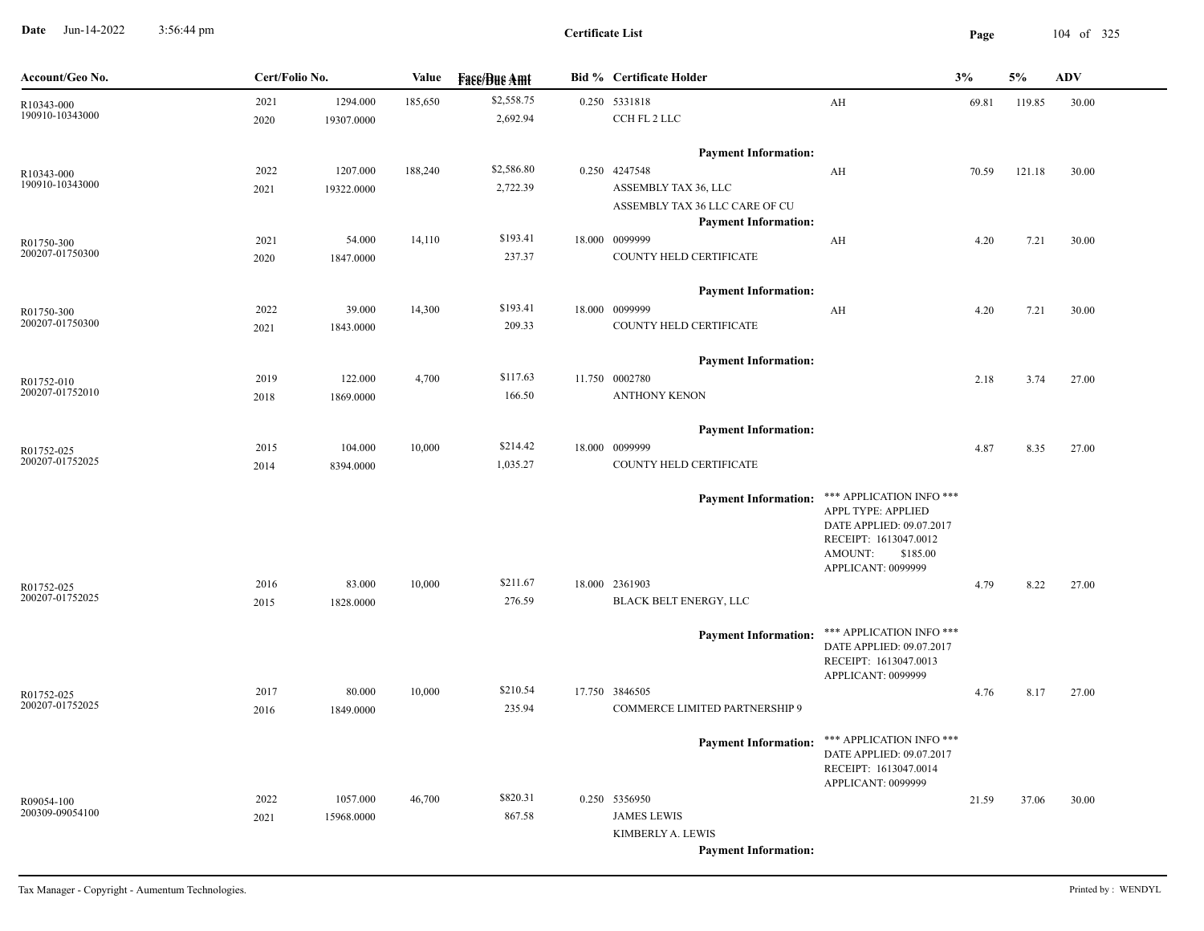**Date** Jun-14-2022 3:56:44 pm **Page** 104 of 325 3:56:44 pm

| Account/Geo No.               | Cert/Folio No. |            | Value   | <b>Fase/Bue Amt</b> | <b>Bid % Certificate Holder</b>               |                                                      | 3%    | 5%     | <b>ADV</b> |  |
|-------------------------------|----------------|------------|---------|---------------------|-----------------------------------------------|------------------------------------------------------|-------|--------|------------|--|
| R10343-000                    | 2021           | 1294.000   | 185,650 | \$2,558.75          | 0.250 5331818                                 | AH                                                   | 69.81 | 119.85 | 30.00      |  |
| 190910-10343000               | 2020           | 19307.0000 |         | 2,692.94            | CCH FL 2 LLC                                  |                                                      |       |        |            |  |
|                               |                |            |         |                     | <b>Payment Information:</b>                   |                                                      |       |        |            |  |
| R10343-000                    | 2022           | 1207.000   | 188,240 | \$2,586.80          | 0.250 4247548                                 | AH                                                   | 70.59 | 121.18 | 30.00      |  |
| 190910-10343000               | 2021           | 19322.0000 |         | 2,722.39            | ASSEMBLY TAX 36, LLC                          |                                                      |       |        |            |  |
|                               |                |            |         |                     | ASSEMBLY TAX 36 LLC CARE OF CU                |                                                      |       |        |            |  |
|                               |                |            |         |                     | <b>Payment Information:</b>                   |                                                      |       |        |            |  |
| R01750-300                    | 2021           | 54.000     | 14,110  | \$193.41            | 18.000 0099999                                | AH                                                   | 4.20  | 7.21   | 30.00      |  |
| 200207-01750300               | 2020           | 1847.0000  |         | 237.37              | COUNTY HELD CERTIFICATE                       |                                                      |       |        |            |  |
|                               |                |            |         |                     | <b>Payment Information:</b>                   |                                                      |       |        |            |  |
| R01750-300                    | 2022           | 39.000     | 14,300  | \$193.41            | 18.000 0099999                                | AH                                                   | 4.20  | 7.21   | 30.00      |  |
| 200207-01750300               | 2021           | 1843.0000  |         | 209.33              | COUNTY HELD CERTIFICATE                       |                                                      |       |        |            |  |
|                               |                |            |         |                     |                                               |                                                      |       |        |            |  |
|                               | 2019           | 122.000    | 4,700   | \$117.63            | <b>Payment Information:</b><br>11.750 0002780 |                                                      |       |        |            |  |
| R01752-010<br>200207-01752010 | 2018           | 1869.0000  |         | 166.50              | <b>ANTHONY KENON</b>                          |                                                      | 2.18  | 3.74   | 27.00      |  |
|                               |                |            |         |                     |                                               |                                                      |       |        |            |  |
|                               |                |            |         |                     | <b>Payment Information:</b>                   |                                                      |       |        |            |  |
| R01752-025                    | 2015           | 104.000    | 10,000  | \$214.42            | 18.000 0099999                                |                                                      | 4.87  | 8.35   | 27.00      |  |
| 200207-01752025               | 2014           | 8394.0000  |         | 1,035.27            | COUNTY HELD CERTIFICATE                       |                                                      |       |        |            |  |
|                               |                |            |         |                     |                                               | Payment Information: *** APPLICATION INFO ***        |       |        |            |  |
|                               |                |            |         |                     |                                               | APPL TYPE: APPLIED                                   |       |        |            |  |
|                               |                |            |         |                     |                                               | DATE APPLIED: 09.07.2017<br>RECEIPT: 1613047.0012    |       |        |            |  |
|                               |                |            |         |                     |                                               | AMOUNT:<br>\$185.00                                  |       |        |            |  |
|                               |                |            |         |                     |                                               | APPLICANT: 0099999                                   |       |        |            |  |
| R01752-025                    | 2016           | 83.000     | 10,000  | \$211.67            | 18.000 2361903                                |                                                      | 4.79  | 8.22   | 27.00      |  |
| 200207-01752025               | 2015           | 1828.0000  |         | 276.59              | BLACK BELT ENERGY, LLC                        |                                                      |       |        |            |  |
|                               |                |            |         |                     |                                               | Payment Information: *** APPLICATION INFO ***        |       |        |            |  |
|                               |                |            |         |                     |                                               | DATE APPLIED: 09.07.2017                             |       |        |            |  |
|                               |                |            |         |                     |                                               | RECEIPT: 1613047.0013<br>APPLICANT: 0099999          |       |        |            |  |
| R01752-025                    | 2017           | 80.000     | 10,000  | \$210.54            | 17.750 3846505                                |                                                      | 4.76  | 8.17   | 27.00      |  |
| 200207-01752025               | 2016           | 1849.0000  |         | 235.94              | COMMERCE LIMITED PARTNERSHIP 9                |                                                      |       |        |            |  |
|                               |                |            |         |                     |                                               |                                                      |       |        |            |  |
|                               |                |            |         |                     | <b>Payment Information:</b>                   | *** APPLICATION INFO ***<br>DATE APPLIED: 09.07.2017 |       |        |            |  |
|                               |                |            |         |                     |                                               | RECEIPT: 1613047.0014                                |       |        |            |  |
|                               |                |            |         |                     |                                               | APPLICANT: 0099999                                   |       |        |            |  |
| R09054-100                    | 2022           | 1057.000   | 46,700  | \$820.31            | 0.250 5356950                                 |                                                      | 21.59 | 37.06  | 30.00      |  |
| 200309-09054100               | 2021           | 15968.0000 |         | 867.58              | <b>JAMES LEWIS</b>                            |                                                      |       |        |            |  |
|                               |                |            |         |                     | KIMBERLY A. LEWIS                             |                                                      |       |        |            |  |
|                               |                |            |         |                     | <b>Payment Information:</b>                   |                                                      |       |        |            |  |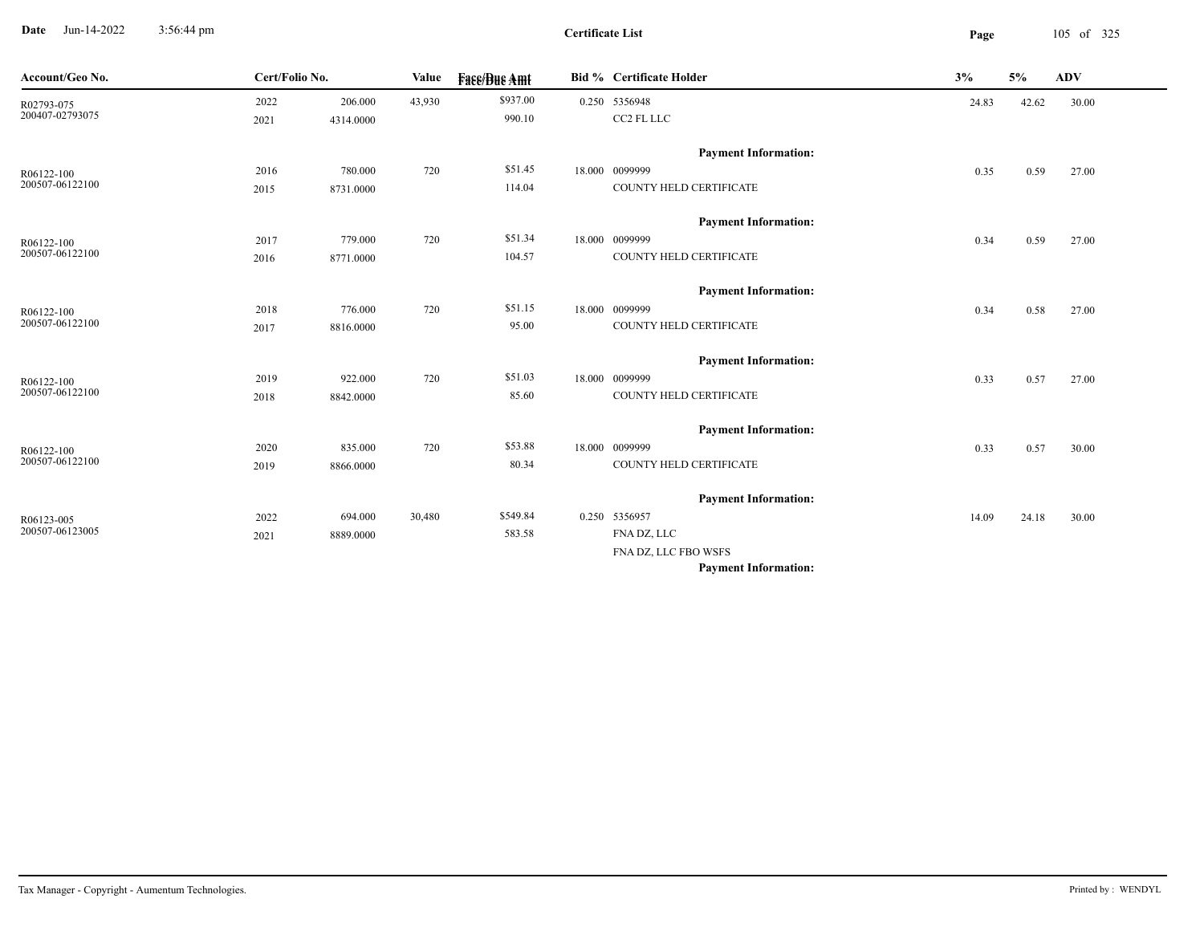**Date** Jun-14-2022 3:56:44 pm **Page** 105 of 325 3:56:44 pm

| Account/Geo No. | Cert/Folio No. |           | Value  | <b>Fase/Bue Amt</b> | Bid % Certificate Holder    | 3%    | 5%    | ADV   |  |
|-----------------|----------------|-----------|--------|---------------------|-----------------------------|-------|-------|-------|--|
| R02793-075      | 2022           | 206.000   | 43,930 | \$937.00            | 0.250 5356948               | 24.83 | 42.62 | 30.00 |  |
| 200407-02793075 | 2021           | 4314.0000 |        | 990.10              | CC2 FL LLC                  |       |       |       |  |
|                 |                |           |        |                     | <b>Payment Information:</b> |       |       |       |  |
| R06122-100      | 2016           | 780.000   | 720    | \$51.45             | 18.000 0099999              | 0.35  | 0.59  | 27.00 |  |
| 200507-06122100 | 2015           | 8731.0000 |        | 114.04              | COUNTY HELD CERTIFICATE     |       |       |       |  |
|                 |                |           |        |                     | <b>Payment Information:</b> |       |       |       |  |
| R06122-100      | 2017           | 779.000   | 720    | \$51.34             | 18.000 0099999              | 0.34  | 0.59  | 27.00 |  |
| 200507-06122100 | 2016           | 8771.0000 |        | 104.57              | COUNTY HELD CERTIFICATE     |       |       |       |  |
|                 |                |           |        |                     | <b>Payment Information:</b> |       |       |       |  |
| R06122-100      | 2018           | 776.000   | 720    | \$51.15             | 18.000 0099999              | 0.34  | 0.58  | 27.00 |  |
| 200507-06122100 | 2017           | 8816.0000 |        | 95.00               | COUNTY HELD CERTIFICATE     |       |       |       |  |
|                 |                |           |        |                     | <b>Payment Information:</b> |       |       |       |  |
| R06122-100      | 2019           | 922.000   | 720    | \$51.03             | 18.000 0099999              | 0.33  | 0.57  | 27.00 |  |
| 200507-06122100 | 2018           | 8842.0000 |        | 85.60               | COUNTY HELD CERTIFICATE     |       |       |       |  |
|                 |                |           |        |                     | <b>Payment Information:</b> |       |       |       |  |
| R06122-100      | 2020           | 835.000   | 720    | \$53.88             | 18.000 0099999              | 0.33  | 0.57  | 30.00 |  |
| 200507-06122100 | 2019           | 8866.0000 |        | 80.34               | COUNTY HELD CERTIFICATE     |       |       |       |  |
|                 |                |           |        |                     | <b>Payment Information:</b> |       |       |       |  |
| R06123-005      | 2022           | 694.000   | 30,480 | \$549.84            | 0.250 5356957               | 14.09 | 24.18 | 30.00 |  |
| 200507-06123005 | 2021           | 8889.0000 |        | 583.58              | FNA DZ, LLC                 |       |       |       |  |
|                 |                |           |        |                     | FNA DZ, LLC FBO WSFS        |       |       |       |  |
|                 |                |           |        |                     | <b>Payment Information:</b> |       |       |       |  |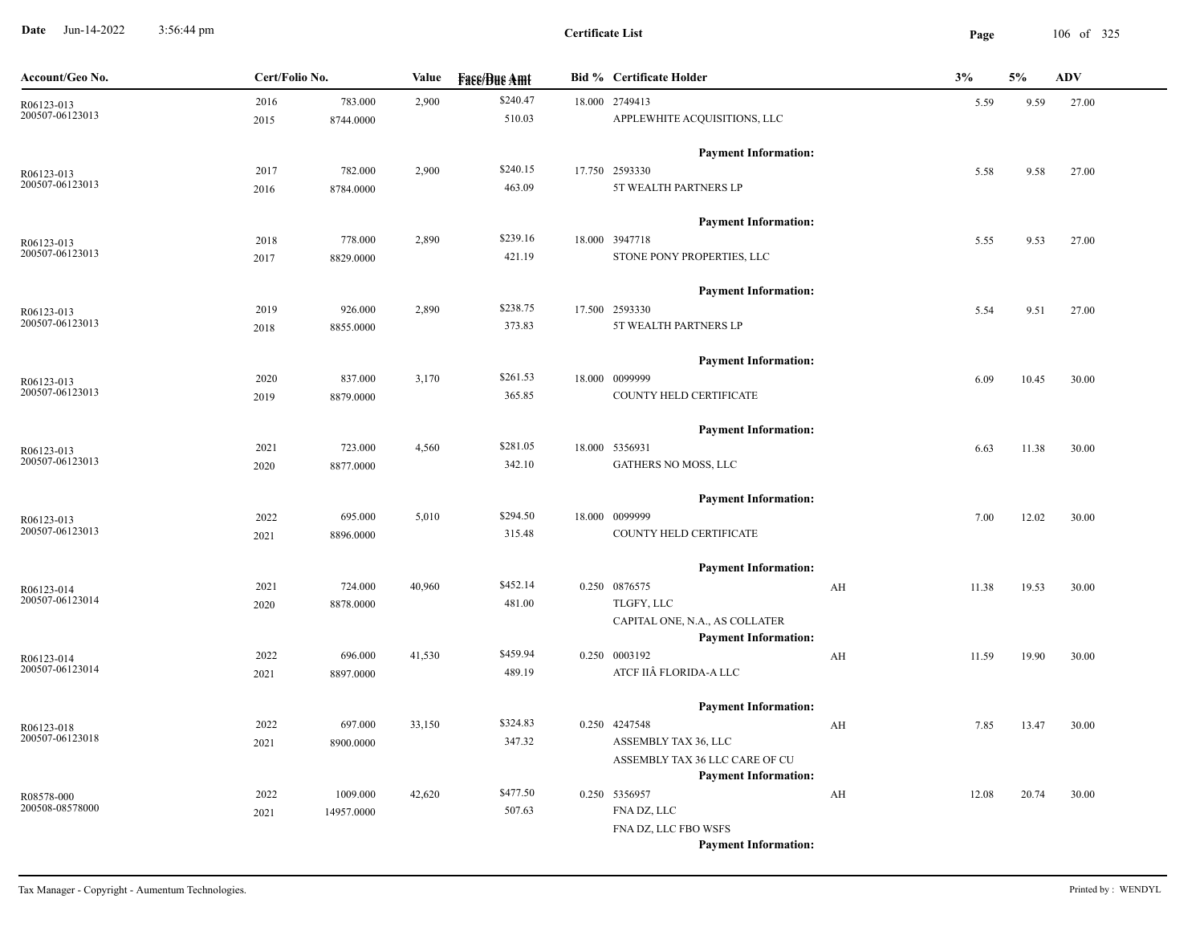**Date** Jun-14-2022 3:56:44 pm **Page** 106 of 325 3:56:44 pm

| Account/Geo No.               | Cert/Folio No. |            | Value  | <b>Fass/Bus Amt</b> | <b>Bid % Certificate Holder</b>                               |    | 3%    |       | <b>ADV</b> |
|-------------------------------|----------------|------------|--------|---------------------|---------------------------------------------------------------|----|-------|-------|------------|
| R06123-013                    | 2016           | 783.000    | 2,900  | \$240.47            | 18.000 2749413                                                |    | 5.59  | 9.59  | 27.00      |
| 200507-06123013               | 2015           | 8744.0000  |        | 510.03              | APPLEWHITE ACQUISITIONS, LLC                                  |    |       |       |            |
|                               |                |            |        |                     | <b>Payment Information:</b>                                   |    |       |       |            |
| R06123-013                    | 2017           | 782.000    | 2,900  | \$240.15            | 17.750 2593330                                                |    | 5.58  | 9.58  | 27.00      |
| 200507-06123013               | 2016           | 8784.0000  |        | 463.09              | 5T WEALTH PARTNERS LP                                         |    |       |       |            |
|                               |                |            |        |                     | <b>Payment Information:</b>                                   |    |       |       |            |
| R06123-013                    | 2018           | 778.000    | 2,890  | \$239.16            | 18.000 3947718                                                |    | 5.55  | 9.53  | 27.00      |
| 200507-06123013               | 2017           | 8829.0000  |        | 421.19              | STONE PONY PROPERTIES, LLC                                    |    |       |       |            |
|                               |                |            |        |                     | <b>Payment Information:</b>                                   |    |       |       |            |
| R06123-013                    | 2019           | 926.000    | 2,890  | \$238.75            | 17.500 2593330                                                |    | 5.54  | 9.51  | 27.00      |
| 200507-06123013               | 2018           | 8855.0000  |        | 373.83              | 5T WEALTH PARTNERS LP                                         |    |       |       |            |
|                               |                |            |        |                     |                                                               |    |       |       |            |
|                               |                |            |        | \$261.53            | <b>Payment Information:</b><br>18.000 0099999                 |    |       |       |            |
| R06123-013<br>200507-06123013 | 2020           | 837.000    | 3,170  | 365.85              | COUNTY HELD CERTIFICATE                                       |    | 6.09  | 10.45 | 30.00      |
|                               | 2019           | 8879.0000  |        |                     |                                                               |    |       |       |            |
|                               |                |            |        |                     | <b>Payment Information:</b>                                   |    |       |       |            |
| R06123-013<br>200507-06123013 | 2021           | 723.000    | 4,560  | \$281.05            | 18.000 5356931                                                |    | 6.63  | 11.38 | 30.00      |
|                               | 2020           | 8877.0000  |        | 342.10              | <b>GATHERS NO MOSS, LLC</b>                                   |    |       |       |            |
|                               |                |            |        |                     | <b>Payment Information:</b>                                   |    |       |       |            |
| R06123-013                    | 2022           | 695.000    | 5,010  | \$294.50            | 18.000 0099999                                                |    | 7.00  | 12.02 | 30.00      |
| 200507-06123013               | 2021           | 8896.0000  |        | 315.48              | COUNTY HELD CERTIFICATE                                       |    |       |       |            |
|                               |                |            |        |                     | <b>Payment Information:</b>                                   |    |       |       |            |
| R06123-014                    | 2021           | 724.000    | 40,960 | \$452.14            | 0.250 0876575                                                 | AH | 11.38 | 19.53 | 30.00      |
| 200507-06123014               | 2020           | 8878.0000  |        | 481.00              | TLGFY, LLC                                                    |    |       |       |            |
|                               |                |            |        |                     | CAPITAL ONE, N.A., AS COLLATER<br><b>Payment Information:</b> |    |       |       |            |
| R06123-014                    | 2022           | 696.000    | 41,530 | \$459.94            | 0.250 0003192                                                 | AH | 11.59 | 19.90 | 30.00      |
| 200507-06123014               | 2021           | 8897.0000  |        | 489.19              | ATCF IIÂ FLORIDA-A LLC                                        |    |       |       |            |
|                               |                |            |        |                     |                                                               |    |       |       |            |
|                               | 2022           | 697.000    | 33,150 | \$324.83            | <b>Payment Information:</b><br>0.250 4247548                  | AH | 7.85  | 13.47 | 30.00      |
| R06123-018<br>200507-06123018 | 2021           | 8900.0000  |        | 347.32              | ASSEMBLY TAX 36, LLC                                          |    |       |       |            |
|                               |                |            |        |                     | ASSEMBLY TAX 36 LLC CARE OF CU                                |    |       |       |            |
|                               |                |            |        |                     | <b>Payment Information:</b>                                   |    |       |       |            |
| R08578-000                    | 2022           | 1009.000   | 42,620 | \$477.50            | 0.250 5356957                                                 | AH | 12.08 | 20.74 | 30.00      |
| 200508-08578000               | 2021           | 14957.0000 |        | 507.63              | FNA DZ, LLC                                                   |    |       |       |            |
|                               |                |            |        |                     | FNA DZ, LLC FBO WSFS                                          |    |       |       |            |
|                               |                |            |        |                     | <b>Payment Information:</b>                                   |    |       |       |            |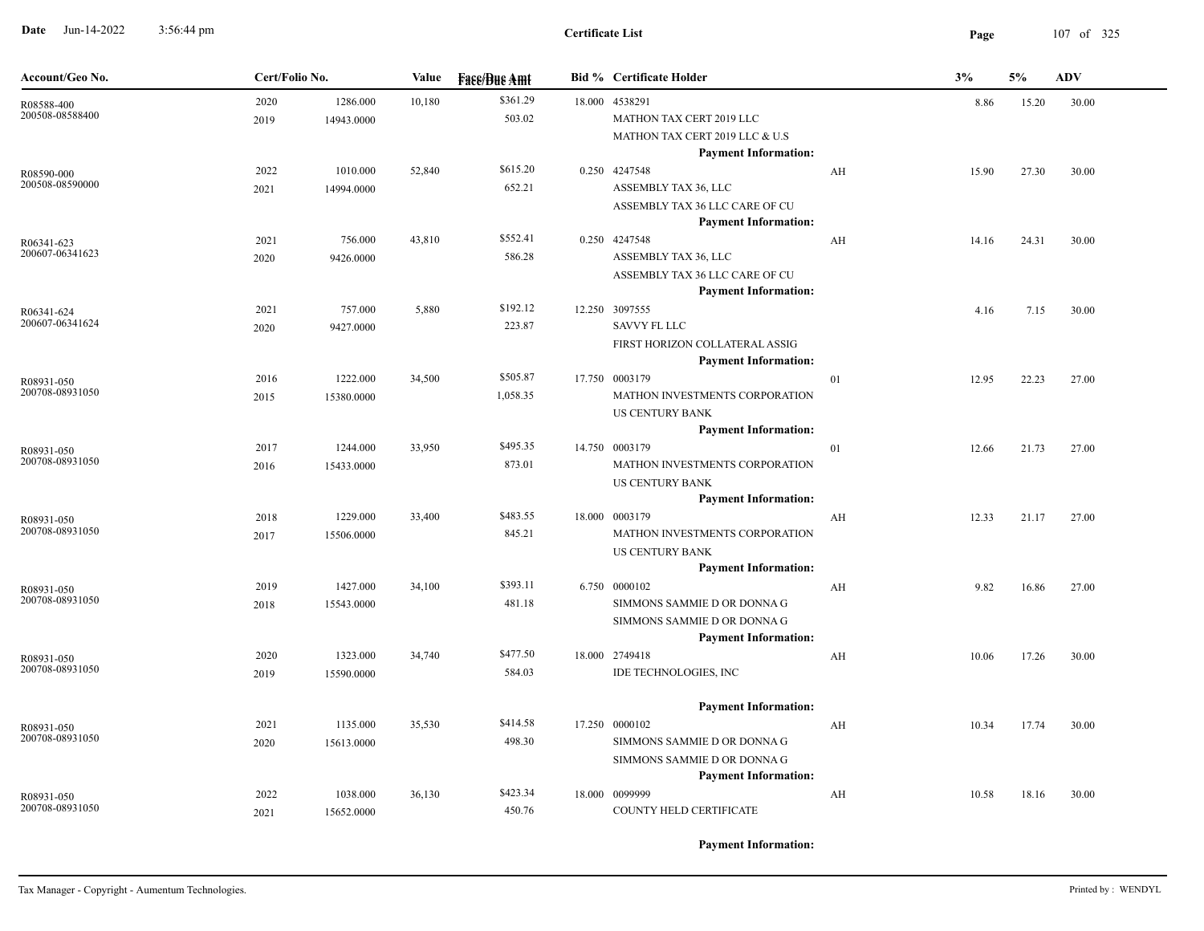**Date** Jun-14-2022 3:56:44 pm **Page** 107 of 325 3:56:44 pm

| Account/Geo No.               | Cert/Folio No. |                        | Value  | <b>Face/Bue Amt</b>  | <b>Bid % Certificate Holder</b>                                                                                                           |    | 3%    | 5%    | <b>ADV</b> |
|-------------------------------|----------------|------------------------|--------|----------------------|-------------------------------------------------------------------------------------------------------------------------------------------|----|-------|-------|------------|
| R08588-400<br>200508-08588400 | 2020<br>2019   | 1286.000<br>14943.0000 |        | \$361.29<br>503.02   | 18.000 4538291<br>MATHON TAX CERT 2019 LLC<br>MATHON TAX CERT 2019 LLC & U.S<br><b>Payment Information:</b>                               |    | 8.86  |       | 30.00      |
| R08590-000<br>200508-08590000 | 2022<br>2021   | 1010.000<br>14994.0000 | 52,840 | \$615.20<br>652.21   | 0.250 4247548<br>ASSEMBLY TAX 36, LLC<br>ASSEMBLY TAX 36 LLC CARE OF CU<br><b>Payment Information:</b>                                    | AH | 15.90 | 27.30 | 30.00      |
| R06341-623<br>200607-06341623 | 2021<br>2020   | 756.000<br>9426.0000   | 43,810 | \$552.41<br>586.28   | 0.250 4247548<br>ASSEMBLY TAX 36, LLC<br>ASSEMBLY TAX 36 LLC CARE OF CU<br><b>Payment Information:</b>                                    | AH | 14.16 | 24.31 | 30.00      |
| R06341-624<br>200607-06341624 | 2021<br>2020   | 757.000<br>9427.0000   | 5,880  | \$192.12<br>223.87   | 12.250 3097555<br><b>SAVVY FL LLC</b><br>FIRST HORIZON COLLATERAL ASSIG<br><b>Payment Information:</b>                                    |    | 4.16  | 7.15  | 30.00      |
| R08931-050<br>200708-08931050 | 2016<br>2015   | 1222.000<br>15380.0000 | 34,500 | \$505.87<br>1,058.35 | 17.750 0003179<br>MATHON INVESTMENTS CORPORATION<br><b>US CENTURY BANK</b><br><b>Payment Information:</b>                                 | 01 | 12.95 | 22.23 | 27.00      |
| R08931-050<br>200708-08931050 | 2017<br>2016   | 1244.000<br>15433.0000 | 33,950 | \$495.35<br>873.01   | 14.750 0003179<br>MATHON INVESTMENTS CORPORATION<br><b>US CENTURY BANK</b>                                                                | 01 | 12.66 | 21.73 | 27.00      |
| R08931-050<br>200708-08931050 | 2018<br>2017   | 1229.000<br>15506.0000 | 33,400 | \$483.55<br>845.21   | <b>Payment Information:</b><br>18.000 0003179<br>MATHON INVESTMENTS CORPORATION<br><b>US CENTURY BANK</b>                                 | AH | 12.33 | 21.17 | 27.00      |
| R08931-050<br>200708-08931050 | 2019<br>2018   | 1427.000<br>15543.0000 | 34,100 | \$393.11<br>481.18   | <b>Payment Information:</b><br>6.750 0000102<br>SIMMONS SAMMIE D OR DONNA G<br>SIMMONS SAMMIE D OR DONNA G<br><b>Payment Information:</b> | AH | 9.82  | 16.86 | 27.00      |
| R08931-050<br>200708-08931050 | 2020<br>2019   | 1323.000<br>15590.0000 | 34,740 | \$477.50<br>584.03   | 18.000 2749418<br>IDE TECHNOLOGIES, INC                                                                                                   | AH | 10.06 | 17.26 | 30.00      |
| R08931-050<br>200708-08931050 | 2021<br>2020   | 1135.000<br>15613.0000 | 35,530 | \$414.58<br>498.30   | <b>Payment Information:</b><br>17.250 0000102<br>SIMMONS SAMMIE D OR DONNA G<br>SIMMONS SAMMIE D OR DONNA G                               | AH | 10.34 | 17.74 | 30.00      |
| R08931-050<br>200708-08931050 | 2022<br>2021   | 1038.000<br>15652.0000 | 36,130 | \$423.34<br>450.76   | <b>Payment Information:</b><br>18.000 0099999<br>COUNTY HELD CERTIFICATE                                                                  | AH | 10.58 | 18.16 | 30.00      |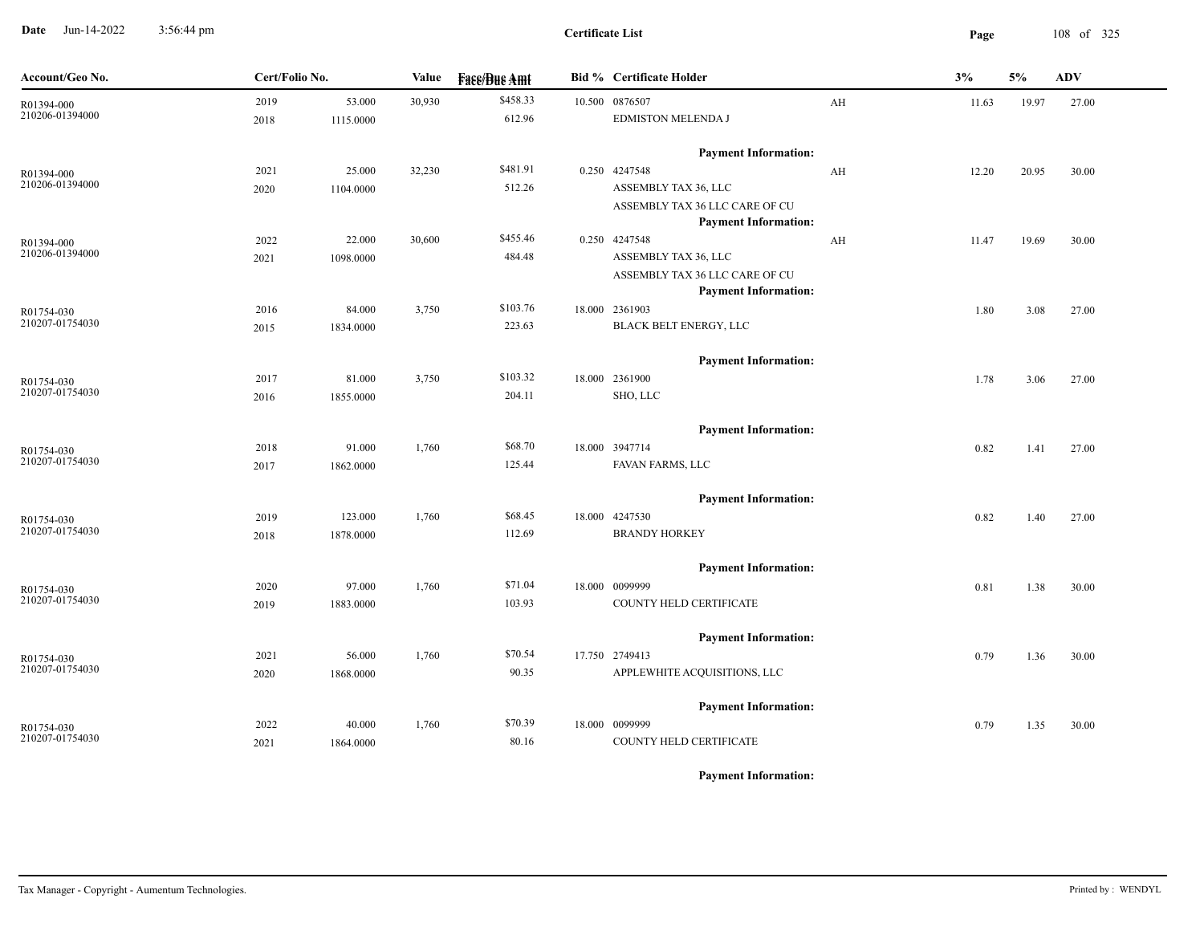**Date** Jun-14-2022 3:56:44 pm **Page** 108 of 325 3:56:44 pm

| Account/Geo No.               | Cert/Folio No. |           | Value  | <b>Fase/Bue Amt</b> | <b>Bid % Certificate Holder</b>                               |    | 3%    | 5%    | ADV   |
|-------------------------------|----------------|-----------|--------|---------------------|---------------------------------------------------------------|----|-------|-------|-------|
| R01394-000                    | 2019           | 53.000    | 30,930 | \$458.33            | 10.500 0876507                                                | AH | 11.63 | 19.97 | 27.00 |
| 210206-01394000               | 2018           | 1115.0000 |        | 612.96              | EDMISTON MELENDA J                                            |    |       |       |       |
|                               |                |           |        |                     | <b>Payment Information:</b>                                   |    |       |       |       |
| R01394-000                    | 2021           | 25.000    | 32,230 | \$481.91            | 0.250 4247548                                                 | AH | 12.20 | 20.95 | 30.00 |
| 210206-01394000               | 2020           | 1104.0000 |        | 512.26              | ASSEMBLY TAX 36, LLC                                          |    |       |       |       |
|                               |                |           |        |                     | ASSEMBLY TAX 36 LLC CARE OF CU                                |    |       |       |       |
|                               |                |           |        |                     | <b>Payment Information:</b>                                   |    |       |       |       |
| R01394-000<br>210206-01394000 | 2022           | 22.000    | 30,600 | \$455.46            | 0.250 4247548                                                 | AH | 11.47 | 19.69 | 30.00 |
|                               | 2021           | 1098.0000 |        | 484.48              | ASSEMBLY TAX 36, LLC                                          |    |       |       |       |
|                               |                |           |        |                     | ASSEMBLY TAX 36 LLC CARE OF CU<br><b>Payment Information:</b> |    |       |       |       |
| R01754-030                    | 2016           | 84.000    | 3,750  | \$103.76            | 18.000 2361903                                                |    | 1.80  | 3.08  | 27.00 |
| 210207-01754030               | 2015           | 1834.0000 |        | 223.63              | BLACK BELT ENERGY, LLC                                        |    |       |       |       |
|                               |                |           |        |                     | <b>Payment Information:</b>                                   |    |       |       |       |
| R01754-030                    | 2017           | 81.000    | 3,750  | \$103.32            | 18.000 2361900                                                |    | 1.78  | 3.06  | 27.00 |
| 210207-01754030               | 2016           | 1855.0000 |        | 204.11              | SHO, LLC                                                      |    |       |       |       |
|                               |                |           |        |                     |                                                               |    |       |       |       |
|                               |                |           |        |                     | <b>Payment Information:</b>                                   |    |       |       |       |
| R01754-030                    | 2018           | 91.000    | 1,760  | \$68.70             | 18.000 3947714                                                |    | 0.82  | 1.41  | 27.00 |
| 210207-01754030               | 2017           | 1862.0000 |        | 125.44              | FAVAN FARMS, LLC                                              |    |       |       |       |
|                               |                |           |        |                     | <b>Payment Information:</b>                                   |    |       |       |       |
| R01754-030                    | 2019           | 123.000   | 1,760  | \$68.45             | 18.000 4247530                                                |    | 0.82  | 1.40  | 27.00 |
| 210207-01754030               | 2018           | 1878.0000 |        | 112.69              | <b>BRANDY HORKEY</b>                                          |    |       |       |       |
|                               |                |           |        |                     | <b>Payment Information:</b>                                   |    |       |       |       |
| R01754-030                    | 2020           | 97.000    | 1,760  | \$71.04             | 18.000 0099999                                                |    | 0.81  | 1.38  | 30.00 |
| 210207-01754030               | 2019           | 1883.0000 |        | 103.93              | COUNTY HELD CERTIFICATE                                       |    |       |       |       |
|                               |                |           |        |                     | <b>Payment Information:</b>                                   |    |       |       |       |
| R01754-030                    | 2021           | 56.000    | 1,760  | \$70.54             | 17.750 2749413                                                |    | 0.79  | 1.36  | 30.00 |
| 210207-01754030               | 2020           | 1868.0000 |        | 90.35               | APPLEWHITE ACQUISITIONS, LLC                                  |    |       |       |       |
|                               |                |           |        |                     | <b>Payment Information:</b>                                   |    |       |       |       |
| R01754-030                    | 2022           | 40.000    | 1,760  | \$70.39             | 18.000 0099999                                                |    | 0.79  | 1.35  | 30.00 |
| 210207-01754030               | 2021           | 1864.0000 |        | 80.16               | COUNTY HELD CERTIFICATE                                       |    |       |       |       |
|                               |                |           |        |                     |                                                               |    |       |       |       |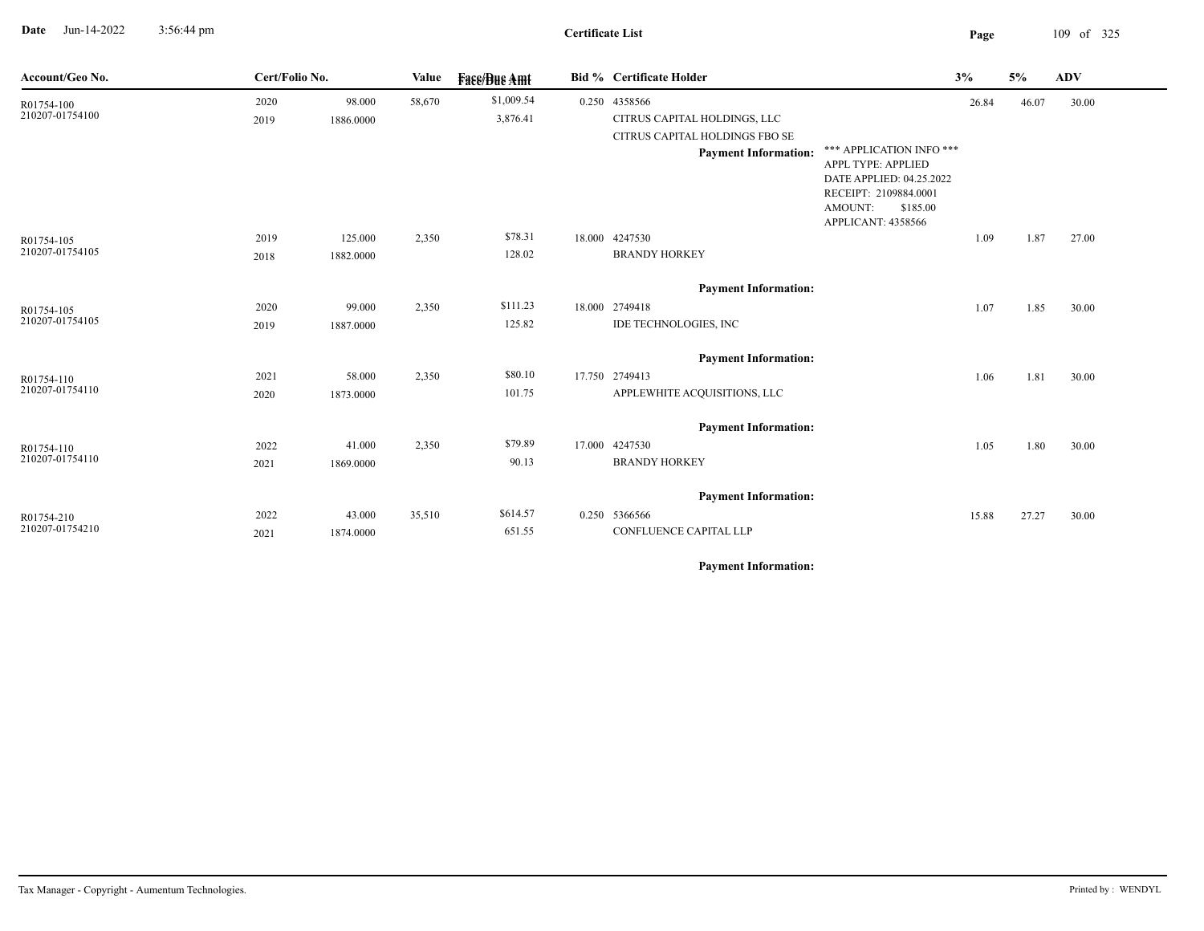**Date** Jun-14-2022 3:56:44 pm **Page** 109 of 325 3:56:44 pm

## **Certificate List**

| Account/Geo No.               | Cert/Folio No. |           | Value  | <b>Face/Bue Amt</b> | <b>Bid % Certificate Holder</b>                |                                                | 3%    | 5%    | <b>ADV</b> |
|-------------------------------|----------------|-----------|--------|---------------------|------------------------------------------------|------------------------------------------------|-------|-------|------------|
| R01754-100                    | 2020           | 98.000    | 58,670 | \$1,009.54          | 0.250 4358566                                  |                                                | 26.84 | 46.07 | 30.00      |
| 210207-01754100               | 2019           | 1886.0000 |        | 3,876.41            | CITRUS CAPITAL HOLDINGS, LLC                   |                                                |       |       |            |
|                               |                |           |        |                     | CITRUS CAPITAL HOLDINGS FBO SE                 |                                                |       |       |            |
|                               |                |           |        |                     | <b>Payment Information:</b>                    | *** APPLICATION INFO ***                       |       |       |            |
|                               |                |           |        |                     |                                                | APPL TYPE: APPLIED<br>DATE APPLIED: 04.25.2022 |       |       |            |
|                               |                |           |        |                     |                                                | RECEIPT: 2109884.0001                          |       |       |            |
|                               |                |           |        |                     | AMOUNT:                                        | \$185.00                                       |       |       |            |
|                               |                |           |        |                     |                                                | APPLICANT: 4358566                             |       |       |            |
| R01754-105<br>210207-01754105 | 2019           | 125.000   | 2,350  | \$78.31             | 18.000 4247530                                 |                                                | 1.09  | 1.87  | 27.00      |
|                               | 2018           | 1882.0000 |        | 128.02              | <b>BRANDY HORKEY</b>                           |                                                |       |       |            |
|                               |                |           |        |                     | <b>Payment Information:</b>                    |                                                |       |       |            |
| R01754-105                    | 2020           | 99.000    | 2,350  | \$111.23            | 18.000 2749418                                 |                                                | 1.07  | 1.85  | 30.00      |
| 210207-01754105               | 2019           | 1887.0000 |        | 125.82              | IDE TECHNOLOGIES, INC                          |                                                |       |       |            |
|                               |                |           |        |                     |                                                |                                                |       |       |            |
|                               |                |           |        | \$80.10             | <b>Payment Information:</b>                    |                                                |       |       |            |
| R01754-110<br>210207-01754110 | 2021           | 58.000    | 2,350  | 101.75              | 17.750 2749413<br>APPLEWHITE ACQUISITIONS, LLC |                                                | 1.06  | 1.81  | 30.00      |
|                               | 2020           | 1873.0000 |        |                     |                                                |                                                |       |       |            |
|                               |                |           |        |                     | <b>Payment Information:</b>                    |                                                |       |       |            |
| R01754-110                    | 2022           | 41.000    | 2,350  | \$79.89             | 17.000 4247530                                 |                                                | 1.05  | 1.80  | 30.00      |
| 210207-01754110               | 2021           | 1869.0000 |        | 90.13               | <b>BRANDY HORKEY</b>                           |                                                |       |       |            |
|                               |                |           |        |                     |                                                |                                                |       |       |            |
|                               |                |           |        | \$614.57            | <b>Payment Information:</b>                    |                                                |       |       |            |
| R01754-210<br>210207-01754210 | 2022           | 43.000    | 35,510 | 651.55              | 0.250 5366566<br>CONFLUENCE CAPITAL LLP        |                                                | 15.88 | 27.27 | 30.00      |
|                               | 2021           | 1874.0000 |        |                     |                                                |                                                |       |       |            |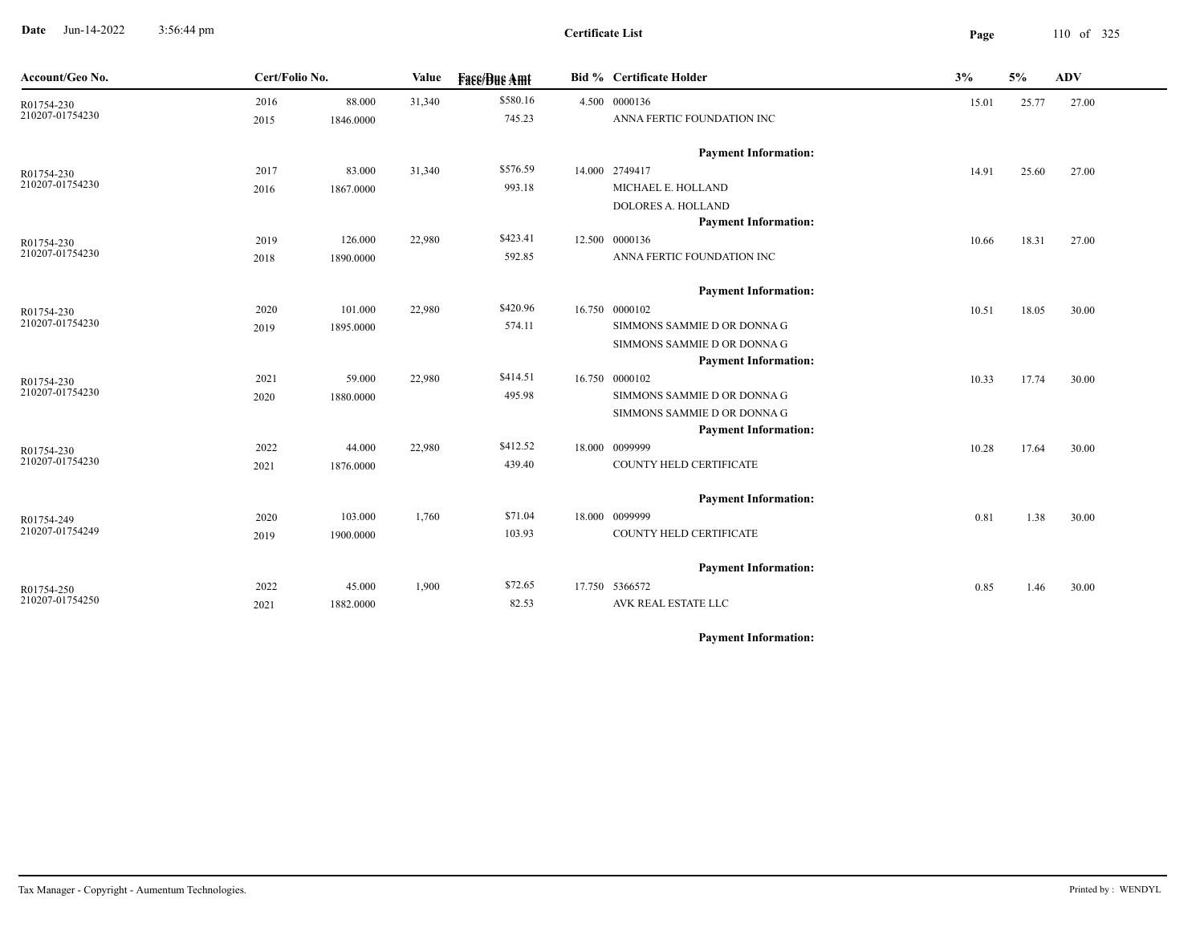**Date** Jun-14-2022 3:56:44 pm **Page** 110 of 325 3:56:44 pm

**Certificate List**

| Account/Geo No.               | Cert/Folio No. |           | Value  | <b>Face/Bue Amt</b> | <b>Bid % Certificate Holder</b> | 3%    | 5%    | ${\bf A}{\bf D}{\bf V}$ |
|-------------------------------|----------------|-----------|--------|---------------------|---------------------------------|-------|-------|-------------------------|
| R01754-230                    | 2016           | 88.000    | 31,340 | \$580.16            | 4.500 0000136                   | 15.01 | 25.77 | 27.00                   |
| 210207-01754230               | 2015           | 1846.0000 |        | 745.23              | ANNA FERTIC FOUNDATION INC      |       |       |                         |
|                               |                |           |        |                     | <b>Payment Information:</b>     |       |       |                         |
| R01754-230                    | 2017           | 83.000    | 31,340 | \$576.59            | 14.000 2749417                  | 14.91 | 25.60 | 27.00                   |
| 210207-01754230               | 2016           | 1867.0000 |        | 993.18              | MICHAEL E. HOLLAND              |       |       |                         |
|                               |                |           |        |                     | <b>DOLORES A. HOLLAND</b>       |       |       |                         |
|                               |                |           |        |                     | <b>Payment Information:</b>     |       |       |                         |
| R01754-230                    | 2019           | 126.000   | 22,980 | \$423.41            | 12.500 0000136                  | 10.66 | 18.31 | 27.00                   |
| 210207-01754230               | 2018           | 1890.0000 |        | 592.85              | ANNA FERTIC FOUNDATION INC      |       |       |                         |
|                               |                |           |        |                     | <b>Payment Information:</b>     |       |       |                         |
| R01754-230                    | 2020           | 101.000   | 22,980 | \$420.96            | 16.750 0000102                  | 10.51 | 18.05 | 30.00                   |
| 210207-01754230               | 2019           | 1895.0000 |        | 574.11              | SIMMONS SAMMIE D OR DONNA G     |       |       |                         |
|                               |                |           |        |                     | SIMMONS SAMMIE D OR DONNA G     |       |       |                         |
|                               |                |           |        |                     | <b>Payment Information:</b>     |       |       |                         |
| R01754-230                    | 2021           | 59.000    | 22,980 | \$414.51            | 16.750 0000102                  | 10.33 | 17.74 | 30.00                   |
| 210207-01754230               | 2020           | 1880.0000 |        | 495.98              | SIMMONS SAMMIE D OR DONNA G     |       |       |                         |
|                               |                |           |        |                     | SIMMONS SAMMIE D OR DONNA G     |       |       |                         |
|                               |                |           |        |                     | <b>Payment Information:</b>     |       |       |                         |
| R01754-230<br>210207-01754230 | 2022           | 44.000    | 22,980 | \$412.52            | 18.000 0099999                  | 10.28 | 17.64 | 30.00                   |
|                               | 2021           | 1876.0000 |        | 439.40              | COUNTY HELD CERTIFICATE         |       |       |                         |
|                               |                |           |        |                     | <b>Payment Information:</b>     |       |       |                         |
| R01754-249                    | 2020           | 103.000   | 1,760  | \$71.04             | 18.000 0099999                  | 0.81  | 1.38  | 30.00                   |
| 210207-01754249               | 2019           | 1900.0000 |        | 103.93              | COUNTY HELD CERTIFICATE         |       |       |                         |
|                               |                |           |        |                     | <b>Payment Information:</b>     |       |       |                         |
| R01754-250                    | 2022           | 45.000    | 1,900  | \$72.65             | 17.750 5366572                  | 0.85  | 1.46  | 30.00                   |
| 210207-01754250               | 2021           | 1882.0000 |        | 82.53               | AVK REAL ESTATE LLC             |       |       |                         |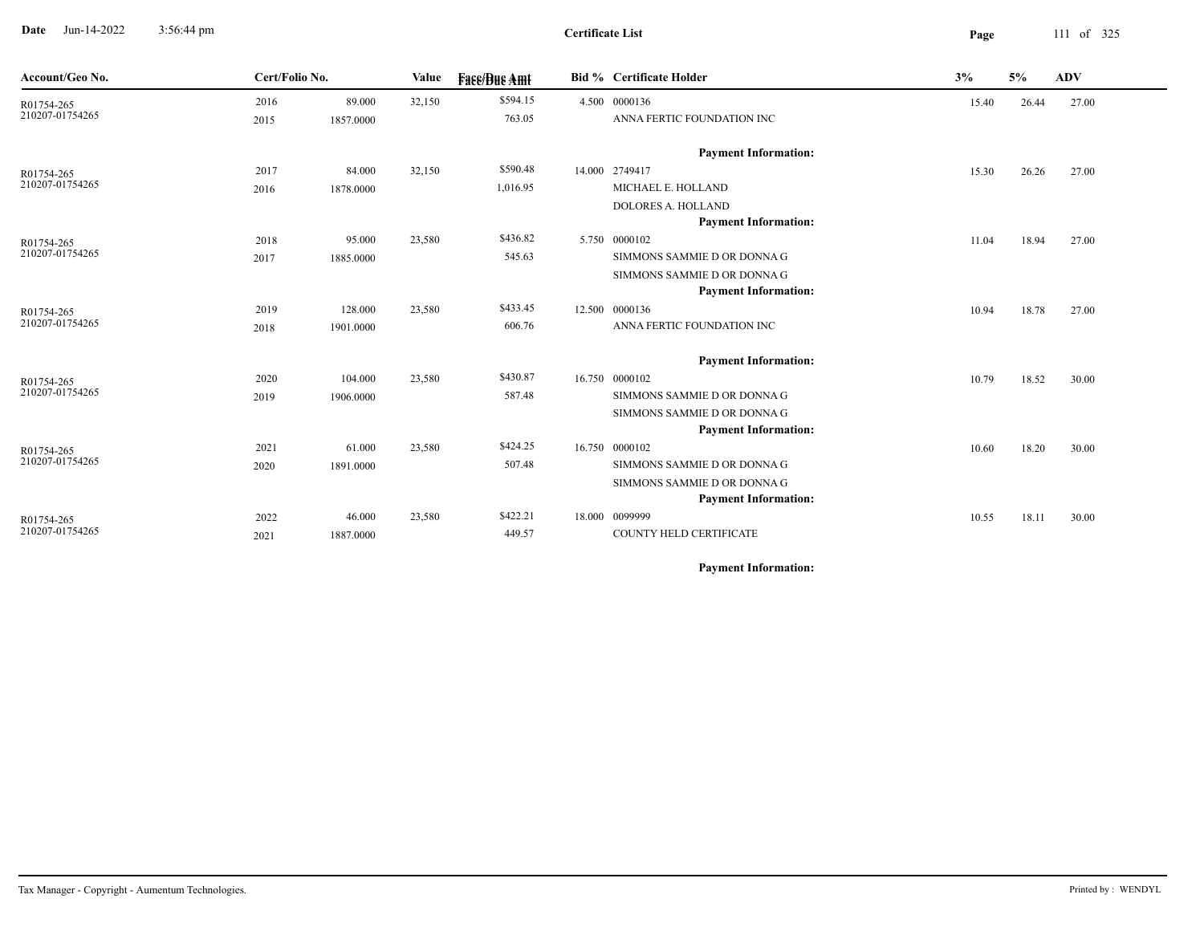**Date** Jun-14-2022 3:56:44 pm **Page** 111 of 325 3:56:44 pm

**Certificate List**

| Account/Geo No.               | Cert/Folio No. |           | Value  | <b>Face/Due Amt</b> | <b>Bid % Certificate Holder</b> | 3%    | 5%    | <b>ADV</b> |
|-------------------------------|----------------|-----------|--------|---------------------|---------------------------------|-------|-------|------------|
| R01754-265                    | 2016           | 89.000    | 32,150 | \$594.15            | 4.500 0000136                   | 15.40 | 26.44 | 27.00      |
| 210207-01754265               | 2015           | 1857.0000 |        | 763.05              | ANNA FERTIC FOUNDATION INC      |       |       |            |
|                               |                |           |        |                     | <b>Payment Information:</b>     |       |       |            |
| R01754-265                    | 2017           | 84.000    | 32,150 | \$590.48            | 14.000 2749417                  | 15.30 | 26.26 | 27.00      |
| 210207-01754265               | 2016           | 1878.0000 |        | 1,016.95            | MICHAEL E. HOLLAND              |       |       |            |
|                               |                |           |        |                     | <b>DOLORES A. HOLLAND</b>       |       |       |            |
|                               |                |           |        |                     | <b>Payment Information:</b>     |       |       |            |
| R01754-265                    | 2018           | 95.000    | 23,580 | \$436.82            | 5.750 0000102                   | 11.04 | 18.94 | 27.00      |
| 210207-01754265               | 2017           | 1885.0000 |        | 545.63              | SIMMONS SAMMIE D OR DONNA G     |       |       |            |
|                               |                |           |        |                     | SIMMONS SAMMIE D OR DONNA G     |       |       |            |
|                               |                |           |        |                     | <b>Payment Information:</b>     |       |       |            |
| R01754-265<br>210207-01754265 | 2019           | 128.000   | 23,580 | \$433.45            | 12.500 0000136                  | 10.94 | 18.78 | 27.00      |
|                               | 2018           | 1901.0000 |        | 606.76              | ANNA FERTIC FOUNDATION INC      |       |       |            |
|                               |                |           |        |                     | <b>Payment Information:</b>     |       |       |            |
| R01754-265                    | 2020           | 104.000   | 23,580 | \$430.87            | 16.750 0000102                  | 10.79 | 18.52 | 30.00      |
| 210207-01754265               | 2019           | 1906.0000 |        | 587.48              | SIMMONS SAMMIE D OR DONNA G     |       |       |            |
|                               |                |           |        |                     | SIMMONS SAMMIE D OR DONNA G     |       |       |            |
|                               |                |           |        |                     | <b>Payment Information:</b>     |       |       |            |
| R01754-265                    | 2021           | 61.000    | 23,580 | \$424.25            | 16.750 0000102                  | 10.60 | 18.20 | 30.00      |
| 210207-01754265               | 2020           | 1891.0000 |        | 507.48              | SIMMONS SAMMIE D OR DONNA G     |       |       |            |
|                               |                |           |        |                     | SIMMONS SAMMIE D OR DONNA G     |       |       |            |
|                               |                |           |        |                     | <b>Payment Information:</b>     |       |       |            |
| R01754-265                    | 2022           | 46.000    | 23,580 | \$422.21            | 18.000 0099999                  | 10.55 | 18.11 | 30.00      |
| 210207-01754265               | 2021           | 1887.0000 |        | 449.57              | COUNTY HELD CERTIFICATE         |       |       |            |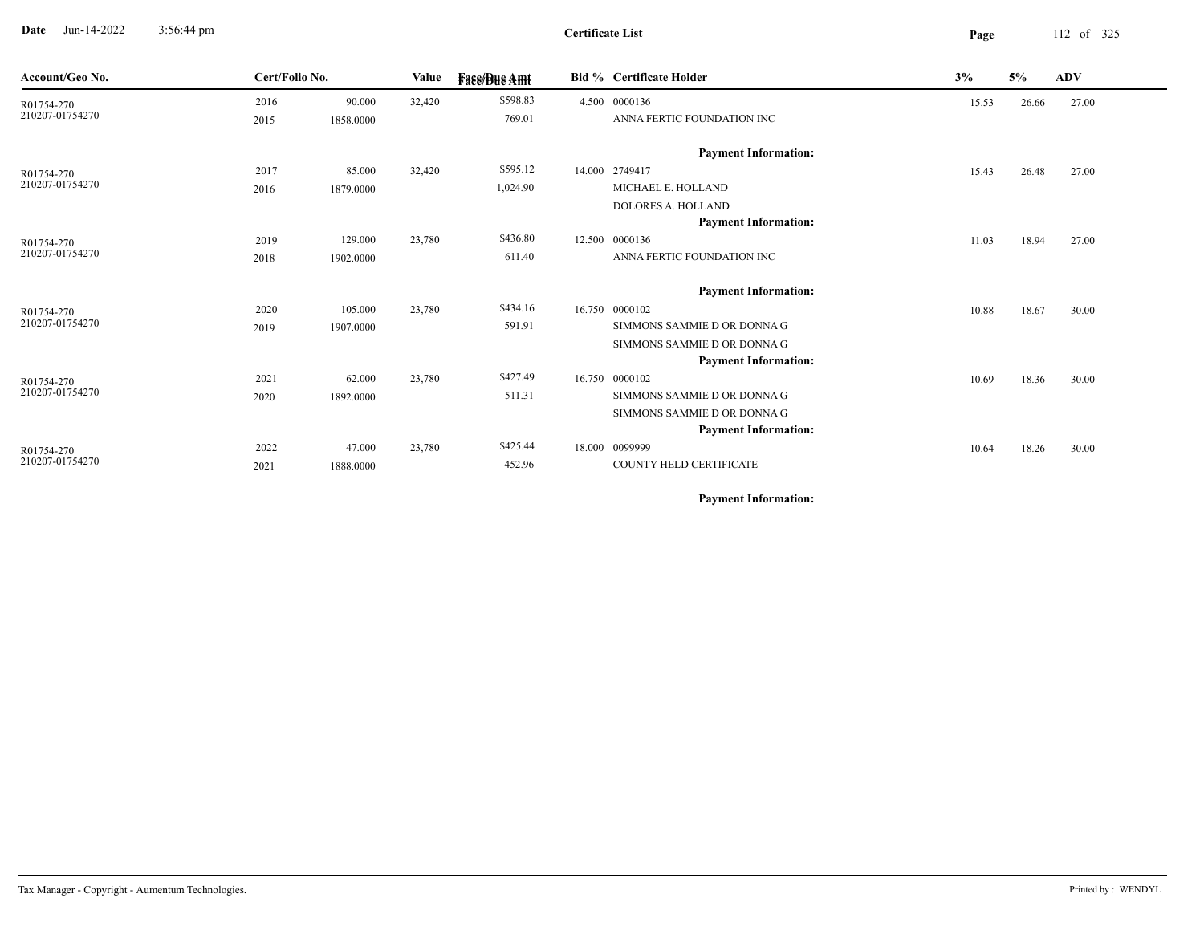**Date** Jun-14-2022 3:56:44 pm **Page** 112 of 325 3:56:44 pm

| Account/Geo No. | Cert/Folio No. |           | Value  | <b>Face/Bue Amt</b> | <b>Bid % Certificate Holder</b> | 3%    | 5%    | <b>ADV</b> |
|-----------------|----------------|-----------|--------|---------------------|---------------------------------|-------|-------|------------|
| R01754-270      | 2016           | 90.000    | 32,420 | \$598.83            | 4.500 0000136                   | 15.53 | 26.66 | 27.00      |
| 210207-01754270 | 2015           | 1858.0000 |        | 769.01              | ANNA FERTIC FOUNDATION INC      |       |       |            |
|                 |                |           |        |                     | <b>Payment Information:</b>     |       |       |            |
| R01754-270      | 2017           | 85.000    | 32,420 | \$595.12            | 14.000 2749417                  | 15.43 | 26.48 | 27.00      |
| 210207-01754270 | 2016           | 1879.0000 |        | 1,024.90            | MICHAEL E. HOLLAND              |       |       |            |
|                 |                |           |        |                     | <b>DOLORES A. HOLLAND</b>       |       |       |            |
|                 |                |           |        |                     | <b>Payment Information:</b>     |       |       |            |
| R01754-270      | 2019           | 129.000   | 23,780 | \$436.80            | 12.500 0000136                  | 11.03 | 18.94 | 27.00      |
| 210207-01754270 | 2018           | 1902.0000 |        | 611.40              | ANNA FERTIC FOUNDATION INC      |       |       |            |
|                 |                |           |        |                     | <b>Payment Information:</b>     |       |       |            |
| R01754-270      | 2020           | 105.000   | 23,780 | \$434.16            | 16.750 0000102                  | 10.88 | 18.67 | 30.00      |
| 210207-01754270 | 2019           | 1907.0000 |        | 591.91              | SIMMONS SAMMIE D OR DONNA G     |       |       |            |
|                 |                |           |        |                     | SIMMONS SAMMIE D OR DONNA G     |       |       |            |
|                 |                |           |        |                     | <b>Payment Information:</b>     |       |       |            |
| R01754-270      | 2021           | 62.000    | 23,780 | \$427.49            | 16.750 0000102                  | 10.69 | 18.36 | 30.00      |
| 210207-01754270 | 2020           | 1892.0000 |        | 511.31              | SIMMONS SAMMIE D OR DONNA G     |       |       |            |
|                 |                |           |        |                     | SIMMONS SAMMIE D OR DONNA G     |       |       |            |
|                 |                |           |        |                     | <b>Payment Information:</b>     |       |       |            |
| R01754-270      | 2022           | 47.000    | 23,780 | \$425.44            | 18.000 0099999                  | 10.64 | 18.26 | 30.00      |
| 210207-01754270 | 2021           | 1888.0000 |        | 452.96              | COUNTY HELD CERTIFICATE         |       |       |            |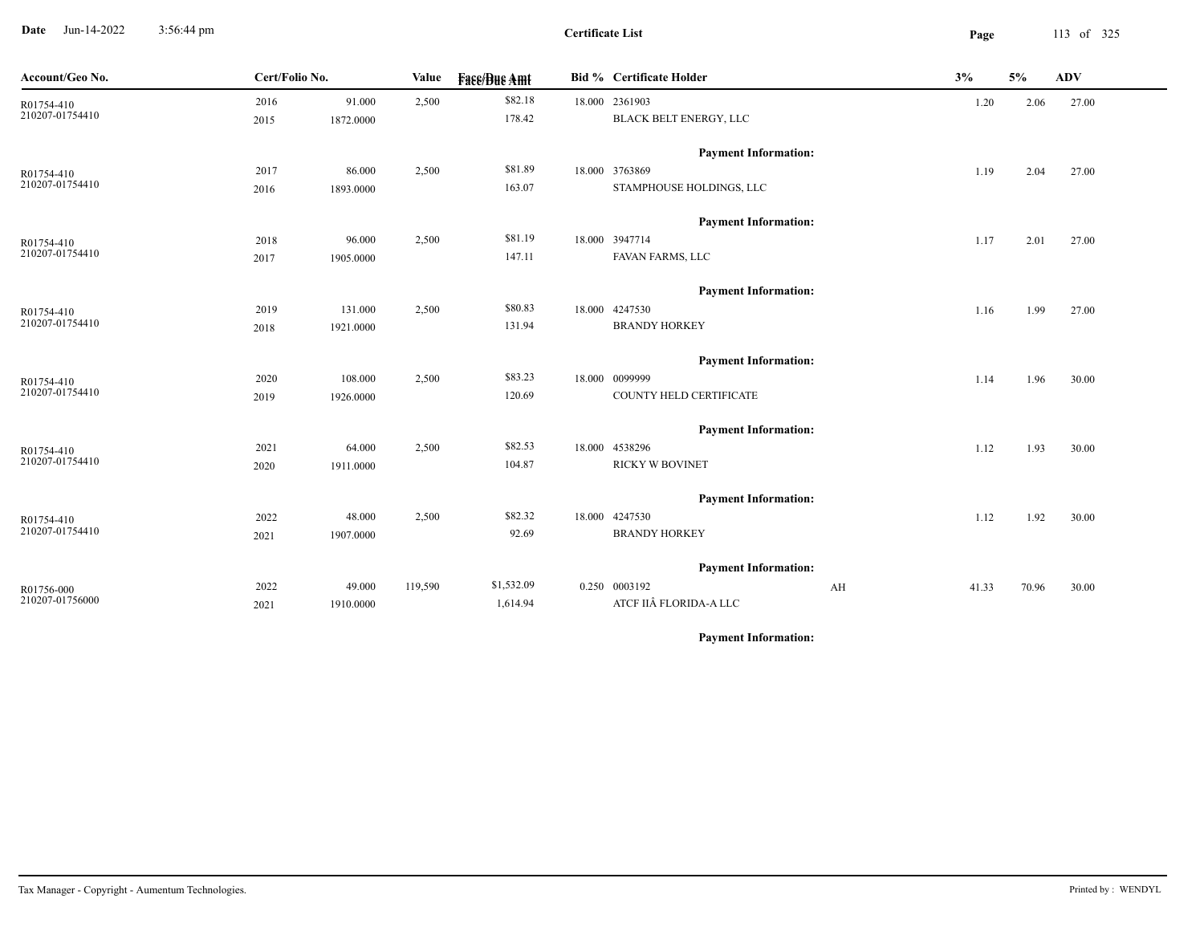**Date** Jun-14-2022 3:56:44 pm **Page** 113 of 325 3:56:44 pm

**Certificate List**

| Account/Geo No. | Cert/Folio No. |           | <b>Value</b> | <b>Face/Bue Amt</b> | Bid % Certificate Holder    | 3%    | 5%    | ADV   |
|-----------------|----------------|-----------|--------------|---------------------|-----------------------------|-------|-------|-------|
| R01754-410      | 2016           | 91.000    | 2,500        | \$82.18             | 18.000 2361903              | 1.20  | 2.06  | 27.00 |
| 210207-01754410 | 2015           | 1872.0000 |              | 178.42              | BLACK BELT ENERGY, LLC      |       |       |       |
|                 |                |           |              |                     | <b>Payment Information:</b> |       |       |       |
| R01754-410      | 2017           | 86.000    | 2,500        | \$81.89             | 18.000 3763869              | 1.19  | 2.04  | 27.00 |
| 210207-01754410 | 2016           | 1893.0000 |              | 163.07              | STAMPHOUSE HOLDINGS, LLC    |       |       |       |
|                 |                |           |              |                     | <b>Payment Information:</b> |       |       |       |
| R01754-410      | 2018           | 96.000    | 2,500        | \$81.19             | 18.000 3947714              | 1.17  | 2.01  | 27.00 |
| 210207-01754410 | 2017           | 1905.0000 |              | 147.11              | FAVAN FARMS, LLC            |       |       |       |
|                 |                |           |              |                     | <b>Payment Information:</b> |       |       |       |
| R01754-410      | 2019           | 131.000   | 2,500        | \$80.83             | 18.000 4247530              | 1.16  | 1.99  | 27.00 |
| 210207-01754410 | 2018           | 1921.0000 |              | 131.94              | <b>BRANDY HORKEY</b>        |       |       |       |
|                 |                |           |              |                     | <b>Payment Information:</b> |       |       |       |
| R01754-410      | 2020           | 108.000   | 2,500        | \$83.23             | 18.000 0099999              | 1.14  | 1.96  | 30.00 |
| 210207-01754410 | 2019           | 1926.0000 |              | 120.69              | COUNTY HELD CERTIFICATE     |       |       |       |
|                 |                |           |              |                     | <b>Payment Information:</b> |       |       |       |
| R01754-410      | 2021           | 64.000    | 2,500        | \$82.53             | 18.000 4538296              | 1.12  | 1.93  | 30.00 |
| 210207-01754410 | 2020           | 1911.0000 |              | 104.87              | <b>RICKY W BOVINET</b>      |       |       |       |
|                 |                |           |              |                     | <b>Payment Information:</b> |       |       |       |
| R01754-410      | 2022           | 48.000    | 2,500        | \$82.32             | 18.000 4247530              | 1.12  | 1.92  | 30.00 |
| 210207-01754410 | 2021           | 1907.0000 |              | 92.69               | <b>BRANDY HORKEY</b>        |       |       |       |
|                 |                |           |              |                     | <b>Payment Information:</b> |       |       |       |
| R01756-000      | 2022           | 49.000    | 119,590      | \$1,532.09          | 0.250 0003192<br>AH         | 41.33 | 70.96 | 30.00 |
| 210207-01756000 | 2021           | 1910.0000 |              | 1,614.94            | ATCF IIÂ FLORIDA-A LLC      |       |       |       |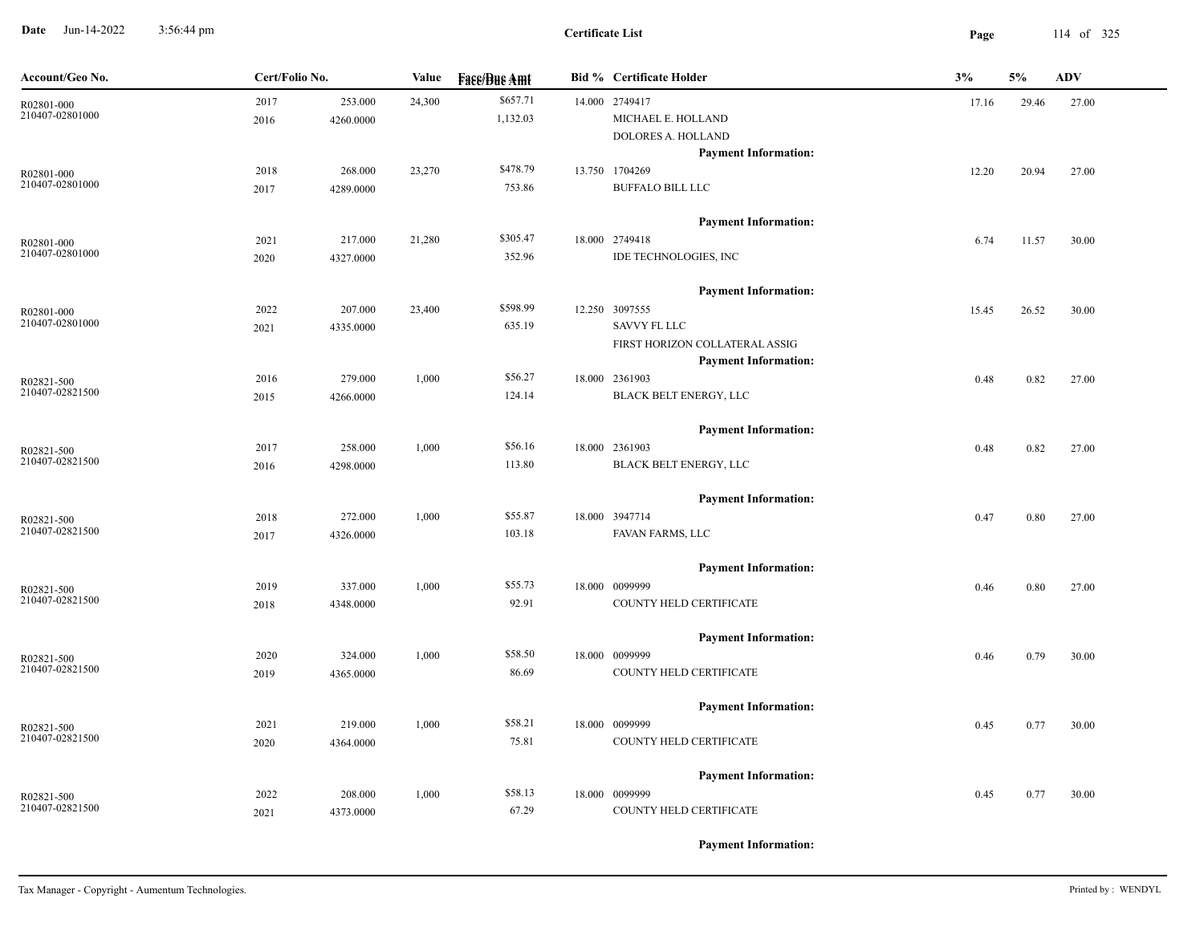**Date** Jun-14-2022 3:56:44 pm **Page** 114 of 325 3:56:44 pm

| Account/Geo No.               | Cert/Folio No. |                      | Value  | <b>Fase/Bue Amt</b>  | <b>Bid % Certificate Holder</b>                                          | 3%    | 5%    | <b>ADV</b> |
|-------------------------------|----------------|----------------------|--------|----------------------|--------------------------------------------------------------------------|-------|-------|------------|
| R02801-000<br>210407-02801000 | 2017<br>2016   | 253.000<br>4260.0000 | 24,300 | \$657.71<br>1,132.03 | 14.000 2749417<br>MICHAEL E. HOLLAND<br>DOLORES A. HOLLAND               | 17.16 | 29.46 | 27.00      |
| R02801-000<br>210407-02801000 | 2018           | 268.000              | 23,270 | \$478.79             | <b>Payment Information:</b><br>13.750 1704269                            | 12.20 | 20.94 | 27.00      |
|                               | 2017           | 4289.0000            |        | 753.86               | <b>BUFFALO BILL LLC</b><br><b>Payment Information:</b>                   |       |       |            |
| R02801-000<br>210407-02801000 | 2021<br>2020   | 217.000<br>4327.0000 | 21,280 | \$305.47<br>352.96   | 18.000 2749418<br>IDE TECHNOLOGIES, INC                                  | 6.74  | 11.57 | 30.00      |
|                               |                |                      |        |                      | <b>Payment Information:</b>                                              |       |       |            |
| R02801-000<br>210407-02801000 | 2022<br>2021   | 207.000<br>4335.0000 | 23,400 | \$598.99<br>635.19   | 12.250 3097555<br><b>SAVVY FL LLC</b><br>FIRST HORIZON COLLATERAL ASSIG  | 15.45 | 26.52 | 30.00      |
| R02821-500                    | 2016           | 279.000              | 1,000  | \$56.27              | <b>Payment Information:</b><br>18.000 2361903                            | 0.48  | 0.82  | 27.00      |
| 210407-02821500               | 2015           | 4266.0000            |        | 124.14               | BLACK BELT ENERGY, LLC                                                   |       |       |            |
| R02821-500<br>210407-02821500 | 2017<br>2016   | 258.000<br>4298.0000 | 1,000  | \$56.16<br>113.80    | <b>Payment Information:</b><br>18.000 2361903<br>BLACK BELT ENERGY, LLC  | 0.48  | 0.82  | 27.00      |
|                               |                |                      |        |                      | <b>Payment Information:</b>                                              |       |       |            |
| R02821-500<br>210407-02821500 | 2018<br>2017   | 272.000<br>4326.0000 | 1,000  | \$55.87<br>103.18    | 18.000 3947714<br>FAVAN FARMS, LLC                                       | 0.47  | 0.80  | 27.00      |
| R02821-500                    | 2019           | 337.000              | 1,000  | \$55.73              | <b>Payment Information:</b><br>18.000 0099999                            | 0.46  | 0.80  | 27.00      |
| 210407-02821500               | 2018           | 4348.0000            |        | 92.91                | COUNTY HELD CERTIFICATE                                                  |       |       |            |
| R02821-500<br>210407-02821500 | 2020<br>2019   | 324.000<br>4365.0000 | 1,000  | \$58.50<br>86.69     | <b>Payment Information:</b><br>18.000 0099999<br>COUNTY HELD CERTIFICATE | 0.46  | 0.79  | 30.00      |
|                               |                |                      |        |                      | <b>Payment Information:</b>                                              |       |       |            |
| R02821-500<br>210407-02821500 | 2021<br>2020   | 219.000<br>4364.0000 | 1,000  | \$58.21<br>75.81     | 18.000 0099999<br>COUNTY HELD CERTIFICATE                                | 0.45  | 0.77  | 30.00      |
| R02821-500                    | 2022           | 208.000              | 1,000  | \$58.13              | <b>Payment Information:</b><br>18.000 0099999                            | 0.45  | 0.77  | 30.00      |
| 210407-02821500               | 2021           | 4373.0000            |        | 67.29                | COUNTY HELD CERTIFICATE                                                  |       |       |            |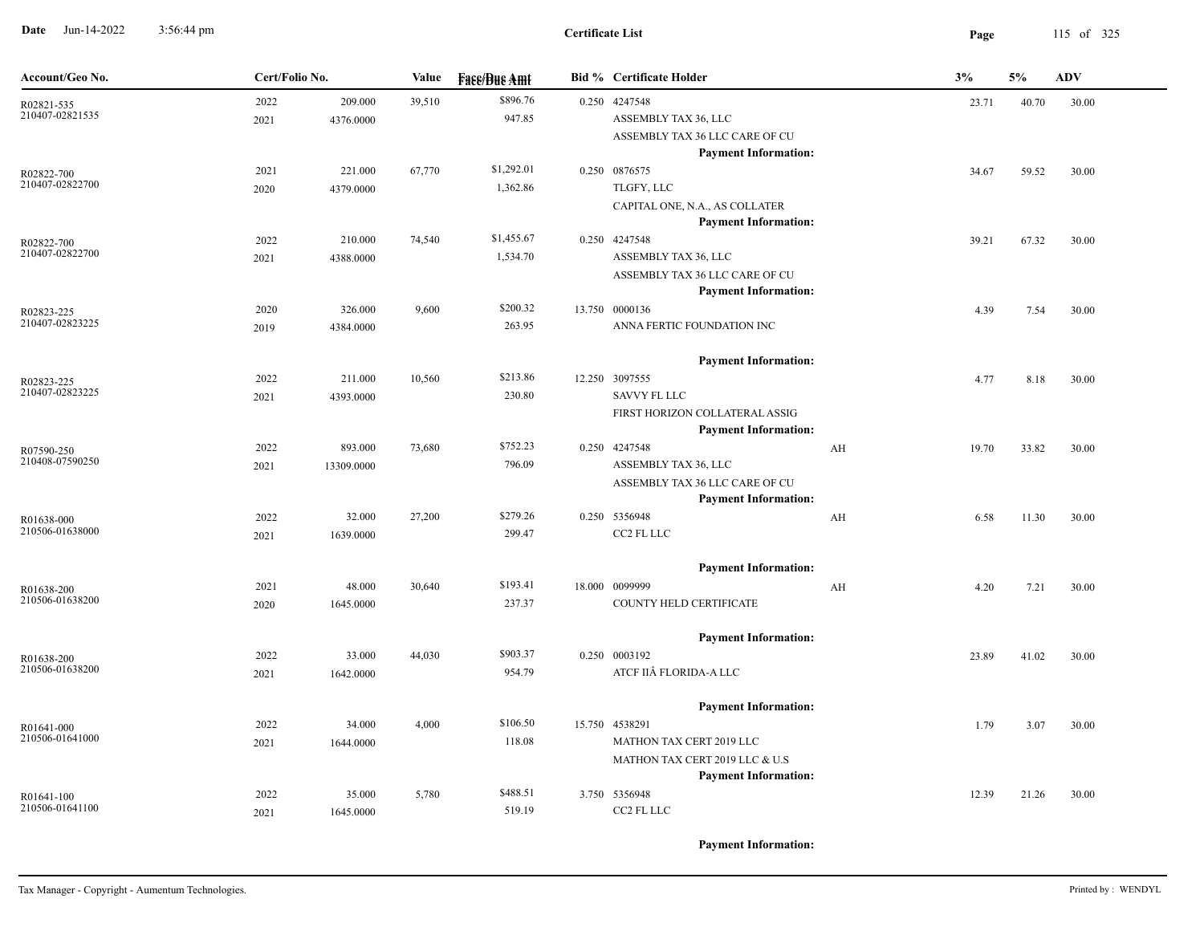**Date** Jun-14-2022 3:56:44 pm **Page** 115 of 325 3:56:44 pm

| Account/Geo No.               | Cert/Folio No. |                      | Value  | <b>Face/Bue Amt</b> |  | <b>Bid % Certificate Holder</b>                                         |    | 3%    | 5%    | <b>ADV</b> |
|-------------------------------|----------------|----------------------|--------|---------------------|--|-------------------------------------------------------------------------|----|-------|-------|------------|
| R02821-535<br>210407-02821535 | 2022<br>2021   | 209.000<br>4376.0000 | 39,510 | \$896.76<br>947.85  |  | 0.250 4247548<br>ASSEMBLY TAX 36, LLC<br>ASSEMBLY TAX 36 LLC CARE OF CU |    | 23.71 | 40.70 | 30.00      |
|                               |                |                      |        |                     |  | <b>Payment Information:</b>                                             |    |       |       |            |
| R02822-700                    | 2021           | 221.000              | 67,770 | \$1,292.01          |  | 0.250 0876575                                                           |    | 34.67 | 59.52 | 30.00      |
| 210407-02822700               | 2020           | 4379.0000            |        | 1,362.86            |  | TLGFY, LLC                                                              |    |       |       |            |
|                               |                |                      |        |                     |  | CAPITAL ONE, N.A., AS COLLATER<br><b>Payment Information:</b>           |    |       |       |            |
| R02822-700                    | 2022           | 210.000              | 74,540 | \$1,455.67          |  | 0.250 4247548                                                           |    | 39.21 | 67.32 | 30.00      |
| 210407-02822700               | 2021           | 4388.0000            |        | 1,534.70            |  | ASSEMBLY TAX 36, LLC                                                    |    |       |       |            |
|                               |                |                      |        |                     |  | ASSEMBLY TAX 36 LLC CARE OF CU                                          |    |       |       |            |
|                               | 2020           | 326.000              | 9,600  | \$200.32            |  | <b>Payment Information:</b><br>13.750 0000136                           |    | 4.39  | 7.54  | 30.00      |
| R02823-225<br>210407-02823225 | 2019           | 4384.0000            |        | 263.95              |  | ANNA FERTIC FOUNDATION INC                                              |    |       |       |            |
|                               |                |                      |        |                     |  | <b>Payment Information:</b>                                             |    |       |       |            |
| R02823-225                    | 2022           | 211.000              | 10,560 | \$213.86            |  | 12.250 3097555                                                          |    | 4.77  | 8.18  | 30.00      |
| 210407-02823225               | 2021           | 4393.0000            |        | 230.80              |  | <b>SAVVY FL LLC</b>                                                     |    |       |       |            |
|                               |                |                      |        |                     |  | FIRST HORIZON COLLATERAL ASSIG<br><b>Payment Information:</b>           |    |       |       |            |
| R07590-250                    | 2022           | 893.000              | 73,680 | \$752.23            |  | 0.250 4247548                                                           | AH | 19.70 | 33.82 | 30.00      |
| 210408-07590250               | 2021           | 13309.0000           |        | 796.09              |  | ASSEMBLY TAX 36, LLC                                                    |    |       |       |            |
|                               |                |                      |        |                     |  | ASSEMBLY TAX 36 LLC CARE OF CU<br><b>Payment Information:</b>           |    |       |       |            |
| R01638-000                    | 2022           | 32.000               | 27,200 | \$279.26            |  | 0.250 5356948                                                           | AH | 6.58  | 11.30 | 30.00      |
| 210506-01638000               | 2021           | 1639.0000            |        | 299.47              |  | CC2 FL LLC                                                              |    |       |       |            |
|                               |                |                      |        |                     |  | <b>Payment Information:</b>                                             |    |       |       |            |
| R01638-200                    | 2021           | 48.000               | 30,640 | \$193.41            |  | 18.000 0099999                                                          | AH | 4.20  | 7.21  | 30.00      |
| 210506-01638200               | 2020           | 1645.0000            |        | 237.37              |  | COUNTY HELD CERTIFICATE                                                 |    |       |       |            |
|                               |                |                      |        |                     |  | <b>Payment Information:</b>                                             |    |       |       |            |
| R01638-200<br>210506-01638200 | 2022           | 33.000               | 44,030 | \$903.37            |  | 0.250 0003192                                                           |    | 23.89 | 41.02 | 30.00      |
|                               | 2021           | 1642.0000            |        | 954.79              |  | ATCF IIÂ FLORIDA-A LLC                                                  |    |       |       |            |
|                               |                |                      |        |                     |  | <b>Payment Information:</b>                                             |    |       |       |            |
| R01641-000<br>210506-01641000 | 2022           | 34.000               | 4,000  | \$106.50            |  | 15.750 4538291                                                          |    | 1.79  | 3.07  | 30.00      |
|                               | 2021           | 1644.0000            |        | 118.08              |  | MATHON TAX CERT 2019 LLC<br>MATHON TAX CERT 2019 LLC & U.S              |    |       |       |            |
|                               |                |                      |        |                     |  | <b>Payment Information:</b>                                             |    |       |       |            |
| R01641-100                    | 2022           | 35.000               | 5,780  | \$488.51            |  | 3.750 5356948                                                           |    | 12.39 | 21.26 | 30.00      |
| 210506-01641100               | 2021           | 1645.0000            |        | 519.19              |  | CC2 FL LLC                                                              |    |       |       |            |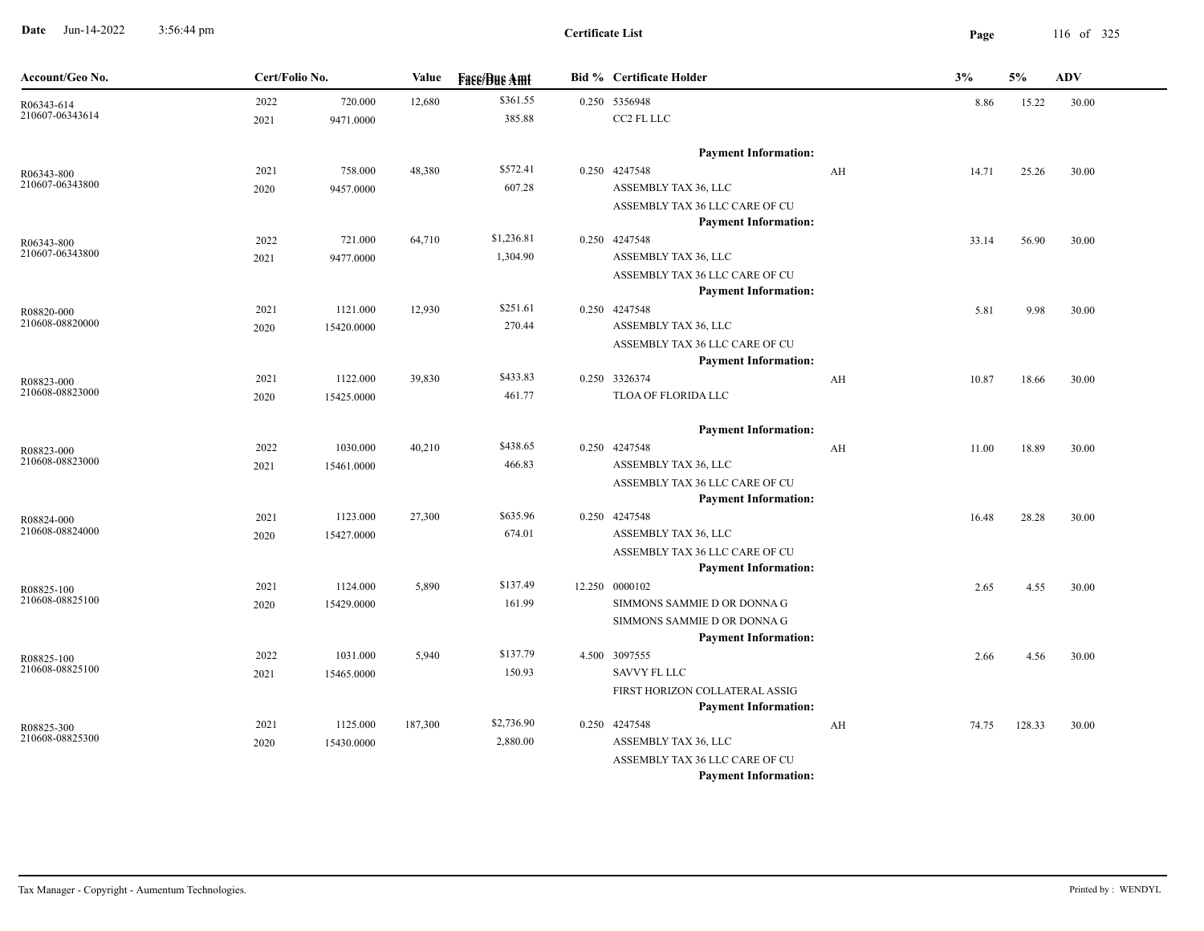**Date** Jun-14-2022 3:56:44 pm **Page** 116 of 325 3:56:44 pm

| Account/Geo No.               | Cert/Folio No. |            | Value   | <b>Fase/Bue Amt</b>    | <b>Bid % Certificate Holder</b>                               |    | 3%    | 5%     | ADV   |  |
|-------------------------------|----------------|------------|---------|------------------------|---------------------------------------------------------------|----|-------|--------|-------|--|
| R06343-614                    | 2022           | 720.000    | 12,680  | \$361.55               | 0.250 5356948                                                 |    | 8.86  | 15.22  | 30.00 |  |
| 210607-06343614               | 2021           | 9471.0000  |         | 385.88                 | CC2 FL LLC                                                    |    |       |        |       |  |
|                               |                |            |         |                        | <b>Payment Information:</b>                                   |    |       |        |       |  |
| R06343-800                    | 2021           | 758.000    | 48,380  | \$572.41               | 0.250 4247548                                                 | AH | 14.71 | 25.26  | 30.00 |  |
| 210607-06343800               | 2020           | 9457.0000  |         | 607.28                 | ASSEMBLY TAX 36, LLC                                          |    |       |        |       |  |
|                               |                |            |         |                        | ASSEMBLY TAX 36 LLC CARE OF CU                                |    |       |        |       |  |
|                               |                |            |         |                        | <b>Payment Information:</b>                                   |    |       |        |       |  |
| R06343-800<br>210607-06343800 | 2022           | 721.000    | 64,710  | \$1,236.81<br>1,304.90 | 0.250 4247548<br>ASSEMBLY TAX 36, LLC                         |    | 33.14 | 56.90  | 30.00 |  |
|                               | 2021           | 9477.0000  |         |                        | ASSEMBLY TAX 36 LLC CARE OF CU                                |    |       |        |       |  |
|                               |                |            |         |                        | <b>Payment Information:</b>                                   |    |       |        |       |  |
| R08820-000                    | 2021           | 1121.000   | 12,930  | \$251.61               | 0.250 4247548                                                 |    | 5.81  | 9.98   | 30.00 |  |
| 210608-08820000               | 2020           | 15420.0000 |         | 270.44                 | ASSEMBLY TAX 36, LLC                                          |    |       |        |       |  |
|                               |                |            |         |                        | ASSEMBLY TAX 36 LLC CARE OF CU                                |    |       |        |       |  |
|                               |                |            |         |                        | <b>Payment Information:</b>                                   |    |       |        |       |  |
| R08823-000                    | 2021           | 1122.000   | 39,830  | \$433.83               | 0.250 3326374                                                 | AH | 10.87 | 18.66  | 30.00 |  |
| 210608-08823000               | 2020           | 15425.0000 |         | 461.77                 | TLOA OF FLORIDA LLC                                           |    |       |        |       |  |
|                               |                |            |         |                        | <b>Payment Information:</b>                                   |    |       |        |       |  |
| R08823-000                    | 2022           | 1030.000   | 40,210  | \$438.65               | 0.250 4247548                                                 | AH | 11.00 | 18.89  | 30.00 |  |
| 210608-08823000               | 2021           | 15461.0000 |         | 466.83                 | ASSEMBLY TAX 36, LLC                                          |    |       |        |       |  |
|                               |                |            |         |                        | ASSEMBLY TAX 36 LLC CARE OF CU                                |    |       |        |       |  |
|                               |                |            |         |                        | <b>Payment Information:</b>                                   |    |       |        |       |  |
| R08824-000<br>210608-08824000 | 2021           | 1123.000   | 27,300  | \$635.96               | 0.250 4247548                                                 |    | 16.48 | 28.28  | 30.00 |  |
|                               | 2020           | 15427.0000 |         | 674.01                 | ASSEMBLY TAX 36, LLC<br>ASSEMBLY TAX 36 LLC CARE OF CU        |    |       |        |       |  |
|                               |                |            |         |                        | <b>Payment Information:</b>                                   |    |       |        |       |  |
| R08825-100                    | 2021           | 1124.000   | 5,890   | \$137.49               | 12.250 0000102                                                |    | 2.65  | 4.55   | 30.00 |  |
| 210608-08825100               | 2020           | 15429.0000 |         | 161.99                 | SIMMONS SAMMIE D OR DONNA G                                   |    |       |        |       |  |
|                               |                |            |         |                        | SIMMONS SAMMIE D OR DONNA G                                   |    |       |        |       |  |
|                               |                |            |         |                        | <b>Payment Information:</b>                                   |    |       |        |       |  |
| R08825-100                    | 2022           | 1031.000   | 5,940   | \$137.79               | 4.500 3097555                                                 |    | 2.66  | 4.56   | 30.00 |  |
| 210608-08825100               | 2021           | 15465.0000 |         | 150.93                 | <b>SAVVY FL LLC</b>                                           |    |       |        |       |  |
|                               |                |            |         |                        | FIRST HORIZON COLLATERAL ASSIG                                |    |       |        |       |  |
|                               |                |            |         |                        | <b>Payment Information:</b>                                   |    |       |        |       |  |
| R08825-300<br>210608-08825300 | 2021           | 1125.000   | 187,300 | \$2,736.90             | 0.250 4247548                                                 | AH | 74.75 | 128.33 | 30.00 |  |
|                               | 2020           | 15430.0000 |         | 2,880.00               | ASSEMBLY TAX 36, LLC                                          |    |       |        |       |  |
|                               |                |            |         |                        | ASSEMBLY TAX 36 LLC CARE OF CU<br><b>Payment Information:</b> |    |       |        |       |  |
|                               |                |            |         |                        |                                                               |    |       |        |       |  |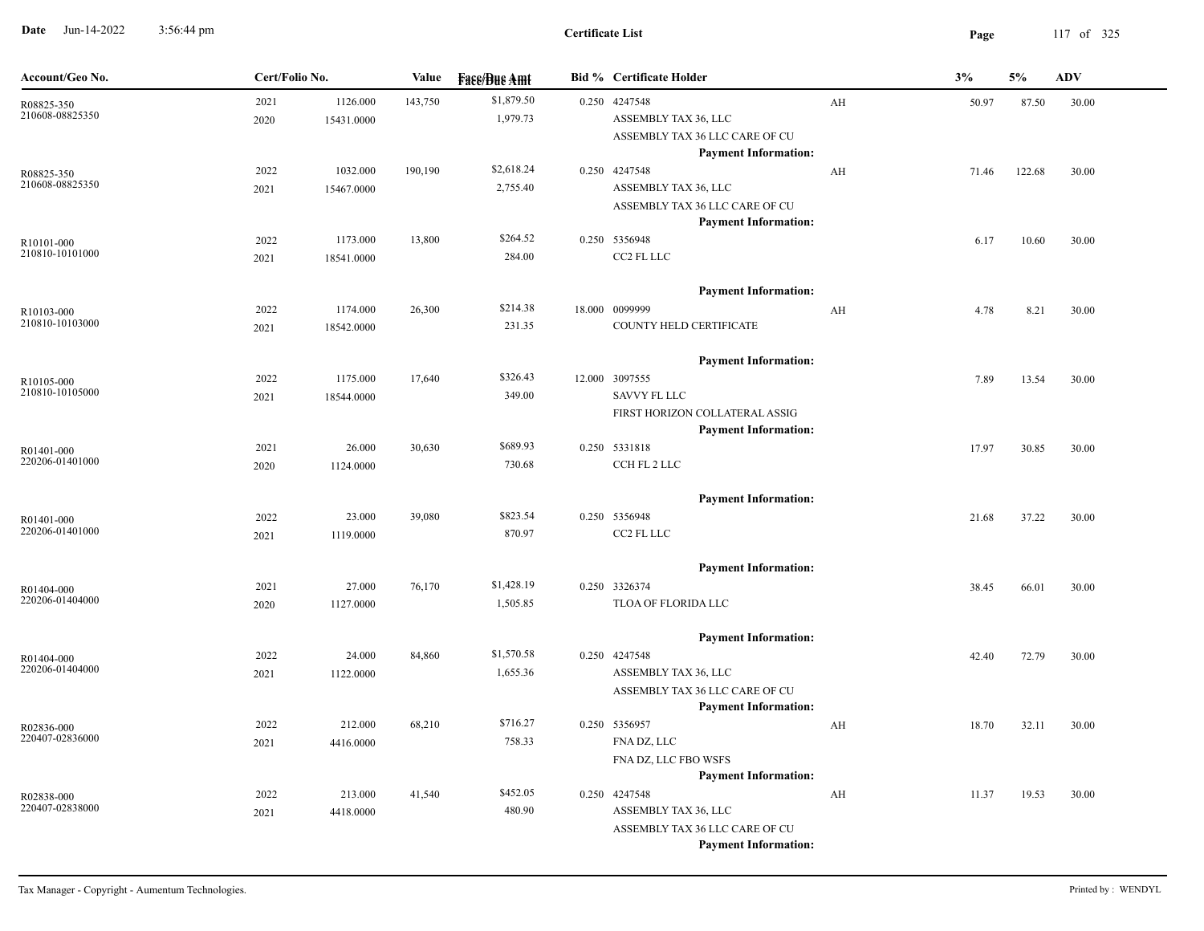**Date** Jun-14-2022 3:56:44 pm **Page** 117 of 325 3:56:44 pm

| Account/Geo No.               | Cert/Folio No. |                        | Value   | <b>Fass/Bus Amt</b>    | <b>Bid % Certificate Holder</b>                                                                                    |    | 3%    | 5%     | <b>ADV</b> |
|-------------------------------|----------------|------------------------|---------|------------------------|--------------------------------------------------------------------------------------------------------------------|----|-------|--------|------------|
| R08825-350<br>210608-08825350 | 2021<br>2020   | 1126.000<br>15431.0000 | 143,750 | \$1,879.50<br>1,979.73 | 0.250 4247548<br>ASSEMBLY TAX 36, LLC<br>ASSEMBLY TAX 36 LLC CARE OF CU<br><b>Payment Information:</b>             | AH | 50.97 | 87.50  | 30.00      |
| R08825-350<br>210608-08825350 | 2022<br>2021   | 1032.000<br>15467.0000 | 190,190 | \$2,618.24<br>2,755.40 | 0.250 4247548<br>ASSEMBLY TAX 36, LLC<br>ASSEMBLY TAX 36 LLC CARE OF CU<br><b>Payment Information:</b>             | AH | 71.46 | 122.68 | 30.00      |
| R10101-000<br>210810-10101000 | 2022<br>2021   | 1173.000<br>18541.0000 | 13,800  | \$264.52<br>284.00     | 0.250 5356948<br>CC2 FL LLC                                                                                        |    | 6.17  | 10.60  | 30.00      |
| R10103-000<br>210810-10103000 | 2022<br>2021   | 1174.000<br>18542.0000 | 26,300  | \$214.38<br>231.35     | <b>Payment Information:</b><br>18.000 0099999<br>COUNTY HELD CERTIFICATE                                           | AH | 4.78  | 8.21   | 30.00      |
| R10105-000<br>210810-10105000 | 2022<br>2021   | 1175.000<br>18544.0000 | 17,640  | \$326.43<br>349.00     | <b>Payment Information:</b><br>12.000 3097555<br><b>SAVVY FL LLC</b><br>FIRST HORIZON COLLATERAL ASSIG             |    | 7.89  | 13.54  | 30.00      |
| R01401-000<br>220206-01401000 | 2021<br>2020   | 26.000<br>1124.0000    | 30,630  | \$689.93<br>730.68     | <b>Payment Information:</b><br>0.250 5331818<br>CCH FL 2 LLC                                                       |    | 17.97 | 30.85  | 30.00      |
| R01401-000<br>220206-01401000 | 2022<br>2021   | 23.000<br>1119.0000    | 39,080  | \$823.54<br>870.97     | <b>Payment Information:</b><br>0.250 5356948<br>CC2 FL LLC                                                         |    | 21.68 | 37.22  | 30.00      |
| R01404-000<br>220206-01404000 | 2021<br>2020   | 27.000<br>1127.0000    | 76,170  | \$1,428.19<br>1,505.85 | <b>Payment Information:</b><br>0.250 3326374<br>TLOA OF FLORIDA LLC                                                |    | 38.45 | 66.01  | 30.00      |
| R01404-000<br>220206-01404000 | 2022<br>2021   | 24.000<br>1122.0000    | 84,860  | \$1,570.58<br>1,655.36 | <b>Payment Information:</b><br>0.250 4247548<br>ASSEMBLY TAX 36, LLC<br>ASSEMBLY TAX 36 LLC CARE OF CU             |    | 42.40 | 72.79  | 30.00      |
| R02836-000<br>220407-02836000 | 2022<br>2021   | 212.000<br>4416.0000   | 68,210  | \$716.27<br>758.33     | <b>Payment Information:</b><br>0.250 5356957<br>FNA DZ, LLC<br>FNA DZ, LLC FBO WSFS<br><b>Payment Information:</b> | AH | 18.70 | 32.11  | 30.00      |
| R02838-000<br>220407-02838000 | 2022<br>2021   | 213.000<br>4418.0000   | 41,540  | \$452.05<br>480.90     | 0.250 4247548<br>ASSEMBLY TAX 36, LLC<br>ASSEMBLY TAX 36 LLC CARE OF CU<br><b>Payment Information:</b>             | AH | 11.37 | 19.53  | 30.00      |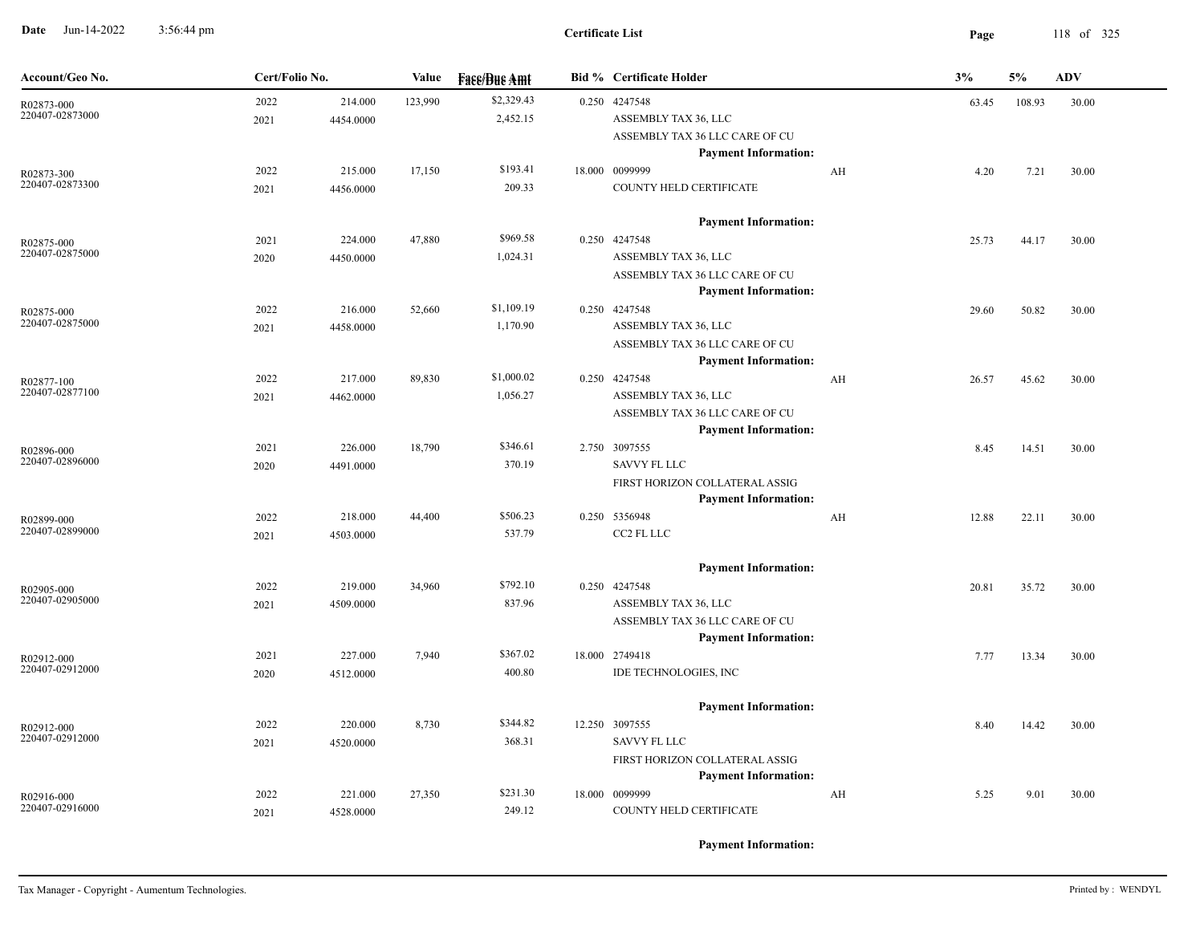**Date** Jun-14-2022 3:56:44 pm **Page** 118 of 325 3:56:44 pm

| Account/Geo No.               | Cert/Folio No.                       | Value   | <b>Face/Bue Amt</b>    | <b>Bid % Certificate Holder</b>                               |    | 3%    | 5%     | <b>ADV</b> |
|-------------------------------|--------------------------------------|---------|------------------------|---------------------------------------------------------------|----|-------|--------|------------|
| R02873-000<br>220407-02873000 | 2022<br>214.000<br>2021<br>4454.0000 | 123,990 | \$2,329.43<br>2,452.15 | 0.250 4247548<br>ASSEMBLY TAX 36, LLC                         |    | 63.45 | 108.93 | 30.00      |
|                               |                                      |         |                        | ASSEMBLY TAX 36 LLC CARE OF CU                                |    |       |        |            |
|                               |                                      |         |                        | <b>Payment Information:</b>                                   |    |       |        |            |
| R02873-300                    | 2022<br>215.000                      | 17,150  | \$193.41               | 18.000 0099999                                                | AH | 4.20  | 7.21   | 30.00      |
| 220407-02873300               | 2021<br>4456.0000                    |         | 209.33                 | COUNTY HELD CERTIFICATE                                       |    |       |        |            |
|                               |                                      |         |                        | <b>Payment Information:</b>                                   |    |       |        |            |
| R02875-000                    | 2021<br>224.000                      | 47,880  | \$969.58               | 0.250 4247548                                                 |    | 25.73 | 44.17  | 30.00      |
| 220407-02875000               | 2020<br>4450.0000                    |         | 1,024.31               | ASSEMBLY TAX 36, LLC                                          |    |       |        |            |
|                               |                                      |         |                        | ASSEMBLY TAX 36 LLC CARE OF CU                                |    |       |        |            |
|                               | 216.000<br>2022                      | 52,660  | \$1,109.19             | <b>Payment Information:</b><br>0.250 4247548                  |    |       |        |            |
| R02875-000<br>220407-02875000 | 4458.0000<br>2021                    |         | 1,170.90               | ASSEMBLY TAX 36, LLC                                          |    | 29.60 | 50.82  | 30.00      |
|                               |                                      |         |                        | ASSEMBLY TAX 36 LLC CARE OF CU                                |    |       |        |            |
|                               |                                      |         |                        | <b>Payment Information:</b>                                   |    |       |        |            |
| R02877-100                    | 2022<br>217.000                      | 89,830  | \$1,000.02             | $0.250$ 4247548                                               | AH | 26.57 | 45.62  | 30.00      |
| 220407-02877100               | 2021<br>4462.0000                    |         | 1,056.27               | ASSEMBLY TAX 36, LLC                                          |    |       |        |            |
|                               |                                      |         |                        | ASSEMBLY TAX 36 LLC CARE OF CU                                |    |       |        |            |
|                               |                                      |         |                        | <b>Payment Information:</b>                                   |    |       |        |            |
| R02896-000<br>220407-02896000 | 2021<br>226.000                      | 18,790  | \$346.61               | 2.750 3097555<br><b>SAVVY FL LLC</b>                          |    | 8.45  | 14.51  | 30.00      |
|                               | 4491.0000<br>2020                    |         | 370.19                 | FIRST HORIZON COLLATERAL ASSIG                                |    |       |        |            |
|                               |                                      |         |                        | <b>Payment Information:</b>                                   |    |       |        |            |
| R02899-000                    | 2022<br>218.000                      | 44,400  | \$506.23               | 0.250 5356948                                                 | AH | 12.88 | 22.11  | 30.00      |
| 220407-02899000               | 2021<br>4503.0000                    |         | 537.79                 | CC2 FL LLC                                                    |    |       |        |            |
|                               |                                      |         |                        | <b>Payment Information:</b>                                   |    |       |        |            |
| R02905-000                    | 2022<br>219.000                      | 34,960  | \$792.10               | 0.250 4247548                                                 |    | 20.81 | 35.72  | 30.00      |
| 220407-02905000               | 2021<br>4509.0000                    |         | 837.96                 | ASSEMBLY TAX 36, LLC                                          |    |       |        |            |
|                               |                                      |         |                        | ASSEMBLY TAX 36 LLC CARE OF CU                                |    |       |        |            |
|                               |                                      |         |                        | <b>Payment Information:</b>                                   |    |       |        |            |
| R02912-000<br>220407-02912000 | 2021<br>227.000                      | 7,940   | \$367.02               | 18.000 2749418                                                |    | 7.77  | 13.34  | 30.00      |
|                               | 2020<br>4512.0000                    |         | 400.80                 | IDE TECHNOLOGIES, INC                                         |    |       |        |            |
|                               |                                      |         |                        | <b>Payment Information:</b>                                   |    |       |        |            |
| R02912-000<br>220407-02912000 | 2022<br>220.000                      | 8,730   | \$344.82               | 12.250 3097555                                                |    | 8.40  | 14.42  | 30.00      |
|                               | 2021<br>4520.0000                    |         | 368.31                 | <b>SAVVY FL LLC</b>                                           |    |       |        |            |
|                               |                                      |         |                        | FIRST HORIZON COLLATERAL ASSIG<br><b>Payment Information:</b> |    |       |        |            |
| R02916-000                    | 221.000<br>2022                      | 27,350  | \$231.30               | 18.000 0099999                                                | AH | 5.25  | 9.01   | 30.00      |
| 220407-02916000               | 4528.0000<br>2021                    |         | 249.12                 | COUNTY HELD CERTIFICATE                                       |    |       |        |            |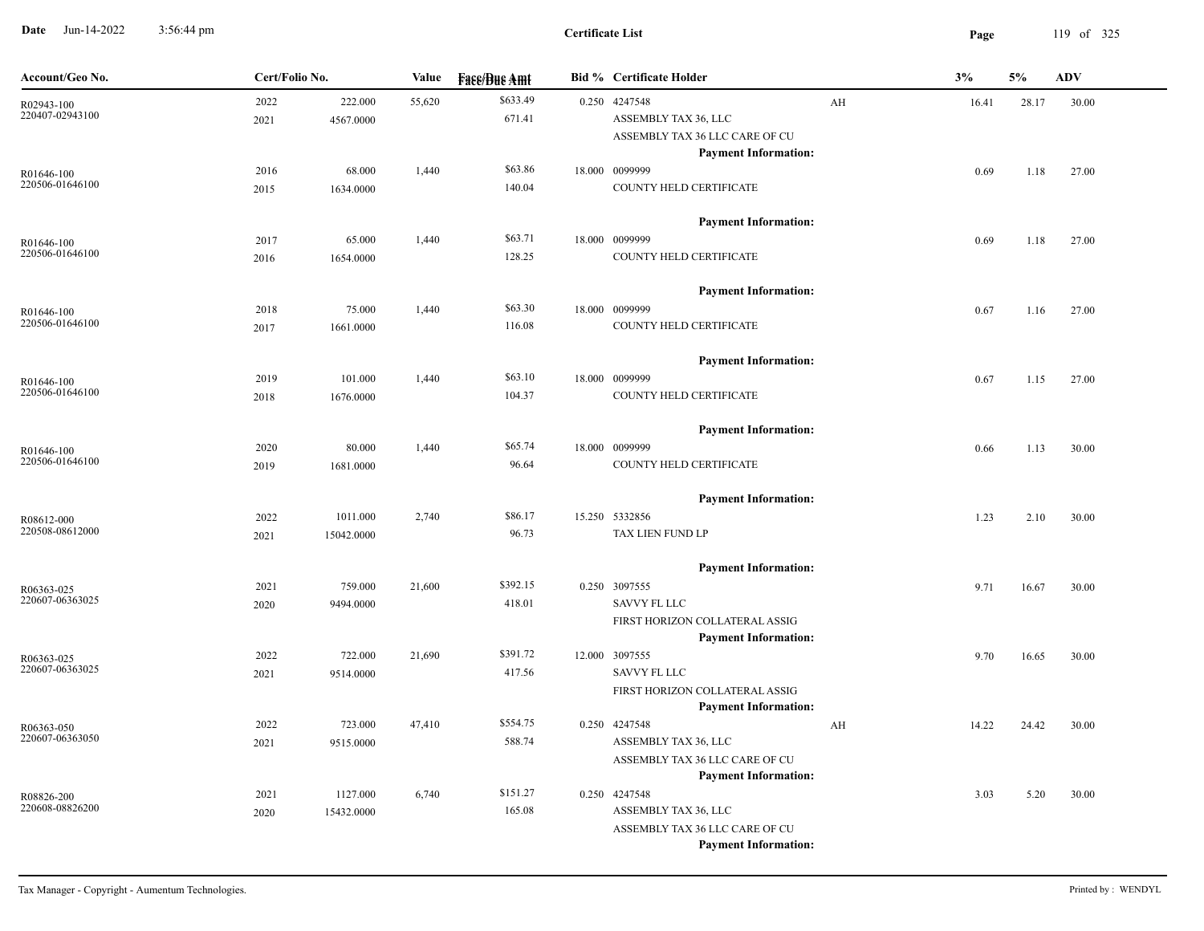**Date** Jun-14-2022 3:56:44 pm **Page** 119 of 325 3:56:44 pm

| Account/Geo No.               | Cert/Folio No. |            | Value  | <b>Face/Bue Amt</b> | <b>Bid % Certificate Holder</b>               |    | 3%    | 5%    | <b>ADV</b> |
|-------------------------------|----------------|------------|--------|---------------------|-----------------------------------------------|----|-------|-------|------------|
| R02943-100                    | 2022           | 222.000    | 55,620 | \$633.49            | 0.250 4247548                                 | AH | 16.41 | 28.17 | 30.00      |
| 220407-02943100               | 2021           | 4567.0000  |        | 671.41              | ASSEMBLY TAX 36, LLC                          |    |       |       |            |
|                               |                |            |        |                     | ASSEMBLY TAX 36 LLC CARE OF CU                |    |       |       |            |
|                               | 2016           | 68.000     | 1,440  | \$63.86             | <b>Payment Information:</b><br>18.000 0099999 |    |       |       |            |
| R01646-100<br>220506-01646100 | 2015           | 1634.0000  |        | 140.04              | COUNTY HELD CERTIFICATE                       |    | 0.69  | 1.18  | 27.00      |
|                               |                |            |        |                     |                                               |    |       |       |            |
|                               |                |            |        |                     | <b>Payment Information:</b>                   |    |       |       |            |
| R01646-100                    | 2017           | 65.000     | 1,440  | \$63.71             | 18.000 0099999                                |    | 0.69  | 1.18  | 27.00      |
| 220506-01646100               | 2016           | 1654.0000  |        | 128.25              | COUNTY HELD CERTIFICATE                       |    |       |       |            |
|                               |                |            |        |                     |                                               |    |       |       |            |
|                               |                |            |        |                     | <b>Payment Information:</b>                   |    |       |       |            |
| R01646-100                    | 2018           | 75.000     | 1,440  | \$63.30             | 18.000 0099999                                |    | 0.67  | 1.16  | 27.00      |
| 220506-01646100               | 2017           | 1661.0000  |        | 116.08              | COUNTY HELD CERTIFICATE                       |    |       |       |            |
|                               |                |            |        |                     |                                               |    |       |       |            |
|                               |                |            |        |                     | <b>Payment Information:</b>                   |    |       |       |            |
| R01646-100<br>220506-01646100 | 2019           | 101.000    | 1,440  | \$63.10<br>104.37   | 18.000 0099999<br>COUNTY HELD CERTIFICATE     |    | 0.67  | 1.15  | 27.00      |
|                               | 2018           | 1676.0000  |        |                     |                                               |    |       |       |            |
|                               |                |            |        |                     | <b>Payment Information:</b>                   |    |       |       |            |
| R01646-100                    | 2020           | 80.000     | 1,440  | \$65.74             | 18.000 0099999                                |    | 0.66  | 1.13  | 30.00      |
| 220506-01646100               | 2019           | 1681.0000  |        | 96.64               | COUNTY HELD CERTIFICATE                       |    |       |       |            |
|                               |                |            |        |                     |                                               |    |       |       |            |
|                               |                |            |        |                     | <b>Payment Information:</b>                   |    |       |       |            |
| R08612-000                    | 2022           | 1011.000   | 2,740  | \$86.17             | 15.250 5332856                                |    | 1.23  | 2.10  | 30.00      |
| 220508-08612000               | 2021           | 15042.0000 |        | 96.73               | TAX LIEN FUND LP                              |    |       |       |            |
|                               |                |            |        |                     |                                               |    |       |       |            |
|                               |                |            |        |                     | <b>Payment Information:</b>                   |    |       |       |            |
| R06363-025<br>220607-06363025 | 2021           | 759.000    | 21,600 | \$392.15            | 0.250 3097555<br><b>SAVVY FL LLC</b>          |    | 9.71  | 16.67 | 30.00      |
|                               | 2020           | 9494.0000  |        | 418.01              | FIRST HORIZON COLLATERAL ASSIG                |    |       |       |            |
|                               |                |            |        |                     | <b>Payment Information:</b>                   |    |       |       |            |
| R06363-025                    | 2022           | 722.000    | 21,690 | \$391.72            | 12.000 3097555                                |    | 9.70  | 16.65 | 30.00      |
| 220607-06363025               | 2021           | 9514.0000  |        | 417.56              | <b>SAVVY FL LLC</b>                           |    |       |       |            |
|                               |                |            |        |                     | FIRST HORIZON COLLATERAL ASSIG                |    |       |       |            |
|                               |                |            |        |                     | <b>Payment Information:</b>                   |    |       |       |            |
| R06363-050                    | 2022           | 723.000    | 47,410 | \$554.75            | 0.250 4247548                                 | AH | 14.22 | 24.42 | 30.00      |
| 220607-06363050               | 2021           | 9515.0000  |        | 588.74              | ASSEMBLY TAX 36, LLC                          |    |       |       |            |
|                               |                |            |        |                     | ASSEMBLY TAX 36 LLC CARE OF CU                |    |       |       |            |
|                               |                |            |        |                     | <b>Payment Information:</b>                   |    |       |       |            |
| R08826-200<br>220608-08826200 | 2021           | 1127.000   | 6,740  | \$151.27            | 0.250 4247548                                 |    | 3.03  | 5.20  | 30.00      |
|                               | 2020           | 15432.0000 |        | 165.08              | ASSEMBLY TAX 36, LLC                          |    |       |       |            |
|                               |                |            |        |                     | ASSEMBLY TAX 36 LLC CARE OF CU                |    |       |       |            |
|                               |                |            |        |                     | <b>Payment Information:</b>                   |    |       |       |            |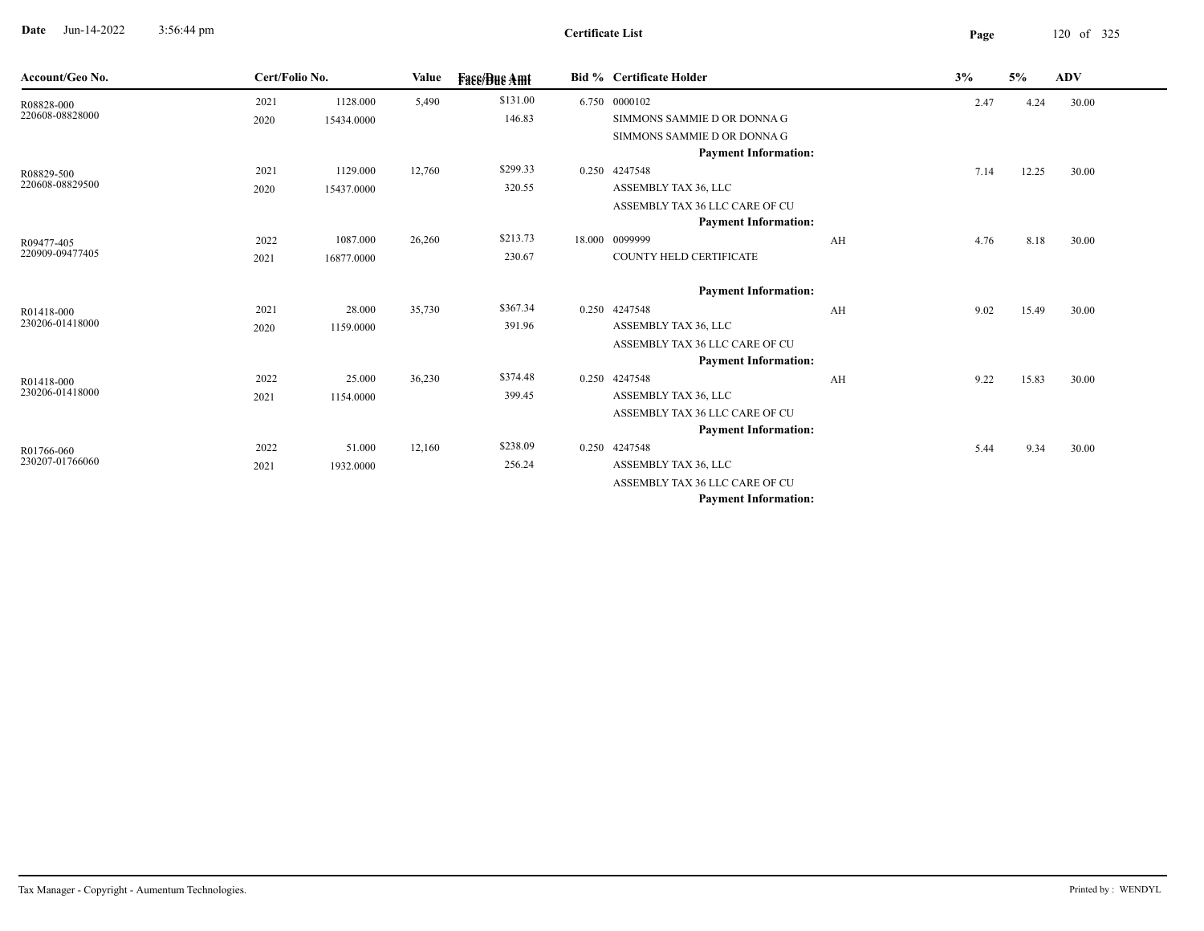**Date** Jun-14-2022 3:56:44 pm **Page** 120 of 325 3:56:44 pm

| Account/Geo No. | Cert/Folio No. |            | Value  | <b>Face/Bue Amt</b> | <b>Bid % Certificate Holder</b> |    | 3%   | 5%    | <b>ADV</b> |
|-----------------|----------------|------------|--------|---------------------|---------------------------------|----|------|-------|------------|
| R08828-000      | 2021           | 1128.000   | 5,490  | \$131.00            | 6.750 0000102                   |    | 2.47 | 4.24  | 30.00      |
| 220608-08828000 | 2020           | 15434.0000 |        | 146.83              | SIMMONS SAMMIE D OR DONNA G     |    |      |       |            |
|                 |                |            |        |                     | SIMMONS SAMMIE D OR DONNA G     |    |      |       |            |
|                 |                |            |        |                     | <b>Payment Information:</b>     |    |      |       |            |
| R08829-500      | 2021           | 1129.000   | 12,760 | \$299.33            | 0.250 4247548                   |    | 7.14 | 12.25 | 30.00      |
| 220608-08829500 | 2020           | 15437.0000 |        | 320.55              | ASSEMBLY TAX 36, LLC            |    |      |       |            |
|                 |                |            |        |                     | ASSEMBLY TAX 36 LLC CARE OF CU  |    |      |       |            |
|                 |                |            |        |                     | <b>Payment Information:</b>     |    |      |       |            |
| R09477-405      | 2022           | 1087.000   | 26,260 | \$213.73            | 18.000 0099999                  | AH | 4.76 | 8.18  | 30.00      |
| 220909-09477405 | 2021           | 16877.0000 |        | 230.67              | COUNTY HELD CERTIFICATE         |    |      |       |            |
|                 |                |            |        |                     | <b>Payment Information:</b>     |    |      |       |            |
| R01418-000      | 2021           | 28.000     | 35,730 | \$367.34            | 0.250 4247548                   | AH | 9.02 | 15.49 | 30.00      |
| 230206-01418000 | 2020           | 1159.0000  |        | 391.96              | ASSEMBLY TAX 36, LLC            |    |      |       |            |
|                 |                |            |        |                     | ASSEMBLY TAX 36 LLC CARE OF CU  |    |      |       |            |
|                 |                |            |        |                     | <b>Payment Information:</b>     |    |      |       |            |
| R01418-000      | 2022           | 25.000     | 36,230 | \$374.48            | 0.250 4247548                   | AH | 9.22 | 15.83 | 30.00      |
| 230206-01418000 | 2021           | 1154.0000  |        | 399.45              | ASSEMBLY TAX 36, LLC            |    |      |       |            |
|                 |                |            |        |                     | ASSEMBLY TAX 36 LLC CARE OF CU  |    |      |       |            |
|                 |                |            |        |                     | <b>Payment Information:</b>     |    |      |       |            |
| R01766-060      | 2022           | 51.000     | 12,160 | \$238.09            | 0.250 4247548                   |    | 5.44 | 9.34  | 30.00      |
| 230207-01766060 | 2021           | 1932.0000  |        | 256.24              | ASSEMBLY TAX 36, LLC            |    |      |       |            |
|                 |                |            |        |                     | ASSEMBLY TAX 36 LLC CARE OF CU  |    |      |       |            |
|                 |                |            |        |                     | <b>Payment Information:</b>     |    |      |       |            |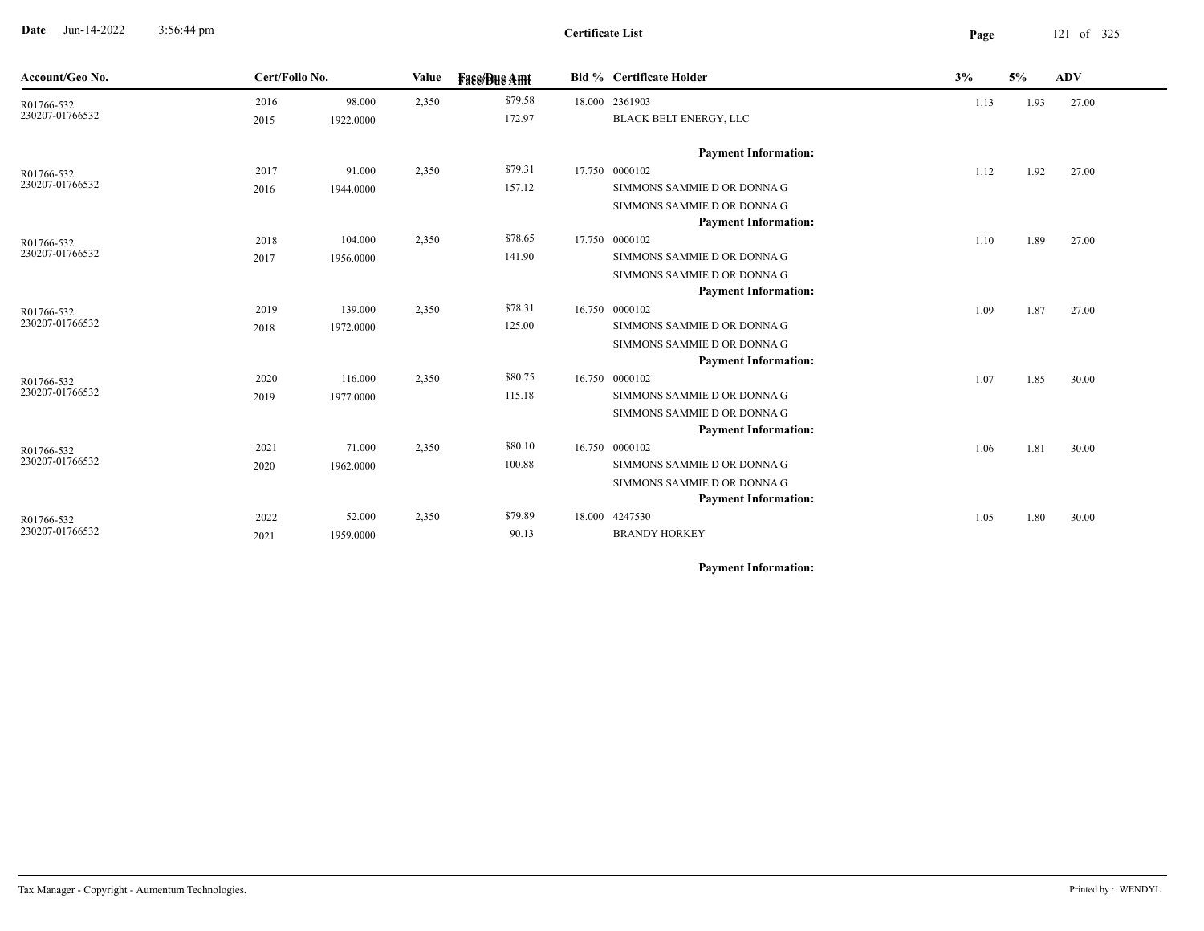**Date** Jun-14-2022 3:56:44 pm **Page** 121 of 325 3:56:44 pm

**Certificate List**

| Account/Geo No. | Cert/Folio No. |           | Value | <b>Fase/Bue Amt</b> |        | Bid % Certificate Holder    | 3%   | 5%   | ADV   |
|-----------------|----------------|-----------|-------|---------------------|--------|-----------------------------|------|------|-------|
| R01766-532      | 2016           | 98.000    | 2,350 | \$79.58             |        | 18.000 2361903              | 1.13 | 1.93 | 27.00 |
| 230207-01766532 | 2015           | 1922.0000 |       | 172.97              |        | BLACK BELT ENERGY, LLC      |      |      |       |
|                 |                |           |       |                     |        | <b>Payment Information:</b> |      |      |       |
| R01766-532      | 2017           | 91.000    | 2,350 | \$79.31             | 17.750 | 0000102                     | 1.12 | 1.92 | 27.00 |
| 230207-01766532 | 2016           | 1944.0000 |       | 157.12              |        | SIMMONS SAMMIE D OR DONNA G |      |      |       |
|                 |                |           |       |                     |        | SIMMONS SAMMIE D OR DONNA G |      |      |       |
|                 |                |           |       |                     |        | <b>Payment Information:</b> |      |      |       |
| R01766-532      | 2018           | 104.000   | 2,350 | \$78.65             |        | 17.750 0000102              | 1.10 | 1.89 | 27.00 |
| 230207-01766532 | 2017           | 1956.0000 |       | 141.90              |        | SIMMONS SAMMIE D OR DONNA G |      |      |       |
|                 |                |           |       |                     |        | SIMMONS SAMMIE D OR DONNA G |      |      |       |
|                 |                |           |       |                     |        | <b>Payment Information:</b> |      |      |       |
| R01766-532      | 2019           | 139.000   | 2,350 | \$78.31             |        | 16.750 0000102              | 1.09 | 1.87 | 27.00 |
| 230207-01766532 | 2018           | 1972.0000 |       | 125.00              |        | SIMMONS SAMMIE D OR DONNA G |      |      |       |
|                 |                |           |       |                     |        | SIMMONS SAMMIE D OR DONNA G |      |      |       |
|                 |                |           |       |                     |        | <b>Payment Information:</b> |      |      |       |
| R01766-532      | 2020           | 116.000   | 2,350 | \$80.75             |        | 16.750 0000102              | 1.07 | 1.85 | 30.00 |
| 230207-01766532 | 2019           | 1977.0000 |       | 115.18              |        | SIMMONS SAMMIE D OR DONNA G |      |      |       |
|                 |                |           |       |                     |        | SIMMONS SAMMIE D OR DONNA G |      |      |       |
|                 |                |           |       |                     |        | <b>Payment Information:</b> |      |      |       |
| R01766-532      | 2021           | 71.000    | 2,350 | \$80.10             |        | 16.750 0000102              | 1.06 | 1.81 | 30.00 |
| 230207-01766532 | 2020           | 1962.0000 |       | 100.88              |        | SIMMONS SAMMIE D OR DONNA G |      |      |       |
|                 |                |           |       |                     |        | SIMMONS SAMMIE D OR DONNA G |      |      |       |
|                 |                |           |       |                     |        | <b>Payment Information:</b> |      |      |       |
| R01766-532      | 2022           | 52.000    | 2,350 | \$79.89             |        | 18.000 4247530              | 1.05 | 1.80 | 30.00 |
| 230207-01766532 | 2021           | 1959.0000 |       | 90.13               |        | <b>BRANDY HORKEY</b>        |      |      |       |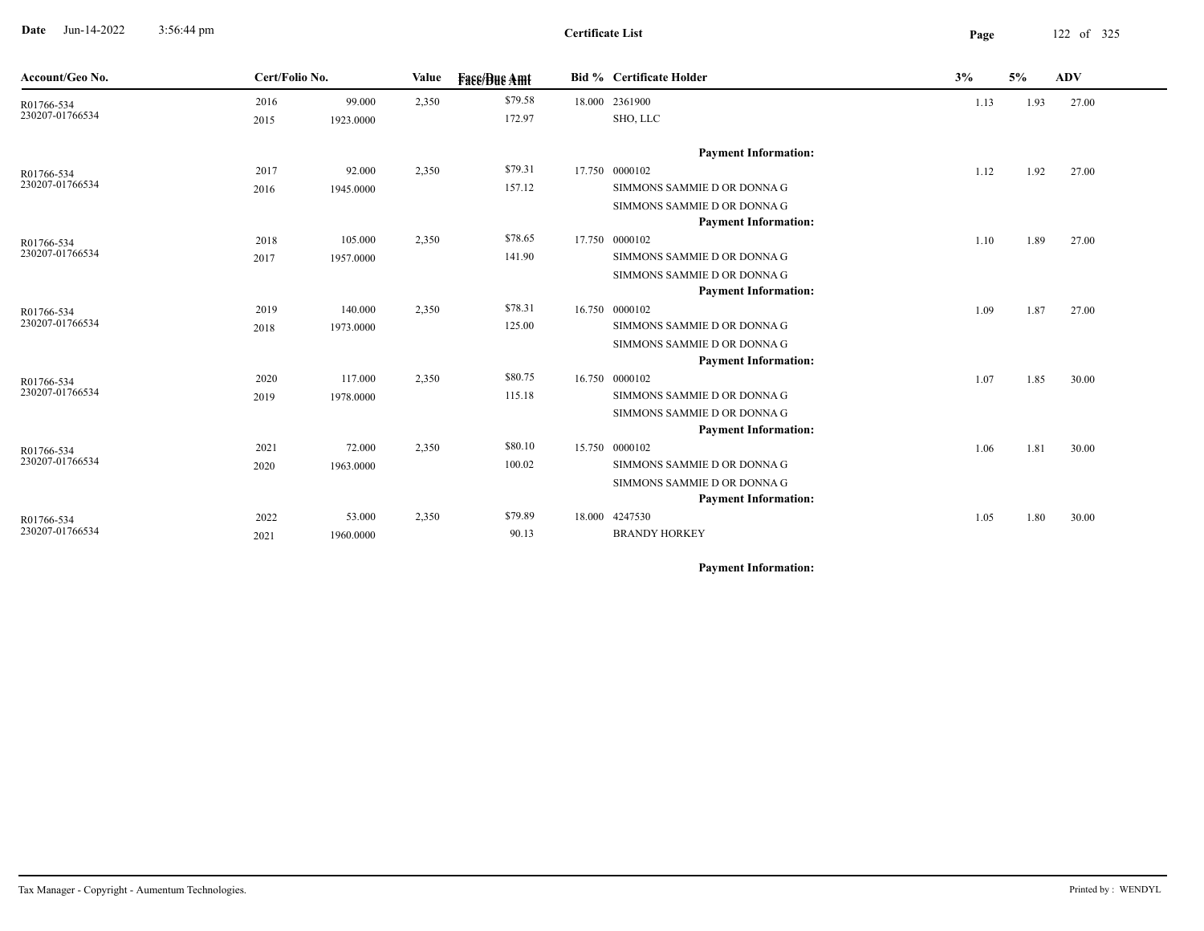**Date** Jun-14-2022 3:56:44 pm **Page** 122 of 325 3:56:44 pm

**Certificate List**

| Account/Geo No.               |      | Cert/Folio No. |       | <b>Face/Bue Amt</b> |        | <b>Bid % Certificate Holder</b> | 3%   |      | <b>ADV</b> |
|-------------------------------|------|----------------|-------|---------------------|--------|---------------------------------|------|------|------------|
| R01766-534                    | 2016 | 99.000         | 2,350 | \$79.58             |        | 18.000 2361900                  | 1.13 | 1.93 | 27.00      |
| 230207-01766534               | 2015 | 1923.0000      |       | 172.97              |        | SHO, LLC                        |      |      |            |
|                               |      |                |       |                     |        | <b>Payment Information:</b>     |      |      |            |
| R01766-534                    | 2017 | 92.000         | 2,350 | \$79.31             |        | 17.750 0000102                  | 1.12 | 1.92 | 27.00      |
| 230207-01766534               | 2016 | 1945.0000      |       | 157.12              |        | SIMMONS SAMMIE D OR DONNA G     |      |      |            |
|                               |      |                |       |                     |        | SIMMONS SAMMIE D OR DONNA G     |      |      |            |
|                               |      |                |       |                     |        | <b>Payment Information:</b>     |      |      |            |
| R01766-534                    | 2018 | 105.000        | 2,350 | \$78.65             | 17.750 | 0000102                         | 1.10 | 1.89 | 27.00      |
| 230207-01766534               | 2017 | 1957.0000      |       | 141.90              |        | SIMMONS SAMMIE D OR DONNA G     |      |      |            |
|                               |      |                |       |                     |        | SIMMONS SAMMIE D OR DONNA G     |      |      |            |
|                               |      |                |       |                     |        | <b>Payment Information:</b>     |      |      |            |
| R01766-534                    | 2019 | 140.000        | 2,350 | \$78.31             | 16.750 | 0000102                         | 1.09 | 1.87 | 27.00      |
| 230207-01766534               | 2018 | 1973.0000      |       | 125.00              |        | SIMMONS SAMMIE D OR DONNA G     |      |      |            |
|                               |      |                |       |                     |        | SIMMONS SAMMIE D OR DONNA G     |      |      |            |
|                               |      |                |       |                     |        | <b>Payment Information:</b>     |      |      |            |
| R01766-534                    | 2020 | 117.000        | 2,350 | \$80.75             |        | 16.750 0000102                  | 1.07 | 1.85 | 30.00      |
| 230207-01766534               | 2019 | 1978.0000      |       | 115.18              |        | SIMMONS SAMMIE D OR DONNA G     |      |      |            |
|                               |      |                |       |                     |        | SIMMONS SAMMIE D OR DONNA G     |      |      |            |
|                               |      |                |       |                     |        | <b>Payment Information:</b>     |      |      |            |
| R01766-534<br>230207-01766534 | 2021 | 72.000         | 2,350 | \$80.10             |        | 15.750 0000102                  | 1.06 | 1.81 | 30.00      |
|                               | 2020 | 1963.0000      |       | 100.02              |        | SIMMONS SAMMIE D OR DONNA G     |      |      |            |
|                               |      |                |       |                     |        | SIMMONS SAMMIE D OR DONNA G     |      |      |            |
|                               |      |                |       |                     |        | <b>Payment Information:</b>     |      |      |            |
| R01766-534<br>230207-01766534 | 2022 | 53.000         | 2,350 | \$79.89             |        | 18.000 4247530                  | 1.05 | 1.80 | 30.00      |
|                               | 2021 | 1960.0000      |       | 90.13               |        | <b>BRANDY HORKEY</b>            |      |      |            |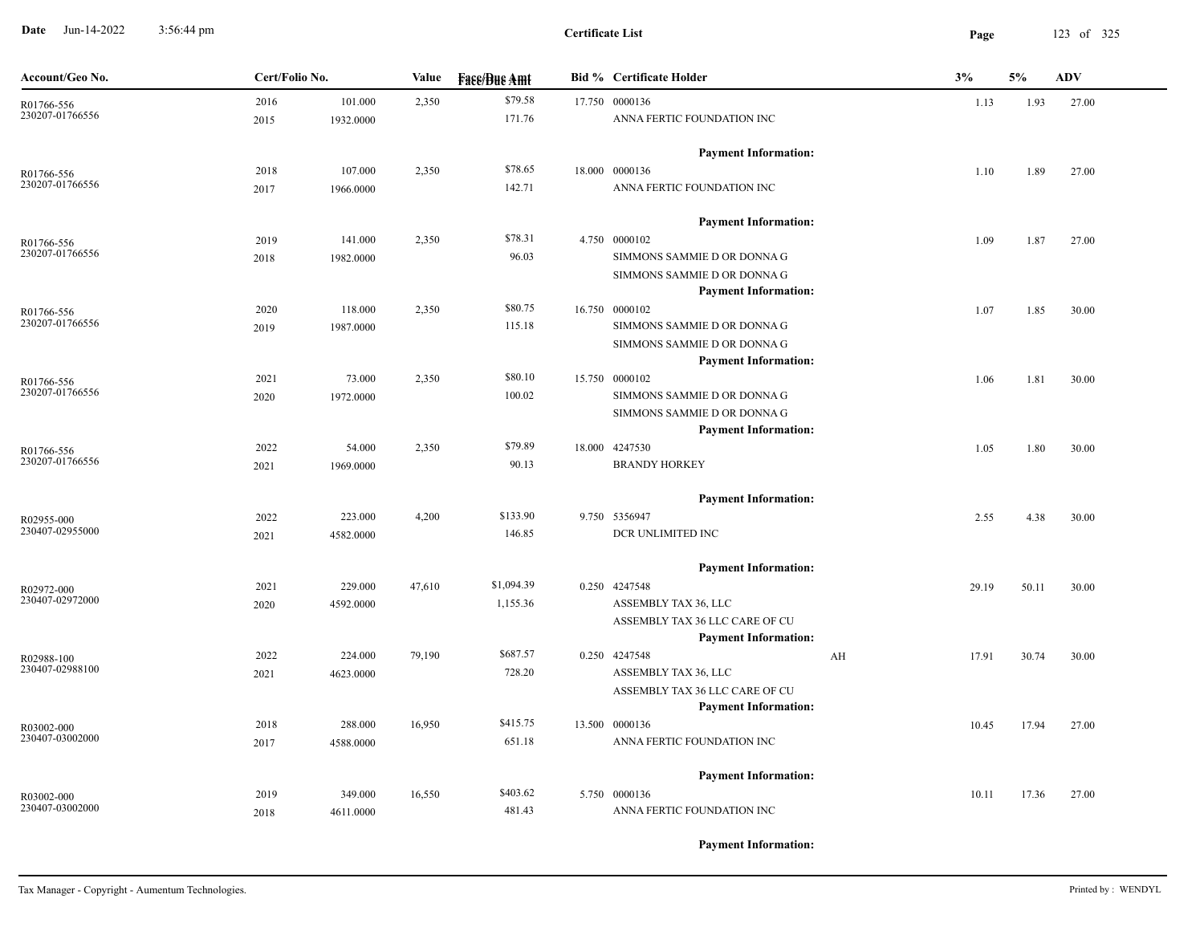**Date** Jun-14-2022 3:56:44 pm **Page** 123 of 325 3:56:44 pm

| Account/Geo No. | Cert/Folio No. |           | Value  | <b>Face/Bue Amt</b> | <b>Bid % Certificate Holder</b> | 3% |       | 5%    | <b>ADV</b> |
|-----------------|----------------|-----------|--------|---------------------|---------------------------------|----|-------|-------|------------|
| R01766-556      | 2016           | 101.000   | 2,350  | \$79.58             | 17.750 0000136                  |    | 1.13  | 1.93  | 27.00      |
| 230207-01766556 | 2015           | 1932.0000 |        | 171.76              | ANNA FERTIC FOUNDATION INC      |    |       |       |            |
|                 |                |           |        |                     | <b>Payment Information:</b>     |    |       |       |            |
| R01766-556      | 2018           | 107.000   | 2,350  | \$78.65             | 18.000 0000136                  |    | 1.10  | 1.89  | 27.00      |
| 230207-01766556 | 2017           | 1966.0000 |        | 142.71              | ANNA FERTIC FOUNDATION INC      |    |       |       |            |
|                 |                |           |        |                     | <b>Payment Information:</b>     |    |       |       |            |
| R01766-556      | 2019           | 141.000   | 2,350  | \$78.31             | 4.750 0000102                   |    | 1.09  | 1.87  | 27.00      |
| 230207-01766556 | 2018           | 1982.0000 |        | 96.03               | SIMMONS SAMMIE D OR DONNA G     |    |       |       |            |
|                 |                |           |        |                     | SIMMONS SAMMIE D OR DONNA G     |    |       |       |            |
|                 |                |           |        |                     | <b>Payment Information:</b>     |    |       |       |            |
| R01766-556      | 2020           | 118.000   | 2,350  | \$80.75             | 16.750 0000102                  |    | 1.07  | 1.85  | 30.00      |
| 230207-01766556 | 2019           | 1987.0000 |        | 115.18              | SIMMONS SAMMIE D OR DONNA G     |    |       |       |            |
|                 |                |           |        |                     | SIMMONS SAMMIE D OR DONNA G     |    |       |       |            |
|                 |                |           |        |                     | <b>Payment Information:</b>     |    |       |       |            |
| R01766-556      | 2021           | 73.000    | 2,350  | \$80.10             | 15.750 0000102                  |    | 1.06  | 1.81  | 30.00      |
| 230207-01766556 | 2020           | 1972.0000 |        | 100.02              | SIMMONS SAMMIE D OR DONNA G     |    |       |       |            |
|                 |                |           |        |                     | SIMMONS SAMMIE D OR DONNA G     |    |       |       |            |
|                 |                |           |        |                     | <b>Payment Information:</b>     |    |       |       |            |
| R01766-556      | 2022           | 54.000    | 2,350  | \$79.89             | 18.000 4247530                  |    | 1.05  | 1.80  | 30.00      |
| 230207-01766556 | 2021           | 1969.0000 |        | 90.13               | <b>BRANDY HORKEY</b>            |    |       |       |            |
|                 |                |           |        |                     | <b>Payment Information:</b>     |    |       |       |            |
| R02955-000      | 2022           | 223.000   | 4,200  | \$133.90            | 9.750 5356947                   |    | 2.55  | 4.38  | 30.00      |
| 230407-02955000 | 2021           | 4582.0000 |        | 146.85              | DCR UNLIMITED INC               |    |       |       |            |
|                 |                |           |        |                     | <b>Payment Information:</b>     |    |       |       |            |
| R02972-000      | 2021           | 229.000   | 47,610 | \$1,094.39          | 0.250 4247548                   |    | 29.19 | 50.11 | 30.00      |
| 230407-02972000 | 2020           | 4592.0000 |        | 1,155.36            | ASSEMBLY TAX 36, LLC            |    |       |       |            |
|                 |                |           |        |                     | ASSEMBLY TAX 36 LLC CARE OF CU  |    |       |       |            |
|                 |                |           |        |                     | <b>Payment Information:</b>     |    |       |       |            |
| R02988-100      | 2022           | 224.000   | 79,190 | \$687.57            | 0.250 4247548                   | AH | 17.91 | 30.74 | 30.00      |
| 230407-02988100 | 2021           | 4623.0000 |        | 728.20              | ASSEMBLY TAX 36, LLC            |    |       |       |            |
|                 |                |           |        |                     | ASSEMBLY TAX 36 LLC CARE OF CU  |    |       |       |            |
|                 |                |           |        |                     | <b>Payment Information:</b>     |    |       |       |            |
| R03002-000      | 2018           | 288.000   | 16,950 | \$415.75            | 13.500 0000136                  |    | 10.45 | 17.94 | 27.00      |
| 230407-03002000 | 2017           | 4588.0000 |        | 651.18              | ANNA FERTIC FOUNDATION INC      |    |       |       |            |
|                 |                |           |        |                     | <b>Payment Information:</b>     |    |       |       |            |
| R03002-000      | 2019           | 349.000   | 16,550 | \$403.62            | 5.750 0000136                   |    | 10.11 | 17.36 | 27.00      |
| 230407-03002000 | 2018           | 4611.0000 |        | 481.43              | ANNA FERTIC FOUNDATION INC      |    |       |       |            |
|                 |                |           |        |                     |                                 |    |       |       |            |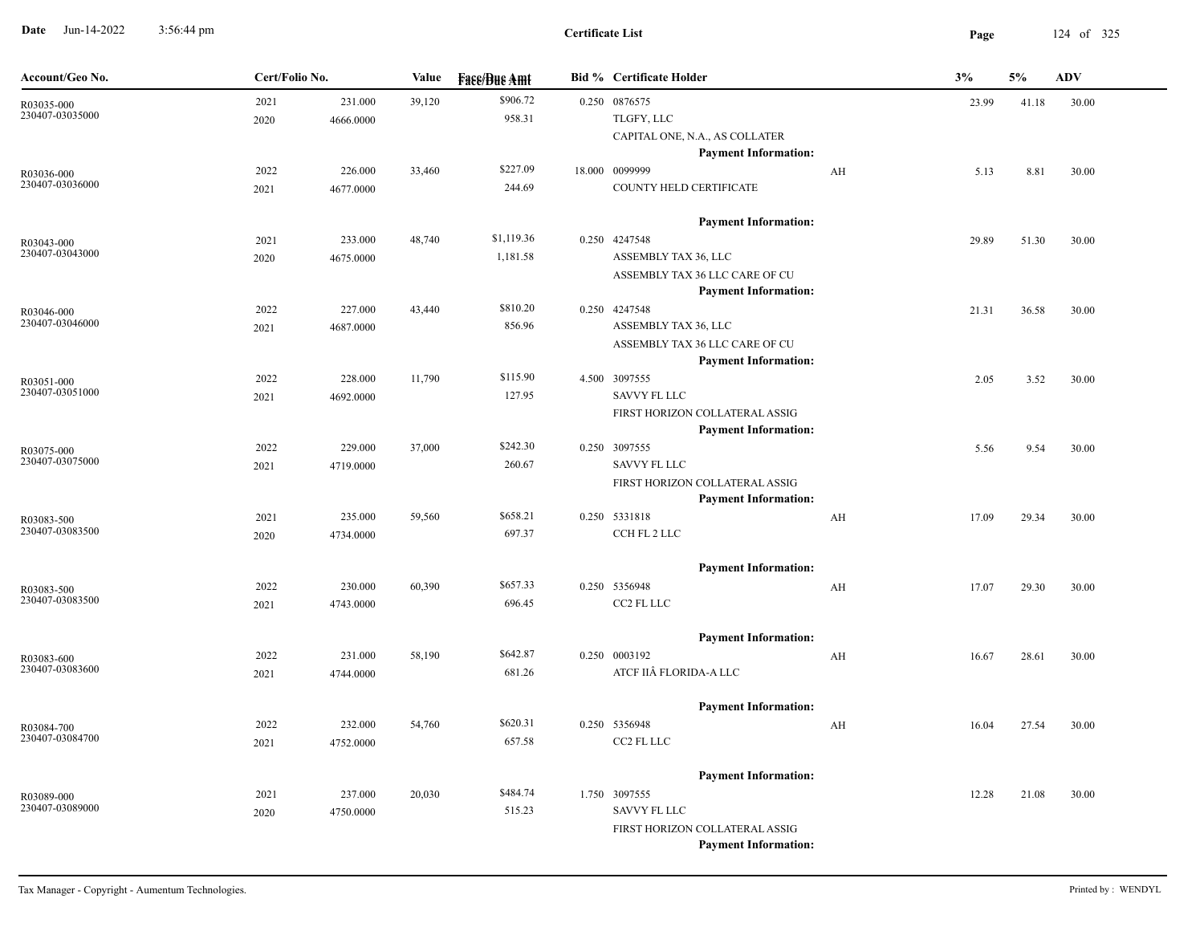**Date** Jun-14-2022 3:56:44 pm **Page** 124 of 325 3:56:44 pm

| Account/Geo No.               | Cert/Folio No. |           | Value  | <b>Face/Bue Amt</b> | <b>Bid % Certificate Holder</b> |    | 3%    | 5%    | <b>ADV</b> |
|-------------------------------|----------------|-----------|--------|---------------------|---------------------------------|----|-------|-------|------------|
| R03035-000                    | 2021           | 231.000   | 39,120 | \$906.72            | 0.250 0876575                   |    | 23.99 | 41.18 | 30.00      |
| 230407-03035000               | 2020           | 4666.0000 |        | 958.31              | TLGFY, LLC                      |    |       |       |            |
|                               |                |           |        |                     | CAPITAL ONE, N.A., AS COLLATER  |    |       |       |            |
|                               |                |           |        |                     | <b>Payment Information:</b>     |    |       |       |            |
| R03036-000                    | 2022           | 226.000   | 33,460 | \$227.09            | 18.000 0099999                  | AH | 5.13  | 8.81  | 30.00      |
| 230407-03036000               | 2021           | 4677.0000 |        | 244.69              | COUNTY HELD CERTIFICATE         |    |       |       |            |
|                               |                |           |        |                     | <b>Payment Information:</b>     |    |       |       |            |
| R03043-000                    | 2021           | 233.000   | 48,740 | \$1,119.36          | 0.250 4247548                   |    | 29.89 | 51.30 | 30.00      |
| 230407-03043000               | 2020           | 4675.0000 |        | 1,181.58            | ASSEMBLY TAX 36, LLC            |    |       |       |            |
|                               |                |           |        |                     | ASSEMBLY TAX 36 LLC CARE OF CU  |    |       |       |            |
|                               |                |           |        |                     | <b>Payment Information:</b>     |    |       |       |            |
| R03046-000                    | 2022           | 227.000   | 43,440 | \$810.20            | 0.250 4247548                   |    | 21.31 | 36.58 | 30.00      |
| 230407-03046000               | 2021           | 4687.0000 |        | 856.96              | ASSEMBLY TAX 36, LLC            |    |       |       |            |
|                               |                |           |        |                     | ASSEMBLY TAX 36 LLC CARE OF CU  |    |       |       |            |
|                               |                |           |        |                     | <b>Payment Information:</b>     |    |       |       |            |
| R03051-000                    | 2022           | 228.000   | 11,790 | \$115.90            | 4.500 3097555                   |    | 2.05  | 3.52  | 30.00      |
| 230407-03051000               | 2021           | 4692.0000 |        | 127.95              | <b>SAVVY FL LLC</b>             |    |       |       |            |
|                               |                |           |        |                     | FIRST HORIZON COLLATERAL ASSIG  |    |       |       |            |
|                               |                |           |        |                     | <b>Payment Information:</b>     |    |       |       |            |
| R03075-000                    | 2022           | 229.000   | 37,000 | \$242.30            | 0.250 3097555                   |    | 5.56  | 9.54  | 30.00      |
| 230407-03075000               | 2021           | 4719.0000 |        | 260.67              | <b>SAVVY FL LLC</b>             |    |       |       |            |
|                               |                |           |        |                     | FIRST HORIZON COLLATERAL ASSIG  |    |       |       |            |
|                               |                |           |        |                     | <b>Payment Information:</b>     |    |       |       |            |
| R03083-500<br>230407-03083500 | 2021           | 235.000   | 59,560 | \$658.21            | 0.250 5331818                   | AH | 17.09 | 29.34 | 30.00      |
|                               | 2020           | 4734.0000 |        | 697.37              | CCH FL 2 LLC                    |    |       |       |            |
|                               |                |           |        |                     | <b>Payment Information:</b>     |    |       |       |            |
| R03083-500                    | 2022           | 230.000   | 60,390 | \$657.33            | 0.250 5356948                   | AH | 17.07 | 29.30 | 30.00      |
| 230407-03083500               | 2021           | 4743.0000 |        | 696.45              | CC2 FL LLC                      |    |       |       |            |
|                               |                |           |        |                     |                                 |    |       |       |            |
|                               |                |           |        |                     | <b>Payment Information:</b>     |    |       |       |            |
| R03083-600<br>230407-03083600 | 2022           | 231.000   | 58,190 | \$642.87            | 0.250 0003192                   | AH | 16.67 | 28.61 | 30.00      |
|                               | 2021           | 4744.0000 |        | 681.26              | ATCF IIÂ FLORIDA-A LLC          |    |       |       |            |
|                               |                |           |        |                     | <b>Payment Information:</b>     |    |       |       |            |
| R03084-700                    | 2022           | 232.000   | 54,760 | \$620.31            | 0.250 5356948                   | AH | 16.04 | 27.54 | 30.00      |
| 230407-03084700               | 2021           | 4752.0000 |        | 657.58              | CC2 FL LLC                      |    |       |       |            |
|                               |                |           |        |                     |                                 |    |       |       |            |
|                               |                |           |        |                     | <b>Payment Information:</b>     |    |       |       |            |
| R03089-000                    | 2021           | 237.000   | 20,030 | \$484.74            | 1.750 3097555                   |    | 12.28 | 21.08 | 30.00      |
| 230407-03089000               | 2020           | 4750.0000 |        | 515.23              | SAVVY FL LLC                    |    |       |       |            |
|                               |                |           |        |                     | FIRST HORIZON COLLATERAL ASSIG  |    |       |       |            |
|                               |                |           |        |                     | <b>Payment Information:</b>     |    |       |       |            |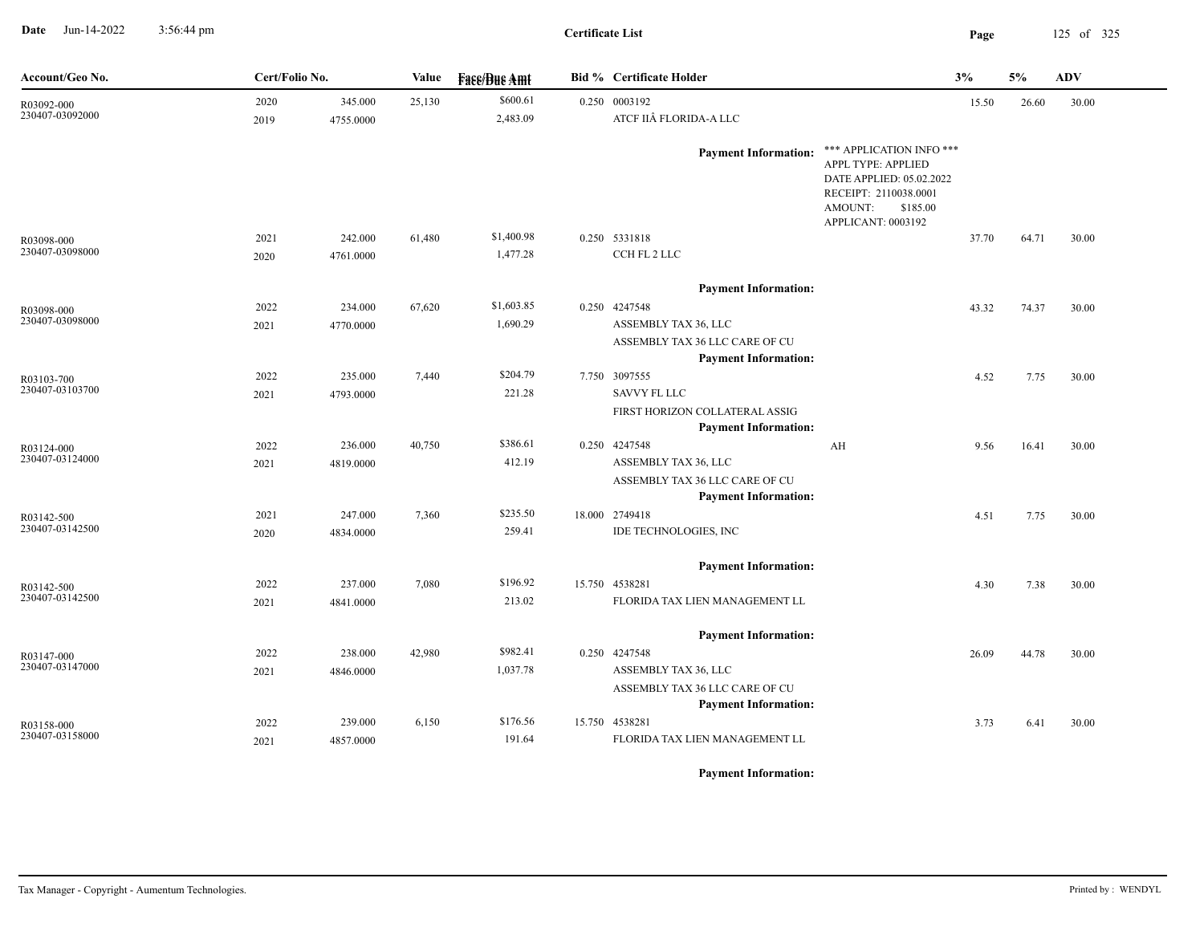**Date** Jun-14-2022 3:56:44 pm **Page** 125 of 325 3:56:44 pm

**Certificate List**

| Account/Geo No.               | Cert/Folio No. |           | <b>Value</b> | <b>Face/Bue Amt</b> | <b>Bid % Certificate Holder</b>                                                      |                                                                                                                                                  | 3%    | 5%    | ADV   |
|-------------------------------|----------------|-----------|--------------|---------------------|--------------------------------------------------------------------------------------|--------------------------------------------------------------------------------------------------------------------------------------------------|-------|-------|-------|
| R03092-000<br>230407-03092000 | 2020           | 345.000   | 25,130       | \$600.61            | 0.250 0003192                                                                        |                                                                                                                                                  | 15.50 | 26.60 | 30.00 |
|                               | 2019           | 4755.0000 |              | 2,483.09            | ATCF IIÂ FLORIDA-A LLC                                                               |                                                                                                                                                  |       |       |       |
|                               |                |           |              |                     | <b>Payment Information:</b>                                                          | *** APPLICATION INFO ***<br>APPL TYPE: APPLIED<br>DATE APPLIED: 05.02.2022<br>RECEIPT: 2110038.0001<br>AMOUNT:<br>\$185.00<br>APPLICANT: 0003192 |       |       |       |
| R03098-000<br>230407-03098000 | 2021           | 242.000   | 61,480       | \$1,400.98          | 0.250 5331818                                                                        |                                                                                                                                                  | 37.70 | 64.71 | 30.00 |
|                               | 2020           | 4761.0000 |              | 1,477.28            | CCH FL 2 LLC                                                                         |                                                                                                                                                  |       |       |       |
|                               |                |           |              |                     | <b>Payment Information:</b>                                                          |                                                                                                                                                  |       |       |       |
| R03098-000                    | 2022           | 234.000   | 67,620       | \$1,603.85          | 0.250 4247548                                                                        |                                                                                                                                                  | 43.32 | 74.37 | 30.00 |
| 230407-03098000               | 2021           | 4770.0000 |              | 1,690.29            | ASSEMBLY TAX 36, LLC                                                                 |                                                                                                                                                  |       |       |       |
|                               |                |           |              |                     | ASSEMBLY TAX 36 LLC CARE OF CU                                                       |                                                                                                                                                  |       |       |       |
|                               |                |           |              |                     | <b>Payment Information:</b>                                                          |                                                                                                                                                  |       |       |       |
| R03103-700<br>230407-03103700 | 2022           | 235.000   | 7,440        | \$204.79            | 7.750 3097555                                                                        |                                                                                                                                                  | 4.52  | 7.75  | 30.00 |
|                               | 2021           | 4793.0000 |              | 221.28              | <b>SAVVY FL LLC</b><br>FIRST HORIZON COLLATERAL ASSIG<br><b>Payment Information:</b> |                                                                                                                                                  |       |       |       |
| R03124-000                    | 2022           | 236.000   | 40,750       | \$386.61            | 0.250 4247548                                                                        | AH                                                                                                                                               | 9.56  | 16.41 | 30.00 |
| 230407-03124000               | 2021           | 4819.0000 |              | 412.19              | ASSEMBLY TAX 36, LLC                                                                 |                                                                                                                                                  |       |       |       |
|                               |                |           |              |                     | ASSEMBLY TAX 36 LLC CARE OF CU<br><b>Payment Information:</b>                        |                                                                                                                                                  |       |       |       |
| R03142-500                    | 2021           | 247.000   | 7,360        | \$235.50            | 18.000 2749418                                                                       |                                                                                                                                                  | 4.51  | 7.75  | 30.00 |
| 230407-03142500               | 2020           | 4834.0000 |              | 259.41              | IDE TECHNOLOGIES, INC                                                                |                                                                                                                                                  |       |       |       |
|                               |                |           |              |                     | <b>Payment Information:</b>                                                          |                                                                                                                                                  |       |       |       |
| R03142-500                    | 2022           | 237.000   | 7,080        | \$196.92            | 15.750 4538281                                                                       |                                                                                                                                                  | 4.30  | 7.38  | 30.00 |
| 230407-03142500               | 2021           | 4841.0000 |              | 213.02              | FLORIDA TAX LIEN MANAGEMENT LL                                                       |                                                                                                                                                  |       |       |       |
|                               |                |           |              |                     | <b>Payment Information:</b>                                                          |                                                                                                                                                  |       |       |       |
| R03147-000                    | 2022           | 238.000   | 42,980       | \$982.41            | 0.250 4247548                                                                        |                                                                                                                                                  | 26.09 | 44.78 | 30.00 |
| 230407-03147000               | 2021           | 4846.0000 |              | 1,037.78            | ASSEMBLY TAX 36, LLC                                                                 |                                                                                                                                                  |       |       |       |
|                               |                |           |              |                     | ASSEMBLY TAX 36 LLC CARE OF CU<br><b>Payment Information:</b>                        |                                                                                                                                                  |       |       |       |
| R03158-000                    | 2022           | 239.000   | 6,150        | \$176.56            | 15.750 4538281                                                                       |                                                                                                                                                  | 3.73  | 6.41  | 30.00 |
| 230407-03158000               | 2021           | 4857.0000 |              | 191.64              | FLORIDA TAX LIEN MANAGEMENT LL                                                       |                                                                                                                                                  |       |       |       |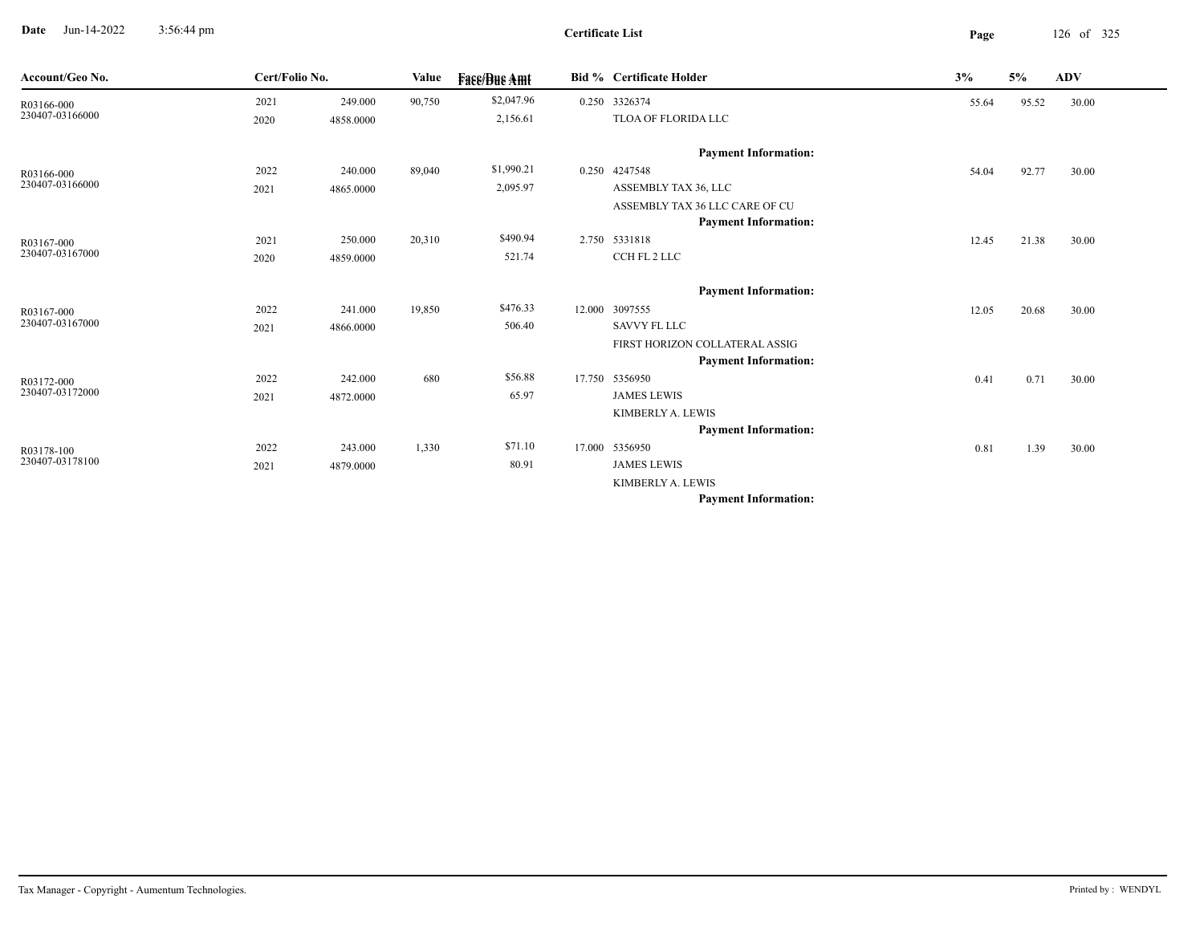**Date** Jun-14-2022 3:56:44 pm **Page** 126 of 325 3:56:44 pm

**Certificate List**

| Account/Geo No.               | Cert/Folio No. |           | Value  | <b>Fase/Bue Amt</b> | Bid % Certificate Holder                         | 3%    | 5%    | ADV   |  |
|-------------------------------|----------------|-----------|--------|---------------------|--------------------------------------------------|-------|-------|-------|--|
| R03166-000                    | 2021           | 249.000   | 90,750 | \$2,047.96          | 0.250 3326374                                    | 55.64 | 95.52 | 30.00 |  |
| 230407-03166000               | 2020           | 4858.0000 |        | 2,156.61            | TLOA OF FLORIDA LLC                              |       |       |       |  |
|                               |                |           |        |                     | <b>Payment Information:</b>                      |       |       |       |  |
| R03166-000                    | 2022           | 240.000   | 89,040 | \$1,990.21          | 0.250 4247548                                    | 54.04 | 92.77 | 30.00 |  |
| 230407-03166000               | 2021           | 4865.0000 |        | 2,095.97            | ASSEMBLY TAX 36, LLC                             |       |       |       |  |
|                               |                |           |        |                     | ASSEMBLY TAX 36 LLC CARE OF CU                   |       |       |       |  |
|                               |                |           |        |                     | <b>Payment Information:</b>                      |       |       |       |  |
| R03167-000                    | 2021           | 250.000   | 20,310 | \$490.94            | 2.750 5331818                                    | 12.45 | 21.38 | 30.00 |  |
| 230407-03167000               | 2020           | 4859.0000 |        | 521.74              | CCH FL 2 LLC                                     |       |       |       |  |
|                               |                |           |        |                     | <b>Payment Information:</b>                      |       |       |       |  |
| R03167-000                    | 2022           | 241.000   | 19,850 | \$476.33            | 12.000 3097555                                   | 12.05 | 20.68 | 30.00 |  |
| 230407-03167000               | 2021           | 4866.0000 |        | 506.40              | <b>SAVVY FL LLC</b>                              |       |       |       |  |
|                               |                |           |        |                     | FIRST HORIZON COLLATERAL ASSIG                   |       |       |       |  |
|                               |                |           |        | \$56.88             | <b>Payment Information:</b>                      |       |       |       |  |
| R03172-000<br>230407-03172000 | 2022           | 242.000   | 680    |                     | 17.750 5356950                                   | 0.41  | 0.71  | 30.00 |  |
|                               | 2021           | 4872.0000 |        | 65.97               | <b>JAMES LEWIS</b>                               |       |       |       |  |
|                               |                |           |        |                     | KIMBERLY A. LEWIS<br><b>Payment Information:</b> |       |       |       |  |
|                               |                |           |        | \$71.10             |                                                  |       |       |       |  |
| R03178-100<br>230407-03178100 | 2022           | 243.000   | 1,330  |                     | 17.000 5356950                                   | 0.81  | 1.39  | 30.00 |  |
|                               | 2021           | 4879.0000 |        | 80.91               | <b>JAMES LEWIS</b>                               |       |       |       |  |
|                               |                |           |        |                     | KIMBERLY A. LEWIS<br><b>Payment Information:</b> |       |       |       |  |
|                               |                |           |        |                     |                                                  |       |       |       |  |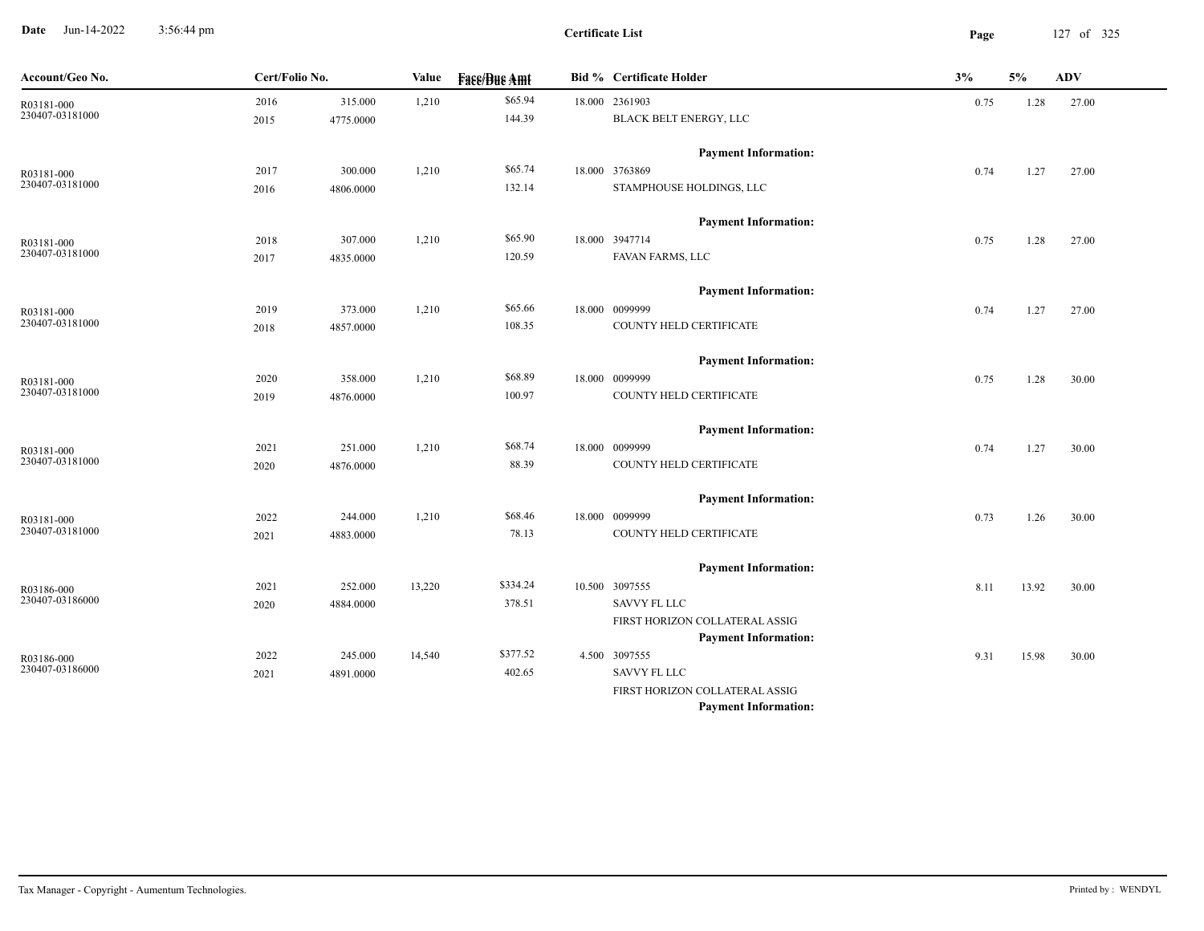**Date** Jun-14-2022 3:56:44 pm **Page** 127 of 325 3:56:44 pm

| Account/Geo No. | Cert/Folio No. |           | Value  | <b>Fass/Bus Amt</b> | <b>Bid % Certificate Holder</b> | 3%   | 5%    | <b>ADV</b> |
|-----------------|----------------|-----------|--------|---------------------|---------------------------------|------|-------|------------|
| R03181-000      | 2016           | 315.000   | 1,210  | \$65.94             | 18.000 2361903                  | 0.75 | 1.28  | 27.00      |
| 230407-03181000 | 2015           | 4775.0000 |        | 144.39              | BLACK BELT ENERGY, LLC          |      |       |            |
|                 |                |           |        |                     | <b>Payment Information:</b>     |      |       |            |
| R03181-000      | 2017           | 300.000   | 1,210  | \$65.74             | 18.000 3763869                  | 0.74 | 1.27  | 27.00      |
| 230407-03181000 | 2016           | 4806.0000 |        | 132.14              | STAMPHOUSE HOLDINGS, LLC        |      |       |            |
|                 |                |           |        |                     | <b>Payment Information:</b>     |      |       |            |
| R03181-000      | 2018           | 307.000   | 1,210  | \$65.90             | 18.000 3947714                  | 0.75 | 1.28  | 27.00      |
| 230407-03181000 | 2017           | 4835.0000 |        | 120.59              | FAVAN FARMS, LLC                |      |       |            |
|                 |                |           |        |                     | <b>Payment Information:</b>     |      |       |            |
| R03181-000      | 2019           | 373.000   | 1,210  | \$65.66             | 18.000 0099999                  | 0.74 | 1.27  | 27.00      |
| 230407-03181000 | 2018           | 4857.0000 |        | 108.35              | COUNTY HELD CERTIFICATE         |      |       |            |
|                 |                |           |        |                     | <b>Payment Information:</b>     |      |       |            |
| R03181-000      | 2020           | 358.000   | 1,210  | \$68.89             | 18.000 0099999                  | 0.75 | 1.28  | 30.00      |
| 230407-03181000 | 2019           | 4876.0000 |        | 100.97              | COUNTY HELD CERTIFICATE         |      |       |            |
|                 |                |           |        |                     | <b>Payment Information:</b>     |      |       |            |
| R03181-000      | 2021           | 251.000   | 1,210  | \$68.74             | 18.000 0099999                  | 0.74 | 1.27  | 30.00      |
| 230407-03181000 | 2020           | 4876.0000 |        | 88.39               | COUNTY HELD CERTIFICATE         |      |       |            |
|                 |                |           |        |                     | <b>Payment Information:</b>     |      |       |            |
| R03181-000      | 2022           | 244.000   | 1,210  | \$68.46             | 18.000 0099999                  | 0.73 | 1.26  | 30.00      |
| 230407-03181000 | 2021           | 4883.0000 |        | 78.13               | COUNTY HELD CERTIFICATE         |      |       |            |
|                 |                |           |        |                     | <b>Payment Information:</b>     |      |       |            |
| R03186-000      | 2021           | 252.000   | 13,220 | \$334.24            | 10.500 3097555                  | 8.11 | 13.92 | 30.00      |
| 230407-03186000 | 2020           | 4884.0000 |        | 378.51              | <b>SAVVY FL LLC</b>             |      |       |            |
|                 |                |           |        |                     | FIRST HORIZON COLLATERAL ASSIG  |      |       |            |
|                 |                |           |        |                     | <b>Payment Information:</b>     |      |       |            |
| R03186-000      | 2022           | 245.000   | 14,540 | \$377.52            | 4.500 3097555                   | 9.31 | 15.98 | 30.00      |
| 230407-03186000 | 2021           | 4891.0000 |        | 402.65              | <b>SAVVY FL LLC</b>             |      |       |            |
|                 |                |           |        |                     | FIRST HORIZON COLLATERAL ASSIG  |      |       |            |
|                 |                |           |        |                     | <b>Payment Information:</b>     |      |       |            |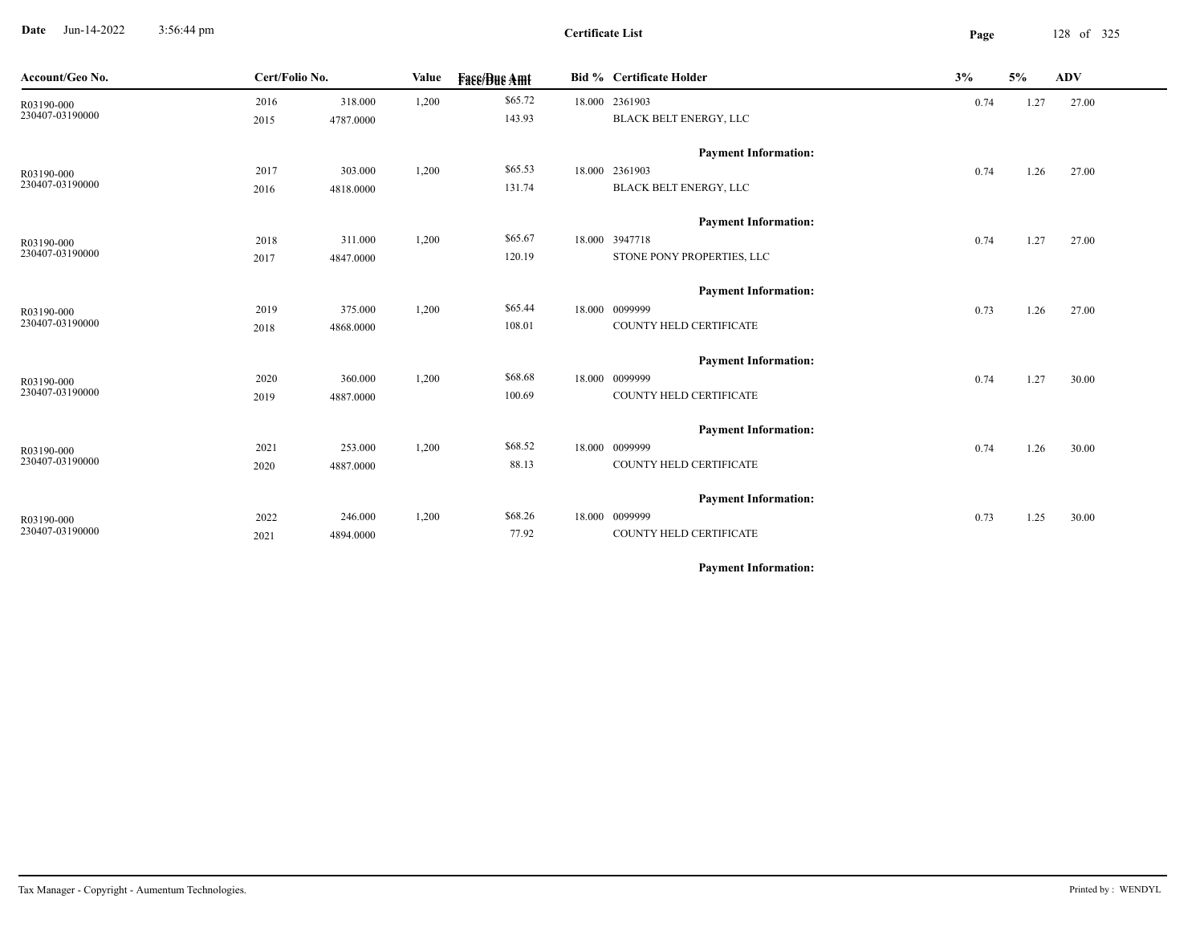**Date** Jun-14-2022 3:56:44 pm **Page** 128 of 325 3:56:44 pm

| Account/Geo No. | Cert/Folio No. |           | <b>Value</b> | <b>Fase/Bue Amt</b> | Bid % Certificate Holder    | 3%   | 5%   | <b>ADV</b> |
|-----------------|----------------|-----------|--------------|---------------------|-----------------------------|------|------|------------|
| R03190-000      | 2016           | 318.000   | 1,200        | \$65.72             | 18.000 2361903              | 0.74 | 1.27 | 27.00      |
| 230407-03190000 | 2015           | 4787.0000 |              | 143.93              | BLACK BELT ENERGY, LLC      |      |      |            |
|                 |                |           |              |                     | <b>Payment Information:</b> |      |      |            |
| R03190-000      | 2017           | 303.000   | 1,200        | \$65.53             | 18.000 2361903              | 0.74 | 1.26 | 27.00      |
| 230407-03190000 | 2016           | 4818.0000 |              | 131.74              | BLACK BELT ENERGY, LLC      |      |      |            |
|                 |                |           |              |                     | <b>Payment Information:</b> |      |      |            |
| R03190-000      | 2018           | 311.000   | 1,200        | \$65.67             | 18.000 3947718              | 0.74 | 1.27 | 27.00      |
| 230407-03190000 | 2017           | 4847.0000 |              | 120.19              | STONE PONY PROPERTIES, LLC  |      |      |            |
|                 |                |           |              |                     | <b>Payment Information:</b> |      |      |            |
| R03190-000      | 2019           | 375.000   | 1,200        | \$65.44             | 18.000 0099999              | 0.73 | 1.26 | 27.00      |
| 230407-03190000 | 2018           | 4868.0000 |              | 108.01              | COUNTY HELD CERTIFICATE     |      |      |            |
|                 |                |           |              |                     | <b>Payment Information:</b> |      |      |            |
| R03190-000      | 2020           | 360.000   | 1,200        | \$68.68             | 18.000 0099999              | 0.74 | 1.27 | 30.00      |
| 230407-03190000 | 2019           | 4887.0000 |              | 100.69              | COUNTY HELD CERTIFICATE     |      |      |            |
|                 |                |           |              |                     | <b>Payment Information:</b> |      |      |            |
| R03190-000      | 2021           | 253.000   | 1,200        | \$68.52             | 18.000 0099999              | 0.74 | 1.26 | 30.00      |
| 230407-03190000 | 2020           | 4887.0000 |              | 88.13               | COUNTY HELD CERTIFICATE     |      |      |            |
|                 |                |           |              |                     | <b>Payment Information:</b> |      |      |            |
| R03190-000      | 2022           | 246.000   | 1,200        | \$68.26             | 18.000 0099999              | 0.73 | 1.25 | 30.00      |
| 230407-03190000 | 2021           | 4894.0000 |              | 77.92               | COUNTY HELD CERTIFICATE     |      |      |            |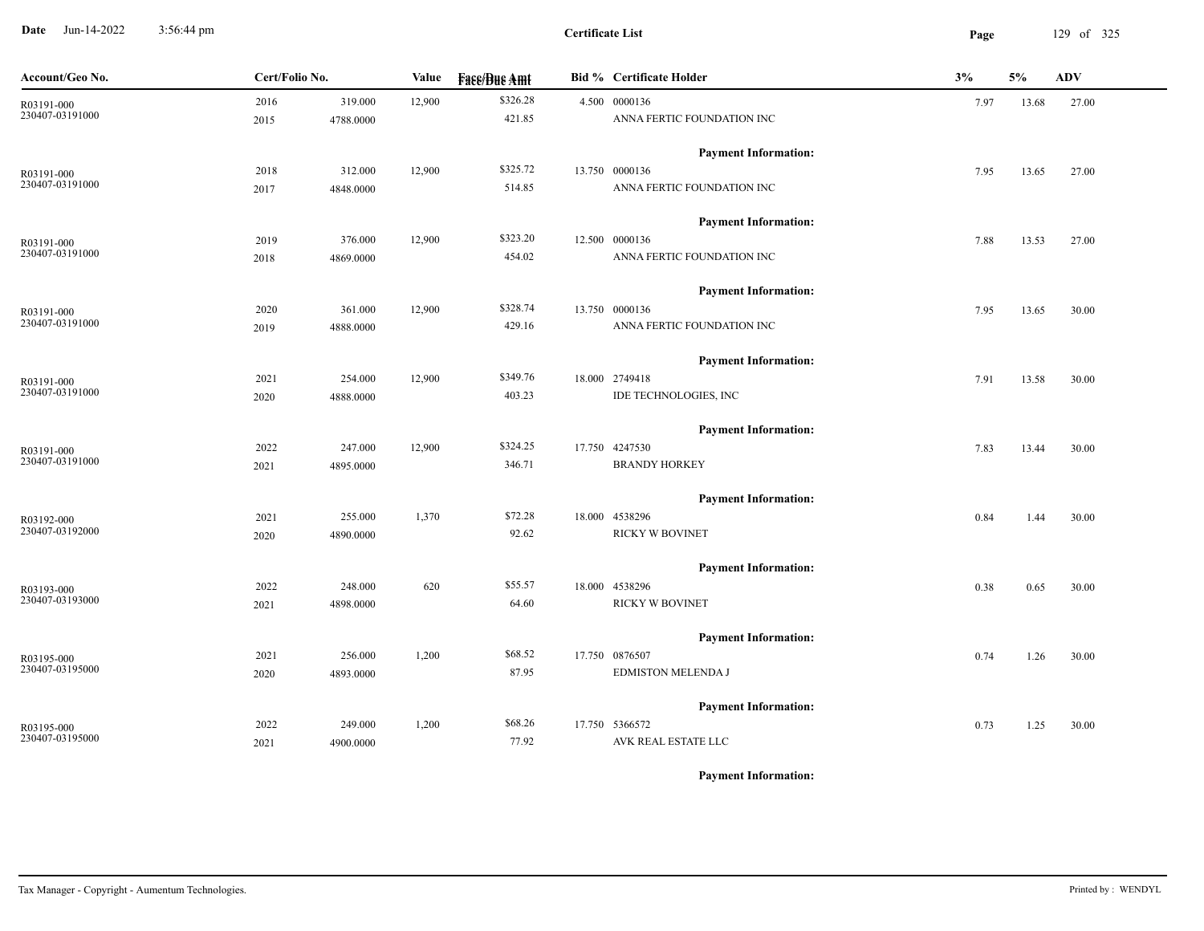**Date** Jun-14-2022 3:56:44 pm **Page** 129 of 325 3:56:44 pm

| Account/Geo No.               | Cert/Folio No.    | Value  | <b>Fase/Bue Amt</b> | <b>Bid % Certificate Holder</b>              | 3%   | 5%    | <b>ADV</b> |
|-------------------------------|-------------------|--------|---------------------|----------------------------------------------|------|-------|------------|
| R03191-000<br>230407-03191000 | 2016<br>319.000   | 12,900 | \$326.28            | 4.500 0000136                                | 7.97 | 13.68 | 27.00      |
|                               | 2015<br>4788.0000 |        | 421.85              | ANNA FERTIC FOUNDATION INC                   |      |       |            |
|                               |                   |        |                     | <b>Payment Information:</b>                  |      |       |            |
| R03191-000<br>230407-03191000 | 312.000<br>2018   | 12,900 | \$325.72<br>514.85  | 13.750 0000136<br>ANNA FERTIC FOUNDATION INC | 7.95 | 13.65 | 27.00      |
|                               | 4848.0000<br>2017 |        |                     |                                              |      |       |            |
|                               |                   |        |                     | <b>Payment Information:</b>                  |      |       |            |
| R03191-000<br>230407-03191000 | 2019<br>376.000   | 12,900 | \$323.20            | 12.500 0000136                               | 7.88 | 13.53 | 27.00      |
|                               | 2018<br>4869.0000 |        | 454.02              | ANNA FERTIC FOUNDATION INC                   |      |       |            |
|                               |                   |        |                     | <b>Payment Information:</b>                  |      |       |            |
| R03191-000<br>230407-03191000 | 2020<br>361.000   | 12,900 | \$328.74            | 13.750 0000136                               | 7.95 | 13.65 | 30.00      |
|                               | 2019<br>4888.0000 |        | 429.16              | ANNA FERTIC FOUNDATION INC                   |      |       |            |
|                               |                   |        |                     | <b>Payment Information:</b>                  |      |       |            |
| R03191-000<br>230407-03191000 | 2021<br>254.000   | 12,900 | \$349.76            | 18.000 2749418                               | 7.91 | 13.58 | 30.00      |
|                               | 2020<br>4888.0000 |        | 403.23              | IDE TECHNOLOGIES, INC                        |      |       |            |
|                               |                   |        |                     | <b>Payment Information:</b>                  |      |       |            |
| R03191-000<br>230407-03191000 | 247.000<br>2022   | 12,900 | \$324.25            | 17.750 4247530                               | 7.83 | 13.44 | 30.00      |
|                               | 2021<br>4895.0000 |        | 346.71              | <b>BRANDY HORKEY</b>                         |      |       |            |
|                               |                   |        |                     | <b>Payment Information:</b>                  |      |       |            |
| R03192-000<br>230407-03192000 | 255.000<br>2021   | 1,370  | \$72.28             | 18.000 4538296                               | 0.84 | 1.44  | 30.00      |
|                               | 2020<br>4890.0000 |        | 92.62               | RICKY W BOVINET                              |      |       |            |
|                               |                   |        |                     | <b>Payment Information:</b>                  |      |       |            |
| R03193-000<br>230407-03193000 | 2022<br>248.000   | 620    | \$55.57             | 18.000 4538296                               | 0.38 | 0.65  | 30.00      |
|                               | 4898.0000<br>2021 |        | 64.60               | RICKY W BOVINET                              |      |       |            |
|                               |                   |        |                     | <b>Payment Information:</b>                  |      |       |            |
| R03195-000                    | 2021<br>256.000   | 1,200  | \$68.52             | 17.750 0876507                               | 0.74 | 1.26  | 30.00      |
| 230407-03195000               | 4893.0000<br>2020 |        | 87.95               | EDMISTON MELENDA J                           |      |       |            |
|                               |                   |        |                     | <b>Payment Information:</b>                  |      |       |            |
| R03195-000                    | 2022<br>249.000   | 1,200  | \$68.26             | 17.750 5366572                               | 0.73 | 1.25  | 30.00      |
| 230407-03195000               | 4900.0000<br>2021 |        | 77.92               | AVK REAL ESTATE LLC                          |      |       |            |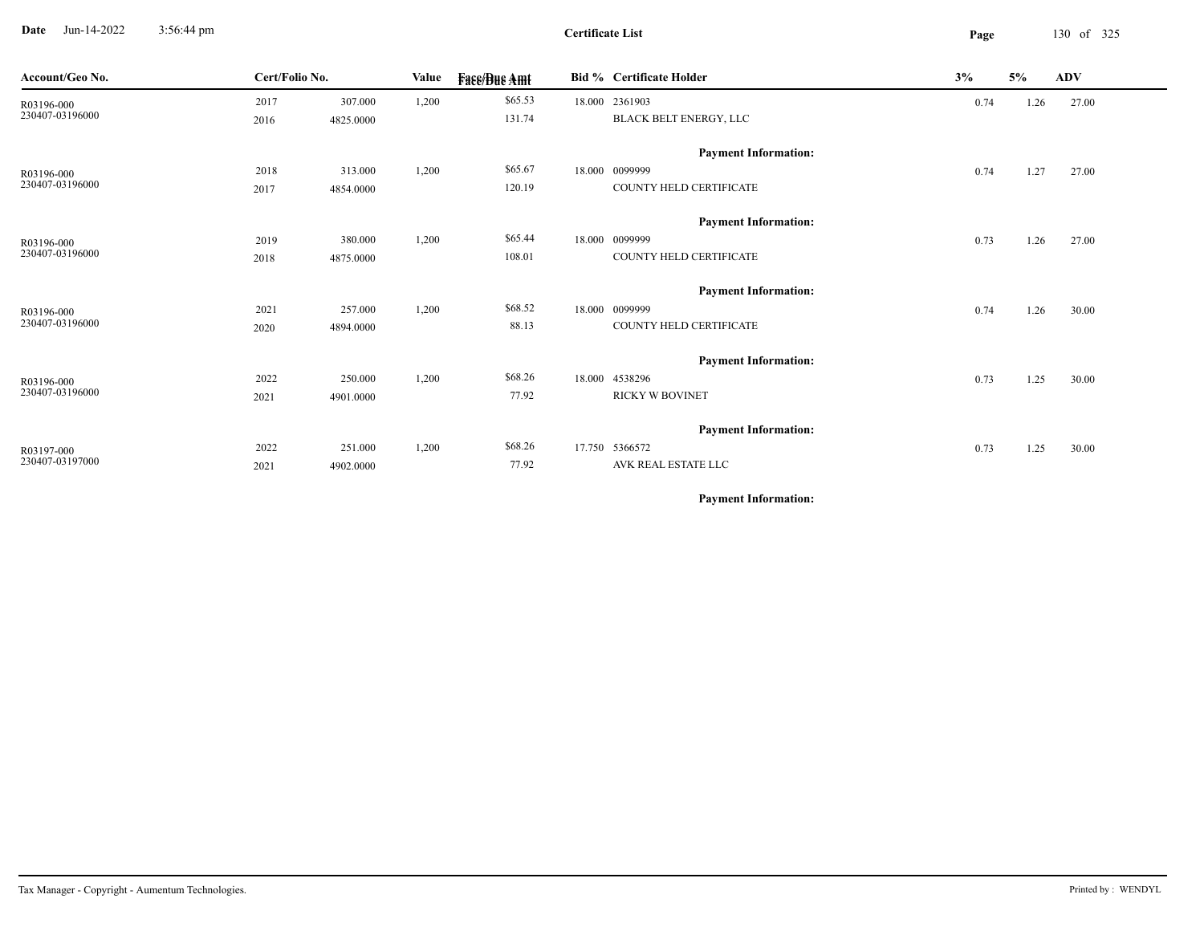**Date** Jun-14-2022 3:56:44 pm **Page** 130 of 325 3:56:44 pm

**Certificate List**

| Account/Geo No.               | Cert/Folio No. |           | Value | <b>Fase/Bue Amt</b> | <b>Bid % Certificate Holder</b> | 3%   | 5%   | <b>ADV</b> |
|-------------------------------|----------------|-----------|-------|---------------------|---------------------------------|------|------|------------|
| R03196-000                    | 2017           | 307.000   | 1,200 | \$65.53             | 18.000 2361903                  | 0.74 | 1.26 | 27.00      |
| 230407-03196000               | 2016           | 4825.0000 |       | 131.74              | BLACK BELT ENERGY, LLC          |      |      |            |
|                               |                |           |       |                     | <b>Payment Information:</b>     |      |      |            |
|                               | 2018           | 313.000   | 1,200 | \$65.67             | 18.000 0099999                  | 0.74 | 1.27 | 27.00      |
| R03196-000<br>230407-03196000 | 2017           | 4854.0000 |       | 120.19              | COUNTY HELD CERTIFICATE         |      |      |            |
|                               |                |           |       |                     | <b>Payment Information:</b>     |      |      |            |
| R03196-000                    | 2019           | 380.000   | 1,200 | \$65.44             | 18.000 0099999                  | 0.73 | 1.26 | 27.00      |
| 230407-03196000               | 2018           | 4875.0000 |       | 108.01              | COUNTY HELD CERTIFICATE         |      |      |            |
|                               |                |           |       |                     | <b>Payment Information:</b>     |      |      |            |
| R03196-000                    | 2021           | 257.000   | 1,200 | \$68.52             | 18.000 0099999                  | 0.74 | 1.26 | 30.00      |
| 230407-03196000               | 2020           | 4894.0000 |       | 88.13               | COUNTY HELD CERTIFICATE         |      |      |            |
|                               |                |           |       |                     | <b>Payment Information:</b>     |      |      |            |
| R03196-000                    | 2022           | 250.000   | 1,200 | \$68.26             | 18.000 4538296                  | 0.73 | 1.25 | 30.00      |
| 230407-03196000               | 2021           | 4901.0000 |       | 77.92               | <b>RICKY W BOVINET</b>          |      |      |            |
|                               |                |           |       |                     | <b>Payment Information:</b>     |      |      |            |
| R03197-000                    | 2022           | 251.000   | 1,200 | \$68.26             | 17.750 5366572                  | 0.73 | 1.25 | 30.00      |
| 230407-03197000               | 2021           | 4902.0000 |       | 77.92               | AVK REAL ESTATE LLC             |      |      |            |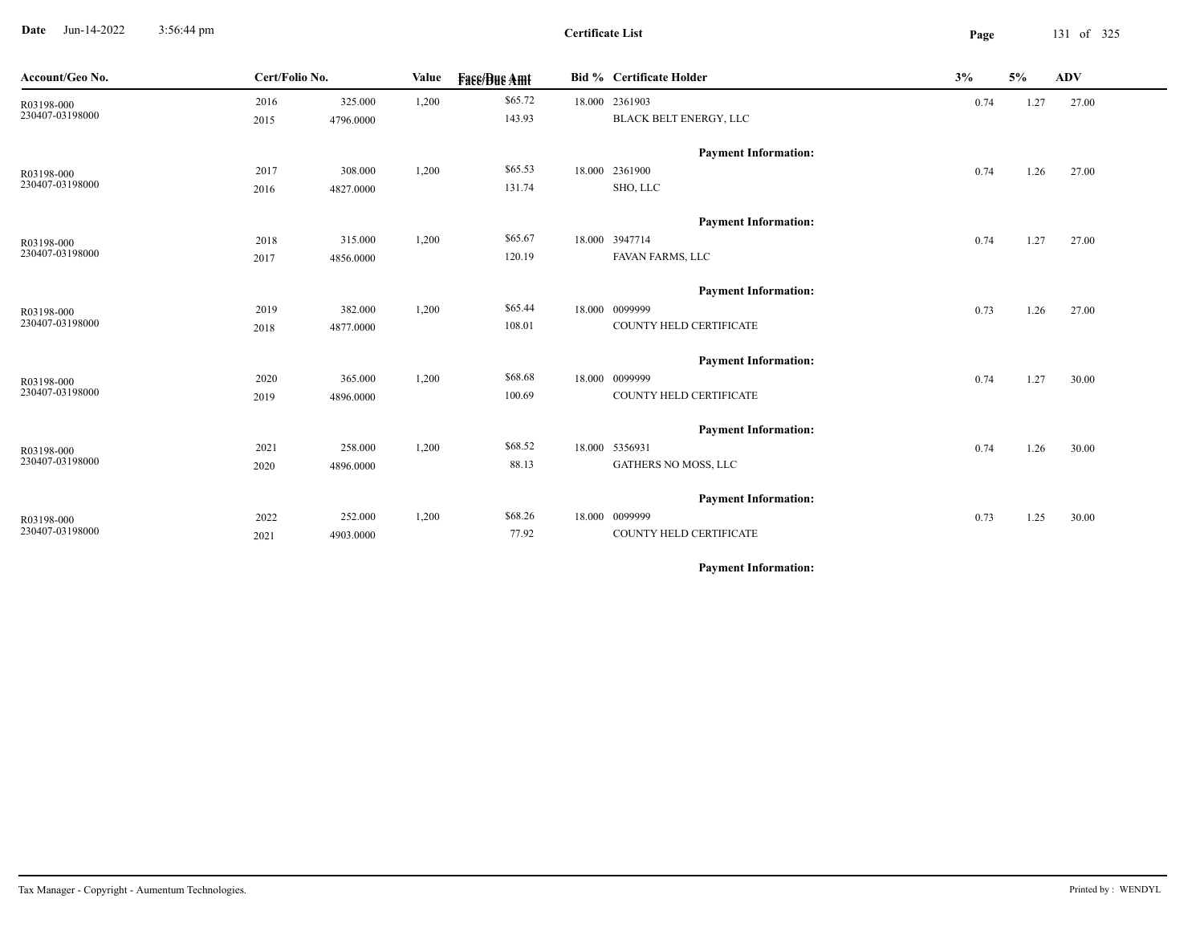**Date** Jun-14-2022 3:56:44 pm **Page** 131 of 325 3:56:44 pm

**Certificate List**

| Account/Geo No. | Cert/Folio No. |           | Value | <b>Fase/Bue Amt</b> | <b>Bid % Certificate Holder</b> | 3%   | 5%   | <b>ADV</b> |
|-----------------|----------------|-----------|-------|---------------------|---------------------------------|------|------|------------|
| R03198-000      | 2016           | 325.000   | 1,200 | \$65.72             | 18.000 2361903                  | 0.74 | 1.27 | 27.00      |
| 230407-03198000 | 2015           | 4796.0000 |       | 143.93              | BLACK BELT ENERGY, LLC          |      |      |            |
|                 |                |           |       |                     | <b>Payment Information:</b>     |      |      |            |
| R03198-000      | 2017           | 308.000   | 1,200 | \$65.53             | 18.000 2361900                  | 0.74 | 1.26 | 27.00      |
| 230407-03198000 | 2016           | 4827.0000 |       | 131.74              | SHO, LLC                        |      |      |            |
|                 |                |           |       |                     | <b>Payment Information:</b>     |      |      |            |
| R03198-000      | 2018           | 315.000   | 1,200 | \$65.67             | 18.000 3947714                  | 0.74 | 1.27 | 27.00      |
| 230407-03198000 | 2017           | 4856.0000 |       | 120.19              | FAVAN FARMS, LLC                |      |      |            |
|                 |                |           |       |                     | <b>Payment Information:</b>     |      |      |            |
| R03198-000      | 2019           | 382.000   | 1,200 | \$65.44             | 18.000 0099999                  | 0.73 | 1.26 | 27.00      |
| 230407-03198000 | 2018           | 4877.0000 |       | 108.01              | COUNTY HELD CERTIFICATE         |      |      |            |
|                 |                |           |       |                     | <b>Payment Information:</b>     |      |      |            |
| R03198-000      | 2020           | 365.000   | 1,200 | \$68.68             | 18.000 0099999                  | 0.74 | 1.27 | 30.00      |
| 230407-03198000 | 2019           | 4896.0000 |       | 100.69              | COUNTY HELD CERTIFICATE         |      |      |            |
|                 |                |           |       |                     | <b>Payment Information:</b>     |      |      |            |
| R03198-000      | 2021           | 258.000   | 1,200 | \$68.52             | 18.000 5356931                  | 0.74 | 1.26 | 30.00      |
| 230407-03198000 | 2020           | 4896.0000 |       | 88.13               | GATHERS NO MOSS, LLC            |      |      |            |
|                 |                |           |       |                     | <b>Payment Information:</b>     |      |      |            |
| R03198-000      | 2022           | 252.000   | 1,200 | \$68.26             | 18.000 0099999                  | 0.73 | 1.25 | 30.00      |
| 230407-03198000 | 2021           | 4903.0000 |       | 77.92               | COUNTY HELD CERTIFICATE         |      |      |            |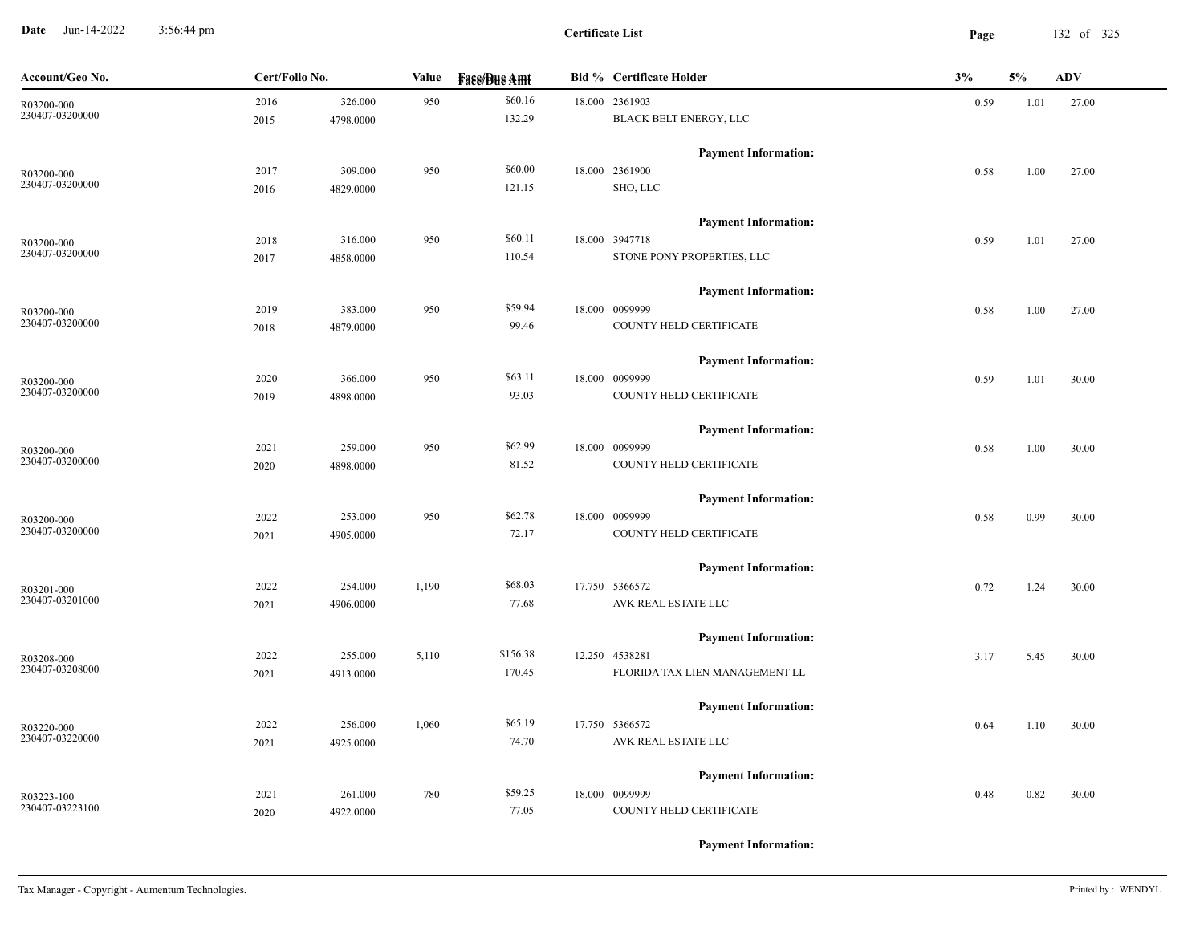**Date** Jun-14-2022 3:56:44 pm **Page** 132 of 325 3:56:44 pm

**Certificate List**

| Account/Geo No. | Cert/Folio No. |           | Value | <b>Face/Bue Amt</b> | <b>Bid % Certificate Holder</b> | 3%   | 5%   | <b>ADV</b> |
|-----------------|----------------|-----------|-------|---------------------|---------------------------------|------|------|------------|
| R03200-000      | 2016           | 326.000   | 950   | \$60.16             | 18.000 2361903                  | 0.59 | 1.01 | 27.00      |
| 230407-03200000 | 2015           | 4798.0000 |       | 132.29              | BLACK BELT ENERGY, LLC          |      |      |            |
|                 |                |           |       |                     | <b>Payment Information:</b>     |      |      |            |
| R03200-000      | 2017           | 309.000   | 950   | \$60.00             | 18.000 2361900                  | 0.58 | 1.00 | 27.00      |
| 230407-03200000 | 2016           | 4829.0000 |       | 121.15              | SHO, LLC                        |      |      |            |
|                 |                |           |       |                     | <b>Payment Information:</b>     |      |      |            |
| R03200-000      | 2018           | 316.000   | 950   | \$60.11             | 18.000 3947718                  | 0.59 | 1.01 | 27.00      |
| 230407-03200000 | 2017           | 4858.0000 |       | 110.54              | STONE PONY PROPERTIES, LLC      |      |      |            |
|                 |                |           |       |                     | <b>Payment Information:</b>     |      |      |            |
| R03200-000      | 2019           | 383.000   | 950   | \$59.94             | 18.000 0099999                  | 0.58 | 1.00 | 27.00      |
| 230407-03200000 | 2018           | 4879.0000 |       | 99.46               | COUNTY HELD CERTIFICATE         |      |      |            |
|                 |                |           |       |                     | <b>Payment Information:</b>     |      |      |            |
| R03200-000      | 2020           | 366.000   | 950   | \$63.11             | 18.000 0099999                  | 0.59 | 1.01 | 30.00      |
| 230407-03200000 | 2019           | 4898.0000 |       | 93.03               | COUNTY HELD CERTIFICATE         |      |      |            |
|                 |                |           |       |                     | <b>Payment Information:</b>     |      |      |            |
| R03200-000      | 2021           | 259.000   | 950   | \$62.99             | 18.000 0099999                  | 0.58 | 1.00 | 30.00      |
| 230407-03200000 | 2020           | 4898.0000 |       | 81.52               | COUNTY HELD CERTIFICATE         |      |      |            |
|                 |                |           |       |                     | <b>Payment Information:</b>     |      |      |            |
| R03200-000      | 2022           | 253.000   | 950   | \$62.78             | 18.000 0099999                  | 0.58 | 0.99 | 30.00      |
| 230407-03200000 | 2021           | 4905.0000 |       | 72.17               | COUNTY HELD CERTIFICATE         |      |      |            |
|                 |                |           |       |                     | <b>Payment Information:</b>     |      |      |            |
| R03201-000      | 2022           | 254.000   | 1,190 | \$68.03             | 17.750 5366572                  | 0.72 | 1.24 | 30.00      |
| 230407-03201000 | 2021           | 4906.0000 |       | 77.68               | AVK REAL ESTATE LLC             |      |      |            |
|                 |                |           |       |                     | <b>Payment Information:</b>     |      |      |            |
| R03208-000      | 2022           | 255.000   | 5,110 | \$156.38            | 12.250 4538281                  | 3.17 | 5.45 | 30.00      |
| 230407-03208000 | 2021           | 4913.0000 |       | 170.45              | FLORIDA TAX LIEN MANAGEMENT LL  |      |      |            |
|                 |                |           |       |                     | <b>Payment Information:</b>     |      |      |            |
| R03220-000      | 2022           | 256.000   | 1,060 | \$65.19             | 17.750 5366572                  | 0.64 | 1.10 | 30.00      |
| 230407-03220000 | 2021           | 4925.0000 |       | 74.70               | AVK REAL ESTATE LLC             |      |      |            |
|                 |                |           |       |                     | <b>Payment Information:</b>     |      |      |            |
| R03223-100      | 2021           | 261.000   | 780   | \$59.25             | 18.000 0099999                  | 0.48 | 0.82 | 30.00      |
| 230407-03223100 | 2020           | 4922.0000 |       | 77.05               | COUNTY HELD CERTIFICATE         |      |      |            |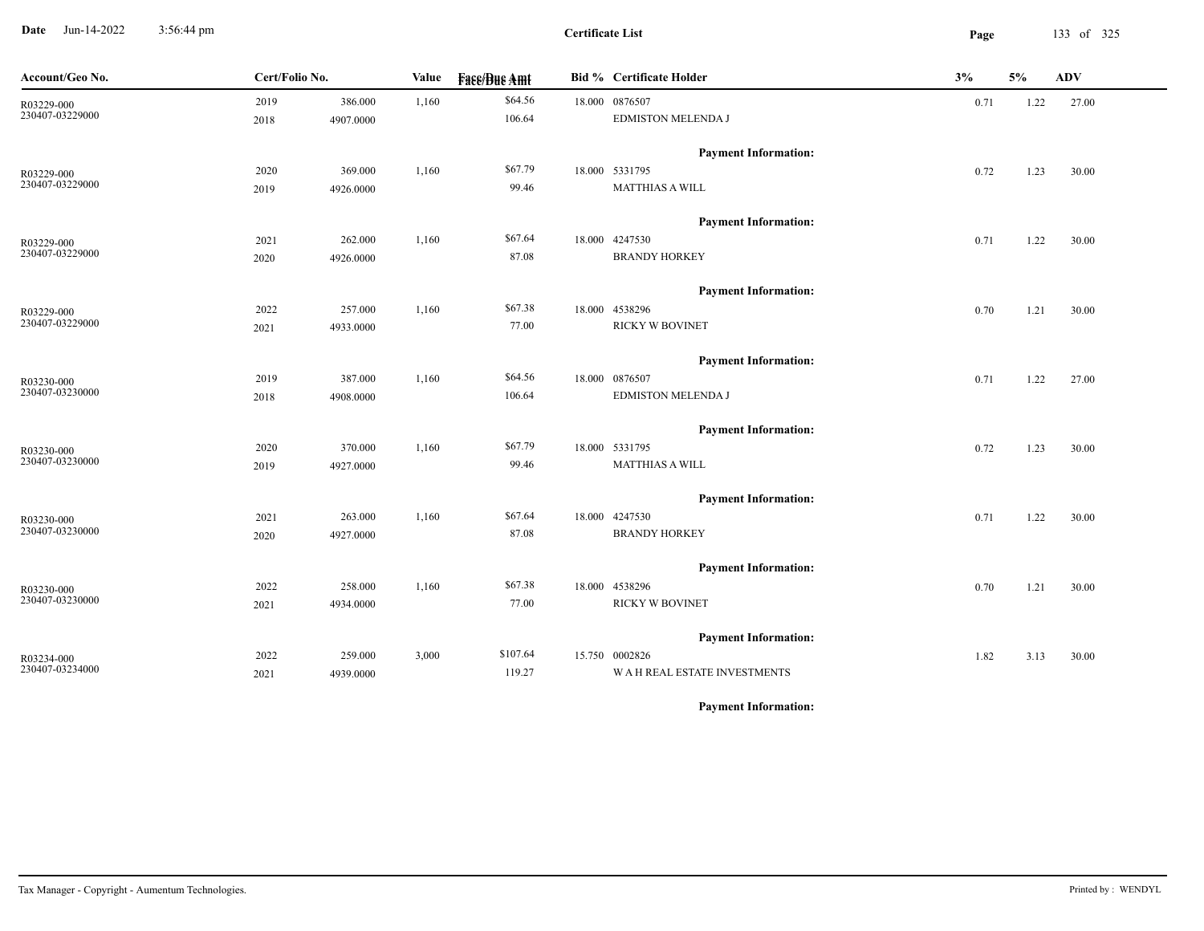**Date** Jun-14-2022 3:56:44 pm **Page** 133 of 325 3:56:44 pm

**Certificate List**

| Account/Geo No.               | Cert/Folio No. |           | Value | <b>Fase/Bue Amt</b> | <b>Bid % Certificate Holder</b>    | 3%   | 5%   | <b>ADV</b> |
|-------------------------------|----------------|-----------|-------|---------------------|------------------------------------|------|------|------------|
| R03229-000<br>230407-03229000 | 2019           | 386.000   | 1,160 | \$64.56             | 18.000 0876507                     | 0.71 | 1.22 | 27.00      |
|                               | 2018           | 4907.0000 |       | 106.64              | EDMISTON MELENDA J                 |      |      |            |
|                               |                |           |       |                     | <b>Payment Information:</b>        |      |      |            |
| R03229-000<br>230407-03229000 | 2020           | 369.000   | 1,160 | \$67.79             | 18.000 5331795                     | 0.72 | 1.23 | 30.00      |
|                               | 2019           | 4926.0000 |       | 99.46               | <b>MATTHIAS A WILL</b>             |      |      |            |
|                               |                |           |       |                     | <b>Payment Information:</b>        |      |      |            |
| R03229-000                    | 2021           | 262.000   | 1,160 | \$67.64             | 18.000 4247530                     | 0.71 | 1.22 | 30.00      |
| 230407-03229000               | 2020           | 4926.0000 |       | 87.08               | <b>BRANDY HORKEY</b>               |      |      |            |
|                               |                |           |       |                     | <b>Payment Information:</b>        |      |      |            |
| R03229-000                    | 2022           | 257.000   | 1,160 | \$67.38             | 18.000 4538296                     | 0.70 | 1.21 | 30.00      |
| 230407-03229000               | 2021           | 4933.0000 |       | 77.00               | RICKY W BOVINET                    |      |      |            |
|                               |                |           |       |                     | <b>Payment Information:</b>        |      |      |            |
| R03230-000                    | 2019           | 387.000   | 1,160 | \$64.56             | 18.000 0876507                     | 0.71 | 1.22 | 27.00      |
| 230407-03230000               | 2018           | 4908.0000 |       | 106.64              | <b>EDMISTON MELENDA J</b>          |      |      |            |
|                               |                |           |       |                     | <b>Payment Information:</b>        |      |      |            |
| R03230-000                    | 2020           | 370.000   | 1,160 | \$67.79             | 18.000 5331795                     | 0.72 | 1.23 | 30.00      |
| 230407-03230000               | 2019           | 4927.0000 |       | 99.46               | MATTHIAS A WILL                    |      |      |            |
|                               |                |           |       |                     | <b>Payment Information:</b>        |      |      |            |
| R03230-000                    | 2021           | 263.000   | 1,160 | \$67.64             | 18.000 4247530                     | 0.71 | 1.22 | 30.00      |
| 230407-03230000               | 2020           | 4927.0000 |       | 87.08               | <b>BRANDY HORKEY</b>               |      |      |            |
|                               |                |           |       |                     | <b>Payment Information:</b>        |      |      |            |
| R03230-000                    | 2022           | 258.000   | 1,160 | \$67.38             | 18.000 4538296                     | 0.70 | 1.21 | 30.00      |
| 230407-03230000               | 2021           | 4934.0000 |       | 77.00               | <b>RICKY W BOVINET</b>             |      |      |            |
|                               |                |           |       |                     | <b>Payment Information:</b>        |      |      |            |
| R03234-000                    | 2022           | 259.000   | 3,000 | \$107.64            | 15.750 0002826                     | 1.82 | 3.13 | 30.00      |
| 230407-03234000               | 2021           | 4939.0000 |       | 119.27              | <b>WAH REAL ESTATE INVESTMENTS</b> |      |      |            |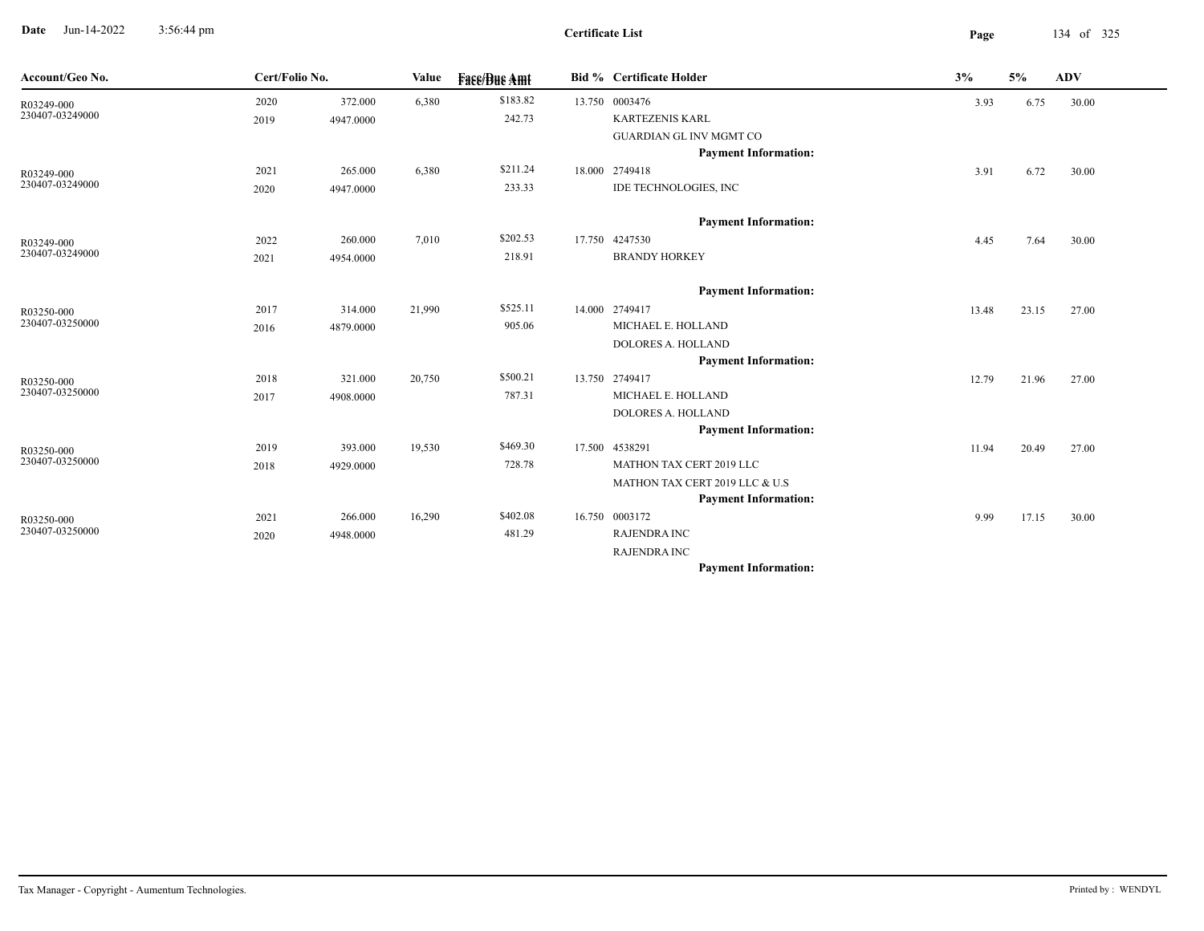**Date** Jun-14-2022 3:56:44 pm **Page** 134 of 325 3:56:44 pm

| Account/Geo No.               | Cert/Folio No. |           | Value  | <b>Fase/Bue Amt</b> | <b>Bid % Certificate Holder</b> | 3%    | 5%    | <b>ADV</b> |
|-------------------------------|----------------|-----------|--------|---------------------|---------------------------------|-------|-------|------------|
| R03249-000                    | 2020           | 372.000   | 6,380  | \$183.82            | 13.750 0003476                  | 3.93  | 6.75  | 30.00      |
| 230407-03249000               | 2019           | 4947.0000 |        | 242.73              | <b>KARTEZENIS KARL</b>          |       |       |            |
|                               |                |           |        |                     | <b>GUARDIAN GL INV MGMT CO</b>  |       |       |            |
|                               |                |           |        |                     | <b>Payment Information:</b>     |       |       |            |
| R03249-000                    | 2021           | 265.000   | 6,380  | \$211.24            | 18.000 2749418                  | 3.91  | 6.72  | 30.00      |
| 230407-03249000               | 2020           | 4947.0000 |        | 233.33              | IDE TECHNOLOGIES, INC           |       |       |            |
|                               |                |           |        |                     | <b>Payment Information:</b>     |       |       |            |
| R03249-000                    | 2022           | 260.000   | 7,010  | \$202.53            | 17.750 4247530                  | 4.45  | 7.64  | 30.00      |
| 230407-03249000               | 2021           | 4954.0000 |        | 218.91              | <b>BRANDY HORKEY</b>            |       |       |            |
|                               |                |           |        |                     | <b>Payment Information:</b>     |       |       |            |
| R03250-000                    | 2017           | 314.000   | 21,990 | \$525.11            | 14.000 2749417                  | 13.48 | 23.15 | 27.00      |
| 230407-03250000               | 2016           | 4879.0000 |        | 905.06              | MICHAEL E. HOLLAND              |       |       |            |
|                               |                |           |        |                     | <b>DOLORES A. HOLLAND</b>       |       |       |            |
|                               |                |           |        |                     | <b>Payment Information:</b>     |       |       |            |
| R03250-000                    | 2018           | 321.000   | 20,750 | \$500.21            | 13.750 2749417                  | 12.79 | 21.96 | 27.00      |
| 230407-03250000               | 2017           | 4908.0000 |        | 787.31              | MICHAEL E. HOLLAND              |       |       |            |
|                               |                |           |        |                     | <b>DOLORES A. HOLLAND</b>       |       |       |            |
|                               |                |           |        |                     | <b>Payment Information:</b>     |       |       |            |
| R03250-000                    | 2019           | 393.000   | 19,530 | \$469.30            | 17.500 4538291                  | 11.94 | 20.49 | 27.00      |
| 230407-03250000               | 2018           | 4929.0000 |        | 728.78              | MATHON TAX CERT 2019 LLC        |       |       |            |
|                               |                |           |        |                     | MATHON TAX CERT 2019 LLC & U.S  |       |       |            |
|                               |                |           |        |                     | <b>Payment Information:</b>     |       |       |            |
| R03250-000<br>230407-03250000 | 2021           | 266.000   | 16,290 | \$402.08            | 16.750 0003172                  | 9.99  | 17.15 | 30.00      |
|                               | 2020           | 4948.0000 |        | 481.29              | <b>RAJENDRA INC</b>             |       |       |            |
|                               |                |           |        |                     | <b>RAJENDRA INC</b>             |       |       |            |
|                               |                |           |        |                     | <b>Payment Information:</b>     |       |       |            |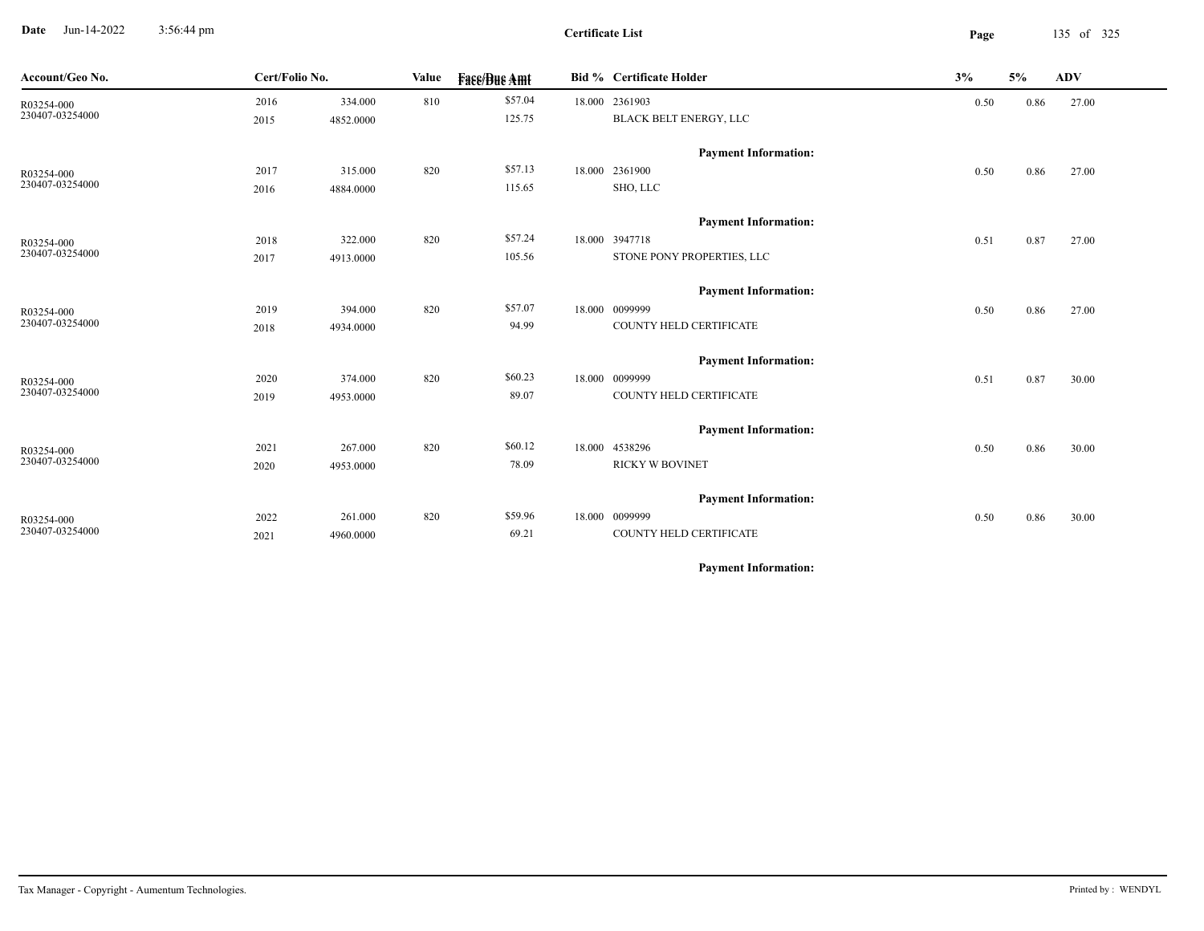**Date** Jun-14-2022 3:56:44 pm **Page** 135 of 325 3:56:44 pm

**Certificate List**

| Account/Geo No. | Cert/Folio No. |           | Value | <b>Face/Bue Amt</b> | <b>Bid % Certificate Holder</b> | 3%   | 5%   | <b>ADV</b> |
|-----------------|----------------|-----------|-------|---------------------|---------------------------------|------|------|------------|
| R03254-000      | 2016           | 334.000   | 810   | \$57.04             | 18.000 2361903                  | 0.50 | 0.86 | 27.00      |
| 230407-03254000 | 2015           | 4852.0000 |       | 125.75              | BLACK BELT ENERGY, LLC          |      |      |            |
|                 |                |           |       |                     | <b>Payment Information:</b>     |      |      |            |
| R03254-000      | 2017           | 315.000   | 820   | \$57.13             | 18.000 2361900                  | 0.50 | 0.86 | 27.00      |
| 230407-03254000 | 2016           | 4884.0000 |       | 115.65              | SHO, LLC                        |      |      |            |
|                 |                |           |       |                     | <b>Payment Information:</b>     |      |      |            |
| R03254-000      | 2018           | 322.000   | 820   | \$57.24             | 18.000 3947718                  | 0.51 | 0.87 | 27.00      |
| 230407-03254000 | 2017           | 4913.0000 |       | 105.56              | STONE PONY PROPERTIES, LLC      |      |      |            |
|                 |                |           |       |                     | <b>Payment Information:</b>     |      |      |            |
| R03254-000      | 2019           | 394.000   | 820   | \$57.07             | 18.000 0099999                  | 0.50 | 0.86 | 27.00      |
| 230407-03254000 | 2018           | 4934.0000 |       | 94.99               | COUNTY HELD CERTIFICATE         |      |      |            |
|                 |                |           |       |                     | <b>Payment Information:</b>     |      |      |            |
| R03254-000      | 2020           | 374.000   | 820   | \$60.23             | 18.000 0099999                  | 0.51 | 0.87 | 30.00      |
| 230407-03254000 | 2019           | 4953.0000 |       | 89.07               | COUNTY HELD CERTIFICATE         |      |      |            |
|                 |                |           |       |                     | <b>Payment Information:</b>     |      |      |            |
| R03254-000      | 2021           | 267.000   | 820   | \$60.12             | 18.000 4538296                  | 0.50 | 0.86 | 30.00      |
| 230407-03254000 | 2020           | 4953.0000 |       | 78.09               | <b>RICKY W BOVINET</b>          |      |      |            |
|                 |                |           |       |                     | <b>Payment Information:</b>     |      |      |            |
| R03254-000      | 2022           | 261.000   | 820   | \$59.96             | 18.000 0099999                  | 0.50 | 0.86 | 30.00      |
| 230407-03254000 | 2021           | 4960.0000 |       | 69.21               | COUNTY HELD CERTIFICATE         |      |      |            |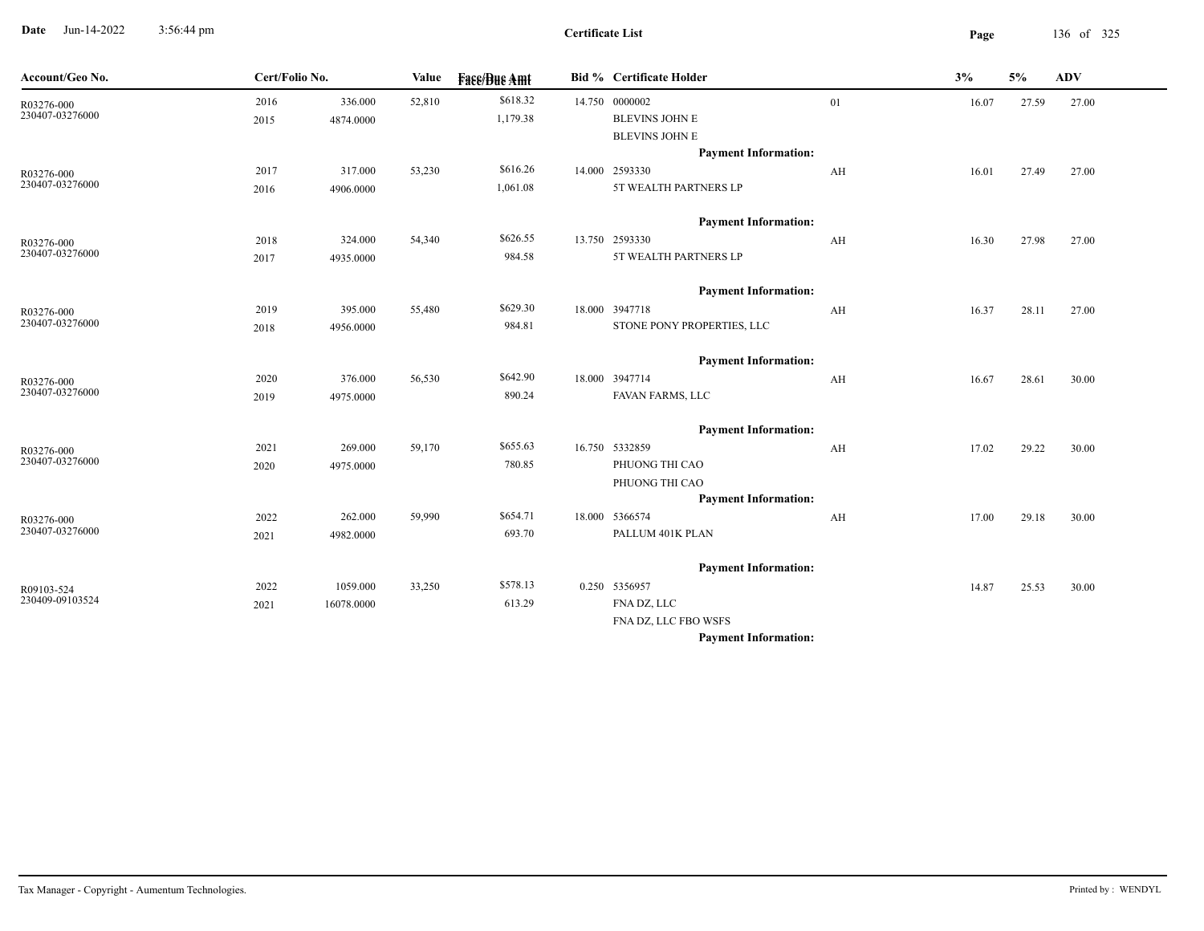**Date** Jun-14-2022 3:56:44 pm **Page** 136 of 325 3:56:44 pm

| Account/Geo No.               | Cert/Folio No. |            | Value  | <b>Face/Bue Amt</b> | <b>Bid % Certificate Holder</b>                      |    | 3%    | 5%    | <b>ADV</b> |
|-------------------------------|----------------|------------|--------|---------------------|------------------------------------------------------|----|-------|-------|------------|
| R03276-000<br>230407-03276000 | 2016           | 336.000    | 52,810 | \$618.32            | 14.750 0000002                                       | 01 | 16.07 | 27.59 | 27.00      |
|                               | 2015           | 4874.0000  |        | 1,179.38            | <b>BLEVINS JOHN E</b>                                |    |       |       |            |
|                               |                |            |        |                     | <b>BLEVINS JOHN E</b><br><b>Payment Information:</b> |    |       |       |            |
|                               | 2017           | 317.000    | 53,230 | \$616.26            | 14.000 2593330                                       | AH | 16.01 | 27.49 | 27.00      |
| R03276-000<br>230407-03276000 | 2016           | 4906.0000  |        | 1,061.08            | 5T WEALTH PARTNERS LP                                |    |       |       |            |
|                               |                |            |        |                     |                                                      |    |       |       |            |
|                               |                |            |        |                     | <b>Payment Information:</b>                          |    |       |       |            |
| R03276-000                    | 2018           | 324.000    | 54,340 | \$626.55            | 13.750 2593330                                       | AH | 16.30 | 27.98 | 27.00      |
| 230407-03276000               | 2017           | 4935.0000  |        | 984.58              | 5T WEALTH PARTNERS LP                                |    |       |       |            |
|                               |                |            |        |                     | <b>Payment Information:</b>                          |    |       |       |            |
| R03276-000                    | 2019           | 395.000    | 55,480 | \$629.30            | 18.000 3947718                                       | AH | 16.37 | 28.11 | 27.00      |
| 230407-03276000               | 2018           | 4956.0000  |        | 984.81              | STONE PONY PROPERTIES, LLC                           |    |       |       |            |
|                               |                |            |        |                     | <b>Payment Information:</b>                          |    |       |       |            |
| R03276-000                    | 2020           | 376.000    | 56,530 | \$642.90            | 18.000 3947714                                       | AH | 16.67 | 28.61 | 30.00      |
| 230407-03276000               | 2019           | 4975.0000  |        | 890.24              | FAVAN FARMS, LLC                                     |    |       |       |            |
|                               |                |            |        |                     |                                                      |    |       |       |            |
|                               |                |            |        |                     | <b>Payment Information:</b>                          |    |       |       |            |
| R03276-000<br>230407-03276000 | 2021           | 269.000    | 59,170 | \$655.63            | 16.750 5332859                                       | AH | 17.02 | 29.22 | 30.00      |
|                               | 2020           | 4975.0000  |        | 780.85              | PHUONG THI CAO                                       |    |       |       |            |
|                               |                |            |        |                     | PHUONG THI CAO<br><b>Payment Information:</b>        |    |       |       |            |
|                               | 2022           | 262.000    | 59,990 | \$654.71            | 18.000 5366574                                       | AH | 17.00 | 29.18 | 30.00      |
| R03276-000<br>230407-03276000 | 2021           | 4982.0000  |        | 693.70              | PALLUM 401K PLAN                                     |    |       |       |            |
|                               |                |            |        |                     |                                                      |    |       |       |            |
|                               |                |            |        |                     | <b>Payment Information:</b>                          |    |       |       |            |
| R09103-524                    | 2022           | 1059.000   | 33,250 | \$578.13            | 0.250 5356957                                        |    | 14.87 | 25.53 | 30.00      |
| 230409-09103524               | 2021           | 16078.0000 |        | 613.29              | FNA DZ, LLC                                          |    |       |       |            |
|                               |                |            |        |                     | FNA DZ, LLC FBO WSFS                                 |    |       |       |            |
|                               |                |            |        |                     | <b>Payment Information:</b>                          |    |       |       |            |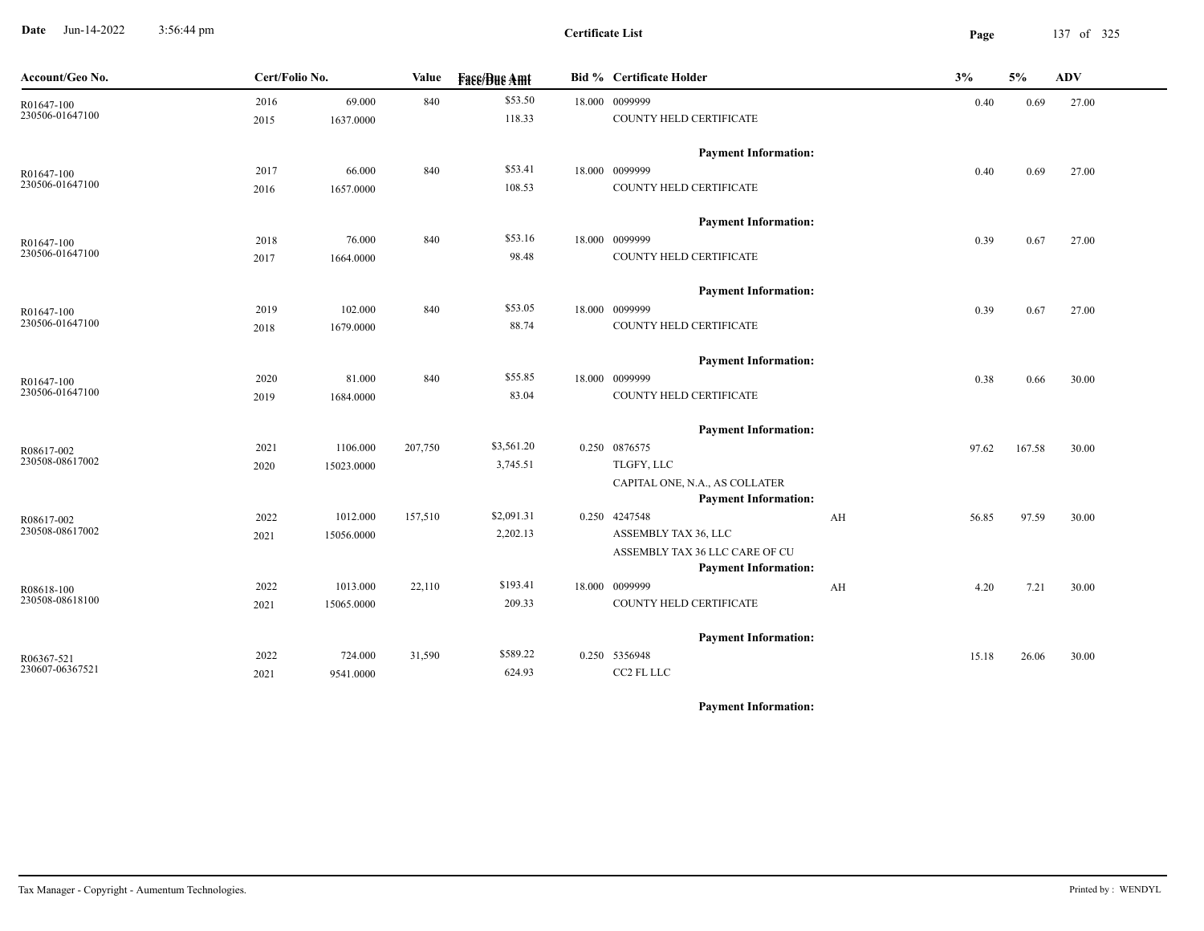**Date** Jun-14-2022 3:56:44 pm **Page** 137 of 325 3:56:44 pm

| Account/Geo No. | Cert/Folio No. |            | Value   | <b>Fase/Bue Amt</b> | Bid % Certificate Holder                                      |    | 3%    | 5%     | <b>ADV</b> |
|-----------------|----------------|------------|---------|---------------------|---------------------------------------------------------------|----|-------|--------|------------|
| R01647-100      | 2016           | 69.000     | 840     | \$53.50             | 18.000 0099999                                                |    | 0.40  | 0.69   | 27.00      |
| 230506-01647100 | 2015           | 1637.0000  |         | 118.33              | COUNTY HELD CERTIFICATE                                       |    |       |        |            |
|                 |                |            |         |                     | <b>Payment Information:</b>                                   |    |       |        |            |
| R01647-100      | 2017           | 66.000     | 840     | \$53.41             | 18.000 0099999                                                |    | 0.40  | 0.69   | 27.00      |
| 230506-01647100 | 2016           | 1657.0000  |         | 108.53              | COUNTY HELD CERTIFICATE                                       |    |       |        |            |
|                 |                |            |         |                     | <b>Payment Information:</b>                                   |    |       |        |            |
| R01647-100      | 2018           | 76.000     | 840     | \$53.16             | 18.000 0099999                                                |    | 0.39  | 0.67   | 27.00      |
| 230506-01647100 | 2017           | 1664.0000  |         | 98.48               | COUNTY HELD CERTIFICATE                                       |    |       |        |            |
|                 |                |            |         |                     | <b>Payment Information:</b>                                   |    |       |        |            |
| R01647-100      | 2019           | 102.000    | 840     | \$53.05             | 18.000 0099999                                                |    | 0.39  | 0.67   | 27.00      |
| 230506-01647100 | 2018           | 1679.0000  |         | 88.74               | COUNTY HELD CERTIFICATE                                       |    |       |        |            |
|                 |                |            |         |                     | <b>Payment Information:</b>                                   |    |       |        |            |
| R01647-100      | 2020           | 81.000     | 840     | \$55.85             | 18.000 0099999                                                |    | 0.38  | 0.66   | 30.00      |
| 230506-01647100 | 2019           | 1684.0000  |         | 83.04               | COUNTY HELD CERTIFICATE                                       |    |       |        |            |
|                 |                |            |         |                     | <b>Payment Information:</b>                                   |    |       |        |            |
| R08617-002      | 2021           | 1106.000   | 207,750 | \$3,561.20          | 0.250 0876575                                                 |    | 97.62 | 167.58 | 30.00      |
| 230508-08617002 | 2020           | 15023.0000 |         | 3,745.51            | TLGFY, LLC                                                    |    |       |        |            |
|                 |                |            |         |                     | CAPITAL ONE, N.A., AS COLLATER<br><b>Payment Information:</b> |    |       |        |            |
| R08617-002      | 2022           | 1012.000   | 157,510 | \$2,091.31          | 0.250 4247548                                                 | AH | 56.85 | 97.59  | 30.00      |
| 230508-08617002 | 2021           | 15056.0000 |         | 2,202.13            | ASSEMBLY TAX 36, LLC                                          |    |       |        |            |
|                 |                |            |         |                     | ASSEMBLY TAX 36 LLC CARE OF CU                                |    |       |        |            |
|                 |                |            |         |                     | <b>Payment Information:</b>                                   |    |       |        |            |
| $R08618-100$    | 2022           | 1013.000   | 22,110  | \$193.41            | 18.000 0099999                                                | AH | 4.20  | 7.21   | 30.00      |
| 230508-08618100 | 2021           | 15065.0000 |         | 209.33              | COUNTY HELD CERTIFICATE                                       |    |       |        |            |
|                 |                |            |         |                     | <b>Payment Information:</b>                                   |    |       |        |            |
| R06367-521      | 2022           | 724.000    | 31,590  | \$589.22            | 0.250 5356948                                                 |    | 15.18 | 26.06  | 30.00      |
| 230607-06367521 | 2021           | 9541.0000  |         | 624.93              | CC2 FL LLC                                                    |    |       |        |            |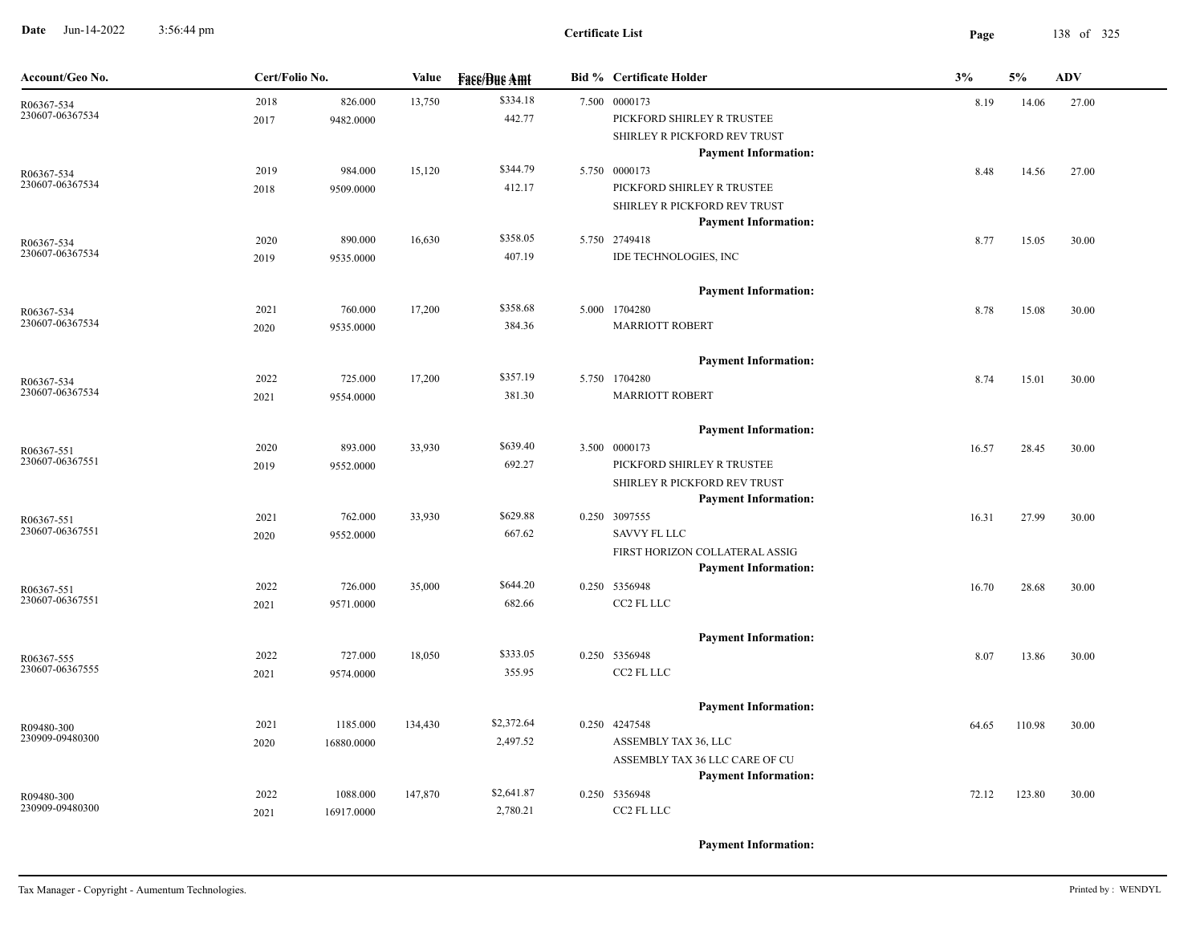**Date** Jun-14-2022 3:56:44 pm **Page** 138 of 325 3:56:44 pm

| Account/Geo No.               | Cert/Folio No. |            | Value   | <b>Face/Bue Amt</b> | <b>Bid % Certificate Holder</b> | 3%    | 5%     | <b>ADV</b> |
|-------------------------------|----------------|------------|---------|---------------------|---------------------------------|-------|--------|------------|
| R06367-534                    | 2018           | 826.000    | 13,750  | \$334.18            | 7.500 0000173                   | 8.19  | 14.06  | 27.00      |
| 230607-06367534               | 2017           | 9482.0000  |         | 442.77              | PICKFORD SHIRLEY R TRUSTEE      |       |        |            |
|                               |                |            |         |                     | SHIRLEY R PICKFORD REV TRUST    |       |        |            |
|                               |                |            |         |                     | <b>Payment Information:</b>     |       |        |            |
| R06367-534                    | 2019           | 984.000    | 15,120  | \$344.79            | 5.750 0000173                   | 8.48  | 14.56  | 27.00      |
| 230607-06367534               | 2018           | 9509.0000  |         | 412.17              | PICKFORD SHIRLEY R TRUSTEE      |       |        |            |
|                               |                |            |         |                     | SHIRLEY R PICKFORD REV TRUST    |       |        |            |
|                               |                |            |         |                     | <b>Payment Information:</b>     |       |        |            |
| R06367-534                    | 2020           | 890.000    | 16,630  | \$358.05            | 5.750 2749418                   | 8.77  | 15.05  | 30.00      |
| 230607-06367534               | 2019           | 9535.0000  |         | 407.19              | IDE TECHNOLOGIES, INC           |       |        |            |
|                               |                |            |         |                     | <b>Payment Information:</b>     |       |        |            |
| R06367-534                    | 2021           | 760.000    | 17,200  | \$358.68            | 5.000 1704280                   | 8.78  | 15.08  | 30.00      |
| 230607-06367534               | 2020           | 9535.0000  |         | 384.36              | <b>MARRIOTT ROBERT</b>          |       |        |            |
|                               |                |            |         |                     | <b>Payment Information:</b>     |       |        |            |
| R06367-534                    | 2022           | 725.000    | 17,200  | \$357.19            | 5.750 1704280                   | 8.74  | 15.01  | 30.00      |
| 230607-06367534               | 2021           | 9554.0000  |         | 381.30              | <b>MARRIOTT ROBERT</b>          |       |        |            |
|                               |                |            |         |                     |                                 |       |        |            |
|                               |                |            |         |                     | <b>Payment Information:</b>     |       |        |            |
| R06367-551<br>230607-06367551 | 2020           | 893.000    | 33,930  | \$639.40            | 3.500 0000173                   | 16.57 | 28.45  | 30.00      |
|                               | 2019           | 9552.0000  |         | 692.27              | PICKFORD SHIRLEY R TRUSTEE      |       |        |            |
|                               |                |            |         |                     | SHIRLEY R PICKFORD REV TRUST    |       |        |            |
|                               |                |            |         |                     | <b>Payment Information:</b>     |       |        |            |
| R06367-551<br>230607-06367551 | 2021           | 762.000    | 33,930  | \$629.88            | 0.250 3097555                   | 16.31 | 27.99  | 30.00      |
|                               | 2020           | 9552.0000  |         | 667.62              | SAVVY FL LLC                    |       |        |            |
|                               |                |            |         |                     | FIRST HORIZON COLLATERAL ASSIG  |       |        |            |
|                               |                |            |         |                     | <b>Payment Information:</b>     |       |        |            |
| R06367-551<br>230607-06367551 | 2022           | 726.000    | 35,000  | \$644.20            | 0.250 5356948                   | 16.70 | 28.68  | 30.00      |
|                               | 2021           | 9571.0000  |         | 682.66              | CC2 FL LLC                      |       |        |            |
|                               |                |            |         |                     | <b>Payment Information:</b>     |       |        |            |
| R06367-555                    | 2022           | 727.000    | 18,050  | \$333.05            | 0.250 5356948                   | 8.07  | 13.86  | 30.00      |
| 230607-06367555               | 2021           | 9574.0000  |         | 355.95              | CC2 FL LLC                      |       |        |            |
|                               |                |            |         |                     | <b>Payment Information:</b>     |       |        |            |
| R09480-300                    | 2021           | 1185.000   | 134,430 | \$2,372.64          | 0.250 4247548                   | 64.65 | 110.98 | 30.00      |
| 230909-09480300               | 2020           | 16880.0000 |         | 2,497.52            | ASSEMBLY TAX 36, LLC            |       |        |            |
|                               |                |            |         |                     | ASSEMBLY TAX 36 LLC CARE OF CU  |       |        |            |
|                               |                |            |         |                     | <b>Payment Information:</b>     |       |        |            |
| R09480-300                    | 2022           | 1088.000   | 147,870 | \$2,641.87          | 0.250 5356948                   | 72.12 | 123.80 | 30.00      |
| 230909-09480300               | 2021           | 16917.0000 |         | 2,780.21            | CC2 FL LLC                      |       |        |            |
|                               |                |            |         |                     |                                 |       |        |            |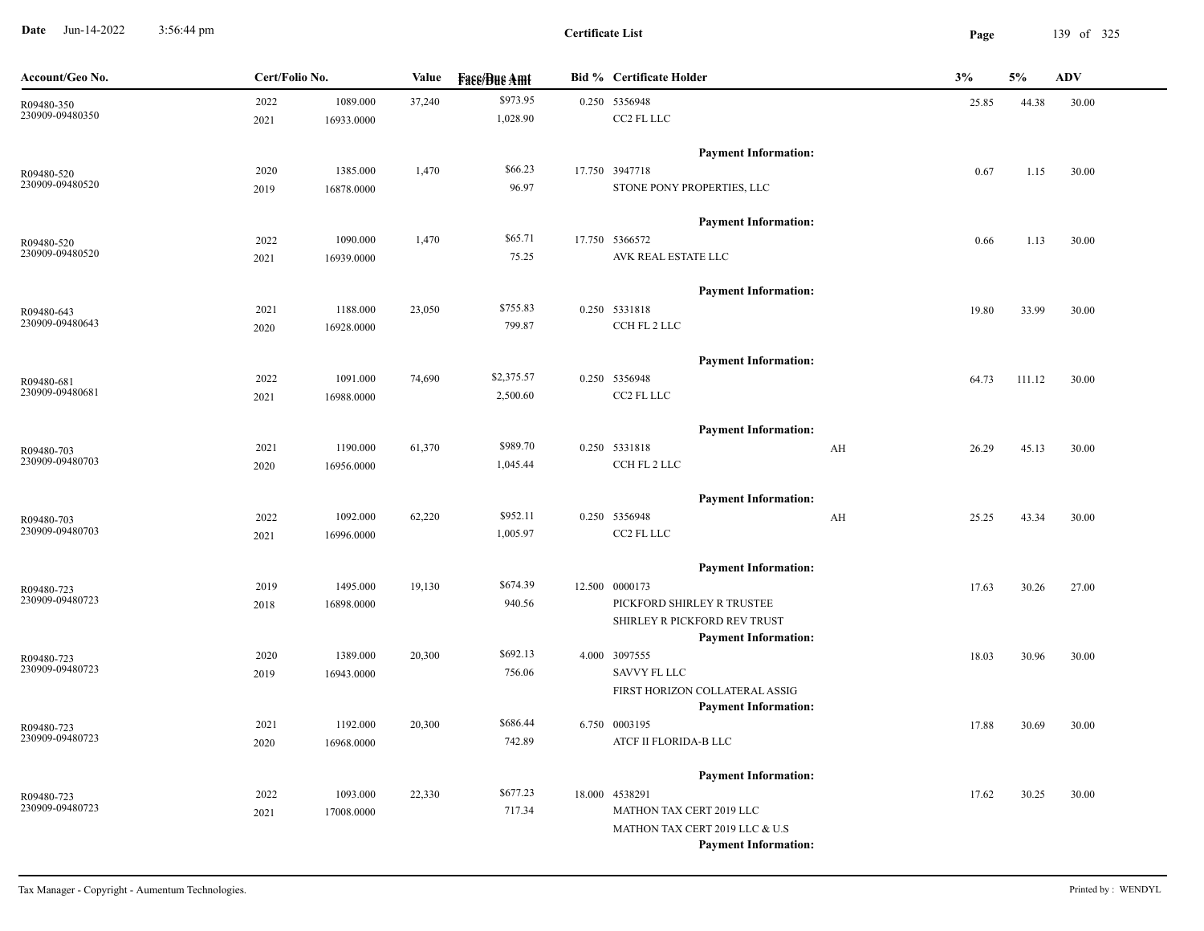**Date** Jun-14-2022 3:56:44 pm **Page** 139 of 325 3:56:44 pm

| Account/Geo No.               | Cert/Folio No. |            | Value  | <b>Face/Bue Amt</b> | <b>Bid % Certificate Holder</b>                               | 3%    | 5%     | <b>ADV</b> |
|-------------------------------|----------------|------------|--------|---------------------|---------------------------------------------------------------|-------|--------|------------|
| R09480-350                    | 2022           | 1089.000   | 37,240 | \$973.95            | 0.250 5356948                                                 | 25.85 | 44.38  | 30.00      |
| 230909-09480350               | 2021           | 16933.0000 |        | 1,028.90            | CC2 FL LLC                                                    |       |        |            |
|                               |                |            |        |                     | <b>Payment Information:</b>                                   |       |        |            |
| R09480-520                    | 2020           | 1385.000   | 1,470  | \$66.23             | 17.750 3947718                                                | 0.67  | 1.15   | 30.00      |
| 230909-09480520               | 2019           | 16878.0000 |        | 96.97               | STONE PONY PROPERTIES, LLC                                    |       |        |            |
|                               |                |            |        |                     | <b>Payment Information:</b>                                   |       |        |            |
| R09480-520                    | 2022           | 1090.000   | 1,470  | \$65.71             | 17.750 5366572                                                | 0.66  | 1.13   | 30.00      |
| 230909-09480520               | 2021           | 16939.0000 |        | 75.25               | AVK REAL ESTATE LLC                                           |       |        |            |
|                               |                |            |        |                     | <b>Payment Information:</b>                                   |       |        |            |
| R09480-643                    | 2021           | 1188.000   | 23,050 | \$755.83            | 0.250 5331818                                                 | 19.80 | 33.99  | 30.00      |
| 230909-09480643               | 2020           | 16928.0000 |        | 799.87              | CCH FL 2 LLC                                                  |       |        |            |
|                               |                |            |        |                     | <b>Payment Information:</b>                                   |       |        |            |
| R09480-681                    | 2022           | 1091.000   | 74,690 | \$2,375.57          | 0.250 5356948                                                 | 64.73 | 111.12 | 30.00      |
| 230909-09480681               | 2021           | 16988.0000 |        | 2,500.60            | CC2 FL LLC                                                    |       |        |            |
|                               |                |            |        |                     | <b>Payment Information:</b>                                   |       |        |            |
| R09480-703                    | 2021           | 1190.000   | 61,370 | \$989.70            | 0.250 5331818<br>AH                                           | 26.29 | 45.13  | 30.00      |
| 230909-09480703               | 2020           | 16956.0000 |        | 1,045.44            | CCH FL 2 LLC                                                  |       |        |            |
|                               |                |            |        |                     | <b>Payment Information:</b>                                   |       |        |            |
| R09480-703                    | 2022           | 1092.000   | 62,220 | \$952.11            | 0.250 5356948<br>AH                                           | 25.25 | 43.34  | 30.00      |
| 230909-09480703               | 2021           | 16996.0000 |        | 1,005.97            | CC2 FL LLC                                                    |       |        |            |
|                               |                |            |        |                     | <b>Payment Information:</b>                                   |       |        |            |
| R09480-723                    | 2019           | 1495.000   | 19,130 | \$674.39            | 12.500 0000173                                                | 17.63 | 30.26  | 27.00      |
| 230909-09480723               | 2018           | 16898.0000 |        | 940.56              | PICKFORD SHIRLEY R TRUSTEE                                    |       |        |            |
|                               |                |            |        |                     | SHIRLEY R PICKFORD REV TRUST                                  |       |        |            |
|                               |                |            |        |                     | <b>Payment Information:</b>                                   |       |        |            |
| R09480-723                    | 2020           | 1389.000   | 20,300 | \$692.13            | 4.000 3097555                                                 | 18.03 | 30.96  | 30.00      |
| 230909-09480723               | 2019           | 16943.0000 |        | 756.06              | <b>SAVVY FL LLC</b>                                           |       |        |            |
|                               |                |            |        |                     | FIRST HORIZON COLLATERAL ASSIG<br><b>Payment Information:</b> |       |        |            |
| R09480-723                    | 2021           | 1192.000   | 20,300 | \$686.44            | 6.750 0003195                                                 | 17.88 | 30.69  | 30.00      |
| 230909-09480723               | 2020           | 16968.0000 |        | 742.89              | ATCF II FLORIDA-B LLC                                         |       |        |            |
|                               |                |            |        |                     |                                                               |       |        |            |
|                               |                |            |        | \$677.23            | <b>Payment Information:</b>                                   |       |        |            |
| R09480-723<br>230909-09480723 | 2022           | 1093.000   | 22,330 | 717.34              | 18.000 4538291<br>MATHON TAX CERT 2019 LLC                    | 17.62 | 30.25  | 30.00      |
|                               | 2021           | 17008.0000 |        |                     | MATHON TAX CERT 2019 LLC & U.S                                |       |        |            |
|                               |                |            |        |                     | <b>Payment Information:</b>                                   |       |        |            |
|                               |                |            |        |                     |                                                               |       |        |            |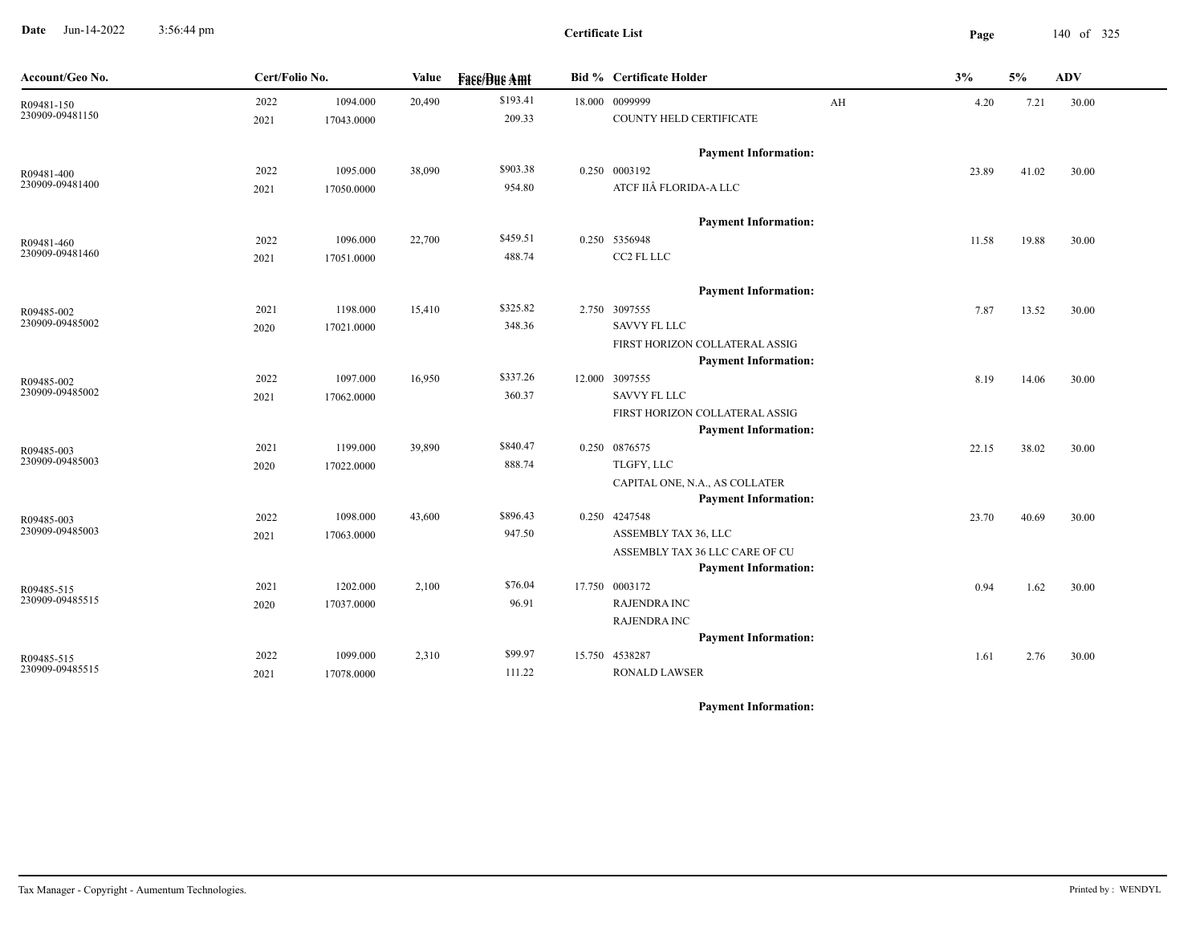**Date** Jun-14-2022 3:56:44 pm **Page** 140 of 325 3:56:44 pm

| Account/Geo No.               | Cert/Folio No. |            | Value  | <b>Face/Bue Amt</b> | Bid % Certificate Holder                                      |    | 3%    | 5%    | <b>ADV</b> |
|-------------------------------|----------------|------------|--------|---------------------|---------------------------------------------------------------|----|-------|-------|------------|
| R09481-150                    | 2022           | 1094.000   | 20,490 | \$193.41            | 18.000 0099999                                                | AH | 4.20  | 7.21  | 30.00      |
| 230909-09481150               | 2021           | 17043.0000 |        | 209.33              | COUNTY HELD CERTIFICATE                                       |    |       |       |            |
|                               |                |            |        |                     | <b>Payment Information:</b>                                   |    |       |       |            |
| R09481-400                    | 2022           | 1095.000   | 38,090 | \$903.38            | 0.250 0003192                                                 |    | 23.89 | 41.02 | 30.00      |
| 230909-09481400               | 2021           | 17050.0000 |        | 954.80              | ATCF IIÂ FLORIDA-A LLC                                        |    |       |       |            |
|                               |                |            |        |                     | <b>Payment Information:</b>                                   |    |       |       |            |
| R09481-460                    | 2022           | 1096.000   | 22,700 | \$459.51            | 0.250 5356948                                                 |    | 11.58 | 19.88 | 30.00      |
| 230909-09481460               | 2021           | 17051.0000 |        | 488.74              | CC2 FL LLC                                                    |    |       |       |            |
|                               |                |            |        |                     | <b>Payment Information:</b>                                   |    |       |       |            |
| R09485-002                    | 2021           | 1198.000   | 15,410 | \$325.82            | 2.750 3097555                                                 |    | 7.87  | 13.52 | 30.00      |
| 230909-09485002               | 2020           | 17021.0000 |        | 348.36              | <b>SAVVY FL LLC</b>                                           |    |       |       |            |
|                               |                |            |        |                     | FIRST HORIZON COLLATERAL ASSIG                                |    |       |       |            |
|                               |                |            |        |                     | <b>Payment Information:</b>                                   |    |       |       |            |
| R09485-002<br>230909-09485002 | 2022           | 1097.000   | 16,950 | \$337.26            | 12.000 3097555                                                |    | 8.19  | 14.06 | 30.00      |
|                               | 2021           | 17062.0000 |        | 360.37              | SAVVY FL LLC                                                  |    |       |       |            |
|                               |                |            |        |                     | FIRST HORIZON COLLATERAL ASSIG<br><b>Payment Information:</b> |    |       |       |            |
|                               | 2021           | 1199.000   | 39,890 | \$840.47            | 0.250 0876575                                                 |    | 22.15 | 38.02 | 30.00      |
| R09485-003<br>230909-09485003 | 2020           | 17022.0000 |        | 888.74              | TLGFY, LLC                                                    |    |       |       |            |
|                               |                |            |        |                     | CAPITAL ONE, N.A., AS COLLATER                                |    |       |       |            |
|                               |                |            |        |                     | <b>Payment Information:</b>                                   |    |       |       |            |
| R09485-003                    | 2022           | 1098.000   | 43,600 | \$896.43            | 0.250 4247548                                                 |    | 23.70 | 40.69 | 30.00      |
| 230909-09485003               | 2021           | 17063.0000 |        | 947.50              | ASSEMBLY TAX 36, LLC                                          |    |       |       |            |
|                               |                |            |        |                     | ASSEMBLY TAX 36 LLC CARE OF CU                                |    |       |       |            |
|                               |                |            |        |                     | <b>Payment Information:</b>                                   |    |       |       |            |
| R09485-515<br>230909-09485515 | 2021           | 1202.000   | 2,100  | \$76.04             | 17.750 0003172                                                |    | 0.94  | 1.62  | 30.00      |
|                               | 2020           | 17037.0000 |        | 96.91               | <b>RAJENDRA INC</b>                                           |    |       |       |            |
|                               |                |            |        |                     | <b>RAJENDRA INC</b><br><b>Payment Information:</b>            |    |       |       |            |
|                               | 2022           | 1099.000   | 2,310  | \$99.97             | 15.750 4538287                                                |    |       |       |            |
| R09485-515<br>230909-09485515 | 2021           | 17078.0000 |        | 111.22              | <b>RONALD LAWSER</b>                                          |    | 1.61  | 2.76  | 30.00      |
|                               |                |            |        |                     |                                                               |    |       |       |            |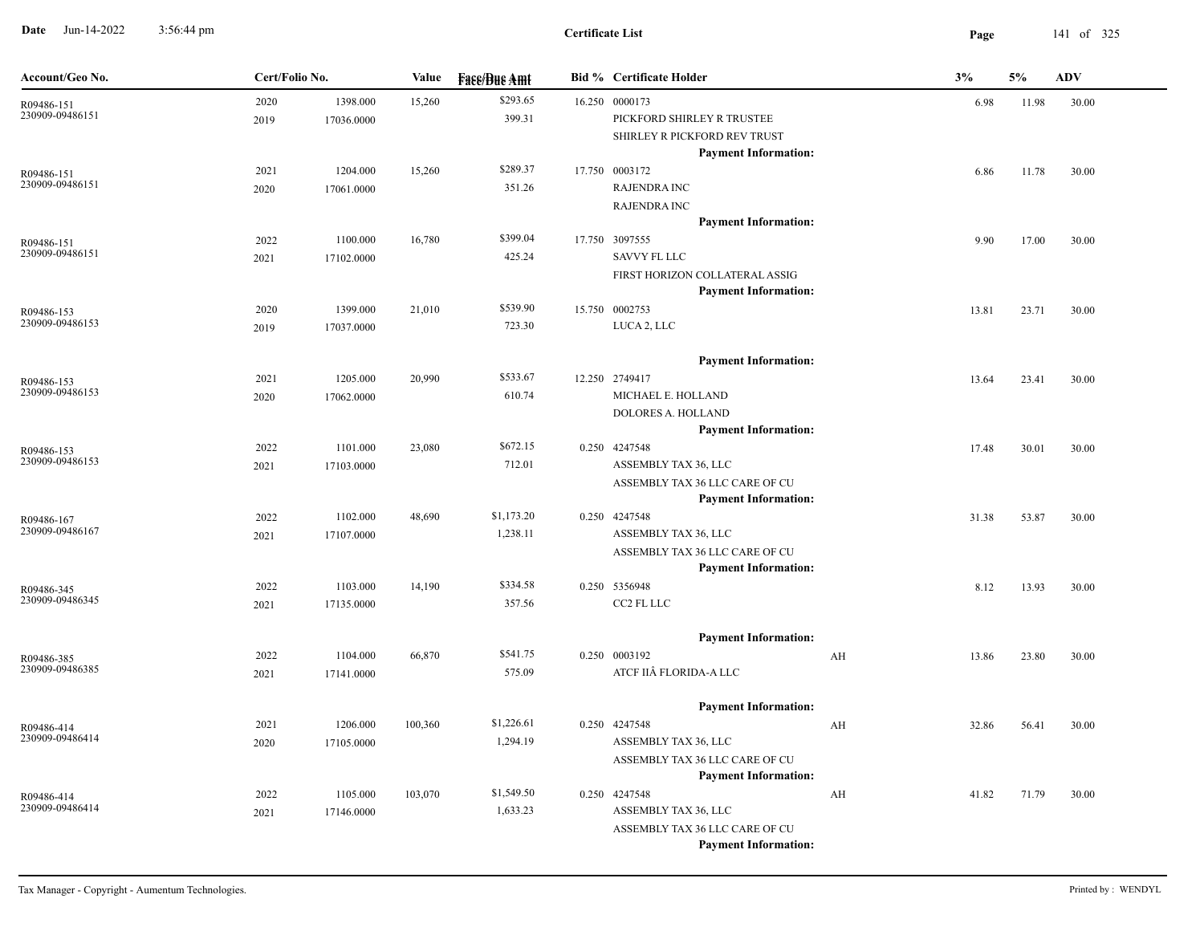**Date** Jun-14-2022 3:56:44 pm **Page** 141 of 325 3:56:44 pm

| Account/Geo No.               | Cert/Folio No. |                        | Value   | <b>Face/Bue Amt</b>    | <b>Bid % Certificate Holder</b>                                                                        |    | 3%    | 5%    | <b>ADV</b> |
|-------------------------------|----------------|------------------------|---------|------------------------|--------------------------------------------------------------------------------------------------------|----|-------|-------|------------|
| R09486-151<br>230909-09486151 | 2020<br>2019   | 1398.000<br>17036.0000 | 15,260  | \$293.65<br>399.31     | 16.250 0000173<br>PICKFORD SHIRLEY R TRUSTEE<br>SHIRLEY R PICKFORD REV TRUST                           |    | 6.98  | 11.98 | 30.00      |
| R09486-151<br>230909-09486151 | 2021<br>2020   | 1204.000<br>17061.0000 | 15,260  | \$289.37<br>351.26     | <b>Payment Information:</b><br>17.750 0003172<br><b>RAJENDRA INC</b><br><b>RAJENDRA INC</b>            |    | 6.86  | 11.78 | 30.00      |
| R09486-151<br>230909-09486151 | 2022<br>2021   | 1100.000<br>17102.0000 | 16,780  | \$399.04<br>425.24     | <b>Payment Information:</b><br>17.750 3097555<br><b>SAVVY FL LLC</b>                                   |    | 9.90  | 17.00 | 30.00      |
| R09486-153<br>230909-09486153 | 2020<br>2019   | 1399.000<br>17037.0000 | 21,010  | \$539.90<br>723.30     | FIRST HORIZON COLLATERAL ASSIG<br><b>Payment Information:</b><br>15.750 0002753<br>LUCA 2, LLC         |    | 13.81 | 23.71 | 30.00      |
| R09486-153<br>230909-09486153 | 2021<br>2020   | 1205.000<br>17062.0000 | 20,990  | \$533.67<br>610.74     | <b>Payment Information:</b><br>12.250 2749417<br>MICHAEL E. HOLLAND                                    |    | 13.64 | 23.41 | 30.00      |
| R09486-153<br>230909-09486153 | 2022<br>2021   | 1101.000<br>17103.0000 | 23,080  | \$672.15<br>712.01     | DOLORES A. HOLLAND<br><b>Payment Information:</b><br>0.250 4247548<br>ASSEMBLY TAX 36, LLC             |    | 17.48 | 30.01 | 30.00      |
| R09486-167<br>230909-09486167 | 2022<br>2021   | 1102.000<br>17107.0000 | 48,690  | \$1,173.20<br>1,238.11 | ASSEMBLY TAX 36 LLC CARE OF CU<br><b>Payment Information:</b><br>0.250 4247548<br>ASSEMBLY TAX 36, LLC |    | 31.38 | 53.87 | 30.00      |
| R09486-345<br>230909-09486345 | 2022<br>2021   | 1103.000<br>17135.0000 | 14,190  | \$334.58<br>357.56     | ASSEMBLY TAX 36 LLC CARE OF CU<br><b>Payment Information:</b><br>0.250 5356948<br>CC2 FL LLC           |    | 8.12  | 13.93 | 30.00      |
| R09486-385                    | 2022           | 1104.000               | 66,870  | \$541.75               | <b>Payment Information:</b><br>0.250 0003192                                                           | AH | 13.86 | 23.80 | 30.00      |
| 230909-09486385               | 2021           | 17141.0000             |         | 575.09<br>\$1,226.61   | ATCF IIÂ FLORIDA-A LLC<br><b>Payment Information:</b>                                                  |    |       |       |            |
| R09486-414<br>230909-09486414 | 2021<br>2020   | 1206.000<br>17105.0000 | 100,360 | 1,294.19               | 0.250 4247548<br>ASSEMBLY TAX 36, LLC<br>ASSEMBLY TAX 36 LLC CARE OF CU<br><b>Payment Information:</b> | AH | 32.86 | 56.41 | 30.00      |
| R09486-414<br>230909-09486414 | 2022<br>2021   | 1105.000<br>17146.0000 | 103,070 | \$1,549.50<br>1,633.23 | 0.250 4247548<br>ASSEMBLY TAX 36, LLC<br>ASSEMBLY TAX 36 LLC CARE OF CU<br><b>Payment Information:</b> | AH | 41.82 | 71.79 | 30.00      |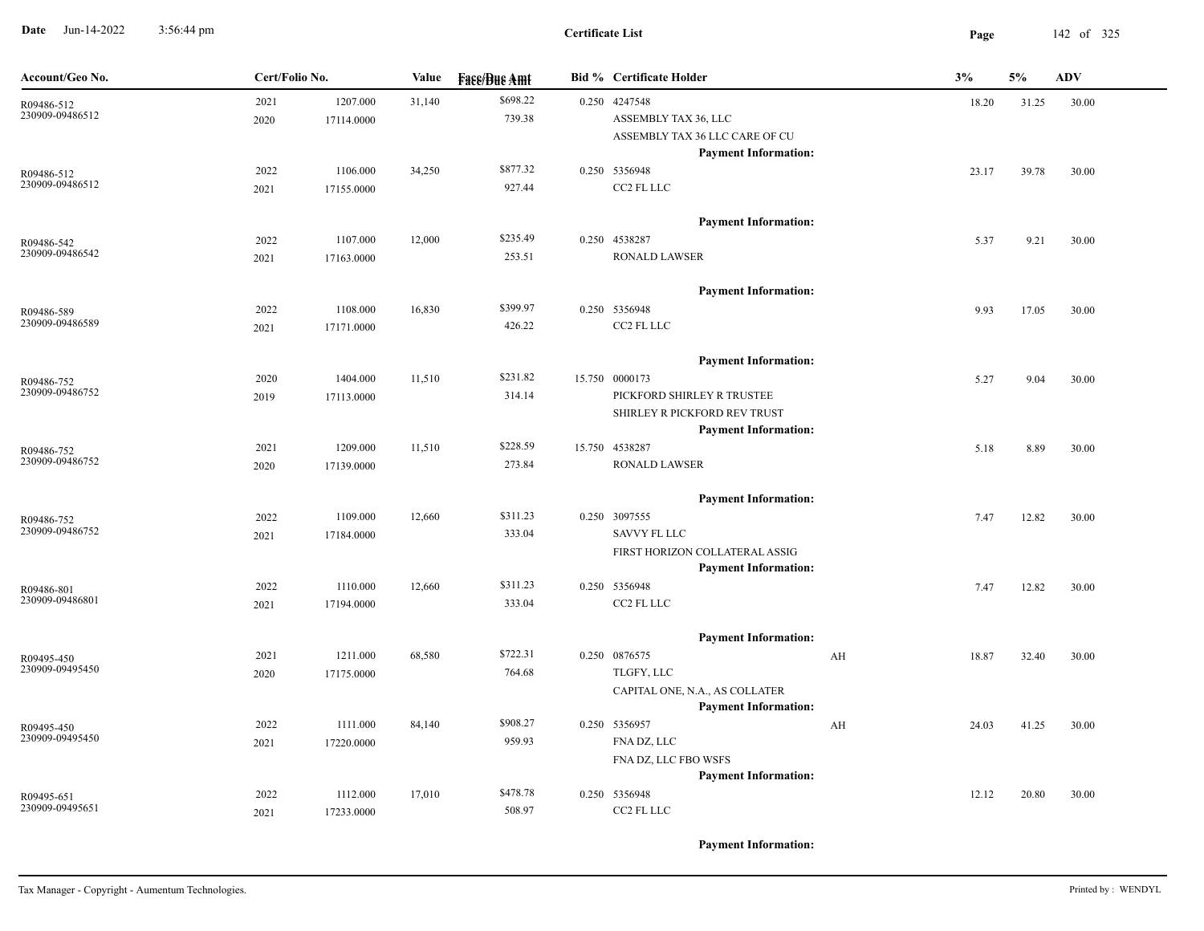**Date** Jun-14-2022 3:56:44 pm **Page** 142 of 325 3:56:44 pm

| Account/Geo No.               | Cert/Folio No. |            | Value  | <b>Face/Bue Amt</b> | <b>Bid % Certificate Holder</b>              |    | 3%    | 5%    | <b>ADV</b> |
|-------------------------------|----------------|------------|--------|---------------------|----------------------------------------------|----|-------|-------|------------|
| R09486-512                    | 2021           | 1207.000   | 31,140 | \$698.22            | 0.250 4247548                                |    | 18.20 | 31.25 | 30.00      |
| 230909-09486512               | 2020           | 17114.0000 |        | 739.38              | ASSEMBLY TAX 36, LLC                         |    |       |       |            |
|                               |                |            |        |                     | ASSEMBLY TAX 36 LLC CARE OF CU               |    |       |       |            |
|                               |                |            |        |                     | <b>Payment Information:</b>                  |    |       |       |            |
| R09486-512                    | 2022           | 1106.000   | 34,250 | \$877.32            | 0.250 5356948                                |    | 23.17 | 39.78 | 30.00      |
| 230909-09486512               | 2021           | 17155.0000 |        | 927.44              | CC2 FL LLC                                   |    |       |       |            |
|                               |                |            |        |                     |                                              |    |       |       |            |
|                               |                |            |        |                     | <b>Payment Information:</b>                  |    |       |       |            |
| R09486-542<br>230909-09486542 | 2022           | 1107.000   | 12,000 | \$235.49            | 0.250 4538287                                |    | 5.37  | 9.21  | 30.00      |
|                               | 2021           | 17163.0000 |        | 253.51              | <b>RONALD LAWSER</b>                         |    |       |       |            |
|                               |                |            |        |                     | <b>Payment Information:</b>                  |    |       |       |            |
|                               | 2022           | 1108.000   | 16,830 | \$399.97            | 0.250 5356948                                |    | 9.93  | 17.05 | 30.00      |
| R09486-589<br>230909-09486589 | 2021           | 17171.0000 |        | 426.22              | CC2 FL LLC                                   |    |       |       |            |
|                               |                |            |        |                     |                                              |    |       |       |            |
|                               |                |            |        |                     | <b>Payment Information:</b>                  |    |       |       |            |
| R09486-752                    | 2020           | 1404.000   | 11,510 | \$231.82            | 15.750 0000173                               |    | 5.27  | 9.04  | 30.00      |
| 230909-09486752               | 2019           | 17113.0000 |        | 314.14              | PICKFORD SHIRLEY R TRUSTEE                   |    |       |       |            |
|                               |                |            |        |                     | SHIRLEY R PICKFORD REV TRUST                 |    |       |       |            |
|                               |                |            |        |                     | <b>Payment Information:</b>                  |    |       |       |            |
| R09486-752                    | 2021           | 1209.000   | 11,510 | \$228.59            | 15.750 4538287                               |    | 5.18  | 8.89  | 30.00      |
| 230909-09486752               | 2020           | 17139.0000 |        | 273.84              | <b>RONALD LAWSER</b>                         |    |       |       |            |
|                               |                |            |        |                     |                                              |    |       |       |            |
|                               |                |            |        |                     | <b>Payment Information:</b>                  |    |       |       |            |
| R09486-752<br>230909-09486752 | 2022           | 1109.000   | 12,660 | \$311.23            | 0.250 3097555                                |    | 7.47  | 12.82 | 30.00      |
|                               | 2021           | 17184.0000 |        | 333.04              | <b>SAVVY FL LLC</b>                          |    |       |       |            |
|                               |                |            |        |                     | FIRST HORIZON COLLATERAL ASSIG               |    |       |       |            |
|                               |                |            |        | \$311.23            | <b>Payment Information:</b><br>0.250 5356948 |    |       |       |            |
| R09486-801<br>230909-09486801 | 2022           | 1110.000   | 12,660 | 333.04              | CC2 FL LLC                                   |    | 7.47  | 12.82 | 30.00      |
|                               | 2021           | 17194.0000 |        |                     |                                              |    |       |       |            |
|                               |                |            |        |                     | <b>Payment Information:</b>                  |    |       |       |            |
| R09495-450                    | 2021           | 1211.000   | 68,580 | \$722.31            | 0.250 0876575                                | AH | 18.87 | 32.40 | 30.00      |
| 230909-09495450               | 2020           | 17175.0000 |        | 764.68              | TLGFY, LLC                                   |    |       |       |            |
|                               |                |            |        |                     | CAPITAL ONE, N.A., AS COLLATER               |    |       |       |            |
|                               |                |            |        |                     | <b>Payment Information:</b>                  |    |       |       |            |
| R09495-450                    | 2022           | 1111.000   | 84,140 | \$908.27            | 0.250 5356957                                | AH | 24.03 | 41.25 | 30.00      |
| 230909-09495450               | 2021           | 17220.0000 |        | 959.93              | FNA DZ, LLC                                  |    |       |       |            |
|                               |                |            |        |                     | FNA DZ, LLC FBO WSFS                         |    |       |       |            |
|                               |                |            |        |                     | <b>Payment Information:</b>                  |    |       |       |            |
| R09495-651                    | 2022           | 1112.000   | 17,010 | \$478.78            | 0.250 5356948                                |    | 12.12 | 20.80 | 30.00      |
| 230909-09495651               | 2021           | 17233.0000 |        | 508.97              | CC2 FL LLC                                   |    |       |       |            |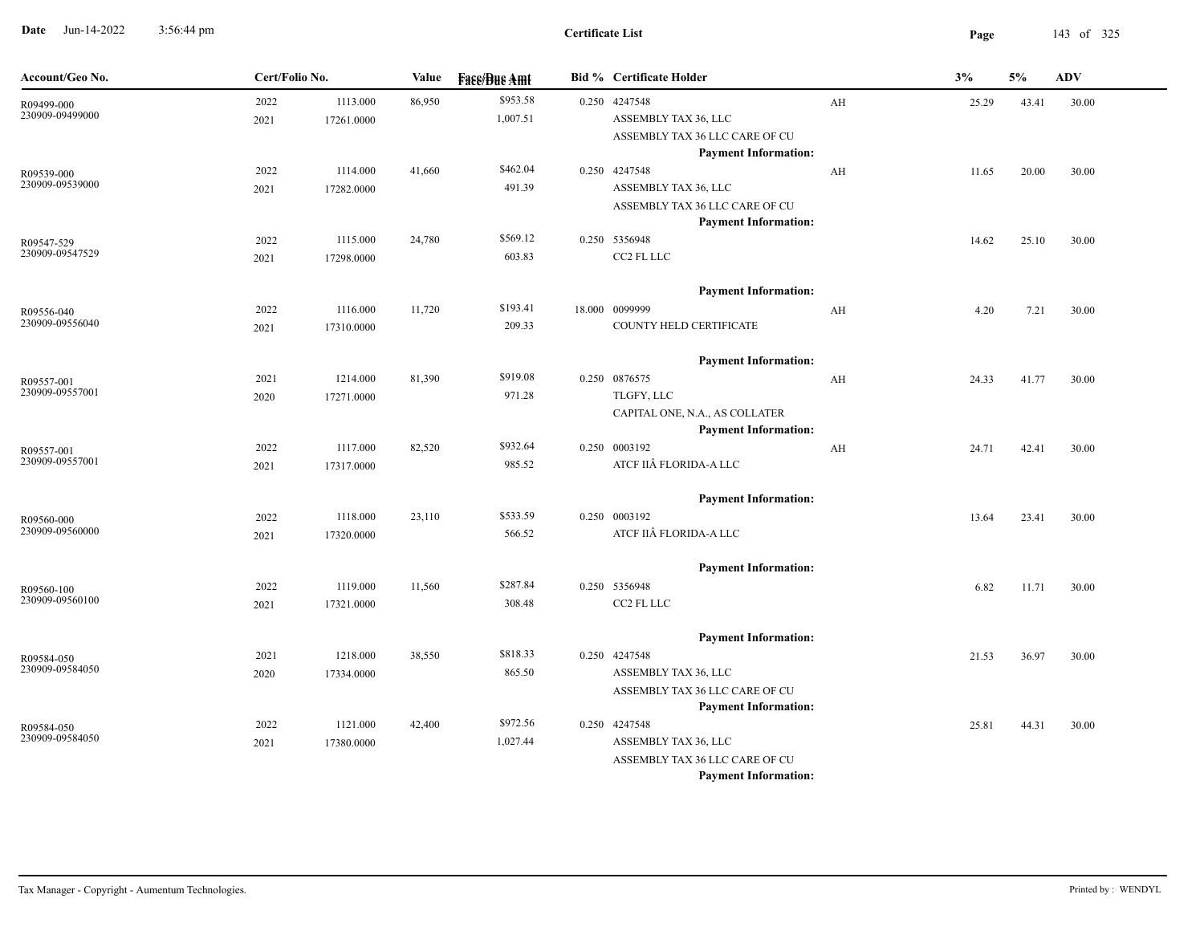**Date** Jun-14-2022 3:56:44 pm **Page** 143 of 325 3:56:44 pm

|              |                        | Value                                                | <b>Fass/Bus Amt</b>  |                                          | <b>Bid % Certificate Holder</b>                        |                                                                                                                                                                                                                                                             | 3%                                                                                                                                                                                                                                                                                                                       | 5%             | ADV            |
|--------------|------------------------|------------------------------------------------------|----------------------|------------------------------------------|--------------------------------------------------------|-------------------------------------------------------------------------------------------------------------------------------------------------------------------------------------------------------------------------------------------------------------|--------------------------------------------------------------------------------------------------------------------------------------------------------------------------------------------------------------------------------------------------------------------------------------------------------------------------|----------------|----------------|
| 2022<br>2021 | 1113.000<br>17261.0000 | 86,950                                               | \$953.58<br>1,007.51 |                                          | ASSEMBLY TAX 36, LLC                                   | AH                                                                                                                                                                                                                                                          | 25.29                                                                                                                                                                                                                                                                                                                    | 43.41          | 30.00          |
| 2022         | 1114.000               | 41,660                                               | \$462.04             |                                          |                                                        | AH                                                                                                                                                                                                                                                          | 11.65                                                                                                                                                                                                                                                                                                                    | 20.00          | 30.00          |
|              |                        |                                                      |                      |                                          | ASSEMBLY TAX 36 LLC CARE OF CU                         |                                                                                                                                                                                                                                                             |                                                                                                                                                                                                                                                                                                                          |                |                |
| 2021         | 17298.0000             |                                                      | 603.83               |                                          | CC2 FL LLC                                             |                                                                                                                                                                                                                                                             |                                                                                                                                                                                                                                                                                                                          |                | 30.00          |
| 2022<br>2021 | 1116.000<br>17310.0000 | 11,720                                               | \$193.41<br>209.33   |                                          | COUNTY HELD CERTIFICATE                                | AH                                                                                                                                                                                                                                                          | 4.20                                                                                                                                                                                                                                                                                                                     | 7.21           | 30.00          |
|              |                        |                                                      |                      |                                          |                                                        |                                                                                                                                                                                                                                                             |                                                                                                                                                                                                                                                                                                                          |                | 30.00          |
| 2020         | 17271.0000             |                                                      | 971.28               |                                          | TLGFY, LLC<br>CAPITAL ONE, N.A., AS COLLATER           |                                                                                                                                                                                                                                                             |                                                                                                                                                                                                                                                                                                                          |                |                |
| 2022<br>2021 | 1117.000<br>17317.0000 | 82,520                                               | \$932.64<br>985.52   |                                          | ATCF IIÂ FLORIDA-A LLC                                 | AH                                                                                                                                                                                                                                                          | 24.71                                                                                                                                                                                                                                                                                                                    | 42.41          | 30.00          |
| 2022         | 1118.000               | 23,110                                               | \$533.59             |                                          |                                                        |                                                                                                                                                                                                                                                             | 13.64                                                                                                                                                                                                                                                                                                                    | 23.41          | 30.00          |
| 2021         | 17320.0000             |                                                      |                      |                                          |                                                        |                                                                                                                                                                                                                                                             |                                                                                                                                                                                                                                                                                                                          |                |                |
| 2022<br>2021 | 1119.000<br>17321.0000 | 11,560                                               | \$287.84<br>308.48   |                                          | CC2 FL LLC                                             |                                                                                                                                                                                                                                                             | 6.82                                                                                                                                                                                                                                                                                                                     | 11.71          | 30.00          |
| 2021         | 1218.000               | 38,550                                               | \$818.33             |                                          |                                                        |                                                                                                                                                                                                                                                             | 21.53                                                                                                                                                                                                                                                                                                                    | 36.97          | 30.00          |
| 2020         | 17334.0000             |                                                      | 865.50               |                                          | ASSEMBLY TAX 36, LLC<br>ASSEMBLY TAX 36 LLC CARE OF CU |                                                                                                                                                                                                                                                             |                                                                                                                                                                                                                                                                                                                          |                |                |
| 2022<br>2021 | 1121.000<br>17380.0000 | 42,400                                               | \$972.56<br>1,027.44 |                                          | ASSEMBLY TAX 36, LLC<br>ASSEMBLY TAX 36 LLC CARE OF CU |                                                                                                                                                                                                                                                             | 25.81                                                                                                                                                                                                                                                                                                                    | 44.31          | 30.00          |
|              | 2021<br>2022<br>2021   | Cert/Folio No.<br>17282.0000<br>1115.000<br>1214.000 | 24,780<br>81,390     | 491.39<br>\$569.12<br>\$919.08<br>566.52 |                                                        | 0.250 4247548<br>ASSEMBLY TAX 36 LLC CARE OF CU<br>0.250 4247548<br>ASSEMBLY TAX 36, LLC<br>0.250 5356948<br>18.000 0099999<br>0.250 0876575<br>0.250 0003192<br>0.250 0003192<br>ATCF IIÂ FLORIDA-A LLC<br>0.250 5356948<br>0.250 4247548<br>0.250 4247548 | <b>Payment Information:</b><br><b>Payment Information:</b><br><b>Payment Information:</b><br><b>Payment Information:</b><br>AH<br><b>Payment Information:</b><br><b>Payment Information:</b><br><b>Payment Information:</b><br><b>Payment Information:</b><br><b>Payment Information:</b><br><b>Payment Information:</b> | 14.62<br>24.33 | 25.10<br>41.77 |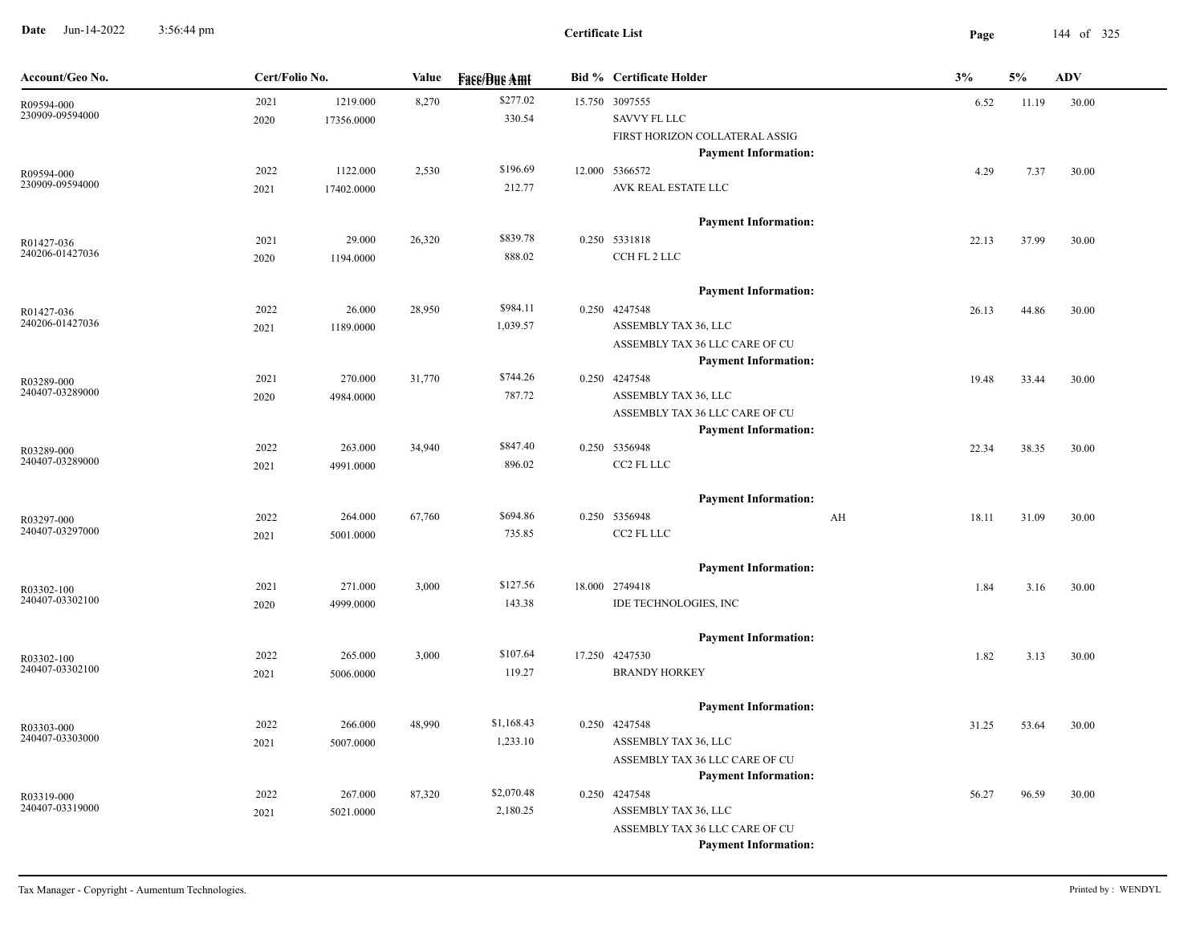**Date** Jun-14-2022 3:56:44 pm **Page** 144 of 325 3:56:44 pm

| Account/Geo No.               | Cert/Folio No. |            | Value  | <b>Face/Bue Amt</b> |  | <b>Bid % Certificate Holder</b>              |    | 3%    | 5%    | ADV   |
|-------------------------------|----------------|------------|--------|---------------------|--|----------------------------------------------|----|-------|-------|-------|
| R09594-000                    | 2021           | 1219.000   | 8,270  | \$277.02            |  | 15.750 3097555                               |    | 6.52  | 11.19 | 30.00 |
| 230909-09594000               | 2020           | 17356.0000 |        | 330.54              |  | SAVVY FL LLC                                 |    |       |       |       |
|                               |                |            |        |                     |  | FIRST HORIZON COLLATERAL ASSIG               |    |       |       |       |
|                               |                |            |        |                     |  | <b>Payment Information:</b>                  |    |       |       |       |
| R09594-000                    | 2022           | 1122.000   | 2,530  | \$196.69            |  | 12.000 5366572                               |    | 4.29  | 7.37  | 30.00 |
| 230909-09594000               | 2021           | 17402.0000 |        | 212.77              |  | AVK REAL ESTATE LLC                          |    |       |       |       |
|                               |                |            |        |                     |  | <b>Payment Information:</b>                  |    |       |       |       |
| R01427-036                    | 2021           | 29.000     | 26,320 | \$839.78            |  | 0.250 5331818                                |    | 22.13 | 37.99 | 30.00 |
| 240206-01427036               | 2020           | 1194.0000  |        | 888.02              |  | CCH FL 2 LLC                                 |    |       |       |       |
|                               |                |            |        |                     |  |                                              |    |       |       |       |
|                               | 2022           | 26.000     | 28,950 | \$984.11            |  | <b>Payment Information:</b><br>0.250 4247548 |    | 26.13 | 44.86 | 30.00 |
| R01427-036<br>240206-01427036 | 2021           | 1189.0000  |        | 1,039.57            |  | ASSEMBLY TAX 36, LLC                         |    |       |       |       |
|                               |                |            |        |                     |  | ASSEMBLY TAX 36 LLC CARE OF CU               |    |       |       |       |
|                               |                |            |        |                     |  | <b>Payment Information:</b>                  |    |       |       |       |
| R03289-000                    | 2021           | 270.000    | 31,770 | \$744.26            |  | 0.250 4247548                                |    | 19.48 | 33.44 | 30.00 |
| 240407-03289000               | 2020           | 4984.0000  |        | 787.72              |  | ASSEMBLY TAX 36, LLC                         |    |       |       |       |
|                               |                |            |        |                     |  | ASSEMBLY TAX 36 LLC CARE OF CU               |    |       |       |       |
|                               |                |            |        |                     |  | <b>Payment Information:</b>                  |    |       |       |       |
| R03289-000<br>240407-03289000 | 2022           | 263.000    | 34,940 | \$847.40            |  | 0.250 5356948                                |    | 22.34 | 38.35 | 30.00 |
|                               | 2021           | 4991.0000  |        | 896.02              |  | CC2 FL LLC                                   |    |       |       |       |
|                               |                |            |        |                     |  | <b>Payment Information:</b>                  |    |       |       |       |
| R03297-000                    | 2022           | 264.000    | 67,760 | \$694.86            |  | 0.250 5356948                                | AH | 18.11 | 31.09 | 30.00 |
| 240407-03297000               | 2021           | 5001.0000  |        | 735.85              |  | CC2 FL LLC                                   |    |       |       |       |
|                               |                |            |        |                     |  |                                              |    |       |       |       |
|                               |                |            |        |                     |  | <b>Payment Information:</b>                  |    |       |       |       |
| R03302-100<br>240407-03302100 | 2021           | 271.000    | 3,000  | \$127.56<br>143.38  |  | 18.000 2749418<br>IDE TECHNOLOGIES, INC      |    | 1.84  | 3.16  | 30.00 |
|                               | 2020           | 4999.0000  |        |                     |  |                                              |    |       |       |       |
|                               |                |            |        |                     |  | <b>Payment Information:</b>                  |    |       |       |       |
| R03302-100                    | 2022           | 265.000    | 3,000  | \$107.64            |  | 17.250 4247530                               |    | 1.82  | 3.13  | 30.00 |
| 240407-03302100               | 2021           | 5006.0000  |        | 119.27              |  | <b>BRANDY HORKEY</b>                         |    |       |       |       |
|                               |                |            |        |                     |  | <b>Payment Information:</b>                  |    |       |       |       |
| R03303-000                    | 2022           | 266.000    | 48,990 | \$1,168.43          |  | 0.250 4247548                                |    | 31.25 | 53.64 | 30.00 |
| 240407-03303000               | 2021           | 5007.0000  |        | 1,233.10            |  | ASSEMBLY TAX 36, LLC                         |    |       |       |       |
|                               |                |            |        |                     |  | ASSEMBLY TAX 36 LLC CARE OF CU               |    |       |       |       |
|                               |                |            |        |                     |  | <b>Payment Information:</b>                  |    |       |       |       |
| R03319-000                    | 2022           | 267.000    | 87,320 | \$2,070.48          |  | 0.250 4247548                                |    | 56.27 | 96.59 | 30.00 |
| 240407-03319000               | 2021           | 5021.0000  |        | 2,180.25            |  | ASSEMBLY TAX 36, LLC                         |    |       |       |       |
|                               |                |            |        |                     |  | ASSEMBLY TAX 36 LLC CARE OF CU               |    |       |       |       |
|                               |                |            |        |                     |  | <b>Payment Information:</b>                  |    |       |       |       |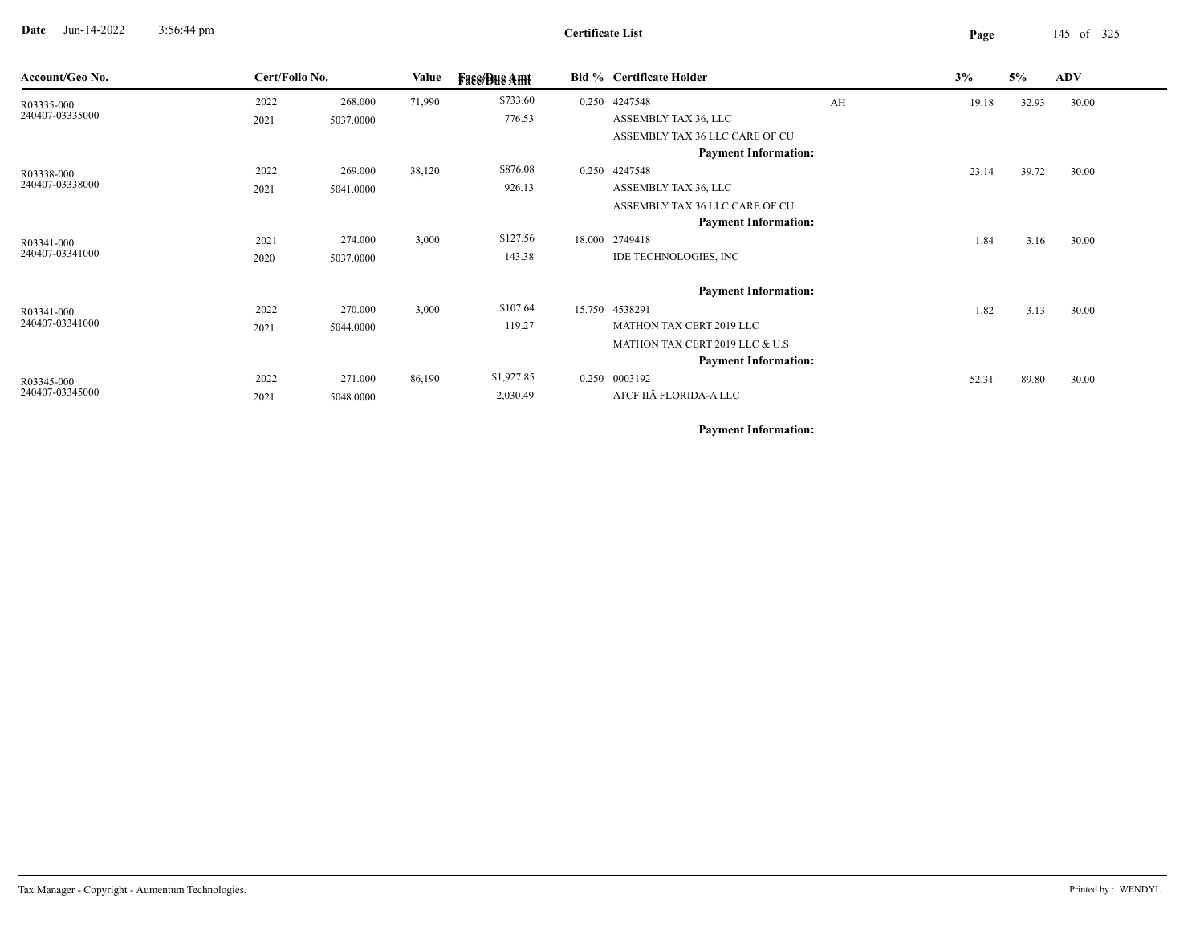**Date** Jun-14-2022 3:56:44 pm **Page** 145 of 325 3:56:44 pm

| Account/Geo No. | Cert/Folio No. |           | Value  | <b>Face/Bue Amt</b> | <b>Bid % Certificate Holder</b> |    | 3%    | 5%    | <b>ADV</b> |
|-----------------|----------------|-----------|--------|---------------------|---------------------------------|----|-------|-------|------------|
| R03335-000      | 2022           | 268.000   | 71,990 | \$733.60            | 0.250 4247548                   | AH | 19.18 | 32.93 | 30.00      |
| 240407-03335000 | 2021           | 5037.0000 |        | 776.53              | ASSEMBLY TAX 36, LLC            |    |       |       |            |
|                 |                |           |        |                     | ASSEMBLY TAX 36 LLC CARE OF CU  |    |       |       |            |
|                 |                |           |        |                     | <b>Payment Information:</b>     |    |       |       |            |
| R03338-000      | 2022           | 269.000   | 38,120 | \$876.08            | 0.250 4247548                   |    | 23.14 | 39.72 | 30.00      |
| 240407-03338000 | 2021           | 5041.0000 |        | 926.13              | ASSEMBLY TAX 36, LLC            |    |       |       |            |
|                 |                |           |        |                     | ASSEMBLY TAX 36 LLC CARE OF CU  |    |       |       |            |
|                 |                |           |        |                     | <b>Payment Information:</b>     |    |       |       |            |
| R03341-000      | 2021           | 274.000   | 3,000  | \$127.56            | 18.000 2749418                  |    | 1.84  | 3.16  | 30.00      |
| 240407-03341000 | 2020           | 5037.0000 |        | 143.38              | IDE TECHNOLOGIES, INC           |    |       |       |            |
|                 |                |           |        |                     | <b>Payment Information:</b>     |    |       |       |            |
| R03341-000      | 2022           | 270.000   | 3,000  | \$107.64            | 15.750 4538291                  |    | 1.82  | 3.13  | 30.00      |
| 240407-03341000 | 2021           | 5044.0000 |        | 119.27              | MATHON TAX CERT 2019 LLC        |    |       |       |            |
|                 |                |           |        |                     | MATHON TAX CERT 2019 LLC & U.S  |    |       |       |            |
|                 |                |           |        |                     | <b>Payment Information:</b>     |    |       |       |            |
| R03345-000      | 2022           | 271.000   | 86,190 | \$1,927.85          | 0.250 0003192                   |    | 52.31 | 89.80 | 30.00      |
| 240407-03345000 | 2021           | 5048.0000 |        | 2,030.49            | ATCF IIÂ FLORIDA-A LLC          |    |       |       |            |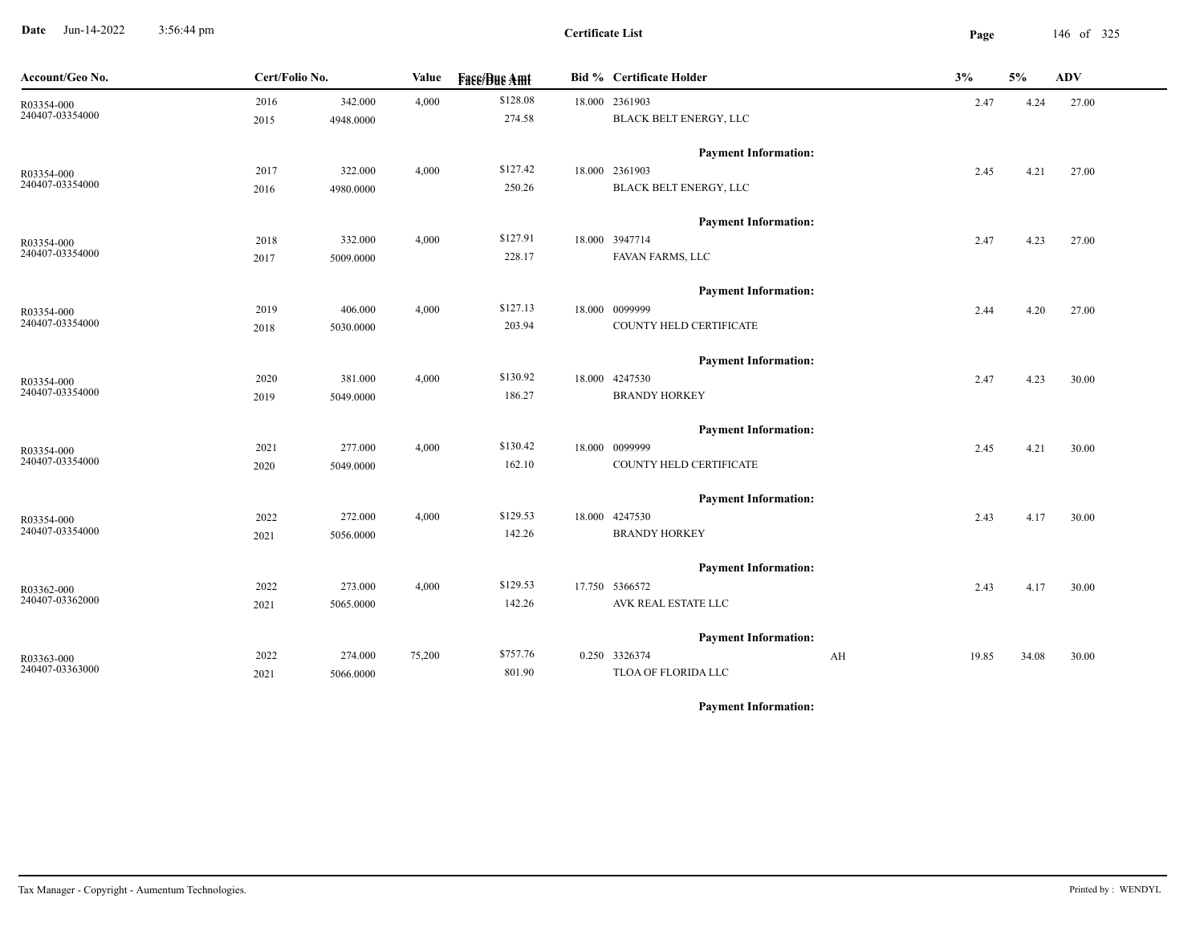**Date** Jun-14-2022 3:56:44 pm **Page** 146 of 325 3:56:44 pm

| Account/Geo No.               | Cert/Folio No. |           | Value  | <b>Fase/Bue Amt</b> | <b>Bid % Certificate Holder</b> | 3%          | 5%    | <b>ADV</b> |
|-------------------------------|----------------|-----------|--------|---------------------|---------------------------------|-------------|-------|------------|
| R03354-000                    | 2016           | 342.000   | 4,000  | \$128.08            | 18.000 2361903                  | 2.47        | 4.24  | 27.00      |
| 240407-03354000               | 2015           | 4948.0000 |        | 274.58              | BLACK BELT ENERGY, LLC          |             |       |            |
|                               |                |           |        |                     | <b>Payment Information:</b>     |             |       |            |
| R03354-000<br>240407-03354000 | 2017           | 322.000   | 4,000  | \$127.42            | 18.000 2361903                  | 2.45        | 4.21  | 27.00      |
|                               | 2016           | 4980.0000 |        | 250.26              | BLACK BELT ENERGY, LLC          |             |       |            |
|                               |                |           |        |                     | <b>Payment Information:</b>     |             |       |            |
| R03354-000                    | 2018           | 332.000   | 4,000  | \$127.91            | 18.000 3947714                  | 2.47        | 4.23  | 27.00      |
| 240407-03354000               | 2017           | 5009.0000 |        | 228.17              | FAVAN FARMS, LLC                |             |       |            |
|                               |                |           |        |                     | <b>Payment Information:</b>     |             |       |            |
| R03354-000                    | 2019           | 406.000   | 4,000  | \$127.13            | 18.000 0099999                  | 2.44        | 4.20  | 27.00      |
| 240407-03354000               | 2018           | 5030.0000 |        | 203.94              | COUNTY HELD CERTIFICATE         |             |       |            |
|                               |                |           |        |                     | <b>Payment Information:</b>     |             |       |            |
| R03354-000                    | 2020           | 381.000   | 4,000  | \$130.92            | 18.000 4247530                  | 2.47        | 4.23  | 30.00      |
| 240407-03354000               | 2019           | 5049.0000 |        | 186.27              | <b>BRANDY HORKEY</b>            |             |       |            |
|                               |                |           |        |                     | <b>Payment Information:</b>     |             |       |            |
| R03354-000                    | 2021           | 277.000   | 4,000  | \$130.42            | 18.000 0099999                  | 2.45        | 4.21  | 30.00      |
| 240407-03354000               | 2020           | 5049.0000 |        | 162.10              | COUNTY HELD CERTIFICATE         |             |       |            |
|                               |                |           |        |                     | <b>Payment Information:</b>     |             |       |            |
| R03354-000                    | 2022           | 272.000   | 4,000  | \$129.53            | 18.000 4247530                  | 2.43        | 4.17  | 30.00      |
| 240407-03354000               | 2021           | 5056.0000 |        | 142.26              | <b>BRANDY HORKEY</b>            |             |       |            |
|                               |                |           |        |                     | <b>Payment Information:</b>     |             |       |            |
| R03362-000                    | 2022           | 273.000   | 4,000  | \$129.53            | 17.750 5366572                  | 2.43        | 4.17  | 30.00      |
| 240407-03362000               | 2021           | 5065.0000 |        | 142.26              | AVK REAL ESTATE LLC             |             |       |            |
|                               |                |           |        |                     | <b>Payment Information:</b>     |             |       |            |
| R03363-000                    | 2022           | 274.000   | 75,200 | \$757.76            | 0.250 3326374                   | AH<br>19.85 | 34.08 | 30.00      |
| 240407-03363000               | 2021           | 5066.0000 |        | 801.90              | TLOA OF FLORIDA LLC             |             |       |            |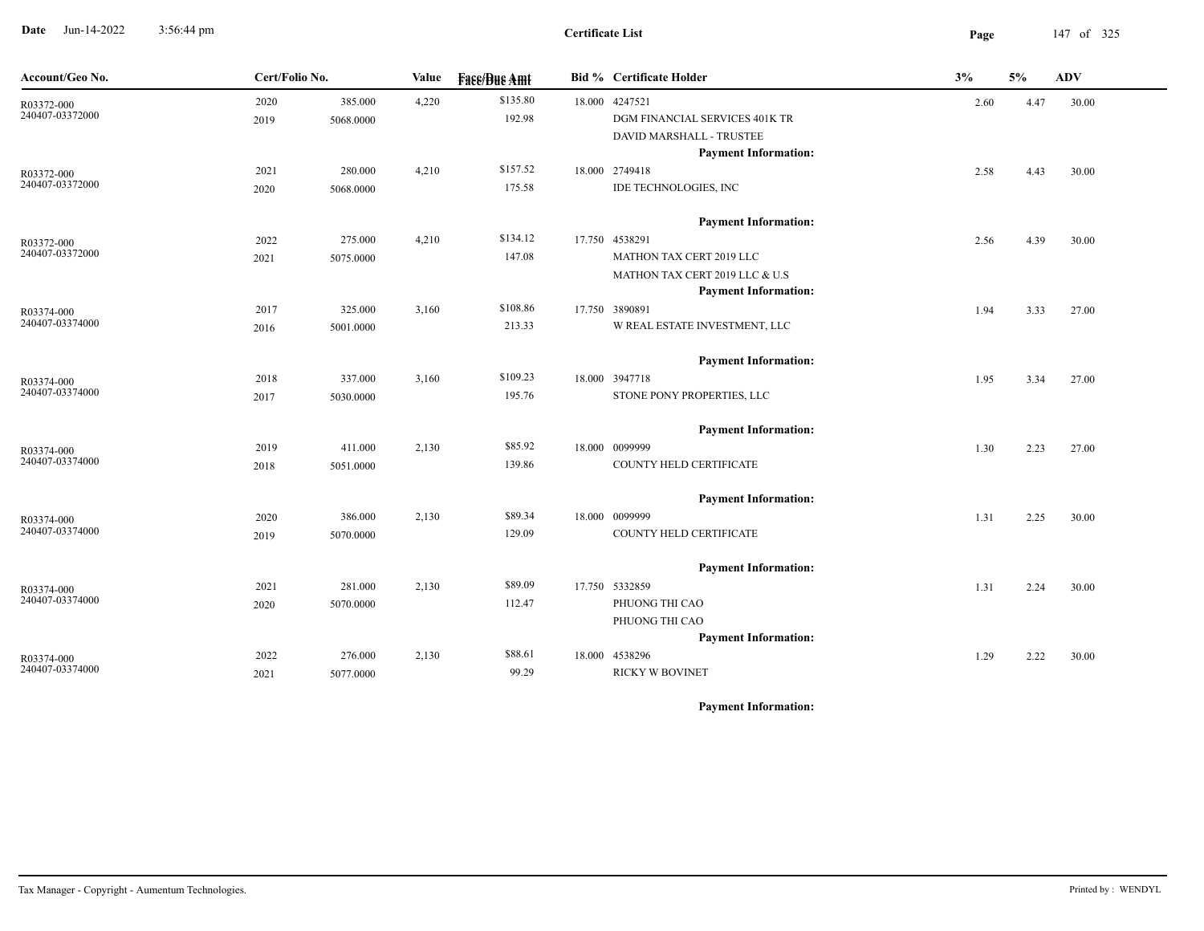**Date** Jun-14-2022 3:56:44 pm **Page** 147 of 325 3:56:44 pm

| Account/Geo No.               | Cert/Folio No. |           | Value | <b>Fase/Bue Amt</b> | <b>Bid % Certificate Holder</b> | 3%   | 5%   | ADV   |
|-------------------------------|----------------|-----------|-------|---------------------|---------------------------------|------|------|-------|
| R03372-000                    | 2020           | 385.000   | 4,220 | \$135.80            | 18.000 4247521                  | 2.60 | 4.47 | 30.00 |
| 240407-03372000               | 2019           | 5068.0000 |       | 192.98              | DGM FINANCIAL SERVICES 401K TR  |      |      |       |
|                               |                |           |       |                     | DAVID MARSHALL - TRUSTEE        |      |      |       |
|                               |                |           |       |                     | <b>Payment Information:</b>     |      |      |       |
| R03372-000<br>240407-03372000 | 2021           | 280.000   | 4,210 | \$157.52            | 18.000 2749418                  | 2.58 | 4.43 | 30.00 |
|                               | 2020           | 5068.0000 |       | 175.58              | IDE TECHNOLOGIES, INC           |      |      |       |
|                               |                |           |       |                     | <b>Payment Information:</b>     |      |      |       |
| R03372-000                    | 2022           | 275.000   | 4,210 | \$134.12            | 17.750 4538291                  | 2.56 | 4.39 | 30.00 |
| 240407-03372000               | 2021           | 5075.0000 |       | 147.08              | MATHON TAX CERT 2019 LLC        |      |      |       |
|                               |                |           |       |                     | MATHON TAX CERT 2019 LLC & U.S  |      |      |       |
|                               |                |           |       |                     | <b>Payment Information:</b>     |      |      |       |
| R03374-000                    | 2017           | 325.000   | 3,160 | \$108.86            | 17.750 3890891                  | 1.94 | 3.33 | 27.00 |
| 240407-03374000               | 2016           | 5001.0000 |       | 213.33              | W REAL ESTATE INVESTMENT, LLC   |      |      |       |
|                               |                |           |       |                     | <b>Payment Information:</b>     |      |      |       |
| R03374-000                    | 2018           | 337.000   | 3,160 | \$109.23            | 18.000 3947718                  | 1.95 | 3.34 | 27.00 |
| 240407-03374000               | 2017           | 5030.0000 |       | 195.76              | STONE PONY PROPERTIES, LLC      |      |      |       |
|                               |                |           |       |                     | <b>Payment Information:</b>     |      |      |       |
| R03374-000                    | 2019           | 411.000   | 2,130 | \$85.92             | 18.000 0099999                  | 1.30 | 2.23 | 27.00 |
| 240407-03374000               | 2018           | 5051.0000 |       | 139.86              | COUNTY HELD CERTIFICATE         |      |      |       |
|                               |                |           |       |                     | <b>Payment Information:</b>     |      |      |       |
|                               | 2020           | 386.000   | 2,130 | \$89.34             | 18.000 0099999                  | 1.31 | 2.25 | 30.00 |
| R03374-000<br>240407-03374000 | 2019           | 5070.0000 |       | 129.09              | COUNTY HELD CERTIFICATE         |      |      |       |
|                               |                |           |       |                     |                                 |      |      |       |
|                               |                |           |       |                     | <b>Payment Information:</b>     |      |      |       |
| R03374-000                    | 2021           | 281.000   | 2,130 | \$89.09             | 17.750 5332859                  | 1.31 | 2.24 | 30.00 |
| 240407-03374000               | 2020           | 5070.0000 |       | 112.47              | PHUONG THI CAO                  |      |      |       |
|                               |                |           |       |                     | PHUONG THI CAO                  |      |      |       |
|                               |                |           |       |                     | <b>Payment Information:</b>     |      |      |       |
| R03374-000                    | 2022           | 276.000   | 2,130 | \$88.61             | 18.000 4538296                  | 1.29 | 2.22 | 30.00 |
| 240407-03374000               | 2021           | 5077.0000 |       | 99.29               | <b>RICKY W BOVINET</b>          |      |      |       |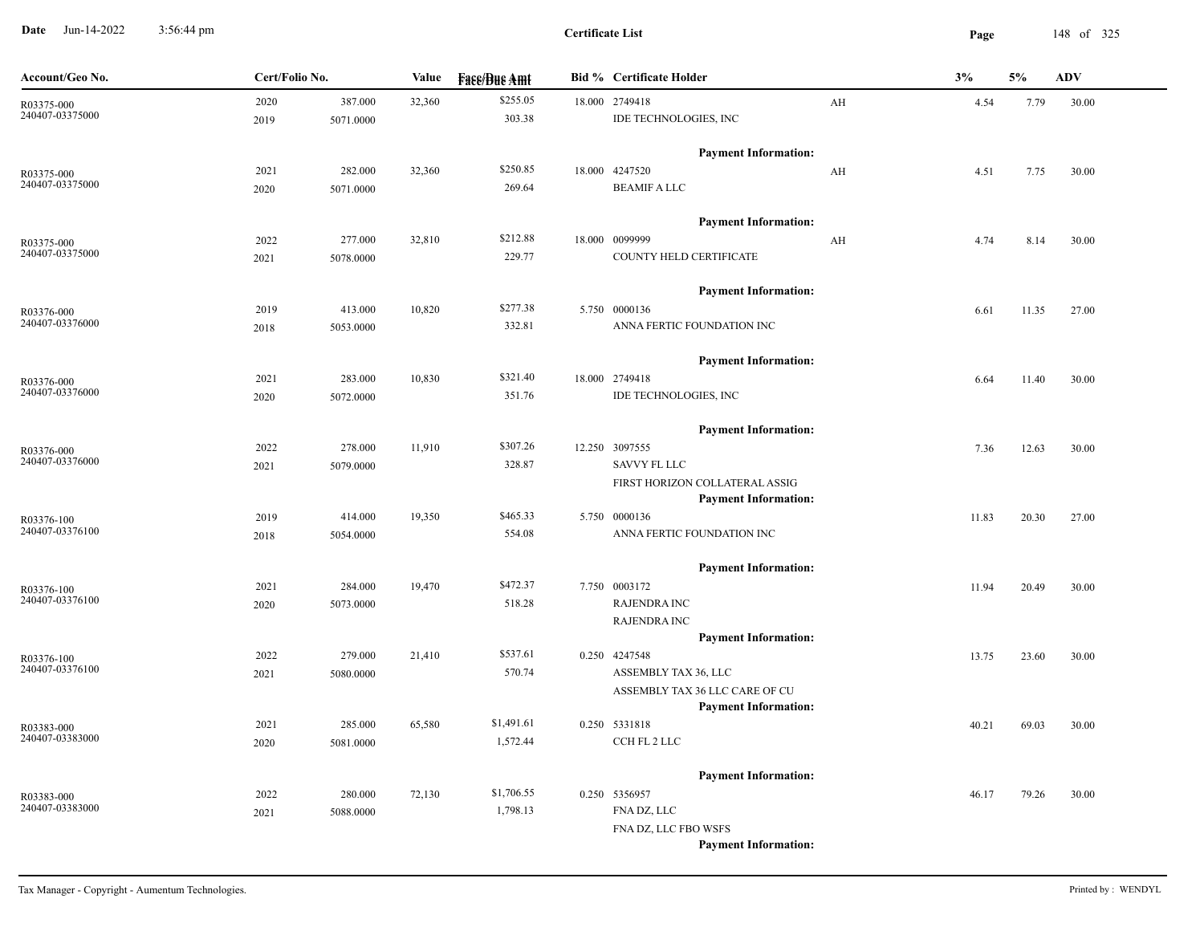**Date** Jun-14-2022 3:56:44 pm **Page** 148 of 325 3:56:44 pm

| Account/Geo No.               | Cert/Folio No. |           | Value  | <b>Face/Bue Amt</b> | <b>Bid % Certificate Holder</b>                               |    | 3%    | $5\%$ | <b>ADV</b> |
|-------------------------------|----------------|-----------|--------|---------------------|---------------------------------------------------------------|----|-------|-------|------------|
| R03375-000                    | 2020           | 387.000   | 32,360 | \$255.05            | 18.000 2749418                                                | AH | 4.54  | 7.79  | 30.00      |
| 240407-03375000               | 2019           | 5071.0000 |        | 303.38              | IDE TECHNOLOGIES, INC                                         |    |       |       |            |
|                               |                |           |        |                     | <b>Payment Information:</b>                                   |    |       |       |            |
| R03375-000                    | 2021           | 282.000   | 32,360 | \$250.85            | 18.000 4247520                                                | AH | 4.51  | 7.75  | 30.00      |
| 240407-03375000               | 2020           | 5071.0000 |        | 269.64              | <b>BEAMIF A LLC</b>                                           |    |       |       |            |
|                               |                |           |        |                     | <b>Payment Information:</b>                                   |    |       |       |            |
| R03375-000                    | 2022           | 277.000   | 32,810 | \$212.88            | 18.000 0099999                                                | AH | 4.74  | 8.14  | 30.00      |
| 240407-03375000               | 2021           | 5078.0000 |        | 229.77              | COUNTY HELD CERTIFICATE                                       |    |       |       |            |
|                               |                |           |        |                     | <b>Payment Information:</b>                                   |    |       |       |            |
|                               | 2019           | 413.000   | 10,820 | \$277.38            | 5.750 0000136                                                 |    | 6.61  | 11.35 | 27.00      |
| R03376-000<br>240407-03376000 | 2018           | 5053.0000 |        | 332.81              | ANNA FERTIC FOUNDATION INC                                    |    |       |       |            |
|                               |                |           |        |                     |                                                               |    |       |       |            |
|                               |                |           |        | \$321.40            | <b>Payment Information:</b>                                   |    |       |       |            |
| R03376-000<br>240407-03376000 | 2021           | 283.000   | 10,830 | 351.76              | 18.000 2749418<br>IDE TECHNOLOGIES, INC                       |    | 6.64  | 11.40 | 30.00      |
|                               | 2020           | 5072.0000 |        |                     |                                                               |    |       |       |            |
|                               |                |           |        |                     | <b>Payment Information:</b>                                   |    |       |       |            |
| R03376-000<br>240407-03376000 | 2022           | 278.000   | 11,910 | \$307.26            | 12.250 3097555                                                |    | 7.36  | 12.63 | 30.00      |
|                               | 2021           | 5079.0000 |        | 328.87              | <b>SAVVY FL LLC</b>                                           |    |       |       |            |
|                               |                |           |        |                     | FIRST HORIZON COLLATERAL ASSIG<br><b>Payment Information:</b> |    |       |       |            |
| R03376-100                    | 2019           | 414.000   | 19,350 | \$465.33            | 5.750 0000136                                                 |    | 11.83 | 20.30 | 27.00      |
| 240407-03376100               | 2018           | 5054.0000 |        | 554.08              | ANNA FERTIC FOUNDATION INC                                    |    |       |       |            |
|                               |                |           |        |                     |                                                               |    |       |       |            |
|                               |                |           |        |                     | <b>Payment Information:</b>                                   |    |       |       |            |
| R03376-100<br>240407-03376100 | 2021           | 284.000   | 19,470 | \$472.37            | 7.750 0003172                                                 |    | 11.94 | 20.49 | 30.00      |
|                               | 2020           | 5073.0000 |        | 518.28              | <b>RAJENDRA INC</b><br><b>RAJENDRA INC</b>                    |    |       |       |            |
|                               |                |           |        |                     | <b>Payment Information:</b>                                   |    |       |       |            |
| R03376-100                    | 2022           | 279.000   | 21,410 | \$537.61            | 0.250 4247548                                                 |    | 13.75 | 23.60 | 30.00      |
| 240407-03376100               | 2021           | 5080.0000 |        | 570.74              | ASSEMBLY TAX 36, LLC                                          |    |       |       |            |
|                               |                |           |        |                     | ASSEMBLY TAX 36 LLC CARE OF CU                                |    |       |       |            |
|                               |                |           |        |                     | <b>Payment Information:</b>                                   |    |       |       |            |
| R03383-000                    | 2021           | 285.000   | 65,580 | \$1,491.61          | 0.250 5331818                                                 |    | 40.21 | 69.03 | 30.00      |
| 240407-03383000               | 2020           | 5081.0000 |        | 1,572.44            | CCH FL 2 LLC                                                  |    |       |       |            |
|                               |                |           |        |                     | <b>Payment Information:</b>                                   |    |       |       |            |
| R03383-000                    | 2022           | 280.000   | 72,130 | \$1,706.55          | 0.250 5356957                                                 |    | 46.17 | 79.26 | 30.00      |
| 240407-03383000               | 2021           | 5088.0000 |        | 1,798.13            | FNA DZ, LLC                                                   |    |       |       |            |
|                               |                |           |        |                     | FNA DZ, LLC FBO WSFS                                          |    |       |       |            |
|                               |                |           |        |                     | <b>Payment Information:</b>                                   |    |       |       |            |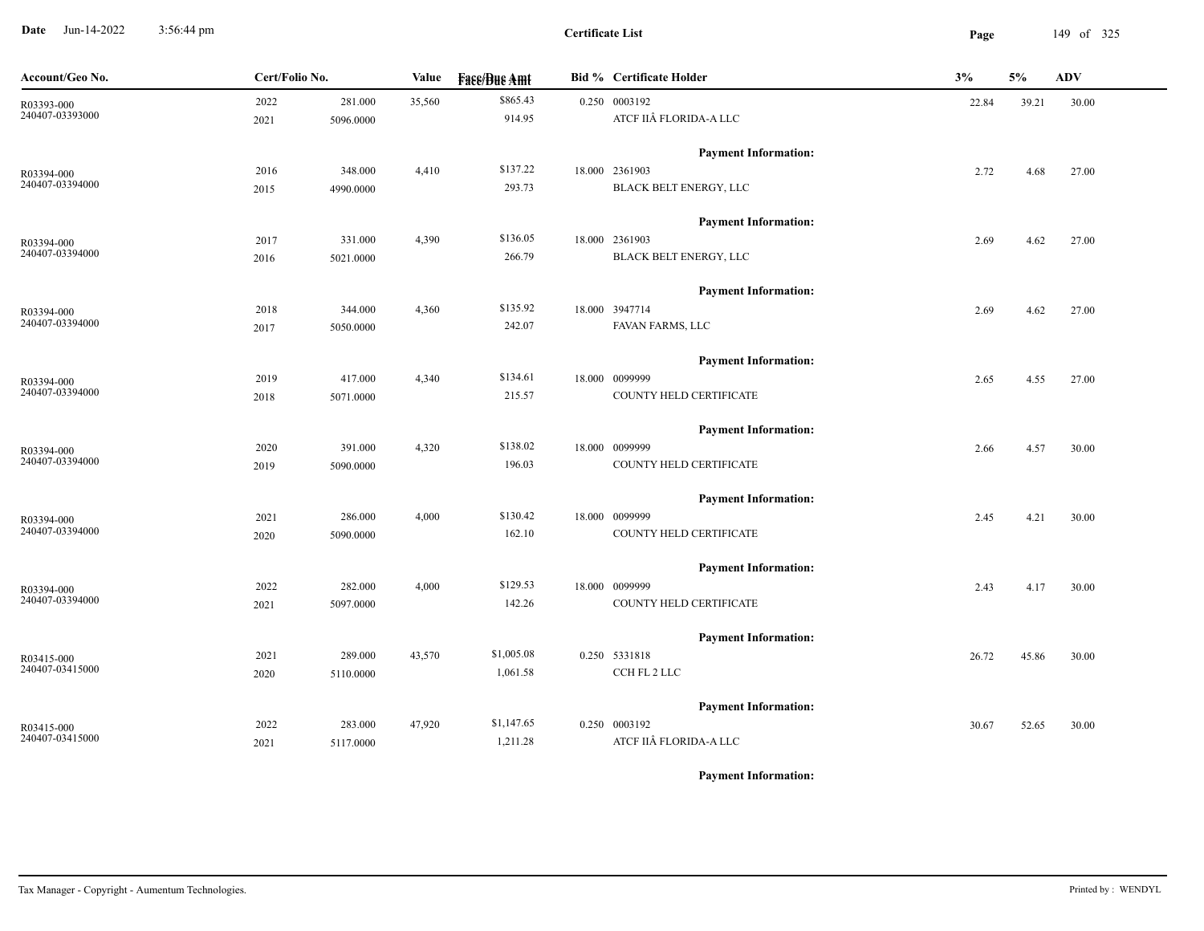**Date** Jun-14-2022 3:56:44 pm **Page** 149 of 325 3:56:44 pm

| Account/Geo No. | Cert/Folio No. |           | Value  | <b>Face/Bue Amt</b> | <b>Bid % Certificate Holder</b> | 3%    | 5%    | <b>ADV</b> |
|-----------------|----------------|-----------|--------|---------------------|---------------------------------|-------|-------|------------|
| R03393-000      | 2022           | 281.000   | 35,560 | \$865.43            | 0.250 0003192                   | 22.84 | 39.21 | 30.00      |
| 240407-03393000 | 2021           | 5096.0000 |        | 914.95              | ATCF IIÂ FLORIDA-A LLC          |       |       |            |
|                 |                |           |        |                     | <b>Payment Information:</b>     |       |       |            |
| R03394-000      | 2016           | 348.000   | 4,410  | \$137.22            | 18.000 2361903                  | 2.72  | 4.68  | 27.00      |
| 240407-03394000 | 2015           | 4990.0000 |        | 293.73              | BLACK BELT ENERGY, LLC          |       |       |            |
|                 |                |           |        |                     | <b>Payment Information:</b>     |       |       |            |
| R03394-000      | 2017           | 331.000   | 4,390  | \$136.05            | 18.000 2361903                  | 2.69  | 4.62  | 27.00      |
| 240407-03394000 | 2016           | 5021.0000 |        | 266.79              | BLACK BELT ENERGY, LLC          |       |       |            |
|                 |                |           |        |                     | <b>Payment Information:</b>     |       |       |            |
| R03394-000      | 2018           | 344.000   | 4,360  | \$135.92            | 18.000 3947714                  | 2.69  | 4.62  | 27.00      |
| 240407-03394000 | 2017           | 5050.0000 |        | 242.07              | FAVAN FARMS, LLC                |       |       |            |
|                 |                |           |        |                     | <b>Payment Information:</b>     |       |       |            |
| R03394-000      | 2019           | 417.000   | 4,340  | \$134.61            | 18.000 0099999                  | 2.65  | 4.55  | 27.00      |
| 240407-03394000 | 2018           | 5071.0000 |        | 215.57              | COUNTY HELD CERTIFICATE         |       |       |            |
|                 |                |           |        |                     | <b>Payment Information:</b>     |       |       |            |
| R03394-000      | 2020           | 391.000   | 4,320  | \$138.02            | 18.000 0099999                  | 2.66  | 4.57  | 30.00      |
| 240407-03394000 | 2019           | 5090.0000 |        | 196.03              | COUNTY HELD CERTIFICATE         |       |       |            |
|                 |                |           |        |                     | <b>Payment Information:</b>     |       |       |            |
| R03394-000      | 2021           | 286.000   | 4,000  | \$130.42            | 18.000 0099999                  | 2.45  | 4.21  | 30.00      |
| 240407-03394000 | 2020           | 5090.0000 |        | 162.10              | COUNTY HELD CERTIFICATE         |       |       |            |
|                 |                |           |        |                     | <b>Payment Information:</b>     |       |       |            |
| R03394-000      | 2022           | 282.000   | 4,000  | \$129.53            | 18.000 0099999                  | 2.43  | 4.17  | 30.00      |
| 240407-03394000 | 2021           | 5097.0000 |        | 142.26              | COUNTY HELD CERTIFICATE         |       |       |            |
|                 |                |           |        |                     | <b>Payment Information:</b>     |       |       |            |
| R03415-000      | 2021           | 289.000   | 43,570 | \$1,005.08          | 0.250 5331818                   | 26.72 | 45.86 | 30.00      |
| 240407-03415000 | 2020           | 5110.0000 |        | 1,061.58            | CCH FL 2 LLC                    |       |       |            |
|                 |                |           |        |                     | <b>Payment Information:</b>     |       |       |            |
| R03415-000      | 2022           | 283.000   | 47,920 | \$1,147.65          | 0.250 0003192                   | 30.67 | 52.65 | 30.00      |
| 240407-03415000 | 2021           | 5117.0000 |        | 1,211.28            | ATCF IIÂ FLORIDA-A LLC          |       |       |            |
|                 |                |           |        |                     |                                 |       |       |            |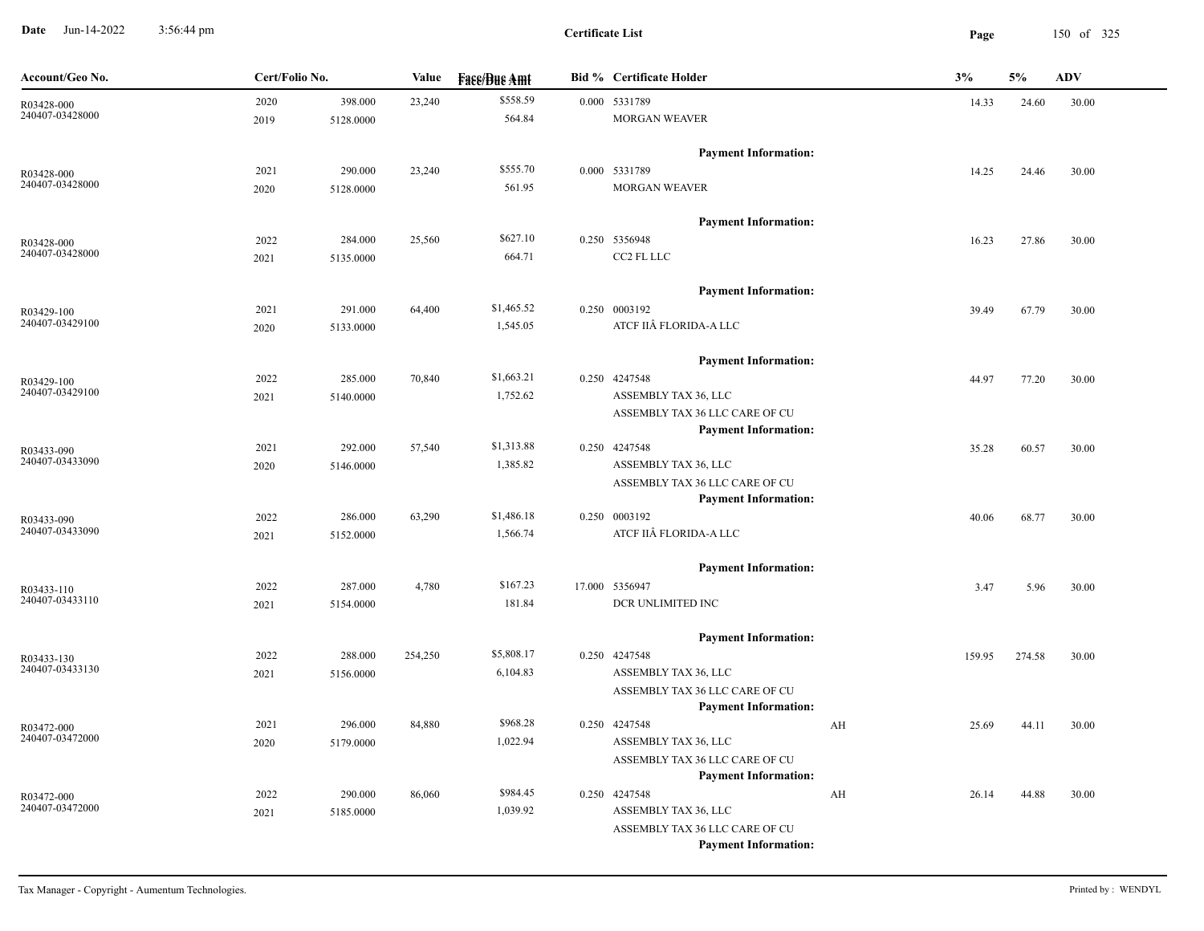**Date** Jun-14-2022 3:56:44 pm **Page** 150 of 325 3:56:44 pm

| Account/Geo No.               | Cert/Folio No. |                      | Value   | <b>Face/Bue Amt</b> | <b>Bid % Certificate Holder</b>              | 3%          | 5%     | <b>ADV</b> |
|-------------------------------|----------------|----------------------|---------|---------------------|----------------------------------------------|-------------|--------|------------|
| R03428-000                    | 2020           | 398.000              | 23,240  | \$558.59            | 0.000 5331789                                | 14.33       | 24.60  | 30.00      |
| 240407-03428000               | 2019           | 5128.0000            |         | 564.84              | <b>MORGAN WEAVER</b>                         |             |        |            |
|                               |                |                      |         |                     | <b>Payment Information:</b>                  |             |        |            |
| R03428-000                    | 2021           | 290.000              | 23,240  | \$555.70            | 0.000 5331789                                | 14.25       | 24.46  | 30.00      |
| 240407-03428000               | 2020           | 5128.0000            |         | 561.95              | <b>MORGAN WEAVER</b>                         |             |        |            |
|                               |                |                      |         |                     | <b>Payment Information:</b>                  |             |        |            |
| R03428-000                    | 2022           | 284.000              | 25,560  | \$627.10            | 0.250 5356948                                | 16.23       | 27.86  | 30.00      |
| 240407-03428000               | 2021           | 5135.0000            |         | 664.71              | CC2 FL LLC                                   |             |        |            |
|                               |                |                      |         |                     | <b>Payment Information:</b>                  |             |        |            |
| R03429-100                    | 2021           | 291.000              | 64,400  | \$1,465.52          | 0.250 0003192                                | 39.49       | 67.79  | 30.00      |
| 240407-03429100               | 2020           | 5133.0000            |         | 1,545.05            | ATCF IIÂ FLORIDA-A LLC                       |             |        |            |
|                               |                |                      |         |                     | <b>Payment Information:</b>                  |             |        |            |
| R03429-100                    | 2022           | 285.000              | 70,840  | \$1,663.21          | 0.250 4247548                                | 44.97       | 77.20  | 30.00      |
| 240407-03429100               | 2021           | 5140.0000            |         | 1,752.62            | ASSEMBLY TAX 36, LLC                         |             |        |            |
|                               |                |                      |         |                     | ASSEMBLY TAX 36 LLC CARE OF CU               |             |        |            |
|                               |                |                      |         |                     | <b>Payment Information:</b>                  |             |        |            |
| R03433-090                    | 2021           | 292.000              | 57,540  | \$1,313.88          | 0.250 4247548                                | 35.28       | 60.57  | 30.00      |
| 240407-03433090               | 2020           | 5146.0000            |         | 1,385.82            | ASSEMBLY TAX 36, LLC                         |             |        |            |
|                               |                |                      |         |                     | ASSEMBLY TAX 36 LLC CARE OF CU               |             |        |            |
|                               |                |                      | 63,290  | \$1,486.18          | <b>Payment Information:</b><br>0.250 0003192 |             |        |            |
| R03433-090<br>240407-03433090 | 2022<br>2021   | 286.000<br>5152.0000 |         | 1,566.74            | ATCF IIÂ FLORIDA-A LLC                       | 40.06       | 68.77  | 30.00      |
|                               |                |                      |         |                     |                                              |             |        |            |
|                               |                |                      |         |                     | <b>Payment Information:</b>                  |             |        |            |
| R03433-110                    | 2022           | 287.000              | 4,780   | \$167.23            | 17.000 5356947                               | 3.47        | 5.96   | 30.00      |
| 240407-03433110               | 2021           | 5154.0000            |         | 181.84              | DCR UNLIMITED INC                            |             |        |            |
|                               |                |                      |         |                     | <b>Payment Information:</b>                  |             |        |            |
| R03433-130                    | 2022           | 288.000              | 254,250 | \$5,808.17          | 0.250 4247548                                | 159.95      | 274.58 | 30.00      |
| 240407-03433130               | 2021           | 5156.0000            |         | 6,104.83            | ASSEMBLY TAX 36, LLC                         |             |        |            |
|                               |                |                      |         |                     | ASSEMBLY TAX 36 LLC CARE OF CU               |             |        |            |
|                               | 2021           | 296.000              | 84,880  | \$968.28            | <b>Payment Information:</b><br>0.250 4247548 | AH<br>25.69 | 44.11  | 30.00      |
| R03472-000<br>240407-03472000 |                | 5179.0000            |         | 1,022.94            | ASSEMBLY TAX 36, LLC                         |             |        |            |
|                               | 2020           |                      |         |                     | ASSEMBLY TAX 36 LLC CARE OF CU               |             |        |            |
|                               |                |                      |         |                     | <b>Payment Information:</b>                  |             |        |            |
| R03472-000                    | 2022           | 290.000              | 86,060  | \$984.45            | 0.250 4247548                                | AH<br>26.14 | 44.88  | 30.00      |
| 240407-03472000               | 2021           | 5185.0000            |         | 1,039.92            | ASSEMBLY TAX 36, LLC                         |             |        |            |
|                               |                |                      |         |                     | ASSEMBLY TAX 36 LLC CARE OF CU               |             |        |            |
|                               |                |                      |         |                     | <b>Payment Information:</b>                  |             |        |            |
|                               |                |                      |         |                     |                                              |             |        |            |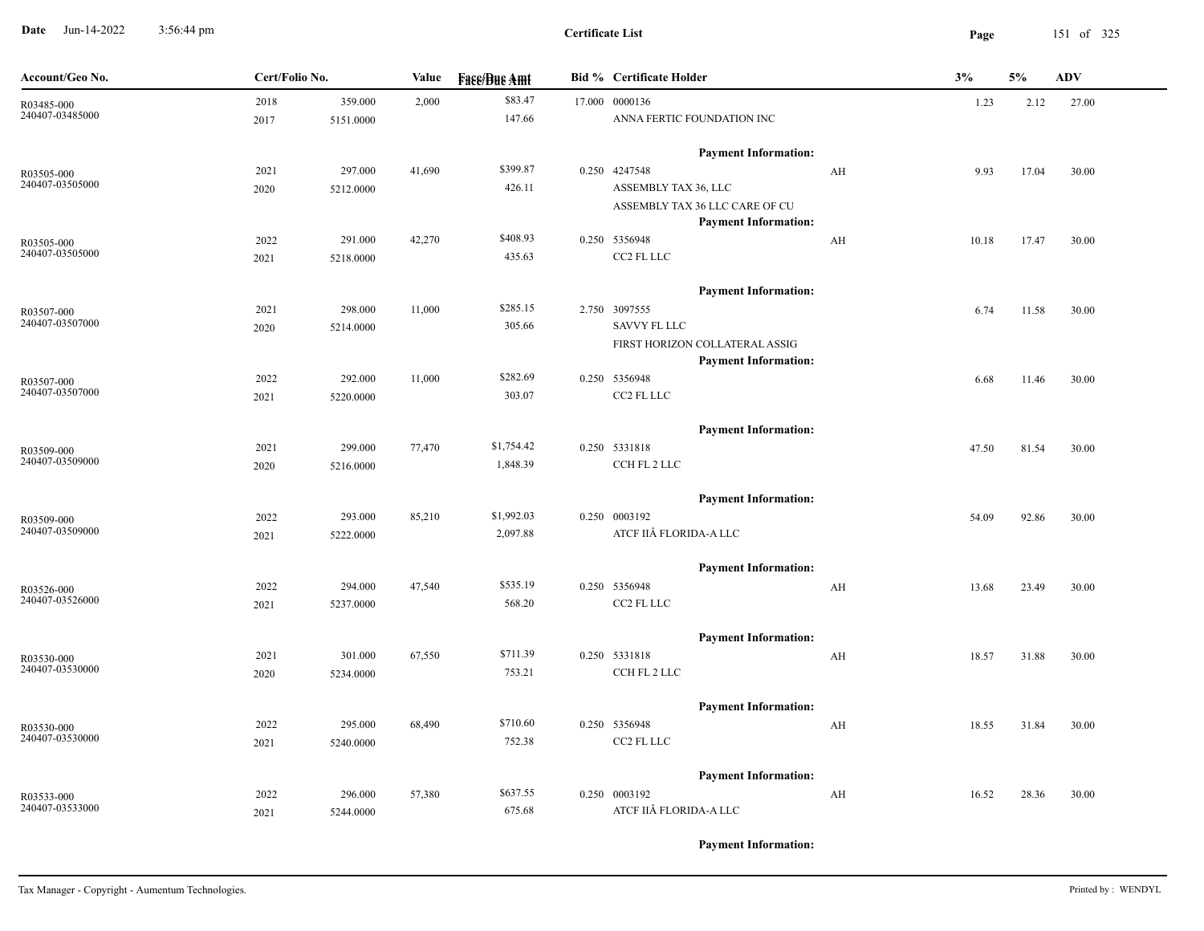**Date** Jun-14-2022 3:56:44 pm **Page** 151 of 325 3:56:44 pm

**Certificate List**

| Account/Geo No.               | Cert/Folio No. |           | Value  | <b>Face/Bue Amt</b> | <b>Bid % Certificate Holder</b>                               |    | 3%    | 5%    | <b>ADV</b> |
|-------------------------------|----------------|-----------|--------|---------------------|---------------------------------------------------------------|----|-------|-------|------------|
| R03485-000                    | 2018           | 359.000   | 2,000  | \$83.47             | 17.000 0000136                                                |    | 1.23  | 2.12  | 27.00      |
| 240407-03485000               | 2017           | 5151.0000 |        | 147.66              | ANNA FERTIC FOUNDATION INC                                    |    |       |       |            |
|                               |                |           |        |                     | <b>Payment Information:</b>                                   |    |       |       |            |
| R03505-000                    | 2021           | 297.000   | 41,690 | \$399.87            | 0.250 4247548                                                 | AH | 9.93  | 17.04 | 30.00      |
| 240407-03505000               | 2020           | 5212.0000 |        | 426.11              | ASSEMBLY TAX 36, LLC                                          |    |       |       |            |
|                               |                |           |        |                     | ASSEMBLY TAX 36 LLC CARE OF CU<br><b>Payment Information:</b> |    |       |       |            |
| R03505-000                    | 2022           | 291.000   | 42,270 | \$408.93            | 0.250 5356948                                                 | AH | 10.18 | 17.47 | 30.00      |
| 240407-03505000               | 2021           | 5218.0000 |        | 435.63              | CC2 FL LLC                                                    |    |       |       |            |
|                               |                |           |        |                     | <b>Payment Information:</b>                                   |    |       |       |            |
| R03507-000                    | 2021           | 298.000   | 11,000 | \$285.15            | 2.750 3097555                                                 |    | 6.74  | 11.58 | 30.00      |
| 240407-03507000               | 2020           | 5214.0000 |        | 305.66              | SAVVY FL LLC                                                  |    |       |       |            |
|                               |                |           |        |                     | FIRST HORIZON COLLATERAL ASSIG                                |    |       |       |            |
|                               |                |           |        |                     | <b>Payment Information:</b>                                   |    |       |       |            |
| R03507-000<br>240407-03507000 | 2022           | 292.000   | 11,000 | \$282.69            | 0.250 5356948                                                 |    | 6.68  | 11.46 | 30.00      |
|                               | 2021           | 5220.0000 |        | 303.07              | CC2 FL LLC                                                    |    |       |       |            |
|                               |                |           |        |                     | <b>Payment Information:</b>                                   |    |       |       |            |
| R03509-000                    | 2021           | 299.000   | 77,470 | \$1,754.42          | 0.250 5331818                                                 |    | 47.50 | 81.54 | 30.00      |
| 240407-03509000               | 2020           | 5216.0000 |        | 1,848.39            | CCH FL 2 LLC                                                  |    |       |       |            |
|                               |                |           |        |                     | <b>Payment Information:</b>                                   |    |       |       |            |
| R03509-000                    | 2022           | 293.000   | 85,210 | \$1,992.03          | 0.250 0003192                                                 |    | 54.09 | 92.86 | 30.00      |
| 240407-03509000               | 2021           | 5222.0000 |        | 2,097.88            | ATCF IIÂ FLORIDA-A LLC                                        |    |       |       |            |
|                               |                |           |        |                     | <b>Payment Information:</b>                                   |    |       |       |            |
| R03526-000                    | 2022           | 294.000   | 47,540 | \$535.19            | 0.250 5356948                                                 | AH | 13.68 | 23.49 | 30.00      |
| 240407-03526000               | 2021           | 5237.0000 |        | 568.20              | CC2 FL LLC                                                    |    |       |       |            |
|                               |                |           |        |                     | <b>Payment Information:</b>                                   |    |       |       |            |
| R03530-000                    | 2021           | 301.000   | 67,550 | \$711.39            | 0.250 5331818                                                 | AH | 18.57 | 31.88 | 30.00      |
| 240407-03530000               | 2020           | 5234.0000 |        | 753.21              | CCH FL 2 LLC                                                  |    |       |       |            |
|                               |                |           |        |                     | <b>Payment Information:</b>                                   |    |       |       |            |
| R03530-000                    | 2022           | 295.000   | 68,490 | \$710.60            | 0.250 5356948                                                 | AH | 18.55 | 31.84 | 30.00      |
| 240407-03530000               | 2021           | 5240.0000 |        | 752.38              | CC2 FL LLC                                                    |    |       |       |            |
|                               |                |           |        |                     | <b>Payment Information:</b>                                   |    |       |       |            |
| R03533-000                    | 2022           | 296.000   | 57,380 | \$637.55            | 0.250 0003192                                                 | AH | 16.52 | 28.36 | 30.00      |
| 240407-03533000               | 2021           | 5244.0000 |        | 675.68              | ATCF IIÂ FLORIDA-A LLC                                        |    |       |       |            |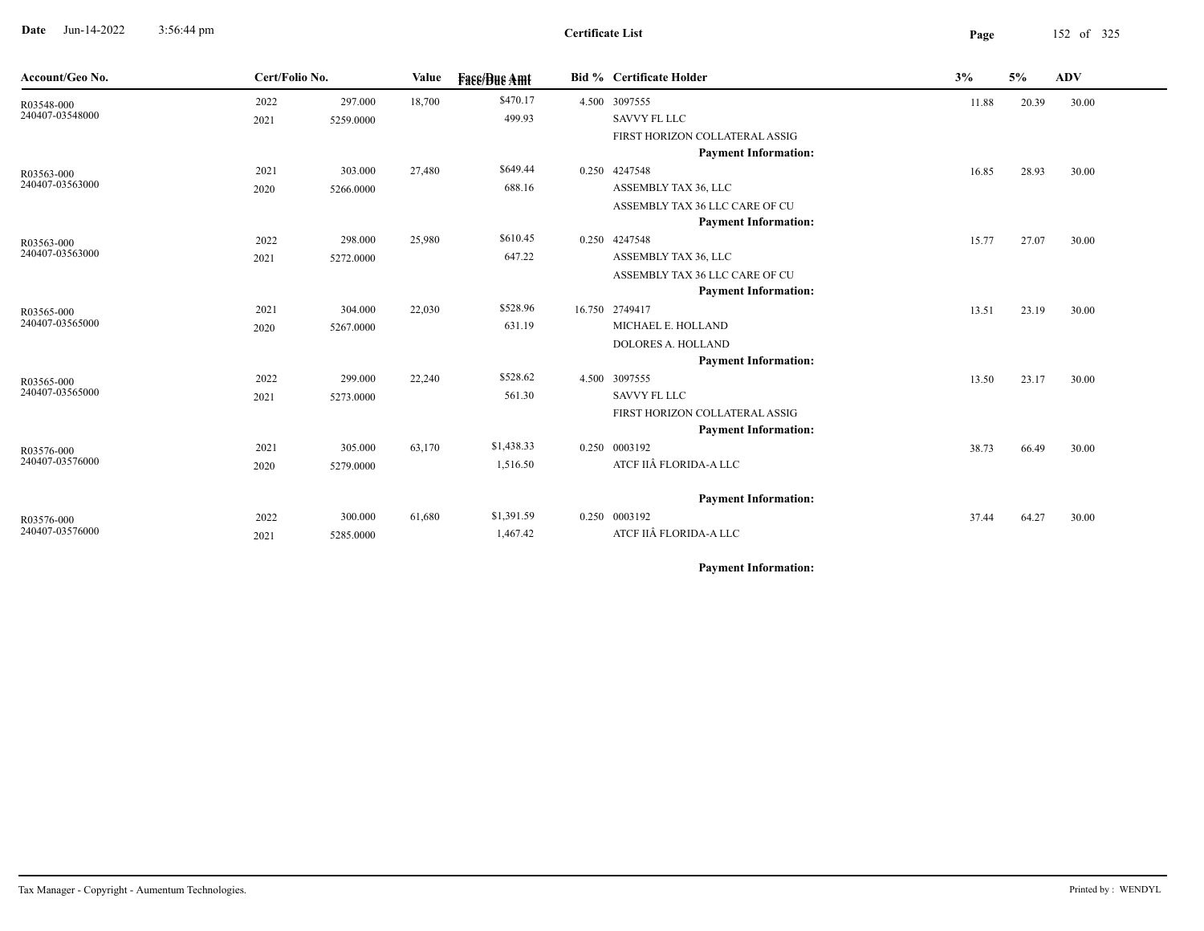**Date** Jun-14-2022 3:56:44 pm **Page** 152 of 325 3:56:44 pm

| Account/Geo No. | Cert/Folio No. |           | Value  | <b>Face/Bue Amt</b> | <b>Bid % Certificate Holder</b> | 3%    | 5%    | <b>ADV</b> |  |
|-----------------|----------------|-----------|--------|---------------------|---------------------------------|-------|-------|------------|--|
| R03548-000      | 2022           | 297.000   | 18,700 | \$470.17            | 4.500 3097555                   | 11.88 | 20.39 | 30.00      |  |
| 240407-03548000 | 2021           | 5259.0000 |        | 499.93              | <b>SAVVY FL LLC</b>             |       |       |            |  |
|                 |                |           |        |                     | FIRST HORIZON COLLATERAL ASSIG  |       |       |            |  |
|                 |                |           |        |                     | <b>Payment Information:</b>     |       |       |            |  |
| R03563-000      | 2021           | 303.000   | 27,480 | \$649.44            | 0.250 4247548                   | 16.85 | 28.93 | 30.00      |  |
| 240407-03563000 | 2020           | 5266.0000 |        | 688.16              | ASSEMBLY TAX 36, LLC            |       |       |            |  |
|                 |                |           |        |                     | ASSEMBLY TAX 36 LLC CARE OF CU  |       |       |            |  |
|                 |                |           |        |                     | <b>Payment Information:</b>     |       |       |            |  |
| R03563-000      | 2022           | 298.000   | 25,980 | \$610.45            | 0.250 4247548                   | 15.77 | 27.07 | 30.00      |  |
| 240407-03563000 | 2021           | 5272.0000 |        | 647.22              | ASSEMBLY TAX 36, LLC            |       |       |            |  |
|                 |                |           |        |                     | ASSEMBLY TAX 36 LLC CARE OF CU  |       |       |            |  |
|                 |                |           |        |                     | <b>Payment Information:</b>     |       |       |            |  |
| R03565-000      | 2021           | 304.000   | 22,030 | \$528.96            | 16.750 2749417                  | 13.51 | 23.19 | 30.00      |  |
| 240407-03565000 | 2020           | 5267.0000 |        | 631.19              | MICHAEL E. HOLLAND              |       |       |            |  |
|                 |                |           |        |                     | DOLORES A. HOLLAND              |       |       |            |  |
|                 |                |           |        |                     | <b>Payment Information:</b>     |       |       |            |  |
| R03565-000      | 2022           | 299.000   | 22,240 | \$528.62            | 4.500 3097555                   | 13.50 | 23.17 | 30.00      |  |
| 240407-03565000 | 2021           | 5273.0000 |        | 561.30              | <b>SAVVY FL LLC</b>             |       |       |            |  |
|                 |                |           |        |                     | FIRST HORIZON COLLATERAL ASSIG  |       |       |            |  |
|                 |                |           |        |                     | <b>Payment Information:</b>     |       |       |            |  |
| R03576-000      | 2021           | 305.000   | 63,170 | \$1,438.33          | 0.250 0003192                   | 38.73 | 66.49 | 30.00      |  |
| 240407-03576000 | 2020           | 5279.0000 |        | 1,516.50            | ATCF IIÂ FLORIDA-A LLC          |       |       |            |  |
|                 |                |           |        |                     | <b>Payment Information:</b>     |       |       |            |  |
| R03576-000      | 2022           | 300.000   | 61,680 | \$1,391.59          | 0.250 0003192                   | 37.44 | 64.27 | 30.00      |  |
| 240407-03576000 | 2021           | 5285.0000 |        | 1,467.42            | ATCF IIÂ FLORIDA-A LLC          |       |       |            |  |
|                 |                |           |        |                     |                                 |       |       |            |  |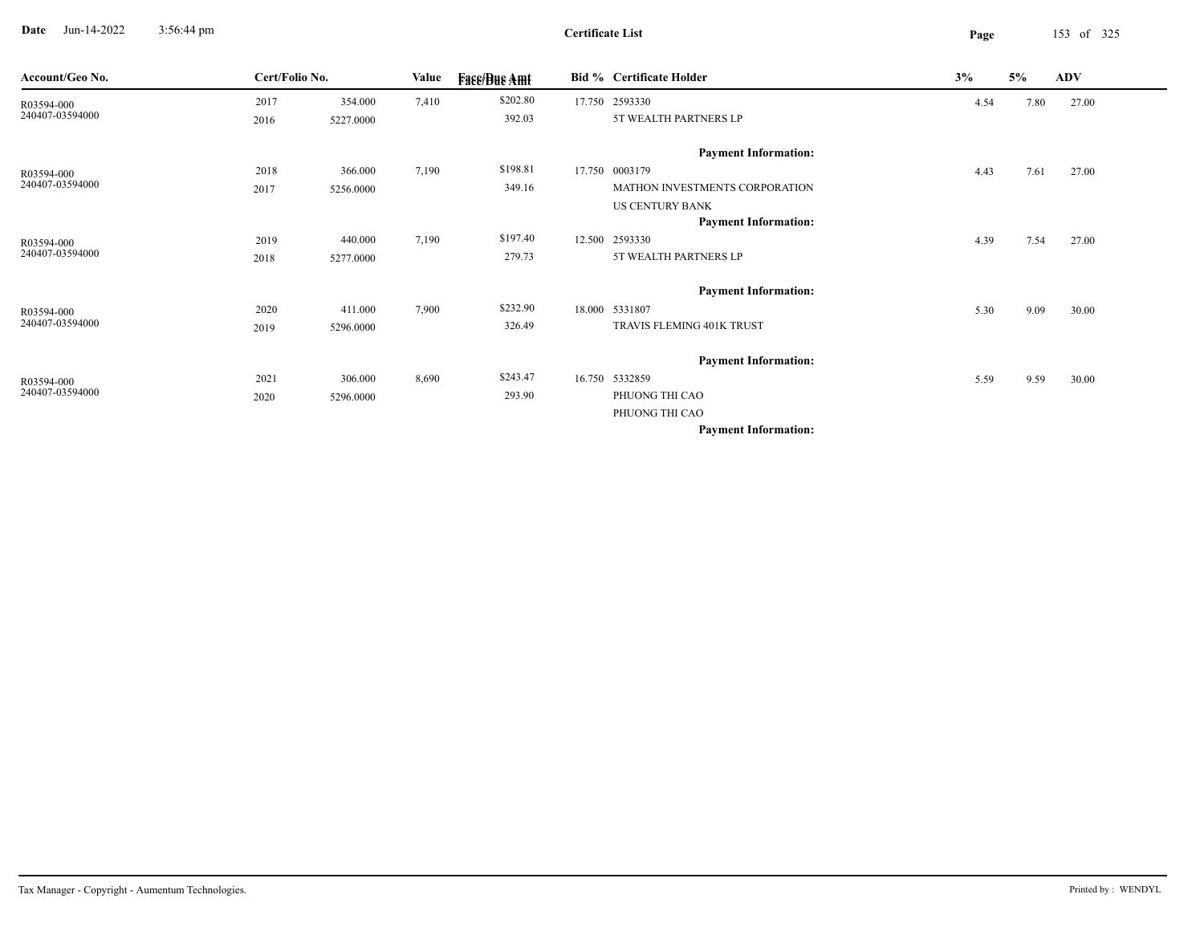**Date** Jun-14-2022 3:56:44 pm **Page** 153 of 325 3:56:44 pm

**Certificate List**

| Account/Geo No. | Cert/Folio No. |           | Value | <b>Face/Bue Amt</b> | <b>Bid % Certificate Holder</b> | 3%   | 5%   | <b>ADV</b> |
|-----------------|----------------|-----------|-------|---------------------|---------------------------------|------|------|------------|
| R03594-000      | 2017           | 354.000   | 7,410 | \$202.80            | 17.750 2593330                  | 4.54 | 7.80 | 27.00      |
| 240407-03594000 | 2016           | 5227.0000 |       | 392.03              | 5T WEALTH PARTNERS LP           |      |      |            |
|                 |                |           |       |                     | <b>Payment Information:</b>     |      |      |            |
| R03594-000      | 2018           | 366.000   | 7,190 | \$198.81            | 17.750 0003179                  | 4.43 | 7.61 | 27.00      |
| 240407-03594000 | 2017           | 5256.0000 |       | 349.16              | MATHON INVESTMENTS CORPORATION  |      |      |            |
|                 |                |           |       |                     | <b>US CENTURY BANK</b>          |      |      |            |
|                 |                |           |       |                     | <b>Payment Information:</b>     |      |      |            |
| R03594-000      | 2019           | 440.000   | 7,190 | \$197.40            | 12.500 2593330                  | 4.39 | 7.54 | 27.00      |
| 240407-03594000 | 2018           | 5277.0000 |       | 279.73              | 5T WEALTH PARTNERS LP           |      |      |            |
|                 |                |           |       |                     | <b>Payment Information:</b>     |      |      |            |
| R03594-000      | 2020           | 411.000   | 7,900 | \$232.90            | 18.000 5331807                  | 5.30 | 9.09 | 30.00      |
| 240407-03594000 | 2019           | 5296.0000 |       | 326.49              | TRAVIS FLEMING 401K TRUST       |      |      |            |
|                 |                |           |       |                     | <b>Payment Information:</b>     |      |      |            |
| R03594-000      | 2021           | 306.000   | 8,690 | \$243.47            | 16.750 5332859                  | 5.59 | 9.59 | 30.00      |
| 240407-03594000 | 2020           | 5296.0000 |       | 293.90              | PHUONG THI CAO                  |      |      |            |
|                 |                |           |       |                     | PHUONG THI CAO                  |      |      |            |
|                 |                |           |       |                     | <b>Payment Information:</b>     |      |      |            |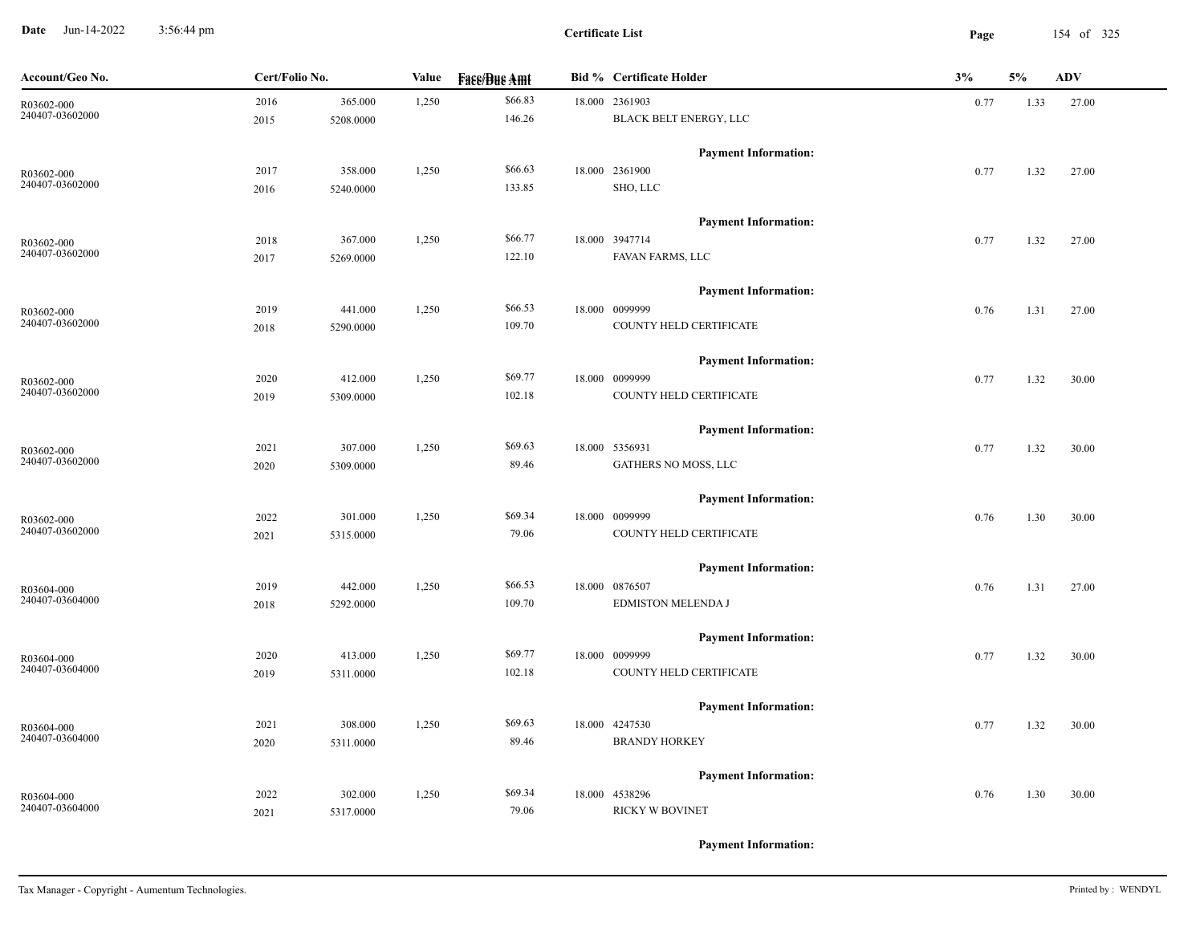**Date** Jun-14-2022 3:56:44 pm **Page** 154 of 325 3:56:44 pm

**Certificate List**

| Account/Geo No. | Cert/Folio No. |           | Value | <b>Fase/Bue Amt</b> | <b>Bid % Certificate Holder</b> | 3%   | 5%   | <b>ADV</b> |
|-----------------|----------------|-----------|-------|---------------------|---------------------------------|------|------|------------|
| R03602-000      | 2016           | 365.000   | 1,250 | \$66.83             | 18.000 2361903                  | 0.77 | 1.33 | 27.00      |
| 240407-03602000 | 2015           | 5208.0000 |       | 146.26              | BLACK BELT ENERGY, LLC          |      |      |            |
|                 |                |           |       |                     | <b>Payment Information:</b>     |      |      |            |
| R03602-000      | 2017           | 358.000   | 1,250 | \$66.63             | 18.000 2361900                  | 0.77 | 1.32 | 27.00      |
| 240407-03602000 | 2016           | 5240.0000 |       | 133.85              | SHO, LLC                        |      |      |            |
|                 |                |           |       |                     | <b>Payment Information:</b>     |      |      |            |
| R03602-000      | 2018           | 367.000   | 1,250 | \$66.77             | 18.000 3947714                  | 0.77 | 1.32 | 27.00      |
| 240407-03602000 | 2017           | 5269.0000 |       | 122.10              | FAVAN FARMS, LLC                |      |      |            |
|                 |                |           |       |                     | <b>Payment Information:</b>     |      |      |            |
| R03602-000      | 2019           | 441.000   | 1,250 | \$66.53             | 18.000 0099999                  | 0.76 | 1.31 | 27.00      |
| 240407-03602000 | 2018           | 5290.0000 |       | 109.70              | COUNTY HELD CERTIFICATE         |      |      |            |
|                 |                |           |       |                     | <b>Payment Information:</b>     |      |      |            |
| R03602-000      | 2020           | 412.000   | 1,250 | \$69.77             | 18.000 0099999                  | 0.77 | 1.32 | 30.00      |
| 240407-03602000 | 2019           | 5309.0000 |       | 102.18              | COUNTY HELD CERTIFICATE         |      |      |            |
|                 |                |           |       |                     | <b>Payment Information:</b>     |      |      |            |
| R03602-000      | 2021           | 307.000   | 1,250 | \$69.63             | 18.000 5356931                  | 0.77 | 1.32 | 30.00      |
| 240407-03602000 | 2020           | 5309.0000 |       | 89.46               | GATHERS NO MOSS, LLC            |      |      |            |
|                 |                |           |       |                     | <b>Payment Information:</b>     |      |      |            |
| R03602-000      | 2022           | 301.000   | 1,250 | \$69.34             | 18.000 0099999                  | 0.76 | 1.30 | 30.00      |
| 240407-03602000 | 2021           | 5315.0000 |       | 79.06               | COUNTY HELD CERTIFICATE         |      |      |            |
|                 |                |           |       |                     | <b>Payment Information:</b>     |      |      |            |
| R03604-000      | 2019           | 442.000   | 1,250 | \$66.53             | 18.000 0876507                  | 0.76 | 1.31 | 27.00      |
| 240407-03604000 | 2018           | 5292.0000 |       | 109.70              | EDMISTON MELENDA J              |      |      |            |
|                 |                |           |       |                     | <b>Payment Information:</b>     |      |      |            |
| R03604-000      | 2020           | 413.000   | 1,250 | \$69.77             | 18.000 0099999                  | 0.77 | 1.32 | 30.00      |
| 240407-03604000 | 2019           | 5311.0000 |       | 102.18              | COUNTY HELD CERTIFICATE         |      |      |            |
|                 |                |           |       |                     | <b>Payment Information:</b>     |      |      |            |
| R03604-000      | 2021           | 308.000   | 1,250 | \$69.63             | 18.000 4247530                  | 0.77 | 1.32 | 30.00      |
| 240407-03604000 | 2020           | 5311.0000 |       | 89.46               | <b>BRANDY HORKEY</b>            |      |      |            |
|                 |                |           |       |                     | <b>Payment Information:</b>     |      |      |            |
| R03604-000      | 2022           | 302.000   | 1,250 | \$69.34             | 18.000 4538296                  | 0.76 | 1.30 | 30.00      |
| 240407-03604000 | 2021           | 5317.0000 |       | 79.06               | RICKY W BOVINET                 |      |      |            |
|                 |                |           |       |                     |                                 |      |      |            |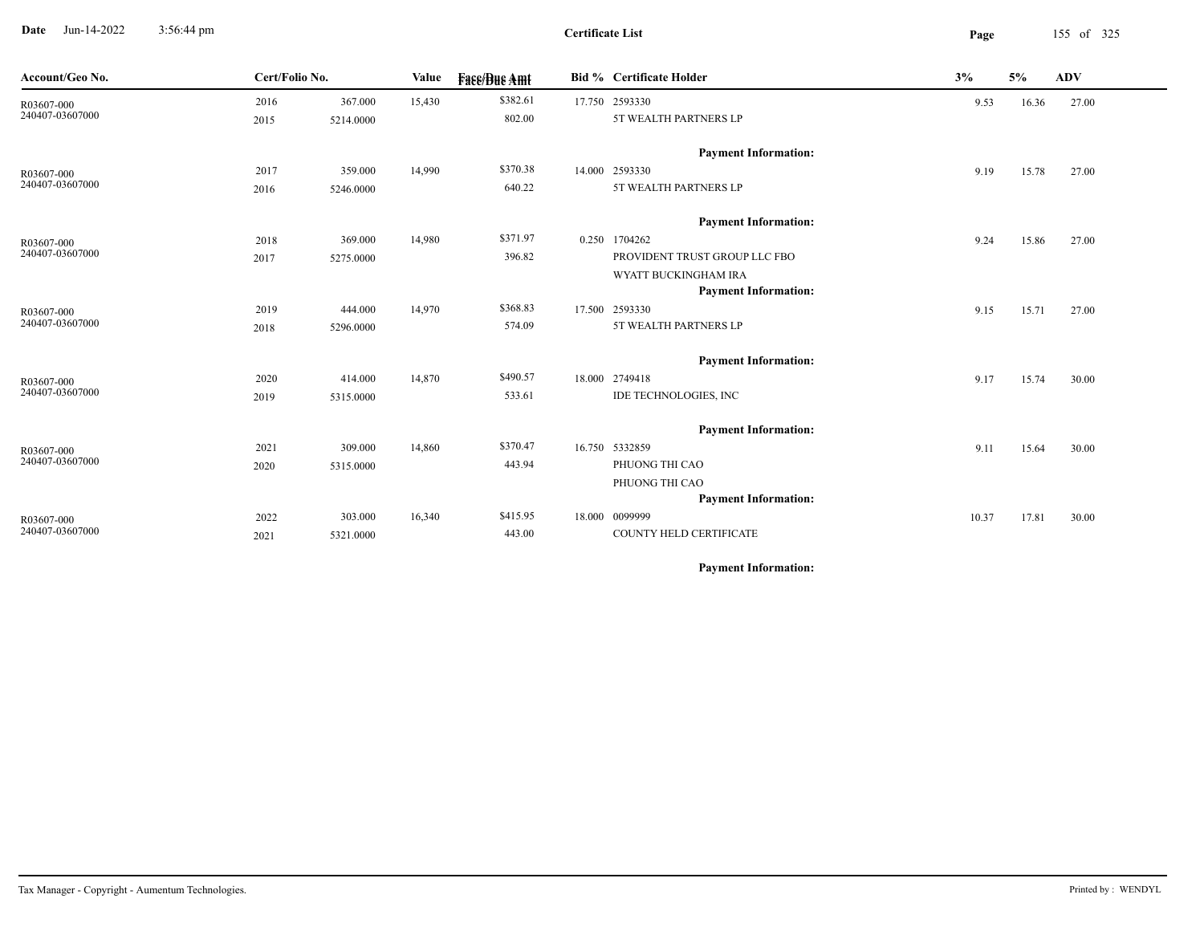**Date** Jun-14-2022 3:56:44 pm **Page** 155 of 325 3:56:44 pm

 $\overline{\phantom{a}}$ 

| Account/Geo No. | Cert/Folio No. |           | Value  | <b>Face/Bue Amt</b> | <b>Bid % Certificate Holder</b> | 3%    | 5%    | <b>ADV</b> |
|-----------------|----------------|-----------|--------|---------------------|---------------------------------|-------|-------|------------|
| R03607-000      | 2016           | 367.000   | 15,430 | \$382.61            | 17.750 2593330                  | 9.53  | 16.36 | 27.00      |
| 240407-03607000 | 2015           | 5214.0000 |        | 802.00              | 5T WEALTH PARTNERS LP           |       |       |            |
|                 |                |           |        |                     | <b>Payment Information:</b>     |       |       |            |
| R03607-000      | 2017           | 359.000   | 14,990 | \$370.38            | 14.000 2593330                  | 9.19  | 15.78 | 27.00      |
| 240407-03607000 | 2016           | 5246.0000 |        | 640.22              | 5T WEALTH PARTNERS LP           |       |       |            |
|                 |                |           |        |                     | <b>Payment Information:</b>     |       |       |            |
| R03607-000      | 2018           | 369.000   | 14,980 | \$371.97            | 0.250 1704262                   | 9.24  | 15.86 | 27.00      |
| 240407-03607000 | 2017           | 5275.0000 |        | 396.82              | PROVIDENT TRUST GROUP LLC FBO   |       |       |            |
|                 |                |           |        |                     | WYATT BUCKINGHAM IRA            |       |       |            |
|                 |                |           |        |                     | <b>Payment Information:</b>     |       |       |            |
| R03607-000      | 2019           | 444.000   | 14,970 | \$368.83            | 17.500 2593330                  | 9.15  | 15.71 | 27.00      |
| 240407-03607000 | 2018           | 5296.0000 |        | 574.09              | 5T WEALTH PARTNERS LP           |       |       |            |
|                 |                |           |        |                     | <b>Payment Information:</b>     |       |       |            |
| R03607-000      | 2020           | 414.000   | 14,870 | \$490.57            | 18.000 2749418                  | 9.17  | 15.74 | 30.00      |
| 240407-03607000 | 2019           | 5315.0000 |        | 533.61              | IDE TECHNOLOGIES, INC           |       |       |            |
|                 |                |           |        |                     | <b>Payment Information:</b>     |       |       |            |
| R03607-000      | 2021           | 309.000   | 14,860 | \$370.47            | 16.750 5332859                  | 9.11  | 15.64 | 30.00      |
| 240407-03607000 | 2020           | 5315.0000 |        | 443.94              | PHUONG THI CAO                  |       |       |            |
|                 |                |           |        |                     | PHUONG THI CAO                  |       |       |            |
|                 |                |           |        |                     | <b>Payment Information:</b>     |       |       |            |
| R03607-000      | 2022           | 303.000   | 16,340 | \$415.95            | 18.000 0099999                  | 10.37 | 17.81 | 30.00      |
| 240407-03607000 | 2021           | 5321.0000 |        | 443.00              | COUNTY HELD CERTIFICATE         |       |       |            |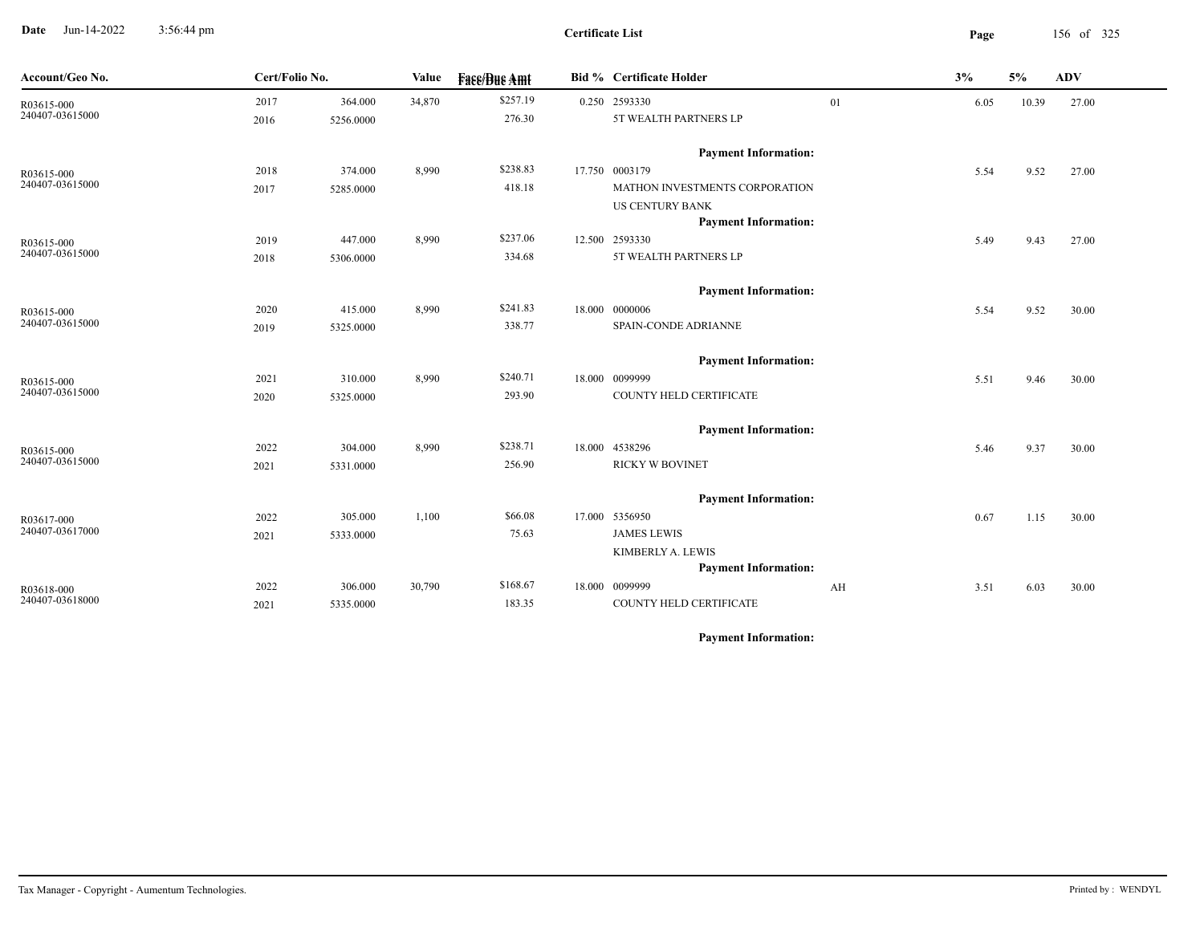**Date** Jun-14-2022 3:56:44 pm **Page** 156 of 325 3:56:44 pm

| Account/Geo No.               | Cert/Folio No. |           | Value  | <b>Fass/Bus Amt</b> | <b>Bid % Certificate Holder</b> |    | 3%   | 5%    | $\mathbf{ADV}$ |
|-------------------------------|----------------|-----------|--------|---------------------|---------------------------------|----|------|-------|----------------|
| R03615-000<br>240407-03615000 | 2017           | 364.000   | 34,870 | \$257.19            | 0.250 2593330                   | 01 | 6.05 | 10.39 | 27.00          |
|                               | 2016           | 5256.0000 |        | 276.30              | 5T WEALTH PARTNERS LP           |    |      |       |                |
|                               |                |           |        |                     | <b>Payment Information:</b>     |    |      |       |                |
| R03615-000                    | 2018           | 374.000   | 8,990  | \$238.83            | 17.750 0003179                  |    | 5.54 | 9.52  | 27.00          |
| 240407-03615000               | 2017           | 5285.0000 |        | 418.18              | MATHON INVESTMENTS CORPORATION  |    |      |       |                |
|                               |                |           |        |                     | <b>US CENTURY BANK</b>          |    |      |       |                |
|                               |                |           |        |                     | <b>Payment Information:</b>     |    |      |       |                |
| R03615-000                    | 2019           | 447.000   | 8,990  | \$237.06            | 12.500 2593330                  |    | 5.49 | 9.43  | 27.00          |
| 240407-03615000               | 2018           | 5306.0000 |        | 334.68              | 5T WEALTH PARTNERS LP           |    |      |       |                |
|                               |                |           |        |                     | <b>Payment Information:</b>     |    |      |       |                |
| R03615-000                    | 2020           | 415.000   | 8,990  | \$241.83            | 18.000 0000006                  |    | 5.54 | 9.52  | 30.00          |
| 240407-03615000               | 2019           | 5325.0000 |        | 338.77              | SPAIN-CONDE ADRIANNE            |    |      |       |                |
|                               |                |           |        |                     | <b>Payment Information:</b>     |    |      |       |                |
| R03615-000                    | 2021           | 310.000   | 8,990  | \$240.71            | 18.000 0099999                  |    | 5.51 | 9.46  | 30.00          |
| 240407-03615000               | 2020           | 5325.0000 |        | 293.90              | COUNTY HELD CERTIFICATE         |    |      |       |                |
|                               |                |           |        |                     | <b>Payment Information:</b>     |    |      |       |                |
| R03615-000                    | 2022           | 304.000   | 8,990  | \$238.71            | 18.000 4538296                  |    | 5.46 | 9.37  | 30.00          |
| 240407-03615000               | 2021           | 5331.0000 |        | 256.90              | <b>RICKY W BOVINET</b>          |    |      |       |                |
|                               |                |           |        |                     | <b>Payment Information:</b>     |    |      |       |                |
| R03617-000                    | 2022           | 305.000   | 1,100  | \$66.08             | 17.000 5356950                  |    | 0.67 | 1.15  | 30.00          |
| 240407-03617000               | 2021           | 5333.0000 |        | 75.63               | <b>JAMES LEWIS</b>              |    |      |       |                |
|                               |                |           |        |                     | KIMBERLY A. LEWIS               |    |      |       |                |
|                               |                |           |        |                     | <b>Payment Information:</b>     |    |      |       |                |
| R03618-000                    | 2022           | 306.000   | 30,790 | \$168.67            | 18.000 0099999                  | AH | 3.51 | 6.03  | 30.00          |
| 240407-03618000               | 2021           | 5335.0000 |        | 183.35              | COUNTY HELD CERTIFICATE         |    |      |       |                |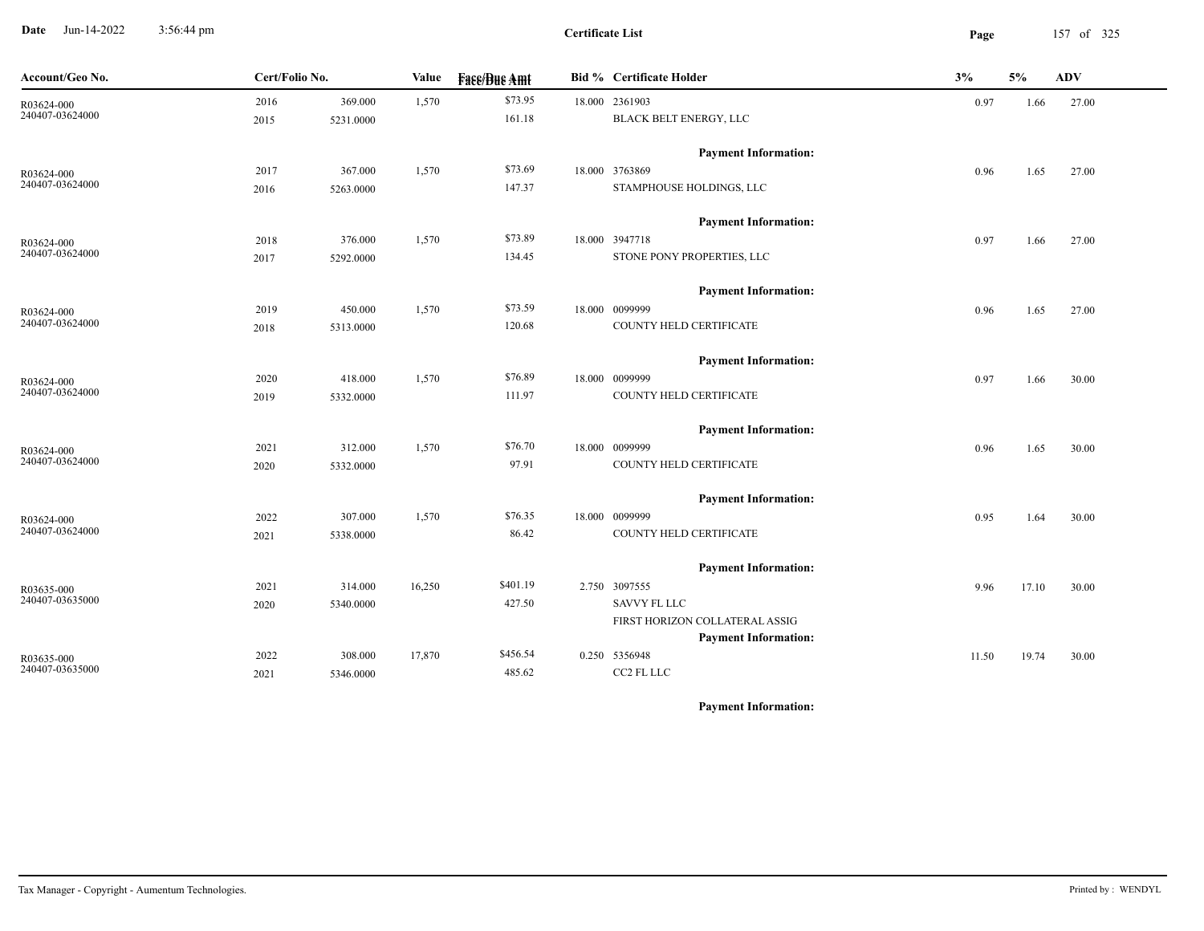**Date** Jun-14-2022 3:56:44 pm **Page** 157 of 325 3:56:44 pm

**Certificate List**

| Account/Geo No.               |      | Cert/Folio No.<br>Value |        | <b>Face/Bue Amt</b> |  | <b>Bid % Certificate Holder</b>              | 3%    | 5%    | ADV   |
|-------------------------------|------|-------------------------|--------|---------------------|--|----------------------------------------------|-------|-------|-------|
| R03624-000<br>240407-03624000 | 2016 | 369.000                 | 1,570  | \$73.95             |  | 18.000 2361903                               | 0.97  | 1.66  | 27.00 |
|                               | 2015 | 5231.0000               |        | 161.18              |  | BLACK BELT ENERGY, LLC                       |       |       |       |
|                               |      |                         |        |                     |  | <b>Payment Information:</b>                  |       |       |       |
| R03624-000                    | 2017 | 367.000                 | 1,570  | \$73.69             |  | 18.000 3763869                               | 0.96  | 1.65  | 27.00 |
| 240407-03624000               | 2016 | 5263.0000               |        | 147.37              |  | STAMPHOUSE HOLDINGS, LLC                     |       |       |       |
|                               |      |                         |        |                     |  | <b>Payment Information:</b>                  |       |       |       |
| R03624-000                    | 2018 | 376.000                 | 1,570  | \$73.89             |  | 18.000 3947718                               | 0.97  | 1.66  | 27.00 |
| 240407-03624000               | 2017 | 5292.0000               |        | 134.45              |  | STONE PONY PROPERTIES, LLC                   |       |       |       |
|                               |      |                         |        |                     |  | <b>Payment Information:</b>                  |       |       |       |
| R03624-000                    | 2019 | 450.000                 | 1,570  | \$73.59             |  | 18.000 0099999                               | 0.96  | 1.65  | 27.00 |
| 240407-03624000               | 2018 | 5313.0000               |        | 120.68              |  | COUNTY HELD CERTIFICATE                      |       |       |       |
|                               |      |                         |        |                     |  | <b>Payment Information:</b>                  |       |       |       |
| R03624-000                    | 2020 | 418.000                 | 1,570  | \$76.89             |  | 18.000 0099999                               | 0.97  | 1.66  | 30.00 |
| 240407-03624000               | 2019 | 5332.0000               |        | 111.97              |  | COUNTY HELD CERTIFICATE                      |       |       |       |
|                               |      |                         |        |                     |  | <b>Payment Information:</b>                  |       |       |       |
| R03624-000                    | 2021 | 312.000                 | 1,570  | \$76.70             |  | 18.000 0099999                               | 0.96  | 1.65  | 30.00 |
| 240407-03624000               | 2020 | 5332.0000               |        | 97.91               |  | COUNTY HELD CERTIFICATE                      |       |       |       |
|                               |      |                         |        |                     |  | <b>Payment Information:</b>                  |       |       |       |
| R03624-000                    | 2022 | 307.000                 | 1,570  | \$76.35             |  | 18.000 0099999                               | 0.95  | 1.64  | 30.00 |
| 240407-03624000               | 2021 | 5338.0000               |        | 86.42               |  | COUNTY HELD CERTIFICATE                      |       |       |       |
|                               |      |                         |        |                     |  | <b>Payment Information:</b>                  |       |       |       |
| R03635-000                    | 2021 | 314.000                 | 16,250 | \$401.19            |  | 2.750 3097555                                | 9.96  | 17.10 | 30.00 |
| 240407-03635000               | 2020 | 5340.0000               |        | 427.50              |  | <b>SAVVY FL LLC</b>                          |       |       |       |
|                               |      |                         |        |                     |  | FIRST HORIZON COLLATERAL ASSIG               |       |       |       |
|                               |      |                         | 17,870 | \$456.54            |  | <b>Payment Information:</b><br>0.250 5356948 |       |       |       |
| R03635-000<br>240407-03635000 | 2022 | 308.000                 |        | 485.62              |  | CC2 FL LLC                                   | 11.50 | 19.74 | 30.00 |
|                               | 2021 | 5346.0000               |        |                     |  |                                              |       |       |       |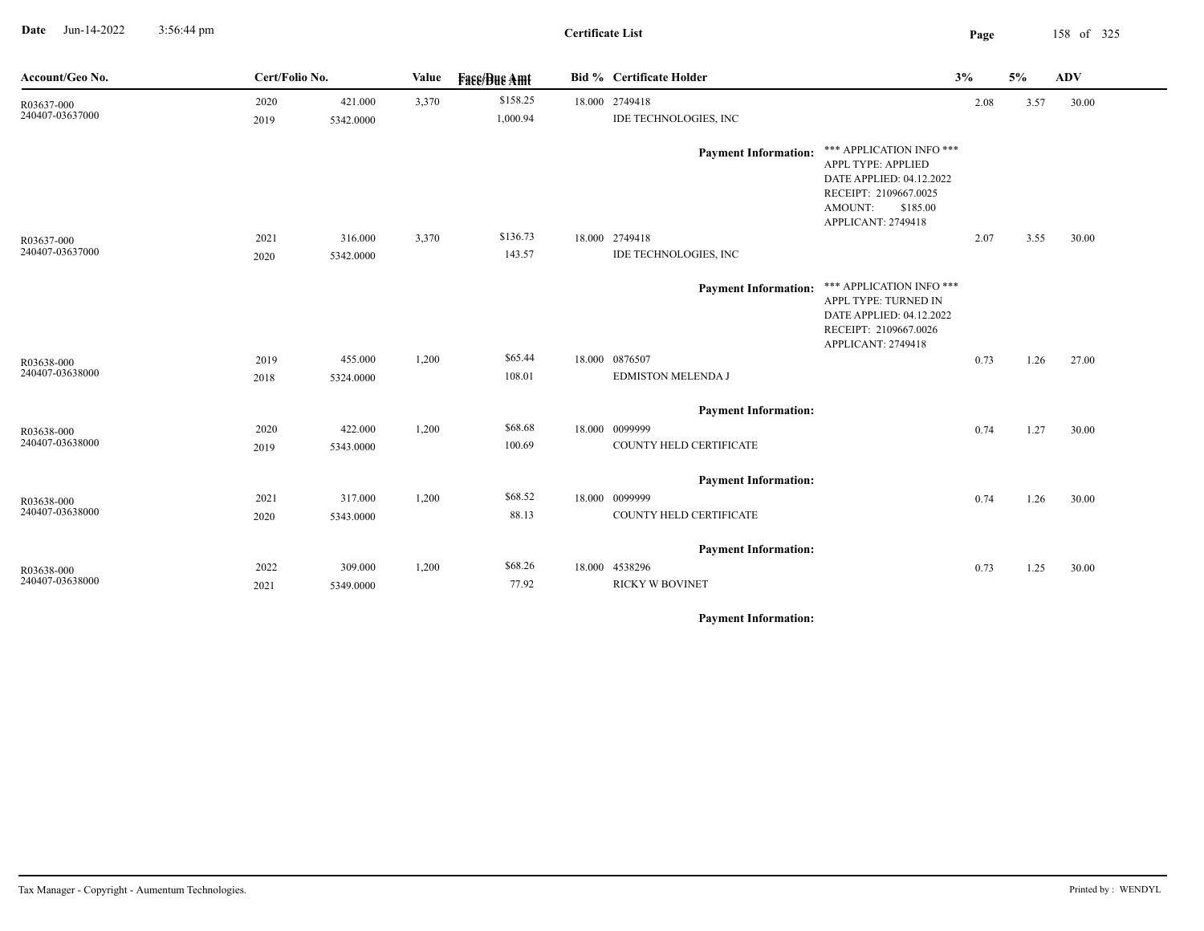**Date** Jun-14-2022 3:56:44 pm **Page** 158 of 325 3:56:44 pm

**Certificate List**

| Account/Geo No.               | Cert/Folio No. |           | Value | <b>Face/Bue Amt</b>  | <b>Bid % Certificate Holder</b>         | 3%                                                                                                                                               |      | 5%   | <b>ADV</b> |
|-------------------------------|----------------|-----------|-------|----------------------|-----------------------------------------|--------------------------------------------------------------------------------------------------------------------------------------------------|------|------|------------|
| R03637-000<br>240407-03637000 | 2020<br>2019   | 421.000   | 3,370 | \$158.25<br>1,000.94 | 18.000 2749418<br>IDE TECHNOLOGIES, INC |                                                                                                                                                  | 2.08 | 3.57 | 30.00      |
|                               |                | 5342.0000 |       |                      | <b>Payment Information:</b>             | *** APPLICATION INFO ***<br>APPL TYPE: APPLIED<br>DATE APPLIED: 04.12.2022<br>RECEIPT: 2109667.0025<br>AMOUNT:<br>\$185.00<br>APPLICANT: 2749418 |      |      |            |
| R03637-000<br>240407-03637000 | 2021           | 316.000   | 3,370 | \$136.73             | 18.000 2749418                          |                                                                                                                                                  | 2.07 | 3.55 | 30.00      |
|                               | 2020           | 5342.0000 |       | 143.57               | <b>IDE TECHNOLOGIES, INC</b>            |                                                                                                                                                  |      |      |            |
|                               |                |           |       |                      | <b>Payment Information:</b>             | *** APPLICATION INFO ***<br>APPL TYPE: TURNED IN<br>DATE APPLIED: 04.12.2022<br>RECEIPT: 2109667.0026<br>APPLICANT: 2749418                      |      |      |            |
| R03638-000                    | 2019           | 455.000   | 1,200 | \$65.44              | 18.000 0876507                          |                                                                                                                                                  | 0.73 | 1.26 | 27.00      |
| 240407-03638000               | 2018           | 5324.0000 |       | 108.01               | EDMISTON MELENDA J                      |                                                                                                                                                  |      |      |            |
|                               |                |           |       |                      | <b>Payment Information:</b>             |                                                                                                                                                  |      |      |            |
| R03638-000                    | 2020           | 422.000   | 1,200 | \$68.68              | 18.000 0099999                          |                                                                                                                                                  | 0.74 | 1.27 | 30.00      |
| 240407-03638000               | 2019           | 5343.0000 |       | 100.69               | COUNTY HELD CERTIFICATE                 |                                                                                                                                                  |      |      |            |
|                               |                |           |       |                      | <b>Payment Information:</b>             |                                                                                                                                                  |      |      |            |
| R03638-000                    | 2021           | 317.000   | 1,200 | \$68.52              | 18.000 0099999                          |                                                                                                                                                  | 0.74 | 1.26 | 30.00      |
| 240407-03638000               | 2020           | 5343.0000 |       | 88.13                | COUNTY HELD CERTIFICATE                 |                                                                                                                                                  |      |      |            |
|                               |                |           |       |                      | <b>Payment Information:</b>             |                                                                                                                                                  |      |      |            |
| R03638-000<br>240407-03638000 | 2022           | 309.000   | 1,200 | \$68.26              | 18.000 4538296                          |                                                                                                                                                  | 0.73 | 1.25 | 30.00      |
|                               | 2021           | 5349.0000 |       | 77.92                | <b>RICKY W BOVINET</b>                  |                                                                                                                                                  |      |      |            |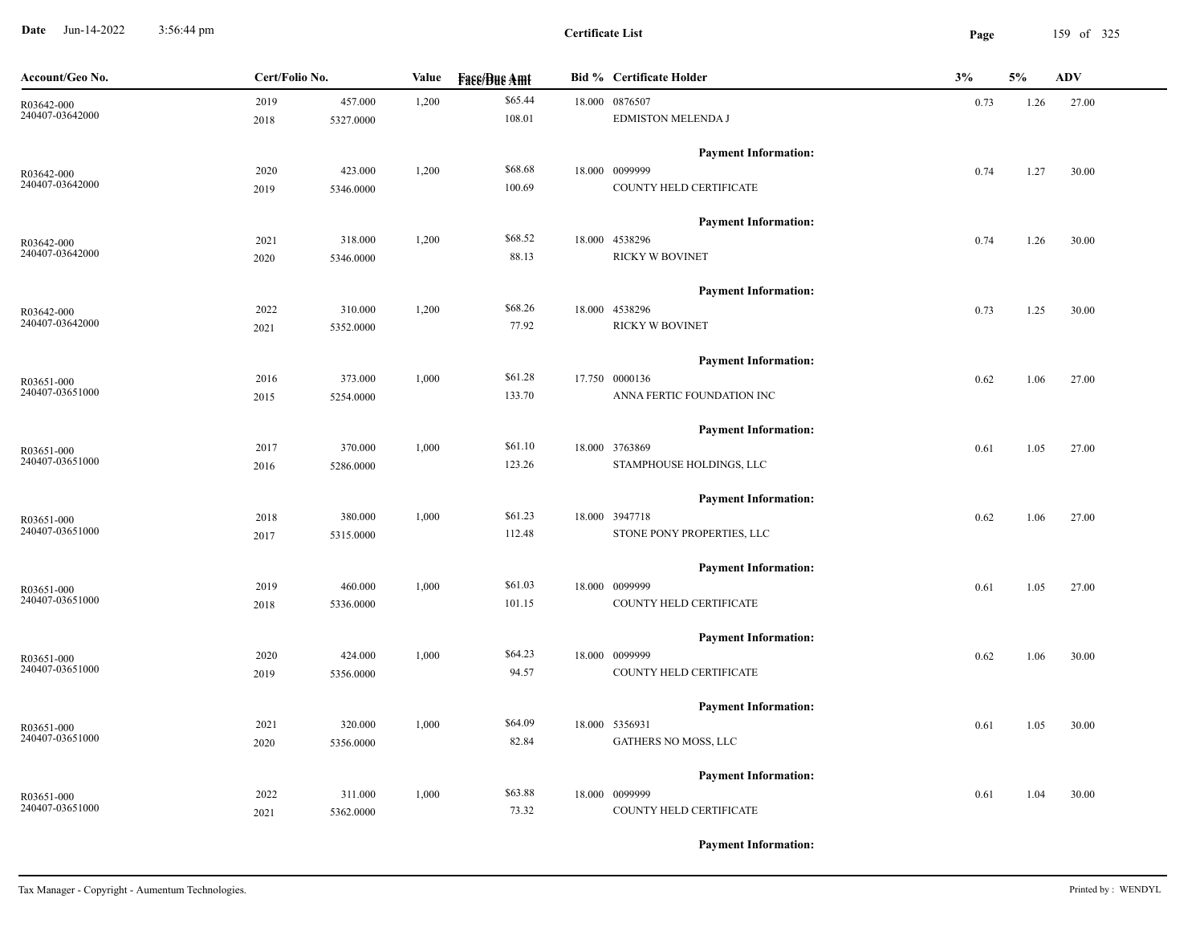**Date** Jun-14-2022 3:56:44 pm **Page** 159 of 325 3:56:44 pm

| Account/Geo No. | Cert/Folio No. |           | Value | <b>Face/Bue Amt</b> | <b>Bid % Certificate Holder</b> | 3%   | 5%   | <b>ADV</b> |
|-----------------|----------------|-----------|-------|---------------------|---------------------------------|------|------|------------|
| R03642-000      | 2019           | 457.000   | 1,200 | \$65.44             | 18.000 0876507                  | 0.73 | 1.26 | 27.00      |
| 240407-03642000 | 2018           | 5327.0000 |       | 108.01              | EDMISTON MELENDA J              |      |      |            |
|                 |                |           |       |                     | <b>Payment Information:</b>     |      |      |            |
| R03642-000      | 2020           | 423.000   | 1,200 | \$68.68             | 18.000 0099999                  | 0.74 | 1.27 | 30.00      |
| 240407-03642000 | 2019           | 5346.0000 |       | 100.69              | COUNTY HELD CERTIFICATE         |      |      |            |
|                 |                |           |       |                     | <b>Payment Information:</b>     |      |      |            |
| R03642-000      | 2021           | 318.000   | 1,200 | \$68.52             | 18.000 4538296                  | 0.74 | 1.26 | 30.00      |
| 240407-03642000 | 2020           | 5346.0000 |       | 88.13               | <b>RICKY W BOVINET</b>          |      |      |            |
|                 |                |           |       |                     | <b>Payment Information:</b>     |      |      |            |
| R03642-000      | 2022           | 310.000   | 1,200 | \$68.26             | 18.000 4538296                  | 0.73 | 1.25 | 30.00      |
| 240407-03642000 | 2021           | 5352.0000 |       | 77.92               | <b>RICKY W BOVINET</b>          |      |      |            |
|                 |                |           |       |                     | <b>Payment Information:</b>     |      |      |            |
| R03651-000      | 2016           | 373.000   | 1,000 | \$61.28             | 17.750 0000136                  | 0.62 | 1.06 | 27.00      |
| 240407-03651000 | 2015           | 5254.0000 |       | 133.70              | ANNA FERTIC FOUNDATION INC      |      |      |            |
|                 |                |           |       |                     | <b>Payment Information:</b>     |      |      |            |
| R03651-000      | 2017           | 370.000   | 1,000 | \$61.10             | 18.000 3763869                  | 0.61 | 1.05 | 27.00      |
| 240407-03651000 | 2016           | 5286.0000 |       | 123.26              | STAMPHOUSE HOLDINGS, LLC        |      |      |            |
|                 |                |           |       |                     | <b>Payment Information:</b>     |      |      |            |
| R03651-000      | 2018           | 380.000   | 1,000 | \$61.23             | 18.000 3947718                  | 0.62 | 1.06 | 27.00      |
| 240407-03651000 | 2017           | 5315.0000 |       | 112.48              | STONE PONY PROPERTIES, LLC      |      |      |            |
|                 |                |           |       |                     | <b>Payment Information:</b>     |      |      |            |
| R03651-000      | 2019           | 460.000   | 1,000 | \$61.03             | 18.000 0099999                  | 0.61 | 1.05 | 27.00      |
| 240407-03651000 | 2018           | 5336.0000 |       | 101.15              | COUNTY HELD CERTIFICATE         |      |      |            |
|                 |                |           |       |                     | <b>Payment Information:</b>     |      |      |            |
| R03651-000      | 2020           | 424.000   | 1,000 | \$64.23             | 18.000 0099999                  | 0.62 | 1.06 | 30.00      |
| 240407-03651000 | 2019           | 5356.0000 |       | 94.57               | COUNTY HELD CERTIFICATE         |      |      |            |
|                 |                |           |       |                     | <b>Payment Information:</b>     |      |      |            |
| R03651-000      | 2021           | 320.000   | 1,000 | \$64.09             | 18.000 5356931                  | 0.61 | 1.05 | 30.00      |
| 240407-03651000 | 2020           | 5356.0000 |       | 82.84               | GATHERS NO MOSS, LLC            |      |      |            |
|                 |                |           |       |                     | <b>Payment Information:</b>     |      |      |            |
| R03651-000      | 2022           | 311.000   | 1,000 | \$63.88             | 18.000 0099999                  | 0.61 | 1.04 | 30.00      |
| 240407-03651000 | 2021           | 5362.0000 |       | 73.32               | COUNTY HELD CERTIFICATE         |      |      |            |
|                 |                |           |       |                     |                                 |      |      |            |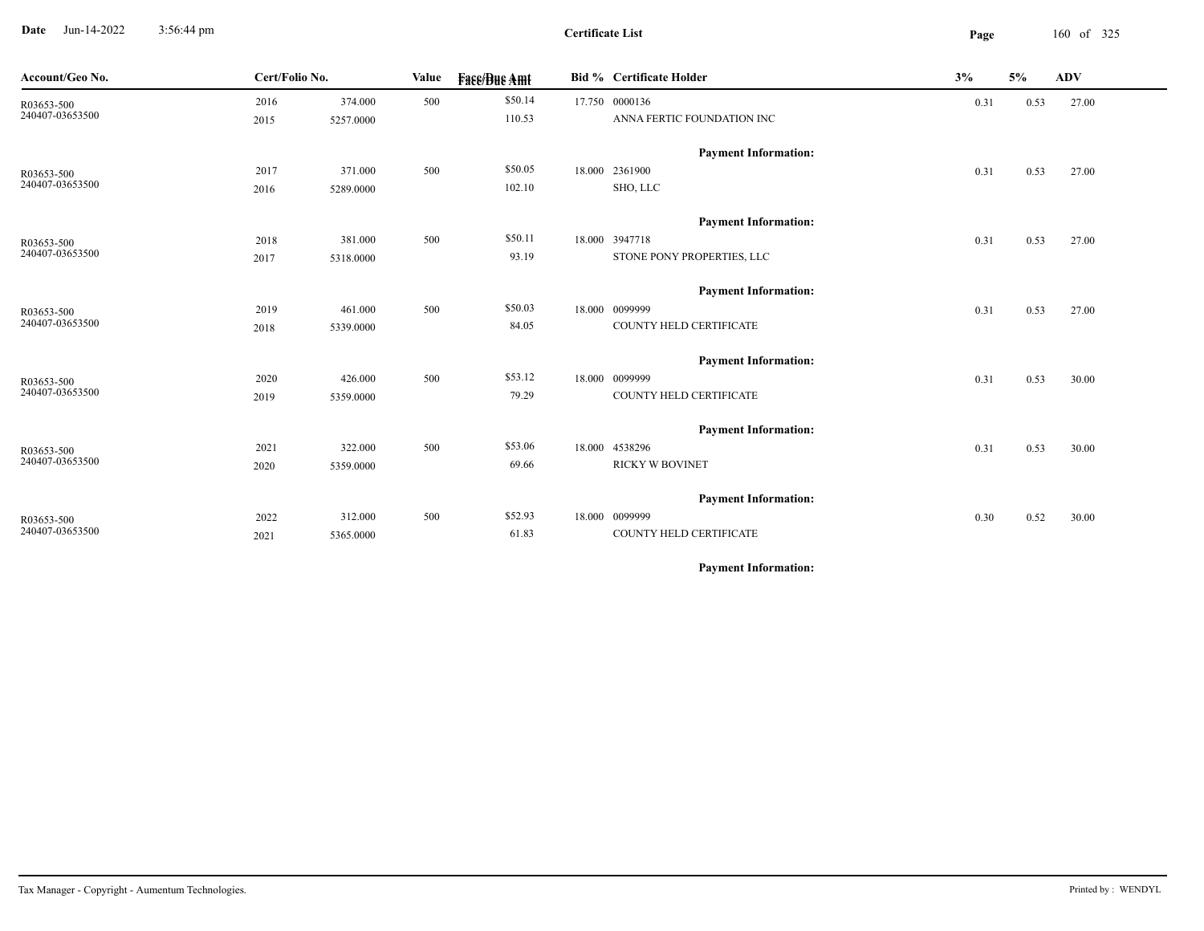**Date** Jun-14-2022 3:56:44 pm **Page** 160 of 325 3:56:44 pm

| Account/Geo No.               | Cert/Folio No. |                      | Value | <b>Face/Bue Amt</b> | Bid % Certificate Holder                      | 3%   | 5%   | <b>ADV</b> |
|-------------------------------|----------------|----------------------|-------|---------------------|-----------------------------------------------|------|------|------------|
| R03653-500                    | 2016           | 374.000              | 500   | \$50.14             | 17.750 0000136                                | 0.31 | 0.53 | 27.00      |
| 240407-03653500               | 2015           | 5257.0000            |       | 110.53              | ANNA FERTIC FOUNDATION INC                    |      |      |            |
|                               |                |                      |       |                     | <b>Payment Information:</b>                   |      |      |            |
| R03653-500                    | 2017           | 371.000              | 500   | \$50.05             | 18.000 2361900                                | 0.31 | 0.53 | 27.00      |
| 240407-03653500               | 2016           | 5289.0000            |       | 102.10              | SHO, LLC                                      |      |      |            |
|                               |                |                      |       |                     |                                               |      |      |            |
|                               |                |                      | 500   | \$50.11             | <b>Payment Information:</b><br>18.000 3947718 |      |      |            |
| R03653-500<br>240407-03653500 | 2018<br>2017   | 381.000<br>5318.0000 |       | 93.19               | STONE PONY PROPERTIES, LLC                    | 0.31 | 0.53 | 27.00      |
|                               |                |                      |       |                     |                                               |      |      |            |
|                               |                |                      |       |                     | <b>Payment Information:</b>                   |      |      |            |
| R03653-500                    | 2019           | 461.000              | 500   | \$50.03             | 18.000 0099999                                | 0.31 | 0.53 | 27.00      |
| 240407-03653500               | 2018           | 5339.0000            |       | 84.05               | COUNTY HELD CERTIFICATE                       |      |      |            |
|                               |                |                      |       |                     | <b>Payment Information:</b>                   |      |      |            |
| R03653-500                    | 2020           | 426.000              | 500   | \$53.12             | 18.000 0099999                                | 0.31 | 0.53 | 30.00      |
| 240407-03653500               | 2019           | 5359.0000            |       | 79.29               | COUNTY HELD CERTIFICATE                       |      |      |            |
|                               |                |                      |       |                     |                                               |      |      |            |
|                               |                |                      |       |                     | <b>Payment Information:</b>                   |      |      |            |
| R03653-500<br>240407-03653500 | 2021           | 322.000              | 500   | \$53.06             | 18.000 4538296                                | 0.31 | 0.53 | 30.00      |
|                               | 2020           | 5359.0000            |       | 69.66               | <b>RICKY W BOVINET</b>                        |      |      |            |
|                               |                |                      |       |                     | <b>Payment Information:</b>                   |      |      |            |
| R03653-500                    | 2022           | 312.000              | 500   | \$52.93             | 18.000 0099999                                | 0.30 | 0.52 | 30.00      |
| 240407-03653500               | 2021           | 5365.0000            |       | 61.83               | COUNTY HELD CERTIFICATE                       |      |      |            |
|                               |                |                      |       |                     |                                               |      |      |            |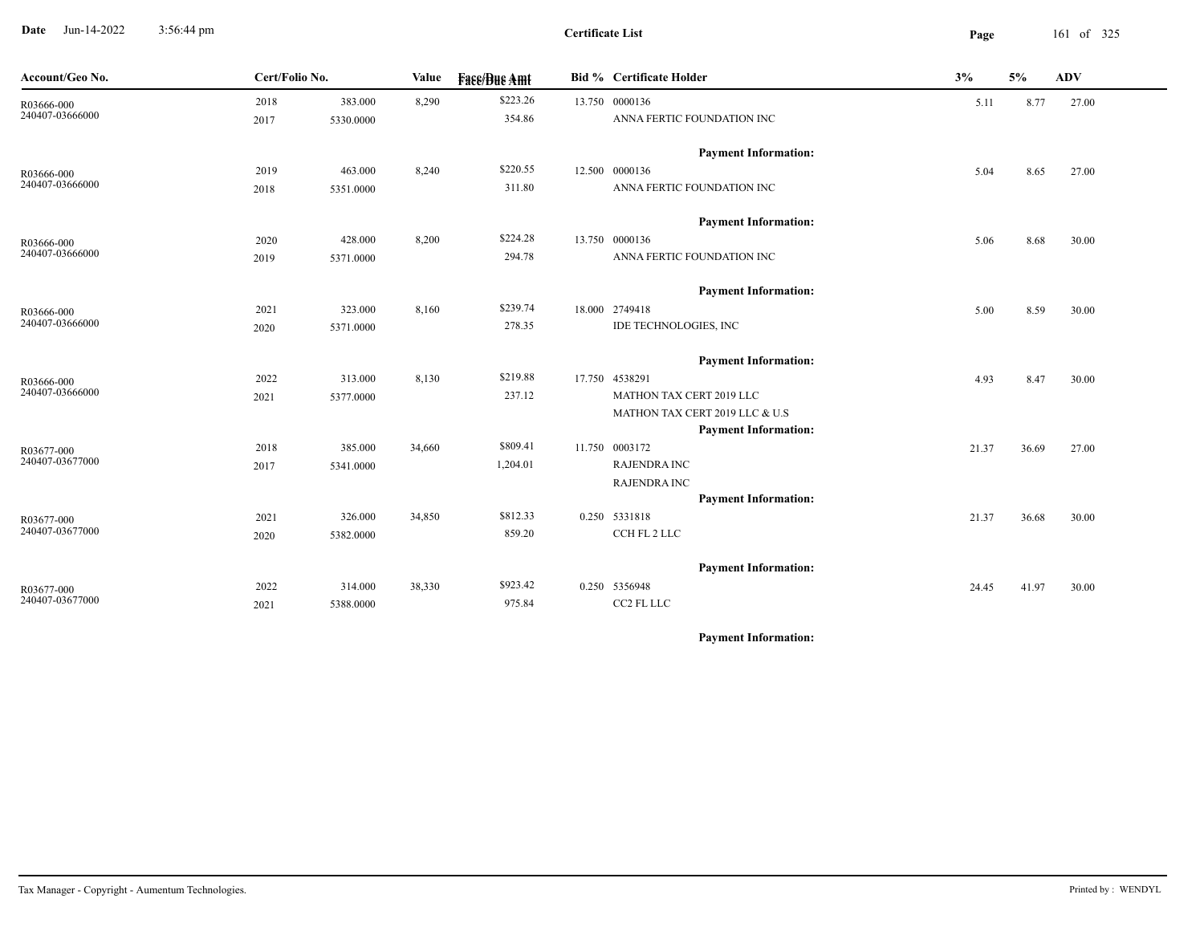**Date** Jun-14-2022 3:56:44 pm **Page** 161 of 325 3:56:44 pm

**Certificate List**

 $\overline{\phantom{a}}$ 

| Account/Geo No.               | Cert/Folio No. |           | Value  | <b>Face/Bue Amt</b> | <b>Bid % Certificate Holder</b>                               | 3%    | 5%    | <b>ADV</b> |
|-------------------------------|----------------|-----------|--------|---------------------|---------------------------------------------------------------|-------|-------|------------|
| R03666-000                    | 2018           | 383.000   | 8,290  | \$223.26            | 13.750 0000136                                                | 5.11  | 8.77  | 27.00      |
| 240407-03666000               | 2017           | 5330.0000 |        | 354.86              | ANNA FERTIC FOUNDATION INC                                    |       |       |            |
|                               |                |           |        |                     | <b>Payment Information:</b>                                   |       |       |            |
| R03666-000                    | 2019           | 463.000   | 8,240  | \$220.55            | 12.500 0000136                                                | 5.04  | 8.65  | 27.00      |
| 240407-03666000               | 2018           | 5351.0000 |        | 311.80              | ANNA FERTIC FOUNDATION INC                                    |       |       |            |
|                               |                |           |        |                     | <b>Payment Information:</b>                                   |       |       |            |
| R03666-000                    | 2020           | 428.000   | 8,200  | \$224.28            | 13.750 0000136                                                | 5.06  | 8.68  | 30.00      |
| 240407-03666000               | 2019           | 5371.0000 |        | 294.78              | ANNA FERTIC FOUNDATION INC                                    |       |       |            |
|                               |                |           |        |                     | <b>Payment Information:</b>                                   |       |       |            |
| R03666-000                    | 2021           | 323.000   | 8,160  | \$239.74            | 18.000 2749418                                                | 5.00  | 8.59  | 30.00      |
| 240407-03666000               | 2020           | 5371.0000 |        | 278.35              | IDE TECHNOLOGIES, INC                                         |       |       |            |
|                               |                |           |        |                     | <b>Payment Information:</b>                                   |       |       |            |
| R03666-000                    | 2022           | 313.000   | 8,130  | \$219.88            | 17.750 4538291                                                | 4.93  | 8.47  | 30.00      |
| 240407-03666000               | 2021           | 5377.0000 |        | 237.12              | MATHON TAX CERT 2019 LLC                                      |       |       |            |
|                               |                |           |        |                     | MATHON TAX CERT 2019 LLC & U.S<br><b>Payment Information:</b> |       |       |            |
|                               | 2018           | 385.000   | 34,660 | \$809.41            | 11.750 0003172                                                | 21.37 | 36.69 | 27.00      |
| R03677-000<br>240407-03677000 | 2017           | 5341.0000 |        | 1,204.01            | <b>RAJENDRA INC</b>                                           |       |       |            |
|                               |                |           |        |                     | <b>RAJENDRA INC</b>                                           |       |       |            |
|                               |                |           |        |                     | <b>Payment Information:</b>                                   |       |       |            |
| R03677-000                    | 2021           | 326.000   | 34,850 | \$812.33            | 0.250 5331818                                                 | 21.37 | 36.68 | 30.00      |
| 240407-03677000               | 2020           | 5382.0000 |        | 859.20              | CCH FL 2 LLC                                                  |       |       |            |
|                               |                |           |        |                     | <b>Payment Information:</b>                                   |       |       |            |
| R03677-000                    | 2022           | 314.000   | 38,330 | \$923.42            | 0.250 5356948                                                 | 24.45 | 41.97 | 30.00      |
| 240407-03677000               | 2021           | 5388.0000 |        | 975.84              | CC2 FL LLC                                                    |       |       |            |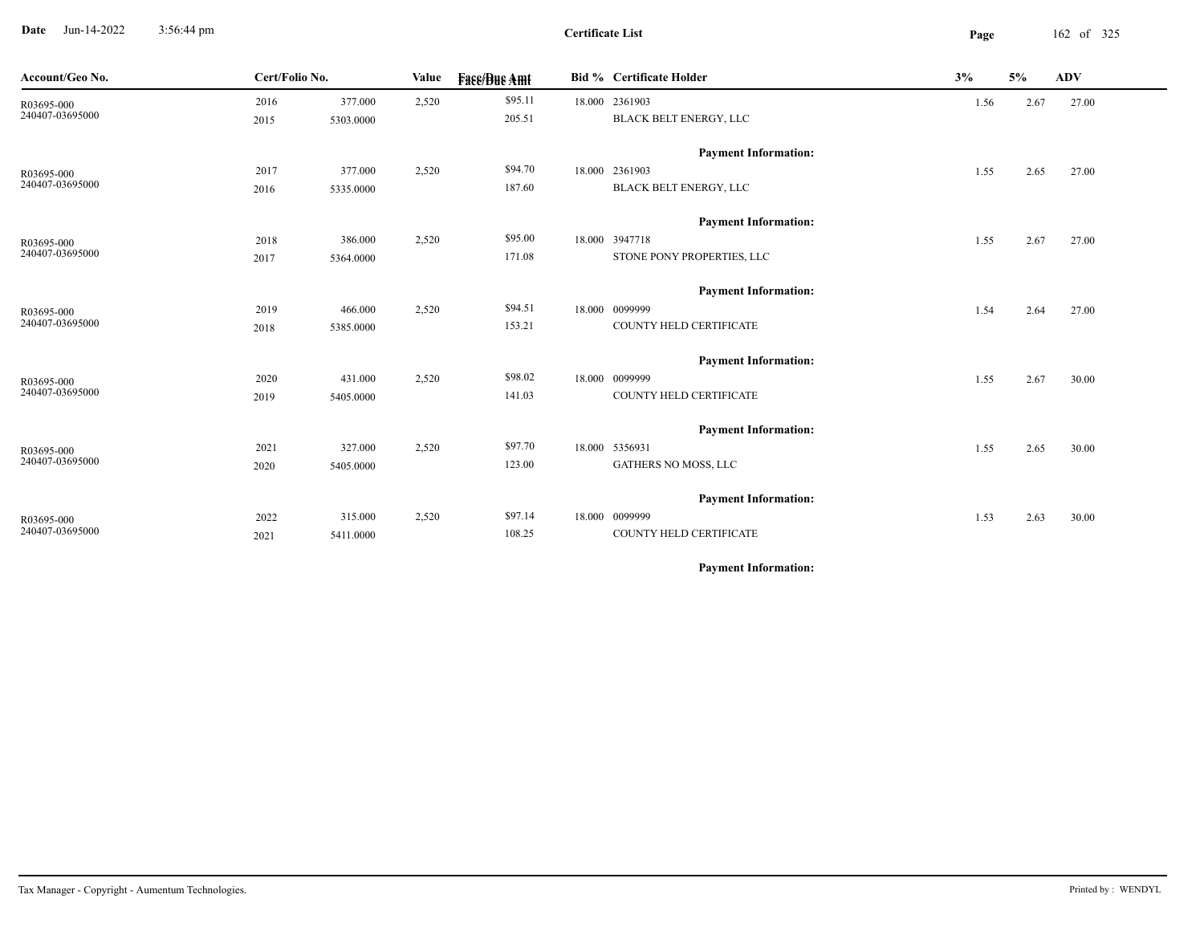**Date** Jun-14-2022 3:56:44 pm **Page** 162 of 325 3:56:44 pm

| Account/Geo No.               | Cert/Folio No. | Value     |       | <b>Face/Bue Amt</b> |  | Bid % Certificate Holder    | 3%<br>5% |      | ADV   |
|-------------------------------|----------------|-----------|-------|---------------------|--|-----------------------------|----------|------|-------|
| R03695-000                    | 2016           | 377.000   | 2,520 | \$95.11             |  | 18.000 2361903              | 1.56     | 2.67 | 27.00 |
| 240407-03695000               | 2015           | 5303.0000 |       | 205.51              |  | BLACK BELT ENERGY, LLC      |          |      |       |
|                               |                |           |       |                     |  | <b>Payment Information:</b> |          |      |       |
| R03695-000                    | 2017           | 377.000   | 2,520 | \$94.70             |  | 18.000 2361903              | 1.55     | 2.65 | 27.00 |
| 240407-03695000               | 2016           | 5335.0000 |       | 187.60              |  | BLACK BELT ENERGY, LLC      |          |      |       |
|                               |                |           |       |                     |  | <b>Payment Information:</b> |          |      |       |
|                               | 2018           | 386.000   | 2,520 | \$95.00             |  | 18.000 3947718              | 1.55     | 2.67 | 27.00 |
| R03695-000<br>240407-03695000 | 2017           | 5364.0000 |       | 171.08              |  | STONE PONY PROPERTIES, LLC  |          |      |       |
|                               |                |           |       |                     |  | <b>Payment Information:</b> |          |      |       |
| R03695-000                    | 2019           | 466.000   | 2,520 | \$94.51             |  | 18.000 0099999              | 1.54     | 2.64 | 27.00 |
| 240407-03695000               | 2018           | 5385.0000 |       | 153.21              |  | COUNTY HELD CERTIFICATE     |          |      |       |
|                               |                |           |       |                     |  | <b>Payment Information:</b> |          |      |       |
| R03695-000                    | 2020           | 431.000   | 2,520 | \$98.02             |  | 18.000 0099999              | 1.55     | 2.67 | 30.00 |
| 240407-03695000               | 2019           | 5405.0000 |       | 141.03              |  | COUNTY HELD CERTIFICATE     |          |      |       |
|                               |                |           |       |                     |  | <b>Payment Information:</b> |          |      |       |
| R03695-000                    | 2021           | 327.000   | 2,520 | \$97.70             |  | 18.000 5356931              | 1.55     | 2.65 | 30.00 |
| 240407-03695000               | 2020           | 5405.0000 |       | 123.00              |  | <b>GATHERS NO MOSS, LLC</b> |          |      |       |
|                               |                |           |       |                     |  | <b>Payment Information:</b> |          |      |       |
| R03695-000                    | 2022           | 315.000   | 2,520 | \$97.14             |  | 18.000 0099999              | 1.53     | 2.63 | 30.00 |
| 240407-03695000               | 2021           | 5411.0000 |       | 108.25              |  | COUNTY HELD CERTIFICATE     |          |      |       |
|                               |                |           |       |                     |  |                             |          |      |       |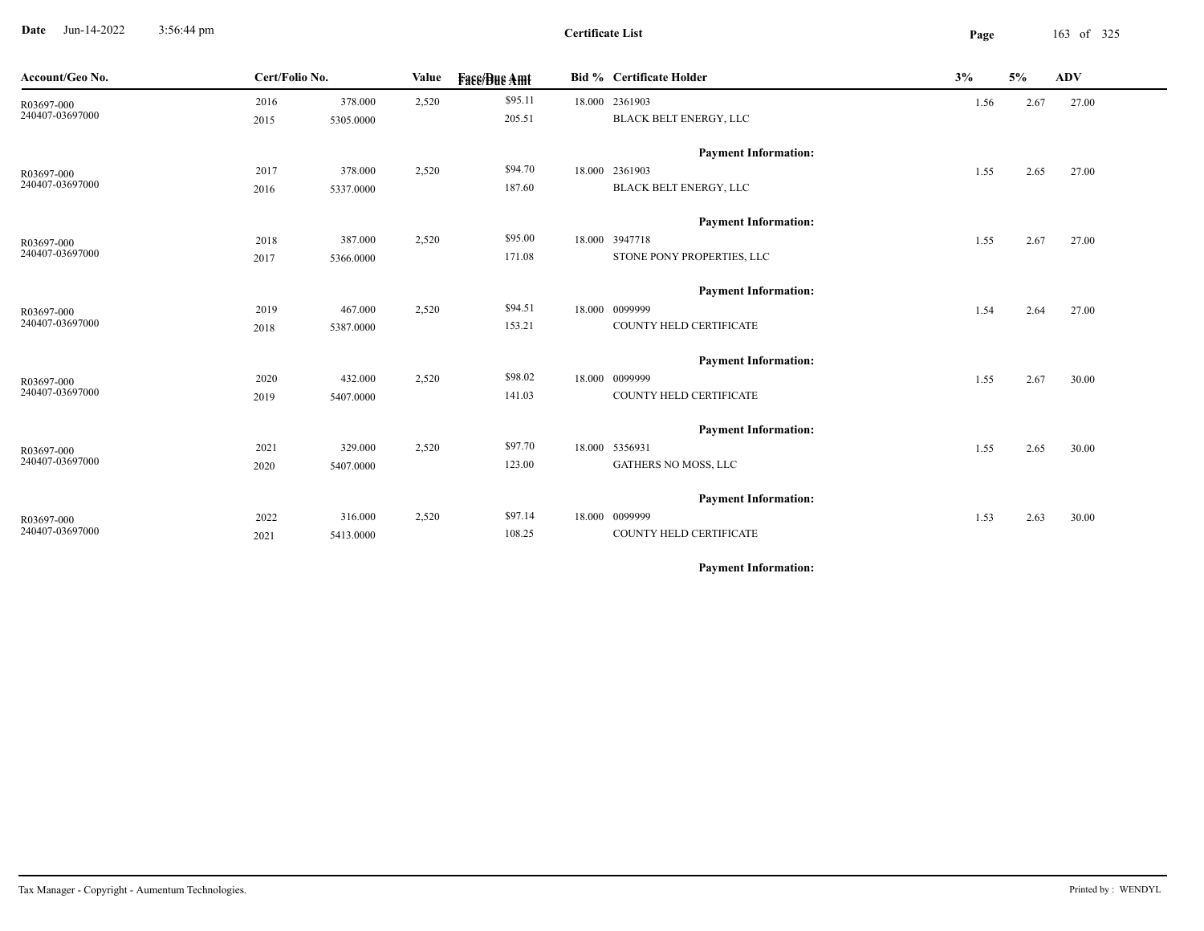**Date** Jun-14-2022 3:56:44 pm **Page** 163 of 325 3:56:44 pm

| Account/Geo No. | Cert/Folio No. |           | Value | <b>Fase/Bue Amt</b> | Bid % Certificate Holder    | 3%   | 5%   | <b>ADV</b> |
|-----------------|----------------|-----------|-------|---------------------|-----------------------------|------|------|------------|
| R03697-000      | 2016           | 378.000   | 2,520 | \$95.11             | 18.000 2361903              | 1.56 | 2.67 | 27.00      |
| 240407-03697000 | 2015           | 5305.0000 |       | 205.51              | BLACK BELT ENERGY, LLC      |      |      |            |
|                 |                |           |       |                     | <b>Payment Information:</b> |      |      |            |
| R03697-000      | 2017           | 378.000   | 2,520 | \$94.70             | 18.000 2361903              | 1.55 | 2.65 | 27.00      |
| 240407-03697000 | 2016           | 5337.0000 |       | 187.60              | BLACK BELT ENERGY, LLC      |      |      |            |
|                 |                |           |       |                     | <b>Payment Information:</b> |      |      |            |
| R03697-000      | 2018           | 387.000   | 2,520 | \$95.00             | 18.000 3947718              | 1.55 | 2.67 | 27.00      |
| 240407-03697000 | 2017           | 5366.0000 |       | 171.08              | STONE PONY PROPERTIES, LLC  |      |      |            |
|                 |                |           |       |                     | <b>Payment Information:</b> |      |      |            |
| R03697-000      | 2019           | 467.000   | 2,520 | \$94.51             | 18.000 0099999              | 1.54 | 2.64 | 27.00      |
| 240407-03697000 | 2018           | 5387.0000 |       | 153.21              | COUNTY HELD CERTIFICATE     |      |      |            |
|                 |                |           |       |                     | <b>Payment Information:</b> |      |      |            |
| R03697-000      | 2020           | 432.000   | 2,520 | \$98.02             | 18.000 0099999              | 1.55 | 2.67 | 30.00      |
| 240407-03697000 | 2019           | 5407.0000 |       | 141.03              | COUNTY HELD CERTIFICATE     |      |      |            |
|                 |                |           |       |                     | <b>Payment Information:</b> |      |      |            |
| R03697-000      | 2021           | 329.000   | 2,520 | \$97.70             | 18.000 5356931              | 1.55 | 2.65 | 30.00      |
| 240407-03697000 | 2020           | 5407.0000 |       | 123.00              | <b>GATHERS NO MOSS, LLC</b> |      |      |            |
|                 |                |           |       |                     | <b>Payment Information:</b> |      |      |            |
| R03697-000      | 2022           | 316.000   | 2,520 | \$97.14             | 18.000 0099999              | 1.53 | 2.63 | 30.00      |
| 240407-03697000 | 2021           | 5413.0000 |       | 108.25              | COUNTY HELD CERTIFICATE     |      |      |            |
|                 |                |           |       |                     |                             |      |      |            |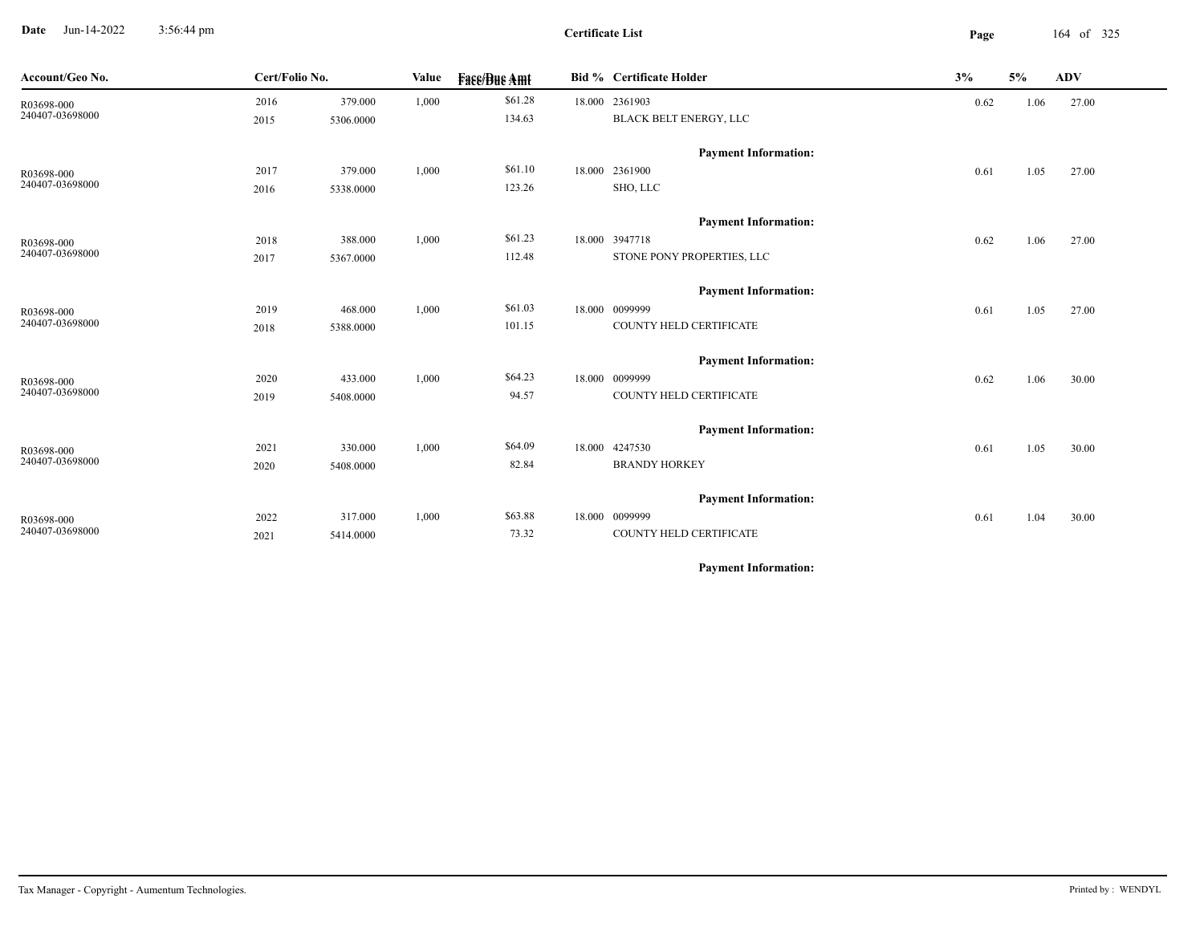**Date** Jun-14-2022 3:56:44 pm **Page** 164 of 325 3:56:44 pm

**Certificate List**

| Account/Geo No. | Cert/Folio No. | Value     |       | <b>Fase/Bue Amt</b> |  | <b>Bid % Certificate Holder</b> | 3%   | 5%   | <b>ADV</b> |
|-----------------|----------------|-----------|-------|---------------------|--|---------------------------------|------|------|------------|
| R03698-000      | 2016           | 379.000   | 1,000 | \$61.28             |  | 18.000 2361903                  | 0.62 | 1.06 | 27.00      |
| 240407-03698000 | 2015           | 5306.0000 |       | 134.63              |  | BLACK BELT ENERGY, LLC          |      |      |            |
|                 |                |           |       |                     |  | <b>Payment Information:</b>     |      |      |            |
| R03698-000      | 2017           | 379.000   | 1,000 | \$61.10             |  | 18.000 2361900                  | 0.61 | 1.05 | 27.00      |
| 240407-03698000 | 2016           | 5338.0000 |       | 123.26              |  | SHO, LLC                        |      |      |            |
|                 |                |           |       |                     |  | <b>Payment Information:</b>     |      |      |            |
| R03698-000      | 2018           | 388.000   | 1,000 | \$61.23             |  | 18.000 3947718                  | 0.62 | 1.06 | 27.00      |
| 240407-03698000 | 2017           | 5367.0000 |       | 112.48              |  | STONE PONY PROPERTIES, LLC      |      |      |            |
|                 |                |           |       |                     |  | <b>Payment Information:</b>     |      |      |            |
| R03698-000      | 2019           | 468.000   | 1,000 | \$61.03             |  | 18.000 0099999                  | 0.61 | 1.05 | 27.00      |
| 240407-03698000 | 2018           | 5388.0000 |       | 101.15              |  | COUNTY HELD CERTIFICATE         |      |      |            |
|                 |                |           |       |                     |  | <b>Payment Information:</b>     |      |      |            |
| R03698-000      | 2020           | 433.000   | 1,000 | \$64.23             |  | 18.000 0099999                  | 0.62 | 1.06 | 30.00      |
| 240407-03698000 | 2019           | 5408.0000 |       | 94.57               |  | COUNTY HELD CERTIFICATE         |      |      |            |
|                 |                |           |       |                     |  | <b>Payment Information:</b>     |      |      |            |
| R03698-000      | 2021           | 330.000   | 1,000 | \$64.09             |  | 18.000 4247530                  | 0.61 | 1.05 | 30.00      |
| 240407-03698000 | 2020           | 5408.0000 |       | 82.84               |  | <b>BRANDY HORKEY</b>            |      |      |            |
|                 |                |           |       |                     |  | <b>Payment Information:</b>     |      |      |            |
| R03698-000      | 2022           | 317.000   | 1,000 | \$63.88             |  | 18.000 0099999                  | 0.61 | 1.04 | 30.00      |
| 240407-03698000 | 2021           | 5414.0000 |       | 73.32               |  | COUNTY HELD CERTIFICATE         |      |      |            |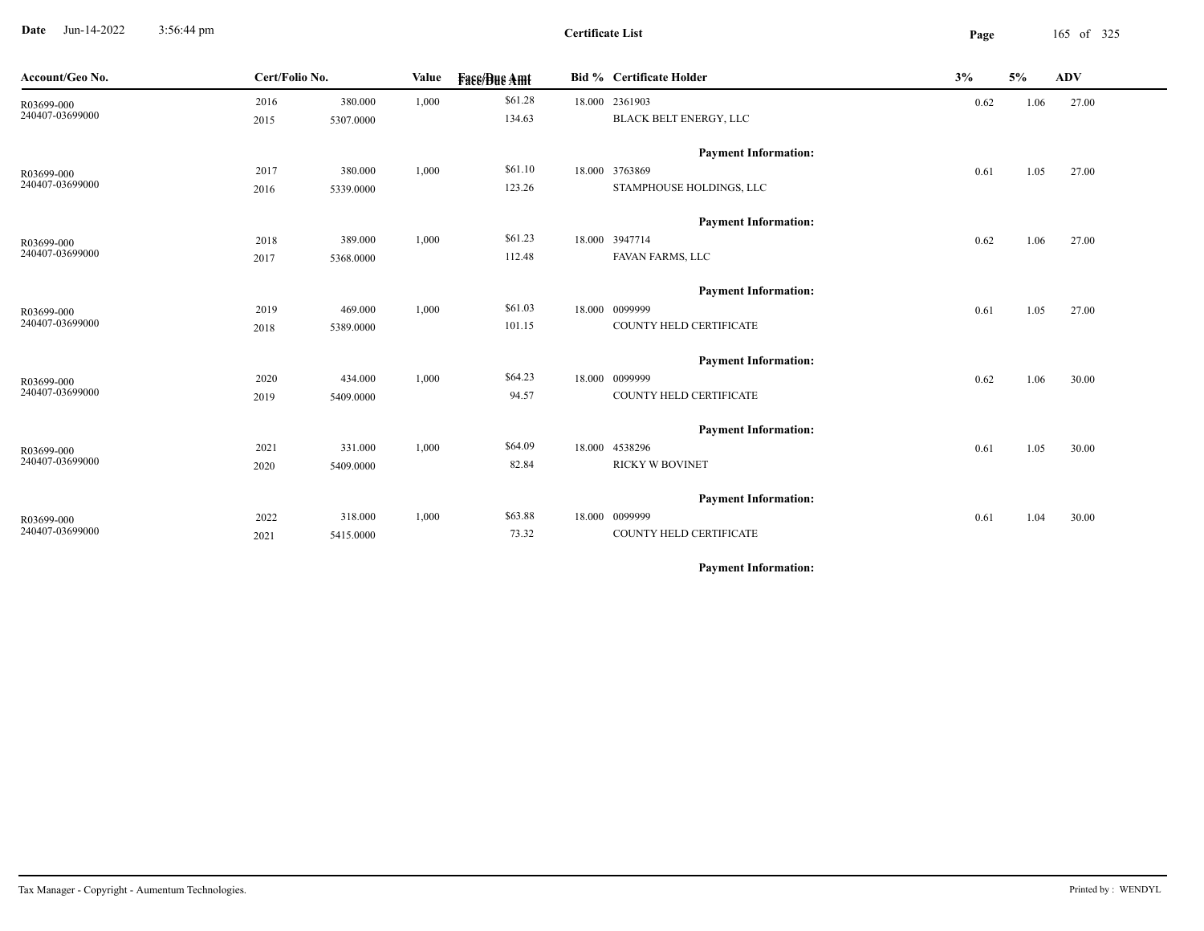**Date** Jun-14-2022 3:56:44 pm **Page** 165 of 325 3:56:44 pm

| Account/Geo No.               | Cert/Folio No. |           | Value | <b>Face/Bue Amt</b> | Bid % Certificate Holder                  | 3%   | 5%   | ADV   |
|-------------------------------|----------------|-----------|-------|---------------------|-------------------------------------------|------|------|-------|
| R03699-000                    | 2016           | 380.000   | 1,000 | \$61.28             | 18.000 2361903                            | 0.62 | 1.06 | 27.00 |
| 240407-03699000               | 2015           | 5307.0000 |       | 134.63              | BLACK BELT ENERGY, LLC                    |      |      |       |
|                               |                |           |       |                     | <b>Payment Information:</b>               |      |      |       |
| R03699-000                    | 2017           | 380.000   | 1,000 | \$61.10             | 18.000 3763869                            | 0.61 | 1.05 | 27.00 |
| 240407-03699000               | 2016           | 5339.0000 |       | 123.26              | STAMPHOUSE HOLDINGS, LLC                  |      |      |       |
|                               |                |           |       |                     |                                           |      |      |       |
|                               |                |           |       |                     | <b>Payment Information:</b>               |      |      |       |
| R03699-000<br>240407-03699000 | 2018           | 389.000   | 1,000 | \$61.23             | 18.000 3947714                            | 0.62 | 1.06 | 27.00 |
|                               | 2017           | 5368.0000 |       | 112.48              | FAVAN FARMS, LLC                          |      |      |       |
|                               |                |           |       |                     | <b>Payment Information:</b>               |      |      |       |
| R03699-000                    | 2019           | 469.000   | 1,000 | \$61.03             | 18.000 0099999                            | 0.61 | 1.05 | 27.00 |
| 240407-03699000               | 2018           | 5389.0000 |       | 101.15              | COUNTY HELD CERTIFICATE                   |      |      |       |
|                               |                |           |       |                     |                                           |      |      |       |
|                               |                |           |       | \$64.23             | <b>Payment Information:</b>               |      |      |       |
| R03699-000<br>240407-03699000 | 2020           | 434.000   | 1,000 | 94.57               | 18.000 0099999<br>COUNTY HELD CERTIFICATE | 0.62 | 1.06 | 30.00 |
|                               | 2019           | 5409.0000 |       |                     |                                           |      |      |       |
|                               |                |           |       |                     | <b>Payment Information:</b>               |      |      |       |
| R03699-000                    | 2021           | 331.000   | 1,000 | \$64.09             | 18.000 4538296                            | 0.61 | 1.05 | 30.00 |
| 240407-03699000               | 2020           | 5409.0000 |       | 82.84               | <b>RICKY W BOVINET</b>                    |      |      |       |
|                               |                |           |       |                     | <b>Payment Information:</b>               |      |      |       |
|                               | 2022           | 318.000   | 1,000 | \$63.88             | 18.000 0099999                            |      |      |       |
| R03699-000<br>240407-03699000 | 2021           | 5415.0000 |       | 73.32               | COUNTY HELD CERTIFICATE                   | 0.61 | 1.04 | 30.00 |
|                               |                |           |       |                     |                                           |      |      |       |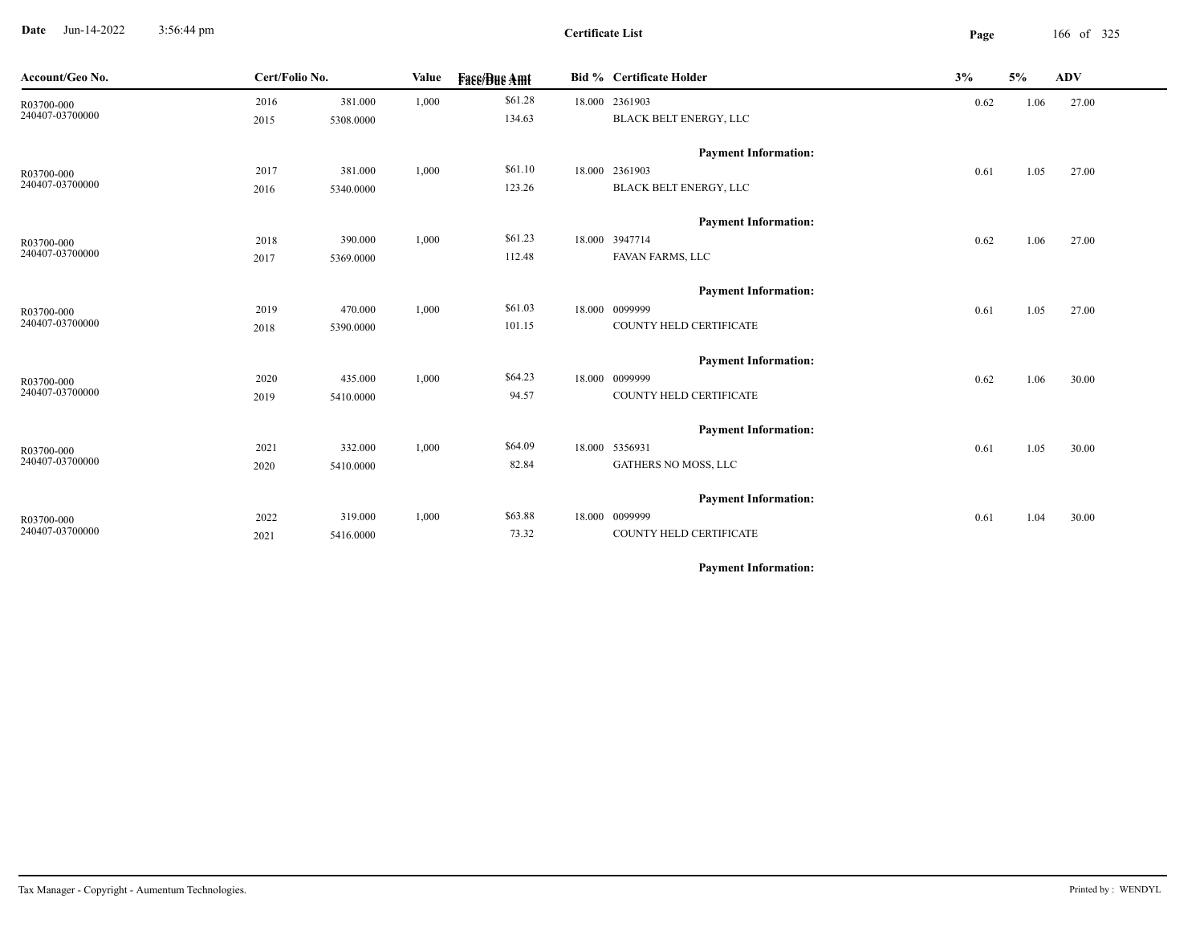**Date** Jun-14-2022 3:56:44 pm **Page** 166 of 325 3:56:44 pm

| Account/Geo No.               | Cert/Folio No. |           | Value | <b>Face/Bue Amt</b> | Bid % Certificate Holder           | 3%   | 5%   | ADV   |
|-------------------------------|----------------|-----------|-------|---------------------|------------------------------------|------|------|-------|
| R03700-000                    | 2016           | 381.000   | 1,000 | \$61.28             | 18.000 2361903                     | 0.62 | 1.06 | 27.00 |
| 240407-03700000               | 2015           | 5308.0000 |       | 134.63              | BLACK BELT ENERGY, LLC             |      |      |       |
|                               |                |           |       |                     | <b>Payment Information:</b>        |      |      |       |
| R03700-000                    | 2017           | 381.000   | 1,000 | \$61.10             | 18.000 2361903                     | 0.61 | 1.05 | 27.00 |
| 240407-03700000               | 2016           | 5340.0000 |       | 123.26              | BLACK BELT ENERGY, LLC             |      |      |       |
|                               |                |           |       |                     |                                    |      |      |       |
|                               |                |           |       | \$61.23             | <b>Payment Information:</b>        |      |      |       |
| R03700-000<br>240407-03700000 | 2018           | 390.000   | 1,000 | 112.48              | 18.000 3947714<br>FAVAN FARMS, LLC | 0.62 | 1.06 | 27.00 |
|                               | 2017           | 5369.0000 |       |                     |                                    |      |      |       |
|                               |                |           |       |                     | <b>Payment Information:</b>        |      |      |       |
| R03700-000                    | 2019           | 470.000   | 1,000 | \$61.03             | 18.000 0099999                     | 0.61 | 1.05 | 27.00 |
| 240407-03700000               | 2018           | 5390.0000 |       | 101.15              | COUNTY HELD CERTIFICATE            |      |      |       |
|                               |                |           |       |                     | <b>Payment Information:</b>        |      |      |       |
| R03700-000                    | 2020           | 435.000   | 1,000 | \$64.23             | 18.000 0099999                     | 0.62 | 1.06 | 30.00 |
| 240407-03700000               | 2019           | 5410.0000 |       | 94.57               | COUNTY HELD CERTIFICATE            |      |      |       |
|                               |                |           |       |                     |                                    |      |      |       |
|                               |                |           |       |                     | <b>Payment Information:</b>        |      |      |       |
| R03700-000                    | 2021           | 332.000   | 1,000 | \$64.09             | 18.000 5356931                     | 0.61 | 1.05 | 30.00 |
| 240407-03700000               | 2020           | 5410.0000 |       | 82.84               | GATHERS NO MOSS, LLC               |      |      |       |
|                               |                |           |       |                     | <b>Payment Information:</b>        |      |      |       |
| R03700-000                    | 2022           | 319.000   | 1,000 | \$63.88             | 18.000 0099999                     | 0.61 | 1.04 | 30.00 |
| 240407-03700000               | 2021           | 5416.0000 |       | 73.32               | COUNTY HELD CERTIFICATE            |      |      |       |
|                               |                |           |       |                     |                                    |      |      |       |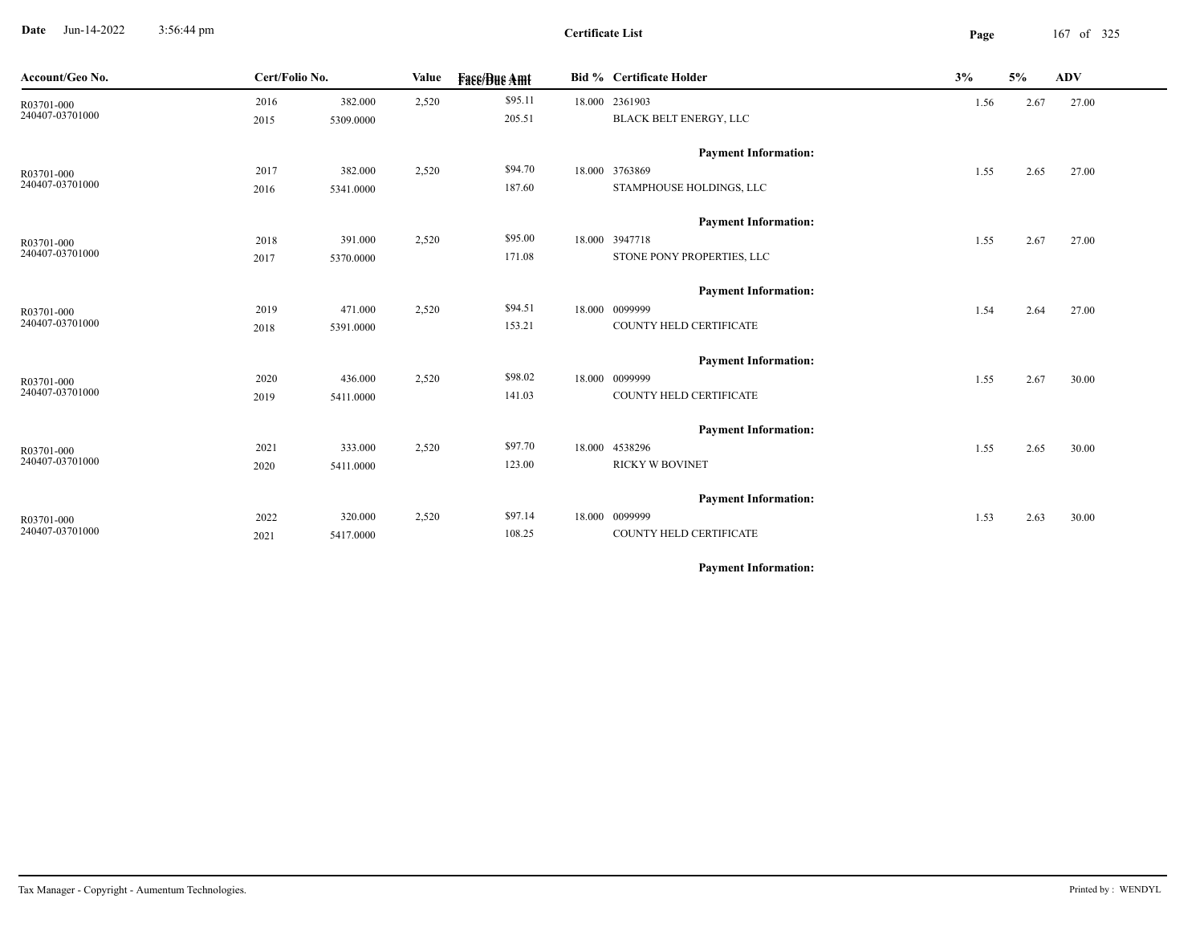**Date** Jun-14-2022 3:56:44 pm **Page** 167 of 325 3:56:44 pm

**Certificate List**

 $\overline{\phantom{a}}$ 

| Account/Geo No.               | Cert/Folio No. | Value     |       | <b>Face/Bue Amt</b> |  | <b>Bid % Certificate Holder</b>              | 3%   | 5%   | <b>ADV</b> |
|-------------------------------|----------------|-----------|-------|---------------------|--|----------------------------------------------|------|------|------------|
| R03701-000                    | 2016           | 382.000   | 2,520 | \$95.11             |  | 18.000 2361903                               | 1.56 | 2.67 | 27.00      |
| 240407-03701000               | 2015           | 5309.0000 |       | 205.51              |  | BLACK BELT ENERGY, LLC                       |      |      |            |
|                               |                |           |       |                     |  | <b>Payment Information:</b>                  |      |      |            |
| R03701-000                    | 2017           | 382.000   | 2,520 | \$94.70             |  | 18.000 3763869                               | 1.55 | 2.65 | 27.00      |
| 240407-03701000               | 2016           | 5341.0000 |       | 187.60              |  | STAMPHOUSE HOLDINGS, LLC                     |      |      |            |
|                               |                |           |       |                     |  |                                              |      |      |            |
|                               |                |           |       |                     |  | <b>Payment Information:</b>                  |      |      |            |
| R03701-000<br>240407-03701000 | 2018           | 391.000   | 2,520 | \$95.00<br>171.08   |  | 18.000 3947718<br>STONE PONY PROPERTIES, LLC | 1.55 | 2.67 | 27.00      |
|                               | 2017           | 5370.0000 |       |                     |  |                                              |      |      |            |
|                               |                |           |       |                     |  | <b>Payment Information:</b>                  |      |      |            |
| R03701-000                    | 2019           | 471.000   | 2,520 | \$94.51             |  | 18.000 0099999                               | 1.54 | 2.64 | 27.00      |
| 240407-03701000               | 2018           | 5391.0000 |       | 153.21              |  | COUNTY HELD CERTIFICATE                      |      |      |            |
|                               |                |           |       |                     |  | <b>Payment Information:</b>                  |      |      |            |
|                               | 2020           | 436.000   | 2,520 | \$98.02             |  | 18.000 0099999                               | 1.55 | 2.67 | 30.00      |
| R03701-000<br>240407-03701000 | 2019           | 5411.0000 |       | 141.03              |  | COUNTY HELD CERTIFICATE                      |      |      |            |
|                               |                |           |       |                     |  |                                              |      |      |            |
|                               |                |           |       |                     |  | <b>Payment Information:</b>                  |      |      |            |
| R03701-000<br>240407-03701000 | 2021           | 333.000   | 2,520 | \$97.70             |  | 18.000 4538296                               | 1.55 | 2.65 | 30.00      |
|                               | 2020           | 5411.0000 |       | 123.00              |  | <b>RICKY W BOVINET</b>                       |      |      |            |
|                               |                |           |       |                     |  | <b>Payment Information:</b>                  |      |      |            |
| R03701-000                    | 2022           | 320.000   | 2,520 | \$97.14             |  | 18.000 0099999                               | 1.53 | 2.63 | 30.00      |
| 240407-03701000               | 2021           | 5417.0000 |       | 108.25              |  | COUNTY HELD CERTIFICATE                      |      |      |            |
|                               |                |           |       |                     |  |                                              |      |      |            |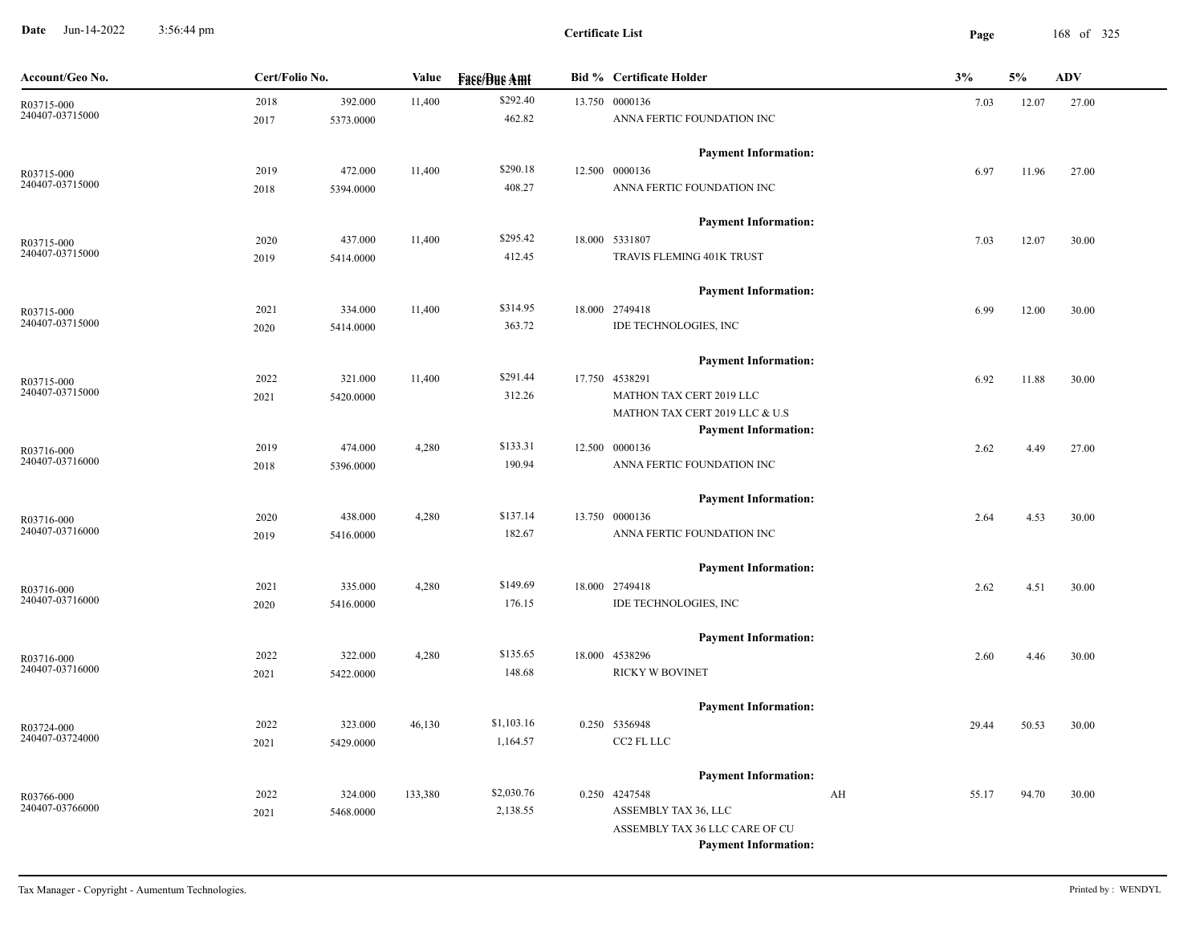**Date** Jun-14-2022 3:56:44 pm **Page** 168 of 325 3:56:44 pm

| \$292.40<br>13.750 0000136<br>2018<br>392.000<br>11,400<br>12.07<br>27.00<br>7.03<br>R03715-000<br>240407-03715000<br>462.82<br>ANNA FERTIC FOUNDATION INC<br>5373.0000<br>2017<br><b>Payment Information:</b><br>\$290.18<br>12.500 0000136<br>472.000<br>11,400<br>2019<br>6.97<br>11.96<br>27.00<br>R03715-000<br>240407-03715000<br>408.27<br>ANNA FERTIC FOUNDATION INC<br>5394.0000<br>2018<br><b>Payment Information:</b><br>\$295.42<br>18.000 5331807<br>437.000<br>11,400<br>2020<br>7.03<br>12.07<br>30.00<br>R03715-000<br>240407-03715000<br>412.45<br>TRAVIS FLEMING 401K TRUST<br>2019<br>5414.0000<br><b>Payment Information:</b><br>\$314.95<br>334.000<br>11,400<br>18.000 2749418<br>2021<br>12.00<br>6.99<br>30.00<br>R03715-000<br>240407-03715000<br>363.72<br>IDE TECHNOLOGIES, INC<br>5414.0000<br>2020<br><b>Payment Information:</b><br>\$291.44<br>17.750 4538291<br>2022<br>321.000<br>11,400<br>6.92<br>11.88<br>30.00<br>R03715-000<br>240407-03715000<br>312.26<br>MATHON TAX CERT 2019 LLC<br>2021<br>5420.0000<br>MATHON TAX CERT 2019 LLC & U.S<br><b>Payment Information:</b><br>\$133.31<br>4,280<br>12.500 0000136<br>2019<br>474.000<br>2.62<br>4.49<br>27.00<br>R03716-000<br>240407-03716000<br>190.94<br>ANNA FERTIC FOUNDATION INC<br>5396.0000<br>2018<br><b>Payment Information:</b><br>\$137.14<br>13.750 0000136<br>2020<br>438.000<br>4,280<br>4.53<br>2.64<br>30.00<br>R03716-000<br>182.67<br>ANNA FERTIC FOUNDATION INC<br>2019<br>5416.0000<br><b>Payment Information:</b><br>\$149.69<br>18.000 2749418<br>2021<br>335.000<br>4,280<br>2.62<br>4.51<br>30.00<br>R03716-000<br>240407-03716000<br>176.15<br>IDE TECHNOLOGIES, INC<br>5416.0000<br>2020<br><b>Payment Information:</b><br>\$135.65<br>2022<br>322.000<br>4,280<br>18.000 4538296<br>4.46<br>30.00<br>2.60<br>R03716-000<br>240407-03716000<br>RICKY W BOVINET<br>148.68<br>2021<br>5422.0000<br><b>Payment Information:</b><br>\$1,103.16<br>2022<br>323.000<br>46,130<br>0.250 5356948<br>29.44<br>50.53<br>30.00<br>R03724-000<br>240407-03724000<br>CC2 FL LLC<br>1,164.57<br>2021<br>5429.0000<br><b>Payment Information:</b><br>\$2,030.76<br>0.250 4247548<br>2022<br>324.000<br>133,380<br>AH<br>55.17<br>94.70<br>30.00<br>R03766-000<br>240407-03766000<br>2,138.55<br>ASSEMBLY TAX 36, LLC<br>2021<br>5468.0000<br>ASSEMBLY TAX 36 LLC CARE OF CU<br><b>Payment Information:</b> | Account/Geo No. | Cert/Folio No. | Value | <b>Fase/Bue Amt</b> | <b>Bid % Certificate Holder</b> | 3% | 5% | <b>ADV</b> |
|--------------------------------------------------------------------------------------------------------------------------------------------------------------------------------------------------------------------------------------------------------------------------------------------------------------------------------------------------------------------------------------------------------------------------------------------------------------------------------------------------------------------------------------------------------------------------------------------------------------------------------------------------------------------------------------------------------------------------------------------------------------------------------------------------------------------------------------------------------------------------------------------------------------------------------------------------------------------------------------------------------------------------------------------------------------------------------------------------------------------------------------------------------------------------------------------------------------------------------------------------------------------------------------------------------------------------------------------------------------------------------------------------------------------------------------------------------------------------------------------------------------------------------------------------------------------------------------------------------------------------------------------------------------------------------------------------------------------------------------------------------------------------------------------------------------------------------------------------------------------------------------------------------------------------------------------------------------------------------------------------------------------------------------------------------------------------------------------------------------------------------------------------------------------------------------------------------------------------------------------------------------------------------------------------------------------------------------------------------------------------------------------------------------|-----------------|----------------|-------|---------------------|---------------------------------|----|----|------------|
|                                                                                                                                                                                                                                                                                                                                                                                                                                                                                                                                                                                                                                                                                                                                                                                                                                                                                                                                                                                                                                                                                                                                                                                                                                                                                                                                                                                                                                                                                                                                                                                                                                                                                                                                                                                                                                                                                                                                                                                                                                                                                                                                                                                                                                                                                                                                                                                                              |                 |                |       |                     |                                 |    |    |            |
|                                                                                                                                                                                                                                                                                                                                                                                                                                                                                                                                                                                                                                                                                                                                                                                                                                                                                                                                                                                                                                                                                                                                                                                                                                                                                                                                                                                                                                                                                                                                                                                                                                                                                                                                                                                                                                                                                                                                                                                                                                                                                                                                                                                                                                                                                                                                                                                                              |                 |                |       |                     |                                 |    |    |            |
|                                                                                                                                                                                                                                                                                                                                                                                                                                                                                                                                                                                                                                                                                                                                                                                                                                                                                                                                                                                                                                                                                                                                                                                                                                                                                                                                                                                                                                                                                                                                                                                                                                                                                                                                                                                                                                                                                                                                                                                                                                                                                                                                                                                                                                                                                                                                                                                                              |                 |                |       |                     |                                 |    |    |            |
|                                                                                                                                                                                                                                                                                                                                                                                                                                                                                                                                                                                                                                                                                                                                                                                                                                                                                                                                                                                                                                                                                                                                                                                                                                                                                                                                                                                                                                                                                                                                                                                                                                                                                                                                                                                                                                                                                                                                                                                                                                                                                                                                                                                                                                                                                                                                                                                                              |                 |                |       |                     |                                 |    |    |            |
|                                                                                                                                                                                                                                                                                                                                                                                                                                                                                                                                                                                                                                                                                                                                                                                                                                                                                                                                                                                                                                                                                                                                                                                                                                                                                                                                                                                                                                                                                                                                                                                                                                                                                                                                                                                                                                                                                                                                                                                                                                                                                                                                                                                                                                                                                                                                                                                                              |                 |                |       |                     |                                 |    |    |            |
|                                                                                                                                                                                                                                                                                                                                                                                                                                                                                                                                                                                                                                                                                                                                                                                                                                                                                                                                                                                                                                                                                                                                                                                                                                                                                                                                                                                                                                                                                                                                                                                                                                                                                                                                                                                                                                                                                                                                                                                                                                                                                                                                                                                                                                                                                                                                                                                                              |                 |                |       |                     |                                 |    |    |            |
|                                                                                                                                                                                                                                                                                                                                                                                                                                                                                                                                                                                                                                                                                                                                                                                                                                                                                                                                                                                                                                                                                                                                                                                                                                                                                                                                                                                                                                                                                                                                                                                                                                                                                                                                                                                                                                                                                                                                                                                                                                                                                                                                                                                                                                                                                                                                                                                                              |                 |                |       |                     |                                 |    |    |            |
|                                                                                                                                                                                                                                                                                                                                                                                                                                                                                                                                                                                                                                                                                                                                                                                                                                                                                                                                                                                                                                                                                                                                                                                                                                                                                                                                                                                                                                                                                                                                                                                                                                                                                                                                                                                                                                                                                                                                                                                                                                                                                                                                                                                                                                                                                                                                                                                                              |                 |                |       |                     |                                 |    |    |            |
|                                                                                                                                                                                                                                                                                                                                                                                                                                                                                                                                                                                                                                                                                                                                                                                                                                                                                                                                                                                                                                                                                                                                                                                                                                                                                                                                                                                                                                                                                                                                                                                                                                                                                                                                                                                                                                                                                                                                                                                                                                                                                                                                                                                                                                                                                                                                                                                                              |                 |                |       |                     |                                 |    |    |            |
|                                                                                                                                                                                                                                                                                                                                                                                                                                                                                                                                                                                                                                                                                                                                                                                                                                                                                                                                                                                                                                                                                                                                                                                                                                                                                                                                                                                                                                                                                                                                                                                                                                                                                                                                                                                                                                                                                                                                                                                                                                                                                                                                                                                                                                                                                                                                                                                                              |                 |                |       |                     |                                 |    |    |            |
|                                                                                                                                                                                                                                                                                                                                                                                                                                                                                                                                                                                                                                                                                                                                                                                                                                                                                                                                                                                                                                                                                                                                                                                                                                                                                                                                                                                                                                                                                                                                                                                                                                                                                                                                                                                                                                                                                                                                                                                                                                                                                                                                                                                                                                                                                                                                                                                                              |                 |                |       |                     |                                 |    |    |            |
|                                                                                                                                                                                                                                                                                                                                                                                                                                                                                                                                                                                                                                                                                                                                                                                                                                                                                                                                                                                                                                                                                                                                                                                                                                                                                                                                                                                                                                                                                                                                                                                                                                                                                                                                                                                                                                                                                                                                                                                                                                                                                                                                                                                                                                                                                                                                                                                                              |                 |                |       |                     |                                 |    |    |            |
|                                                                                                                                                                                                                                                                                                                                                                                                                                                                                                                                                                                                                                                                                                                                                                                                                                                                                                                                                                                                                                                                                                                                                                                                                                                                                                                                                                                                                                                                                                                                                                                                                                                                                                                                                                                                                                                                                                                                                                                                                                                                                                                                                                                                                                                                                                                                                                                                              |                 |                |       |                     |                                 |    |    |            |
|                                                                                                                                                                                                                                                                                                                                                                                                                                                                                                                                                                                                                                                                                                                                                                                                                                                                                                                                                                                                                                                                                                                                                                                                                                                                                                                                                                                                                                                                                                                                                                                                                                                                                                                                                                                                                                                                                                                                                                                                                                                                                                                                                                                                                                                                                                                                                                                                              |                 |                |       |                     |                                 |    |    |            |
|                                                                                                                                                                                                                                                                                                                                                                                                                                                                                                                                                                                                                                                                                                                                                                                                                                                                                                                                                                                                                                                                                                                                                                                                                                                                                                                                                                                                                                                                                                                                                                                                                                                                                                                                                                                                                                                                                                                                                                                                                                                                                                                                                                                                                                                                                                                                                                                                              |                 |                |       |                     |                                 |    |    |            |
|                                                                                                                                                                                                                                                                                                                                                                                                                                                                                                                                                                                                                                                                                                                                                                                                                                                                                                                                                                                                                                                                                                                                                                                                                                                                                                                                                                                                                                                                                                                                                                                                                                                                                                                                                                                                                                                                                                                                                                                                                                                                                                                                                                                                                                                                                                                                                                                                              |                 |                |       |                     |                                 |    |    |            |
|                                                                                                                                                                                                                                                                                                                                                                                                                                                                                                                                                                                                                                                                                                                                                                                                                                                                                                                                                                                                                                                                                                                                                                                                                                                                                                                                                                                                                                                                                                                                                                                                                                                                                                                                                                                                                                                                                                                                                                                                                                                                                                                                                                                                                                                                                                                                                                                                              |                 |                |       |                     |                                 |    |    |            |
|                                                                                                                                                                                                                                                                                                                                                                                                                                                                                                                                                                                                                                                                                                                                                                                                                                                                                                                                                                                                                                                                                                                                                                                                                                                                                                                                                                                                                                                                                                                                                                                                                                                                                                                                                                                                                                                                                                                                                                                                                                                                                                                                                                                                                                                                                                                                                                                                              |                 |                |       |                     |                                 |    |    |            |
|                                                                                                                                                                                                                                                                                                                                                                                                                                                                                                                                                                                                                                                                                                                                                                                                                                                                                                                                                                                                                                                                                                                                                                                                                                                                                                                                                                                                                                                                                                                                                                                                                                                                                                                                                                                                                                                                                                                                                                                                                                                                                                                                                                                                                                                                                                                                                                                                              |                 |                |       |                     |                                 |    |    |            |
|                                                                                                                                                                                                                                                                                                                                                                                                                                                                                                                                                                                                                                                                                                                                                                                                                                                                                                                                                                                                                                                                                                                                                                                                                                                                                                                                                                                                                                                                                                                                                                                                                                                                                                                                                                                                                                                                                                                                                                                                                                                                                                                                                                                                                                                                                                                                                                                                              |                 |                |       |                     |                                 |    |    |            |
|                                                                                                                                                                                                                                                                                                                                                                                                                                                                                                                                                                                                                                                                                                                                                                                                                                                                                                                                                                                                                                                                                                                                                                                                                                                                                                                                                                                                                                                                                                                                                                                                                                                                                                                                                                                                                                                                                                                                                                                                                                                                                                                                                                                                                                                                                                                                                                                                              | 240407-03716000 |                |       |                     |                                 |    |    |            |
|                                                                                                                                                                                                                                                                                                                                                                                                                                                                                                                                                                                                                                                                                                                                                                                                                                                                                                                                                                                                                                                                                                                                                                                                                                                                                                                                                                                                                                                                                                                                                                                                                                                                                                                                                                                                                                                                                                                                                                                                                                                                                                                                                                                                                                                                                                                                                                                                              |                 |                |       |                     |                                 |    |    |            |
|                                                                                                                                                                                                                                                                                                                                                                                                                                                                                                                                                                                                                                                                                                                                                                                                                                                                                                                                                                                                                                                                                                                                                                                                                                                                                                                                                                                                                                                                                                                                                                                                                                                                                                                                                                                                                                                                                                                                                                                                                                                                                                                                                                                                                                                                                                                                                                                                              |                 |                |       |                     |                                 |    |    |            |
|                                                                                                                                                                                                                                                                                                                                                                                                                                                                                                                                                                                                                                                                                                                                                                                                                                                                                                                                                                                                                                                                                                                                                                                                                                                                                                                                                                                                                                                                                                                                                                                                                                                                                                                                                                                                                                                                                                                                                                                                                                                                                                                                                                                                                                                                                                                                                                                                              |                 |                |       |                     |                                 |    |    |            |
|                                                                                                                                                                                                                                                                                                                                                                                                                                                                                                                                                                                                                                                                                                                                                                                                                                                                                                                                                                                                                                                                                                                                                                                                                                                                                                                                                                                                                                                                                                                                                                                                                                                                                                                                                                                                                                                                                                                                                                                                                                                                                                                                                                                                                                                                                                                                                                                                              |                 |                |       |                     |                                 |    |    |            |
|                                                                                                                                                                                                                                                                                                                                                                                                                                                                                                                                                                                                                                                                                                                                                                                                                                                                                                                                                                                                                                                                                                                                                                                                                                                                                                                                                                                                                                                                                                                                                                                                                                                                                                                                                                                                                                                                                                                                                                                                                                                                                                                                                                                                                                                                                                                                                                                                              |                 |                |       |                     |                                 |    |    |            |
|                                                                                                                                                                                                                                                                                                                                                                                                                                                                                                                                                                                                                                                                                                                                                                                                                                                                                                                                                                                                                                                                                                                                                                                                                                                                                                                                                                                                                                                                                                                                                                                                                                                                                                                                                                                                                                                                                                                                                                                                                                                                                                                                                                                                                                                                                                                                                                                                              |                 |                |       |                     |                                 |    |    |            |
|                                                                                                                                                                                                                                                                                                                                                                                                                                                                                                                                                                                                                                                                                                                                                                                                                                                                                                                                                                                                                                                                                                                                                                                                                                                                                                                                                                                                                                                                                                                                                                                                                                                                                                                                                                                                                                                                                                                                                                                                                                                                                                                                                                                                                                                                                                                                                                                                              |                 |                |       |                     |                                 |    |    |            |
|                                                                                                                                                                                                                                                                                                                                                                                                                                                                                                                                                                                                                                                                                                                                                                                                                                                                                                                                                                                                                                                                                                                                                                                                                                                                                                                                                                                                                                                                                                                                                                                                                                                                                                                                                                                                                                                                                                                                                                                                                                                                                                                                                                                                                                                                                                                                                                                                              |                 |                |       |                     |                                 |    |    |            |
|                                                                                                                                                                                                                                                                                                                                                                                                                                                                                                                                                                                                                                                                                                                                                                                                                                                                                                                                                                                                                                                                                                                                                                                                                                                                                                                                                                                                                                                                                                                                                                                                                                                                                                                                                                                                                                                                                                                                                                                                                                                                                                                                                                                                                                                                                                                                                                                                              |                 |                |       |                     |                                 |    |    |            |
|                                                                                                                                                                                                                                                                                                                                                                                                                                                                                                                                                                                                                                                                                                                                                                                                                                                                                                                                                                                                                                                                                                                                                                                                                                                                                                                                                                                                                                                                                                                                                                                                                                                                                                                                                                                                                                                                                                                                                                                                                                                                                                                                                                                                                                                                                                                                                                                                              |                 |                |       |                     |                                 |    |    |            |
|                                                                                                                                                                                                                                                                                                                                                                                                                                                                                                                                                                                                                                                                                                                                                                                                                                                                                                                                                                                                                                                                                                                                                                                                                                                                                                                                                                                                                                                                                                                                                                                                                                                                                                                                                                                                                                                                                                                                                                                                                                                                                                                                                                                                                                                                                                                                                                                                              |                 |                |       |                     |                                 |    |    |            |
|                                                                                                                                                                                                                                                                                                                                                                                                                                                                                                                                                                                                                                                                                                                                                                                                                                                                                                                                                                                                                                                                                                                                                                                                                                                                                                                                                                                                                                                                                                                                                                                                                                                                                                                                                                                                                                                                                                                                                                                                                                                                                                                                                                                                                                                                                                                                                                                                              |                 |                |       |                     |                                 |    |    |            |
|                                                                                                                                                                                                                                                                                                                                                                                                                                                                                                                                                                                                                                                                                                                                                                                                                                                                                                                                                                                                                                                                                                                                                                                                                                                                                                                                                                                                                                                                                                                                                                                                                                                                                                                                                                                                                                                                                                                                                                                                                                                                                                                                                                                                                                                                                                                                                                                                              |                 |                |       |                     |                                 |    |    |            |
|                                                                                                                                                                                                                                                                                                                                                                                                                                                                                                                                                                                                                                                                                                                                                                                                                                                                                                                                                                                                                                                                                                                                                                                                                                                                                                                                                                                                                                                                                                                                                                                                                                                                                                                                                                                                                                                                                                                                                                                                                                                                                                                                                                                                                                                                                                                                                                                                              |                 |                |       |                     |                                 |    |    |            |
|                                                                                                                                                                                                                                                                                                                                                                                                                                                                                                                                                                                                                                                                                                                                                                                                                                                                                                                                                                                                                                                                                                                                                                                                                                                                                                                                                                                                                                                                                                                                                                                                                                                                                                                                                                                                                                                                                                                                                                                                                                                                                                                                                                                                                                                                                                                                                                                                              |                 |                |       |                     |                                 |    |    |            |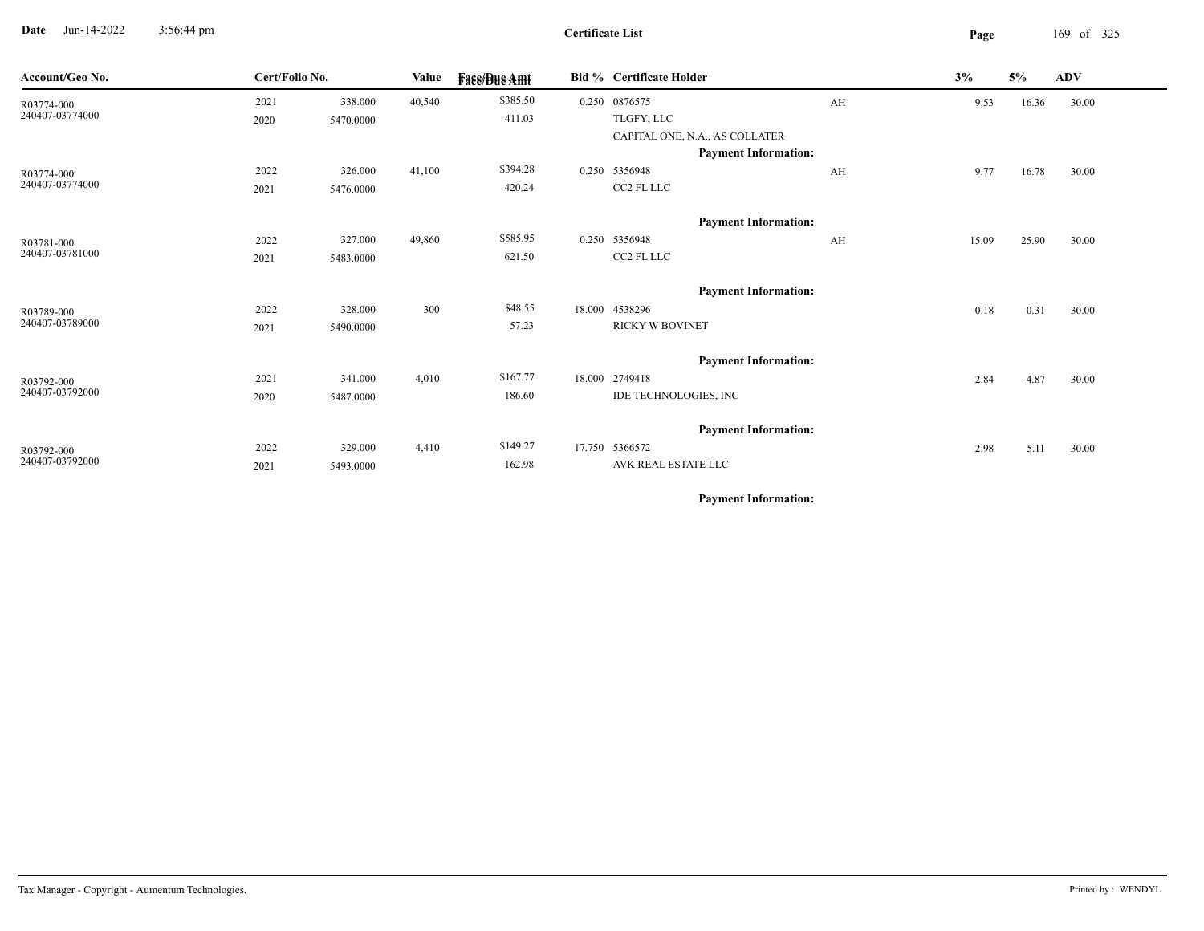**Date** Jun-14-2022 3:56:44 pm **Page** 169 of 325 3:56:44 pm

|                                                                                              | <b>Value</b>                                      | <b>Fase/Bue Amt</b> |                    |                                | 3%                                                                                                                                                                                                                |                |                                               |                    |                              |
|----------------------------------------------------------------------------------------------|---------------------------------------------------|---------------------|--------------------|--------------------------------|-------------------------------------------------------------------------------------------------------------------------------------------------------------------------------------------------------------------|----------------|-----------------------------------------------|--------------------|------------------------------|
| 338.000                                                                                      | 40,540                                            | \$385.50            |                    |                                |                                                                                                                                                                                                                   |                | 16.36                                         | 30.00              |                              |
| 5470.0000                                                                                    |                                                   | 411.03              |                    | TLGFY, LLC                     |                                                                                                                                                                                                                   |                |                                               |                    |                              |
|                                                                                              |                                                   |                     |                    | CAPITAL ONE, N.A., AS COLLATER |                                                                                                                                                                                                                   |                |                                               |                    |                              |
|                                                                                              |                                                   |                     |                    | <b>Payment Information:</b>    |                                                                                                                                                                                                                   |                |                                               |                    |                              |
| 326.000                                                                                      | 41,100                                            | \$394.28            |                    |                                |                                                                                                                                                                                                                   |                | 16.78                                         | 30.00              |                              |
| 5476.0000                                                                                    |                                                   | 420.24              |                    | CC2 FL LLC                     |                                                                                                                                                                                                                   |                |                                               |                    |                              |
|                                                                                              |                                                   |                     |                    | <b>Payment Information:</b>    |                                                                                                                                                                                                                   |                |                                               |                    |                              |
| 327.000                                                                                      | 49,860                                            | \$585.95            |                    |                                |                                                                                                                                                                                                                   |                | 25.90                                         | 30.00              |                              |
| 5483.0000                                                                                    |                                                   | 621.50              |                    | CC2 FL LLC                     |                                                                                                                                                                                                                   |                |                                               |                    |                              |
|                                                                                              |                                                   |                     |                    |                                |                                                                                                                                                                                                                   |                |                                               |                    |                              |
|                                                                                              |                                                   | \$48.55             |                    |                                |                                                                                                                                                                                                                   |                |                                               |                    |                              |
| 5490.0000                                                                                    |                                                   | 57.23               |                    | <b>RICKY W BOVINET</b>         |                                                                                                                                                                                                                   |                |                                               |                    |                              |
|                                                                                              |                                                   |                     |                    |                                |                                                                                                                                                                                                                   |                |                                               |                    |                              |
|                                                                                              |                                                   |                     |                    |                                |                                                                                                                                                                                                                   |                |                                               |                    |                              |
|                                                                                              |                                                   |                     |                    |                                |                                                                                                                                                                                                                   |                |                                               |                    |                              |
|                                                                                              |                                                   |                     |                    |                                |                                                                                                                                                                                                                   |                |                                               |                    |                              |
|                                                                                              |                                                   |                     |                    | <b>Payment Information:</b>    |                                                                                                                                                                                                                   |                |                                               |                    |                              |
| 329.000                                                                                      | 4,410                                             | \$149.27            | 17.750             |                                |                                                                                                                                                                                                                   |                | 5.11                                          | 30.00              |                              |
| 5493.0000                                                                                    |                                                   | 162.98              |                    | AVK REAL ESTATE LLC            |                                                                                                                                                                                                                   |                |                                               |                    |                              |
| 2021<br>2020<br>2022<br>2021<br>2022<br>2021<br>2022<br>2021<br>2021<br>2020<br>2022<br>2021 | Cert/Folio No.<br>328.000<br>341.000<br>5487.0000 | 300<br>4,010        | \$167.77<br>186.60 |                                | Bid % Certificate Holder<br>0.250 0876575<br>0.250 5356948<br>0.250 5356948<br><b>Payment Information:</b><br>18.000 4538296<br><b>Payment Information:</b><br>18.000 2749418<br>IDE TECHNOLOGIES, INC<br>5366572 | AH<br>AH<br>AH | 9.53<br>9.77<br>15.09<br>0.18<br>2.84<br>2.98 | 5%<br>0.31<br>4.87 | <b>ADV</b><br>30.00<br>30.00 |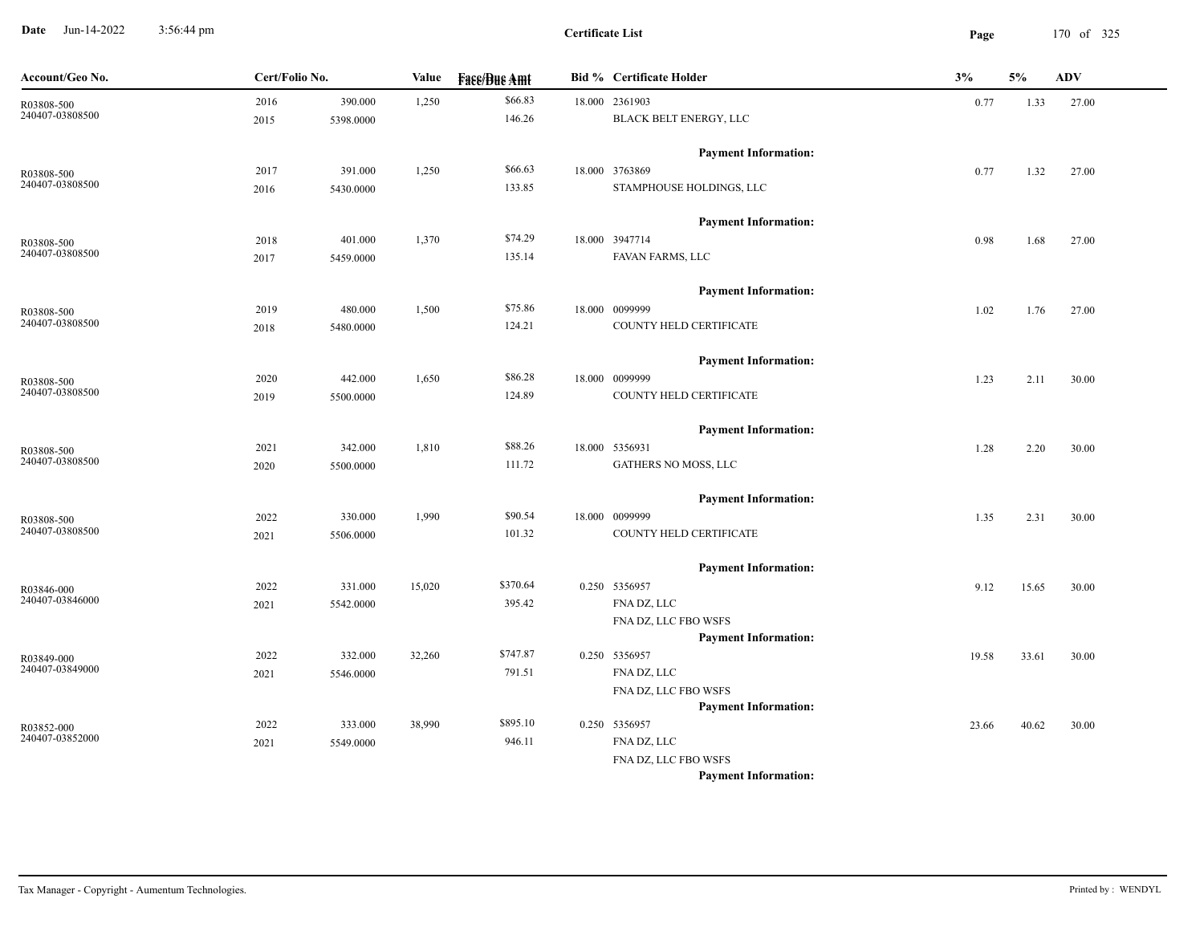**Date** Jun-14-2022 3:56:44 pm **Page** 170 of 325 3:56:44 pm

 $\overline{\phantom{a}}$ 

| Account/Geo No.               | Cert/Folio No. |           | Value  | <b>Fass/Bus Amt</b> | <b>Bid % Certificate Holder</b>                     | 3%    | 5%    | <b>ADV</b> |
|-------------------------------|----------------|-----------|--------|---------------------|-----------------------------------------------------|-------|-------|------------|
| R03808-500                    | 2016           | 390.000   | 1,250  | \$66.83             | 18.000 2361903                                      | 0.77  | 1.33  | 27.00      |
| 240407-03808500               | 2015           | 5398.0000 |        | 146.26              | BLACK BELT ENERGY, LLC                              |       |       |            |
|                               |                |           |        |                     | <b>Payment Information:</b>                         |       |       |            |
| R03808-500                    | 2017           | 391.000   | 1,250  | \$66.63             | 18.000 3763869                                      | 0.77  | 1.32  | 27.00      |
| 240407-03808500               | 2016           | 5430.0000 |        | 133.85              | STAMPHOUSE HOLDINGS, LLC                            |       |       |            |
|                               |                |           |        |                     | <b>Payment Information:</b>                         |       |       |            |
| R03808-500                    | 2018           | 401.000   | 1,370  | \$74.29             | 18.000 3947714                                      | 0.98  | 1.68  | 27.00      |
| 240407-03808500               | 2017           | 5459.0000 |        | 135.14              | FAVAN FARMS, LLC                                    |       |       |            |
|                               |                |           |        |                     | <b>Payment Information:</b>                         |       |       |            |
| R03808-500                    | 2019           | 480.000   | 1,500  | \$75.86             | 18.000 0099999                                      | 1.02  | 1.76  | 27.00      |
| 240407-03808500               | 2018           | 5480.0000 |        | 124.21              | COUNTY HELD CERTIFICATE                             |       |       |            |
|                               |                |           |        |                     | <b>Payment Information:</b>                         |       |       |            |
| R03808-500                    | 2020           | 442.000   | 1,650  | \$86.28             | 18.000 0099999                                      | 1.23  | 2.11  | 30.00      |
| 240407-03808500               | 2019           | 5500.0000 |        | 124.89              | COUNTY HELD CERTIFICATE                             |       |       |            |
|                               |                |           |        |                     | <b>Payment Information:</b>                         |       |       |            |
| R03808-500                    | 2021           | 342.000   | 1,810  | \$88.26             | 18.000 5356931                                      | 1.28  | 2.20  | 30.00      |
| 240407-03808500               | 2020           | 5500.0000 |        | 111.72              | GATHERS NO MOSS, LLC                                |       |       |            |
|                               |                |           |        |                     | <b>Payment Information:</b>                         |       |       |            |
| R03808-500                    | 2022           | 330.000   | 1,990  | \$90.54             | 18.000 0099999                                      | 1.35  | 2.31  | 30.00      |
| 240407-03808500               | 2021           | 5506.0000 |        | 101.32              | COUNTY HELD CERTIFICATE                             |       |       |            |
|                               |                |           |        |                     | <b>Payment Information:</b>                         |       |       |            |
| R03846-000                    | 2022           | 331.000   | 15,020 | \$370.64            | 0.250 5356957                                       | 9.12  | 15.65 | 30.00      |
| 240407-03846000               | 2021           | 5542.0000 |        | 395.42              | FNA DZ, LLC                                         |       |       |            |
|                               |                |           |        |                     | FNA DZ, LLC FBO WSFS                                |       |       |            |
|                               |                |           |        |                     | <b>Payment Information:</b>                         |       |       |            |
| R03849-000                    | 2022           | 332.000   | 32,260 | \$747.87            | 0.250 5356957                                       | 19.58 | 33.61 | 30.00      |
| 240407-03849000               | 2021           | 5546.0000 |        | 791.51              | FNA DZ, LLC                                         |       |       |            |
|                               |                |           |        |                     | FNA DZ, LLC FBO WSFS                                |       |       |            |
|                               |                |           |        |                     | <b>Payment Information:</b>                         |       |       |            |
| R03852-000<br>240407-03852000 | 2022           | 333.000   | 38,990 | \$895.10            | 0.250 5356957                                       | 23.66 | 40.62 | 30.00      |
|                               | 2021           | 5549.0000 |        | 946.11              | FNA DZ, LLC                                         |       |       |            |
|                               |                |           |        |                     | FNA DZ, LLC FBO WSFS<br><b>Payment Information:</b> |       |       |            |
|                               |                |           |        |                     |                                                     |       |       |            |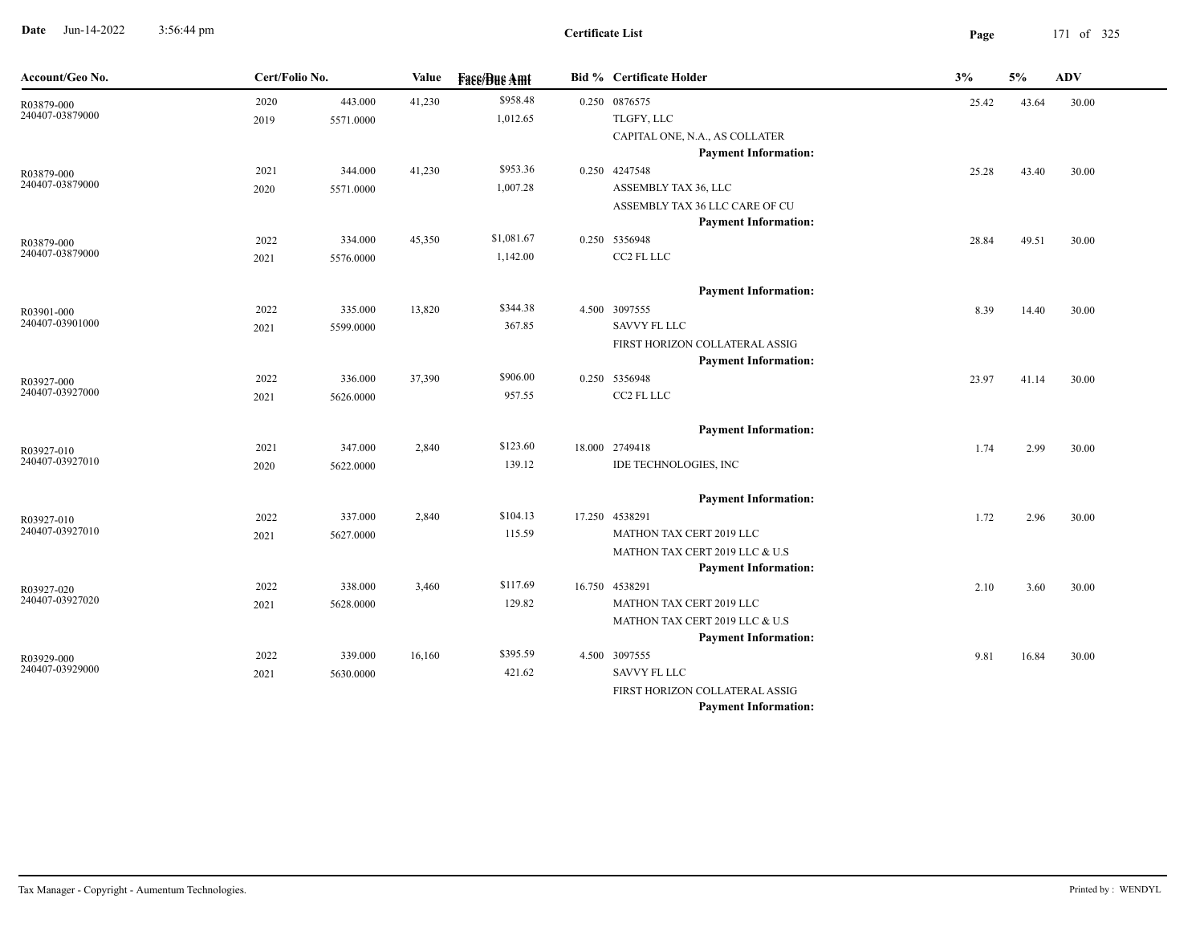**Date** Jun-14-2022 3:56:44 pm **Page** 171 of 325 3:56:44 pm

| Account/Geo No.               | Cert/Folio No. |           | Value  | <b>Fase/Bue Amt</b> | Bid % Certificate Holder                   | 3%    | 5%    | ADV   |
|-------------------------------|----------------|-----------|--------|---------------------|--------------------------------------------|-------|-------|-------|
| R03879-000                    | 2020           | 443.000   | 41,230 | \$958.48            | 0.250 0876575                              | 25.42 | 43.64 | 30.00 |
| 240407-03879000               | 2019           | 5571.0000 |        | 1,012.65            | TLGFY, LLC                                 |       |       |       |
|                               |                |           |        |                     | CAPITAL ONE, N.A., AS COLLATER             |       |       |       |
|                               |                |           |        |                     | <b>Payment Information:</b>                |       |       |       |
| R03879-000                    | 2021           | 344.000   | 41,230 | \$953.36            | 0.250 4247548                              | 25.28 | 43.40 | 30.00 |
| 240407-03879000               | 2020           | 5571.0000 |        | 1,007.28            | ASSEMBLY TAX 36, LLC                       |       |       |       |
|                               |                |           |        |                     | ASSEMBLY TAX 36 LLC CARE OF CU             |       |       |       |
|                               |                |           |        |                     | <b>Payment Information:</b>                |       |       |       |
| R03879-000<br>240407-03879000 | 2022           | 334.000   | 45,350 | \$1,081.67          | 0.250 5356948                              | 28.84 | 49.51 | 30.00 |
|                               | 2021           | 5576.0000 |        | 1,142.00            | CC2 FL LLC                                 |       |       |       |
|                               |                |           |        |                     | <b>Payment Information:</b>                |       |       |       |
| R03901-000                    | 2022           | 335.000   | 13,820 | \$344.38            | 4.500 3097555                              | 8.39  | 14.40 | 30.00 |
| 240407-03901000               | 2021           | 5599.0000 |        | 367.85              | <b>SAVVY FL LLC</b>                        |       |       |       |
|                               |                |           |        |                     | FIRST HORIZON COLLATERAL ASSIG             |       |       |       |
|                               |                |           |        |                     | <b>Payment Information:</b>                |       |       |       |
| R03927-000                    | 2022           | 336.000   | 37,390 | \$906.00            | 0.250 5356948                              | 23.97 | 41.14 | 30.00 |
| 240407-03927000               | 2021           | 5626.0000 |        | 957.55              | CC2 FL LLC                                 |       |       |       |
|                               |                |           |        |                     | <b>Payment Information:</b>                |       |       |       |
| R03927-010                    | 2021           | 347.000   | 2,840  | \$123.60            | 18.000 2749418                             | 1.74  | 2.99  | 30.00 |
| 240407-03927010               | 2020           | 5622.0000 |        | 139.12              | IDE TECHNOLOGIES, INC                      |       |       |       |
|                               |                |           |        |                     |                                            |       |       |       |
|                               |                |           |        |                     | <b>Payment Information:</b>                |       |       |       |
| R03927-010<br>240407-03927010 | 2022           | 337.000   | 2,840  | \$104.13            | 17.250 4538291                             | 1.72  | 2.96  | 30.00 |
|                               | 2021           | 5627.0000 |        | 115.59              | MATHON TAX CERT 2019 LLC                   |       |       |       |
|                               |                |           |        |                     | MATHON TAX CERT 2019 LLC & U.S             |       |       |       |
|                               |                |           |        | \$117.69            | <b>Payment Information:</b>                |       |       |       |
| R03927-020<br>240407-03927020 | 2022           | 338.000   | 3,460  | 129.82              | 16.750 4538291<br>MATHON TAX CERT 2019 LLC | 2.10  | 3.60  | 30.00 |
|                               | 2021           | 5628.0000 |        |                     | MATHON TAX CERT 2019 LLC & U.S             |       |       |       |
|                               |                |           |        |                     | <b>Payment Information:</b>                |       |       |       |
| R03929-000                    | 2022           | 339.000   | 16,160 | \$395.59            | 4.500 3097555                              | 9.81  | 16.84 | 30.00 |
| 240407-03929000               | 2021           | 5630.0000 |        | 421.62              | <b>SAVVY FL LLC</b>                        |       |       |       |
|                               |                |           |        |                     | FIRST HORIZON COLLATERAL ASSIG             |       |       |       |
|                               |                |           |        |                     | <b>Payment Information:</b>                |       |       |       |
|                               |                |           |        |                     |                                            |       |       |       |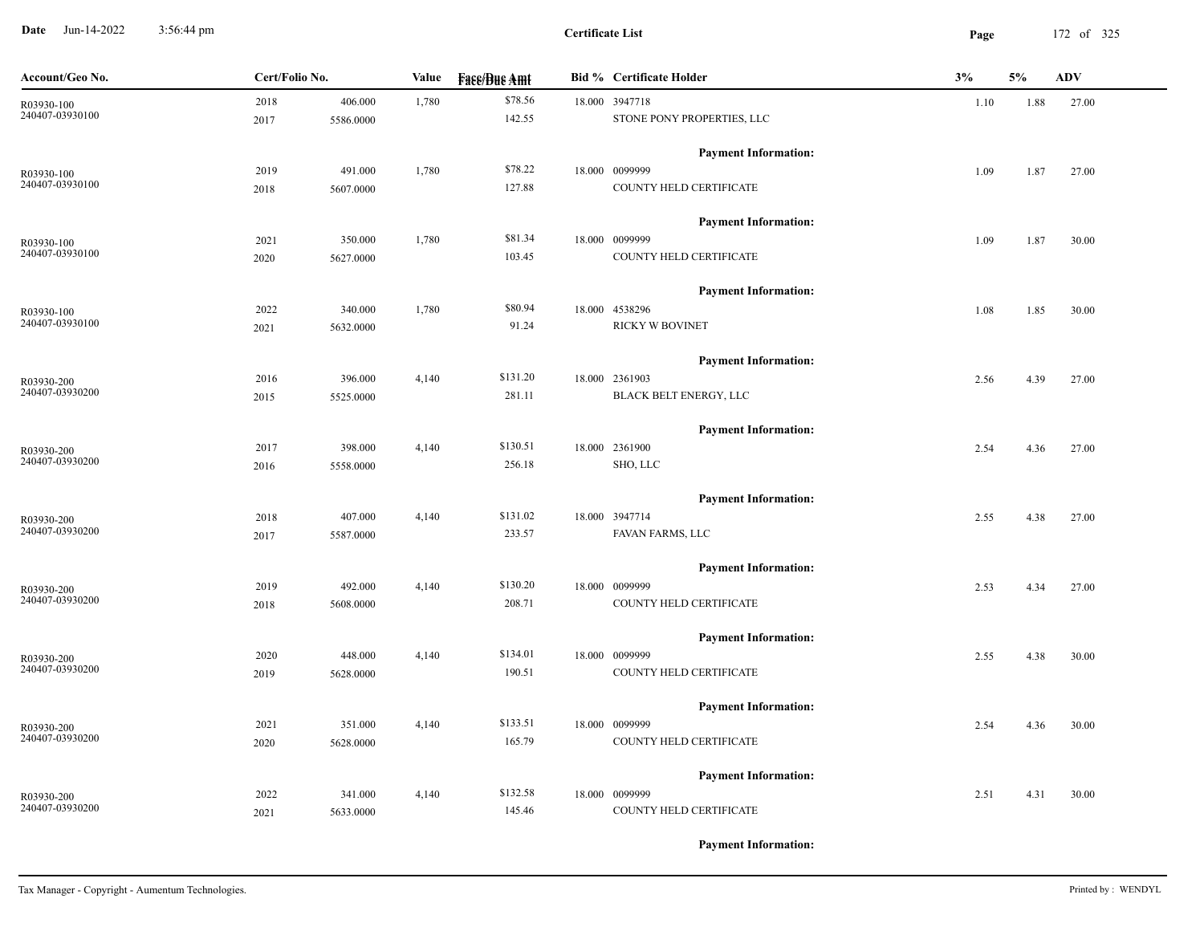**Date** Jun-14-2022 3:56:44 pm **Page** 172 of 325 3:56:44 pm

| Account/Geo No. | Cert/Folio No. |           | Value | <b>Face/Bue Amt</b> | <b>Bid % Certificate Holder</b> | 3%   | 5%   | <b>ADV</b> |
|-----------------|----------------|-----------|-------|---------------------|---------------------------------|------|------|------------|
| R03930-100      | 2018           | 406.000   | 1,780 | \$78.56             | 18.000 3947718                  | 1.10 | 1.88 | 27.00      |
| 240407-03930100 | 2017           | 5586.0000 |       | 142.55              | STONE PONY PROPERTIES, LLC      |      |      |            |
|                 |                |           |       |                     | <b>Payment Information:</b>     |      |      |            |
| R03930-100      | 2019           | 491.000   | 1,780 | \$78.22             | 18.000 0099999                  | 1.09 | 1.87 | 27.00      |
| 240407-03930100 | 2018           | 5607.0000 |       | 127.88              | COUNTY HELD CERTIFICATE         |      |      |            |
|                 |                |           |       |                     | <b>Payment Information:</b>     |      |      |            |
| R03930-100      | 2021           | 350.000   | 1,780 | \$81.34             | 18.000 0099999                  | 1.09 | 1.87 | 30.00      |
| 240407-03930100 | 2020           | 5627.0000 |       | 103.45              | COUNTY HELD CERTIFICATE         |      |      |            |
|                 |                |           |       |                     | <b>Payment Information:</b>     |      |      |            |
| R03930-100      | 2022           | 340.000   | 1,780 | \$80.94             | 18.000 4538296                  | 1.08 | 1.85 | 30.00      |
| 240407-03930100 | 2021           | 5632.0000 |       | 91.24               | <b>RICKY W BOVINET</b>          |      |      |            |
|                 |                |           |       |                     | <b>Payment Information:</b>     |      |      |            |
| R03930-200      | 2016           | 396.000   | 4,140 | \$131.20            | 18.000 2361903                  | 2.56 | 4.39 | 27.00      |
| 240407-03930200 | 2015           | 5525.0000 |       | 281.11              | BLACK BELT ENERGY, LLC          |      |      |            |
|                 |                |           |       |                     | <b>Payment Information:</b>     |      |      |            |
| R03930-200      | 2017           | 398.000   | 4,140 | \$130.51            | 18.000 2361900                  | 2.54 | 4.36 | 27.00      |
| 240407-03930200 | 2016           | 5558.0000 |       | 256.18              | SHO, LLC                        |      |      |            |
|                 |                |           |       |                     | <b>Payment Information:</b>     |      |      |            |
| R03930-200      | 2018           | 407.000   | 4,140 | \$131.02            | 18.000 3947714                  | 2.55 | 4.38 | 27.00      |
| 240407-03930200 | 2017           | 5587.0000 |       | 233.57              | FAVAN FARMS, LLC                |      |      |            |
|                 |                |           |       |                     | <b>Payment Information:</b>     |      |      |            |
| R03930-200      | 2019           | 492.000   | 4,140 | \$130.20            | 18.000 0099999                  | 2.53 | 4.34 | 27.00      |
| 240407-03930200 | 2018           | 5608.0000 |       | 208.71              | COUNTY HELD CERTIFICATE         |      |      |            |
|                 |                |           |       |                     | <b>Payment Information:</b>     |      |      |            |
| R03930-200      | 2020           | 448.000   | 4,140 | \$134.01            | 18.000 0099999                  | 2.55 | 4.38 | 30.00      |
| 240407-03930200 | 2019           | 5628.0000 |       | 190.51              | COUNTY HELD CERTIFICATE         |      |      |            |
|                 |                |           |       |                     | <b>Payment Information:</b>     |      |      |            |
| R03930-200      | 2021           | 351.000   | 4,140 | \$133.51            | 18.000 0099999                  | 2.54 | 4.36 | 30.00      |
| 240407-03930200 | 2020           | 5628.0000 |       | 165.79              | COUNTY HELD CERTIFICATE         |      |      |            |
|                 |                |           |       |                     | <b>Payment Information:</b>     |      |      |            |
| R03930-200      | 2022           | 341.000   | 4,140 | \$132.58            | 18.000 0099999                  | 2.51 | 4.31 | 30.00      |
| 240407-03930200 | 2021           | 5633.0000 |       | 145.46              | COUNTY HELD CERTIFICATE         |      |      |            |
|                 |                |           |       |                     |                                 |      |      |            |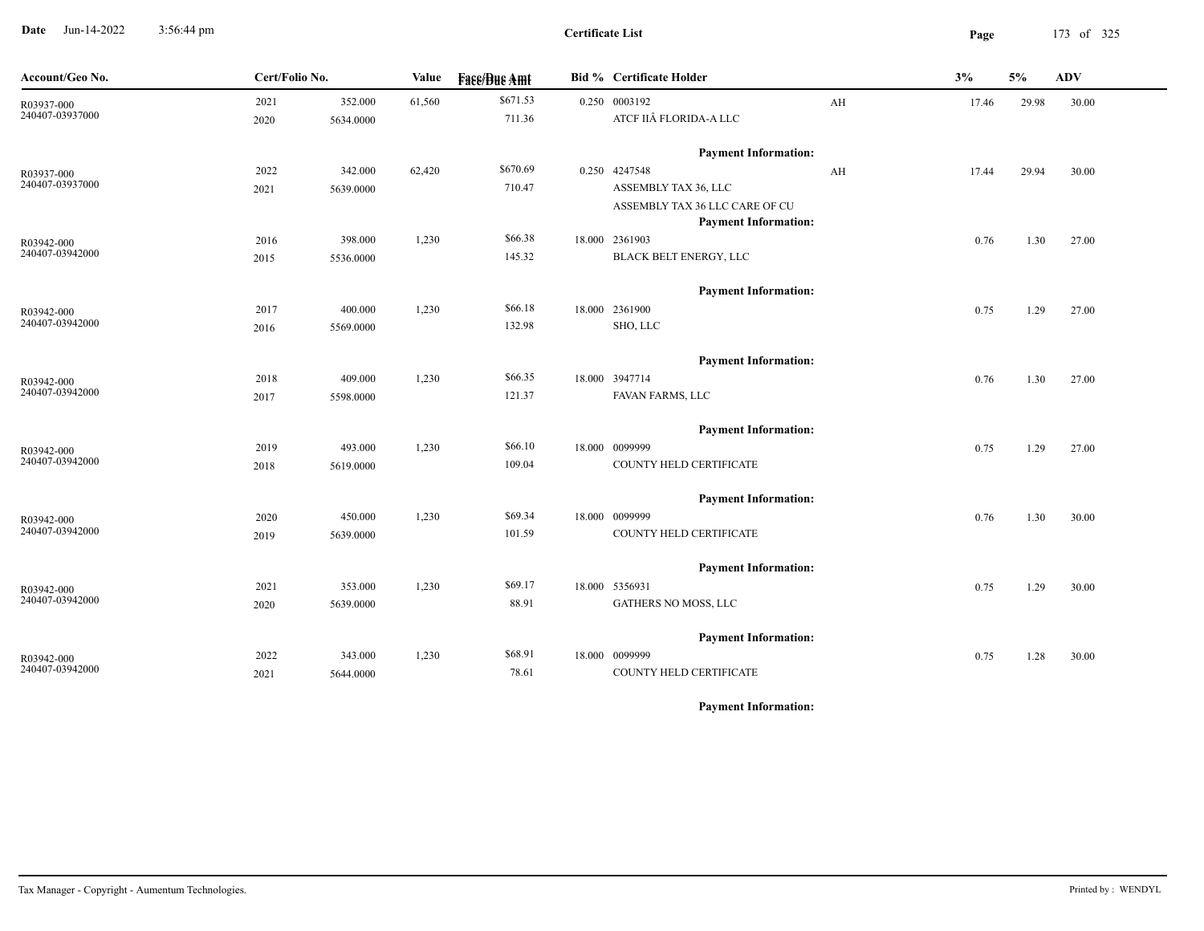**Date** Jun-14-2022 3:56:44 pm **Page** 173 of 325 3:56:44 pm

| Account/Geo No.               | Cert/Folio No. |           | <b>Value</b> | <b>Fase/Bue Amt</b> | Bid % Certificate Holder                 |    | 3%    | 5%    | ADV   |  |
|-------------------------------|----------------|-----------|--------------|---------------------|------------------------------------------|----|-------|-------|-------|--|
| R03937-000<br>240407-03937000 | 2021           | 352.000   | 61,560       | \$671.53            | 0.250 0003192                            | AH | 17.46 | 29.98 | 30.00 |  |
|                               | 2020           | 5634.0000 |              | 711.36              | ATCF IIÂ FLORIDA-A LLC                   |    |       |       |       |  |
|                               |                |           |              |                     | <b>Payment Information:</b>              |    |       |       |       |  |
| R03937-000                    | 2022           | 342.000   | 62,420       | \$670.69            | 0.250 4247548                            | AH | 17.44 | 29.94 | 30.00 |  |
| 240407-03937000               | 2021           | 5639.0000 |              | 710.47              | ASSEMBLY TAX 36, LLC                     |    |       |       |       |  |
|                               |                |           |              |                     | ASSEMBLY TAX 36 LLC CARE OF CU           |    |       |       |       |  |
|                               |                |           |              |                     | <b>Payment Information:</b>              |    |       |       |       |  |
| R03942-000<br>240407-03942000 | 2016           | 398.000   | 1,230        | \$66.38<br>145.32   | 18.000 2361903<br>BLACK BELT ENERGY, LLC |    | 0.76  | 1.30  | 27.00 |  |
|                               | 2015           | 5536.0000 |              |                     |                                          |    |       |       |       |  |
|                               |                |           |              |                     | <b>Payment Information:</b>              |    |       |       |       |  |
| R03942-000                    | 2017           | 400.000   | 1,230        | \$66.18             | 18.000 2361900                           |    | 0.75  | 1.29  | 27.00 |  |
| 240407-03942000               | 2016           | 5569.0000 |              | 132.98              | SHO, LLC                                 |    |       |       |       |  |
|                               |                |           |              |                     | <b>Payment Information:</b>              |    |       |       |       |  |
| R03942-000                    | 2018           | 409.000   | 1,230        | \$66.35             | 18.000 3947714                           |    | 0.76  | 1.30  | 27.00 |  |
| 240407-03942000               | 2017           | 5598.0000 |              | 121.37              | FAVAN FARMS, LLC                         |    |       |       |       |  |
|                               |                |           |              |                     | <b>Payment Information:</b>              |    |       |       |       |  |
| R03942-000                    | 2019           | 493.000   | 1,230        | \$66.10             | 18.000 0099999                           |    | 0.75  | 1.29  | 27.00 |  |
| 240407-03942000               | 2018           | 5619.0000 |              | 109.04              | COUNTY HELD CERTIFICATE                  |    |       |       |       |  |
|                               |                |           |              |                     | <b>Payment Information:</b>              |    |       |       |       |  |
| R03942-000                    | 2020           | 450.000   | 1,230        | \$69.34             | 18.000 0099999                           |    | 0.76  | 1.30  | 30.00 |  |
| 240407-03942000               | 2019           | 5639.0000 |              | 101.59              | COUNTY HELD CERTIFICATE                  |    |       |       |       |  |
|                               |                |           |              |                     | <b>Payment Information:</b>              |    |       |       |       |  |
| R03942-000                    | 2021           | 353.000   | 1,230        | \$69.17             | 18.000 5356931                           |    | 0.75  | 1.29  | 30.00 |  |
| 240407-03942000               | 2020           | 5639.0000 |              | 88.91               | GATHERS NO MOSS, LLC                     |    |       |       |       |  |
|                               |                |           |              |                     | <b>Payment Information:</b>              |    |       |       |       |  |
| R03942-000                    | 2022           | 343.000   | 1,230        | \$68.91             | 18.000 0099999                           |    | 0.75  | 1.28  | 30.00 |  |
| 240407-03942000               | 2021           | 5644.0000 |              | 78.61               | COUNTY HELD CERTIFICATE                  |    |       |       |       |  |
|                               |                |           |              |                     |                                          |    |       |       |       |  |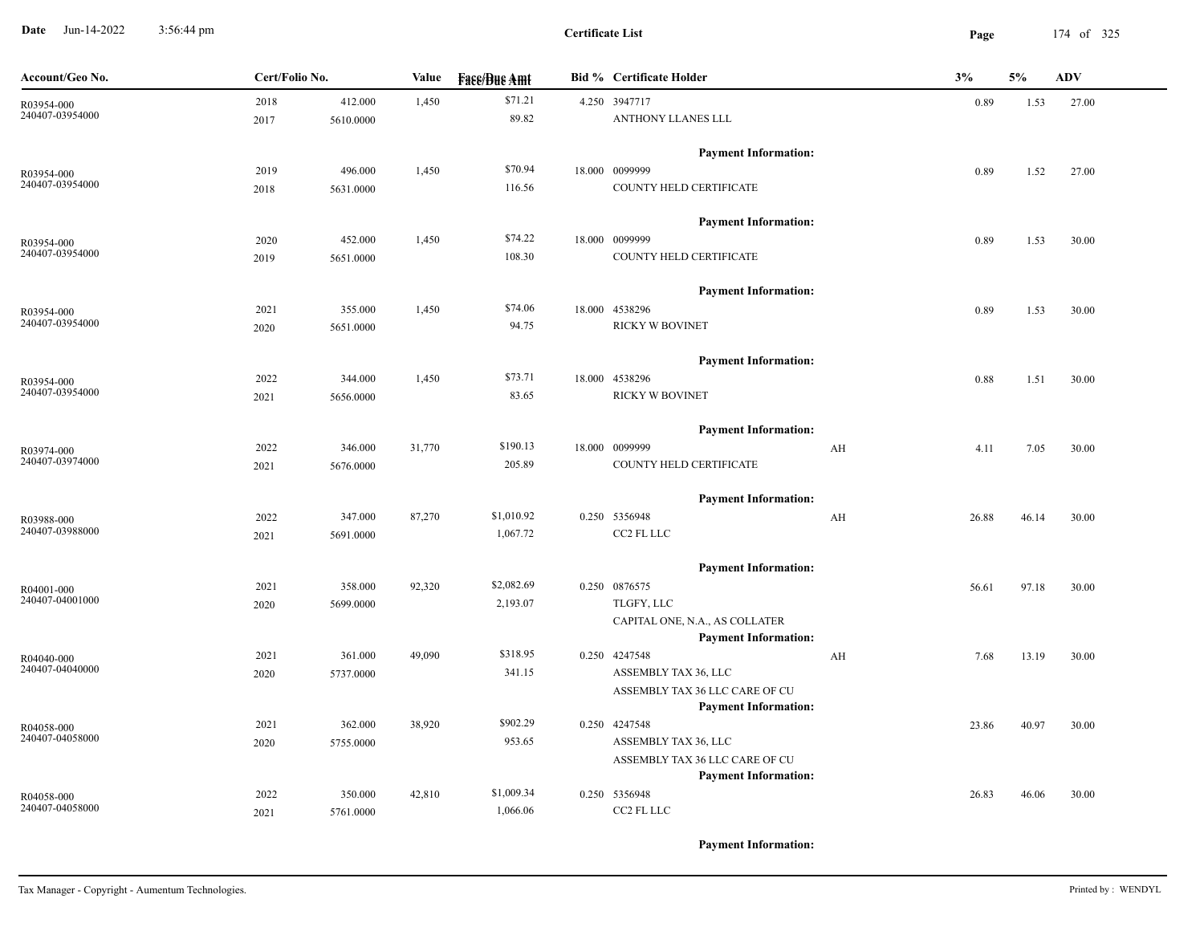**Date** Jun-14-2022 3:56:44 pm **Page** 174 of 325 3:56:44 pm

| Account/Geo No.               | Cert/Folio No. |           | Value  | <b>Face/Bue Amt</b> | <b>Bid % Certificate Holder</b>                        |    | 3%    | 5%    | $\mathbf{ADV}$ |
|-------------------------------|----------------|-----------|--------|---------------------|--------------------------------------------------------|----|-------|-------|----------------|
| R03954-000                    | 2018           | 412.000   | 1,450  | \$71.21             | 4.250 3947717                                          |    | 0.89  | 1.53  | 27.00          |
| 240407-03954000               | 2017           | 5610.0000 |        | 89.82               | ANTHONY LLANES LLL                                     |    |       |       |                |
|                               |                |           |        |                     | <b>Payment Information:</b>                            |    |       |       |                |
| R03954-000                    | 2019           | 496.000   | 1,450  | \$70.94             | 18.000 0099999                                         |    | 0.89  | 1.52  | 27.00          |
| 240407-03954000               | 2018           | 5631.0000 |        | 116.56              | COUNTY HELD CERTIFICATE                                |    |       |       |                |
|                               |                |           |        |                     | <b>Payment Information:</b>                            |    |       |       |                |
| R03954-000                    | 2020           | 452.000   | 1,450  | \$74.22             | 18.000 0099999                                         |    | 0.89  | 1.53  | 30.00          |
| 240407-03954000               | 2019           | 5651.0000 |        | 108.30              | COUNTY HELD CERTIFICATE                                |    |       |       |                |
|                               |                |           |        |                     | <b>Payment Information:</b>                            |    |       |       |                |
| R03954-000                    | 2021           | 355.000   | 1,450  | \$74.06             | 18.000 4538296                                         |    | 0.89  | 1.53  | 30.00          |
| 240407-03954000               | 2020           | 5651.0000 |        | 94.75               | <b>RICKY W BOVINET</b>                                 |    |       |       |                |
|                               |                |           |        |                     | <b>Payment Information:</b>                            |    |       |       |                |
| R03954-000                    | 2022           | 344.000   | 1,450  | \$73.71             | 18.000 4538296                                         |    | 0.88  | 1.51  | 30.00          |
| 240407-03954000               | 2021           | 5656.0000 |        | 83.65               | <b>RICKY W BOVINET</b>                                 |    |       |       |                |
|                               |                |           |        |                     | <b>Payment Information:</b>                            |    |       |       |                |
| R03974-000                    | 2022           | 346.000   | 31,770 | \$190.13            | 18.000 0099999                                         | AH | 4.11  | 7.05  | 30.00          |
| 240407-03974000               | 2021           | 5676.0000 |        | 205.89              | COUNTY HELD CERTIFICATE                                |    |       |       |                |
|                               |                |           |        |                     | <b>Payment Information:</b>                            |    |       |       |                |
| R03988-000                    | 2022           | 347.000   | 87,270 | \$1,010.92          | 0.250 5356948                                          | AH | 26.88 | 46.14 | 30.00          |
| 240407-03988000               | 2021           | 5691.0000 |        | 1,067.72            | CC2 FL LLC                                             |    |       |       |                |
|                               |                |           |        |                     | <b>Payment Information:</b>                            |    |       |       |                |
| R04001-000                    | 2021           | 358.000   | 92,320 | \$2,082.69          | 0.250 0876575                                          |    | 56.61 | 97.18 | 30.00          |
| 240407-04001000               | 2020           | 5699.0000 |        | 2,193.07            | TLGFY, LLC                                             |    |       |       |                |
|                               |                |           |        |                     | CAPITAL ONE, N.A., AS COLLATER                         |    |       |       |                |
|                               |                |           |        |                     | <b>Payment Information:</b>                            |    |       |       |                |
| R04040-000<br>240407-04040000 | 2021           | 361.000   | 49,090 | \$318.95            | 0.250 4247548                                          | AH | 7.68  | 13.19 | 30.00          |
|                               | 2020           | 5737.0000 |        | 341.15              | ASSEMBLY TAX 36, LLC<br>ASSEMBLY TAX 36 LLC CARE OF CU |    |       |       |                |
|                               |                |           |        |                     | <b>Payment Information:</b>                            |    |       |       |                |
| R04058-000                    | 2021           | 362.000   | 38,920 | \$902.29            | 0.250 4247548                                          |    | 23.86 | 40.97 | 30.00          |
| 240407-04058000               | 2020           | 5755.0000 |        | 953.65              | ASSEMBLY TAX 36, LLC                                   |    |       |       |                |
|                               |                |           |        |                     | ASSEMBLY TAX 36 LLC CARE OF CU                         |    |       |       |                |
|                               |                |           |        |                     | <b>Payment Information:</b>                            |    |       |       |                |
| R04058-000                    | 2022           | 350.000   | 42,810 | \$1,009.34          | 0.250 5356948                                          |    | 26.83 | 46.06 | 30.00          |
| 240407-04058000               | 2021           | 5761.0000 |        | 1,066.06            | CC2 FL LLC                                             |    |       |       |                |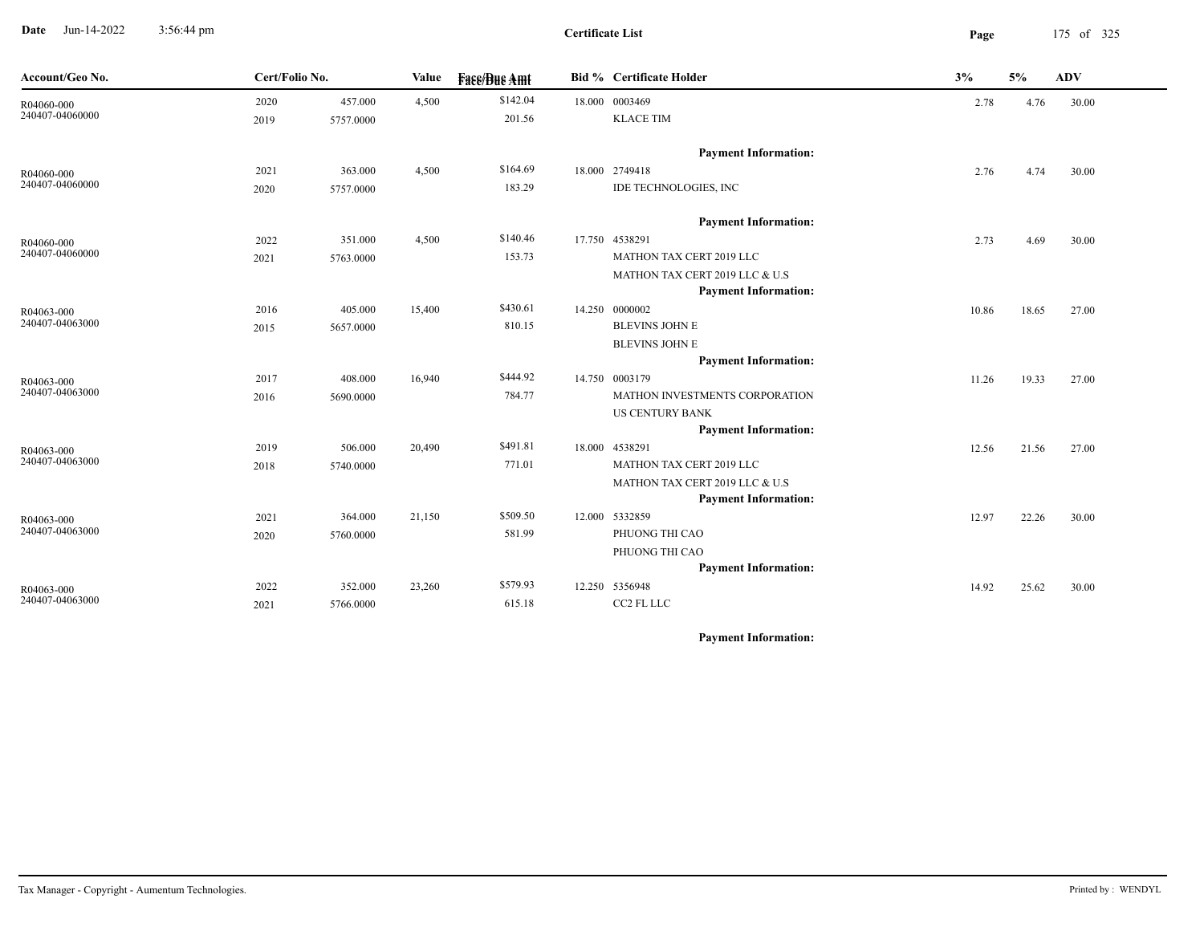**Date** Jun-14-2022 3:56:44 pm **Page** 175 of 325 3:56:44 pm

| Account/Geo No.               | Cert/Folio No. |           | Value  | <b>Face/Bue Amt</b> | Bid % Certificate Holder                      | 3%    | 5%    | <b>ADV</b> |
|-------------------------------|----------------|-----------|--------|---------------------|-----------------------------------------------|-------|-------|------------|
| R04060-000                    | 2020           | 457.000   | 4,500  | \$142.04            | 18.000 0003469                                | 2.78  | 4.76  | 30.00      |
| 240407-04060000               | 2019           | 5757.0000 |        | 201.56              | <b>KLACE TIM</b>                              |       |       |            |
|                               |                |           |        |                     |                                               |       |       |            |
|                               |                |           |        |                     | <b>Payment Information:</b>                   |       |       |            |
| R04060-000<br>240407-04060000 | 2021           | 363.000   | 4,500  | \$164.69            | 18.000 2749418                                | 2.76  | 4.74  | 30.00      |
|                               | 2020           | 5757.0000 |        | 183.29              | IDE TECHNOLOGIES, INC                         |       |       |            |
|                               |                |           |        |                     | <b>Payment Information:</b>                   |       |       |            |
| R04060-000                    | 2022           | 351.000   | 4,500  | \$140.46            | 17.750 4538291                                | 2.73  | 4.69  | 30.00      |
| 240407-04060000               | 2021           | 5763.0000 |        | 153.73              | MATHON TAX CERT 2019 LLC                      |       |       |            |
|                               |                |           |        |                     | MATHON TAX CERT 2019 LLC & U.S                |       |       |            |
|                               |                |           |        |                     | <b>Payment Information:</b>                   |       |       |            |
| R04063-000<br>240407-04063000 | 2016           | 405.000   | 15,400 | \$430.61            | 14.250 0000002                                | 10.86 | 18.65 | 27.00      |
|                               | 2015           | 5657.0000 |        | 810.15              | BLEVINS JOHN E                                |       |       |            |
|                               |                |           |        |                     | <b>BLEVINS JOHN E</b>                         |       |       |            |
|                               |                |           |        |                     | <b>Payment Information:</b>                   |       |       |            |
| R04063-000                    | 2017           | 408.000   | 16,940 | \$444.92            | 14.750 0003179                                | 11.26 | 19.33 | 27.00      |
| 240407-04063000               | 2016           | 5690.0000 |        | 784.77              | MATHON INVESTMENTS CORPORATION                |       |       |            |
|                               |                |           |        |                     | <b>US CENTURY BANK</b>                        |       |       |            |
|                               |                |           |        |                     | <b>Payment Information:</b>                   |       |       |            |
| R04063-000<br>240407-04063000 | 2019           | 506.000   | 20,490 | \$491.81            | 18.000 4538291                                | 12.56 | 21.56 | 27.00      |
|                               | 2018           | 5740.0000 |        | 771.01              | MATHON TAX CERT 2019 LLC                      |       |       |            |
|                               |                |           |        |                     | MATHON TAX CERT 2019 LLC & U.S                |       |       |            |
|                               |                |           |        |                     | <b>Payment Information:</b>                   |       |       |            |
| R04063-000<br>240407-04063000 | 2021           | 364.000   | 21,150 | \$509.50            | 12.000 5332859                                | 12.97 | 22.26 | 30.00      |
|                               | 2020           | 5760.0000 |        | 581.99              | PHUONG THI CAO                                |       |       |            |
|                               |                |           |        |                     | PHUONG THI CAO                                |       |       |            |
|                               | 2022           | 352.000   |        | \$579.93            | <b>Payment Information:</b><br>12.250 5356948 |       |       |            |
| R04063-000<br>240407-04063000 |                |           | 23,260 | 615.18              | CC2 FL LLC                                    | 14.92 | 25.62 | 30.00      |
|                               | 2021           | 5766.0000 |        |                     |                                               |       |       |            |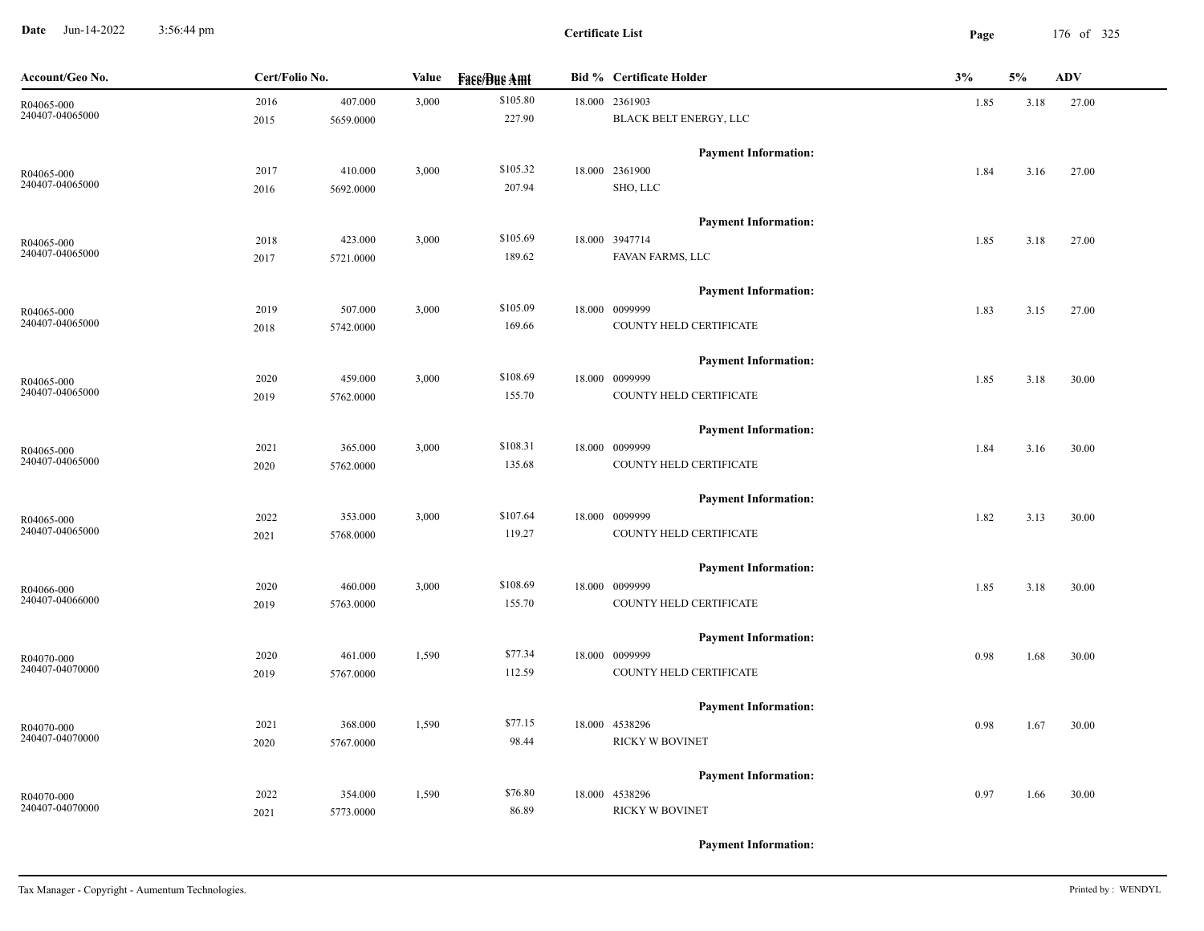**Date** Jun-14-2022 3:56:44 pm **Page** 176 of 325 3:56:44 pm

**Certificate List**

| Account/Geo No. | Cert/Folio No. |           | Value | <b>Face/Bue Amt</b> | <b>Bid % Certificate Holder</b> | 3%   | 5%   | <b>ADV</b> |
|-----------------|----------------|-----------|-------|---------------------|---------------------------------|------|------|------------|
| R04065-000      | 2016           | 407.000   | 3,000 | \$105.80            | 18.000 2361903                  | 1.85 | 3.18 | 27.00      |
| 240407-04065000 | 2015           | 5659.0000 |       | 227.90              | BLACK BELT ENERGY, LLC          |      |      |            |
|                 |                |           |       |                     | <b>Payment Information:</b>     |      |      |            |
| R04065-000      | 2017           | 410.000   | 3,000 | \$105.32            | 18.000 2361900                  | 1.84 | 3.16 | 27.00      |
| 240407-04065000 | 2016           | 5692.0000 |       | 207.94              | SHO, LLC                        |      |      |            |
|                 |                |           |       |                     | <b>Payment Information:</b>     |      |      |            |
| R04065-000      | 2018           | 423.000   | 3,000 | \$105.69            | 18.000 3947714                  | 1.85 | 3.18 | 27.00      |
| 240407-04065000 | 2017           | 5721.0000 |       | 189.62              | FAVAN FARMS, LLC                |      |      |            |
|                 |                |           |       |                     | <b>Payment Information:</b>     |      |      |            |
| R04065-000      | 2019           | 507.000   | 3,000 | \$105.09            | 18.000 0099999                  | 1.83 | 3.15 | 27.00      |
| 240407-04065000 | 2018           | 5742.0000 |       | 169.66              | COUNTY HELD CERTIFICATE         |      |      |            |
|                 |                |           |       |                     | <b>Payment Information:</b>     |      |      |            |
| R04065-000      | 2020           | 459.000   | 3,000 | \$108.69            | 18.000 0099999                  | 1.85 | 3.18 | 30.00      |
| 240407-04065000 | 2019           | 5762.0000 |       | 155.70              | COUNTY HELD CERTIFICATE         |      |      |            |
|                 |                |           |       |                     | <b>Payment Information:</b>     |      |      |            |
| R04065-000      | 2021           | 365.000   | 3,000 | \$108.31            | 18.000 0099999                  | 1.84 | 3.16 | 30.00      |
| 240407-04065000 | 2020           | 5762.0000 |       | 135.68              | COUNTY HELD CERTIFICATE         |      |      |            |
|                 |                |           |       |                     | <b>Payment Information:</b>     |      |      |            |
| R04065-000      | 2022           | 353.000   | 3,000 | \$107.64            | 18.000 0099999                  | 1.82 | 3.13 | 30.00      |
| 240407-04065000 | 2021           | 5768.0000 |       | 119.27              | COUNTY HELD CERTIFICATE         |      |      |            |
|                 |                |           |       |                     | <b>Payment Information:</b>     |      |      |            |
| R04066-000      | 2020           | 460.000   | 3,000 | \$108.69            | 18.000 0099999                  | 1.85 | 3.18 | 30.00      |
| 240407-04066000 | 2019           | 5763.0000 |       | 155.70              | COUNTY HELD CERTIFICATE         |      |      |            |
|                 |                |           |       |                     | <b>Payment Information:</b>     |      |      |            |
| R04070-000      | 2020           | 461.000   | 1,590 | \$77.34             | 18.000 0099999                  | 0.98 | 1.68 | 30.00      |
| 240407-04070000 | 2019           | 5767.0000 |       | 112.59              | COUNTY HELD CERTIFICATE         |      |      |            |
|                 |                |           |       |                     | <b>Payment Information:</b>     |      |      |            |
| R04070-000      | 2021           | 368.000   | 1,590 | \$77.15             | 18.000 4538296                  | 0.98 | 1.67 | 30.00      |
| 240407-04070000 | 2020           | 5767.0000 |       | 98.44               | <b>RICKY W BOVINET</b>          |      |      |            |
|                 |                |           |       |                     | <b>Payment Information:</b>     |      |      |            |
| R04070-000      | 2022           | 354.000   | 1,590 | \$76.80             | 18.000 4538296                  | 0.97 | 1.66 | 30.00      |
| 240407-04070000 | 2021           | 5773.0000 |       | 86.89               | <b>RICKY W BOVINET</b>          |      |      |            |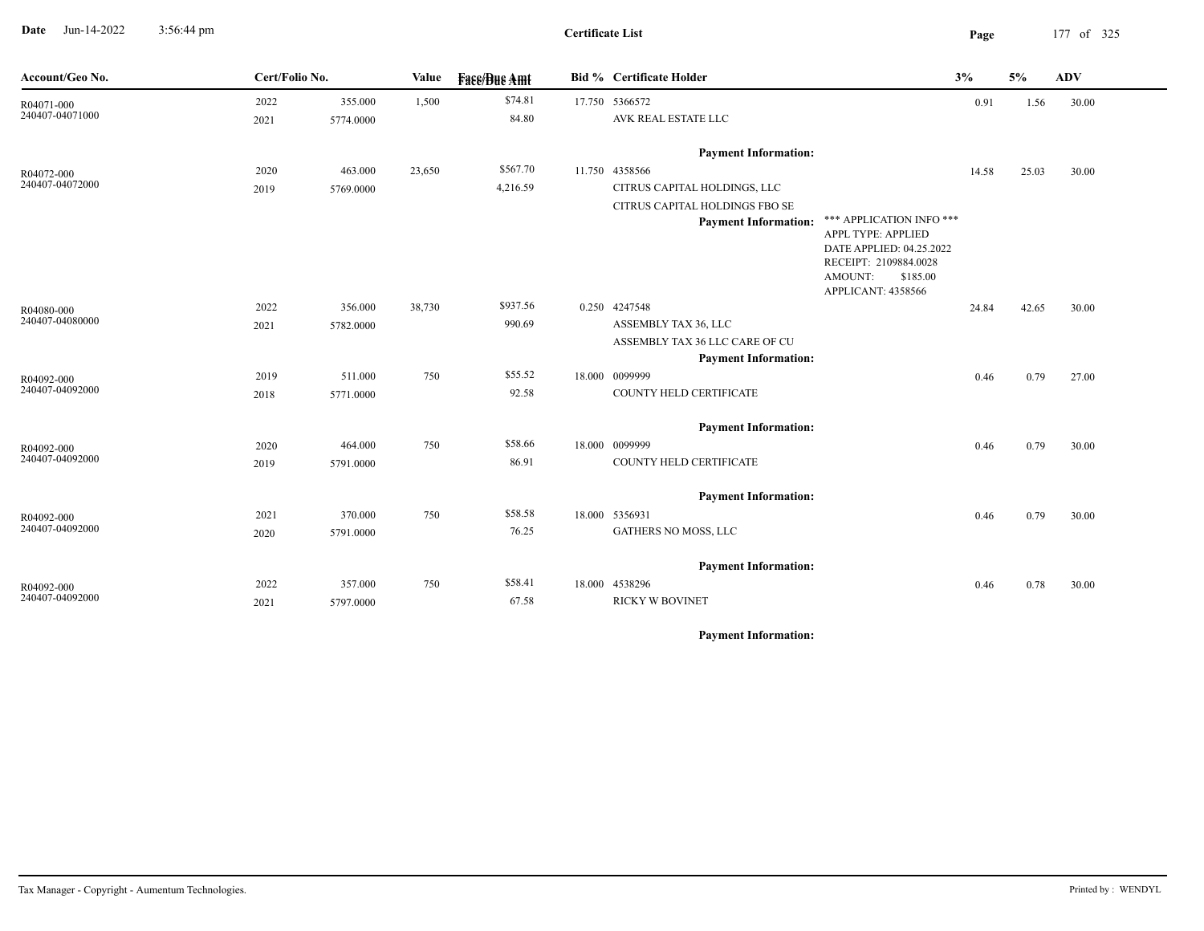**Date** Jun-14-2022 3:56:44 pm **Page** 177 of 325 3:56:44 pm

**Certificate List**

| Account/Geo No.               | Cert/Folio No. |           | Value  | <b>Fase/Bue Amt</b> | Bid % Certificate Holder       |                                                | 3%    | $5\%$ | $\mathbf{ADV}$ |
|-------------------------------|----------------|-----------|--------|---------------------|--------------------------------|------------------------------------------------|-------|-------|----------------|
| R04071-000<br>240407-04071000 | 2022           | 355.000   | 1,500  | \$74.81             | 17.750 5366572                 |                                                | 0.91  | 1.56  | 30.00          |
|                               | 2021           | 5774.0000 |        | 84.80               | AVK REAL ESTATE LLC            |                                                |       |       |                |
|                               |                |           |        |                     | <b>Payment Information:</b>    |                                                |       |       |                |
| R04072-000                    | 2020           | 463.000   | 23,650 | \$567.70            | 11.750 4358566                 |                                                | 14.58 | 25.03 | 30.00          |
| 240407-04072000               | 2019           | 5769.0000 |        | 4,216.59            | CITRUS CAPITAL HOLDINGS, LLC   |                                                |       |       |                |
|                               |                |           |        |                     | CITRUS CAPITAL HOLDINGS FBO SE |                                                |       |       |                |
|                               |                |           |        |                     | <b>Payment Information:</b>    | *** APPLICATION INFO ***<br>APPL TYPE: APPLIED |       |       |                |
|                               |                |           |        |                     |                                | DATE APPLIED: 04.25.2022                       |       |       |                |
|                               |                |           |        |                     |                                | RECEIPT: 2109884.0028                          |       |       |                |
|                               |                |           |        |                     |                                | AMOUNT:<br>\$185.00<br>APPLICANT: 4358566      |       |       |                |
| R04080-000                    | 2022           | 356.000   | 38,730 | \$937.56            | 0.250 4247548                  |                                                | 24.84 | 42.65 | 30.00          |
| 240407-04080000               | 2021           | 5782.0000 |        | 990.69              | ASSEMBLY TAX 36, LLC           |                                                |       |       |                |
|                               |                |           |        |                     | ASSEMBLY TAX 36 LLC CARE OF CU |                                                |       |       |                |
|                               |                |           |        |                     | <b>Payment Information:</b>    |                                                |       |       |                |
| R04092-000                    | 2019           | 511.000   | 750    | \$55.52             | 18.000 0099999                 |                                                | 0.46  | 0.79  | 27.00          |
| 240407-04092000               | 2018           | 5771.0000 |        | 92.58               | COUNTY HELD CERTIFICATE        |                                                |       |       |                |
|                               |                |           |        |                     | <b>Payment Information:</b>    |                                                |       |       |                |
| R04092-000                    | 2020           | 464.000   | 750    | \$58.66             | 18.000 0099999                 |                                                | 0.46  | 0.79  | 30.00          |
| 240407-04092000               | 2019           | 5791.0000 |        | 86.91               | COUNTY HELD CERTIFICATE        |                                                |       |       |                |
|                               |                |           |        |                     | <b>Payment Information:</b>    |                                                |       |       |                |
| R04092-000                    | 2021           | 370.000   | 750    | \$58.58             | 18.000 5356931                 |                                                | 0.46  | 0.79  | 30.00          |
| 240407-04092000               | 2020           | 5791.0000 |        | 76.25               | GATHERS NO MOSS, LLC           |                                                |       |       |                |
|                               |                |           |        |                     |                                |                                                |       |       |                |
|                               |                |           |        |                     | <b>Payment Information:</b>    |                                                |       |       |                |
| R04092-000                    | 2022           | 357.000   | 750    | \$58.41             | 18.000 4538296                 |                                                | 0.46  | 0.78  | 30.00          |
| 240407-04092000               | 2021           | 5797.0000 |        | 67.58               | <b>RICKY W BOVINET</b>         |                                                |       |       |                |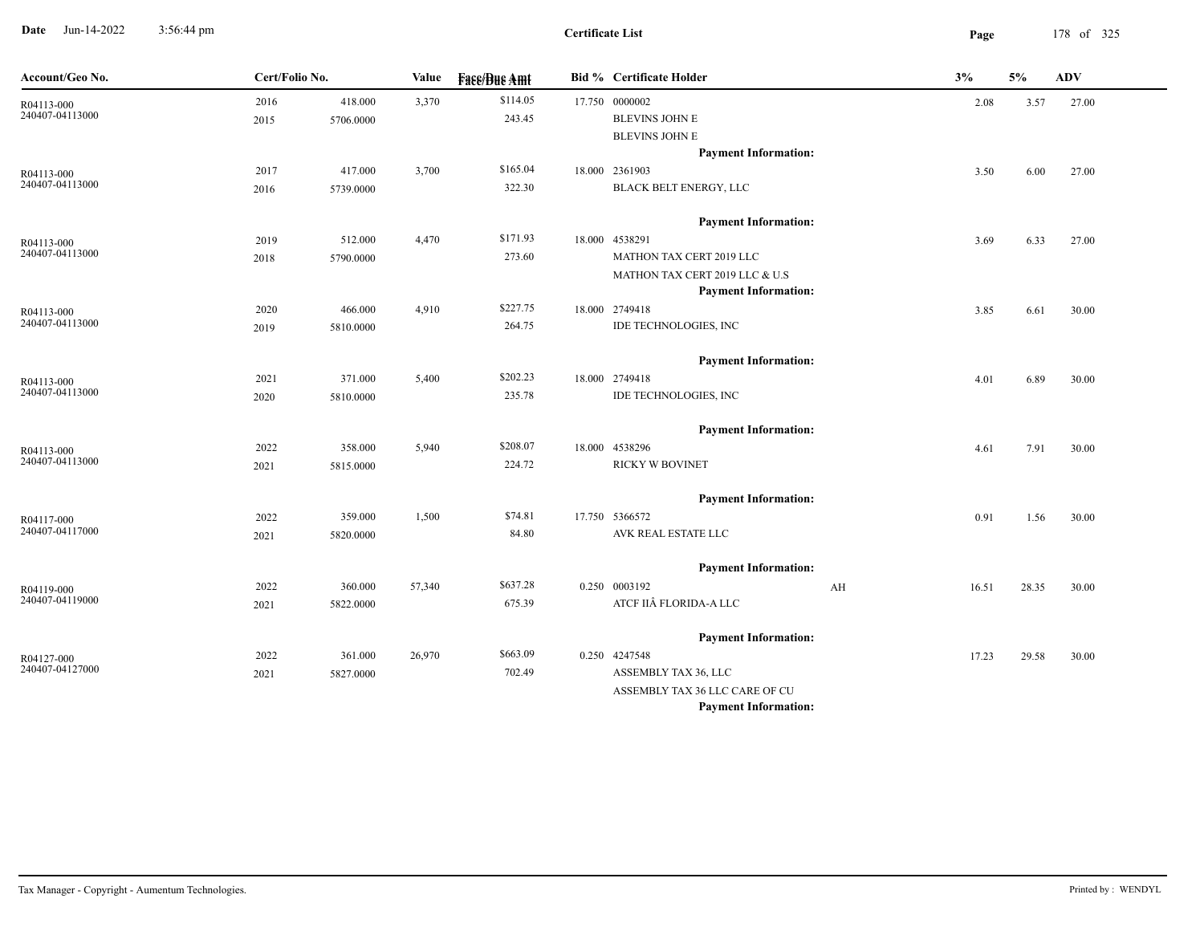**Date** Jun-14-2022 3:56:44 pm **Page** 178 of 325 3:56:44 pm

 $\overline{\phantom{a}}$ 

| Account/Geo No.               | Cert/Folio No. |           | <b>Value</b> | <b>Face/Bue Amt</b> | <b>Bid % Certificate Holder</b> |    | 3%    | 5%    | <b>ADV</b> |  |
|-------------------------------|----------------|-----------|--------------|---------------------|---------------------------------|----|-------|-------|------------|--|
| R04113-000                    | 2016           | 418.000   | 3,370        | \$114.05            | 17.750 0000002                  |    | 2.08  | 3.57  | 27.00      |  |
| 240407-04113000               | 2015           | 5706.0000 |              | 243.45              | BLEVINS JOHN E                  |    |       |       |            |  |
|                               |                |           |              |                     | <b>BLEVINS JOHN E</b>           |    |       |       |            |  |
|                               |                |           |              |                     | <b>Payment Information:</b>     |    |       |       |            |  |
| R04113-000<br>240407-04113000 | 2017           | 417.000   | 3,700        | \$165.04            | 18.000 2361903                  |    | 3.50  | 6.00  | 27.00      |  |
|                               | 2016           | 5739.0000 |              | 322.30              | <b>BLACK BELT ENERGY, LLC</b>   |    |       |       |            |  |
|                               |                |           |              |                     | <b>Payment Information:</b>     |    |       |       |            |  |
| R04113-000                    | 2019           | 512.000   | 4,470        | \$171.93            | 18.000 4538291                  |    | 3.69  | 6.33  | 27.00      |  |
| 240407-04113000               | 2018           | 5790.0000 |              | 273.60              | MATHON TAX CERT 2019 LLC        |    |       |       |            |  |
|                               |                |           |              |                     | MATHON TAX CERT 2019 LLC & U.S  |    |       |       |            |  |
|                               |                |           |              |                     | <b>Payment Information:</b>     |    |       |       |            |  |
| R04113-000                    | 2020           | 466.000   | 4,910        | \$227.75            | 18.000 2749418                  |    | 3.85  | 6.61  | 30.00      |  |
| 240407-04113000               | 2019           | 5810.0000 |              | 264.75              | IDE TECHNOLOGIES, INC           |    |       |       |            |  |
|                               |                |           |              |                     | <b>Payment Information:</b>     |    |       |       |            |  |
| R04113-000                    | 2021           | 371.000   | 5,400        | \$202.23            | 18.000 2749418                  |    | 4.01  | 6.89  | 30.00      |  |
| 240407-04113000               | 2020           | 5810.0000 |              | 235.78              | IDE TECHNOLOGIES, INC           |    |       |       |            |  |
|                               |                |           |              |                     | <b>Payment Information:</b>     |    |       |       |            |  |
| R04113-000                    | 2022           | 358.000   | 5,940        | \$208.07            | 18.000 4538296                  |    | 4.61  | 7.91  | 30.00      |  |
| 240407-04113000               | 2021           | 5815.0000 |              | 224.72              | <b>RICKY W BOVINET</b>          |    |       |       |            |  |
|                               |                |           |              |                     | <b>Payment Information:</b>     |    |       |       |            |  |
| R04117-000                    | 2022           | 359.000   | 1,500        | \$74.81             | 17.750 5366572                  |    | 0.91  | 1.56  | 30.00      |  |
| 240407-04117000               | 2021           | 5820.0000 |              | 84.80               | AVK REAL ESTATE LLC             |    |       |       |            |  |
|                               |                |           |              |                     | <b>Payment Information:</b>     |    |       |       |            |  |
|                               | 2022           | 360.000   | 57,340       | \$637.28            | 0.250 0003192                   | AH | 16.51 | 28.35 | 30.00      |  |
| R04119-000<br>240407-04119000 | 2021           | 5822.0000 |              | 675.39              | ATCF IIÂ FLORIDA-A LLC          |    |       |       |            |  |
|                               |                |           |              |                     |                                 |    |       |       |            |  |
|                               |                |           |              |                     | <b>Payment Information:</b>     |    |       |       |            |  |
| R04127-000                    | 2022           | 361.000   | 26,970       | \$663.09            | 0.250 4247548                   |    | 17.23 | 29.58 | 30.00      |  |
| 240407-04127000               | 2021           | 5827.0000 |              | 702.49              | ASSEMBLY TAX 36, LLC            |    |       |       |            |  |
|                               |                |           |              |                     | ASSEMBLY TAX 36 LLC CARE OF CU  |    |       |       |            |  |
|                               |                |           |              |                     | <b>Payment Information:</b>     |    |       |       |            |  |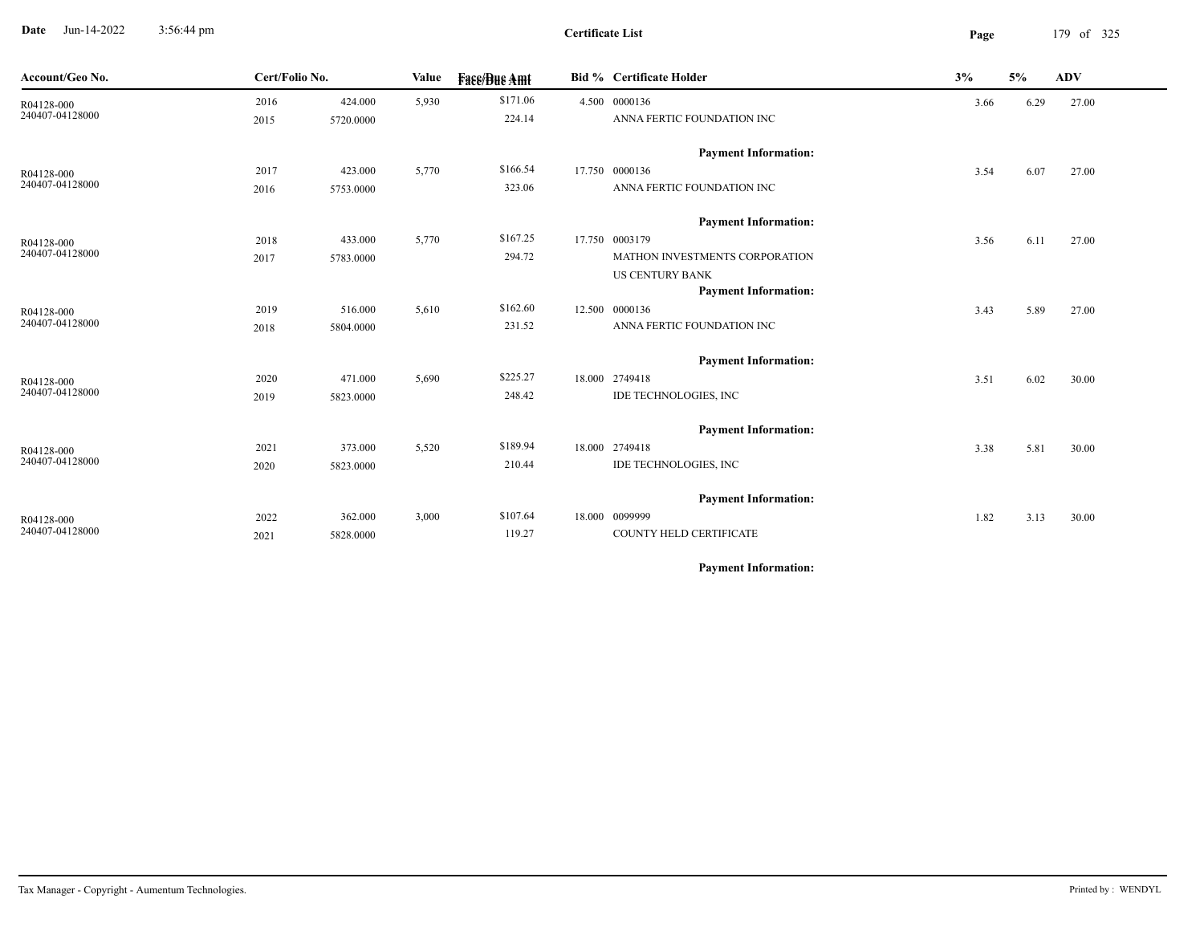**Date** Jun-14-2022 3:56:44 pm **Page** 179 of 325 3:56:44 pm

| Account/Geo No.               | Cert/Folio No. |           | Value | <b>Face/Bue Amt</b> | <b>Bid % Certificate Holder</b> | 3%   | 5%   | <b>ADV</b> |
|-------------------------------|----------------|-----------|-------|---------------------|---------------------------------|------|------|------------|
| R04128-000                    | 2016           | 424.000   | 5,930 | \$171.06            | 4.500 0000136                   | 3.66 | 6.29 | 27.00      |
| 240407-04128000               | 2015           | 5720.0000 |       | 224.14              | ANNA FERTIC FOUNDATION INC      |      |      |            |
|                               |                |           |       |                     | <b>Payment Information:</b>     |      |      |            |
|                               | 2017           | 423.000   | 5,770 | \$166.54            | 17.750 0000136                  | 3.54 | 6.07 | 27.00      |
| R04128-000<br>240407-04128000 | 2016           | 5753.0000 |       | 323.06              | ANNA FERTIC FOUNDATION INC      |      |      |            |
|                               |                |           |       |                     |                                 |      |      |            |
|                               |                |           |       |                     | <b>Payment Information:</b>     |      |      |            |
| R04128-000                    | 2018           | 433.000   | 5,770 | \$167.25            | 17.750 0003179                  | 3.56 | 6.11 | 27.00      |
| 240407-04128000               | 2017           | 5783.0000 |       | 294.72              | MATHON INVESTMENTS CORPORATION  |      |      |            |
|                               |                |           |       |                     | <b>US CENTURY BANK</b>          |      |      |            |
|                               |                |           |       |                     | <b>Payment Information:</b>     |      |      |            |
| R04128-000                    | 2019           | 516.000   | 5,610 | \$162.60            | 12.500 0000136                  | 3.43 | 5.89 | 27.00      |
| 240407-04128000               | 2018           | 5804.0000 |       | 231.52              | ANNA FERTIC FOUNDATION INC      |      |      |            |
|                               |                |           |       |                     | <b>Payment Information:</b>     |      |      |            |
| R04128-000                    | 2020           | 471.000   | 5,690 | \$225.27            | 18.000 2749418                  | 3.51 | 6.02 | 30.00      |
| 240407-04128000               | 2019           | 5823.0000 |       | 248.42              | IDE TECHNOLOGIES, INC           |      |      |            |
|                               |                |           |       |                     |                                 |      |      |            |
|                               |                |           |       |                     | <b>Payment Information:</b>     |      |      |            |
| R04128-000                    | 2021           | 373.000   | 5,520 | \$189.94            | 18.000 2749418                  | 3.38 | 5.81 | 30.00      |
| 240407-04128000               | 2020           | 5823.0000 |       | 210.44              | IDE TECHNOLOGIES, INC           |      |      |            |
|                               |                |           |       |                     | <b>Payment Information:</b>     |      |      |            |
| R04128-000                    | 2022           | 362.000   | 3,000 | \$107.64            | 18.000 0099999                  | 1.82 | 3.13 | 30.00      |
| 240407-04128000               | 2021           | 5828.0000 |       | 119.27              | <b>COUNTY HELD CERTIFICATE</b>  |      |      |            |
|                               |                |           |       |                     |                                 |      |      |            |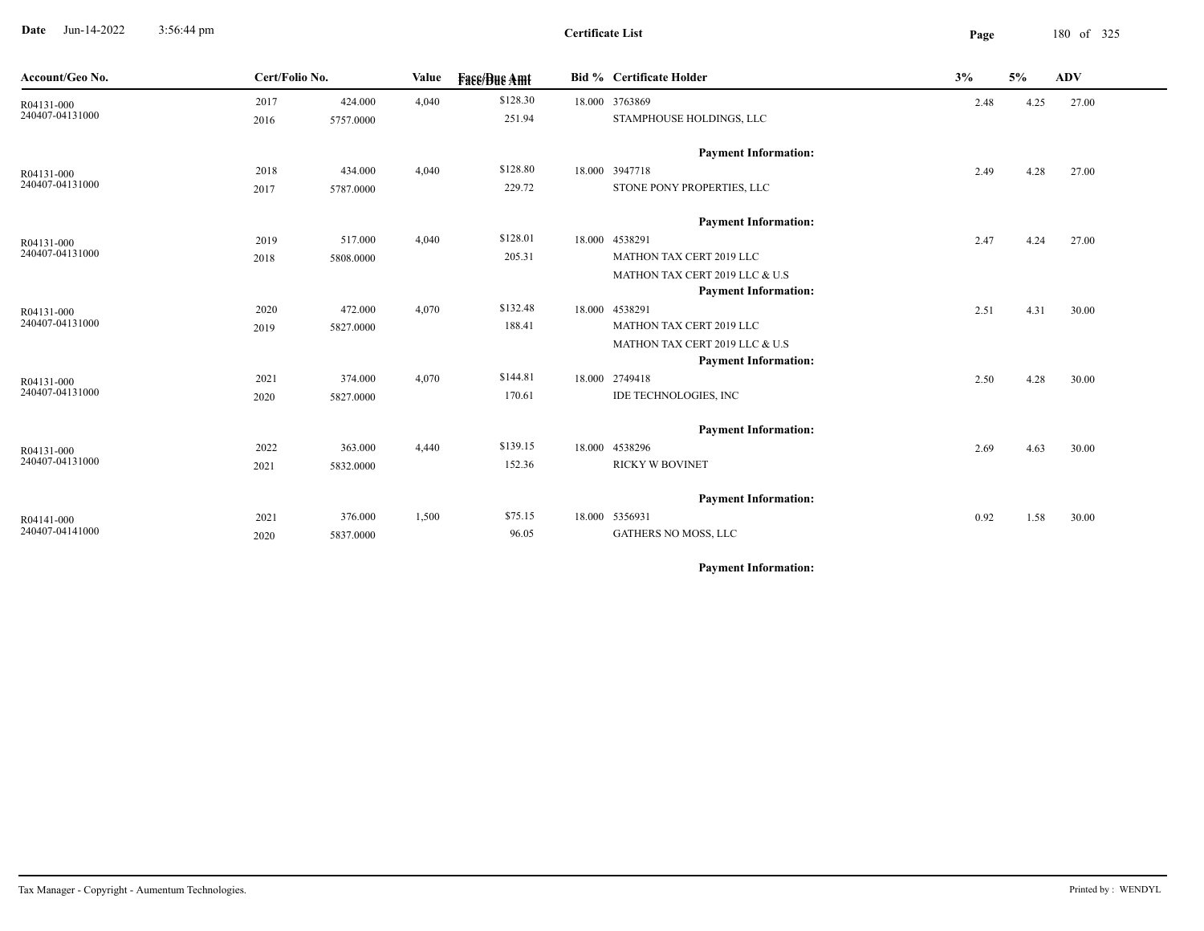**Date** Jun-14-2022 3:56:44 pm **Page** 180 of 325 3:56:44 pm

| Account/Geo No. |      | Cert/Folio No. |       | Value<br><b>Face/Bue Amt</b> |  | <b>Bid % Certificate Holder</b> | 3%   | 5%   | <b>ADV</b> |  |
|-----------------|------|----------------|-------|------------------------------|--|---------------------------------|------|------|------------|--|
| R04131-000      | 2017 | 424.000        | 4,040 | \$128.30                     |  | 18.000 3763869                  | 2.48 | 4.25 | 27.00      |  |
| 240407-04131000 | 2016 | 5757.0000      |       | 251.94                       |  | STAMPHOUSE HOLDINGS, LLC        |      |      |            |  |
|                 |      |                |       |                              |  | <b>Payment Information:</b>     |      |      |            |  |
| R04131-000      | 2018 | 434.000        | 4,040 | \$128.80                     |  | 18.000 3947718                  | 2.49 | 4.28 | 27.00      |  |
| 240407-04131000 | 2017 | 5787.0000      |       | 229.72                       |  | STONE PONY PROPERTIES, LLC      |      |      |            |  |
|                 |      |                |       |                              |  | <b>Payment Information:</b>     |      |      |            |  |
| R04131-000      | 2019 | 517.000        | 4,040 | \$128.01                     |  | 18.000 4538291                  | 2.47 | 4.24 | 27.00      |  |
| 240407-04131000 | 2018 | 5808.0000      |       | 205.31                       |  | MATHON TAX CERT 2019 LLC        |      |      |            |  |
|                 |      |                |       |                              |  | MATHON TAX CERT 2019 LLC & U.S  |      |      |            |  |
|                 |      |                |       |                              |  | <b>Payment Information:</b>     |      |      |            |  |
| R04131-000      | 2020 | 472.000        | 4,070 | \$132.48                     |  | 18.000 4538291                  | 2.51 | 4.31 | 30.00      |  |
| 240407-04131000 | 2019 | 5827.0000      |       | 188.41                       |  | MATHON TAX CERT 2019 LLC        |      |      |            |  |
|                 |      |                |       |                              |  | MATHON TAX CERT 2019 LLC & U.S  |      |      |            |  |
|                 |      |                |       |                              |  | <b>Payment Information:</b>     |      |      |            |  |
| R04131-000      | 2021 | 374.000        | 4,070 | \$144.81                     |  | 18.000 2749418                  | 2.50 | 4.28 | 30.00      |  |
| 240407-04131000 | 2020 | 5827.0000      |       | 170.61                       |  | IDE TECHNOLOGIES, INC           |      |      |            |  |
|                 |      |                |       |                              |  | <b>Payment Information:</b>     |      |      |            |  |
| R04131-000      | 2022 | 363.000        | 4,440 | \$139.15                     |  | 18.000 4538296                  | 2.69 | 4.63 | 30.00      |  |
| 240407-04131000 | 2021 | 5832.0000      |       | 152.36                       |  | <b>RICKY W BOVINET</b>          |      |      |            |  |
|                 |      |                |       |                              |  | <b>Payment Information:</b>     |      |      |            |  |
| R04141-000      | 2021 | 376.000        | 1,500 | \$75.15                      |  | 18.000 5356931                  | 0.92 | 1.58 | 30.00      |  |
| 240407-04141000 | 2020 | 5837.0000      |       | 96.05                        |  | GATHERS NO MOSS, LLC            |      |      |            |  |
|                 |      |                |       |                              |  |                                 |      |      |            |  |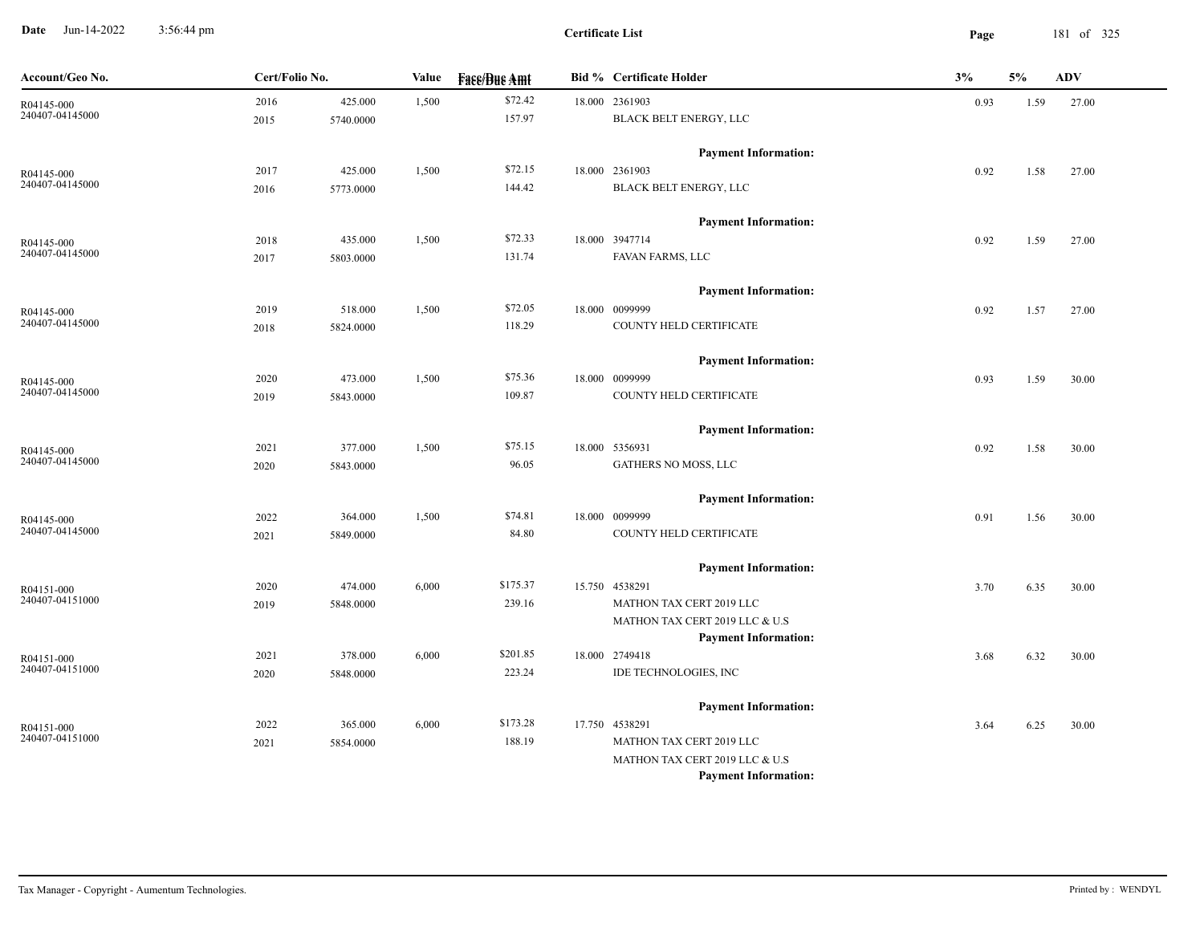**Date** Jun-14-2022 3:56:44 pm **Page** 181 of 325 3:56:44 pm

| Account/Geo No. | Cert/Folio No. |           | Value | <b>Face/Bue Amt</b> | <b>Bid % Certificate Holder</b> | 3%   | 5%   | ADV   |
|-----------------|----------------|-----------|-------|---------------------|---------------------------------|------|------|-------|
| R04145-000      | 2016           | 425.000   | 1,500 | \$72.42             | 18.000 2361903                  | 0.93 | 1.59 | 27.00 |
| 240407-04145000 | 2015           | 5740.0000 |       | 157.97              | BLACK BELT ENERGY, LLC          |      |      |       |
|                 |                |           |       |                     | <b>Payment Information:</b>     |      |      |       |
| R04145-000      | 2017           | 425.000   | 1,500 | \$72.15             | 18.000 2361903                  | 0.92 | 1.58 | 27.00 |
| 240407-04145000 | 2016           | 5773.0000 |       | 144.42              | BLACK BELT ENERGY, LLC          |      |      |       |
|                 |                |           |       |                     | <b>Payment Information:</b>     |      |      |       |
| R04145-000      | 2018           | 435.000   | 1,500 | \$72.33             | 18.000 3947714                  | 0.92 | 1.59 | 27.00 |
| 240407-04145000 | 2017           | 5803.0000 |       | 131.74              | FAVAN FARMS, LLC                |      |      |       |
|                 |                |           |       |                     | <b>Payment Information:</b>     |      |      |       |
| R04145-000      | 2019           | 518.000   | 1,500 | \$72.05             | 18.000 0099999                  | 0.92 | 1.57 | 27.00 |
| 240407-04145000 | 2018           | 5824.0000 |       | 118.29              | COUNTY HELD CERTIFICATE         |      |      |       |
|                 |                |           |       |                     | <b>Payment Information:</b>     |      |      |       |
| R04145-000      | 2020           | 473.000   | 1,500 | \$75.36             | 18.000 0099999                  | 0.93 | 1.59 | 30.00 |
| 240407-04145000 | 2019           | 5843.0000 |       | 109.87              | COUNTY HELD CERTIFICATE         |      |      |       |
|                 |                |           |       |                     | <b>Payment Information:</b>     |      |      |       |
| R04145-000      | 2021           | 377.000   | 1,500 | \$75.15             | 18.000 5356931                  | 0.92 | 1.58 | 30.00 |
| 240407-04145000 | 2020           | 5843.0000 |       | 96.05               | GATHERS NO MOSS, LLC            |      |      |       |
|                 |                |           |       |                     | <b>Payment Information:</b>     |      |      |       |
| R04145-000      | 2022           | 364.000   | 1,500 | \$74.81             | 18.000 0099999                  | 0.91 | 1.56 | 30.00 |
| 240407-04145000 | 2021           | 5849.0000 |       | 84.80               | COUNTY HELD CERTIFICATE         |      |      |       |
|                 |                |           |       |                     | <b>Payment Information:</b>     |      |      |       |
| R04151-000      | 2020           | 474.000   | 6,000 | \$175.37            | 15.750 4538291                  | 3.70 | 6.35 | 30.00 |
| 240407-04151000 | 2019           | 5848.0000 |       | 239.16              | MATHON TAX CERT 2019 LLC        |      |      |       |
|                 |                |           |       |                     | MATHON TAX CERT 2019 LLC & U.S  |      |      |       |
|                 |                |           |       |                     | <b>Payment Information:</b>     |      |      |       |
| R04151-000      | 2021           | 378.000   | 6,000 | \$201.85            | 18.000 2749418                  | 3.68 | 6.32 | 30.00 |
| 240407-04151000 | 2020           | 5848.0000 |       | 223.24              | IDE TECHNOLOGIES, INC           |      |      |       |
|                 |                |           |       |                     | <b>Payment Information:</b>     |      |      |       |
| R04151-000      | 2022           | 365.000   | 6,000 | \$173.28            | 17.750 4538291                  | 3.64 | 6.25 | 30.00 |
| 240407-04151000 | 2021           | 5854.0000 |       | 188.19              | MATHON TAX CERT 2019 LLC        |      |      |       |
|                 |                |           |       |                     | MATHON TAX CERT 2019 LLC & U.S  |      |      |       |
|                 |                |           |       |                     | <b>Payment Information:</b>     |      |      |       |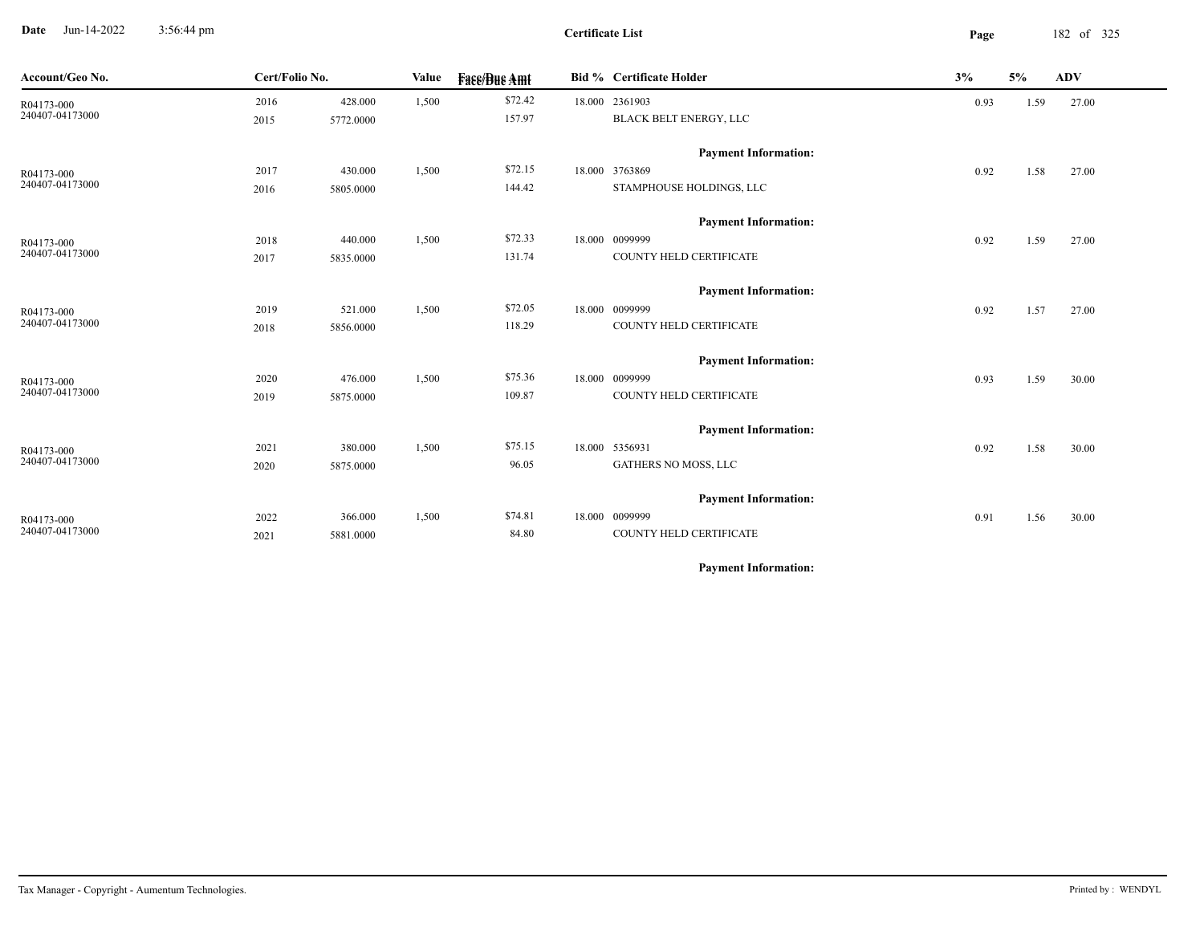**Date** Jun-14-2022 3:56:44 pm **Page** 182 of 325 3:56:44 pm

| Account/Geo No.               |      | Cert/Folio No. |       | <b>Fass/Bus Amt</b> | <b>Bid % Certificate Holder</b> |                             | 3%   | 5%   | <b>ADV</b> |
|-------------------------------|------|----------------|-------|---------------------|---------------------------------|-----------------------------|------|------|------------|
| R04173-000                    | 2016 | 428.000        | 1,500 | \$72.42             |                                 | 18.000 2361903              | 0.93 | 1.59 | 27.00      |
| 240407-04173000               | 2015 | 5772.0000      |       | 157.97              |                                 | BLACK BELT ENERGY, LLC      |      |      |            |
|                               |      |                |       |                     |                                 | <b>Payment Information:</b> |      |      |            |
| R04173-000                    | 2017 | 430.000        | 1,500 | \$72.15             |                                 | 18.000 3763869              | 0.92 | 1.58 | 27.00      |
| 240407-04173000               | 2016 | 5805.0000      |       | 144.42              |                                 | STAMPHOUSE HOLDINGS, LLC    |      |      |            |
|                               |      |                |       |                     |                                 | <b>Payment Information:</b> |      |      |            |
| R04173-000                    | 2018 | 440.000        | 1,500 | \$72.33             |                                 | 18.000 0099999              | 0.92 | 1.59 | 27.00      |
| 240407-04173000               | 2017 | 5835.0000      |       | 131.74              |                                 | COUNTY HELD CERTIFICATE     |      |      |            |
|                               |      |                |       |                     |                                 | <b>Payment Information:</b> |      |      |            |
| R04173-000<br>240407-04173000 | 2019 | 521.000        | 1,500 | \$72.05             |                                 | 18.000 0099999              | 0.92 | 1.57 | 27.00      |
|                               | 2018 | 5856.0000      |       | 118.29              |                                 | COUNTY HELD CERTIFICATE     |      |      |            |
|                               |      |                |       |                     |                                 | <b>Payment Information:</b> |      |      |            |
| R04173-000                    | 2020 | 476.000        | 1,500 | \$75.36             |                                 | 18.000 0099999              | 0.93 | 1.59 | 30.00      |
| 240407-04173000               | 2019 | 5875.0000      |       | 109.87              |                                 | COUNTY HELD CERTIFICATE     |      |      |            |
|                               |      |                |       |                     |                                 | <b>Payment Information:</b> |      |      |            |
| R04173-000                    | 2021 | 380.000        | 1,500 | \$75.15             |                                 | 18.000 5356931              | 0.92 | 1.58 | 30.00      |
| 240407-04173000               | 2020 | 5875.0000      |       | 96.05               |                                 | <b>GATHERS NO MOSS, LLC</b> |      |      |            |
|                               |      |                |       |                     |                                 | <b>Payment Information:</b> |      |      |            |
| R04173-000                    | 2022 | 366.000        | 1,500 | \$74.81             |                                 | 18.000 0099999              | 0.91 | 1.56 | 30.00      |
| 240407-04173000               | 2021 | 5881.0000      |       | 84.80               |                                 | COUNTY HELD CERTIFICATE     |      |      |            |
|                               |      |                |       |                     |                                 |                             |      |      |            |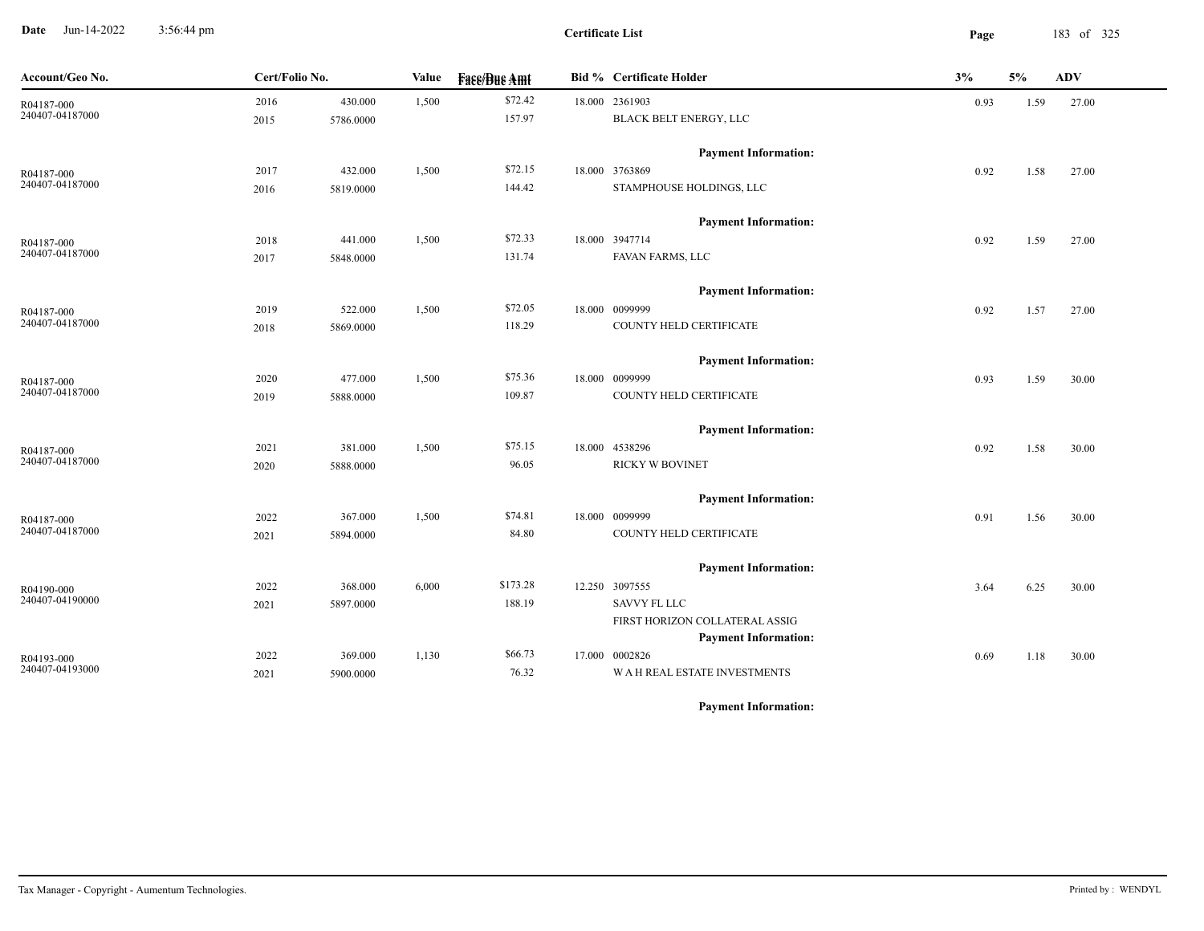**Date** Jun-14-2022 3:56:44 pm **Page** 183 of 325 3:56:44 pm

**Certificate List**

| Account/Geo No. |      | Cert/Folio No. |       | Value<br><b>Fase/Bue Amt</b> |  | <b>Bid % Certificate Holder</b>                               | 5%<br>3%<br>ADV |      |       |
|-----------------|------|----------------|-------|------------------------------|--|---------------------------------------------------------------|-----------------|------|-------|
| R04187-000      | 2016 | 430.000        | 1,500 | \$72.42                      |  | 18.000 2361903                                                | 0.93            | 1.59 | 27.00 |
| 240407-04187000 | 2015 | 5786.0000      |       | 157.97                       |  | BLACK BELT ENERGY, LLC                                        |                 |      |       |
|                 |      |                |       |                              |  | <b>Payment Information:</b>                                   |                 |      |       |
| R04187-000      | 2017 | 432.000        | 1,500 | \$72.15                      |  | 18.000 3763869                                                | 0.92            | 1.58 | 27.00 |
| 240407-04187000 | 2016 | 5819.0000      |       | 144.42                       |  | STAMPHOUSE HOLDINGS, LLC                                      |                 |      |       |
|                 |      |                |       |                              |  | <b>Payment Information:</b>                                   |                 |      |       |
| R04187-000      | 2018 | 441.000        | 1,500 | \$72.33                      |  | 18.000 3947714                                                | 0.92            | 1.59 | 27.00 |
| 240407-04187000 | 2017 | 5848.0000      |       | 131.74                       |  | FAVAN FARMS, LLC                                              |                 |      |       |
|                 |      |                |       |                              |  | <b>Payment Information:</b>                                   |                 |      |       |
| R04187-000      | 2019 | 522.000        | 1,500 | \$72.05                      |  | 18.000 0099999                                                | 0.92            | 1.57 | 27.00 |
| 240407-04187000 | 2018 | 5869.0000      |       | 118.29                       |  | COUNTY HELD CERTIFICATE                                       |                 |      |       |
|                 |      |                |       |                              |  | <b>Payment Information:</b>                                   |                 |      |       |
| R04187-000      | 2020 | 477.000        | 1,500 | \$75.36                      |  | 18.000 0099999                                                | 0.93            | 1.59 | 30.00 |
| 240407-04187000 | 2019 | 5888.0000      |       | 109.87                       |  | COUNTY HELD CERTIFICATE                                       |                 |      |       |
|                 |      |                |       |                              |  | <b>Payment Information:</b>                                   |                 |      |       |
| R04187-000      | 2021 | 381.000        | 1,500 | \$75.15                      |  | 18.000 4538296                                                | 0.92            | 1.58 | 30.00 |
| 240407-04187000 | 2020 | 5888.0000      |       | 96.05                        |  | <b>RICKY W BOVINET</b>                                        |                 |      |       |
|                 |      |                |       |                              |  | <b>Payment Information:</b>                                   |                 |      |       |
| R04187-000      | 2022 | 367.000        | 1,500 | \$74.81                      |  | 18.000 0099999                                                | 0.91            | 1.56 | 30.00 |
| 240407-04187000 | 2021 | 5894.0000      |       | 84.80                        |  | COUNTY HELD CERTIFICATE                                       |                 |      |       |
|                 |      |                |       |                              |  | <b>Payment Information:</b>                                   |                 |      |       |
| R04190-000      | 2022 | 368.000        | 6,000 | \$173.28                     |  | 12.250 3097555                                                | 3.64            | 6.25 | 30.00 |
| 240407-04190000 | 2021 | 5897.0000      |       | 188.19                       |  | <b>SAVVY FL LLC</b>                                           |                 |      |       |
|                 |      |                |       |                              |  | FIRST HORIZON COLLATERAL ASSIG<br><b>Payment Information:</b> |                 |      |       |
| R04193-000      | 2022 | 369.000        | 1,130 | \$66.73                      |  | 17.000 0002826                                                | 0.69            | 1.18 | 30.00 |
| 240407-04193000 | 2021 | 5900.0000      |       | 76.32                        |  | <b>WAH REAL ESTATE INVESTMENTS</b>                            |                 |      |       |
|                 |      |                |       |                              |  |                                                               |                 |      |       |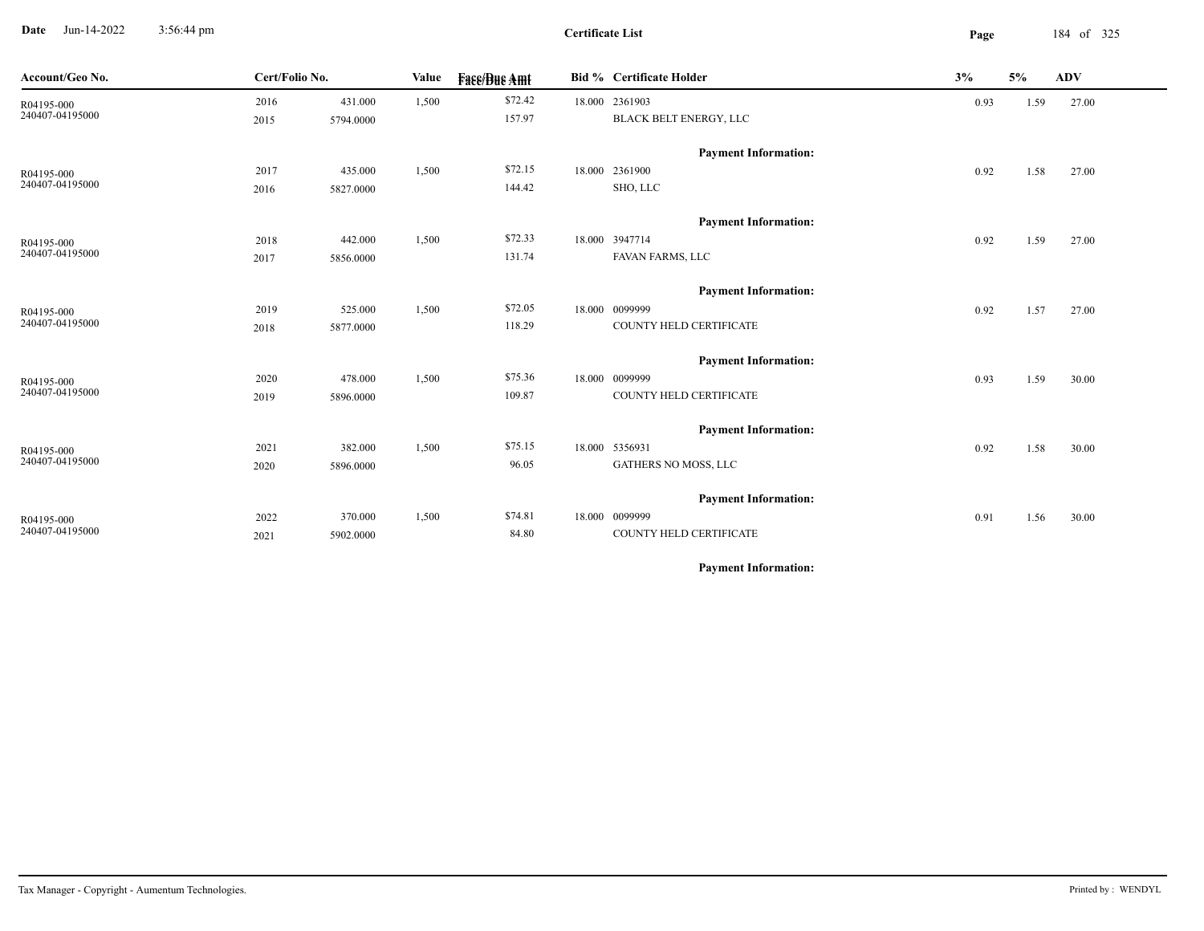**Date** Jun-14-2022 3:56:44 pm **Page** 184 of 325 3:56:44 pm

**Certificate List**

| Cert/Folio No.<br>Account/Geo No. |      | Value     | <b>Fass/Bus Amt</b> | <b>Bid % Certificate Holder</b> | 3%                          | 5%   | <b>ADV</b> |       |
|-----------------------------------|------|-----------|---------------------|---------------------------------|-----------------------------|------|------------|-------|
| R04195-000                        | 2016 | 431.000   | 1,500               | \$72.42                         | 18.000 2361903              | 0.93 | 1.59       | 27.00 |
| 240407-04195000                   | 2015 | 5794.0000 |                     | 157.97                          | BLACK BELT ENERGY, LLC      |      |            |       |
|                                   |      |           |                     |                                 | <b>Payment Information:</b> |      |            |       |
| R04195-000                        | 2017 | 435.000   | 1,500               | \$72.15                         | 18.000 2361900              | 0.92 | 1.58       | 27.00 |
| 240407-04195000                   | 2016 | 5827.0000 |                     | 144.42                          | SHO, LLC                    |      |            |       |
|                                   |      |           |                     |                                 |                             |      |            |       |
|                                   |      |           |                     |                                 | <b>Payment Information:</b> |      |            |       |
| R04195-000                        | 2018 | 442.000   | 1,500               | \$72.33                         | 18.000 3947714              | 0.92 | 1.59       | 27.00 |
| 240407-04195000                   | 2017 | 5856.0000 |                     | 131.74                          | FAVAN FARMS, LLC            |      |            |       |
|                                   |      |           |                     |                                 | <b>Payment Information:</b> |      |            |       |
| R04195-000                        | 2019 | 525.000   | 1,500               | \$72.05                         | 18.000 0099999              | 0.92 | 1.57       | 27.00 |
| 240407-04195000                   | 2018 | 5877.0000 |                     | 118.29                          | COUNTY HELD CERTIFICATE     |      |            |       |
|                                   |      |           |                     |                                 |                             |      |            |       |
|                                   |      |           |                     |                                 | <b>Payment Information:</b> |      |            |       |
| R04195-000<br>240407-04195000     | 2020 | 478.000   | 1,500               | \$75.36                         | 18.000 0099999              | 0.93 | 1.59       | 30.00 |
|                                   | 2019 | 5896.0000 |                     | 109.87                          | COUNTY HELD CERTIFICATE     |      |            |       |
|                                   |      |           |                     |                                 | <b>Payment Information:</b> |      |            |       |
| R04195-000                        | 2021 | 382.000   | 1,500               | \$75.15                         | 18.000 5356931              | 0.92 | 1.58       | 30.00 |
| 240407-04195000                   | 2020 | 5896.0000 |                     | 96.05                           | GATHERS NO MOSS, LLC        |      |            |       |
|                                   |      |           |                     |                                 |                             |      |            |       |
|                                   |      |           |                     |                                 | <b>Payment Information:</b> |      |            |       |
| R04195-000<br>240407-04195000     | 2022 | 370.000   | 1,500               | \$74.81                         | 18.000 0099999              | 0.91 | 1.56       | 30.00 |
|                                   | 2021 | 5902.0000 |                     | 84.80                           | COUNTY HELD CERTIFICATE     |      |            |       |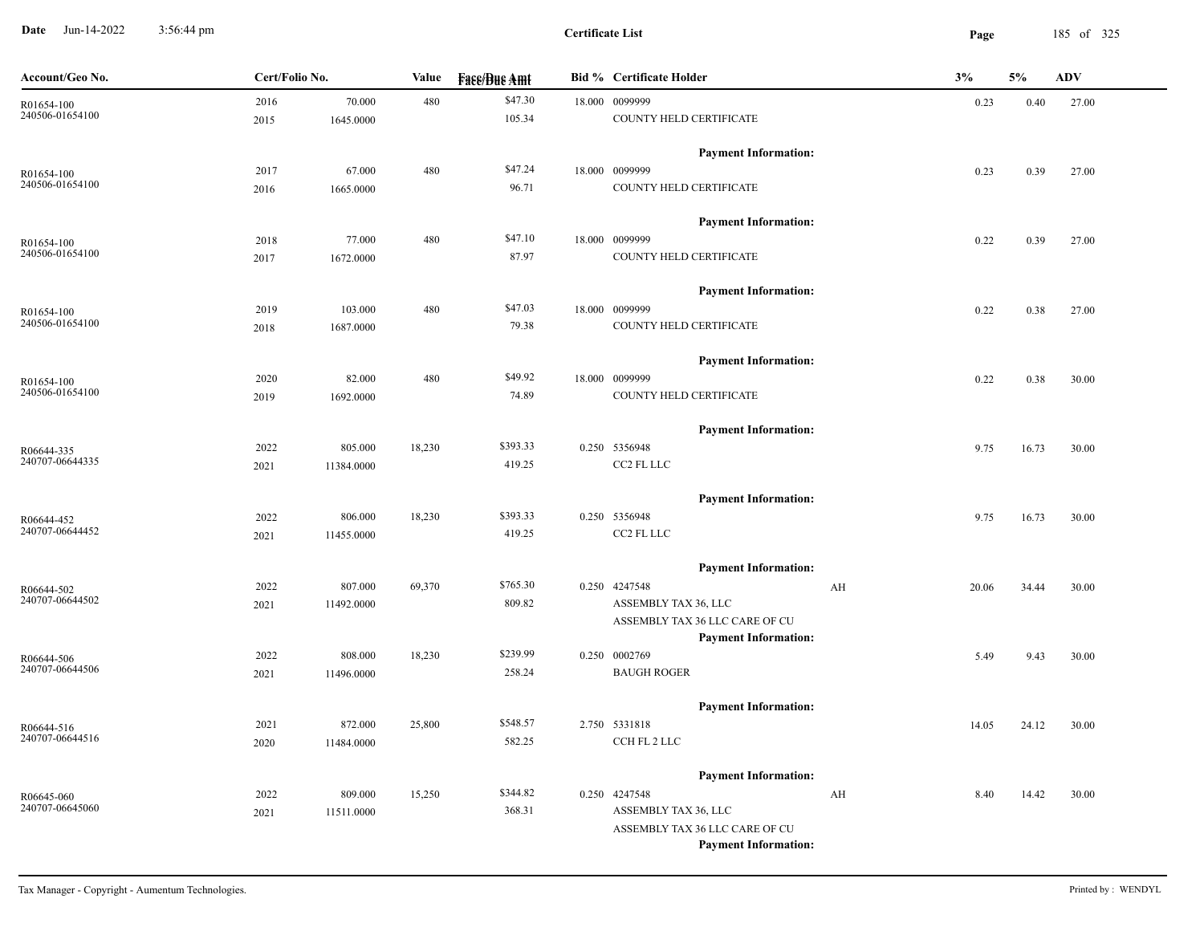**Date** Jun-14-2022 3:56:44 pm **Page** 185 of 325 3:56:44 pm

| Account/Geo No.               | Cert/Folio No. |            | Value  | <b>Face/Bue Amt</b> | <b>Bid % Certificate Holder</b>                               | 3%    | 5%    | <b>ADV</b> |
|-------------------------------|----------------|------------|--------|---------------------|---------------------------------------------------------------|-------|-------|------------|
| R01654-100                    | 2016           | 70.000     | 480    | \$47.30             | 18.000 0099999                                                | 0.23  | 0.40  | 27.00      |
| 240506-01654100               | 2015           | 1645.0000  |        | 105.34              | COUNTY HELD CERTIFICATE                                       |       |       |            |
|                               |                |            |        |                     | <b>Payment Information:</b>                                   |       |       |            |
| R01654-100<br>240506-01654100 | 2017           | 67.000     | 480    | \$47.24             | 18.000 0099999                                                | 0.23  | 0.39  | 27.00      |
|                               | 2016           | 1665.0000  |        | 96.71               | COUNTY HELD CERTIFICATE                                       |       |       |            |
|                               |                |            |        |                     | <b>Payment Information:</b>                                   |       |       |            |
| R01654-100                    | 2018           | 77.000     | 480    | \$47.10             | 18.000 0099999                                                | 0.22  | 0.39  | 27.00      |
| 240506-01654100               | 2017           | 1672.0000  |        | 87.97               | COUNTY HELD CERTIFICATE                                       |       |       |            |
|                               |                |            |        |                     | <b>Payment Information:</b>                                   |       |       |            |
| R01654-100                    | 2019           | 103.000    | 480    | \$47.03             | 18.000 0099999                                                | 0.22  | 0.38  | 27.00      |
| 240506-01654100               | 2018           | 1687.0000  |        | 79.38               | COUNTY HELD CERTIFICATE                                       |       |       |            |
|                               |                |            |        |                     | <b>Payment Information:</b>                                   |       |       |            |
| R01654-100                    | 2020           | 82.000     | 480    | \$49.92             | 18.000 0099999                                                | 0.22  | 0.38  | 30.00      |
| 240506-01654100               | 2019           | 1692.0000  |        | 74.89               | COUNTY HELD CERTIFICATE                                       |       |       |            |
|                               |                |            |        |                     | <b>Payment Information:</b>                                   |       |       |            |
| R06644-335                    | 2022           | 805.000    | 18,230 | \$393.33            | 0.250 5356948                                                 | 9.75  | 16.73 | 30.00      |
| 240707-06644335               | 2021           | 11384.0000 |        | 419.25              | CC2 FL LLC                                                    |       |       |            |
|                               |                |            |        |                     | <b>Payment Information:</b>                                   |       |       |            |
| R06644-452                    | 2022           | 806.000    | 18,230 | \$393.33            | 0.250 5356948                                                 | 9.75  | 16.73 | 30.00      |
| 240707-06644452               | 2021           | 11455.0000 |        | 419.25              | CC2 FL LLC                                                    |       |       |            |
|                               |                |            |        |                     | <b>Payment Information:</b>                                   |       |       |            |
| R06644-502                    | 2022           | 807.000    | 69,370 | \$765.30            | 0.250 4247548<br>AH                                           | 20.06 | 34.44 | 30.00      |
| 240707-06644502               | 2021           | 11492.0000 |        | 809.82              | ASSEMBLY TAX 36, LLC                                          |       |       |            |
|                               |                |            |        |                     | ASSEMBLY TAX 36 LLC CARE OF CU                                |       |       |            |
|                               |                |            |        | \$239.99            | <b>Payment Information:</b>                                   |       |       |            |
| R06644-506<br>240707-06644506 | 2022           | 808.000    | 18,230 |                     | 0.250 0002769<br><b>BAUGH ROGER</b>                           | 5.49  | 9.43  | 30.00      |
|                               | 2021           | 11496.0000 |        | 258.24              |                                                               |       |       |            |
|                               |                |            |        |                     | <b>Payment Information:</b>                                   |       |       |            |
| R06644-516<br>240707-06644516 | 2021           | 872.000    | 25,800 | \$548.57            | 2.750 5331818                                                 | 14.05 | 24.12 | 30.00      |
|                               | 2020           | 11484.0000 |        | 582.25              | CCH FL 2 LLC                                                  |       |       |            |
|                               |                |            |        |                     | <b>Payment Information:</b>                                   |       |       |            |
| R06645-060                    | 2022           | 809.000    | 15,250 | \$344.82            | 0.250 4247548<br>AH                                           | 8.40  | 14.42 | 30.00      |
| 240707-06645060               | 2021           | 11511.0000 |        | 368.31              | ASSEMBLY TAX 36, LLC                                          |       |       |            |
|                               |                |            |        |                     | ASSEMBLY TAX 36 LLC CARE OF CU<br><b>Payment Information:</b> |       |       |            |
|                               |                |            |        |                     |                                                               |       |       |            |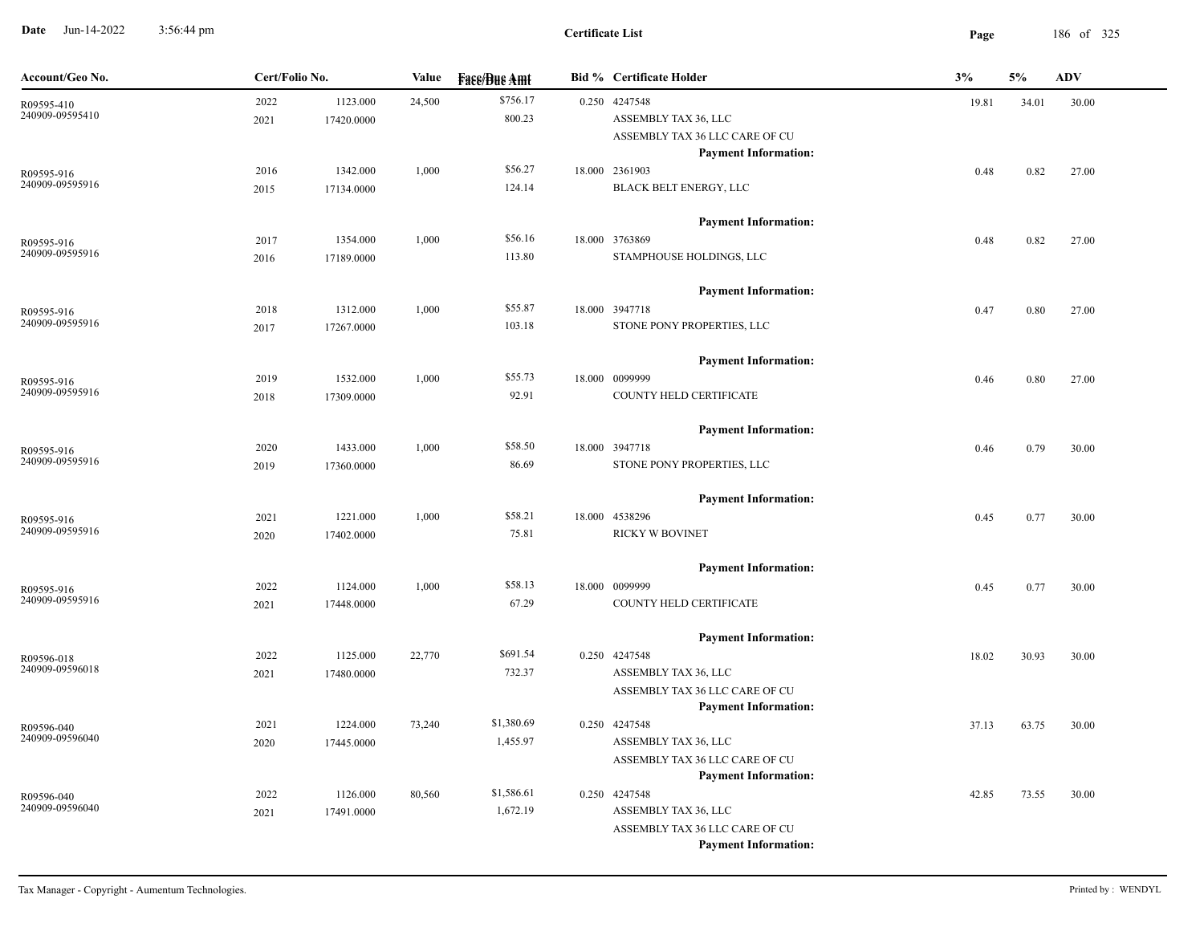**Date** Jun-14-2022 3:56:44 pm **Page** 186 of 325 3:56:44 pm

| Account/Geo No.               | Cert/Folio No. |                        | <b>Value</b> | <b>Fase/Bue Amt</b>    | <b>Bid % Certificate Holder</b>                                                                                                          | 3%    | 5%    | <b>ADV</b> |
|-------------------------------|----------------|------------------------|--------------|------------------------|------------------------------------------------------------------------------------------------------------------------------------------|-------|-------|------------|
| R09595-410<br>240909-09595410 | 2022<br>2021   | 1123.000<br>17420.0000 | 24,500       | \$756.17<br>800.23     | 0.250 4247548<br>ASSEMBLY TAX 36, LLC<br>ASSEMBLY TAX 36 LLC CARE OF CU                                                                  | 19.81 | 34.01 | 30.00      |
| R09595-916<br>240909-09595916 | 2016<br>2015   | 1342.000<br>17134.0000 | 1,000        | \$56.27<br>124.14      | <b>Payment Information:</b><br>18.000 2361903<br>BLACK BELT ENERGY, LLC                                                                  | 0.48  | 0.82  | 27.00      |
| R09595-916<br>240909-09595916 | 2017<br>2016   | 1354.000<br>17189.0000 | 1,000        | \$56.16<br>113.80      | <b>Payment Information:</b><br>18.000 3763869<br>STAMPHOUSE HOLDINGS, LLC                                                                | 0.48  | 0.82  | 27.00      |
| R09595-916<br>240909-09595916 | 2018<br>2017   | 1312.000<br>17267.0000 | 1,000        | \$55.87<br>103.18      | <b>Payment Information:</b><br>18.000 3947718<br>STONE PONY PROPERTIES, LLC                                                              | 0.47  | 0.80  | 27.00      |
| R09595-916<br>240909-09595916 | 2019<br>2018   | 1532.000<br>17309.0000 | 1,000        | \$55.73<br>92.91       | <b>Payment Information:</b><br>18.000 0099999<br>COUNTY HELD CERTIFICATE                                                                 | 0.46  | 0.80  | 27.00      |
| R09595-916<br>240909-09595916 | 2020<br>2019   | 1433.000<br>17360.0000 | 1,000        | \$58.50<br>86.69       | <b>Payment Information:</b><br>18.000 3947718<br>STONE PONY PROPERTIES, LLC                                                              | 0.46  | 0.79  | 30.00      |
| R09595-916<br>240909-09595916 | 2021<br>2020   | 1221.000<br>17402.0000 | 1,000        | \$58.21<br>75.81       | <b>Payment Information:</b><br>18.000 4538296<br>RICKY W BOVINET                                                                         | 0.45  | 0.77  | 30.00      |
| R09595-916<br>240909-09595916 | 2022<br>2021   | 1124.000<br>17448.0000 | 1,000        | \$58.13<br>67.29       | <b>Payment Information:</b><br>18.000 0099999<br>COUNTY HELD CERTIFICATE                                                                 | 0.45  | 0.77  | 30.00      |
| R09596-018<br>240909-09596018 | 2022<br>2021   | 1125.000<br>17480.0000 | 22,770       | \$691.54<br>732.37     | <b>Payment Information:</b><br>0.250 4247548<br>ASSEMBLY TAX 36, LLC                                                                     | 18.02 | 30.93 | 30.00      |
| R09596-040<br>240909-09596040 | 2021<br>2020   | 1224.000<br>17445.0000 | 73,240       | \$1,380.69<br>1,455.97 | ASSEMBLY TAX 36 LLC CARE OF CU<br><b>Payment Information:</b><br>0.250 4247548<br>ASSEMBLY TAX 36, LLC                                   | 37.13 | 63.75 | 30.00      |
| R09596-040<br>240909-09596040 | 2022<br>2021   | 1126.000<br>17491.0000 | 80,560       | \$1,586.61<br>1,672.19 | ASSEMBLY TAX 36 LLC CARE OF CU<br><b>Payment Information:</b><br>0.250 4247548<br>ASSEMBLY TAX 36, LLC<br>ASSEMBLY TAX 36 LLC CARE OF CU | 42.85 | 73.55 | 30.00      |
|                               |                |                        |              |                        | <b>Payment Information:</b>                                                                                                              |       |       |            |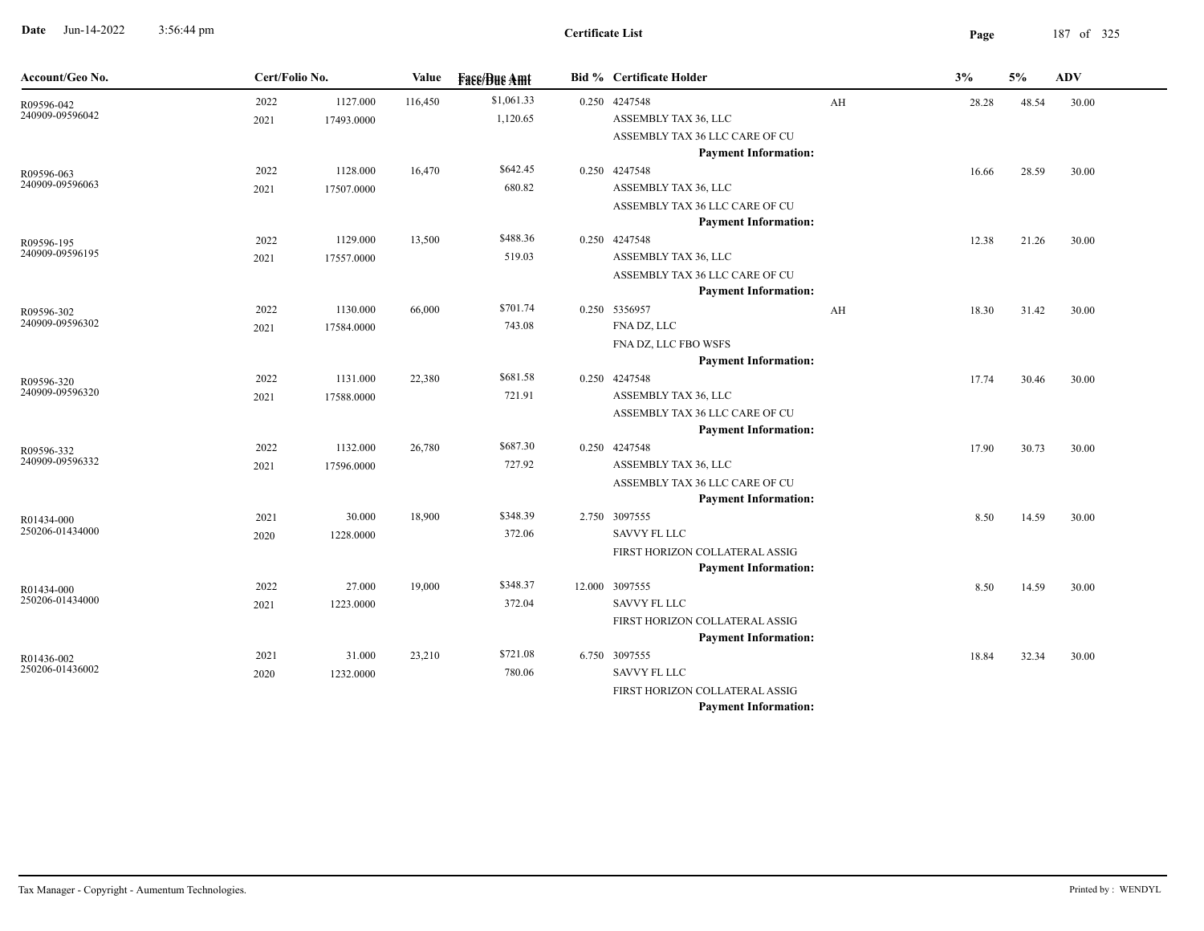**Date** Jun-14-2022 3:56:44 pm **Page** 187 of 325 3:56:44 pm

-

| Account/Geo No.               | Cert/Folio No. |            | Value   | <b>Fase/Bue Amt</b> | <b>Bid % Certificate Holder</b>                               |    | 3%    | 5%    | <b>ADV</b> |
|-------------------------------|----------------|------------|---------|---------------------|---------------------------------------------------------------|----|-------|-------|------------|
| R09596-042                    | 2022           | 1127.000   | 116,450 | \$1,061.33          | 0.250 4247548                                                 | AH | 28.28 | 48.54 | 30.00      |
| 240909-09596042               | 2021           | 17493.0000 |         | 1,120.65            | ASSEMBLY TAX 36, LLC                                          |    |       |       |            |
|                               |                |            |         |                     | ASSEMBLY TAX 36 LLC CARE OF CU                                |    |       |       |            |
|                               |                |            |         |                     | <b>Payment Information:</b>                                   |    |       |       |            |
| R09596-063<br>240909-09596063 | 2022           | 1128.000   | 16,470  | \$642.45            | 0.250 4247548                                                 |    | 16.66 | 28.59 | 30.00      |
|                               | 2021           | 17507.0000 |         | 680.82              | ASSEMBLY TAX 36, LLC                                          |    |       |       |            |
|                               |                |            |         |                     | ASSEMBLY TAX 36 LLC CARE OF CU<br><b>Payment Information:</b> |    |       |       |            |
|                               | 2022           | 1129.000   | 13,500  | \$488.36            | 0.250 4247548                                                 |    | 12.38 | 21.26 | 30.00      |
| R09596-195<br>240909-09596195 | 2021           | 17557.0000 |         | 519.03              | ASSEMBLY TAX 36, LLC                                          |    |       |       |            |
|                               |                |            |         |                     | ASSEMBLY TAX 36 LLC CARE OF CU                                |    |       |       |            |
|                               |                |            |         |                     | <b>Payment Information:</b>                                   |    |       |       |            |
| R09596-302                    | 2022           | 1130.000   | 66,000  | \$701.74            | 0.250 5356957                                                 | AH | 18.30 | 31.42 | 30.00      |
| 240909-09596302               | 2021           | 17584.0000 |         | 743.08              | FNA DZ, LLC                                                   |    |       |       |            |
|                               |                |            |         |                     | FNA DZ, LLC FBO WSFS                                          |    |       |       |            |
|                               |                |            |         |                     | <b>Payment Information:</b>                                   |    |       |       |            |
| R09596-320<br>240909-09596320 | 2022           | 1131.000   | 22,380  | \$681.58            | 0.250 4247548                                                 |    | 17.74 | 30.46 | 30.00      |
|                               | 2021           | 17588.0000 |         | 721.91              | ASSEMBLY TAX 36, LLC                                          |    |       |       |            |
|                               |                |            |         |                     | ASSEMBLY TAX 36 LLC CARE OF CU                                |    |       |       |            |
|                               |                |            |         |                     | <b>Payment Information:</b>                                   |    |       |       |            |
| R09596-332                    | 2022           | 1132.000   | 26,780  | \$687.30            | 0.250 4247548                                                 |    | 17.90 | 30.73 | 30.00      |
| 240909-09596332               | 2021           | 17596.0000 |         | 727.92              | ASSEMBLY TAX 36, LLC                                          |    |       |       |            |
|                               |                |            |         |                     | ASSEMBLY TAX 36 LLC CARE OF CU                                |    |       |       |            |
|                               |                |            |         |                     | <b>Payment Information:</b>                                   |    |       |       |            |
| R01434-000<br>250206-01434000 | 2021           | 30.000     | 18,900  | \$348.39            | 2.750 3097555<br><b>SAVVY FL LLC</b>                          |    | 8.50  | 14.59 | 30.00      |
|                               | 2020           | 1228.0000  |         | 372.06              |                                                               |    |       |       |            |
|                               |                |            |         |                     | FIRST HORIZON COLLATERAL ASSIG<br><b>Payment Information:</b> |    |       |       |            |
|                               | 2022           | 27.000     | 19,000  | \$348.37            | 12.000 3097555                                                |    | 8.50  | 14.59 | 30.00      |
| R01434-000<br>250206-01434000 | 2021           | 1223.0000  |         | 372.04              | <b>SAVVY FL LLC</b>                                           |    |       |       |            |
|                               |                |            |         |                     | FIRST HORIZON COLLATERAL ASSIG                                |    |       |       |            |
|                               |                |            |         |                     | <b>Payment Information:</b>                                   |    |       |       |            |
| R01436-002                    | 2021           | 31.000     | 23,210  | \$721.08            | 6.750 3097555                                                 |    | 18.84 | 32.34 | 30.00      |
| 250206-01436002               | 2020           | 1232.0000  |         | 780.06              | <b>SAVVY FL LLC</b>                                           |    |       |       |            |
|                               |                |            |         |                     | FIRST HORIZON COLLATERAL ASSIG                                |    |       |       |            |
|                               |                |            |         |                     | <b>Payment Information:</b>                                   |    |       |       |            |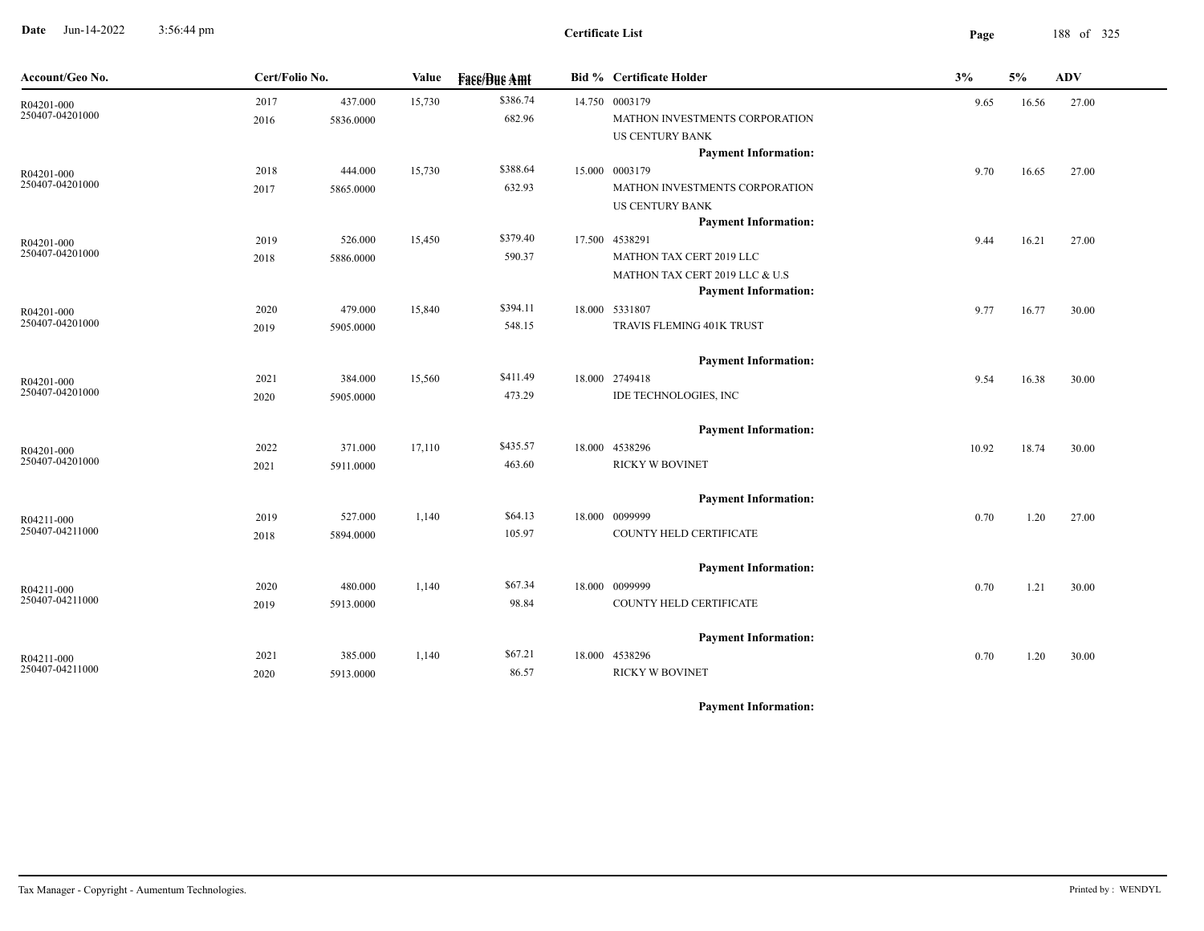**Date** Jun-14-2022 3:56:44 pm **Page** 188 of 325 3:56:44 pm

| Account/Geo No.               |      | Cert/Folio No. |        | <b>Value</b><br><b>Fase/Bue Amt</b><br><b>Bid % Certificate Holder</b> |  | 3%                             | 5%    | <b>ADV</b> |       |  |
|-------------------------------|------|----------------|--------|------------------------------------------------------------------------|--|--------------------------------|-------|------------|-------|--|
| R04201-000                    | 2017 | 437.000        | 15,730 | \$386.74                                                               |  | 14.750 0003179                 | 9.65  | 16.56      | 27.00 |  |
| 250407-04201000               | 2016 | 5836.0000      |        | 682.96                                                                 |  | MATHON INVESTMENTS CORPORATION |       |            |       |  |
|                               |      |                |        |                                                                        |  | <b>US CENTURY BANK</b>         |       |            |       |  |
|                               |      |                |        |                                                                        |  | <b>Payment Information:</b>    |       |            |       |  |
| R04201-000                    | 2018 | 444.000        | 15,730 | \$388.64                                                               |  | 15.000 0003179                 | 9.70  | 16.65      | 27.00 |  |
| 250407-04201000               | 2017 | 5865.0000      |        | 632.93                                                                 |  | MATHON INVESTMENTS CORPORATION |       |            |       |  |
|                               |      |                |        |                                                                        |  | US CENTURY BANK                |       |            |       |  |
|                               |      |                |        |                                                                        |  | <b>Payment Information:</b>    |       |            |       |  |
| R04201-000                    | 2019 | 526.000        | 15,450 | \$379.40                                                               |  | 17.500 4538291                 | 9.44  | 16.21      | 27.00 |  |
| 250407-04201000               | 2018 | 5886.0000      |        | 590.37                                                                 |  | MATHON TAX CERT 2019 LLC       |       |            |       |  |
|                               |      |                |        |                                                                        |  | MATHON TAX CERT 2019 LLC & U.S |       |            |       |  |
|                               |      |                |        |                                                                        |  | <b>Payment Information:</b>    |       |            |       |  |
| R04201-000<br>250407-04201000 | 2020 | 479.000        | 15,840 | \$394.11                                                               |  | 18.000 5331807                 | 9.77  | 16.77      | 30.00 |  |
|                               | 2019 | 5905.0000      |        | 548.15                                                                 |  | TRAVIS FLEMING 401K TRUST      |       |            |       |  |
|                               |      |                |        |                                                                        |  | <b>Payment Information:</b>    |       |            |       |  |
| R04201-000                    | 2021 | 384.000        | 15,560 | \$411.49                                                               |  | 18.000 2749418                 | 9.54  | 16.38      | 30.00 |  |
| 250407-04201000               | 2020 | 5905.0000      |        | 473.29                                                                 |  | IDE TECHNOLOGIES, INC          |       |            |       |  |
|                               |      |                |        |                                                                        |  | <b>Payment Information:</b>    |       |            |       |  |
| R04201-000                    | 2022 | 371.000        | 17,110 | \$435.57                                                               |  | 18.000 4538296                 | 10.92 | 18.74      | 30.00 |  |
| 250407-04201000               | 2021 | 5911.0000      |        | 463.60                                                                 |  | <b>RICKY W BOVINET</b>         |       |            |       |  |
|                               |      |                |        |                                                                        |  | <b>Payment Information:</b>    |       |            |       |  |
|                               | 2019 | 527.000        | 1,140  | \$64.13                                                                |  | 18.000 0099999                 | 0.70  | 1.20       | 27.00 |  |
| R04211-000<br>250407-04211000 | 2018 | 5894.0000      |        | 105.97                                                                 |  | COUNTY HELD CERTIFICATE        |       |            |       |  |
|                               |      |                |        |                                                                        |  |                                |       |            |       |  |
|                               |      |                |        |                                                                        |  | <b>Payment Information:</b>    |       |            |       |  |
| R04211-000<br>250407-04211000 | 2020 | 480.000        | 1,140  | \$67.34                                                                |  | 18.000 0099999                 | 0.70  | 1.21       | 30.00 |  |
|                               | 2019 | 5913.0000      |        | 98.84                                                                  |  | COUNTY HELD CERTIFICATE        |       |            |       |  |
|                               |      |                |        |                                                                        |  | <b>Payment Information:</b>    |       |            |       |  |
| R04211-000                    | 2021 | 385.000        | 1,140  | \$67.21                                                                |  | 18.000 4538296                 | 0.70  | 1.20       | 30.00 |  |
| 250407-04211000               | 2020 | 5913.0000      |        | 86.57                                                                  |  | <b>RICKY W BOVINET</b>         |       |            |       |  |
|                               |      |                |        |                                                                        |  |                                |       |            |       |  |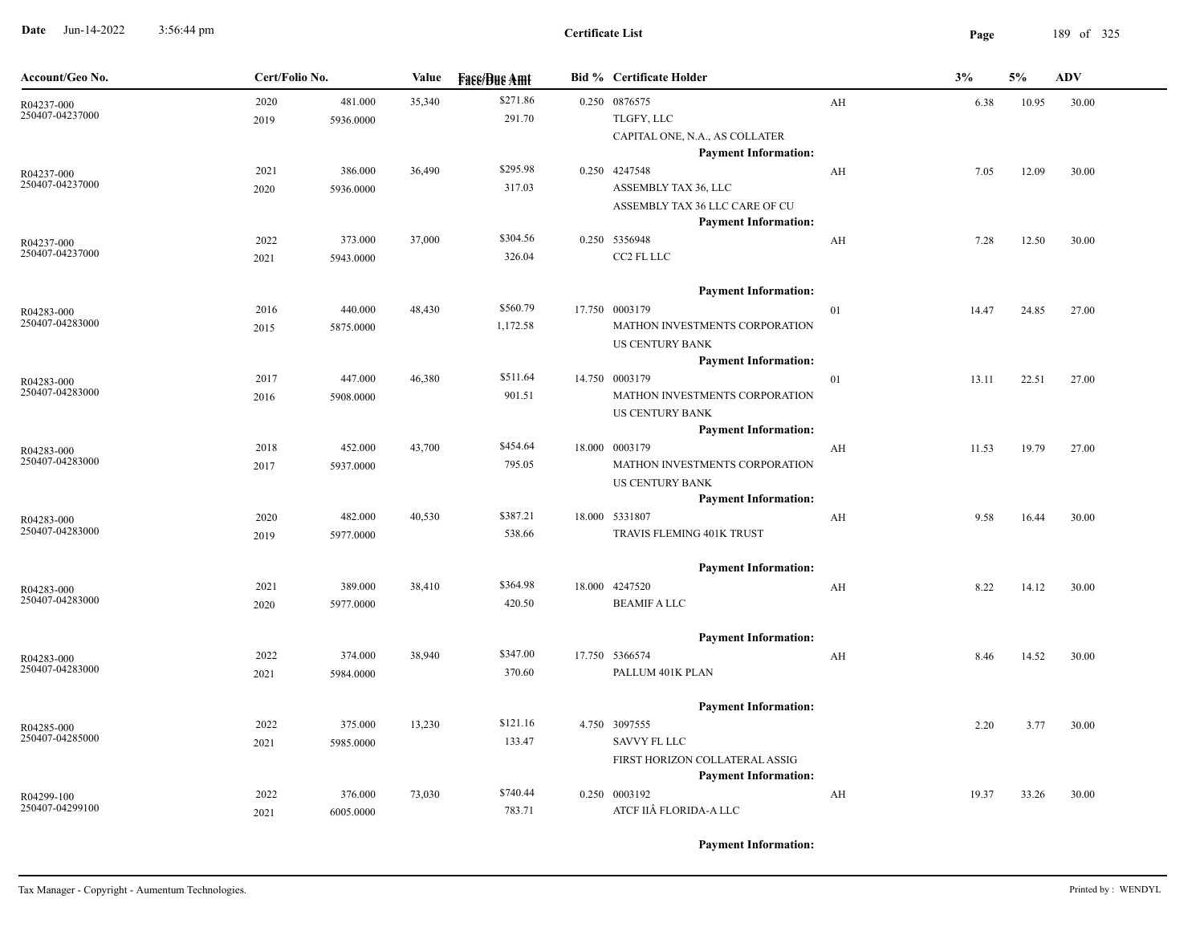**Date** Jun-14-2022 3:56:44 pm **Page** 189 of 325 3:56:44 pm

| Account/Geo No.               | Cert/Folio No. |           | Value  | <b>Face/Bue Amt</b> | <b>Bid % Certificate Holder</b>                               |    | 3%    | 5%    | <b>ADV</b> |
|-------------------------------|----------------|-----------|--------|---------------------|---------------------------------------------------------------|----|-------|-------|------------|
| R04237-000                    | 2020           | 481.000   | 35,340 | \$271.86            | 0.250 0876575                                                 | AH | 6.38  | 10.95 | 30.00      |
| 250407-04237000               | 2019           | 5936.0000 |        | 291.70              | TLGFY, LLC                                                    |    |       |       |            |
|                               |                |           |        |                     | CAPITAL ONE, N.A., AS COLLATER                                |    |       |       |            |
|                               |                |           |        |                     | <b>Payment Information:</b>                                   |    |       |       |            |
| R04237-000                    | 2021           | 386.000   | 36,490 | \$295.98            | 0.250 4247548                                                 | AH | 7.05  | 12.09 | 30.00      |
| 250407-04237000               | 2020           | 5936.0000 |        | 317.03              | ASSEMBLY TAX 36, LLC                                          |    |       |       |            |
|                               |                |           |        |                     | ASSEMBLY TAX 36 LLC CARE OF CU<br><b>Payment Information:</b> |    |       |       |            |
| R04237-000                    | 2022           | 373.000   | 37,000 | \$304.56            | 0.250 5356948                                                 | AH | 7.28  | 12.50 | 30.00      |
| 250407-04237000               | 2021           | 5943.0000 |        | 326.04              | CC2 FL LLC                                                    |    |       |       |            |
|                               |                |           |        |                     |                                                               |    |       |       |            |
|                               |                |           |        |                     | <b>Payment Information:</b>                                   |    |       |       |            |
| R04283-000                    | 2016           | 440.000   | 48,430 | \$560.79            | 17.750 0003179                                                | 01 | 14.47 | 24.85 | 27.00      |
| 250407-04283000               | 2015           | 5875.0000 |        | 1,172.58            | MATHON INVESTMENTS CORPORATION                                |    |       |       |            |
|                               |                |           |        |                     | <b>US CENTURY BANK</b>                                        |    |       |       |            |
|                               |                |           |        |                     | <b>Payment Information:</b>                                   |    |       |       |            |
| R04283-000                    | 2017           | 447.000   | 46,380 | \$511.64            | 14.750 0003179                                                | 01 | 13.11 | 22.51 | 27.00      |
| 250407-04283000               | 2016           | 5908.0000 |        | 901.51              | MATHON INVESTMENTS CORPORATION                                |    |       |       |            |
|                               |                |           |        |                     | <b>US CENTURY BANK</b>                                        |    |       |       |            |
|                               |                |           |        |                     | <b>Payment Information:</b>                                   |    |       |       |            |
| R04283-000<br>250407-04283000 | 2018           | 452.000   | 43,700 | \$454.64            | 18.000 0003179                                                | AH | 11.53 | 19.79 | 27.00      |
|                               | 2017           | 5937.0000 |        | 795.05              | MATHON INVESTMENTS CORPORATION                                |    |       |       |            |
|                               |                |           |        |                     | <b>US CENTURY BANK</b><br><b>Payment Information:</b>         |    |       |       |            |
|                               | 2020           | 482.000   | 40,530 | \$387.21            | 18.000 5331807                                                | AH | 9.58  | 16.44 | 30.00      |
| R04283-000<br>250407-04283000 | 2019           | 5977.0000 |        | 538.66              | TRAVIS FLEMING 401K TRUST                                     |    |       |       |            |
|                               |                |           |        |                     |                                                               |    |       |       |            |
|                               |                |           |        |                     | <b>Payment Information:</b>                                   |    |       |       |            |
| R04283-000                    | 2021           | 389.000   | 38,410 | \$364.98            | 18.000 4247520                                                | AH | 8.22  | 14.12 | 30.00      |
| 250407-04283000               | 2020           | 5977.0000 |        | 420.50              | <b>BEAMIF A LLC</b>                                           |    |       |       |            |
|                               |                |           |        |                     | <b>Payment Information:</b>                                   |    |       |       |            |
|                               | 2022           | 374.000   | 38,940 | \$347.00            | 17.750 5366574                                                | AH | 8.46  | 14.52 | 30.00      |
| R04283-000<br>250407-04283000 | 2021           | 5984.0000 |        | 370.60              | PALLUM 401K PLAN                                              |    |       |       |            |
|                               |                |           |        |                     |                                                               |    |       |       |            |
|                               |                |           |        |                     | <b>Payment Information:</b>                                   |    |       |       |            |
| R04285-000                    | 2022           | 375.000   | 13,230 | \$121.16            | 4.750 3097555                                                 |    | 2.20  | 3.77  | 30.00      |
| 250407-04285000               | 2021           | 5985.0000 |        | 133.47              | <b>SAVVY FL LLC</b>                                           |    |       |       |            |
|                               |                |           |        |                     | FIRST HORIZON COLLATERAL ASSIG                                |    |       |       |            |
|                               |                |           |        |                     | <b>Payment Information:</b>                                   |    |       |       |            |
| R04299-100<br>250407-04299100 | 2022           | 376.000   | 73,030 | \$740.44            | 0.250 0003192                                                 | AH | 19.37 | 33.26 | 30.00      |
|                               | 2021           | 6005.0000 |        | 783.71              | ATCF IIÂ FLORIDA-A LLC                                        |    |       |       |            |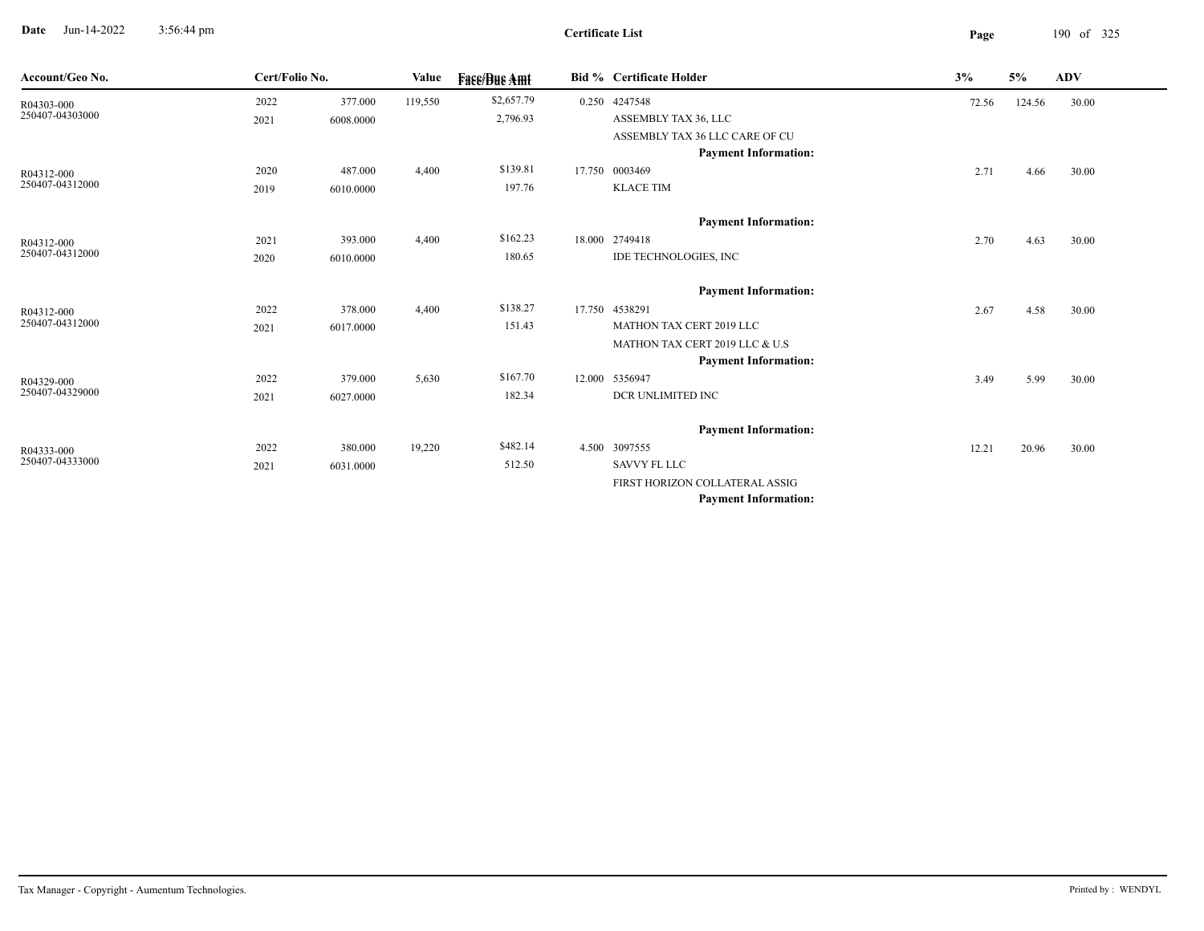**Date** Jun-14-2022 3:56:44 pm **Page** 190 of 325 3:56:44 pm

| Account/Geo No. |      | Cert/Folio No. |         | <b>Face/Bue Amt</b> | <b>Bid % Certificate Holder</b> | 3%    | 5%     | <b>ADV</b> |  |
|-----------------|------|----------------|---------|---------------------|---------------------------------|-------|--------|------------|--|
| R04303-000      | 2022 | 377.000        | 119,550 | \$2,657.79          | 0.250 4247548                   | 72.56 | 124.56 | 30.00      |  |
| 250407-04303000 | 2021 | 6008.0000      |         | 2,796.93            | ASSEMBLY TAX 36, LLC            |       |        |            |  |
|                 |      |                |         |                     | ASSEMBLY TAX 36 LLC CARE OF CU  |       |        |            |  |
|                 |      |                |         |                     | <b>Payment Information:</b>     |       |        |            |  |
| R04312-000      | 2020 | 487.000        | 4,400   | \$139.81            | 17.750 0003469                  | 2.71  | 4.66   | 30.00      |  |
| 250407-04312000 | 2019 | 6010.0000      |         | 197.76              | <b>KLACE TIM</b>                |       |        |            |  |
|                 |      |                |         |                     | <b>Payment Information:</b>     |       |        |            |  |
| R04312-000      | 2021 | 393.000        | 4,400   | \$162.23            | 18.000 2749418                  | 2.70  | 4.63   | 30.00      |  |
| 250407-04312000 | 2020 | 6010.0000      |         | 180.65              | IDE TECHNOLOGIES, INC           |       |        |            |  |
|                 |      |                |         |                     | <b>Payment Information:</b>     |       |        |            |  |
| R04312-000      | 2022 | 378.000        | 4,400   | \$138.27            | 17.750 4538291                  | 2.67  | 4.58   | 30.00      |  |
| 250407-04312000 | 2021 | 6017.0000      |         | 151.43              | MATHON TAX CERT 2019 LLC        |       |        |            |  |
|                 |      |                |         |                     | MATHON TAX CERT 2019 LLC & U.S  |       |        |            |  |
|                 |      |                |         |                     | <b>Payment Information:</b>     |       |        |            |  |
| R04329-000      | 2022 | 379.000        | 5,630   | \$167.70            | 12.000 5356947                  | 3.49  | 5.99   | 30.00      |  |
| 250407-04329000 | 2021 | 6027.0000      |         | 182.34              | DCR UNLIMITED INC               |       |        |            |  |
|                 |      |                |         |                     | <b>Payment Information:</b>     |       |        |            |  |
| R04333-000      | 2022 | 380.000        | 19,220  | \$482.14            | 4.500 3097555                   | 12.21 | 20.96  | 30.00      |  |
| 250407-04333000 | 2021 | 6031.0000      |         | 512.50              | SAVVY FL LLC                    |       |        |            |  |
|                 |      |                |         |                     | FIRST HORIZON COLLATERAL ASSIG  |       |        |            |  |
|                 |      |                |         |                     | <b>Payment Information:</b>     |       |        |            |  |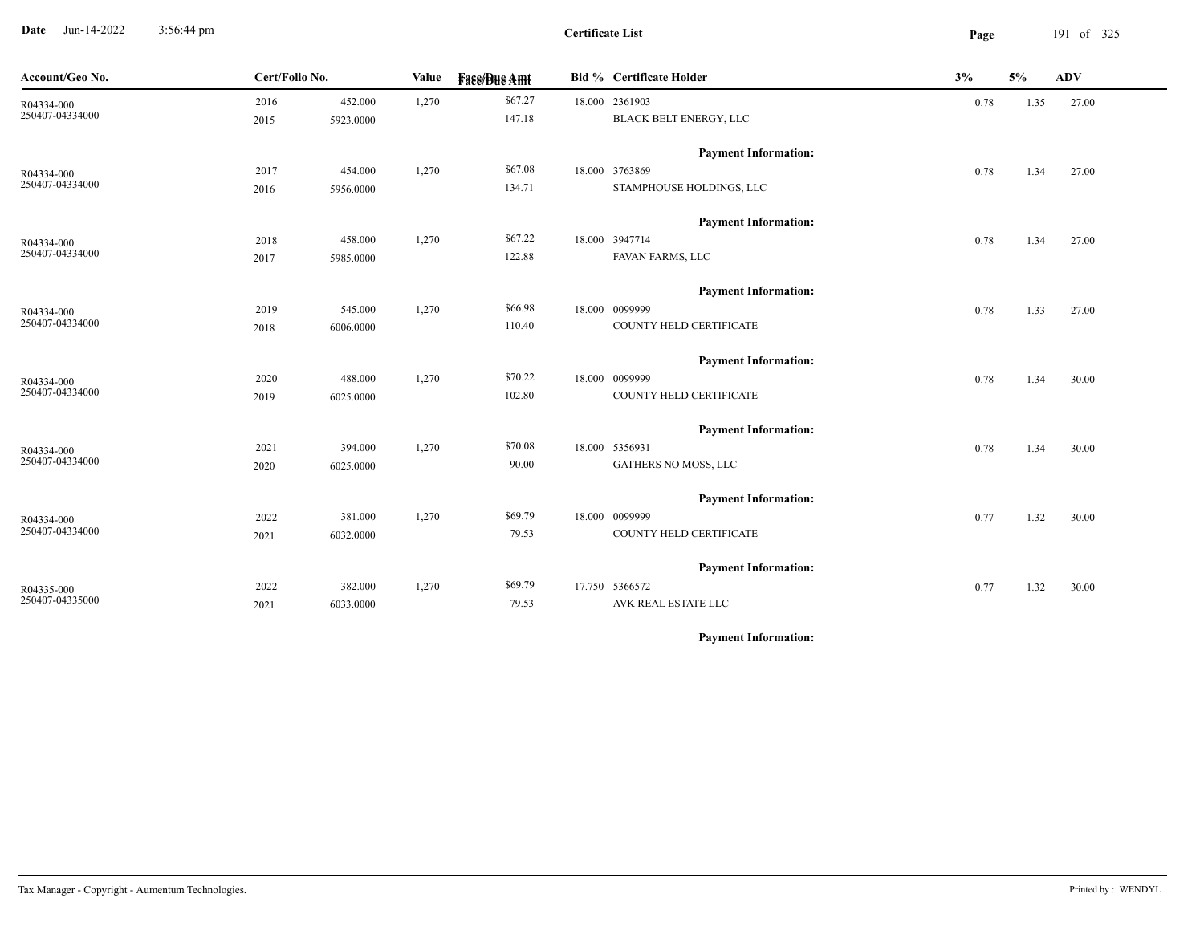**Date** Jun-14-2022 3:56:44 pm **Page** 191 of 325 3:56:44 pm

| Account/Geo No.               | Cert/Folio No. |           | Value | <b>Fase/Bue Amt</b> | <b>Bid % Certificate Holder</b> | 3%   | 5%   | <b>ADV</b> |  |
|-------------------------------|----------------|-----------|-------|---------------------|---------------------------------|------|------|------------|--|
| R04334-000<br>250407-04334000 | 2016           | 452.000   | 1,270 | \$67.27             | 18.000 2361903                  | 0.78 | 1.35 | 27.00      |  |
|                               | 2015           | 5923.0000 |       | 147.18              | BLACK BELT ENERGY, LLC          |      |      |            |  |
|                               |                |           |       |                     | <b>Payment Information:</b>     |      |      |            |  |
| R04334-000                    | 2017           | 454.000   | 1,270 | \$67.08             | 18.000 3763869                  | 0.78 | 1.34 | 27.00      |  |
| 250407-04334000               | 2016           | 5956.0000 |       | 134.71              | STAMPHOUSE HOLDINGS, LLC        |      |      |            |  |
|                               |                |           |       |                     | <b>Payment Information:</b>     |      |      |            |  |
| R04334-000                    | 2018           | 458.000   | 1,270 | \$67.22             | 18.000 3947714                  | 0.78 | 1.34 | 27.00      |  |
| 250407-04334000               | 2017           | 5985.0000 |       | 122.88              | FAVAN FARMS, LLC                |      |      |            |  |
|                               |                |           |       |                     | <b>Payment Information:</b>     |      |      |            |  |
| R04334-000                    | 2019           | 545.000   | 1,270 | \$66.98             | 18.000 0099999                  | 0.78 | 1.33 | 27.00      |  |
| 250407-04334000               | 2018           | 6006.0000 |       | 110.40              | COUNTY HELD CERTIFICATE         |      |      |            |  |
|                               |                |           |       |                     | <b>Payment Information:</b>     |      |      |            |  |
| R04334-000                    | 2020           | 488.000   | 1,270 | \$70.22             | 18.000 0099999                  | 0.78 | 1.34 | 30.00      |  |
| 250407-04334000               | 2019           | 6025.0000 |       | 102.80              | COUNTY HELD CERTIFICATE         |      |      |            |  |
|                               |                |           |       |                     | <b>Payment Information:</b>     |      |      |            |  |
| R04334-000                    | 2021           | 394.000   | 1,270 | \$70.08             | 18.000 5356931                  | 0.78 | 1.34 | 30.00      |  |
| 250407-04334000               | 2020           | 6025.0000 |       | 90.00               | GATHERS NO MOSS, LLC            |      |      |            |  |
|                               |                |           |       |                     | <b>Payment Information:</b>     |      |      |            |  |
| R04334-000                    | 2022           | 381.000   | 1,270 | \$69.79             | 18.000 0099999                  | 0.77 | 1.32 | 30.00      |  |
| 250407-04334000               | 2021           | 6032.0000 |       | 79.53               | COUNTY HELD CERTIFICATE         |      |      |            |  |
|                               |                |           |       |                     | <b>Payment Information:</b>     |      |      |            |  |
| R04335-000                    | 2022           | 382.000   | 1,270 | \$69.79             | 17.750 5366572                  | 0.77 | 1.32 | 30.00      |  |
| 250407-04335000               | 2021           | 6033.0000 |       | 79.53               | AVK REAL ESTATE LLC             |      |      |            |  |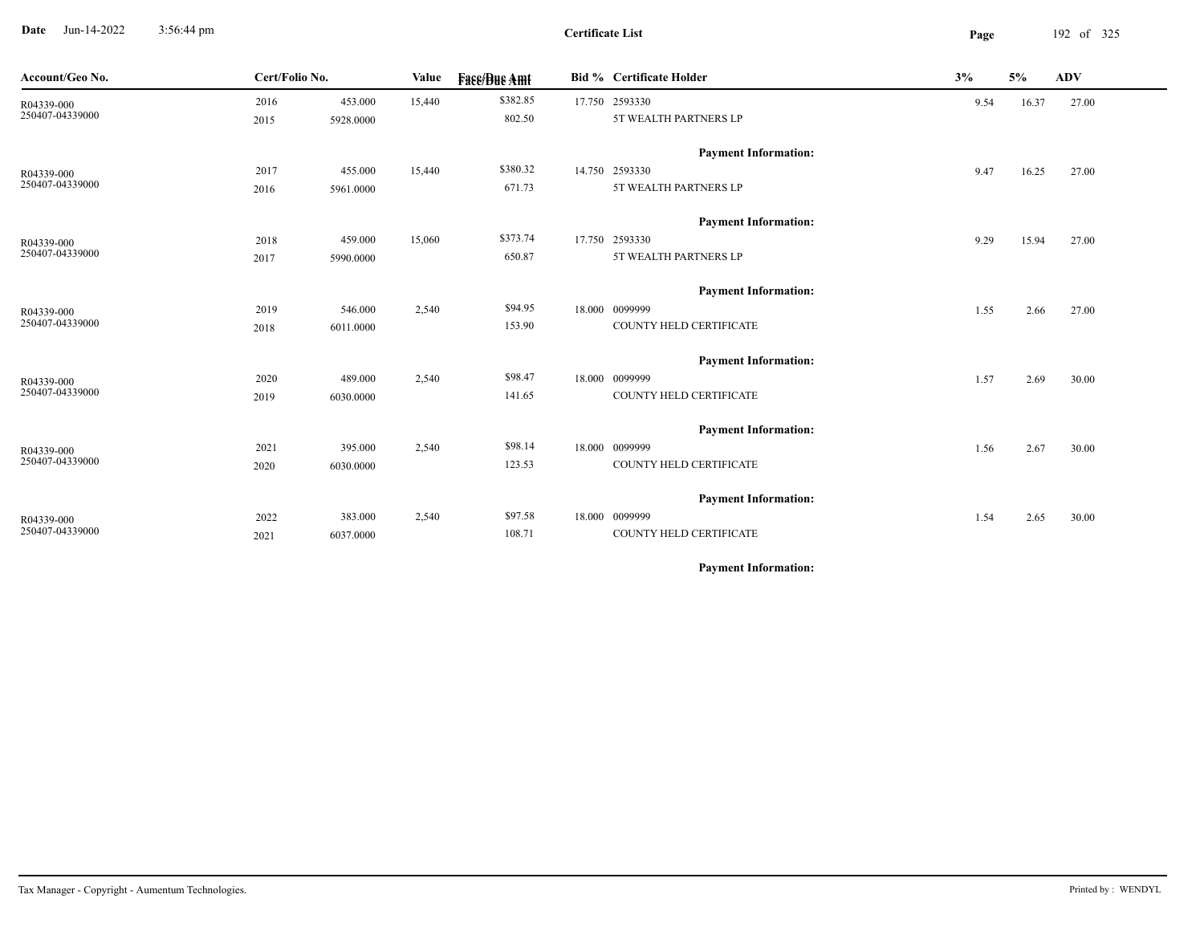**Date** Jun-14-2022 3:56:44 pm **Page** 192 of 325 3:56:44 pm

| 5%                                                   | <b>ADV</b> |
|------------------------------------------------------|------------|
| 16.37                                                | 27.00      |
|                                                      |            |
|                                                      |            |
| 16.25                                                | 27.00      |
|                                                      |            |
|                                                      |            |
| 15.94                                                | 27.00      |
|                                                      |            |
|                                                      |            |
| 2.66                                                 | 27.00      |
|                                                      |            |
|                                                      |            |
| 2.69                                                 | 30.00      |
|                                                      |            |
|                                                      |            |
| 2.67                                                 | 30.00      |
|                                                      |            |
|                                                      |            |
| 2.65                                                 | 30.00      |
|                                                      |            |
| 9.54<br>9.47<br>9.29<br>1.55<br>1.57<br>1.56<br>1.54 |            |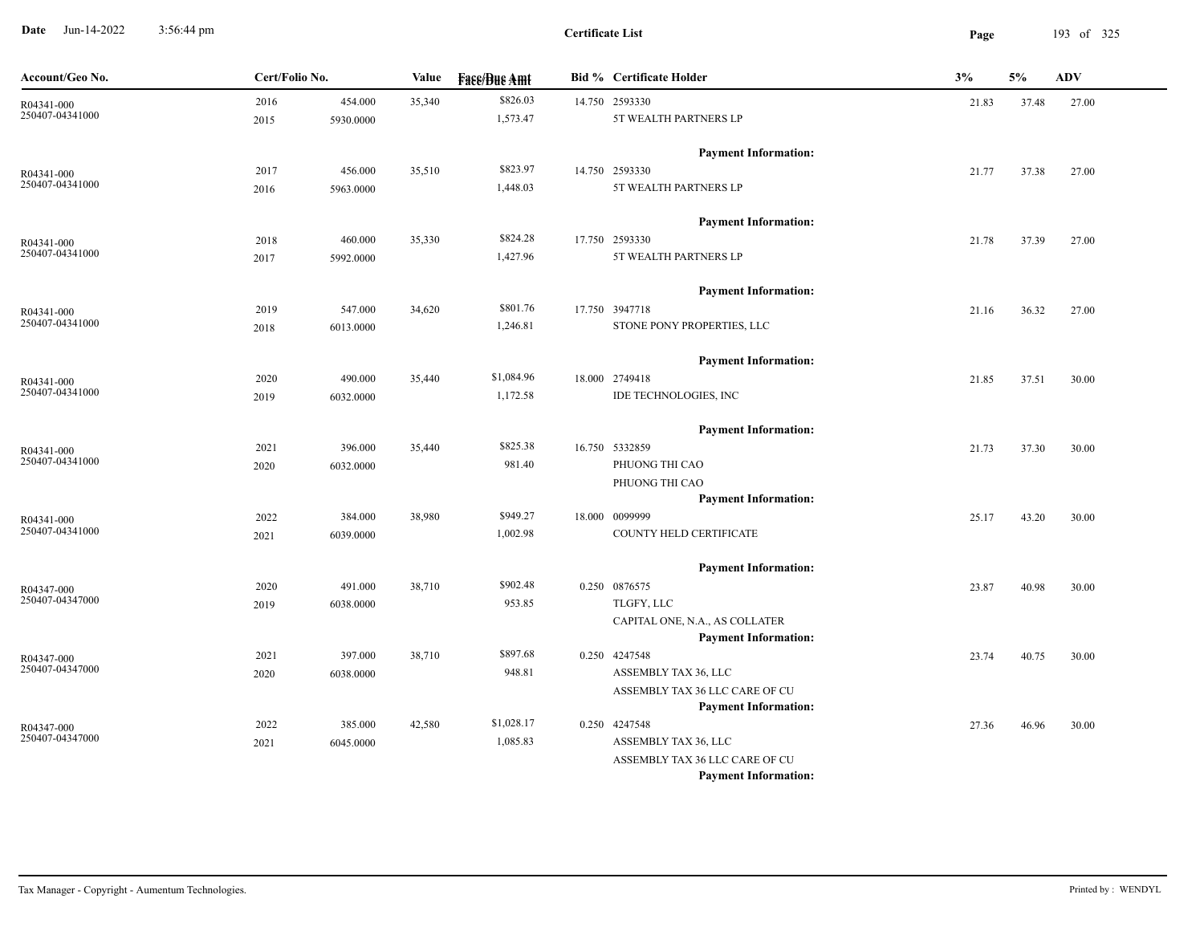**Date** Jun-14-2022 3:56:44 pm **Page** 193 of 325 3:56:44 pm

| Account/Geo No.               | Cert/Folio No. |           | Value  | <b>Fase/Bue Amt</b> | <b>Bid % Certificate Holder</b>                               | 3%    | 5%    | ADV   |
|-------------------------------|----------------|-----------|--------|---------------------|---------------------------------------------------------------|-------|-------|-------|
| R04341-000                    | 2016           | 454.000   | 35,340 | \$826.03            | 14.750 2593330                                                | 21.83 | 37.48 | 27.00 |
| 250407-04341000               | 2015           | 5930.0000 |        | 1,573.47            | 5T WEALTH PARTNERS LP                                         |       |       |       |
|                               |                |           |        |                     | <b>Payment Information:</b>                                   |       |       |       |
| R04341-000                    | 2017           | 456.000   | 35,510 | \$823.97            | 14.750 2593330                                                | 21.77 | 37.38 | 27.00 |
| 250407-04341000               | 2016           | 5963.0000 |        | 1,448.03            | 5T WEALTH PARTNERS LP                                         |       |       |       |
|                               |                |           |        |                     | <b>Payment Information:</b>                                   |       |       |       |
| R04341-000                    | 2018           | 460.000   | 35,330 | \$824.28            | 17.750 2593330                                                | 21.78 | 37.39 | 27.00 |
| 250407-04341000               | 2017           | 5992.0000 |        | 1,427.96            | 5T WEALTH PARTNERS LP                                         |       |       |       |
|                               |                |           |        |                     | <b>Payment Information:</b>                                   |       |       |       |
| R04341-000                    | 2019           | 547.000   | 34,620 | \$801.76            | 17.750 3947718                                                | 21.16 | 36.32 | 27.00 |
| 250407-04341000               | 2018           | 6013.0000 |        | 1,246.81            | STONE PONY PROPERTIES, LLC                                    |       |       |       |
|                               |                |           |        |                     | <b>Payment Information:</b>                                   |       |       |       |
| R04341-000                    | 2020           | 490.000   | 35,440 | \$1,084.96          | 18.000 2749418                                                | 21.85 | 37.51 | 30.00 |
| 250407-04341000               | 2019           | 6032.0000 |        | 1,172.58            | IDE TECHNOLOGIES, INC                                         |       |       |       |
|                               |                |           |        |                     | <b>Payment Information:</b>                                   |       |       |       |
| R04341-000                    | 2021           | 396.000   | 35,440 | \$825.38            | 16.750 5332859                                                | 21.73 | 37.30 | 30.00 |
| 250407-04341000               | 2020           | 6032.0000 |        | 981.40              | PHUONG THI CAO                                                |       |       |       |
|                               |                |           |        |                     | PHUONG THI CAO                                                |       |       |       |
|                               |                |           |        |                     | <b>Payment Information:</b>                                   |       |       |       |
| R04341-000<br>250407-04341000 | 2022           | 384.000   | 38,980 | \$949.27            | 18.000 0099999                                                | 25.17 | 43.20 | 30.00 |
|                               | 2021           | 6039.0000 |        | 1,002.98            | COUNTY HELD CERTIFICATE                                       |       |       |       |
|                               |                |           |        |                     | <b>Payment Information:</b>                                   |       |       |       |
| R04347-000<br>250407-04347000 | 2020           | 491.000   | 38,710 | \$902.48            | 0.250 0876575                                                 | 23.87 | 40.98 | 30.00 |
|                               | 2019           | 6038.0000 |        | 953.85              | TLGFY, LLC                                                    |       |       |       |
|                               |                |           |        |                     | CAPITAL ONE, N.A., AS COLLATER<br><b>Payment Information:</b> |       |       |       |
|                               | 2021           | 397.000   | 38,710 | \$897.68            | 0.250 4247548                                                 | 23.74 | 40.75 | 30.00 |
| R04347-000<br>250407-04347000 | 2020           | 6038.0000 |        | 948.81              | ASSEMBLY TAX 36, LLC                                          |       |       |       |
|                               |                |           |        |                     | ASSEMBLY TAX 36 LLC CARE OF CU                                |       |       |       |
|                               |                |           |        |                     | <b>Payment Information:</b>                                   |       |       |       |
| R04347-000                    | 2022           | 385.000   | 42,580 | \$1,028.17          | 0.250 4247548                                                 | 27.36 | 46.96 | 30.00 |
| 250407-04347000               | 2021           | 6045.0000 |        | 1,085.83            | ASSEMBLY TAX 36, LLC                                          |       |       |       |
|                               |                |           |        |                     | ASSEMBLY TAX 36 LLC CARE OF CU                                |       |       |       |
|                               |                |           |        |                     | <b>Payment Information:</b>                                   |       |       |       |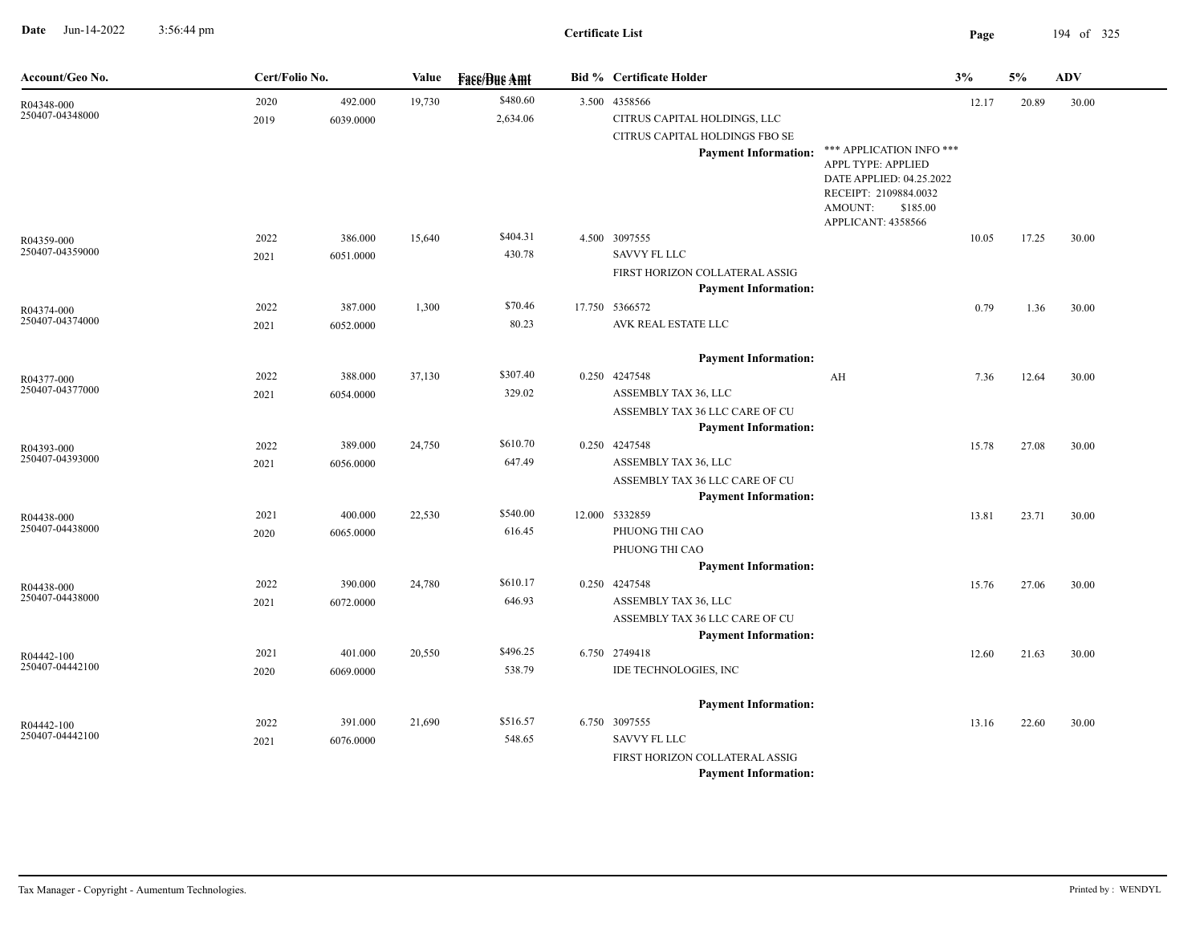**Date** Jun-14-2022 3:56:44 pm **Page** 194 of 325 3:56:44 pm

## **Certificate List**

| Account/Geo No.               | Cert/Folio No. |           | Value  | <b>Face/Bue Amt</b> |       | <b>Bid % Certificate Holder</b>                               |                                                                                                                                                  | 3%    | 5%    | <b>ADV</b> |
|-------------------------------|----------------|-----------|--------|---------------------|-------|---------------------------------------------------------------|--------------------------------------------------------------------------------------------------------------------------------------------------|-------|-------|------------|
| R04348-000                    | 2020           | 492.000   | 19,730 | \$480.60            | 3.500 | 4358566                                                       |                                                                                                                                                  | 12.17 | 20.89 | 30.00      |
| 250407-04348000               | 2019           | 6039.0000 |        | 2,634.06            |       | CITRUS CAPITAL HOLDINGS, LLC                                  |                                                                                                                                                  |       |       |            |
|                               |                |           |        |                     |       | CITRUS CAPITAL HOLDINGS FBO SE                                |                                                                                                                                                  |       |       |            |
|                               |                |           |        |                     |       | <b>Payment Information:</b>                                   | *** APPLICATION INFO ***<br>APPL TYPE: APPLIED<br>DATE APPLIED: 04.25.2022<br>RECEIPT: 2109884.0032<br>AMOUNT:<br>\$185.00<br>APPLICANT: 4358566 |       |       |            |
| R04359-000                    | 2022           | 386.000   | 15,640 | \$404.31            |       | 4.500 3097555                                                 |                                                                                                                                                  | 10.05 | 17.25 | 30.00      |
| 250407-04359000               | 2021           | 6051.0000 |        | 430.78              |       | <b>SAVVY FL LLC</b>                                           |                                                                                                                                                  |       |       |            |
|                               |                |           |        |                     |       | FIRST HORIZON COLLATERAL ASSIG                                |                                                                                                                                                  |       |       |            |
|                               |                |           |        |                     |       | <b>Payment Information:</b>                                   |                                                                                                                                                  |       |       |            |
| R04374-000                    | 2022           | 387.000   | 1,300  | \$70.46             |       | 17.750 5366572                                                |                                                                                                                                                  | 0.79  | 1.36  | 30.00      |
| 250407-04374000               | 2021           | 6052.0000 |        | 80.23               |       | AVK REAL ESTATE LLC                                           |                                                                                                                                                  |       |       |            |
|                               |                |           |        |                     |       | <b>Payment Information:</b>                                   |                                                                                                                                                  |       |       |            |
| R04377-000                    | 2022           | 388.000   | 37,130 | \$307.40            |       | 0.250 4247548                                                 | AH                                                                                                                                               | 7.36  | 12.64 | 30.00      |
| 250407-04377000               | 2021           | 6054.0000 |        | 329.02              |       | ASSEMBLY TAX 36, LLC                                          |                                                                                                                                                  |       |       |            |
|                               |                |           |        |                     |       | ASSEMBLY TAX 36 LLC CARE OF CU                                |                                                                                                                                                  |       |       |            |
|                               |                |           |        |                     |       | <b>Payment Information:</b>                                   |                                                                                                                                                  |       |       |            |
| R04393-000                    | 2022           | 389.000   | 24,750 | \$610.70            |       | 0.250 4247548                                                 |                                                                                                                                                  | 15.78 | 27.08 | 30.00      |
| 250407-04393000               | 2021           | 6056.0000 |        | 647.49              |       | ASSEMBLY TAX 36, LLC                                          |                                                                                                                                                  |       |       |            |
|                               |                |           |        |                     |       | ASSEMBLY TAX 36 LLC CARE OF CU                                |                                                                                                                                                  |       |       |            |
|                               |                |           |        |                     |       | <b>Payment Information:</b>                                   |                                                                                                                                                  |       |       |            |
| R04438-000<br>250407-04438000 | 2021           | 400.000   | 22,530 | \$540.00            |       | 12.000 5332859                                                |                                                                                                                                                  | 13.81 | 23.71 | 30.00      |
|                               | 2020           | 6065.0000 |        | 616.45              |       | PHUONG THI CAO                                                |                                                                                                                                                  |       |       |            |
|                               |                |           |        |                     |       | PHUONG THI CAO                                                |                                                                                                                                                  |       |       |            |
|                               |                |           |        | \$610.17            |       | <b>Payment Information:</b>                                   |                                                                                                                                                  |       |       |            |
| R04438-000<br>250407-04438000 | 2022           | 390.000   | 24,780 | 646.93              |       | 0.250 4247548<br>ASSEMBLY TAX 36, LLC                         |                                                                                                                                                  | 15.76 | 27.06 | 30.00      |
|                               | 2021           | 6072.0000 |        |                     |       |                                                               |                                                                                                                                                  |       |       |            |
|                               |                |           |        |                     |       | ASSEMBLY TAX 36 LLC CARE OF CU<br><b>Payment Information:</b> |                                                                                                                                                  |       |       |            |
| R04442-100                    | 2021           | 401.000   | 20,550 | \$496.25            |       | 6.750 2749418                                                 |                                                                                                                                                  | 12.60 | 21.63 | 30.00      |
| 250407-04442100               | 2020           | 6069.0000 |        | 538.79              |       | IDE TECHNOLOGIES, INC                                         |                                                                                                                                                  |       |       |            |
|                               |                |           |        |                     |       | <b>Payment Information:</b>                                   |                                                                                                                                                  |       |       |            |
| R04442-100                    | 2022           | 391.000   | 21,690 | \$516.57            |       | 6.750 3097555                                                 |                                                                                                                                                  | 13.16 | 22.60 | 30.00      |
| 250407-04442100               | 2021           | 6076.0000 |        | 548.65              |       | <b>SAVVY FL LLC</b>                                           |                                                                                                                                                  |       |       |            |
|                               |                |           |        |                     |       | FIRST HORIZON COLLATERAL ASSIG                                |                                                                                                                                                  |       |       |            |
|                               |                |           |        |                     |       | <b>Payment Information:</b>                                   |                                                                                                                                                  |       |       |            |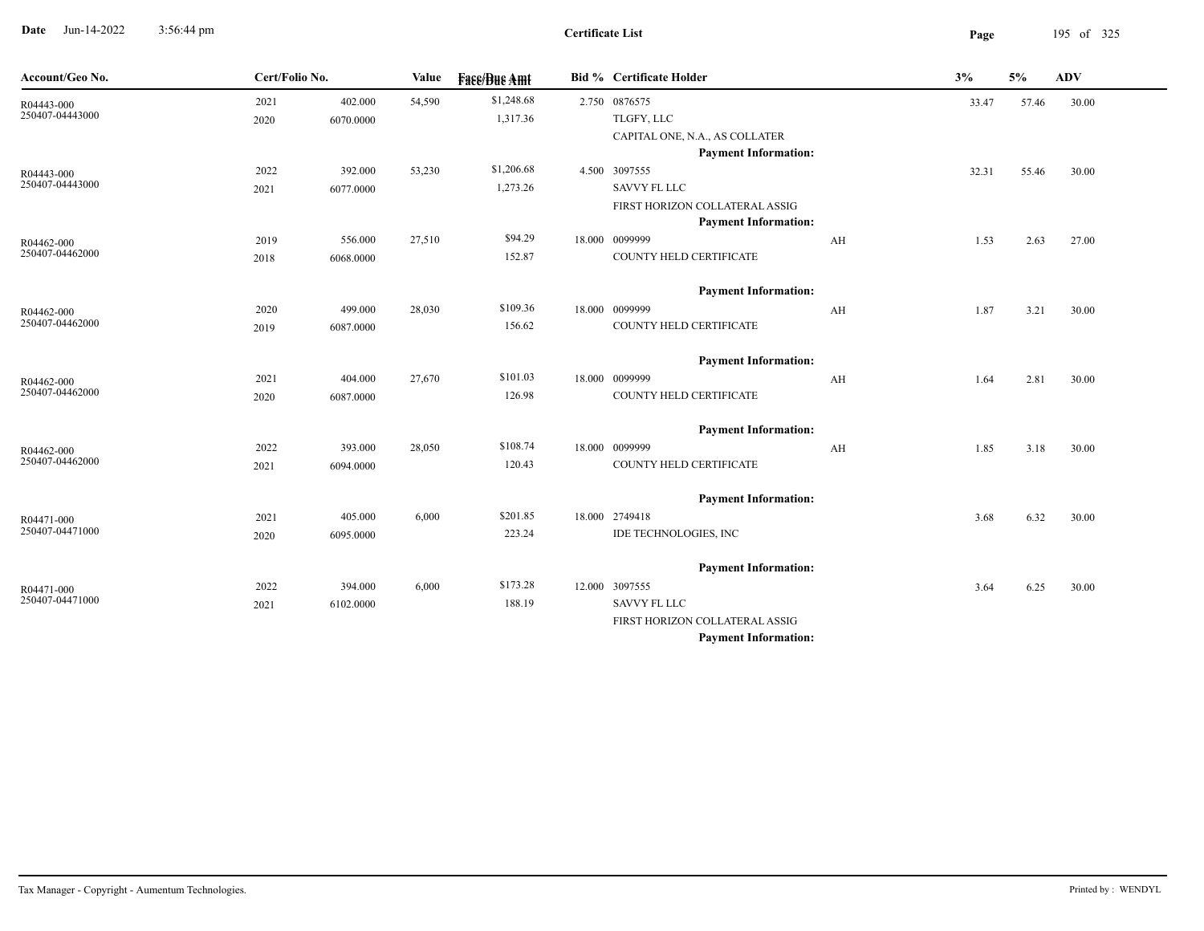**Date** Jun-14-2022 3:56:44 pm **Page** 195 of 325 3:56:44 pm

| Account/Geo No.               | Cert/Folio No. |           | Value  | <b>Fase/Bue Amt</b> | <b>Bid % Certificate Holder</b> |    | 3%    | 5%    | <b>ADV</b> |  |
|-------------------------------|----------------|-----------|--------|---------------------|---------------------------------|----|-------|-------|------------|--|
| R04443-000                    | 2021           | 402.000   | 54,590 | \$1,248.68          | 2.750 0876575                   |    | 33.47 | 57.46 | 30.00      |  |
| 250407-04443000               | 2020           | 6070.0000 |        | 1,317.36            | TLGFY, LLC                      |    |       |       |            |  |
|                               |                |           |        |                     | CAPITAL ONE, N.A., AS COLLATER  |    |       |       |            |  |
|                               |                |           |        |                     | <b>Payment Information:</b>     |    |       |       |            |  |
| R04443-000                    | 2022           | 392.000   | 53,230 | \$1,206.68          | 4.500 3097555                   |    | 32.31 | 55.46 | 30.00      |  |
| 250407-04443000               | 2021           | 6077.0000 |        | 1,273.26            | <b>SAVVY FL LLC</b>             |    |       |       |            |  |
|                               |                |           |        |                     | FIRST HORIZON COLLATERAL ASSIG  |    |       |       |            |  |
|                               |                |           |        |                     | <b>Payment Information:</b>     |    |       |       |            |  |
| R04462-000<br>250407-04462000 | 2019           | 556.000   | 27,510 | \$94.29             | 18.000 0099999                  | AH | 1.53  | 2.63  | 27.00      |  |
|                               | 2018           | 6068.0000 |        | 152.87              | COUNTY HELD CERTIFICATE         |    |       |       |            |  |
|                               |                |           |        |                     | <b>Payment Information:</b>     |    |       |       |            |  |
| R04462-000                    | 2020           | 499.000   | 28,030 | \$109.36            | 18.000 0099999                  | AH | 1.87  | 3.21  | 30.00      |  |
| 250407-04462000               | 2019           | 6087.0000 |        | 156.62              | COUNTY HELD CERTIFICATE         |    |       |       |            |  |
|                               |                |           |        |                     | <b>Payment Information:</b>     |    |       |       |            |  |
|                               | 2021           | 404.000   | 27,670 | \$101.03            | 18.000 0099999                  | AH | 1.64  | 2.81  | 30.00      |  |
| R04462-000<br>250407-04462000 | 2020           | 6087.0000 |        | 126.98              | COUNTY HELD CERTIFICATE         |    |       |       |            |  |
|                               |                |           |        |                     |                                 |    |       |       |            |  |
|                               |                |           |        |                     | <b>Payment Information:</b>     |    |       |       |            |  |
| R04462-000                    | 2022           | 393.000   | 28,050 | \$108.74            | 18.000 0099999                  | AH | 1.85  | 3.18  | 30.00      |  |
| 250407-04462000               | 2021           | 6094.0000 |        | 120.43              | COUNTY HELD CERTIFICATE         |    |       |       |            |  |
|                               |                |           |        |                     | <b>Payment Information:</b>     |    |       |       |            |  |
| R04471-000                    | 2021           | 405.000   | 6,000  | \$201.85            | 18.000 2749418                  |    | 3.68  | 6.32  | 30.00      |  |
| 250407-04471000               | 2020           | 6095.0000 |        | 223.24              | IDE TECHNOLOGIES, INC           |    |       |       |            |  |
|                               |                |           |        |                     | <b>Payment Information:</b>     |    |       |       |            |  |
| R04471-000                    | 2022           | 394.000   | 6,000  | \$173.28            | 12.000 3097555                  |    | 3.64  | 6.25  | 30.00      |  |
| 250407-04471000               | 2021           | 6102.0000 |        | 188.19              | <b>SAVVY FL LLC</b>             |    |       |       |            |  |
|                               |                |           |        |                     | FIRST HORIZON COLLATERAL ASSIG  |    |       |       |            |  |
|                               |                |           |        |                     | <b>Payment Information:</b>     |    |       |       |            |  |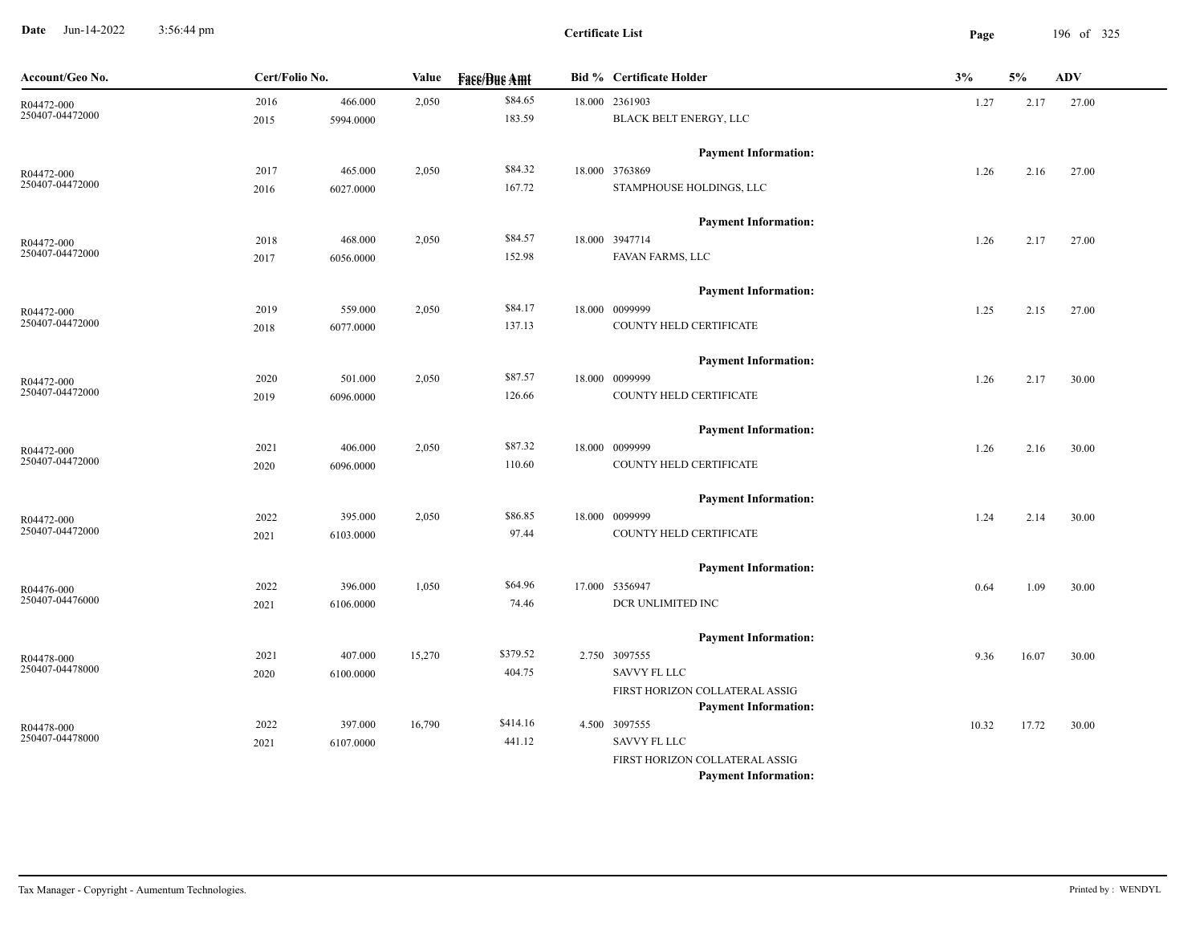**Date** Jun-14-2022 3:56:44 pm **Page** 196 of 325 3:56:44 pm

**Certificate List**

| Account/Geo No.               | Cert/Folio No. |           | Value  | <b>Fase/Bue Amt</b> | <b>Bid % Certificate Holder</b>                               | 3%    | 5%    | ADV   |
|-------------------------------|----------------|-----------|--------|---------------------|---------------------------------------------------------------|-------|-------|-------|
| R04472-000                    | 2016           | 466.000   | 2,050  | \$84.65             | 18.000 2361903                                                | 1.27  | 2.17  | 27.00 |
| 250407-04472000               | 2015           | 5994.0000 |        | 183.59              | BLACK BELT ENERGY, LLC                                        |       |       |       |
|                               |                |           |        |                     | <b>Payment Information:</b>                                   |       |       |       |
| R04472-000                    | 2017           | 465.000   | 2,050  | \$84.32             | 18.000 3763869                                                | 1.26  | 2.16  | 27.00 |
| 250407-04472000               | 2016           | 6027.0000 |        | 167.72              | STAMPHOUSE HOLDINGS, LLC                                      |       |       |       |
|                               |                |           |        |                     | <b>Payment Information:</b>                                   |       |       |       |
| R04472-000                    | 2018           | 468.000   | 2,050  | \$84.57             | 18.000 3947714                                                | 1.26  | 2.17  | 27.00 |
| 250407-04472000               | 2017           | 6056.0000 |        | 152.98              | FAVAN FARMS, LLC                                              |       |       |       |
|                               |                |           |        |                     | <b>Payment Information:</b>                                   |       |       |       |
| R04472-000                    | 2019           | 559.000   | 2,050  | \$84.17             | 18.000 0099999                                                | 1.25  | 2.15  | 27.00 |
| 250407-04472000               | 2018           | 6077.0000 |        | 137.13              | COUNTY HELD CERTIFICATE                                       |       |       |       |
|                               |                |           |        |                     | <b>Payment Information:</b>                                   |       |       |       |
| R04472-000                    | 2020           | 501.000   | 2,050  | \$87.57             | 18.000 0099999                                                | 1.26  | 2.17  | 30.00 |
| 250407-04472000               | 2019           | 6096.0000 |        | 126.66              | COUNTY HELD CERTIFICATE                                       |       |       |       |
|                               |                |           |        |                     | <b>Payment Information:</b>                                   |       |       |       |
| R04472-000                    | 2021           | 406.000   | 2,050  | \$87.32             | 18.000 0099999                                                | 1.26  | 2.16  | 30.00 |
| 250407-04472000               | 2020           | 6096.0000 |        | 110.60              | COUNTY HELD CERTIFICATE                                       |       |       |       |
|                               |                |           |        |                     | <b>Payment Information:</b>                                   |       |       |       |
| R04472-000                    | 2022           | 395.000   | 2,050  | \$86.85             | 18.000 0099999                                                | 1.24  | 2.14  | 30.00 |
| 250407-04472000               | 2021           | 6103.0000 |        | 97.44               | COUNTY HELD CERTIFICATE                                       |       |       |       |
|                               |                |           |        |                     | <b>Payment Information:</b>                                   |       |       |       |
| R04476-000                    | 2022           | 396.000   | 1,050  | \$64.96             | 17.000 5356947                                                | 0.64  | 1.09  | 30.00 |
| 250407-04476000               | 2021           | 6106.0000 |        | 74.46               | DCR UNLIMITED INC                                             |       |       |       |
|                               |                |           |        |                     | <b>Payment Information:</b>                                   |       |       |       |
| R04478-000                    | 2021           | 407.000   | 15,270 | \$379.52            | 2.750 3097555                                                 | 9.36  | 16.07 | 30.00 |
| 250407-04478000               | 2020           | 6100.0000 |        | 404.75              | <b>SAVVY FL LLC</b>                                           |       |       |       |
|                               |                |           |        |                     | FIRST HORIZON COLLATERAL ASSIG                                |       |       |       |
|                               |                |           |        |                     | <b>Payment Information:</b>                                   |       |       |       |
| R04478-000<br>250407-04478000 | 2022           | 397.000   | 16,790 | \$414.16            | 4.500 3097555                                                 | 10.32 | 17.72 | 30.00 |
|                               | 2021           | 6107.0000 |        | 441.12              | SAVVY FL LLC                                                  |       |       |       |
|                               |                |           |        |                     | FIRST HORIZON COLLATERAL ASSIG<br><b>Payment Information:</b> |       |       |       |
|                               |                |           |        |                     |                                                               |       |       |       |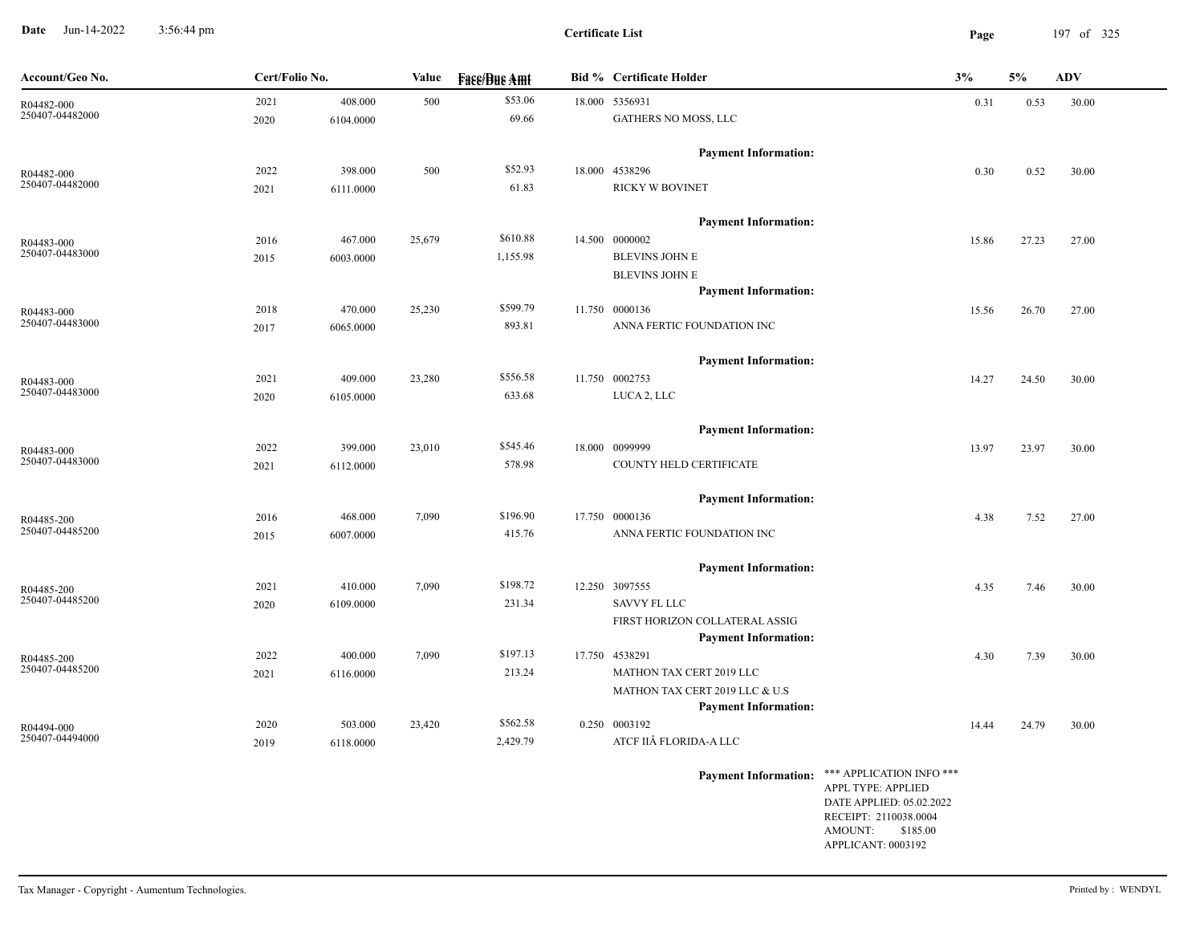**Date** Jun-14-2022 3:56:44 pm **Page** 197 of 325 3:56:44 pm

| Account/Geo No.               | Cert/Folio No. |           | Value  | <b>Fase/Bue Amt</b> | <b>Bid % Certificate Holder</b> | 3%                                                |       | 5%    | <b>ADV</b> |
|-------------------------------|----------------|-----------|--------|---------------------|---------------------------------|---------------------------------------------------|-------|-------|------------|
| R04482-000                    | 2021           | 408.000   | 500    | \$53.06             | 18.000 5356931                  |                                                   | 0.31  | 0.53  | 30.00      |
| 250407-04482000               | 2020           | 6104.0000 |        | 69.66               | GATHERS NO MOSS, LLC            |                                                   |       |       |            |
|                               |                |           |        |                     | <b>Payment Information:</b>     |                                                   |       |       |            |
| R04482-000                    | 2022           | 398.000   | 500    | \$52.93             | 18.000 4538296                  |                                                   | 0.30  | 0.52  | 30.00      |
| 250407-04482000               | 2021           | 6111.0000 |        | 61.83               | RICKY W BOVINET                 |                                                   |       |       |            |
|                               |                |           |        |                     | <b>Payment Information:</b>     |                                                   |       |       |            |
| R04483-000                    | 2016           | 467.000   | 25,679 | \$610.88            | 14.500 0000002                  |                                                   | 15.86 | 27.23 | 27.00      |
| 250407-04483000               | 2015           | 6003.0000 |        | 1,155.98            | <b>BLEVINS JOHN E</b>           |                                                   |       |       |            |
|                               |                |           |        |                     | <b>BLEVINS JOHN E</b>           |                                                   |       |       |            |
|                               |                |           |        |                     | <b>Payment Information:</b>     |                                                   |       |       |            |
| R04483-000                    | 2018           | 470.000   | 25,230 | \$599.79            | 11.750 0000136                  |                                                   | 15.56 | 26.70 | 27.00      |
| 250407-04483000               | 2017           | 6065.0000 |        | 893.81              | ANNA FERTIC FOUNDATION INC      |                                                   |       |       |            |
|                               |                |           |        |                     | <b>Payment Information:</b>     |                                                   |       |       |            |
| R04483-000                    | 2021           | 409.000   | 23,280 | \$556.58            | 11.750 0002753                  |                                                   | 14.27 | 24.50 | 30.00      |
| 250407-04483000               | 2020           | 6105.0000 |        | 633.68              | LUCA 2, LLC                     |                                                   |       |       |            |
|                               |                |           |        |                     | <b>Payment Information:</b>     |                                                   |       |       |            |
| R04483-000                    | 2022           | 399.000   | 23,010 | \$545.46            | 18.000 0099999                  |                                                   | 13.97 | 23.97 | 30.00      |
| 250407-04483000               | 2021           | 6112.0000 |        | 578.98              | COUNTY HELD CERTIFICATE         |                                                   |       |       |            |
|                               |                |           |        |                     | <b>Payment Information:</b>     |                                                   |       |       |            |
| R04485-200                    | 2016           | 468.000   | 7,090  | \$196.90            | 17.750 0000136                  |                                                   | 4.38  | 7.52  | 27.00      |
| 250407-04485200               | 2015           | 6007.0000 |        | 415.76              | ANNA FERTIC FOUNDATION INC      |                                                   |       |       |            |
|                               |                |           |        |                     | <b>Payment Information:</b>     |                                                   |       |       |            |
|                               | 2021           | 410.000   | 7,090  | \$198.72            | 12.250 3097555                  |                                                   | 4.35  | 7.46  | 30.00      |
| R04485-200<br>250407-04485200 | 2020           | 6109.0000 |        | 231.34              | SAVVY FL LLC                    |                                                   |       |       |            |
|                               |                |           |        |                     | FIRST HORIZON COLLATERAL ASSIG  |                                                   |       |       |            |
|                               |                |           |        |                     | <b>Payment Information:</b>     |                                                   |       |       |            |
| R04485-200                    | 2022           | 400.000   | 7,090  | \$197.13            | 17.750 4538291                  |                                                   | 4.30  | 7.39  | 30.00      |
| 250407-04485200               | 2021           | 6116.0000 |        | 213.24              | MATHON TAX CERT 2019 LLC        |                                                   |       |       |            |
|                               |                |           |        |                     | MATHON TAX CERT 2019 LLC & U.S  |                                                   |       |       |            |
|                               |                |           |        |                     | <b>Payment Information:</b>     |                                                   |       |       |            |
| R04494-000                    | 2020           | 503.000   | 23,420 | \$562.58            | 0.250 0003192                   |                                                   | 14.44 | 24.79 | 30.00      |
| 250407-04494000               | 2019           | 6118.0000 |        | 2,429.79            | ATCF IIÂ FLORIDA-A LLC          |                                                   |       |       |            |
|                               |                |           |        |                     | <b>Payment Information:</b>     | $\ast\ast\ast$ APPLICATION INFO $\ast\ast\ast$    |       |       |            |
|                               |                |           |        |                     |                                 | APPL TYPE: APPLIED                                |       |       |            |
|                               |                |           |        |                     |                                 | DATE APPLIED: 05.02.2022<br>RECEIPT: 2110038.0004 |       |       |            |
|                               |                |           |        |                     |                                 | AMOUNT: \$185.00                                  |       |       |            |
|                               |                |           |        |                     |                                 | APPLICANT: 0003192                                |       |       |            |
|                               |                |           |        |                     |                                 |                                                   |       |       |            |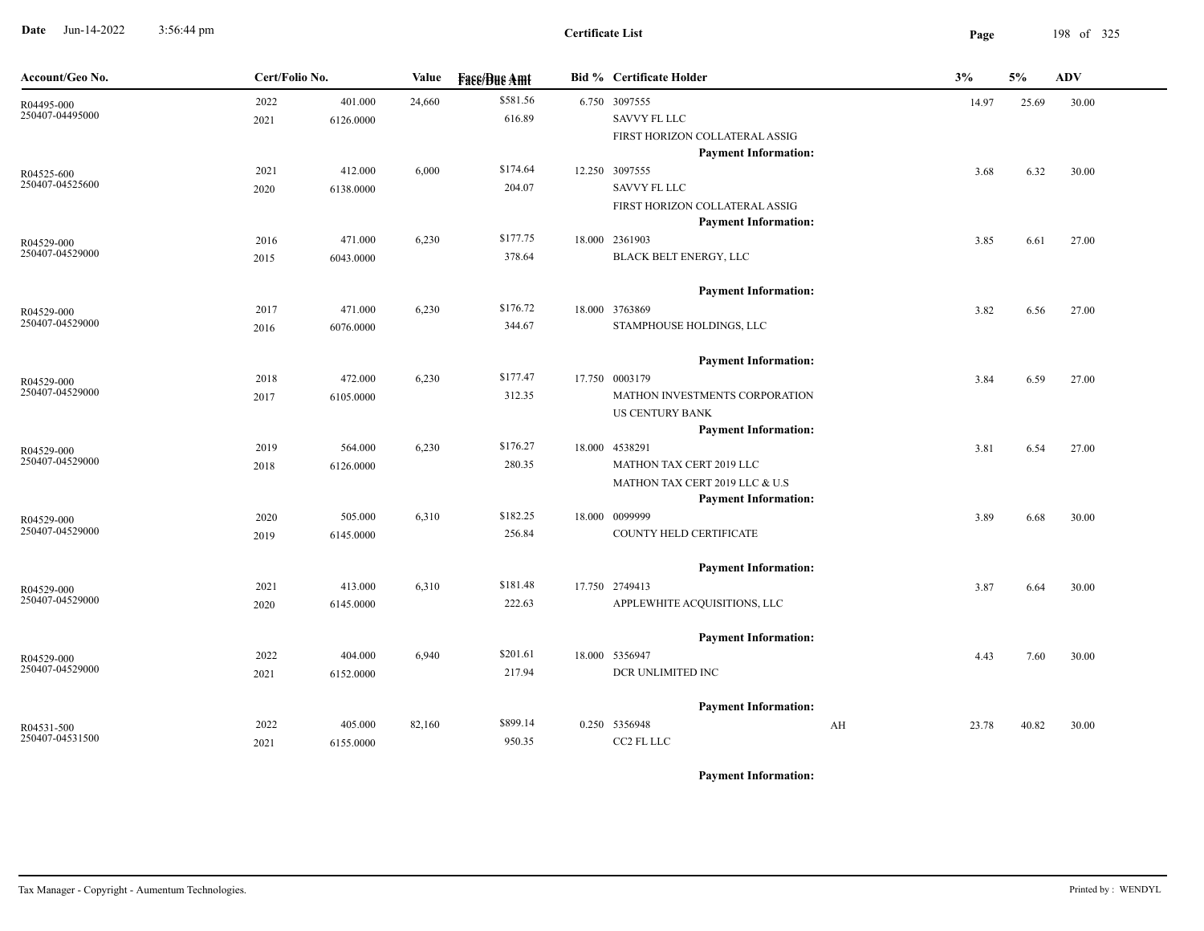**Date** Jun-14-2022 3:56:44 pm **Page** 198 of 325 3:56:44 pm

| Account/Geo No.               | Cert/Folio No. |           | Value  | <b>Fase/Bue Amt</b> | <b>Bid % Certificate Holder</b>                               |    | 3%    | 5%    | <b>ADV</b> |
|-------------------------------|----------------|-----------|--------|---------------------|---------------------------------------------------------------|----|-------|-------|------------|
| R04495-000<br>250407-04495000 | 2022           | 401.000   | 24,660 | \$581.56            | 6.750 3097555                                                 |    | 14.97 | 25.69 | 30.00      |
|                               | 2021           | 6126.0000 |        | 616.89              | SAVVY FL LLC                                                  |    |       |       |            |
|                               |                |           |        |                     | FIRST HORIZON COLLATERAL ASSIG                                |    |       |       |            |
|                               |                |           |        |                     | <b>Payment Information:</b>                                   |    |       |       |            |
| R04525-600                    | 2021           | 412.000   | 6,000  | \$174.64            | 12.250 3097555                                                |    | 3.68  | 6.32  | 30.00      |
| 250407-04525600               | 2020           | 6138.0000 |        | 204.07              | <b>SAVVY FL LLC</b>                                           |    |       |       |            |
|                               |                |           |        |                     | FIRST HORIZON COLLATERAL ASSIG<br><b>Payment Information:</b> |    |       |       |            |
| R04529-000                    | 2016           | 471.000   | 6,230  | \$177.75            | 18.000 2361903                                                |    | 3.85  | 6.61  | 27.00      |
| 250407-04529000               | 2015           | 6043.0000 |        | 378.64              | BLACK BELT ENERGY, LLC                                        |    |       |       |            |
|                               |                |           |        |                     | <b>Payment Information:</b>                                   |    |       |       |            |
| R04529-000                    | 2017           | 471.000   | 6,230  | \$176.72            | 18.000 3763869                                                |    | 3.82  | 6.56  | 27.00      |
| 250407-04529000               | 2016           | 6076.0000 |        | 344.67              | STAMPHOUSE HOLDINGS, LLC                                      |    |       |       |            |
|                               |                |           |        |                     | <b>Payment Information:</b>                                   |    |       |       |            |
| R04529-000                    | 2018           | 472.000   | 6,230  | \$177.47            | 17.750 0003179                                                |    | 3.84  | 6.59  | 27.00      |
| 250407-04529000               | 2017           | 6105.0000 |        | 312.35              | MATHON INVESTMENTS CORPORATION                                |    |       |       |            |
|                               |                |           |        |                     | US CENTURY BANK                                               |    |       |       |            |
|                               |                |           |        |                     | <b>Payment Information:</b>                                   |    |       |       |            |
| R04529-000<br>250407-04529000 | 2019           | 564.000   | 6,230  | \$176.27            | 18.000 4538291                                                |    | 3.81  | 6.54  | 27.00      |
|                               | 2018           | 6126.0000 |        | 280.35              | MATHON TAX CERT 2019 LLC                                      |    |       |       |            |
|                               |                |           |        |                     | MATHON TAX CERT 2019 LLC & U.S<br><b>Payment Information:</b> |    |       |       |            |
| R04529-000                    | 2020           | 505.000   | 6,310  | \$182.25            | 18.000 0099999                                                |    | 3.89  | 6.68  | 30.00      |
| 250407-04529000               | 2019           | 6145.0000 |        | 256.84              | COUNTY HELD CERTIFICATE                                       |    |       |       |            |
|                               |                |           |        |                     | <b>Payment Information:</b>                                   |    |       |       |            |
| R04529-000                    | 2021           | 413.000   | 6,310  | \$181.48            | 17.750 2749413                                                |    | 3.87  | 6.64  | 30.00      |
| 250407-04529000               | 2020           | 6145.0000 |        | 222.63              | APPLEWHITE ACQUISITIONS, LLC                                  |    |       |       |            |
|                               |                |           |        |                     | <b>Payment Information:</b>                                   |    |       |       |            |
| R04529-000                    | 2022           | 404.000   | 6,940  | \$201.61            | 18.000 5356947                                                |    | 4.43  | 7.60  | 30.00      |
| 250407-04529000               | 2021           | 6152.0000 |        | 217.94              | DCR UNLIMITED INC                                             |    |       |       |            |
|                               |                |           |        |                     | <b>Payment Information:</b>                                   |    |       |       |            |
| R04531-500                    | 2022           | 405.000   | 82,160 | \$899.14            | 0.250 5356948                                                 | AH | 23.78 | 40.82 | 30.00      |
| 250407-04531500               | 2021           | 6155.0000 |        | 950.35              | CC2 FL LLC                                                    |    |       |       |            |
|                               |                |           |        |                     |                                                               |    |       |       |            |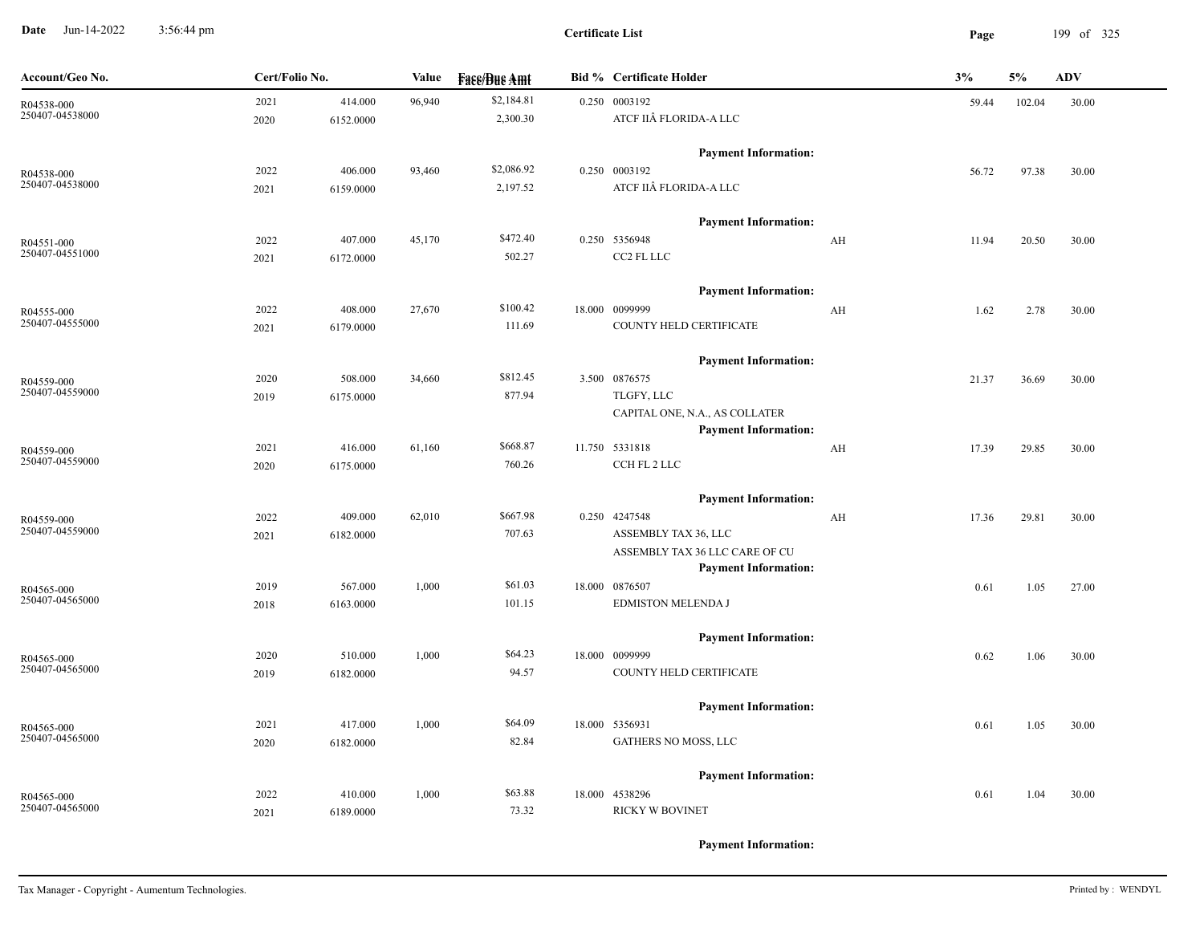**Date** Jun-14-2022 3:56:44 pm **Page** 199 of 325 3:56:44 pm

| Account/Geo No. | Cert/Folio No. |           | Value  | <b>Face/Bue Amt</b> | <b>Bid % Certificate Holder</b>                               |                         | 3%    | 5%     | <b>ADV</b> |
|-----------------|----------------|-----------|--------|---------------------|---------------------------------------------------------------|-------------------------|-------|--------|------------|
| R04538-000      | 2021           | 414.000   | 96,940 | \$2,184.81          | 0.250 0003192                                                 |                         | 59.44 | 102.04 | 30.00      |
| 250407-04538000 | 2020           | 6152.0000 |        | 2,300.30            | ATCF IIÂ FLORIDA-A LLC                                        |                         |       |        |            |
|                 |                |           |        |                     | <b>Payment Information:</b>                                   |                         |       |        |            |
| R04538-000      | 2022           | 406.000   | 93,460 | \$2,086.92          | 0.250 0003192                                                 |                         | 56.72 | 97.38  | 30.00      |
| 250407-04538000 | 2021           | 6159.0000 |        | 2,197.52            | ATCF IIÂ FLORIDA-A LLC                                        |                         |       |        |            |
|                 |                |           |        |                     | <b>Payment Information:</b>                                   |                         |       |        |            |
| R04551-000      | 2022           | 407.000   | 45,170 | \$472.40            | 0.250 5356948                                                 | AH                      | 11.94 | 20.50  | 30.00      |
| 250407-04551000 | 2021           | 6172.0000 |        | 502.27              | CC2 FL LLC                                                    |                         |       |        |            |
|                 |                |           |        |                     | <b>Payment Information:</b>                                   |                         |       |        |            |
| R04555-000      | 2022           | 408.000   | 27,670 | \$100.42            | 18.000 0099999                                                | $\mathbf{A} \mathbf{H}$ | 1.62  | 2.78   | 30.00      |
| 250407-04555000 | 2021           | 6179.0000 |        | 111.69              | COUNTY HELD CERTIFICATE                                       |                         |       |        |            |
|                 |                |           |        |                     | <b>Payment Information:</b>                                   |                         |       |        |            |
| R04559-000      | 2020           | 508.000   | 34,660 | \$812.45            | 3.500 0876575                                                 |                         | 21.37 | 36.69  | 30.00      |
| 250407-04559000 | 2019           | 6175.0000 |        | 877.94              | TLGFY, LLC                                                    |                         |       |        |            |
|                 |                |           |        |                     | CAPITAL ONE, N.A., AS COLLATER<br><b>Payment Information:</b> |                         |       |        |            |
| R04559-000      | 2021           | 416.000   | 61,160 | \$668.87            | 11.750 5331818                                                | AH                      | 17.39 | 29.85  | 30.00      |
| 250407-04559000 | 2020           | 6175.0000 |        | 760.26              | CCH FL 2 LLC                                                  |                         |       |        |            |
|                 |                |           |        |                     | <b>Payment Information:</b>                                   |                         |       |        |            |
| R04559-000      | 2022           | 409.000   | 62,010 | \$667.98            | 0.250 4247548                                                 | AH                      | 17.36 | 29.81  | 30.00      |
| 250407-04559000 | 2021           | 6182.0000 |        | 707.63              | ASSEMBLY TAX 36, LLC                                          |                         |       |        |            |
|                 |                |           |        |                     | ASSEMBLY TAX 36 LLC CARE OF CU                                |                         |       |        |            |
|                 |                |           |        |                     | <b>Payment Information:</b>                                   |                         |       |        |            |
| R04565-000      | 2019           | 567.000   | 1,000  | \$61.03             | 18.000 0876507                                                |                         | 0.61  | 1.05   | 27.00      |
| 250407-04565000 | 2018           | 6163.0000 |        | 101.15              | <b>EDMISTON MELENDA J</b>                                     |                         |       |        |            |
|                 |                |           |        |                     | <b>Payment Information:</b>                                   |                         |       |        |            |
| R04565-000      | 2020           | 510.000   | 1,000  | \$64.23             | 18.000 0099999                                                |                         | 0.62  | 1.06   | 30.00      |
| 250407-04565000 | 2019           | 6182.0000 |        | 94.57               | COUNTY HELD CERTIFICATE                                       |                         |       |        |            |
|                 |                |           |        |                     | <b>Payment Information:</b>                                   |                         |       |        |            |
| R04565-000      | 2021           | 417.000   | 1,000  | \$64.09             | 18.000 5356931                                                |                         | 0.61  | 1.05   | 30.00      |
| 250407-04565000 | 2020           | 6182.0000 |        | 82.84               | GATHERS NO MOSS, LLC                                          |                         |       |        |            |
|                 |                |           |        |                     | <b>Payment Information:</b>                                   |                         |       |        |            |
| R04565-000      | 2022           | 410.000   | 1,000  | \$63.88             | 18.000 4538296                                                |                         | 0.61  | 1.04   | 30.00      |
| 250407-04565000 | 2021           | 6189.0000 |        | 73.32               | <b>RICKY W BOVINET</b>                                        |                         |       |        |            |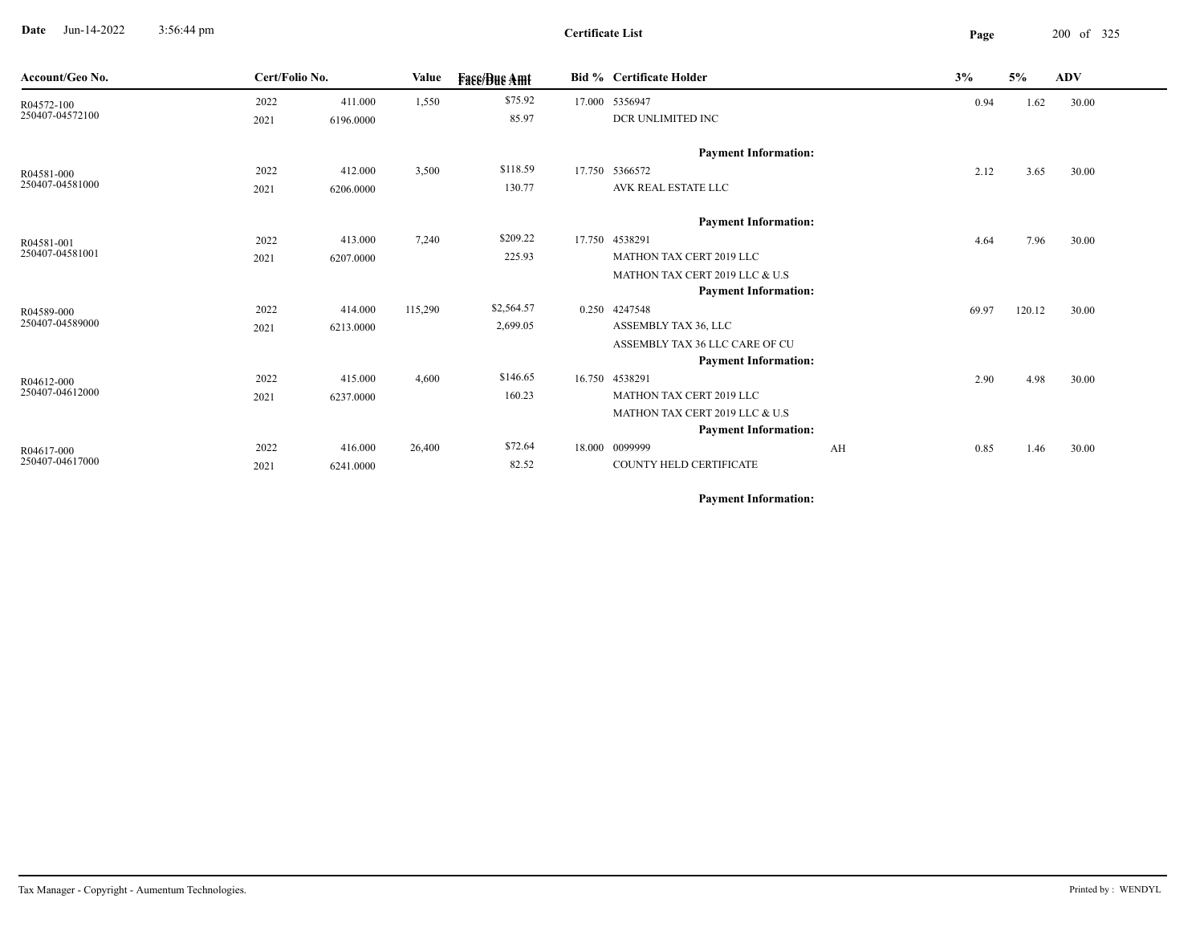**Date** Jun-14-2022 3:56:44 pm **Page** 200 of 325 3:56:44 pm

| Account/Geo No. | Cert/Folio No. |           | Value   | <b>Face/Bue Amt</b> |        | <b>Bid % Certificate Holder</b> |    | 3%    | 5%     | <b>ADV</b> |
|-----------------|----------------|-----------|---------|---------------------|--------|---------------------------------|----|-------|--------|------------|
| R04572-100      | 2022           | 411.000   | 1,550   | \$75.92             |        | 17.000 5356947                  |    | 0.94  | 1.62   | 30.00      |
| 250407-04572100 | 2021           | 6196.0000 |         | 85.97               |        | DCR UNLIMITED INC               |    |       |        |            |
|                 |                |           |         |                     |        | <b>Payment Information:</b>     |    |       |        |            |
| R04581-000      | 2022           | 412.000   | 3,500   | \$118.59            | 17.750 | 5366572                         |    | 2.12  | 3.65   | 30.00      |
| 250407-04581000 | 2021           | 6206.0000 |         | 130.77              |        | AVK REAL ESTATE LLC             |    |       |        |            |
|                 |                |           |         |                     |        | <b>Payment Information:</b>     |    |       |        |            |
| R04581-001      | 2022           | 413.000   | 7,240   | \$209.22            |        | 17.750 4538291                  |    | 4.64  | 7.96   | 30.00      |
| 250407-04581001 | 2021           | 6207.0000 |         | 225.93              |        | MATHON TAX CERT 2019 LLC        |    |       |        |            |
|                 |                |           |         |                     |        | MATHON TAX CERT 2019 LLC & U.S  |    |       |        |            |
|                 |                |           |         |                     |        | <b>Payment Information:</b>     |    |       |        |            |
| R04589-000      | 2022           | 414.000   | 115,290 | \$2,564.57          |        | 0.250 4247548                   |    | 69.97 | 120.12 | 30.00      |
| 250407-04589000 | 2021           | 6213.0000 |         | 2,699.05            |        | ASSEMBLY TAX 36, LLC            |    |       |        |            |
|                 |                |           |         |                     |        | ASSEMBLY TAX 36 LLC CARE OF CU  |    |       |        |            |
|                 |                |           |         |                     |        | <b>Payment Information:</b>     |    |       |        |            |
| R04612-000      | 2022           | 415.000   | 4,600   | \$146.65            |        | 16.750 4538291                  |    | 2.90  | 4.98   | 30.00      |
| 250407-04612000 | 2021           | 6237.0000 |         | 160.23              |        | MATHON TAX CERT 2019 LLC        |    |       |        |            |
|                 |                |           |         |                     |        | MATHON TAX CERT 2019 LLC & U.S  |    |       |        |            |
|                 |                |           |         |                     |        | <b>Payment Information:</b>     |    |       |        |            |
| R04617-000      | 2022           | 416.000   | 26,400  | \$72.64             |        | 18.000 0099999                  | AH | 0.85  | 1.46   | 30.00      |
| 250407-04617000 | 2021           | 6241.0000 |         | 82.52               |        | COUNTY HELD CERTIFICATE         |    |       |        |            |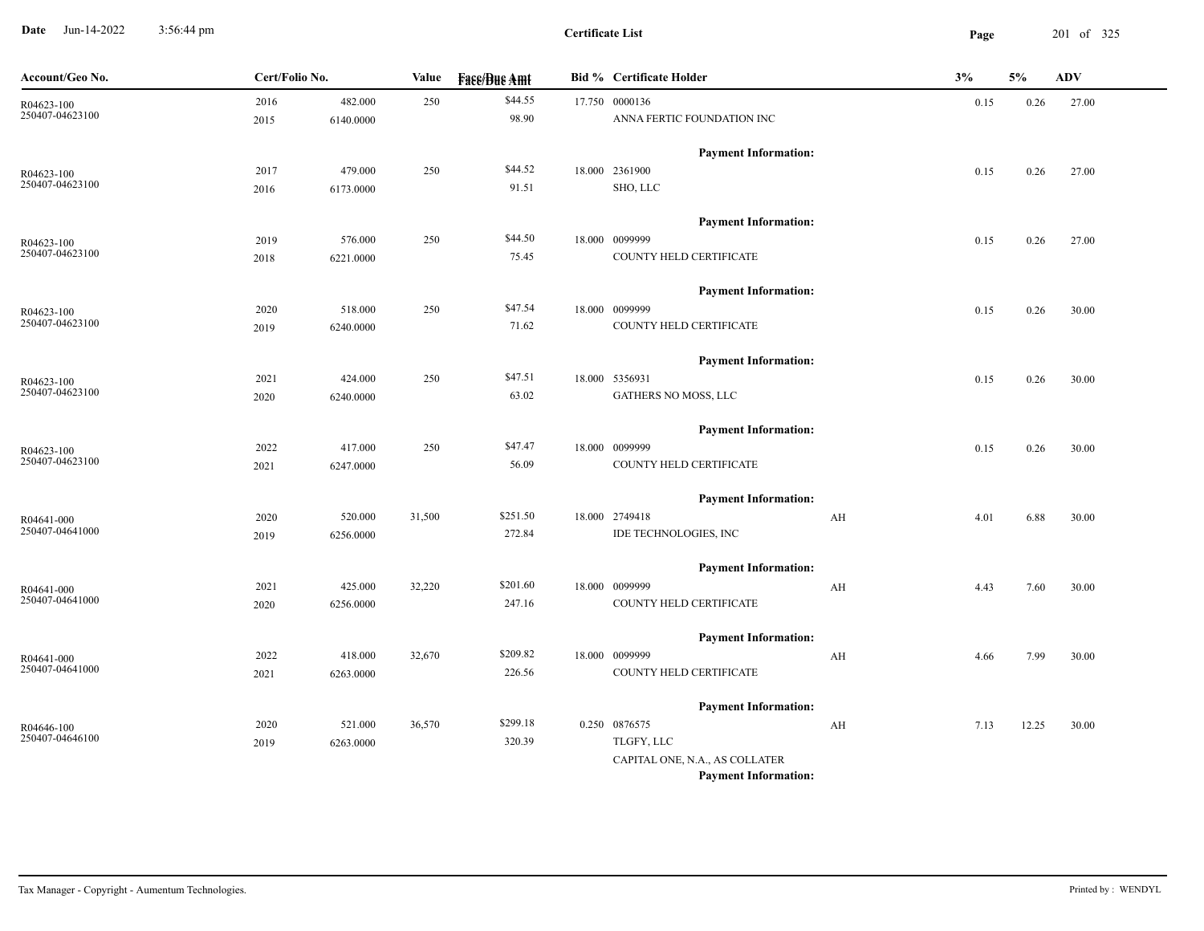**Date** Jun-14-2022 3:56:44 pm **Page** 201 of 325 3:56:44 pm

| Account/Geo No.               | Cert/Folio No. |           | Value  | <b>Fass/Bus Amt</b> | <b>Bid % Certificate Holder</b>               |    | 3%   | 5%    | $\mathbf{ADV}$ |
|-------------------------------|----------------|-----------|--------|---------------------|-----------------------------------------------|----|------|-------|----------------|
| R04623-100                    | 2016           | 482.000   | 250    | \$44.55             | 17.750 0000136                                |    | 0.15 | 0.26  | 27.00          |
| 250407-04623100               | 2015           | 6140.0000 |        | 98.90               | ANNA FERTIC FOUNDATION INC                    |    |      |       |                |
|                               |                |           |        |                     | <b>Payment Information:</b>                   |    |      |       |                |
| R04623-100                    | 2017           | 479.000   | 250    | \$44.52             | 18.000 2361900                                |    | 0.15 | 0.26  | 27.00          |
| 250407-04623100               | 2016           | 6173.0000 |        | 91.51               | SHO, LLC                                      |    |      |       |                |
|                               |                |           |        |                     | <b>Payment Information:</b>                   |    |      |       |                |
| R04623-100                    | 2019           | 576.000   | 250    | \$44.50             | 18.000 0099999                                |    | 0.15 | 0.26  | 27.00          |
| 250407-04623100               | 2018           | 6221.0000 |        | 75.45               | COUNTY HELD CERTIFICATE                       |    |      |       |                |
|                               |                |           |        |                     | <b>Payment Information:</b>                   |    |      |       |                |
|                               | 2020           | 518.000   | 250    | \$47.54             | 18.000 0099999                                |    | 0.15 | 0.26  | 30.00          |
| R04623-100<br>250407-04623100 | 2019           | 6240.0000 |        | 71.62               | COUNTY HELD CERTIFICATE                       |    |      |       |                |
|                               |                |           |        |                     |                                               |    |      |       |                |
|                               | 2021           | 424.000   | 250    | \$47.51             | <b>Payment Information:</b><br>18.000 5356931 |    |      |       |                |
| R04623-100<br>250407-04623100 | 2020           | 6240.0000 |        | 63.02               | GATHERS NO MOSS, LLC                          |    | 0.15 | 0.26  | 30.00          |
|                               |                |           |        |                     |                                               |    |      |       |                |
|                               |                |           |        |                     | <b>Payment Information:</b>                   |    |      |       |                |
| R04623-100<br>250407-04623100 | 2022           | 417.000   | 250    | \$47.47             | 18.000 0099999                                |    | 0.15 | 0.26  | 30.00          |
|                               | 2021           | 6247.0000 |        | 56.09               | COUNTY HELD CERTIFICATE                       |    |      |       |                |
|                               |                |           |        |                     | <b>Payment Information:</b>                   |    |      |       |                |
| R04641-000                    | 2020           | 520.000   | 31,500 | \$251.50            | 18.000 2749418                                | AH | 4.01 | 6.88  | 30.00          |
| 250407-04641000               | 2019           | 6256.0000 |        | 272.84              | IDE TECHNOLOGIES, INC                         |    |      |       |                |
|                               |                |           |        |                     | <b>Payment Information:</b>                   |    |      |       |                |
| R04641-000                    | 2021           | 425.000   | 32,220 | \$201.60            | 18.000 0099999                                | AH | 4.43 | 7.60  | 30.00          |
| 250407-04641000               | 2020           | 6256.0000 |        | 247.16              | COUNTY HELD CERTIFICATE                       |    |      |       |                |
|                               |                |           |        |                     | <b>Payment Information:</b>                   |    |      |       |                |
| R04641-000                    | 2022           | 418.000   | 32,670 | \$209.82            | 18.000 0099999                                | AH | 4.66 | 7.99  | 30.00          |
| 250407-04641000               | 2021           | 6263.0000 |        | 226.56              | COUNTY HELD CERTIFICATE                       |    |      |       |                |
|                               |                |           |        |                     |                                               |    |      |       |                |
| R04646-100                    | 2020           | 521.000   | 36,570 | \$299.18            | <b>Payment Information:</b><br>0.250 0876575  | AH | 7.13 | 12.25 | 30.00          |
| 250407-04646100               | 2019           | 6263.0000 |        | 320.39              | TLGFY, LLC                                    |    |      |       |                |
|                               |                |           |        |                     | CAPITAL ONE, N.A., AS COLLATER                |    |      |       |                |
|                               |                |           |        |                     | <b>Payment Information:</b>                   |    |      |       |                |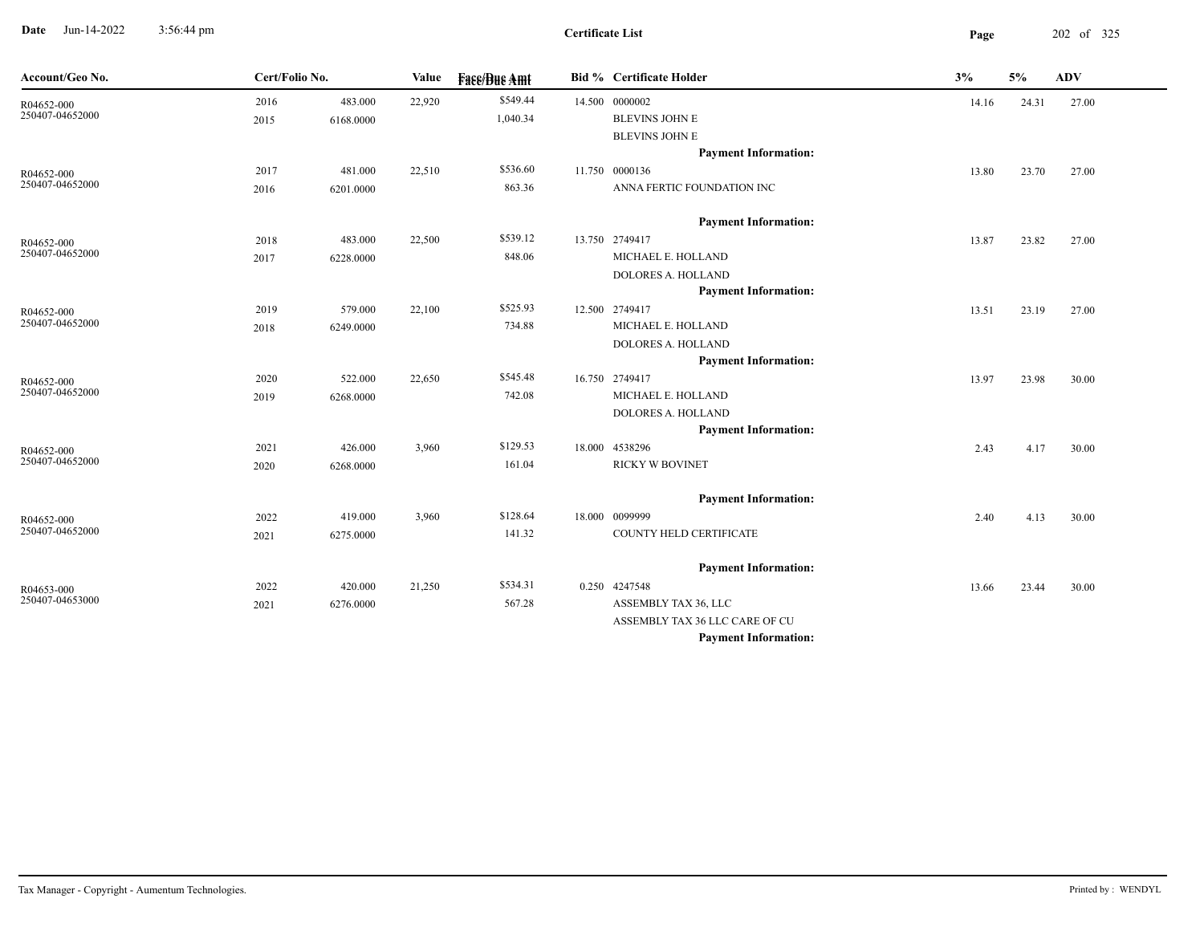**Date** Jun-14-2022 3:56:44 pm **Page** 202 of 325 3:56:44 pm

| Account/Geo No.               | Cert/Folio No. |           | Value  | <b>Fase/Bue Amt</b> | Bid % Certificate Holder       | 3%    | 5%    | <b>ADV</b> |  |
|-------------------------------|----------------|-----------|--------|---------------------|--------------------------------|-------|-------|------------|--|
| R04652-000                    | 2016           | 483.000   | 22,920 | \$549.44            | 14.500 0000002                 | 14.16 | 24.31 | 27.00      |  |
| 250407-04652000               | 2015           | 6168.0000 |        | 1,040.34            | <b>BLEVINS JOHN E</b>          |       |       |            |  |
|                               |                |           |        |                     | <b>BLEVINS JOHN E</b>          |       |       |            |  |
|                               |                |           |        |                     | <b>Payment Information:</b>    |       |       |            |  |
| R04652-000                    | 2017           | 481.000   | 22,510 | \$536.60            | 11.750 0000136                 | 13.80 | 23.70 | 27.00      |  |
| 250407-04652000               | 2016           | 6201.0000 |        | 863.36              | ANNA FERTIC FOUNDATION INC     |       |       |            |  |
|                               |                |           |        |                     | <b>Payment Information:</b>    |       |       |            |  |
| R04652-000                    | 2018           | 483.000   | 22,500 | \$539.12            | 13.750 2749417                 | 13.87 | 23.82 | 27.00      |  |
| 250407-04652000               | 2017           | 6228.0000 |        | 848.06              | MICHAEL E. HOLLAND             |       |       |            |  |
|                               |                |           |        |                     | <b>DOLORES A. HOLLAND</b>      |       |       |            |  |
|                               |                |           |        |                     | <b>Payment Information:</b>    |       |       |            |  |
| R04652-000                    | 2019           | 579.000   | 22,100 | \$525.93            | 12.500 2749417                 | 13.51 | 23.19 | 27.00      |  |
| 250407-04652000               | 2018           | 6249.0000 |        | 734.88              | MICHAEL E. HOLLAND             |       |       |            |  |
|                               |                |           |        |                     | <b>DOLORES A. HOLLAND</b>      |       |       |            |  |
|                               |                |           |        |                     | <b>Payment Information:</b>    |       |       |            |  |
| R04652-000                    | 2020           | 522.000   | 22,650 | \$545.48            | 16.750 2749417                 | 13.97 | 23.98 | 30.00      |  |
| 250407-04652000               | 2019           | 6268.0000 |        | 742.08              | MICHAEL E. HOLLAND             |       |       |            |  |
|                               |                |           |        |                     | DOLORES A. HOLLAND             |       |       |            |  |
|                               |                |           |        |                     | <b>Payment Information:</b>    |       |       |            |  |
| R04652-000<br>250407-04652000 | 2021           | 426.000   | 3,960  | \$129.53            | 18.000 4538296                 | 2.43  | 4.17  | 30.00      |  |
|                               | 2020           | 6268.0000 |        | 161.04              | <b>RICKY W BOVINET</b>         |       |       |            |  |
|                               |                |           |        |                     | <b>Payment Information:</b>    |       |       |            |  |
| R04652-000                    | 2022           | 419.000   | 3,960  | \$128.64            | 18.000 0099999                 | 2.40  | 4.13  | 30.00      |  |
| 250407-04652000               | 2021           | 6275.0000 |        | 141.32              | COUNTY HELD CERTIFICATE        |       |       |            |  |
|                               |                |           |        |                     | <b>Payment Information:</b>    |       |       |            |  |
| R04653-000                    | 2022           | 420.000   | 21,250 | \$534.31            | 0.250 4247548                  | 13.66 | 23.44 | 30.00      |  |
| 250407-04653000               | 2021           | 6276.0000 |        | 567.28              | ASSEMBLY TAX 36, LLC           |       |       |            |  |
|                               |                |           |        |                     | ASSEMBLY TAX 36 LLC CARE OF CU |       |       |            |  |
|                               |                |           |        |                     | <b>Payment Information:</b>    |       |       |            |  |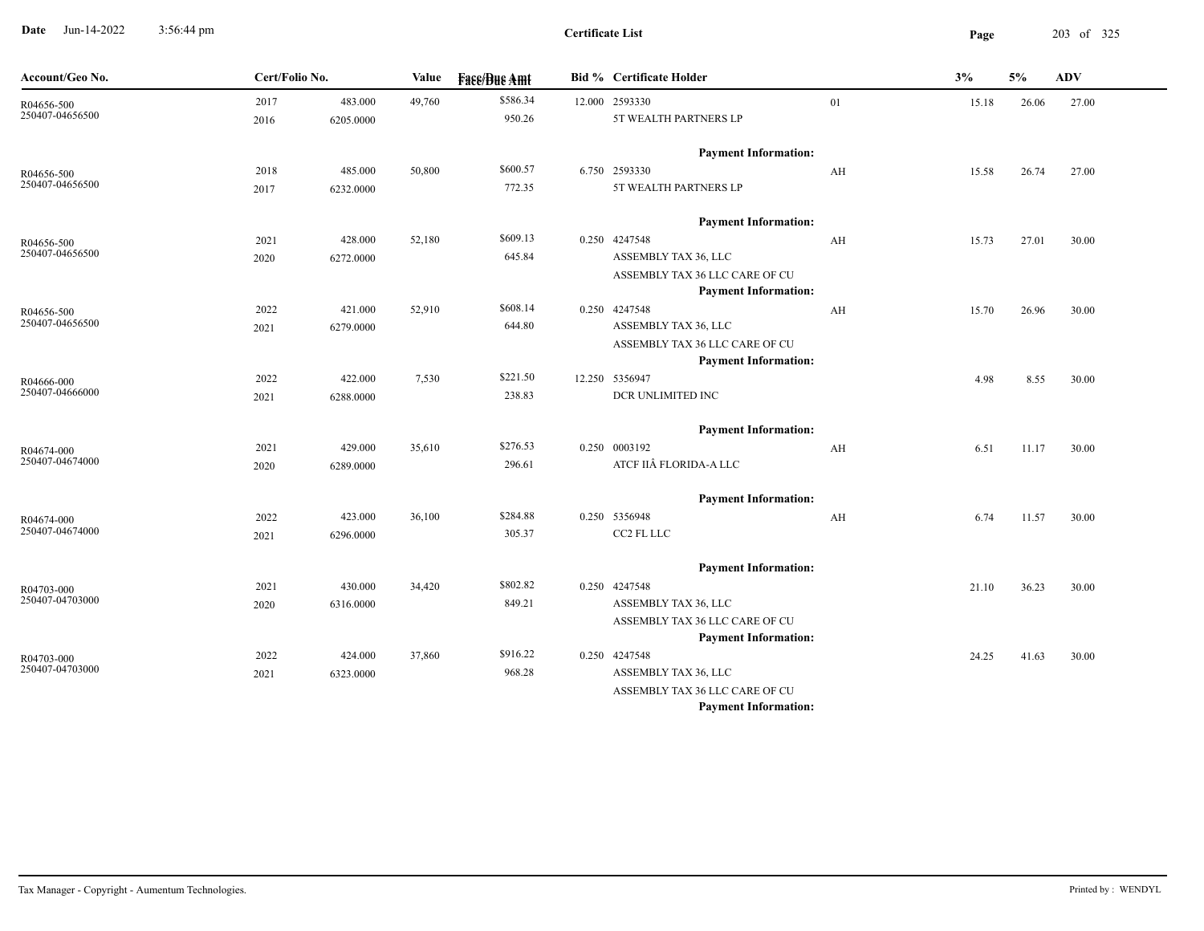**Date** Jun-14-2022 3:56:44 pm **Page** 203 of 325 3:56:44 pm

| Account/Geo No.               | Cert/Folio No. |           | Value  | <b>Fase/Bue Amt</b> | Bid % Certificate Holder                                      |    | 3%    | 5%    | ADV   |
|-------------------------------|----------------|-----------|--------|---------------------|---------------------------------------------------------------|----|-------|-------|-------|
| R04656-500                    | 2017           | 483.000   | 49,760 | \$586.34            | 12.000 2593330                                                | 01 | 15.18 | 26.06 | 27.00 |
| 250407-04656500               | 2016           | 6205.0000 |        | 950.26              | 5T WEALTH PARTNERS LP                                         |    |       |       |       |
|                               |                |           |        |                     | <b>Payment Information:</b>                                   |    |       |       |       |
| R04656-500                    | 2018           | 485.000   | 50,800 | \$600.57            | 6.750 2593330                                                 | AH | 15.58 | 26.74 | 27.00 |
| 250407-04656500               | 2017           | 6232.0000 |        | 772.35              | 5T WEALTH PARTNERS LP                                         |    |       |       |       |
|                               |                |           |        |                     | <b>Payment Information:</b>                                   |    |       |       |       |
| R04656-500                    | 2021           | 428.000   | 52,180 | \$609.13            | 0.250 4247548                                                 | AH | 15.73 | 27.01 | 30.00 |
| 250407-04656500               | 2020           | 6272.0000 |        | 645.84              | ASSEMBLY TAX 36, LLC                                          |    |       |       |       |
|                               |                |           |        |                     | ASSEMBLY TAX 36 LLC CARE OF CU                                |    |       |       |       |
|                               |                |           |        |                     | <b>Payment Information:</b>                                   |    |       |       |       |
| R04656-500<br>250407-04656500 | 2022           | 421.000   | 52,910 | \$608.14            | 0.250 4247548                                                 | AH | 15.70 | 26.96 | 30.00 |
|                               | 2021           | 6279.0000 |        | 644.80              | ASSEMBLY TAX 36, LLC                                          |    |       |       |       |
|                               |                |           |        |                     | ASSEMBLY TAX 36 LLC CARE OF CU<br><b>Payment Information:</b> |    |       |       |       |
|                               | 2022           | 422.000   | 7,530  | \$221.50            | 12.250 5356947                                                |    | 4.98  | 8.55  | 30.00 |
| R04666-000<br>250407-04666000 | 2021           | 6288.0000 |        | 238.83              | DCR UNLIMITED INC                                             |    |       |       |       |
|                               |                |           |        |                     |                                                               |    |       |       |       |
|                               |                |           |        | \$276.53            | <b>Payment Information:</b>                                   |    |       |       |       |
| R04674-000<br>250407-04674000 | 2021           | 429.000   | 35,610 | 296.61              | 0.250 0003192<br>ATCF IIÂ FLORIDA-A LLC                       | AH | 6.51  | 11.17 | 30.00 |
|                               | 2020           | 6289.0000 |        |                     |                                                               |    |       |       |       |
|                               |                |           |        |                     | <b>Payment Information:</b>                                   |    |       |       |       |
| R04674-000<br>250407-04674000 | 2022           | 423.000   | 36,100 | \$284.88            | 0.250 5356948                                                 | AH | 6.74  | 11.57 | 30.00 |
|                               | 2021           | 6296.0000 |        | 305.37              | CC2 FL LLC                                                    |    |       |       |       |
|                               |                |           |        |                     | <b>Payment Information:</b>                                   |    |       |       |       |
| R04703-000                    | 2021           | 430.000   | 34,420 | \$802.82            | 0.250 4247548                                                 |    | 21.10 | 36.23 | 30.00 |
| 250407-04703000               | 2020           | 6316.0000 |        | 849.21              | ASSEMBLY TAX 36, LLC                                          |    |       |       |       |
|                               |                |           |        |                     | ASSEMBLY TAX 36 LLC CARE OF CU                                |    |       |       |       |
|                               |                |           |        |                     | <b>Payment Information:</b>                                   |    |       |       |       |
| R04703-000<br>250407-04703000 | 2022           | 424.000   | 37,860 | \$916.22            | 0.250 4247548                                                 |    | 24.25 | 41.63 | 30.00 |
|                               | 2021           | 6323.0000 |        | 968.28              | ASSEMBLY TAX 36, LLC                                          |    |       |       |       |
|                               |                |           |        |                     | ASSEMBLY TAX 36 LLC CARE OF CU                                |    |       |       |       |
|                               |                |           |        |                     | <b>Payment Information:</b>                                   |    |       |       |       |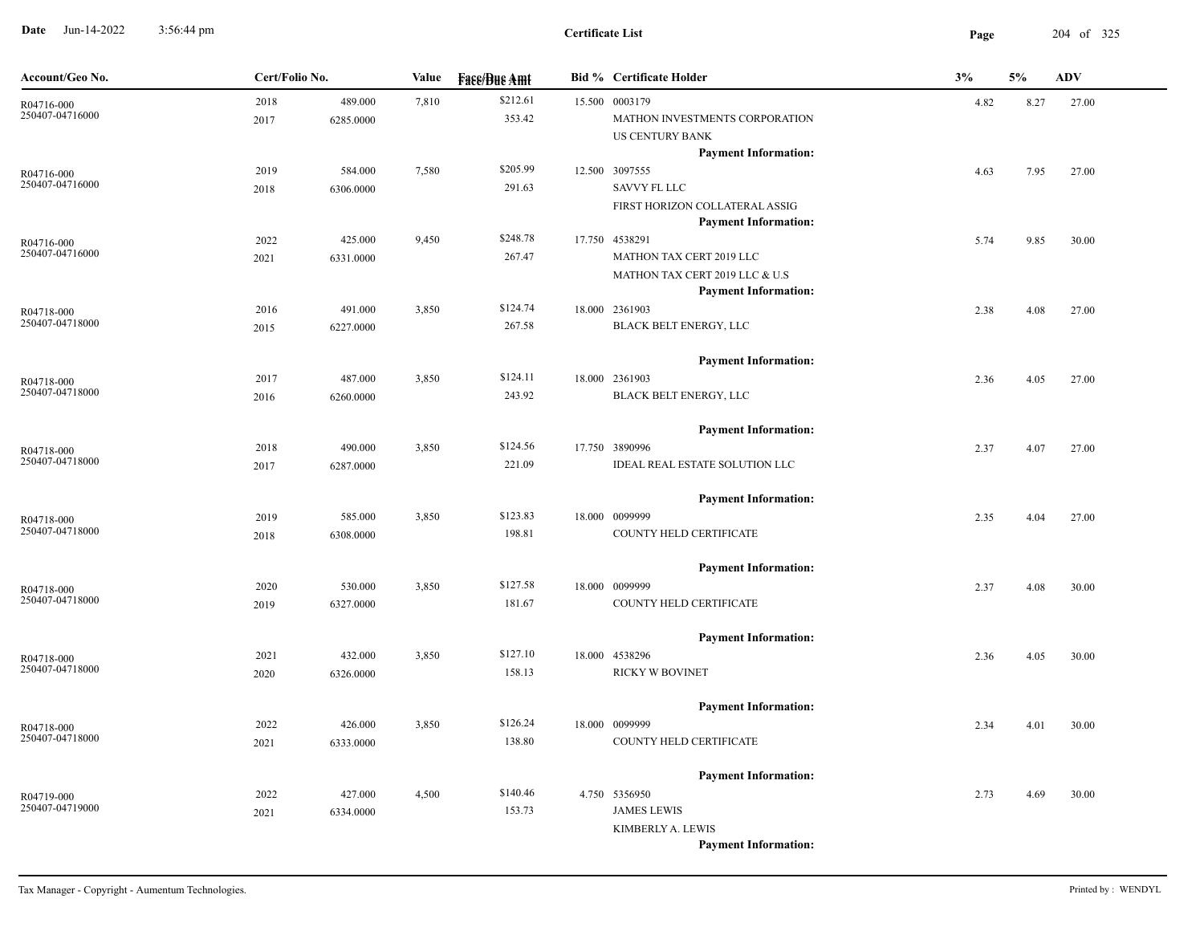**Date** Jun-14-2022 3:56:44 pm **Page** 204 of 325 3:56:44 pm

| Account/Geo No.               | Cert/Folio No. |                      | Value | <b>Face/Bue Amt</b> | <b>Bid % Certificate Holder</b>                                                                             | 3%   | 5%   | <b>ADV</b> |
|-------------------------------|----------------|----------------------|-------|---------------------|-------------------------------------------------------------------------------------------------------------|------|------|------------|
| R04716-000<br>250407-04716000 | 2018<br>2017   | 489.000<br>6285.0000 | 7,810 | \$212.61<br>353.42  | 15.500 0003179<br>MATHON INVESTMENTS CORPORATION<br><b>US CENTURY BANK</b>                                  | 4.82 | 8.27 | 27.00      |
| R04716-000<br>250407-04716000 | 2019<br>2018   | 584.000<br>6306.0000 | 7,580 | \$205.99<br>291.63  | <b>Payment Information:</b><br>12.500 3097555<br><b>SAVVY FL LLC</b><br>FIRST HORIZON COLLATERAL ASSIG      | 4.63 | 7.95 | 27.00      |
| R04716-000<br>250407-04716000 | 2022<br>2021   | 425.000<br>6331.0000 | 9,450 | \$248.78<br>267.47  | <b>Payment Information:</b><br>17.750 4538291<br>MATHON TAX CERT 2019 LLC<br>MATHON TAX CERT 2019 LLC & U.S | 5.74 | 9.85 | 30.00      |
| R04718-000<br>250407-04718000 | 2016<br>2015   | 491.000<br>6227.0000 | 3,850 | \$124.74<br>267.58  | <b>Payment Information:</b><br>18.000 2361903<br>BLACK BELT ENERGY, LLC                                     | 2.38 | 4.08 | 27.00      |
| R04718-000<br>250407-04718000 | 2017<br>2016   | 487.000<br>6260.0000 | 3,850 | \$124.11<br>243.92  | <b>Payment Information:</b><br>18.000 2361903<br><b>BLACK BELT ENERGY, LLC</b>                              | 2.36 | 4.05 | 27.00      |
| R04718-000<br>250407-04718000 | 2018<br>2017   | 490.000<br>6287.0000 | 3,850 | \$124.56<br>221.09  | <b>Payment Information:</b><br>17.750 3890996<br><b>IDEAL REAL ESTATE SOLUTION LLC</b>                      | 2.37 | 4.07 | 27.00      |
| R04718-000<br>250407-04718000 | 2019<br>2018   | 585.000<br>6308.0000 | 3,850 | \$123.83<br>198.81  | <b>Payment Information:</b><br>18.000 0099999<br>COUNTY HELD CERTIFICATE                                    | 2.35 | 4.04 | 27.00      |
| R04718-000<br>250407-04718000 | 2020<br>2019   | 530.000<br>6327.0000 | 3,850 | \$127.58<br>181.67  | <b>Payment Information:</b><br>18.000 0099999<br>COUNTY HELD CERTIFICATE                                    | 2.37 | 4.08 | 30.00      |
| R04718-000<br>250407-04718000 | 2021<br>2020   | 432.000<br>6326.0000 | 3,850 | \$127.10<br>158.13  | <b>Payment Information:</b><br>18.000 4538296<br><b>RICKY W BOVINET</b>                                     | 2.36 | 4.05 | 30.00      |
| R04718-000<br>250407-04718000 | 2022<br>2021   | 426.000<br>6333.0000 | 3,850 | \$126.24<br>138.80  | <b>Payment Information:</b><br>18.000 0099999<br>COUNTY HELD CERTIFICATE                                    | 2.34 | 4.01 | 30.00      |
| R04719-000<br>250407-04719000 | 2022<br>2021   | 427.000<br>6334.0000 | 4,500 | \$140.46<br>153.73  | <b>Payment Information:</b><br>4.750 5356950<br><b>JAMES LEWIS</b>                                          | 2.73 | 4.69 | 30.00      |
|                               |                |                      |       |                     | KIMBERLY A. LEWIS<br><b>Payment Information:</b>                                                            |      |      |            |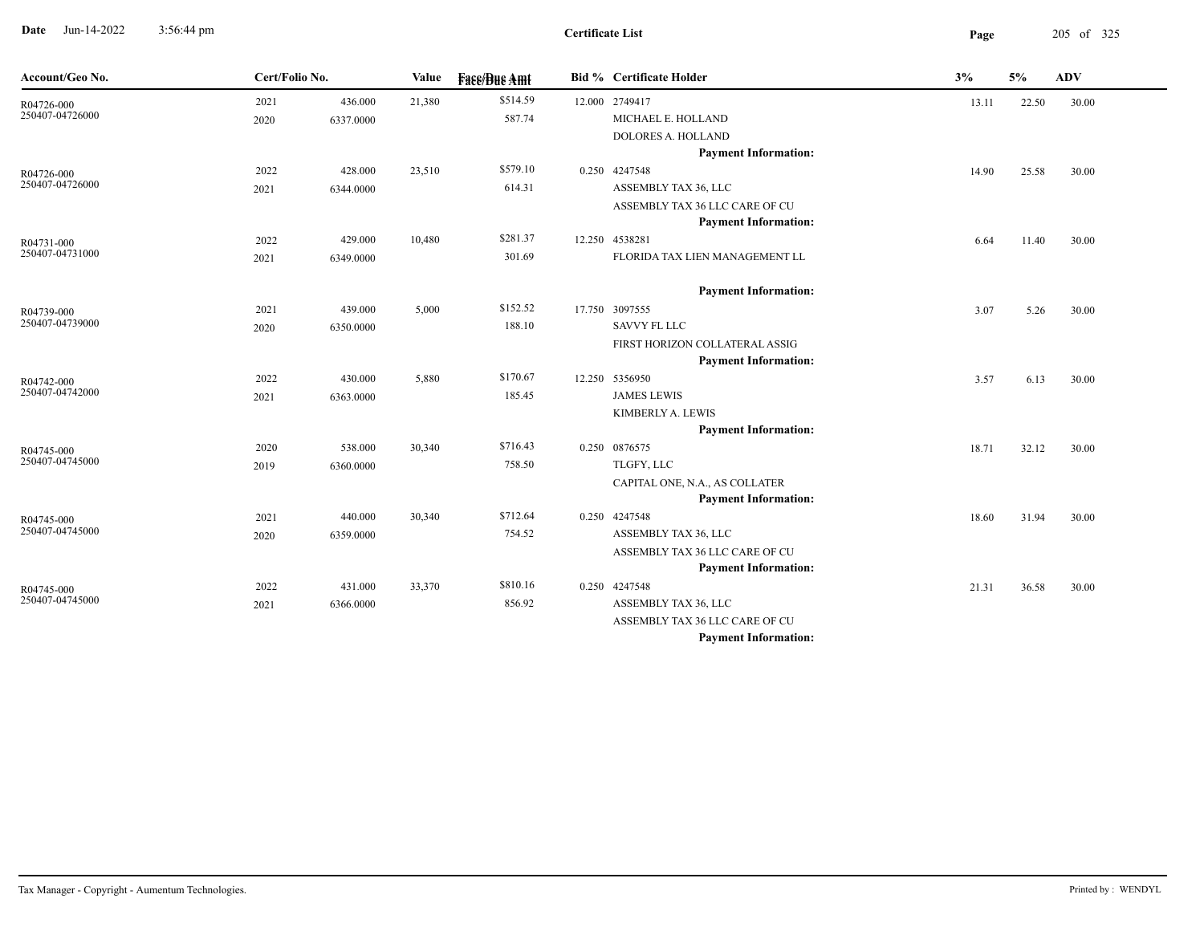**Date** Jun-14-2022 3:56:44 pm **Page** 205 of 325 3:56:44 pm

**Certificate List**

| Account/Geo No.               | Cert/Folio No. |           | Value  | <b>Face/Bue Amt</b> | <b>Bid % Certificate Holder</b>                               | 3%    | 5%    | <b>ADV</b> |  |
|-------------------------------|----------------|-----------|--------|---------------------|---------------------------------------------------------------|-------|-------|------------|--|
| R04726-000                    | 2021           | 436.000   | 21,380 | \$514.59            | 12.000 2749417                                                | 13.11 | 22.50 | 30.00      |  |
| 250407-04726000               | 2020           | 6337.0000 |        | 587.74              | MICHAEL E. HOLLAND                                            |       |       |            |  |
|                               |                |           |        |                     | DOLORES A. HOLLAND                                            |       |       |            |  |
|                               |                |           |        |                     | <b>Payment Information:</b>                                   |       |       |            |  |
| R04726-000                    | 2022           | 428.000   | 23,510 | \$579.10            | 0.250 4247548                                                 | 14.90 | 25.58 | 30.00      |  |
| 250407-04726000               | 2021           | 6344.0000 |        | 614.31              | ASSEMBLY TAX 36, LLC                                          |       |       |            |  |
|                               |                |           |        |                     | ASSEMBLY TAX 36 LLC CARE OF CU                                |       |       |            |  |
|                               |                |           |        |                     | <b>Payment Information:</b>                                   |       |       |            |  |
| R04731-000                    | 2022           | 429.000   | 10,480 | \$281.37            | 12.250 4538281                                                | 6.64  | 11.40 | 30.00      |  |
| 250407-04731000               | 2021           | 6349.0000 |        | 301.69              | FLORIDA TAX LIEN MANAGEMENT LL                                |       |       |            |  |
|                               |                |           |        |                     | <b>Payment Information:</b>                                   |       |       |            |  |
| R04739-000                    | 2021           | 439.000   | 5,000  | \$152.52            | 17.750 3097555                                                | 3.07  | 5.26  | 30.00      |  |
| 250407-04739000               | 2020           | 6350.0000 |        | 188.10              | SAVVY FL LLC                                                  |       |       |            |  |
|                               |                |           |        |                     | FIRST HORIZON COLLATERAL ASSIG                                |       |       |            |  |
|                               |                |           |        |                     | <b>Payment Information:</b>                                   |       |       |            |  |
| R04742-000                    | 2022           | 430.000   | 5,880  | \$170.67            | 12.250 5356950                                                | 3.57  | 6.13  | 30.00      |  |
| 250407-04742000               | 2021           | 6363.0000 |        | 185.45              | <b>JAMES LEWIS</b>                                            |       |       |            |  |
|                               |                |           |        |                     | KIMBERLY A. LEWIS                                             |       |       |            |  |
|                               |                |           |        |                     | <b>Payment Information:</b>                                   |       |       |            |  |
| R04745-000<br>250407-04745000 | 2020           | 538.000   | 30,340 | \$716.43            | 0.250 0876575                                                 | 18.71 | 32.12 | 30.00      |  |
|                               | 2019           | 6360.0000 |        | 758.50              | TLGFY, LLC                                                    |       |       |            |  |
|                               |                |           |        |                     | CAPITAL ONE, N.A., AS COLLATER                                |       |       |            |  |
|                               |                |           |        |                     | <b>Payment Information:</b>                                   |       |       |            |  |
| R04745-000<br>250407-04745000 | 2021           | 440.000   | 30,340 | \$712.64            | 0.250 4247548                                                 | 18.60 | 31.94 | 30.00      |  |
|                               | 2020           | 6359.0000 |        | 754.52              | ASSEMBLY TAX 36, LLC                                          |       |       |            |  |
|                               |                |           |        |                     | ASSEMBLY TAX 36 LLC CARE OF CU<br><b>Payment Information:</b> |       |       |            |  |
|                               |                |           |        | \$810.16            | 0.250 4247548                                                 |       |       |            |  |
| R04745-000<br>250407-04745000 | 2022           | 431.000   | 33,370 |                     |                                                               | 21.31 | 36.58 | 30.00      |  |
|                               | 2021           | 6366.0000 |        | 856.92              | ASSEMBLY TAX 36, LLC<br>ASSEMBLY TAX 36 LLC CARE OF CU        |       |       |            |  |
|                               |                |           |        |                     | <b>Payment Information:</b>                                   |       |       |            |  |
|                               |                |           |        |                     |                                                               |       |       |            |  |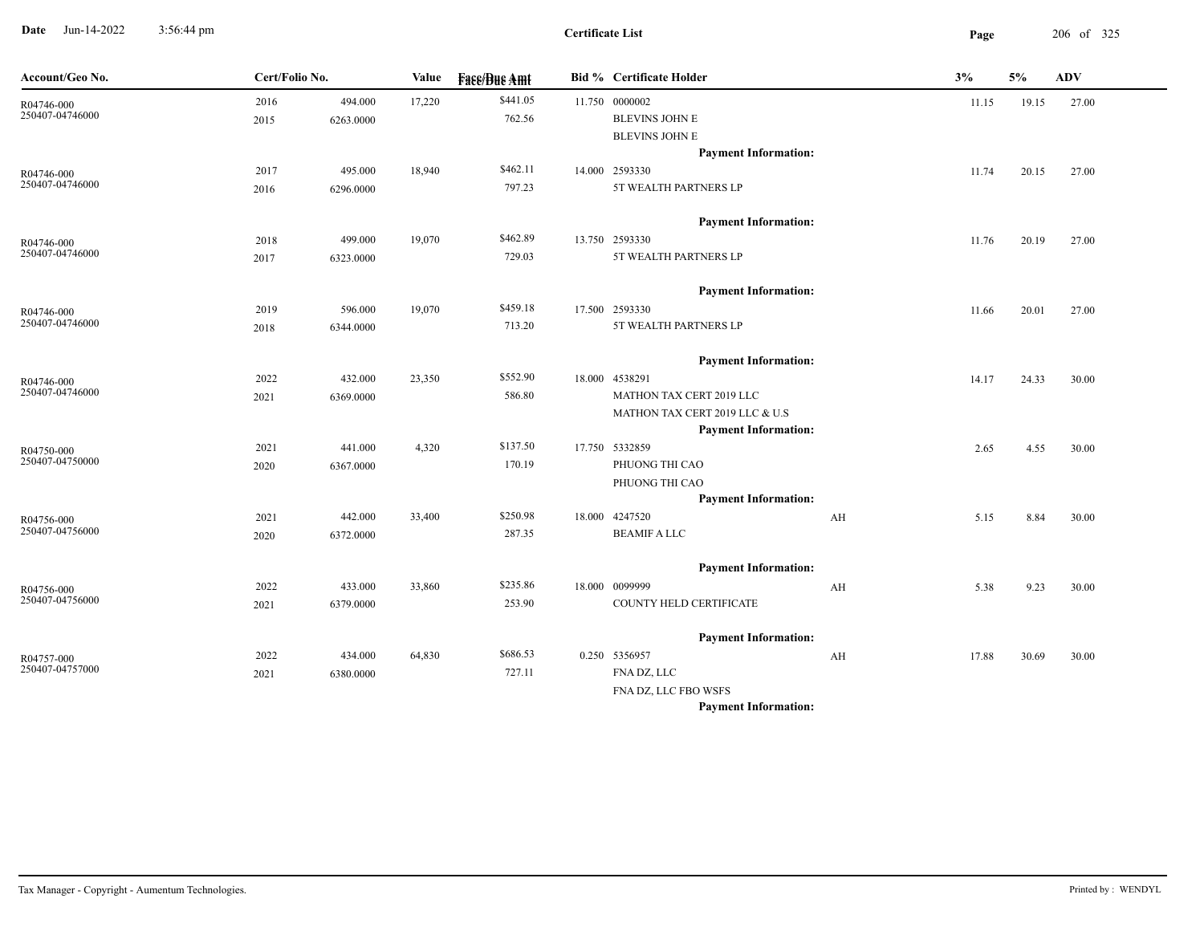**Date** Jun-14-2022 3:56:44 pm **Page** 206 of 325 3:56:44 pm

| Account/Geo No.               | Cert/Folio No. |           | Value  | <b>Face/Bue Amt</b> | Bid % Certificate Holder       |    | 3%    | 5%    | ADV   |
|-------------------------------|----------------|-----------|--------|---------------------|--------------------------------|----|-------|-------|-------|
| R04746-000<br>250407-04746000 | 2016           | 494.000   | 17,220 | \$441.05            | 11.750 0000002                 |    | 11.15 | 19.15 | 27.00 |
|                               | 2015           | 6263.0000 |        | 762.56              | <b>BLEVINS JOHN E</b>          |    |       |       |       |
|                               |                |           |        |                     | <b>BLEVINS JOHN E</b>          |    |       |       |       |
|                               |                |           |        |                     | <b>Payment Information:</b>    |    |       |       |       |
| R04746-000<br>250407-04746000 | 2017           | 495.000   | 18,940 | \$462.11            | 14.000 2593330                 |    | 11.74 | 20.15 | 27.00 |
|                               | 2016           | 6296.0000 |        | 797.23              | 5T WEALTH PARTNERS LP          |    |       |       |       |
|                               |                |           |        |                     | <b>Payment Information:</b>    |    |       |       |       |
| R04746-000                    | 2018           | 499.000   | 19,070 | \$462.89            | 13.750 2593330                 |    | 11.76 | 20.19 | 27.00 |
| 250407-04746000               | 2017           | 6323.0000 |        | 729.03              | 5T WEALTH PARTNERS LP          |    |       |       |       |
|                               |                |           |        |                     | <b>Payment Information:</b>    |    |       |       |       |
| R04746-000                    | 2019           | 596.000   | 19,070 | \$459.18            | 17.500 2593330                 |    | 11.66 | 20.01 | 27.00 |
| 250407-04746000               | 2018           | 6344.0000 |        | 713.20              | 5T WEALTH PARTNERS LP          |    |       |       |       |
|                               |                |           |        |                     | <b>Payment Information:</b>    |    |       |       |       |
| R04746-000                    | 2022           | 432.000   | 23,350 | \$552.90            | 18.000 4538291                 |    | 14.17 | 24.33 | 30.00 |
| 250407-04746000               | 2021           | 6369.0000 |        | 586.80              | MATHON TAX CERT 2019 LLC       |    |       |       |       |
|                               |                |           |        |                     | MATHON TAX CERT 2019 LLC & U.S |    |       |       |       |
|                               |                |           |        |                     | <b>Payment Information:</b>    |    |       |       |       |
| R04750-000                    | 2021           | 441.000   | 4,320  | \$137.50            | 17.750 5332859                 |    | 2.65  | 4.55  | 30.00 |
| 250407-04750000               | 2020           | 6367.0000 |        | 170.19              | PHUONG THI CAO                 |    |       |       |       |
|                               |                |           |        |                     | PHUONG THI CAO                 |    |       |       |       |
|                               |                |           |        |                     | <b>Payment Information:</b>    |    |       |       |       |
| R04756-000<br>250407-04756000 | 2021           | 442.000   | 33,400 | \$250.98            | 18.000 4247520                 | AH | 5.15  | 8.84  | 30.00 |
|                               | 2020           | 6372.0000 |        | 287.35              | <b>BEAMIF A LLC</b>            |    |       |       |       |
|                               |                |           |        |                     | <b>Payment Information:</b>    |    |       |       |       |
| R04756-000                    | 2022           | 433.000   | 33,860 | \$235.86            | 18.000 0099999                 | AH | 5.38  | 9.23  | 30.00 |
| 250407-04756000               | 2021           | 6379.0000 |        | 253.90              | COUNTY HELD CERTIFICATE        |    |       |       |       |
|                               |                |           |        |                     | <b>Payment Information:</b>    |    |       |       |       |
| R04757-000                    | 2022           | 434.000   | 64,830 | \$686.53            | 0.250 5356957                  | AH | 17.88 | 30.69 | 30.00 |
| 250407-04757000               | 2021           | 6380.0000 |        | 727.11              | FNA DZ, LLC                    |    |       |       |       |
|                               |                |           |        |                     | FNA DZ, LLC FBO WSFS           |    |       |       |       |
|                               |                |           |        |                     | <b>Payment Information:</b>    |    |       |       |       |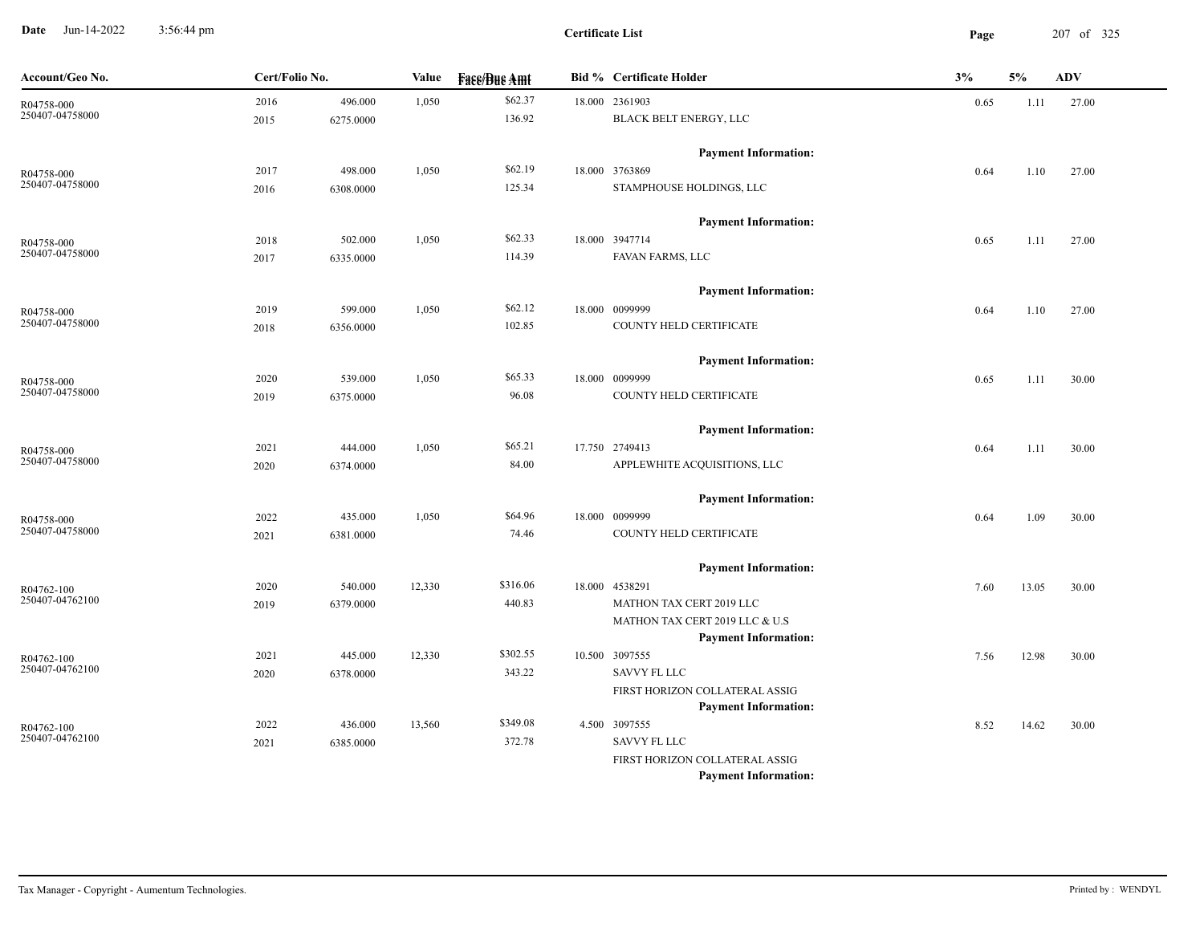**Date** Jun-14-2022 3:56:44 pm **Page** 207 of 325 3:56:44 pm

**Certificate List**

| Account/Geo No.               | Cert/Folio No. |           | Value  | <b>Face/Bue Amt</b> | <b>Bid % Certificate Holder</b>              | 3%   | 5%    | <b>ADV</b> |
|-------------------------------|----------------|-----------|--------|---------------------|----------------------------------------------|------|-------|------------|
| R04758-000                    | 2016           | 496.000   | 1,050  | \$62.37             | 18.000 2361903                               | 0.65 | 1.11  | 27.00      |
| 250407-04758000               | 2015           | 6275.0000 |        | 136.92              | BLACK BELT ENERGY, LLC                       |      |       |            |
|                               |                |           |        |                     | <b>Payment Information:</b>                  |      |       |            |
| R04758-000                    | 2017           | 498.000   | 1,050  | \$62.19             | 18.000 3763869                               | 0.64 | 1.10  | 27.00      |
| 250407-04758000               | 2016           | 6308.0000 |        | 125.34              | STAMPHOUSE HOLDINGS, LLC                     |      |       |            |
|                               |                |           |        |                     | <b>Payment Information:</b>                  |      |       |            |
| R04758-000                    | 2018           | 502.000   | 1,050  | \$62.33             | 18.000 3947714                               | 0.65 | 1.11  | 27.00      |
| 250407-04758000               | 2017           | 6335.0000 |        | 114.39              | FAVAN FARMS, LLC                             |      |       |            |
|                               |                |           |        |                     | <b>Payment Information:</b>                  |      |       |            |
| R04758-000                    | 2019           | 599.000   | 1,050  | \$62.12             | 18.000 0099999                               | 0.64 | 1.10  | 27.00      |
| 250407-04758000               | 2018           | 6356.0000 |        | 102.85              | COUNTY HELD CERTIFICATE                      |      |       |            |
|                               |                |           |        |                     | <b>Payment Information:</b>                  |      |       |            |
| R04758-000                    | 2020           | 539.000   | 1,050  | \$65.33             | 18.000 0099999                               | 0.65 | 1.11  | 30.00      |
| 250407-04758000               | 2019           | 6375.0000 |        | 96.08               | COUNTY HELD CERTIFICATE                      |      |       |            |
|                               |                |           |        |                     | <b>Payment Information:</b>                  |      |       |            |
| R04758-000                    | 2021           | 444.000   | 1,050  | \$65.21             | 17.750 2749413                               | 0.64 | 1.11  | 30.00      |
| 250407-04758000               | 2020           | 6374.0000 |        | 84.00               | APPLEWHITE ACQUISITIONS, LLC                 |      |       |            |
|                               |                |           |        |                     | <b>Payment Information:</b>                  |      |       |            |
| R04758-000                    | 2022           | 435.000   | 1,050  | \$64.96             | 18.000 0099999                               | 0.64 | 1.09  | 30.00      |
| 250407-04758000               | 2021           | 6381.0000 |        | 74.46               | COUNTY HELD CERTIFICATE                      |      |       |            |
|                               |                |           |        |                     | <b>Payment Information:</b>                  |      |       |            |
| R04762-100                    | 2020           | 540.000   | 12,330 | \$316.06            | 18.000 4538291                               | 7.60 | 13.05 | 30.00      |
| 250407-04762100               | 2019           | 6379.0000 |        | 440.83              | MATHON TAX CERT 2019 LLC                     |      |       |            |
|                               |                |           |        |                     | MATHON TAX CERT 2019 LLC & U.S               |      |       |            |
|                               |                |           |        |                     | <b>Payment Information:</b>                  |      |       |            |
| R04762-100                    | 2021           | 445.000   | 12,330 | \$302.55            | 10.500 3097555                               | 7.56 | 12.98 | 30.00      |
| 250407-04762100               | 2020           | 6378.0000 |        | 343.22              | <b>SAVVY FL LLC</b>                          |      |       |            |
|                               |                |           |        |                     | FIRST HORIZON COLLATERAL ASSIG               |      |       |            |
|                               | 2022           | 436.000   | 13,560 | \$349.08            | <b>Payment Information:</b><br>4.500 3097555 | 8.52 | 14.62 | 30.00      |
| R04762-100<br>250407-04762100 | 2021           | 6385.0000 |        | 372.78              | <b>SAVVY FL LLC</b>                          |      |       |            |
|                               |                |           |        |                     | FIRST HORIZON COLLATERAL ASSIG               |      |       |            |
|                               |                |           |        |                     | <b>Payment Information:</b>                  |      |       |            |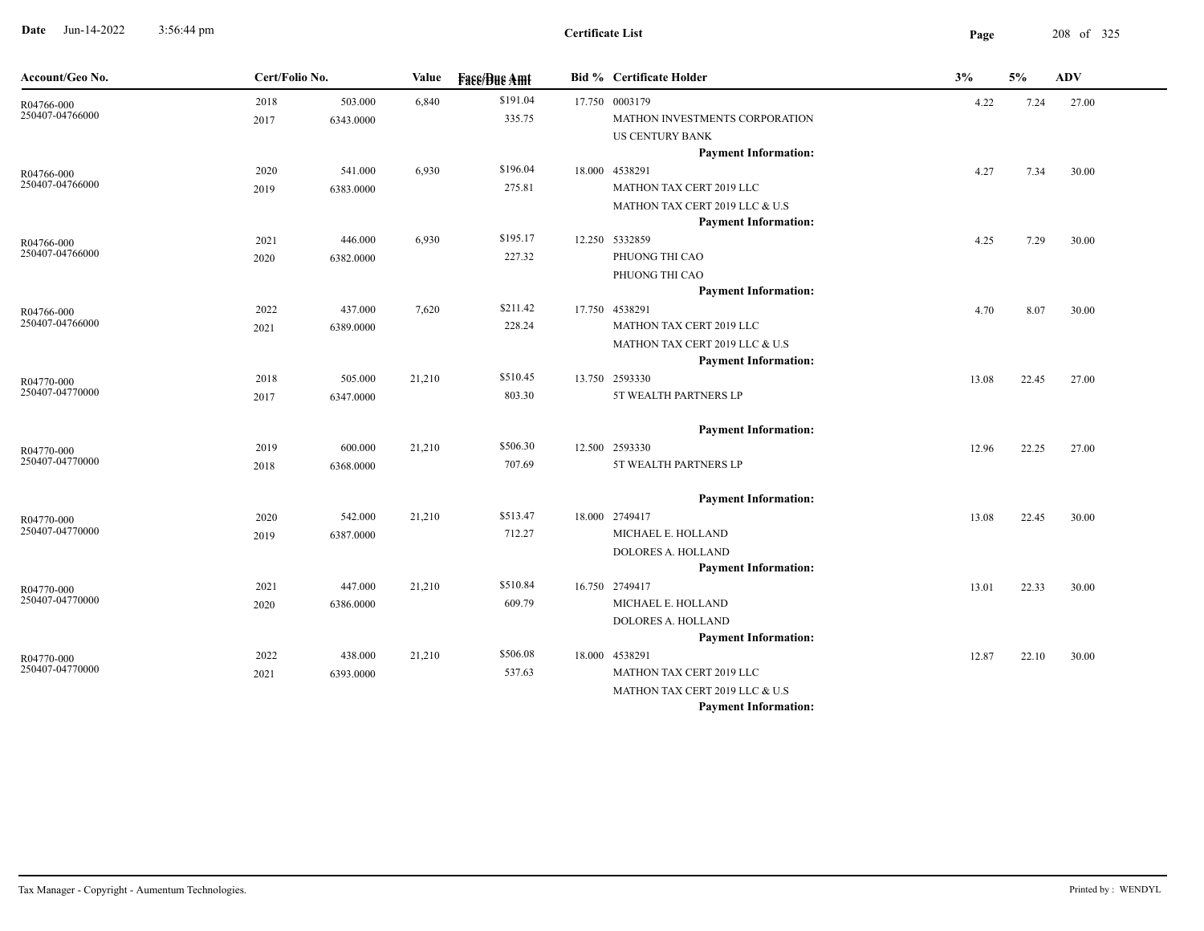**Date** Jun-14-2022 3:56:44 pm **Page** 208 of 325 3:56:44 pm

 $\overline{\phantom{a}}$ 

| Account/Geo No.               | Cert/Folio No. |           | Value  | <b>Face/Bue Amt</b> | <b>Bid %</b> Certificate Holder               | 3%    | 5%    | ADV   |
|-------------------------------|----------------|-----------|--------|---------------------|-----------------------------------------------|-------|-------|-------|
| R04766-000                    | 2018           | 503.000   | 6,840  | \$191.04            | 17.750 0003179                                | 4.22  | 7.24  | 27.00 |
| 250407-04766000               | 2017           | 6343.0000 |        | 335.75              | MATHON INVESTMENTS CORPORATION                |       |       |       |
|                               |                |           |        |                     | US CENTURY BANK                               |       |       |       |
|                               |                |           |        |                     | <b>Payment Information:</b>                   |       |       |       |
| R04766-000                    | 2020           | 541.000   | 6,930  | \$196.04            | 18.000 4538291                                | 4.27  | 7.34  | 30.00 |
| 250407-04766000               | 2019           | 6383.0000 |        | 275.81              | MATHON TAX CERT 2019 LLC                      |       |       |       |
|                               |                |           |        |                     | MATHON TAX CERT 2019 LLC & U.S                |       |       |       |
|                               |                |           |        |                     | <b>Payment Information:</b>                   |       |       |       |
| R04766-000<br>250407-04766000 | 2021           | 446.000   | 6,930  | \$195.17            | 12.250 5332859                                | 4.25  | 7.29  | 30.00 |
|                               | 2020           | 6382.0000 |        | 227.32              | PHUONG THI CAO                                |       |       |       |
|                               |                |           |        |                     | PHUONG THI CAO                                |       |       |       |
|                               |                |           |        | \$211.42            | <b>Payment Information:</b><br>17.750 4538291 |       |       |       |
| R04766-000<br>250407-04766000 | 2022           | 437.000   | 7,620  | 228.24              | MATHON TAX CERT 2019 LLC                      | 4.70  | 8.07  | 30.00 |
|                               | 2021           | 6389.0000 |        |                     | MATHON TAX CERT 2019 LLC & U.S                |       |       |       |
|                               |                |           |        |                     | <b>Payment Information:</b>                   |       |       |       |
|                               | 2018           | 505.000   | 21,210 | \$510.45            | 13.750 2593330                                | 13.08 | 22.45 | 27.00 |
| R04770-000<br>250407-04770000 | 2017           | 6347.0000 |        | 803.30              | 5T WEALTH PARTNERS LP                         |       |       |       |
|                               |                |           |        |                     |                                               |       |       |       |
|                               |                |           |        |                     | <b>Payment Information:</b>                   |       |       |       |
| R04770-000                    | 2019           | 600.000   | 21,210 | \$506.30            | 12.500 2593330                                | 12.96 | 22.25 | 27.00 |
| 250407-04770000               | 2018           | 6368.0000 |        | 707.69              | 5T WEALTH PARTNERS LP                         |       |       |       |
|                               |                |           |        |                     |                                               |       |       |       |
|                               |                |           |        |                     | <b>Payment Information:</b>                   |       |       |       |
| R04770-000                    | 2020           | 542.000   | 21,210 | \$513.47            | 18.000 2749417                                | 13.08 | 22.45 | 30.00 |
| 250407-04770000               | 2019           | 6387.0000 |        | 712.27              | MICHAEL E. HOLLAND                            |       |       |       |
|                               |                |           |        |                     | DOLORES A. HOLLAND                            |       |       |       |
|                               |                |           |        |                     | <b>Payment Information:</b>                   |       |       |       |
| R04770-000                    | 2021           | 447.000   | 21,210 | \$510.84            | 16.750 2749417                                | 13.01 | 22.33 | 30.00 |
| 250407-04770000               | 2020           | 6386.0000 |        | 609.79              | MICHAEL E. HOLLAND                            |       |       |       |
|                               |                |           |        |                     | DOLORES A. HOLLAND                            |       |       |       |
|                               |                |           |        |                     | <b>Payment Information:</b>                   |       |       |       |
| R04770-000<br>250407-04770000 | 2022           | 438.000   | 21,210 | \$506.08            | 18.000 4538291                                | 12.87 | 22.10 | 30.00 |
|                               | 2021           | 6393.0000 |        | 537.63              | MATHON TAX CERT 2019 LLC                      |       |       |       |
|                               |                |           |        |                     | MATHON TAX CERT 2019 LLC & U.S                |       |       |       |
|                               |                |           |        |                     | <b>Payment Information:</b>                   |       |       |       |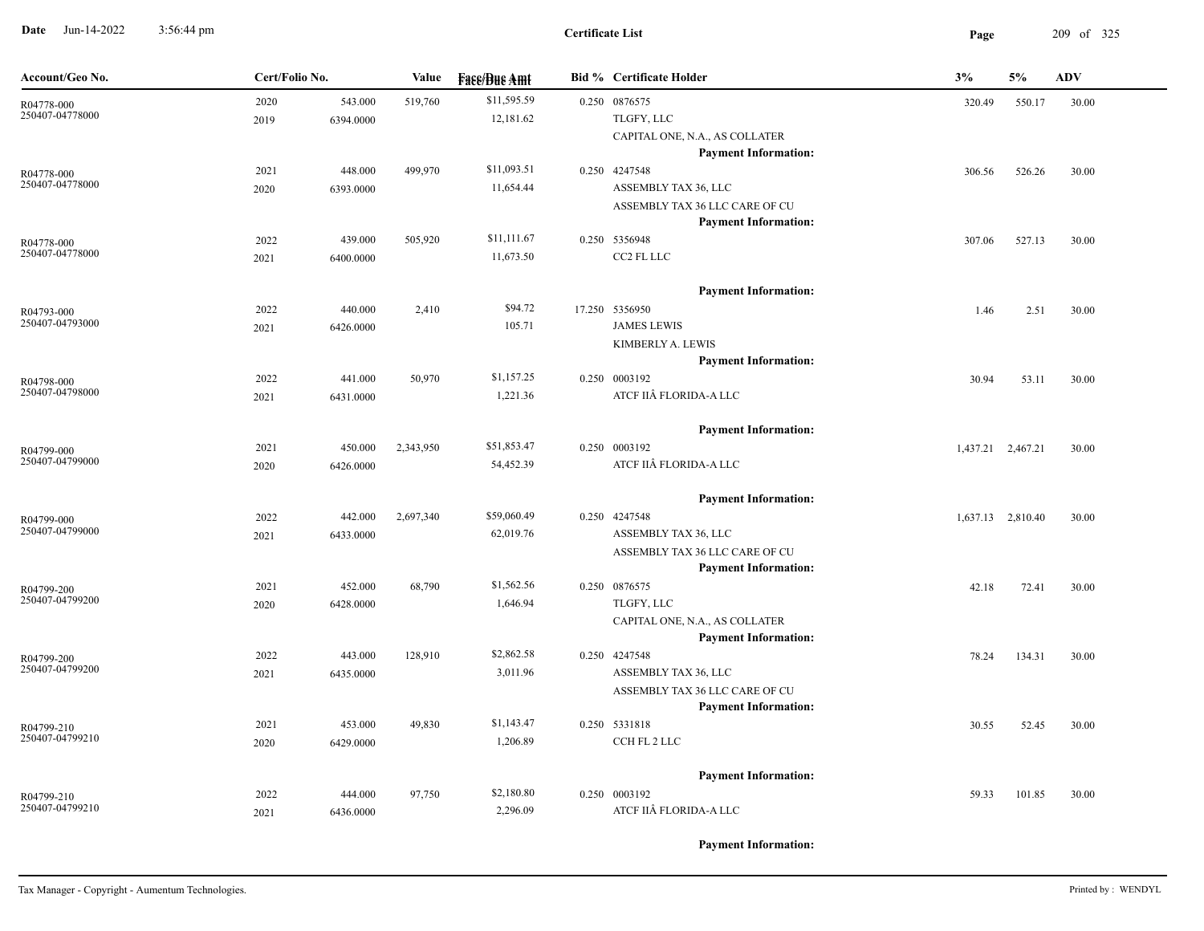**Date** Jun-14-2022 3:56:44 pm **Page** 209 of 325 3:56:44 pm

| Account/Geo No.               | Cert/Folio No. |           | Value     | <b>Face/Bue Amt</b> | <b>Bid % Certificate Holder</b> | 3%                | 5%                | <b>ADV</b> |
|-------------------------------|----------------|-----------|-----------|---------------------|---------------------------------|-------------------|-------------------|------------|
| R04778-000                    | 2020           | 543.000   | 519,760   | \$11,595.59         | 0.250 0876575                   | 320.49            | 550.17            | 30.00      |
| 250407-04778000               | 2019           | 6394.0000 |           | 12,181.62           | TLGFY, LLC                      |                   |                   |            |
|                               |                |           |           |                     | CAPITAL ONE, N.A., AS COLLATER  |                   |                   |            |
|                               |                |           |           |                     | <b>Payment Information:</b>     |                   |                   |            |
| R04778-000                    | 2021           | 448.000   | 499,970   | \$11,093.51         | 0.250 4247548                   | 306.56            | 526.26            | 30.00      |
| 250407-04778000               | 2020           | 6393.0000 |           | 11,654.44           | ASSEMBLY TAX 36, LLC            |                   |                   |            |
|                               |                |           |           |                     | ASSEMBLY TAX 36 LLC CARE OF CU  |                   |                   |            |
|                               |                |           |           |                     | <b>Payment Information:</b>     |                   |                   |            |
| R04778-000                    | 2022           | 439.000   | 505,920   | \$11,111.67         | 0.250 5356948                   | 307.06            | 527.13            | 30.00      |
| 250407-04778000               | 2021           | 6400.0000 |           | 11,673.50           | CC2 FL LLC                      |                   |                   |            |
|                               |                |           |           |                     | <b>Payment Information:</b>     |                   |                   |            |
| R04793-000                    | 2022           | 440.000   | 2,410     | \$94.72             | 17.250 5356950                  | 1.46              | 2.51              | 30.00      |
| 250407-04793000               | 2021           | 6426.0000 |           | 105.71              | <b>JAMES LEWIS</b>              |                   |                   |            |
|                               |                |           |           |                     | KIMBERLY A. LEWIS               |                   |                   |            |
|                               |                |           |           |                     | <b>Payment Information:</b>     |                   |                   |            |
| R04798-000                    | 2022           | 441.000   | 50,970    | \$1,157.25          | 0.250 0003192                   | 30.94             | 53.11             | 30.00      |
| 250407-04798000               | 2021           | 6431.0000 |           | 1,221.36            | ATCF IIÂ FLORIDA-A LLC          |                   |                   |            |
|                               |                |           |           |                     | <b>Payment Information:</b>     |                   |                   |            |
| R04799-000                    | 2021           | 450.000   | 2,343,950 | \$51,853.47         | 0.250 0003192                   | 1,437.21 2,467.21 |                   | 30.00      |
| 250407-04799000               | 2020           | 6426.0000 |           | 54,452.39           | ATCF IIÂ FLORIDA-A LLC          |                   |                   |            |
|                               |                |           |           |                     | <b>Payment Information:</b>     |                   |                   |            |
|                               | 2022           | 442.000   | 2,697,340 | \$59,060.49         | 0.250 4247548                   |                   | 1,637.13 2,810.40 | 30.00      |
| R04799-000<br>250407-04799000 | 2021           | 6433.0000 |           | 62,019.76           | ASSEMBLY TAX 36, LLC            |                   |                   |            |
|                               |                |           |           |                     | ASSEMBLY TAX 36 LLC CARE OF CU  |                   |                   |            |
|                               |                |           |           |                     | <b>Payment Information:</b>     |                   |                   |            |
| R04799-200                    | 2021           | 452.000   | 68,790    | \$1,562.56          | 0.250 0876575                   | 42.18             | 72.41             | 30.00      |
| 250407-04799200               | 2020           | 6428.0000 |           | 1,646.94            | TLGFY, LLC                      |                   |                   |            |
|                               |                |           |           |                     | CAPITAL ONE, N.A., AS COLLATER  |                   |                   |            |
|                               |                |           |           |                     | <b>Payment Information:</b>     |                   |                   |            |
| R04799-200                    | 2022           | 443.000   | 128,910   | \$2,862.58          | 0.250 4247548                   | 78.24             | 134.31            | 30.00      |
| 250407-04799200               | 2021           | 6435.0000 |           | 3,011.96            | ASSEMBLY TAX 36, LLC            |                   |                   |            |
|                               |                |           |           |                     | ASSEMBLY TAX 36 LLC CARE OF CU  |                   |                   |            |
|                               |                |           |           |                     | <b>Payment Information:</b>     |                   |                   |            |
| R04799-210                    | 2021           | 453.000   | 49,830    | \$1,143.47          | 0.250 5331818                   | 30.55             | 52.45             | 30.00      |
| 250407-04799210               | 2020           | 6429.0000 |           | 1,206.89            | CCH FL 2 LLC                    |                   |                   |            |
|                               |                |           |           |                     | <b>Payment Information:</b>     |                   |                   |            |
| R04799-210                    | 2022           | 444.000   | 97,750    | \$2,180.80          | 0.250 0003192                   | 59.33             | 101.85            | 30.00      |
| 250407-04799210               | 2021           | 6436.0000 |           | 2,296.09            | ATCF IIÂ FLORIDA-A LLC          |                   |                   |            |
|                               |                |           |           |                     |                                 |                   |                   |            |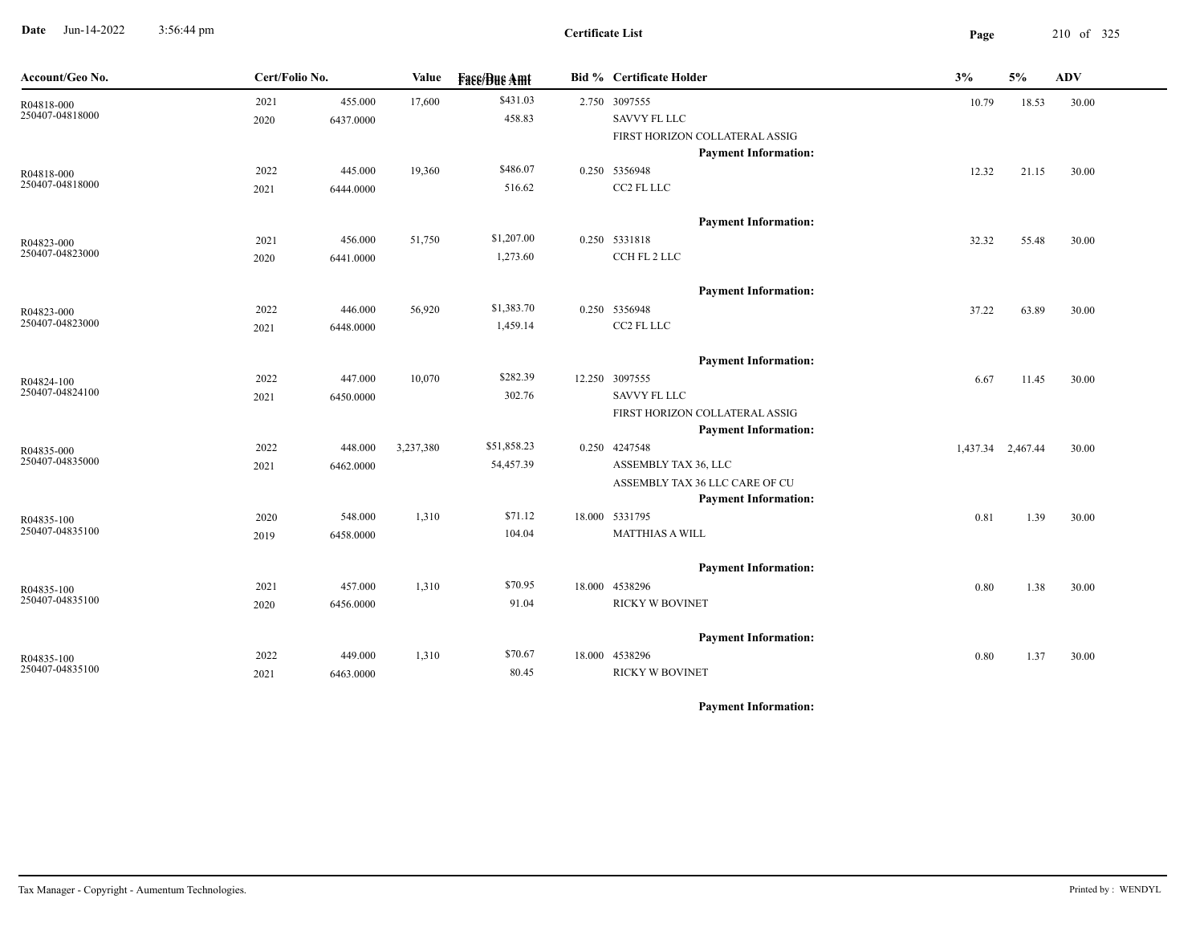**Date** Jun-14-2022 3:56:44 pm **Page** 210 of 325 3:56:44 pm

| Account/Geo No. | Cert/Folio No. |           | Value     | <b>Face/Bue Amt</b> | <b>Bid % Certificate Holder</b> | 3%    | 5%                | <b>ADV</b> |
|-----------------|----------------|-----------|-----------|---------------------|---------------------------------|-------|-------------------|------------|
| R04818-000      | 2021           | 455.000   | 17,600    | \$431.03            | 2.750 3097555                   | 10.79 | 18.53             | 30.00      |
| 250407-04818000 | 2020           | 6437.0000 |           | 458.83              | <b>SAVVY FL LLC</b>             |       |                   |            |
|                 |                |           |           |                     | FIRST HORIZON COLLATERAL ASSIG  |       |                   |            |
|                 |                |           |           |                     | <b>Payment Information:</b>     |       |                   |            |
| R04818-000      | 2022           | 445.000   | 19,360    | \$486.07            | 0.250 5356948                   | 12.32 | 21.15             | 30.00      |
| 250407-04818000 | 2021           | 6444.0000 |           | 516.62              | CC2 FL LLC                      |       |                   |            |
|                 |                |           |           |                     | <b>Payment Information:</b>     |       |                   |            |
| R04823-000      | 2021           | 456.000   | 51,750    | \$1,207.00          | 0.250 5331818                   | 32.32 | 55.48             | 30.00      |
| 250407-04823000 | 2020           | 6441.0000 |           | 1,273.60            | CCH FL 2 LLC                    |       |                   |            |
|                 |                |           |           |                     | <b>Payment Information:</b>     |       |                   |            |
| R04823-000      | 2022           | 446.000   | 56,920    | \$1,383.70          | 0.250 5356948                   | 37.22 | 63.89             | 30.00      |
| 250407-04823000 | 2021           | 6448.0000 |           | 1,459.14            | CC2 FL LLC                      |       |                   |            |
|                 |                |           |           |                     | <b>Payment Information:</b>     |       |                   |            |
| R04824-100      | 2022           | 447.000   | 10,070    | \$282.39            | 12.250 3097555                  | 6.67  | 11.45             | 30.00      |
| 250407-04824100 | 2021           | 6450.0000 |           | 302.76              | <b>SAVVY FL LLC</b>             |       |                   |            |
|                 |                |           |           |                     | FIRST HORIZON COLLATERAL ASSIG  |       |                   |            |
|                 |                |           |           |                     | <b>Payment Information:</b>     |       |                   |            |
| R04835-000      | 2022           | 448.000   | 3,237,380 | \$51,858.23         | 0.250 4247548                   |       | 1,437.34 2,467.44 | 30.00      |
| 250407-04835000 | 2021           | 6462.0000 |           | 54,457.39           | ASSEMBLY TAX 36, LLC            |       |                   |            |
|                 |                |           |           |                     | ASSEMBLY TAX 36 LLC CARE OF CU  |       |                   |            |
|                 |                |           |           |                     | <b>Payment Information:</b>     |       |                   |            |
| R04835-100      | 2020           | 548.000   | 1,310     | \$71.12             | 18.000 5331795                  | 0.81  | 1.39              | 30.00      |
| 250407-04835100 | 2019           | 6458.0000 |           | 104.04              | <b>MATTHIAS A WILL</b>          |       |                   |            |
|                 |                |           |           |                     | <b>Payment Information:</b>     |       |                   |            |
| R04835-100      | 2021           | 457.000   | 1,310     | \$70.95             | 18.000 4538296                  | 0.80  | 1.38              | 30.00      |
| 250407-04835100 | 2020           | 6456.0000 |           | 91.04               | <b>RICKY W BOVINET</b>          |       |                   |            |
|                 |                |           |           |                     | <b>Payment Information:</b>     |       |                   |            |
| R04835-100      | 2022           | 449.000   | 1,310     | \$70.67             | 18.000 4538296                  | 0.80  | 1.37              | 30.00      |
| 250407-04835100 | 2021           | 6463.0000 |           | 80.45               | <b>RICKY W BOVINET</b>          |       |                   |            |
|                 |                |           |           |                     |                                 |       |                   |            |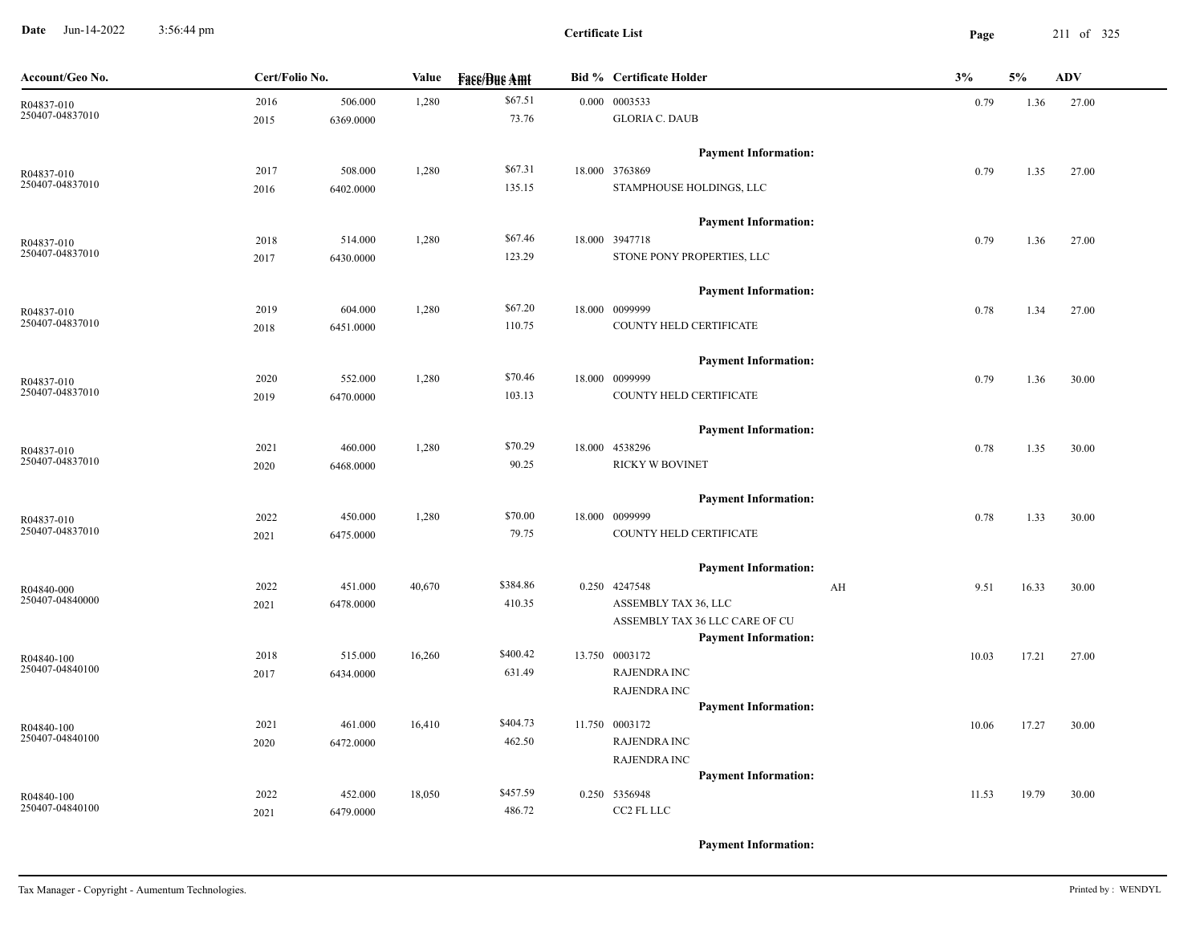**Date** Jun-14-2022 3:56:44 pm **Page** 211 of 325 3:56:44 pm

| Account/Geo No. | Cert/Folio No. |           | Value  | <b>Face/Bue Amt</b> | <b>Bid % Certificate Holder</b>                               | 3% |       | 5%    | <b>ADV</b> |
|-----------------|----------------|-----------|--------|---------------------|---------------------------------------------------------------|----|-------|-------|------------|
| R04837-010      | 2016           | 506.000   | 1,280  | \$67.51             | 0.000 0003533                                                 |    | 0.79  | 1.36  | 27.00      |
| 250407-04837010 | 2015           | 6369.0000 |        | 73.76               | <b>GLORIA C. DAUB</b>                                         |    |       |       |            |
|                 |                |           |        |                     | <b>Payment Information:</b>                                   |    |       |       |            |
| R04837-010      | 2017           | 508.000   | 1,280  | \$67.31             | 18.000 3763869                                                |    | 0.79  | 1.35  | 27.00      |
| 250407-04837010 | 2016           | 6402.0000 |        | 135.15              | STAMPHOUSE HOLDINGS, LLC                                      |    |       |       |            |
|                 |                |           |        |                     | <b>Payment Information:</b>                                   |    |       |       |            |
| R04837-010      | 2018           | 514.000   | 1,280  | \$67.46             | 18.000 3947718                                                |    | 0.79  | 1.36  | 27.00      |
| 250407-04837010 | 2017           | 6430.0000 |        | 123.29              | STONE PONY PROPERTIES, LLC                                    |    |       |       |            |
|                 |                |           |        |                     | <b>Payment Information:</b>                                   |    |       |       |            |
| R04837-010      | 2019           | 604.000   | 1,280  | \$67.20             | 18.000 0099999                                                |    | 0.78  | 1.34  | 27.00      |
| 250407-04837010 | 2018           | 6451.0000 |        | 110.75              | COUNTY HELD CERTIFICATE                                       |    |       |       |            |
|                 |                |           |        |                     | <b>Payment Information:</b>                                   |    |       |       |            |
| R04837-010      | 2020           | 552.000   | 1,280  | \$70.46             | 18.000 0099999                                                |    | 0.79  | 1.36  | 30.00      |
| 250407-04837010 | 2019           | 6470.0000 |        | 103.13              | COUNTY HELD CERTIFICATE                                       |    |       |       |            |
|                 |                |           |        |                     | <b>Payment Information:</b>                                   |    |       |       |            |
| R04837-010      | 2021           | 460.000   | 1,280  | \$70.29             | 18.000 4538296                                                |    | 0.78  | 1.35  | 30.00      |
| 250407-04837010 | 2020           | 6468.0000 |        | 90.25               | <b>RICKY W BOVINET</b>                                        |    |       |       |            |
|                 |                |           |        |                     | <b>Payment Information:</b>                                   |    |       |       |            |
| R04837-010      | 2022           | 450.000   | 1,280  | \$70.00             | 18.000 0099999                                                |    | 0.78  | 1.33  | 30.00      |
| 250407-04837010 | 2021           | 6475.0000 |        | 79.75               | COUNTY HELD CERTIFICATE                                       |    |       |       |            |
|                 |                |           |        |                     | <b>Payment Information:</b>                                   |    |       |       |            |
| R04840-000      | 2022           | 451.000   | 40,670 | \$384.86            | 0.250 4247548                                                 | AH | 9.51  | 16.33 | 30.00      |
| 250407-04840000 | 2021           | 6478.0000 |        | 410.35              | ASSEMBLY TAX 36, LLC                                          |    |       |       |            |
|                 |                |           |        |                     | ASSEMBLY TAX 36 LLC CARE OF CU<br><b>Payment Information:</b> |    |       |       |            |
| R04840-100      | 2018           | 515.000   | 16,260 | \$400.42            | 13.750 0003172                                                |    | 10.03 | 17.21 | 27.00      |
| 250407-04840100 | 2017           | 6434.0000 |        | 631.49              | <b>RAJENDRA INC</b>                                           |    |       |       |            |
|                 |                |           |        |                     | <b>RAJENDRA INC</b>                                           |    |       |       |            |
|                 |                |           |        |                     | <b>Payment Information:</b>                                   |    |       |       |            |
| R04840-100      | 2021           | 461.000   | 16,410 | \$404.73            | 11.750 0003172                                                |    | 10.06 | 17.27 | 30.00      |
| 250407-04840100 | 2020           | 6472.0000 |        | 462.50              | <b>RAJENDRA INC</b>                                           |    |       |       |            |
|                 |                |           |        |                     | <b>RAJENDRA INC</b>                                           |    |       |       |            |
|                 |                |           |        |                     | <b>Payment Information:</b>                                   |    |       |       |            |
| R04840-100      | 2022           | 452.000   | 18,050 | \$457.59            | 0.250 5356948                                                 |    | 11.53 | 19.79 | 30.00      |
| 250407-04840100 | 2021           | 6479.0000 |        | 486.72              | CC2 FL LLC                                                    |    |       |       |            |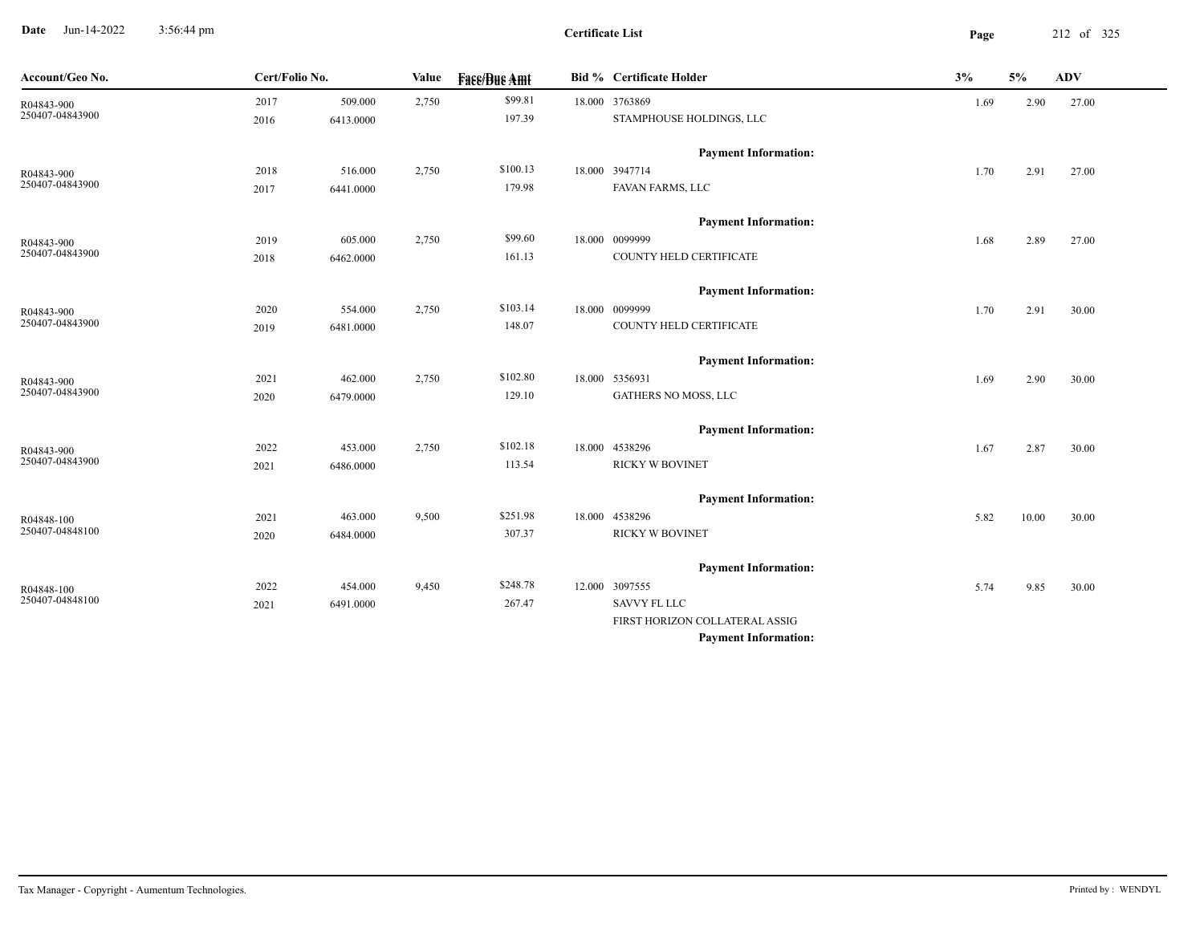**Date** Jun-14-2022 3:56:44 pm **Page** 212 of 325 3:56:44 pm

| Account/Geo No.               | Cert/Folio No. |                      | Value | <b>Fase/Bue Amt</b> | <b>Bid % Certificate Holder</b>               | 3%   | 5%    | <b>ADV</b> |
|-------------------------------|----------------|----------------------|-------|---------------------|-----------------------------------------------|------|-------|------------|
| R04843-900                    | 2017           | 509.000              | 2,750 | \$99.81             | 18.000 3763869                                | 1.69 | 2.90  | 27.00      |
| 250407-04843900               | 2016           | 6413.0000            |       | 197.39              | STAMPHOUSE HOLDINGS, LLC                      |      |       |            |
|                               |                |                      |       |                     | <b>Payment Information:</b>                   |      |       |            |
| R04843-900                    | 2018           | 516.000              | 2,750 | \$100.13            | 18.000 3947714                                | 1.70 | 2.91  | 27.00      |
| 250407-04843900               | 2017           | 6441.0000            |       | 179.98              | FAVAN FARMS, LLC                              |      |       |            |
|                               |                |                      |       |                     | <b>Payment Information:</b>                   |      |       |            |
| R04843-900                    | 2019           | 605.000              | 2,750 | \$99.60             | 18.000 0099999                                | 1.68 | 2.89  | 27.00      |
| 250407-04843900               | 2018           | 6462.0000            |       | 161.13              | COUNTY HELD CERTIFICATE                       |      |       |            |
|                               |                |                      |       |                     | <b>Payment Information:</b>                   |      |       |            |
|                               | 2020           | 554.000              | 2,750 | \$103.14            | 18.000 0099999                                | 1.70 | 2.91  | 30.00      |
| R04843-900<br>250407-04843900 | 2019           | 6481.0000            |       | 148.07              | COUNTY HELD CERTIFICATE                       |      |       |            |
|                               |                |                      |       |                     | <b>Payment Information:</b>                   |      |       |            |
|                               | 2021           | 462.000              | 2,750 | \$102.80            | 18.000 5356931                                | 1.69 | 2.90  | 30.00      |
| R04843-900<br>250407-04843900 | 2020           | 6479.0000            |       | 129.10              | GATHERS NO MOSS, LLC                          |      |       |            |
|                               |                |                      |       |                     |                                               |      |       |            |
|                               |                |                      |       | \$102.18            | <b>Payment Information:</b><br>18.000 4538296 |      |       |            |
| R04843-900<br>250407-04843900 | 2022<br>2021   | 453.000<br>6486.0000 | 2,750 | 113.54              | <b>RICKY W BOVINET</b>                        | 1.67 | 2.87  | 30.00      |
|                               |                |                      |       |                     |                                               |      |       |            |
|                               |                |                      |       |                     | <b>Payment Information:</b>                   |      |       |            |
| R04848-100<br>250407-04848100 | 2021           | 463.000              | 9,500 | \$251.98            | 18.000 4538296                                | 5.82 | 10.00 | 30.00      |
|                               | 2020           | 6484.0000            |       | 307.37              | <b>RICKY W BOVINET</b>                        |      |       |            |
|                               |                |                      |       |                     | <b>Payment Information:</b>                   |      |       |            |
| R04848-100                    | 2022           | 454.000              | 9,450 | \$248.78            | 12.000 3097555                                | 5.74 | 9.85  | 30.00      |
| 250407-04848100               | 2021           | 6491.0000            |       | 267.47              | <b>SAVVY FL LLC</b>                           |      |       |            |
|                               |                |                      |       |                     | FIRST HORIZON COLLATERAL ASSIG                |      |       |            |
|                               |                |                      |       |                     | <b>Payment Information:</b>                   |      |       |            |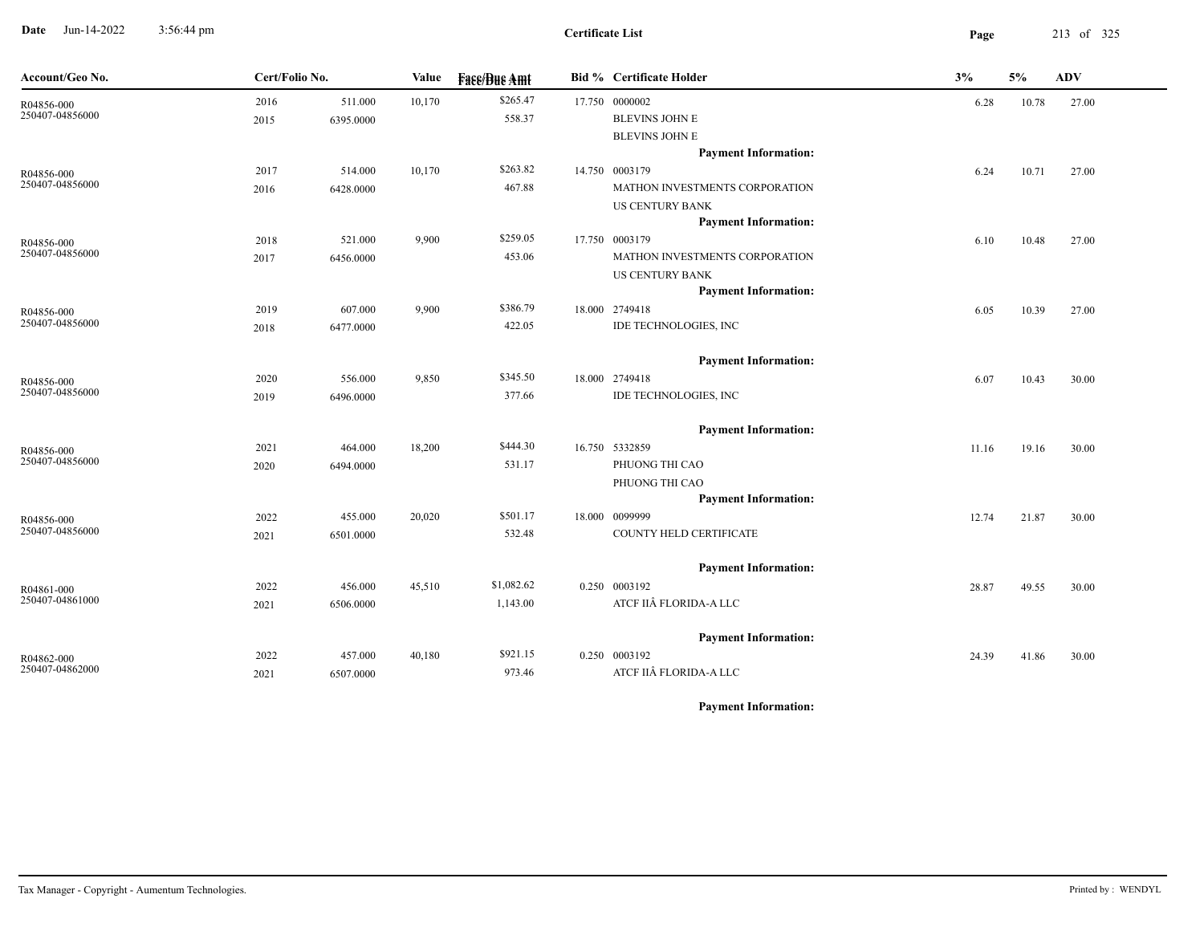**Date** Jun-14-2022 3:56:44 pm **Page** 213 of 325 3:56:44 pm

| Account/Geo No.               | Cert/Folio No. |           | Value  | <b>Fass/Bus Amt</b> | <b>Bid % Certificate Holder</b> | 3%    | 5%    | <b>ADV</b> |
|-------------------------------|----------------|-----------|--------|---------------------|---------------------------------|-------|-------|------------|
| R04856-000<br>250407-04856000 | 2016           | 511.000   | 10,170 | \$265.47            | 17.750 0000002                  | 6.28  | 10.78 | 27.00      |
|                               | 2015           | 6395.0000 |        | 558.37              | <b>BLEVINS JOHN E</b>           |       |       |            |
|                               |                |           |        |                     | <b>BLEVINS JOHN E</b>           |       |       |            |
|                               |                |           |        |                     | <b>Payment Information:</b>     |       |       |            |
| R04856-000                    | 2017           | 514.000   | 10,170 | \$263.82            | 14.750 0003179                  | 6.24  | 10.71 | 27.00      |
| 250407-04856000               | 2016           | 6428.0000 |        | 467.88              | MATHON INVESTMENTS CORPORATION  |       |       |            |
|                               |                |           |        |                     | <b>US CENTURY BANK</b>          |       |       |            |
|                               |                |           |        |                     | <b>Payment Information:</b>     |       |       |            |
| R04856-000<br>250407-04856000 | 2018           | 521.000   | 9,900  | \$259.05            | 17.750 0003179                  | 6.10  | 10.48 | 27.00      |
|                               | 2017           | 6456.0000 |        | 453.06              | MATHON INVESTMENTS CORPORATION  |       |       |            |
|                               |                |           |        |                     | <b>US CENTURY BANK</b>          |       |       |            |
|                               |                |           |        | \$386.79            | <b>Payment Information:</b>     |       |       |            |
| R04856-000<br>250407-04856000 | 2019           | 607.000   | 9,900  |                     | 18.000 2749418                  | 6.05  | 10.39 | 27.00      |
|                               | 2018           | 6477.0000 |        | 422.05              | IDE TECHNOLOGIES, INC           |       |       |            |
|                               |                |           |        |                     | <b>Payment Information:</b>     |       |       |            |
| R04856-000                    | 2020           | 556.000   | 9,850  | \$345.50            | 18.000 2749418                  | 6.07  | 10.43 | 30.00      |
| 250407-04856000               | 2019           | 6496.0000 |        | 377.66              | IDE TECHNOLOGIES, INC           |       |       |            |
|                               |                |           |        |                     | <b>Payment Information:</b>     |       |       |            |
|                               | 2021           | 464.000   | 18,200 | \$444.30            | 16.750 5332859                  | 11.16 | 19.16 | 30.00      |
| R04856-000<br>250407-04856000 | 2020           | 6494.0000 |        | 531.17              | PHUONG THI CAO                  |       |       |            |
|                               |                |           |        |                     | PHUONG THI CAO                  |       |       |            |
|                               |                |           |        |                     | <b>Payment Information:</b>     |       |       |            |
| R04856-000                    | 2022           | 455.000   | 20,020 | \$501.17            | 18.000 0099999                  | 12.74 | 21.87 | 30.00      |
| 250407-04856000               | 2021           | 6501.0000 |        | 532.48              | COUNTY HELD CERTIFICATE         |       |       |            |
|                               |                |           |        |                     | <b>Payment Information:</b>     |       |       |            |
|                               | 2022           | 456.000   | 45,510 | \$1,082.62          | 0.250 0003192                   | 28.87 | 49.55 | 30.00      |
| R04861-000<br>250407-04861000 | 2021           | 6506.0000 |        | 1,143.00            | ATCF IIÂ FLORIDA-A LLC          |       |       |            |
|                               |                |           |        |                     |                                 |       |       |            |
|                               |                |           |        |                     | <b>Payment Information:</b>     |       |       |            |
| R04862-000                    | 2022           | 457.000   | 40,180 | \$921.15            | 0.250 0003192                   | 24.39 | 41.86 | 30.00      |
| 250407-04862000               | 2021           | 6507.0000 |        | 973.46              | ATCF IIÂ FLORIDA-A LLC          |       |       |            |
|                               |                |           |        |                     |                                 |       |       |            |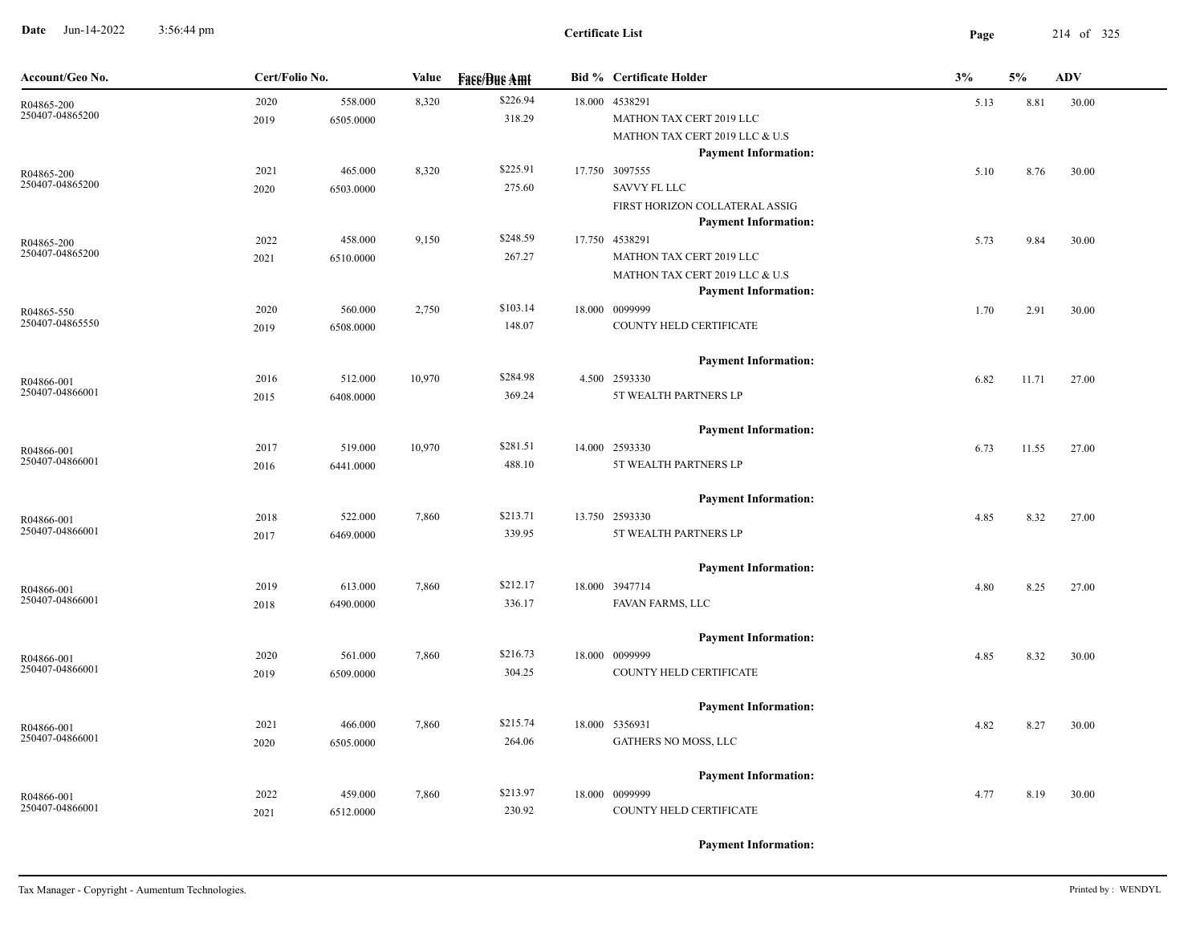**Date** Jun-14-2022 3:56:44 pm **Page** 214 of 325 3:56:44 pm

| Account/Geo No.               | Cert/Folio No. |           | Value  | <b>Fase/Bue Amt</b> | <b>Bid % Certificate Holder</b>               | 3%   | 5%    | <b>ADV</b> |
|-------------------------------|----------------|-----------|--------|---------------------|-----------------------------------------------|------|-------|------------|
| R04865-200                    | 2020           | 558.000   | 8,320  | \$226.94            | 18.000 4538291                                | 5.13 | 8.81  | 30.00      |
| 250407-04865200               | 2019           | 6505.0000 |        | 318.29              | MATHON TAX CERT 2019 LLC                      |      |       |            |
|                               |                |           |        |                     | MATHON TAX CERT 2019 LLC & U.S                |      |       |            |
|                               |                |           |        |                     | <b>Payment Information:</b>                   |      |       |            |
| R04865-200                    | 2021           | 465.000   | 8,320  | \$225.91            | 17.750 3097555                                | 5.10 | 8.76  | 30.00      |
| 250407-04865200               | 2020           | 6503.0000 |        | 275.60              | SAVVY FL LLC                                  |      |       |            |
|                               |                |           |        |                     | FIRST HORIZON COLLATERAL ASSIG                |      |       |            |
|                               | 2022           | 458.000   | 9,150  | \$248.59            | <b>Payment Information:</b><br>17.750 4538291 |      |       |            |
| R04865-200<br>250407-04865200 | 2021           | 6510.0000 |        | 267.27              | MATHON TAX CERT 2019 LLC                      | 5.73 | 9.84  | 30.00      |
|                               |                |           |        |                     | MATHON TAX CERT 2019 LLC & U.S                |      |       |            |
|                               |                |           |        |                     | <b>Payment Information:</b>                   |      |       |            |
| R04865-550                    | 2020           | 560.000   | 2,750  | \$103.14            | 18.000 0099999                                | 1.70 | 2.91  | 30.00      |
| 250407-04865550               | 2019           | 6508.0000 |        | 148.07              | COUNTY HELD CERTIFICATE                       |      |       |            |
|                               |                |           |        |                     |                                               |      |       |            |
|                               |                |           |        |                     | <b>Payment Information:</b>                   |      |       |            |
| R04866-001                    | 2016           | 512.000   | 10,970 | \$284.98            | 4.500 2593330                                 | 6.82 | 11.71 | 27.00      |
| 250407-04866001               | 2015           | 6408.0000 |        | 369.24              | 5T WEALTH PARTNERS LP                         |      |       |            |
|                               |                |           |        |                     | <b>Payment Information:</b>                   |      |       |            |
|                               | 2017           | 519.000   | 10,970 | \$281.51            | 14.000 2593330                                | 6.73 | 11.55 | 27.00      |
| R04866-001<br>250407-04866001 | 2016           | 6441.0000 |        | 488.10              | 5T WEALTH PARTNERS LP                         |      |       |            |
|                               |                |           |        |                     |                                               |      |       |            |
|                               |                |           |        |                     | <b>Payment Information:</b>                   |      |       |            |
| R04866-001                    | 2018           | 522.000   | 7,860  | \$213.71            | 13.750 2593330                                | 4.85 | 8.32  | 27.00      |
| 250407-04866001               | 2017           | 6469.0000 |        | 339.95              | 5T WEALTH PARTNERS LP                         |      |       |            |
|                               |                |           |        |                     | <b>Payment Information:</b>                   |      |       |            |
|                               | 2019           | 613.000   | 7,860  | \$212.17            | 18.000 3947714                                | 4.80 | 8.25  | 27.00      |
| R04866-001<br>250407-04866001 | 2018           | 6490.0000 |        | 336.17              | FAVAN FARMS, LLC                              |      |       |            |
|                               |                |           |        |                     |                                               |      |       |            |
|                               |                |           |        |                     | <b>Payment Information:</b>                   |      |       |            |
| R04866-001                    | 2020           | 561.000   | 7,860  | \$216.73            | 18.000 0099999                                | 4.85 | 8.32  | 30.00      |
| 250407-04866001               | 2019           | 6509.0000 |        | 304.25              | COUNTY HELD CERTIFICATE                       |      |       |            |
|                               |                |           |        |                     |                                               |      |       |            |
|                               | 2021           | 466.000   | 7,860  | \$215.74            | <b>Payment Information:</b><br>18.000 5356931 | 4.82 | 8.27  | 30.00      |
| R04866-001<br>250407-04866001 | 2020           | 6505.0000 |        | 264.06              | GATHERS NO MOSS, LLC                          |      |       |            |
|                               |                |           |        |                     |                                               |      |       |            |
|                               |                |           |        |                     | <b>Payment Information:</b>                   |      |       |            |
| R04866-001                    | 2022           | 459.000   | 7,860  | \$213.97            | 18.000 0099999                                | 4.77 | 8.19  | 30.00      |
| 250407-04866001               | 2021           | 6512.0000 |        | 230.92              | COUNTY HELD CERTIFICATE                       |      |       |            |
|                               |                |           |        |                     |                                               |      |       |            |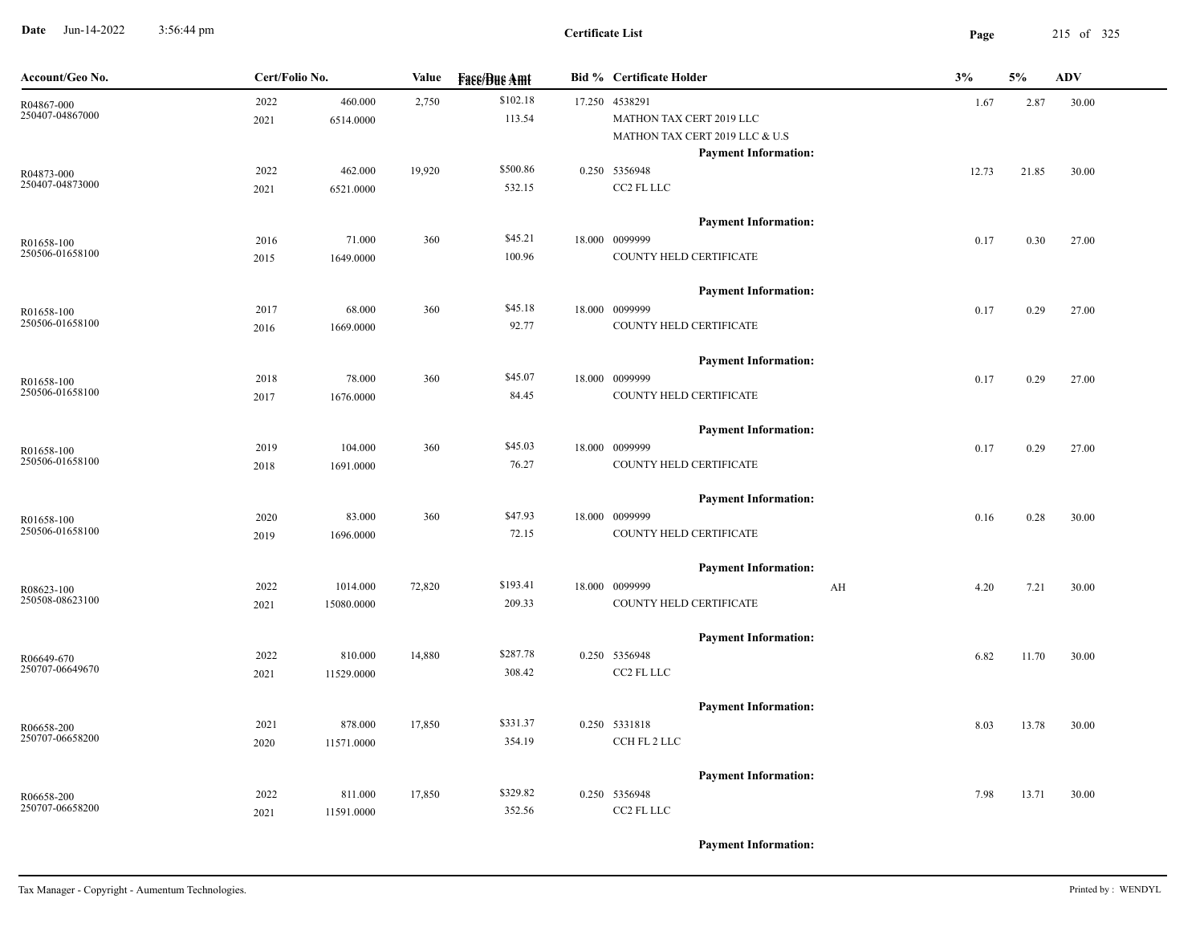**Date** Jun-14-2022 3:56:44 pm **Page** 215 of 325 3:56:44 pm

| Account/Geo No.               | Cert/Folio No. |                        | <b>Value</b> | <b>Fase/Bue Amt</b> | <b>Bid % Certificate Holder</b>                                                                             | 3%                              | 5%    | <b>ADV</b> |
|-------------------------------|----------------|------------------------|--------------|---------------------|-------------------------------------------------------------------------------------------------------------|---------------------------------|-------|------------|
| R04867-000<br>250407-04867000 | 2022<br>2021   | 460.000<br>6514.0000   | 2,750        | \$102.18<br>113.54  | 17.250 4538291<br>MATHON TAX CERT 2019 LLC<br>MATHON TAX CERT 2019 LLC & U.S<br><b>Payment Information:</b> | 1.67                            | 2.87  | 30.00      |
| R04873-000<br>250407-04873000 | 2022<br>2021   | 462.000<br>6521.0000   | 19,920       | \$500.86<br>532.15  | 0.250 5356948<br>CC2 FL LLC                                                                                 | 12.73                           | 21.85 | 30.00      |
| R01658-100<br>250506-01658100 | 2016<br>2015   | 71.000<br>1649.0000    | 360          | \$45.21<br>100.96   | <b>Payment Information:</b><br>18.000 0099999<br>COUNTY HELD CERTIFICATE                                    | 0.17                            | 0.30  | 27.00      |
| R01658-100<br>250506-01658100 | 2017<br>2016   | 68.000<br>1669.0000    | 360          | \$45.18<br>92.77    | <b>Payment Information:</b><br>18.000 0099999<br>COUNTY HELD CERTIFICATE                                    | 0.17                            | 0.29  | 27.00      |
| R01658-100<br>250506-01658100 | 2018<br>2017   | 78.000<br>1676.0000    | 360          | \$45.07<br>84.45    | <b>Payment Information:</b><br>18.000 0099999<br>COUNTY HELD CERTIFICATE                                    | 0.17                            | 0.29  | 27.00      |
| R01658-100<br>250506-01658100 | 2019<br>2018   | 104.000<br>1691.0000   | 360          | \$45.03<br>76.27    | <b>Payment Information:</b><br>18.000 0099999<br>COUNTY HELD CERTIFICATE                                    | 0.17                            | 0.29  | 27.00      |
| R01658-100<br>250506-01658100 | 2020<br>2019   | 83.000<br>1696.0000    | 360          | \$47.93<br>72.15    | <b>Payment Information:</b><br>18.000 0099999<br>COUNTY HELD CERTIFICATE                                    | 0.16                            | 0.28  | 30.00      |
| R08623-100<br>250508-08623100 | 2022<br>2021   | 1014.000<br>15080.0000 | 72,820       | \$193.41<br>209.33  | <b>Payment Information:</b><br>18.000 0099999<br>COUNTY HELD CERTIFICATE                                    | $\mathbf{A} \mathbf{H}$<br>4.20 | 7.21  | 30.00      |
| R06649-670<br>250707-06649670 | 2022<br>2021   | 810.000<br>11529.0000  | 14,880       | \$287.78<br>308.42  | <b>Payment Information:</b><br>0.250 5356948<br>CC2 FL LLC                                                  | 6.82                            | 11.70 | 30.00      |
| R06658-200<br>250707-06658200 | 2021<br>2020   | 878.000<br>11571.0000  | 17,850       | \$331.37<br>354.19  | <b>Payment Information:</b><br>0.250 5331818<br>CCH FL 2 LLC                                                | 8.03                            | 13.78 | 30.00      |
| R06658-200<br>250707-06658200 | 2022<br>2021   | 811.000<br>11591.0000  | 17,850       | \$329.82<br>352.56  | <b>Payment Information:</b><br>0.250 5356948<br>CC2 FL LLC                                                  | 7.98                            | 13.71 | 30.00      |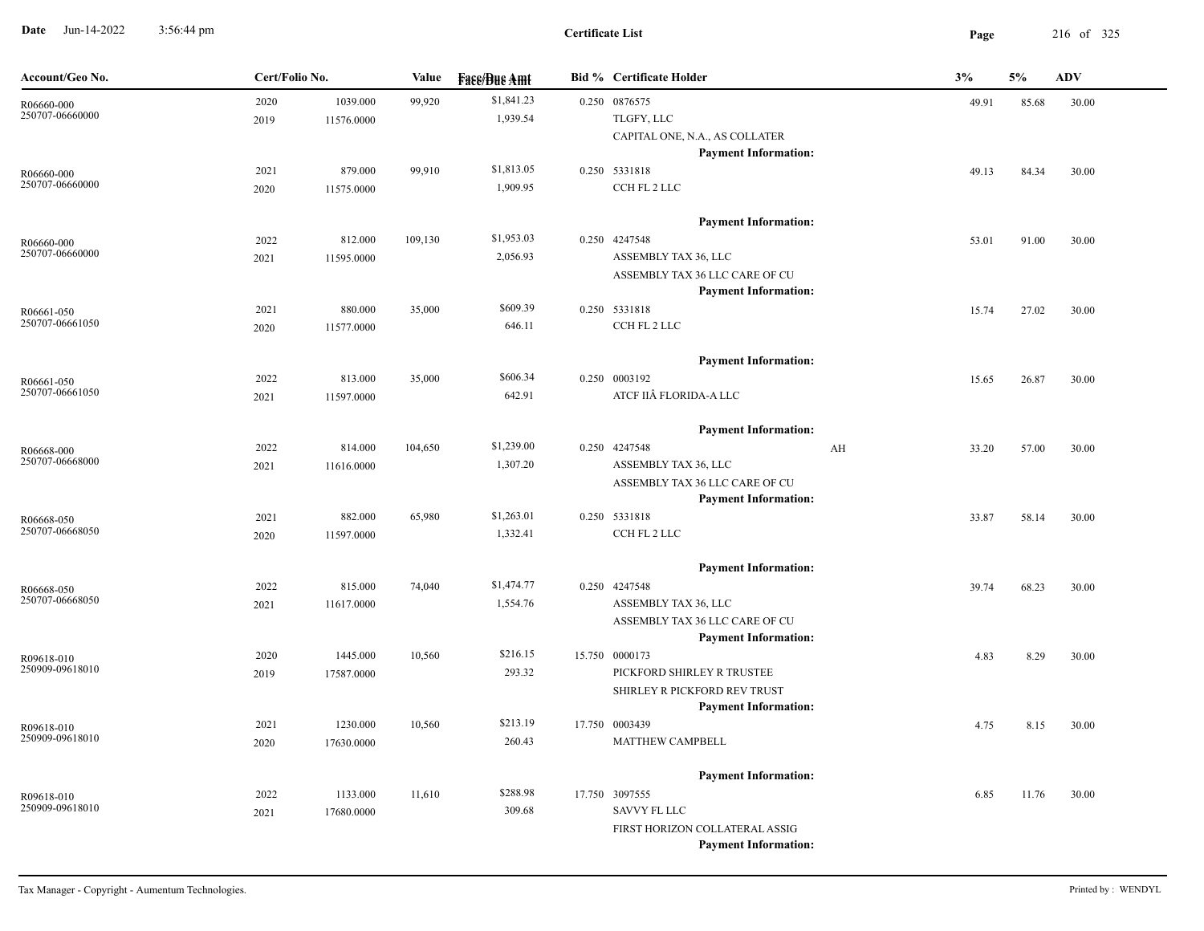**Date** Jun-14-2022 3:56:44 pm **Page** 216 of 325 3:56:44 pm

| Account/Geo No.               | Cert/Folio No.     | Value              | <b>Fase/Bue Amt</b> | <b>Bid % Certificate Holder</b>    |    | 3%    | 5%    | <b>ADV</b> |
|-------------------------------|--------------------|--------------------|---------------------|------------------------------------|----|-------|-------|------------|
| R06660-000                    | 2020               | 1039.000<br>99,920 | \$1,841.23          | 0.250 0876575                      |    | 49.91 | 85.68 | 30.00      |
| 250707-06660000               | 11576.0000<br>2019 |                    | 1,939.54            | TLGFY, LLC                         |    |       |       |            |
|                               |                    |                    |                     | CAPITAL ONE, N.A., AS COLLATER     |    |       |       |            |
|                               |                    |                    |                     | <b>Payment Information:</b>        |    |       |       |            |
| R06660-000<br>250707-06660000 | 2021               | 879.000<br>99,910  | \$1,813.05          | 0.250 5331818                      |    | 49.13 | 84.34 | 30.00      |
|                               | 2020<br>11575.0000 |                    | 1,909.95            | CCH FL 2 LLC                       |    |       |       |            |
|                               |                    |                    |                     | <b>Payment Information:</b>        |    |       |       |            |
| R06660-000                    | 2022               | 812.000<br>109,130 | \$1,953.03          | 0.250 4247548                      |    | 53.01 | 91.00 | 30.00      |
| 250707-06660000               | 2021<br>11595.0000 |                    | 2,056.93            | ASSEMBLY TAX 36, LLC               |    |       |       |            |
|                               |                    |                    |                     | ASSEMBLY TAX 36 LLC CARE OF CU     |    |       |       |            |
|                               |                    |                    |                     | <b>Payment Information:</b>        |    |       |       |            |
| R06661-050                    | 2021               | 880.000<br>35,000  | \$609.39            | 0.250 5331818                      |    | 15.74 | 27.02 | 30.00      |
| 250707-06661050               | 11577.0000<br>2020 |                    | 646.11              | CCH FL 2 LLC                       |    |       |       |            |
|                               |                    |                    |                     | <b>Payment Information:</b>        |    |       |       |            |
|                               | 2022               | 813.000<br>35,000  | \$606.34            | 0.250 0003192                      |    | 15.65 | 26.87 | 30.00      |
| R06661-050<br>250707-06661050 | 2021<br>11597.0000 |                    | 642.91              | ATCF IIÂ FLORIDA-A LLC             |    |       |       |            |
|                               |                    |                    |                     |                                    |    |       |       |            |
|                               |                    |                    |                     | <b>Payment Information:</b>        |    |       |       |            |
| R06668-000                    | 2022               | 814.000<br>104,650 | \$1,239.00          | 0.250 4247548                      | AH | 33.20 | 57.00 | 30.00      |
| 250707-06668000               | 2021<br>11616.0000 |                    | 1,307.20            | ASSEMBLY TAX 36, LLC               |    |       |       |            |
|                               |                    |                    |                     | ASSEMBLY TAX 36 LLC CARE OF CU     |    |       |       |            |
|                               |                    |                    | \$1,263.01          | <b>Payment Information:</b>        |    |       |       |            |
| R06668-050<br>250707-06668050 | 2021               | 882.000<br>65,980  |                     | 0.250 5331818                      |    | 33.87 | 58.14 | 30.00      |
|                               | 2020<br>11597.0000 |                    | 1,332.41            | CCH FL 2 LLC                       |    |       |       |            |
|                               |                    |                    |                     | <b>Payment Information:</b>        |    |       |       |            |
| R06668-050                    | 2022               | 815.000<br>74,040  | \$1,474.77          | 0.250 4247548                      |    | 39.74 | 68.23 | 30.00      |
| 250707-06668050               | 11617.0000<br>2021 |                    | 1,554.76            | ASSEMBLY TAX 36, LLC               |    |       |       |            |
|                               |                    |                    |                     | ASSEMBLY TAX 36 LLC CARE OF CU     |    |       |       |            |
|                               |                    |                    |                     | <b>Payment Information:</b>        |    |       |       |            |
| R09618-010                    | 2020               | 1445.000<br>10,560 | \$216.15            | 15.750 0000173                     |    | 4.83  | 8.29  | 30.00      |
| 250909-09618010               | 17587.0000<br>2019 |                    | 293.32              | PICKFORD SHIRLEY R TRUSTEE         |    |       |       |            |
|                               |                    |                    |                     | SHIRLEY R PICKFORD REV TRUST       |    |       |       |            |
|                               |                    |                    | \$213.19            | <b>Payment Information:</b>        |    |       |       |            |
| R09618-010<br>250909-09618010 | 2021               | 1230.000<br>10,560 |                     | 17.750 0003439<br>MATTHEW CAMPBELL |    | 4.75  | 8.15  | 30.00      |
|                               | 2020<br>17630.0000 |                    | 260.43              |                                    |    |       |       |            |
|                               |                    |                    |                     | <b>Payment Information:</b>        |    |       |       |            |
| R09618-010                    | 2022               | 1133.000<br>11,610 | \$288.98            | 17.750 3097555                     |    | 6.85  | 11.76 | 30.00      |
| 250909-09618010               | 2021<br>17680.0000 |                    | 309.68              | SAVVY FL LLC                       |    |       |       |            |
|                               |                    |                    |                     | FIRST HORIZON COLLATERAL ASSIG     |    |       |       |            |
|                               |                    |                    |                     | <b>Payment Information:</b>        |    |       |       |            |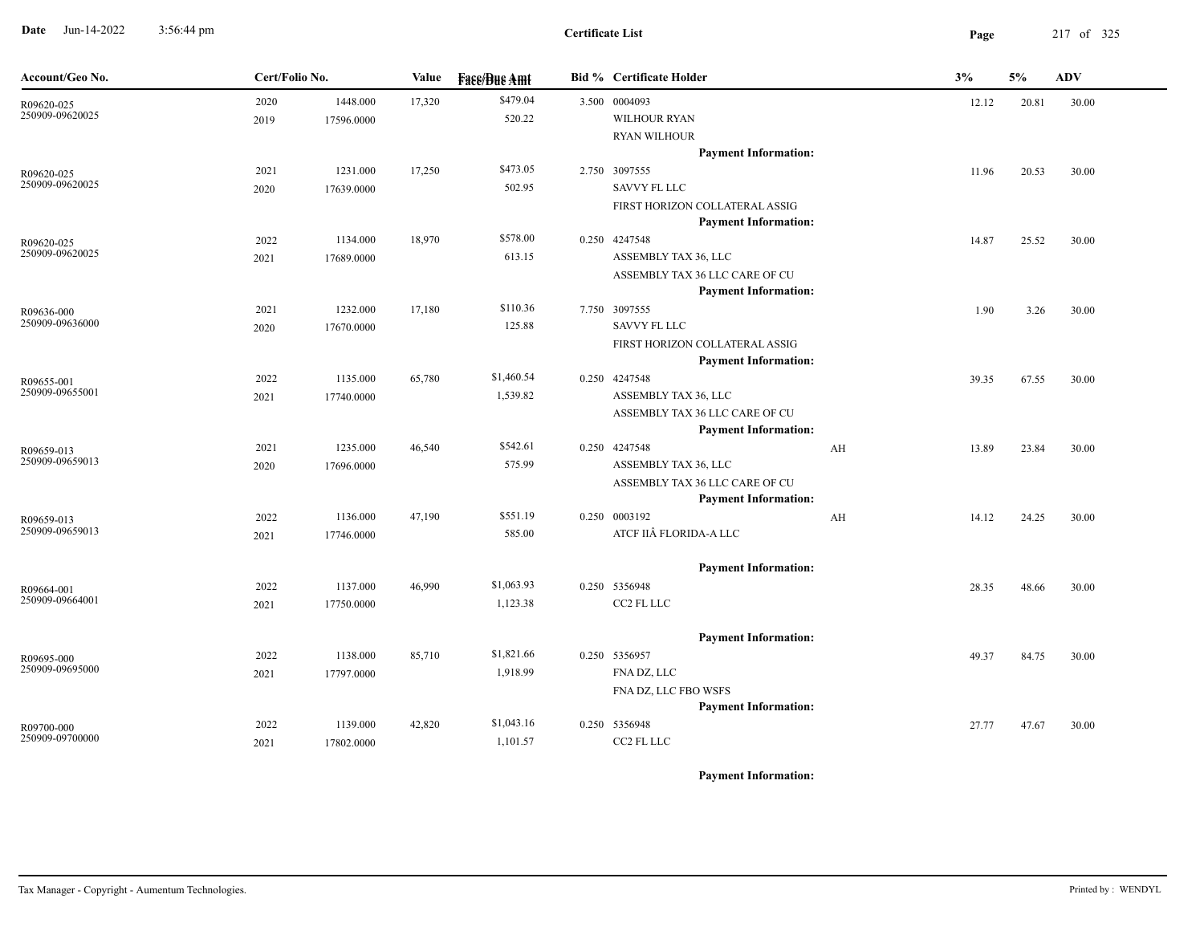**Date** Jun-14-2022 3:56:44 pm **Page** 217 of 325 3:56:44 pm

| Account/Geo No.               | Cert/Folio No. |            | Value  | <b>Face/Bue Amt</b> | <b>Bid % Certificate Holder</b>                               |    | 3%    | 5%    | ADV   |
|-------------------------------|----------------|------------|--------|---------------------|---------------------------------------------------------------|----|-------|-------|-------|
| R09620-025                    | 2020           | 1448.000   | 17,320 | \$479.04            | 3.500 0004093                                                 |    | 12.12 | 20.81 | 30.00 |
| 250909-09620025               | 2019           | 17596.0000 |        | 520.22              | <b>WILHOUR RYAN</b>                                           |    |       |       |       |
|                               |                |            |        |                     | <b>RYAN WILHOUR</b>                                           |    |       |       |       |
|                               |                |            |        |                     | <b>Payment Information:</b>                                   |    |       |       |       |
| R09620-025<br>250909-09620025 | 2021           | 1231.000   | 17,250 | \$473.05            | 2.750 3097555                                                 |    | 11.96 | 20.53 | 30.00 |
|                               | 2020           | 17639.0000 |        | 502.95              | <b>SAVVY FL LLC</b>                                           |    |       |       |       |
|                               |                |            |        |                     | FIRST HORIZON COLLATERAL ASSIG                                |    |       |       |       |
|                               |                |            |        | \$578.00            | <b>Payment Information:</b>                                   |    |       |       |       |
| R09620-025<br>250909-09620025 | 2022           | 1134.000   | 18,970 |                     | 0.250 4247548                                                 |    | 14.87 | 25.52 | 30.00 |
|                               | 2021           | 17689.0000 |        | 613.15              | ASSEMBLY TAX 36, LLC                                          |    |       |       |       |
|                               |                |            |        |                     | ASSEMBLY TAX 36 LLC CARE OF CU<br><b>Payment Information:</b> |    |       |       |       |
|                               | 2021           | 1232.000   | 17,180 | \$110.36            | 7.750 3097555                                                 |    | 1.90  | 3.26  | 30.00 |
| R09636-000<br>250909-09636000 | 2020           | 17670.0000 |        | 125.88              | <b>SAVVY FL LLC</b>                                           |    |       |       |       |
|                               |                |            |        |                     | FIRST HORIZON COLLATERAL ASSIG                                |    |       |       |       |
|                               |                |            |        |                     | <b>Payment Information:</b>                                   |    |       |       |       |
| R09655-001                    | 2022           | 1135.000   | 65,780 | \$1,460.54          | 0.250 4247548                                                 |    | 39.35 | 67.55 | 30.00 |
| 250909-09655001               | 2021           | 17740.0000 |        | 1,539.82            | ASSEMBLY TAX 36, LLC                                          |    |       |       |       |
|                               |                |            |        |                     | ASSEMBLY TAX 36 LLC CARE OF CU                                |    |       |       |       |
|                               |                |            |        |                     | <b>Payment Information:</b>                                   |    |       |       |       |
| R09659-013                    | 2021           | 1235.000   | 46,540 | \$542.61            | 0.250 4247548                                                 | AH | 13.89 | 23.84 | 30.00 |
| 250909-09659013               | 2020           | 17696.0000 |        | 575.99              | ASSEMBLY TAX 36, LLC                                          |    |       |       |       |
|                               |                |            |        |                     | ASSEMBLY TAX 36 LLC CARE OF CU                                |    |       |       |       |
|                               |                |            |        |                     | <b>Payment Information:</b>                                   |    |       |       |       |
| R09659-013                    | 2022           | 1136.000   | 47,190 | \$551.19            | 0.250 0003192                                                 | AH | 14.12 | 24.25 | 30.00 |
| 250909-09659013               | 2021           | 17746.0000 |        | 585.00              | ATCF IIÂ FLORIDA-A LLC                                        |    |       |       |       |
|                               |                |            |        |                     | <b>Payment Information:</b>                                   |    |       |       |       |
| R09664-001                    | 2022           | 1137.000   | 46,990 | \$1,063.93          | 0.250 5356948                                                 |    | 28.35 | 48.66 | 30.00 |
| 250909-09664001               | 2021           | 17750.0000 |        | 1,123.38            | CC2 FL LLC                                                    |    |       |       |       |
|                               |                |            |        |                     | <b>Payment Information:</b>                                   |    |       |       |       |
| R09695-000                    | 2022           | 1138.000   | 85,710 | \$1,821.66          | 0.250 5356957                                                 |    | 49.37 | 84.75 | 30.00 |
| 250909-09695000               | 2021           | 17797.0000 |        | 1,918.99            | FNA DZ, LLC                                                   |    |       |       |       |
|                               |                |            |        |                     | FNA DZ, LLC FBO WSFS                                          |    |       |       |       |
|                               |                |            |        |                     | <b>Payment Information:</b>                                   |    |       |       |       |
| R09700-000                    | 2022           | 1139.000   | 42,820 | \$1,043.16          | 0.250 5356948                                                 |    | 27.77 | 47.67 | 30.00 |
| 250909-09700000               | 2021           | 17802.0000 |        | 1,101.57            | CC2 FL LLC                                                    |    |       |       |       |
|                               |                |            |        |                     |                                                               |    |       |       |       |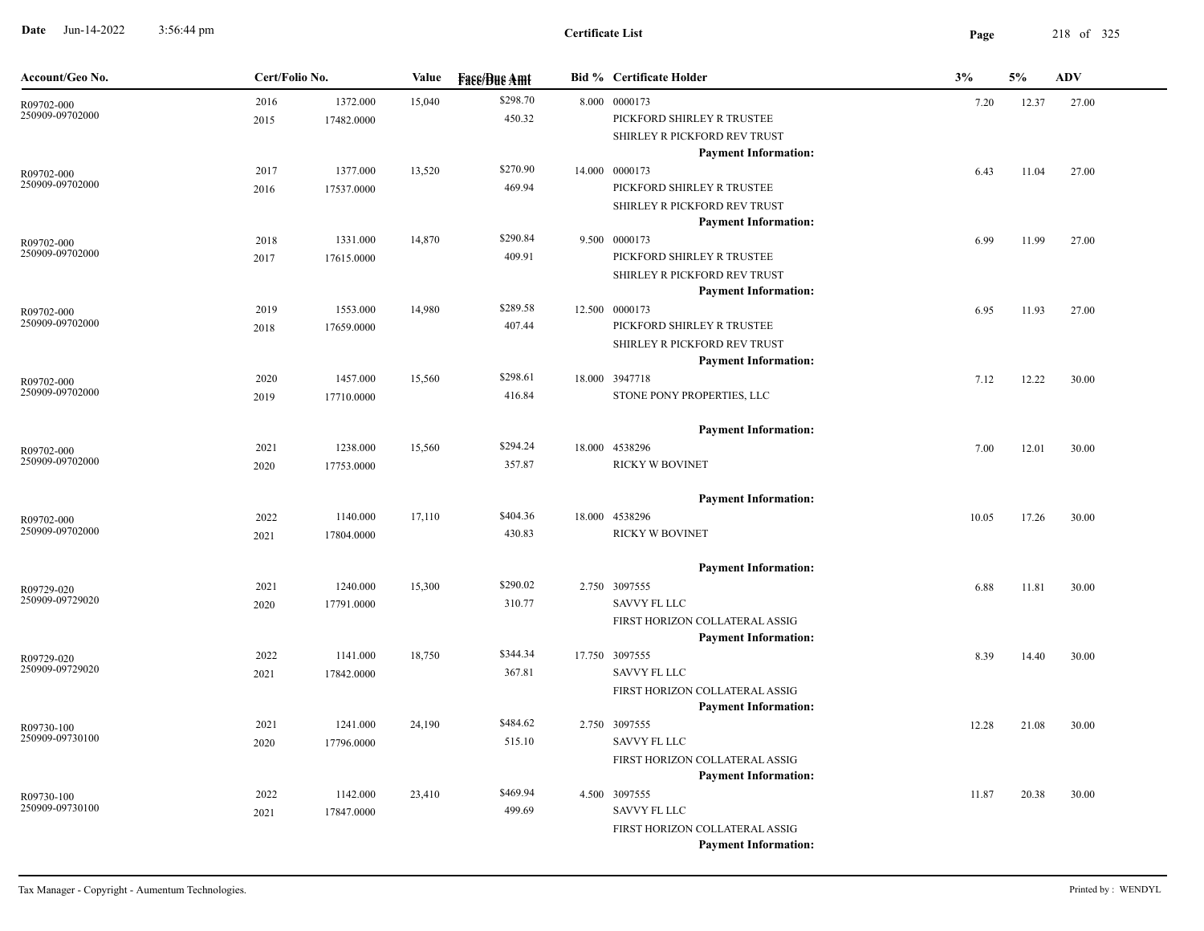**Date** Jun-14-2022 3:56:44 pm **Page** 218 of 325 3:56:44 pm

| Account/Geo No.               | Cert/Folio No. |            | Value  | <b>Face/Bue Amt</b> | <b>Bid % Certificate Holder</b> | 3%    | 5%    | <b>ADV</b> |
|-------------------------------|----------------|------------|--------|---------------------|---------------------------------|-------|-------|------------|
| R09702-000                    | 2016           | 1372.000   | 15,040 | \$298.70            | 8.000 0000173                   | 7.20  | 12.37 | 27.00      |
| 250909-09702000               | 2015           | 17482.0000 |        | 450.32              | PICKFORD SHIRLEY R TRUSTEE      |       |       |            |
|                               |                |            |        |                     | SHIRLEY R PICKFORD REV TRUST    |       |       |            |
|                               |                |            |        |                     | <b>Payment Information:</b>     |       |       |            |
| R09702-000                    | 2017           | 1377.000   | 13,520 | \$270.90            | 14.000 0000173                  | 6.43  | 11.04 | 27.00      |
| 250909-09702000               | 2016           | 17537.0000 |        | 469.94              | PICKFORD SHIRLEY R TRUSTEE      |       |       |            |
|                               |                |            |        |                     | SHIRLEY R PICKFORD REV TRUST    |       |       |            |
|                               |                |            |        |                     | <b>Payment Information:</b>     |       |       |            |
| R09702-000                    | 2018           | 1331.000   | 14,870 | \$290.84            | 9.500 0000173                   | 6.99  | 11.99 | 27.00      |
| 250909-09702000               | 2017           | 17615.0000 |        | 409.91              | PICKFORD SHIRLEY R TRUSTEE      |       |       |            |
|                               |                |            |        |                     | SHIRLEY R PICKFORD REV TRUST    |       |       |            |
|                               |                |            |        |                     | <b>Payment Information:</b>     |       |       |            |
| R09702-000<br>250909-09702000 | 2019           | 1553.000   | 14,980 | \$289.58            | 12.500 0000173                  | 6.95  | 11.93 | 27.00      |
|                               | 2018           | 17659.0000 |        | 407.44              | PICKFORD SHIRLEY R TRUSTEE      |       |       |            |
|                               |                |            |        |                     | SHIRLEY R PICKFORD REV TRUST    |       |       |            |
|                               |                |            |        |                     | <b>Payment Information:</b>     |       |       |            |
| R09702-000<br>250909-09702000 | 2020           | 1457.000   | 15,560 | \$298.61            | 18.000 3947718                  | 7.12  | 12.22 | 30.00      |
|                               | 2019           | 17710.0000 |        | 416.84              | STONE PONY PROPERTIES, LLC      |       |       |            |
|                               |                |            |        |                     | <b>Payment Information:</b>     |       |       |            |
| R09702-000                    | 2021           | 1238.000   | 15,560 | \$294.24            | 18.000 4538296                  | 7.00  | 12.01 | 30.00      |
| 250909-09702000               | 2020           | 17753.0000 |        | 357.87              | RICKY W BOVINET                 |       |       |            |
|                               |                |            |        |                     | <b>Payment Information:</b>     |       |       |            |
| R09702-000                    | 2022           | 1140.000   | 17,110 | \$404.36            | 18.000 4538296                  | 10.05 | 17.26 | 30.00      |
| 250909-09702000               | 2021           | 17804.0000 |        | 430.83              | RICKY W BOVINET                 |       |       |            |
|                               |                |            |        |                     | <b>Payment Information:</b>     |       |       |            |
| R09729-020                    | 2021           | 1240.000   | 15,300 | \$290.02            | 2.750 3097555                   | 6.88  | 11.81 | 30.00      |
| 250909-09729020               | 2020           | 17791.0000 |        | 310.77              | SAVVY FL LLC                    |       |       |            |
|                               |                |            |        |                     | FIRST HORIZON COLLATERAL ASSIG  |       |       |            |
|                               |                |            |        |                     | <b>Payment Information:</b>     |       |       |            |
| R09729-020                    | 2022           | 1141.000   | 18,750 | \$344.34            | 17.750 3097555                  | 8.39  | 14.40 | 30.00      |
| 250909-09729020               | 2021           | 17842.0000 |        | 367.81              | <b>SAVVY FL LLC</b>             |       |       |            |
|                               |                |            |        |                     | FIRST HORIZON COLLATERAL ASSIG  |       |       |            |
|                               |                |            |        |                     | <b>Payment Information:</b>     |       |       |            |
| R09730-100                    | 2021           | 1241.000   | 24,190 | \$484.62            | 2.750 3097555                   | 12.28 | 21.08 | 30.00      |
| 250909-09730100               | 2020           | 17796.0000 |        | 515.10              | <b>SAVVY FL LLC</b>             |       |       |            |
|                               |                |            |        |                     | FIRST HORIZON COLLATERAL ASSIG  |       |       |            |
|                               |                |            |        |                     | <b>Payment Information:</b>     |       |       |            |
| R09730-100                    | 2022           | 1142.000   | 23,410 | \$469.94            | 4.500 3097555                   | 11.87 | 20.38 | 30.00      |
| 250909-09730100               | 2021           | 17847.0000 |        | 499.69              | <b>SAVVY FL LLC</b>             |       |       |            |
|                               |                |            |        |                     | FIRST HORIZON COLLATERAL ASSIG  |       |       |            |
|                               |                |            |        |                     | <b>Payment Information:</b>     |       |       |            |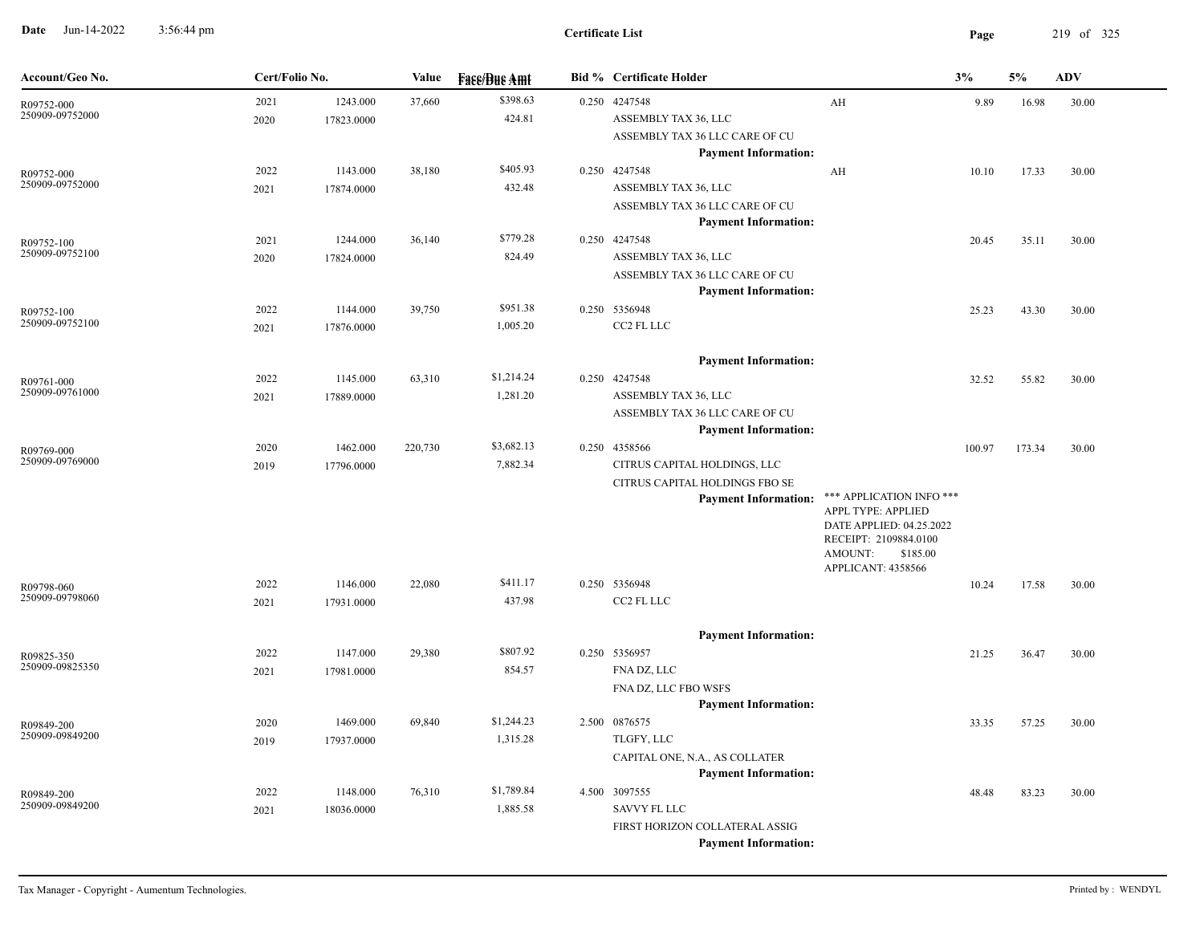**Date** Jun-14-2022 3:56:44 pm **Page** 219 of 325 3:56:44 pm

| Account/Geo No.               | Cert/Folio No. |            | <b>Value</b> | <b>Fase/Bue Amt</b> | <b>Bid % Certificate Holder</b>              |                                              | 3%     | 5%     | <b>ADV</b> |
|-------------------------------|----------------|------------|--------------|---------------------|----------------------------------------------|----------------------------------------------|--------|--------|------------|
| R09752-000                    | 2021           | 1243.000   | 37,660       | \$398.63            | 0.250 4247548                                | AH                                           | 9.89   | 16.98  | 30.00      |
| 250909-09752000               | 2020           | 17823.0000 |              | 424.81              | ASSEMBLY TAX 36, LLC                         |                                              |        |        |            |
|                               |                |            |              |                     | ASSEMBLY TAX 36 LLC CARE OF CU               |                                              |        |        |            |
|                               |                |            |              |                     | <b>Payment Information:</b>                  |                                              |        |        |            |
| R09752-000                    | 2022           | 1143.000   | 38,180       | \$405.93            | 0.250 4247548                                | AH                                           | 10.10  | 17.33  | 30.00      |
| 250909-09752000               | 2021           | 17874.0000 |              | 432.48              | ASSEMBLY TAX 36, LLC                         |                                              |        |        |            |
|                               |                |            |              |                     | ASSEMBLY TAX 36 LLC CARE OF CU               |                                              |        |        |            |
|                               |                |            |              |                     | <b>Payment Information:</b>                  |                                              |        |        |            |
| R09752-100                    | 2021           | 1244.000   | 36,140       | \$779.28            | 0.250 4247548                                |                                              | 20.45  | 35.11  | 30.00      |
| 250909-09752100               | 2020           | 17824.0000 |              | 824.49              | ASSEMBLY TAX 36, LLC                         |                                              |        |        |            |
|                               |                |            |              |                     | ASSEMBLY TAX 36 LLC CARE OF CU               |                                              |        |        |            |
|                               |                |            |              |                     | <b>Payment Information:</b>                  |                                              |        |        |            |
| R09752-100                    | 2022           | 1144.000   | 39,750       | \$951.38            | 0.250 5356948                                |                                              | 25.23  | 43.30  | 30.00      |
| 250909-09752100               | 2021           | 17876.0000 |              | 1,005.20            | CC2 FL LLC                                   |                                              |        |        |            |
|                               |                |            |              |                     |                                              |                                              |        |        |            |
|                               |                |            |              | \$1,214.24          | <b>Payment Information:</b>                  |                                              |        |        |            |
| R09761-000<br>250909-09761000 | 2022           | 1145.000   | 63,310       |                     | 0.250 4247548                                |                                              | 32.52  | 55.82  | 30.00      |
|                               | 2021           | 17889.0000 |              | 1,281.20            | ASSEMBLY TAX 36, LLC                         |                                              |        |        |            |
|                               |                |            |              |                     | ASSEMBLY TAX 36 LLC CARE OF CU               |                                              |        |        |            |
|                               |                | 1462.000   | 220,730      | \$3,682.13          | <b>Payment Information:</b><br>0.250 4358566 |                                              |        |        |            |
| R09769-000<br>250909-09769000 | 2020<br>2019   | 17796.0000 |              | 7,882.34            | CITRUS CAPITAL HOLDINGS, LLC                 |                                              | 100.97 | 173.34 | 30.00      |
|                               |                |            |              |                     | CITRUS CAPITAL HOLDINGS FBO SE               |                                              |        |        |            |
|                               |                |            |              |                     | <b>Payment Information:</b>                  | *** APPLICATION INFO ***                     |        |        |            |
|                               |                |            |              |                     |                                              | APPL TYPE: APPLIED                           |        |        |            |
|                               |                |            |              |                     |                                              | DATE APPLIED: 04.25.2022                     |        |        |            |
|                               |                |            |              |                     |                                              | RECEIPT: 2109884.0100<br>AMOUNT:<br>\$185.00 |        |        |            |
|                               |                |            |              |                     |                                              | APPLICANT: 4358566                           |        |        |            |
| R09798-060                    | 2022           | 1146.000   | 22,080       | \$411.17            | 0.250 5356948                                |                                              | 10.24  | 17.58  | 30.00      |
| 250909-09798060               | 2021           | 17931.0000 |              | 437.98              | CC2 FL LLC                                   |                                              |        |        |            |
|                               |                |            |              |                     |                                              |                                              |        |        |            |
|                               |                |            |              |                     | <b>Payment Information:</b>                  |                                              |        |        |            |
| R09825-350                    | 2022           | 1147.000   | 29,380       | \$807.92            | 0.250 5356957                                |                                              | 21.25  | 36.47  | 30.00      |
| 250909-09825350               | 2021           | 17981.0000 |              | 854.57              | FNA DZ, LLC                                  |                                              |        |        |            |
|                               |                |            |              |                     | FNA DZ, LLC FBO WSFS                         |                                              |        |        |            |
|                               |                |            |              |                     | <b>Payment Information:</b>                  |                                              |        |        |            |
| R09849-200                    | 2020           | 1469.000   | 69,840       | \$1,244.23          | 2.500 0876575                                |                                              | 33.35  | 57.25  | 30.00      |
| 250909-09849200               | 2019           | 17937.0000 |              | 1,315.28            | TLGFY, LLC                                   |                                              |        |        |            |
|                               |                |            |              |                     | CAPITAL ONE, N.A., AS COLLATER               |                                              |        |        |            |
|                               |                |            |              |                     | <b>Payment Information:</b>                  |                                              |        |        |            |
| R09849-200                    | 2022           | 1148.000   | 76,310       | \$1,789.84          | 4.500 3097555                                |                                              | 48.48  | 83.23  | 30.00      |
| 250909-09849200               | 2021           | 18036.0000 |              | 1,885.58            | <b>SAVVY FL LLC</b>                          |                                              |        |        |            |
|                               |                |            |              |                     | FIRST HORIZON COLLATERAL ASSIG               |                                              |        |        |            |
|                               |                |            |              |                     | <b>Payment Information:</b>                  |                                              |        |        |            |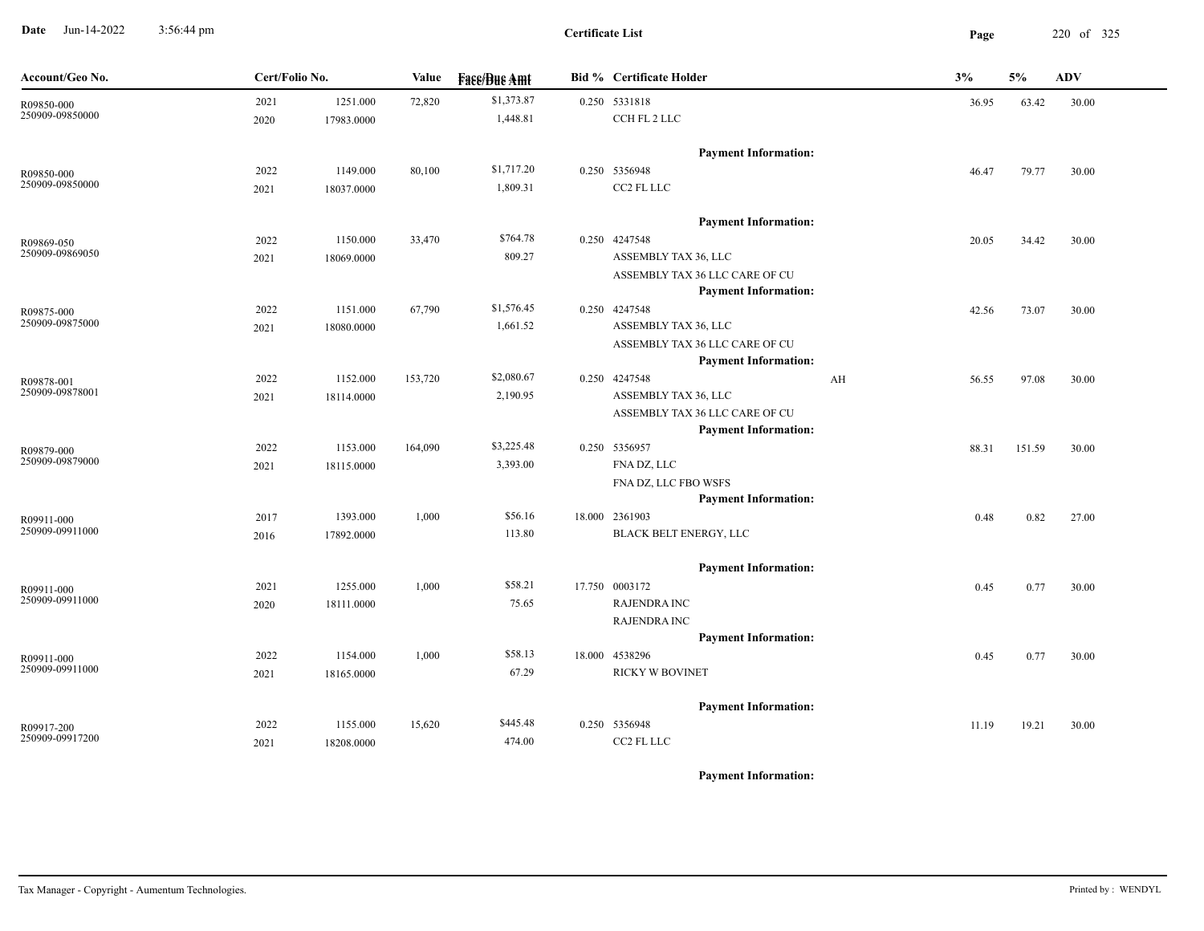**Date** Jun-14-2022 3:56:44 pm **Page** 220 of 325 3:56:44 pm

**Certificate List**

| Account/Geo No.               | Cert/Folio No. |            | Value   | <b>Fase/Bue Amt</b> | <b>Bid % Certificate Holder</b>                               |    | 3%    | 5%     | ADV   |
|-------------------------------|----------------|------------|---------|---------------------|---------------------------------------------------------------|----|-------|--------|-------|
| R09850-000                    | 2021           | 1251.000   | 72,820  | \$1,373.87          | 0.250 5331818                                                 |    | 36.95 | 63.42  | 30.00 |
| 250909-09850000               | 2020           | 17983.0000 |         | 1,448.81            | CCH FL 2 LLC                                                  |    |       |        |       |
|                               |                |            |         |                     | <b>Payment Information:</b>                                   |    |       |        |       |
| R09850-000                    | 2022           | 1149.000   | 80,100  | \$1,717.20          | 0.250 5356948                                                 |    | 46.47 | 79.77  | 30.00 |
| 250909-09850000               | 2021           | 18037.0000 |         | 1,809.31            | CC2 FL LLC                                                    |    |       |        |       |
|                               |                |            |         |                     | <b>Payment Information:</b>                                   |    |       |        |       |
| R09869-050                    | 2022           | 1150.000   | 33,470  | \$764.78            | 0.250 4247548                                                 |    | 20.05 | 34.42  | 30.00 |
| 250909-09869050               | 2021           | 18069.0000 |         | 809.27              | ASSEMBLY TAX 36, LLC                                          |    |       |        |       |
|                               |                |            |         |                     | ASSEMBLY TAX 36 LLC CARE OF CU                                |    |       |        |       |
|                               |                |            |         |                     | <b>Payment Information:</b>                                   |    |       |        |       |
| R09875-000                    | 2022           | 1151.000   | 67,790  | \$1,576.45          | 0.250 4247548                                                 |    | 42.56 | 73.07  | 30.00 |
| 250909-09875000               | 2021           | 18080.0000 |         | 1,661.52            | ASSEMBLY TAX 36, LLC                                          |    |       |        |       |
|                               |                |            |         |                     | ASSEMBLY TAX 36 LLC CARE OF CU                                |    |       |        |       |
|                               |                |            |         |                     | <b>Payment Information:</b>                                   |    |       |        |       |
| R09878-001<br>250909-09878001 | 2022           | 1152.000   | 153,720 | \$2,080.67          | 0.250 4247548                                                 | AH | 56.55 | 97.08  | 30.00 |
|                               | 2021           | 18114.0000 |         | 2,190.95            | ASSEMBLY TAX 36, LLC                                          |    |       |        |       |
|                               |                |            |         |                     | ASSEMBLY TAX 36 LLC CARE OF CU<br><b>Payment Information:</b> |    |       |        |       |
|                               |                | 1153.000   | 164,090 | \$3,225.48          | 0.250 5356957                                                 |    |       |        |       |
| R09879-000<br>250909-09879000 | 2022           | 18115.0000 |         | 3,393.00            | FNA DZ, LLC                                                   |    | 88.31 | 151.59 | 30.00 |
|                               | 2021           |            |         |                     | FNA DZ, LLC FBO WSFS                                          |    |       |        |       |
|                               |                |            |         |                     | <b>Payment Information:</b>                                   |    |       |        |       |
| R09911-000                    | 2017           | 1393.000   | 1,000   | \$56.16             | 18.000 2361903                                                |    | 0.48  | 0.82   | 27.00 |
| 250909-09911000               | 2016           | 17892.0000 |         | 113.80              | BLACK BELT ENERGY, LLC                                        |    |       |        |       |
|                               |                |            |         |                     | <b>Payment Information:</b>                                   |    |       |        |       |
| R09911-000                    | 2021           | 1255.000   | 1,000   | \$58.21             | 17.750 0003172                                                |    | 0.45  | 0.77   | 30.00 |
| 250909-09911000               | 2020           | 18111.0000 |         | 75.65               | <b>RAJENDRA INC</b>                                           |    |       |        |       |
|                               |                |            |         |                     | <b>RAJENDRA INC</b>                                           |    |       |        |       |
|                               |                |            |         |                     | <b>Payment Information:</b>                                   |    |       |        |       |
| R09911-000                    | 2022           | 1154.000   | 1,000   | \$58.13             | 18.000 4538296                                                |    | 0.45  | 0.77   | 30.00 |
| 250909-09911000               | 2021           | 18165.0000 |         | 67.29               | RICKY W BOVINET                                               |    |       |        |       |
|                               |                |            |         |                     | <b>Payment Information:</b>                                   |    |       |        |       |
| R09917-200                    | 2022           | 1155.000   | 15,620  | \$445.48            | 0.250 5356948                                                 |    | 11.19 | 19.21  | 30.00 |
| 250909-09917200               | 2021           | 18208.0000 |         | 474.00              | CC2 FL LLC                                                    |    |       |        |       |
|                               |                |            |         |                     |                                                               |    |       |        |       |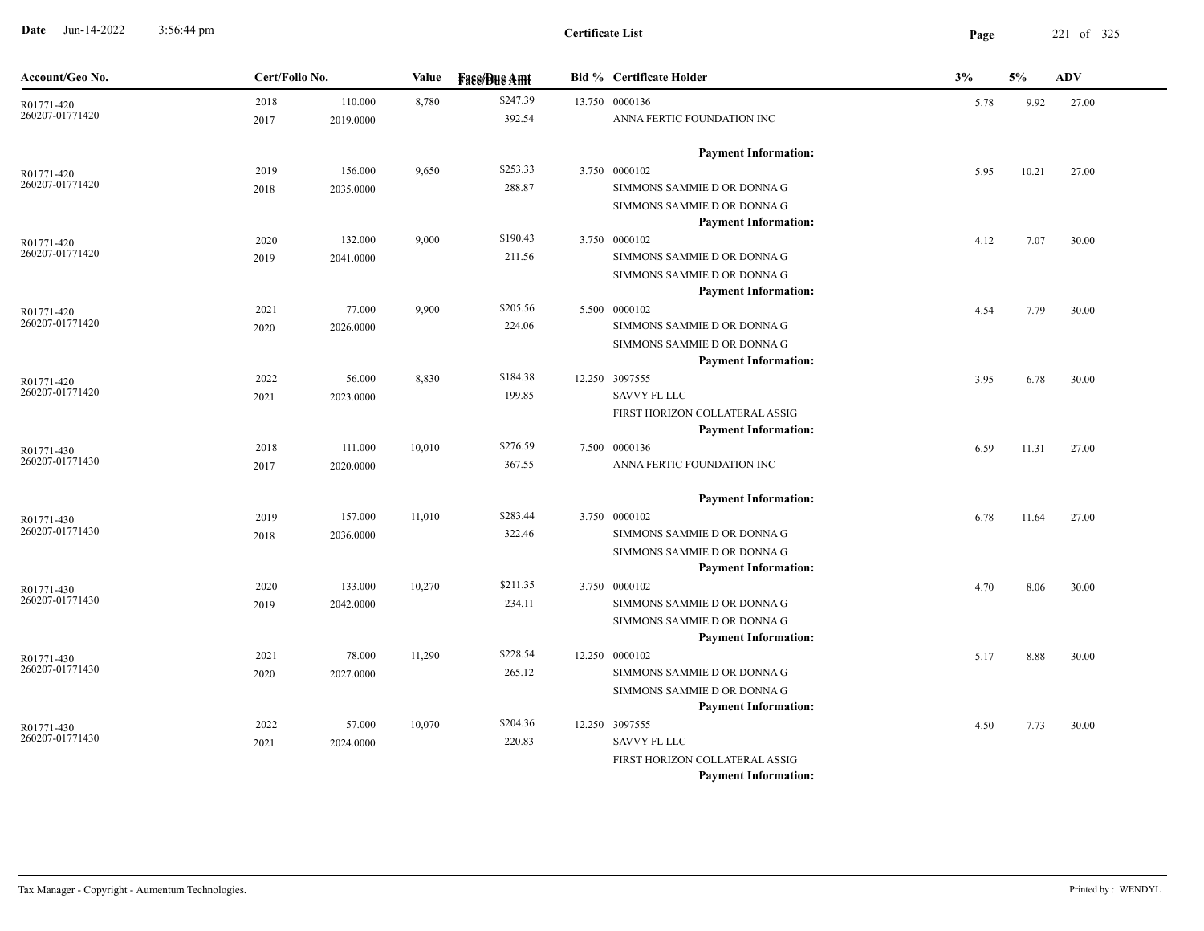**Date** Jun-14-2022 3:56:44 pm **Page** 221 of 325 3:56:44 pm

| Account/Geo No.               | Cert/Folio No. |           | Value  | <b>Fase/Bue Amt</b> | <b>Bid % Certificate Holder</b>                            | 3%   | 5%    | <b>ADV</b> |
|-------------------------------|----------------|-----------|--------|---------------------|------------------------------------------------------------|------|-------|------------|
| R01771-420                    | 2018           | 110.000   | 8,780  | \$247.39            | 13.750 0000136                                             | 5.78 | 9.92  | 27.00      |
| 260207-01771420               | 2017           | 2019.0000 |        | 392.54              | ANNA FERTIC FOUNDATION INC                                 |      |       |            |
|                               |                |           |        |                     | <b>Payment Information:</b>                                |      |       |            |
| R01771-420                    | 2019           | 156.000   | 9,650  | \$253.33            | 3.750 0000102                                              | 5.95 | 10.21 | 27.00      |
| 260207-01771420               | 2018           | 2035.0000 |        | 288.87              | SIMMONS SAMMIE D OR DONNA G                                |      |       |            |
|                               |                |           |        |                     | SIMMONS SAMMIE D OR DONNA G                                |      |       |            |
|                               |                |           |        |                     | <b>Payment Information:</b>                                |      |       |            |
| R01771-420                    | 2020           | 132.000   | 9,000  | \$190.43            | 3.750 0000102                                              | 4.12 | 7.07  | 30.00      |
| 260207-01771420               | 2019           | 2041.0000 |        | 211.56              | SIMMONS SAMMIE D OR DONNA G                                |      |       |            |
|                               |                |           |        |                     | SIMMONS SAMMIE D OR DONNA G                                |      |       |            |
|                               |                |           |        |                     | <b>Payment Information:</b>                                |      |       |            |
| R01771-420<br>260207-01771420 | 2021           | 77.000    | 9,900  | \$205.56            | 5.500 0000102                                              | 4.54 | 7.79  | 30.00      |
|                               | 2020           | 2026.0000 |        | 224.06              | SIMMONS SAMMIE D OR DONNA G<br>SIMMONS SAMMIE D OR DONNA G |      |       |            |
|                               |                |           |        |                     | <b>Payment Information:</b>                                |      |       |            |
|                               | 2022           | 56.000    | 8,830  | \$184.38            | 12.250 3097555                                             | 3.95 | 6.78  | 30.00      |
| R01771-420<br>260207-01771420 | 2021           | 2023.0000 |        | 199.85              | <b>SAVVY FL LLC</b>                                        |      |       |            |
|                               |                |           |        |                     | FIRST HORIZON COLLATERAL ASSIG                             |      |       |            |
|                               |                |           |        |                     | <b>Payment Information:</b>                                |      |       |            |
| R01771-430                    | 2018           | 111.000   | 10,010 | \$276.59            | 7.500 0000136                                              | 6.59 | 11.31 | 27.00      |
| 260207-01771430               | 2017           | 2020.0000 |        | 367.55              | ANNA FERTIC FOUNDATION INC                                 |      |       |            |
|                               |                |           |        |                     | <b>Payment Information:</b>                                |      |       |            |
| R01771-430                    | 2019           | 157.000   | 11,010 | \$283.44            | 3.750 0000102                                              | 6.78 | 11.64 | 27.00      |
| 260207-01771430               | 2018           | 2036.0000 |        | 322.46              | SIMMONS SAMMIE D OR DONNA G                                |      |       |            |
|                               |                |           |        |                     | SIMMONS SAMMIE D OR DONNA G                                |      |       |            |
|                               |                |           |        |                     | <b>Payment Information:</b>                                |      |       |            |
| R01771-430                    | 2020           | 133.000   | 10,270 | \$211.35            | 3.750 0000102                                              | 4.70 | 8.06  | 30.00      |
| 260207-01771430               | 2019           | 2042.0000 |        | 234.11              | SIMMONS SAMMIE D OR DONNA G                                |      |       |            |
|                               |                |           |        |                     | SIMMONS SAMMIE D OR DONNA G                                |      |       |            |
|                               |                |           |        |                     | <b>Payment Information:</b>                                |      |       |            |
| R01771-430                    | 2021           | 78.000    | 11,290 | \$228.54            | 12.250 0000102                                             | 5.17 | 8.88  | 30.00      |
| 260207-01771430               | 2020           | 2027.0000 |        | 265.12              | SIMMONS SAMMIE D OR DONNA G                                |      |       |            |
|                               |                |           |        |                     | SIMMONS SAMMIE D OR DONNA G                                |      |       |            |
|                               |                |           |        |                     | <b>Payment Information:</b>                                |      |       |            |
| R01771-430<br>260207-01771430 | 2022           | 57.000    | 10,070 | \$204.36            | 12.250 3097555<br><b>SAVVY FL LLC</b>                      | 4.50 | 7.73  | 30.00      |
|                               | 2021           | 2024.0000 |        | 220.83              | FIRST HORIZON COLLATERAL ASSIG                             |      |       |            |
|                               |                |           |        |                     | <b>Payment Information:</b>                                |      |       |            |
|                               |                |           |        |                     |                                                            |      |       |            |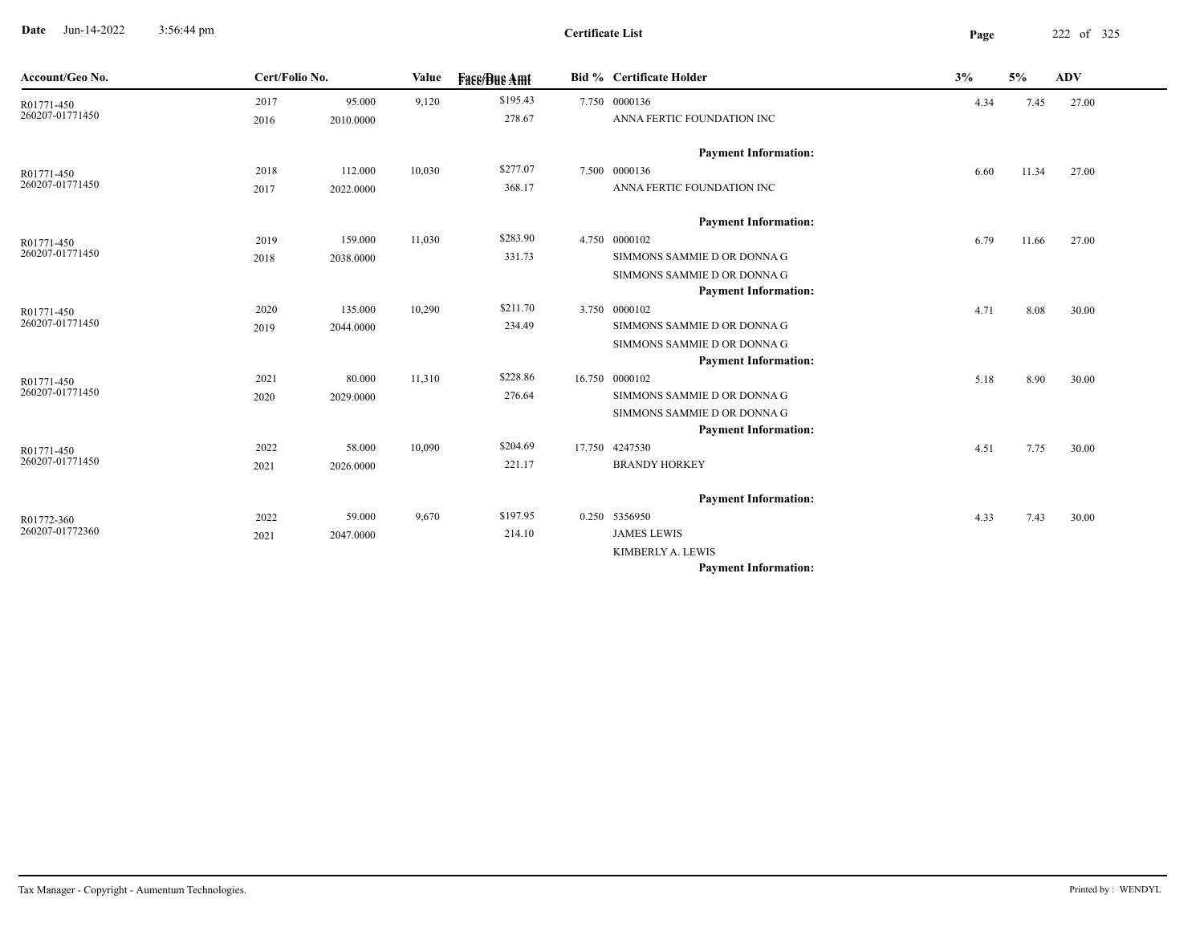**Date** Jun-14-2022 3:56:44 pm **Page** 222 of 325 3:56:44 pm

| Account/Geo No.               | Cert/Folio No. |           | Value  | <b>Face/Due Amt</b> | <b>Bid % Certificate Holder</b> | 3%   | 5%    | <b>ADV</b> |
|-------------------------------|----------------|-----------|--------|---------------------|---------------------------------|------|-------|------------|
| R01771-450                    | 2017           | 95.000    | 9,120  | \$195.43            | 7.750 0000136                   | 4.34 | 7.45  | 27.00      |
| 260207-01771450               | 2016           | 2010.0000 |        | 278.67              | ANNA FERTIC FOUNDATION INC      |      |       |            |
|                               |                |           |        |                     | <b>Payment Information:</b>     |      |       |            |
| R01771-450                    | 2018           | 112.000   | 10,030 | \$277.07            | 7.500 0000136                   | 6.60 | 11.34 | 27.00      |
| 260207-01771450               | 2017           | 2022.0000 |        | 368.17              | ANNA FERTIC FOUNDATION INC      |      |       |            |
|                               |                |           |        |                     | <b>Payment Information:</b>     |      |       |            |
| R01771-450                    | 2019           | 159.000   | 11,030 | \$283.90            | 4.750 0000102                   | 6.79 | 11.66 | 27.00      |
| 260207-01771450               | 2018           | 2038.0000 |        | 331.73              | SIMMONS SAMMIE D OR DONNA G     |      |       |            |
|                               |                |           |        |                     | SIMMONS SAMMIE D OR DONNA G     |      |       |            |
|                               |                |           |        |                     | <b>Payment Information:</b>     |      |       |            |
| R01771-450                    | 2020           | 135.000   | 10,290 | \$211.70            | 3.750 0000102                   | 4.71 | 8.08  | 30.00      |
| 260207-01771450               | 2019           | 2044.0000 |        | 234.49              | SIMMONS SAMMIE D OR DONNA G     |      |       |            |
|                               |                |           |        |                     | SIMMONS SAMMIE D OR DONNA G     |      |       |            |
|                               |                |           |        |                     | <b>Payment Information:</b>     |      |       |            |
| R01771-450                    | 2021           | 80.000    | 11,310 | \$228.86            | 16.750 0000102                  | 5.18 | 8.90  | 30.00      |
| 260207-01771450               | 2020           | 2029.0000 |        | 276.64              | SIMMONS SAMMIE D OR DONNA G     |      |       |            |
|                               |                |           |        |                     | SIMMONS SAMMIE D OR DONNA G     |      |       |            |
|                               |                |           |        |                     | <b>Payment Information:</b>     |      |       |            |
| R01771-450<br>260207-01771450 | 2022           | 58.000    | 10,090 | \$204.69            | 17.750 4247530                  | 4.51 | 7.75  | 30.00      |
|                               | 2021           | 2026.0000 |        | 221.17              | <b>BRANDY HORKEY</b>            |      |       |            |
|                               |                |           |        |                     | <b>Payment Information:</b>     |      |       |            |
| R01772-360                    | 2022           | 59.000    | 9,670  | \$197.95            | 0.250 5356950                   | 4.33 | 7.43  | 30.00      |
| 260207-01772360               | 2021           | 2047.0000 |        | 214.10              | <b>JAMES LEWIS</b>              |      |       |            |
|                               |                |           |        |                     | KIMBERLY A. LEWIS               |      |       |            |
|                               |                |           |        |                     | <b>Payment Information:</b>     |      |       |            |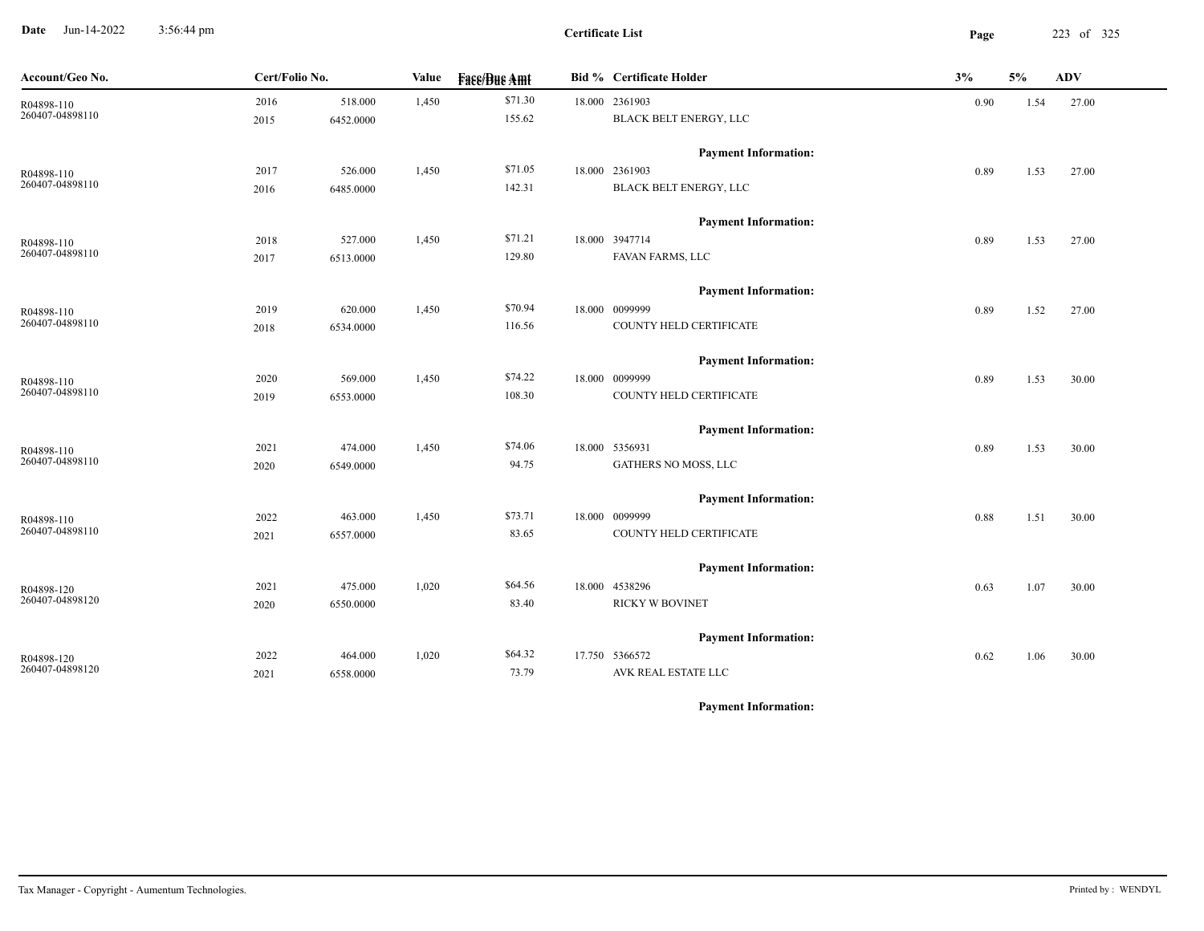**Date** Jun-14-2022 3:56:44 pm **Page** 223 of 325 3:56:44 pm

**Certificate List**

| Account/Geo No. | Cert/Folio No. |           | Value | <b>Face/Bue Amt</b> | <b>Bid % Certificate Holder</b> | 3%   | 5%   | <b>ADV</b> |
|-----------------|----------------|-----------|-------|---------------------|---------------------------------|------|------|------------|
| R04898-110      | 2016           | 518.000   | 1,450 | \$71.30             | 18.000 2361903                  | 0.90 | 1.54 | 27.00      |
| 260407-04898110 | 2015           | 6452.0000 |       | 155.62              | BLACK BELT ENERGY, LLC          |      |      |            |
|                 |                |           |       |                     | <b>Payment Information:</b>     |      |      |            |
| R04898-110      | 2017           | 526.000   | 1,450 | \$71.05             | 18.000 2361903                  | 0.89 | 1.53 | 27.00      |
| 260407-04898110 | 2016           | 6485.0000 |       | 142.31              | BLACK BELT ENERGY, LLC          |      |      |            |
|                 |                |           |       |                     | <b>Payment Information:</b>     |      |      |            |
| R04898-110      | 2018           | 527.000   | 1,450 | \$71.21             | 18.000 3947714                  | 0.89 | 1.53 | 27.00      |
| 260407-04898110 | 2017           | 6513.0000 |       | 129.80              | FAVAN FARMS, LLC                |      |      |            |
|                 |                |           |       |                     | <b>Payment Information:</b>     |      |      |            |
| R04898-110      | 2019           | 620.000   | 1,450 | \$70.94             | 18.000 0099999                  | 0.89 | 1.52 | 27.00      |
| 260407-04898110 | 2018           | 6534.0000 |       | 116.56              | COUNTY HELD CERTIFICATE         |      |      |            |
|                 |                |           |       |                     | <b>Payment Information:</b>     |      |      |            |
| R04898-110      | 2020           | 569.000   | 1,450 | \$74.22             | 18.000 0099999                  | 0.89 | 1.53 | 30.00      |
| 260407-04898110 | 2019           | 6553.0000 |       | 108.30              | COUNTY HELD CERTIFICATE         |      |      |            |
|                 |                |           |       |                     | <b>Payment Information:</b>     |      |      |            |
| R04898-110      | 2021           | 474.000   | 1,450 | \$74.06             | 18.000 5356931                  | 0.89 | 1.53 | 30.00      |
| 260407-04898110 | 2020           | 6549.0000 |       | 94.75               | GATHERS NO MOSS, LLC            |      |      |            |
|                 |                |           |       |                     | <b>Payment Information:</b>     |      |      |            |
| R04898-110      | 2022           | 463.000   | 1,450 | \$73.71             | 18.000 0099999                  | 0.88 | 1.51 | 30.00      |
| 260407-04898110 | 2021           | 6557.0000 |       | 83.65               | COUNTY HELD CERTIFICATE         |      |      |            |
|                 |                |           |       |                     | <b>Payment Information:</b>     |      |      |            |
| R04898-120      | 2021           | 475.000   | 1,020 | \$64.56             | 18.000 4538296                  | 0.63 | 1.07 | 30.00      |
| 260407-04898120 | 2020           | 6550.0000 |       | 83.40               | <b>RICKY W BOVINET</b>          |      |      |            |
|                 |                |           |       |                     | <b>Payment Information:</b>     |      |      |            |
| R04898-120      | 2022           | 464.000   | 1,020 | \$64.32             | 17.750 5366572                  | 0.62 | 1.06 | 30.00      |
| 260407-04898120 | 2021           | 6558.0000 |       | 73.79               | AVK REAL ESTATE LLC             |      |      |            |
|                 |                |           |       |                     |                                 |      |      |            |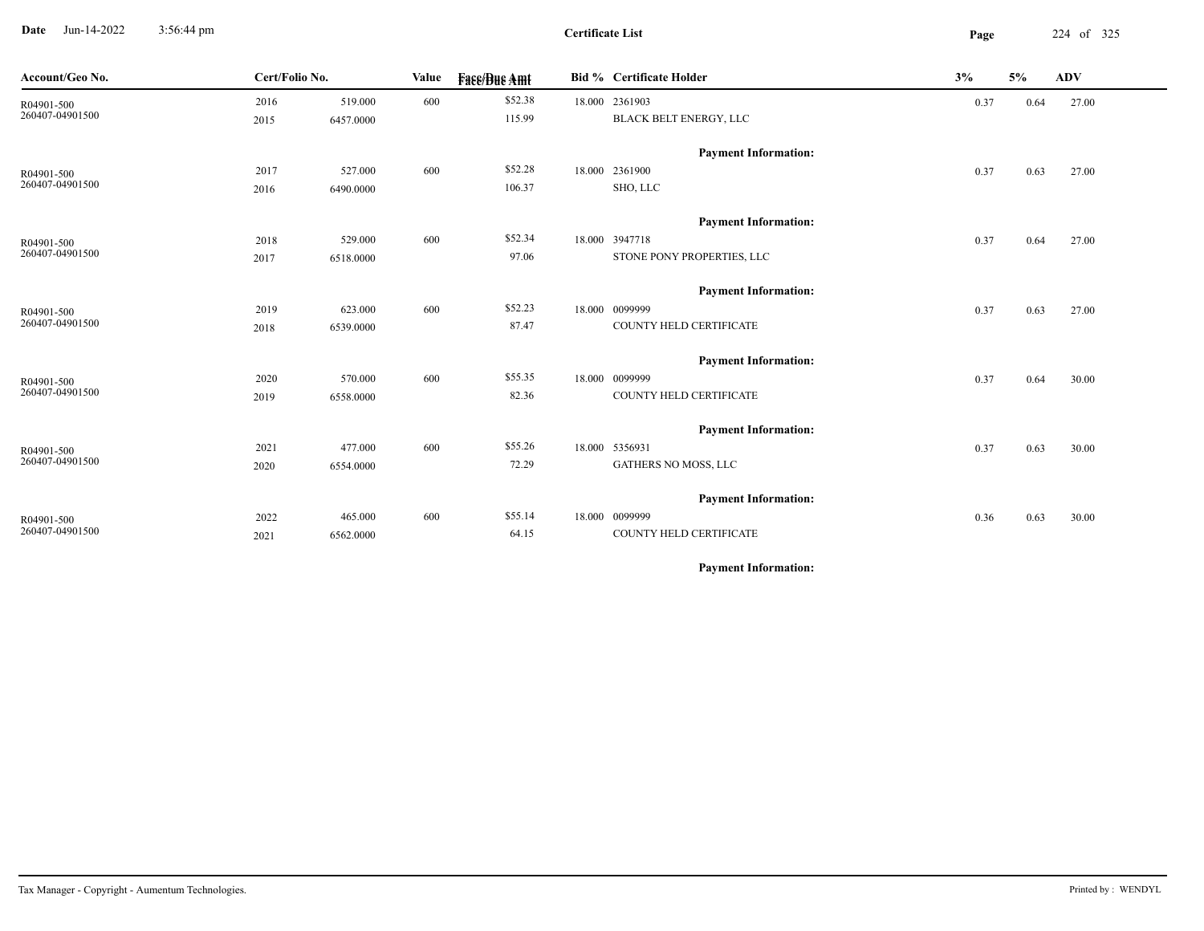**Date** Jun-14-2022 3:56:44 pm **Page** 224 of 325 3:56:44 pm

**Certificate List**

| Account/Geo No.               | Cert/Folio No. |           | Value | <b>Fass/Bus Amt</b> | <b>Bid % Certificate Holder</b>               | 3%   | 5%   | ADV   |
|-------------------------------|----------------|-----------|-------|---------------------|-----------------------------------------------|------|------|-------|
| R04901-500<br>260407-04901500 | 2016           | 519.000   | 600   | \$52.38             | 18.000 2361903                                | 0.37 | 0.64 | 27.00 |
|                               | 2015           | 6457.0000 |       | 115.99              | BLACK BELT ENERGY, LLC                        |      |      |       |
|                               |                |           |       |                     |                                               |      |      |       |
|                               | 2017           | 527.000   | 600   | \$52.28             | <b>Payment Information:</b><br>18.000 2361900 | 0.37 | 0.63 | 27.00 |
| R04901-500<br>260407-04901500 | 2016           | 6490.0000 |       | 106.37              | SHO, LLC                                      |      |      |       |
|                               |                |           |       |                     |                                               |      |      |       |
|                               |                |           |       |                     | <b>Payment Information:</b>                   |      |      |       |
| R04901-500                    | 2018           | 529.000   | 600   | \$52.34             | 18.000 3947718                                | 0.37 | 0.64 | 27.00 |
| 260407-04901500               | 2017           | 6518.0000 |       | 97.06               | STONE PONY PROPERTIES, LLC                    |      |      |       |
|                               |                |           |       |                     | <b>Payment Information:</b>                   |      |      |       |
| R04901-500                    | 2019           | 623.000   | 600   | \$52.23             | 18.000 0099999                                | 0.37 | 0.63 | 27.00 |
| 260407-04901500               | 2018           | 6539.0000 |       | 87.47               | COUNTY HELD CERTIFICATE                       |      |      |       |
|                               |                |           |       |                     |                                               |      |      |       |
|                               |                |           |       |                     | <b>Payment Information:</b>                   |      |      |       |
| R04901-500<br>260407-04901500 | 2020           | 570.000   | 600   | \$55.35             | 18.000 0099999                                | 0.37 | 0.64 | 30.00 |
|                               | 2019           | 6558.0000 |       | 82.36               | COUNTY HELD CERTIFICATE                       |      |      |       |
|                               |                |           |       |                     | <b>Payment Information:</b>                   |      |      |       |
| R04901-500                    | 2021           | 477.000   | 600   | \$55.26             | 18.000 5356931                                | 0.37 | 0.63 | 30.00 |
| 260407-04901500               | 2020           | 6554.0000 |       | 72.29               | GATHERS NO MOSS, LLC                          |      |      |       |
|                               |                |           |       |                     |                                               |      |      |       |
|                               |                |           |       |                     | <b>Payment Information:</b>                   |      |      |       |
| R04901-500<br>260407-04901500 | 2022           | 465.000   | 600   | \$55.14             | 18.000 0099999                                | 0.36 | 0.63 | 30.00 |
|                               | 2021           | 6562.0000 |       | 64.15               | COUNTY HELD CERTIFICATE                       |      |      |       |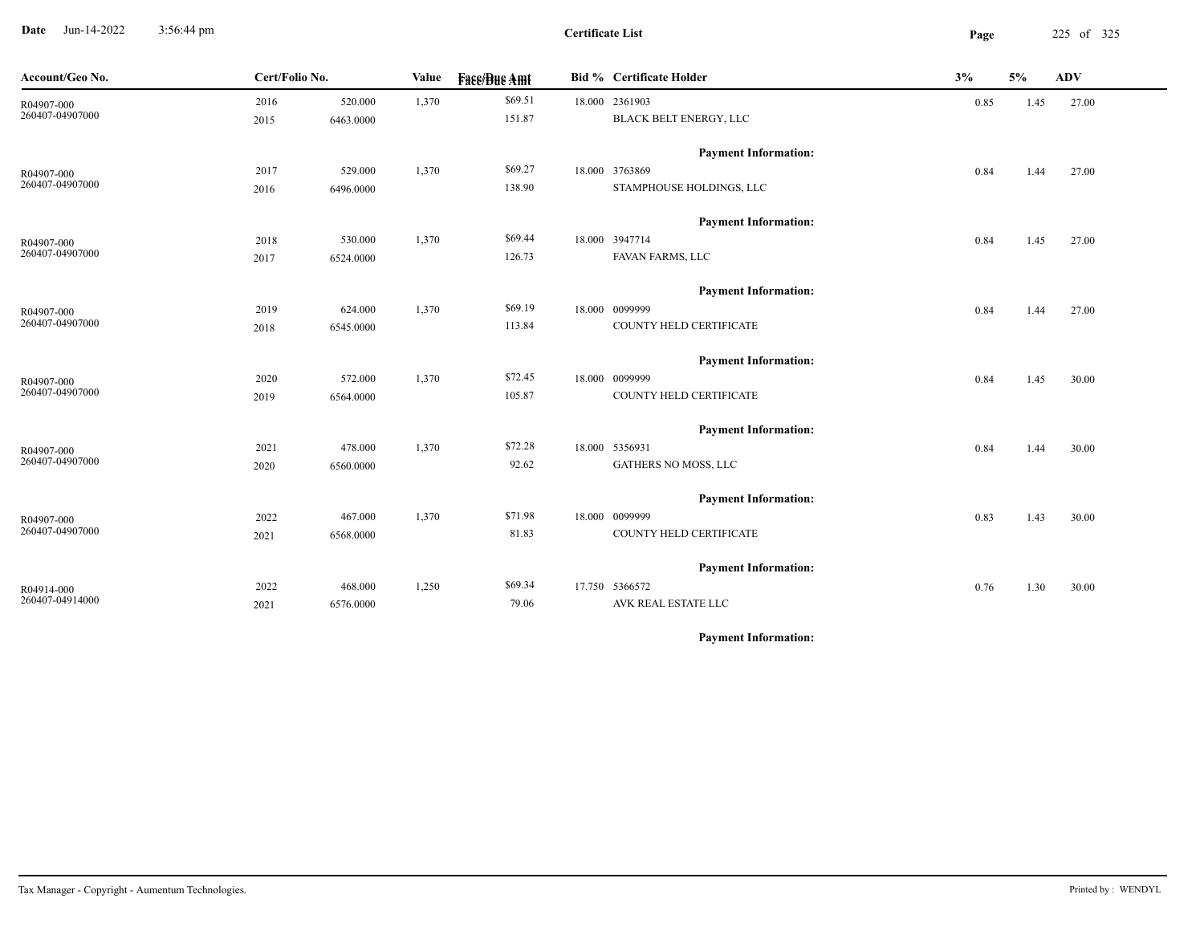**Date** Jun-14-2022 3:56:44 pm **Page** 225 of 325 3:56:44 pm

**Certificate List**

| Account/Geo No. | Cert/Folio No. |           | Value | <b>Face/Bue Amt</b> | <b>Bid % Certificate Holder</b> | 3%   | 5%   | <b>ADV</b> |  |
|-----------------|----------------|-----------|-------|---------------------|---------------------------------|------|------|------------|--|
| R04907-000      | 2016           | 520.000   | 1,370 | \$69.51             | 18.000 2361903                  | 0.85 | 1.45 | 27.00      |  |
| 260407-04907000 | 2015           | 6463.0000 |       | 151.87              | BLACK BELT ENERGY, LLC          |      |      |            |  |
|                 |                |           |       |                     | <b>Payment Information:</b>     |      |      |            |  |
| R04907-000      | 2017           | 529.000   | 1,370 | \$69.27             | 18.000 3763869                  | 0.84 | 1.44 | 27.00      |  |
| 260407-04907000 | 2016           | 6496.0000 |       | 138.90              | STAMPHOUSE HOLDINGS, LLC        |      |      |            |  |
|                 |                |           |       |                     | <b>Payment Information:</b>     |      |      |            |  |
| R04907-000      | 2018           | 530.000   | 1,370 | \$69.44             | 18.000 3947714                  | 0.84 | 1.45 | 27.00      |  |
| 260407-04907000 | 2017           | 6524.0000 |       | 126.73              | FAVAN FARMS, LLC                |      |      |            |  |
|                 |                |           |       |                     | <b>Payment Information:</b>     |      |      |            |  |
| R04907-000      | 2019           | 624.000   | 1,370 | \$69.19             | 18.000 0099999                  | 0.84 | 1.44 | 27.00      |  |
| 260407-04907000 | 2018           | 6545.0000 |       | 113.84              | COUNTY HELD CERTIFICATE         |      |      |            |  |
|                 |                |           |       |                     | <b>Payment Information:</b>     |      |      |            |  |
| R04907-000      | 2020           | 572.000   | 1,370 | \$72.45             | 18.000 0099999                  | 0.84 | 1.45 | 30.00      |  |
| 260407-04907000 | 2019           | 6564.0000 |       | 105.87              | COUNTY HELD CERTIFICATE         |      |      |            |  |
|                 |                |           |       |                     | <b>Payment Information:</b>     |      |      |            |  |
| R04907-000      | 2021           | 478.000   | 1,370 | \$72.28             | 18.000 5356931                  | 0.84 | 1.44 | 30.00      |  |
| 260407-04907000 | 2020           | 6560.0000 |       | 92.62               | GATHERS NO MOSS, LLC            |      |      |            |  |
|                 |                |           |       |                     | <b>Payment Information:</b>     |      |      |            |  |
| R04907-000      | 2022           | 467.000   | 1,370 | \$71.98             | 18.000 0099999                  | 0.83 | 1.43 | 30.00      |  |
| 260407-04907000 | 2021           | 6568.0000 |       | 81.83               | COUNTY HELD CERTIFICATE         |      |      |            |  |
|                 |                |           |       |                     | <b>Payment Information:</b>     |      |      |            |  |
| R04914-000      | 2022           | 468.000   | 1,250 | \$69.34             | 17.750 5366572                  | 0.76 | 1.30 | 30.00      |  |
| 260407-04914000 | 2021           | 6576.0000 |       | 79.06               | AVK REAL ESTATE LLC             |      |      |            |  |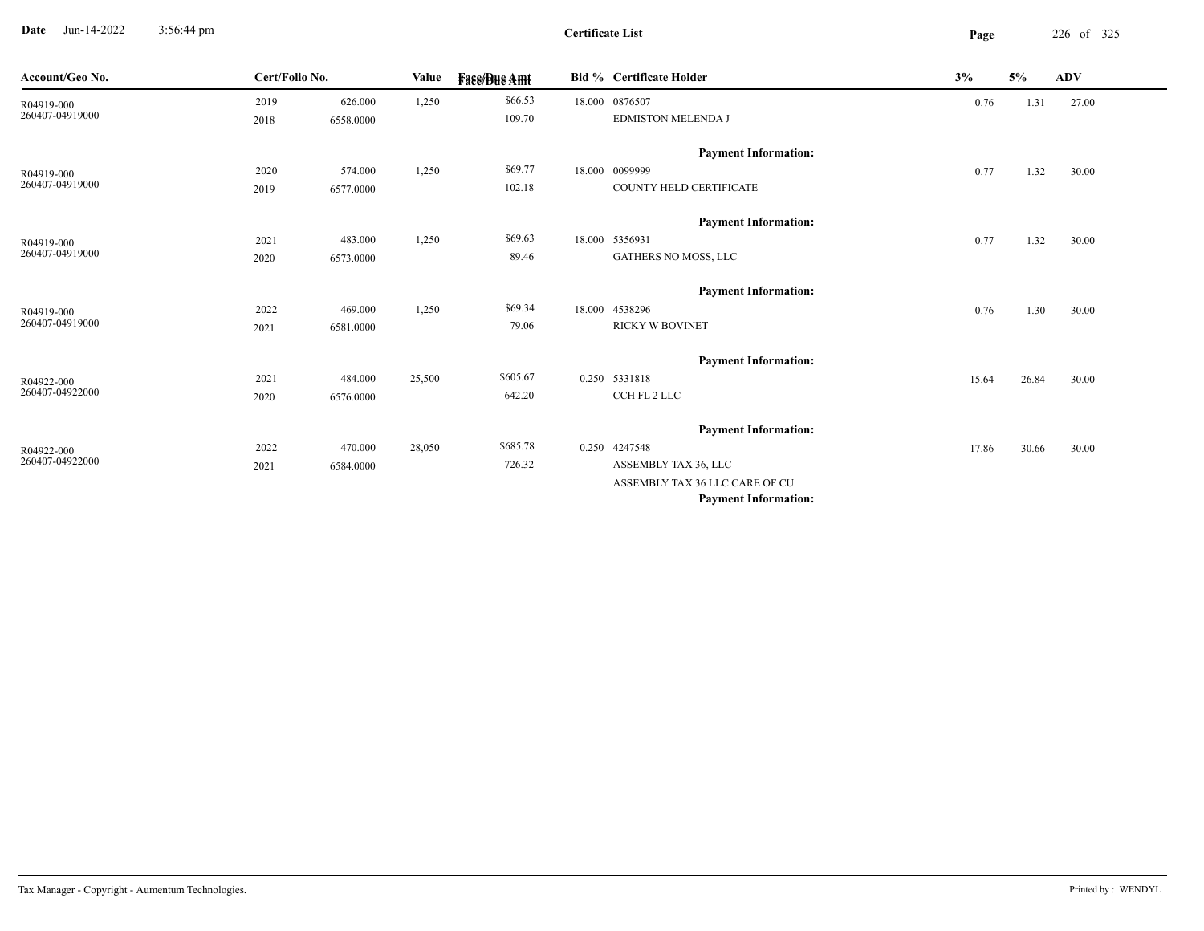**Date** Jun-14-2022 3:56:44 pm **Page** 226 of 325 3:56:44 pm

**Certificate List**

 $\overline{\phantom{a}}$ 

| Account/Geo No. | Cert/Folio No. |           | Value  | <b>Face/Bue Amt</b> | <b>Bid % Certificate Holder</b> | 3%    | 5%    | <b>ADV</b> |  |
|-----------------|----------------|-----------|--------|---------------------|---------------------------------|-------|-------|------------|--|
| R04919-000      | 2019           | 626.000   | 1,250  | \$66.53             | 18.000 0876507                  | 0.76  | 1.31  | 27.00      |  |
| 260407-04919000 | 2018           | 6558.0000 |        | 109.70              | <b>EDMISTON MELENDA J</b>       |       |       |            |  |
|                 |                |           |        |                     | <b>Payment Information:</b>     |       |       |            |  |
| R04919-000      | 2020           | 574.000   | 1,250  | \$69.77             | 18.000 0099999                  | 0.77  | 1.32  | 30.00      |  |
| 260407-04919000 | 2019           | 6577.0000 |        | 102.18              | COUNTY HELD CERTIFICATE         |       |       |            |  |
|                 |                |           |        |                     | <b>Payment Information:</b>     |       |       |            |  |
| R04919-000      | 2021           | 483.000   | 1,250  | \$69.63             | 18.000 5356931                  | 0.77  | 1.32  | 30.00      |  |
| 260407-04919000 | 2020           | 6573.0000 |        | 89.46               | GATHERS NO MOSS, LLC            |       |       |            |  |
|                 |                |           |        |                     | <b>Payment Information:</b>     |       |       |            |  |
| R04919-000      | 2022           | 469.000   | 1,250  | \$69.34             | 18.000 4538296                  | 0.76  | 1.30  | 30.00      |  |
| 260407-04919000 | 2021           | 6581.0000 |        | 79.06               | <b>RICKY W BOVINET</b>          |       |       |            |  |
|                 |                |           |        |                     | <b>Payment Information:</b>     |       |       |            |  |
| R04922-000      | 2021           | 484.000   | 25,500 | \$605.67            | 0.250 5331818                   | 15.64 | 26.84 | 30.00      |  |
| 260407-04922000 | 2020           | 6576.0000 |        | 642.20              | CCH FL 2 LLC                    |       |       |            |  |
|                 |                |           |        |                     | <b>Payment Information:</b>     |       |       |            |  |
| R04922-000      | 2022           | 470.000   | 28,050 | \$685.78            | 0.250 4247548                   | 17.86 | 30.66 | 30.00      |  |
| 260407-04922000 | 2021           | 6584.0000 |        | 726.32              | ASSEMBLY TAX 36, LLC            |       |       |            |  |
|                 |                |           |        |                     | ASSEMBLY TAX 36 LLC CARE OF CU  |       |       |            |  |
|                 |                |           |        |                     | <b>Payment Information:</b>     |       |       |            |  |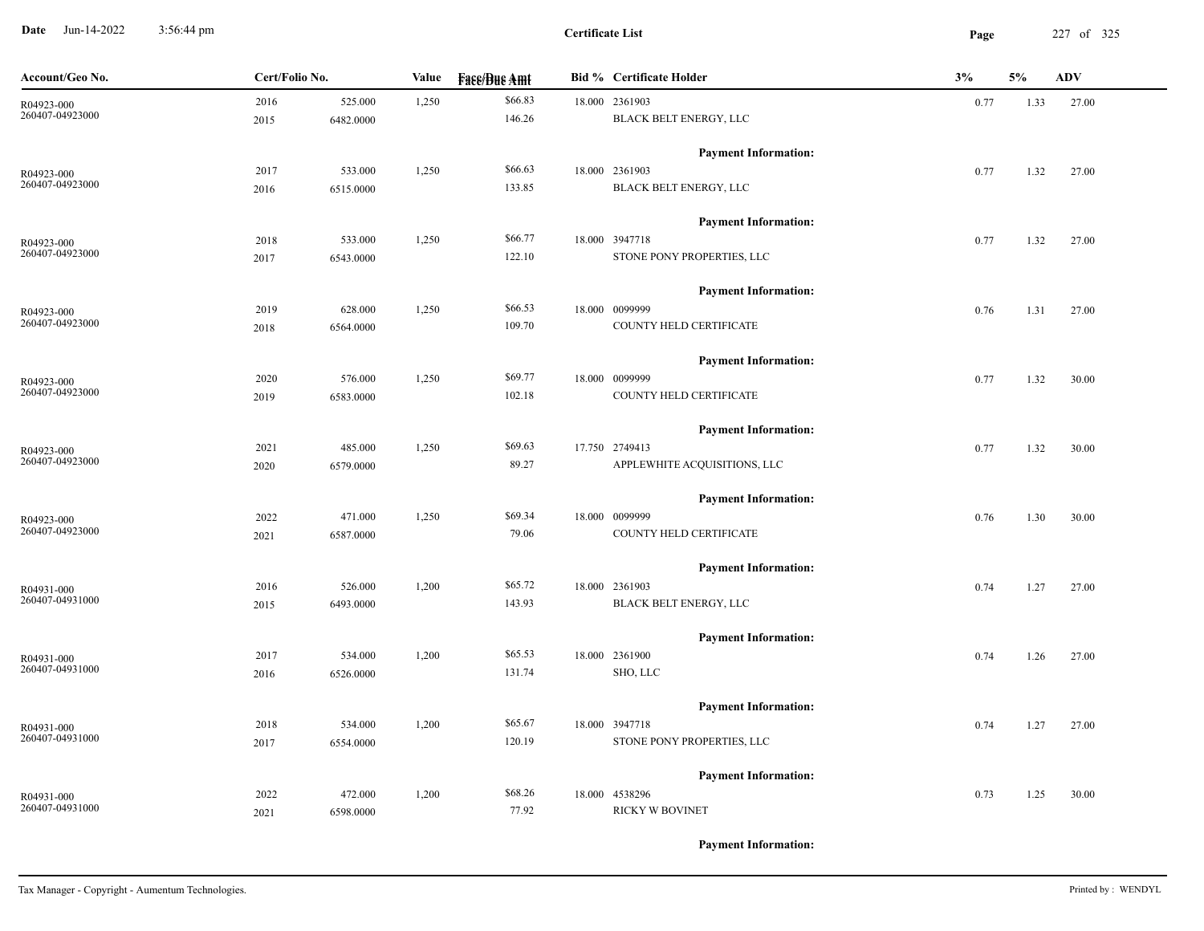**Date** Jun-14-2022 3:56:44 pm **Page** 227 of 325 3:56:44 pm

| Account/Geo No. | Cert/Folio No. |           | Value | <b>Face/Bue Amt</b> | <b>Bid % Certificate Holder</b> | 3%   | 5%   | <b>ADV</b> |
|-----------------|----------------|-----------|-------|---------------------|---------------------------------|------|------|------------|
| R04923-000      | 2016           | 525.000   | 1,250 | \$66.83             | 18.000 2361903                  | 0.77 | 1.33 | 27.00      |
| 260407-04923000 | 2015           | 6482.0000 |       | 146.26              | BLACK BELT ENERGY, LLC          |      |      |            |
|                 |                |           |       |                     | <b>Payment Information:</b>     |      |      |            |
| R04923-000      | 2017           | 533.000   | 1,250 | \$66.63             | 18.000 2361903                  | 0.77 | 1.32 | 27.00      |
| 260407-04923000 | 2016           | 6515.0000 |       | 133.85              | BLACK BELT ENERGY, LLC          |      |      |            |
|                 |                |           |       |                     | <b>Payment Information:</b>     |      |      |            |
| R04923-000      | 2018           | 533.000   | 1,250 | \$66.77             | 18.000 3947718                  | 0.77 | 1.32 | 27.00      |
| 260407-04923000 | 2017           | 6543.0000 |       | 122.10              | STONE PONY PROPERTIES, LLC      |      |      |            |
|                 |                |           |       |                     | <b>Payment Information:</b>     |      |      |            |
| R04923-000      | 2019           | 628.000   | 1,250 | \$66.53             | 18.000 0099999                  | 0.76 | 1.31 | 27.00      |
| 260407-04923000 | 2018           | 6564.0000 |       | 109.70              | COUNTY HELD CERTIFICATE         |      |      |            |
|                 |                |           |       |                     | <b>Payment Information:</b>     |      |      |            |
| R04923-000      | 2020           | 576.000   | 1,250 | \$69.77             | 18.000 0099999                  | 0.77 | 1.32 | 30.00      |
| 260407-04923000 | 2019           | 6583.0000 |       | 102.18              | COUNTY HELD CERTIFICATE         |      |      |            |
|                 |                |           |       |                     | <b>Payment Information:</b>     |      |      |            |
| R04923-000      | 2021           | 485.000   | 1,250 | \$69.63             | 17.750 2749413                  | 0.77 | 1.32 | 30.00      |
| 260407-04923000 | 2020           | 6579.0000 |       | 89.27               | APPLEWHITE ACQUISITIONS, LLC    |      |      |            |
|                 |                |           |       |                     | <b>Payment Information:</b>     |      |      |            |
| R04923-000      | 2022           | 471.000   | 1,250 | \$69.34             | 18.000 0099999                  | 0.76 | 1.30 | 30.00      |
| 260407-04923000 | 2021           | 6587.0000 |       | 79.06               | COUNTY HELD CERTIFICATE         |      |      |            |
|                 |                |           |       |                     | <b>Payment Information:</b>     |      |      |            |
| R04931-000      | 2016           | 526.000   | 1,200 | \$65.72             | 18.000 2361903                  | 0.74 | 1.27 | 27.00      |
| 260407-04931000 | 2015           | 6493.0000 |       | 143.93              | BLACK BELT ENERGY, LLC          |      |      |            |
|                 |                |           |       |                     | <b>Payment Information:</b>     |      |      |            |
| R04931-000      | 2017           | 534.000   | 1,200 | \$65.53             | 18.000 2361900                  | 0.74 | 1.26 | 27.00      |
| 260407-04931000 | 2016           | 6526.0000 |       | 131.74              | SHO, LLC                        |      |      |            |
|                 |                |           |       |                     | <b>Payment Information:</b>     |      |      |            |
| R04931-000      | 2018           | 534.000   | 1,200 | \$65.67             | 18.000 3947718                  | 0.74 | 1.27 | 27.00      |
| 260407-04931000 | 2017           | 6554.0000 |       | 120.19              | STONE PONY PROPERTIES, LLC      |      |      |            |
|                 |                |           |       |                     | <b>Payment Information:</b>     |      |      |            |
|                 | 2022           | 472.000   | 1,200 | \$68.26             | 18.000 4538296                  | 0.73 | 1.25 | 30.00      |
| 260407-04931000 | 2021           | 6598.0000 |       | 77.92               | <b>RICKY W BOVINET</b>          |      |      |            |
| R04931-000      |                |           |       |                     |                                 |      |      |            |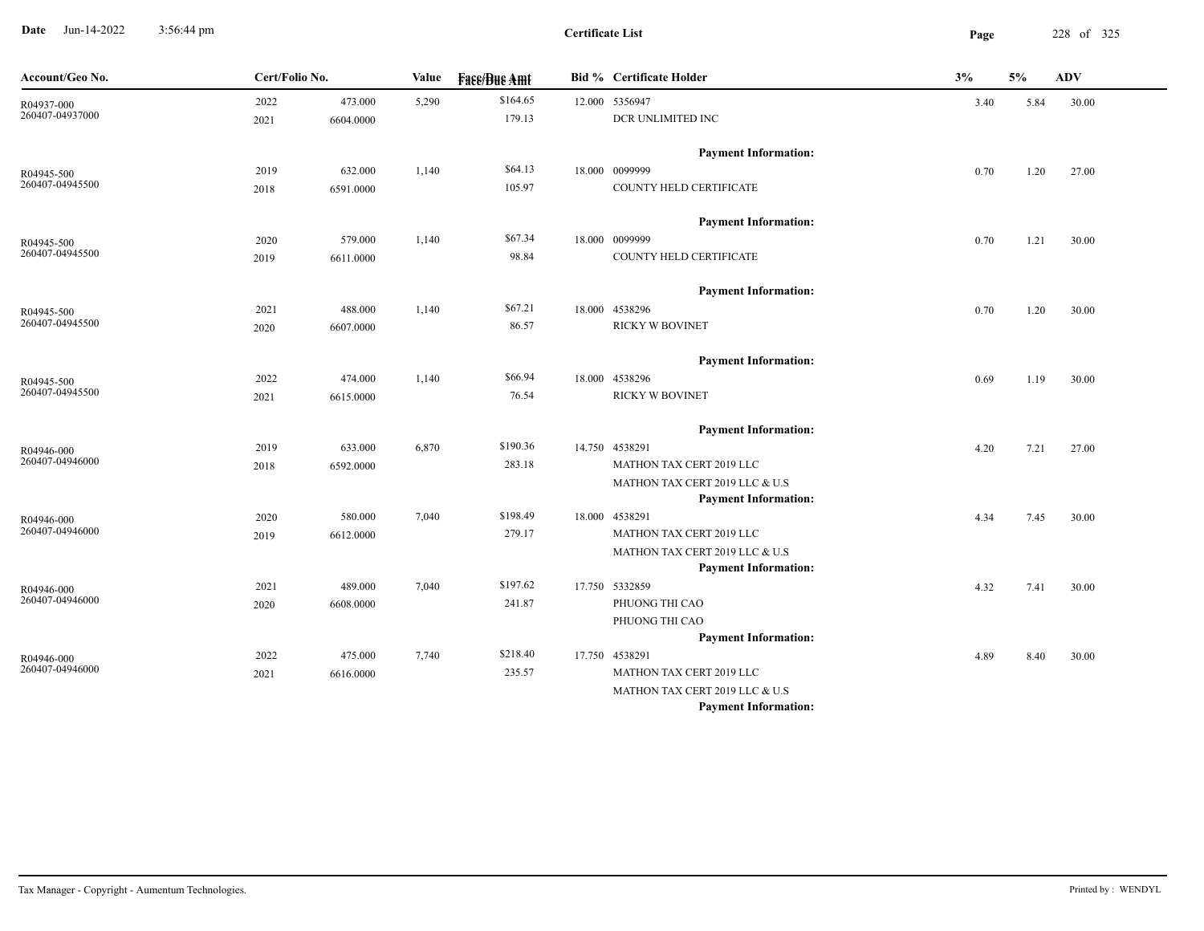**Date** Jun-14-2022 3:56:44 pm **Page** 228 of 325 3:56:44 pm

**Certificate List**

| Account/Geo No.               | Cert/Folio No. |           | Value | <b>Fass/Bus Amt</b> | Bid % Certificate Holder                      | 3%   | 5%   | ADV   |
|-------------------------------|----------------|-----------|-------|---------------------|-----------------------------------------------|------|------|-------|
| R04937-000                    | 2022           | 473.000   | 5,290 | \$164.65            | 12.000 5356947                                | 3.40 | 5.84 | 30.00 |
| 260407-04937000               | 2021           | 6604.0000 |       | 179.13              | DCR UNLIMITED INC                             |      |      |       |
|                               |                |           |       |                     | <b>Payment Information:</b>                   |      |      |       |
| R04945-500                    | 2019           | 632.000   | 1,140 | \$64.13             | 18.000 0099999                                | 0.70 | 1.20 | 27.00 |
| 260407-04945500               | 2018           | 6591.0000 |       | 105.97              | COUNTY HELD CERTIFICATE                       |      |      |       |
|                               |                |           |       |                     | <b>Payment Information:</b>                   |      |      |       |
| R04945-500                    | 2020           | 579.000   | 1,140 | \$67.34             | 18.000 0099999                                | 0.70 | 1.21 | 30.00 |
| 260407-04945500               | 2019           | 6611.0000 |       | 98.84               | COUNTY HELD CERTIFICATE                       |      |      |       |
|                               |                |           |       |                     | <b>Payment Information:</b>                   |      |      |       |
| R04945-500                    | 2021           | 488.000   | 1,140 | \$67.21             | 18.000 4538296                                | 0.70 | 1.20 | 30.00 |
| 260407-04945500               | 2020           | 6607.0000 |       | 86.57               | <b>RICKY W BOVINET</b>                        |      |      |       |
|                               |                |           |       |                     | <b>Payment Information:</b>                   |      |      |       |
| R04945-500                    | 2022           | 474.000   | 1,140 | \$66.94             | 18.000 4538296                                | 0.69 | 1.19 | 30.00 |
| 260407-04945500               | 2021           | 6615.0000 |       | 76.54               | <b>RICKY W BOVINET</b>                        |      |      |       |
|                               |                |           |       |                     | <b>Payment Information:</b>                   |      |      |       |
| R04946-000                    | 2019           | 633.000   | 6,870 | \$190.36            | 14.750 4538291                                | 4.20 | 7.21 | 27.00 |
| 260407-04946000               | 2018           | 6592.0000 |       | 283.18              | MATHON TAX CERT 2019 LLC                      |      |      |       |
|                               |                |           |       |                     | MATHON TAX CERT 2019 LLC & U.S                |      |      |       |
|                               |                |           |       |                     | <b>Payment Information:</b>                   |      |      |       |
| R04946-000<br>260407-04946000 | 2020           | 580.000   | 7,040 | \$198.49            | 18.000 4538291                                | 4.34 | 7.45 | 30.00 |
|                               | 2019           | 6612.0000 |       | 279.17              | MATHON TAX CERT 2019 LLC                      |      |      |       |
|                               |                |           |       |                     | MATHON TAX CERT 2019 LLC & U.S                |      |      |       |
|                               | 2021           | 489.000   | 7,040 | \$197.62            | <b>Payment Information:</b><br>17.750 5332859 |      |      |       |
| R04946-000<br>260407-04946000 | 2020           | 6608.0000 |       | 241.87              | PHUONG THI CAO                                | 4.32 | 7.41 | 30.00 |
|                               |                |           |       |                     | PHUONG THI CAO                                |      |      |       |
|                               |                |           |       |                     | <b>Payment Information:</b>                   |      |      |       |
| R04946-000                    | 2022           | 475.000   | 7,740 | \$218.40            | 17.750 4538291                                | 4.89 | 8.40 | 30.00 |
| 260407-04946000               | 2021           | 6616.0000 |       | 235.57              | MATHON TAX CERT 2019 LLC                      |      |      |       |
|                               |                |           |       |                     | MATHON TAX CERT 2019 LLC & U.S                |      |      |       |
|                               |                |           |       |                     | <b>Payment Information:</b>                   |      |      |       |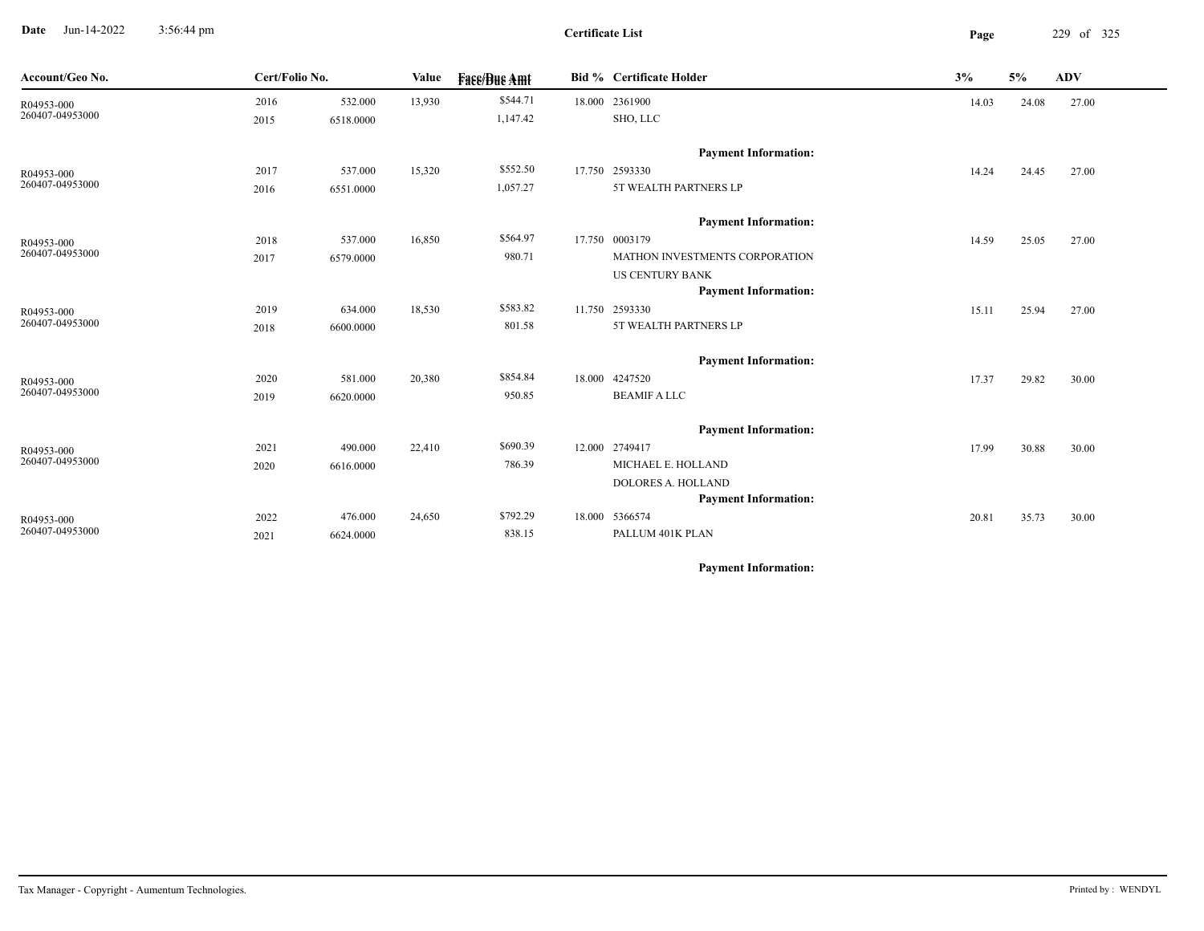**Date** Jun-14-2022 3:56:44 pm **Page** 229 of 325 3:56:44 pm

| Account/Geo No. | Cert/Folio No. |           | Value  | <b>Fase/Bue Amt</b> | <b>Bid % Certificate Holder</b>       | 3%    | 5%    | <b>ADV</b> |
|-----------------|----------------|-----------|--------|---------------------|---------------------------------------|-------|-------|------------|
| R04953-000      | 2016           | 532.000   | 13,930 | \$544.71            | 18.000 2361900                        | 14.03 | 24.08 | 27.00      |
| 260407-04953000 | 2015           | 6518.0000 |        | 1,147.42            | SHO, LLC                              |       |       |            |
|                 |                |           |        |                     | <b>Payment Information:</b>           |       |       |            |
| R04953-000      | 2017           | 537.000   | 15,320 | \$552.50            | 17.750 2593330                        | 14.24 | 24.45 | 27.00      |
| 260407-04953000 | 2016           | 6551.0000 |        | 1,057.27            | 5T WEALTH PARTNERS LP                 |       |       |            |
|                 |                |           |        |                     | <b>Payment Information:</b>           |       |       |            |
| R04953-000      | 2018           | 537.000   | 16,850 | \$564.97            | 17.750 0003179                        | 14.59 | 25.05 | 27.00      |
| 260407-04953000 | 2017           | 6579.0000 |        | 980.71              | <b>MATHON INVESTMENTS CORPORATION</b> |       |       |            |
|                 |                |           |        |                     | <b>US CENTURY BANK</b>                |       |       |            |
|                 |                |           |        |                     | <b>Payment Information:</b>           |       |       |            |
| R04953-000      | 2019           | 634.000   | 18,530 | \$583.82            | 11.750 2593330                        | 15.11 | 25.94 | 27.00      |
| 260407-04953000 | 2018           | 6600.0000 |        | 801.58              | 5T WEALTH PARTNERS LP                 |       |       |            |
|                 |                |           |        |                     | <b>Payment Information:</b>           |       |       |            |
| R04953-000      | 2020           | 581.000   | 20,380 | \$854.84            | 18.000 4247520                        | 17.37 | 29.82 | 30.00      |
| 260407-04953000 | 2019           | 6620.0000 |        | 950.85              | <b>BEAMIF A LLC</b>                   |       |       |            |
|                 |                |           |        |                     | <b>Payment Information:</b>           |       |       |            |
| R04953-000      | 2021           | 490.000   | 22,410 | \$690.39            | 12.000 2749417                        | 17.99 | 30.88 | 30.00      |
| 260407-04953000 | 2020           | 6616.0000 |        | 786.39              | MICHAEL E. HOLLAND                    |       |       |            |
|                 |                |           |        |                     | DOLORES A. HOLLAND                    |       |       |            |
|                 |                |           |        |                     | <b>Payment Information:</b>           |       |       |            |
| R04953-000      | 2022           | 476.000   | 24,650 | \$792.29            | 18.000 5366574                        | 20.81 | 35.73 | 30.00      |
| 260407-04953000 | 2021           | 6624.0000 |        | 838.15              | PALLUM 401K PLAN                      |       |       |            |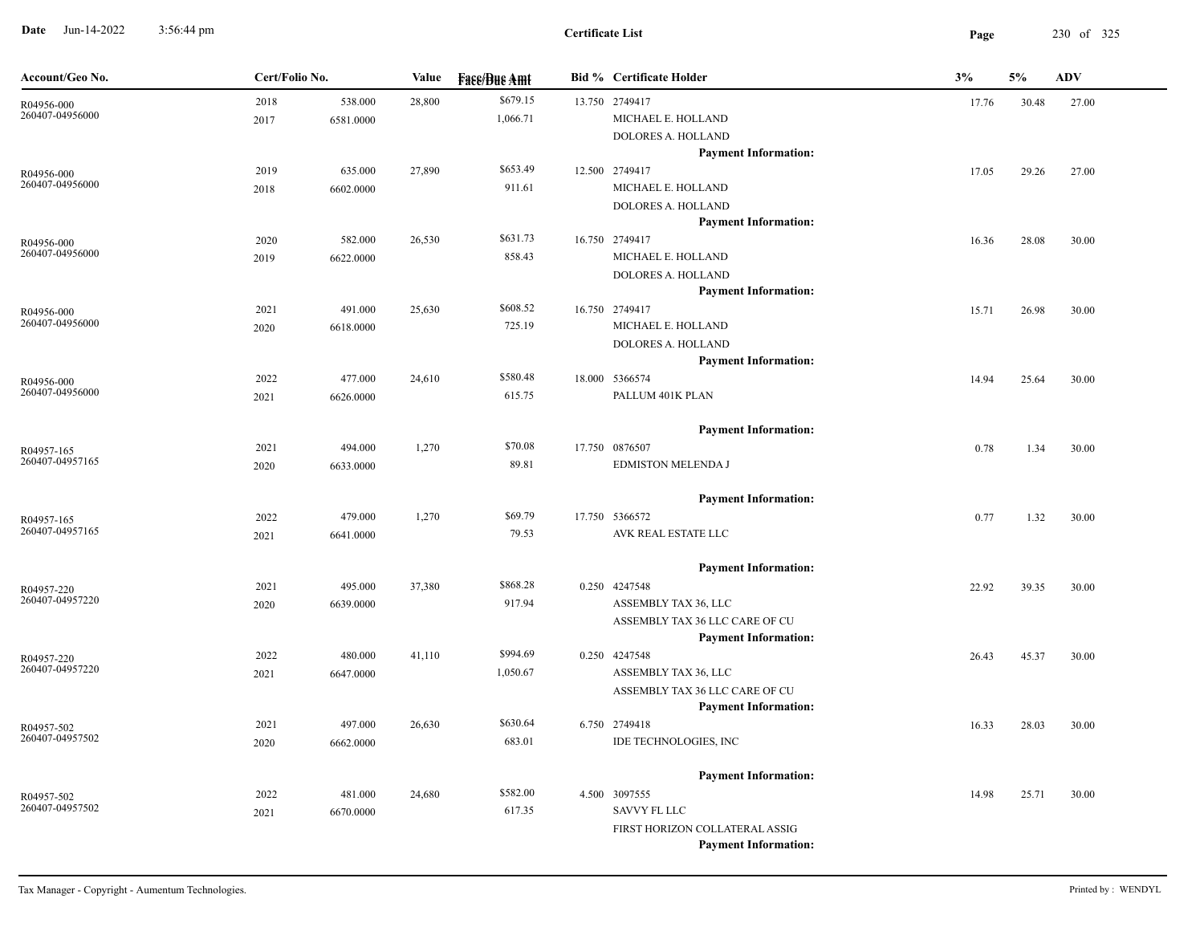**Date** Jun-14-2022 3:56:44 pm **Page** 230 of 325 3:56:44 pm

| Account/Geo No.               | Cert/Folio No. |           | Value  | <b>Face/Bue Amt</b> | <b>Bid % Certificate Holder</b>        | 3%    | 5%    | <b>ADV</b> |
|-------------------------------|----------------|-----------|--------|---------------------|----------------------------------------|-------|-------|------------|
| R04956-000                    | 2018           | 538.000   | 28,800 | \$679.15            | 13.750 2749417                         | 17.76 | 30.48 | 27.00      |
| 260407-04956000               | 2017           | 6581.0000 |        | 1,066.71            | MICHAEL E. HOLLAND                     |       |       |            |
|                               |                |           |        |                     | DOLORES A. HOLLAND                     |       |       |            |
|                               |                |           |        |                     | <b>Payment Information:</b>            |       |       |            |
| R04956-000                    | 2019           | 635.000   | 27,890 | \$653.49            | 12.500 2749417                         | 17.05 | 29.26 | 27.00      |
| 260407-04956000               | 2018           | 6602.0000 |        | 911.61              | MICHAEL E. HOLLAND                     |       |       |            |
|                               |                |           |        |                     | DOLORES A. HOLLAND                     |       |       |            |
|                               |                |           |        |                     | <b>Payment Information:</b>            |       |       |            |
| R04956-000                    | 2020           | 582.000   | 26,530 | \$631.73            | 16.750 2749417                         | 16.36 | 28.08 | 30.00      |
| 260407-04956000               | 2019           | 6622.0000 |        | 858.43              | MICHAEL E. HOLLAND                     |       |       |            |
|                               |                |           |        |                     | DOLORES A. HOLLAND                     |       |       |            |
|                               |                |           |        |                     | <b>Payment Information:</b>            |       |       |            |
| R04956-000<br>260407-04956000 | 2021           | 491.000   | 25,630 | \$608.52            | 16.750 2749417                         | 15.71 | 26.98 | 30.00      |
|                               | 2020           | 6618.0000 |        | 725.19              | MICHAEL E. HOLLAND                     |       |       |            |
|                               |                |           |        |                     | DOLORES A. HOLLAND                     |       |       |            |
|                               |                |           |        |                     | <b>Payment Information:</b>            |       |       |            |
| R04956-000<br>260407-04956000 | 2022           | 477.000   | 24,610 | \$580.48            | 18.000 5366574                         | 14.94 | 25.64 | 30.00      |
|                               | 2021           | 6626.0000 |        | 615.75              | PALLUM 401K PLAN                       |       |       |            |
|                               |                |           |        |                     | <b>Payment Information:</b>            |       |       |            |
| R04957-165                    | 2021           | 494.000   | 1,270  | \$70.08             | 17.750 0876507                         | 0.78  | 1.34  | 30.00      |
| 260407-04957165               | 2020           | 6633.0000 |        | 89.81               | EDMISTON MELENDA J                     |       |       |            |
|                               |                |           |        |                     | <b>Payment Information:</b>            |       |       |            |
| R04957-165                    | 2022           | 479.000   | 1,270  | \$69.79             | 17.750 5366572                         | 0.77  | 1.32  | 30.00      |
| 260407-04957165               | 2021           | 6641.0000 |        | 79.53               | AVK REAL ESTATE LLC                    |       |       |            |
|                               |                |           |        |                     |                                        |       |       |            |
|                               |                |           |        |                     | <b>Payment Information:</b>            |       |       |            |
| R04957-220                    | 2021           | 495.000   | 37,380 | \$868.28            | 0.250 4247548                          | 22.92 | 39.35 | 30.00      |
| 260407-04957220               | 2020           | 6639.0000 |        | 917.94              | ASSEMBLY TAX 36, LLC                   |       |       |            |
|                               |                |           |        |                     | ASSEMBLY TAX 36 LLC CARE OF CU         |       |       |            |
|                               |                |           |        |                     | <b>Payment Information:</b>            |       |       |            |
| R04957-220<br>260407-04957220 | 2022           | 480.000   | 41,110 | \$994.69            | 0.250 4247548                          | 26.43 | 45.37 | 30.00      |
|                               | 2021           | 6647.0000 |        | 1,050.67            | ASSEMBLY TAX 36, LLC                   |       |       |            |
|                               |                |           |        |                     | ASSEMBLY TAX 36 LLC CARE OF CU         |       |       |            |
|                               |                |           |        | \$630.64            | <b>Payment Information:</b>            |       |       |            |
| R04957-502<br>260407-04957502 | 2021           | 497.000   | 26,630 |                     | 6.750 2749418<br>IDE TECHNOLOGIES, INC | 16.33 | 28.03 | 30.00      |
|                               | 2020           | 6662.0000 |        | 683.01              |                                        |       |       |            |
|                               |                |           |        |                     | <b>Payment Information:</b>            |       |       |            |
| R04957-502                    | 2022           | 481.000   | 24,680 | \$582.00            | 4.500 3097555                          | 14.98 | 25.71 | 30.00      |
| 260407-04957502               | 2021           | 6670.0000 |        | 617.35              | SAVVY FL LLC                           |       |       |            |
|                               |                |           |        |                     | FIRST HORIZON COLLATERAL ASSIG         |       |       |            |
|                               |                |           |        |                     | <b>Payment Information:</b>            |       |       |            |
|                               |                |           |        |                     |                                        |       |       |            |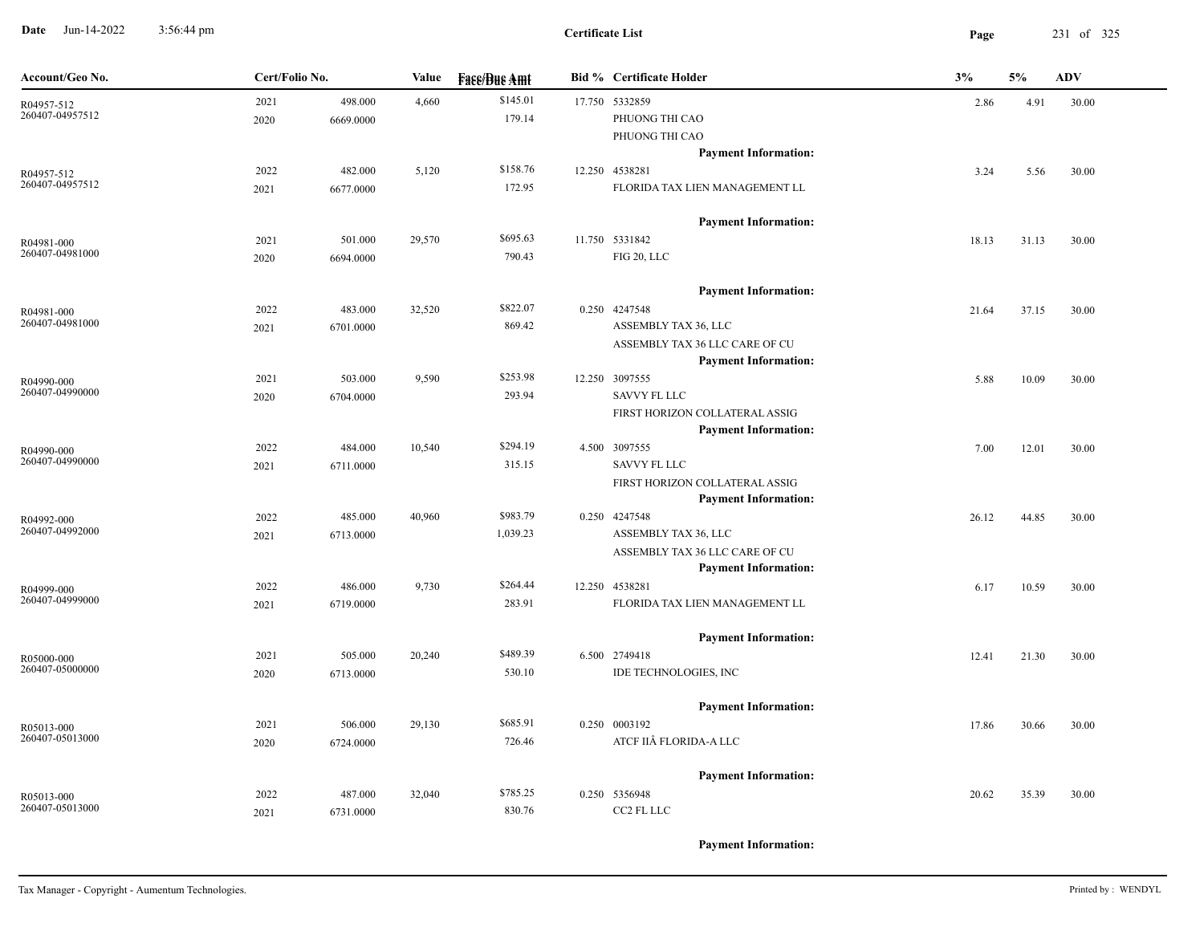**Date** Jun-14-2022 3:56:44 pm **Page** 231 of 325 3:56:44 pm

| Account/Geo No.               | Cert/Folio No. |                      | Value  | <b>Face/Bue Amt</b> | <b>Bid % Certificate Holder</b>                        | 3%    | 5%    | <b>ADV</b> |
|-------------------------------|----------------|----------------------|--------|---------------------|--------------------------------------------------------|-------|-------|------------|
| R04957-512<br>260407-04957512 | 2021<br>2020   | 498.000<br>6669.0000 | 4,660  | \$145.01<br>179.14  | 17.750 5332859<br>PHUONG THI CAO                       | 2.86  | 4.91  | 30.00      |
|                               |                |                      |        |                     | PHUONG THI CAO<br><b>Payment Information:</b>          |       |       |            |
| R04957-512                    | 2022           | 482.000              | 5,120  | \$158.76            | 12.250 4538281                                         | 3.24  | 5.56  | 30.00      |
| 260407-04957512               | 2021           | 6677.0000            |        | 172.95              | FLORIDA TAX LIEN MANAGEMENT LL                         |       |       |            |
|                               |                |                      |        |                     | <b>Payment Information:</b>                            |       |       |            |
| R04981-000                    | 2021           | 501.000              | 29,570 | \$695.63            | 11.750 5331842                                         | 18.13 | 31.13 | 30.00      |
| 260407-04981000               | 2020           | 6694.0000            |        | 790.43              | FIG 20, LLC                                            |       |       |            |
|                               |                |                      |        |                     | <b>Payment Information:</b>                            |       |       |            |
| R04981-000<br>260407-04981000 | 2022           | 483.000              | 32,520 | \$822.07            | 0.250 4247548                                          | 21.64 | 37.15 | 30.00      |
|                               | 2021           | 6701.0000            |        | 869.42              | ASSEMBLY TAX 36, LLC<br>ASSEMBLY TAX 36 LLC CARE OF CU |       |       |            |
|                               |                |                      |        |                     | <b>Payment Information:</b>                            |       |       |            |
| R04990-000                    | 2021           | 503.000              | 9,590  | \$253.98            | 12.250 3097555                                         | 5.88  | 10.09 | 30.00      |
| 260407-04990000               | 2020           | 6704.0000            |        | 293.94              | <b>SAVVY FL LLC</b>                                    |       |       |            |
|                               |                |                      |        |                     | FIRST HORIZON COLLATERAL ASSIG                         |       |       |            |
| R04990-000                    | 2022           | 484.000              | 10,540 | \$294.19            | <b>Payment Information:</b><br>4.500 3097555           | 7.00  | 12.01 | 30.00      |
| 260407-04990000               | 2021           | 6711.0000            |        | 315.15              | <b>SAVVY FL LLC</b>                                    |       |       |            |
|                               |                |                      |        |                     | FIRST HORIZON COLLATERAL ASSIG                         |       |       |            |
|                               |                |                      |        |                     | <b>Payment Information:</b>                            |       |       |            |
| R04992-000                    | 2022           | 485.000              | 40,960 | \$983.79            | 0.250 4247548                                          | 26.12 | 44.85 | 30.00      |
| 260407-04992000               | 2021           | 6713.0000            |        | 1,039.23            | ASSEMBLY TAX 36, LLC                                   |       |       |            |
|                               |                |                      |        |                     | ASSEMBLY TAX 36 LLC CARE OF CU                         |       |       |            |
|                               | 2022           | 486.000              | 9,730  | \$264.44            | <b>Payment Information:</b><br>12.250 4538281          | 6.17  | 10.59 | 30.00      |
| R04999-000<br>260407-04999000 | 2021           | 6719.0000            |        | 283.91              | FLORIDA TAX LIEN MANAGEMENT LL                         |       |       |            |
|                               |                |                      |        |                     | <b>Payment Information:</b>                            |       |       |            |
| R05000-000                    | 2021           | 505.000              | 20,240 | \$489.39            | 6.500 2749418                                          | 12.41 | 21.30 | 30.00      |
| 260407-05000000               | 2020           | 6713.0000            |        | 530.10              | IDE TECHNOLOGIES, INC                                  |       |       |            |
|                               |                |                      |        |                     | <b>Payment Information:</b>                            |       |       |            |
| R05013-000                    | 2021           | 506.000              | 29,130 | \$685.91            | 0.250 0003192                                          | 17.86 | 30.66 | 30.00      |
| 260407-05013000               | 2020           | 6724.0000            |        | 726.46              | ATCF IIÂ FLORIDA-A LLC                                 |       |       |            |
|                               |                |                      |        |                     | <b>Payment Information:</b>                            |       |       |            |
| R05013-000                    | 2022           | 487.000              | 32,040 | \$785.25            | 0.250 5356948                                          | 20.62 | 35.39 | 30.00      |
| 260407-05013000               | 2021           | 6731.0000            |        | 830.76              | CC2 FL LLC                                             |       |       |            |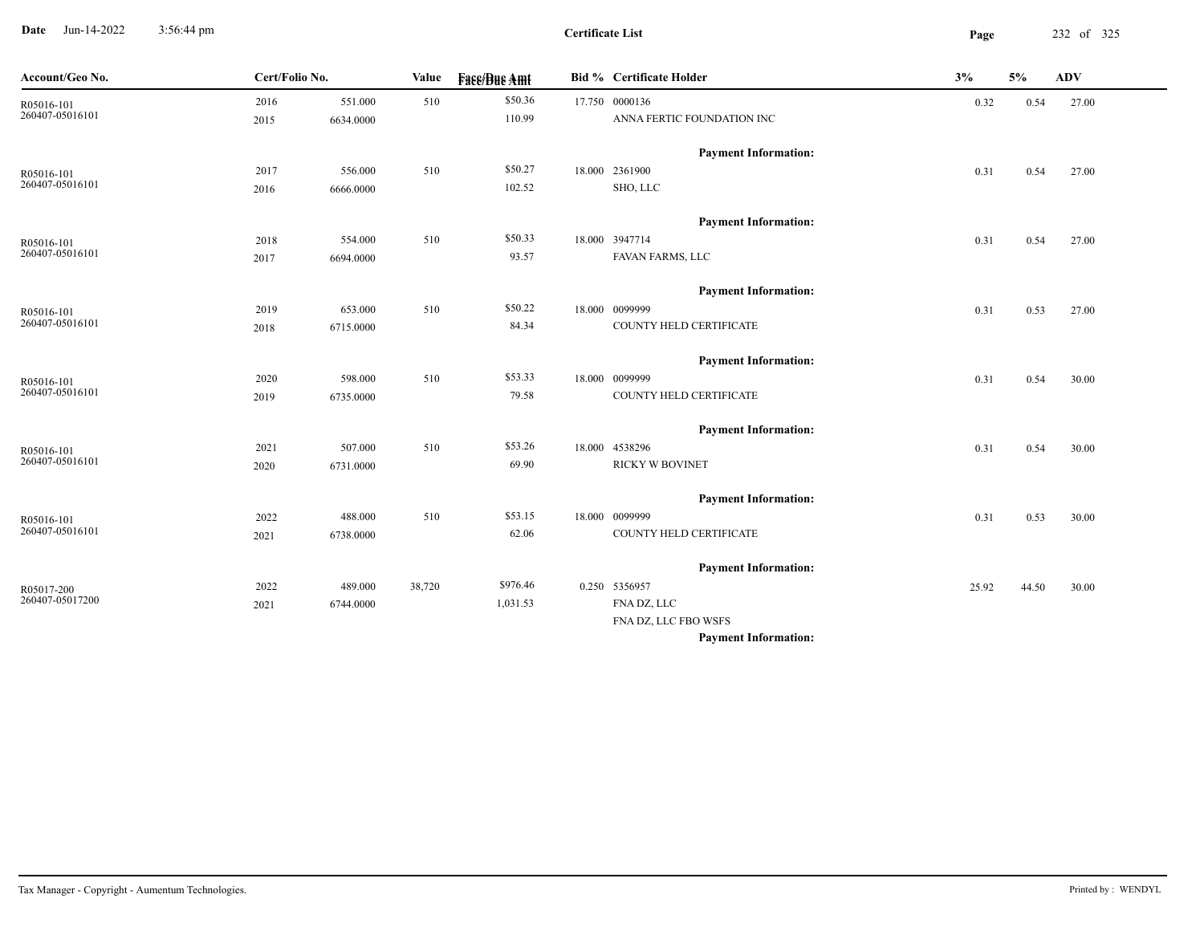**Date** Jun-14-2022 3:56:44 pm **Page** 232 of 325 3:56:44 pm

**Certificate List**

| Account/Geo No. | Cert/Folio No. |           | Value  | <b>Fass/Bus Amt</b> | <b>Bid % Certificate Holder</b> | 3%    | $5\%$ | ADV   |  |
|-----------------|----------------|-----------|--------|---------------------|---------------------------------|-------|-------|-------|--|
| R05016-101      | 2016           | 551.000   | 510    | \$50.36             | 17.750 0000136                  | 0.32  | 0.54  | 27.00 |  |
| 260407-05016101 | 2015           | 6634.0000 |        | 110.99              | ANNA FERTIC FOUNDATION INC      |       |       |       |  |
|                 |                |           |        |                     | <b>Payment Information:</b>     |       |       |       |  |
| R05016-101      | 2017           | 556.000   | 510    | \$50.27             | 18.000 2361900                  | 0.31  | 0.54  | 27.00 |  |
| 260407-05016101 | 2016           | 6666.0000 |        | 102.52              | SHO, LLC                        |       |       |       |  |
|                 |                |           |        |                     | <b>Payment Information:</b>     |       |       |       |  |
| R05016-101      | 2018           | 554.000   | 510    | \$50.33             | 18.000 3947714                  | 0.31  | 0.54  | 27.00 |  |
| 260407-05016101 | 2017           | 6694.0000 |        | 93.57               | FAVAN FARMS, LLC                |       |       |       |  |
|                 |                |           |        |                     | <b>Payment Information:</b>     |       |       |       |  |
| R05016-101      | 2019           | 653.000   | 510    | \$50.22             | 18.000 0099999                  | 0.31  | 0.53  | 27.00 |  |
| 260407-05016101 | 2018           | 6715.0000 |        | 84.34               | COUNTY HELD CERTIFICATE         |       |       |       |  |
|                 |                |           |        |                     | <b>Payment Information:</b>     |       |       |       |  |
| R05016-101      | 2020           | 598.000   | 510    | \$53.33             | 18.000 0099999                  | 0.31  | 0.54  | 30.00 |  |
| 260407-05016101 | 2019           | 6735.0000 |        | 79.58               | COUNTY HELD CERTIFICATE         |       |       |       |  |
|                 |                |           |        |                     | <b>Payment Information:</b>     |       |       |       |  |
| R05016-101      | 2021           | 507.000   | 510    | \$53.26             | 18.000 4538296                  | 0.31  | 0.54  | 30.00 |  |
| 260407-05016101 | 2020           | 6731.0000 |        | 69.90               | <b>RICKY W BOVINET</b>          |       |       |       |  |
|                 |                |           |        |                     | <b>Payment Information:</b>     |       |       |       |  |
| R05016-101      | 2022           | 488.000   | 510    | \$53.15             | 18.000 0099999                  | 0.31  | 0.53  | 30.00 |  |
| 260407-05016101 | 2021           | 6738.0000 |        | 62.06               | COUNTY HELD CERTIFICATE         |       |       |       |  |
|                 |                |           |        |                     | <b>Payment Information:</b>     |       |       |       |  |
| R05017-200      | 2022           | 489.000   | 38,720 | \$976.46            | 0.250 5356957                   | 25.92 | 44.50 | 30.00 |  |
| 260407-05017200 | 2021           | 6744.0000 |        | 1,031.53            | FNA DZ, LLC                     |       |       |       |  |
|                 |                |           |        |                     | FNA DZ, LLC FBO WSFS            |       |       |       |  |
|                 |                |           |        |                     | <b>Payment Information:</b>     |       |       |       |  |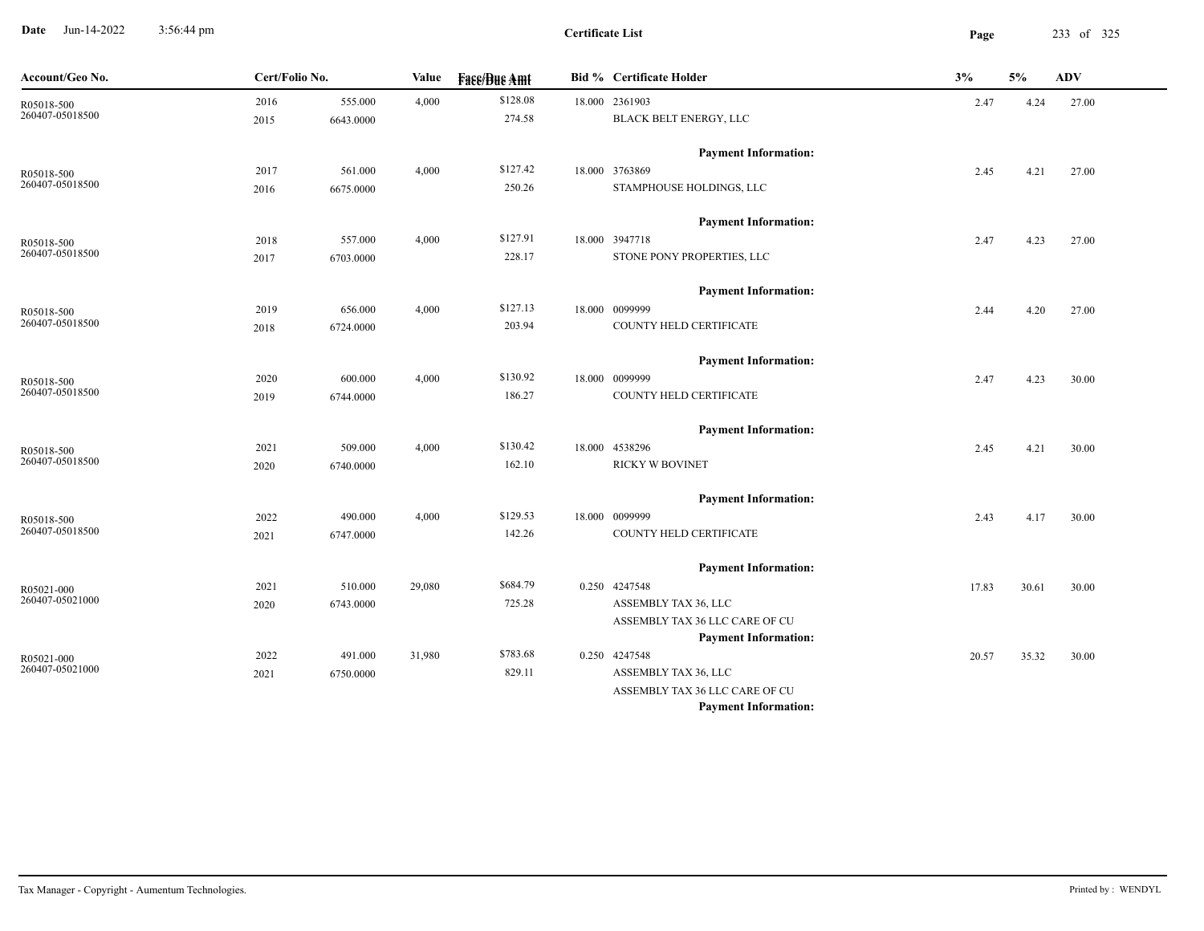**Date** Jun-14-2022 3:56:44 pm **Page** 233 of 325 3:56:44 pm

 $\overline{\phantom{a}}$ 

| Account/Geo No.               | Cert/Folio No. |           | Value  | <b>Fase/Bue Amt</b> | <b>Bid %</b> Certificate Holder | 3%    | 5%    | <b>ADV</b> |  |
|-------------------------------|----------------|-----------|--------|---------------------|---------------------------------|-------|-------|------------|--|
|                               | 2016           | 555.000   | 4,000  | \$128.08            | 18.000 2361903                  | 2.47  | 4.24  | 27.00      |  |
| R05018-500<br>260407-05018500 | 2015           | 6643.0000 |        | 274.58              | BLACK BELT ENERGY, LLC          |       |       |            |  |
|                               |                |           |        |                     | <b>Payment Information:</b>     |       |       |            |  |
| R05018-500<br>260407-05018500 | 2017           | 561.000   | 4,000  | \$127.42            | 18.000 3763869                  | 2.45  | 4.21  | 27.00      |  |
|                               | 2016           | 6675.0000 |        | 250.26              | STAMPHOUSE HOLDINGS, LLC        |       |       |            |  |
|                               |                |           |        |                     | <b>Payment Information:</b>     |       |       |            |  |
| R05018-500                    | 2018           | 557.000   | 4,000  | \$127.91            | 18.000 3947718                  | 2.47  | 4.23  | 27.00      |  |
| 260407-05018500               | 2017           | 6703.0000 |        | 228.17              | STONE PONY PROPERTIES, LLC      |       |       |            |  |
|                               |                |           |        |                     | <b>Payment Information:</b>     |       |       |            |  |
| R05018-500                    | 2019           | 656.000   | 4,000  | \$127.13            | 18.000 0099999                  | 2.44  | 4.20  | 27.00      |  |
| 260407-05018500               | 2018           | 6724.0000 |        | 203.94              | COUNTY HELD CERTIFICATE         |       |       |            |  |
|                               |                |           |        |                     | <b>Payment Information:</b>     |       |       |            |  |
| R05018-500                    | 2020           | 600.000   | 4,000  | \$130.92            | 18.000 0099999                  | 2.47  | 4.23  | 30.00      |  |
| 260407-05018500               | 2019           | 6744.0000 |        | 186.27              | COUNTY HELD CERTIFICATE         |       |       |            |  |
|                               |                |           |        |                     | <b>Payment Information:</b>     |       |       |            |  |
| R05018-500                    | 2021           | 509.000   | 4,000  | \$130.42            | 18.000 4538296                  | 2.45  | 4.21  | 30.00      |  |
| 260407-05018500               | 2020           | 6740.0000 |        | 162.10              | <b>RICKY W BOVINET</b>          |       |       |            |  |
|                               |                |           |        |                     | <b>Payment Information:</b>     |       |       |            |  |
| R05018-500                    | 2022           | 490.000   | 4,000  | \$129.53            | 18.000 0099999                  | 2.43  | 4.17  | 30.00      |  |
| 260407-05018500               | 2021           | 6747.0000 |        | 142.26              | COUNTY HELD CERTIFICATE         |       |       |            |  |
|                               |                |           |        |                     | <b>Payment Information:</b>     |       |       |            |  |
| R05021-000                    | 2021           | 510.000   | 29,080 | \$684.79            | 0.250 4247548                   | 17.83 | 30.61 | 30.00      |  |
| 260407-05021000               | 2020           | 6743.0000 |        | 725.28              | ASSEMBLY TAX 36, LLC            |       |       |            |  |
|                               |                |           |        |                     | ASSEMBLY TAX 36 LLC CARE OF CU  |       |       |            |  |
|                               |                |           |        |                     | <b>Payment Information:</b>     |       |       |            |  |
| R05021-000                    | 2022           | 491.000   | 31,980 | \$783.68            | 0.250 4247548                   | 20.57 | 35.32 | 30.00      |  |
| 260407-05021000               | 2021           | 6750.0000 |        | 829.11              | ASSEMBLY TAX 36, LLC            |       |       |            |  |
|                               |                |           |        |                     | ASSEMBLY TAX 36 LLC CARE OF CU  |       |       |            |  |
|                               |                |           |        |                     | <b>Payment Information:</b>     |       |       |            |  |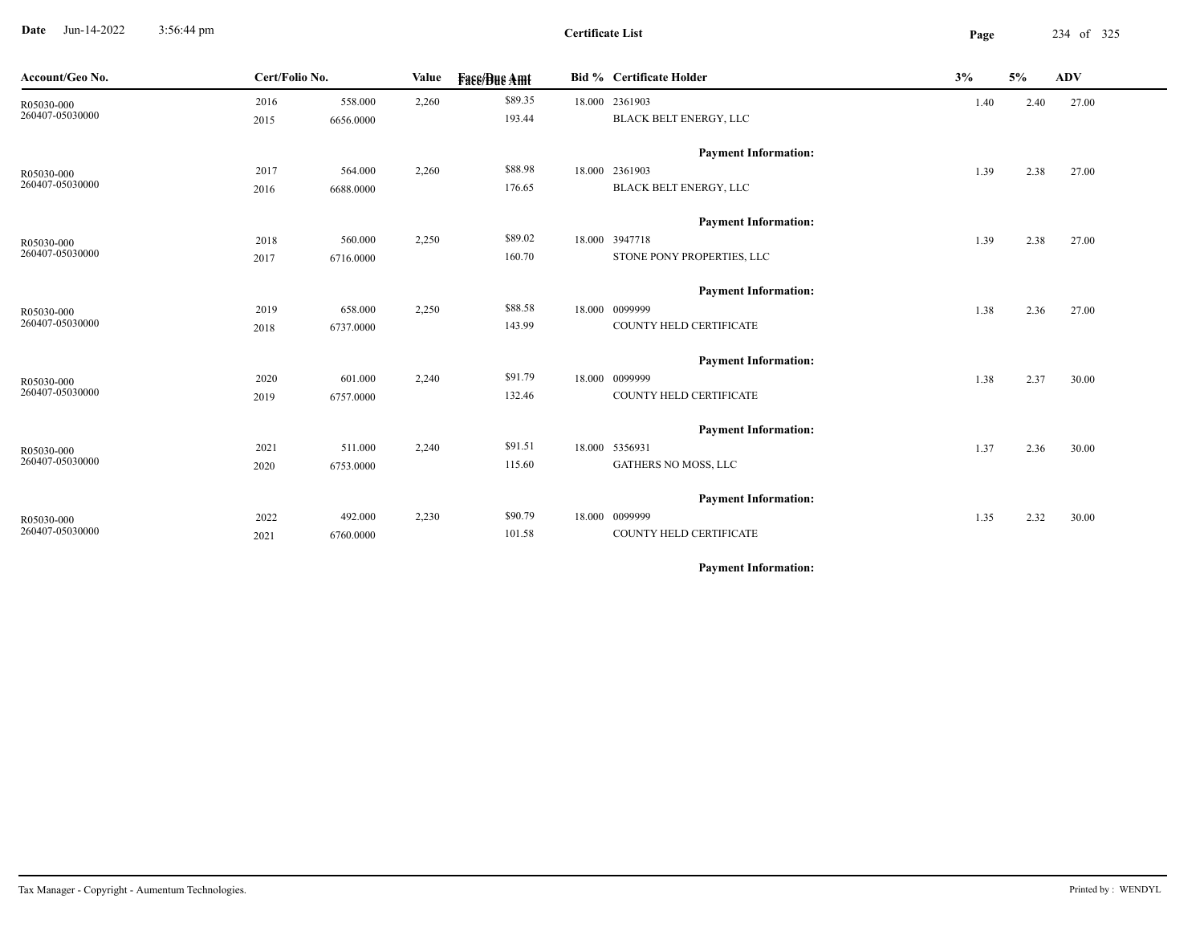**Date** Jun-14-2022 3:56:44 pm **Page** 234 of 325 3:56:44 pm

**Certificate List**

| Account/Geo No. | Cert/Folio No. |           | Value | <b>Face/Bue Amt</b> | <b>Bid % Certificate Holder</b> | 3%   | 5%   | <b>ADV</b> |
|-----------------|----------------|-----------|-------|---------------------|---------------------------------|------|------|------------|
| R05030-000      | 2016           | 558.000   | 2,260 | \$89.35             | 18.000 2361903                  | 1.40 | 2.40 | 27.00      |
| 260407-05030000 | 2015           | 6656.0000 |       | 193.44              | BLACK BELT ENERGY, LLC          |      |      |            |
|                 |                |           |       |                     | <b>Payment Information:</b>     |      |      |            |
| R05030-000      | 2017           | 564.000   | 2,260 | \$88.98             | 18.000 2361903                  | 1.39 | 2.38 | 27.00      |
| 260407-05030000 | 2016           | 6688.0000 |       | 176.65              | BLACK BELT ENERGY, LLC          |      |      |            |
|                 |                |           |       |                     | <b>Payment Information:</b>     |      |      |            |
| R05030-000      | 2018           | 560.000   | 2,250 | \$89.02             | 18.000 3947718                  | 1.39 | 2.38 | 27.00      |
| 260407-05030000 | 2017           | 6716.0000 |       | 160.70              | STONE PONY PROPERTIES, LLC      |      |      |            |
|                 |                |           |       |                     | <b>Payment Information:</b>     |      |      |            |
| R05030-000      | 2019           | 658.000   | 2,250 | \$88.58             | 18.000 0099999                  | 1.38 | 2.36 | 27.00      |
| 260407-05030000 | 2018           | 6737.0000 |       | 143.99              | COUNTY HELD CERTIFICATE         |      |      |            |
|                 |                |           |       |                     | <b>Payment Information:</b>     |      |      |            |
| R05030-000      | 2020           | 601.000   | 2,240 | \$91.79             | 18.000 0099999                  | 1.38 | 2.37 | 30.00      |
| 260407-05030000 | 2019           | 6757.0000 |       | 132.46              | COUNTY HELD CERTIFICATE         |      |      |            |
|                 |                |           |       |                     | <b>Payment Information:</b>     |      |      |            |
| R05030-000      | 2021           | 511.000   | 2,240 | \$91.51             | 18.000 5356931                  | 1.37 | 2.36 | 30.00      |
| 260407-05030000 | 2020           | 6753.0000 |       | 115.60              | GATHERS NO MOSS, LLC            |      |      |            |
|                 |                |           |       |                     | <b>Payment Information:</b>     |      |      |            |
| R05030-000      | 2022           | 492.000   | 2,230 | \$90.79             | 18.000 0099999                  | 1.35 | 2.32 | 30.00      |
| 260407-05030000 | 2021           | 6760.0000 |       | 101.58              | COUNTY HELD CERTIFICATE         |      |      |            |
|                 |                |           |       |                     |                                 |      |      |            |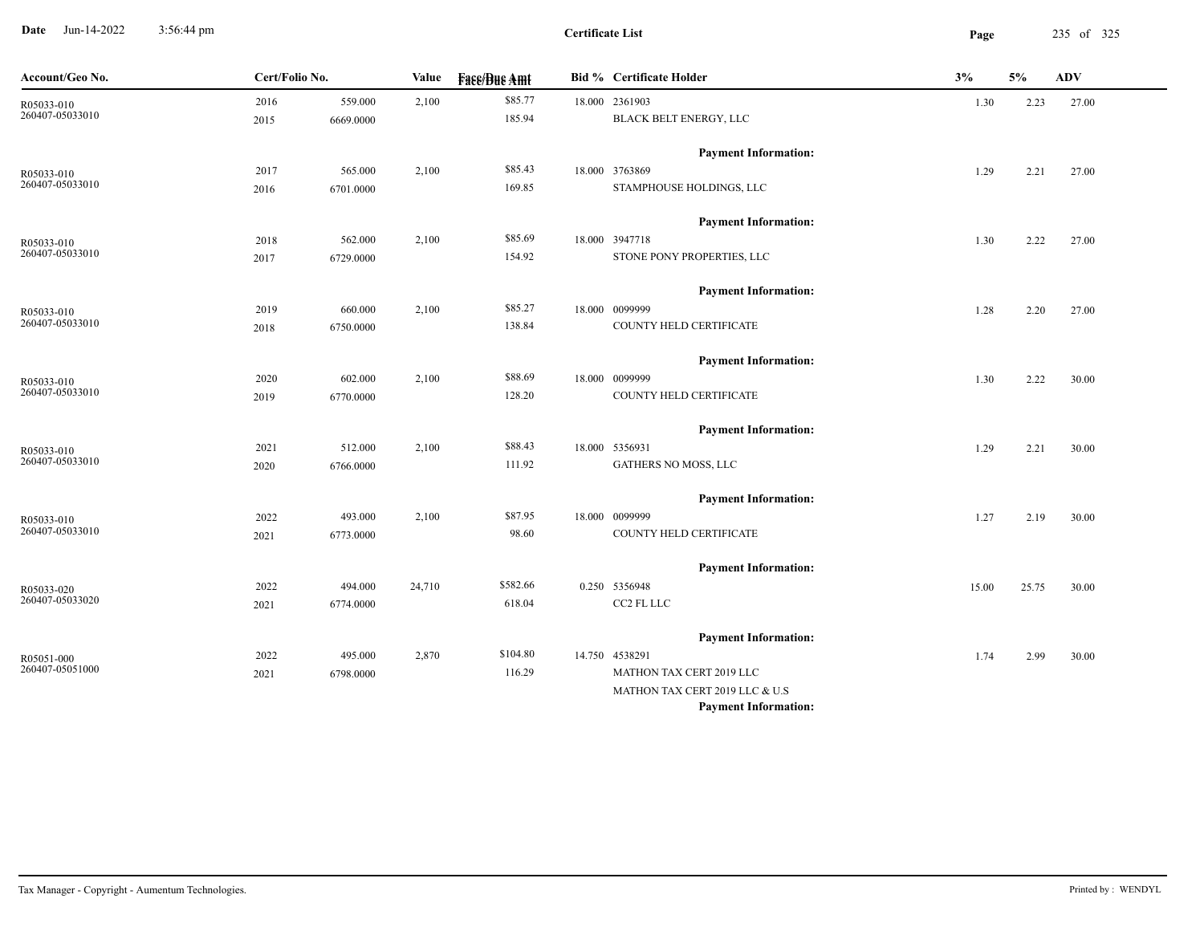**Date** Jun-14-2022 3:56:44 pm **Page** 235 of 325 3:56:44 pm

| Account/Geo No. | Cert/Folio No. |           | Value  | <b>Fass/Bus Amt</b> | <b>Bid % Certificate Holder</b> | 3%    | 5%    | ADV   |
|-----------------|----------------|-----------|--------|---------------------|---------------------------------|-------|-------|-------|
| R05033-010      | 2016           | 559.000   | 2,100  | \$85.77             | 18.000 2361903                  | 1.30  | 2.23  | 27.00 |
| 260407-05033010 | 2015           | 6669.0000 |        | 185.94              | <b>BLACK BELT ENERGY, LLC</b>   |       |       |       |
|                 |                |           |        |                     | <b>Payment Information:</b>     |       |       |       |
| R05033-010      | 2017           | 565.000   | 2,100  | \$85.43             | 18.000 3763869                  | 1.29  | 2.21  | 27.00 |
| 260407-05033010 | 2016           | 6701.0000 |        | 169.85              | STAMPHOUSE HOLDINGS, LLC        |       |       |       |
|                 |                |           |        |                     | <b>Payment Information:</b>     |       |       |       |
| R05033-010      | 2018           | 562.000   | 2,100  | \$85.69             | 18.000 3947718                  | 1.30  | 2.22  | 27.00 |
| 260407-05033010 | 2017           | 6729.0000 |        | 154.92              | STONE PONY PROPERTIES, LLC      |       |       |       |
|                 |                |           |        |                     | <b>Payment Information:</b>     |       |       |       |
| R05033-010      | 2019           | 660.000   | 2,100  | \$85.27             | 18.000 0099999                  | 1.28  | 2.20  | 27.00 |
| 260407-05033010 | 2018           | 6750.0000 |        | 138.84              | COUNTY HELD CERTIFICATE         |       |       |       |
|                 |                |           |        |                     | <b>Payment Information:</b>     |       |       |       |
| R05033-010      | 2020           | 602.000   | 2,100  | \$88.69             | 18.000 0099999                  | 1.30  | 2.22  | 30.00 |
| 260407-05033010 | 2019           | 6770.0000 |        | 128.20              | COUNTY HELD CERTIFICATE         |       |       |       |
|                 |                |           |        |                     | <b>Payment Information:</b>     |       |       |       |
| R05033-010      | 2021           | 512.000   | 2,100  | \$88.43             | 18.000 5356931                  | 1.29  | 2.21  | 30.00 |
| 260407-05033010 | 2020           | 6766.0000 |        | 111.92              | GATHERS NO MOSS, LLC            |       |       |       |
|                 |                |           |        |                     | <b>Payment Information:</b>     |       |       |       |
| R05033-010      | 2022           | 493.000   | 2,100  | \$87.95             | 18.000 0099999                  | 1.27  | 2.19  | 30.00 |
| 260407-05033010 | 2021           | 6773.0000 |        | 98.60               | COUNTY HELD CERTIFICATE         |       |       |       |
|                 |                |           |        |                     | <b>Payment Information:</b>     |       |       |       |
| R05033-020      | 2022           | 494.000   | 24,710 | \$582.66            | 0.250 5356948                   | 15.00 | 25.75 | 30.00 |
| 260407-05033020 | 2021           | 6774.0000 |        | 618.04              | CC2 FL LLC                      |       |       |       |
|                 |                |           |        |                     | <b>Payment Information:</b>     |       |       |       |
| R05051-000      | 2022           | 495.000   | 2,870  | \$104.80            | 14.750 4538291                  | 1.74  | 2.99  | 30.00 |
| 260407-05051000 | 2021           | 6798.0000 |        | 116.29              | MATHON TAX CERT 2019 LLC        |       |       |       |
|                 |                |           |        |                     | MATHON TAX CERT 2019 LLC & U.S  |       |       |       |
|                 |                |           |        |                     | <b>Payment Information:</b>     |       |       |       |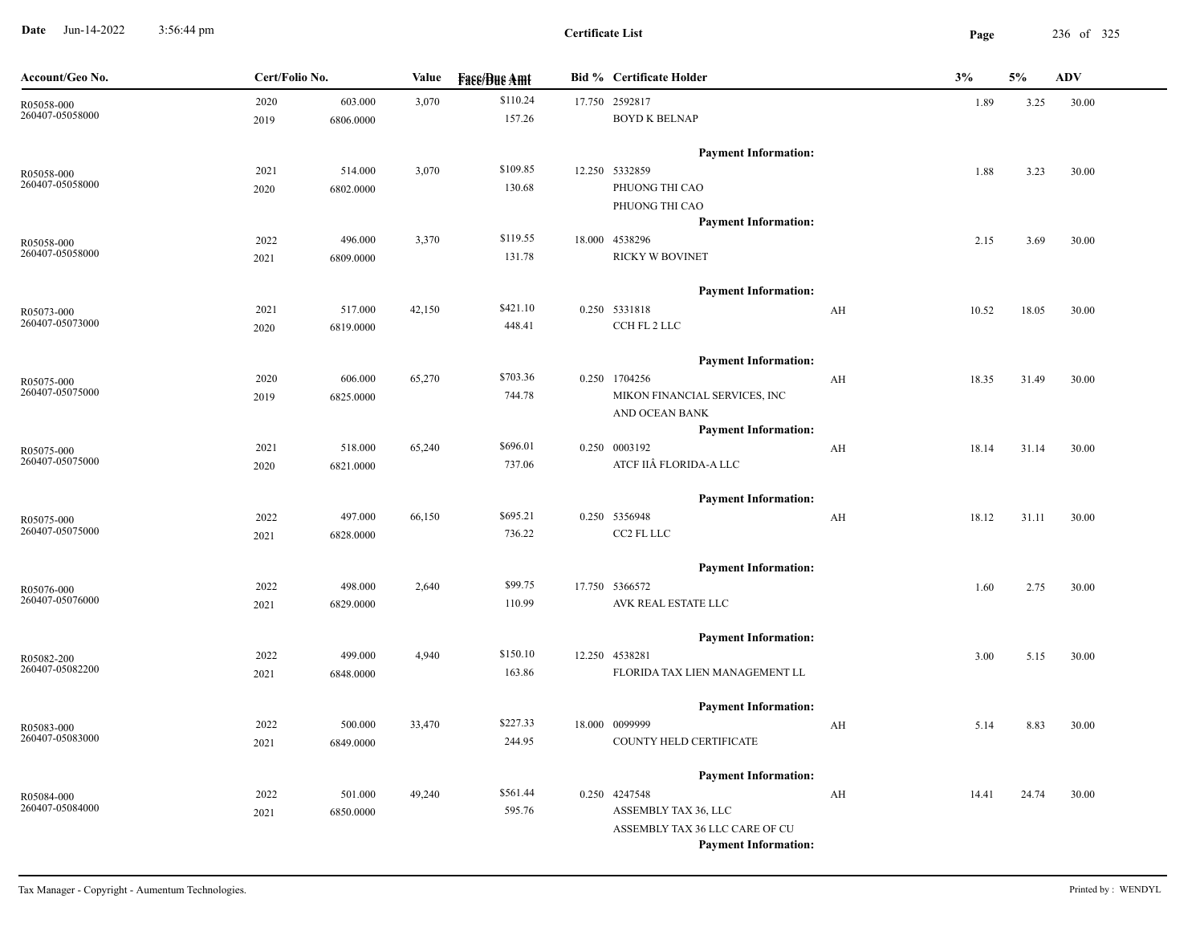**Date** Jun-14-2022 3:56:44 pm **Page** 236 of 325 3:56:44 pm

**Certificate List**

| Account/Geo No.               | Cert/Folio No. |                      | Value  | <b>Fase/Bue Amt</b> | <b>Bid % Certificate Holder</b>                                                                | 3%    | 5%    | <b>ADV</b> |
|-------------------------------|----------------|----------------------|--------|---------------------|------------------------------------------------------------------------------------------------|-------|-------|------------|
| R05058-000<br>260407-05058000 | 2020<br>2019   | 603.000<br>6806.0000 | 3,070  | \$110.24<br>157.26  | 17.750 2592817<br><b>BOYD K BELNAP</b>                                                         | 1.89  | 3.25  | 30.00      |
| R05058-000<br>260407-05058000 | 2021<br>2020   | 514.000<br>6802.0000 | 3,070  | \$109.85<br>130.68  | <b>Payment Information:</b><br>12.250 5332859<br>PHUONG THI CAO                                | 1.88  | 3.23  | 30.00      |
| R05058-000<br>260407-05058000 | 2022<br>2021   | 496.000<br>6809.0000 | 3,370  | \$119.55<br>131.78  | PHUONG THI CAO<br><b>Payment Information:</b><br>18.000 4538296<br><b>RICKY W BOVINET</b>      | 2.15  | 3.69  | 30.00      |
| R05073-000<br>260407-05073000 | 2021<br>2020   | 517.000<br>6819.0000 | 42,150 | \$421.10<br>448.41  | <b>Payment Information:</b><br>0.250 5331818<br>AH<br>CCH FL 2 LLC                             | 10.52 | 18.05 | 30.00      |
| R05075-000<br>260407-05075000 | 2020<br>2019   | 606.000<br>6825.0000 | 65,270 | \$703.36<br>744.78  | <b>Payment Information:</b><br>0.250 1704256<br>AH<br>MIKON FINANCIAL SERVICES, INC            | 18.35 | 31.49 | 30.00      |
| R05075-000<br>260407-05075000 | 2021<br>2020   | 518.000<br>6821.0000 | 65,240 | \$696.01<br>737.06  | AND OCEAN BANK<br><b>Payment Information:</b><br>0.250 0003192<br>AH<br>ATCF IIÂ FLORIDA-A LLC | 18.14 | 31.14 | 30.00      |
| R05075-000<br>260407-05075000 | 2022<br>2021   | 497.000<br>6828.0000 | 66,150 | \$695.21<br>736.22  | <b>Payment Information:</b><br>0.250 5356948<br>AH<br>CC2 FL LLC                               | 18.12 | 31.11 | 30.00      |
| R05076-000<br>260407-05076000 | 2022<br>2021   | 498.000<br>6829.0000 | 2,640  | \$99.75<br>110.99   | <b>Payment Information:</b><br>17.750 5366572<br>AVK REAL ESTATE LLC                           | 1.60  | 2.75  | 30.00      |
| R05082-200<br>260407-05082200 | 2022<br>2021   | 499.000<br>6848.0000 | 4,940  | \$150.10<br>163.86  | <b>Payment Information:</b><br>12.250 4538281<br>FLORIDA TAX LIEN MANAGEMENT LL                | 3.00  | 5.15  | 30.00      |
| R05083-000<br>260407-05083000 | 2022<br>2021   | 500.000<br>6849.0000 | 33,470 | \$227.33<br>244.95  | <b>Payment Information:</b><br>18.000 0099999<br>AH<br>COUNTY HELD CERTIFICATE                 | 5.14  | 8.83  | 30.00      |
| R05084-000<br>260407-05084000 | 2022           | 501.000              | 49,240 | \$561.44            | <b>Payment Information:</b><br>0.250 4247548<br>AH                                             | 14.41 | 24.74 | 30.00      |
|                               | 2021           | 6850.0000            |        | 595.76              | ASSEMBLY TAX 36, LLC<br>ASSEMBLY TAX 36 LLC CARE OF CU<br><b>Payment Information:</b>          |       |       |            |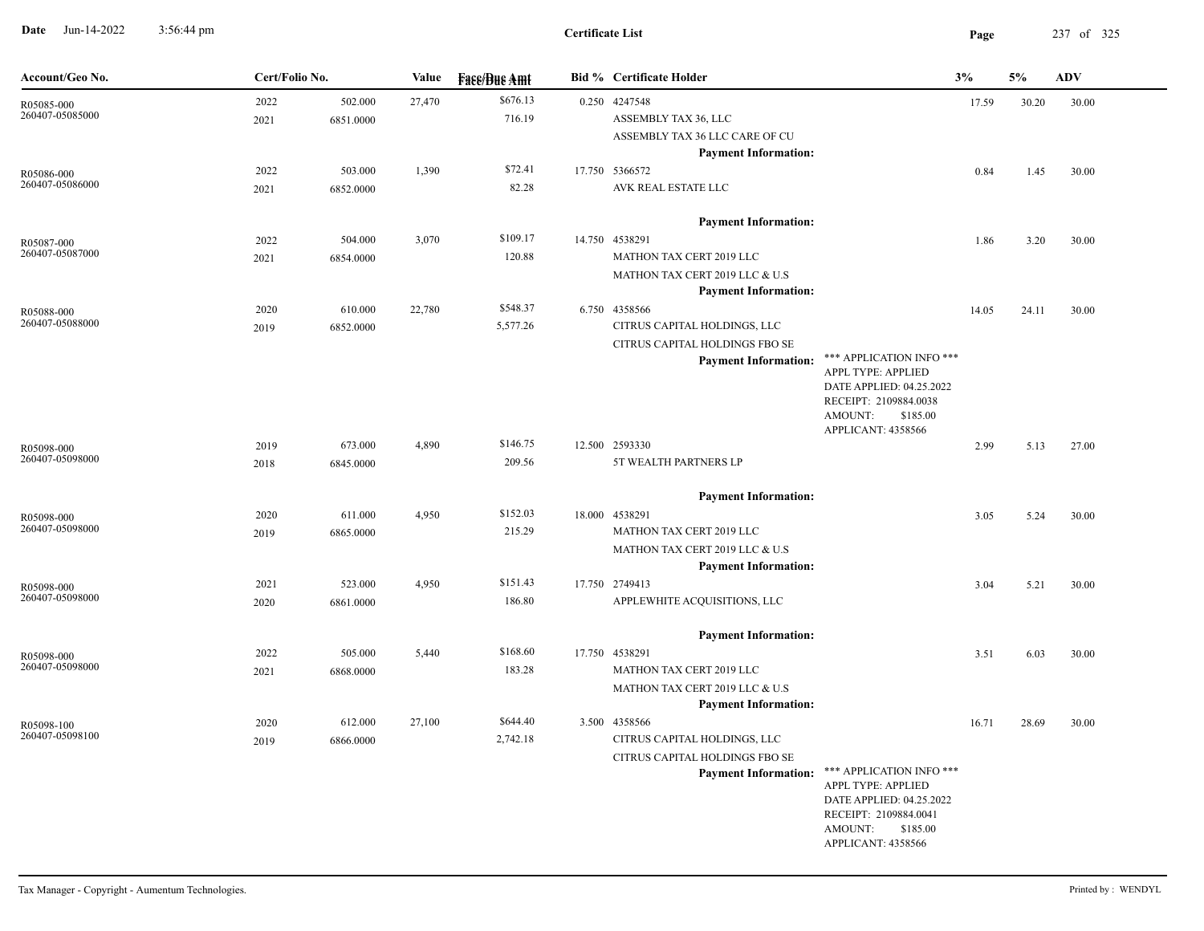**Date** Jun-14-2022 3:56:44 pm **Page** 237 of 325 3:56:44 pm

| Account/Geo No. | Cert/Folio No. |           | Value  | <b>Face/Bue Amt</b> | <b>Bid % Certificate Holder</b> |                                                   | 3%    | 5%    | ADV   |
|-----------------|----------------|-----------|--------|---------------------|---------------------------------|---------------------------------------------------|-------|-------|-------|
| R05085-000      | 2022           | 502.000   | 27,470 | \$676.13            | 0.250 4247548                   |                                                   | 17.59 | 30.20 | 30.00 |
| 260407-05085000 | 2021           | 6851.0000 |        | 716.19              | ASSEMBLY TAX 36, LLC            |                                                   |       |       |       |
|                 |                |           |        |                     | ASSEMBLY TAX 36 LLC CARE OF CU  |                                                   |       |       |       |
|                 |                |           |        |                     | <b>Payment Information:</b>     |                                                   |       |       |       |
| R05086-000      | 2022           | 503.000   | 1,390  | \$72.41             | 17.750 5366572                  |                                                   | 0.84  | 1.45  | 30.00 |
| 260407-05086000 | 2021           | 6852.0000 |        | 82.28               | AVK REAL ESTATE LLC             |                                                   |       |       |       |
|                 |                |           |        |                     | <b>Payment Information:</b>     |                                                   |       |       |       |
| R05087-000      | 2022           | 504.000   | 3,070  | \$109.17            | 14.750 4538291                  |                                                   | 1.86  | 3.20  | 30.00 |
| 260407-05087000 | 2021           | 6854.0000 |        | 120.88              | MATHON TAX CERT 2019 LLC        |                                                   |       |       |       |
|                 |                |           |        |                     | MATHON TAX CERT 2019 LLC & U.S  |                                                   |       |       |       |
|                 |                |           |        |                     | <b>Payment Information:</b>     |                                                   |       |       |       |
| R05088-000      | 2020           | 610.000   | 22,780 | \$548.37            | 6.750 4358566                   |                                                   | 14.05 | 24.11 | 30.00 |
| 260407-05088000 | 2019           | 6852.0000 |        | 5,577.26            | CITRUS CAPITAL HOLDINGS, LLC    |                                                   |       |       |       |
|                 |                |           |        |                     | CITRUS CAPITAL HOLDINGS FBO SE  |                                                   |       |       |       |
|                 |                |           |        |                     | <b>Payment Information:</b>     | *** APPLICATION INFO ***                          |       |       |       |
|                 |                |           |        |                     |                                 | APPL TYPE: APPLIED                                |       |       |       |
|                 |                |           |        |                     |                                 | DATE APPLIED: 04.25.2022<br>RECEIPT: 2109884.0038 |       |       |       |
|                 |                |           |        |                     |                                 | AMOUNT:<br>\$185.00                               |       |       |       |
|                 |                |           |        |                     |                                 | APPLICANT: 4358566                                |       |       |       |
| R05098-000      | 2019           | 673.000   | 4,890  | \$146.75            | 12.500 2593330                  |                                                   | 2.99  | 5.13  | 27.00 |
| 260407-05098000 | 2018           | 6845.0000 |        | 209.56              | 5T WEALTH PARTNERS LP           |                                                   |       |       |       |
|                 |                |           |        |                     | <b>Payment Information:</b>     |                                                   |       |       |       |
| R05098-000      | 2020           | 611.000   | 4,950  | \$152.03            | 18.000 4538291                  |                                                   | 3.05  | 5.24  | 30.00 |
| 260407-05098000 | 2019           | 6865.0000 |        | 215.29              | MATHON TAX CERT 2019 LLC        |                                                   |       |       |       |
|                 |                |           |        |                     | MATHON TAX CERT 2019 LLC & U.S  |                                                   |       |       |       |
|                 |                |           |        |                     | <b>Payment Information:</b>     |                                                   |       |       |       |
| R05098-000      | 2021           | 523.000   | 4,950  | \$151.43            | 17.750 2749413                  |                                                   | 3.04  | 5.21  | 30.00 |
| 260407-05098000 | 2020           | 6861.0000 |        | 186.80              | APPLEWHITE ACQUISITIONS, LLC    |                                                   |       |       |       |
|                 |                |           |        |                     | <b>Payment Information:</b>     |                                                   |       |       |       |
| R05098-000      | 2022           | 505.000   | 5,440  | \$168.60            | 17.750 4538291                  |                                                   | 3.51  | 6.03  | 30.00 |
| 260407-05098000 | 2021           | 6868.0000 |        | 183.28              | MATHON TAX CERT 2019 LLC        |                                                   |       |       |       |
|                 |                |           |        |                     | MATHON TAX CERT 2019 LLC & U.S  |                                                   |       |       |       |
|                 |                |           |        |                     | <b>Payment Information:</b>     |                                                   |       |       |       |
| R05098-100      | 2020           | 612.000   | 27,100 | \$644.40            | 3.500 4358566                   |                                                   | 16.71 | 28.69 | 30.00 |
| 260407-05098100 | 2019           | 6866.0000 |        | 2,742.18            | CITRUS CAPITAL HOLDINGS, LLC    |                                                   |       |       |       |
|                 |                |           |        |                     | CITRUS CAPITAL HOLDINGS FBO SE  |                                                   |       |       |       |
|                 |                |           |        |                     | <b>Payment Information:</b>     | *** APPLICATION INFO ***                          |       |       |       |
|                 |                |           |        |                     |                                 | APPL TYPE: APPLIED                                |       |       |       |
|                 |                |           |        |                     |                                 | DATE APPLIED: 04.25.2022<br>RECEIPT: 2109884.0041 |       |       |       |
|                 |                |           |        |                     |                                 | AMOUNT:<br>\$185.00                               |       |       |       |
|                 |                |           |        |                     |                                 | APPLICANT: 4358566                                |       |       |       |
|                 |                |           |        |                     |                                 |                                                   |       |       |       |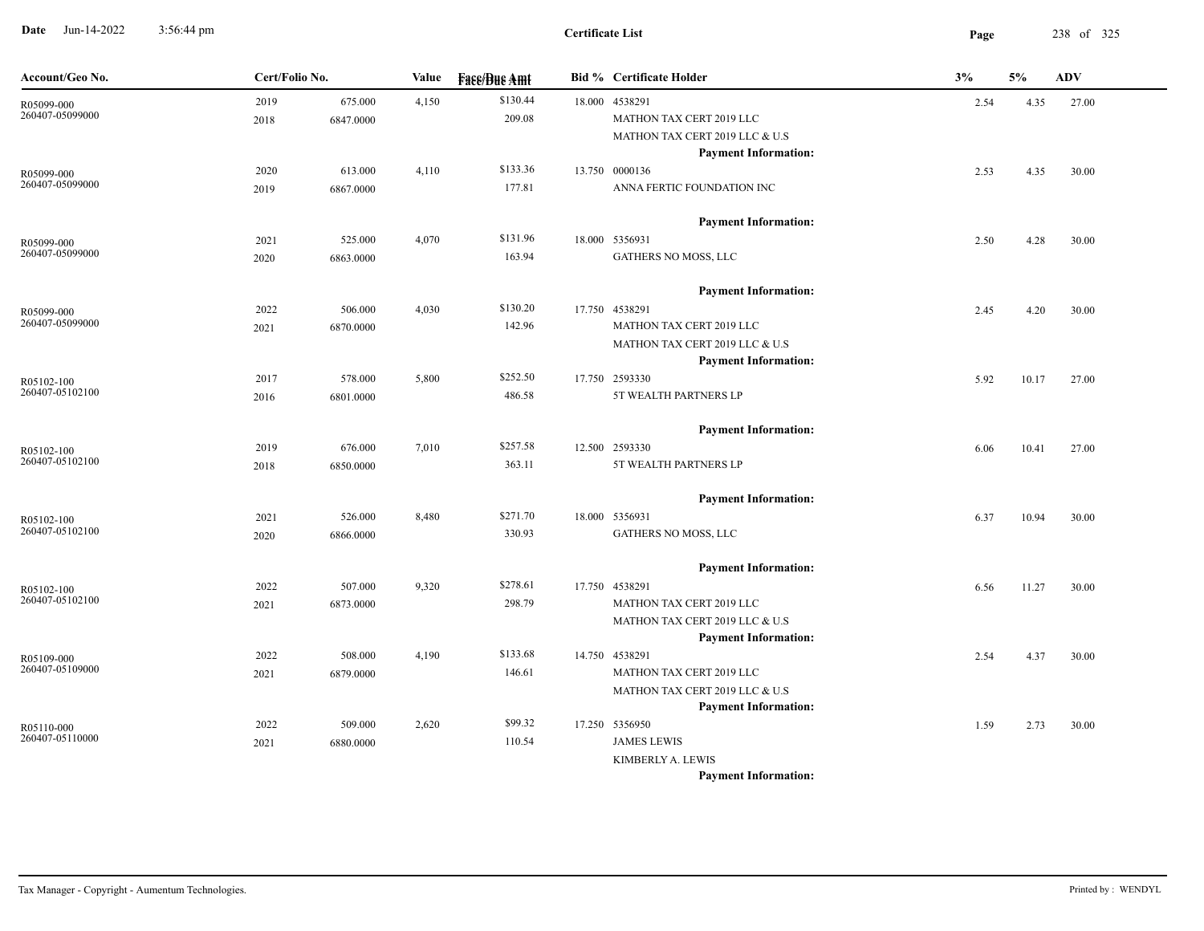**Date** Jun-14-2022 3:56:44 pm **Page** 238 of 325 3:56:44 pm

| Account/Geo No.               | Cert/Folio No. |           | Value | <b>Fase/Bue Amt</b> | <b>Bid % Certificate Holder</b>                               | 3%   | 5%    | ADV   |
|-------------------------------|----------------|-----------|-------|---------------------|---------------------------------------------------------------|------|-------|-------|
| R05099-000                    | 2019           | 675.000   | 4,150 | \$130.44            | 18.000 4538291                                                | 2.54 | 4.35  | 27.00 |
| 260407-05099000               | 2018           | 6847.0000 |       | 209.08              | MATHON TAX CERT 2019 LLC                                      |      |       |       |
|                               |                |           |       |                     | MATHON TAX CERT 2019 LLC & U.S                                |      |       |       |
|                               |                |           |       |                     | <b>Payment Information:</b>                                   |      |       |       |
| R05099-000                    | 2020           | 613.000   | 4,110 | \$133.36            | 13.750 0000136                                                | 2.53 | 4.35  | 30.00 |
| 260407-05099000               | 2019           | 6867.0000 |       | 177.81              | ANNA FERTIC FOUNDATION INC                                    |      |       |       |
|                               |                |           |       |                     | <b>Payment Information:</b>                                   |      |       |       |
| R05099-000                    | 2021           | 525.000   | 4,070 | \$131.96            | 18.000 5356931                                                | 2.50 | 4.28  | 30.00 |
| 260407-05099000               | 2020           | 6863.0000 |       | 163.94              | GATHERS NO MOSS, LLC                                          |      |       |       |
|                               |                |           |       |                     |                                                               |      |       |       |
|                               |                | 506.000   |       | \$130.20            | <b>Payment Information:</b><br>17.750 4538291                 |      |       |       |
| R05099-000<br>260407-05099000 | 2022           | 6870.0000 | 4,030 | 142.96              | MATHON TAX CERT 2019 LLC                                      | 2.45 | 4.20  | 30.00 |
|                               | 2021           |           |       |                     | MATHON TAX CERT 2019 LLC & U.S                                |      |       |       |
|                               |                |           |       |                     | <b>Payment Information:</b>                                   |      |       |       |
| R05102-100                    | 2017           | 578.000   | 5,800 | \$252.50            | 17.750 2593330                                                | 5.92 | 10.17 | 27.00 |
| 260407-05102100               | 2016           | 6801.0000 |       | 486.58              | 5T WEALTH PARTNERS LP                                         |      |       |       |
|                               |                |           |       |                     |                                                               |      |       |       |
|                               |                |           |       |                     | <b>Payment Information:</b>                                   |      |       |       |
| R05102-100                    | 2019           | 676.000   | 7,010 | \$257.58            | 12.500 2593330                                                | 6.06 | 10.41 | 27.00 |
| 260407-05102100               | 2018           | 6850.0000 |       | 363.11              | 5T WEALTH PARTNERS LP                                         |      |       |       |
|                               |                |           |       |                     | <b>Payment Information:</b>                                   |      |       |       |
| R05102-100                    | 2021           | 526.000   | 8,480 | \$271.70            | 18.000 5356931                                                | 6.37 | 10.94 | 30.00 |
| 260407-05102100               | 2020           | 6866.0000 |       | 330.93              | GATHERS NO MOSS, LLC                                          |      |       |       |
|                               |                |           |       |                     |                                                               |      |       |       |
|                               |                |           |       |                     | <b>Payment Information:</b>                                   |      |       |       |
| R05102-100<br>260407-05102100 | 2022           | 507.000   | 9,320 | \$278.61            | 17.750 4538291                                                | 6.56 | 11.27 | 30.00 |
|                               | 2021           | 6873.0000 |       | 298.79              | MATHON TAX CERT 2019 LLC                                      |      |       |       |
|                               |                |           |       |                     | MATHON TAX CERT 2019 LLC & U.S<br><b>Payment Information:</b> |      |       |       |
|                               | 2022           | 508.000   | 4,190 | \$133.68            | 14.750 4538291                                                | 2.54 | 4.37  | 30.00 |
| R05109-000<br>260407-05109000 | 2021           | 6879.0000 |       | 146.61              | MATHON TAX CERT 2019 LLC                                      |      |       |       |
|                               |                |           |       |                     | MATHON TAX CERT 2019 LLC & U.S                                |      |       |       |
|                               |                |           |       |                     | <b>Payment Information:</b>                                   |      |       |       |
| R05110-000                    | 2022           | 509.000   | 2,620 | \$99.32             | 17.250 5356950                                                | 1.59 | 2.73  | 30.00 |
| 260407-05110000               | 2021           | 6880.0000 |       | 110.54              | <b>JAMES LEWIS</b>                                            |      |       |       |
|                               |                |           |       |                     | KIMBERLY A. LEWIS                                             |      |       |       |
|                               |                |           |       |                     | <b>Payment Information:</b>                                   |      |       |       |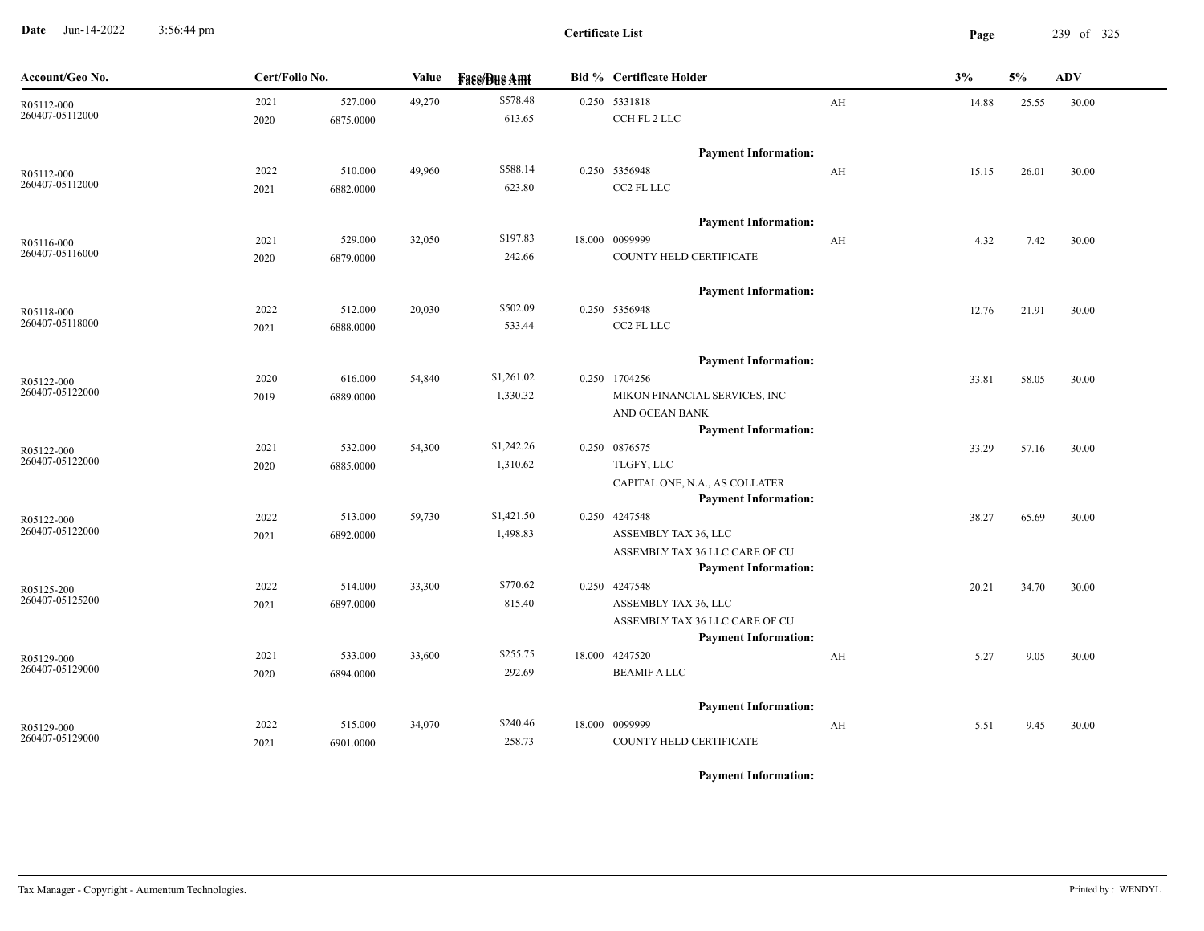**Date** Jun-14-2022 3:56:44 pm **Page** 239 of 325 3:56:44 pm

**Certificate List**

| Account/Geo No.               | Cert/Folio No. |           | Value  | <b>Face/Bue Amt</b> | <b>Bid % Certificate Holder</b>                |    | 3%    | 5%    | <b>ADV</b> |
|-------------------------------|----------------|-----------|--------|---------------------|------------------------------------------------|----|-------|-------|------------|
| R05112-000                    | 2021           | 527.000   | 49,270 | \$578.48            | 0.250 5331818                                  | AH | 14.88 | 25.55 | 30.00      |
| 260407-05112000               | 2020           | 6875.0000 |        | 613.65              | CCH FL 2 LLC                                   |    |       |       |            |
|                               |                |           |        |                     | <b>Payment Information:</b>                    |    |       |       |            |
| R05112-000                    | 2022           | 510.000   | 49,960 | \$588.14            | 0.250 5356948                                  | AH | 15.15 | 26.01 | 30.00      |
| 260407-05112000               | 2021           | 6882.0000 |        | 623.80              | CC2 FL LLC                                     |    |       |       |            |
|                               |                |           |        |                     | <b>Payment Information:</b>                    |    |       |       |            |
| R05116-000                    | 2021           | 529.000   | 32,050 | \$197.83            | 18.000 0099999                                 | AH | 4.32  | 7.42  | 30.00      |
| 260407-05116000               | 2020           | 6879.0000 |        | 242.66              | COUNTY HELD CERTIFICATE                        |    |       |       |            |
|                               |                |           |        |                     | <b>Payment Information:</b>                    |    |       |       |            |
|                               | 2022           | 512.000   | 20,030 | \$502.09            | 0.250 5356948                                  |    | 12.76 | 21.91 | 30.00      |
| R05118-000<br>260407-05118000 | 2021           | 6888.0000 |        | 533.44              | CC2 FL LLC                                     |    |       |       |            |
|                               |                |           |        |                     |                                                |    |       |       |            |
|                               |                |           |        | \$1,261.02          | <b>Payment Information:</b>                    |    |       |       |            |
| R05122-000<br>260407-05122000 | 2020           | 616.000   | 54,840 | 1,330.32            | 0.250 1704256<br>MIKON FINANCIAL SERVICES, INC |    | 33.81 | 58.05 | 30.00      |
|                               | 2019           | 6889.0000 |        |                     | AND OCEAN BANK                                 |    |       |       |            |
|                               |                |           |        |                     | <b>Payment Information:</b>                    |    |       |       |            |
| R05122-000                    | 2021           | 532.000   | 54,300 | \$1,242.26          | 0.250 0876575                                  |    | 33.29 | 57.16 | 30.00      |
| 260407-05122000               | 2020           | 6885.0000 |        | 1,310.62            | TLGFY, LLC                                     |    |       |       |            |
|                               |                |           |        |                     | CAPITAL ONE, N.A., AS COLLATER                 |    |       |       |            |
|                               |                |           |        |                     | <b>Payment Information:</b>                    |    |       |       |            |
| R05122-000                    | 2022           | 513.000   | 59,730 | \$1,421.50          | 0.250 4247548                                  |    | 38.27 | 65.69 | 30.00      |
| 260407-05122000               | 2021           | 6892.0000 |        | 1,498.83            | ASSEMBLY TAX 36, LLC                           |    |       |       |            |
|                               |                |           |        |                     | ASSEMBLY TAX 36 LLC CARE OF CU                 |    |       |       |            |
|                               | 2022           | 514.000   | 33,300 | \$770.62            | <b>Payment Information:</b><br>0.250 4247548   |    |       |       |            |
| R05125-200<br>260407-05125200 | 2021           | 6897.0000 |        | 815.40              | ASSEMBLY TAX 36, LLC                           |    | 20.21 | 34.70 | 30.00      |
|                               |                |           |        |                     | ASSEMBLY TAX 36 LLC CARE OF CU                 |    |       |       |            |
|                               |                |           |        |                     | <b>Payment Information:</b>                    |    |       |       |            |
| R05129-000                    | 2021           | 533.000   | 33,600 | \$255.75            | 18.000 4247520                                 | AH | 5.27  | 9.05  | 30.00      |
| 260407-05129000               | 2020           | 6894.0000 |        | 292.69              | <b>BEAMIF A LLC</b>                            |    |       |       |            |
|                               |                |           |        |                     | <b>Payment Information:</b>                    |    |       |       |            |
| R05129-000                    | 2022           | 515.000   | 34,070 | \$240.46            | 18.000 0099999                                 | AH | 5.51  | 9.45  | 30.00      |
| 260407-05129000               | 2021           | 6901.0000 |        | 258.73              | COUNTY HELD CERTIFICATE                        |    |       |       |            |
|                               |                |           |        |                     |                                                |    |       |       |            |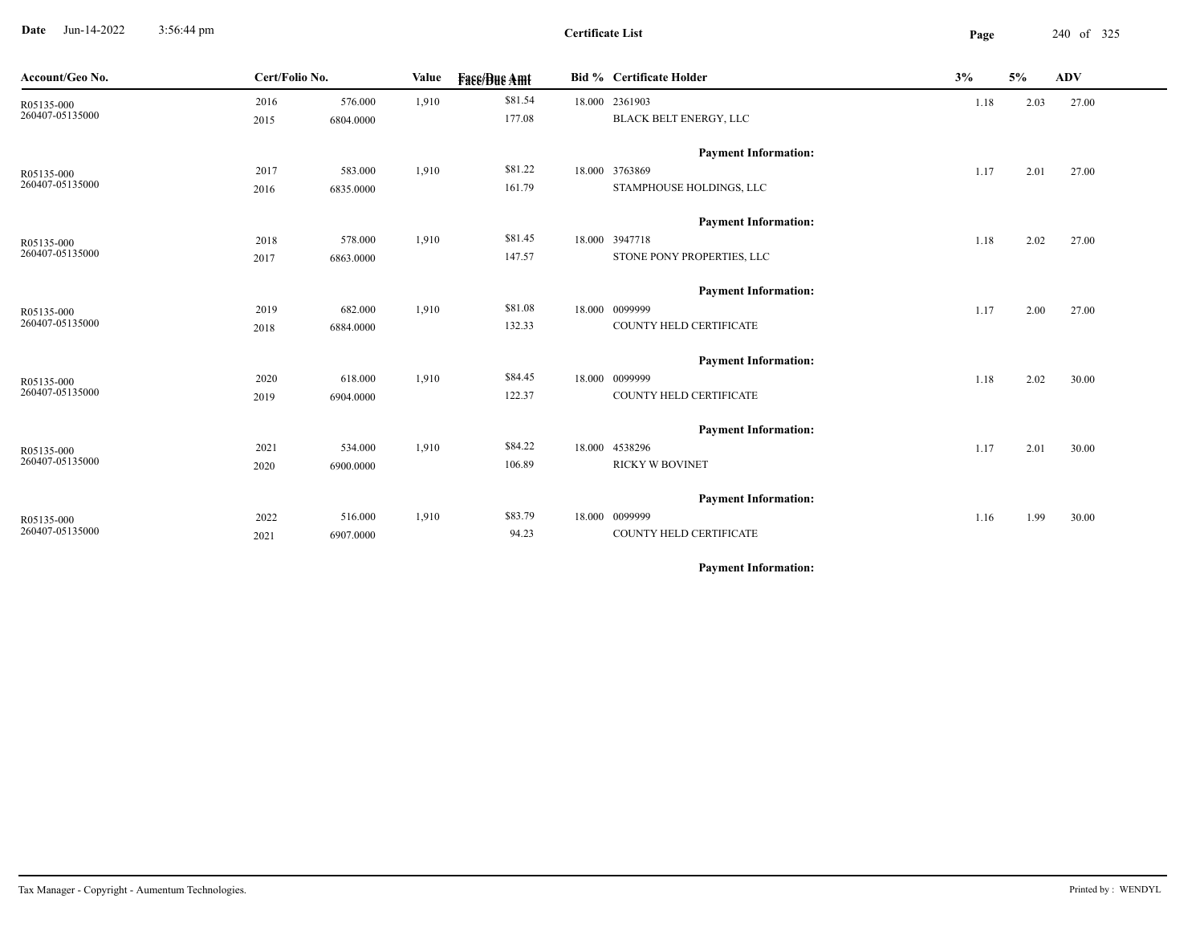**Date** Jun-14-2022 3:56:44 pm **Page** 240 of 325 3:56:44 pm

**Certificate List**

 $\overline{\phantom{a}}$ 

| Account/Geo No. | Cert/Folio No. |           | Value | <b>Face/Bue Amt</b> | <b>Bid % Certificate Holder</b> | 3%   | 5%   | <b>ADV</b> |
|-----------------|----------------|-----------|-------|---------------------|---------------------------------|------|------|------------|
| R05135-000      | 2016           | 576.000   | 1,910 | \$81.54             | 18.000 2361903                  | 1.18 | 2.03 | 27.00      |
| 260407-05135000 | 2015           | 6804.0000 |       | 177.08              | BLACK BELT ENERGY, LLC          |      |      |            |
|                 |                |           |       |                     | <b>Payment Information:</b>     |      |      |            |
| R05135-000      | 2017           | 583.000   | 1,910 | \$81.22             | 18.000 3763869                  | 1.17 | 2.01 | 27.00      |
| 260407-05135000 | 2016           | 6835.0000 |       | 161.79              | STAMPHOUSE HOLDINGS, LLC        |      |      |            |
|                 |                |           |       |                     | <b>Payment Information:</b>     |      |      |            |
| R05135-000      | 2018           | 578.000   | 1,910 | \$81.45             | 18.000 3947718                  | 1.18 | 2.02 | 27.00      |
| 260407-05135000 | 2017           | 6863.0000 |       | 147.57              | STONE PONY PROPERTIES, LLC      |      |      |            |
|                 |                |           |       |                     | <b>Payment Information:</b>     |      |      |            |
| R05135-000      | 2019           | 682.000   | 1,910 | \$81.08             | 18.000 0099999                  | 1.17 | 2.00 | 27.00      |
| 260407-05135000 | 2018           | 6884.0000 |       | 132.33              | COUNTY HELD CERTIFICATE         |      |      |            |
|                 |                |           |       |                     | <b>Payment Information:</b>     |      |      |            |
| R05135-000      | 2020           | 618.000   | 1,910 | \$84.45             | 18.000 0099999                  | 1.18 | 2.02 | 30.00      |
| 260407-05135000 | 2019           | 6904.0000 |       | 122.37              | COUNTY HELD CERTIFICATE         |      |      |            |
|                 |                |           |       |                     | <b>Payment Information:</b>     |      |      |            |
| R05135-000      | 2021           | 534.000   | 1,910 | \$84.22             | 18.000 4538296                  | 1.17 | 2.01 | 30.00      |
| 260407-05135000 | 2020           | 6900.0000 |       | 106.89              | <b>RICKY W BOVINET</b>          |      |      |            |
|                 |                |           |       |                     | <b>Payment Information:</b>     |      |      |            |
| R05135-000      | 2022           | 516.000   | 1,910 | \$83.79             | 18.000 0099999                  | 1.16 | 1.99 | 30.00      |
| 260407-05135000 | 2021           | 6907.0000 |       | 94.23               | COUNTY HELD CERTIFICATE         |      |      |            |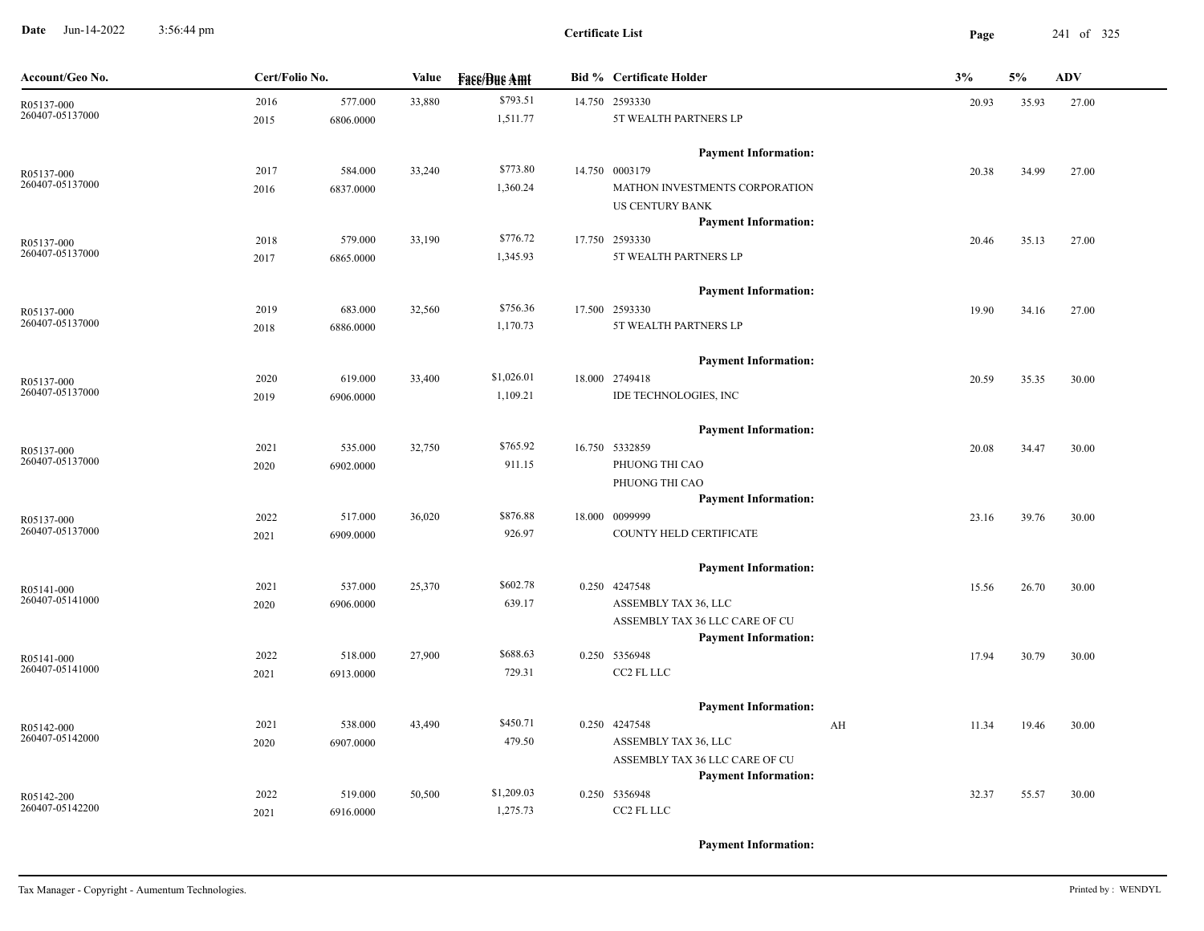**Date** Jun-14-2022 3:56:44 pm **Page** 241 of 325 3:56:44 pm

**Certificate List**

| Account/Geo No.               | Cert/Folio No. |           | Value  | <b>Face/Bue Amt</b> | <b>Bid % Certificate Holder</b>                               | 3%          | 5%    | <b>ADV</b> |
|-------------------------------|----------------|-----------|--------|---------------------|---------------------------------------------------------------|-------------|-------|------------|
| R05137-000                    | 2016           | 577.000   | 33,880 | \$793.51            | 14.750 2593330                                                | 20.93       | 35.93 | 27.00      |
| 260407-05137000               | 2015           | 6806.0000 |        | 1,511.77            | 5T WEALTH PARTNERS LP                                         |             |       |            |
|                               |                |           |        |                     | <b>Payment Information:</b>                                   |             |       |            |
| R05137-000                    | 2017           | 584.000   | 33,240 | \$773.80            | 14.750 0003179                                                | 20.38       | 34.99 | 27.00      |
| 260407-05137000               | 2016           | 6837.0000 |        | 1,360.24            | MATHON INVESTMENTS CORPORATION                                |             |       |            |
|                               |                |           |        |                     | US CENTURY BANK                                               |             |       |            |
|                               |                |           |        |                     | <b>Payment Information:</b>                                   |             |       |            |
| R05137-000                    | 2018           | 579.000   | 33,190 | \$776.72            | 17.750 2593330                                                | 20.46       | 35.13 | 27.00      |
| 260407-05137000               | 2017           | 6865.0000 |        | 1,345.93            | 5T WEALTH PARTNERS LP                                         |             |       |            |
|                               |                |           |        |                     | <b>Payment Information:</b>                                   |             |       |            |
| R05137-000                    | 2019           | 683.000   | 32,560 | \$756.36            | 17.500 2593330                                                | 19.90       | 34.16 | 27.00      |
| 260407-05137000               | 2018           | 6886.0000 |        | 1,170.73            | 5T WEALTH PARTNERS LP                                         |             |       |            |
|                               |                |           |        |                     | <b>Payment Information:</b>                                   |             |       |            |
| R05137-000                    | 2020           | 619.000   | 33,400 | \$1,026.01          | 18.000 2749418                                                | 20.59       | 35.35 | 30.00      |
| 260407-05137000               | 2019           | 6906.0000 |        | 1,109.21            | IDE TECHNOLOGIES, INC                                         |             |       |            |
|                               |                |           |        |                     | <b>Payment Information:</b>                                   |             |       |            |
| R05137-000                    | 2021           | 535.000   | 32,750 | \$765.92            | 16.750 5332859                                                | 20.08       | 34.47 | 30.00      |
| 260407-05137000               | 2020           | 6902.0000 |        | 911.15              | PHUONG THI CAO                                                |             |       |            |
|                               |                |           |        |                     | PHUONG THI CAO                                                |             |       |            |
|                               |                |           |        |                     | <b>Payment Information:</b>                                   |             |       |            |
| R05137-000                    | 2022           | 517.000   | 36,020 | \$876.88            | 18.000 0099999                                                | 23.16       | 39.76 | 30.00      |
| 260407-05137000               | 2021           | 6909.0000 |        | 926.97              | COUNTY HELD CERTIFICATE                                       |             |       |            |
|                               |                |           |        |                     | <b>Payment Information:</b>                                   |             |       |            |
| R05141-000                    | 2021           | 537.000   | 25,370 | \$602.78            | 0.250 4247548                                                 | 15.56       | 26.70 | 30.00      |
| 260407-05141000               | 2020           | 6906.0000 |        | 639.17              | ASSEMBLY TAX 36, LLC                                          |             |       |            |
|                               |                |           |        |                     | ASSEMBLY TAX 36 LLC CARE OF CU                                |             |       |            |
|                               |                |           |        |                     | <b>Payment Information:</b>                                   |             |       |            |
| R05141-000                    | 2022           | 518.000   | 27,900 | \$688.63            | 0.250 5356948                                                 | 17.94       | 30.79 | 30.00      |
| 260407-05141000               | 2021           | 6913.0000 |        | 729.31              | CC2 FL LLC                                                    |             |       |            |
|                               |                |           |        |                     | <b>Payment Information:</b>                                   |             |       |            |
| R05142-000                    | 2021           | 538.000   | 43,490 | \$450.71            | 0.250 4247548                                                 | AH<br>11.34 | 19.46 | 30.00      |
| 260407-05142000               | 2020           | 6907.0000 |        | 479.50              | ASSEMBLY TAX 36, LLC                                          |             |       |            |
|                               |                |           |        |                     | ASSEMBLY TAX 36 LLC CARE OF CU<br><b>Payment Information:</b> |             |       |            |
|                               | 2022           | 519.000   | 50,500 | \$1,209.03          | 0.250 5356948                                                 | 32.37       | 55.57 | 30.00      |
| R05142-200<br>260407-05142200 | 2021           | 6916.0000 |        | 1,275.73            | CC2 FL LLC                                                    |             |       |            |
|                               |                |           |        |                     |                                                               |             |       |            |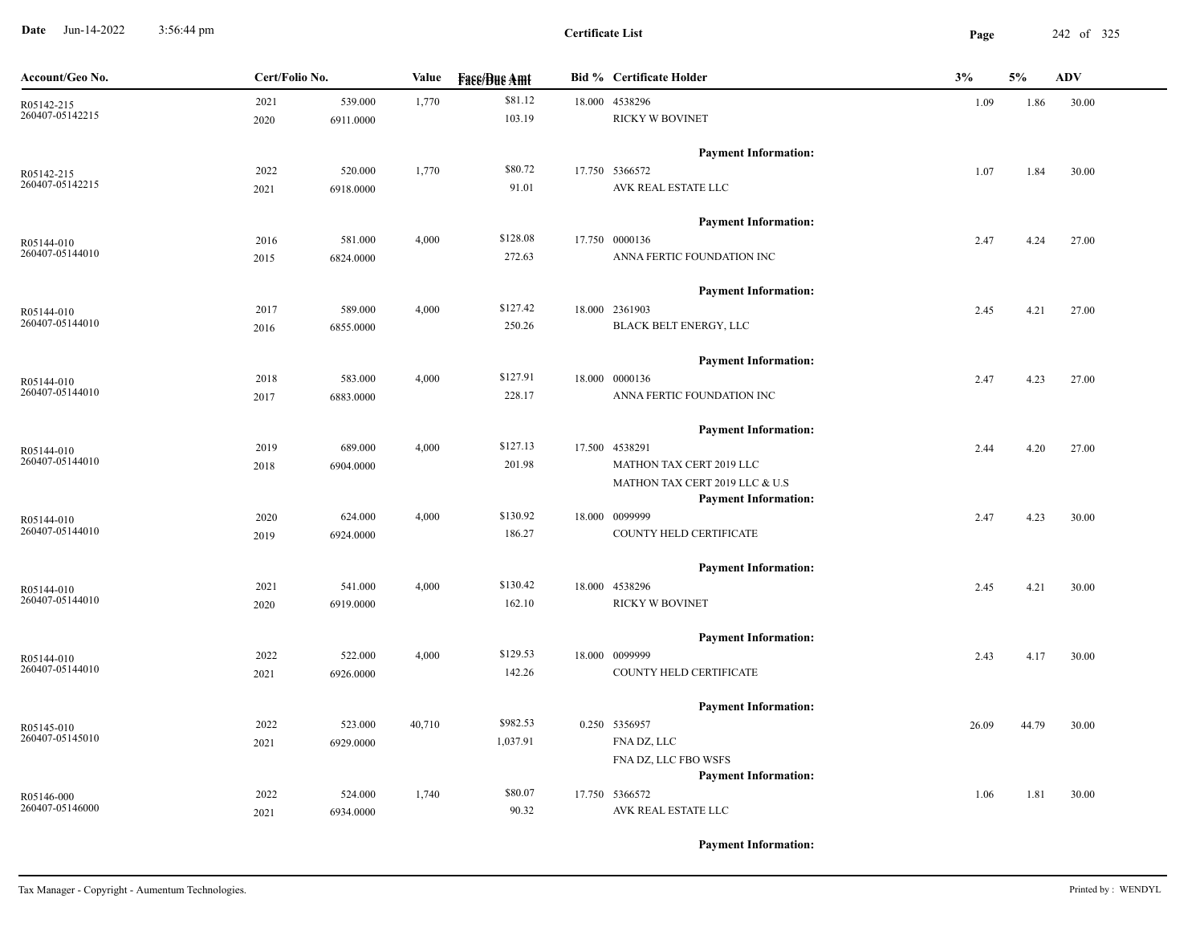**Date** Jun-14-2022 3:56:44 pm **Page** 242 of 325 3:56:44 pm

| Account/Geo No.               | Cert/Folio No.    | Value             | <b>Face/Bue Amt</b> | <b>Bid % Certificate Holder</b>                               | 3%    | 5%    | <b>ADV</b> |
|-------------------------------|-------------------|-------------------|---------------------|---------------------------------------------------------------|-------|-------|------------|
| R05142-215                    | 2021              | 539.000<br>1,770  | \$81.12             | 18.000 4538296                                                | 1.09  | 1.86  | 30.00      |
| 260407-05142215               | 2020<br>6911.0000 |                   | 103.19              | <b>RICKY W BOVINET</b>                                        |       |       |            |
|                               |                   |                   |                     | <b>Payment Information:</b>                                   |       |       |            |
| R05142-215                    | 2022              | 1,770<br>520.000  | \$80.72             | 17.750 5366572                                                | 1.07  | 1.84  | 30.00      |
| 260407-05142215               | 6918.0000<br>2021 |                   | 91.01               | AVK REAL ESTATE LLC                                           |       |       |            |
|                               |                   |                   |                     | <b>Payment Information:</b>                                   |       |       |            |
| R05144-010                    | 2016              | 581.000<br>4,000  | \$128.08            | 17.750 0000136                                                | 2.47  | 4.24  | 27.00      |
| 260407-05144010               | 2015<br>6824.0000 |                   | 272.63              | ANNA FERTIC FOUNDATION INC                                    |       |       |            |
|                               |                   |                   |                     | <b>Payment Information:</b>                                   |       |       |            |
| R05144-010                    | 2017              | 589.000<br>4,000  | \$127.42            | 18.000 2361903                                                | 2.45  | 4.21  | 27.00      |
| 260407-05144010               | 6855.0000<br>2016 |                   | 250.26              | BLACK BELT ENERGY, LLC                                        |       |       |            |
|                               |                   |                   |                     | <b>Payment Information:</b>                                   |       |       |            |
| R05144-010                    | 2018              | 4,000<br>583.000  | \$127.91            | 18.000 0000136                                                | 2.47  | 4.23  | 27.00      |
| 260407-05144010               | 2017<br>6883.0000 |                   | 228.17              | ANNA FERTIC FOUNDATION INC                                    |       |       |            |
|                               |                   |                   |                     | <b>Payment Information:</b>                                   |       |       |            |
| R05144-010                    | 2019              | 689.000<br>4,000  | \$127.13            | 17.500 4538291                                                | 2.44  | 4.20  | 27.00      |
| 260407-05144010               | 6904.0000<br>2018 |                   | 201.98              | MATHON TAX CERT 2019 LLC                                      |       |       |            |
|                               |                   |                   |                     | MATHON TAX CERT 2019 LLC & U.S<br><b>Payment Information:</b> |       |       |            |
|                               | 2020              | 624.000<br>4,000  | \$130.92            | 18.000 0099999                                                | 2.47  | 4.23  | 30.00      |
| R05144-010<br>260407-05144010 | 2019<br>6924.0000 |                   | 186.27              | COUNTY HELD CERTIFICATE                                       |       |       |            |
|                               |                   |                   |                     |                                                               |       |       |            |
|                               | 2021              | 4,000<br>541.000  | \$130.42            | <b>Payment Information:</b><br>18.000 4538296                 |       |       |            |
| R05144-010<br>260407-05144010 | 6919.0000<br>2020 |                   | 162.10              | RICKY W BOVINET                                               | 2.45  | 4.21  | 30.00      |
|                               |                   |                   |                     |                                                               |       |       |            |
|                               |                   |                   | \$129.53            | <b>Payment Information:</b>                                   |       |       |            |
| R05144-010<br>260407-05144010 | 2022              | 4,000<br>522.000  |                     | 18.000 0099999                                                | 2.43  | 4.17  | 30.00      |
|                               | 2021<br>6926.0000 |                   | 142.26              | COUNTY HELD CERTIFICATE                                       |       |       |            |
|                               |                   |                   |                     | <b>Payment Information:</b>                                   |       |       |            |
| R05145-010<br>260407-05145010 | 2022              | 523.000<br>40,710 | \$982.53            | 0.250 5356957                                                 | 26.09 | 44.79 | 30.00      |
|                               | 6929.0000<br>2021 |                   | 1,037.91            | FNA DZ, LLC                                                   |       |       |            |
|                               |                   |                   |                     | FNA DZ, LLC FBO WSFS<br><b>Payment Information:</b>           |       |       |            |
| R05146-000                    | 2022              | 524.000<br>1,740  | \$80.07             | 17.750 5366572                                                | 1.06  | 1.81  | 30.00      |
| 260407-05146000               | 6934.0000<br>2021 |                   | 90.32               | AVK REAL ESTATE LLC                                           |       |       |            |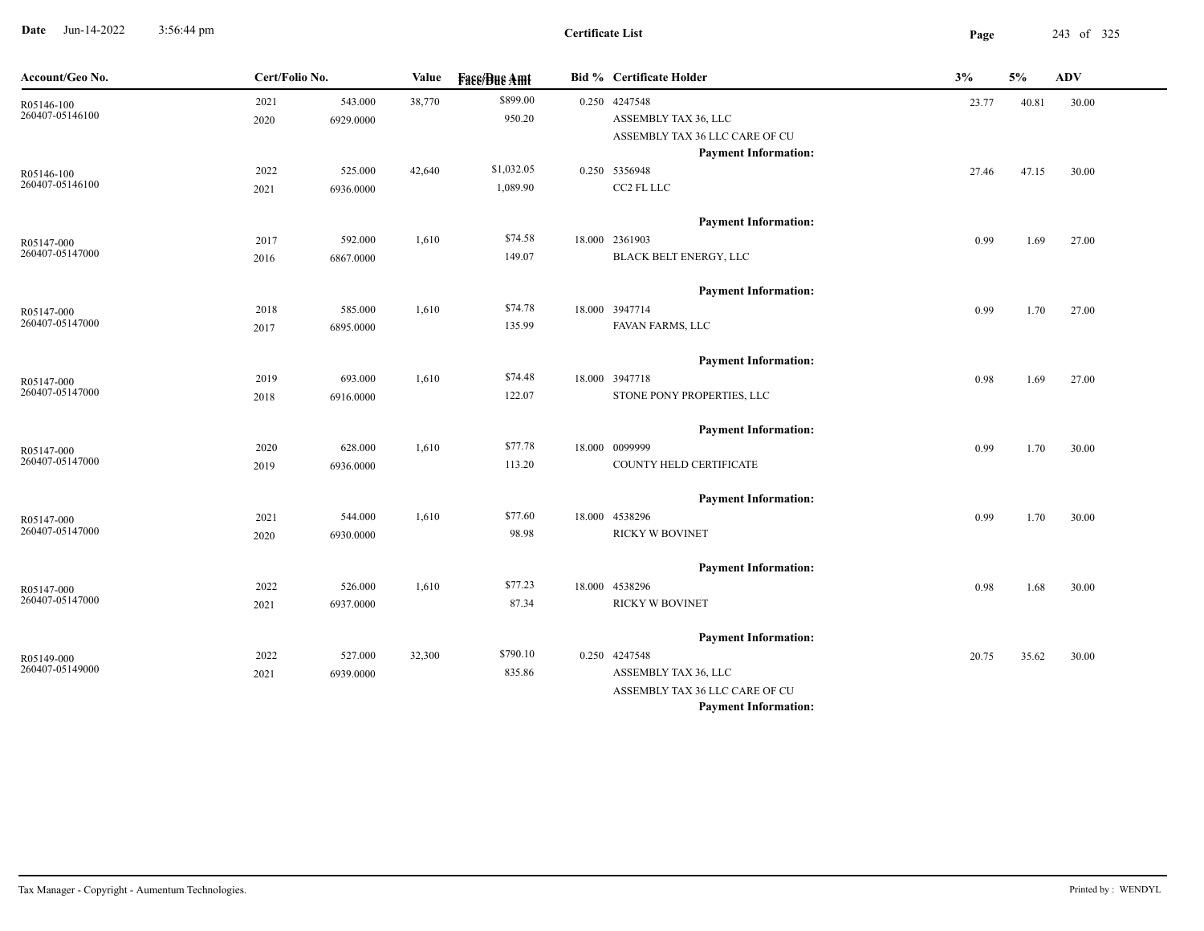**Date** Jun-14-2022 3:56:44 pm **Page** 243 of 325 3:56:44 pm

-

| Account/Geo No.               | Cert/Folio No. |                      | Value  | <b>Fase/Bue Amt</b> | <b>Bid % Certificate Holder</b>       | 3%    | 5%    | ${\bf A}{\bf D}{\bf V}$ |  |
|-------------------------------|----------------|----------------------|--------|---------------------|---------------------------------------|-------|-------|-------------------------|--|
| R05146-100<br>260407-05146100 | 2021           | 543.000              | 38,770 | \$899.00            | 0.250 4247548                         | 23.77 | 40.81 | 30.00                   |  |
|                               | 2020           | 6929.0000            |        | 950.20              | ASSEMBLY TAX 36, LLC                  |       |       |                         |  |
|                               |                |                      |        |                     | ASSEMBLY TAX 36 LLC CARE OF CU        |       |       |                         |  |
|                               |                |                      |        |                     | <b>Payment Information:</b>           |       |       |                         |  |
| R05146-100<br>260407-05146100 | 2022           | 525.000              | 42,640 | \$1,032.05          | 0.250 5356948                         | 27.46 | 47.15 | 30.00                   |  |
|                               | 2021           | 6936.0000            |        | 1,089.90            | CC2 FL LLC                            |       |       |                         |  |
|                               |                |                      |        |                     | <b>Payment Information:</b>           |       |       |                         |  |
| R05147-000                    | 2017           | 592.000              | 1,610  | \$74.58             | 18.000 2361903                        | 0.99  | 1.69  | 27.00                   |  |
| 260407-05147000               | 2016           | 6867.0000            |        | 149.07              | BLACK BELT ENERGY, LLC                |       |       |                         |  |
|                               |                |                      |        |                     | <b>Payment Information:</b>           |       |       |                         |  |
| R05147-000                    | 2018           | 585.000              | 1,610  | \$74.78             | 18.000 3947714                        | 0.99  | 1.70  | 27.00                   |  |
| 260407-05147000               | 2017           | 6895.0000            |        | 135.99              | FAVAN FARMS, LLC                      |       |       |                         |  |
|                               |                |                      |        |                     | <b>Payment Information:</b>           |       |       |                         |  |
| R05147-000                    | 2019           | 693.000              | 1,610  | \$74.48             | 18.000 3947718                        | 0.98  | 1.69  | 27.00                   |  |
| 260407-05147000               | 2018           | 6916.0000            |        | 122.07              | STONE PONY PROPERTIES, LLC            |       |       |                         |  |
|                               |                |                      |        |                     | <b>Payment Information:</b>           |       |       |                         |  |
| R05147-000                    | 2020           | 628.000              | 1,610  | \$77.78             | 18.000 0099999                        | 0.99  | 1.70  | 30.00                   |  |
| 260407-05147000               | 2019           | 6936.0000            |        | 113.20              | COUNTY HELD CERTIFICATE               |       |       |                         |  |
|                               |                |                      |        |                     | <b>Payment Information:</b>           |       |       |                         |  |
| R05147-000                    | 2021           | 544.000              | 1,610  | \$77.60             | 18.000 4538296                        | 0.99  | 1.70  | 30.00                   |  |
| 260407-05147000               | 2020           | 6930.0000            |        | 98.98               | <b>RICKY W BOVINET</b>                |       |       |                         |  |
|                               |                |                      |        |                     | <b>Payment Information:</b>           |       |       |                         |  |
| R05147-000                    | 2022           | 526.000              | 1,610  | \$77.23             | 18.000 4538296                        | 0.98  | 1.68  | 30.00                   |  |
| 260407-05147000               | 2021           | 6937.0000            |        | 87.34               | <b>RICKY W BOVINET</b>                |       |       |                         |  |
|                               |                |                      |        |                     |                                       |       |       |                         |  |
|                               |                |                      |        | \$790.10            | <b>Payment Information:</b>           |       |       |                         |  |
| R05149-000<br>260407-05149000 | 2022<br>2021   | 527.000<br>6939.0000 | 32,300 | 835.86              | 0.250 4247548<br>ASSEMBLY TAX 36, LLC | 20.75 | 35.62 | 30.00                   |  |
|                               |                |                      |        |                     | ASSEMBLY TAX 36 LLC CARE OF CU        |       |       |                         |  |
|                               |                |                      |        |                     | <b>Payment Information:</b>           |       |       |                         |  |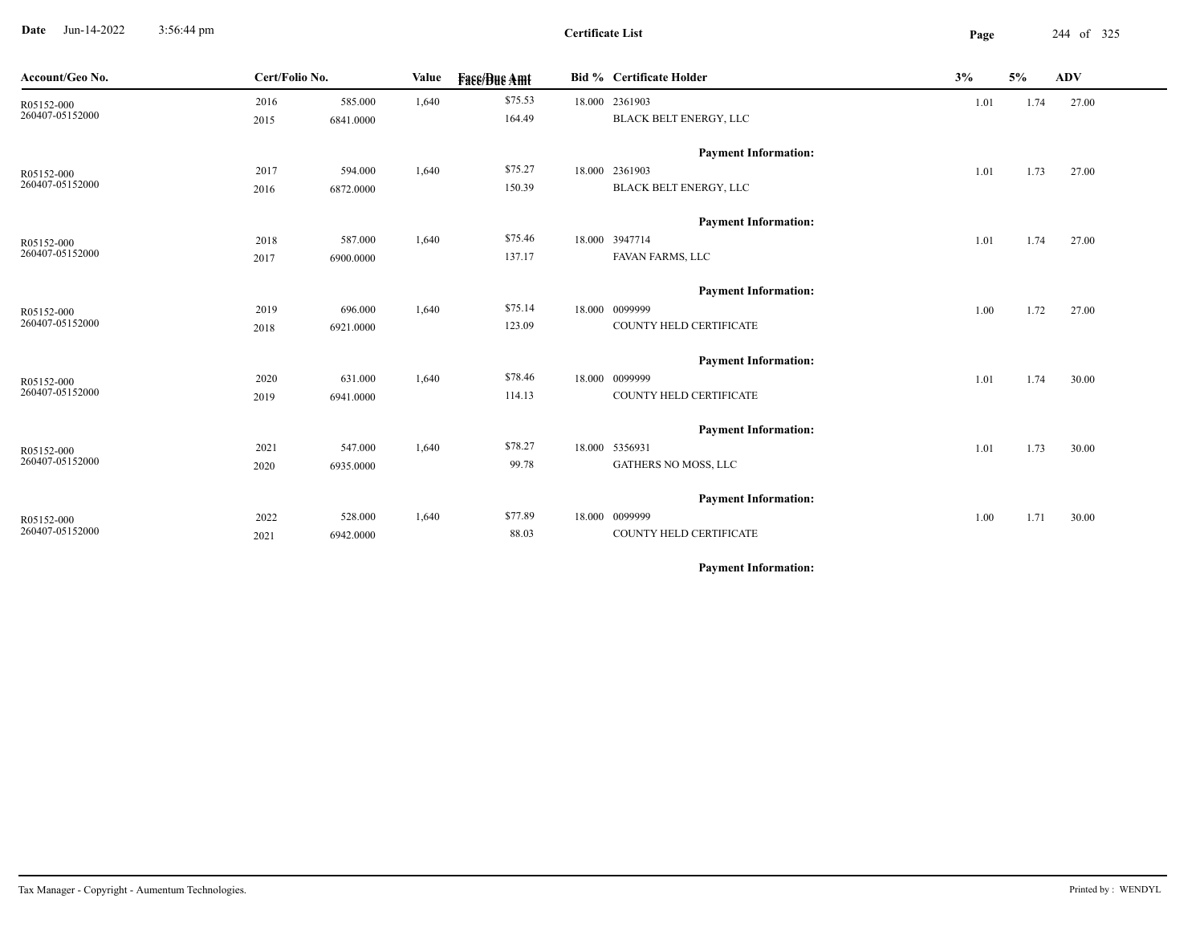**Date** Jun-14-2022 3:56:44 pm **Page** 244 of 325 3:56:44 pm

**Certificate List**

-

| Account/Geo No.               | Cert/Folio No. |                      | <b>Value</b> | <b>Fass/Bus Amt</b> | <b>Bid % Certificate Holder</b>               | 3%                                   | 5%   | <b>ADV</b> |  |
|-------------------------------|----------------|----------------------|--------------|---------------------|-----------------------------------------------|--------------------------------------|------|------------|--|
| R05152-000                    | 2016           | 585.000              | 1,640        | \$75.53             | 18.000 2361903                                | 1.01                                 | 1.74 | 27.00      |  |
| 260407-05152000               | 2015           | 6841.0000            |              | 164.49              | BLACK BELT ENERGY, LLC                        | 1.01<br>1.01<br>1.00<br>1.01<br>1.01 |      |            |  |
|                               |                |                      |              |                     | <b>Payment Information:</b>                   |                                      |      |            |  |
| R05152-000                    | 2017           | 594.000              | 1,640        | \$75.27             | 18.000 2361903                                |                                      | 1.73 | 27.00      |  |
| 260407-05152000               | 2016           | 6872.0000            |              | 150.39              | <b>BLACK BELT ENERGY, LLC</b>                 |                                      |      |            |  |
|                               |                |                      |              |                     |                                               |                                      |      |            |  |
|                               |                |                      |              |                     | <b>Payment Information:</b>                   |                                      |      |            |  |
| R05152-000                    | 2018           | 587.000              | 1,640        | \$75.46             | 18.000 3947714                                |                                      | 1.74 | 27.00      |  |
| 260407-05152000               | 2017           | 6900.0000            |              | 137.17              | FAVAN FARMS, LLC                              |                                      |      |            |  |
|                               |                |                      |              |                     | <b>Payment Information:</b>                   |                                      |      |            |  |
| R05152-000                    | 2019           | 696.000              | 1,640        | \$75.14             | 18.000 0099999                                |                                      | 1.72 | 27.00      |  |
| 260407-05152000               | 2018           | 6921.0000            |              | 123.09              | COUNTY HELD CERTIFICATE                       |                                      |      |            |  |
|                               |                |                      |              |                     |                                               |                                      |      |            |  |
|                               |                |                      |              | \$78.46             | <b>Payment Information:</b><br>18.000 0099999 |                                      |      |            |  |
| R05152-000<br>260407-05152000 | 2020<br>2019   | 631.000<br>6941.0000 | 1,640        | 114.13              | COUNTY HELD CERTIFICATE                       |                                      | 1.74 | 30.00      |  |
|                               |                |                      |              |                     |                                               |                                      |      |            |  |
|                               |                |                      |              |                     | <b>Payment Information:</b>                   |                                      |      |            |  |
| R05152-000                    | 2021           | 547.000              | 1,640        | \$78.27             | 18.000 5356931                                |                                      | 1.73 | 30.00      |  |
| 260407-05152000               | 2020           | 6935.0000            |              | 99.78               | GATHERS NO MOSS, LLC                          |                                      |      |            |  |
|                               |                |                      |              |                     | <b>Payment Information:</b>                   |                                      |      |            |  |
|                               | 2022           | 528.000              | 1,640        | \$77.89             | 18.000 0099999                                |                                      | 1.71 |            |  |
| R05152-000<br>260407-05152000 | 2021           | 6942.0000            |              | 88.03               | COUNTY HELD CERTIFICATE                       | 1.00                                 |      | 30.00      |  |
|                               |                |                      |              |                     |                                               |                                      |      |            |  |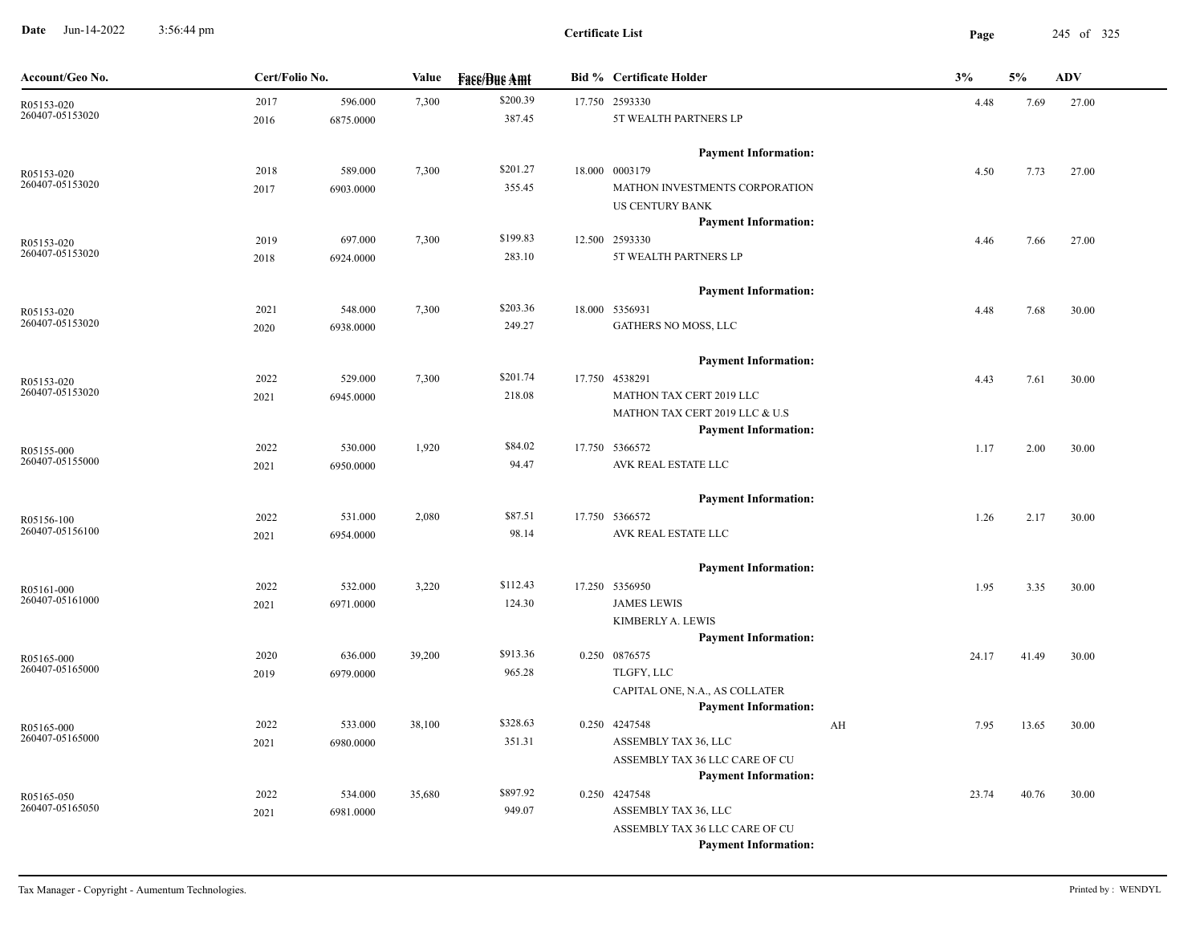**Date** Jun-14-2022 3:56:44 pm **Page** 245 of 325 3:56:44 pm

| Account/Geo No.               | Cert/Folio No. |           | Value  | <b>Fase/Bue Amt</b> | <b>Bid % Certificate Holder</b>       |    | 3%    | 5%    | <b>ADV</b> |
|-------------------------------|----------------|-----------|--------|---------------------|---------------------------------------|----|-------|-------|------------|
| R05153-020                    | 2017           | 596.000   | 7,300  | \$200.39            | 17.750 2593330                        |    | 4.48  | 7.69  | 27.00      |
| 260407-05153020               | 2016           | 6875.0000 |        | 387.45              | 5T WEALTH PARTNERS LP                 |    |       |       |            |
|                               |                |           |        |                     | <b>Payment Information:</b>           |    |       |       |            |
| R05153-020<br>260407-05153020 | 2018           | 589.000   | 7,300  | \$201.27            | 18.000 0003179                        |    | 4.50  | 7.73  | 27.00      |
|                               | 2017           | 6903.0000 |        | 355.45              | MATHON INVESTMENTS CORPORATION        |    |       |       |            |
|                               |                |           |        |                     | US CENTURY BANK                       |    |       |       |            |
|                               |                |           |        |                     | <b>Payment Information:</b>           |    |       |       |            |
| R05153-020                    | 2019           | 697.000   | 7,300  | \$199.83            | 12.500 2593330                        |    | 4.46  | 7.66  | 27.00      |
| 260407-05153020               | 2018           | 6924.0000 |        | 283.10              | 5T WEALTH PARTNERS LP                 |    |       |       |            |
|                               |                |           |        |                     | <b>Payment Information:</b>           |    |       |       |            |
| R05153-020                    | 2021           | 548.000   | 7,300  | \$203.36            | 18.000 5356931                        |    | 4.48  | 7.68  | 30.00      |
| 260407-05153020               | 2020           | 6938.0000 |        | 249.27              | GATHERS NO MOSS, LLC                  |    |       |       |            |
|                               |                |           |        |                     | <b>Payment Information:</b>           |    |       |       |            |
| R05153-020                    | 2022           | 529.000   | 7,300  | \$201.74            | 17.750 4538291                        |    | 4.43  | 7.61  | 30.00      |
| 260407-05153020               | 2021           | 6945.0000 |        | 218.08              | MATHON TAX CERT 2019 LLC              |    |       |       |            |
|                               |                |           |        |                     | MATHON TAX CERT 2019 LLC & U.S        |    |       |       |            |
|                               |                |           |        |                     | <b>Payment Information:</b>           |    |       |       |            |
| R05155-000                    | 2022           | 530.000   | 1,920  | \$84.02             | 17.750 5366572                        |    | 1.17  | 2.00  | 30.00      |
| 260407-05155000               | 2021           | 6950.0000 |        | 94.47               | AVK REAL ESTATE LLC                   |    |       |       |            |
|                               |                |           |        |                     | <b>Payment Information:</b>           |    |       |       |            |
| R05156-100                    | 2022           | 531.000   | 2,080  | \$87.51             | 17.750 5366572                        |    | 1.26  | 2.17  | 30.00      |
| 260407-05156100               | 2021           | 6954.0000 |        | 98.14               | AVK REAL ESTATE LLC                   |    |       |       |            |
|                               |                |           |        |                     | <b>Payment Information:</b>           |    |       |       |            |
| R05161-000                    | 2022           | 532.000   | 3,220  | \$112.43            | 17.250 5356950                        |    | 1.95  | 3.35  | 30.00      |
| 260407-05161000               | 2021           | 6971.0000 |        | 124.30              | <b>JAMES LEWIS</b>                    |    |       |       |            |
|                               |                |           |        |                     | KIMBERLY A. LEWIS                     |    |       |       |            |
|                               |                |           |        |                     | <b>Payment Information:</b>           |    |       |       |            |
| R05165-000                    | 2020           | 636.000   | 39,200 | \$913.36            | 0.250 0876575                         |    | 24.17 | 41.49 | 30.00      |
| 260407-05165000               | 2019           | 6979.0000 |        | 965.28              | TLGFY, LLC                            |    |       |       |            |
|                               |                |           |        |                     | CAPITAL ONE, N.A., AS COLLATER        |    |       |       |            |
|                               |                |           |        |                     | <b>Payment Information:</b>           |    |       |       |            |
| R05165-000<br>260407-05165000 | 2022           | 533.000   | 38,100 | \$328.63            | 0.250 4247548                         | AH | 7.95  | 13.65 | 30.00      |
|                               | 2021           | 6980.0000 |        | 351.31              | ASSEMBLY TAX 36, LLC                  |    |       |       |            |
|                               |                |           |        |                     | ASSEMBLY TAX 36 LLC CARE OF CU        |    |       |       |            |
|                               |                |           |        | \$897.92            | <b>Payment Information:</b>           |    |       |       |            |
| R05165-050<br>260407-05165050 | 2022           | 534.000   | 35,680 | 949.07              | 0.250 4247548<br>ASSEMBLY TAX 36, LLC |    | 23.74 | 40.76 | 30.00      |
|                               | 2021           | 6981.0000 |        |                     | ASSEMBLY TAX 36 LLC CARE OF CU        |    |       |       |            |
|                               |                |           |        |                     | <b>Payment Information:</b>           |    |       |       |            |
|                               |                |           |        |                     |                                       |    |       |       |            |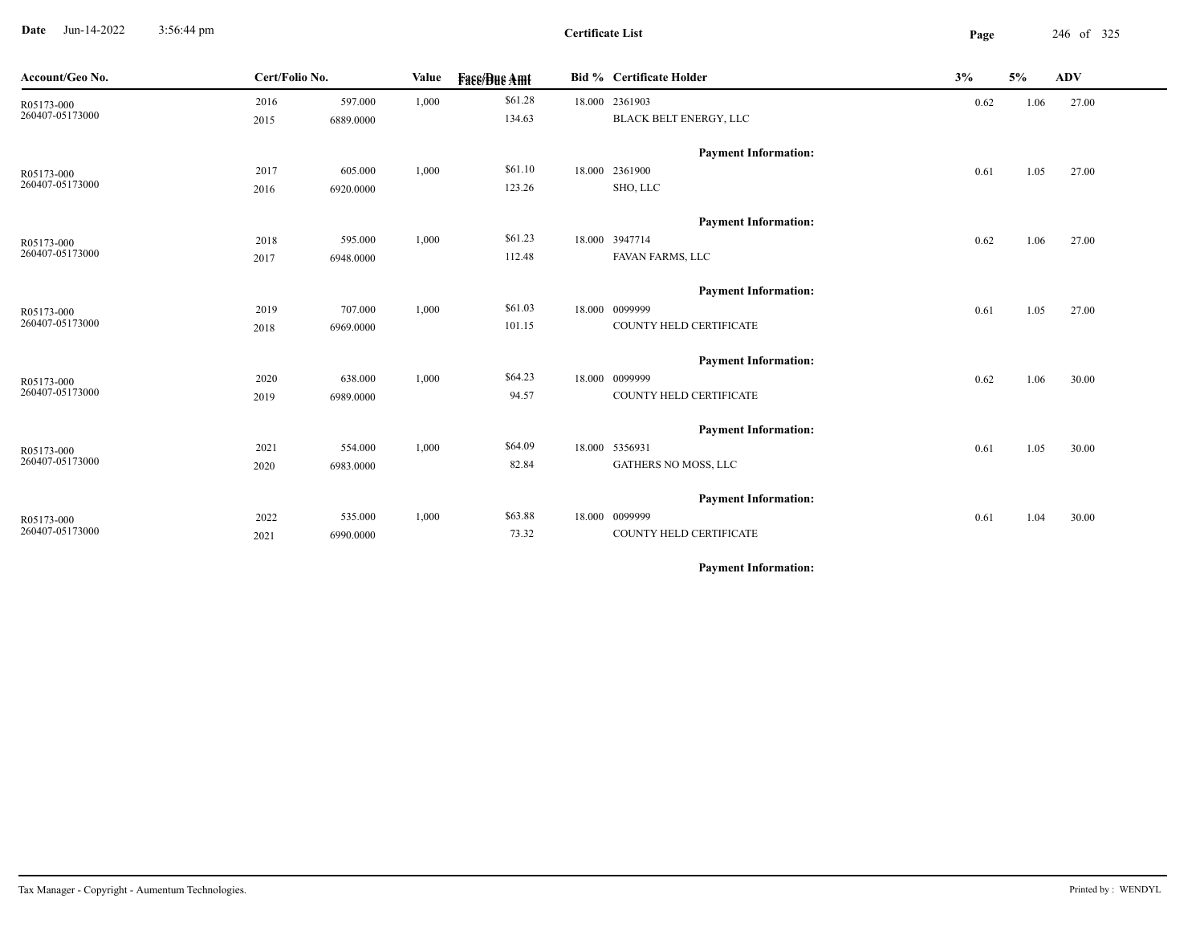**Date** Jun-14-2022 3:56:44 pm **Page** 246 of 325 3:56:44 pm

**Certificate List**

| Account/Geo No.               | Cert/Folio No. |           | Value | <b>Fase/Bue Amt</b> | <b>Bid % Certificate Holder</b> | 3%   | 5%   | ADV   |
|-------------------------------|----------------|-----------|-------|---------------------|---------------------------------|------|------|-------|
| R05173-000                    | 2016           | 597.000   | 1,000 | \$61.28             | 18.000 2361903                  | 0.62 | 1.06 | 27.00 |
| 260407-05173000               | 2015           | 6889.0000 |       | 134.63              | BLACK BELT ENERGY, LLC          |      |      |       |
|                               |                |           |       |                     | <b>Payment Information:</b>     |      |      |       |
|                               | 2017           | 605.000   | 1,000 | \$61.10             | 18.000 2361900                  | 0.61 | 1.05 | 27.00 |
| R05173-000<br>260407-05173000 | 2016           | 6920.0000 |       | 123.26              | SHO, LLC                        |      |      |       |
|                               |                |           |       |                     |                                 |      |      |       |
|                               |                |           |       |                     | <b>Payment Information:</b>     |      |      |       |
| R05173-000                    | 2018           | 595.000   | 1,000 | \$61.23             | 18.000 3947714                  | 0.62 | 1.06 | 27.00 |
| 260407-05173000               | 2017           | 6948.0000 |       | 112.48              | FAVAN FARMS, LLC                |      |      |       |
|                               |                |           |       |                     | <b>Payment Information:</b>     |      |      |       |
| R05173-000                    | 2019           | 707.000   | 1,000 | \$61.03             | 18.000 0099999                  | 0.61 | 1.05 | 27.00 |
| 260407-05173000               | 2018           | 6969.0000 |       | 101.15              | COUNTY HELD CERTIFICATE         |      |      |       |
|                               |                |           |       |                     |                                 |      |      |       |
|                               |                |           |       |                     | <b>Payment Information:</b>     |      |      |       |
| R05173-000<br>260407-05173000 | 2020           | 638.000   | 1,000 | \$64.23             | 18.000 0099999                  | 0.62 | 1.06 | 30.00 |
|                               | 2019           | 6989.0000 |       | 94.57               | COUNTY HELD CERTIFICATE         |      |      |       |
|                               |                |           |       |                     | <b>Payment Information:</b>     |      |      |       |
| R05173-000                    | 2021           | 554.000   | 1,000 | \$64.09             | 18.000 5356931                  | 0.61 | 1.05 | 30.00 |
| 260407-05173000               | 2020           | 6983.0000 |       | 82.84               | GATHERS NO MOSS, LLC            |      |      |       |
|                               |                |           |       |                     |                                 |      |      |       |
|                               |                |           |       |                     | <b>Payment Information:</b>     |      |      |       |
| R05173-000<br>260407-05173000 | 2022           | 535.000   | 1,000 | \$63.88             | 18.000 0099999                  | 0.61 | 1.04 | 30.00 |
|                               | 2021           | 6990.0000 |       | 73.32               | COUNTY HELD CERTIFICATE         |      |      |       |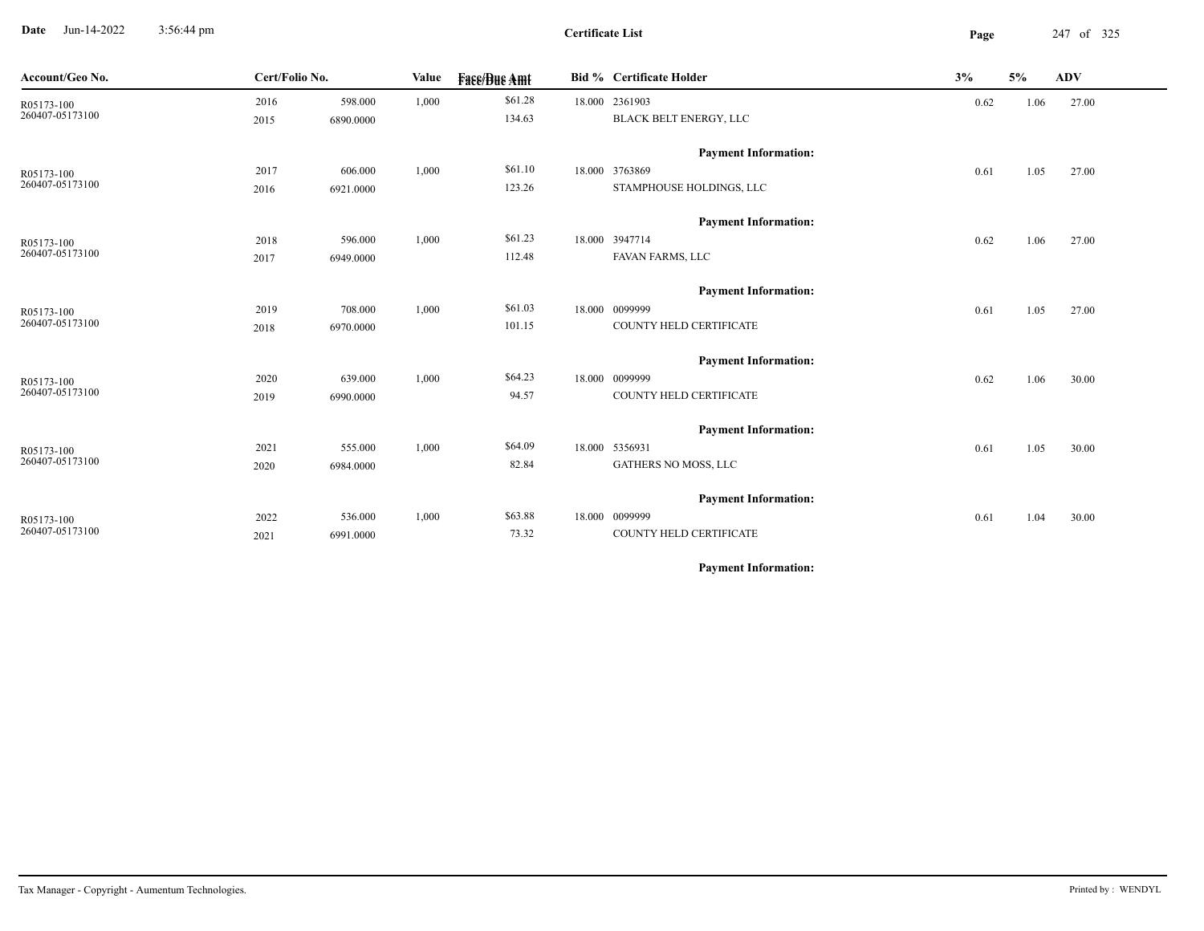**Date** Jun-14-2022 3:56:44 pm **Page** 247 of 325 3:56:44 pm

**Certificate List**

| Account/Geo No.               | Cert/Folio No. |           | Value | <b>Fase/Bue Amt</b> | <b>Bid % Certificate Holder</b>    | 3%   | 5%   | <b>ADV</b> |
|-------------------------------|----------------|-----------|-------|---------------------|------------------------------------|------|------|------------|
| R05173-100                    | 2016           | 598.000   | 1,000 | \$61.28             | 18.000 2361903                     | 0.62 | 1.06 | 27.00      |
| 260407-05173100               | 2015           | 6890.0000 |       | 134.63              | BLACK BELT ENERGY, LLC             |      |      |            |
|                               |                |           |       |                     | <b>Payment Information:</b>        |      |      |            |
| R05173-100                    | 2017           | 606.000   | 1,000 | \$61.10             | 18.000 3763869                     | 0.61 | 1.05 | 27.00      |
| 260407-05173100               | 2016           | 6921.0000 |       | 123.26              | STAMPHOUSE HOLDINGS, LLC           |      |      |            |
|                               |                |           |       |                     |                                    |      |      |            |
|                               |                |           |       |                     | <b>Payment Information:</b>        |      |      |            |
| R05173-100<br>260407-05173100 | 2018           | 596.000   | 1,000 | \$61.23<br>112.48   | 18.000 3947714<br>FAVAN FARMS, LLC | 0.62 | 1.06 | 27.00      |
|                               | 2017           | 6949.0000 |       |                     |                                    |      |      |            |
|                               |                |           |       |                     | <b>Payment Information:</b>        |      |      |            |
| R05173-100                    | 2019           | 708.000   | 1,000 | \$61.03             | 18.000 0099999                     | 0.61 | 1.05 | 27.00      |
| 260407-05173100               | 2018           | 6970.0000 |       | 101.15              | COUNTY HELD CERTIFICATE            |      |      |            |
|                               |                |           |       |                     | <b>Payment Information:</b>        |      |      |            |
| R05173-100                    | 2020           | 639.000   | 1,000 | \$64.23             | 18.000 0099999                     | 0.62 | 1.06 | 30.00      |
| 260407-05173100               | 2019           | 6990.0000 |       | 94.57               | COUNTY HELD CERTIFICATE            |      |      |            |
|                               |                |           |       |                     |                                    |      |      |            |
|                               |                |           |       |                     | <b>Payment Information:</b>        |      |      |            |
| R05173-100<br>260407-05173100 | 2021           | 555.000   | 1,000 | \$64.09             | 18.000 5356931                     | 0.61 | 1.05 | 30.00      |
|                               | 2020           | 6984.0000 |       | 82.84               | GATHERS NO MOSS, LLC               |      |      |            |
|                               |                |           |       |                     | <b>Payment Information:</b>        |      |      |            |
| R05173-100                    | 2022           | 536.000   | 1,000 | \$63.88             | 18.000 0099999                     | 0.61 | 1.04 | 30.00      |
| 260407-05173100               | 2021           | 6991.0000 |       | 73.32               | COUNTY HELD CERTIFICATE            |      |      |            |
|                               |                |           |       |                     |                                    |      |      |            |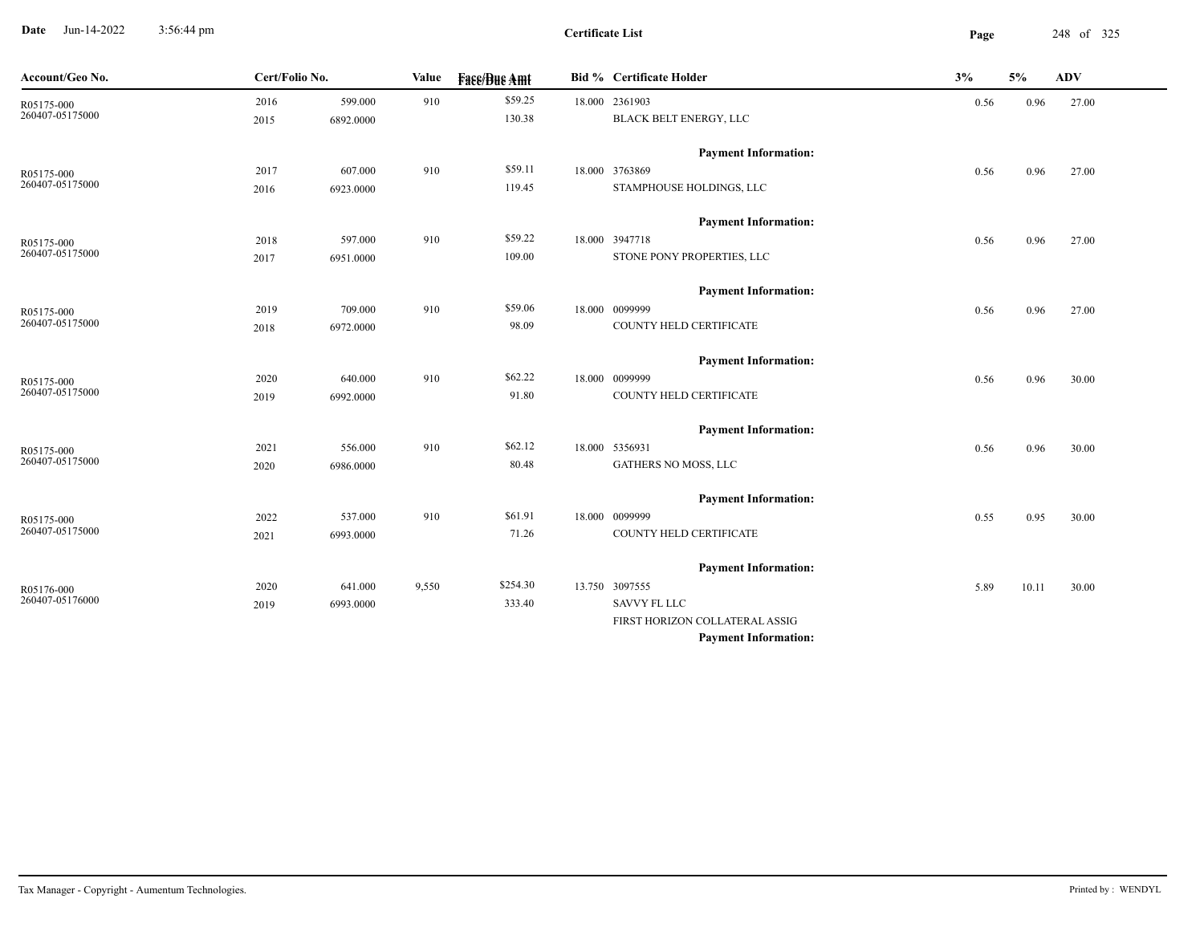**Date** Jun-14-2022 3:56:44 pm **Page** 248 of 325 3:56:44 pm

**Certificate List**

 $\overline{\phantom{a}}$ 

| Account/Geo No.               | Cert/Folio No. |           | Value | <b>Fase/Bue Amt</b> | <b>Bid % Certificate Holder</b> | 3%   | 5%    | <b>ADV</b> |
|-------------------------------|----------------|-----------|-------|---------------------|---------------------------------|------|-------|------------|
| R05175-000                    | 2016           | 599.000   | 910   | \$59.25             | 18.000 2361903                  | 0.56 | 0.96  | 27.00      |
| 260407-05175000               | 2015           | 6892.0000 |       | 130.38              | <b>BLACK BELT ENERGY, LLC</b>   |      |       |            |
|                               |                |           |       |                     | <b>Payment Information:</b>     |      |       |            |
| R05175-000                    | 2017           | 607.000   | 910   | \$59.11             | 18.000 3763869                  | 0.56 | 0.96  | 27.00      |
| 260407-05175000               | 2016           | 6923.0000 |       | 119.45              | STAMPHOUSE HOLDINGS, LLC        |      |       |            |
|                               |                |           |       |                     | <b>Payment Information:</b>     |      |       |            |
| R05175-000                    | 2018           | 597.000   | 910   | \$59.22             | 18.000 3947718                  | 0.56 | 0.96  | 27.00      |
| 260407-05175000               | 2017           | 6951.0000 |       | 109.00              | STONE PONY PROPERTIES, LLC      |      |       |            |
|                               |                |           |       |                     | <b>Payment Information:</b>     |      |       |            |
| R05175-000<br>260407-05175000 | 2019           | 709.000   | 910   | \$59.06             | 18.000 0099999                  | 0.56 | 0.96  | 27.00      |
|                               | 2018           | 6972.0000 |       | 98.09               | COUNTY HELD CERTIFICATE         |      |       |            |
|                               |                |           |       |                     | <b>Payment Information:</b>     |      |       |            |
| R05175-000                    | 2020           | 640.000   | 910   | \$62.22             | 18.000 0099999                  | 0.56 | 0.96  | 30.00      |
| 260407-05175000               | 2019           | 6992.0000 |       | 91.80               | COUNTY HELD CERTIFICATE         |      |       |            |
|                               |                |           |       |                     | <b>Payment Information:</b>     |      |       |            |
| R05175-000                    | 2021           | 556.000   | 910   | \$62.12             | 18.000 5356931                  | 0.56 | 0.96  | 30.00      |
| 260407-05175000               | 2020           | 6986.0000 |       | 80.48               | GATHERS NO MOSS, LLC            |      |       |            |
|                               |                |           |       |                     | <b>Payment Information:</b>     |      |       |            |
| R05175-000                    | 2022           | 537.000   | 910   | \$61.91             | 18.000 0099999                  | 0.55 | 0.95  | 30.00      |
| 260407-05175000               | 2021           | 6993.0000 |       | 71.26               | COUNTY HELD CERTIFICATE         |      |       |            |
|                               |                |           |       |                     | <b>Payment Information:</b>     |      |       |            |
|                               | 2020           | 641.000   | 9,550 | \$254.30            | 13.750 3097555                  | 5.89 | 10.11 | 30.00      |
| R05176-000<br>260407-05176000 | 2019           | 6993.0000 |       | 333.40              | <b>SAVVY FL LLC</b>             |      |       |            |
|                               |                |           |       |                     | FIRST HORIZON COLLATERAL ASSIG  |      |       |            |
|                               |                |           |       |                     | <b>Payment Information:</b>     |      |       |            |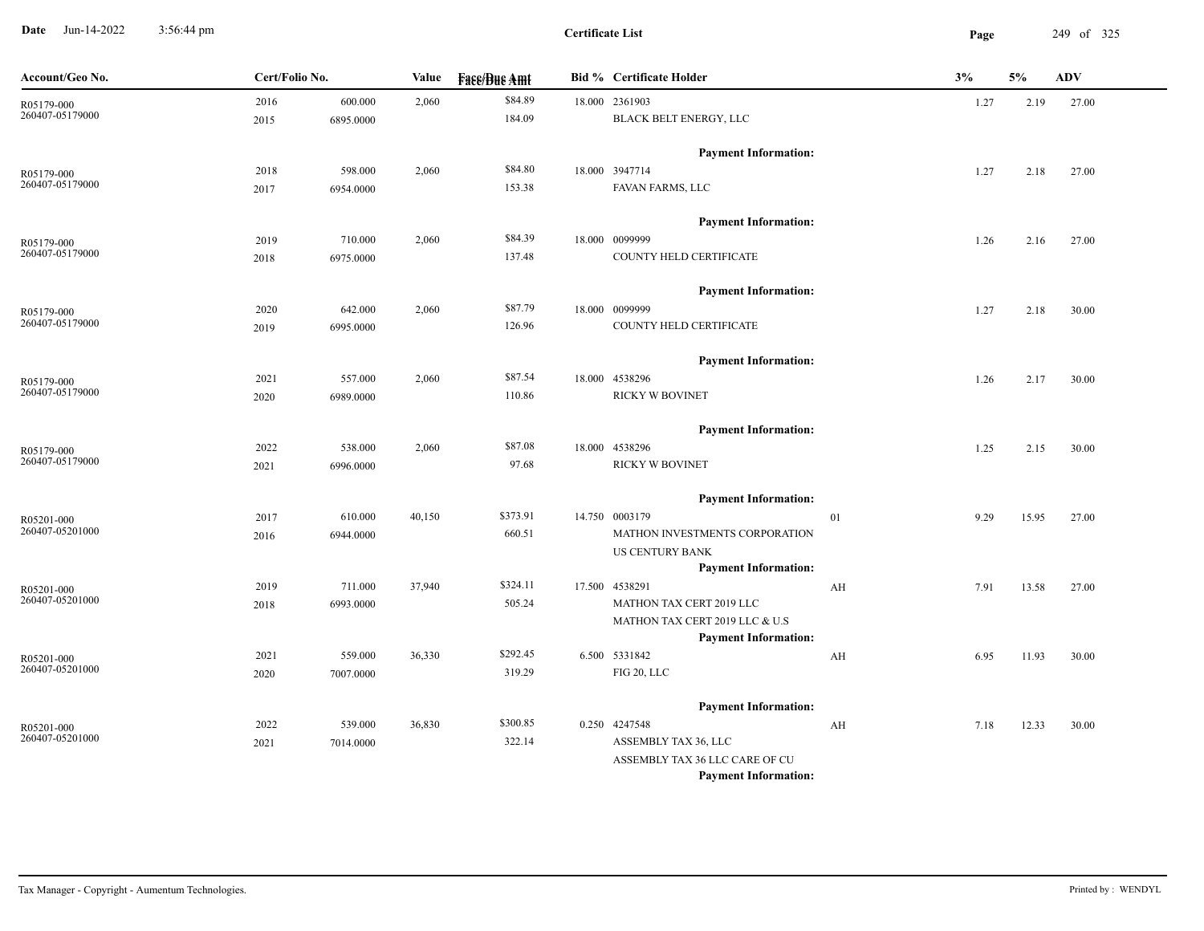**Date** Jun-14-2022 3:56:44 pm **Page** 249 of 325 3:56:44 pm

**Certificate List**

| Account/Geo No. | Cert/Folio No. |           | Value  | <b>Fase/Bue Amt</b> | <b>Bid % Certificate Holder</b>                               |    | 3%   | 5%    | ADV   |
|-----------------|----------------|-----------|--------|---------------------|---------------------------------------------------------------|----|------|-------|-------|
| R05179-000      | 2016           | 600.000   | 2,060  | \$84.89             | 18.000 2361903                                                |    | 1.27 | 2.19  | 27.00 |
| 260407-05179000 | 2015           | 6895.0000 |        | 184.09              | BLACK BELT ENERGY, LLC                                        |    |      |       |       |
|                 |                |           |        |                     | <b>Payment Information:</b>                                   |    |      |       |       |
| R05179-000      | 2018           | 598.000   | 2,060  | \$84.80             | 18.000 3947714                                                |    | 1.27 | 2.18  | 27.00 |
| 260407-05179000 | 2017           | 6954.0000 |        | 153.38              | FAVAN FARMS, LLC                                              |    |      |       |       |
|                 |                |           |        |                     | <b>Payment Information:</b>                                   |    |      |       |       |
| R05179-000      | 2019           | 710.000   | 2,060  | \$84.39             | 18.000 0099999                                                |    | 1.26 | 2.16  | 27.00 |
| 260407-05179000 | 2018           | 6975.0000 |        | 137.48              | COUNTY HELD CERTIFICATE                                       |    |      |       |       |
|                 |                |           |        |                     | <b>Payment Information:</b>                                   |    |      |       |       |
| R05179-000      | 2020           | 642.000   | 2,060  | \$87.79             | 18.000 0099999                                                |    | 1.27 | 2.18  | 30.00 |
| 260407-05179000 | 2019           | 6995.0000 |        | 126.96              | COUNTY HELD CERTIFICATE                                       |    |      |       |       |
|                 |                |           |        |                     | <b>Payment Information:</b>                                   |    |      |       |       |
| R05179-000      | 2021           | 557.000   | 2,060  | \$87.54             | 18.000 4538296                                                |    | 1.26 | 2.17  | 30.00 |
| 260407-05179000 | 2020           | 6989.0000 |        | 110.86              | RICKY W BOVINET                                               |    |      |       |       |
|                 |                |           |        |                     | <b>Payment Information:</b>                                   |    |      |       |       |
| R05179-000      | 2022           | 538.000   | 2,060  | \$87.08             | 18.000 4538296                                                |    | 1.25 | 2.15  | 30.00 |
| 260407-05179000 | 2021           | 6996.0000 |        | 97.68               | RICKY W BOVINET                                               |    |      |       |       |
|                 |                |           |        |                     | <b>Payment Information:</b>                                   |    |      |       |       |
| R05201-000      | 2017           | 610.000   | 40,150 | \$373.91            | 14.750 0003179                                                | 01 | 9.29 | 15.95 | 27.00 |
| 260407-05201000 | 2016           | 6944.0000 |        | 660.51              | MATHON INVESTMENTS CORPORATION                                |    |      |       |       |
|                 |                |           |        |                     | US CENTURY BANK                                               |    |      |       |       |
|                 |                |           |        |                     | <b>Payment Information:</b>                                   |    |      |       |       |
| R05201-000      | 2019           | 711.000   | 37,940 | \$324.11            | 17.500 4538291                                                | AH | 7.91 | 13.58 | 27.00 |
| 260407-05201000 | 2018           | 6993.0000 |        | 505.24              | MATHON TAX CERT 2019 LLC                                      |    |      |       |       |
|                 |                |           |        |                     | MATHON TAX CERT 2019 LLC & U.S<br><b>Payment Information:</b> |    |      |       |       |
| R05201-000      | 2021           | 559.000   | 36,330 | \$292.45            | 6.500 5331842                                                 | AH | 6.95 | 11.93 | 30.00 |
| 260407-05201000 | 2020           | 7007.0000 |        | 319.29              | FIG 20, LLC                                                   |    |      |       |       |
|                 |                |           |        |                     | <b>Payment Information:</b>                                   |    |      |       |       |
| R05201-000      | 2022           | 539.000   | 36,830 | \$300.85            | 0.250 4247548                                                 | AH | 7.18 | 12.33 | 30.00 |
| 260407-05201000 | 2021           | 7014.0000 |        | 322.14              | ASSEMBLY TAX 36, LLC                                          |    |      |       |       |
|                 |                |           |        |                     | ASSEMBLY TAX 36 LLC CARE OF CU                                |    |      |       |       |
|                 |                |           |        |                     | <b>Payment Information:</b>                                   |    |      |       |       |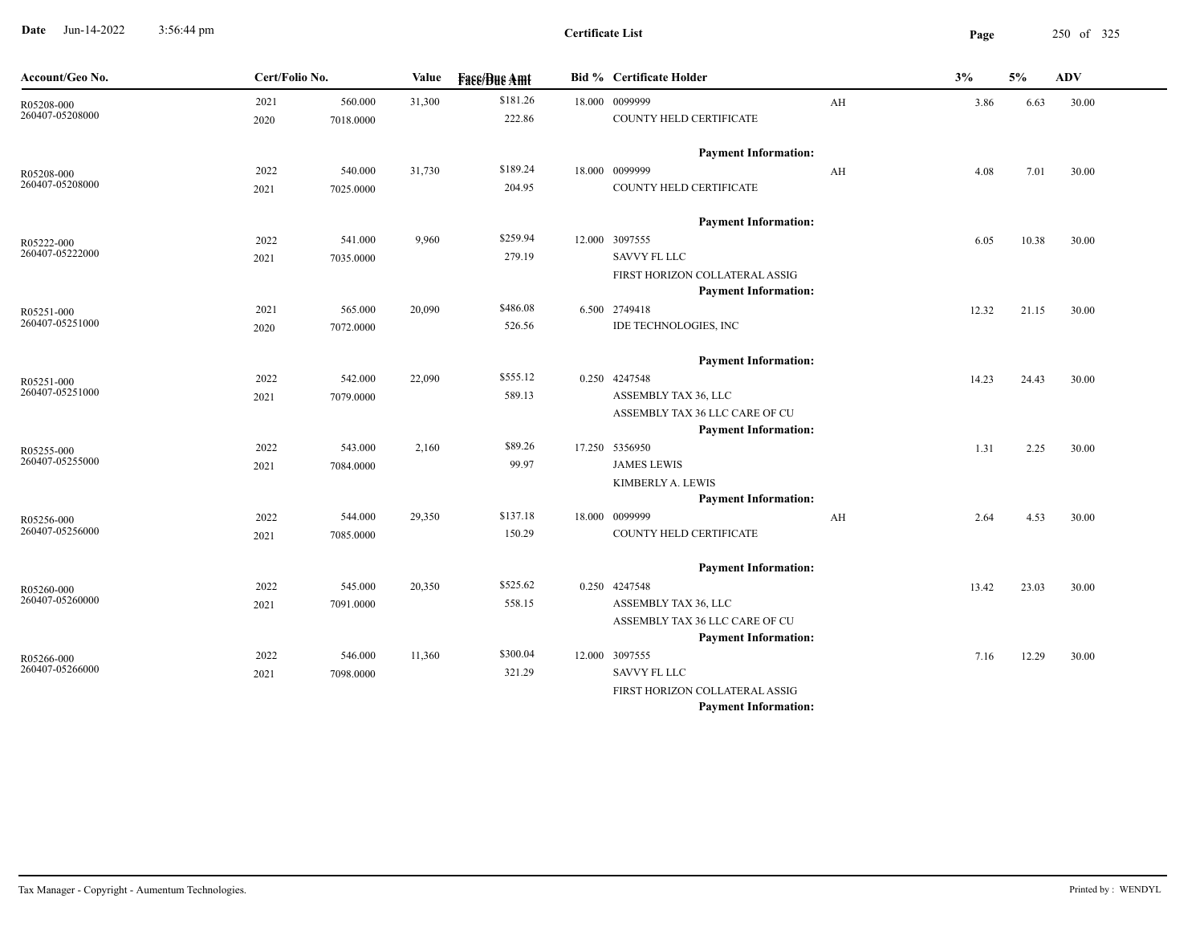**Date** Jun-14-2022 3:56:44 pm **Page** 250 of 325 3:56:44 pm

| Account/Geo No.               | Cert/Folio No. |           | Value  | <b>Fass/Bus Amt</b> | <b>Bid % Certificate Holder</b> |    | 3%    | 5%    | <b>ADV</b> |
|-------------------------------|----------------|-----------|--------|---------------------|---------------------------------|----|-------|-------|------------|
| R05208-000                    | 2021           | 560.000   | 31,300 | \$181.26            | 18.000 0099999                  | AH | 3.86  | 6.63  | 30.00      |
| 260407-05208000               | 2020           | 7018.0000 |        | 222.86              | COUNTY HELD CERTIFICATE         |    |       |       |            |
|                               |                |           |        |                     | <b>Payment Information:</b>     |    |       |       |            |
| R05208-000                    | 2022           | 540.000   | 31,730 | \$189.24            | 18.000 0099999                  | AH | 4.08  | 7.01  | 30.00      |
| 260407-05208000               | 2021           | 7025.0000 |        | 204.95              | COUNTY HELD CERTIFICATE         |    |       |       |            |
|                               |                |           |        |                     | <b>Payment Information:</b>     |    |       |       |            |
| R05222-000                    | 2022           | 541.000   | 9,960  | \$259.94            | 12.000 3097555                  |    | 6.05  | 10.38 | 30.00      |
| 260407-05222000               | 2021           | 7035.0000 |        | 279.19              | <b>SAVVY FL LLC</b>             |    |       |       |            |
|                               |                |           |        |                     | FIRST HORIZON COLLATERAL ASSIG  |    |       |       |            |
|                               |                |           |        |                     | <b>Payment Information:</b>     |    |       |       |            |
| R05251-000                    | 2021           | 565.000   | 20,090 | \$486.08            | 6.500 2749418                   |    | 12.32 | 21.15 | 30.00      |
| 260407-05251000               | 2020           | 7072.0000 |        | 526.56              | IDE TECHNOLOGIES, INC           |    |       |       |            |
|                               |                |           |        |                     | <b>Payment Information:</b>     |    |       |       |            |
| R05251-000                    | 2022           | 542.000   | 22,090 | \$555.12            | 0.250 4247548                   |    | 14.23 | 24.43 | 30.00      |
| 260407-05251000               | 2021           | 7079.0000 |        | 589.13              | ASSEMBLY TAX 36, LLC            |    |       |       |            |
|                               |                |           |        |                     | ASSEMBLY TAX 36 LLC CARE OF CU  |    |       |       |            |
|                               |                |           |        |                     | <b>Payment Information:</b>     |    |       |       |            |
| R05255-000                    | 2022           | 543.000   | 2,160  | \$89.26             | 17.250 5356950                  |    | 1.31  | 2.25  | 30.00      |
| 260407-05255000               | 2021           | 7084.0000 |        | 99.97               | <b>JAMES LEWIS</b>              |    |       |       |            |
|                               |                |           |        |                     | KIMBERLY A. LEWIS               |    |       |       |            |
|                               |                |           |        |                     | <b>Payment Information:</b>     |    |       |       |            |
| R05256-000<br>260407-05256000 | 2022           | 544.000   | 29,350 | \$137.18            | 18.000 0099999                  | AH | 2.64  | 4.53  | 30.00      |
|                               | 2021           | 7085.0000 |        | 150.29              | COUNTY HELD CERTIFICATE         |    |       |       |            |
|                               |                |           |        |                     | <b>Payment Information:</b>     |    |       |       |            |
| R05260-000                    | 2022           | 545.000   | 20,350 | \$525.62            | 0.250 4247548                   |    | 13.42 | 23.03 | 30.00      |
| 260407-05260000               | 2021           | 7091.0000 |        | 558.15              | ASSEMBLY TAX 36, LLC            |    |       |       |            |
|                               |                |           |        |                     | ASSEMBLY TAX 36 LLC CARE OF CU  |    |       |       |            |
|                               |                |           |        |                     | <b>Payment Information:</b>     |    |       |       |            |
| R05266-000                    | 2022           | 546.000   | 11,360 | \$300.04            | 12.000 3097555                  |    | 7.16  | 12.29 | 30.00      |
| 260407-05266000               | 2021           | 7098.0000 |        | 321.29              | <b>SAVVY FL LLC</b>             |    |       |       |            |
|                               |                |           |        |                     | FIRST HORIZON COLLATERAL ASSIG  |    |       |       |            |
|                               |                |           |        |                     | <b>Payment Information:</b>     |    |       |       |            |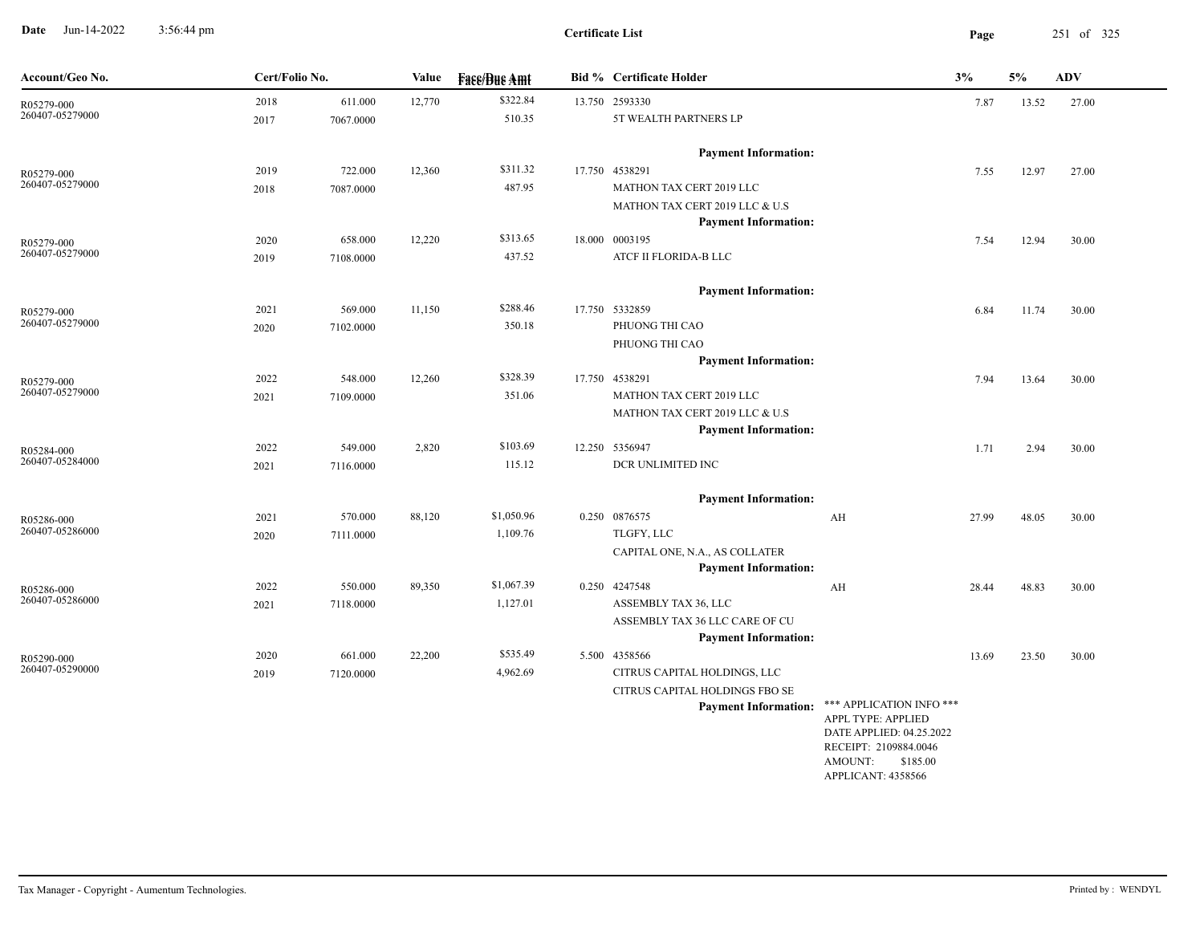**Date** Jun-14-2022 3:56:44 pm **Page** 251 of 325 3:56:44 pm

-

| Account/Geo No.               | Cert/Folio No. |           | Value  | <b>Face/Bue Amt</b> | <b>Bid % Certificate Holder</b>                        |                                                | 3%    | 5%    | ${\bf A}{\bf D}{\bf V}$ |
|-------------------------------|----------------|-----------|--------|---------------------|--------------------------------------------------------|------------------------------------------------|-------|-------|-------------------------|
| R05279-000                    | 2018           | 611.000   | 12,770 | \$322.84            | 13.750 2593330                                         |                                                | 7.87  | 13.52 | 27.00                   |
| 260407-05279000               | 2017           | 7067.0000 |        | 510.35              | 5T WEALTH PARTNERS LP                                  |                                                |       |       |                         |
|                               |                |           |        |                     | <b>Payment Information:</b>                            |                                                |       |       |                         |
| R05279-000                    | 2019           | 722.000   | 12,360 | \$311.32            | 17.750 4538291                                         |                                                | 7.55  | 12.97 | 27.00                   |
| 260407-05279000               | 2018           | 7087.0000 |        | 487.95              | MATHON TAX CERT 2019 LLC                               |                                                |       |       |                         |
|                               |                |           |        |                     | MATHON TAX CERT 2019 LLC & U.S                         |                                                |       |       |                         |
|                               |                |           |        |                     | <b>Payment Information:</b>                            |                                                |       |       |                         |
| R05279-000<br>260407-05279000 | 2020           | 658.000   | 12,220 | \$313.65            | 18.000 0003195                                         |                                                | 7.54  | 12.94 | 30.00                   |
|                               | 2019           | 7108.0000 |        | 437.52              | ATCF II FLORIDA-B LLC                                  |                                                |       |       |                         |
|                               |                |           |        |                     | <b>Payment Information:</b>                            |                                                |       |       |                         |
| R05279-000                    | 2021           | 569.000   | 11,150 | \$288.46            | 17.750 5332859                                         |                                                | 6.84  | 11.74 | 30.00                   |
| 260407-05279000               | 2020           | 7102.0000 |        | 350.18              | PHUONG THI CAO                                         |                                                |       |       |                         |
|                               |                |           |        |                     | PHUONG THI CAO                                         |                                                |       |       |                         |
|                               |                |           |        |                     | <b>Payment Information:</b>                            |                                                |       |       |                         |
| R05279-000<br>260407-05279000 | 2022           | 548.000   | 12,260 | \$328.39            | 17.750 4538291                                         |                                                | 7.94  | 13.64 | 30.00                   |
|                               | 2021           | 7109.0000 |        | 351.06              | MATHON TAX CERT 2019 LLC                               |                                                |       |       |                         |
|                               |                |           |        |                     | MATHON TAX CERT 2019 LLC & U.S                         |                                                |       |       |                         |
|                               | 2022           | 549.000   | 2,820  | \$103.69            | <b>Payment Information:</b><br>12.250 5356947          |                                                |       |       |                         |
| R05284-000<br>260407-05284000 | 2021           | 7116.0000 |        | 115.12              | DCR UNLIMITED INC                                      |                                                | 1.71  | 2.94  | 30.00                   |
|                               |                |           |        |                     |                                                        |                                                |       |       |                         |
|                               |                |           |        |                     | <b>Payment Information:</b>                            |                                                |       |       |                         |
| R05286-000                    | 2021           | 570.000   | 88,120 | \$1,050.96          | 0.250 0876575                                          | AH                                             | 27.99 | 48.05 | 30.00                   |
| 260407-05286000               | 2020           | 7111.0000 |        | 1,109.76            | TLGFY, LLC                                             |                                                |       |       |                         |
|                               |                |           |        |                     | CAPITAL ONE, N.A., AS COLLATER                         |                                                |       |       |                         |
|                               |                |           |        |                     | <b>Payment Information:</b>                            |                                                |       |       |                         |
| R05286-000<br>260407-05286000 | 2022           | 550.000   | 89,350 | \$1,067.39          | 0.250 4247548                                          | AH                                             | 28.44 | 48.83 | 30.00                   |
|                               | 2021           | 7118.0000 |        | 1,127.01            | ASSEMBLY TAX 36, LLC<br>ASSEMBLY TAX 36 LLC CARE OF CU |                                                |       |       |                         |
|                               |                |           |        |                     | <b>Payment Information:</b>                            |                                                |       |       |                         |
| R05290-000                    | 2020           | 661.000   | 22,200 | \$535.49            | 5.500 4358566                                          |                                                | 13.69 | 23.50 | 30.00                   |
| 260407-05290000               | 2019           | 7120.0000 |        | 4,962.69            | CITRUS CAPITAL HOLDINGS, LLC                           |                                                |       |       |                         |
|                               |                |           |        |                     | CITRUS CAPITAL HOLDINGS FBO SE                         |                                                |       |       |                         |
|                               |                |           |        |                     | <b>Payment Information:</b>                            | *** APPLICATION INFO ***<br>APPL TYPE: APPLIED |       |       |                         |
|                               |                |           |        |                     |                                                        | DATE APPLIED: 04.25.2022                       |       |       |                         |
|                               |                |           |        |                     |                                                        | RECEIPT: 2109884.0046                          |       |       |                         |
|                               |                |           |        |                     |                                                        | AMOUNT:<br>\$185.00<br>APPLICANT: 4358566      |       |       |                         |
|                               |                |           |        |                     |                                                        |                                                |       |       |                         |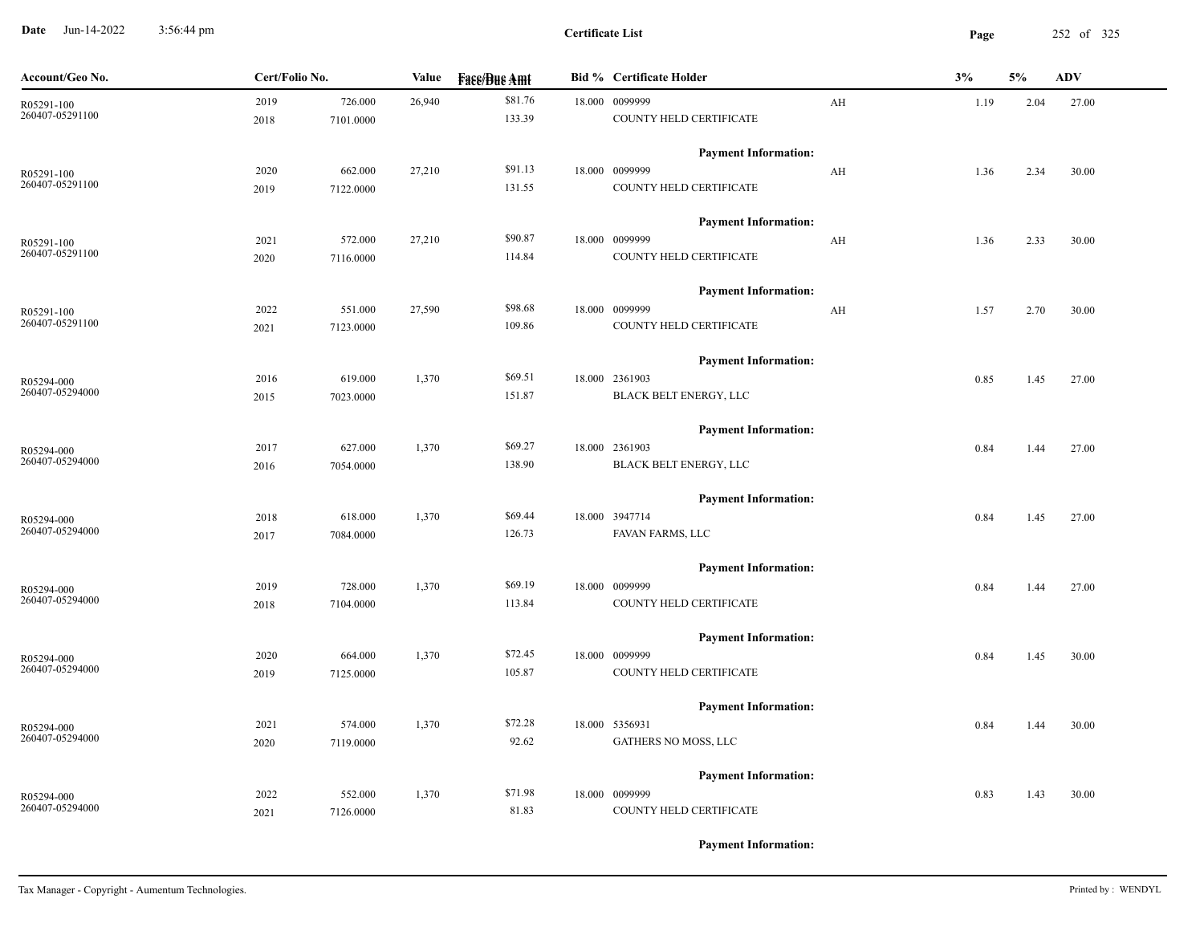**Date** Jun-14-2022 3:56:44 pm **Page** 252 of 325 3:56:44 pm

| Account/Geo No. | Cert/Folio No. |           | Value  | <b>Face/Bue Amt</b> | <b>Bid % Certificate Holder</b> |    | 3%   | 5%   | <b>ADV</b> |
|-----------------|----------------|-----------|--------|---------------------|---------------------------------|----|------|------|------------|
| R05291-100      | 2019           | 726.000   | 26,940 | \$81.76             | 18.000 0099999                  | AH | 1.19 | 2.04 | 27.00      |
| 260407-05291100 | 2018           | 7101.0000 |        | 133.39              | COUNTY HELD CERTIFICATE         |    |      |      |            |
|                 |                |           |        |                     | <b>Payment Information:</b>     |    |      |      |            |
| R05291-100      | 2020           | 662.000   | 27,210 | \$91.13             | 18.000 0099999                  | AH | 1.36 | 2.34 | 30.00      |
| 260407-05291100 | 2019           | 7122.0000 |        | 131.55              | COUNTY HELD CERTIFICATE         |    |      |      |            |
|                 |                |           |        |                     | <b>Payment Information:</b>     |    |      |      |            |
| R05291-100      | 2021           | 572.000   | 27,210 | \$90.87             | 18.000 0099999                  | AH | 1.36 | 2.33 | 30.00      |
| 260407-05291100 | 2020           | 7116.0000 |        | 114.84              | COUNTY HELD CERTIFICATE         |    |      |      |            |
|                 |                |           |        |                     | <b>Payment Information:</b>     |    |      |      |            |
| R05291-100      | 2022           | 551.000   | 27,590 | \$98.68             | 18.000 0099999                  | AH | 1.57 | 2.70 | 30.00      |
| 260407-05291100 | 2021           | 7123.0000 |        | 109.86              | COUNTY HELD CERTIFICATE         |    |      |      |            |
|                 |                |           |        |                     | <b>Payment Information:</b>     |    |      |      |            |
| R05294-000      | 2016           | 619.000   | 1,370  | \$69.51             | 18.000 2361903                  |    | 0.85 | 1.45 | 27.00      |
| 260407-05294000 | 2015           | 7023.0000 |        | 151.87              | BLACK BELT ENERGY, LLC          |    |      |      |            |
|                 |                |           |        |                     | <b>Payment Information:</b>     |    |      |      |            |
| R05294-000      | 2017           | 627.000   | 1,370  | \$69.27             | 18.000 2361903                  |    | 0.84 | 1.44 | 27.00      |
| 260407-05294000 | 2016           | 7054.0000 |        | 138.90              | BLACK BELT ENERGY, LLC          |    |      |      |            |
|                 |                |           |        |                     | <b>Payment Information:</b>     |    |      |      |            |
| R05294-000      | 2018           | 618.000   | 1,370  | \$69.44             | 18.000 3947714                  |    | 0.84 | 1.45 | 27.00      |
| 260407-05294000 | 2017           | 7084.0000 |        | 126.73              | FAVAN FARMS, LLC                |    |      |      |            |
|                 |                |           |        |                     | <b>Payment Information:</b>     |    |      |      |            |
| R05294-000      | 2019           | 728.000   | 1,370  | \$69.19             | 18.000 0099999                  |    | 0.84 | 1.44 | 27.00      |
| 260407-05294000 | 2018           | 7104.0000 |        | 113.84              | COUNTY HELD CERTIFICATE         |    |      |      |            |
|                 |                |           |        |                     | <b>Payment Information:</b>     |    |      |      |            |
| R05294-000      | 2020           | 664.000   | 1,370  | \$72.45             | 18.000 0099999                  |    | 0.84 | 1.45 | 30.00      |
| 260407-05294000 | 2019           | 7125.0000 |        | 105.87              | COUNTY HELD CERTIFICATE         |    |      |      |            |
|                 |                |           |        |                     | <b>Payment Information:</b>     |    |      |      |            |
| R05294-000      | 2021           | 574.000   | 1,370  | \$72.28             | 18.000 5356931                  |    | 0.84 | 1.44 | 30.00      |
| 260407-05294000 | 2020           | 7119.0000 |        | 92.62               | GATHERS NO MOSS, LLC            |    |      |      |            |
|                 |                |           |        |                     | <b>Payment Information:</b>     |    |      |      |            |
| R05294-000      | 2022           | 552.000   | 1,370  | \$71.98             | 18.000 0099999                  |    | 0.83 | 1.43 | 30.00      |
| 260407-05294000 | 2021           | 7126.0000 |        | 81.83               | COUNTY HELD CERTIFICATE         |    |      |      |            |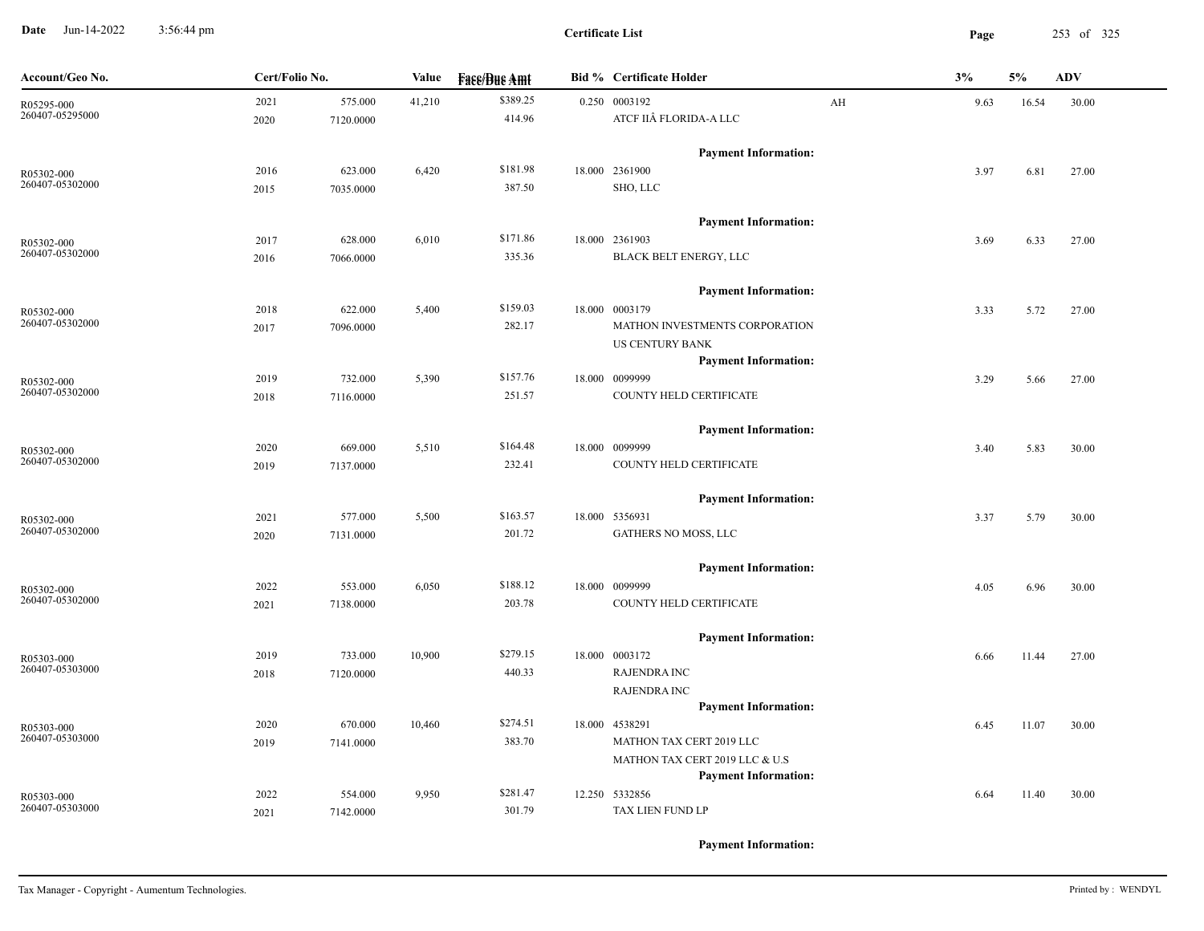**Date** Jun-14-2022 3:56:44 pm **Page** 253 of 325 3:56:44 pm

| Account/Geo No.               | Cert/Folio No. |           | Value  | <b>Face/Bue Amt</b> | <b>Bid % Certificate Holder</b> |    | 3%<br>5% |       | <b>ADV</b> |
|-------------------------------|----------------|-----------|--------|---------------------|---------------------------------|----|----------|-------|------------|
| R05295-000                    | 2021           | 575.000   | 41,210 | \$389.25            | 0.250 0003192                   | AH | 9.63     | 16.54 | 30.00      |
| 260407-05295000               | 2020           | 7120.0000 |        | 414.96              | ATCF IIÂ FLORIDA-A LLC          |    |          |       |            |
|                               |                |           |        |                     | <b>Payment Information:</b>     |    |          |       |            |
| R05302-000                    | 2016           | 623.000   | 6,420  | \$181.98            | 18.000 2361900                  |    | 3.97     | 6.81  | 27.00      |
| 260407-05302000               | 2015           | 7035.0000 |        | 387.50              | SHO, LLC                        |    |          |       |            |
|                               |                |           |        |                     | <b>Payment Information:</b>     |    |          |       |            |
| R05302-000                    | 2017           | 628.000   | 6,010  | \$171.86            | 18.000 2361903                  |    | 3.69     | 6.33  | 27.00      |
| 260407-05302000               | 2016           | 7066.0000 |        | 335.36              | BLACK BELT ENERGY, LLC          |    |          |       |            |
|                               |                |           |        |                     | <b>Payment Information:</b>     |    |          |       |            |
| R05302-000                    | 2018           | 622.000   | 5,400  | \$159.03            | 18.000 0003179                  |    | 3.33     | 5.72  | 27.00      |
| 260407-05302000               | 2017           | 7096.0000 |        | 282.17              | MATHON INVESTMENTS CORPORATION  |    |          |       |            |
|                               |                |           |        |                     | US CENTURY BANK                 |    |          |       |            |
|                               |                |           |        |                     | <b>Payment Information:</b>     |    |          |       |            |
| R05302-000                    | 2019           | 732.000   | 5,390  | \$157.76            | 18.000 0099999                  |    | 3.29     | 5.66  | 27.00      |
| 260407-05302000               | 2018           | 7116.0000 |        | 251.57              | COUNTY HELD CERTIFICATE         |    |          |       |            |
|                               |                |           |        |                     | <b>Payment Information:</b>     |    |          |       |            |
| R05302-000                    | 2020           | 669.000   | 5,510  | \$164.48            | 18.000 0099999                  |    | 3.40     | 5.83  | 30.00      |
| 260407-05302000               | 2019           | 7137.0000 |        | 232.41              | COUNTY HELD CERTIFICATE         |    |          |       |            |
|                               |                |           |        |                     | <b>Payment Information:</b>     |    |          |       |            |
| R05302-000                    | 2021           | 577.000   | 5,500  | \$163.57            | 18.000 5356931                  |    | 3.37     | 5.79  | 30.00      |
| 260407-05302000               | 2020           | 7131.0000 |        | 201.72              | GATHERS NO MOSS, LLC            |    |          |       |            |
|                               |                |           |        |                     | <b>Payment Information:</b>     |    |          |       |            |
| R05302-000                    | 2022           | 553.000   | 6,050  | \$188.12            | 18.000 0099999                  |    | 4.05     | 6.96  | 30.00      |
| 260407-05302000               | 2021           | 7138.0000 |        | 203.78              | COUNTY HELD CERTIFICATE         |    |          |       |            |
|                               |                |           |        |                     | <b>Payment Information:</b>     |    |          |       |            |
| R05303-000                    | 2019           | 733.000   | 10,900 | \$279.15            | 18.000 0003172                  |    | 6.66     | 11.44 | 27.00      |
| 260407-05303000               | 2018           | 7120.0000 |        | 440.33              | <b>RAJENDRA INC</b>             |    |          |       |            |
|                               |                |           |        |                     | <b>RAJENDRA INC</b>             |    |          |       |            |
|                               |                |           |        |                     | <b>Payment Information:</b>     |    |          |       |            |
| R05303-000                    | 2020           | 670.000   | 10,460 | \$274.51            | 18.000 4538291                  |    | 6.45     | 11.07 | 30.00      |
| 260407-05303000               | 2019           | 7141.0000 |        | 383.70              | MATHON TAX CERT 2019 LLC        |    |          |       |            |
|                               |                |           |        |                     | MATHON TAX CERT 2019 LLC & U.S  |    |          |       |            |
|                               |                |           |        |                     | <b>Payment Information:</b>     |    |          |       |            |
| R05303-000<br>260407-05303000 | 2022           | 554.000   | 9,950  | \$281.47            | 12.250 5332856                  |    | 6.64     | 11.40 | 30.00      |
|                               | 2021           | 7142.0000 |        | 301.79              | TAX LIEN FUND LP                |    |          |       |            |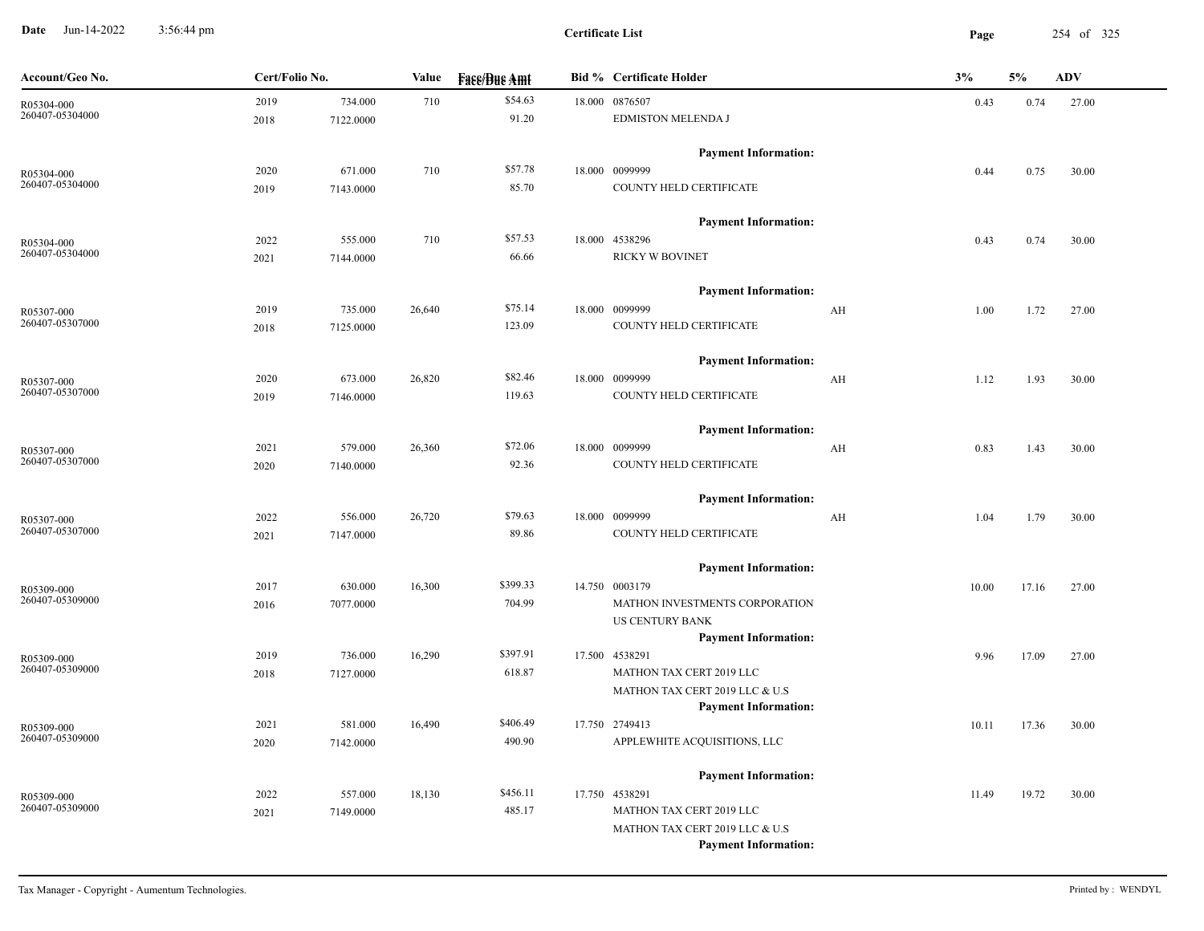**Date** Jun-14-2022 3:56:44 pm **Page** 254 of 325 3:56:44 pm

| Account/Geo No.               | Cert/Folio No. |           | <b>Value</b> | <b>Face/Bue Amt</b> | <b>Bid % Certificate Holder</b>                               | 3%    | 5%    | <b>ADV</b> |
|-------------------------------|----------------|-----------|--------------|---------------------|---------------------------------------------------------------|-------|-------|------------|
| R05304-000                    | 2019           | 734.000   | 710          | \$54.63             | 18.000 0876507                                                | 0.43  | 0.74  | 27.00      |
| 260407-05304000               | 2018           | 7122.0000 |              | 91.20               | <b>EDMISTON MELENDA J</b>                                     |       |       |            |
|                               |                |           |              |                     | <b>Payment Information:</b>                                   |       |       |            |
| R05304-000                    | 2020           | 671.000   | 710          | \$57.78             | 18.000 0099999                                                | 0.44  | 0.75  | 30.00      |
| 260407-05304000               | 2019           | 7143.0000 |              | 85.70               | COUNTY HELD CERTIFICATE                                       |       |       |            |
|                               |                |           |              |                     | <b>Payment Information:</b>                                   |       |       |            |
| R05304-000                    | 2022           | 555.000   | 710          | \$57.53             | 18.000 4538296                                                | 0.43  | 0.74  | 30.00      |
| 260407-05304000               | 2021           | 7144.0000 |              | 66.66               | <b>RICKY W BOVINET</b>                                        |       |       |            |
|                               |                |           |              |                     | <b>Payment Information:</b>                                   |       |       |            |
| R05307-000                    | 2019           | 735.000   | 26,640       | \$75.14             | 18.000 0099999<br>AH                                          | 1.00  | 1.72  | 27.00      |
| 260407-05307000               | 2018           | 7125.0000 |              | 123.09              | COUNTY HELD CERTIFICATE                                       |       |       |            |
|                               |                |           |              |                     | <b>Payment Information:</b>                                   |       |       |            |
| R05307-000                    | 2020           | 673.000   | 26,820       | \$82.46             | 18.000 0099999<br>AH                                          | 1.12  | 1.93  | 30.00      |
| 260407-05307000               | 2019           | 7146.0000 |              | 119.63              | COUNTY HELD CERTIFICATE                                       |       |       |            |
|                               |                |           |              |                     | <b>Payment Information:</b>                                   |       |       |            |
| R05307-000                    | 2021           | 579.000   | 26,360       | \$72.06             | 18.000 0099999<br>AH                                          | 0.83  | 1.43  | 30.00      |
| 260407-05307000               | 2020           | 7140.0000 |              | 92.36               | COUNTY HELD CERTIFICATE                                       |       |       |            |
|                               |                |           |              |                     | <b>Payment Information:</b>                                   |       |       |            |
| R05307-000                    | 2022           | 556.000   | 26,720       | \$79.63             | 18.000 0099999<br>AH                                          | 1.04  | 1.79  | 30.00      |
| 260407-05307000               | 2021           | 7147.0000 |              | 89.86               | COUNTY HELD CERTIFICATE                                       |       |       |            |
|                               |                |           |              |                     | <b>Payment Information:</b>                                   |       |       |            |
| R05309-000                    | 2017           | 630.000   | 16,300       | \$399.33            | 14.750 0003179                                                | 10.00 | 17.16 | 27.00      |
| 260407-05309000               | 2016           | 7077.0000 |              | 704.99              | MATHON INVESTMENTS CORPORATION                                |       |       |            |
|                               |                |           |              |                     | <b>US CENTURY BANK</b>                                        |       |       |            |
|                               |                |           |              |                     | <b>Payment Information:</b>                                   |       |       |            |
| R05309-000<br>260407-05309000 | 2019           | 736.000   | 16,290       | \$397.91            | 17.500 4538291                                                | 9.96  | 17.09 | 27.00      |
|                               | 2018           | 7127.0000 |              | 618.87              | MATHON TAX CERT 2019 LLC                                      |       |       |            |
|                               |                |           |              |                     | MATHON TAX CERT 2019 LLC & U.S<br><b>Payment Information:</b> |       |       |            |
|                               | 2021           | 581.000   | 16,490       | \$406.49            | 17.750 2749413                                                | 10.11 | 17.36 | 30.00      |
| R05309-000<br>260407-05309000 | 2020           | 7142.0000 |              | 490.90              | APPLEWHITE ACQUISITIONS, LLC                                  |       |       |            |
|                               |                |           |              |                     |                                                               |       |       |            |
|                               |                |           |              | \$456.11            | <b>Payment Information:</b>                                   |       |       |            |
| R05309-000<br>260407-05309000 | 2022           | 557.000   | 18,130       | 485.17              | 17.750 4538291<br>MATHON TAX CERT 2019 LLC                    | 11.49 | 19.72 | 30.00      |
|                               | 2021           | 7149.0000 |              |                     | MATHON TAX CERT 2019 LLC & U.S                                |       |       |            |
|                               |                |           |              |                     | <b>Payment Information:</b>                                   |       |       |            |
|                               |                |           |              |                     |                                                               |       |       |            |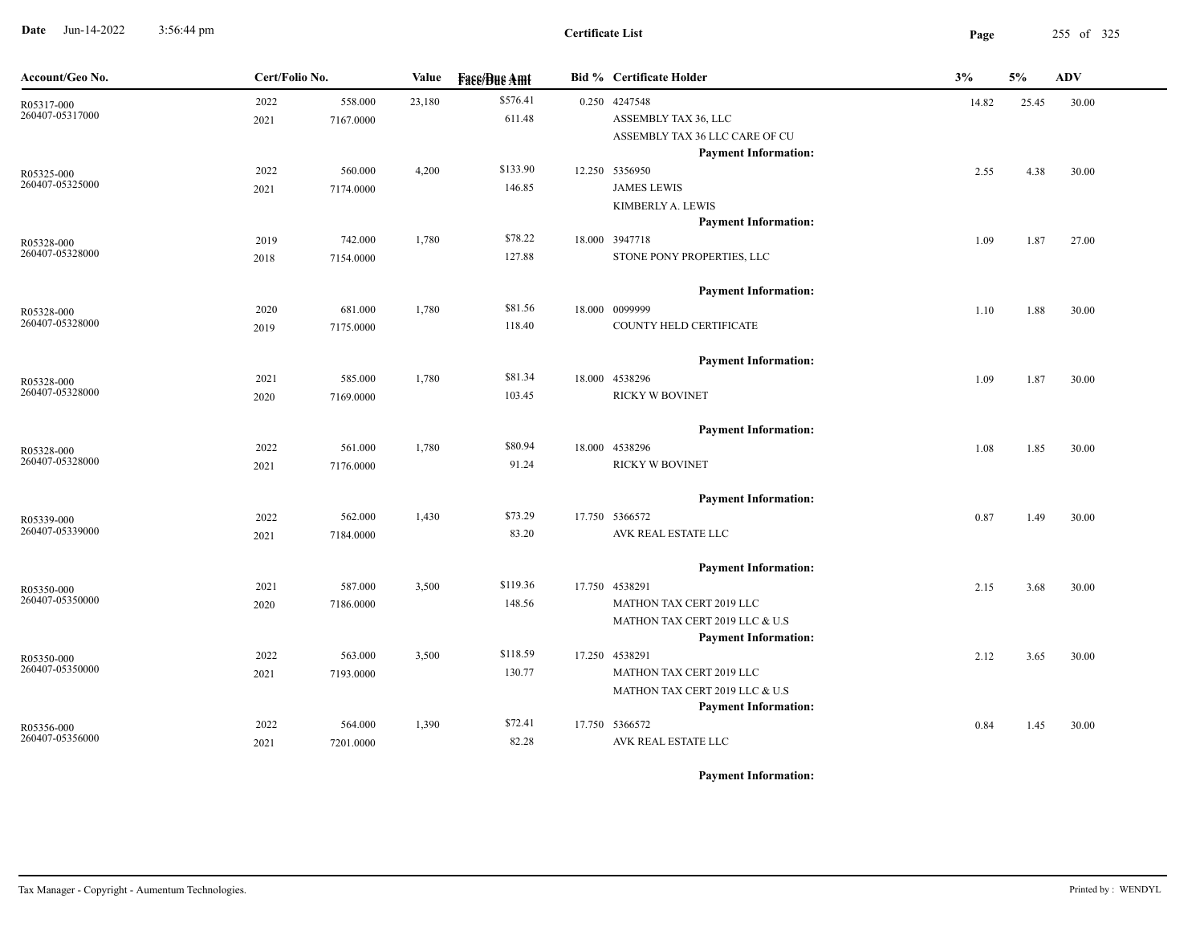**Date** Jun-14-2022 3:56:44 pm **Page** 255 of 325 3:56:44 pm

| Account/Geo No.               | Cert/Folio No. |           | Value  | <b>Fass/Bus Amt</b> |  | <b>Bid % Certificate Holder</b> | 3%<br>5%<br><b>ADV</b> |       |       |
|-------------------------------|----------------|-----------|--------|---------------------|--|---------------------------------|------------------------|-------|-------|
| R05317-000                    | 2022           | 558.000   | 23,180 | \$576.41            |  | 0.250 4247548                   | 14.82                  | 25.45 | 30.00 |
| 260407-05317000               | 2021           | 7167.0000 |        | 611.48              |  | ASSEMBLY TAX 36, LLC            |                        |       |       |
|                               |                |           |        |                     |  | ASSEMBLY TAX 36 LLC CARE OF CU  |                        |       |       |
|                               |                |           |        |                     |  | <b>Payment Information:</b>     |                        |       |       |
| R05325-000                    | 2022           | 560.000   | 4,200  | \$133.90            |  | 12.250 5356950                  | 2.55                   | 4.38  | 30.00 |
| 260407-05325000               | 2021           | 7174.0000 |        | 146.85              |  | <b>JAMES LEWIS</b>              |                        |       |       |
|                               |                |           |        |                     |  | KIMBERLY A. LEWIS               |                        |       |       |
|                               |                |           |        |                     |  | <b>Payment Information:</b>     |                        |       |       |
| R05328-000<br>260407-05328000 | 2019           | 742.000   | 1,780  | \$78.22             |  | 18.000 3947718                  | 1.09                   | 1.87  | 27.00 |
|                               | 2018           | 7154.0000 |        | 127.88              |  | STONE PONY PROPERTIES, LLC      |                        |       |       |
|                               |                |           |        |                     |  | <b>Payment Information:</b>     |                        |       |       |
| R05328-000                    | 2020           | 681.000   | 1,780  | \$81.56             |  | 18.000 0099999                  | 1.10                   | 1.88  | 30.00 |
| 260407-05328000               | 2019           | 7175.0000 |        | 118.40              |  | COUNTY HELD CERTIFICATE         |                        |       |       |
|                               |                |           |        |                     |  | <b>Payment Information:</b>     |                        |       |       |
| R05328-000                    | 2021           | 585.000   | 1,780  | \$81.34             |  | 18.000 4538296                  | 1.09                   | 1.87  | 30.00 |
| 260407-05328000               | 2020           | 7169.0000 |        | 103.45              |  | <b>RICKY W BOVINET</b>          |                        |       |       |
|                               |                |           |        |                     |  |                                 |                        |       |       |
|                               |                |           |        |                     |  | <b>Payment Information:</b>     |                        |       |       |
| R05328-000                    | 2022           | 561.000   | 1,780  | \$80.94             |  | 18.000 4538296                  | 1.08                   | 1.85  | 30.00 |
| 260407-05328000               | 2021           | 7176.0000 |        | 91.24               |  | <b>RICKY W BOVINET</b>          |                        |       |       |
|                               |                |           |        |                     |  | <b>Payment Information:</b>     |                        |       |       |
| R05339-000                    | 2022           | 562.000   | 1,430  | \$73.29             |  | 17.750 5366572                  | 0.87                   | 1.49  | 30.00 |
| 260407-05339000               | 2021           | 7184.0000 |        | 83.20               |  | AVK REAL ESTATE LLC             |                        |       |       |
|                               |                |           |        |                     |  | <b>Payment Information:</b>     |                        |       |       |
| R05350-000                    | 2021           | 587.000   | 3,500  | \$119.36            |  | 17.750 4538291                  | 2.15                   | 3.68  | 30.00 |
| 260407-05350000               | 2020           | 7186.0000 |        | 148.56              |  | MATHON TAX CERT 2019 LLC        |                        |       |       |
|                               |                |           |        |                     |  | MATHON TAX CERT 2019 LLC & U.S  |                        |       |       |
|                               |                |           |        |                     |  | <b>Payment Information:</b>     |                        |       |       |
| R05350-000                    | 2022           | 563.000   | 3,500  | \$118.59            |  | 17.250 4538291                  | 2.12                   | 3.65  | 30.00 |
| 260407-05350000               | 2021           | 7193.0000 |        | 130.77              |  | MATHON TAX CERT 2019 LLC        |                        |       |       |
|                               |                |           |        |                     |  | MATHON TAX CERT 2019 LLC & U.S  |                        |       |       |
|                               |                |           |        |                     |  | <b>Payment Information:</b>     |                        |       |       |
| R05356-000                    | 2022           | 564.000   | 1,390  | \$72.41             |  | 17.750 5366572                  | 0.84                   | 1.45  | 30.00 |
| 260407-05356000               | 2021           | 7201.0000 |        | 82.28               |  | AVK REAL ESTATE LLC             |                        |       |       |
|                               |                |           |        |                     |  |                                 |                        |       |       |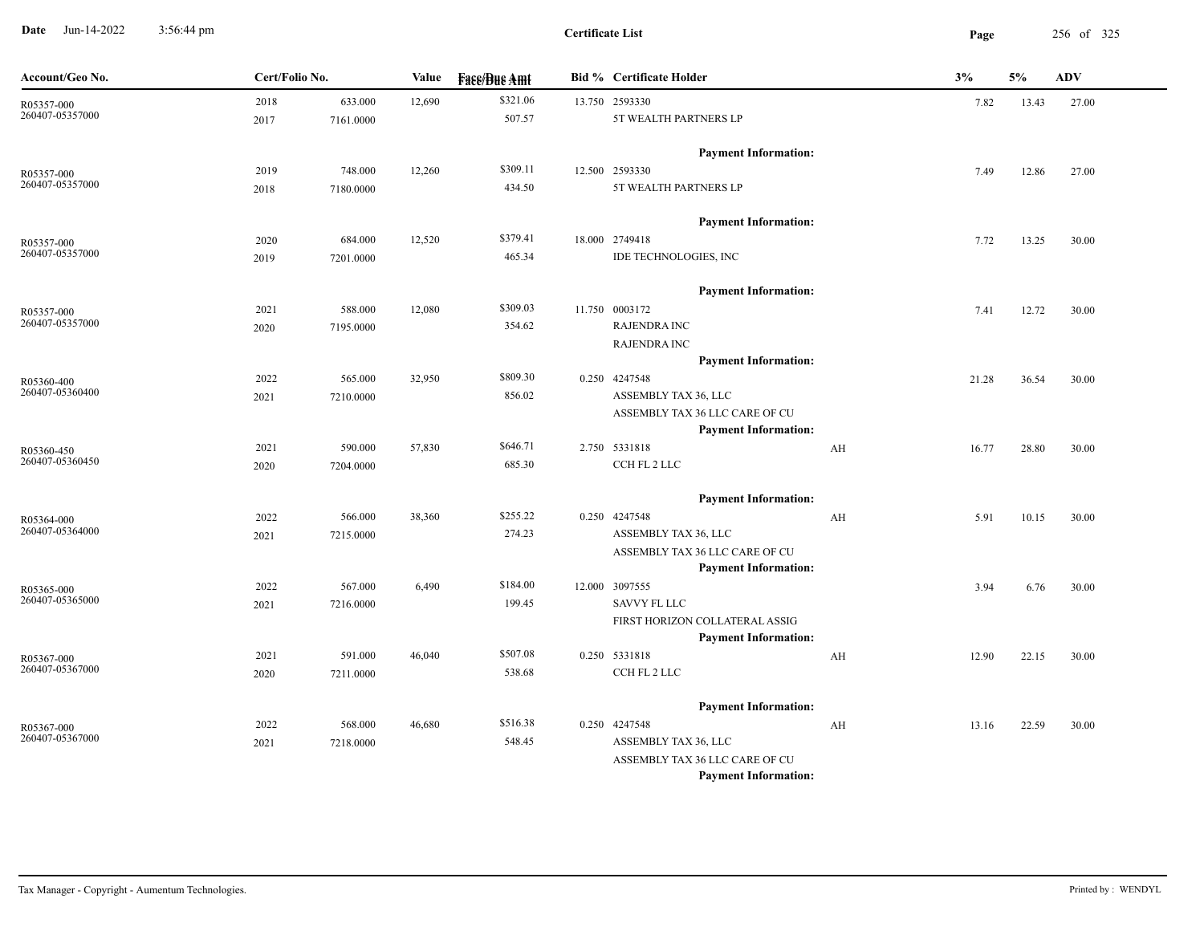**Date** Jun-14-2022 3:56:44 pm **Page** 256 of 325 3:56:44 pm

| Account/Geo No. | Cert/Folio No. |           | Value  | <b>Fase/Bue Amt</b> |  | <b>Bid % Certificate Holder</b> |    | 3%    | 5%    | ADV   |
|-----------------|----------------|-----------|--------|---------------------|--|---------------------------------|----|-------|-------|-------|
| R05357-000      | 2018           | 633.000   | 12,690 | \$321.06            |  | 13.750 2593330                  |    | 7.82  | 13.43 | 27.00 |
| 260407-05357000 | 2017           | 7161.0000 |        | 507.57              |  | 5T WEALTH PARTNERS LP           |    |       |       |       |
|                 |                |           |        |                     |  | <b>Payment Information:</b>     |    |       |       |       |
| R05357-000      | 2019           | 748.000   | 12,260 | \$309.11            |  | 12.500 2593330                  |    | 7.49  | 12.86 | 27.00 |
| 260407-05357000 | 2018           | 7180.0000 |        | 434.50              |  | 5T WEALTH PARTNERS LP           |    |       |       |       |
|                 |                |           |        |                     |  | <b>Payment Information:</b>     |    |       |       |       |
| R05357-000      | 2020           | 684.000   | 12,520 | \$379.41            |  | 18.000 2749418                  |    | 7.72  | 13.25 | 30.00 |
| 260407-05357000 | 2019           | 7201.0000 |        | 465.34              |  | IDE TECHNOLOGIES, INC           |    |       |       |       |
|                 |                |           |        |                     |  | <b>Payment Information:</b>     |    |       |       |       |
| R05357-000      | 2021           | 588.000   | 12,080 | \$309.03            |  | 11.750 0003172                  |    | 7.41  | 12.72 | 30.00 |
| 260407-05357000 | 2020           | 7195.0000 |        | 354.62              |  | <b>RAJENDRA INC</b>             |    |       |       |       |
|                 |                |           |        |                     |  | <b>RAJENDRA INC</b>             |    |       |       |       |
|                 |                |           |        |                     |  | <b>Payment Information:</b>     |    |       |       |       |
| R05360-400      | 2022           | 565.000   | 32,950 | \$809.30            |  | 0.250 4247548                   |    | 21.28 | 36.54 | 30.00 |
| 260407-05360400 | 2021           | 7210.0000 |        | 856.02              |  | ASSEMBLY TAX 36, LLC            |    |       |       |       |
|                 |                |           |        |                     |  | ASSEMBLY TAX 36 LLC CARE OF CU  |    |       |       |       |
|                 |                |           |        |                     |  | <b>Payment Information:</b>     |    |       |       |       |
| R05360-450      | 2021           | 590.000   | 57,830 | \$646.71            |  | 2.750 5331818                   | AH | 16.77 | 28.80 | 30.00 |
| 260407-05360450 | 2020           | 7204.0000 |        | 685.30              |  | CCH FL 2 LLC                    |    |       |       |       |
|                 |                |           |        |                     |  | <b>Payment Information:</b>     |    |       |       |       |
| R05364-000      | 2022           | 566.000   | 38,360 | \$255.22            |  | 0.250 4247548                   | AH | 5.91  | 10.15 | 30.00 |
| 260407-05364000 | 2021           | 7215.0000 |        | 274.23              |  | ASSEMBLY TAX 36, LLC            |    |       |       |       |
|                 |                |           |        |                     |  | ASSEMBLY TAX 36 LLC CARE OF CU  |    |       |       |       |
|                 |                |           |        |                     |  | <b>Payment Information:</b>     |    |       |       |       |
| R05365-000      | 2022           | 567.000   | 6,490  | \$184.00            |  | 12.000 3097555                  |    | 3.94  | 6.76  | 30.00 |
| 260407-05365000 | 2021           | 7216.0000 |        | 199.45              |  | <b>SAVVY FL LLC</b>             |    |       |       |       |
|                 |                |           |        |                     |  | FIRST HORIZON COLLATERAL ASSIG  |    |       |       |       |
|                 |                |           |        |                     |  | <b>Payment Information:</b>     |    |       |       |       |
| R05367-000      | 2021           | 591.000   | 46,040 | \$507.08            |  | 0.250 5331818                   | AH | 12.90 | 22.15 | 30.00 |
| 260407-05367000 | 2020           | 7211.0000 |        | 538.68              |  | CCH FL 2 LLC                    |    |       |       |       |
|                 |                |           |        |                     |  | <b>Payment Information:</b>     |    |       |       |       |
| R05367-000      | 2022           | 568.000   | 46,680 | \$516.38            |  | 0.250 4247548                   | AH | 13.16 | 22.59 | 30.00 |
| 260407-05367000 | 2021           | 7218.0000 |        | 548.45              |  | ASSEMBLY TAX 36, LLC            |    |       |       |       |
|                 |                |           |        |                     |  | ASSEMBLY TAX 36 LLC CARE OF CU  |    |       |       |       |
|                 |                |           |        |                     |  | <b>Payment Information:</b>     |    |       |       |       |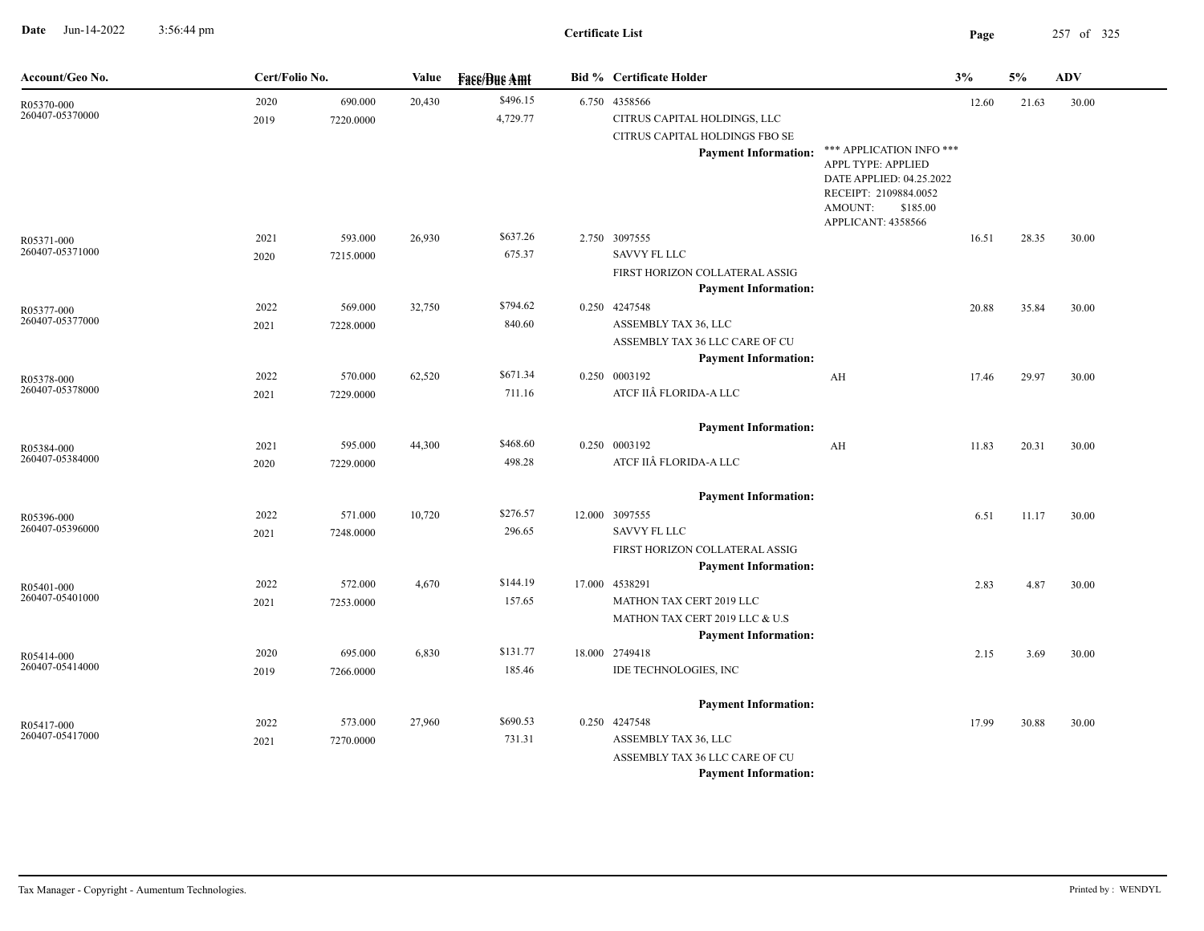**Date** Jun-14-2022 3:56:44 pm **Page** 257 of 325 3:56:44 pm

## **Certificate List**

| Account/Geo No.               | Cert/Folio No. |           | Value  | <b>Fase/Bue Amt</b> | <b>Bid % Certificate Holder</b>            |                                                | 3%    | 5%    | ${\bf A}{\bf D}{\bf V}$ |
|-------------------------------|----------------|-----------|--------|---------------------|--------------------------------------------|------------------------------------------------|-------|-------|-------------------------|
| R05370-000                    | 2020           | 690.000   | 20,430 | \$496.15            | 6.750 4358566                              |                                                | 12.60 | 21.63 | 30.00                   |
| 260407-05370000               | 2019           | 7220.0000 |        | 4,729.77            | CITRUS CAPITAL HOLDINGS, LLC               |                                                |       |       |                         |
|                               |                |           |        |                     | CITRUS CAPITAL HOLDINGS FBO SE             |                                                |       |       |                         |
|                               |                |           |        |                     | <b>Payment Information:</b>                | *** APPLICATION INFO ***<br>APPL TYPE: APPLIED |       |       |                         |
|                               |                |           |        |                     |                                            | DATE APPLIED: 04.25.2022                       |       |       |                         |
|                               |                |           |        |                     |                                            | RECEIPT: 2109884.0052                          |       |       |                         |
|                               |                |           |        |                     |                                            | AMOUNT:<br>\$185.00                            |       |       |                         |
|                               | 2021           | 593.000   | 26,930 | \$637.26            | 2.750 3097555                              | APPLICANT: 4358566                             | 16.51 | 28.35 | 30.00                   |
| R05371-000<br>260407-05371000 | 2020           | 7215.0000 |        | 675.37              | <b>SAVVY FL LLC</b>                        |                                                |       |       |                         |
|                               |                |           |        |                     | FIRST HORIZON COLLATERAL ASSIG             |                                                |       |       |                         |
|                               |                |           |        |                     | <b>Payment Information:</b>                |                                                |       |       |                         |
| R05377-000                    | 2022           | 569.000   | 32,750 | \$794.62            | 0.250 4247548                              |                                                | 20.88 | 35.84 | 30.00                   |
| 260407-05377000               | 2021           | 7228.0000 |        | 840.60              | ASSEMBLY TAX 36, LLC                       |                                                |       |       |                         |
|                               |                |           |        |                     | ASSEMBLY TAX 36 LLC CARE OF CU             |                                                |       |       |                         |
|                               |                |           |        |                     | <b>Payment Information:</b>                |                                                |       |       |                         |
| R05378-000                    | 2022           | 570.000   | 62,520 | \$671.34            | 0.250 0003192                              | AH                                             | 17.46 | 29.97 | 30.00                   |
| 260407-05378000               | 2021           | 7229.0000 |        | 711.16              | ATCF IIÂ FLORIDA-A LLC                     |                                                |       |       |                         |
|                               |                |           |        |                     | <b>Payment Information:</b>                |                                                |       |       |                         |
| R05384-000                    | 2021           | 595.000   | 44,300 | \$468.60            | 0.250 0003192                              | AH                                             | 11.83 | 20.31 | 30.00                   |
| 260407-05384000               | 2020           | 7229.0000 |        | 498.28              | ATCF IIÂ FLORIDA-A LLC                     |                                                |       |       |                         |
|                               |                |           |        |                     |                                            |                                                |       |       |                         |
|                               |                |           |        |                     | <b>Payment Information:</b>                |                                                |       |       |                         |
| R05396-000                    | 2022           | 571.000   | 10,720 | \$276.57            | 12.000 3097555                             |                                                | 6.51  | 11.17 | 30.00                   |
| 260407-05396000               | 2021           | 7248.0000 |        | 296.65              | <b>SAVVY FL LLC</b>                        |                                                |       |       |                         |
|                               |                |           |        |                     | FIRST HORIZON COLLATERAL ASSIG             |                                                |       |       |                         |
|                               |                |           |        | \$144.19            | <b>Payment Information:</b>                |                                                |       |       |                         |
| R05401-000<br>260407-05401000 | 2022           | 572.000   | 4,670  | 157.65              | 17.000 4538291<br>MATHON TAX CERT 2019 LLC |                                                | 2.83  | 4.87  | 30.00                   |
|                               | 2021           | 7253.0000 |        |                     | MATHON TAX CERT 2019 LLC & U.S             |                                                |       |       |                         |
|                               |                |           |        |                     | <b>Payment Information:</b>                |                                                |       |       |                         |
| R05414-000                    | 2020           | 695.000   | 6,830  | \$131.77            | 18.000 2749418                             |                                                | 2.15  | 3.69  | 30.00                   |
| 260407-05414000               | 2019           | 7266.0000 |        | 185.46              | IDE TECHNOLOGIES, INC                      |                                                |       |       |                         |
|                               |                |           |        |                     |                                            |                                                |       |       |                         |
|                               |                |           |        |                     | <b>Payment Information:</b>                |                                                |       |       |                         |
| R05417-000<br>260407-05417000 | 2022           | 573.000   | 27,960 | \$690.53            | 0.250 4247548                              |                                                | 17.99 | 30.88 | 30.00                   |
|                               | 2021           | 7270.0000 |        | 731.31              | ASSEMBLY TAX 36, LLC                       |                                                |       |       |                         |
|                               |                |           |        |                     | ASSEMBLY TAX 36 LLC CARE OF CU             |                                                |       |       |                         |
|                               |                |           |        |                     | <b>Payment Information:</b>                |                                                |       |       |                         |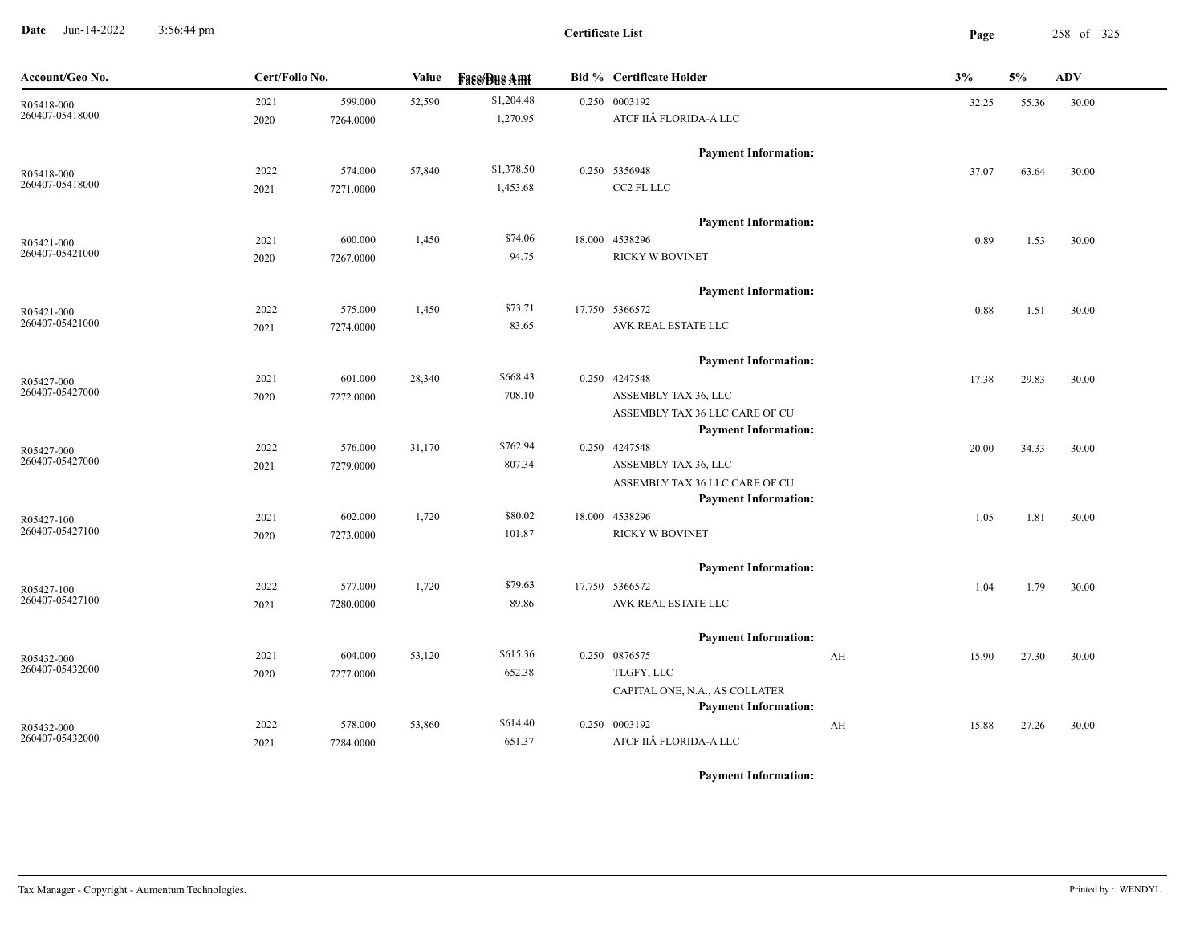**Date** Jun-14-2022 3:56:44 pm **Page** 258 of 325 3:56:44 pm

**Certificate List**

| Account/Geo No. | Cert/Folio No. |           | Value  | <b>Face/Bue Amt</b> | <b>Bid %</b> Certificate Holder                               | 3%          | 5%    | <b>ADV</b> |
|-----------------|----------------|-----------|--------|---------------------|---------------------------------------------------------------|-------------|-------|------------|
| R05418-000      | 2021           | 599.000   | 52,590 | \$1,204.48          | 0.250 0003192                                                 | 32.25       | 55.36 | 30.00      |
| 260407-05418000 | 2020           | 7264.0000 |        | 1,270.95            | ATCF IIÂ FLORIDA-A LLC                                        |             |       |            |
|                 |                |           |        |                     | <b>Payment Information:</b>                                   |             |       |            |
| R05418-000      | 2022           | 574.000   | 57,840 | \$1,378.50          | 0.250 5356948                                                 | 37.07       | 63.64 | 30.00      |
| 260407-05418000 | 2021           | 7271.0000 |        | 1,453.68            | CC2 FL LLC                                                    |             |       |            |
|                 |                |           |        |                     | <b>Payment Information:</b>                                   |             |       |            |
| R05421-000      | 2021           | 600.000   | 1,450  | \$74.06             | 18.000 4538296                                                | 0.89        | 1.53  | 30.00      |
| 260407-05421000 | 2020           | 7267.0000 |        | 94.75               | <b>RICKY W BOVINET</b>                                        |             |       |            |
|                 |                |           |        |                     | <b>Payment Information:</b>                                   |             |       |            |
| R05421-000      | 2022           | 575.000   | 1,450  | \$73.71             | 17.750 5366572                                                | 0.88        | 1.51  | 30.00      |
| 260407-05421000 | 2021           | 7274.0000 |        | 83.65               | AVK REAL ESTATE LLC                                           |             |       |            |
|                 |                |           |        |                     | <b>Payment Information:</b>                                   |             |       |            |
| R05427-000      | 2021           | 601.000   | 28,340 | \$668.43            | 0.250 4247548                                                 | 17.38       | 29.83 | 30.00      |
| 260407-05427000 | 2020           | 7272.0000 |        | 708.10              | ASSEMBLY TAX 36, LLC                                          |             |       |            |
|                 |                |           |        |                     | ASSEMBLY TAX 36 LLC CARE OF CU                                |             |       |            |
|                 |                |           |        |                     | <b>Payment Information:</b>                                   |             |       |            |
| R05427-000      | 2022           | 576.000   | 31,170 | \$762.94            | 0.250 4247548                                                 | 20.00       | 34.33 | 30.00      |
| 260407-05427000 | 2021           | 7279.0000 |        | 807.34              | ASSEMBLY TAX 36, LLC                                          |             |       |            |
|                 |                |           |        |                     | ASSEMBLY TAX 36 LLC CARE OF CU<br><b>Payment Information:</b> |             |       |            |
| R05427-100      | 2021           | 602.000   | 1,720  | \$80.02             | 18.000 4538296                                                | 1.05        | 1.81  | 30.00      |
| 260407-05427100 | 2020           | 7273.0000 |        | 101.87              | RICKY W BOVINET                                               |             |       |            |
|                 |                |           |        |                     | <b>Payment Information:</b>                                   |             |       |            |
| R05427-100      | 2022           | 577.000   | 1,720  | \$79.63             | 17.750 5366572                                                | 1.04        | 1.79  | 30.00      |
| 260407-05427100 | 2021           | 7280.0000 |        | 89.86               | AVK REAL ESTATE LLC                                           |             |       |            |
|                 |                |           |        |                     | <b>Payment Information:</b>                                   |             |       |            |
| R05432-000      | 2021           | 604.000   | 53,120 | \$615.36            | 0.250 0876575                                                 | AH<br>15.90 | 27.30 | 30.00      |
| 260407-05432000 | 2020           | 7277.0000 |        | 652.38              | TLGFY, LLC                                                    |             |       |            |
|                 |                |           |        |                     | CAPITAL ONE, N.A., AS COLLATER                                |             |       |            |
|                 |                |           |        |                     | <b>Payment Information:</b>                                   |             |       |            |
| R05432-000      | 2022           | 578.000   | 53,860 | \$614.40            | 0.250 0003192                                                 | AH<br>15.88 | 27.26 | 30.00      |
| 260407-05432000 | 2021           | 7284.0000 |        | 651.37              | ATCF IIÂ FLORIDA-A LLC                                        |             |       |            |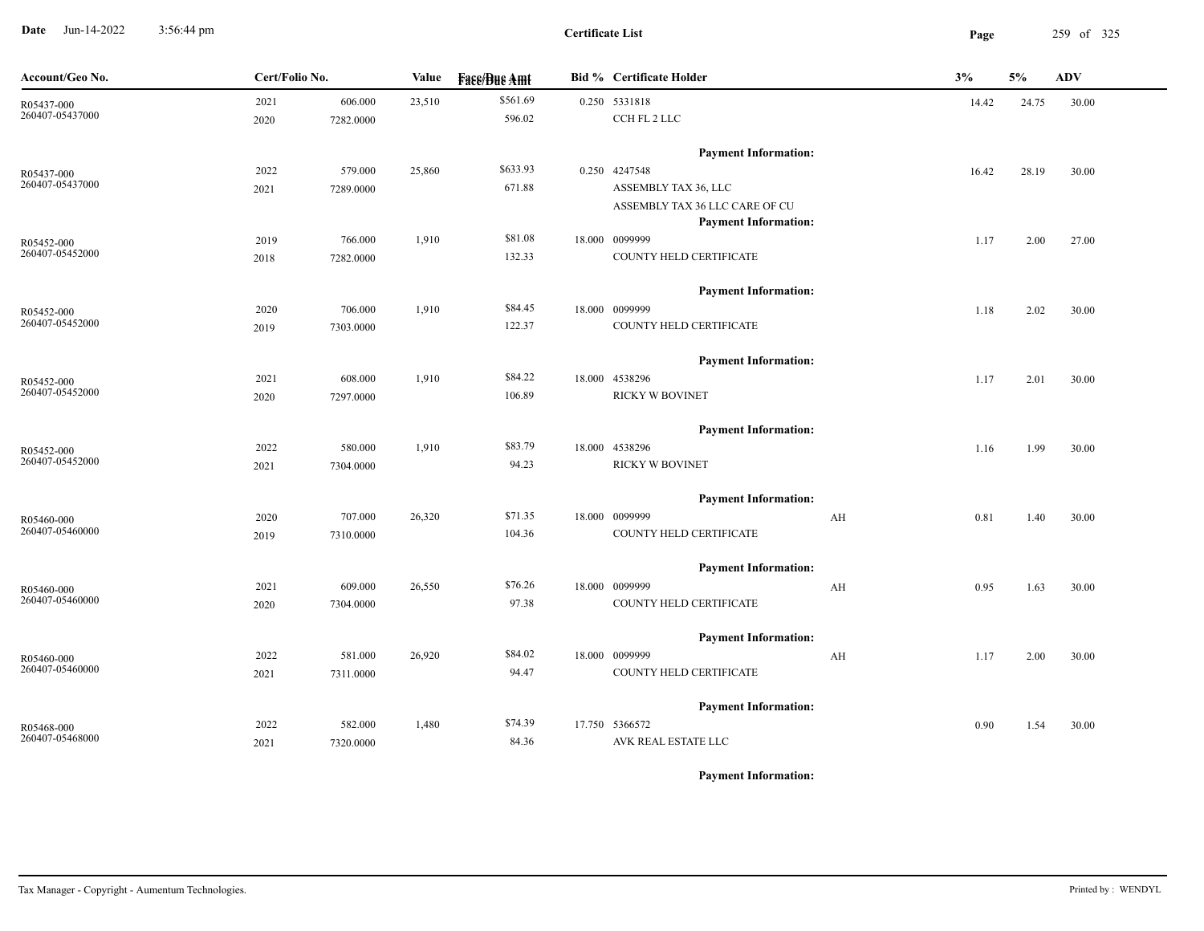**Date** Jun-14-2022 3:56:44 pm **Page** 259 of 325 3:56:44 pm

| Account/Geo No. | Cert/Folio No. |           | Value  | <b>Face/Bue Amt</b> | <b>Bid % Certificate Holder</b> | 3%         | 5%    | ADV   |
|-----------------|----------------|-----------|--------|---------------------|---------------------------------|------------|-------|-------|
| R05437-000      | 2021           | 606.000   | 23,510 | \$561.69            | 0.250 5331818                   | 14.42      | 24.75 | 30.00 |
| 260407-05437000 | 2020           | 7282.0000 |        | 596.02              | CCH FL 2 LLC                    |            |       |       |
|                 |                |           |        |                     | <b>Payment Information:</b>     |            |       |       |
| R05437-000      | 2022           | 579.000   | 25,860 | \$633.93            | 0.250 4247548                   | 16.42      | 28.19 | 30.00 |
| 260407-05437000 | 2021           | 7289.0000 |        | 671.88              | ASSEMBLY TAX 36, LLC            |            |       |       |
|                 |                |           |        |                     | ASSEMBLY TAX 36 LLC CARE OF CU  |            |       |       |
|                 |                |           |        |                     | <b>Payment Information:</b>     |            |       |       |
| R05452-000      | 2019           | 766.000   | 1,910  | \$81.08             | 18.000 0099999                  | 1.17       | 2.00  | 27.00 |
| 260407-05452000 | 2018           | 7282.0000 |        | 132.33              | COUNTY HELD CERTIFICATE         |            |       |       |
|                 |                |           |        |                     | <b>Payment Information:</b>     |            |       |       |
| R05452-000      | 2020           | 706.000   | 1,910  | \$84.45             | 18.000 0099999                  | 1.18       | 2.02  | 30.00 |
| 260407-05452000 | 2019           | 7303.0000 |        | 122.37              | COUNTY HELD CERTIFICATE         |            |       |       |
|                 |                |           |        |                     | <b>Payment Information:</b>     |            |       |       |
| R05452-000      | 2021           | 608.000   | 1,910  | \$84.22             | 18.000 4538296                  | 1.17       | 2.01  | 30.00 |
| 260407-05452000 | 2020           | 7297.0000 |        | 106.89              | <b>RICKY W BOVINET</b>          |            |       |       |
|                 |                |           |        |                     | <b>Payment Information:</b>     |            |       |       |
| R05452-000      | 2022           | 580.000   | 1,910  | \$83.79             | 18.000 4538296                  | 1.16       | 1.99  | 30.00 |
| 260407-05452000 | 2021           | 7304.0000 |        | 94.23               | <b>RICKY W BOVINET</b>          |            |       |       |
|                 |                |           |        |                     | <b>Payment Information:</b>     |            |       |       |
| R05460-000      | 2020           | 707.000   | 26,320 | \$71.35             | 18.000 0099999                  | AH<br>0.81 | 1.40  | 30.00 |
| 260407-05460000 | 2019           | 7310.0000 |        | 104.36              | COUNTY HELD CERTIFICATE         |            |       |       |
|                 |                |           |        |                     | <b>Payment Information:</b>     |            |       |       |
| R05460-000      | 2021           | 609.000   | 26,550 | \$76.26             | 18.000 0099999                  | AH<br>0.95 | 1.63  | 30.00 |
| 260407-05460000 | 2020           | 7304.0000 |        | 97.38               | COUNTY HELD CERTIFICATE         |            |       |       |
|                 |                |           |        |                     | <b>Payment Information:</b>     |            |       |       |
| R05460-000      | 2022           | 581.000   | 26,920 | \$84.02             | 18.000 0099999                  | AH<br>1.17 | 2.00  | 30.00 |
| 260407-05460000 | 2021           | 7311.0000 |        | 94.47               | COUNTY HELD CERTIFICATE         |            |       |       |
|                 |                |           |        |                     | <b>Payment Information:</b>     |            |       |       |
| R05468-000      | 2022           | 582.000   | 1,480  | \$74.39             | 17.750 5366572                  | 0.90       | 1.54  | 30.00 |
| 260407-05468000 | 2021           | 7320.0000 |        | 84.36               | AVK REAL ESTATE LLC             |            |       |       |
|                 |                |           |        |                     |                                 |            |       |       |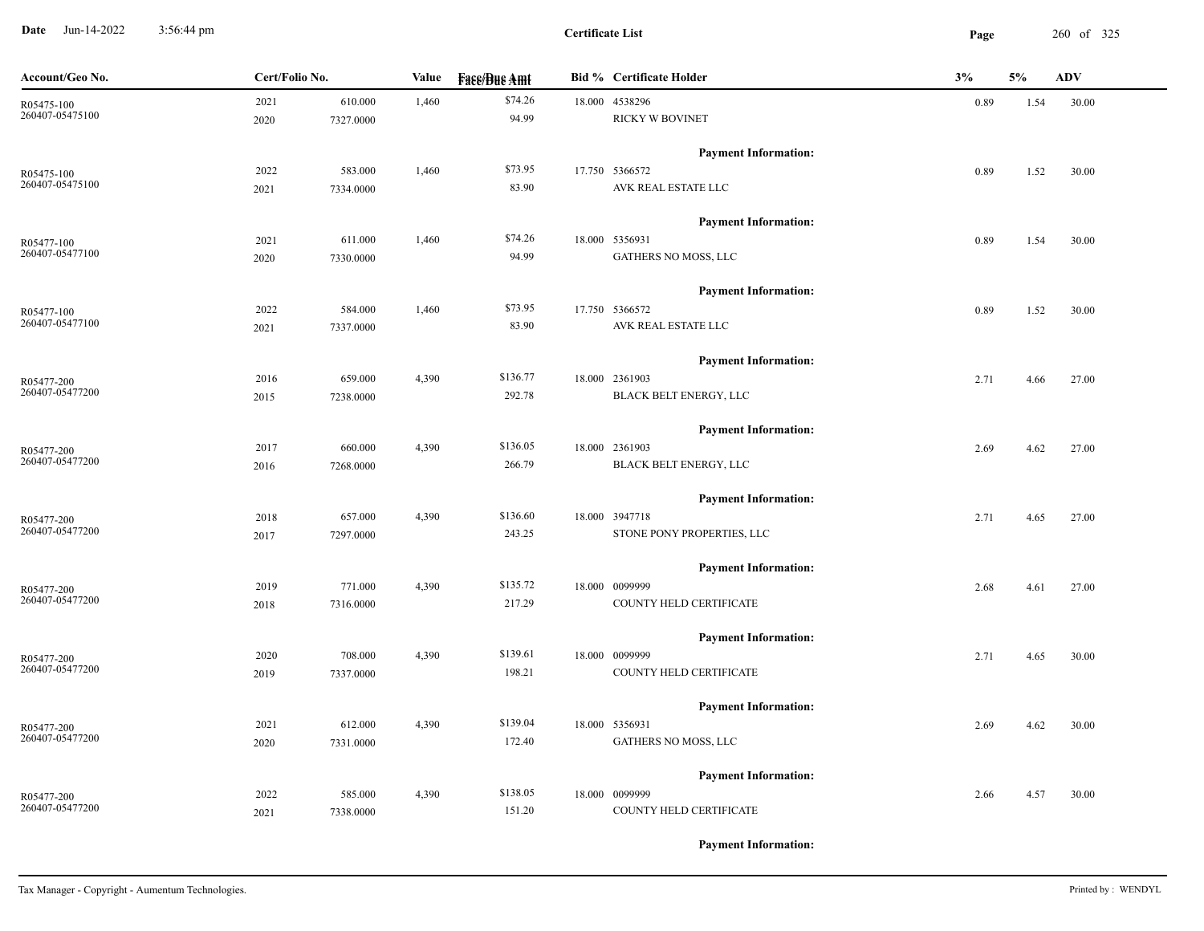**Date** Jun-14-2022 3:56:44 pm **Page** 260 of 325 3:56:44 pm

| Account/Geo No. | Cert/Folio No.    |       | <b>Value</b><br><b>Face/Bue Amt</b> |  | <b>Bid % Certificate Holder</b> | 3%   | 5%   | <b>ADV</b> |
|-----------------|-------------------|-------|-------------------------------------|--|---------------------------------|------|------|------------|
| R05475-100      | 2021<br>610.000   | 1,460 | \$74.26                             |  | 18.000 4538296                  | 0.89 | 1.54 | 30.00      |
| 260407-05475100 | 2020<br>7327.0000 |       | 94.99                               |  | <b>RICKY W BOVINET</b>          |      |      |            |
|                 |                   |       |                                     |  | <b>Payment Information:</b>     |      |      |            |
| R05475-100      | 583.000<br>2022   | 1,460 | \$73.95                             |  | 17.750 5366572                  | 0.89 | 1.52 | 30.00      |
| 260407-05475100 | 7334.0000<br>2021 |       | 83.90                               |  | AVK REAL ESTATE LLC             |      |      |            |
|                 |                   |       |                                     |  | <b>Payment Information:</b>     |      |      |            |
| R05477-100      | 2021<br>611.000   | 1,460 | \$74.26                             |  | 18.000 5356931                  | 0.89 | 1.54 | 30.00      |
| 260407-05477100 | 2020<br>7330.0000 |       | 94.99                               |  | GATHERS NO MOSS, LLC            |      |      |            |
|                 |                   |       |                                     |  | <b>Payment Information:</b>     |      |      |            |
| R05477-100      | 2022<br>584.000   | 1,460 | \$73.95                             |  | 17.750 5366572                  | 0.89 | 1.52 | 30.00      |
| 260407-05477100 | 2021<br>7337.0000 |       | 83.90                               |  | AVK REAL ESTATE LLC             |      |      |            |
|                 |                   |       |                                     |  | <b>Payment Information:</b>     |      |      |            |
| R05477-200      | 2016<br>659.000   | 4,390 | \$136.77                            |  | 18.000 2361903                  | 2.71 | 4.66 | 27.00      |
| 260407-05477200 | 2015<br>7238.0000 |       | 292.78                              |  | BLACK BELT ENERGY, LLC          |      |      |            |
|                 |                   |       |                                     |  | <b>Payment Information:</b>     |      |      |            |
| R05477-200      | 660.000<br>2017   | 4,390 | \$136.05                            |  | 18.000 2361903                  | 2.69 | 4.62 | 27.00      |
| 260407-05477200 | 7268.0000<br>2016 |       | 266.79                              |  | BLACK BELT ENERGY, LLC          |      |      |            |
|                 |                   |       |                                     |  | <b>Payment Information:</b>     |      |      |            |
| R05477-200      | 2018<br>657.000   | 4,390 | \$136.60                            |  | 18.000 3947718                  | 2.71 | 4.65 | 27.00      |
| 260407-05477200 | 2017<br>7297.0000 |       | 243.25                              |  | STONE PONY PROPERTIES, LLC      |      |      |            |
|                 |                   |       |                                     |  | <b>Payment Information:</b>     |      |      |            |
| R05477-200      | 771.000<br>2019   | 4,390 | \$135.72                            |  | 18.000 0099999                  | 2.68 | 4.61 | 27.00      |
| 260407-05477200 | 7316.0000<br>2018 |       | 217.29                              |  | COUNTY HELD CERTIFICATE         |      |      |            |
|                 |                   |       |                                     |  | <b>Payment Information:</b>     |      |      |            |
| R05477-200      | 2020<br>708.000   | 4,390 | \$139.61                            |  | 18.000 0099999                  | 2.71 | 4.65 | 30.00      |
| 260407-05477200 | 2019<br>7337.0000 |       | 198.21                              |  | COUNTY HELD CERTIFICATE         |      |      |            |
|                 |                   |       |                                     |  | <b>Payment Information:</b>     |      |      |            |
| R05477-200      | 2021<br>612.000   | 4,390 | \$139.04                            |  | 18.000 5356931                  | 2.69 | 4.62 | 30.00      |
| 260407-05477200 | 7331.0000<br>2020 |       | 172.40                              |  | GATHERS NO MOSS, LLC            |      |      |            |
|                 |                   |       |                                     |  | <b>Payment Information:</b>     |      |      |            |
| R05477-200      | 2022<br>585.000   | 4,390 | \$138.05                            |  | 18.000 0099999                  | 2.66 | 4.57 | 30.00      |
| 260407-05477200 | 2021<br>7338.0000 |       | 151.20                              |  | COUNTY HELD CERTIFICATE         |      |      |            |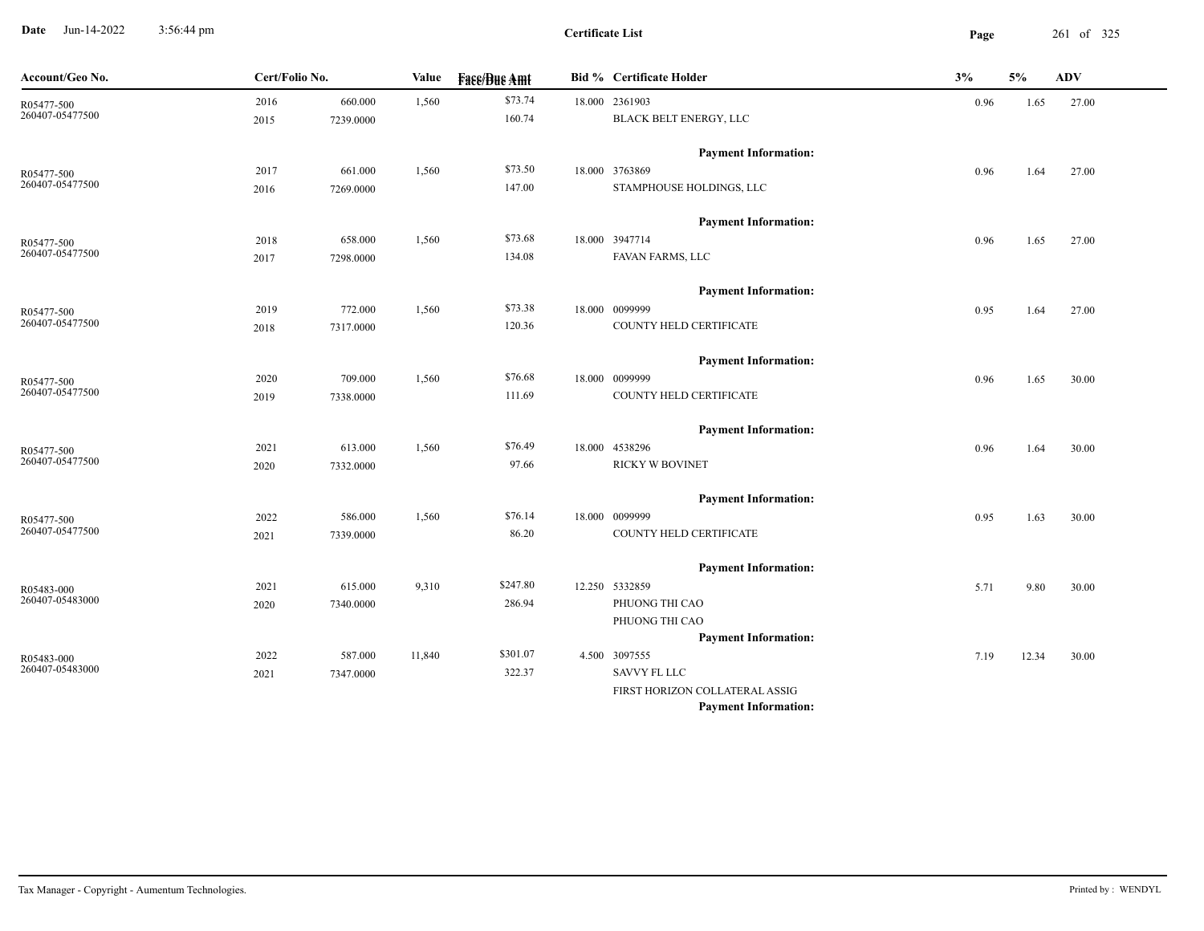**Date** Jun-14-2022 3:56:44 pm **Page** 261 of 325 3:56:44 pm

| Account/Geo No.               | Cert/Folio No. |           | Value  | <b>Fase/Bue Amt</b> | <b>Bid % Certificate Holder</b> | 3%   | 5%    | <b>ADV</b> |
|-------------------------------|----------------|-----------|--------|---------------------|---------------------------------|------|-------|------------|
| R05477-500<br>260407-05477500 | 2016           | 660.000   | 1,560  | \$73.74             | 18.000 2361903                  | 0.96 | 1.65  | 27.00      |
|                               | 2015           | 7239.0000 |        | 160.74              | BLACK BELT ENERGY, LLC          |      |       |            |
|                               |                |           |        |                     | <b>Payment Information:</b>     |      |       |            |
| R05477-500<br>260407-05477500 | 2017           | 661.000   | 1,560  | \$73.50             | 18.000 3763869                  | 0.96 | 1.64  | 27.00      |
|                               | 2016           | 7269.0000 |        | 147.00              | STAMPHOUSE HOLDINGS, LLC        |      |       |            |
|                               |                |           |        |                     | <b>Payment Information:</b>     |      |       |            |
| R05477-500                    | 2018           | 658.000   | 1,560  | \$73.68             | 18.000 3947714                  | 0.96 | 1.65  | 27.00      |
| 260407-05477500               | 2017           | 7298.0000 |        | 134.08              | FAVAN FARMS, LLC                |      |       |            |
|                               |                |           |        |                     | <b>Payment Information:</b>     |      |       |            |
| R05477-500<br>260407-05477500 | 2019           | 772.000   | 1,560  | \$73.38             | 18.000 0099999                  | 0.95 | 1.64  | 27.00      |
|                               | 2018           | 7317.0000 |        | 120.36              | COUNTY HELD CERTIFICATE         |      |       |            |
|                               |                |           |        |                     | <b>Payment Information:</b>     |      |       |            |
| R05477-500                    | 2020           | 709.000   | 1,560  | \$76.68             | 18.000 0099999                  | 0.96 | 1.65  | 30.00      |
| 260407-05477500               | 2019           | 7338.0000 |        | 111.69              | COUNTY HELD CERTIFICATE         |      |       |            |
|                               |                |           |        |                     | <b>Payment Information:</b>     |      |       |            |
| R05477-500                    | 2021           | 613.000   | 1,560  | \$76.49             | 18.000 4538296                  | 0.96 | 1.64  | 30.00      |
| 260407-05477500               | 2020           | 7332.0000 |        | 97.66               | <b>RICKY W BOVINET</b>          |      |       |            |
|                               |                |           |        |                     | <b>Payment Information:</b>     |      |       |            |
| R05477-500                    | 2022           | 586.000   | 1,560  | \$76.14             | 18.000 0099999                  | 0.95 | 1.63  | 30.00      |
| 260407-05477500               | 2021           | 7339.0000 |        | 86.20               | COUNTY HELD CERTIFICATE         |      |       |            |
|                               |                |           |        |                     | <b>Payment Information:</b>     |      |       |            |
| R05483-000                    | 2021           | 615.000   | 9,310  | \$247.80            | 12.250 5332859                  | 5.71 | 9.80  | 30.00      |
| 260407-05483000               | 2020           | 7340.0000 |        | 286.94              | PHUONG THI CAO                  |      |       |            |
|                               |                |           |        |                     | PHUONG THI CAO                  |      |       |            |
|                               |                |           |        |                     | <b>Payment Information:</b>     |      |       |            |
| R05483-000                    | 2022           | 587.000   | 11,840 | \$301.07            | 4.500 3097555                   | 7.19 | 12.34 | 30.00      |
| 260407-05483000               | 2021           | 7347.0000 |        | 322.37              | <b>SAVVY FL LLC</b>             |      |       |            |
|                               |                |           |        |                     | FIRST HORIZON COLLATERAL ASSIG  |      |       |            |
|                               |                |           |        |                     | <b>Payment Information:</b>     |      |       |            |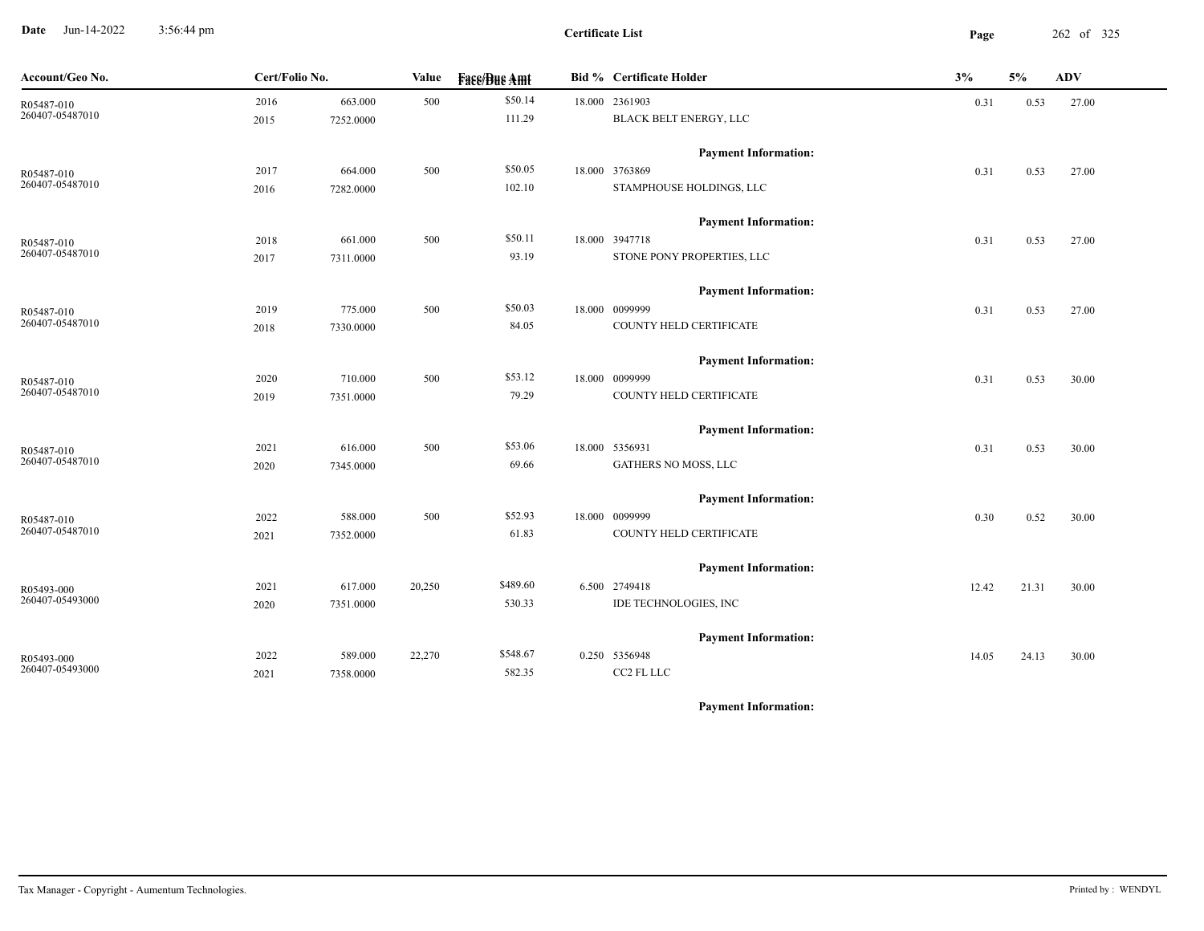**Date** Jun-14-2022 3:56:44 pm **Page** 262 of 325 3:56:44 pm

**Certificate List**

| Account/Geo No.               | Cert/Folio No. |           | Value  | <b>Fase/Bue Amt</b> | <b>Bid % Certificate Holder</b> | 3%    | 5%    | ADV   |
|-------------------------------|----------------|-----------|--------|---------------------|---------------------------------|-------|-------|-------|
| R05487-010                    | 2016           | 663.000   | 500    | \$50.14             | 18.000 2361903                  | 0.31  | 0.53  | 27.00 |
| 260407-05487010               | 2015           | 7252.0000 |        | 111.29              | BLACK BELT ENERGY, LLC          |       |       |       |
|                               |                |           |        |                     | <b>Payment Information:</b>     |       |       |       |
| R05487-010<br>260407-05487010 | 2017           | 664.000   | 500    | \$50.05             | 18.000 3763869                  | 0.31  | 0.53  | 27.00 |
|                               | 2016           | 7282.0000 |        | 102.10              | STAMPHOUSE HOLDINGS, LLC        |       |       |       |
|                               |                |           |        |                     | <b>Payment Information:</b>     |       |       |       |
| R05487-010                    | 2018           | 661.000   | 500    | \$50.11             | 18.000 3947718                  | 0.31  | 0.53  | 27.00 |
| 260407-05487010               | 2017           | 7311.0000 |        | 93.19               | STONE PONY PROPERTIES, LLC      |       |       |       |
|                               |                |           |        |                     | <b>Payment Information:</b>     |       |       |       |
| R05487-010                    | 2019           | 775.000   | 500    | \$50.03             | 18.000 0099999                  | 0.31  | 0.53  | 27.00 |
| 260407-05487010               | 2018           | 7330.0000 |        | 84.05               | COUNTY HELD CERTIFICATE         |       |       |       |
|                               |                |           |        |                     | <b>Payment Information:</b>     |       |       |       |
| R05487-010                    | 2020           | 710.000   | 500    | \$53.12             | 18.000 0099999                  | 0.31  | 0.53  | 30.00 |
| 260407-05487010               | 2019           | 7351.0000 |        | 79.29               | COUNTY HELD CERTIFICATE         |       |       |       |
|                               |                |           |        |                     | <b>Payment Information:</b>     |       |       |       |
| R05487-010                    | 2021           | 616.000   | 500    | \$53.06             | 18.000 5356931                  | 0.31  | 0.53  | 30.00 |
| 260407-05487010               | 2020           | 7345.0000 |        | 69.66               | GATHERS NO MOSS, LLC            |       |       |       |
|                               |                |           |        |                     | <b>Payment Information:</b>     |       |       |       |
| R05487-010                    | 2022           | 588.000   | 500    | \$52.93             | 18.000 0099999                  | 0.30  | 0.52  | 30.00 |
| 260407-05487010               | 2021           | 7352.0000 |        | 61.83               | COUNTY HELD CERTIFICATE         |       |       |       |
|                               |                |           |        |                     | <b>Payment Information:</b>     |       |       |       |
| R05493-000                    | 2021           | 617.000   | 20,250 | \$489.60            | 6.500 2749418                   | 12.42 | 21.31 | 30.00 |
| 260407-05493000               | 2020           | 7351.0000 |        | 530.33              | IDE TECHNOLOGIES, INC           |       |       |       |
|                               |                |           |        |                     | <b>Payment Information:</b>     |       |       |       |
| R05493-000                    | 2022           | 589.000   | 22,270 | \$548.67            | 0.250 5356948                   | 14.05 | 24.13 | 30.00 |
| 260407-05493000               | 2021           | 7358.0000 |        | 582.35              | CC2 FL LLC                      |       |       |       |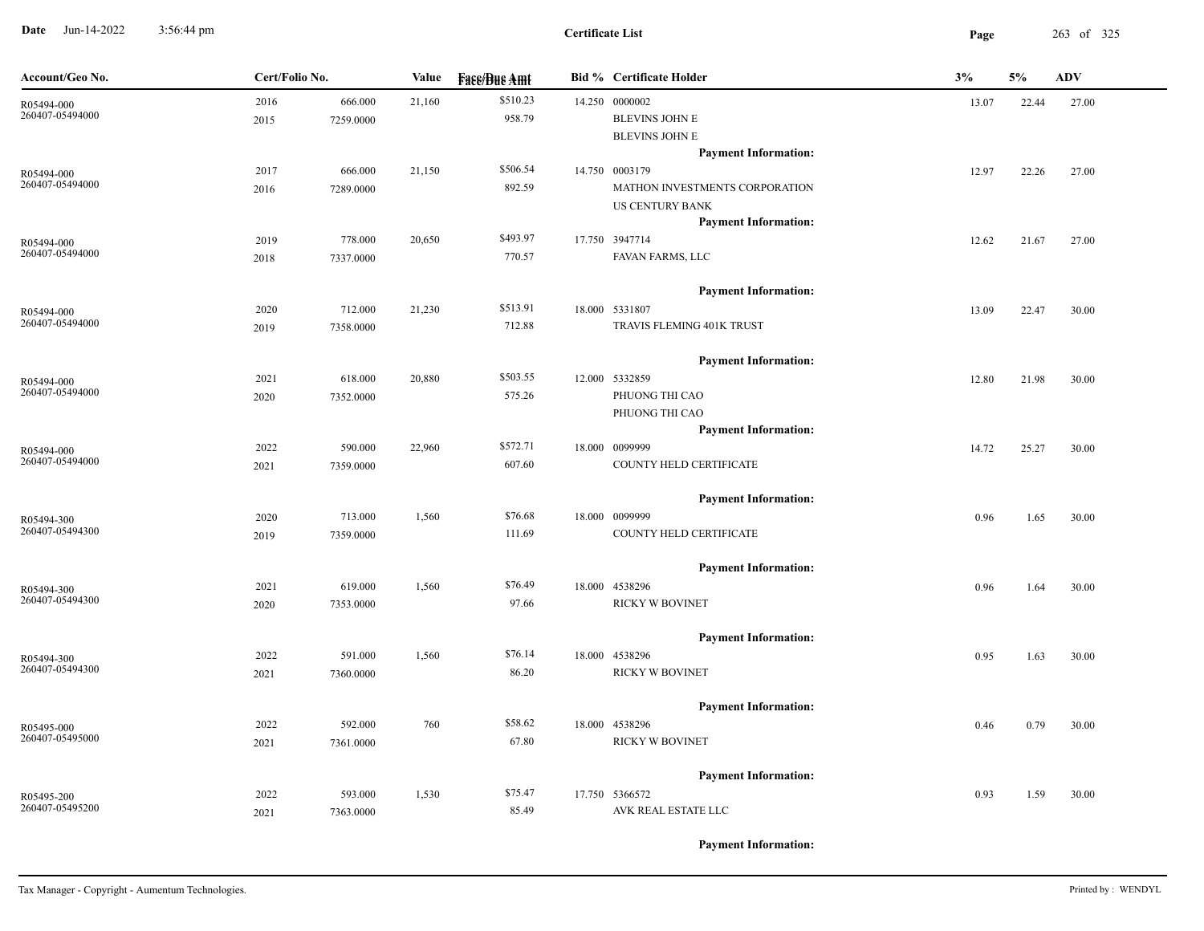**Date** Jun-14-2022 3:56:44 pm **Page** 263 of 325 3:56:44 pm

| Account/Geo No.               | Cert/Folio No.<br><b>Fase/Bue Amt</b><br><b>Bid % Certificate Holder</b><br>Value |           |        | 3%       | 5% | ADV                                                   |       |       |       |
|-------------------------------|-----------------------------------------------------------------------------------|-----------|--------|----------|----|-------------------------------------------------------|-------|-------|-------|
| R05494-000                    | 2016                                                                              | 666.000   | 21,160 | \$510.23 |    | 14.250 0000002                                        | 13.07 | 22.44 | 27.00 |
| 260407-05494000               | 2015                                                                              | 7259.0000 |        | 958.79   |    | <b>BLEVINS JOHN E</b>                                 |       |       |       |
|                               |                                                                                   |           |        |          |    | <b>BLEVINS JOHN E</b>                                 |       |       |       |
|                               |                                                                                   |           |        |          |    | <b>Payment Information:</b>                           |       |       |       |
| R05494-000<br>260407-05494000 | 2017                                                                              | 666.000   | 21,150 | \$506.54 |    | 14.750 0003179                                        | 12.97 | 22.26 | 27.00 |
|                               | 2016                                                                              | 7289.0000 |        | 892.59   |    | MATHON INVESTMENTS CORPORATION                        |       |       |       |
|                               |                                                                                   |           |        |          |    | <b>US CENTURY BANK</b><br><b>Payment Information:</b> |       |       |       |
|                               | 2019                                                                              | 778.000   | 20,650 | \$493.97 |    | 17.750 3947714                                        | 12.62 | 21.67 | 27.00 |
| R05494-000<br>260407-05494000 | 2018                                                                              | 7337.0000 |        | 770.57   |    | FAVAN FARMS, LLC                                      |       |       |       |
|                               |                                                                                   |           |        |          |    |                                                       |       |       |       |
|                               |                                                                                   |           |        |          |    | <b>Payment Information:</b>                           |       |       |       |
| R05494-000                    | 2020                                                                              | 712.000   | 21,230 | \$513.91 |    | 18.000 5331807                                        | 13.09 | 22.47 | 30.00 |
| 260407-05494000               | 2019                                                                              | 7358.0000 |        | 712.88   |    | TRAVIS FLEMING 401K TRUST                             |       |       |       |
|                               |                                                                                   |           |        |          |    | <b>Payment Information:</b>                           |       |       |       |
| R05494-000                    | 2021                                                                              | 618.000   | 20,880 | \$503.55 |    | 12.000 5332859                                        | 12.80 | 21.98 | 30.00 |
| 260407-05494000               | 2020                                                                              | 7352.0000 |        | 575.26   |    | PHUONG THI CAO                                        |       |       |       |
|                               |                                                                                   |           |        |          |    | PHUONG THI CAO                                        |       |       |       |
|                               |                                                                                   |           |        |          |    | <b>Payment Information:</b>                           |       |       |       |
| R05494-000                    | 2022                                                                              | 590.000   | 22,960 | \$572.71 |    | 18.000 0099999                                        | 14.72 | 25.27 | 30.00 |
| 260407-05494000               | 2021                                                                              | 7359.0000 |        | 607.60   |    | COUNTY HELD CERTIFICATE                               |       |       |       |
|                               |                                                                                   |           |        |          |    | <b>Payment Information:</b>                           |       |       |       |
| R05494-300                    | 2020                                                                              | 713.000   | 1,560  | \$76.68  |    | 18.000 0099999                                        | 0.96  | 1.65  | 30.00 |
| 260407-05494300               | 2019                                                                              | 7359.0000 |        | 111.69   |    | COUNTY HELD CERTIFICATE                               |       |       |       |
|                               |                                                                                   |           |        |          |    | <b>Payment Information:</b>                           |       |       |       |
| R05494-300                    | 2021                                                                              | 619.000   | 1,560  | \$76.49  |    | 18.000 4538296                                        | 0.96  | 1.64  | 30.00 |
| 260407-05494300               | 2020                                                                              | 7353.0000 |        | 97.66    |    | <b>RICKY W BOVINET</b>                                |       |       |       |
|                               |                                                                                   |           |        |          |    | <b>Payment Information:</b>                           |       |       |       |
| R05494-300                    | 2022                                                                              | 591.000   | 1,560  | \$76.14  |    | 18.000 4538296                                        | 0.95  | 1.63  | 30.00 |
| 260407-05494300               | 2021                                                                              | 7360.0000 |        | 86.20    |    | <b>RICKY W BOVINET</b>                                |       |       |       |
|                               |                                                                                   |           |        |          |    | <b>Payment Information:</b>                           |       |       |       |
| R05495-000                    | 2022                                                                              | 592.000   | 760    | \$58.62  |    | 18.000 4538296                                        | 0.46  | 0.79  | 30.00 |
| 260407-05495000               | 2021                                                                              | 7361.0000 |        | 67.80    |    | <b>RICKY W BOVINET</b>                                |       |       |       |
|                               |                                                                                   |           |        |          |    | <b>Payment Information:</b>                           |       |       |       |
| R05495-200                    | 2022                                                                              | 593.000   | 1,530  | \$75.47  |    | 17.750 5366572                                        | 0.93  | 1.59  | 30.00 |
| 260407-05495200               | 2021                                                                              | 7363.0000 |        | 85.49    |    | AVK REAL ESTATE LLC                                   |       |       |       |
|                               |                                                                                   |           |        |          |    |                                                       |       |       |       |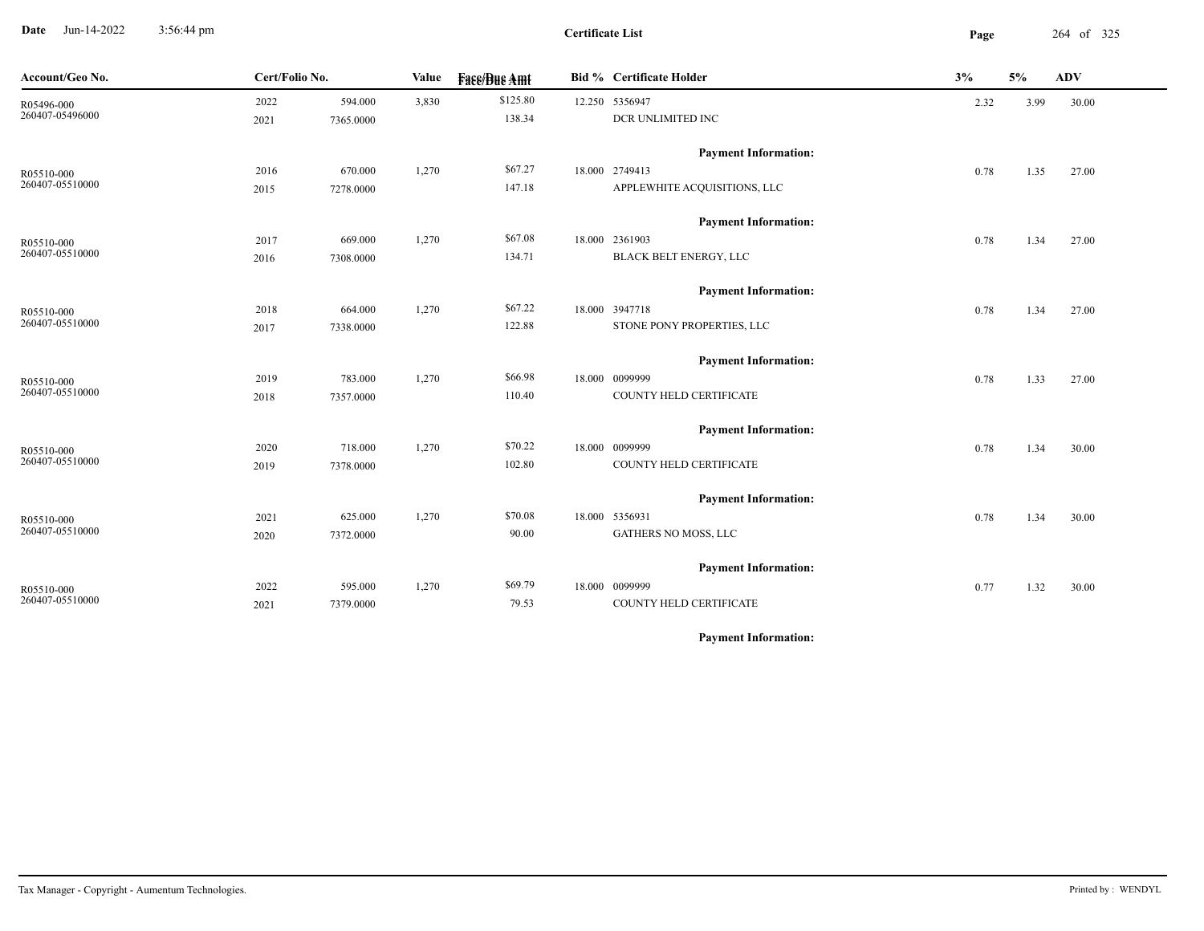**Date** Jun-14-2022 3:56:44 pm **Page** 264 of 325 3:56:44 pm

**Certificate List**

| Account/Geo No. | Cert/Folio No. |           | Value | <b>Fase/Bue Amt</b> | <b>Bid % Certificate Holder</b> | 3%   | 5%   | ADV   |
|-----------------|----------------|-----------|-------|---------------------|---------------------------------|------|------|-------|
| R05496-000      | 2022           | 594.000   | 3,830 | \$125.80            | 12.250 5356947                  | 2.32 | 3.99 | 30.00 |
| 260407-05496000 | 2021           | 7365.0000 |       | 138.34              | DCR UNLIMITED INC               |      |      |       |
|                 |                |           |       |                     | <b>Payment Information:</b>     |      |      |       |
| R05510-000      | 2016           | 670.000   | 1,270 | \$67.27             | 18.000 2749413                  | 0.78 | 1.35 | 27.00 |
| 260407-05510000 | 2015           | 7278.0000 |       | 147.18              | APPLEWHITE ACQUISITIONS, LLC    |      |      |       |
|                 |                |           |       |                     | <b>Payment Information:</b>     |      |      |       |
| R05510-000      | 2017           | 669.000   | 1,270 | \$67.08             | 18.000 2361903                  | 0.78 | 1.34 | 27.00 |
| 260407-05510000 | 2016           | 7308.0000 |       | 134.71              | BLACK BELT ENERGY, LLC          |      |      |       |
|                 |                |           |       |                     | <b>Payment Information:</b>     |      |      |       |
| R05510-000      | 2018           | 664.000   | 1,270 | \$67.22             | 18.000 3947718                  | 0.78 | 1.34 | 27.00 |
| 260407-05510000 | 2017           | 7338.0000 |       | 122.88              | STONE PONY PROPERTIES, LLC      |      |      |       |
|                 |                |           |       |                     | <b>Payment Information:</b>     |      |      |       |
| R05510-000      | 2019           | 783.000   | 1,270 | \$66.98             | 18.000 0099999                  | 0.78 | 1.33 | 27.00 |
| 260407-05510000 | 2018           | 7357.0000 |       | 110.40              | COUNTY HELD CERTIFICATE         |      |      |       |
|                 |                |           |       |                     | <b>Payment Information:</b>     |      |      |       |
| R05510-000      | 2020           | 718.000   | 1,270 | \$70.22             | 18.000 0099999                  | 0.78 | 1.34 | 30.00 |
| 260407-05510000 | 2019           | 7378.0000 |       | 102.80              | COUNTY HELD CERTIFICATE         |      |      |       |
|                 |                |           |       |                     | <b>Payment Information:</b>     |      |      |       |
| R05510-000      | 2021           | 625.000   | 1,270 | \$70.08             | 18.000 5356931                  | 0.78 | 1.34 | 30.00 |
| 260407-05510000 | 2020           | 7372.0000 |       | 90.00               | GATHERS NO MOSS, LLC            |      |      |       |
|                 |                |           |       |                     | <b>Payment Information:</b>     |      |      |       |
| R05510-000      | 2022           | 595.000   | 1,270 | \$69.79             | 18.000 0099999                  | 0.77 | 1.32 | 30.00 |
| 260407-05510000 | 2021           | 7379.0000 |       | 79.53               | COUNTY HELD CERTIFICATE         |      |      |       |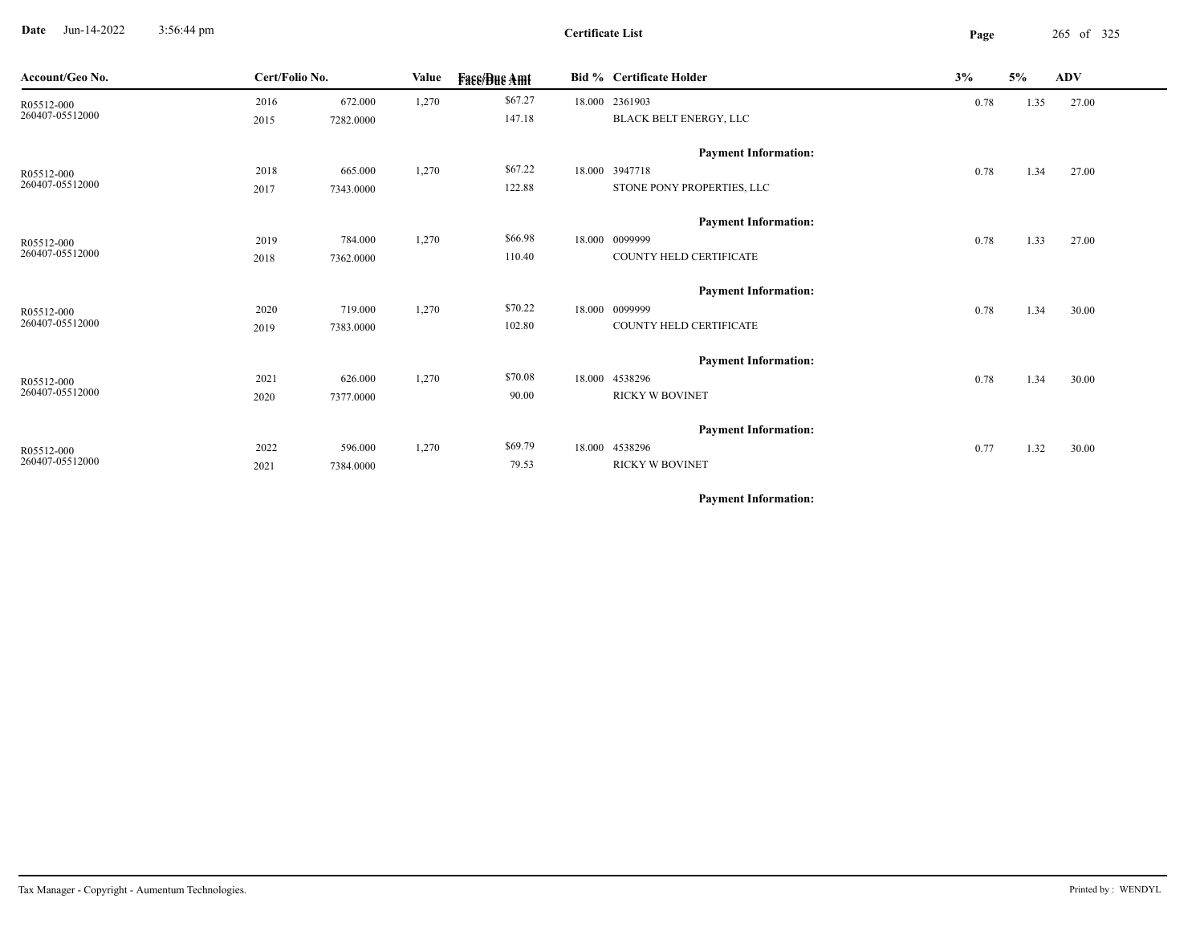**Date** Jun-14-2022 3:56:44 pm **Page** 265 of 325 3:56:44 pm

**Certificate List**

| Account/Geo No. | Cert/Folio No. |           | Value | <b>Face/Bue Amt</b> | <b>Bid % Certificate Holder</b> | 3%   | 5%   | ADV   |
|-----------------|----------------|-----------|-------|---------------------|---------------------------------|------|------|-------|
| R05512-000      | 2016           | 672.000   | 1,270 | \$67.27             | 18.000 2361903                  | 0.78 | 1.35 | 27.00 |
| 260407-05512000 | 2015           | 7282.0000 |       | 147.18              | BLACK BELT ENERGY, LLC          |      |      |       |
|                 |                |           |       |                     | <b>Payment Information:</b>     |      |      |       |
| R05512-000      | 2018           | 665.000   | 1,270 | \$67.22             | 18.000 3947718                  | 0.78 | 1.34 | 27.00 |
| 260407-05512000 | 2017           | 7343.0000 |       | 122.88              | STONE PONY PROPERTIES, LLC      |      |      |       |
|                 |                |           |       |                     | <b>Payment Information:</b>     |      |      |       |
| R05512-000      | 2019           | 784.000   | 1,270 | \$66.98             | 18.000 0099999                  | 0.78 | 1.33 | 27.00 |
| 260407-05512000 | 2018           | 7362.0000 |       | 110.40              | COUNTY HELD CERTIFICATE         |      |      |       |
|                 |                |           |       |                     | <b>Payment Information:</b>     |      |      |       |
| R05512-000      | 2020           | 719.000   | 1,270 | \$70.22             | 18.000 0099999                  | 0.78 | 1.34 | 30.00 |
| 260407-05512000 | 2019           | 7383.0000 |       | 102.80              | COUNTY HELD CERTIFICATE         |      |      |       |
|                 |                |           |       |                     | <b>Payment Information:</b>     |      |      |       |
| R05512-000      | 2021           | 626.000   | 1,270 | \$70.08             | 18.000 4538296                  | 0.78 | 1.34 | 30.00 |
| 260407-05512000 | 2020           | 7377.0000 |       | 90.00               | <b>RICKY W BOVINET</b>          |      |      |       |
|                 |                |           |       |                     | <b>Payment Information:</b>     |      |      |       |
| R05512-000      | 2022           | 596.000   | 1,270 | \$69.79             | 18.000 4538296                  | 0.77 | 1.32 | 30.00 |
| 260407-05512000 | 2021           | 7384.0000 |       | 79.53               | <b>RICKY W BOVINET</b>          |      |      |       |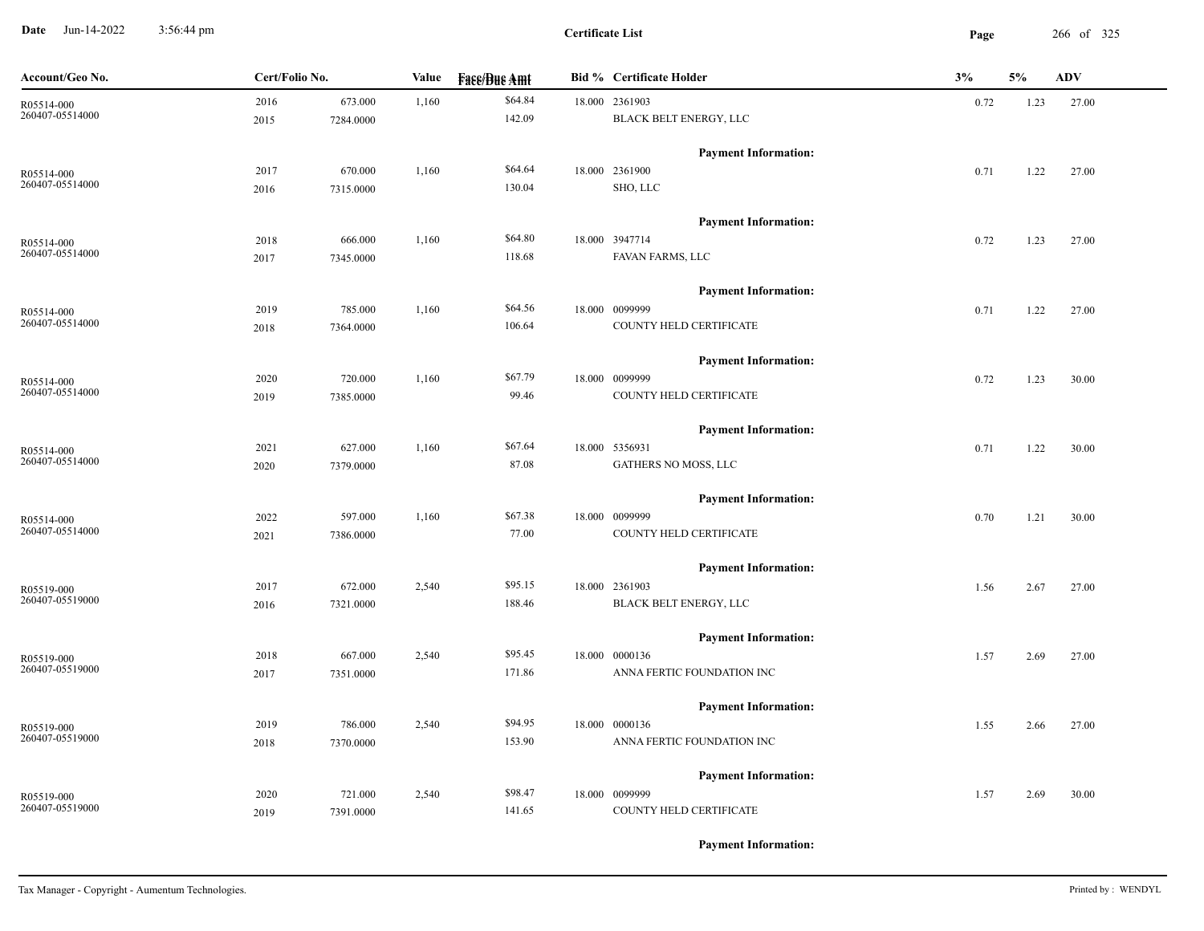**Date** Jun-14-2022 3:56:44 pm **Page** 266 of 325 3:56:44 pm

**Certificate List**

| Account/Geo No.               | Cert/Folio No. |           | Value | <b>Face/Bue Amt</b> | <b>Bid % Certificate Holder</b>          | 3%   | 5%   | <b>ADV</b> |
|-------------------------------|----------------|-----------|-------|---------------------|------------------------------------------|------|------|------------|
| R05514-000<br>260407-05514000 | 2016           | 673.000   | 1,160 | \$64.84<br>142.09   | 18.000 2361903<br>BLACK BELT ENERGY, LLC | 0.72 | 1.23 | 27.00      |
|                               | 2015           | 7284.0000 |       |                     |                                          |      |      |            |
|                               |                |           |       |                     | <b>Payment Information:</b>              |      |      |            |
| R05514-000<br>260407-05514000 | 2017           | 670.000   | 1,160 | \$64.64             | 18.000 2361900                           | 0.71 | 1.22 | 27.00      |
|                               | 2016           | 7315.0000 |       | 130.04              | SHO, LLC                                 |      |      |            |
|                               |                |           |       |                     | <b>Payment Information:</b>              |      |      |            |
| R05514-000                    | 2018           | 666.000   | 1,160 | \$64.80             | 18.000 3947714                           | 0.72 | 1.23 | 27.00      |
| 260407-05514000               | 2017           | 7345.0000 |       | 118.68              | FAVAN FARMS, LLC                         |      |      |            |
|                               |                |           |       |                     | <b>Payment Information:</b>              |      |      |            |
| R05514-000                    | 2019           | 785.000   | 1,160 | \$64.56             | 18.000 0099999                           | 0.71 | 1.22 | 27.00      |
| 260407-05514000               | 2018           | 7364.0000 |       | 106.64              | COUNTY HELD CERTIFICATE                  |      |      |            |
|                               |                |           |       |                     | <b>Payment Information:</b>              |      |      |            |
| R05514-000                    | 2020           | 720.000   | 1,160 | \$67.79             | 18.000 0099999                           | 0.72 | 1.23 | 30.00      |
| 260407-05514000               | 2019           | 7385.0000 |       | 99.46               | COUNTY HELD CERTIFICATE                  |      |      |            |
|                               |                |           |       |                     | <b>Payment Information:</b>              |      |      |            |
| R05514-000                    | 2021           | 627.000   | 1,160 | \$67.64             | 18.000 5356931                           | 0.71 | 1.22 | 30.00      |
| 260407-05514000               | 2020           | 7379.0000 |       | 87.08               | GATHERS NO MOSS, LLC                     |      |      |            |
|                               |                |           |       |                     | <b>Payment Information:</b>              |      |      |            |
| R05514-000                    | 2022           | 597.000   | 1,160 | \$67.38             | 18.000 0099999                           | 0.70 | 1.21 | 30.00      |
| 260407-05514000               | 2021           | 7386.0000 |       | 77.00               | COUNTY HELD CERTIFICATE                  |      |      |            |
|                               |                |           |       |                     | <b>Payment Information:</b>              |      |      |            |
| R05519-000                    | 2017           | 672.000   | 2,540 | \$95.15             | 18.000 2361903                           | 1.56 | 2.67 | 27.00      |
| 260407-05519000               | 2016           | 7321.0000 |       | 188.46              | BLACK BELT ENERGY, LLC                   |      |      |            |
|                               |                |           |       |                     | <b>Payment Information:</b>              |      |      |            |
| R05519-000                    | 2018           | 667.000   | 2,540 | \$95.45             | 18.000 0000136                           | 1.57 | 2.69 | 27.00      |
| 260407-05519000               | 2017           | 7351.0000 |       | 171.86              | ANNA FERTIC FOUNDATION INC               |      |      |            |
|                               |                |           |       |                     | <b>Payment Information:</b>              |      |      |            |
| R05519-000                    | 2019           | 786.000   | 2,540 | \$94.95             | 18.000 0000136                           | 1.55 | 2.66 | 27.00      |
| 260407-05519000               | 2018           | 7370.0000 |       | 153.90              | ANNA FERTIC FOUNDATION INC               |      |      |            |
|                               |                |           |       |                     | <b>Payment Information:</b>              |      |      |            |
| R05519-000                    | 2020           | 721.000   | 2,540 | \$98.47             | 18.000 0099999                           | 1.57 | 2.69 | 30.00      |
| 260407-05519000               | 2019           | 7391.0000 |       | 141.65              | COUNTY HELD CERTIFICATE                  |      |      |            |
|                               |                |           |       |                     |                                          |      |      |            |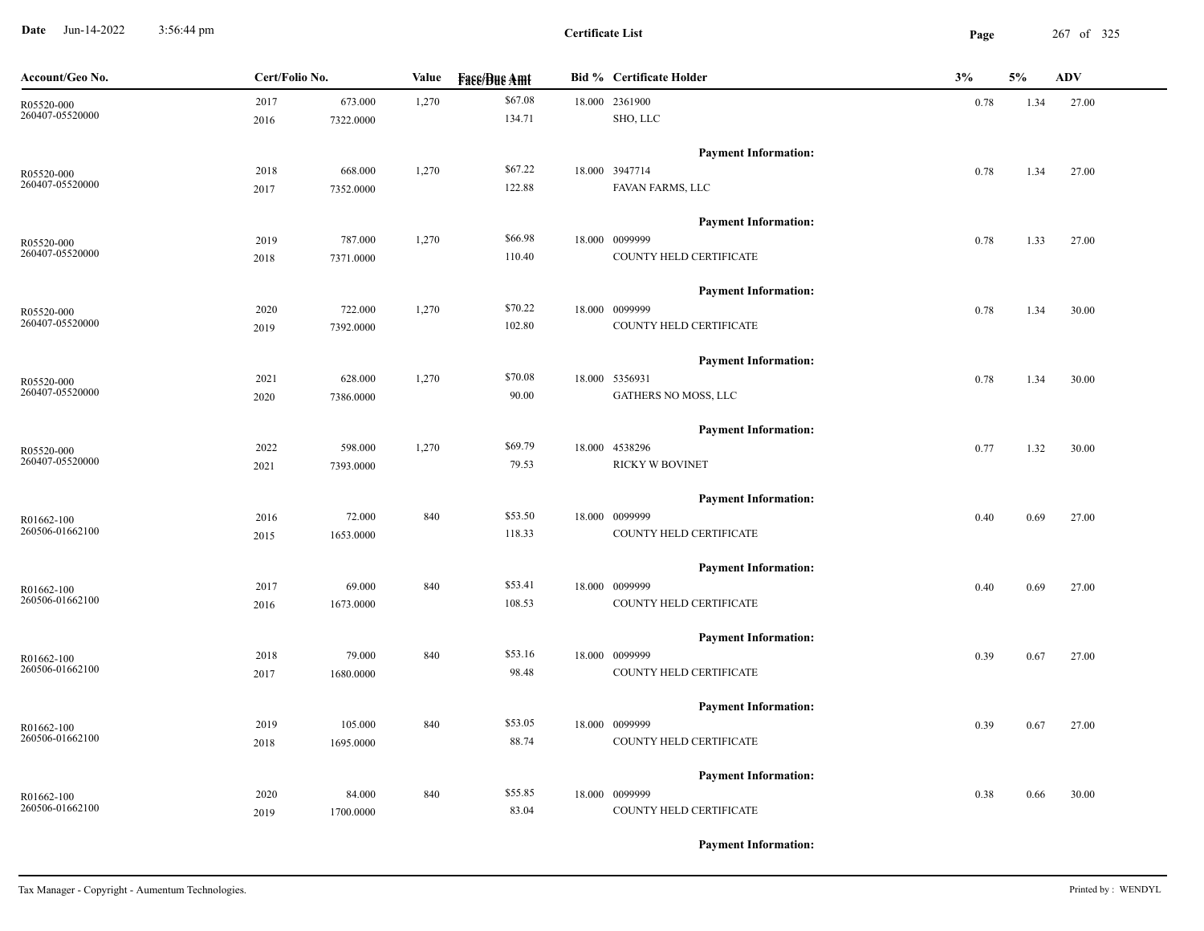**Date** Jun-14-2022 3:56:44 pm **Page** 267 of 325 3:56:44 pm

| Account/Geo No.               | Cert/Folio No. |                      | Value | <b>Face/Bue Amt</b> | <b>Bid % Certificate Holder</b>           | 3%   | 5%   | <b>ADV</b> |
|-------------------------------|----------------|----------------------|-------|---------------------|-------------------------------------------|------|------|------------|
| R05520-000<br>260407-05520000 | 2017<br>2016   | 673.000<br>7322.0000 | 1,270 | \$67.08<br>134.71   | 18.000 2361900<br>SHO, LLC                | 0.78 | 1.34 | 27.00      |
|                               |                |                      |       |                     |                                           |      |      |            |
|                               |                |                      |       | \$67.22             | <b>Payment Information:</b>               |      |      |            |
| R05520-000<br>260407-05520000 | 2018           | 668.000              | 1,270 | 122.88              | 18.000 3947714<br>FAVAN FARMS, LLC        | 0.78 | 1.34 | 27.00      |
|                               | 2017           | 7352.0000            |       |                     |                                           |      |      |            |
|                               |                |                      |       | \$66.98             | <b>Payment Information:</b>               |      |      |            |
| R05520-000<br>260407-05520000 | 2019           | 787.000              | 1,270 |                     | 18.000 0099999                            | 0.78 | 1.33 | 27.00      |
|                               | 2018           | 7371.0000            |       | 110.40              | COUNTY HELD CERTIFICATE                   |      |      |            |
|                               |                |                      |       |                     | <b>Payment Information:</b>               |      |      |            |
| R05520-000                    | 2020           | 722.000              | 1,270 | \$70.22             | 18.000 0099999                            | 0.78 | 1.34 | 30.00      |
| 260407-05520000               | 2019           | 7392.0000            |       | 102.80              | COUNTY HELD CERTIFICATE                   |      |      |            |
|                               |                |                      |       |                     | <b>Payment Information:</b>               |      |      |            |
| R05520-000                    | 2021           | 628.000              | 1,270 | \$70.08             | 18.000 5356931                            | 0.78 | 1.34 | 30.00      |
| 260407-05520000               | 2020           | 7386.0000            |       | 90.00               | GATHERS NO MOSS, LLC                      |      |      |            |
|                               |                |                      |       |                     | <b>Payment Information:</b>               |      |      |            |
| R05520-000                    | 2022           | 598.000              | 1,270 | \$69.79             | 18.000 4538296                            | 0.77 | 1.32 | 30.00      |
| 260407-05520000               | 2021           | 7393.0000            |       | 79.53               | RICKY W BOVINET                           |      |      |            |
|                               |                |                      |       |                     | <b>Payment Information:</b>               |      |      |            |
| R01662-100                    | 2016           | 72.000               | 840   | \$53.50             | 18.000 0099999                            | 0.40 | 0.69 | 27.00      |
| 260506-01662100               | 2015           | 1653.0000            |       | 118.33              | COUNTY HELD CERTIFICATE                   |      |      |            |
|                               |                |                      |       |                     | <b>Payment Information:</b>               |      |      |            |
| R01662-100                    | 2017           | 69.000               | 840   | \$53.41             | 18.000 0099999                            | 0.40 | 0.69 | 27.00      |
| 260506-01662100               | 2016           | 1673.0000            |       | 108.53              | COUNTY HELD CERTIFICATE                   |      |      |            |
|                               |                |                      |       |                     | <b>Payment Information:</b>               |      |      |            |
| R01662-100                    | 2018           | 79.000               | 840   | \$53.16             | 18.000 0099999                            | 0.39 | 0.67 | 27.00      |
| 260506-01662100               | 2017           | 1680.0000            |       | 98.48               | COUNTY HELD CERTIFICATE                   |      |      |            |
|                               |                |                      |       |                     |                                           |      |      |            |
|                               |                |                      |       | \$53.05             | <b>Payment Information:</b>               |      |      |            |
| R01662-100<br>260506-01662100 | 2019           | 105.000              | 840   | 88.74               | 18.000 0099999<br>COUNTY HELD CERTIFICATE | 0.39 | 0.67 | 27.00      |
|                               | 2018           | 1695.0000            |       |                     |                                           |      |      |            |
|                               |                |                      |       |                     | <b>Payment Information:</b>               |      |      |            |
| R01662-100                    | 2020           | 84.000               | 840   | \$55.85             | 18.000 0099999                            | 0.38 | 0.66 | 30.00      |
| 260506-01662100               | 2019           | 1700.0000            |       | 83.04               | COUNTY HELD CERTIFICATE                   |      |      |            |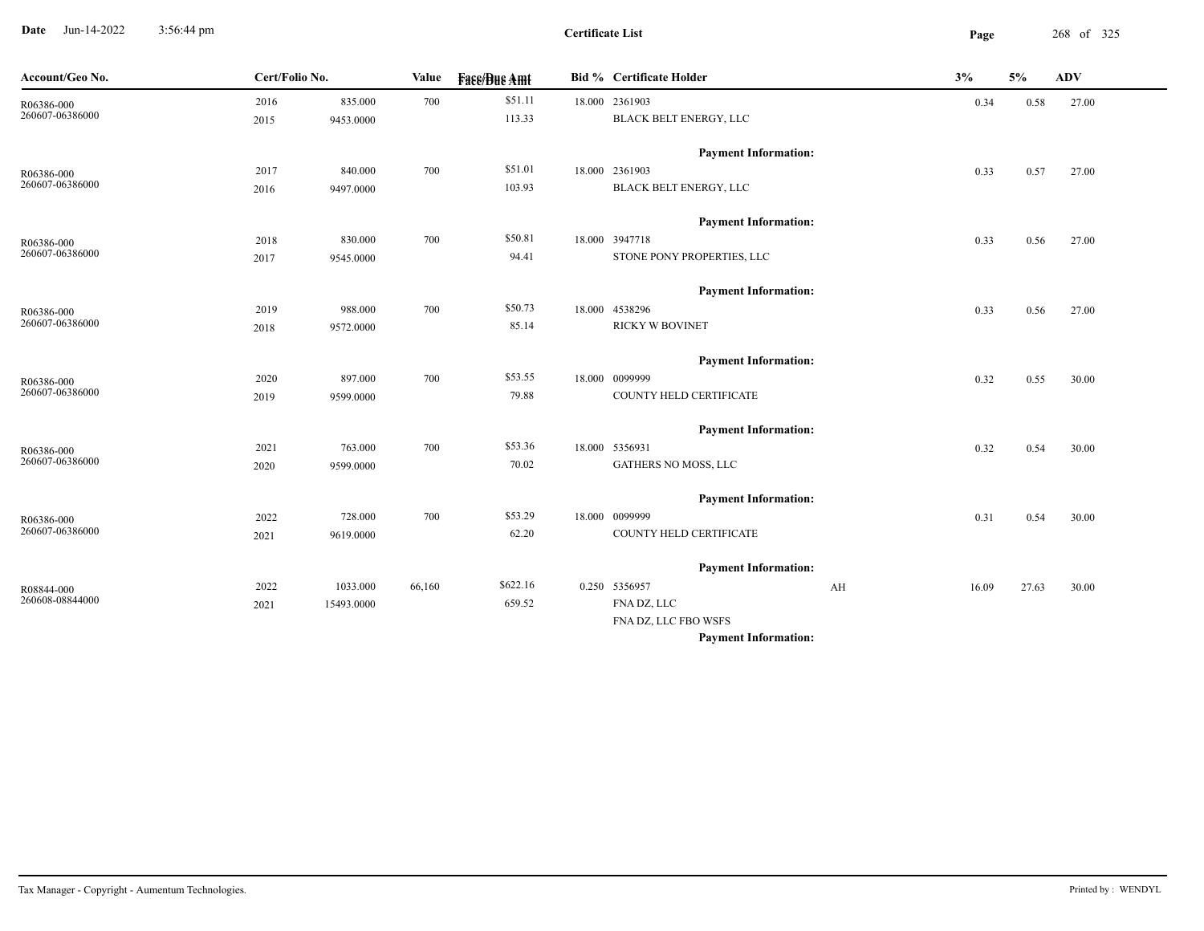**Date** Jun-14-2022 3:56:44 pm **Page** 268 of 325 3:56:44 pm

**Certificate List**

-

| Account/Geo No.               | Cert/Folio No. |            | Value  | <b>Face/Bue Amt</b> | <b>Bid % Certificate Holder</b> | 3%          | 5%    | <b>ADV</b> |
|-------------------------------|----------------|------------|--------|---------------------|---------------------------------|-------------|-------|------------|
| R06386-000                    | 2016           | 835.000    | 700    | \$51.11             | 18.000 2361903                  | 0.34        | 0.58  | 27.00      |
| 260607-06386000               | 2015           | 9453.0000  |        | 113.33              | BLACK BELT ENERGY, LLC          |             |       |            |
|                               |                |            |        |                     | <b>Payment Information:</b>     |             |       |            |
| R06386-000<br>260607-06386000 | 2017           | 840.000    | 700    | \$51.01             | 18.000 2361903                  | 0.33        | 0.57  | 27.00      |
|                               | 2016           | 9497.0000  |        | 103.93              | BLACK BELT ENERGY, LLC          |             |       |            |
|                               |                |            |        |                     | <b>Payment Information:</b>     |             |       |            |
| R06386-000                    | 2018           | 830.000    | 700    | \$50.81             | 18.000 3947718                  | 0.33        | 0.56  | 27.00      |
| 260607-06386000               | 2017           | 9545.0000  |        | 94.41               | STONE PONY PROPERTIES, LLC      |             |       |            |
|                               |                |            |        |                     | <b>Payment Information:</b>     |             |       |            |
| R06386-000                    | 2019           | 988.000    | 700    | \$50.73             | 18.000 4538296                  | 0.33        | 0.56  | 27.00      |
| 260607-06386000               | 2018           | 9572.0000  |        | 85.14               | <b>RICKY W BOVINET</b>          |             |       |            |
|                               |                |            |        |                     | <b>Payment Information:</b>     |             |       |            |
| R06386-000                    | 2020           | 897.000    | 700    | \$53.55             | 18.000 0099999                  | 0.32        | 0.55  | 30.00      |
| 260607-06386000               | 2019           | 9599.0000  |        | 79.88               | COUNTY HELD CERTIFICATE         |             |       |            |
|                               |                |            |        |                     | <b>Payment Information:</b>     |             |       |            |
| R06386-000                    | 2021           | 763.000    | 700    | \$53.36             | 18.000 5356931                  | 0.32        | 0.54  | 30.00      |
| 260607-06386000               | 2020           | 9599.0000  |        | 70.02               | GATHERS NO MOSS, LLC            |             |       |            |
|                               |                |            |        |                     | <b>Payment Information:</b>     |             |       |            |
| R06386-000                    | 2022           | 728.000    | 700    | \$53.29             | 18.000 0099999                  | 0.31        | 0.54  | 30.00      |
| 260607-06386000               | 2021           | 9619.0000  |        | 62.20               | COUNTY HELD CERTIFICATE         |             |       |            |
|                               |                |            |        |                     | <b>Payment Information:</b>     |             |       |            |
| R08844-000                    | 2022           | 1033.000   | 66,160 | \$622.16            | 0.250 5356957                   | AH<br>16.09 | 27.63 | 30.00      |
| 260608-08844000               | 2021           | 15493.0000 |        | 659.52              | FNA DZ, LLC                     |             |       |            |
|                               |                |            |        |                     | FNA DZ, LLC FBO WSFS            |             |       |            |
|                               |                |            |        |                     | <b>Payment Information:</b>     |             |       |            |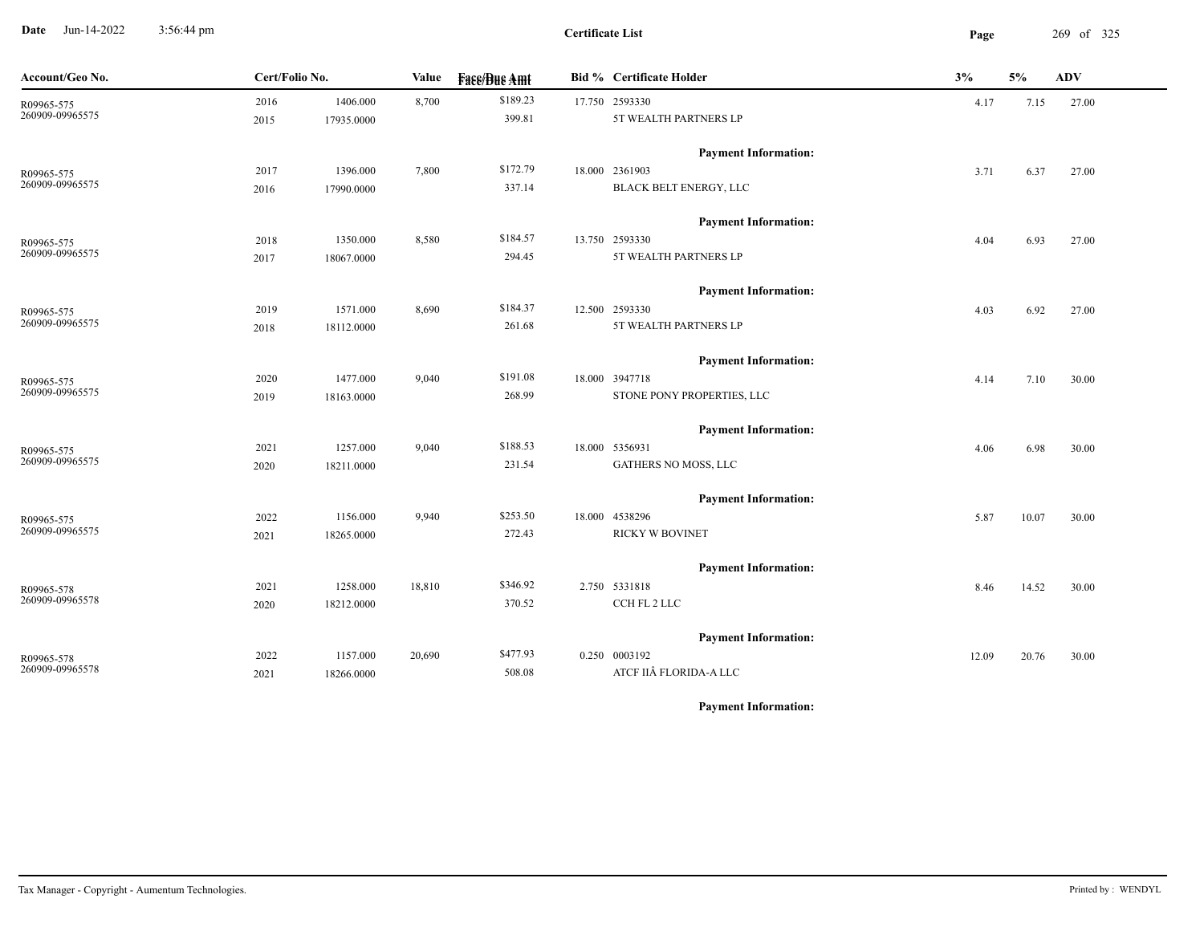**Date** Jun-14-2022 3:56:44 pm **Page** 269 of 325 3:56:44 pm

| Account/Geo No.               | Cert/Folio No. |            | Value  | <b>Face/Bue Amt</b> | <b>Bid % Certificate Holder</b> | 3%    | 5%    | <b>ADV</b> |
|-------------------------------|----------------|------------|--------|---------------------|---------------------------------|-------|-------|------------|
| R09965-575<br>260909-09965575 | 2016           | 1406.000   | 8,700  | \$189.23            | 17.750 2593330                  | 4.17  | 7.15  | 27.00      |
|                               | 2015           | 17935.0000 |        | 399.81              | 5T WEALTH PARTNERS LP           |       |       |            |
|                               |                |            |        |                     | <b>Payment Information:</b>     |       |       |            |
| R09965-575                    | 2017           | 1396.000   | 7,800  | \$172.79            | 18.000 2361903                  | 3.71  | 6.37  | 27.00      |
| 260909-09965575               | 2016           | 17990.0000 |        | 337.14              | BLACK BELT ENERGY, LLC          |       |       |            |
|                               |                |            |        |                     | <b>Payment Information:</b>     |       |       |            |
| R09965-575                    | 2018           | 1350.000   | 8,580  | \$184.57            | 13.750 2593330                  | 4.04  | 6.93  | 27.00      |
| 260909-09965575               | 2017           | 18067.0000 |        | 294.45              | 5T WEALTH PARTNERS LP           |       |       |            |
|                               |                |            |        |                     | <b>Payment Information:</b>     |       |       |            |
| R09965-575                    | 2019           | 1571.000   | 8,690  | \$184.37            | 12.500 2593330                  | 4.03  | 6.92  | 27.00      |
| 260909-09965575               | 2018           | 18112.0000 |        | 261.68              | 5T WEALTH PARTNERS LP           |       |       |            |
|                               |                |            |        |                     | <b>Payment Information:</b>     |       |       |            |
| R09965-575                    | 2020           | 1477.000   | 9,040  | \$191.08            | 18.000 3947718                  | 4.14  | 7.10  | 30.00      |
| 260909-09965575               | 2019           | 18163.0000 |        | 268.99              | STONE PONY PROPERTIES, LLC      |       |       |            |
|                               |                |            |        |                     | <b>Payment Information:</b>     |       |       |            |
| R09965-575                    | 2021           | 1257.000   | 9,040  | \$188.53            | 18.000 5356931                  | 4.06  | 6.98  | 30.00      |
| 260909-09965575               | 2020           | 18211.0000 |        | 231.54              | GATHERS NO MOSS, LLC            |       |       |            |
|                               |                |            |        |                     | <b>Payment Information:</b>     |       |       |            |
| R09965-575                    | 2022           | 1156.000   | 9,940  | \$253.50            | 18.000 4538296                  | 5.87  | 10.07 | 30.00      |
| 260909-09965575               | 2021           | 18265.0000 |        | 272.43              | <b>RICKY W BOVINET</b>          |       |       |            |
|                               |                |            |        |                     | <b>Payment Information:</b>     |       |       |            |
| R09965-578                    | 2021           | 1258.000   | 18,810 | \$346.92            | 2.750 5331818                   | 8.46  | 14.52 | 30.00      |
| 260909-09965578               | 2020           | 18212.0000 |        | 370.52              | CCH FL 2 LLC                    |       |       |            |
|                               |                |            |        |                     | <b>Payment Information:</b>     |       |       |            |
| R09965-578                    | 2022           | 1157.000   | 20,690 | \$477.93            | 0.250 0003192                   | 12.09 | 20.76 | 30.00      |
| 260909-09965578               | 2021           | 18266.0000 |        | 508.08              | ATCF IIÂ FLORIDA-A LLC          |       |       |            |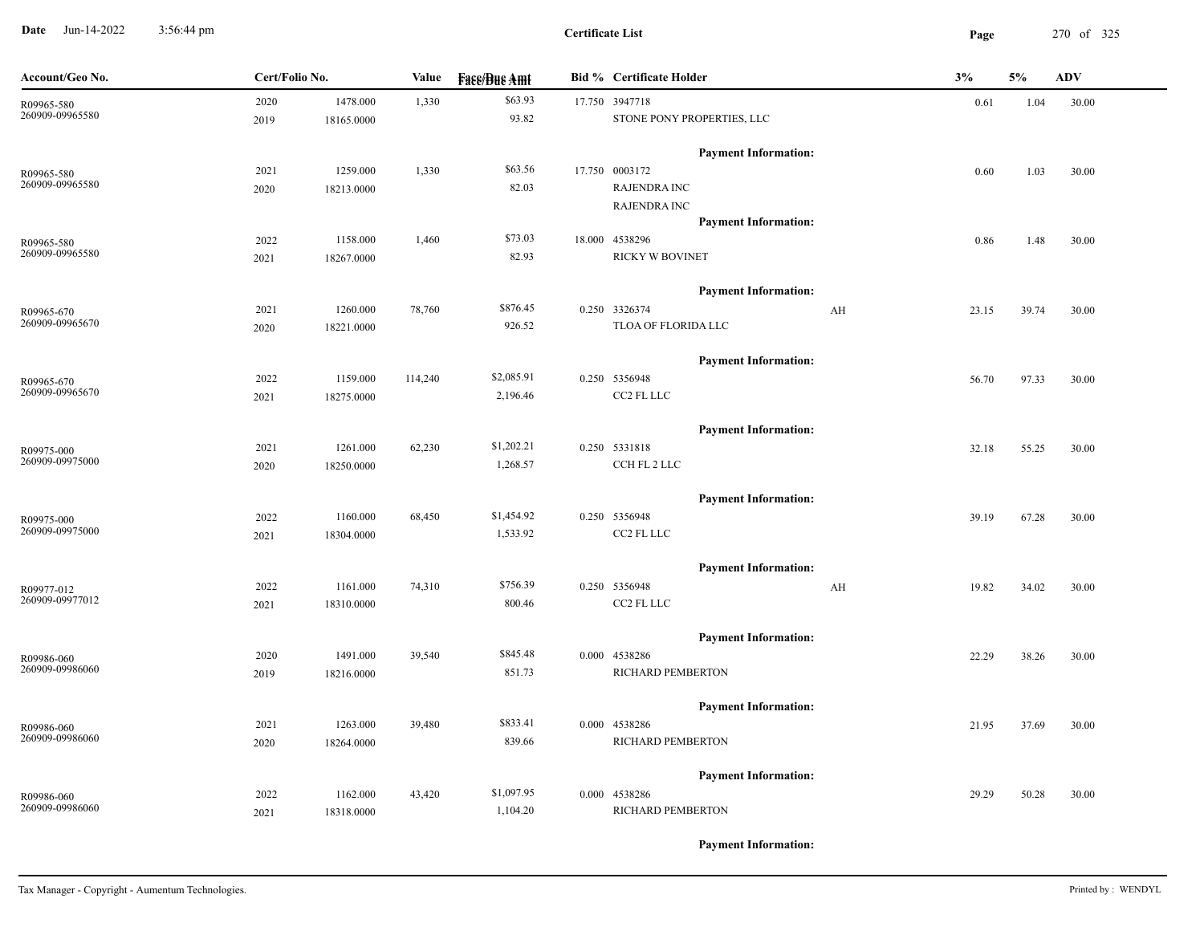**Date** Jun-14-2022 3:56:44 pm **Page** 270 of 325 3:56:44 pm

| Account/Geo No.               | Cert/Folio No. |            | Value   | <b>Face/Bue Amt</b> | <b>Bid % Certificate Holder</b> | 3%    | 5%    | <b>ADV</b> |
|-------------------------------|----------------|------------|---------|---------------------|---------------------------------|-------|-------|------------|
| R09965-580                    | 2020           | 1478.000   | 1,330   | \$63.93             | 17.750 3947718                  | 0.61  | 1.04  | 30.00      |
| 260909-09965580               | 2019           | 18165.0000 |         | 93.82               | STONE PONY PROPERTIES, LLC      |       |       |            |
|                               |                |            |         |                     | <b>Payment Information:</b>     |       |       |            |
| R09965-580                    | 2021           | 1259.000   | 1,330   | \$63.56             | 17.750 0003172                  | 0.60  | 1.03  | 30.00      |
| 260909-09965580               | 2020           | 18213.0000 |         | 82.03               | <b>RAJENDRA INC</b>             |       |       |            |
|                               |                |            |         |                     | <b>RAJENDRA INC</b>             |       |       |            |
|                               |                |            |         |                     | <b>Payment Information:</b>     |       |       |            |
| R09965-580                    | 2022           | 1158.000   | 1,460   | \$73.03             | 18.000 4538296                  | 0.86  | 1.48  | 30.00      |
| 260909-09965580               | 2021           | 18267.0000 |         | 82.93               | <b>RICKY W BOVINET</b>          |       |       |            |
|                               |                |            |         |                     | <b>Payment Information:</b>     |       |       |            |
| R09965-670                    | 2021           | 1260.000   | 78,760  | \$876.45            | 0.250 3326374<br>AH             | 23.15 | 39.74 | 30.00      |
| 260909-09965670               | 2020           | 18221.0000 |         | 926.52              | TLOA OF FLORIDA LLC             |       |       |            |
|                               |                |            |         |                     | <b>Payment Information:</b>     |       |       |            |
|                               | 2022           | 1159.000   | 114,240 | \$2,085.91          | 0.250 5356948                   | 56.70 | 97.33 | 30.00      |
| R09965-670<br>260909-09965670 | 2021           | 18275.0000 |         | 2,196.46            | CC2 FL LLC                      |       |       |            |
|                               |                |            |         |                     |                                 |       |       |            |
|                               |                |            |         |                     | <b>Payment Information:</b>     |       |       |            |
| R09975-000                    | 2021           | 1261.000   | 62,230  | \$1,202.21          | 0.250 5331818                   | 32.18 | 55.25 | 30.00      |
| 260909-09975000               | 2020           | 18250.0000 |         | 1,268.57            | CCH FL 2 LLC                    |       |       |            |
|                               |                |            |         |                     | <b>Payment Information:</b>     |       |       |            |
| R09975-000                    | 2022           | 1160.000   | 68,450  | \$1,454.92          | 0.250 5356948                   | 39.19 | 67.28 | 30.00      |
| 260909-09975000               | 2021           | 18304.0000 |         | 1,533.92            | CC2 FL LLC                      |       |       |            |
|                               |                |            |         |                     | <b>Payment Information:</b>     |       |       |            |
|                               | 2022           | 1161.000   | 74,310  | \$756.39            | 0.250 5356948<br>AH             | 19.82 | 34.02 | 30.00      |
| R09977-012<br>260909-09977012 | 2021           | 18310.0000 |         | 800.46              | CC2 FL LLC                      |       |       |            |
|                               |                |            |         |                     |                                 |       |       |            |
|                               |                |            |         |                     | <b>Payment Information:</b>     |       |       |            |
| R09986-060                    | 2020           | 1491.000   | 39,540  | \$845.48            | 0.000 4538286                   | 22.29 | 38.26 | 30.00      |
| 260909-09986060               | 2019           | 18216.0000 |         | 851.73              | RICHARD PEMBERTON               |       |       |            |
|                               |                |            |         |                     | <b>Payment Information:</b>     |       |       |            |
| R09986-060                    | 2021           | 1263.000   | 39,480  | \$833.41            | 0.000 4538286                   | 21.95 | 37.69 | 30.00      |
| 260909-09986060               | 2020           | 18264.0000 |         | 839.66              | RICHARD PEMBERTON               |       |       |            |
|                               |                |            |         |                     | <b>Payment Information:</b>     |       |       |            |
| R09986-060                    | 2022           | 1162.000   | 43,420  | \$1,097.95          | 0.000 4538286                   | 29.29 | 50.28 | 30.00      |
| 260909-09986060               | 2021           | 18318.0000 |         | 1,104.20            | RICHARD PEMBERTON               |       |       |            |
|                               |                |            |         |                     |                                 |       |       |            |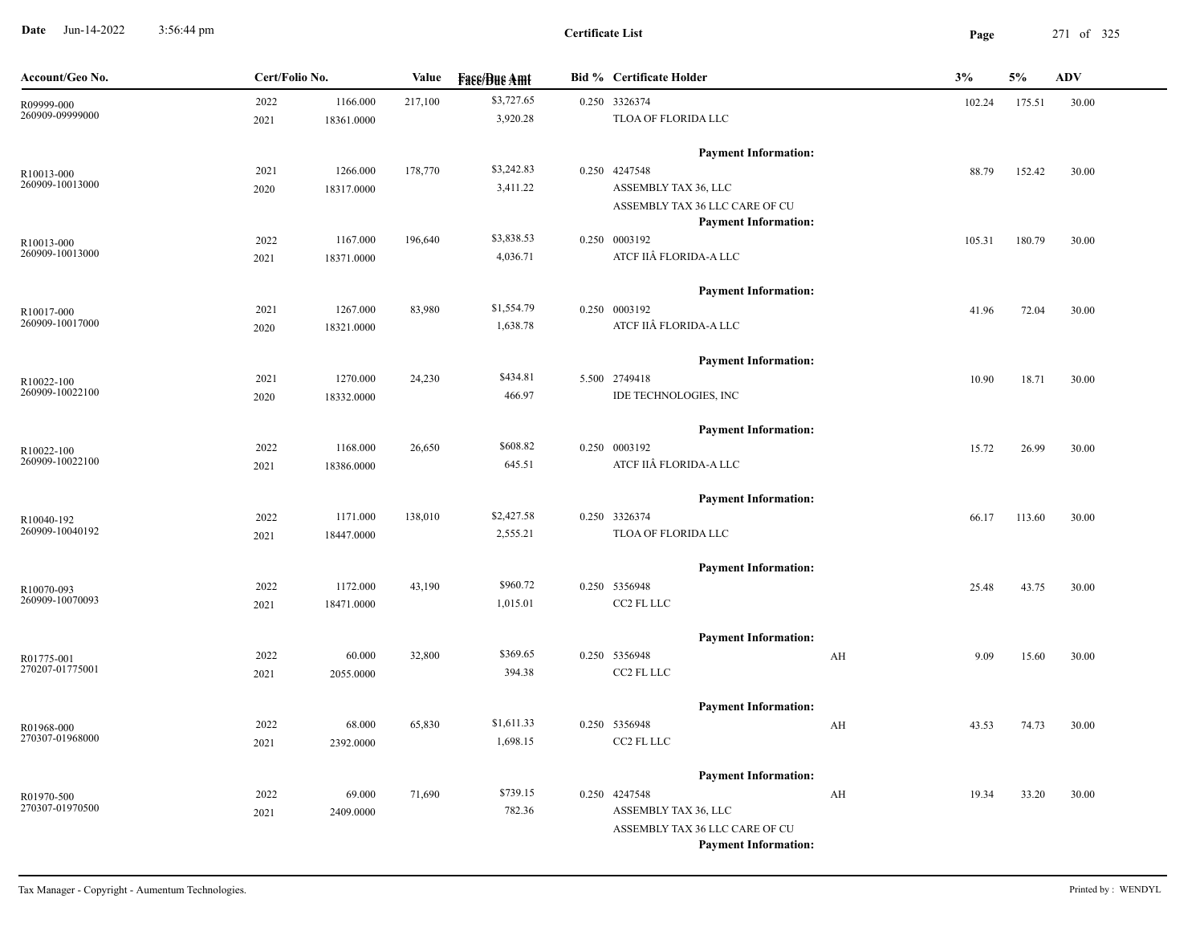**Date** Jun-14-2022 3:56:44 pm **Page** 271 of 325 3:56:44 pm

**Certificate List**

| Account/Geo No.               | Cert/Folio No. |            | Value   | <b>Fass/Bus Amt</b> | <b>Bid % Certificate Holder</b>                    | 3%     | 5%     | <b>ADV</b> |
|-------------------------------|----------------|------------|---------|---------------------|----------------------------------------------------|--------|--------|------------|
| R09999-000                    | 2022           | 1166.000   | 217,100 | \$3,727.65          | 0.250 3326374                                      | 102.24 | 175.51 | 30.00      |
| 260909-09999000               | 2021           | 18361.0000 |         | 3,920.28            | TLOA OF FLORIDA LLC                                |        |        |            |
|                               |                |            |         |                     | <b>Payment Information:</b>                        |        |        |            |
| R10013-000                    | 2021           | 1266.000   | 178,770 | \$3,242.83          | 0.250 4247548                                      | 88.79  | 152.42 | 30.00      |
| 260909-10013000               | 2020           | 18317.0000 |         | 3,411.22            | ASSEMBLY TAX 36, LLC                               |        |        |            |
|                               |                |            |         |                     | ASSEMBLY TAX 36 LLC CARE OF CU                     |        |        |            |
|                               |                |            |         |                     | <b>Payment Information:</b>                        |        |        |            |
| R10013-000                    | 2022           | 1167.000   | 196,640 | \$3,838.53          | 0.250 0003192                                      | 105.31 | 180.79 | 30.00      |
| 260909-10013000               | 2021           | 18371.0000 |         | 4,036.71            | ATCF IIÂ FLORIDA-A LLC                             |        |        |            |
|                               |                |            |         |                     | <b>Payment Information:</b>                        |        |        |            |
| R10017-000                    | 2021           | 1267.000   | 83,980  | \$1,554.79          | 0.250 0003192                                      | 41.96  | 72.04  | 30.00      |
| 260909-10017000               | 2020           | 18321.0000 |         | 1,638.78            | ATCF IIÂ FLORIDA-A LLC                             |        |        |            |
|                               |                |            |         |                     | <b>Payment Information:</b>                        |        |        |            |
| R10022-100                    | 2021           | 1270.000   | 24,230  | \$434.81            | 5.500 2749418                                      | 10.90  | 18.71  | 30.00      |
| 260909-10022100               | 2020           | 18332.0000 |         | 466.97              | IDE TECHNOLOGIES, INC                              |        |        |            |
|                               |                |            |         |                     | <b>Payment Information:</b>                        |        |        |            |
| R10022-100                    | 2022           | 1168.000   | 26,650  | \$608.82            | 0.250 0003192                                      | 15.72  | 26.99  | 30.00      |
| 260909-10022100               | 2021           | 18386.0000 |         | 645.51              | ATCF IIÂ FLORIDA-A LLC                             |        |        |            |
|                               |                |            |         |                     |                                                    |        |        |            |
|                               |                |            |         |                     | <b>Payment Information:</b>                        |        |        |            |
| R10040-192                    | 2022           | 1171.000   | 138,010 | \$2,427.58          | 0.250 3326374                                      | 66.17  | 113.60 | 30.00      |
| 260909-10040192               | 2021           | 18447.0000 |         | 2,555.21            | TLOA OF FLORIDA LLC                                |        |        |            |
|                               |                |            |         |                     | <b>Payment Information:</b>                        |        |        |            |
| R10070-093                    | 2022           | 1172.000   | 43,190  | \$960.72            | 0.250 5356948                                      | 25.48  | 43.75  | 30.00      |
| 260909-10070093               | 2021           | 18471.0000 |         | 1,015.01            | CC2 FL LLC                                         |        |        |            |
|                               |                |            |         |                     | <b>Payment Information:</b>                        |        |        |            |
| R01775-001                    | 2022           | 60.000     | 32,800  | \$369.65            | 0.250 5356948<br>AH                                | 9.09   | 15.60  | 30.00      |
| 270207-01775001               | 2021           | 2055.0000  |         | 394.38              | CC2 FL LLC                                         |        |        |            |
|                               |                |            |         |                     | <b>Payment Information:</b>                        |        |        |            |
| R01968-000                    | 2022           | 68.000     | 65,830  | \$1,611.33          | 0.250 5356948<br>AH                                | 43.53  | 74.73  | 30.00      |
| 270307-01968000               | 2021           | 2392.0000  |         | 1,698.15            | CC2 FL LLC                                         |        |        |            |
|                               |                |            |         |                     |                                                    |        |        |            |
|                               | 2022           | 69.000     | 71,690  | \$739.15            | <b>Payment Information:</b><br>0.250 4247548<br>AH | 19.34  | 33.20  | 30.00      |
| R01970-500<br>270307-01970500 | 2021           | 2409.0000  |         | 782.36              | ASSEMBLY TAX 36, LLC                               |        |        |            |
|                               |                |            |         |                     | ASSEMBLY TAX 36 LLC CARE OF CU                     |        |        |            |
|                               |                |            |         |                     | <b>Payment Information:</b>                        |        |        |            |
|                               |                |            |         |                     |                                                    |        |        |            |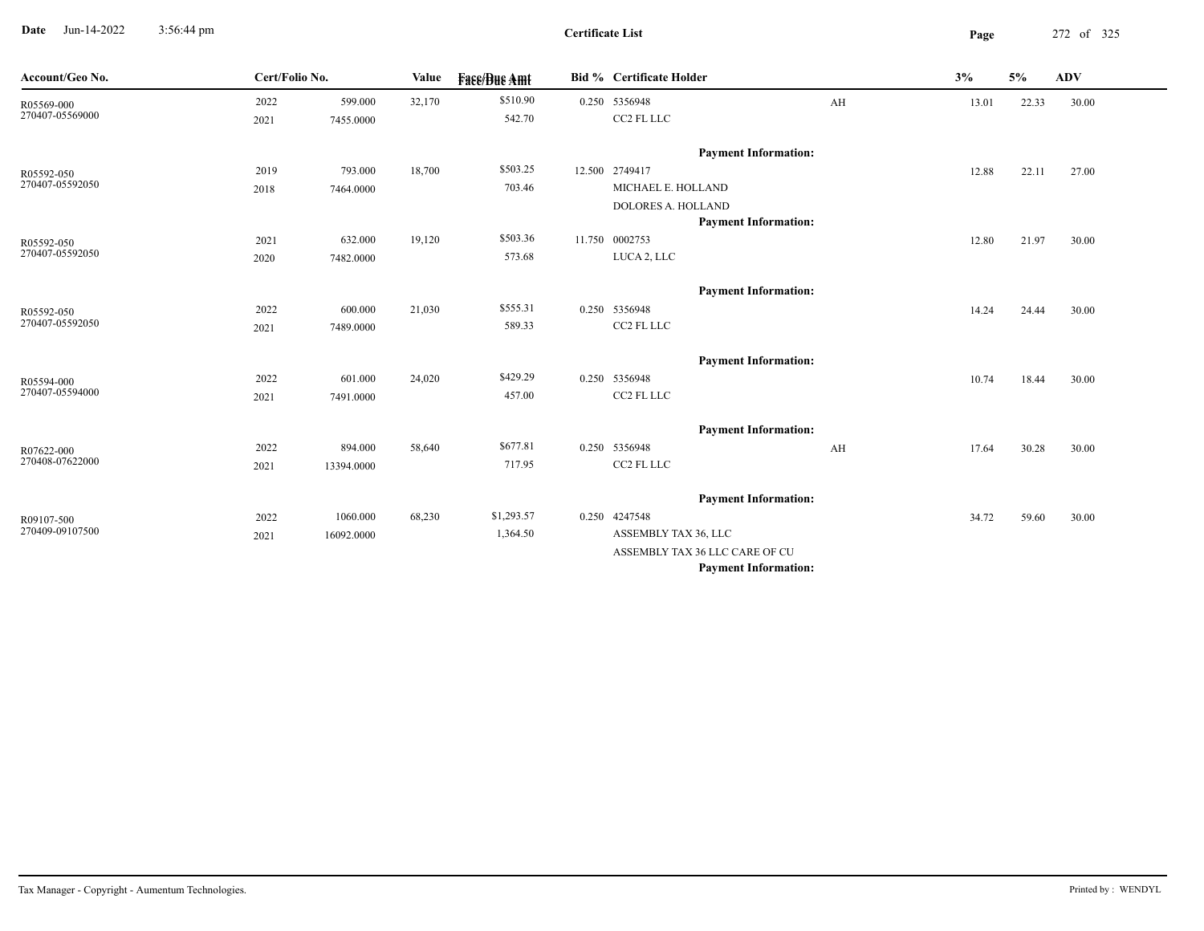**Date** Jun-14-2022 3:56:44 pm **Page** 272 of 325 3:56:44 pm

| Account/Geo No. | Cert/Folio No. |            | Value  | <b>Face/Bue Amt</b> | Bid % Certificate Holder       |    | 3%    | 5%    | <b>ADV</b> |
|-----------------|----------------|------------|--------|---------------------|--------------------------------|----|-------|-------|------------|
| R05569-000      | 2022           | 599.000    | 32,170 | \$510.90            | 0.250 5356948                  | AH | 13.01 | 22.33 | 30.00      |
| 270407-05569000 | 2021           | 7455.0000  |        | 542.70              | CC2 FL LLC                     |    |       |       |            |
|                 |                |            |        |                     | <b>Payment Information:</b>    |    |       |       |            |
| R05592-050      | 2019           | 793.000    | 18,700 | \$503.25            | 12.500 2749417                 |    | 12.88 | 22.11 | 27.00      |
| 270407-05592050 | 2018           | 7464.0000  |        | 703.46              | MICHAEL E. HOLLAND             |    |       |       |            |
|                 |                |            |        |                     | <b>DOLORES A. HOLLAND</b>      |    |       |       |            |
|                 |                |            |        |                     | <b>Payment Information:</b>    |    |       |       |            |
| R05592-050      | 2021           | 632.000    | 19,120 | \$503.36            | 11.750 0002753                 |    | 12.80 | 21.97 | 30.00      |
| 270407-05592050 | 2020           | 7482.0000  |        | 573.68              | LUCA 2, LLC                    |    |       |       |            |
|                 |                |            |        |                     | <b>Payment Information:</b>    |    |       |       |            |
| R05592-050      | 2022           | 600.000    | 21,030 | \$555.31            | 0.250 5356948                  |    | 14.24 | 24.44 | 30.00      |
| 270407-05592050 | 2021           | 7489.0000  |        | 589.33              | CC2 FL LLC                     |    |       |       |            |
|                 |                |            |        |                     |                                |    |       |       |            |
|                 |                |            |        |                     | <b>Payment Information:</b>    |    |       |       |            |
| R05594-000      | 2022           | 601.000    | 24,020 | \$429.29            | 0.250 5356948                  |    | 10.74 | 18.44 | 30.00      |
| 270407-05594000 | 2021           | 7491.0000  |        | 457.00              | CC2 FL LLC                     |    |       |       |            |
|                 |                |            |        |                     | <b>Payment Information:</b>    |    |       |       |            |
| R07622-000      | 2022           | 894.000    | 58,640 | \$677.81            | 0.250 5356948                  | AH | 17.64 | 30.28 | 30.00      |
| 270408-07622000 | 2021           | 13394.0000 |        | 717.95              | CC2 FL LLC                     |    |       |       |            |
|                 |                |            |        |                     |                                |    |       |       |            |
|                 |                |            |        |                     | <b>Payment Information:</b>    |    |       |       |            |
| R09107-500      | 2022           | 1060.000   | 68,230 | \$1,293.57          | 0.250 4247548                  |    | 34.72 | 59.60 | 30.00      |
| 270409-09107500 | 2021           | 16092.0000 |        | 1,364.50            | ASSEMBLY TAX 36, LLC           |    |       |       |            |
|                 |                |            |        |                     | ASSEMBLY TAX 36 LLC CARE OF CU |    |       |       |            |
|                 |                |            |        |                     | <b>Payment Information:</b>    |    |       |       |            |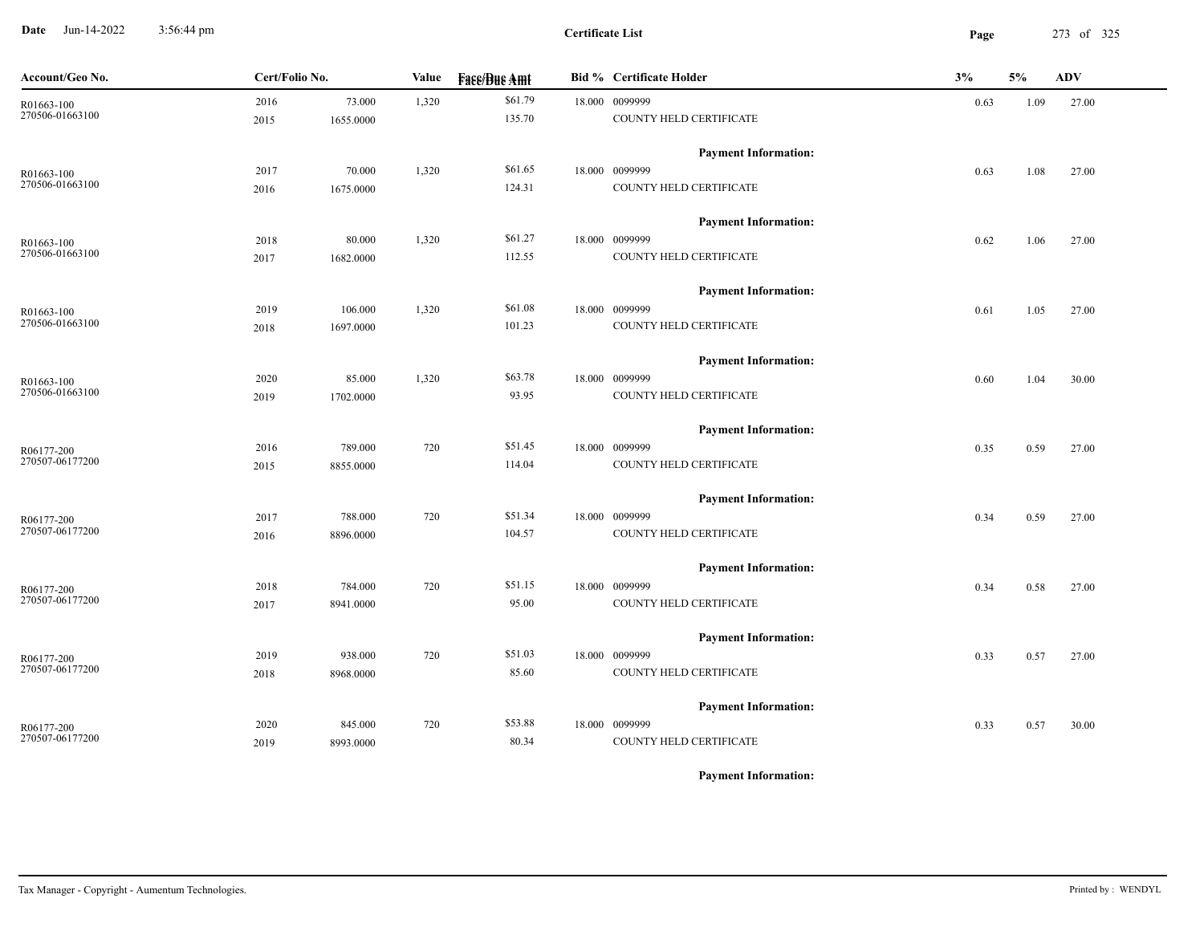**Date** Jun-14-2022 3:56:44 pm **Page** 273 of 325 3:56:44 pm

**Certificate List**

| Account/Geo No. | Cert/Folio No. |           | Value | <b>Fase/Bue Amt</b> | <b>Bid % Certificate Holder</b> | 3%   | 5%   | ADV   |
|-----------------|----------------|-----------|-------|---------------------|---------------------------------|------|------|-------|
| R01663-100      | 2016           | 73.000    | 1,320 | \$61.79             | 18.000 0099999                  | 0.63 | 1.09 | 27.00 |
| 270506-01663100 | 2015           | 1655.0000 |       | 135.70              | COUNTY HELD CERTIFICATE         |      |      |       |
|                 |                |           |       |                     | <b>Payment Information:</b>     |      |      |       |
| R01663-100      | 2017           | 70.000    | 1,320 | \$61.65             | 18.000 0099999                  | 0.63 | 1.08 | 27.00 |
| 270506-01663100 | 2016           | 1675.0000 |       | 124.31              | COUNTY HELD CERTIFICATE         |      |      |       |
|                 |                |           |       |                     | <b>Payment Information:</b>     |      |      |       |
| R01663-100      | 2018           | 80.000    | 1,320 | \$61.27             | 18.000 0099999                  | 0.62 | 1.06 | 27.00 |
| 270506-01663100 | 2017           | 1682.0000 |       | 112.55              | COUNTY HELD CERTIFICATE         |      |      |       |
|                 |                |           |       |                     | <b>Payment Information:</b>     |      |      |       |
| R01663-100      | 2019           | 106.000   | 1,320 | \$61.08             | 18.000 0099999                  | 0.61 | 1.05 | 27.00 |
| 270506-01663100 | 2018           | 1697.0000 |       | 101.23              | COUNTY HELD CERTIFICATE         |      |      |       |
|                 |                |           |       |                     | <b>Payment Information:</b>     |      |      |       |
| R01663-100      | 2020           | 85.000    | 1,320 | \$63.78             | 18.000 0099999                  | 0.60 | 1.04 | 30.00 |
| 270506-01663100 | 2019           | 1702.0000 |       | 93.95               | COUNTY HELD CERTIFICATE         |      |      |       |
|                 |                |           |       |                     | <b>Payment Information:</b>     |      |      |       |
| R06177-200      | 2016           | 789.000   | 720   | \$51.45             | 18.000 0099999                  | 0.35 | 0.59 | 27.00 |
| 270507-06177200 | 2015           | 8855.0000 |       | 114.04              | COUNTY HELD CERTIFICATE         |      |      |       |
|                 |                |           |       |                     | <b>Payment Information:</b>     |      |      |       |
| R06177-200      | 2017           | 788.000   | 720   | \$51.34             | 18.000 0099999                  | 0.34 | 0.59 | 27.00 |
| 270507-06177200 | 2016           | 8896.0000 |       | 104.57              | COUNTY HELD CERTIFICATE         |      |      |       |
|                 |                |           |       |                     | <b>Payment Information:</b>     |      |      |       |
| R06177-200      | 2018           | 784.000   | 720   | \$51.15             | 18.000 0099999                  | 0.34 | 0.58 | 27.00 |
| 270507-06177200 | 2017           | 8941.0000 |       | 95.00               | COUNTY HELD CERTIFICATE         |      |      |       |
|                 |                |           |       |                     | <b>Payment Information:</b>     |      |      |       |
| R06177-200      | 2019           | 938.000   | 720   | \$51.03             | 18.000 0099999                  | 0.33 | 0.57 | 27.00 |
| 270507-06177200 | 2018           | 8968.0000 |       | 85.60               | COUNTY HELD CERTIFICATE         |      |      |       |
|                 |                |           |       |                     | <b>Payment Information:</b>     |      |      |       |
| R06177-200      | 2020           | 845.000   | 720   | \$53.88             | 18.000 0099999                  | 0.33 | 0.57 | 30.00 |
| 270507-06177200 | 2019           | 8993.0000 |       | 80.34               | COUNTY HELD CERTIFICATE         |      |      |       |
|                 |                |           |       |                     |                                 |      |      |       |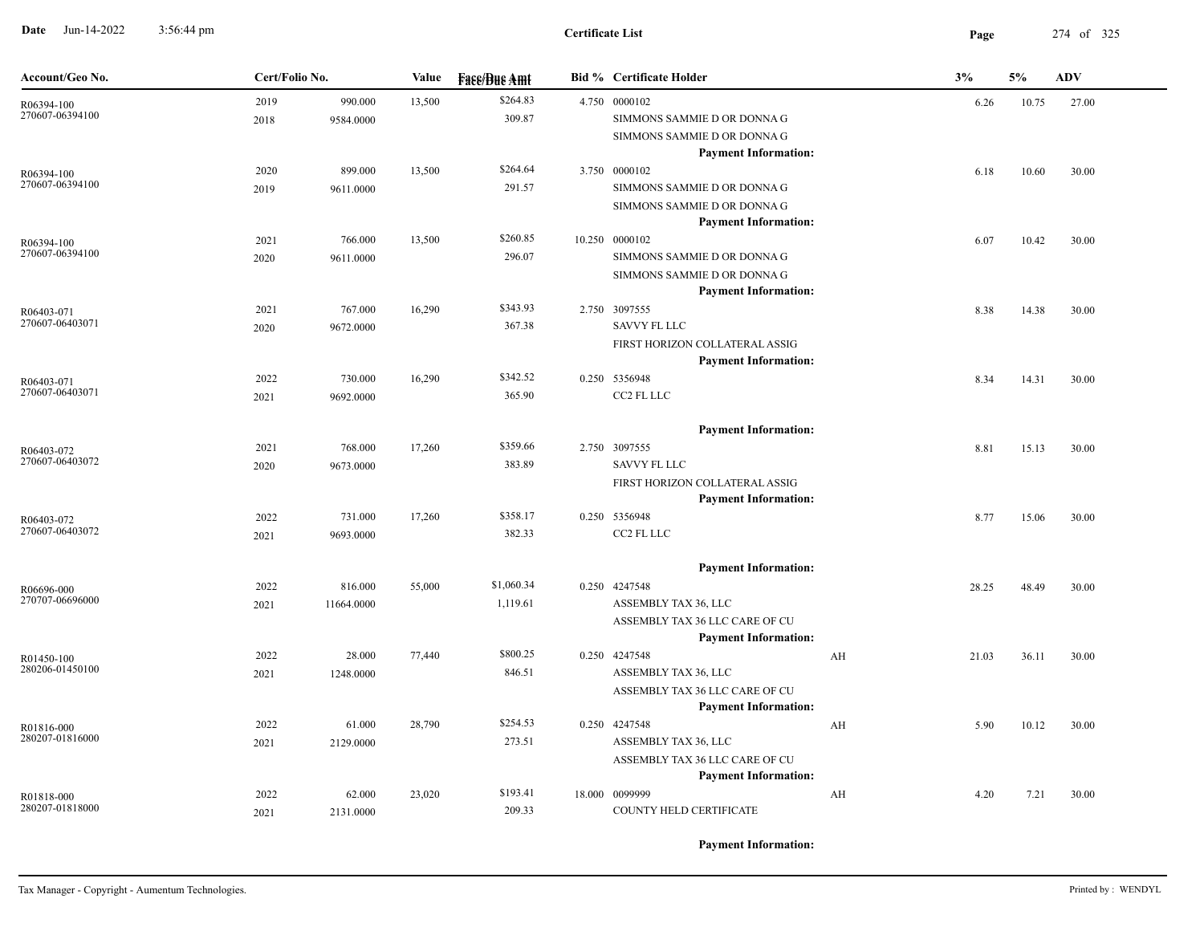**Date** Jun-14-2022 3:56:44 pm **Page** 274 of 325 3:56:44 pm

| Account/Geo No.               | Cert/Folio No. |            | Value  | <b>Fase/Bue Amt</b> | <b>Bid % Certificate Holder</b>                               |    | 3%    | 5%    | <b>ADV</b> |
|-------------------------------|----------------|------------|--------|---------------------|---------------------------------------------------------------|----|-------|-------|------------|
| R06394-100<br>270607-06394100 | 2019           | 990.000    | 13,500 | \$264.83            | 4.750 0000102                                                 |    | 6.26  | 10.75 | 27.00      |
|                               | 2018           | 9584.0000  |        | 309.87              | SIMMONS SAMMIE D OR DONNA G                                   |    |       |       |            |
|                               |                |            |        |                     | SIMMONS SAMMIE D OR DONNA G<br><b>Payment Information:</b>    |    |       |       |            |
| R06394-100                    | 2020           | 899.000    | 13,500 | \$264.64            | 3.750 0000102                                                 |    | 6.18  | 10.60 | 30.00      |
| 270607-06394100               | 2019           | 9611.0000  |        | 291.57              | SIMMONS SAMMIE D OR DONNA G                                   |    |       |       |            |
|                               |                |            |        |                     | SIMMONS SAMMIE D OR DONNA G                                   |    |       |       |            |
|                               |                |            |        |                     | <b>Payment Information:</b>                                   |    |       |       |            |
| R06394-100                    | 2021           | 766.000    | 13,500 | \$260.85            | 10.250 0000102                                                |    | 6.07  | 10.42 | 30.00      |
| 270607-06394100               | 2020           | 9611.0000  |        | 296.07              | SIMMONS SAMMIE D OR DONNA G                                   |    |       |       |            |
|                               |                |            |        |                     | SIMMONS SAMMIE D OR DONNA G                                   |    |       |       |            |
|                               |                | 767.000    |        | \$343.93            | <b>Payment Information:</b><br>2.750 3097555                  |    |       |       |            |
| R06403-071<br>270607-06403071 | 2021<br>2020   | 9672.0000  | 16,290 | 367.38              | <b>SAVVY FL LLC</b>                                           |    | 8.38  | 14.38 | 30.00      |
|                               |                |            |        |                     | FIRST HORIZON COLLATERAL ASSIG                                |    |       |       |            |
|                               |                |            |        |                     | <b>Payment Information:</b>                                   |    |       |       |            |
| R06403-071                    | 2022           | 730.000    | 16,290 | \$342.52            | 0.250 5356948                                                 |    | 8.34  | 14.31 | 30.00      |
| 270607-06403071               | 2021           | 9692.0000  |        | 365.90              | CC2 FL LLC                                                    |    |       |       |            |
|                               |                |            |        |                     |                                                               |    |       |       |            |
|                               |                |            |        |                     | <b>Payment Information:</b>                                   |    |       |       |            |
| R06403-072<br>270607-06403072 | 2021           | 768.000    | 17,260 | \$359.66            | 2.750 3097555                                                 |    | 8.81  | 15.13 | 30.00      |
|                               | 2020           | 9673.0000  |        | 383.89              | <b>SAVVY FL LLC</b>                                           |    |       |       |            |
|                               |                |            |        |                     | FIRST HORIZON COLLATERAL ASSIG<br><b>Payment Information:</b> |    |       |       |            |
| R06403-072                    | 2022           | 731.000    | 17,260 | \$358.17            | 0.250 5356948                                                 |    | 8.77  | 15.06 | 30.00      |
| 270607-06403072               | 2021           | 9693.0000  |        | 382.33              | CC2 FL LLC                                                    |    |       |       |            |
|                               |                |            |        |                     |                                                               |    |       |       |            |
|                               |                |            |        |                     | <b>Payment Information:</b>                                   |    |       |       |            |
| R06696-000<br>270707-06696000 | 2022           | 816.000    | 55,000 | \$1,060.34          | 0.250 4247548                                                 |    | 28.25 | 48.49 | 30.00      |
|                               | 2021           | 11664.0000 |        | 1,119.61            | ASSEMBLY TAX 36, LLC                                          |    |       |       |            |
|                               |                |            |        |                     | ASSEMBLY TAX 36 LLC CARE OF CU<br><b>Payment Information:</b> |    |       |       |            |
| R01450-100                    | 2022           | 28.000     | 77,440 | \$800.25            | 0.250 4247548                                                 | AH | 21.03 | 36.11 | 30.00      |
| 280206-01450100               | 2021           | 1248.0000  |        | 846.51              | ASSEMBLY TAX 36, LLC                                          |    |       |       |            |
|                               |                |            |        |                     | ASSEMBLY TAX 36 LLC CARE OF CU                                |    |       |       |            |
|                               |                |            |        |                     | <b>Payment Information:</b>                                   |    |       |       |            |
| R01816-000                    | 2022           | 61.000     | 28,790 | \$254.53            | 0.250 4247548                                                 | AH | 5.90  | 10.12 | 30.00      |
| 280207-01816000               | 2021           | 2129.0000  |        | 273.51              | ASSEMBLY TAX 36, LLC                                          |    |       |       |            |
|                               |                |            |        |                     | ASSEMBLY TAX 36 LLC CARE OF CU                                |    |       |       |            |
|                               |                |            |        |                     | <b>Payment Information:</b>                                   |    |       |       |            |
| R01818-000<br>280207-01818000 | 2022           | 62.000     | 23,020 | \$193.41<br>209.33  | 18.000 0099999<br>COUNTY HELD CERTIFICATE                     | AH | 4.20  | 7.21  | 30.00      |
|                               | 2021           | 2131.0000  |        |                     |                                                               |    |       |       |            |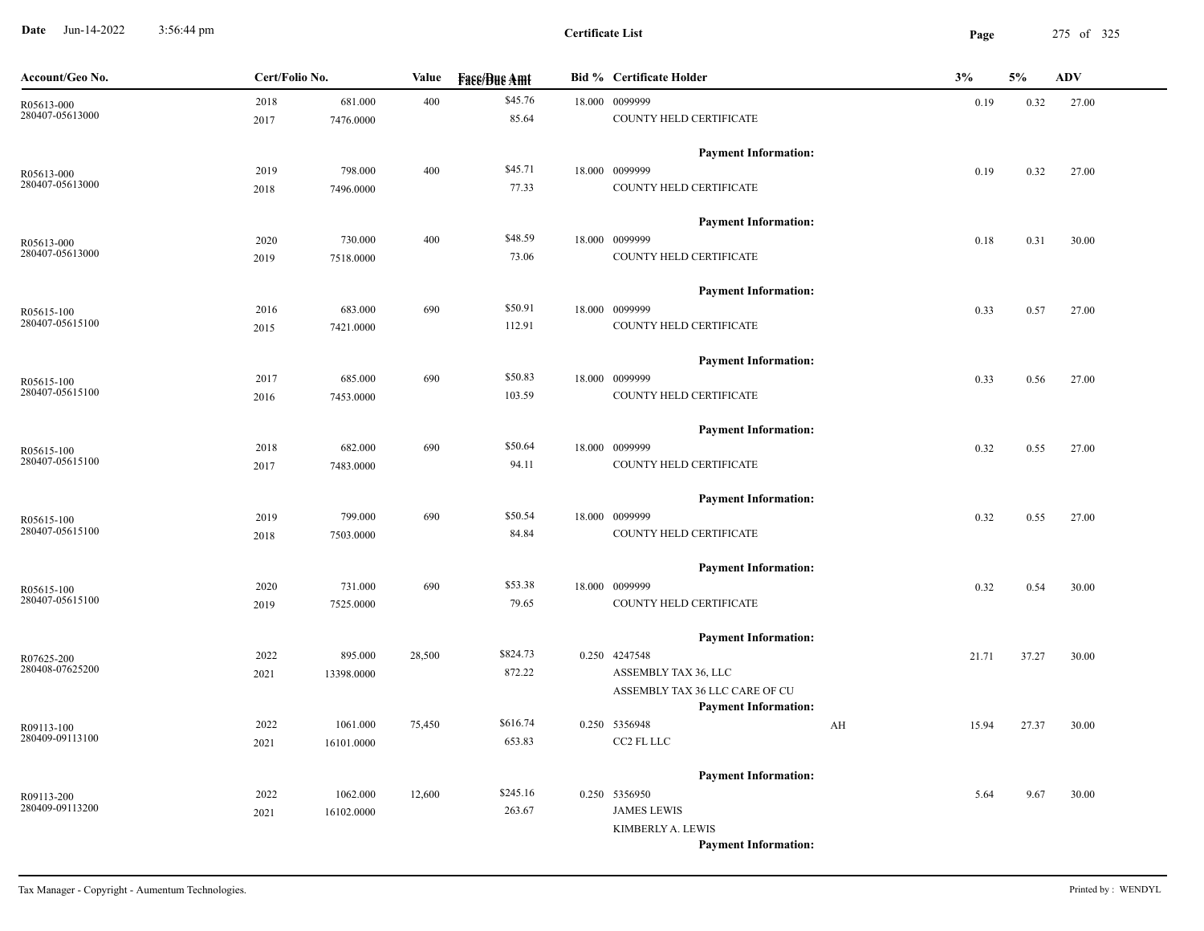**Date** Jun-14-2022 3:56:44 pm **Page** 275 of 325 3:56:44 pm

| Account/Geo No.               | Cert/Folio No. |            | Value  | <b>Face/Bue Amt</b> | <b>Bid % Certificate Holder</b> |    | 3%    | 5%    | <b>ADV</b> |  |
|-------------------------------|----------------|------------|--------|---------------------|---------------------------------|----|-------|-------|------------|--|
| R05613-000                    | 2018           | 681.000    | 400    | \$45.76             | 18.000 0099999                  |    | 0.19  | 0.32  | 27.00      |  |
| 280407-05613000               | 2017           | 7476.0000  |        | 85.64               | COUNTY HELD CERTIFICATE         |    |       |       |            |  |
|                               |                |            |        |                     | <b>Payment Information:</b>     |    |       |       |            |  |
| R05613-000<br>280407-05613000 | 2019           | 798.000    | 400    | \$45.71             | 18.000 0099999                  |    | 0.19  | 0.32  | 27.00      |  |
|                               | 2018           | 7496.0000  |        | 77.33               | COUNTY HELD CERTIFICATE         |    |       |       |            |  |
|                               |                |            |        |                     | <b>Payment Information:</b>     |    |       |       |            |  |
| R05613-000                    | 2020           | 730.000    | 400    | \$48.59             | 18.000 0099999                  |    | 0.18  | 0.31  | 30.00      |  |
| 280407-05613000               | 2019           | 7518.0000  |        | 73.06               | COUNTY HELD CERTIFICATE         |    |       |       |            |  |
|                               |                |            |        |                     | <b>Payment Information:</b>     |    |       |       |            |  |
| R05615-100                    | 2016           | 683.000    | 690    | \$50.91             | 18.000 0099999                  |    | 0.33  | 0.57  | 27.00      |  |
| 280407-05615100               | 2015           | 7421.0000  |        | 112.91              | COUNTY HELD CERTIFICATE         |    |       |       |            |  |
|                               |                |            |        |                     | <b>Payment Information:</b>     |    |       |       |            |  |
| R05615-100                    | 2017           | 685.000    | 690    | \$50.83             | 18.000 0099999                  |    | 0.33  | 0.56  | 27.00      |  |
| 280407-05615100               | 2016           | 7453.0000  |        | 103.59              | COUNTY HELD CERTIFICATE         |    |       |       |            |  |
|                               |                |            |        |                     | <b>Payment Information:</b>     |    |       |       |            |  |
| R05615-100                    | 2018           | 682.000    | 690    | \$50.64             | 18.000 0099999                  |    | 0.32  | 0.55  | 27.00      |  |
| 280407-05615100               | 2017           | 7483.0000  |        | 94.11               | COUNTY HELD CERTIFICATE         |    |       |       |            |  |
|                               |                |            |        |                     | <b>Payment Information:</b>     |    |       |       |            |  |
| R05615-100                    | 2019           | 799.000    | 690    | \$50.54             | 18.000 0099999                  |    | 0.32  | 0.55  | 27.00      |  |
| 280407-05615100               | 2018           | 7503.0000  |        | 84.84               | COUNTY HELD CERTIFICATE         |    |       |       |            |  |
|                               |                |            |        |                     | <b>Payment Information:</b>     |    |       |       |            |  |
| R05615-100                    | 2020           | 731.000    | 690    | \$53.38             | 18.000 0099999                  |    | 0.32  | 0.54  | 30.00      |  |
| 280407-05615100               | 2019           | 7525.0000  |        | 79.65               | COUNTY HELD CERTIFICATE         |    |       |       |            |  |
|                               |                |            |        |                     | <b>Payment Information:</b>     |    |       |       |            |  |
| R07625-200                    | 2022           | 895.000    | 28,500 | \$824.73            | 0.250 4247548                   |    | 21.71 | 37.27 | 30.00      |  |
| 280408-07625200               | 2021           | 13398.0000 |        | 872.22              | ASSEMBLY TAX 36, LLC            |    |       |       |            |  |
|                               |                |            |        |                     | ASSEMBLY TAX 36 LLC CARE OF CU  |    |       |       |            |  |
|                               |                |            |        |                     | <b>Payment Information:</b>     |    |       |       |            |  |
| R09113-100<br>280409-09113100 | 2022           | 1061.000   | 75,450 | \$616.74            | 0.250 5356948                   | AH | 15.94 | 27.37 | 30.00      |  |
|                               | 2021           | 16101.0000 |        | 653.83              | CC2 FL LLC                      |    |       |       |            |  |
|                               |                |            |        |                     | <b>Payment Information:</b>     |    |       |       |            |  |
| R09113-200                    | 2022           | 1062.000   | 12,600 | \$245.16            | 0.250 5356950                   |    | 5.64  | 9.67  | 30.00      |  |
| 280409-09113200               | 2021           | 16102.0000 |        | 263.67              | <b>JAMES LEWIS</b>              |    |       |       |            |  |
|                               |                |            |        |                     | KIMBERLY A. LEWIS               |    |       |       |            |  |
|                               |                |            |        |                     | <b>Payment Information:</b>     |    |       |       |            |  |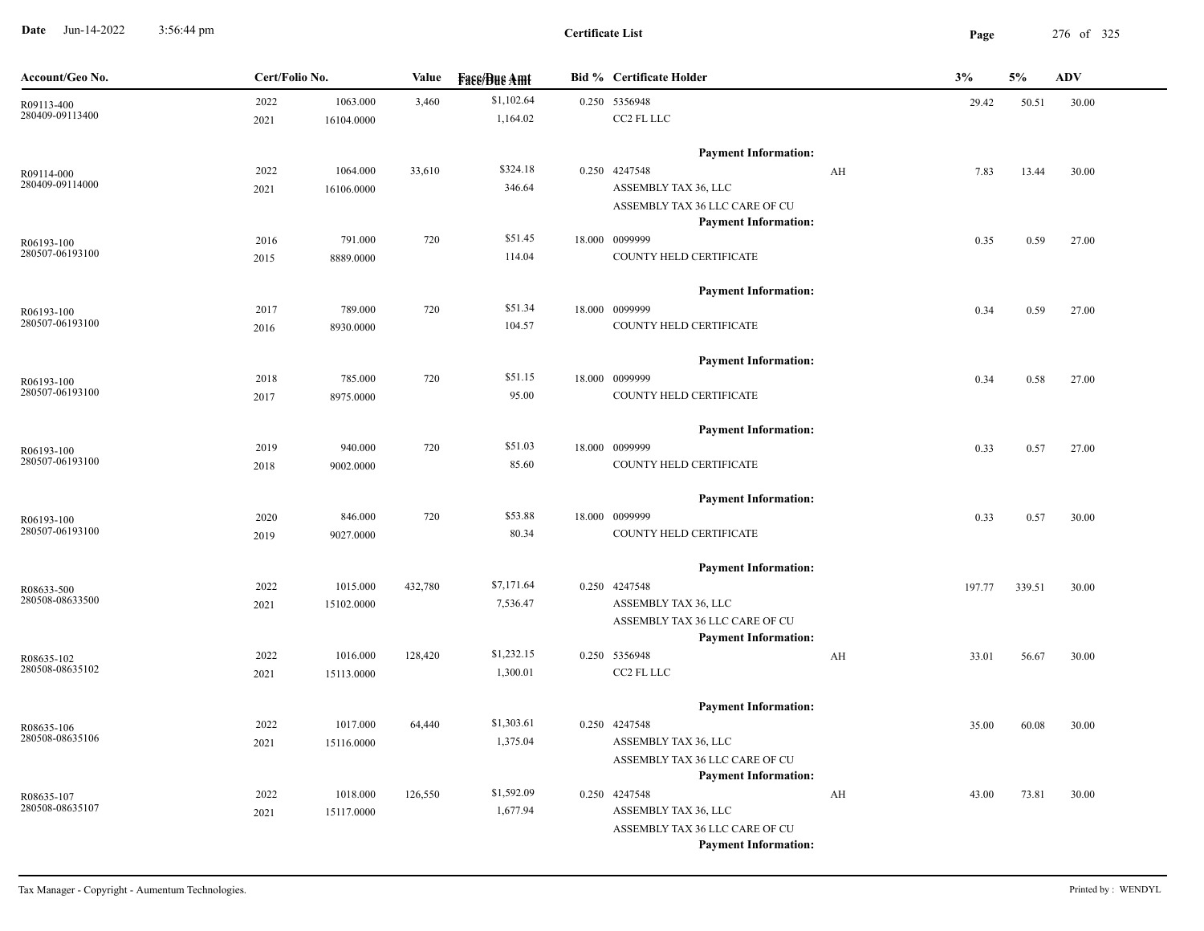**Date** Jun-14-2022 3:56:44 pm **Page** 276 of 325 3:56:44 pm

| Account/Geo No.               | Cert/Folio No. |            | Value   | <b>Fase/Bue Amt</b> | <b>Bid % Certificate Holder</b>       |    | 3%     | 5%     | <b>ADV</b> |
|-------------------------------|----------------|------------|---------|---------------------|---------------------------------------|----|--------|--------|------------|
| R09113-400                    | 2022           | 1063.000   | 3,460   | \$1,102.64          | 0.250 5356948                         |    | 29.42  | 50.51  | 30.00      |
| 280409-09113400               | 2021           | 16104.0000 |         | 1,164.02            | CC2 FL LLC                            |    |        |        |            |
|                               |                |            |         |                     | <b>Payment Information:</b>           |    |        |        |            |
| R09114-000                    | 2022           | 1064.000   | 33,610  | \$324.18            | 0.250 4247548                         | AH | 7.83   | 13.44  | 30.00      |
| 280409-09114000               | 2021           | 16106.0000 |         | 346.64              | ASSEMBLY TAX 36, LLC                  |    |        |        |            |
|                               |                |            |         |                     | ASSEMBLY TAX 36 LLC CARE OF CU        |    |        |        |            |
|                               |                |            |         |                     | <b>Payment Information:</b>           |    |        |        |            |
| R06193-100                    | 2016           | 791.000    | 720     | \$51.45             | 18.000 0099999                        |    | 0.35   | 0.59   | 27.00      |
| 280507-06193100               | 2015           | 8889.0000  |         | 114.04              | COUNTY HELD CERTIFICATE               |    |        |        |            |
|                               |                |            |         |                     | <b>Payment Information:</b>           |    |        |        |            |
| R06193-100                    | 2017           | 789.000    | 720     | \$51.34             | 18.000 0099999                        |    | 0.34   | 0.59   | 27.00      |
| 280507-06193100               | 2016           | 8930.0000  |         | 104.57              | COUNTY HELD CERTIFICATE               |    |        |        |            |
|                               |                |            |         |                     | <b>Payment Information:</b>           |    |        |        |            |
|                               | 2018           | 785.000    | 720     | \$51.15             | 18.000 0099999                        |    | 0.34   | 0.58   | 27.00      |
| R06193-100<br>280507-06193100 | 2017           | 8975.0000  |         | 95.00               | COUNTY HELD CERTIFICATE               |    |        |        |            |
|                               |                |            |         |                     |                                       |    |        |        |            |
|                               |                |            |         |                     | <b>Payment Information:</b>           |    |        |        |            |
| R06193-100<br>280507-06193100 | 2019           | 940.000    | 720     | \$51.03             | 18.000 0099999                        |    | 0.33   | 0.57   | 27.00      |
|                               | 2018           | 9002.0000  |         | 85.60               | COUNTY HELD CERTIFICATE               |    |        |        |            |
|                               |                |            |         |                     | <b>Payment Information:</b>           |    |        |        |            |
| R06193-100                    | 2020           | 846.000    | 720     | \$53.88             | 18.000 0099999                        |    | 0.33   | 0.57   | 30.00      |
| 280507-06193100               | 2019           | 9027.0000  |         | 80.34               | COUNTY HELD CERTIFICATE               |    |        |        |            |
|                               |                |            |         |                     | <b>Payment Information:</b>           |    |        |        |            |
|                               | 2022           | 1015.000   | 432,780 | \$7,171.64          | 0.250 4247548                         |    | 197.77 | 339.51 | 30.00      |
| R08633-500<br>280508-08633500 | 2021           | 15102.0000 |         | 7,536.47            | ASSEMBLY TAX 36, LLC                  |    |        |        |            |
|                               |                |            |         |                     | ASSEMBLY TAX 36 LLC CARE OF CU        |    |        |        |            |
|                               |                |            |         |                     | <b>Payment Information:</b>           |    |        |        |            |
| R08635-102                    | 2022           | 1016.000   | 128,420 | \$1,232.15          | 0.250 5356948                         | AH | 33.01  | 56.67  | 30.00      |
| 280508-08635102               | 2021           | 15113.0000 |         | 1,300.01            | CC2 FL LLC                            |    |        |        |            |
|                               |                |            |         |                     |                                       |    |        |        |            |
|                               |                |            |         | \$1,303.61          | <b>Payment Information:</b>           |    |        |        |            |
| R08635-106<br>280508-08635106 | 2022           | 1017.000   | 64,440  | 1,375.04            | 0.250 4247548<br>ASSEMBLY TAX 36, LLC |    | 35.00  | 60.08  | 30.00      |
|                               | 2021           | 15116.0000 |         |                     | ASSEMBLY TAX 36 LLC CARE OF CU        |    |        |        |            |
|                               |                |            |         |                     | <b>Payment Information:</b>           |    |        |        |            |
|                               | 2022           | 1018.000   | 126,550 | \$1,592.09          | 0.250 4247548                         | AH | 43.00  | 73.81  | 30.00      |
| R08635-107<br>280508-08635107 | 2021           | 15117.0000 |         | 1,677.94            | ASSEMBLY TAX 36, LLC                  |    |        |        |            |
|                               |                |            |         |                     | ASSEMBLY TAX 36 LLC CARE OF CU        |    |        |        |            |
|                               |                |            |         |                     | <b>Payment Information:</b>           |    |        |        |            |
|                               |                |            |         |                     |                                       |    |        |        |            |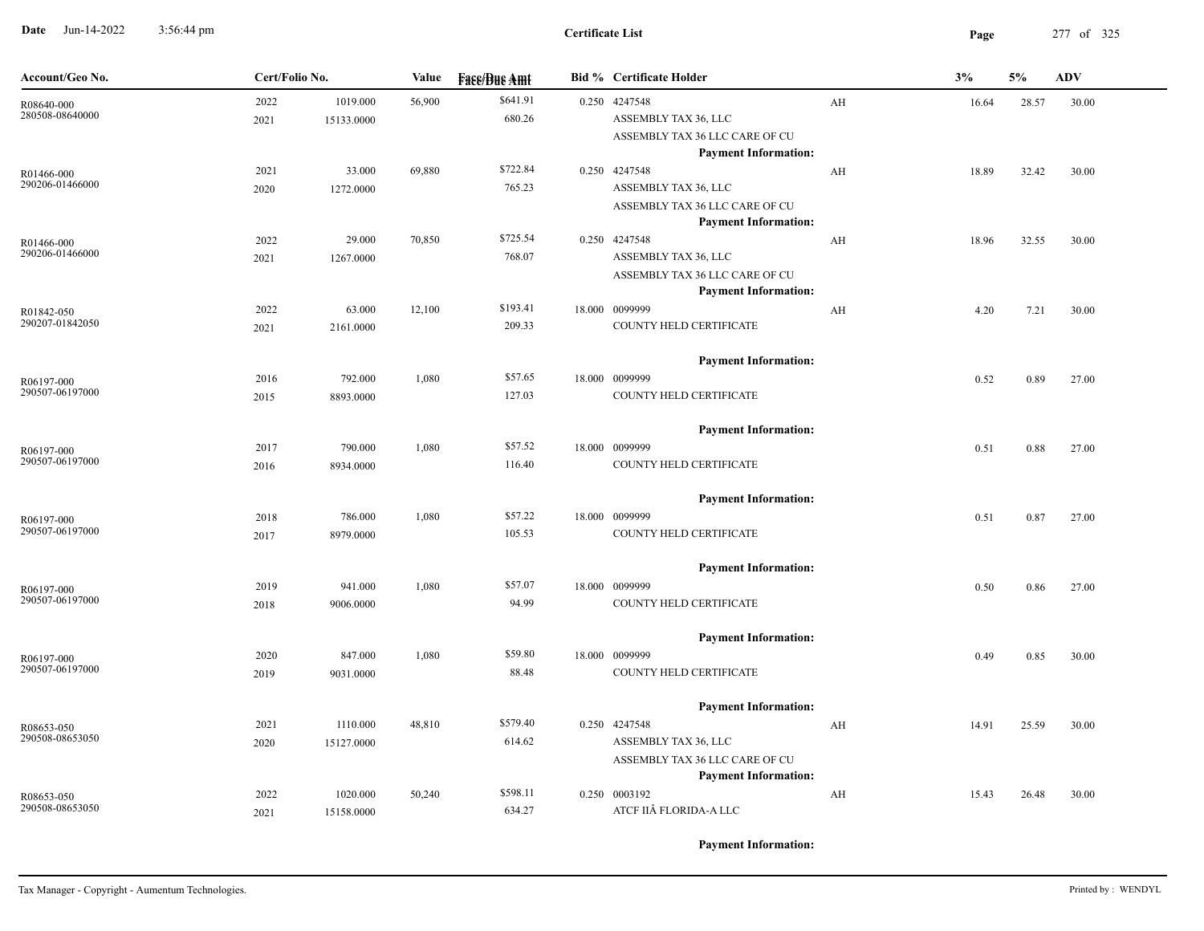**Date** Jun-14-2022 3:56:44 pm **Page** 277 of 325 3:56:44 pm

| Account/Geo No.               | Cert/Folio No. |                        | Value  | <b>Fase/Bue Amt</b> | <b>Bid % Certificate Holder</b>                                                                        |    | 3%    | 5%    | <b>ADV</b> |
|-------------------------------|----------------|------------------------|--------|---------------------|--------------------------------------------------------------------------------------------------------|----|-------|-------|------------|
| R08640-000<br>280508-08640000 | 2022<br>2021   | 1019.000<br>15133.0000 | 56,900 | \$641.91<br>680.26  | 0.250 4247548<br>ASSEMBLY TAX 36, LLC<br>ASSEMBLY TAX 36 LLC CARE OF CU<br><b>Payment Information:</b> | AH | 16.64 | 28.57 | 30.00      |
| R01466-000<br>290206-01466000 | 2021<br>2020   | 33.000<br>1272.0000    | 69,880 | \$722.84<br>765.23  | 0.250 4247548<br>ASSEMBLY TAX 36, LLC<br>ASSEMBLY TAX 36 LLC CARE OF CU                                | AH | 18.89 | 32.42 | 30.00      |
| R01466-000<br>290206-01466000 | 2022<br>2021   | 29.000<br>1267.0000    | 70,850 | \$725.54<br>768.07  | <b>Payment Information:</b><br>0.250 4247548<br>ASSEMBLY TAX 36, LLC<br>ASSEMBLY TAX 36 LLC CARE OF CU | AH | 18.96 | 32.55 | 30.00      |
| R01842-050<br>290207-01842050 | 2022<br>2021   | 63.000<br>2161.0000    | 12,100 | \$193.41<br>209.33  | <b>Payment Information:</b><br>18.000 0099999<br>COUNTY HELD CERTIFICATE                               | AH | 4.20  | 7.21  | 30.00      |
| R06197-000<br>290507-06197000 | 2016<br>2015   | 792.000<br>8893.0000   | 1,080  | \$57.65<br>127.03   | <b>Payment Information:</b><br>18.000 0099999<br>COUNTY HELD CERTIFICATE                               |    | 0.52  | 0.89  | 27.00      |
| R06197-000<br>290507-06197000 | 2017<br>2016   | 790.000<br>8934.0000   | 1,080  | \$57.52<br>116.40   | <b>Payment Information:</b><br>18.000 0099999<br>COUNTY HELD CERTIFICATE                               |    | 0.51  | 0.88  | 27.00      |
| R06197-000<br>290507-06197000 | 2018<br>2017   | 786.000<br>8979.0000   | 1,080  | \$57.22<br>105.53   | <b>Payment Information:</b><br>18.000 0099999<br>COUNTY HELD CERTIFICATE                               |    | 0.51  | 0.87  | 27.00      |
| R06197-000<br>290507-06197000 | 2019<br>2018   | 941.000<br>9006.0000   | 1,080  | \$57.07<br>94.99    | <b>Payment Information:</b><br>18.000 0099999<br>COUNTY HELD CERTIFICATE                               |    | 0.50  | 0.86  | 27.00      |
| R06197-000<br>290507-06197000 | 2020<br>2019   | 847.000<br>9031.0000   | 1,080  | \$59.80<br>88.48    | <b>Payment Information:</b><br>18.000 0099999<br>COUNTY HELD CERTIFICATE                               |    | 0.49  | 0.85  | 30.00      |
| R08653-050<br>290508-08653050 | 2021<br>2020   | 1110.000<br>15127.0000 | 48,810 | \$579.40<br>614.62  | <b>Payment Information:</b><br>0.250 4247548<br>ASSEMBLY TAX 36, LLC<br>ASSEMBLY TAX 36 LLC CARE OF CU | AH | 14.91 | 25.59 | 30.00      |
| R08653-050<br>290508-08653050 | 2022<br>2021   | 1020.000<br>15158.0000 | 50,240 | \$598.11<br>634.27  | <b>Payment Information:</b><br>0.250 0003192<br>ATCF IIÂ FLORIDA-A LLC                                 | AH | 15.43 | 26.48 | 30.00      |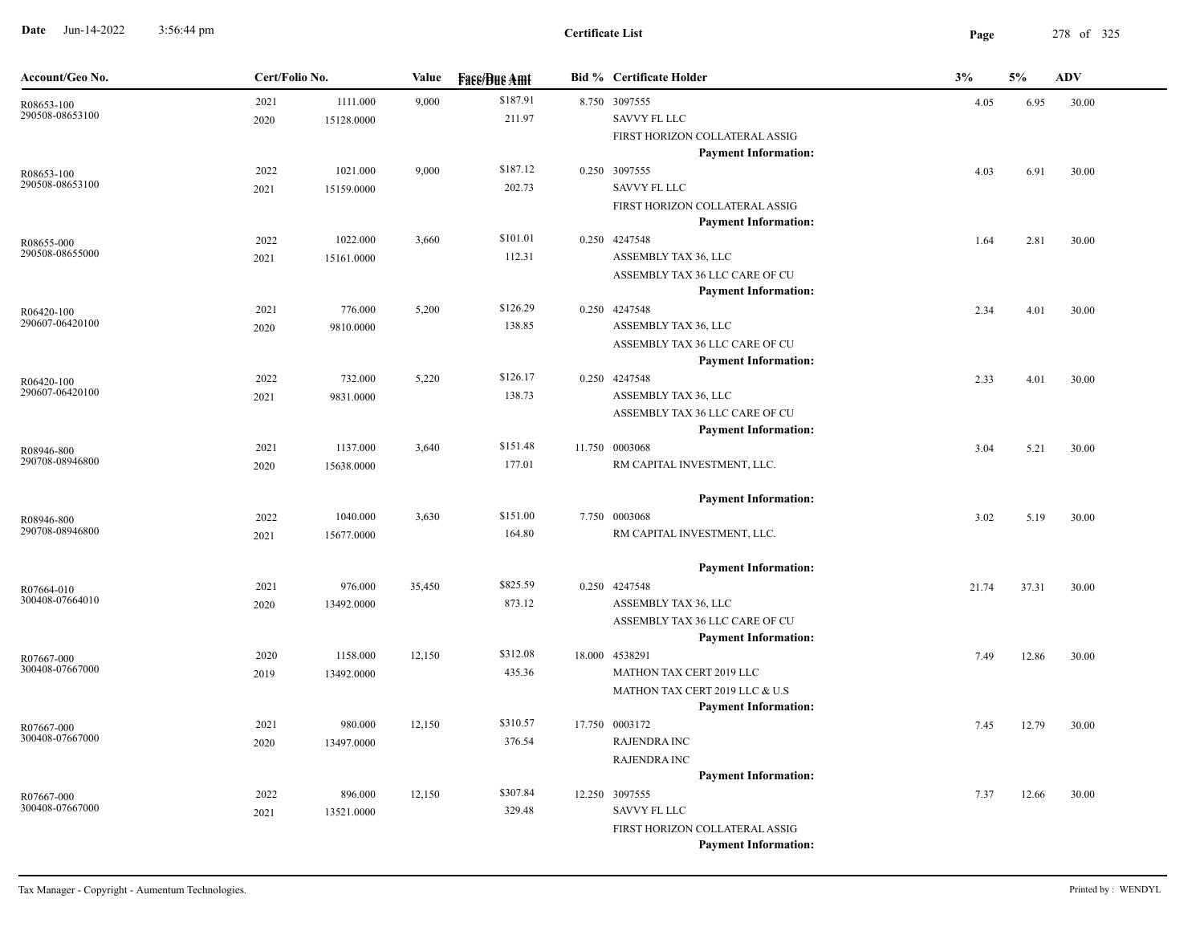**Date** Jun-14-2022 3:56:44 pm **Page** 278 of 325 3:56:44 pm

| Account/Geo No.               | Cert/Folio No. |            | Value  | <b>Face/Bue Amt</b> | <b>Bid % Certificate Holder</b>                               | 3%    | 5%    | <b>ADV</b> |
|-------------------------------|----------------|------------|--------|---------------------|---------------------------------------------------------------|-------|-------|------------|
| R08653-100                    | 2021           | 1111.000   | 9,000  | \$187.91            | 8.750 3097555                                                 | 4.05  | 6.95  | 30.00      |
| 290508-08653100               | 2020           | 15128.0000 |        | 211.97              | <b>SAVVY FL LLC</b>                                           |       |       |            |
|                               |                |            |        |                     | FIRST HORIZON COLLATERAL ASSIG                                |       |       |            |
|                               |                |            |        |                     | <b>Payment Information:</b>                                   |       |       |            |
| R08653-100                    | 2022           | 1021.000   | 9,000  | \$187.12            | 0.250 3097555                                                 | 4.03  | 6.91  | 30.00      |
| 290508-08653100               | 2021           | 15159.0000 |        | 202.73              | <b>SAVVY FL LLC</b>                                           |       |       |            |
|                               |                |            |        |                     | FIRST HORIZON COLLATERAL ASSIG                                |       |       |            |
|                               |                |            |        |                     | <b>Payment Information:</b>                                   |       |       |            |
| R08655-000                    | 2022           | 1022.000   | 3,660  | \$101.01            | 0.250 4247548                                                 | 1.64  | 2.81  | 30.00      |
| 290508-08655000               | 2021           | 15161.0000 |        | 112.31              | ASSEMBLY TAX 36, LLC                                          |       |       |            |
|                               |                |            |        |                     | ASSEMBLY TAX 36 LLC CARE OF CU                                |       |       |            |
|                               |                |            |        |                     | <b>Payment Information:</b>                                   |       |       |            |
| R06420-100<br>290607-06420100 | 2021           | 776.000    | 5,200  | \$126.29            | 0.250 4247548                                                 | 2.34  | 4.01  | 30.00      |
|                               | 2020           | 9810.0000  |        | 138.85              | ASSEMBLY TAX 36, LLC                                          |       |       |            |
|                               |                |            |        |                     | ASSEMBLY TAX 36 LLC CARE OF CU<br><b>Payment Information:</b> |       |       |            |
|                               | 2022           | 732.000    | 5,220  | \$126.17            | 0.250 4247548                                                 |       |       |            |
| R06420-100<br>290607-06420100 | 2021           | 9831.0000  |        | 138.73              | ASSEMBLY TAX 36, LLC                                          | 2.33  | 4.01  | 30.00      |
|                               |                |            |        |                     | ASSEMBLY TAX 36 LLC CARE OF CU                                |       |       |            |
|                               |                |            |        |                     | <b>Payment Information:</b>                                   |       |       |            |
|                               | 2021           | 1137.000   | 3,640  | \$151.48            | 11.750 0003068                                                | 3.04  | 5.21  | 30.00      |
| R08946-800<br>290708-08946800 | 2020           | 15638.0000 |        | 177.01              | RM CAPITAL INVESTMENT, LLC.                                   |       |       |            |
|                               |                |            |        |                     |                                                               |       |       |            |
|                               |                |            |        |                     | <b>Payment Information:</b>                                   |       |       |            |
| R08946-800                    | 2022           | 1040.000   | 3,630  | \$151.00            | 7.750 0003068                                                 | 3.02  | 5.19  | 30.00      |
| 290708-08946800               | 2021           | 15677.0000 |        | 164.80              | RM CAPITAL INVESTMENT, LLC.                                   |       |       |            |
|                               |                |            |        |                     |                                                               |       |       |            |
|                               |                |            |        |                     | <b>Payment Information:</b>                                   |       |       |            |
| R07664-010                    | 2021           | 976.000    | 35,450 | \$825.59            | 0.250 4247548                                                 | 21.74 | 37.31 | 30.00      |
| 300408-07664010               | 2020           | 13492.0000 |        | 873.12              | ASSEMBLY TAX 36, LLC                                          |       |       |            |
|                               |                |            |        |                     | ASSEMBLY TAX 36 LLC CARE OF CU                                |       |       |            |
|                               |                |            |        |                     | <b>Payment Information:</b>                                   |       |       |            |
| R07667-000                    | 2020           | 1158.000   | 12,150 | \$312.08            | 18.000 4538291                                                | 7.49  | 12.86 | 30.00      |
| 300408-07667000               | 2019           | 13492.0000 |        | 435.36              | MATHON TAX CERT 2019 LLC                                      |       |       |            |
|                               |                |            |        |                     | MATHON TAX CERT 2019 LLC & U.S                                |       |       |            |
|                               |                |            |        |                     | <b>Payment Information:</b>                                   |       |       |            |
| R07667-000                    | 2021           | 980.000    | 12,150 | \$310.57            | 17.750 0003172                                                | 7.45  | 12.79 | 30.00      |
| 300408-07667000               | 2020           | 13497.0000 |        | 376.54              | <b>RAJENDRA INC</b>                                           |       |       |            |
|                               |                |            |        |                     | <b>RAJENDRA INC</b>                                           |       |       |            |
|                               |                |            |        |                     | <b>Payment Information:</b>                                   |       |       |            |
| R07667-000<br>300408-07667000 | 2022           | 896.000    | 12,150 | \$307.84            | 12.250 3097555                                                | 7.37  | 12.66 | 30.00      |
|                               | 2021           | 13521.0000 |        | 329.48              | SAVVY FL LLC                                                  |       |       |            |
|                               |                |            |        |                     | FIRST HORIZON COLLATERAL ASSIG                                |       |       |            |
|                               |                |            |        |                     | <b>Payment Information:</b>                                   |       |       |            |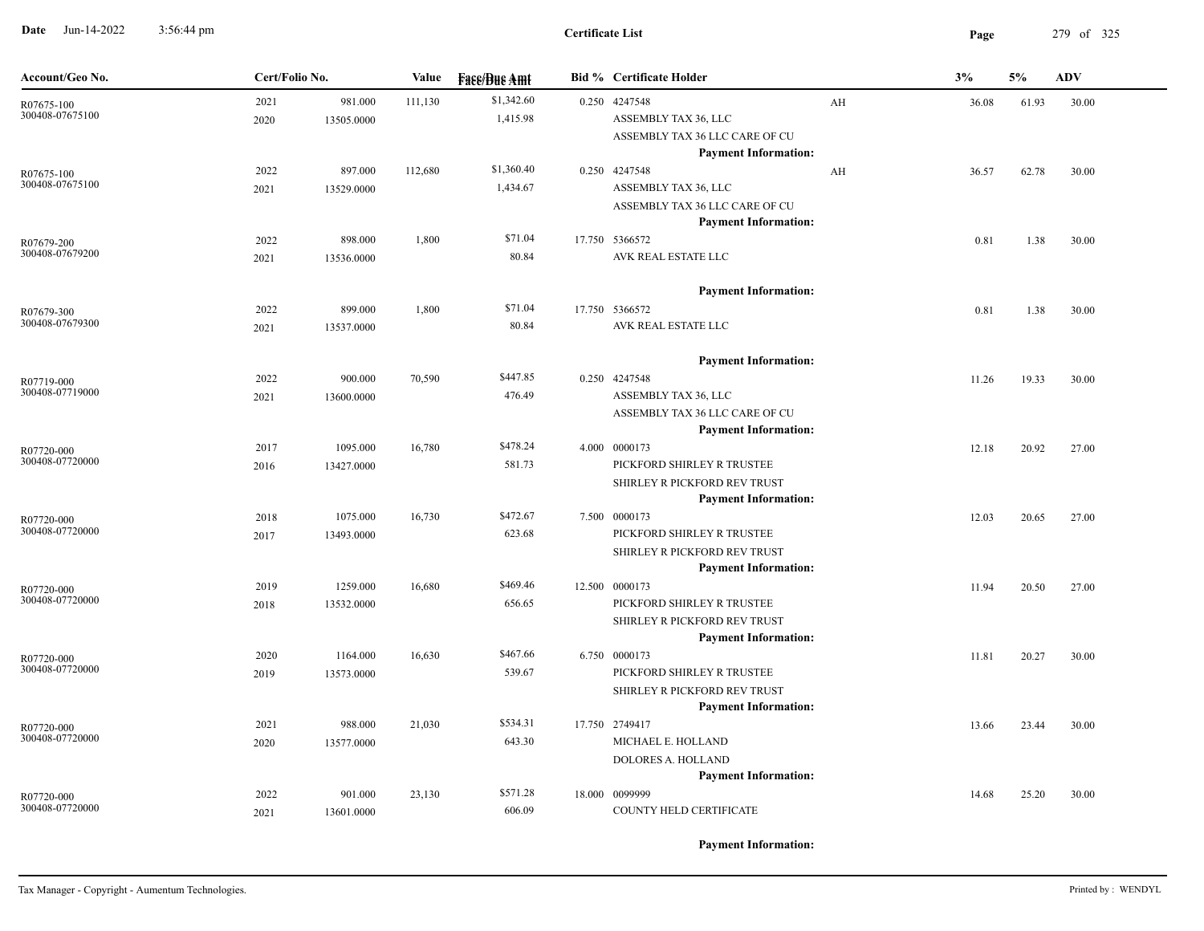**Date** Jun-14-2022 3:56:44 pm **Page** 279 of 325 3:56:44 pm

| Account/Geo No.               | Cert/Folio No. |            | Value   | <b>Face/Bue Amt</b> | <b>Bid % Certificate Holder</b>                               |    | 3%    | 5%    | ADV   |
|-------------------------------|----------------|------------|---------|---------------------|---------------------------------------------------------------|----|-------|-------|-------|
| R07675-100                    | 2021           | 981.000    | 111,130 | \$1,342.60          | 0.250 4247548                                                 | AH | 36.08 | 61.93 | 30.00 |
| 300408-07675100               | 2020           | 13505.0000 |         | 1,415.98            | ASSEMBLY TAX 36, LLC                                          |    |       |       |       |
|                               |                |            |         |                     | ASSEMBLY TAX 36 LLC CARE OF CU                                |    |       |       |       |
|                               |                |            |         |                     | <b>Payment Information:</b>                                   |    |       |       |       |
| R07675-100<br>300408-07675100 | 2022           | 897.000    | 112,680 | \$1,360.40          | 0.250 4247548                                                 | AH | 36.57 | 62.78 | 30.00 |
|                               | 2021           | 13529.0000 |         | 1,434.67            | ASSEMBLY TAX 36, LLC                                          |    |       |       |       |
|                               |                |            |         |                     | ASSEMBLY TAX 36 LLC CARE OF CU<br><b>Payment Information:</b> |    |       |       |       |
|                               | 2022           | 898.000    | 1,800   | \$71.04             | 17.750 5366572                                                |    | 0.81  | 1.38  | 30.00 |
| R07679-200<br>300408-07679200 | 2021           | 13536.0000 |         | 80.84               | AVK REAL ESTATE LLC                                           |    |       |       |       |
|                               |                |            |         |                     |                                                               |    |       |       |       |
|                               |                |            |         |                     | <b>Payment Information:</b>                                   |    |       |       |       |
| R07679-300                    | 2022           | 899.000    | 1,800   | \$71.04             | 17.750 5366572                                                |    | 0.81  | 1.38  | 30.00 |
| 300408-07679300               | 2021           | 13537.0000 |         | 80.84               | AVK REAL ESTATE LLC                                           |    |       |       |       |
|                               |                |            |         |                     | <b>Payment Information:</b>                                   |    |       |       |       |
| R07719-000                    | 2022           | 900.000    | 70,590  | \$447.85            | 0.250 4247548                                                 |    | 11.26 | 19.33 | 30.00 |
| 300408-07719000               | 2021           | 13600.0000 |         | 476.49              | ASSEMBLY TAX 36, LLC                                          |    |       |       |       |
|                               |                |            |         |                     | ASSEMBLY TAX 36 LLC CARE OF CU                                |    |       |       |       |
|                               |                |            |         |                     | <b>Payment Information:</b>                                   |    |       |       |       |
| R07720-000                    | 2017           | 1095.000   | 16,780  | \$478.24            | 4.000 0000173                                                 |    | 12.18 | 20.92 | 27.00 |
| 300408-07720000               | 2016           | 13427.0000 |         | 581.73              | PICKFORD SHIRLEY R TRUSTEE                                    |    |       |       |       |
|                               |                |            |         |                     | SHIRLEY R PICKFORD REV TRUST                                  |    |       |       |       |
|                               |                |            |         |                     | <b>Payment Information:</b>                                   |    |       |       |       |
| R07720-000<br>300408-07720000 | 2018           | 1075.000   | 16,730  | \$472.67            | 7.500 0000173                                                 |    | 12.03 | 20.65 | 27.00 |
|                               | 2017           | 13493.0000 |         | 623.68              | PICKFORD SHIRLEY R TRUSTEE                                    |    |       |       |       |
|                               |                |            |         |                     | SHIRLEY R PICKFORD REV TRUST                                  |    |       |       |       |
|                               | 2019           | 1259.000   | 16,680  | \$469.46            | <b>Payment Information:</b><br>12.500 0000173                 |    | 11.94 | 20.50 | 27.00 |
| R07720-000<br>300408-07720000 | 2018           | 13532.0000 |         | 656.65              | PICKFORD SHIRLEY R TRUSTEE                                    |    |       |       |       |
|                               |                |            |         |                     | SHIRLEY R PICKFORD REV TRUST                                  |    |       |       |       |
|                               |                |            |         |                     | <b>Payment Information:</b>                                   |    |       |       |       |
| R07720-000                    | 2020           | 1164.000   | 16,630  | \$467.66            | 6.750 0000173                                                 |    | 11.81 | 20.27 | 30.00 |
| 300408-07720000               | 2019           | 13573.0000 |         | 539.67              | PICKFORD SHIRLEY R TRUSTEE                                    |    |       |       |       |
|                               |                |            |         |                     | SHIRLEY R PICKFORD REV TRUST                                  |    |       |       |       |
|                               |                |            |         |                     | <b>Payment Information:</b>                                   |    |       |       |       |
| R07720-000                    | 2021           | 988.000    | 21,030  | \$534.31            | 17.750 2749417                                                |    | 13.66 | 23.44 | 30.00 |
| 300408-07720000               | 2020           | 13577.0000 |         | 643.30              | MICHAEL E. HOLLAND                                            |    |       |       |       |
|                               |                |            |         |                     | DOLORES A. HOLLAND                                            |    |       |       |       |
|                               |                |            |         |                     | <b>Payment Information:</b>                                   |    |       |       |       |
| R07720-000<br>300408-07720000 | 2022           | 901.000    | 23,130  | \$571.28            | 18.000 0099999                                                |    | 14.68 | 25.20 | 30.00 |
|                               | 2021           | 13601.0000 |         | 606.09              | COUNTY HELD CERTIFICATE                                       |    |       |       |       |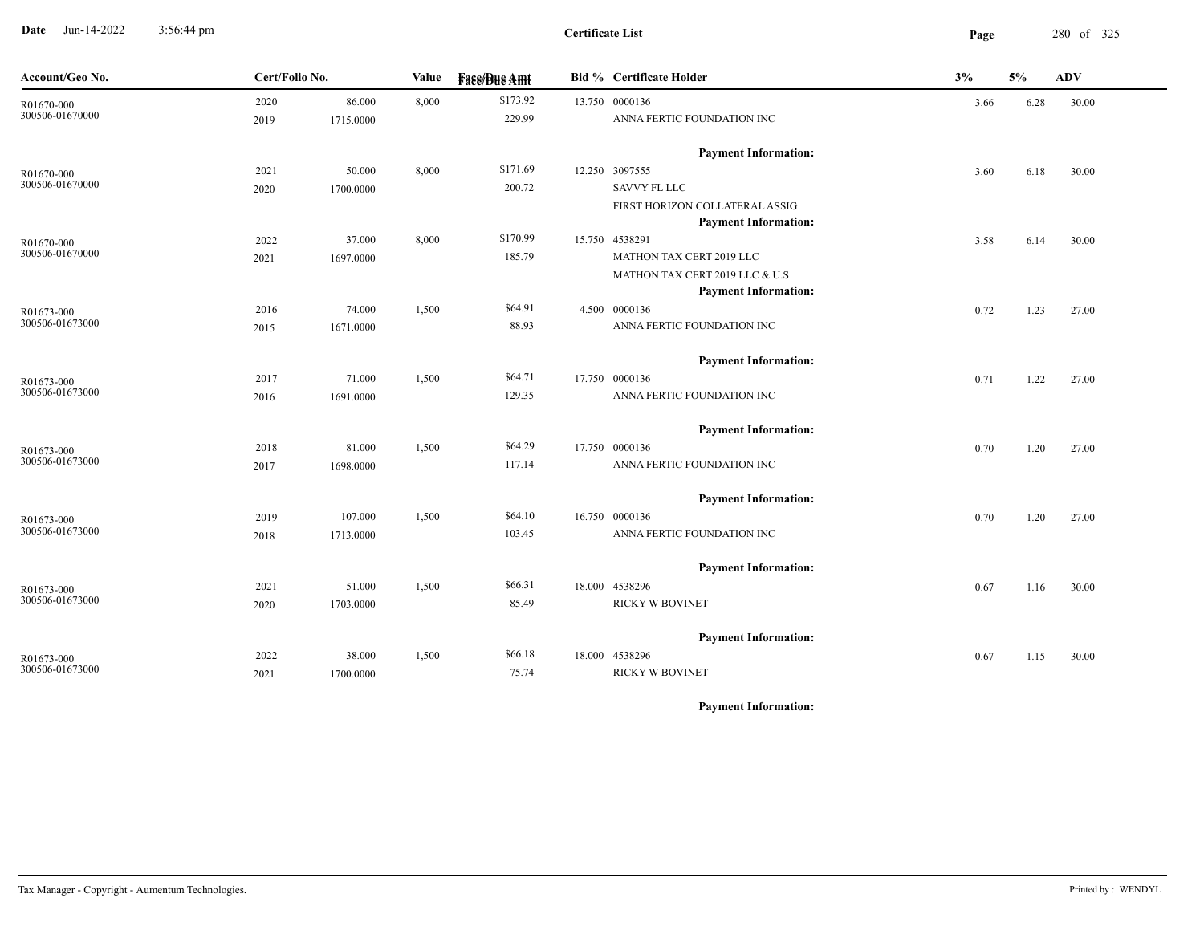**Date** Jun-14-2022 3:56:44 pm **Page** 280 of 325 3:56:44 pm

**Certificate List**

| Account/Geo No. | Cert/Folio No. |           | Value | <b>Face/Bue Amt</b> | <b>Bid % Certificate Holder</b>                               | 3%   | 5%   | ADV   |
|-----------------|----------------|-----------|-------|---------------------|---------------------------------------------------------------|------|------|-------|
| R01670-000      | 2020           | 86.000    | 8,000 | \$173.92            | 13.750 0000136                                                | 3.66 | 6.28 | 30.00 |
| 300506-01670000 | 2019           | 1715.0000 |       | 229.99              | ANNA FERTIC FOUNDATION INC                                    |      |      |       |
|                 |                |           |       |                     | <b>Payment Information:</b>                                   |      |      |       |
| R01670-000      | 2021           | 50.000    | 8,000 | \$171.69            | 12.250 3097555                                                | 3.60 | 6.18 | 30.00 |
| 300506-01670000 | 2020           | 1700.0000 |       | 200.72              | <b>SAVVY FL LLC</b>                                           |      |      |       |
|                 |                |           |       |                     | FIRST HORIZON COLLATERAL ASSIG<br><b>Payment Information:</b> |      |      |       |
| R01670-000      | 2022           | 37.000    | 8,000 | \$170.99            | 15.750 4538291                                                | 3.58 | 6.14 | 30.00 |
| 300506-01670000 | 2021           | 1697.0000 |       | 185.79              | MATHON TAX CERT 2019 LLC                                      |      |      |       |
|                 |                |           |       |                     | MATHON TAX CERT 2019 LLC & U.S                                |      |      |       |
|                 |                |           |       |                     | <b>Payment Information:</b>                                   |      |      |       |
| R01673-000      | 2016           | 74.000    | 1,500 | \$64.91             | 4.500 0000136                                                 | 0.72 | 1.23 | 27.00 |
| 300506-01673000 | 2015           | 1671.0000 |       | 88.93               | ANNA FERTIC FOUNDATION INC                                    |      |      |       |
|                 |                |           |       |                     | <b>Payment Information:</b>                                   |      |      |       |
| R01673-000      | 2017           | 71.000    | 1,500 | \$64.71             | 17.750 0000136                                                | 0.71 | 1.22 | 27.00 |
| 300506-01673000 | 2016           | 1691.0000 |       | 129.35              | ANNA FERTIC FOUNDATION INC                                    |      |      |       |
|                 |                |           |       |                     | <b>Payment Information:</b>                                   |      |      |       |
| R01673-000      | 2018           | 81.000    | 1,500 | \$64.29             | 17.750 0000136                                                | 0.70 | 1.20 | 27.00 |
| 300506-01673000 | 2017           | 1698.0000 |       | 117.14              | ANNA FERTIC FOUNDATION INC                                    |      |      |       |
|                 |                |           |       |                     | <b>Payment Information:</b>                                   |      |      |       |
| R01673-000      | 2019           | 107.000   | 1,500 | \$64.10             | 16.750 0000136                                                | 0.70 | 1.20 | 27.00 |
| 300506-01673000 | 2018           | 1713.0000 |       | 103.45              | ANNA FERTIC FOUNDATION INC                                    |      |      |       |
|                 |                |           |       |                     | <b>Payment Information:</b>                                   |      |      |       |
| R01673-000      | 2021           | 51.000    | 1,500 | \$66.31             | 18.000 4538296                                                | 0.67 | 1.16 | 30.00 |
| 300506-01673000 | 2020           | 1703.0000 |       | 85.49               | <b>RICKY W BOVINET</b>                                        |      |      |       |
|                 |                |           |       |                     | <b>Payment Information:</b>                                   |      |      |       |
| R01673-000      | 2022           | 38.000    | 1,500 | \$66.18             | 18.000 4538296                                                | 0.67 | 1.15 | 30.00 |
| 300506-01673000 | 2021           | 1700.0000 |       | 75.74               | <b>RICKY W BOVINET</b>                                        |      |      |       |
|                 |                |           |       |                     |                                                               |      |      |       |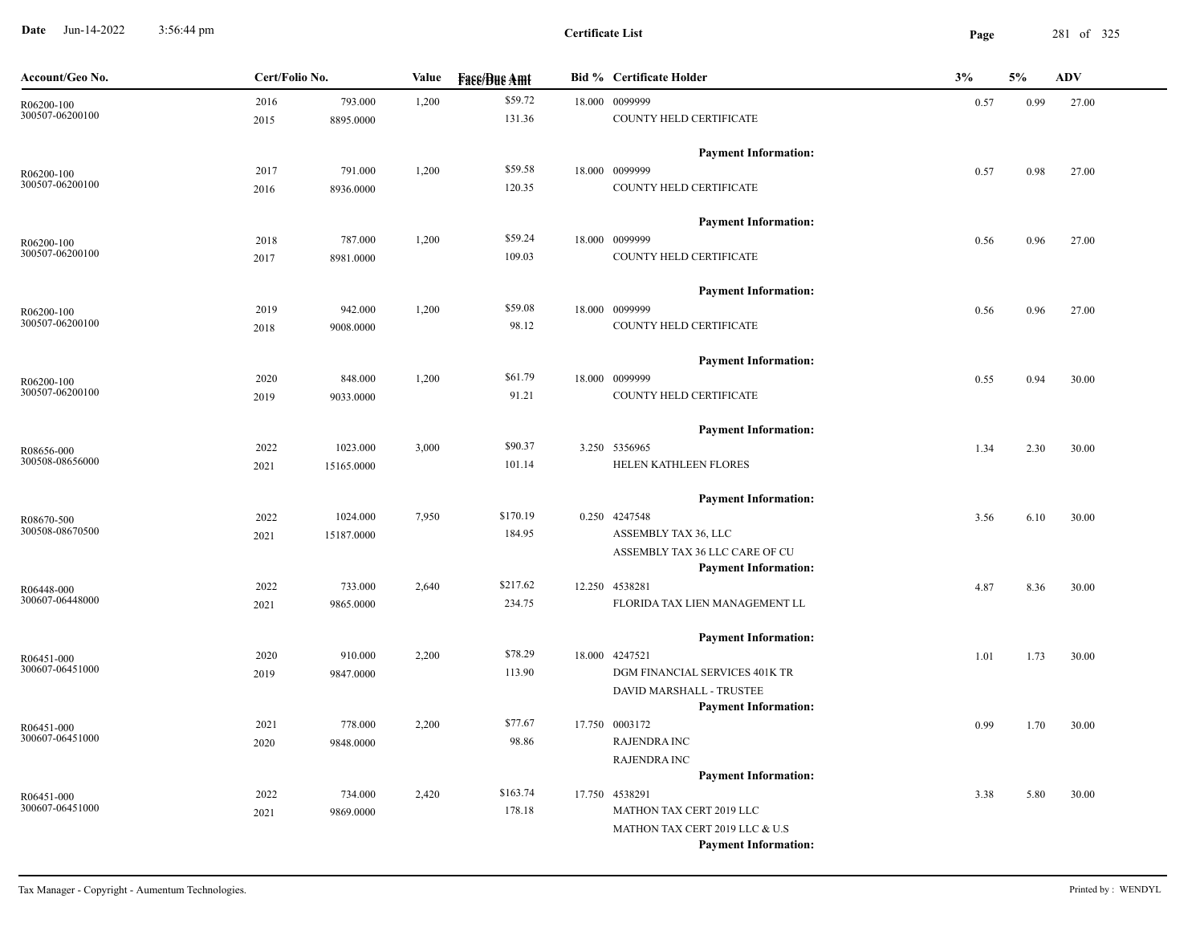**Date** Jun-14-2022 3:56:44 pm **Page** 281 of 325 3:56:44 pm

| Account/Geo No. | Cert/Folio No. |            | Value | <b>Face/Bue Amt</b> | <b>Bid % Certificate Holder</b> | 3%   | 5%   | <b>ADV</b> |
|-----------------|----------------|------------|-------|---------------------|---------------------------------|------|------|------------|
| R06200-100      | 2016           | 793.000    | 1,200 | \$59.72             | 18.000 0099999                  | 0.57 | 0.99 | 27.00      |
| 300507-06200100 | 2015           | 8895.0000  |       | 131.36              | COUNTY HELD CERTIFICATE         |      |      |            |
|                 |                |            |       |                     | <b>Payment Information:</b>     |      |      |            |
| R06200-100      | 2017           | 791.000    | 1,200 | \$59.58             | 18.000 0099999                  | 0.57 | 0.98 | 27.00      |
| 300507-06200100 | 2016           | 8936.0000  |       | 120.35              | COUNTY HELD CERTIFICATE         |      |      |            |
|                 |                |            |       |                     | <b>Payment Information:</b>     |      |      |            |
| R06200-100      | 2018           | 787.000    | 1,200 | \$59.24             | 18.000 0099999                  | 0.56 | 0.96 | 27.00      |
| 300507-06200100 | 2017           | 8981.0000  |       | 109.03              | COUNTY HELD CERTIFICATE         |      |      |            |
|                 |                |            |       |                     | <b>Payment Information:</b>     |      |      |            |
| R06200-100      | 2019           | 942.000    | 1,200 | \$59.08             | 18.000 0099999                  | 0.56 | 0.96 | 27.00      |
| 300507-06200100 | 2018           | 9008.0000  |       | 98.12               | COUNTY HELD CERTIFICATE         |      |      |            |
|                 |                |            |       |                     | <b>Payment Information:</b>     |      |      |            |
| R06200-100      | 2020           | 848.000    | 1,200 | \$61.79             | 18.000 0099999                  | 0.55 | 0.94 | 30.00      |
| 300507-06200100 | 2019           | 9033.0000  |       | 91.21               | COUNTY HELD CERTIFICATE         |      |      |            |
|                 |                |            |       |                     | <b>Payment Information:</b>     |      |      |            |
| R08656-000      | 2022           | 1023.000   | 3,000 | \$90.37             | 3.250 5356965                   | 1.34 | 2.30 | 30.00      |
| 300508-08656000 | 2021           | 15165.0000 |       | 101.14              | HELEN KATHLEEN FLORES           |      |      |            |
|                 |                |            |       |                     | <b>Payment Information:</b>     |      |      |            |
| R08670-500      | 2022           | 1024.000   | 7,950 | \$170.19            | 0.250 4247548                   | 3.56 | 6.10 | 30.00      |
| 300508-08670500 | 2021           | 15187.0000 |       | 184.95              | ASSEMBLY TAX 36, LLC            |      |      |            |
|                 |                |            |       |                     | ASSEMBLY TAX 36 LLC CARE OF CU  |      |      |            |
|                 |                |            |       |                     | <b>Payment Information:</b>     |      |      |            |
| R06448-000      | 2022           | 733.000    | 2,640 | \$217.62            | 12.250 4538281                  | 4.87 | 8.36 | 30.00      |
| 300607-06448000 | 2021           | 9865.0000  |       | 234.75              | FLORIDA TAX LIEN MANAGEMENT LL  |      |      |            |
|                 |                |            |       |                     | <b>Payment Information:</b>     |      |      |            |
| R06451-000      | 2020           | 910.000    | 2,200 | \$78.29             | 18.000 4247521                  | 1.01 | 1.73 | 30.00      |
| 300607-06451000 | 2019           | 9847.0000  |       | 113.90              | DGM FINANCIAL SERVICES 401K TR  |      |      |            |
|                 |                |            |       |                     | DAVID MARSHALL - TRUSTEE        |      |      |            |
|                 |                |            |       |                     | <b>Payment Information:</b>     |      |      |            |
| R06451-000      | 2021           | 778.000    | 2,200 | \$77.67             | 17.750 0003172                  | 0.99 | 1.70 | 30.00      |
| 300607-06451000 | 2020           | 9848.0000  |       | 98.86               | <b>RAJENDRA INC</b>             |      |      |            |
|                 |                |            |       |                     | <b>RAJENDRA INC</b>             |      |      |            |
|                 |                |            |       |                     | <b>Payment Information:</b>     |      |      |            |
| R06451-000      | 2022           | 734.000    | 2,420 | \$163.74            | 17.750 4538291                  | 3.38 | 5.80 | 30.00      |
| 300607-06451000 | 2021           | 9869.0000  |       | 178.18              | MATHON TAX CERT 2019 LLC        |      |      |            |
|                 |                |            |       |                     | MATHON TAX CERT 2019 LLC & U.S  |      |      |            |
|                 |                |            |       |                     | <b>Payment Information:</b>     |      |      |            |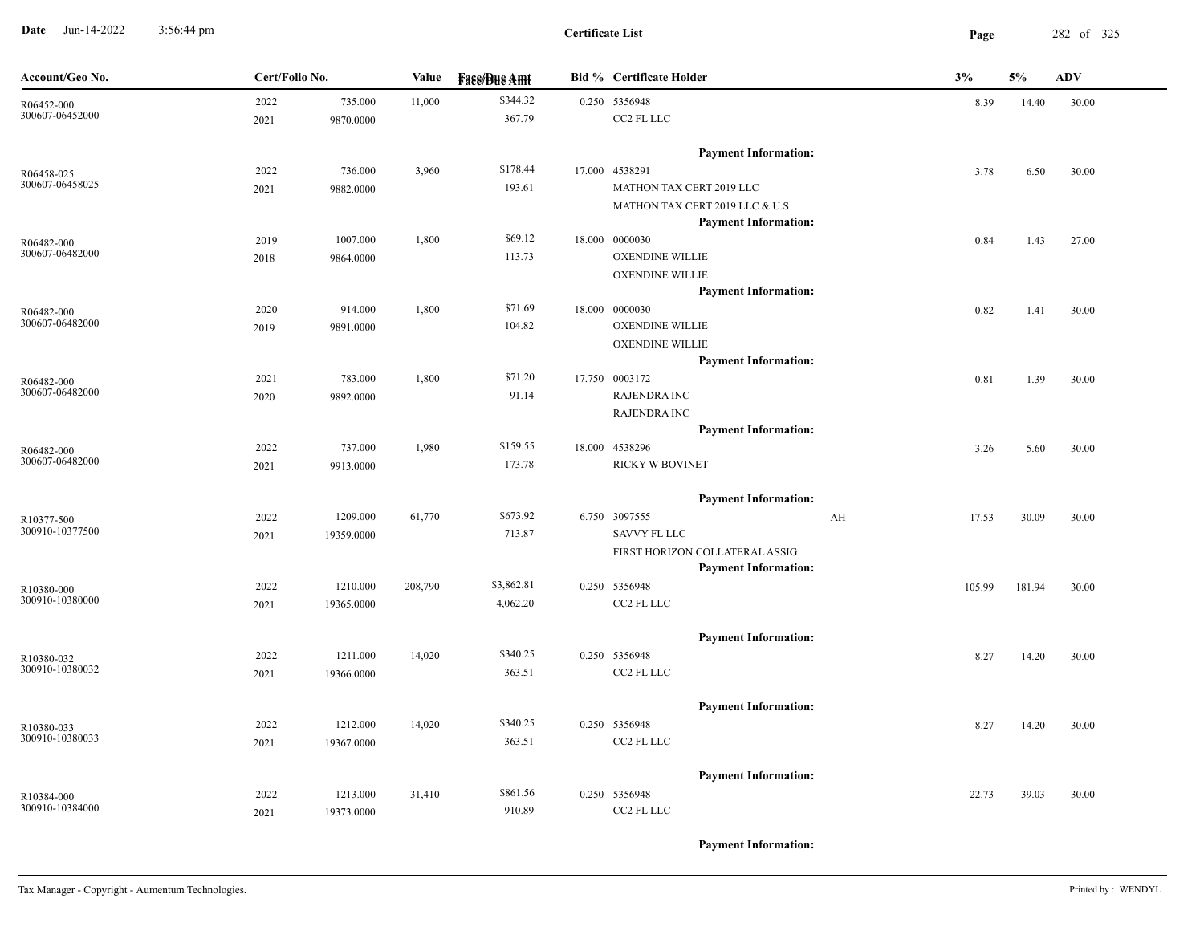**Date** Jun-14-2022 3:56:44 pm **Page** 282 of 325 3:56:44 pm

| Account/Geo No.               | Cert/Folio No. |            | Value   | <b>Face/Bue Amt</b> | <b>Bid % Certificate Holder</b>                               | 3%          | 5%     | <b>ADV</b> |
|-------------------------------|----------------|------------|---------|---------------------|---------------------------------------------------------------|-------------|--------|------------|
| R06452-000                    | 2022           | 735.000    | 11,000  | \$344.32            | 0.250 5356948                                                 | 8.39        | 14.40  | 30.00      |
| 300607-06452000               | 2021           | 9870.0000  |         | 367.79              | CC2 FL LLC                                                    |             |        |            |
|                               |                |            |         |                     | <b>Payment Information:</b>                                   |             |        |            |
| R06458-025                    | 2022           | 736.000    | 3,960   | \$178.44            | 17.000 4538291                                                | 3.78        | 6.50   | 30.00      |
| 300607-06458025               | 2021           | 9882.0000  |         | 193.61              | MATHON TAX CERT 2019 LLC                                      |             |        |            |
|                               |                |            |         |                     | MATHON TAX CERT 2019 LLC & U.S<br><b>Payment Information:</b> |             |        |            |
| R06482-000                    | 2019           | 1007.000   | 1,800   | \$69.12             | 18.000 0000030                                                | 0.84        | 1.43   | 27.00      |
| 300607-06482000               | 2018           | 9864.0000  |         | 113.73              | <b>OXENDINE WILLIE</b>                                        |             |        |            |
|                               |                |            |         |                     | <b>OXENDINE WILLIE</b>                                        |             |        |            |
|                               |                |            |         |                     | <b>Payment Information:</b>                                   |             |        |            |
| R06482-000                    | 2020           | 914.000    | 1,800   | \$71.69             | 18.000 0000030                                                | 0.82        | 1.41   | 30.00      |
| 300607-06482000               | 2019           | 9891.0000  |         | 104.82              | <b>OXENDINE WILLIE</b>                                        |             |        |            |
|                               |                |            |         |                     | <b>OXENDINE WILLIE</b>                                        |             |        |            |
|                               |                |            |         |                     | <b>Payment Information:</b>                                   |             |        |            |
| R06482-000                    | 2021           | 783.000    | 1,800   | \$71.20             | 17.750 0003172                                                | 0.81        | 1.39   | 30.00      |
| 300607-06482000               | 2020           | 9892.0000  |         | 91.14               | <b>RAJENDRA INC</b>                                           |             |        |            |
|                               |                |            |         |                     | <b>RAJENDRA INC</b>                                           |             |        |            |
|                               |                |            |         |                     | <b>Payment Information:</b>                                   |             |        |            |
| R06482-000<br>300607-06482000 | 2022           | 737.000    | 1,980   | \$159.55            | 18.000 4538296                                                | 3.26        | 5.60   | 30.00      |
|                               | 2021           | 9913.0000  |         | 173.78              | RICKY W BOVINET                                               |             |        |            |
|                               |                |            |         |                     | <b>Payment Information:</b>                                   |             |        |            |
| R10377-500                    | 2022           | 1209.000   | 61,770  | \$673.92            | 6.750 3097555                                                 | AH<br>17.53 | 30.09  | 30.00      |
| 300910-10377500               | 2021           | 19359.0000 |         | 713.87              | <b>SAVVY FL LLC</b>                                           |             |        |            |
|                               |                |            |         |                     | FIRST HORIZON COLLATERAL ASSIG                                |             |        |            |
|                               |                |            |         |                     | <b>Payment Information:</b>                                   |             |        |            |
| R10380-000<br>300910-10380000 | 2022           | 1210.000   | 208,790 | \$3,862.81          | 0.250 5356948                                                 | 105.99      | 181.94 | 30.00      |
|                               | 2021           | 19365.0000 |         | 4,062.20            | CC2 FL LLC                                                    |             |        |            |
|                               |                |            |         |                     | <b>Payment Information:</b>                                   |             |        |            |
| R10380-032                    | 2022           | 1211.000   | 14,020  | \$340.25            | 0.250 5356948                                                 | 8.27        | 14.20  | 30.00      |
| 300910-10380032               | 2021           | 19366.0000 |         | 363.51              | CC2 FL LLC                                                    |             |        |            |
|                               |                |            |         |                     | <b>Payment Information:</b>                                   |             |        |            |
| R10380-033                    | 2022           | 1212.000   | 14,020  | \$340.25            | 0.250 5356948                                                 | 8.27        | 14.20  | 30.00      |
| 300910-10380033               | 2021           | 19367.0000 |         | 363.51              | CC2 FL LLC                                                    |             |        |            |
|                               |                |            |         |                     | <b>Payment Information:</b>                                   |             |        |            |
|                               |                |            |         | \$861.56            | 0.250 5356948                                                 |             |        |            |
| R10384-000<br>300910-10384000 | 2022<br>2021   | 1213.000   | 31,410  | 910.89              | CC2 FL LLC                                                    | 22.73       | 39.03  | 30.00      |
|                               |                | 19373.0000 |         |                     |                                                               |             |        |            |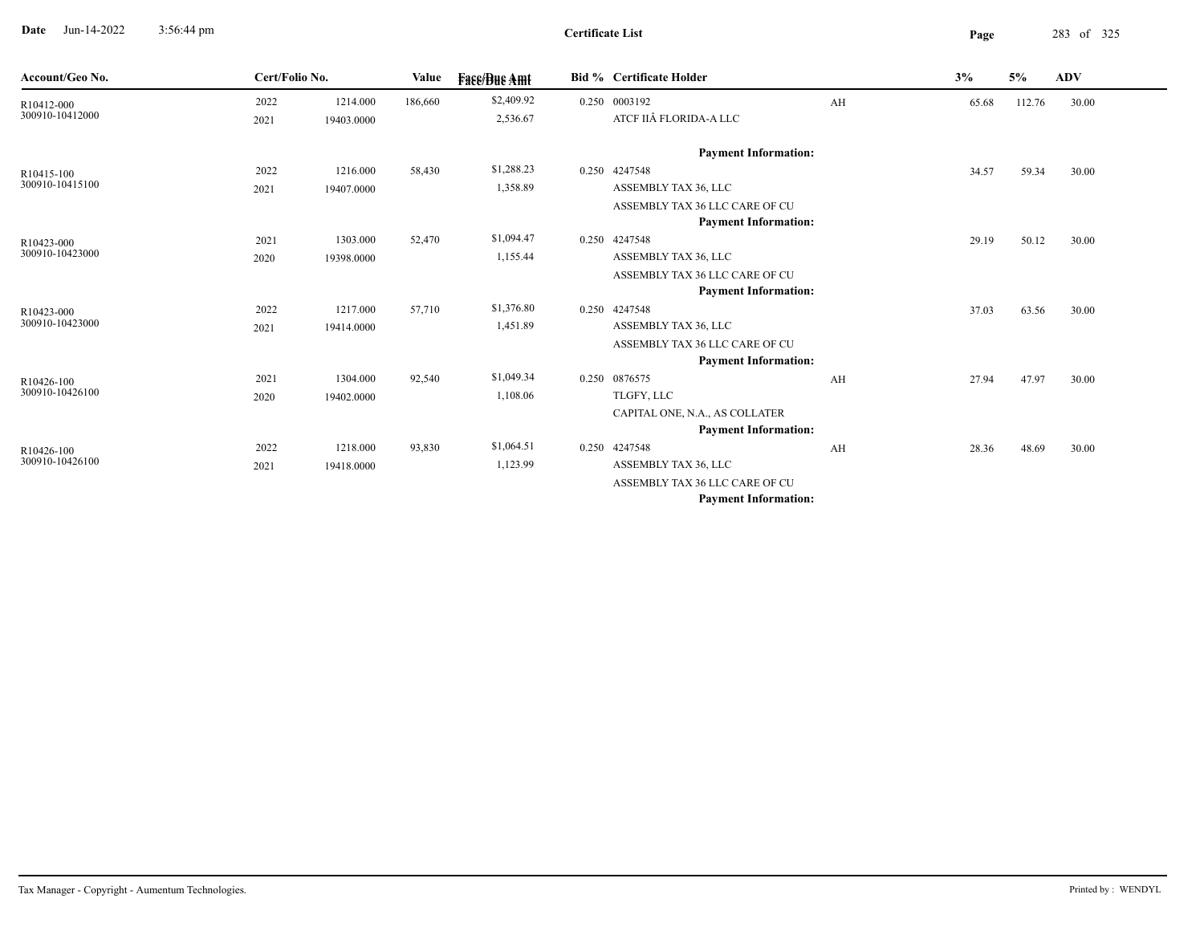**Date** Jun-14-2022 3:56:44 pm **Page** 283 of 325 3:56:44 pm

| Account/Geo No.               | Cert/Folio No. |            | Value   | <b>Face/Bue Amt</b> | <b>Bid % Certificate Holder</b> |    | 3%    | 5%     | ADV   |
|-------------------------------|----------------|------------|---------|---------------------|---------------------------------|----|-------|--------|-------|
| R10412-000                    | 2022           | 1214.000   | 186,660 | \$2,409.92          | 0.250 0003192                   | AH | 65.68 | 112.76 | 30.00 |
| 300910-10412000               | 2021           | 19403.0000 |         | 2,536.67            | ATCF IIÂ FLORIDA-A LLC          |    |       |        |       |
|                               |                |            |         |                     | <b>Payment Information:</b>     |    |       |        |       |
| R10415-100                    | 2022           | 1216.000   | 58,430  | \$1,288.23          | 0.250 4247548                   |    | 34.57 | 59.34  | 30.00 |
| 300910-10415100               | 2021           | 19407.0000 |         | 1,358.89            | ASSEMBLY TAX 36, LLC            |    |       |        |       |
|                               |                |            |         |                     | ASSEMBLY TAX 36 LLC CARE OF CU  |    |       |        |       |
|                               |                |            |         |                     | <b>Payment Information:</b>     |    |       |        |       |
| R10423-000                    | 2021           | 1303.000   | 52,470  | \$1,094.47          | 0.250 4247548                   |    | 29.19 | 50.12  | 30.00 |
| 300910-10423000               | 2020           | 19398.0000 |         | 1,155.44            | ASSEMBLY TAX 36, LLC            |    |       |        |       |
|                               |                |            |         |                     | ASSEMBLY TAX 36 LLC CARE OF CU  |    |       |        |       |
|                               |                |            |         |                     | <b>Payment Information:</b>     |    |       |        |       |
| R10423-000                    | 2022           | 1217.000   | 57,710  | \$1,376.80          | 0.250 4247548                   |    | 37.03 | 63.56  | 30.00 |
| 300910-10423000               | 2021           | 19414.0000 |         | 1,451.89            | ASSEMBLY TAX 36, LLC            |    |       |        |       |
|                               |                |            |         |                     | ASSEMBLY TAX 36 LLC CARE OF CU  |    |       |        |       |
|                               |                |            |         |                     | <b>Payment Information:</b>     |    |       |        |       |
| R10426-100                    | 2021           | 1304.000   | 92,540  | \$1,049.34          | 0.250 0876575                   | AH | 27.94 | 47.97  | 30.00 |
| 300910-10426100               | 2020           | 19402.0000 |         | 1,108.06            | TLGFY, LLC                      |    |       |        |       |
|                               |                |            |         |                     | CAPITAL ONE, N.A., AS COLLATER  |    |       |        |       |
|                               |                |            |         |                     | <b>Payment Information:</b>     |    |       |        |       |
| R10426-100<br>300910-10426100 | 2022           | 1218.000   | 93,830  | \$1,064.51          | 0.250 4247548                   | AH | 28.36 | 48.69  | 30.00 |
|                               | 2021           | 19418.0000 |         | 1,123.99            | ASSEMBLY TAX 36, LLC            |    |       |        |       |
|                               |                |            |         |                     | ASSEMBLY TAX 36 LLC CARE OF CU  |    |       |        |       |
|                               |                |            |         |                     | <b>Payment Information:</b>     |    |       |        |       |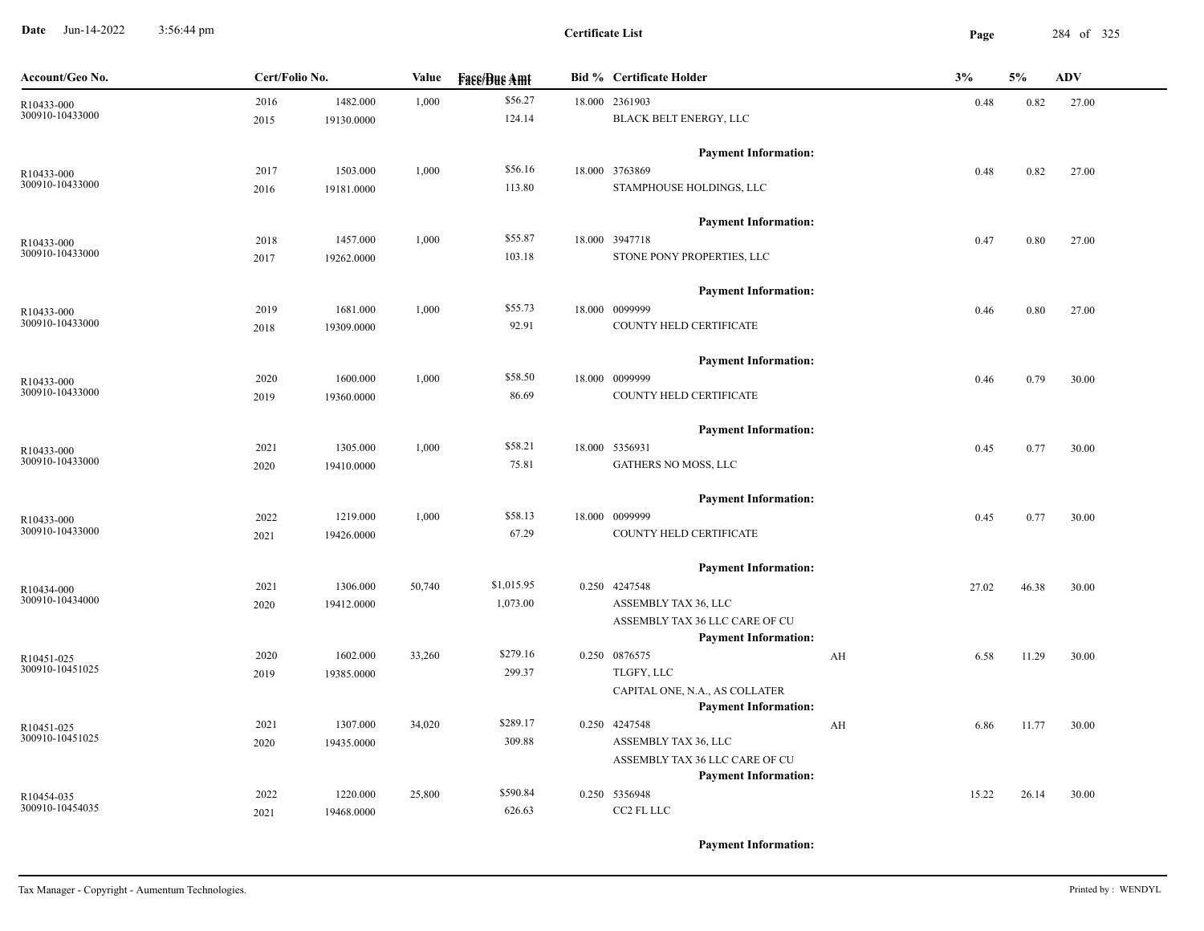**Date** Jun-14-2022 3:56:44 pm **Page** 284 of 325 3:56:44 pm

**Certificate List**

| Account/Geo No.               | Cert/Folio No. |            | Value  | <b>Fase/Bue Amt</b> | <b>Bid % Certificate Holder</b>              | 3%         | 5%    | <b>ADV</b> |
|-------------------------------|----------------|------------|--------|---------------------|----------------------------------------------|------------|-------|------------|
| R10433-000                    | 2016           | 1482.000   | 1,000  | \$56.27             | 18.000 2361903                               | 0.48       | 0.82  | 27.00      |
| 300910-10433000               | 2015           | 19130.0000 |        | 124.14              | BLACK BELT ENERGY, LLC                       |            |       |            |
|                               |                |            |        |                     | <b>Payment Information:</b>                  |            |       |            |
| R10433-000                    | 2017           | 1503.000   | 1,000  | \$56.16             | 18.000 3763869                               | 0.48       | 0.82  | 27.00      |
| 300910-10433000               | 2016           | 19181.0000 |        | 113.80              | STAMPHOUSE HOLDINGS, LLC                     |            |       |            |
|                               |                |            |        |                     | <b>Payment Information:</b>                  |            |       |            |
| R10433-000                    | 2018           | 1457.000   | 1,000  | \$55.87             | 18.000 3947718                               | 0.47       | 0.80  | 27.00      |
| 300910-10433000               | 2017           | 19262.0000 |        | 103.18              | STONE PONY PROPERTIES, LLC                   |            |       |            |
|                               |                |            |        |                     | <b>Payment Information:</b>                  |            |       |            |
| R10433-000                    | 2019           | 1681.000   | 1,000  | \$55.73             | 18.000 0099999                               | 0.46       | 0.80  | 27.00      |
| 300910-10433000               | 2018           | 19309.0000 |        | 92.91               | COUNTY HELD CERTIFICATE                      |            |       |            |
|                               |                |            |        |                     | <b>Payment Information:</b>                  |            |       |            |
| R10433-000                    | 2020           | 1600.000   | 1,000  | \$58.50             | 18.000 0099999                               | 0.46       | 0.79  | 30.00      |
| 300910-10433000               | 2019           | 19360.0000 |        | 86.69               | COUNTY HELD CERTIFICATE                      |            |       |            |
|                               |                |            |        |                     | <b>Payment Information:</b>                  |            |       |            |
| R10433-000                    | 2021           | 1305.000   | 1,000  | \$58.21             | 18.000 5356931                               | 0.45       | 0.77  | 30.00      |
| 300910-10433000               | 2020           | 19410.0000 |        | 75.81               | GATHERS NO MOSS, LLC                         |            |       |            |
|                               |                |            |        |                     | <b>Payment Information:</b>                  |            |       |            |
| R10433-000                    | 2022           | 1219.000   | 1,000  | \$58.13             | 18.000 0099999                               | 0.45       | 0.77  | 30.00      |
| 300910-10433000               | 2021           | 19426.0000 |        | 67.29               | COUNTY HELD CERTIFICATE                      |            |       |            |
|                               |                |            |        |                     | <b>Payment Information:</b>                  |            |       |            |
| R10434-000                    | 2021           | 1306.000   | 50,740 | \$1,015.95          | 0.250 4247548                                | 27.02      | 46.38 | 30.00      |
| 300910-10434000               | 2020           | 19412.0000 |        | 1,073.00            | ASSEMBLY TAX 36, LLC                         |            |       |            |
|                               |                |            |        |                     | ASSEMBLY TAX 36 LLC CARE OF CU               |            |       |            |
|                               |                |            |        |                     | <b>Payment Information:</b>                  |            |       |            |
| R10451-025<br>300910-10451025 | 2020           | 1602.000   | 33,260 | \$279.16<br>299.37  | 0.250 0876575                                | 6.58<br>AH | 11.29 | 30.00      |
|                               | 2019           | 19385.0000 |        |                     | TLGFY, LLC<br>CAPITAL ONE, N.A., AS COLLATER |            |       |            |
|                               |                |            |        |                     | <b>Payment Information:</b>                  |            |       |            |
| R10451-025                    | 2021           | 1307.000   | 34,020 | \$289.17            | 0.250 4247548                                | AH<br>6.86 | 11.77 | 30.00      |
| 300910-10451025               | 2020           | 19435.0000 |        | 309.88              | ASSEMBLY TAX 36, LLC                         |            |       |            |
|                               |                |            |        |                     | ASSEMBLY TAX 36 LLC CARE OF CU               |            |       |            |
|                               |                |            |        |                     | <b>Payment Information:</b>                  |            |       |            |
| R10454-035                    | 2022           | 1220.000   | 25,800 | \$590.84            | 0.250 5356948                                | 15.22      | 26.14 | 30.00      |
| 300910-10454035               | 2021           | 19468.0000 |        | 626.63              | CC2 FL LLC                                   |            |       |            |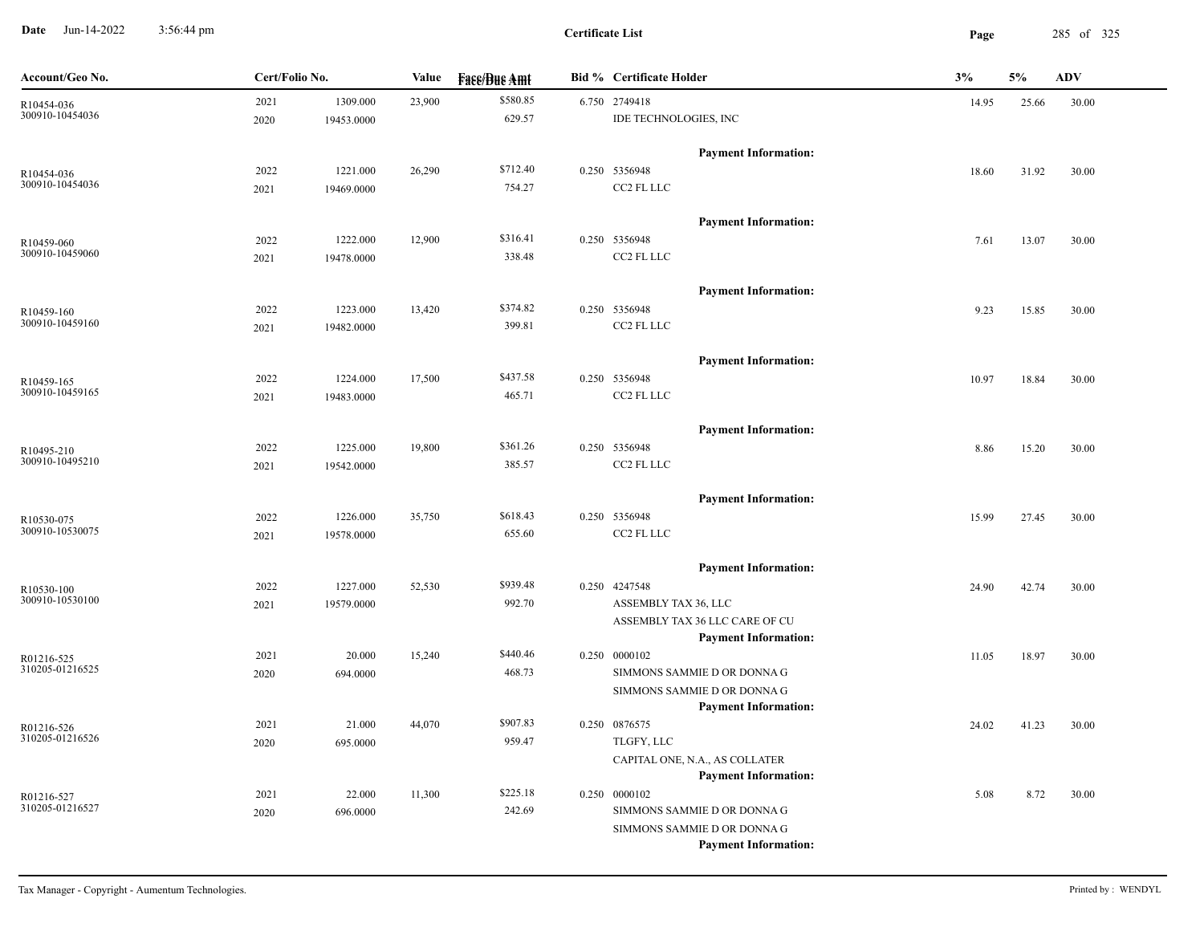**Date** Jun-14-2022 3:56:44 pm **Page** 285 of 325 3:56:44 pm

| Account/Geo No.               | Cert/Folio No. |            | Value  | <b>Face/Bue Amt</b> | <b>Bid % Certificate Holder</b>                            | 3%    | 5%    | <b>ADV</b> |
|-------------------------------|----------------|------------|--------|---------------------|------------------------------------------------------------|-------|-------|------------|
| R10454-036                    | 2021           | 1309.000   | 23,900 | \$580.85            | 6.750 2749418                                              | 14.95 | 25.66 | 30.00      |
| 300910-10454036               | 2020           | 19453.0000 |        | 629.57              | IDE TECHNOLOGIES, INC                                      |       |       |            |
|                               |                |            |        |                     | <b>Payment Information:</b>                                |       |       |            |
| R10454-036                    | 2022           | 1221.000   | 26,290 | \$712.40            | 0.250 5356948                                              | 18.60 | 31.92 | 30.00      |
| 300910-10454036               | 2021           | 19469.0000 |        | 754.27              | CC2 FL LLC                                                 |       |       |            |
|                               |                |            |        |                     | <b>Payment Information:</b>                                |       |       |            |
| R10459-060                    | 2022           | 1222.000   | 12,900 | \$316.41            | 0.250 5356948                                              | 7.61  | 13.07 | 30.00      |
| 300910-10459060               | 2021           | 19478.0000 |        | 338.48              | CC2 FL LLC                                                 |       |       |            |
|                               |                |            |        |                     | <b>Payment Information:</b>                                |       |       |            |
| R10459-160                    | 2022           | 1223.000   | 13,420 | \$374.82            | 0.250 5356948                                              | 9.23  | 15.85 | 30.00      |
| 300910-10459160               | 2021           | 19482.0000 |        | 399.81              | CC2 FL LLC                                                 |       |       |            |
|                               |                |            |        |                     | <b>Payment Information:</b>                                |       |       |            |
|                               | 2022           | 1224.000   | 17,500 | \$437.58            | 0.250 5356948                                              |       | 18.84 | 30.00      |
| R10459-165<br>300910-10459165 | 2021           | 19483.0000 |        | 465.71              | CC2 FL LLC                                                 | 10.97 |       |            |
|                               |                |            |        |                     |                                                            |       |       |            |
|                               |                |            |        |                     | <b>Payment Information:</b>                                |       |       |            |
| R10495-210<br>300910-10495210 | 2022           | 1225.000   | 19,800 | \$361.26            | 0.250 5356948                                              | 8.86  | 15.20 | 30.00      |
|                               | 2021           | 19542.0000 |        | 385.57              | CC2 FL LLC                                                 |       |       |            |
|                               |                |            |        |                     | <b>Payment Information:</b>                                |       |       |            |
| R10530-075                    | 2022           | 1226.000   | 35,750 | \$618.43            | 0.250 5356948                                              | 15.99 | 27.45 | 30.00      |
| 300910-10530075               | 2021           | 19578.0000 |        | 655.60              | CC2 FL LLC                                                 |       |       |            |
|                               |                |            |        |                     | <b>Payment Information:</b>                                |       |       |            |
| R10530-100                    | 2022           | 1227.000   | 52,530 | \$939.48            | 0.250 4247548                                              | 24.90 | 42.74 | 30.00      |
| 300910-10530100               | 2021           | 19579.0000 |        | 992.70              | ASSEMBLY TAX 36, LLC                                       |       |       |            |
|                               |                |            |        |                     | ASSEMBLY TAX 36 LLC CARE OF CU                             |       |       |            |
|                               |                |            |        |                     | <b>Payment Information:</b>                                |       |       |            |
| R01216-525<br>310205-01216525 | 2021           | 20.000     | 15,240 | \$440.46            | 0.250 0000102                                              | 11.05 | 18.97 | 30.00      |
|                               | 2020           | 694.0000   |        | 468.73              | SIMMONS SAMMIE D OR DONNA G                                |       |       |            |
|                               |                |            |        |                     | SIMMONS SAMMIE D OR DONNA G<br><b>Payment Information:</b> |       |       |            |
| R01216-526                    | 2021           | 21.000     | 44,070 | \$907.83            | 0.250 0876575                                              | 24.02 | 41.23 | 30.00      |
| 310205-01216526               | 2020           | 695.0000   |        | 959.47              | TLGFY, LLC                                                 |       |       |            |
|                               |                |            |        |                     | CAPITAL ONE, N.A., AS COLLATER                             |       |       |            |
|                               |                |            |        |                     | <b>Payment Information:</b>                                |       |       |            |
| R01216-527                    | 2021           | 22.000     | 11,300 | \$225.18            | 0.250 0000102                                              | 5.08  | 8.72  | 30.00      |
| 310205-01216527               | 2020           | 696.0000   |        | 242.69              | SIMMONS SAMMIE D OR DONNA G                                |       |       |            |
|                               |                |            |        |                     | SIMMONS SAMMIE D OR DONNA G                                |       |       |            |
|                               |                |            |        |                     | <b>Payment Information:</b>                                |       |       |            |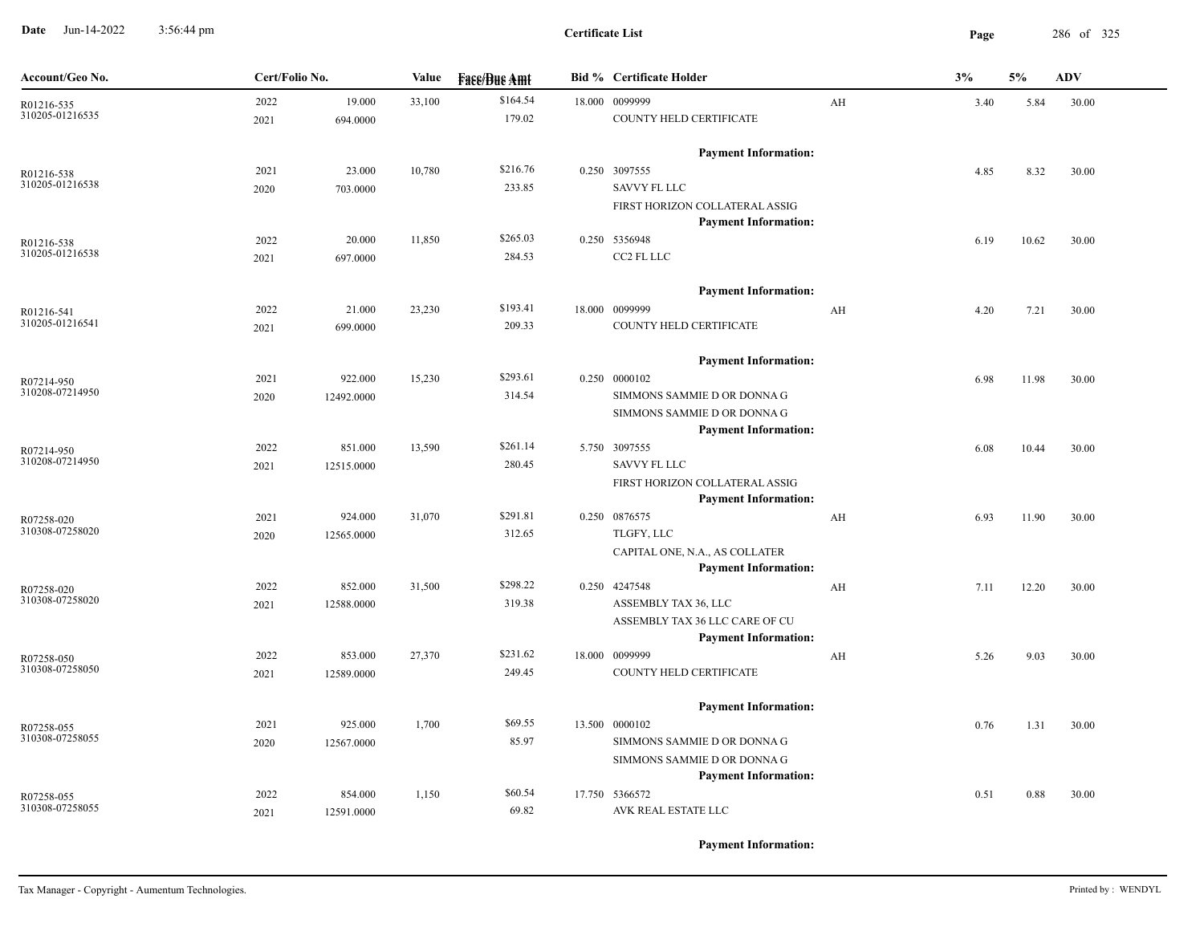**Date** Jun-14-2022 3:56:44 pm **Page** 286 of 325 3:56:44 pm

| \$164.54<br>19.000<br>18.000 0099999<br>2022<br>33,100<br>AH<br>3.40<br>30.00<br>5.84<br>R01216-535<br>310205-01216535<br>179.02<br>COUNTY HELD CERTIFICATE<br>694.0000<br>2021<br><b>Payment Information:</b><br>\$216.76<br>0.250 3097555<br>23.000<br>10,780<br>2021<br>4.85<br>8.32<br>30.00<br>R01216-538<br>310205-01216538<br>233.85<br><b>SAVVY FL LLC</b><br>703.0000<br>2020<br>FIRST HORIZON COLLATERAL ASSIG<br><b>Payment Information:</b><br>\$265.03<br>0.250 5356948<br>2022<br>20.000<br>11,850<br>10.62<br>30.00<br>6.19<br>R01216-538<br>310205-01216538<br>284.53<br>CC2 FL LLC<br>697.0000<br>2021<br><b>Payment Information:</b><br>\$193.41<br>21.000<br>23,230<br>18.000 0099999<br>2022<br>AH<br>4.20<br>7.21<br>30.00<br>R01216-541<br>310205-01216541<br>209.33<br>COUNTY HELD CERTIFICATE<br>699.0000<br>2021<br><b>Payment Information:</b><br>\$293.61<br>0.250 0000102<br>2021<br>922.000<br>15,230<br>11.98<br>30.00<br>6.98<br>R07214-950<br>310208-07214950<br>314.54<br>SIMMONS SAMMIE D OR DONNA G<br>2020<br>12492.0000<br>SIMMONS SAMMIE D OR DONNA G<br><b>Payment Information:</b><br>\$261.14<br>13,590<br>5.750 3097555<br>2022<br>851.000<br>6.08<br>10.44<br>30.00<br>R07214-950<br>310208-07214950<br><b>SAVVY FL LLC</b><br>280.45<br>12515.0000<br>2021<br>FIRST HORIZON COLLATERAL ASSIG<br><b>Payment Information:</b><br>\$291.81<br>0.250 0876575<br>2021<br>924.000<br>31,070<br>AH<br>6.93<br>11.90<br>30.00<br>R07258-020<br>310308-07258020<br>312.65<br>TLGFY, LLC<br>2020<br>12565.0000<br>CAPITAL ONE, N.A., AS COLLATER<br><b>Payment Information:</b><br>\$298.22<br>0.250 4247548<br>2022<br>852.000<br>31,500<br>12.20<br>AH<br>7.11<br>30.00<br>R07258-020<br>310308-07258020<br>319.38<br>ASSEMBLY TAX 36, LLC<br>2021<br>12588.0000<br>ASSEMBLY TAX 36 LLC CARE OF CU<br><b>Payment Information:</b><br>\$231.62<br>2022<br>27,370<br>18.000 0099999<br>853.000<br>AH<br>9.03<br>30.00<br>5.26<br>R07258-050<br>310308-07258050<br>249.45<br>COUNTY HELD CERTIFICATE<br>2021<br>12589.0000<br><b>Payment Information:</b><br>\$69.55<br>2021<br>925.000<br>1,700<br>13.500 0000102<br>1.31<br>30.00<br>0.76<br>R07258-055<br>310308-07258055<br>SIMMONS SAMMIE D OR DONNA G<br>85.97<br>12567.0000<br>2020<br>SIMMONS SAMMIE D OR DONNA G<br><b>Payment Information:</b><br>\$60.54<br>17.750 5366572<br>1,150<br>2022<br>854.000<br>0.51<br>0.88<br>30.00<br>R07258-055<br>310308-07258055<br>69.82<br>AVK REAL ESTATE LLC<br>2021<br>12591.0000 | Account/Geo No. | Cert/Folio No. | Value | <b>Face/Bue Amt</b> | <b>Bid % Certificate Holder</b> | 3% | 5% | <b>ADV</b> |
|--------------------------------------------------------------------------------------------------------------------------------------------------------------------------------------------------------------------------------------------------------------------------------------------------------------------------------------------------------------------------------------------------------------------------------------------------------------------------------------------------------------------------------------------------------------------------------------------------------------------------------------------------------------------------------------------------------------------------------------------------------------------------------------------------------------------------------------------------------------------------------------------------------------------------------------------------------------------------------------------------------------------------------------------------------------------------------------------------------------------------------------------------------------------------------------------------------------------------------------------------------------------------------------------------------------------------------------------------------------------------------------------------------------------------------------------------------------------------------------------------------------------------------------------------------------------------------------------------------------------------------------------------------------------------------------------------------------------------------------------------------------------------------------------------------------------------------------------------------------------------------------------------------------------------------------------------------------------------------------------------------------------------------------------------------------------------------------------------------------------------------------------------------------------------------------------------------------------------------------------------------------------------------------------------------------------------------------------------------------------------------------------------------------------------------------------------------------------------------------------------------------------|-----------------|----------------|-------|---------------------|---------------------------------|----|----|------------|
|                                                                                                                                                                                                                                                                                                                                                                                                                                                                                                                                                                                                                                                                                                                                                                                                                                                                                                                                                                                                                                                                                                                                                                                                                                                                                                                                                                                                                                                                                                                                                                                                                                                                                                                                                                                                                                                                                                                                                                                                                                                                                                                                                                                                                                                                                                                                                                                                                                                                                                                    |                 |                |       |                     |                                 |    |    |            |
|                                                                                                                                                                                                                                                                                                                                                                                                                                                                                                                                                                                                                                                                                                                                                                                                                                                                                                                                                                                                                                                                                                                                                                                                                                                                                                                                                                                                                                                                                                                                                                                                                                                                                                                                                                                                                                                                                                                                                                                                                                                                                                                                                                                                                                                                                                                                                                                                                                                                                                                    |                 |                |       |                     |                                 |    |    |            |
|                                                                                                                                                                                                                                                                                                                                                                                                                                                                                                                                                                                                                                                                                                                                                                                                                                                                                                                                                                                                                                                                                                                                                                                                                                                                                                                                                                                                                                                                                                                                                                                                                                                                                                                                                                                                                                                                                                                                                                                                                                                                                                                                                                                                                                                                                                                                                                                                                                                                                                                    |                 |                |       |                     |                                 |    |    |            |
|                                                                                                                                                                                                                                                                                                                                                                                                                                                                                                                                                                                                                                                                                                                                                                                                                                                                                                                                                                                                                                                                                                                                                                                                                                                                                                                                                                                                                                                                                                                                                                                                                                                                                                                                                                                                                                                                                                                                                                                                                                                                                                                                                                                                                                                                                                                                                                                                                                                                                                                    |                 |                |       |                     |                                 |    |    |            |
|                                                                                                                                                                                                                                                                                                                                                                                                                                                                                                                                                                                                                                                                                                                                                                                                                                                                                                                                                                                                                                                                                                                                                                                                                                                                                                                                                                                                                                                                                                                                                                                                                                                                                                                                                                                                                                                                                                                                                                                                                                                                                                                                                                                                                                                                                                                                                                                                                                                                                                                    |                 |                |       |                     |                                 |    |    |            |
|                                                                                                                                                                                                                                                                                                                                                                                                                                                                                                                                                                                                                                                                                                                                                                                                                                                                                                                                                                                                                                                                                                                                                                                                                                                                                                                                                                                                                                                                                                                                                                                                                                                                                                                                                                                                                                                                                                                                                                                                                                                                                                                                                                                                                                                                                                                                                                                                                                                                                                                    |                 |                |       |                     |                                 |    |    |            |
|                                                                                                                                                                                                                                                                                                                                                                                                                                                                                                                                                                                                                                                                                                                                                                                                                                                                                                                                                                                                                                                                                                                                                                                                                                                                                                                                                                                                                                                                                                                                                                                                                                                                                                                                                                                                                                                                                                                                                                                                                                                                                                                                                                                                                                                                                                                                                                                                                                                                                                                    |                 |                |       |                     |                                 |    |    |            |
|                                                                                                                                                                                                                                                                                                                                                                                                                                                                                                                                                                                                                                                                                                                                                                                                                                                                                                                                                                                                                                                                                                                                                                                                                                                                                                                                                                                                                                                                                                                                                                                                                                                                                                                                                                                                                                                                                                                                                                                                                                                                                                                                                                                                                                                                                                                                                                                                                                                                                                                    |                 |                |       |                     |                                 |    |    |            |
|                                                                                                                                                                                                                                                                                                                                                                                                                                                                                                                                                                                                                                                                                                                                                                                                                                                                                                                                                                                                                                                                                                                                                                                                                                                                                                                                                                                                                                                                                                                                                                                                                                                                                                                                                                                                                                                                                                                                                                                                                                                                                                                                                                                                                                                                                                                                                                                                                                                                                                                    |                 |                |       |                     |                                 |    |    |            |
|                                                                                                                                                                                                                                                                                                                                                                                                                                                                                                                                                                                                                                                                                                                                                                                                                                                                                                                                                                                                                                                                                                                                                                                                                                                                                                                                                                                                                                                                                                                                                                                                                                                                                                                                                                                                                                                                                                                                                                                                                                                                                                                                                                                                                                                                                                                                                                                                                                                                                                                    |                 |                |       |                     |                                 |    |    |            |
|                                                                                                                                                                                                                                                                                                                                                                                                                                                                                                                                                                                                                                                                                                                                                                                                                                                                                                                                                                                                                                                                                                                                                                                                                                                                                                                                                                                                                                                                                                                                                                                                                                                                                                                                                                                                                                                                                                                                                                                                                                                                                                                                                                                                                                                                                                                                                                                                                                                                                                                    |                 |                |       |                     |                                 |    |    |            |
|                                                                                                                                                                                                                                                                                                                                                                                                                                                                                                                                                                                                                                                                                                                                                                                                                                                                                                                                                                                                                                                                                                                                                                                                                                                                                                                                                                                                                                                                                                                                                                                                                                                                                                                                                                                                                                                                                                                                                                                                                                                                                                                                                                                                                                                                                                                                                                                                                                                                                                                    |                 |                |       |                     |                                 |    |    |            |
|                                                                                                                                                                                                                                                                                                                                                                                                                                                                                                                                                                                                                                                                                                                                                                                                                                                                                                                                                                                                                                                                                                                                                                                                                                                                                                                                                                                                                                                                                                                                                                                                                                                                                                                                                                                                                                                                                                                                                                                                                                                                                                                                                                                                                                                                                                                                                                                                                                                                                                                    |                 |                |       |                     |                                 |    |    |            |
|                                                                                                                                                                                                                                                                                                                                                                                                                                                                                                                                                                                                                                                                                                                                                                                                                                                                                                                                                                                                                                                                                                                                                                                                                                                                                                                                                                                                                                                                                                                                                                                                                                                                                                                                                                                                                                                                                                                                                                                                                                                                                                                                                                                                                                                                                                                                                                                                                                                                                                                    |                 |                |       |                     |                                 |    |    |            |
|                                                                                                                                                                                                                                                                                                                                                                                                                                                                                                                                                                                                                                                                                                                                                                                                                                                                                                                                                                                                                                                                                                                                                                                                                                                                                                                                                                                                                                                                                                                                                                                                                                                                                                                                                                                                                                                                                                                                                                                                                                                                                                                                                                                                                                                                                                                                                                                                                                                                                                                    |                 |                |       |                     |                                 |    |    |            |
|                                                                                                                                                                                                                                                                                                                                                                                                                                                                                                                                                                                                                                                                                                                                                                                                                                                                                                                                                                                                                                                                                                                                                                                                                                                                                                                                                                                                                                                                                                                                                                                                                                                                                                                                                                                                                                                                                                                                                                                                                                                                                                                                                                                                                                                                                                                                                                                                                                                                                                                    |                 |                |       |                     |                                 |    |    |            |
|                                                                                                                                                                                                                                                                                                                                                                                                                                                                                                                                                                                                                                                                                                                                                                                                                                                                                                                                                                                                                                                                                                                                                                                                                                                                                                                                                                                                                                                                                                                                                                                                                                                                                                                                                                                                                                                                                                                                                                                                                                                                                                                                                                                                                                                                                                                                                                                                                                                                                                                    |                 |                |       |                     |                                 |    |    |            |
|                                                                                                                                                                                                                                                                                                                                                                                                                                                                                                                                                                                                                                                                                                                                                                                                                                                                                                                                                                                                                                                                                                                                                                                                                                                                                                                                                                                                                                                                                                                                                                                                                                                                                                                                                                                                                                                                                                                                                                                                                                                                                                                                                                                                                                                                                                                                                                                                                                                                                                                    |                 |                |       |                     |                                 |    |    |            |
|                                                                                                                                                                                                                                                                                                                                                                                                                                                                                                                                                                                                                                                                                                                                                                                                                                                                                                                                                                                                                                                                                                                                                                                                                                                                                                                                                                                                                                                                                                                                                                                                                                                                                                                                                                                                                                                                                                                                                                                                                                                                                                                                                                                                                                                                                                                                                                                                                                                                                                                    |                 |                |       |                     |                                 |    |    |            |
|                                                                                                                                                                                                                                                                                                                                                                                                                                                                                                                                                                                                                                                                                                                                                                                                                                                                                                                                                                                                                                                                                                                                                                                                                                                                                                                                                                                                                                                                                                                                                                                                                                                                                                                                                                                                                                                                                                                                                                                                                                                                                                                                                                                                                                                                                                                                                                                                                                                                                                                    |                 |                |       |                     |                                 |    |    |            |
|                                                                                                                                                                                                                                                                                                                                                                                                                                                                                                                                                                                                                                                                                                                                                                                                                                                                                                                                                                                                                                                                                                                                                                                                                                                                                                                                                                                                                                                                                                                                                                                                                                                                                                                                                                                                                                                                                                                                                                                                                                                                                                                                                                                                                                                                                                                                                                                                                                                                                                                    |                 |                |       |                     |                                 |    |    |            |
|                                                                                                                                                                                                                                                                                                                                                                                                                                                                                                                                                                                                                                                                                                                                                                                                                                                                                                                                                                                                                                                                                                                                                                                                                                                                                                                                                                                                                                                                                                                                                                                                                                                                                                                                                                                                                                                                                                                                                                                                                                                                                                                                                                                                                                                                                                                                                                                                                                                                                                                    |                 |                |       |                     |                                 |    |    |            |
|                                                                                                                                                                                                                                                                                                                                                                                                                                                                                                                                                                                                                                                                                                                                                                                                                                                                                                                                                                                                                                                                                                                                                                                                                                                                                                                                                                                                                                                                                                                                                                                                                                                                                                                                                                                                                                                                                                                                                                                                                                                                                                                                                                                                                                                                                                                                                                                                                                                                                                                    |                 |                |       |                     |                                 |    |    |            |
|                                                                                                                                                                                                                                                                                                                                                                                                                                                                                                                                                                                                                                                                                                                                                                                                                                                                                                                                                                                                                                                                                                                                                                                                                                                                                                                                                                                                                                                                                                                                                                                                                                                                                                                                                                                                                                                                                                                                                                                                                                                                                                                                                                                                                                                                                                                                                                                                                                                                                                                    |                 |                |       |                     |                                 |    |    |            |
|                                                                                                                                                                                                                                                                                                                                                                                                                                                                                                                                                                                                                                                                                                                                                                                                                                                                                                                                                                                                                                                                                                                                                                                                                                                                                                                                                                                                                                                                                                                                                                                                                                                                                                                                                                                                                                                                                                                                                                                                                                                                                                                                                                                                                                                                                                                                                                                                                                                                                                                    |                 |                |       |                     |                                 |    |    |            |
|                                                                                                                                                                                                                                                                                                                                                                                                                                                                                                                                                                                                                                                                                                                                                                                                                                                                                                                                                                                                                                                                                                                                                                                                                                                                                                                                                                                                                                                                                                                                                                                                                                                                                                                                                                                                                                                                                                                                                                                                                                                                                                                                                                                                                                                                                                                                                                                                                                                                                                                    |                 |                |       |                     |                                 |    |    |            |
|                                                                                                                                                                                                                                                                                                                                                                                                                                                                                                                                                                                                                                                                                                                                                                                                                                                                                                                                                                                                                                                                                                                                                                                                                                                                                                                                                                                                                                                                                                                                                                                                                                                                                                                                                                                                                                                                                                                                                                                                                                                                                                                                                                                                                                                                                                                                                                                                                                                                                                                    |                 |                |       |                     |                                 |    |    |            |
|                                                                                                                                                                                                                                                                                                                                                                                                                                                                                                                                                                                                                                                                                                                                                                                                                                                                                                                                                                                                                                                                                                                                                                                                                                                                                                                                                                                                                                                                                                                                                                                                                                                                                                                                                                                                                                                                                                                                                                                                                                                                                                                                                                                                                                                                                                                                                                                                                                                                                                                    |                 |                |       |                     |                                 |    |    |            |
|                                                                                                                                                                                                                                                                                                                                                                                                                                                                                                                                                                                                                                                                                                                                                                                                                                                                                                                                                                                                                                                                                                                                                                                                                                                                                                                                                                                                                                                                                                                                                                                                                                                                                                                                                                                                                                                                                                                                                                                                                                                                                                                                                                                                                                                                                                                                                                                                                                                                                                                    |                 |                |       |                     |                                 |    |    |            |
|                                                                                                                                                                                                                                                                                                                                                                                                                                                                                                                                                                                                                                                                                                                                                                                                                                                                                                                                                                                                                                                                                                                                                                                                                                                                                                                                                                                                                                                                                                                                                                                                                                                                                                                                                                                                                                                                                                                                                                                                                                                                                                                                                                                                                                                                                                                                                                                                                                                                                                                    |                 |                |       |                     |                                 |    |    |            |
|                                                                                                                                                                                                                                                                                                                                                                                                                                                                                                                                                                                                                                                                                                                                                                                                                                                                                                                                                                                                                                                                                                                                                                                                                                                                                                                                                                                                                                                                                                                                                                                                                                                                                                                                                                                                                                                                                                                                                                                                                                                                                                                                                                                                                                                                                                                                                                                                                                                                                                                    |                 |                |       |                     |                                 |    |    |            |
|                                                                                                                                                                                                                                                                                                                                                                                                                                                                                                                                                                                                                                                                                                                                                                                                                                                                                                                                                                                                                                                                                                                                                                                                                                                                                                                                                                                                                                                                                                                                                                                                                                                                                                                                                                                                                                                                                                                                                                                                                                                                                                                                                                                                                                                                                                                                                                                                                                                                                                                    |                 |                |       |                     |                                 |    |    |            |
|                                                                                                                                                                                                                                                                                                                                                                                                                                                                                                                                                                                                                                                                                                                                                                                                                                                                                                                                                                                                                                                                                                                                                                                                                                                                                                                                                                                                                                                                                                                                                                                                                                                                                                                                                                                                                                                                                                                                                                                                                                                                                                                                                                                                                                                                                                                                                                                                                                                                                                                    |                 |                |       |                     |                                 |    |    |            |
|                                                                                                                                                                                                                                                                                                                                                                                                                                                                                                                                                                                                                                                                                                                                                                                                                                                                                                                                                                                                                                                                                                                                                                                                                                                                                                                                                                                                                                                                                                                                                                                                                                                                                                                                                                                                                                                                                                                                                                                                                                                                                                                                                                                                                                                                                                                                                                                                                                                                                                                    |                 |                |       |                     |                                 |    |    |            |
|                                                                                                                                                                                                                                                                                                                                                                                                                                                                                                                                                                                                                                                                                                                                                                                                                                                                                                                                                                                                                                                                                                                                                                                                                                                                                                                                                                                                                                                                                                                                                                                                                                                                                                                                                                                                                                                                                                                                                                                                                                                                                                                                                                                                                                                                                                                                                                                                                                                                                                                    |                 |                |       |                     |                                 |    |    |            |
|                                                                                                                                                                                                                                                                                                                                                                                                                                                                                                                                                                                                                                                                                                                                                                                                                                                                                                                                                                                                                                                                                                                                                                                                                                                                                                                                                                                                                                                                                                                                                                                                                                                                                                                                                                                                                                                                                                                                                                                                                                                                                                                                                                                                                                                                                                                                                                                                                                                                                                                    |                 |                |       |                     |                                 |    |    |            |
|                                                                                                                                                                                                                                                                                                                                                                                                                                                                                                                                                                                                                                                                                                                                                                                                                                                                                                                                                                                                                                                                                                                                                                                                                                                                                                                                                                                                                                                                                                                                                                                                                                                                                                                                                                                                                                                                                                                                                                                                                                                                                                                                                                                                                                                                                                                                                                                                                                                                                                                    |                 |                |       |                     |                                 |    |    |            |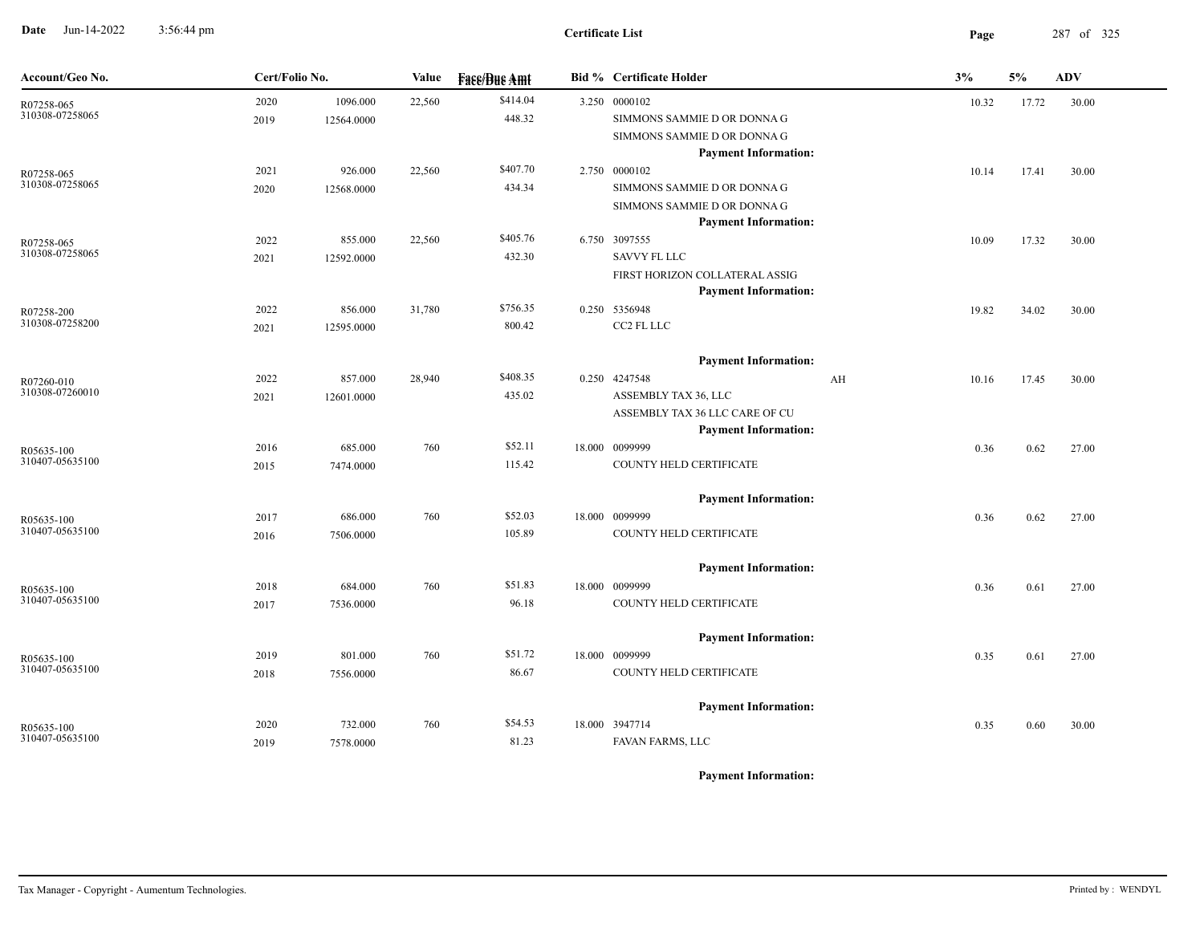**Date** Jun-14-2022 3:56:44 pm **Page** 287 of 325 3:56:44 pm

| Account/Geo No.               | Cert/Folio No. |            | Value  | <b>Fase/Bue Amt</b> | <b>Bid % Certificate Holder</b>                               |    | 3%    | 5%    | <b>ADV</b> |
|-------------------------------|----------------|------------|--------|---------------------|---------------------------------------------------------------|----|-------|-------|------------|
| R07258-065                    | 2020           | 1096.000   | 22,560 | \$414.04            | 3.250 0000102                                                 |    | 10.32 | 17.72 | 30.00      |
| 310308-07258065               | 2019           | 12564.0000 |        | 448.32              | SIMMONS SAMMIE D OR DONNA G                                   |    |       |       |            |
|                               |                |            |        |                     | SIMMONS SAMMIE D OR DONNA G                                   |    |       |       |            |
|                               |                |            |        |                     | <b>Payment Information:</b>                                   |    |       |       |            |
| R07258-065                    | 2021           | 926.000    | 22,560 | \$407.70            | 2.750 0000102                                                 |    | 10.14 | 17.41 | 30.00      |
| 310308-07258065               | 2020           | 12568.0000 |        | 434.34              | SIMMONS SAMMIE D OR DONNA G                                   |    |       |       |            |
|                               |                |            |        |                     | SIMMONS SAMMIE D OR DONNA G                                   |    |       |       |            |
|                               |                |            |        |                     | <b>Payment Information:</b>                                   |    |       |       |            |
| R07258-065<br>310308-07258065 | 2022           | 855.000    | 22,560 | \$405.76            | 6.750 3097555                                                 |    | 10.09 | 17.32 | 30.00      |
|                               | 2021           | 12592.0000 |        | 432.30              | <b>SAVVY FL LLC</b>                                           |    |       |       |            |
|                               |                |            |        |                     | FIRST HORIZON COLLATERAL ASSIG<br><b>Payment Information:</b> |    |       |       |            |
|                               | 2022           | 856.000    | 31,780 | \$756.35            | 0.250 5356948                                                 |    | 19.82 | 34.02 | 30.00      |
| R07258-200<br>310308-07258200 | 2021           | 12595.0000 |        | 800.42              | CC2 FL LLC                                                    |    |       |       |            |
|                               |                |            |        |                     |                                                               |    |       |       |            |
|                               |                |            |        |                     | <b>Payment Information:</b>                                   |    |       |       |            |
| R07260-010                    | 2022           | 857.000    | 28,940 | \$408.35            | 0.250 4247548                                                 | AH | 10.16 | 17.45 | 30.00      |
| 310308-07260010               | 2021           | 12601.0000 |        | 435.02              | ASSEMBLY TAX 36, LLC                                          |    |       |       |            |
|                               |                |            |        |                     | ASSEMBLY TAX 36 LLC CARE OF CU                                |    |       |       |            |
|                               |                |            |        |                     | <b>Payment Information:</b>                                   |    |       |       |            |
| R05635-100<br>310407-05635100 | 2016           | 685.000    | 760    | \$52.11             | 18.000 0099999                                                |    | 0.36  | 0.62  | 27.00      |
|                               | 2015           | 7474.0000  |        | 115.42              | COUNTY HELD CERTIFICATE                                       |    |       |       |            |
|                               |                |            |        |                     | <b>Payment Information:</b>                                   |    |       |       |            |
| R05635-100                    | 2017           | 686.000    | 760    | \$52.03             | 18.000 0099999                                                |    | 0.36  | 0.62  | 27.00      |
| 310407-05635100               | 2016           | 7506.0000  |        | 105.89              | COUNTY HELD CERTIFICATE                                       |    |       |       |            |
|                               |                |            |        |                     | <b>Payment Information:</b>                                   |    |       |       |            |
|                               | 2018           | 684.000    | 760    | \$51.83             | 18.000 0099999                                                |    | 0.36  | 0.61  | 27.00      |
| R05635-100<br>310407-05635100 | 2017           | 7536.0000  |        | 96.18               | COUNTY HELD CERTIFICATE                                       |    |       |       |            |
|                               |                |            |        |                     |                                                               |    |       |       |            |
|                               |                |            |        |                     | <b>Payment Information:</b>                                   |    |       |       |            |
| R05635-100                    | 2019           | 801.000    | 760    | \$51.72             | 18.000 0099999                                                |    | 0.35  | 0.61  | 27.00      |
| 310407-05635100               | 2018           | 7556.0000  |        | 86.67               | COUNTY HELD CERTIFICATE                                       |    |       |       |            |
|                               |                |            |        |                     | <b>Payment Information:</b>                                   |    |       |       |            |
| R05635-100                    | 2020           | 732.000    | 760    | \$54.53             | 18.000 3947714                                                |    | 0.35  | 0.60  | 30.00      |
| 310407-05635100               | 2019           | 7578.0000  |        | 81.23               | FAVAN FARMS, LLC                                              |    |       |       |            |
|                               |                |            |        |                     |                                                               |    |       |       |            |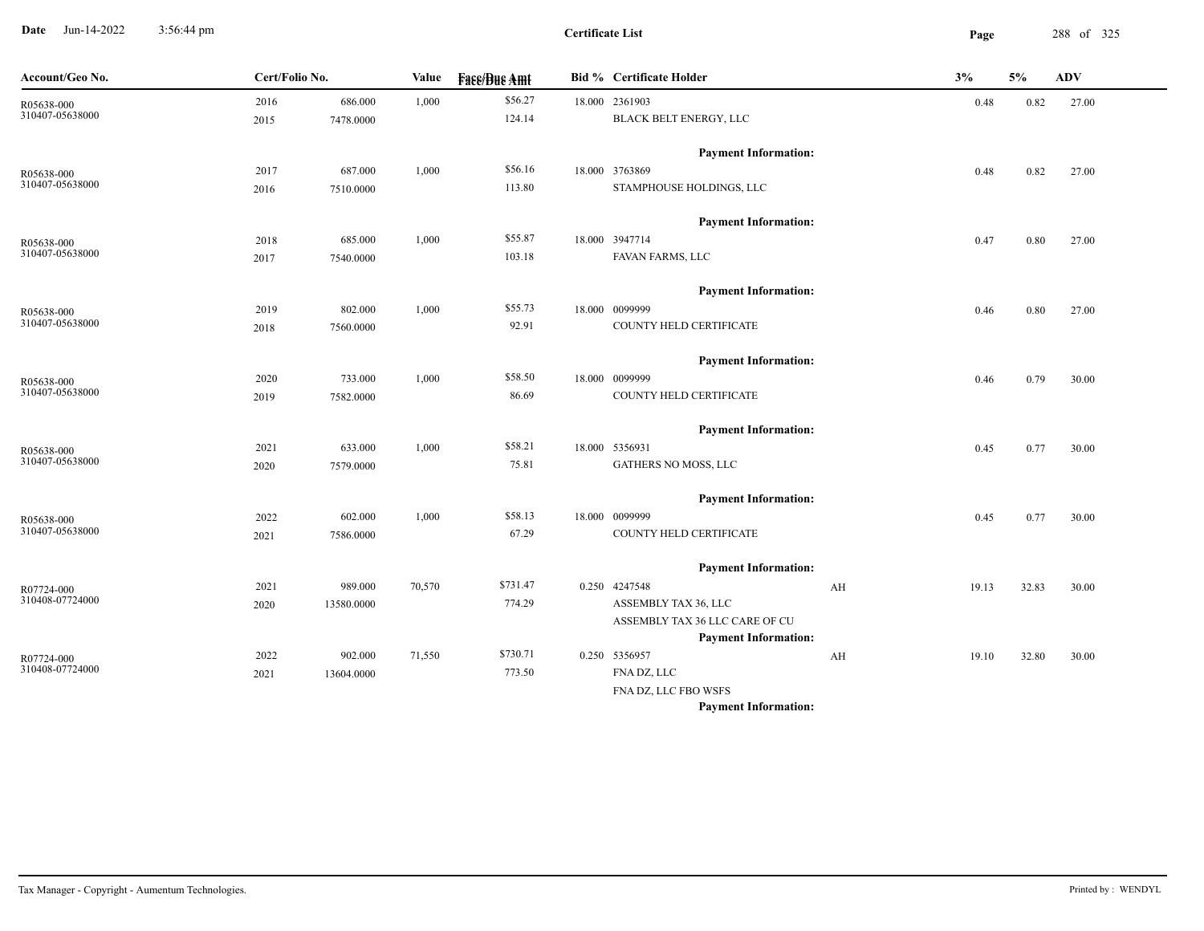**Date** Jun-14-2022 3:56:44 pm **Page** 288 of 325 3:56:44 pm

| Account/Geo No. | Cert/Folio No. |            | Value  | <b>Face/Bue Amt</b> | <b>Bid % Certificate Holder</b> |    | 3%    | 5%    | <b>ADV</b> |  |
|-----------------|----------------|------------|--------|---------------------|---------------------------------|----|-------|-------|------------|--|
| R05638-000      | 2016           | 686.000    | 1,000  | \$56.27             | 18.000 2361903                  |    | 0.48  | 0.82  | 27.00      |  |
| 310407-05638000 | 2015           | 7478.0000  |        | 124.14              | <b>BLACK BELT ENERGY, LLC</b>   |    |       |       |            |  |
|                 |                |            |        |                     | <b>Payment Information:</b>     |    |       |       |            |  |
| R05638-000      | 2017           | 687.000    | 1,000  | \$56.16             | 18.000 3763869                  |    | 0.48  | 0.82  | 27.00      |  |
| 310407-05638000 | 2016           | 7510.0000  |        | 113.80              | STAMPHOUSE HOLDINGS, LLC        |    |       |       |            |  |
|                 |                |            |        |                     | <b>Payment Information:</b>     |    |       |       |            |  |
| R05638-000      | 2018           | 685.000    | 1,000  | \$55.87             | 18.000 3947714                  |    | 0.47  | 0.80  | 27.00      |  |
| 310407-05638000 | 2017           | 7540.0000  |        | 103.18              | FAVAN FARMS, LLC                |    |       |       |            |  |
|                 |                |            |        |                     | <b>Payment Information:</b>     |    |       |       |            |  |
| R05638-000      | 2019           | 802.000    | 1,000  | \$55.73             | 18.000 0099999                  |    | 0.46  | 0.80  | 27.00      |  |
| 310407-05638000 | 2018           | 7560.0000  |        | 92.91               | COUNTY HELD CERTIFICATE         |    |       |       |            |  |
|                 |                |            |        |                     | <b>Payment Information:</b>     |    |       |       |            |  |
| R05638-000      | 2020           | 733.000    | 1,000  | \$58.50             | 18.000 0099999                  |    | 0.46  | 0.79  | 30.00      |  |
| 310407-05638000 | 2019           | 7582.0000  |        | 86.69               | COUNTY HELD CERTIFICATE         |    |       |       |            |  |
|                 |                |            |        |                     | <b>Payment Information:</b>     |    |       |       |            |  |
| R05638-000      | 2021           | 633.000    | 1,000  | \$58.21             | 18.000 5356931                  |    | 0.45  | 0.77  | 30.00      |  |
| 310407-05638000 | 2020           | 7579.0000  |        | 75.81               | GATHERS NO MOSS, LLC            |    |       |       |            |  |
|                 |                |            |        |                     | <b>Payment Information:</b>     |    |       |       |            |  |
| R05638-000      | 2022           | 602.000    | 1,000  | \$58.13             | 18.000 0099999                  |    | 0.45  | 0.77  | 30.00      |  |
| 310407-05638000 | 2021           | 7586.0000  |        | 67.29               | COUNTY HELD CERTIFICATE         |    |       |       |            |  |
|                 |                |            |        |                     | <b>Payment Information:</b>     |    |       |       |            |  |
| R07724-000      | 2021           | 989.000    | 70,570 | \$731.47            | 0.250 4247548                   | AH | 19.13 | 32.83 | 30.00      |  |
| 310408-07724000 | 2020           | 13580.0000 |        | 774.29              | ASSEMBLY TAX 36, LLC            |    |       |       |            |  |
|                 |                |            |        |                     | ASSEMBLY TAX 36 LLC CARE OF CU  |    |       |       |            |  |
|                 |                |            |        |                     | <b>Payment Information:</b>     |    |       |       |            |  |
| R07724-000      | 2022           | 902.000    | 71,550 | \$730.71            | 0.250 5356957                   | AH | 19.10 | 32.80 | 30.00      |  |
| 310408-07724000 | 2021           | 13604.0000 |        | 773.50              | FNA DZ, LLC                     |    |       |       |            |  |
|                 |                |            |        |                     | FNA DZ, LLC FBO WSFS            |    |       |       |            |  |
|                 |                |            |        |                     | <b>Payment Information:</b>     |    |       |       |            |  |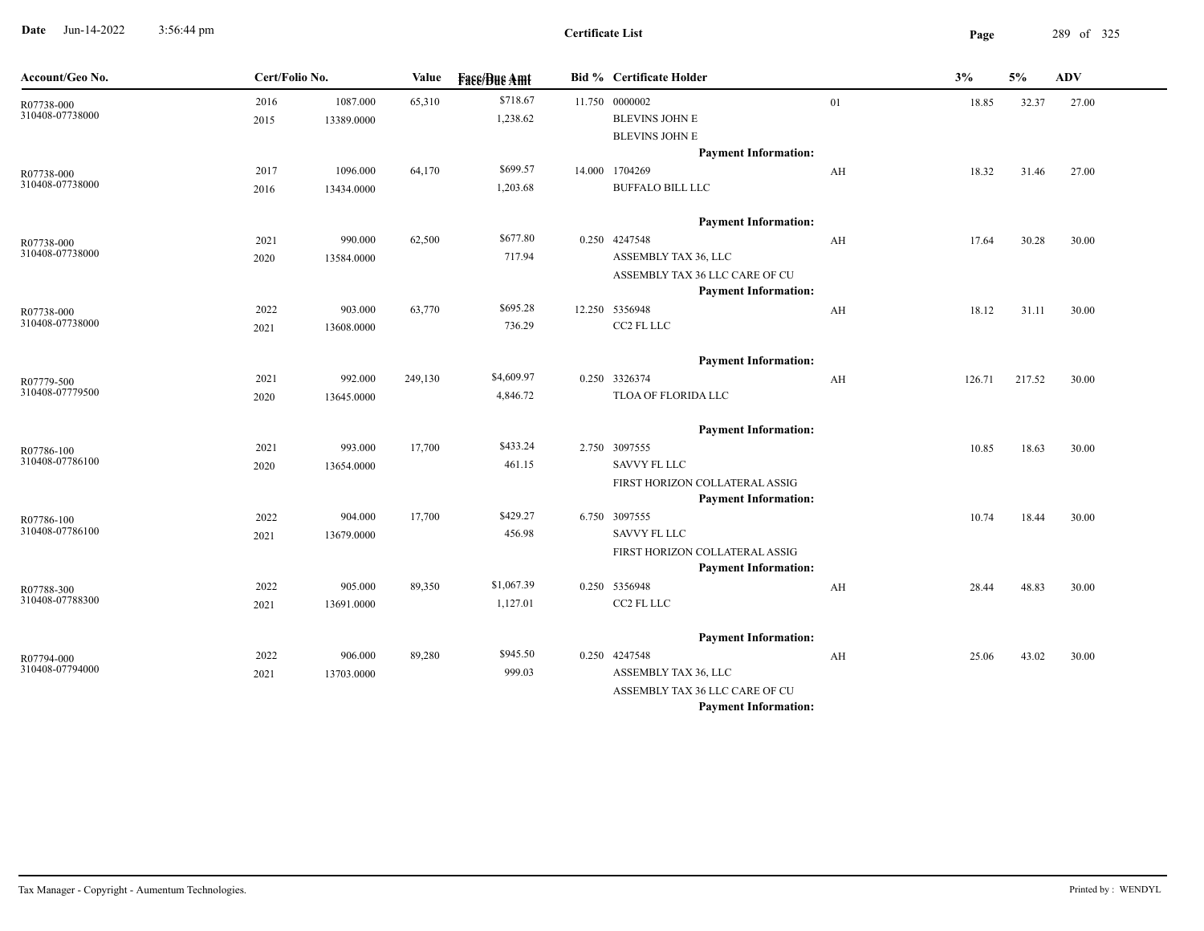**Date** Jun-14-2022 3:56:44 pm **Page** 289 of 325 3:56:44 pm

| Account/Geo No.               | Cert/Folio No. |                        | Value   | <b>Face/Bue Amt</b>    | <b>Bid % Certificate Holder</b>                                                                                                       |    | 3%     | 5%     | <b>ADV</b> |
|-------------------------------|----------------|------------------------|---------|------------------------|---------------------------------------------------------------------------------------------------------------------------------------|----|--------|--------|------------|
| R07738-000<br>310408-07738000 | 2016<br>2015   | 1087.000<br>13389.0000 | 65,310  | \$718.67<br>1,238.62   | 11.750 0000002<br><b>BLEVINS JOHN E</b><br><b>BLEVINS JOHN E</b><br><b>Payment Information:</b>                                       | 01 | 18.85  | 32.37  | 27.00      |
| R07738-000<br>310408-07738000 | 2017<br>2016   | 1096.000<br>13434.0000 | 64,170  | \$699.57<br>1,203.68   | 14.000 1704269<br><b>BUFFALO BILL LLC</b>                                                                                             | AH | 18.32  | 31.46  | 27.00      |
| R07738-000<br>310408-07738000 | 2021<br>2020   | 990.000<br>13584.0000  | 62,500  | \$677.80<br>717.94     | <b>Payment Information:</b><br>0.250 4247548<br>ASSEMBLY TAX 36, LLC<br>ASSEMBLY TAX 36 LLC CARE OF CU                                | AH | 17.64  | 30.28  | 30.00      |
| R07738-000<br>310408-07738000 | 2022<br>2021   | 903.000<br>13608.0000  | 63,770  | \$695.28<br>736.29     | <b>Payment Information:</b><br>12.250 5356948<br>CC2 FL LLC                                                                           | AH | 18.12  | 31.11  | 30.00      |
| R07779-500<br>310408-07779500 | 2021<br>2020   | 992.000<br>13645.0000  | 249,130 | \$4,609.97<br>4,846.72 | <b>Payment Information:</b><br>0.250 3326374<br>TLOA OF FLORIDA LLC                                                                   | AH | 126.71 | 217.52 | 30.00      |
| R07786-100<br>310408-07786100 | 2021<br>2020   | 993.000<br>13654.0000  | 17,700  | \$433.24<br>461.15     | <b>Payment Information:</b><br>2.750 3097555<br>SAVVY FL LLC<br>FIRST HORIZON COLLATERAL ASSIG                                        |    | 10.85  | 18.63  | 30.00      |
| R07786-100<br>310408-07786100 | 2022<br>2021   | 904.000<br>13679.0000  | 17,700  | \$429.27<br>456.98     | <b>Payment Information:</b><br>6.750 3097555<br><b>SAVVY FL LLC</b><br>FIRST HORIZON COLLATERAL ASSIG                                 |    | 10.74  | 18.44  | 30.00      |
| R07788-300<br>310408-07788300 | 2022<br>2021   | 905.000<br>13691.0000  | 89,350  | \$1,067.39<br>1,127.01 | <b>Payment Information:</b><br>0.250 5356948<br>CC2 FL LLC                                                                            | AH | 28.44  | 48.83  | 30.00      |
| R07794-000<br>310408-07794000 | 2022<br>2021   | 906.000<br>13703.0000  | 89,280  | \$945.50<br>999.03     | <b>Payment Information:</b><br>0.250 4247548<br>ASSEMBLY TAX 36, LLC<br>ASSEMBLY TAX 36 LLC CARE OF CU<br><b>Payment Information:</b> | AH | 25.06  | 43.02  | 30.00      |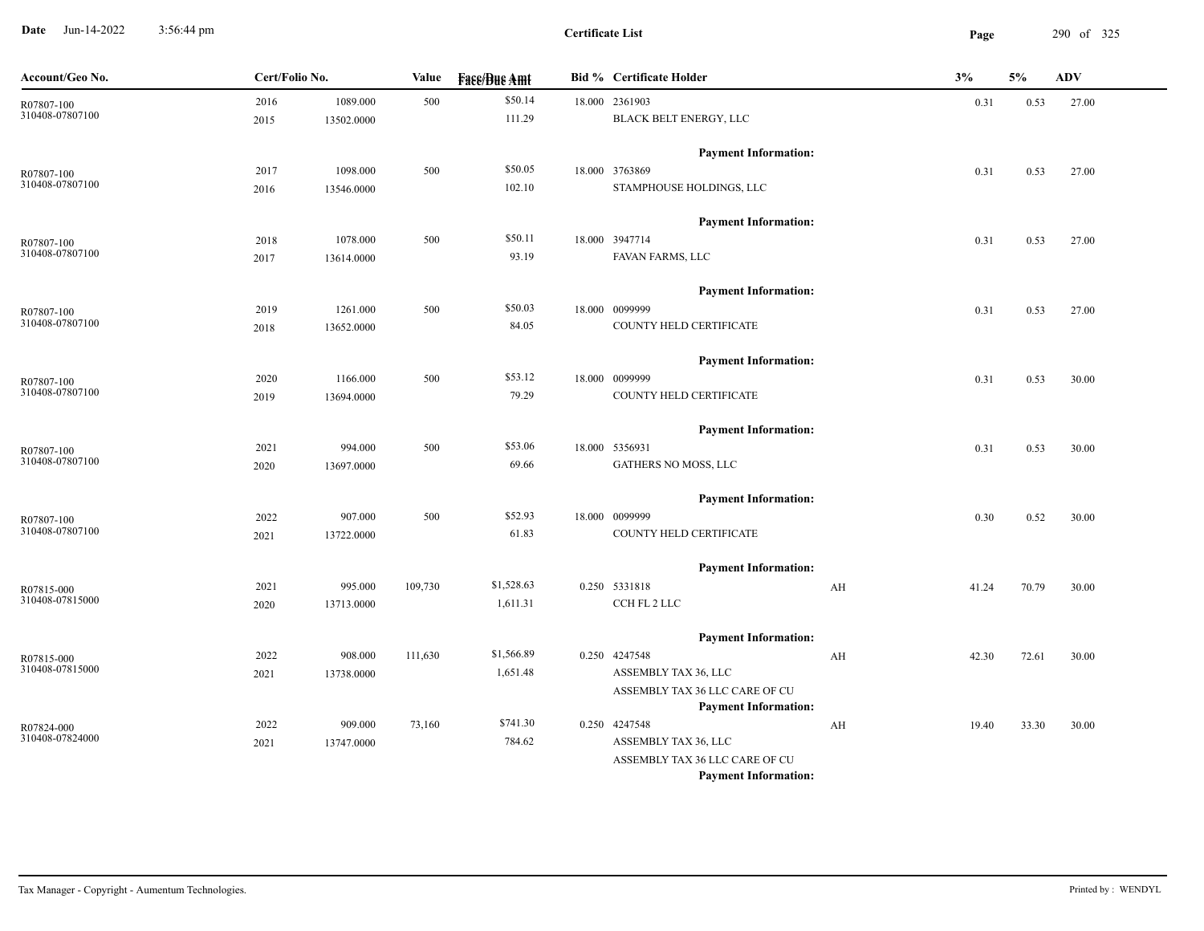**Date** Jun-14-2022 3:56:44 pm **Page** 290 of 325 3:56:44 pm

| Account/Geo No.               | Cert/Folio No. |            | Value   | <b>Face/Bue Amt</b> | <b>Bid % Certificate Holder</b>              |    | 3%    | 5%    | <b>ADV</b> |
|-------------------------------|----------------|------------|---------|---------------------|----------------------------------------------|----|-------|-------|------------|
| R07807-100                    | 2016           | 1089.000   | 500     | \$50.14             | 18.000 2361903                               |    | 0.31  | 0.53  | 27.00      |
| 310408-07807100               | 2015           | 13502.0000 |         | 111.29              | BLACK BELT ENERGY, LLC                       |    |       |       |            |
|                               |                |            |         |                     | <b>Payment Information:</b>                  |    |       |       |            |
| R07807-100                    | 2017           | 1098.000   | 500     | \$50.05             | 18.000 3763869                               |    | 0.31  | 0.53  | 27.00      |
| 310408-07807100               | 2016           | 13546.0000 |         | 102.10              | STAMPHOUSE HOLDINGS, LLC                     |    |       |       |            |
|                               |                |            |         |                     |                                              |    |       |       |            |
|                               |                |            |         |                     | <b>Payment Information:</b>                  |    |       |       |            |
| R07807-100                    | 2018           | 1078.000   | 500     | \$50.11             | 18.000 3947714                               |    | 0.31  | 0.53  | 27.00      |
| 310408-07807100               | 2017           | 13614.0000 |         | 93.19               | FAVAN FARMS, LLC                             |    |       |       |            |
|                               |                |            |         |                     | <b>Payment Information:</b>                  |    |       |       |            |
| R07807-100                    | 2019           | 1261.000   | 500     | \$50.03             | 18.000 0099999                               |    | 0.31  | 0.53  | 27.00      |
| 310408-07807100               | 2018           | 13652.0000 |         | 84.05               | COUNTY HELD CERTIFICATE                      |    |       |       |            |
|                               |                |            |         |                     | <b>Payment Information:</b>                  |    |       |       |            |
|                               | 2020           | 1166.000   | 500     | \$53.12             | 18.000 0099999                               |    | 0.31  | 0.53  | 30.00      |
| R07807-100<br>310408-07807100 | 2019           | 13694.0000 |         | 79.29               | COUNTY HELD CERTIFICATE                      |    |       |       |            |
|                               |                |            |         |                     |                                              |    |       |       |            |
|                               |                |            |         |                     | <b>Payment Information:</b>                  |    |       |       |            |
| R07807-100                    | 2021           | 994.000    | 500     | \$53.06             | 18.000 5356931                               |    | 0.31  | 0.53  | 30.00      |
| 310408-07807100               | 2020           | 13697.0000 |         | 69.66               | GATHERS NO MOSS, LLC                         |    |       |       |            |
|                               |                |            |         |                     | <b>Payment Information:</b>                  |    |       |       |            |
| R07807-100                    | 2022           | 907.000    | 500     | \$52.93             | 18.000 0099999                               |    | 0.30  | 0.52  | 30.00      |
| 310408-07807100               | 2021           | 13722.0000 |         | 61.83               | COUNTY HELD CERTIFICATE                      |    |       |       |            |
|                               |                |            |         |                     | <b>Payment Information:</b>                  |    |       |       |            |
| R07815-000                    | 2021           | 995.000    | 109,730 | \$1,528.63          | 0.250 5331818                                | AH | 41.24 | 70.79 | 30.00      |
| 310408-07815000               | 2020           | 13713.0000 |         | 1,611.31            | CCH FL 2 LLC                                 |    |       |       |            |
|                               |                |            |         |                     |                                              |    |       |       |            |
|                               |                |            |         |                     | <b>Payment Information:</b>                  |    |       |       |            |
| R07815-000<br>310408-07815000 | 2022           | 908.000    | 111,630 | \$1,566.89          | 0.250 4247548                                | AH | 42.30 | 72.61 | 30.00      |
|                               | 2021           | 13738.0000 |         | 1,651.48            | ASSEMBLY TAX 36, LLC                         |    |       |       |            |
|                               |                |            |         |                     | ASSEMBLY TAX 36 LLC CARE OF CU               |    |       |       |            |
|                               | 2022           | 909.000    | 73,160  | \$741.30            | <b>Payment Information:</b><br>0.250 4247548 | AH | 19.40 | 33.30 | 30.00      |
| R07824-000<br>310408-07824000 | 2021           | 13747.0000 |         | 784.62              | ASSEMBLY TAX 36, LLC                         |    |       |       |            |
|                               |                |            |         |                     | ASSEMBLY TAX 36 LLC CARE OF CU               |    |       |       |            |
|                               |                |            |         |                     | <b>Payment Information:</b>                  |    |       |       |            |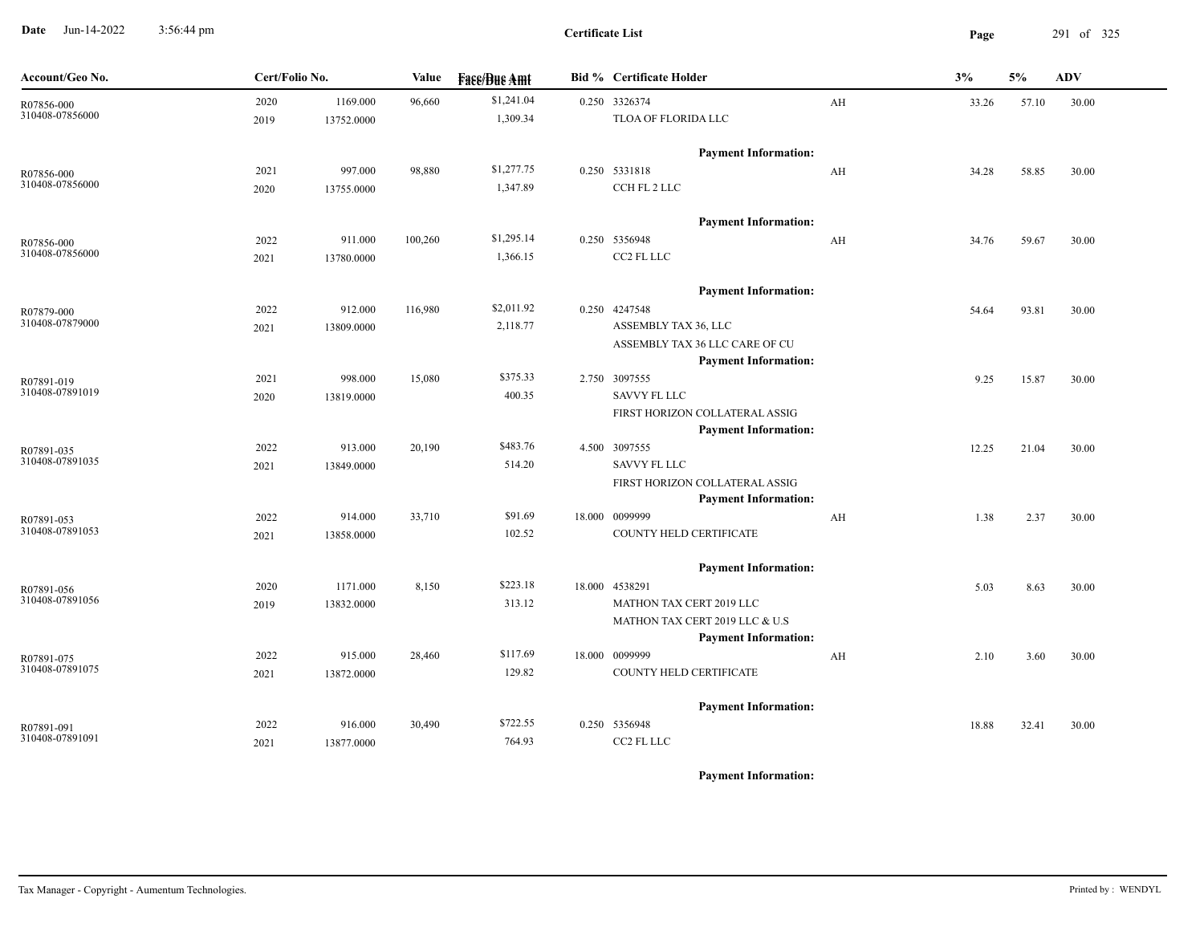**Date** Jun-14-2022 3:56:44 pm **Page** 291 of 325 3:56:44 pm

**Certificate List**

| Account/Geo No.               | Cert/Folio No. |            | Value   | <b>Fase/Bue Amt</b> | <b>Bid % Certificate Holder</b>                               |    | 3%    | 5%    | <b>ADV</b> |
|-------------------------------|----------------|------------|---------|---------------------|---------------------------------------------------------------|----|-------|-------|------------|
| R07856-000<br>310408-07856000 | 2020           | 1169.000   | 96,660  | \$1,241.04          | 0.250 3326374                                                 | AH | 33.26 | 57.10 | 30.00      |
|                               | 2019           | 13752.0000 |         | 1,309.34            | TLOA OF FLORIDA LLC                                           |    |       |       |            |
|                               |                |            |         |                     | <b>Payment Information:</b>                                   |    |       |       |            |
| R07856-000                    | 2021           | 997.000    | 98,880  | \$1,277.75          | 0.250 5331818                                                 | AH | 34.28 | 58.85 | 30.00      |
| 310408-07856000               | 2020           | 13755.0000 |         | 1,347.89            | CCH FL 2 LLC                                                  |    |       |       |            |
|                               |                |            |         |                     | <b>Payment Information:</b>                                   |    |       |       |            |
| R07856-000                    | 2022           | 911.000    | 100,260 | \$1,295.14          | 0.250 5356948                                                 | AH | 34.76 | 59.67 | 30.00      |
| 310408-07856000               | 2021           | 13780.0000 |         | 1,366.15            | CC2 FL LLC                                                    |    |       |       |            |
|                               |                |            |         |                     | <b>Payment Information:</b>                                   |    |       |       |            |
| R07879-000                    | 2022           | 912.000    | 116,980 | \$2,011.92          | 0.250 4247548                                                 |    | 54.64 | 93.81 | 30.00      |
| 310408-07879000               | 2021           | 13809.0000 |         | 2,118.77            | ASSEMBLY TAX 36, LLC                                          |    |       |       |            |
|                               |                |            |         |                     | ASSEMBLY TAX 36 LLC CARE OF CU                                |    |       |       |            |
|                               |                |            |         |                     | <b>Payment Information:</b>                                   |    |       |       |            |
| R07891-019<br>310408-07891019 | 2021           | 998.000    | 15,080  | \$375.33            | 2.750 3097555                                                 |    | 9.25  | 15.87 | 30.00      |
|                               | 2020           | 13819.0000 |         | 400.35              | <b>SAVVY FL LLC</b><br>FIRST HORIZON COLLATERAL ASSIG         |    |       |       |            |
|                               |                |            |         |                     | <b>Payment Information:</b>                                   |    |       |       |            |
| R07891-035                    | 2022           | 913.000    | 20,190  | \$483.76            | 4.500 3097555                                                 |    | 12.25 | 21.04 | 30.00      |
| 310408-07891035               | 2021           | 13849.0000 |         | 514.20              | <b>SAVVY FL LLC</b>                                           |    |       |       |            |
|                               |                |            |         |                     | FIRST HORIZON COLLATERAL ASSIG                                |    |       |       |            |
|                               |                |            |         |                     | <b>Payment Information:</b>                                   |    |       |       |            |
| R07891-053                    | 2022           | 914.000    | 33,710  | \$91.69             | 18.000 0099999                                                | AH | 1.38  | 2.37  | 30.00      |
| 310408-07891053               | 2021           | 13858.0000 |         | 102.52              | COUNTY HELD CERTIFICATE                                       |    |       |       |            |
|                               |                |            |         |                     | <b>Payment Information:</b>                                   |    |       |       |            |
| R07891-056                    | 2020           | 1171.000   | 8,150   | \$223.18            | 18.000 4538291                                                |    | 5.03  | 8.63  | 30.00      |
| 310408-07891056               | 2019           | 13832.0000 |         | 313.12              | MATHON TAX CERT 2019 LLC                                      |    |       |       |            |
|                               |                |            |         |                     | MATHON TAX CERT 2019 LLC & U.S<br><b>Payment Information:</b> |    |       |       |            |
| R07891-075                    | 2022           | 915.000    | 28,460  | \$117.69            | 18.000 0099999                                                | AH | 2.10  | 3.60  | 30.00      |
| 310408-07891075               | 2021           | 13872.0000 |         | 129.82              | COUNTY HELD CERTIFICATE                                       |    |       |       |            |
|                               |                |            |         |                     | <b>Payment Information:</b>                                   |    |       |       |            |
| R07891-091                    | 2022           | 916.000    | 30,490  | \$722.55            | 0.250 5356948                                                 |    | 18.88 | 32.41 | 30.00      |
| 310408-07891091               | 2021           | 13877.0000 |         | 764.93              | CC2 FL LLC                                                    |    |       |       |            |
|                               |                |            |         |                     |                                                               |    |       |       |            |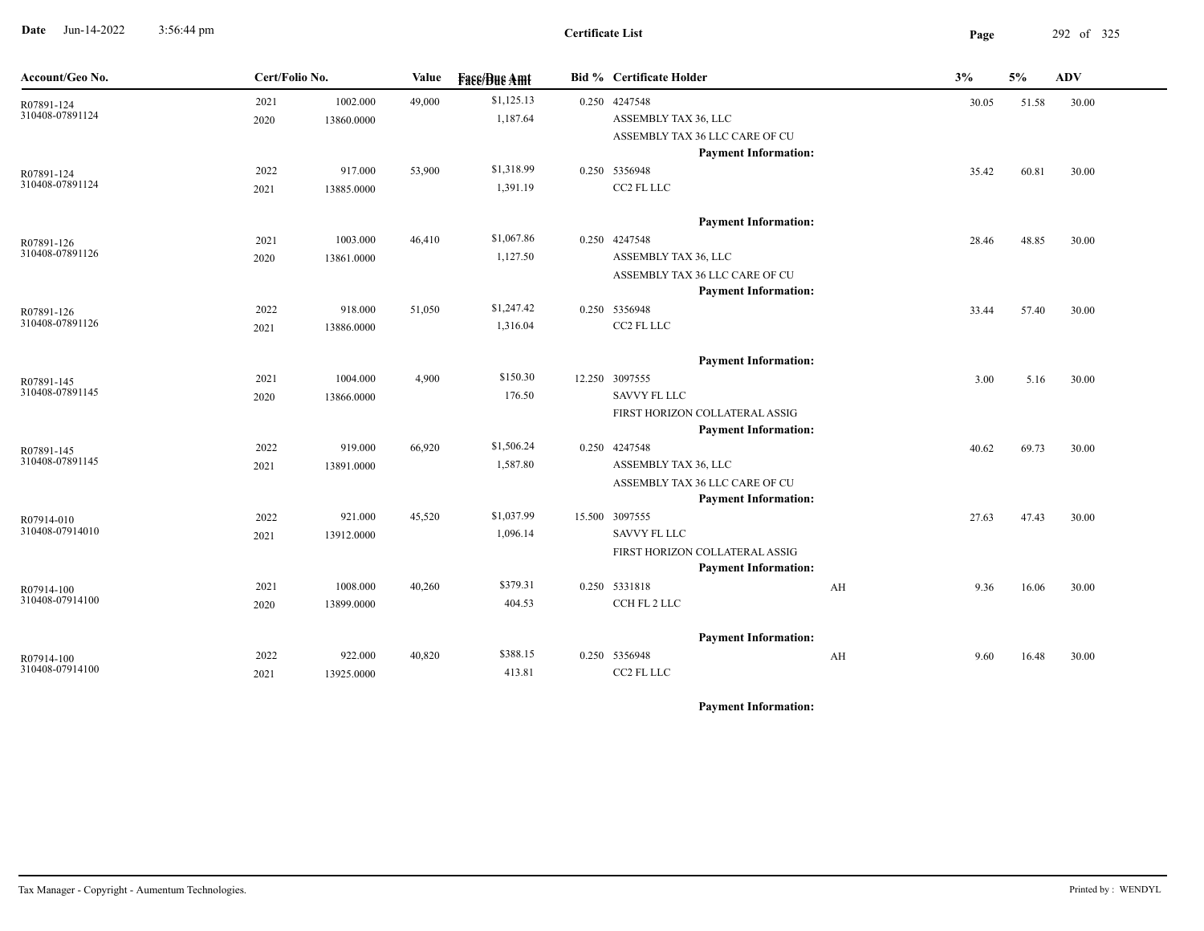**Date** Jun-14-2022 3:56:44 pm **Page** 292 of 325 3:56:44 pm

| Account/Geo No. | Cert/Folio No. |            | Value  | <b>Face/Bue Amt</b> | <b>Bid % Certificate Holder</b>                               |    | 3%    | $5\%$ | ADV   |
|-----------------|----------------|------------|--------|---------------------|---------------------------------------------------------------|----|-------|-------|-------|
| R07891-124      | 2021           | 1002.000   | 49,000 | \$1,125.13          | 0.250 4247548                                                 |    | 30.05 | 51.58 | 30.00 |
| 310408-07891124 | 2020           | 13860.0000 |        | 1,187.64            | ASSEMBLY TAX 36, LLC                                          |    |       |       |       |
|                 |                |            |        |                     | ASSEMBLY TAX 36 LLC CARE OF CU                                |    |       |       |       |
|                 |                |            |        |                     | <b>Payment Information:</b>                                   |    |       |       |       |
| R07891-124      | 2022           | 917.000    | 53,900 | \$1,318.99          | 0.250 5356948                                                 |    | 35.42 | 60.81 | 30.00 |
| 310408-07891124 | 2021           | 13885.0000 |        | 1,391.19            | CC2 FL LLC                                                    |    |       |       |       |
|                 |                |            |        |                     | <b>Payment Information:</b>                                   |    |       |       |       |
| R07891-126      | 2021           | 1003.000   | 46,410 | \$1,067.86          | 0.250 4247548                                                 |    | 28.46 | 48.85 | 30.00 |
| 310408-07891126 | 2020           | 13861.0000 |        | 1,127.50            | ASSEMBLY TAX 36, LLC                                          |    |       |       |       |
|                 |                |            |        |                     | ASSEMBLY TAX 36 LLC CARE OF CU                                |    |       |       |       |
|                 |                |            |        |                     | <b>Payment Information:</b>                                   |    |       |       |       |
| R07891-126      | 2022           | 918.000    | 51,050 | \$1,247.42          | 0.250 5356948                                                 |    | 33.44 | 57.40 | 30.00 |
| 310408-07891126 | 2021           | 13886.0000 |        | 1,316.04            | CC2 FL LLC                                                    |    |       |       |       |
|                 |                |            |        |                     | <b>Payment Information:</b>                                   |    |       |       |       |
| R07891-145      | 2021           | 1004.000   | 4,900  | \$150.30            | 12.250 3097555                                                |    | 3.00  | 5.16  | 30.00 |
| 310408-07891145 | 2020           | 13866.0000 |        | 176.50              | <b>SAVVY FL LLC</b>                                           |    |       |       |       |
|                 |                |            |        |                     | FIRST HORIZON COLLATERAL ASSIG                                |    |       |       |       |
|                 |                |            |        |                     | <b>Payment Information:</b>                                   |    |       |       |       |
| R07891-145      | 2022           | 919.000    | 66,920 | \$1,506.24          | 0.250 4247548                                                 |    | 40.62 | 69.73 | 30.00 |
| 310408-07891145 | 2021           | 13891.0000 |        | 1,587.80            | ASSEMBLY TAX 36, LLC                                          |    |       |       |       |
|                 |                |            |        |                     | ASSEMBLY TAX 36 LLC CARE OF CU<br><b>Payment Information:</b> |    |       |       |       |
| R07914-010      | 2022           | 921.000    | 45,520 | \$1,037.99          | 15.500 3097555                                                |    | 27.63 | 47.43 | 30.00 |
| 310408-07914010 | 2021           | 13912.0000 |        | 1,096.14            | <b>SAVVY FL LLC</b>                                           |    |       |       |       |
|                 |                |            |        |                     | FIRST HORIZON COLLATERAL ASSIG                                |    |       |       |       |
|                 |                |            |        |                     | <b>Payment Information:</b>                                   |    |       |       |       |
| R07914-100      | 2021           | 1008.000   | 40,260 | \$379.31            | 0.250 5331818                                                 | AH | 9.36  | 16.06 | 30.00 |
| 310408-07914100 | 2020           | 13899.0000 |        | 404.53              | CCH FL 2 LLC                                                  |    |       |       |       |
|                 |                |            |        |                     | <b>Payment Information:</b>                                   |    |       |       |       |
| R07914-100      | 2022           | 922.000    | 40,820 | \$388.15            | 0.250 5356948                                                 | AH | 9.60  | 16.48 | 30.00 |
| 310408-07914100 | 2021           | 13925.0000 |        | 413.81              | CC2 FL LLC                                                    |    |       |       |       |
|                 |                |            |        |                     |                                                               |    |       |       |       |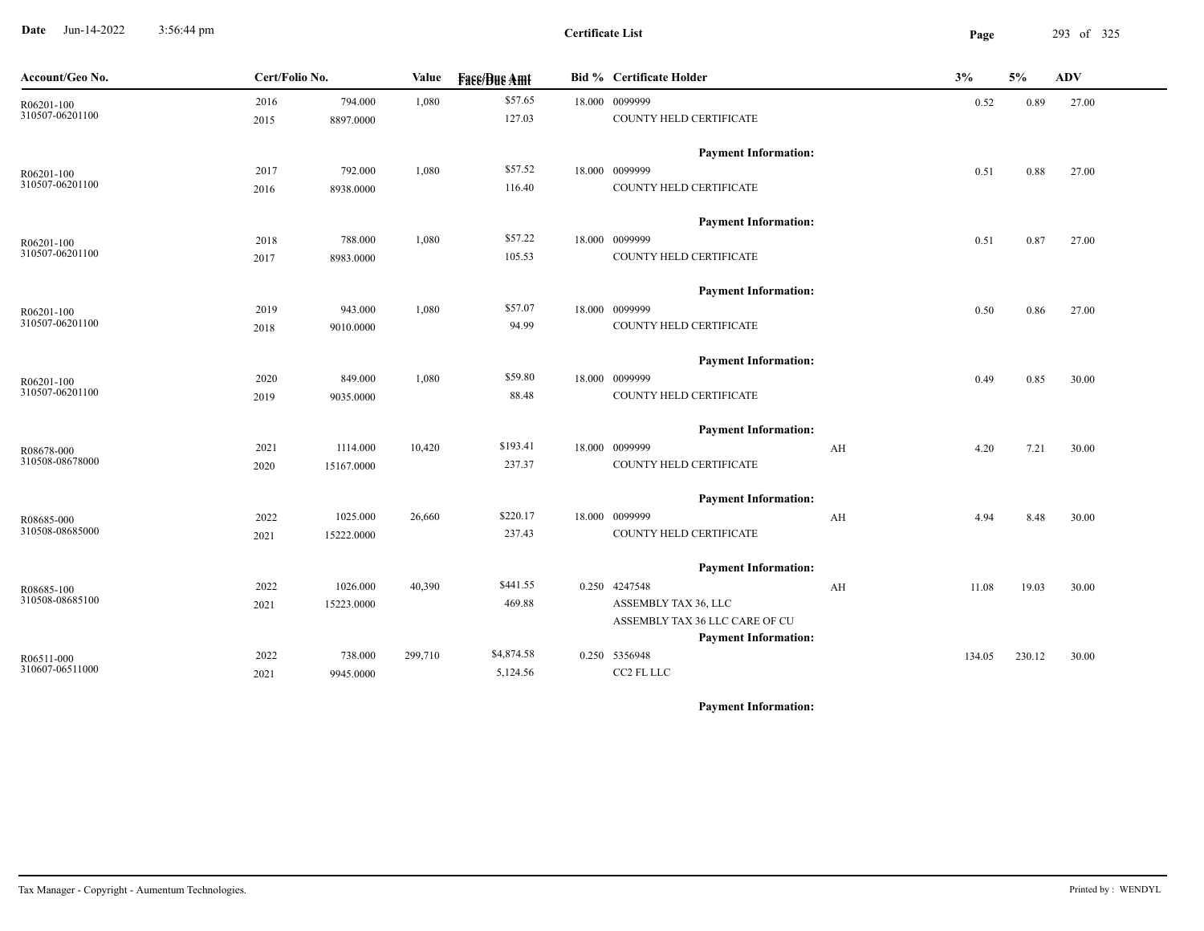**Date** Jun-14-2022 3:56:44 pm **Page** 293 of 325 3:56:44 pm

**Certificate List**

| Cert/Folio No.<br>Account/Geo No.<br>Value<br><b>Face/Bue Amt</b>       | <b>Bid % Certificate Holder</b>                               | 3%<br>5%         | <b>ADV</b> |
|-------------------------------------------------------------------------|---------------------------------------------------------------|------------------|------------|
| \$57.65<br>1,080<br>2016<br>794.000<br>R06201-100                       | 18.000 0099999                                                | 0.89<br>0.52     | 27.00      |
| 310507-06201100<br>127.03<br>2015<br>8897.0000                          | COUNTY HELD CERTIFICATE                                       |                  |            |
|                                                                         | <b>Payment Information:</b>                                   |                  |            |
| \$57.52<br>792.000<br>1,080<br>2017<br>R06201-100<br>310507-06201100    | 18.000 0099999                                                | 0.51<br>0.88     | 27.00      |
| 116.40<br>8938.0000<br>2016                                             | COUNTY HELD CERTIFICATE                                       |                  |            |
|                                                                         | <b>Payment Information:</b>                                   |                  |            |
| \$57.22<br>788.000<br>1,080<br>2018<br>R06201-100                       | 18.000 0099999                                                | 0.87<br>0.51     | 27.00      |
| 310507-06201100<br>105.53<br>2017<br>8983.0000                          | COUNTY HELD CERTIFICATE                                       |                  |            |
|                                                                         | <b>Payment Information:</b>                                   |                  |            |
| \$57.07<br>943.000<br>1,080<br>2019<br>R06201-100<br>310507-06201100    | 18.000 0099999                                                | 0.50<br>0.86     | 27.00      |
| 94.99<br>9010.0000<br>2018                                              | COUNTY HELD CERTIFICATE                                       |                  |            |
|                                                                         | <b>Payment Information:</b>                                   |                  |            |
| \$59.80<br>1,080<br>2020<br>849.000<br>R06201-100                       | 18.000 0099999                                                | 0.49<br>0.85     | 30.00      |
| 310507-06201100<br>88.48<br>2019<br>9035.0000                           | COUNTY HELD CERTIFICATE                                       |                  |            |
|                                                                         | <b>Payment Information:</b>                                   |                  |            |
| \$193.41<br>1114.000<br>10,420<br>2021<br>R08678-000<br>310508-08678000 | 18.000 0099999<br>AH                                          | 4.20<br>7.21     | 30.00      |
| 237.37<br>2020<br>15167.0000                                            | COUNTY HELD CERTIFICATE                                       |                  |            |
|                                                                         | <b>Payment Information:</b>                                   |                  |            |
| \$220.17<br>2022<br>1025.000<br>26,660<br>R08685-000                    | 18.000 0099999<br>AH                                          | 8.48<br>4.94     | 30.00      |
| 310508-08685000<br>237.43<br>2021<br>15222.0000                         | COUNTY HELD CERTIFICATE                                       |                  |            |
|                                                                         | <b>Payment Information:</b>                                   |                  |            |
| \$441.55<br>2022<br>1026.000<br>40,390<br>R08685-100                    | 0.250 4247548<br>AH                                           | 19.03<br>11.08   | 30.00      |
| 310508-08685100<br>469.88<br>2021<br>15223.0000                         | ASSEMBLY TAX 36, LLC                                          |                  |            |
|                                                                         | ASSEMBLY TAX 36 LLC CARE OF CU<br><b>Payment Information:</b> |                  |            |
| \$4,874.58<br>2022<br>299,710<br>738.000<br>R06511-000                  | 0.250 5356948                                                 | 230.12<br>134.05 | 30.00      |
| 310607-06511000<br>5,124.56<br>2021<br>9945.0000                        | CC2 FL LLC                                                    |                  |            |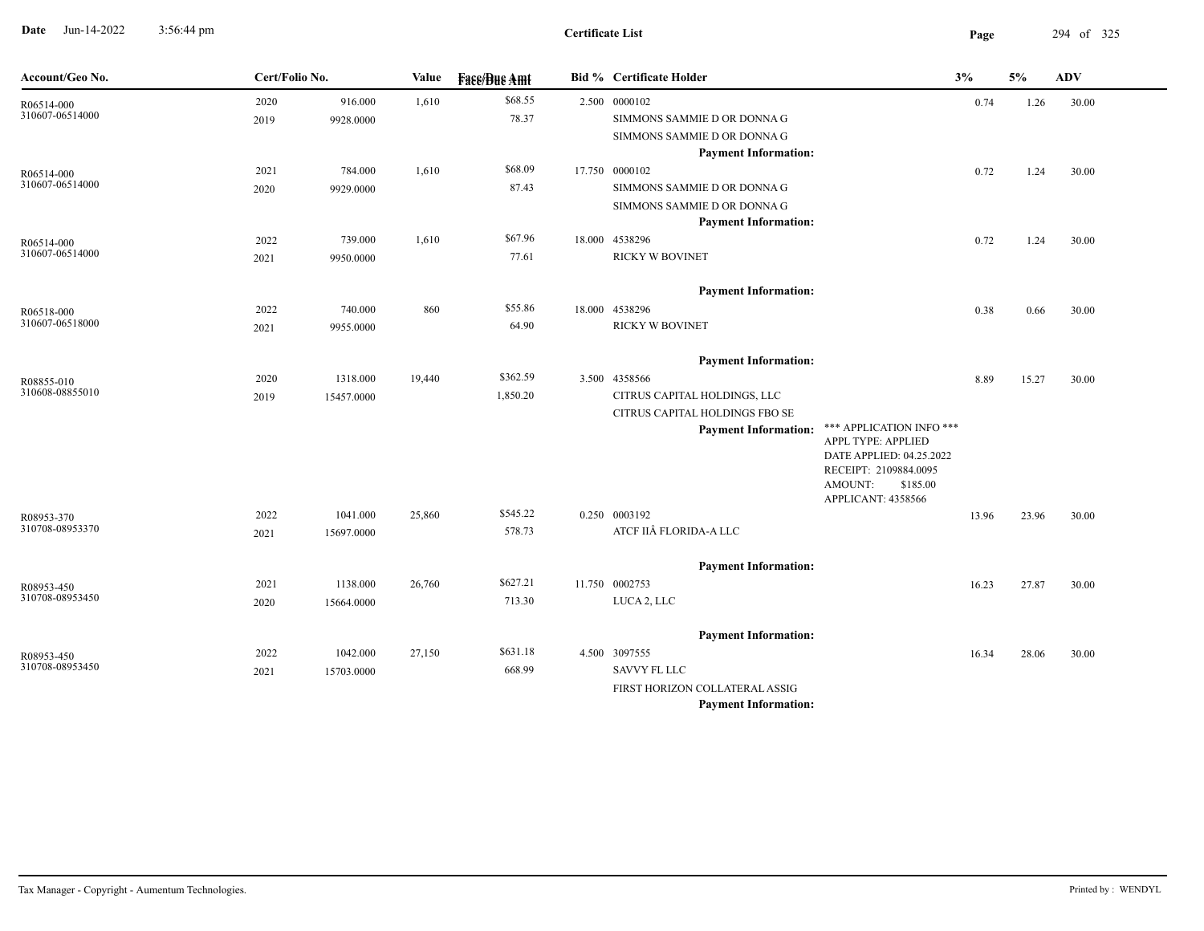**Date** Jun-14-2022 3:56:44 pm **Page** 294 of 325 3:56:44 pm

| Account/Geo No.               | Cert/Folio No. |                      | Value  | <b>Face/Bue Amt</b> | <b>Bid % Certificate Holder</b>                            |                                                   | 3%    | 5%    | <b>ADV</b> |
|-------------------------------|----------------|----------------------|--------|---------------------|------------------------------------------------------------|---------------------------------------------------|-------|-------|------------|
| R06514-000                    | 2020           | 916.000              | 1,610  | \$68.55             | 2.500 0000102                                              |                                                   | 0.74  | 1.26  | 30.00      |
| 310607-06514000               | 2019           | 9928.0000            |        | 78.37               | SIMMONS SAMMIE D OR DONNA G                                |                                                   |       |       |            |
|                               |                |                      |        |                     | SIMMONS SAMMIE D OR DONNA G                                |                                                   |       |       |            |
|                               |                |                      |        |                     | <b>Payment Information:</b>                                |                                                   |       |       |            |
| R06514-000<br>310607-06514000 | 2021           | 784.000              | 1,610  | \$68.09             | 17.750 0000102                                             |                                                   | 0.72  | 1.24  | 30.00      |
|                               | 2020           | 9929.0000            |        | 87.43               | SIMMONS SAMMIE D OR DONNA G                                |                                                   |       |       |            |
|                               |                |                      |        |                     | SIMMONS SAMMIE D OR DONNA G<br><b>Payment Information:</b> |                                                   |       |       |            |
|                               | 2022           |                      |        | \$67.96             | 18.000 4538296                                             |                                                   |       |       |            |
| R06514-000<br>310607-06514000 | 2021           | 739.000<br>9950.0000 | 1,610  | 77.61               | <b>RICKY W BOVINET</b>                                     |                                                   | 0.72  | 1.24  | 30.00      |
|                               |                |                      |        |                     |                                                            |                                                   |       |       |            |
|                               |                |                      |        |                     | <b>Payment Information:</b>                                |                                                   |       |       |            |
| R06518-000                    | 2022           | 740.000              | 860    | \$55.86             | 18.000 4538296                                             |                                                   | 0.38  | 0.66  | 30.00      |
| 310607-06518000               | 2021           | 9955.0000            |        | 64.90               | <b>RICKY W BOVINET</b>                                     |                                                   |       |       |            |
|                               |                |                      |        |                     | <b>Payment Information:</b>                                |                                                   |       |       |            |
|                               | 2020           | 1318.000             | 19,440 | \$362.59            | 3.500 4358566                                              |                                                   | 8.89  | 15.27 | 30.00      |
| R08855-010<br>310608-08855010 | 2019           | 15457.0000           |        | 1,850.20            | CITRUS CAPITAL HOLDINGS, LLC                               |                                                   |       |       |            |
|                               |                |                      |        |                     | CITRUS CAPITAL HOLDINGS FBO SE                             |                                                   |       |       |            |
|                               |                |                      |        |                     | <b>Payment Information:</b>                                | *** APPLICATION INFO ***                          |       |       |            |
|                               |                |                      |        |                     |                                                            | APPL TYPE: APPLIED                                |       |       |            |
|                               |                |                      |        |                     |                                                            | DATE APPLIED: 04.25.2022<br>RECEIPT: 2109884.0095 |       |       |            |
|                               |                |                      |        |                     |                                                            | AMOUNT:<br>\$185.00                               |       |       |            |
|                               |                |                      |        |                     |                                                            | APPLICANT: 4358566                                |       |       |            |
| R08953-370<br>310708-08953370 | 2022           | 1041.000             | 25,860 | \$545.22            | 0.250 0003192                                              |                                                   | 13.96 | 23.96 | 30.00      |
|                               | 2021           | 15697.0000           |        | 578.73              | ATCF IIÂ FLORIDA-A LLC                                     |                                                   |       |       |            |
|                               |                |                      |        |                     | <b>Payment Information:</b>                                |                                                   |       |       |            |
| R08953-450                    | 2021           | 1138.000             | 26,760 | \$627.21            | 11.750 0002753                                             |                                                   | 16.23 | 27.87 | 30.00      |
| 310708-08953450               | 2020           | 15664.0000           |        | 713.30              | LUCA 2, LLC                                                |                                                   |       |       |            |
|                               |                |                      |        |                     |                                                            |                                                   |       |       |            |
|                               |                |                      |        |                     | <b>Payment Information:</b>                                |                                                   |       |       |            |
| R08953-450                    | 2022           | 1042.000             | 27,150 | \$631.18            | 4.500 3097555                                              |                                                   | 16.34 | 28.06 | 30.00      |
| 310708-08953450               | 2021           | 15703.0000           |        | 668.99              | <b>SAVVY FL LLC</b>                                        |                                                   |       |       |            |
|                               |                |                      |        |                     | FIRST HORIZON COLLATERAL ASSIG                             |                                                   |       |       |            |
|                               |                |                      |        |                     | <b>Payment Information:</b>                                |                                                   |       |       |            |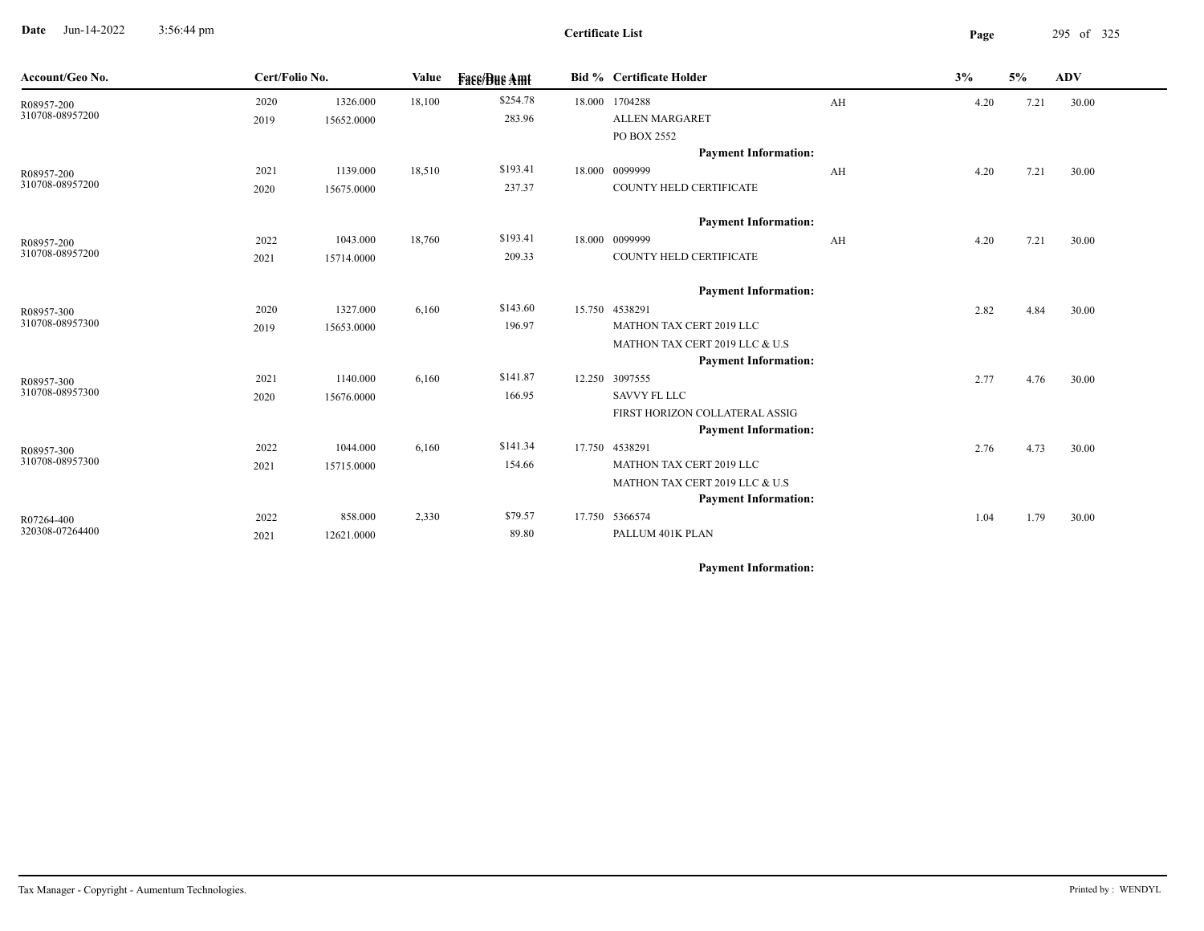**Date** Jun-14-2022 3:56:44 pm **Page** 295 of 325 3:56:44 pm

| Account/Geo No. | Cert/Folio No. |            | Value  | <b>Fase/Bue Amt</b> | <b>Bid % Certificate Holder</b> |    | 3%   | 5%   | <b>ADV</b> |  |
|-----------------|----------------|------------|--------|---------------------|---------------------------------|----|------|------|------------|--|
| R08957-200      | 2020           | 1326.000   | 18,100 | \$254.78            | 18.000 1704288                  | AH | 4.20 | 7.21 | 30.00      |  |
| 310708-08957200 | 2019           | 15652.0000 |        | 283.96              | <b>ALLEN MARGARET</b>           |    |      |      |            |  |
|                 |                |            |        |                     | PO BOX 2552                     |    |      |      |            |  |
|                 |                |            |        |                     | <b>Payment Information:</b>     |    |      |      |            |  |
| R08957-200      | 2021           | 1139.000   | 18,510 | \$193.41            | 18.000 0099999                  | AH | 4.20 | 7.21 | 30.00      |  |
| 310708-08957200 | 2020           | 15675.0000 |        | 237.37              | COUNTY HELD CERTIFICATE         |    |      |      |            |  |
|                 |                |            |        |                     | <b>Payment Information:</b>     |    |      |      |            |  |
| R08957-200      | 2022           | 1043.000   | 18,760 | \$193.41            | 18.000 0099999                  | AH | 4.20 | 7.21 | 30.00      |  |
| 310708-08957200 | 2021           | 15714.0000 |        | 209.33              | COUNTY HELD CERTIFICATE         |    |      |      |            |  |
|                 |                |            |        |                     | <b>Payment Information:</b>     |    |      |      |            |  |
| R08957-300      | 2020           | 1327.000   | 6,160  | \$143.60            | 15.750 4538291                  |    | 2.82 | 4.84 | 30.00      |  |
| 310708-08957300 | 2019           | 15653.0000 |        | 196.97              | MATHON TAX CERT 2019 LLC        |    |      |      |            |  |
|                 |                |            |        |                     | MATHON TAX CERT 2019 LLC & U.S  |    |      |      |            |  |
|                 |                |            |        |                     | <b>Payment Information:</b>     |    |      |      |            |  |
| R08957-300      | 2021           | 1140.000   | 6,160  | \$141.87            | 12.250 3097555                  |    | 2.77 | 4.76 | 30.00      |  |
| 310708-08957300 | 2020           | 15676.0000 |        | 166.95              | <b>SAVVY FL LLC</b>             |    |      |      |            |  |
|                 |                |            |        |                     | FIRST HORIZON COLLATERAL ASSIG  |    |      |      |            |  |
|                 |                |            |        |                     | <b>Payment Information:</b>     |    |      |      |            |  |
| R08957-300      | 2022           | 1044.000   | 6,160  | \$141.34            | 17.750 4538291                  |    | 2.76 | 4.73 | 30.00      |  |
| 310708-08957300 | 2021           | 15715.0000 |        | 154.66              | MATHON TAX CERT 2019 LLC        |    |      |      |            |  |
|                 |                |            |        |                     | MATHON TAX CERT 2019 LLC & U.S  |    |      |      |            |  |
|                 |                |            |        |                     | <b>Payment Information:</b>     |    |      |      |            |  |
| R07264-400      | 2022           | 858.000    | 2,330  | \$79.57             | 17.750 5366574                  |    | 1.04 | 1.79 | 30.00      |  |
| 320308-07264400 | 2021           | 12621.0000 |        | 89.80               | PALLUM 401K PLAN                |    |      |      |            |  |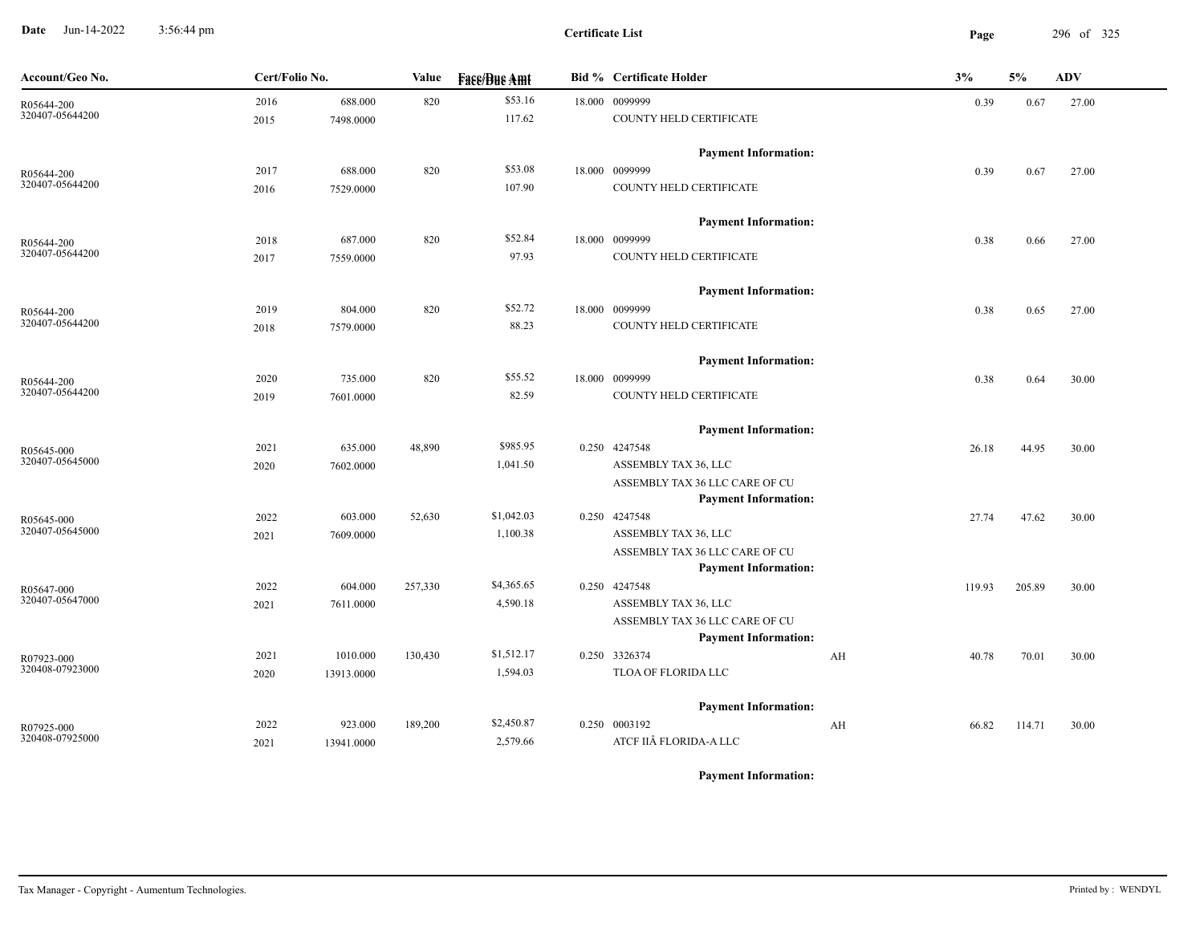**Date** Jun-14-2022 3:56:44 pm **Page** 296 of 325 3:56:44 pm

**Certificate List**

| Account/Geo No.               | Cert/Folio No. |            | Value   | <b>Face/Bue Amt</b> | <b>Bid % Certificate Holder</b>       | 3%          | 5%     | ADV   |
|-------------------------------|----------------|------------|---------|---------------------|---------------------------------------|-------------|--------|-------|
| R05644-200                    | 2016           | 688.000    | 820     | \$53.16             | 18.000 0099999                        | 0.39        | 0.67   | 27.00 |
| 320407-05644200               | 2015           | 7498.0000  |         | 117.62              | COUNTY HELD CERTIFICATE               |             |        |       |
|                               |                |            |         |                     | <b>Payment Information:</b>           |             |        |       |
| R05644-200                    | 2017           | 688.000    | 820     | \$53.08             | 18.000 0099999                        | 0.39        | 0.67   | 27.00 |
| 320407-05644200               | 2016           | 7529.0000  |         | 107.90              | COUNTY HELD CERTIFICATE               |             |        |       |
|                               |                |            |         |                     | <b>Payment Information:</b>           |             |        |       |
| R05644-200                    | 2018           | 687.000    | 820     | \$52.84             | 18.000 0099999                        | 0.38        | 0.66   | 27.00 |
| 320407-05644200               | 2017           | 7559.0000  |         | 97.93               | COUNTY HELD CERTIFICATE               |             |        |       |
|                               |                |            |         |                     | <b>Payment Information:</b>           |             |        |       |
| R05644-200                    | 2019           | 804.000    | 820     | \$52.72             | 18.000 0099999                        | 0.38        | 0.65   | 27.00 |
| 320407-05644200               | 2018           | 7579.0000  |         | 88.23               | COUNTY HELD CERTIFICATE               |             |        |       |
|                               |                |            |         |                     | <b>Payment Information:</b>           |             |        |       |
| R05644-200                    | 2020           | 735.000    | 820     | \$55.52             | 18.000 0099999                        | 0.38        | 0.64   | 30.00 |
| 320407-05644200               | 2019           | 7601.0000  |         | 82.59               | COUNTY HELD CERTIFICATE               |             |        |       |
|                               |                |            |         |                     | <b>Payment Information:</b>           |             |        |       |
| R05645-000                    | 2021           | 635.000    | 48,890  | \$985.95            | 0.250 4247548                         | 26.18       | 44.95  | 30.00 |
| 320407-05645000               | 2020           | 7602.0000  |         | 1,041.50            | ASSEMBLY TAX 36, LLC                  |             |        |       |
|                               |                |            |         |                     | ASSEMBLY TAX 36 LLC CARE OF CU        |             |        |       |
|                               |                |            |         | \$1,042.03          | <b>Payment Information:</b>           |             |        |       |
| R05645-000<br>320407-05645000 | 2022           | 603.000    | 52,630  | 1,100.38            | 0.250 4247548<br>ASSEMBLY TAX 36, LLC | 27.74       | 47.62  | 30.00 |
|                               | 2021           | 7609.0000  |         |                     | ASSEMBLY TAX 36 LLC CARE OF CU        |             |        |       |
|                               |                |            |         |                     | <b>Payment Information:</b>           |             |        |       |
| R05647-000                    | 2022           | 604.000    | 257,330 | \$4,365.65          | 0.250 4247548                         | 119.93      | 205.89 | 30.00 |
| 320407-05647000               | 2021           | 7611.0000  |         | 4,590.18            | ASSEMBLY TAX 36, LLC                  |             |        |       |
|                               |                |            |         |                     | ASSEMBLY TAX 36 LLC CARE OF CU        |             |        |       |
|                               |                |            |         |                     | <b>Payment Information:</b>           |             |        |       |
| R07923-000                    | 2021           | 1010.000   | 130,430 | \$1,512.17          | 0.250 3326374                         | AH<br>40.78 | 70.01  | 30.00 |
| 320408-07923000               | 2020           | 13913.0000 |         | 1,594.03            | TLOA OF FLORIDA LLC                   |             |        |       |
|                               |                |            |         |                     | <b>Payment Information:</b>           |             |        |       |
| R07925-000                    | 2022           | 923.000    | 189,200 | \$2,450.87          | 0.250 0003192                         | AH<br>66.82 | 114.71 | 30.00 |
| 320408-07925000               | 2021           | 13941.0000 |         | 2,579.66            | ATCF IIÂ FLORIDA-A LLC                |             |        |       |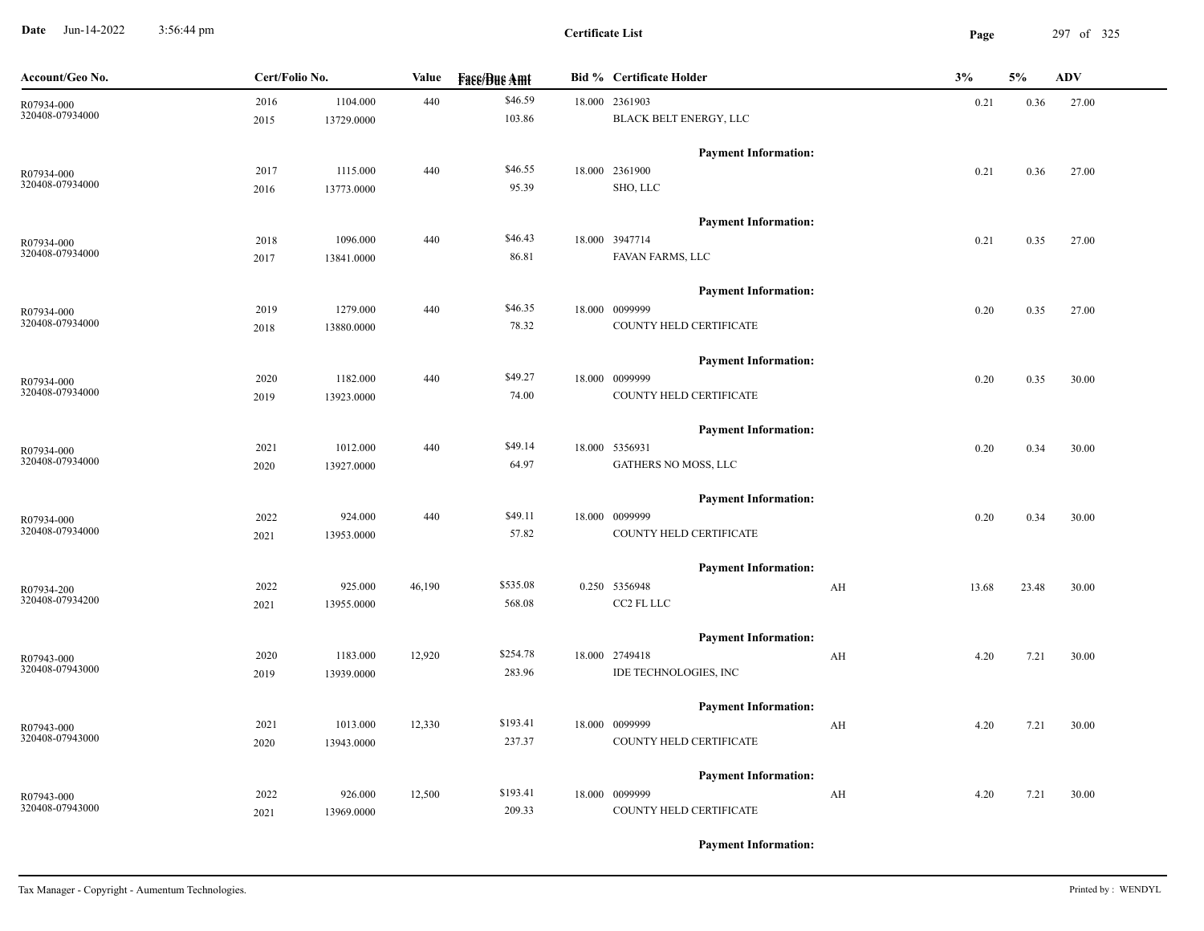**Date** Jun-14-2022 3:56:44 pm **Page** 297 of 325 3:56:44 pm

| Account/Geo No. | Cert/Folio No. |            | Value  | <b>Fase/Bue Amt</b> | <b>Bid % Certificate Holder</b> |    | 3%    | 5%    | ADV   |
|-----------------|----------------|------------|--------|---------------------|---------------------------------|----|-------|-------|-------|
| R07934-000      | 2016           | 1104.000   | 440    | \$46.59             | 18.000 2361903                  |    | 0.21  | 0.36  | 27.00 |
| 320408-07934000 | 2015           | 13729.0000 |        | 103.86              | BLACK BELT ENERGY, LLC          |    |       |       |       |
|                 |                |            |        |                     | <b>Payment Information:</b>     |    |       |       |       |
| R07934-000      | 2017           | 1115.000   | 440    | \$46.55             | 18.000 2361900                  |    | 0.21  | 0.36  | 27.00 |
| 320408-07934000 | 2016           | 13773.0000 |        | 95.39               | SHO, LLC                        |    |       |       |       |
|                 |                |            |        |                     | <b>Payment Information:</b>     |    |       |       |       |
| R07934-000      | 2018           | 1096.000   | 440    | \$46.43             | 18.000 3947714                  |    | 0.21  | 0.35  | 27.00 |
| 320408-07934000 | 2017           | 13841.0000 |        | 86.81               | FAVAN FARMS, LLC                |    |       |       |       |
|                 |                |            |        |                     | <b>Payment Information:</b>     |    |       |       |       |
| R07934-000      | 2019           | 1279.000   | 440    | \$46.35             | 18.000 0099999                  |    | 0.20  | 0.35  | 27.00 |
| 320408-07934000 | 2018           | 13880.0000 |        | 78.32               | COUNTY HELD CERTIFICATE         |    |       |       |       |
|                 |                |            |        |                     | <b>Payment Information:</b>     |    |       |       |       |
| R07934-000      | 2020           | 1182.000   | 440    | \$49.27             | 18.000 0099999                  |    | 0.20  | 0.35  | 30.00 |
| 320408-07934000 | 2019           | 13923.0000 |        | 74.00               | COUNTY HELD CERTIFICATE         |    |       |       |       |
|                 |                |            |        |                     | <b>Payment Information:</b>     |    |       |       |       |
| R07934-000      | 2021           | 1012.000   | 440    | \$49.14             | 18.000 5356931                  |    | 0.20  | 0.34  | 30.00 |
| 320408-07934000 | 2020           | 13927.0000 |        | 64.97               | GATHERS NO MOSS, LLC            |    |       |       |       |
|                 |                |            |        |                     | <b>Payment Information:</b>     |    |       |       |       |
| R07934-000      | 2022           | 924.000    | 440    | \$49.11             | 18.000 0099999                  |    | 0.20  | 0.34  | 30.00 |
| 320408-07934000 | 2021           | 13953.0000 |        | 57.82               | COUNTY HELD CERTIFICATE         |    |       |       |       |
|                 |                |            |        |                     | <b>Payment Information:</b>     |    |       |       |       |
| R07934-200      | 2022           | 925.000    | 46,190 | \$535.08            | 0.250 5356948                   | AH | 13.68 | 23.48 | 30.00 |
| 320408-07934200 | 2021           | 13955.0000 |        | 568.08              | CC2 FL LLC                      |    |       |       |       |
|                 |                |            |        |                     | <b>Payment Information:</b>     |    |       |       |       |
| R07943-000      | 2020           | 1183.000   | 12,920 | \$254.78            | 18.000 2749418                  | AH | 4.20  | 7.21  | 30.00 |
| 320408-07943000 | 2019           | 13939.0000 |        | 283.96              | IDE TECHNOLOGIES, INC           |    |       |       |       |
|                 |                |            |        |                     | <b>Payment Information:</b>     |    |       |       |       |
| R07943-000      | 2021           | 1013.000   | 12,330 | \$193.41            | 18.000 0099999                  | AH | 4.20  | 7.21  | 30.00 |
| 320408-07943000 | 2020           | 13943.0000 |        | 237.37              | COUNTY HELD CERTIFICATE         |    |       |       |       |
|                 |                |            |        |                     | <b>Payment Information:</b>     |    |       |       |       |
| R07943-000      | 2022           | 926.000    | 12,500 | \$193.41            | 18.000 0099999                  | AH | 4.20  | 7.21  | 30.00 |
| 320408-07943000 | 2021           | 13969.0000 |        | 209.33              | COUNTY HELD CERTIFICATE         |    |       |       |       |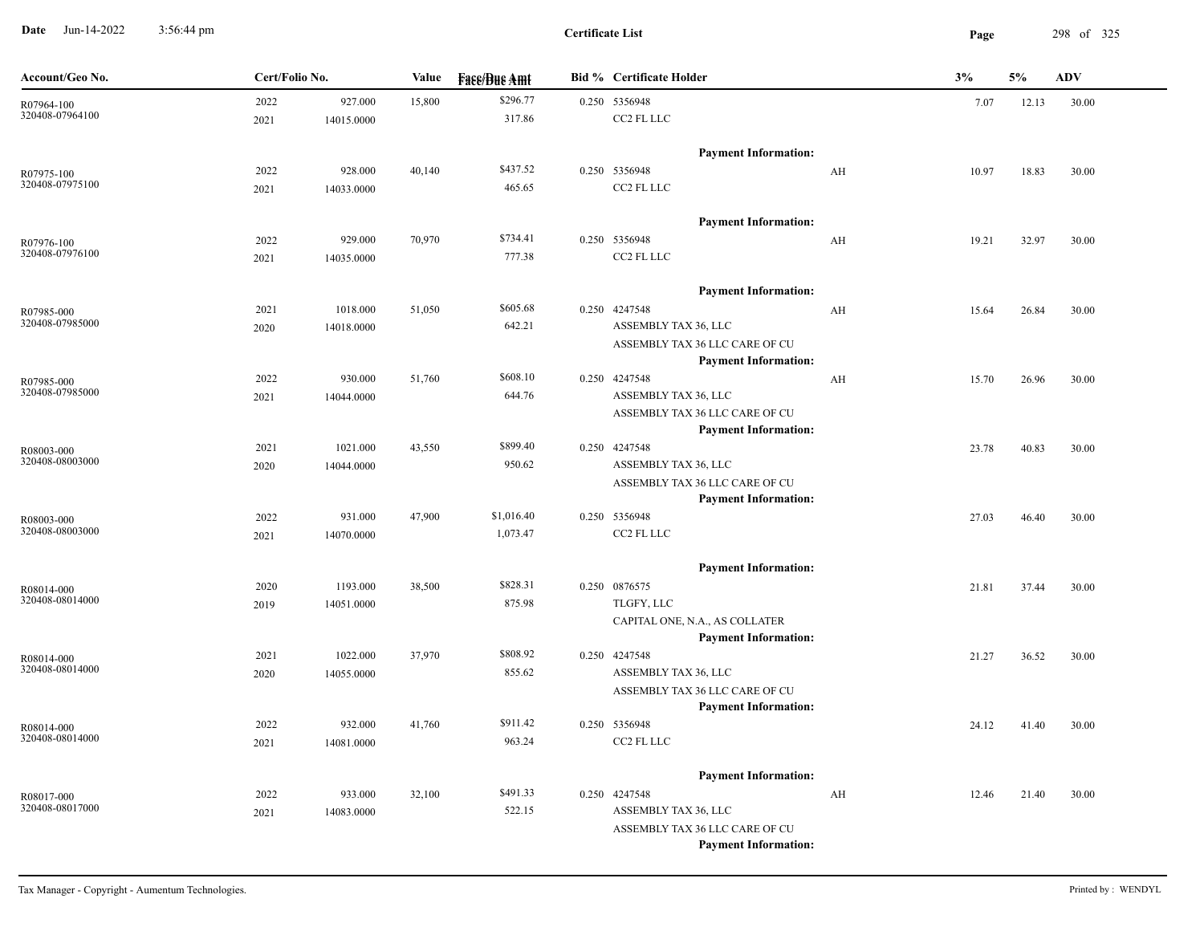**Date** Jun-14-2022 3:56:44 pm **Page** 298 of 325 3:56:44 pm

**Certificate List**

| Account/Geo No.               | Cert/Folio No. |            | Value  | <b>Face/Bue Amt</b> | <b>Bid % Certificate Holder</b>                               |    | 3%    | 5%    | <b>ADV</b> |
|-------------------------------|----------------|------------|--------|---------------------|---------------------------------------------------------------|----|-------|-------|------------|
| R07964-100                    | 2022           | 927.000    | 15,800 | \$296.77            | 0.250 5356948                                                 |    | 7.07  | 12.13 | 30.00      |
| 320408-07964100               | 2021           | 14015.0000 |        | 317.86              | CC2 FL LLC                                                    |    |       |       |            |
|                               |                |            |        |                     | <b>Payment Information:</b>                                   |    |       |       |            |
| R07975-100                    | 2022           | 928.000    | 40,140 | \$437.52            | 0.250 5356948                                                 | AH | 10.97 | 18.83 | 30.00      |
| 320408-07975100               | 2021           | 14033.0000 |        | 465.65              | CC2 FL LLC                                                    |    |       |       |            |
|                               |                |            |        |                     |                                                               |    |       |       |            |
|                               |                |            |        |                     | <b>Payment Information:</b>                                   |    |       |       |            |
| R07976-100                    | 2022           | 929.000    | 70,970 | \$734.41            | 0.250 5356948                                                 | AH | 19.21 | 32.97 | 30.00      |
| 320408-07976100               | 2021           | 14035.0000 |        | 777.38              | CC2 FL LLC                                                    |    |       |       |            |
|                               |                |            |        |                     | <b>Payment Information:</b>                                   |    |       |       |            |
| R07985-000                    | 2021           | 1018.000   | 51,050 | \$605.68            | 0.250 4247548                                                 | AH | 15.64 | 26.84 | 30.00      |
| 320408-07985000               | 2020           | 14018.0000 |        | 642.21              | ASSEMBLY TAX 36, LLC                                          |    |       |       |            |
|                               |                |            |        |                     | ASSEMBLY TAX 36 LLC CARE OF CU                                |    |       |       |            |
|                               |                |            |        |                     | <b>Payment Information:</b>                                   |    |       |       |            |
| R07985-000                    | 2022           | 930.000    | 51,760 | \$608.10            | 0.250 4247548                                                 | AH | 15.70 | 26.96 | 30.00      |
| 320408-07985000               | 2021           | 14044.0000 |        | 644.76              | ASSEMBLY TAX 36, LLC                                          |    |       |       |            |
|                               |                |            |        |                     | ASSEMBLY TAX 36 LLC CARE OF CU                                |    |       |       |            |
|                               |                |            |        |                     | <b>Payment Information:</b>                                   |    |       |       |            |
| R08003-000<br>320408-08003000 | 2021           | 1021.000   | 43,550 | \$899.40            | 0.250 4247548                                                 |    | 23.78 | 40.83 | 30.00      |
|                               | 2020           | 14044.0000 |        | 950.62              | ASSEMBLY TAX 36, LLC                                          |    |       |       |            |
|                               |                |            |        |                     | ASSEMBLY TAX 36 LLC CARE OF CU<br><b>Payment Information:</b> |    |       |       |            |
|                               | 2022           | 931.000    | 47,900 | \$1,016.40          | 0.250 5356948                                                 |    | 27.03 | 46.40 | 30.00      |
| R08003-000<br>320408-08003000 | 2021           | 14070.0000 |        | 1,073.47            | CC2 FL LLC                                                    |    |       |       |            |
|                               |                |            |        |                     |                                                               |    |       |       |            |
|                               |                |            |        |                     | <b>Payment Information:</b>                                   |    |       |       |            |
| R08014-000                    | 2020           | 1193.000   | 38,500 | \$828.31            | 0.250 0876575                                                 |    | 21.81 | 37.44 | 30.00      |
| 320408-08014000               | 2019           | 14051.0000 |        | 875.98              | TLGFY, LLC                                                    |    |       |       |            |
|                               |                |            |        |                     | CAPITAL ONE, N.A., AS COLLATER<br><b>Payment Information:</b> |    |       |       |            |
|                               | 2021           | 1022.000   | 37,970 | \$808.92            | 0.250 4247548                                                 |    | 21.27 | 36.52 | 30.00      |
| R08014-000<br>320408-08014000 | 2020           | 14055.0000 |        | 855.62              | ASSEMBLY TAX 36, LLC                                          |    |       |       |            |
|                               |                |            |        |                     | ASSEMBLY TAX 36 LLC CARE OF CU                                |    |       |       |            |
|                               |                |            |        |                     | <b>Payment Information:</b>                                   |    |       |       |            |
| R08014-000                    | 2022           | 932.000    | 41,760 | \$911.42            | 0.250 5356948                                                 |    | 24.12 | 41.40 | 30.00      |
| 320408-08014000               | 2021           | 14081.0000 |        | 963.24              | CC2 FL LLC                                                    |    |       |       |            |
|                               |                |            |        |                     |                                                               |    |       |       |            |
|                               |                |            |        |                     | <b>Payment Information:</b>                                   |    |       |       |            |
| R08017-000<br>320408-08017000 | 2022           | 933.000    | 32,100 | \$491.33            | 0.250 4247548                                                 | AH | 12.46 | 21.40 | 30.00      |
|                               | 2021           | 14083.0000 |        | 522.15              | ASSEMBLY TAX 36, LLC                                          |    |       |       |            |
|                               |                |            |        |                     | ASSEMBLY TAX 36 LLC CARE OF CU                                |    |       |       |            |
|                               |                |            |        |                     | <b>Payment Information:</b>                                   |    |       |       |            |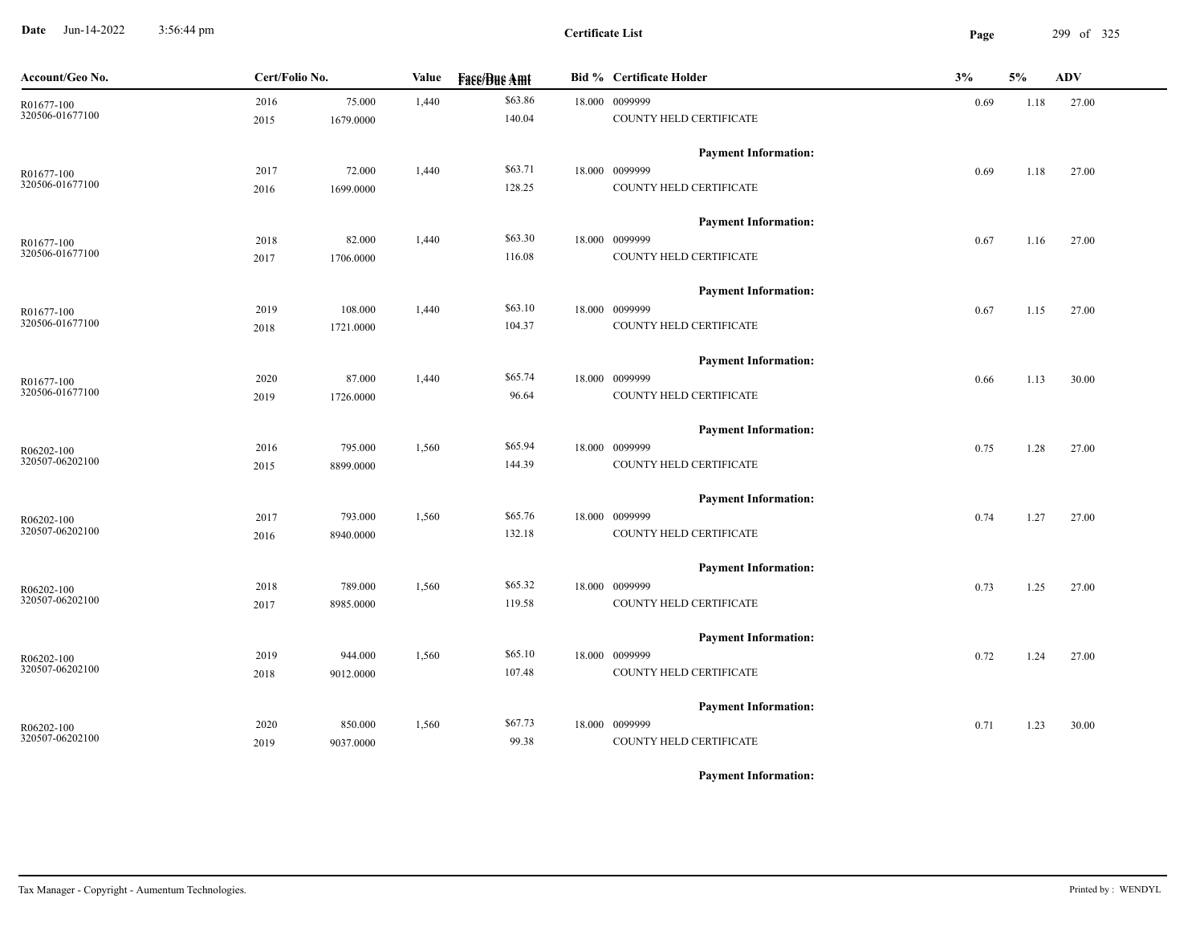**Date** Jun-14-2022 3:56:44 pm **Page** 299 of 325 3:56:44 pm

| Account/Geo No.               | Cert/Folio No. |                      | Value | <b>Fase/Bue Amt</b> | Bid % Certificate Holder                  | 3%   | 5%   | ADV   |
|-------------------------------|----------------|----------------------|-------|---------------------|-------------------------------------------|------|------|-------|
| R01677-100<br>320506-01677100 | 2016           | 75.000               | 1,440 | \$63.86<br>140.04   | 18.000 0099999<br>COUNTY HELD CERTIFICATE | 0.69 | 1.18 | 27.00 |
|                               | 2015           | 1679.0000            |       |                     |                                           |      |      |       |
|                               |                |                      |       |                     | <b>Payment Information:</b>               |      |      |       |
| R01677-100<br>320506-01677100 | 2017<br>2016   | 72.000<br>1699.0000  | 1,440 | \$63.71<br>128.25   | 18.000 0099999<br>COUNTY HELD CERTIFICATE | 0.69 | 1.18 | 27.00 |
|                               |                |                      |       |                     |                                           |      |      |       |
|                               |                |                      |       | \$63.30             | <b>Payment Information:</b>               |      |      |       |
| R01677-100<br>320506-01677100 | 2018<br>2017   | 82.000<br>1706.0000  | 1,440 | 116.08              | 18.000 0099999<br>COUNTY HELD CERTIFICATE | 0.67 | 1.16 | 27.00 |
|                               |                |                      |       |                     |                                           |      |      |       |
|                               |                |                      |       | \$63.10             | <b>Payment Information:</b>               |      |      |       |
| R01677-100<br>320506-01677100 | 2019<br>2018   | 108.000<br>1721.0000 | 1,440 | 104.37              | 18.000 0099999<br>COUNTY HELD CERTIFICATE | 0.67 | 1.15 | 27.00 |
|                               |                |                      |       |                     |                                           |      |      |       |
|                               |                |                      |       | \$65.74             | <b>Payment Information:</b>               |      |      |       |
| R01677-100<br>320506-01677100 | 2020<br>2019   | 87.000<br>1726.0000  | 1,440 | 96.64               | 18.000 0099999<br>COUNTY HELD CERTIFICATE | 0.66 | 1.13 | 30.00 |
|                               |                |                      |       |                     |                                           |      |      |       |
|                               |                |                      |       |                     | <b>Payment Information:</b>               |      |      |       |
| R06202-100<br>320507-06202100 | 2016           | 795.000<br>8899.0000 | 1,560 | \$65.94<br>144.39   | 18.000 0099999<br>COUNTY HELD CERTIFICATE | 0.75 | 1.28 | 27.00 |
|                               | 2015           |                      |       |                     |                                           |      |      |       |
|                               |                |                      |       |                     | <b>Payment Information:</b>               |      |      |       |
| R06202-100<br>320507-06202100 | 2017           | 793.000              | 1,560 | \$65.76<br>132.18   | 18.000 0099999<br>COUNTY HELD CERTIFICATE | 0.74 | 1.27 | 27.00 |
|                               | 2016           | 8940.0000            |       |                     |                                           |      |      |       |
|                               |                |                      |       |                     | <b>Payment Information:</b>               |      |      |       |
| R06202-100<br>320507-06202100 | 2018           | 789.000              | 1,560 | \$65.32             | 18.000 0099999                            | 0.73 | 1.25 | 27.00 |
|                               | 2017           | 8985.0000            |       | 119.58              | COUNTY HELD CERTIFICATE                   |      |      |       |
|                               |                |                      |       |                     | <b>Payment Information:</b>               |      |      |       |
| R06202-100<br>320507-06202100 | 2019           | 944.000              | 1,560 | \$65.10             | 18.000 0099999                            | 0.72 | 1.24 | 27.00 |
|                               | 2018           | 9012.0000            |       | 107.48              | COUNTY HELD CERTIFICATE                   |      |      |       |
|                               |                |                      |       |                     | <b>Payment Information:</b>               |      |      |       |
| R06202-100<br>320507-06202100 | 2020           | 850.000              | 1,560 | \$67.73             | 18.000 0099999                            | 0.71 | 1.23 | 30.00 |
|                               | 2019           | 9037.0000            |       | 99.38               | COUNTY HELD CERTIFICATE                   |      |      |       |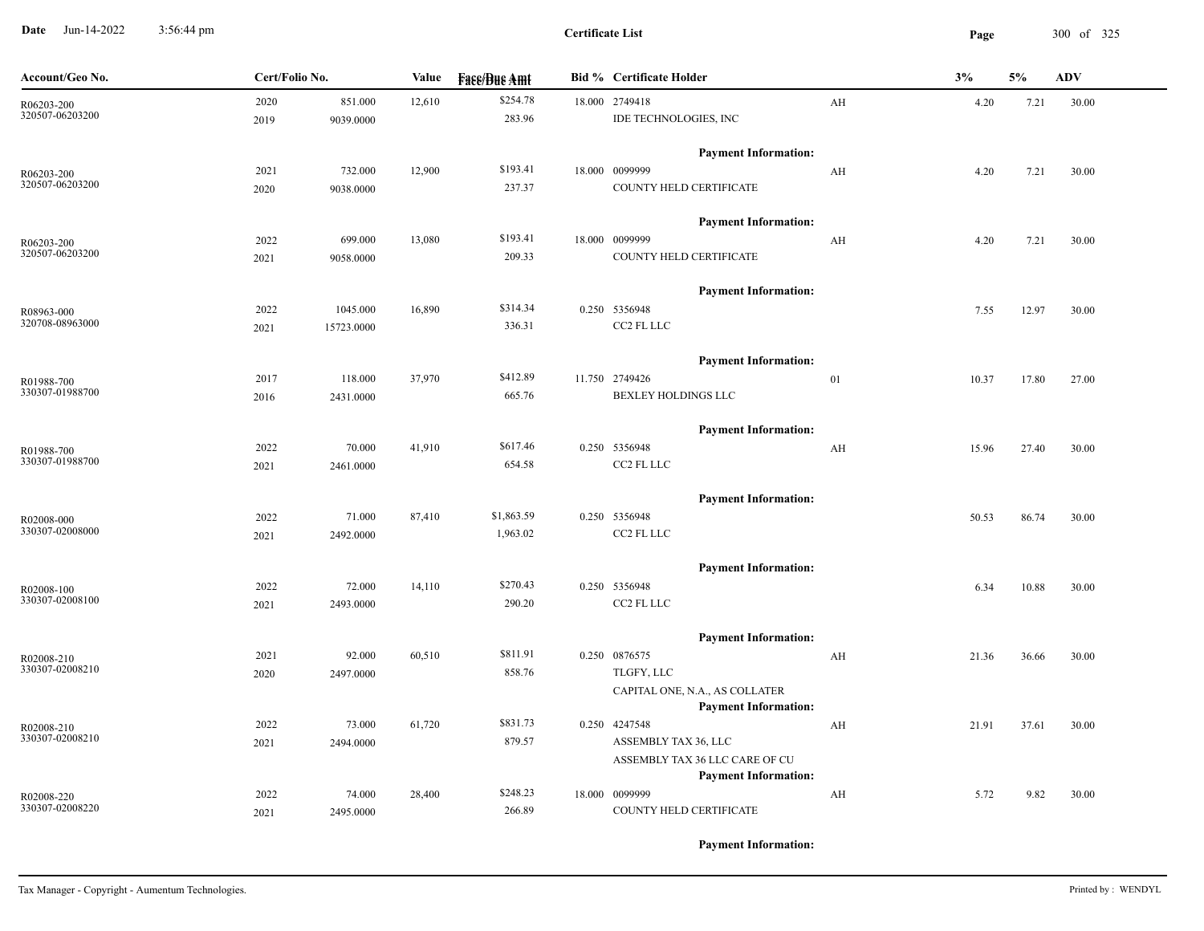**Date** Jun-14-2022 3:56:44 pm **Page** 300 of 325 3:56:44 pm

| Account/Geo No.               | Cert/Folio No. |            | Value  | <b>Fass/Bus Amt</b> | <b>Bid % Certificate Holder</b>                               |    | 3%    | 5%    | <b>ADV</b> |
|-------------------------------|----------------|------------|--------|---------------------|---------------------------------------------------------------|----|-------|-------|------------|
| R06203-200                    | 2020           | 851.000    | 12,610 | \$254.78            | 18.000 2749418                                                | AH | 4.20  | 7.21  | 30.00      |
| 320507-06203200               | 2019           | 9039.0000  |        | 283.96              | IDE TECHNOLOGIES, INC                                         |    |       |       |            |
|                               |                |            |        |                     | <b>Payment Information:</b>                                   |    |       |       |            |
| R06203-200                    | 2021           | 732.000    | 12,900 | \$193.41            | 18.000 0099999                                                | AH | 4.20  | 7.21  | 30.00      |
| 320507-06203200               | 2020           | 9038.0000  |        | 237.37              | COUNTY HELD CERTIFICATE                                       |    |       |       |            |
|                               |                |            |        |                     | <b>Payment Information:</b>                                   |    |       |       |            |
| R06203-200                    | 2022           | 699.000    | 13,080 | \$193.41            | 18.000 0099999                                                | AH | 4.20  | 7.21  | 30.00      |
| 320507-06203200               | 2021           | 9058.0000  |        | 209.33              | COUNTY HELD CERTIFICATE                                       |    |       |       |            |
|                               |                |            |        |                     | <b>Payment Information:</b>                                   |    |       |       |            |
| R08963-000                    | 2022           | 1045.000   | 16,890 | \$314.34            | 0.250 5356948                                                 |    | 7.55  | 12.97 | 30.00      |
| 320708-08963000               | 2021           | 15723.0000 |        | 336.31              | CC2 FL LLC                                                    |    |       |       |            |
|                               |                |            |        |                     | <b>Payment Information:</b>                                   |    |       |       |            |
| R01988-700                    | 2017           | 118.000    | 37,970 | \$412.89            | 11.750 2749426                                                | 01 | 10.37 | 17.80 | 27.00      |
| 330307-01988700               | 2016           | 2431.0000  |        | 665.76              | BEXLEY HOLDINGS LLC                                           |    |       |       |            |
|                               |                |            |        |                     | <b>Payment Information:</b>                                   |    |       |       |            |
| R01988-700                    | 2022           | 70.000     | 41,910 | \$617.46            | 0.250 5356948                                                 | AH | 15.96 | 27.40 | 30.00      |
| 330307-01988700               | 2021           | 2461.0000  |        | 654.58              | CC2 FL LLC                                                    |    |       |       |            |
|                               |                |            |        |                     | <b>Payment Information:</b>                                   |    |       |       |            |
| R02008-000                    | 2022           | 71.000     | 87,410 | \$1,863.59          | 0.250 5356948                                                 |    | 50.53 | 86.74 | 30.00      |
| 330307-02008000               | 2021           | 2492.0000  |        | 1,963.02            | CC2 FL LLC                                                    |    |       |       |            |
|                               |                |            |        |                     | <b>Payment Information:</b>                                   |    |       |       |            |
| R02008-100                    | 2022           | 72.000     | 14,110 | \$270.43            | 0.250 5356948                                                 |    | 6.34  | 10.88 | 30.00      |
| 330307-02008100               | 2021           | 2493.0000  |        | 290.20              | CC2 FL LLC                                                    |    |       |       |            |
|                               |                |            |        |                     | <b>Payment Information:</b>                                   |    |       |       |            |
| R02008-210                    | 2021           | 92.000     | 60,510 | \$811.91            | 0.250 0876575                                                 | AH | 21.36 | 36.66 | 30.00      |
| 330307-02008210               | 2020           | 2497.0000  |        | 858.76              | TLGFY, LLC                                                    |    |       |       |            |
|                               |                |            |        |                     | CAPITAL ONE, N.A., AS COLLATER<br><b>Payment Information:</b> |    |       |       |            |
| R02008-210                    | 2022           | 73.000     | 61,720 | \$831.73            | 0.250 4247548                                                 | AH | 21.91 | 37.61 | 30.00      |
| 330307-02008210               | 2021           | 2494.0000  |        | 879.57              | ASSEMBLY TAX 36, LLC                                          |    |       |       |            |
|                               |                |            |        |                     | ASSEMBLY TAX 36 LLC CARE OF CU<br><b>Payment Information:</b> |    |       |       |            |
|                               | 2022           | 74.000     | 28,400 | \$248.23            | 18.000 0099999                                                | AH | 5.72  | 9.82  | 30.00      |
| R02008-220<br>330307-02008220 | 2021           | 2495.0000  |        | 266.89              | COUNTY HELD CERTIFICATE                                       |    |       |       |            |
|                               |                |            |        |                     |                                                               |    |       |       |            |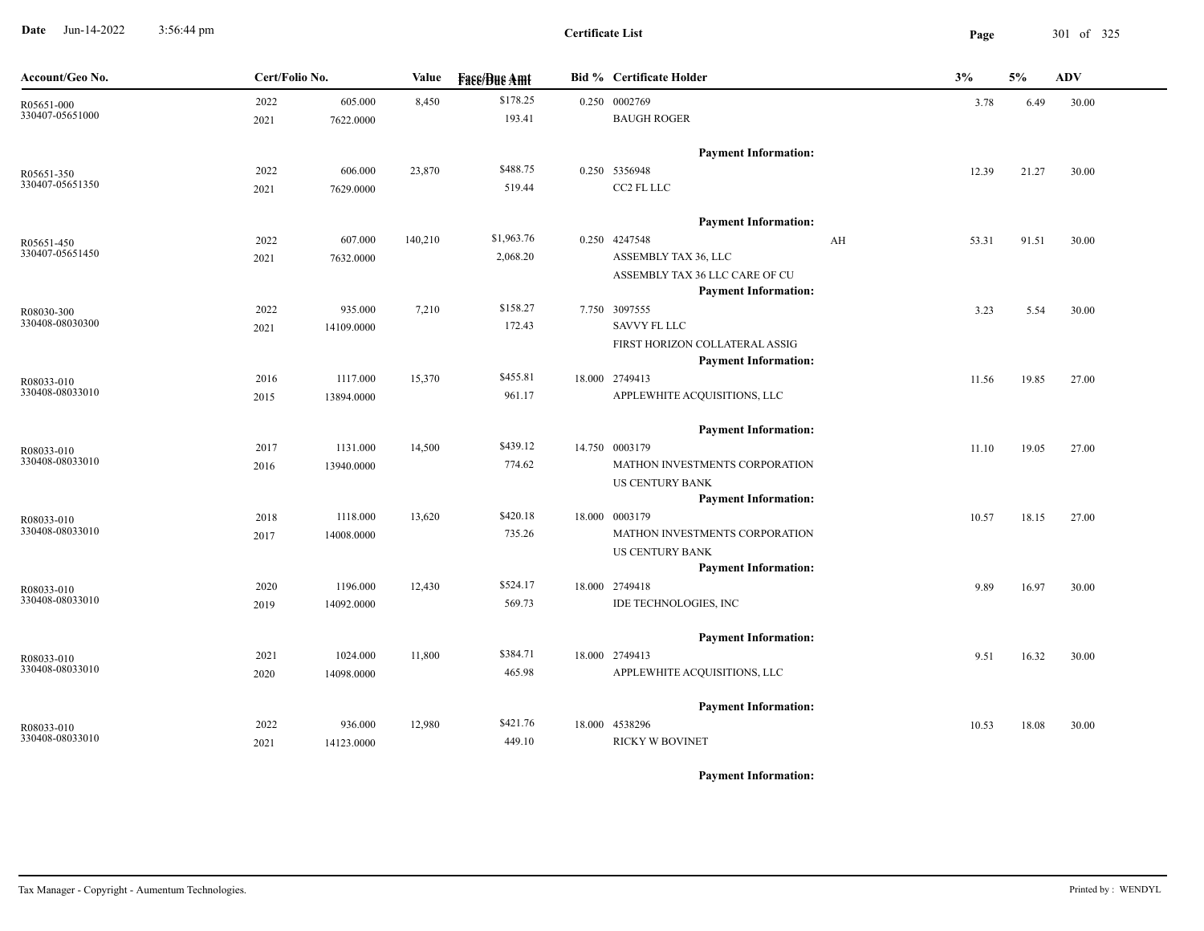**Date** Jun-14-2022 3:56:44 pm **Page** 301 of 325 3:56:44 pm

**Certificate List**

| Account/Geo No.               | Cert/Folio No. |            | Value   | <b>Face/Bue Amt</b> | <b>Bid % Certificate Holder</b>               |    | 3%    | 5%    | ADV   |
|-------------------------------|----------------|------------|---------|---------------------|-----------------------------------------------|----|-------|-------|-------|
| R05651-000                    | 2022           | 605.000    | 8,450   | \$178.25            | 0.250 0002769                                 |    | 3.78  | 6.49  | 30.00 |
| 330407-05651000               | 2021           | 7622.0000  |         | 193.41              | <b>BAUGH ROGER</b>                            |    |       |       |       |
|                               |                |            |         |                     | <b>Payment Information:</b>                   |    |       |       |       |
| R05651-350                    | 2022           | 606.000    | 23,870  | \$488.75            | 0.250 5356948                                 |    | 12.39 | 21.27 | 30.00 |
| 330407-05651350               | 2021           | 7629.0000  |         | 519.44              | CC2 FL LLC                                    |    |       |       |       |
|                               |                |            |         |                     | <b>Payment Information:</b>                   |    |       |       |       |
| R05651-450                    | 2022           | 607.000    | 140,210 | \$1,963.76          | 0.250 4247548                                 | AH | 53.31 | 91.51 | 30.00 |
| 330407-05651450               | 2021           | 7632.0000  |         | 2,068.20            | ASSEMBLY TAX 36, LLC                          |    |       |       |       |
|                               |                |            |         |                     | ASSEMBLY TAX 36 LLC CARE OF CU                |    |       |       |       |
|                               |                |            |         |                     | <b>Payment Information:</b>                   |    |       |       |       |
| R08030-300                    | 2022           | 935.000    | 7,210   | \$158.27            | 7.750 3097555                                 |    | 3.23  | 5.54  | 30.00 |
| 330408-08030300               | 2021           | 14109.0000 |         | 172.43              | <b>SAVVY FL LLC</b>                           |    |       |       |       |
|                               |                |            |         |                     | FIRST HORIZON COLLATERAL ASSIG                |    |       |       |       |
|                               |                |            |         |                     | <b>Payment Information:</b>                   |    |       |       |       |
| R08033-010<br>330408-08033010 | 2016           | 1117.000   | 15,370  | \$455.81            | 18.000 2749413                                |    | 11.56 | 19.85 | 27.00 |
|                               | 2015           | 13894.0000 |         | 961.17              | APPLEWHITE ACQUISITIONS, LLC                  |    |       |       |       |
|                               |                |            |         |                     | <b>Payment Information:</b>                   |    |       |       |       |
| R08033-010                    | 2017           | 1131.000   | 14,500  | \$439.12            | 14.750 0003179                                |    | 11.10 | 19.05 | 27.00 |
| 330408-08033010               | 2016           | 13940.0000 |         | 774.62              | MATHON INVESTMENTS CORPORATION                |    |       |       |       |
|                               |                |            |         |                     | <b>US CENTURY BANK</b>                        |    |       |       |       |
|                               |                |            |         |                     | <b>Payment Information:</b>                   |    |       |       |       |
| R08033-010<br>330408-08033010 | 2018           | 1118.000   | 13,620  | \$420.18            | 18.000 0003179                                |    | 10.57 | 18.15 | 27.00 |
|                               | 2017           | 14008.0000 |         | 735.26              | MATHON INVESTMENTS CORPORATION                |    |       |       |       |
|                               |                |            |         |                     | US CENTURY BANK                               |    |       |       |       |
|                               | 2020           | 1196.000   | 12,430  | \$524.17            | <b>Payment Information:</b><br>18.000 2749418 |    |       |       |       |
| R08033-010<br>330408-08033010 |                |            |         | 569.73              | IDE TECHNOLOGIES, INC                         |    | 9.89  | 16.97 | 30.00 |
|                               | 2019           | 14092.0000 |         |                     |                                               |    |       |       |       |
|                               |                |            |         |                     | <b>Payment Information:</b>                   |    |       |       |       |
| R08033-010                    | 2021           | 1024.000   | 11,800  | \$384.71            | 18.000 2749413                                |    | 9.51  | 16.32 | 30.00 |
| 330408-08033010               | 2020           | 14098.0000 |         | 465.98              | APPLEWHITE ACQUISITIONS, LLC                  |    |       |       |       |
|                               |                |            |         |                     | <b>Payment Information:</b>                   |    |       |       |       |
| R08033-010                    | 2022           | 936.000    | 12,980  | \$421.76            | 18.000 4538296                                |    | 10.53 | 18.08 | 30.00 |
| 330408-08033010               | 2021           | 14123.0000 |         | 449.10              | RICKY W BOVINET                               |    |       |       |       |
|                               |                |            |         |                     |                                               |    |       |       |       |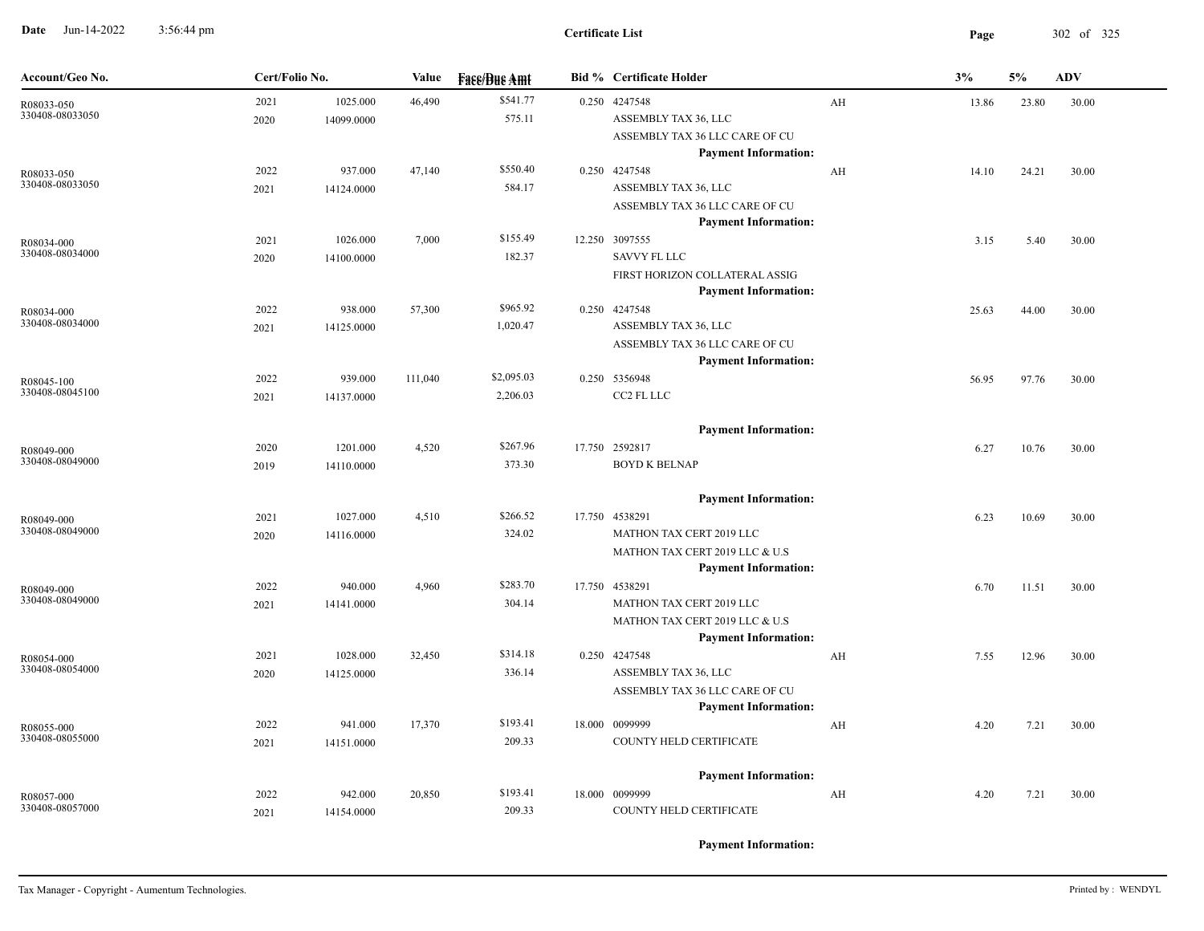**Date** Jun-14-2022 3:56:44 pm **Page** 302 of 325 3:56:44 pm

| Account/Geo No.               | Cert/Folio No. |                        | Value   | <b>Face/Bue Amt</b>    | <b>Bid % Certificate Holder</b>                                                                             |    | 3%    | 5%    | <b>ADV</b> |
|-------------------------------|----------------|------------------------|---------|------------------------|-------------------------------------------------------------------------------------------------------------|----|-------|-------|------------|
| R08033-050<br>330408-08033050 | 2021<br>2020   | 1025.000<br>14099.0000 | 46,490  | \$541.77<br>575.11     | 0.250 4247548<br>ASSEMBLY TAX 36, LLC<br>ASSEMBLY TAX 36 LLC CARE OF CU<br><b>Payment Information:</b>      | AH | 13.86 | 23.80 | 30.00      |
| R08033-050<br>330408-08033050 | 2022<br>2021   | 937.000<br>14124.0000  | 47,140  | \$550.40<br>584.17     | 0.250 4247548<br>ASSEMBLY TAX 36, LLC<br>ASSEMBLY TAX 36 LLC CARE OF CU<br><b>Payment Information:</b>      | AH | 14.10 | 24.21 | 30.00      |
| R08034-000<br>330408-08034000 | 2021<br>2020   | 1026.000<br>14100.0000 | 7,000   | \$155.49<br>182.37     | 12.250 3097555<br><b>SAVVY FL LLC</b><br>FIRST HORIZON COLLATERAL ASSIG<br><b>Payment Information:</b>      |    | 3.15  | 5.40  | 30.00      |
| R08034-000<br>330408-08034000 | 2022<br>2021   | 938.000<br>14125.0000  | 57,300  | \$965.92<br>1,020.47   | 0.250 4247548<br>ASSEMBLY TAX 36, LLC<br>ASSEMBLY TAX 36 LLC CARE OF CU<br><b>Payment Information:</b>      |    | 25.63 | 44.00 | 30.00      |
| R08045-100<br>330408-08045100 | 2022<br>2021   | 939.000<br>14137.0000  | 111,040 | \$2,095.03<br>2,206.03 | 0.250 5356948<br>CC2 FL LLC                                                                                 |    | 56.95 | 97.76 | 30.00      |
| R08049-000<br>330408-08049000 | 2020<br>2019   | 1201.000<br>14110.0000 | 4,520   | \$267.96<br>373.30     | <b>Payment Information:</b><br>17.750 2592817<br><b>BOYD K BELNAP</b>                                       |    | 6.27  | 10.76 | 30.00      |
| R08049-000<br>330408-08049000 | 2021<br>2020   | 1027.000<br>14116.0000 | 4,510   | \$266.52<br>324.02     | <b>Payment Information:</b><br>17.750 4538291<br>MATHON TAX CERT 2019 LLC<br>MATHON TAX CERT 2019 LLC & U.S |    | 6.23  | 10.69 | 30.00      |
| R08049-000<br>330408-08049000 | 2022<br>2021   | 940.000<br>14141.0000  | 4,960   | \$283.70<br>304.14     | <b>Payment Information:</b><br>17.750 4538291<br>MATHON TAX CERT 2019 LLC<br>MATHON TAX CERT 2019 LLC & U.S |    | 6.70  | 11.51 | 30.00      |
| R08054-000<br>330408-08054000 | 2021<br>2020   | 1028.000<br>14125.0000 | 32,450  | \$314.18<br>336.14     | <b>Payment Information:</b><br>0.250 4247548<br>ASSEMBLY TAX 36, LLC<br>ASSEMBLY TAX 36 LLC CARE OF CU      | AH | 7.55  | 12.96 | 30.00      |
| R08055-000<br>330408-08055000 | 2022<br>2021   | 941.000<br>14151.0000  | 17,370  | \$193.41<br>209.33     | <b>Payment Information:</b><br>18.000 0099999<br>COUNTY HELD CERTIFICATE                                    | AH | 4.20  | 7.21  | 30.00      |
| R08057-000<br>330408-08057000 | 2022<br>2021   | 942.000<br>14154.0000  | 20,850  | \$193.41<br>209.33     | <b>Payment Information:</b><br>18.000 0099999<br>COUNTY HELD CERTIFICATE                                    | AH | 4.20  | 7.21  | 30.00      |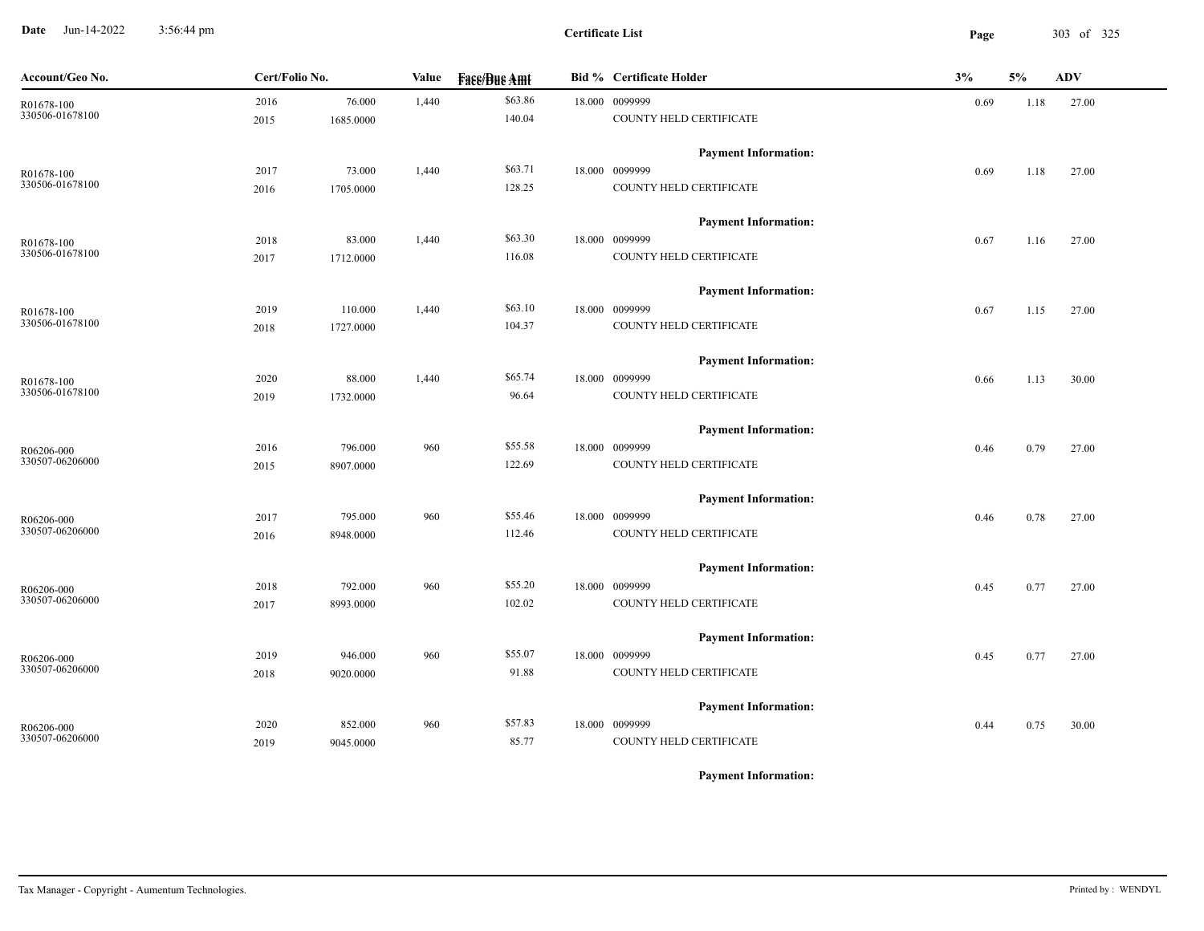**Date** Jun-14-2022 3:56:44 pm **Page** 303 of 325 3:56:44 pm

| Account/Geo No.               | Cert/Folio No. |           | Value | <b>Face/Bue Amt</b> | <b>Bid % Certificate Holder</b> | 3%   | 5%   | ADV   |
|-------------------------------|----------------|-----------|-------|---------------------|---------------------------------|------|------|-------|
| R01678-100<br>330506-01678100 | 2016           | 76.000    | 1,440 | \$63.86             | 18.000 0099999                  | 0.69 | 1.18 | 27.00 |
|                               | 2015           | 1685.0000 |       | 140.04              | COUNTY HELD CERTIFICATE         |      |      |       |
|                               |                |           |       |                     | <b>Payment Information:</b>     |      |      |       |
| R01678-100                    | 2017           | 73.000    | 1,440 | \$63.71             | 18.000 0099999                  | 0.69 | 1.18 | 27.00 |
| 330506-01678100               | 2016           | 1705.0000 |       | 128.25              | COUNTY HELD CERTIFICATE         |      |      |       |
|                               |                |           |       |                     | <b>Payment Information:</b>     |      |      |       |
| R01678-100                    | 2018           | 83.000    | 1,440 | \$63.30             | 18.000 0099999                  | 0.67 | 1.16 | 27.00 |
| 330506-01678100               | 2017           | 1712.0000 |       | 116.08              | COUNTY HELD CERTIFICATE         |      |      |       |
|                               |                |           |       |                     | <b>Payment Information:</b>     |      |      |       |
| R01678-100                    | 2019           | 110.000   | 1,440 | \$63.10             | 18.000 0099999                  | 0.67 | 1.15 | 27.00 |
| 330506-01678100               | 2018           | 1727.0000 |       | 104.37              | COUNTY HELD CERTIFICATE         |      |      |       |
|                               |                |           |       |                     | <b>Payment Information:</b>     |      |      |       |
| R01678-100                    | 2020           | 88.000    | 1,440 | \$65.74             | 18.000 0099999                  | 0.66 | 1.13 | 30.00 |
| 330506-01678100               | 2019           | 1732.0000 |       | 96.64               | COUNTY HELD CERTIFICATE         |      |      |       |
|                               |                |           |       |                     | <b>Payment Information:</b>     |      |      |       |
| R06206-000                    | 2016           | 796.000   | 960   | \$55.58             | 18.000 0099999                  | 0.46 | 0.79 | 27.00 |
| 330507-06206000               | 2015           | 8907.0000 |       | 122.69              | COUNTY HELD CERTIFICATE         |      |      |       |
|                               |                |           |       |                     | <b>Payment Information:</b>     |      |      |       |
| R06206-000                    | 2017           | 795.000   | 960   | \$55.46             | 18.000 0099999                  | 0.46 | 0.78 | 27.00 |
| 330507-06206000               | 2016           | 8948.0000 |       | 112.46              | COUNTY HELD CERTIFICATE         |      |      |       |
|                               |                |           |       |                     | <b>Payment Information:</b>     |      |      |       |
| R06206-000                    | 2018           | 792.000   | 960   | \$55.20             | 18.000 0099999                  | 0.45 | 0.77 | 27.00 |
| 330507-06206000               | 2017           | 8993.0000 |       | 102.02              | COUNTY HELD CERTIFICATE         |      |      |       |
|                               |                |           |       |                     | <b>Payment Information:</b>     |      |      |       |
| $R06206-000$                  | 2019           | 946.000   | 960   | \$55.07             | 18.000 0099999                  | 0.45 | 0.77 | 27.00 |
| 330507-06206000               | 2018           | 9020.0000 |       | 91.88               | COUNTY HELD CERTIFICATE         |      |      |       |
|                               |                |           |       |                     | <b>Payment Information:</b>     |      |      |       |
|                               | 2020           | 852.000   | 960   | \$57.83             | 18.000 0099999                  |      |      |       |
| R06206-000<br>330507-06206000 |                |           |       | 85.77               | COUNTY HELD CERTIFICATE         | 0.44 | 0.75 | 30.00 |
|                               | 2019           | 9045.0000 |       |                     |                                 |      |      |       |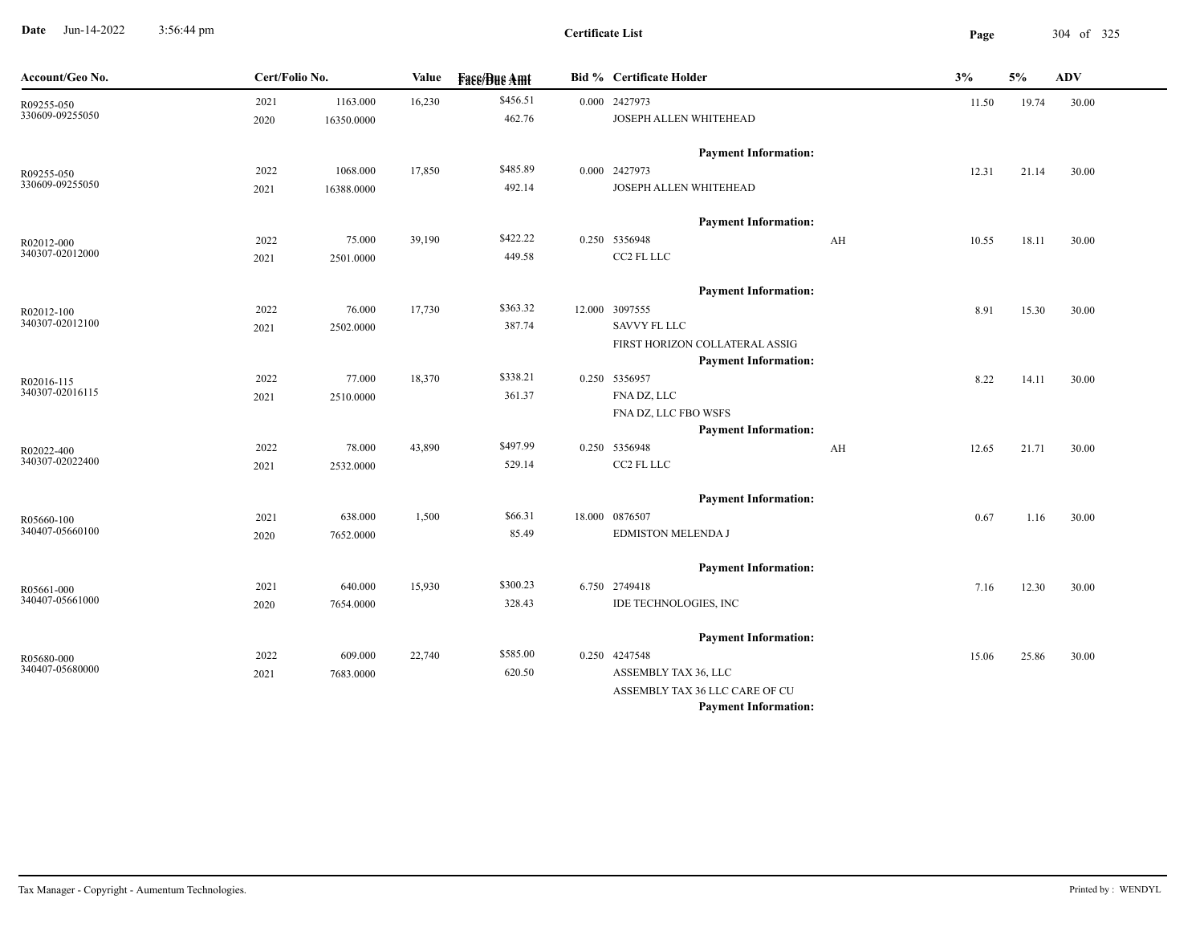**Date** Jun-14-2022 3:56:44 pm **Page** 304 of 325 3:56:44 pm

| Account/Geo No.               |      | Cert/Folio No. |        | <b>Fase/Bue Amt</b> | <b>Bid % Certificate Holder</b>                               | 3%    | 5%    | <b>ADV</b> |
|-------------------------------|------|----------------|--------|---------------------|---------------------------------------------------------------|-------|-------|------------|
| R09255-050<br>330609-09255050 | 2021 | 1163.000       | 16,230 | \$456.51            | 0.000 2427973                                                 | 11.50 | 19.74 | 30.00      |
|                               | 2020 | 16350.0000     |        | 462.76              | JOSEPH ALLEN WHITEHEAD                                        |       |       |            |
|                               |      |                |        |                     | <b>Payment Information:</b>                                   |       |       |            |
| R09255-050<br>330609-09255050 | 2022 | 1068.000       | 17,850 | \$485.89            | 0.000 2427973                                                 | 12.31 | 21.14 | 30.00      |
|                               | 2021 | 16388.0000     |        | 492.14              | JOSEPH ALLEN WHITEHEAD                                        |       |       |            |
|                               |      |                |        |                     | <b>Payment Information:</b>                                   |       |       |            |
| R02012-000                    | 2022 | 75.000         | 39,190 | \$422.22            | 0.250 5356948<br>AH                                           | 10.55 | 18.11 | 30.00      |
| 340307-02012000               | 2021 | 2501.0000      |        | 449.58              | CC2 FL LLC                                                    |       |       |            |
|                               |      |                |        |                     | <b>Payment Information:</b>                                   |       |       |            |
| R02012-100                    | 2022 | 76.000         | 17,730 | \$363.32            | 12.000 3097555                                                | 8.91  | 15.30 | 30.00      |
| 340307-02012100               | 2021 | 2502.0000      |        | 387.74              | <b>SAVVY FL LLC</b>                                           |       |       |            |
|                               |      |                |        |                     | FIRST HORIZON COLLATERAL ASSIG<br><b>Payment Information:</b> |       |       |            |
| R02016-115                    | 2022 | 77.000         | 18,370 | \$338.21            | 0.250 5356957                                                 | 8.22  | 14.11 | 30.00      |
| 340307-02016115               | 2021 | 2510.0000      |        | 361.37              | FNA DZ, LLC                                                   |       |       |            |
|                               |      |                |        |                     | FNA DZ, LLC FBO WSFS                                          |       |       |            |
|                               |      |                |        |                     | <b>Payment Information:</b>                                   |       |       |            |
| R02022-400                    | 2022 | 78.000         | 43,890 | \$497.99            | 0.250 5356948<br>AH                                           | 12.65 | 21.71 | 30.00      |
| 340307-02022400               | 2021 | 2532.0000      |        | 529.14              | CC2 FL LLC                                                    |       |       |            |
|                               |      |                |        |                     | <b>Payment Information:</b>                                   |       |       |            |
| R05660-100                    | 2021 | 638.000        | 1,500  | \$66.31             | 18.000 0876507                                                | 0.67  | 1.16  | 30.00      |
| 340407-05660100               | 2020 | 7652.0000      |        | 85.49               | EDMISTON MELENDA J                                            |       |       |            |
|                               |      |                |        |                     | <b>Payment Information:</b>                                   |       |       |            |
| R05661-000                    | 2021 | 640.000        | 15,930 | \$300.23            | 6.750 2749418                                                 | 7.16  | 12.30 | 30.00      |
| 340407-05661000               | 2020 | 7654.0000      |        | 328.43              | IDE TECHNOLOGIES, INC                                         |       |       |            |
|                               |      |                |        |                     | <b>Payment Information:</b>                                   |       |       |            |
| R05680-000                    | 2022 | 609.000        | 22,740 | \$585.00            | 0.250 4247548                                                 | 15.06 | 25.86 | 30.00      |
| 340407-05680000               | 2021 | 7683.0000      |        | 620.50              | ASSEMBLY TAX 36, LLC                                          |       |       |            |
|                               |      |                |        |                     | ASSEMBLY TAX 36 LLC CARE OF CU                                |       |       |            |
|                               |      |                |        |                     | <b>Payment Information:</b>                                   |       |       |            |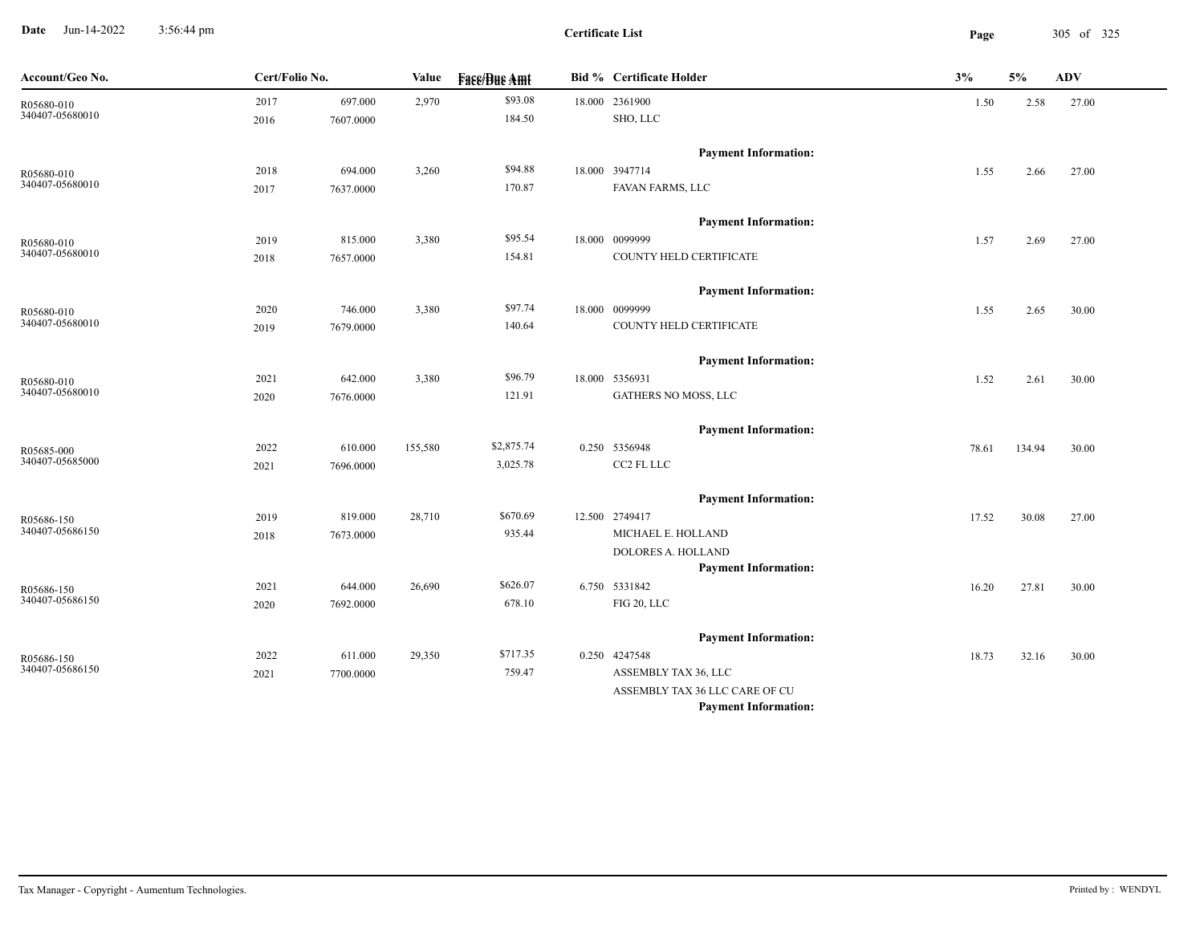**Date** Jun-14-2022 3:56:44 pm **Page** 305 of 325 3:56:44 pm

 $\overline{\phantom{a}}$ 

| Account/Geo No.               | Cert/Folio No. |           | Value   | <b>Fase/Bue Amt</b> | <b>Bid % Certificate Holder</b> | 3%    | 5%     | <b>ADV</b> |  |
|-------------------------------|----------------|-----------|---------|---------------------|---------------------------------|-------|--------|------------|--|
|                               | 2017           | 697.000   | 2,970   | \$93.08             | 18.000 2361900                  | 1.50  | 2.58   | 27.00      |  |
| R05680-010<br>340407-05680010 | 2016           | 7607.0000 |         | 184.50              | SHO, LLC                        |       |        |            |  |
|                               |                |           |         |                     | <b>Payment Information:</b>     |       |        |            |  |
| R05680-010<br>340407-05680010 | 2018           | 694.000   | 3,260   | \$94.88             | 18.000 3947714                  | 1.55  | 2.66   | 27.00      |  |
|                               | 2017           | 7637.0000 |         | 170.87              | FAVAN FARMS, LLC                |       |        |            |  |
|                               |                |           |         |                     | <b>Payment Information:</b>     |       |        |            |  |
| R05680-010                    | 2019           | 815.000   | 3,380   | \$95.54             | 18.000 0099999                  | 1.57  | 2.69   | 27.00      |  |
| 340407-05680010               | 2018           | 7657.0000 |         | 154.81              | COUNTY HELD CERTIFICATE         |       |        |            |  |
|                               |                |           |         |                     | <b>Payment Information:</b>     |       |        |            |  |
| R05680-010<br>340407-05680010 | 2020           | 746.000   | 3,380   | \$97.74             | 18.000 0099999                  | 1.55  | 2.65   | 30.00      |  |
|                               | 2019           | 7679.0000 |         | 140.64              | COUNTY HELD CERTIFICATE         |       |        |            |  |
|                               |                |           |         |                     | <b>Payment Information:</b>     |       |        |            |  |
| R05680-010                    | 2021           | 642.000   | 3,380   | \$96.79             | 18.000 5356931                  | 1.52  | 2.61   | 30.00      |  |
| 340407-05680010               | 2020           | 7676.0000 |         | 121.91              | GATHERS NO MOSS, LLC            |       |        |            |  |
|                               |                |           |         |                     | <b>Payment Information:</b>     |       |        |            |  |
| R05685-000<br>340407-05685000 | 2022           | 610.000   | 155,580 | \$2,875.74          | 0.250 5356948                   | 78.61 | 134.94 | 30.00      |  |
|                               | 2021           | 7696.0000 |         | 3,025.78            | CC2 FL LLC                      |       |        |            |  |
|                               |                |           |         |                     | <b>Payment Information:</b>     |       |        |            |  |
| R05686-150                    | 2019           | 819.000   | 28,710  | \$670.69            | 12.500 2749417                  | 17.52 | 30.08  | 27.00      |  |
| 340407-05686150               | 2018           | 7673.0000 |         | 935.44              | MICHAEL E. HOLLAND              |       |        |            |  |
|                               |                |           |         |                     | DOLORES A. HOLLAND              |       |        |            |  |
|                               |                |           |         |                     | <b>Payment Information:</b>     |       |        |            |  |
| R05686-150<br>340407-05686150 | 2021           | 644.000   | 26,690  | \$626.07            | 6.750 5331842                   | 16.20 | 27.81  | 30.00      |  |
|                               | 2020           | 7692.0000 |         | 678.10              | FIG 20, LLC                     |       |        |            |  |
|                               |                |           |         |                     | <b>Payment Information:</b>     |       |        |            |  |
| R05686-150<br>340407-05686150 | 2022           | 611.000   | 29,350  | \$717.35            | 0.250 4247548                   | 18.73 | 32.16  | 30.00      |  |
|                               | 2021           | 7700.0000 |         | 759.47              | ASSEMBLY TAX 36, LLC            |       |        |            |  |
|                               |                |           |         |                     | ASSEMBLY TAX 36 LLC CARE OF CU  |       |        |            |  |
|                               |                |           |         |                     | <b>Payment Information:</b>     |       |        |            |  |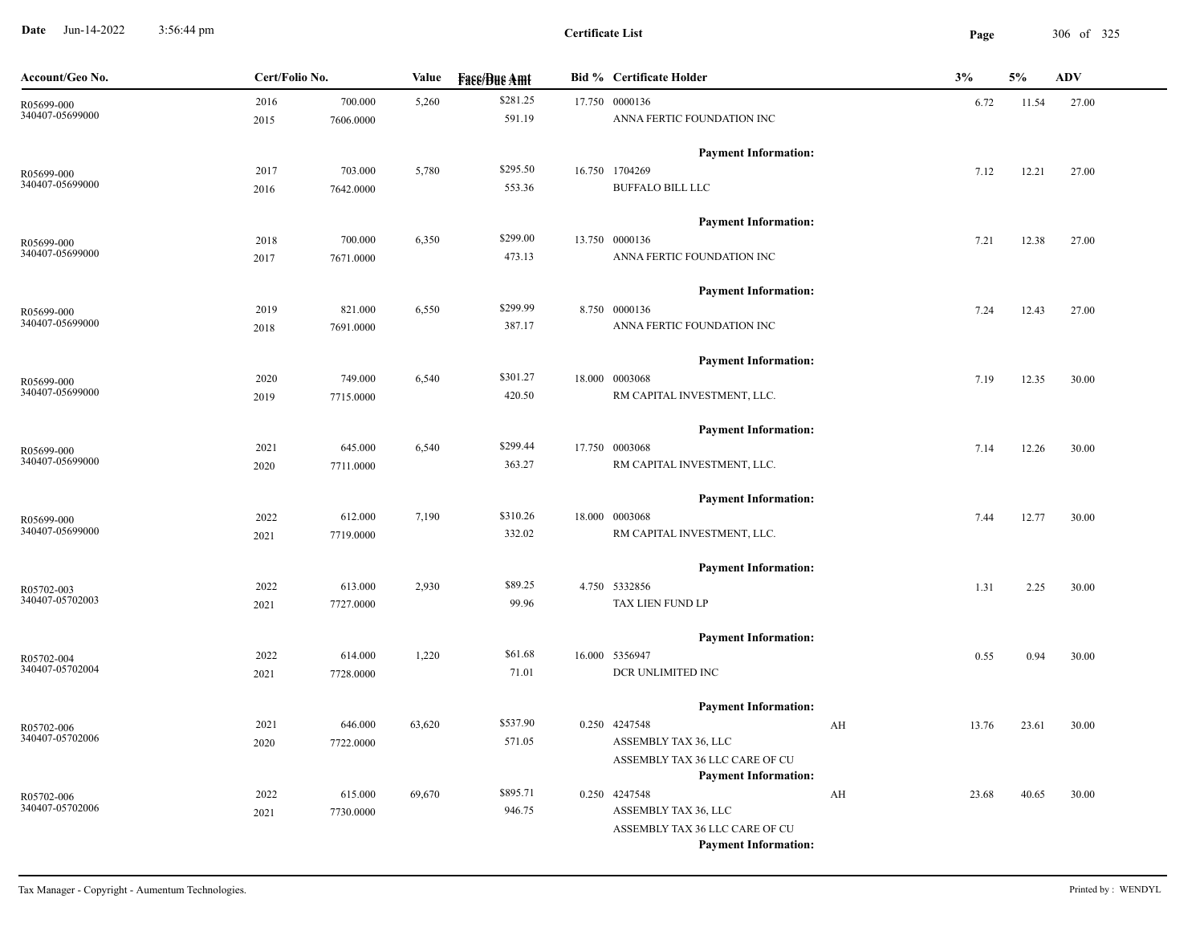**Date** Jun-14-2022 3:56:44 pm **Page** 306 of 325 3:56:44 pm

| \$281.25<br>2016<br>700.000<br>17.750 0000136<br>5,260<br>6.72<br>11.54<br>27.00<br>R05699-000<br>340407-05699000<br>591.19<br>ANNA FERTIC FOUNDATION INC<br>7606.0000<br>2015<br><b>Payment Information:</b><br>\$295.50<br>16.750 1704269<br>2017<br>703.000<br>5,780<br>7.12<br>12.21<br>27.00<br>R05699-000<br>340407-05699000<br>553.36<br><b>BUFFALO BILL LLC</b><br>7642.0000<br>2016 |  |
|----------------------------------------------------------------------------------------------------------------------------------------------------------------------------------------------------------------------------------------------------------------------------------------------------------------------------------------------------------------------------------------------|--|
|                                                                                                                                                                                                                                                                                                                                                                                              |  |
|                                                                                                                                                                                                                                                                                                                                                                                              |  |
|                                                                                                                                                                                                                                                                                                                                                                                              |  |
|                                                                                                                                                                                                                                                                                                                                                                                              |  |
|                                                                                                                                                                                                                                                                                                                                                                                              |  |
| <b>Payment Information:</b>                                                                                                                                                                                                                                                                                                                                                                  |  |
| \$299.00<br>6,350<br>13.750 0000136<br>2018<br>700.000<br>12.38<br>27.00<br>7.21<br>R05699-000                                                                                                                                                                                                                                                                                               |  |
| 340407-05699000<br>473.13<br>ANNA FERTIC FOUNDATION INC<br>2017<br>7671.0000                                                                                                                                                                                                                                                                                                                 |  |
| <b>Payment Information:</b>                                                                                                                                                                                                                                                                                                                                                                  |  |
| \$299.99<br>821.000<br>6,550<br>8.750 0000136<br>2019<br>27.00<br>7.24<br>12.43<br>R05699-000                                                                                                                                                                                                                                                                                                |  |
| 340407-05699000<br>ANNA FERTIC FOUNDATION INC<br>387.17<br>2018<br>7691.0000                                                                                                                                                                                                                                                                                                                 |  |
| <b>Payment Information:</b>                                                                                                                                                                                                                                                                                                                                                                  |  |
| \$301.27<br>6,540<br>18.000 0003068<br>2020<br>749.000<br>7.19<br>12.35<br>30.00<br>R05699-000                                                                                                                                                                                                                                                                                               |  |
| 340407-05699000<br>420.50<br>RM CAPITAL INVESTMENT, LLC.<br>2019<br>7715.0000                                                                                                                                                                                                                                                                                                                |  |
| <b>Payment Information:</b>                                                                                                                                                                                                                                                                                                                                                                  |  |
| \$299.44<br>17.750 0003068<br>2021<br>645.000<br>6,540<br>7.14<br>12.26<br>30.00<br>R05699-000                                                                                                                                                                                                                                                                                               |  |
| 340407-05699000<br>363.27<br>RM CAPITAL INVESTMENT, LLC.<br>2020<br>7711.0000                                                                                                                                                                                                                                                                                                                |  |
| <b>Payment Information:</b>                                                                                                                                                                                                                                                                                                                                                                  |  |
| \$310.26<br>2022<br>612.000<br>7,190<br>18.000 0003068<br>7.44<br>12.77<br>30.00<br>R05699-000                                                                                                                                                                                                                                                                                               |  |
| 340407-05699000<br>332.02<br>RM CAPITAL INVESTMENT, LLC.<br>2021<br>7719.0000                                                                                                                                                                                                                                                                                                                |  |
| <b>Payment Information:</b>                                                                                                                                                                                                                                                                                                                                                                  |  |
| 2,930<br>\$89.25<br>4.750 5332856<br>2022<br>613.000<br>1.31<br>2.25<br>30.00<br>R05702-003                                                                                                                                                                                                                                                                                                  |  |
| 340407-05702003<br>TAX LIEN FUND LP<br>99.96<br>7727.0000<br>2021                                                                                                                                                                                                                                                                                                                            |  |
| <b>Payment Information:</b>                                                                                                                                                                                                                                                                                                                                                                  |  |
| \$61.68<br>2022<br>614.000<br>1,220<br>16.000 5356947<br>0.94<br>30.00<br>0.55<br>R05702-004                                                                                                                                                                                                                                                                                                 |  |
| 340407-05702004<br>71.01<br>DCR UNLIMITED INC<br>2021<br>7728.0000                                                                                                                                                                                                                                                                                                                           |  |
| <b>Payment Information:</b>                                                                                                                                                                                                                                                                                                                                                                  |  |
| \$537.90<br>63,620<br>0.250 4247548<br>2021<br>646.000<br>AH<br>13.76<br>23.61<br>30.00<br>R05702-006                                                                                                                                                                                                                                                                                        |  |
| 340407-05702006<br>571.05<br>ASSEMBLY TAX 36, LLC<br>7722.0000<br>2020                                                                                                                                                                                                                                                                                                                       |  |
| ASSEMBLY TAX 36 LLC CARE OF CU                                                                                                                                                                                                                                                                                                                                                               |  |
| <b>Payment Information:</b>                                                                                                                                                                                                                                                                                                                                                                  |  |
| \$895.71<br>2022<br>615.000<br>69,670<br>0.250 4247548<br>AH<br>23.68<br>40.65<br>30.00<br>R05702-006                                                                                                                                                                                                                                                                                        |  |
| 340407-05702006<br>946.75<br>ASSEMBLY TAX 36, LLC<br>2021<br>7730.0000                                                                                                                                                                                                                                                                                                                       |  |
| ASSEMBLY TAX 36 LLC CARE OF CU                                                                                                                                                                                                                                                                                                                                                               |  |
| <b>Payment Information:</b>                                                                                                                                                                                                                                                                                                                                                                  |  |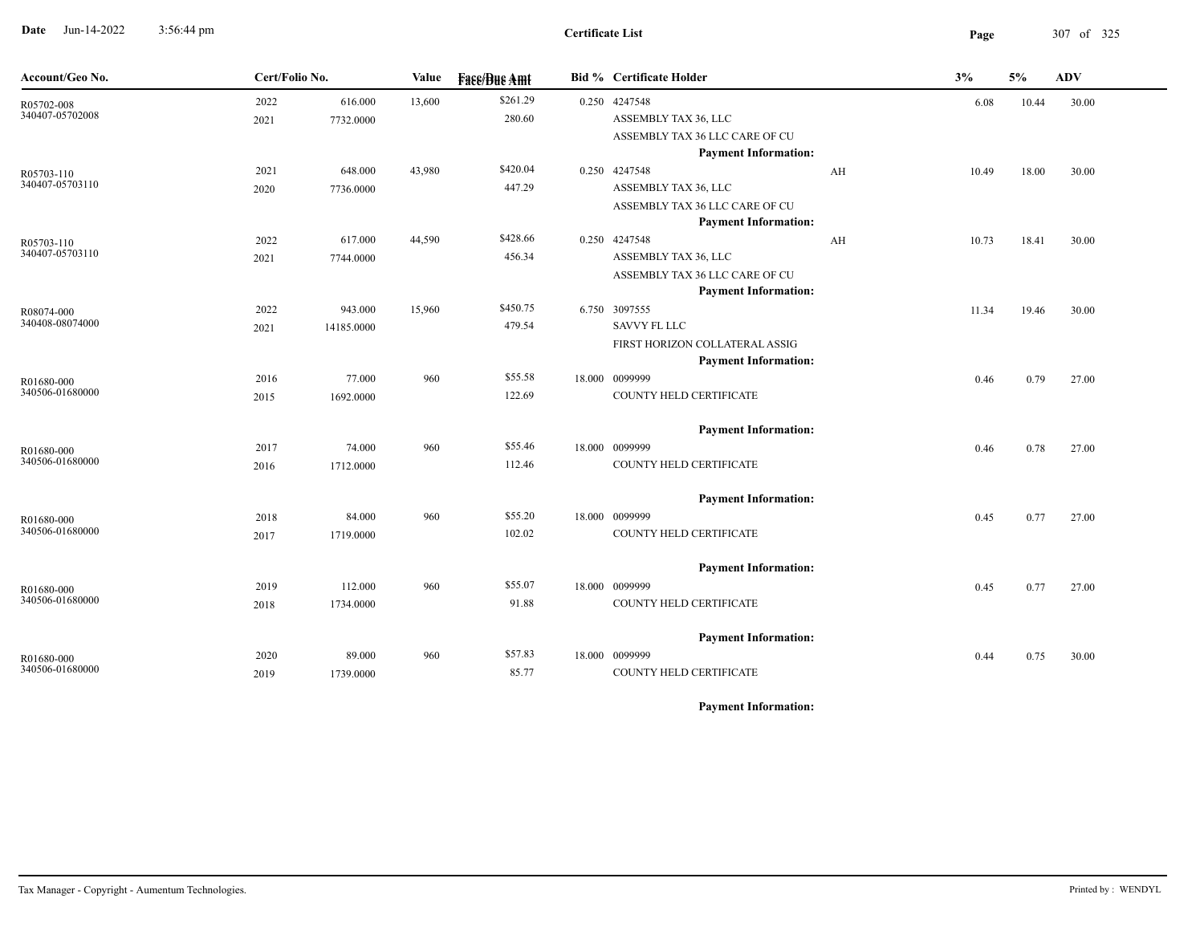**Date** Jun-14-2022 3:56:44 pm **Page** 307 of 325 3:56:44 pm

| Account/Geo No.               | Cert/Folio No. |            | <b>Value</b> | <b>Face/Bue Amt</b> | <b>Bid % Certificate Holder</b>                               |    | 3%    | 5%    | <b>ADV</b> |  |
|-------------------------------|----------------|------------|--------------|---------------------|---------------------------------------------------------------|----|-------|-------|------------|--|
| R05702-008                    | 2022           | 616.000    | 13,600       | \$261.29            | 0.250 4247548                                                 |    | 6.08  | 10.44 | 30.00      |  |
| 340407-05702008               | 2021           | 7732.0000  |              | 280.60              | ASSEMBLY TAX 36, LLC                                          |    |       |       |            |  |
|                               |                |            |              |                     | ASSEMBLY TAX 36 LLC CARE OF CU                                |    |       |       |            |  |
|                               |                |            |              |                     | <b>Payment Information:</b>                                   |    |       |       |            |  |
| R05703-110<br>340407-05703110 | 2021           | 648.000    | 43,980       | \$420.04            | 0.250 4247548                                                 | AH | 10.49 | 18.00 | 30.00      |  |
|                               | 2020           | 7736.0000  |              | 447.29              | ASSEMBLY TAX 36, LLC                                          |    |       |       |            |  |
|                               |                |            |              |                     | ASSEMBLY TAX 36 LLC CARE OF CU<br><b>Payment Information:</b> |    |       |       |            |  |
| R05703-110                    | 2022           | 617.000    | 44,590       | \$428.66            | 0.250 4247548                                                 | AH | 10.73 | 18.41 | 30.00      |  |
| 340407-05703110               | 2021           | 7744.0000  |              | 456.34              | ASSEMBLY TAX 36, LLC                                          |    |       |       |            |  |
|                               |                |            |              |                     | ASSEMBLY TAX 36 LLC CARE OF CU                                |    |       |       |            |  |
|                               |                |            |              |                     | <b>Payment Information:</b>                                   |    |       |       |            |  |
| R08074-000                    | 2022           | 943.000    | 15,960       | \$450.75            | 6.750 3097555                                                 |    | 11.34 | 19.46 | 30.00      |  |
| 340408-08074000               | 2021           | 14185.0000 |              | 479.54              | SAVVY FL LLC                                                  |    |       |       |            |  |
|                               |                |            |              |                     | FIRST HORIZON COLLATERAL ASSIG                                |    |       |       |            |  |
|                               |                |            |              |                     | <b>Payment Information:</b>                                   |    |       |       |            |  |
| R01680-000                    | 2016           | 77.000     | 960          | \$55.58             | 18.000 0099999                                                |    | 0.46  | 0.79  | 27.00      |  |
| 340506-01680000               | 2015           | 1692.0000  |              | 122.69              | COUNTY HELD CERTIFICATE                                       |    |       |       |            |  |
|                               |                |            |              |                     | <b>Payment Information:</b>                                   |    |       |       |            |  |
| R01680-000                    | 2017           | 74.000     | 960          | \$55.46             | 18.000 0099999                                                |    | 0.46  | 0.78  | 27.00      |  |
| 340506-01680000               | 2016           | 1712.0000  |              | 112.46              | COUNTY HELD CERTIFICATE                                       |    |       |       |            |  |
|                               |                |            |              |                     | <b>Payment Information:</b>                                   |    |       |       |            |  |
| R01680-000                    | 2018           | 84.000     | 960          | \$55.20             | 18.000 0099999                                                |    | 0.45  | 0.77  | 27.00      |  |
| 340506-01680000               | 2017           | 1719.0000  |              | 102.02              | COUNTY HELD CERTIFICATE                                       |    |       |       |            |  |
|                               |                |            |              |                     | <b>Payment Information:</b>                                   |    |       |       |            |  |
| R01680-000                    | 2019           | 112.000    | 960          | \$55.07             | 18.000 0099999                                                |    | 0.45  | 0.77  | 27.00      |  |
| 340506-01680000               | 2018           | 1734.0000  |              | 91.88               | COUNTY HELD CERTIFICATE                                       |    |       |       |            |  |
|                               |                |            |              |                     | <b>Payment Information:</b>                                   |    |       |       |            |  |
| R01680-000                    | 2020           | 89.000     | 960          | \$57.83             | 18.000 0099999                                                |    | 0.44  | 0.75  | 30.00      |  |
| 340506-01680000               | 2019           | 1739.0000  |              | 85.77               | COUNTY HELD CERTIFICATE                                       |    |       |       |            |  |
|                               |                |            |              |                     |                                                               |    |       |       |            |  |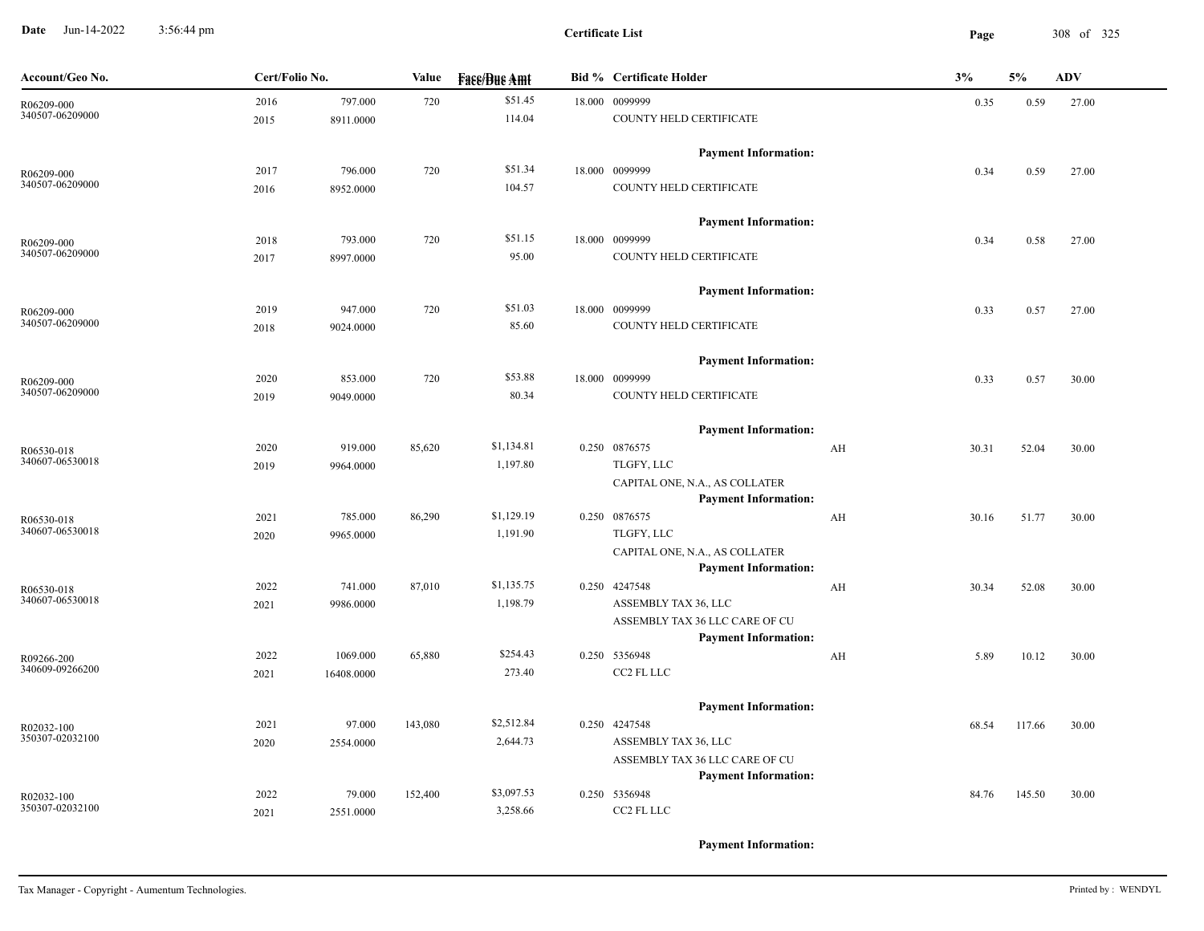**Date** Jun-14-2022 3:56:44 pm **Page** 308 of 325 3:56:44 pm

| Account/Geo No.               | Cert/Folio No. |            | Value   | <b>Face/Bue Amt</b> | <b>Bid % Certificate Holder</b>                               |    | 3%    |        | <b>ADV</b> |
|-------------------------------|----------------|------------|---------|---------------------|---------------------------------------------------------------|----|-------|--------|------------|
| R06209-000                    | 2016           | 797.000    | 720     | \$51.45             | 18.000 0099999                                                |    | 0.35  | 0.59   | 27.00      |
| 340507-06209000               | 2015           | 8911.0000  |         | 114.04              | COUNTY HELD CERTIFICATE                                       |    |       |        |            |
|                               |                |            |         |                     | <b>Payment Information:</b>                                   |    |       |        |            |
| R06209-000                    | 2017           | 796.000    | 720     | \$51.34             | 18.000 0099999                                                |    | 0.34  | 0.59   | 27.00      |
| 340507-06209000               | 2016           | 8952.0000  |         | 104.57              | COUNTY HELD CERTIFICATE                                       |    |       |        |            |
|                               |                |            |         |                     | <b>Payment Information:</b>                                   |    |       |        |            |
| R06209-000                    | 2018           | 793.000    | 720     | \$51.15             | 18.000 0099999                                                |    | 0.34  | 0.58   | 27.00      |
| 340507-06209000               | 2017           | 8997.0000  |         | 95.00               | COUNTY HELD CERTIFICATE                                       |    |       |        |            |
|                               |                |            |         |                     | <b>Payment Information:</b>                                   |    |       |        |            |
| R06209-000                    | 2019           | 947.000    | 720     | \$51.03             | 18.000 0099999                                                |    | 0.33  | 0.57   | 27.00      |
| 340507-06209000               | 2018           | 9024.0000  |         | 85.60               | COUNTY HELD CERTIFICATE                                       |    |       |        |            |
|                               |                |            |         |                     | <b>Payment Information:</b>                                   |    |       |        |            |
| R06209-000                    | 2020           | 853.000    | 720     | \$53.88             | 18.000 0099999                                                |    | 0.33  | 0.57   | 30.00      |
| 340507-06209000               | 2019           | 9049.0000  |         | 80.34               | COUNTY HELD CERTIFICATE                                       |    |       |        |            |
|                               |                |            |         |                     | <b>Payment Information:</b>                                   |    |       |        |            |
| R06530-018                    | 2020           | 919.000    | 85,620  | \$1,134.81          | 0.250 0876575                                                 | AH | 30.31 | 52.04  | 30.00      |
| 340607-06530018               | 2019           | 9964.0000  |         | 1,197.80            | TLGFY, LLC                                                    |    |       |        |            |
|                               |                |            |         |                     | CAPITAL ONE, N.A., AS COLLATER<br><b>Payment Information:</b> |    |       |        |            |
|                               | 2021           | 785.000    | 86,290  | \$1,129.19          | 0.250 0876575                                                 | AH | 30.16 | 51.77  | 30.00      |
| R06530-018<br>340607-06530018 | 2020           | 9965.0000  |         | 1,191.90            | TLGFY, LLC                                                    |    |       |        |            |
|                               |                |            |         |                     | CAPITAL ONE, N.A., AS COLLATER                                |    |       |        |            |
|                               |                |            |         |                     | <b>Payment Information:</b>                                   |    |       |        |            |
| R06530-018                    | 2022           | 741.000    | 87,010  | \$1,135.75          | 0.250 4247548                                                 | AH | 30.34 | 52.08  | 30.00      |
| 340607-06530018               | 2021           | 9986.0000  |         | 1,198.79            | ASSEMBLY TAX 36, LLC                                          |    |       |        |            |
|                               |                |            |         |                     | ASSEMBLY TAX 36 LLC CARE OF CU<br><b>Payment Information:</b> |    |       |        |            |
| R09266-200                    | 2022           | 1069.000   | 65,880  | \$254.43            | 0.250 5356948                                                 | AH | 5.89  | 10.12  | 30.00      |
| 340609-09266200               | 2021           | 16408.0000 |         | 273.40              | CC2 FL LLC                                                    |    |       |        |            |
|                               |                |            |         |                     | <b>Payment Information:</b>                                   |    |       |        |            |
| R02032-100                    | 2021           | 97.000     | 143,080 | \$2,512.84          | 0.250 4247548                                                 |    | 68.54 | 117.66 | 30.00      |
| 350307-02032100               | 2020           | 2554.0000  |         | 2,644.73            | ASSEMBLY TAX 36, LLC                                          |    |       |        |            |
|                               |                |            |         |                     | ASSEMBLY TAX 36 LLC CARE OF CU                                |    |       |        |            |
|                               |                |            |         |                     | <b>Payment Information:</b>                                   |    |       |        |            |
| R02032-100                    | 2022           | 79.000     | 152,400 | \$3,097.53          | 0.250 5356948                                                 |    | 84.76 | 145.50 | 30.00      |
| 350307-02032100               | 2021           | 2551.0000  |         | 3,258.66            | CC2 FL LLC                                                    |    |       |        |            |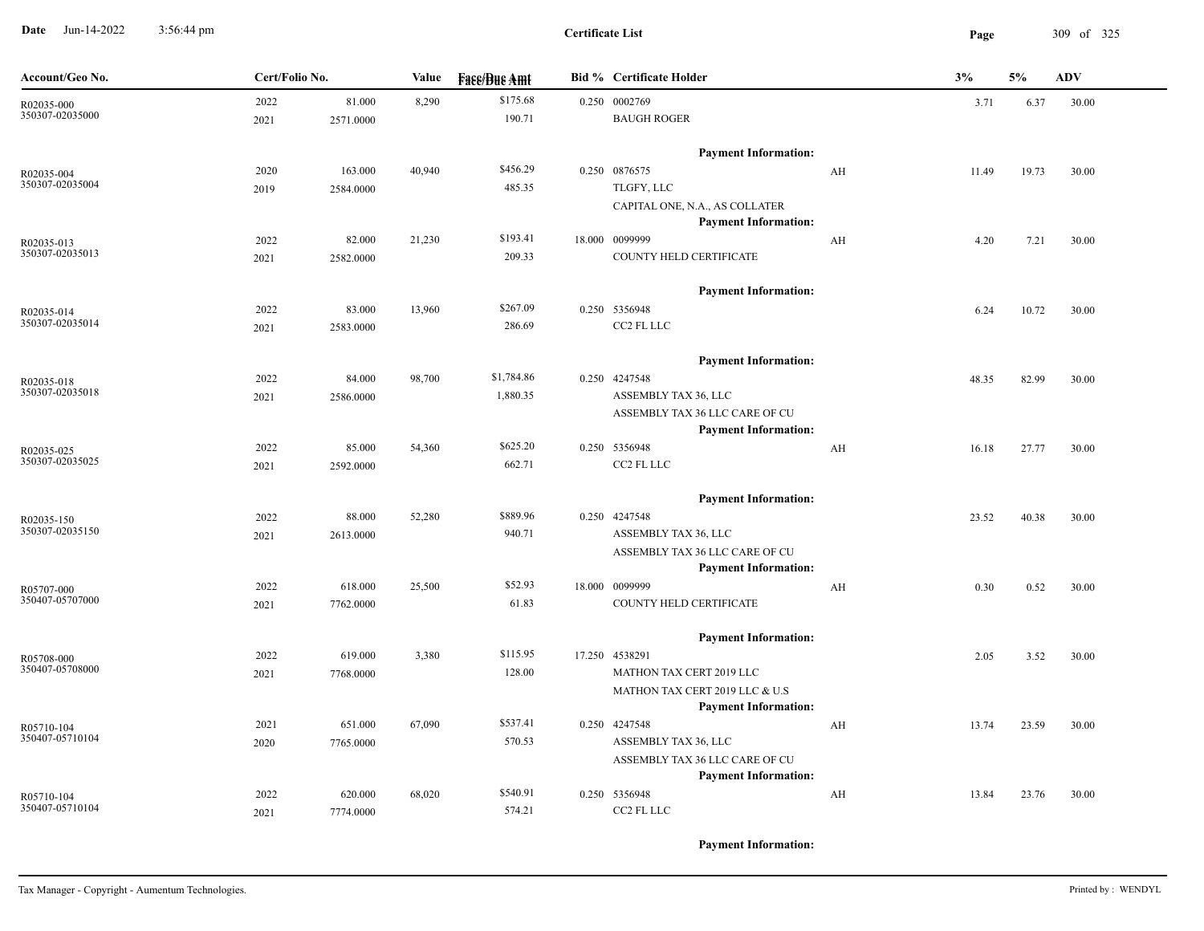**Date** Jun-14-2022 3:56:44 pm **Page** 309 of 325 3:56:44 pm

**Certificate List**

| Account/Geo No.               | Cert/Folio No. |           | Value  | <b>Fase/Bue Amt</b> | <b>Bid % Certificate Holder</b>                               |    | 3%    | 5%    | <b>ADV</b> |
|-------------------------------|----------------|-----------|--------|---------------------|---------------------------------------------------------------|----|-------|-------|------------|
| R02035-000                    | 2022           | 81.000    | 8,290  | \$175.68            | 0.250 0002769                                                 |    | 3.71  | 6.37  | 30.00      |
| 350307-02035000               | 2021           | 2571.0000 |        | 190.71              | <b>BAUGH ROGER</b>                                            |    |       |       |            |
|                               |                |           |        |                     | <b>Payment Information:</b>                                   |    |       |       |            |
| R02035-004                    | 2020           | 163.000   | 40,940 | \$456.29            | 0.250 0876575                                                 | AH | 11.49 | 19.73 | 30.00      |
| 350307-02035004               | 2019           | 2584.0000 |        | 485.35              | TLGFY, LLC                                                    |    |       |       |            |
|                               |                |           |        |                     | CAPITAL ONE, N.A., AS COLLATER<br><b>Payment Information:</b> |    |       |       |            |
| R02035-013                    | 2022           | 82.000    | 21,230 | \$193.41            | 18.000 0099999                                                | AH | 4.20  | 7.21  | 30.00      |
| 350307-02035013               | 2021           | 2582.0000 |        | 209.33              | COUNTY HELD CERTIFICATE                                       |    |       |       |            |
|                               |                |           |        |                     | <b>Payment Information:</b>                                   |    |       |       |            |
| R02035-014                    | 2022           | 83.000    | 13,960 | \$267.09            | 0.250 5356948                                                 |    | 6.24  | 10.72 | 30.00      |
| 350307-02035014               | 2021           | 2583.0000 |        | 286.69              | CC2 FL LLC                                                    |    |       |       |            |
|                               |                |           |        |                     | <b>Payment Information:</b>                                   |    |       |       |            |
| R02035-018                    | 2022           | 84.000    | 98,700 | \$1,784.86          | 0.250 4247548                                                 |    | 48.35 | 82.99 | 30.00      |
| 350307-02035018               | 2021           | 2586.0000 |        | 1,880.35            | ASSEMBLY TAX 36, LLC                                          |    |       |       |            |
|                               |                |           |        |                     | ASSEMBLY TAX 36 LLC CARE OF CU                                |    |       |       |            |
|                               |                |           |        |                     | <b>Payment Information:</b>                                   |    |       |       |            |
| R02035-025<br>350307-02035025 | 2022           | 85.000    | 54,360 | \$625.20            | 0.250 5356948                                                 | AH | 16.18 | 27.77 | 30.00      |
|                               | 2021           | 2592.0000 |        | 662.71              | CC2 FL LLC                                                    |    |       |       |            |
|                               |                |           |        |                     | <b>Payment Information:</b>                                   |    |       |       |            |
| R02035-150<br>350307-02035150 | 2022           | 88.000    | 52,280 | \$889.96            | 0.250 4247548                                                 |    | 23.52 | 40.38 | 30.00      |
|                               | 2021           | 2613.0000 |        | 940.71              | ASSEMBLY TAX 36, LLC                                          |    |       |       |            |
|                               |                |           |        |                     | ASSEMBLY TAX 36 LLC CARE OF CU<br><b>Payment Information:</b> |    |       |       |            |
| R05707-000                    | 2022           | 618.000   | 25,500 | \$52.93             | 18.000 0099999                                                | AH | 0.30  | 0.52  | 30.00      |
| 350407-05707000               | 2021           | 7762.0000 |        | 61.83               | COUNTY HELD CERTIFICATE                                       |    |       |       |            |
|                               |                |           |        |                     | <b>Payment Information:</b>                                   |    |       |       |            |
| R05708-000                    | 2022           | 619.000   | 3,380  | \$115.95            | 17.250 4538291                                                |    | 2.05  | 3.52  | 30.00      |
| 350407-05708000               | 2021           | 7768.0000 |        | 128.00              | MATHON TAX CERT 2019 LLC                                      |    |       |       |            |
|                               |                |           |        |                     | MATHON TAX CERT 2019 LLC & U.S                                |    |       |       |            |
| R05710-104                    | 2021           | 651.000   | 67,090 | \$537.41            | <b>Payment Information:</b><br>0.250 4247548                  | AH | 13.74 | 23.59 | 30.00      |
| 350407-05710104               | 2020           | 7765.0000 |        | 570.53              | ASSEMBLY TAX 36, LLC                                          |    |       |       |            |
|                               |                |           |        |                     | ASSEMBLY TAX 36 LLC CARE OF CU                                |    |       |       |            |
|                               |                |           |        |                     | <b>Payment Information:</b>                                   |    |       |       |            |
| R05710-104                    | 2022           | 620.000   | 68,020 | \$540.91            | 0.250 5356948                                                 | AH | 13.84 | 23.76 | 30.00      |
| 350407-05710104               | 2021           | 7774.0000 |        | 574.21              | CC2 FL LLC                                                    |    |       |       |            |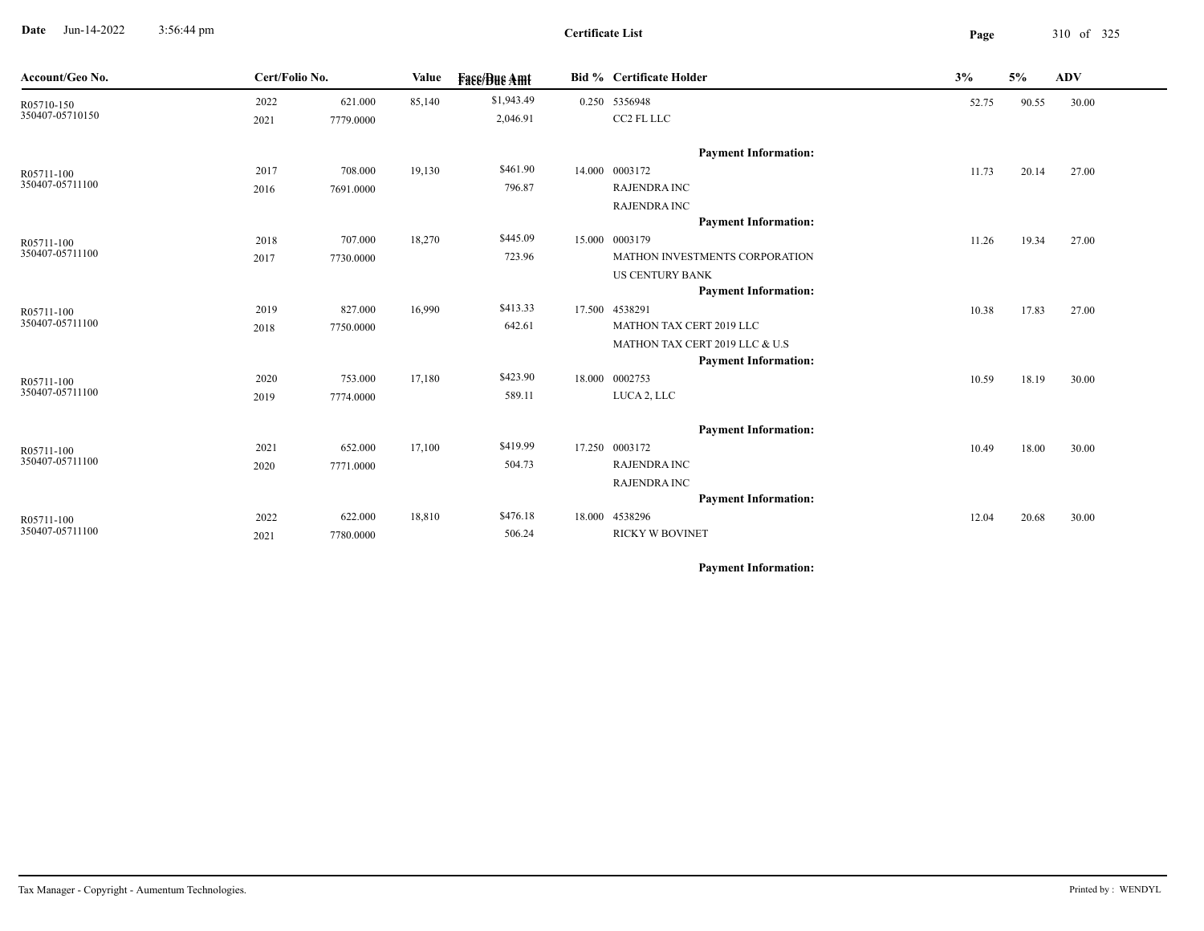**Date** Jun-14-2022 3:56:44 pm **Page** 310 of 325 3:56:44 pm

| Account/Geo No. |      | Cert/Folio No. |        | <b>Face/Bue Amt</b> | Bid % Certificate Holder |                                | 3%<br>5% |       | ADV   |  |
|-----------------|------|----------------|--------|---------------------|--------------------------|--------------------------------|----------|-------|-------|--|
| R05710-150      | 2022 | 621.000        | 85,140 | \$1,943.49          |                          | 0.250 5356948                  | 52.75    | 90.55 | 30.00 |  |
| 350407-05710150 | 2021 | 7779.0000      |        | 2,046.91            |                          | CC2 FL LLC                     |          |       |       |  |
|                 |      |                |        |                     |                          | <b>Payment Information:</b>    |          |       |       |  |
| R05711-100      | 2017 | 708.000        | 19,130 | \$461.90            |                          | 14.000 0003172                 | 11.73    | 20.14 | 27.00 |  |
| 350407-05711100 | 2016 | 7691.0000      |        | 796.87              |                          | <b>RAJENDRA INC</b>            |          |       |       |  |
|                 |      |                |        |                     |                          | <b>RAJENDRA INC</b>            |          |       |       |  |
|                 |      |                |        |                     |                          | <b>Payment Information:</b>    |          |       |       |  |
| R05711-100      | 2018 | 707.000        | 18,270 | \$445.09            |                          | 15.000 0003179                 | 11.26    | 19.34 | 27.00 |  |
| 350407-05711100 | 2017 | 7730.0000      |        | 723.96              |                          | MATHON INVESTMENTS CORPORATION |          |       |       |  |
|                 |      |                |        |                     |                          | <b>US CENTURY BANK</b>         |          |       |       |  |
|                 |      |                |        |                     |                          | <b>Payment Information:</b>    |          |       |       |  |
| R05711-100      | 2019 | 827.000        | 16,990 | \$413.33            |                          | 17.500 4538291                 | 10.38    | 17.83 | 27.00 |  |
| 350407-05711100 | 2018 | 7750.0000      |        | 642.61              |                          | MATHON TAX CERT 2019 LLC       |          |       |       |  |
|                 |      |                |        |                     |                          | MATHON TAX CERT 2019 LLC & U.S |          |       |       |  |
|                 |      |                |        |                     |                          | <b>Payment Information:</b>    |          |       |       |  |
| R05711-100      | 2020 | 753.000        | 17,180 | \$423.90            |                          | 18.000 0002753                 | 10.59    | 18.19 | 30.00 |  |
| 350407-05711100 | 2019 | 7774.0000      |        | 589.11              |                          | LUCA 2, LLC                    |          |       |       |  |
|                 |      |                |        |                     |                          | <b>Payment Information:</b>    |          |       |       |  |
| R05711-100      | 2021 | 652.000        | 17,100 | \$419.99            |                          | 17.250 0003172                 | 10.49    | 18.00 | 30.00 |  |
| 350407-05711100 | 2020 | 7771.0000      |        | 504.73              |                          | <b>RAJENDRA INC</b>            |          |       |       |  |
|                 |      |                |        |                     |                          | <b>RAJENDRA INC</b>            |          |       |       |  |
|                 |      |                |        |                     |                          | <b>Payment Information:</b>    |          |       |       |  |
| R05711-100      | 2022 | 622.000        | 18,810 | \$476.18            |                          | 18.000 4538296                 | 12.04    | 20.68 | 30.00 |  |
| 350407-05711100 | 2021 | 7780.0000      |        | 506.24              |                          | <b>RICKY W BOVINET</b>         |          |       |       |  |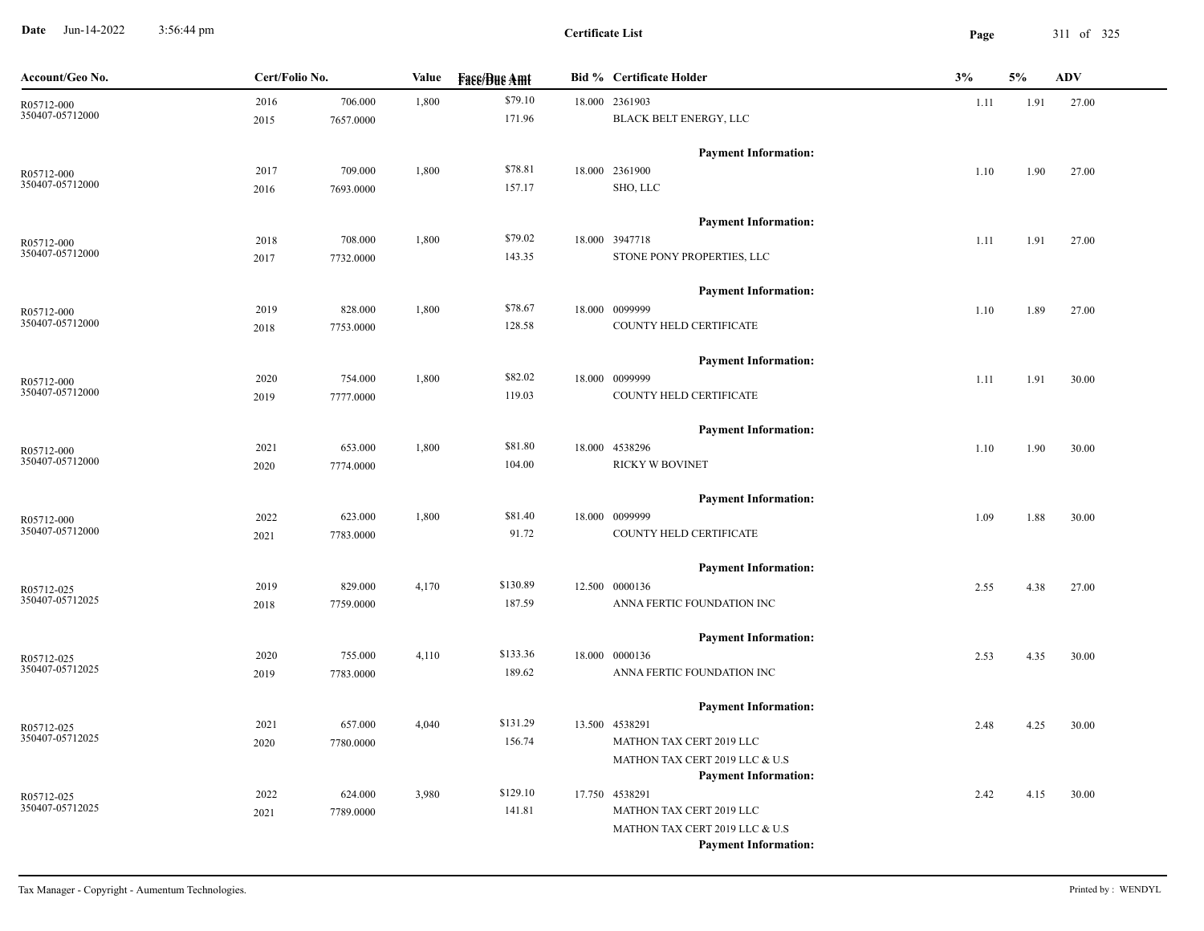**Date** Jun-14-2022 3:56:44 pm **Page** 311 of 325 3:56:44 pm

**Certificate List**

| Account/Geo No.               | Cert/Folio No. |           | Value | <b>Fass/Bus Amt</b> | <b>Bid % Certificate Holder</b>                               | 3%   | 5%   | <b>ADV</b> |
|-------------------------------|----------------|-----------|-------|---------------------|---------------------------------------------------------------|------|------|------------|
| R05712-000                    | 2016           | 706.000   | 1,800 | \$79.10             | 18.000 2361903                                                | 1.11 | 1.91 | 27.00      |
| 350407-05712000               | 2015           | 7657.0000 |       | 171.96              | BLACK BELT ENERGY, LLC                                        |      |      |            |
|                               |                |           |       |                     | <b>Payment Information:</b>                                   |      |      |            |
| R05712-000                    | 2017           | 709.000   | 1,800 | \$78.81             | 18.000 2361900                                                | 1.10 | 1.90 | 27.00      |
| 350407-05712000               | 2016           | 7693.0000 |       | 157.17              | SHO, LLC                                                      |      |      |            |
|                               |                |           |       |                     | <b>Payment Information:</b>                                   |      |      |            |
| R05712-000                    | 2018           | 708.000   | 1,800 | \$79.02             | 18.000 3947718                                                | 1.11 | 1.91 | 27.00      |
| 350407-05712000               | 2017           | 7732.0000 |       | 143.35              | STONE PONY PROPERTIES, LLC                                    |      |      |            |
|                               |                |           |       |                     |                                                               |      |      |            |
|                               |                | 828.000   |       | \$78.67             | <b>Payment Information:</b><br>18.000 0099999                 |      |      |            |
| R05712-000<br>350407-05712000 | 2019<br>2018   | 7753.0000 | 1,800 | 128.58              | COUNTY HELD CERTIFICATE                                       | 1.10 | 1.89 | 27.00      |
|                               |                |           |       |                     |                                                               |      |      |            |
|                               |                |           |       |                     | <b>Payment Information:</b>                                   |      |      |            |
| R05712-000<br>350407-05712000 | 2020           | 754.000   | 1,800 | \$82.02             | 18.000 0099999                                                | 1.11 | 1.91 | 30.00      |
|                               | 2019           | 7777.0000 |       | 119.03              | COUNTY HELD CERTIFICATE                                       |      |      |            |
|                               |                |           |       |                     | <b>Payment Information:</b>                                   |      |      |            |
| R05712-000                    | 2021           | 653.000   | 1,800 | \$81.80             | 18.000 4538296                                                | 1.10 | 1.90 | 30.00      |
| 350407-05712000               | 2020           | 7774.0000 |       | 104.00              | <b>RICKY W BOVINET</b>                                        |      |      |            |
|                               |                |           |       |                     | <b>Payment Information:</b>                                   |      |      |            |
| R05712-000                    | 2022           | 623.000   | 1,800 | \$81.40             | 18.000 0099999                                                | 1.09 | 1.88 | 30.00      |
| 350407-05712000               | 2021           | 7783.0000 |       | 91.72               | COUNTY HELD CERTIFICATE                                       |      |      |            |
|                               |                |           |       |                     | <b>Payment Information:</b>                                   |      |      |            |
| R05712-025                    | 2019           | 829.000   | 4,170 | \$130.89            | 12.500 0000136                                                | 2.55 | 4.38 | 27.00      |
| 350407-05712025               | 2018           | 7759.0000 |       | 187.59              | ANNA FERTIC FOUNDATION INC                                    |      |      |            |
|                               |                |           |       |                     | <b>Payment Information:</b>                                   |      |      |            |
| R05712-025                    | 2020           | 755.000   | 4,110 | \$133.36            | 18.000 0000136                                                | 2.53 | 4.35 | 30.00      |
| 350407-05712025               | 2019           | 7783.0000 |       | 189.62              | ANNA FERTIC FOUNDATION INC                                    |      |      |            |
|                               |                |           |       |                     | <b>Payment Information:</b>                                   |      |      |            |
| R05712-025                    | 2021           | 657.000   | 4,040 | \$131.29            | 13.500 4538291                                                | 2.48 | 4.25 | 30.00      |
| 350407-05712025               | 2020           | 7780.0000 |       | 156.74              | MATHON TAX CERT 2019 LLC                                      |      |      |            |
|                               |                |           |       |                     | MATHON TAX CERT 2019 LLC & U.S                                |      |      |            |
|                               |                |           |       |                     | <b>Payment Information:</b>                                   |      |      |            |
| R05712-025<br>350407-05712025 | 2022           | 624.000   | 3,980 | \$129.10            | 17.750 4538291                                                | 2.42 | 4.15 | 30.00      |
|                               | 2021           | 7789.0000 |       | 141.81              | MATHON TAX CERT 2019 LLC                                      |      |      |            |
|                               |                |           |       |                     | MATHON TAX CERT 2019 LLC & U.S<br><b>Payment Information:</b> |      |      |            |
|                               |                |           |       |                     |                                                               |      |      |            |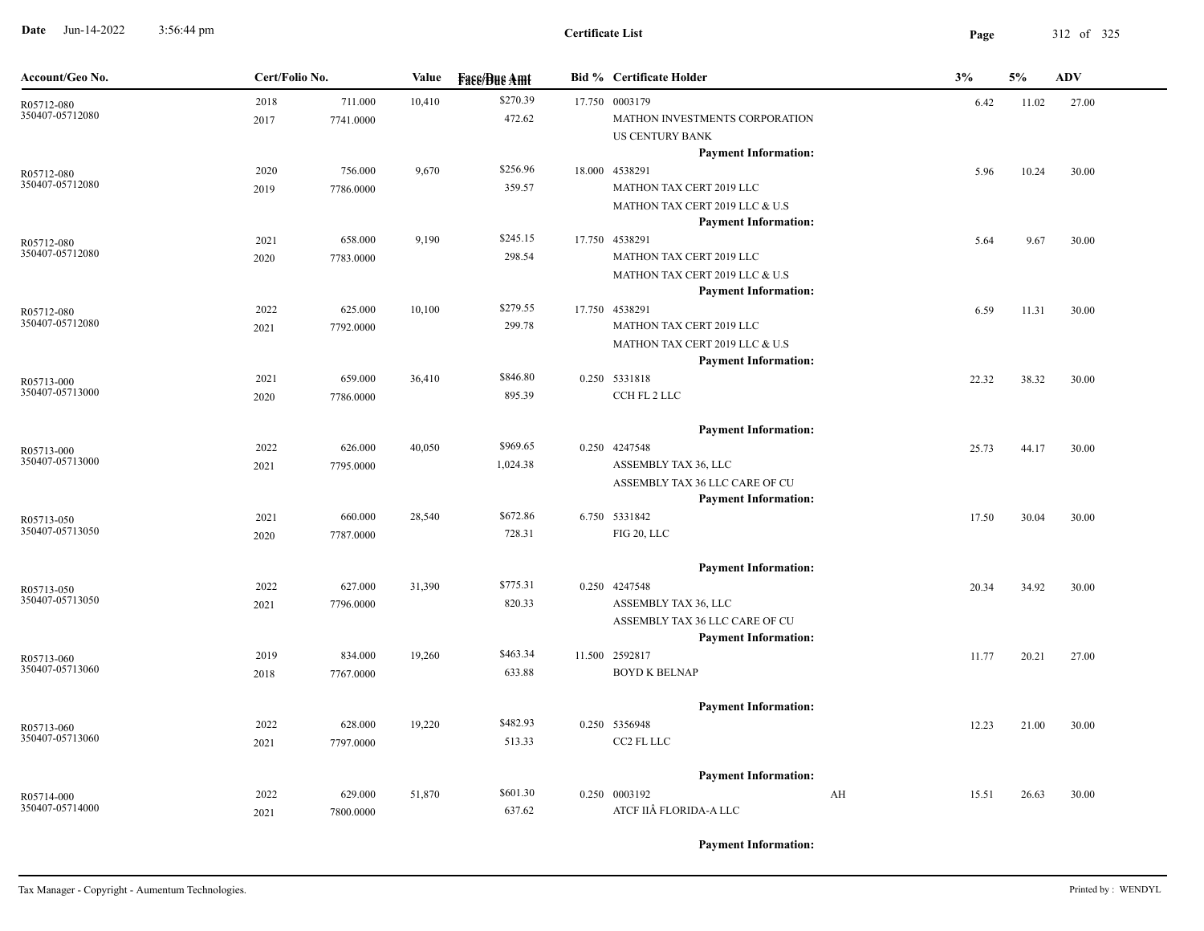**Date** Jun-14-2022 3:56:44 pm **Page** 312 of 325 3:56:44 pm

| Account/Geo No.               | Cert/Folio No. |           | Value  | <b>Face/Bue Amt</b> | <b>Bid % Certificate Holder</b>                               | 3%          | 5%    | <b>ADV</b> |
|-------------------------------|----------------|-----------|--------|---------------------|---------------------------------------------------------------|-------------|-------|------------|
| R05712-080                    | 2018           | 711.000   | 10,410 | \$270.39            | 17.750 0003179                                                | 6.42        | 11.02 | 27.00      |
| 350407-05712080               | 2017           | 7741.0000 |        | 472.62              | MATHON INVESTMENTS CORPORATION                                |             |       |            |
|                               |                |           |        |                     | US CENTURY BANK                                               |             |       |            |
|                               |                |           |        |                     | <b>Payment Information:</b>                                   |             |       |            |
| R05712-080<br>350407-05712080 | 2020           | 756.000   | 9,670  | \$256.96            | 18.000 4538291                                                | 5.96        | 10.24 | 30.00      |
|                               | 2019           | 7786.0000 |        | 359.57              | MATHON TAX CERT 2019 LLC                                      |             |       |            |
|                               |                |           |        |                     | MATHON TAX CERT 2019 LLC & U.S<br><b>Payment Information:</b> |             |       |            |
| R05712-080                    | 2021           | 658.000   | 9,190  | \$245.15            | 17.750 4538291                                                | 5.64        | 9.67  | 30.00      |
| 350407-05712080               | 2020           | 7783.0000 |        | 298.54              | MATHON TAX CERT 2019 LLC                                      |             |       |            |
|                               |                |           |        |                     | MATHON TAX CERT 2019 LLC & U.S                                |             |       |            |
|                               |                |           |        |                     | <b>Payment Information:</b>                                   |             |       |            |
| R05712-080                    | 2022           | 625.000   | 10,100 | \$279.55            | 17.750 4538291                                                | 6.59        | 11.31 | 30.00      |
| 350407-05712080               | 2021           | 7792.0000 |        | 299.78              | MATHON TAX CERT 2019 LLC                                      |             |       |            |
|                               |                |           |        |                     | MATHON TAX CERT 2019 LLC & U.S                                |             |       |            |
|                               |                |           |        |                     | <b>Payment Information:</b>                                   |             |       |            |
| R05713-000                    | 2021           | 659.000   | 36,410 | \$846.80            | 0.250 5331818                                                 | 22.32       | 38.32 | 30.00      |
| 350407-05713000               | 2020           | 7786.0000 |        | 895.39              | CCH FL 2 LLC                                                  |             |       |            |
|                               |                |           |        |                     | <b>Payment Information:</b>                                   |             |       |            |
| R05713-000                    | 2022           | 626.000   | 40,050 | \$969.65            | 0.250 4247548                                                 | 25.73       | 44.17 | 30.00      |
| 350407-05713000               | 2021           | 7795.0000 |        | 1,024.38            | ASSEMBLY TAX 36, LLC                                          |             |       |            |
|                               |                |           |        |                     | ASSEMBLY TAX 36 LLC CARE OF CU                                |             |       |            |
|                               |                |           |        |                     | <b>Payment Information:</b>                                   |             |       |            |
| R05713-050                    | 2021           | 660.000   | 28,540 | \$672.86            | 6.750 5331842                                                 | 17.50       | 30.04 | 30.00      |
| 350407-05713050               | 2020           | 7787.0000 |        | 728.31              | FIG 20, LLC                                                   |             |       |            |
|                               |                |           |        |                     | <b>Payment Information:</b>                                   |             |       |            |
| R05713-050                    | 2022           | 627.000   | 31,390 | \$775.31            | 0.250 4247548                                                 | 20.34       | 34.92 | 30.00      |
| 350407-05713050               | 2021           | 7796.0000 |        | 820.33              | ASSEMBLY TAX 36, LLC                                          |             |       |            |
|                               |                |           |        |                     | ASSEMBLY TAX 36 LLC CARE OF CU                                |             |       |            |
|                               |                |           |        |                     | <b>Payment Information:</b>                                   |             |       |            |
| R05713-060                    | 2019           | 834.000   | 19,260 | \$463.34            | 11.500 2592817                                                | 11.77       | 20.21 | 27.00      |
| 350407-05713060               | 2018           | 7767.0000 |        | 633.88              | <b>BOYD K BELNAP</b>                                          |             |       |            |
|                               |                |           |        |                     | <b>Payment Information:</b>                                   |             |       |            |
|                               | 2022           | 628.000   | 19,220 | \$482.93            | 0.250 5356948                                                 | 12.23       | 21.00 | 30.00      |
| R05713-060<br>350407-05713060 | 2021           | 7797.0000 |        | 513.33              | CC2 FL LLC                                                    |             |       |            |
|                               |                |           |        |                     |                                                               |             |       |            |
|                               |                |           |        |                     | <b>Payment Information:</b>                                   |             |       |            |
| R05714-000                    | 2022           | 629.000   | 51,870 | \$601.30            | 0.250 0003192                                                 | AH<br>15.51 | 26.63 | 30.00      |
| 350407-05714000               | 2021           | 7800.0000 |        | 637.62              | ATCF IIÂ FLORIDA-A LLC                                        |             |       |            |
|                               |                |           |        |                     |                                                               |             |       |            |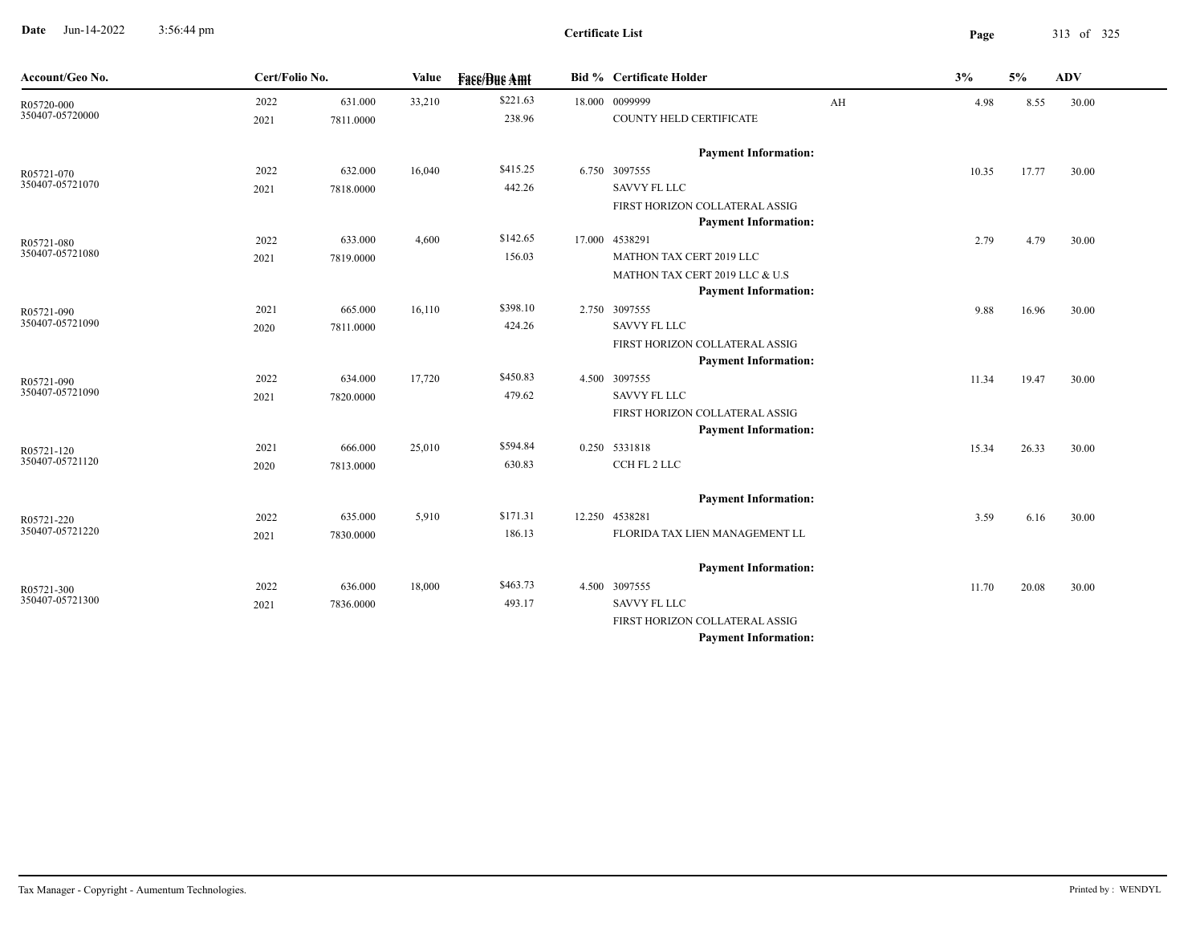**Date** Jun-14-2022 3:56:44 pm **Page** 313 of 325 3:56:44 pm

| Account/Geo No.               | Cert/Folio No. |           | Value  | <b>Face/Bue Amt</b> | <b>Bid % Certificate Holder</b>                               |    | 3%    | 5%    | <b>ADV</b> |
|-------------------------------|----------------|-----------|--------|---------------------|---------------------------------------------------------------|----|-------|-------|------------|
| R05720-000                    | 2022           | 631.000   | 33,210 | \$221.63            | 18.000 0099999                                                | AH | 4.98  | 8.55  | 30.00      |
| 350407-05720000               | 2021           | 7811.0000 |        | 238.96              | COUNTY HELD CERTIFICATE                                       |    |       |       |            |
|                               |                |           |        |                     | <b>Payment Information:</b>                                   |    |       |       |            |
| R05721-070                    | 2022           | 632.000   | 16,040 | \$415.25            | 6.750 3097555                                                 |    | 10.35 | 17.77 | 30.00      |
| 350407-05721070               | 2021           | 7818.0000 |        | 442.26              | SAVVY FL LLC                                                  |    |       |       |            |
|                               |                |           |        |                     | FIRST HORIZON COLLATERAL ASSIG                                |    |       |       |            |
|                               |                |           |        |                     | <b>Payment Information:</b>                                   |    |       |       |            |
| R05721-080                    | 2022           | 633.000   | 4,600  | \$142.65            | 17.000 4538291                                                |    | 2.79  | 4.79  | 30.00      |
| 350407-05721080               | 2021           | 7819.0000 |        | 156.03              | MATHON TAX CERT 2019 LLC                                      |    |       |       |            |
|                               |                |           |        |                     | MATHON TAX CERT 2019 LLC & U.S                                |    |       |       |            |
|                               |                |           |        |                     | <b>Payment Information:</b>                                   |    |       |       |            |
| R05721-090<br>350407-05721090 | 2021           | 665.000   | 16,110 | \$398.10            | 2.750 3097555                                                 |    | 9.88  | 16.96 | 30.00      |
|                               | 2020           | 7811.0000 |        | 424.26              | <b>SAVVY FL LLC</b>                                           |    |       |       |            |
|                               |                |           |        |                     | FIRST HORIZON COLLATERAL ASSIG<br><b>Payment Information:</b> |    |       |       |            |
|                               | 2022           | 634.000   | 17,720 | \$450.83            | 4.500 3097555                                                 |    | 11.34 | 19.47 | 30.00      |
| R05721-090<br>350407-05721090 | 2021           | 7820.0000 |        | 479.62              | <b>SAVVY FL LLC</b>                                           |    |       |       |            |
|                               |                |           |        |                     | FIRST HORIZON COLLATERAL ASSIG                                |    |       |       |            |
|                               |                |           |        |                     | <b>Payment Information:</b>                                   |    |       |       |            |
| R05721-120                    | 2021           | 666.000   | 25,010 | \$594.84            | 0.250 5331818                                                 |    | 15.34 | 26.33 | 30.00      |
| 350407-05721120               | 2020           | 7813.0000 |        | 630.83              | CCH FL 2 LLC                                                  |    |       |       |            |
|                               |                |           |        |                     | <b>Payment Information:</b>                                   |    |       |       |            |
|                               | 2022           | 635.000   | 5,910  | \$171.31            | 12.250 4538281                                                |    | 3.59  | 6.16  | 30.00      |
| R05721-220<br>350407-05721220 | 2021           | 7830.0000 |        | 186.13              | FLORIDA TAX LIEN MANAGEMENT LL                                |    |       |       |            |
|                               |                |           |        |                     |                                                               |    |       |       |            |
|                               |                |           |        |                     | <b>Payment Information:</b>                                   |    |       |       |            |
| R05721-300                    | 2022           | 636.000   | 18,000 | \$463.73            | 4.500 3097555                                                 |    | 11.70 | 20.08 | 30.00      |
| 350407-05721300               | 2021           | 7836.0000 |        | 493.17              | <b>SAVVY FL LLC</b>                                           |    |       |       |            |
|                               |                |           |        |                     | FIRST HORIZON COLLATERAL ASSIG                                |    |       |       |            |
|                               |                |           |        |                     | <b>Payment Information:</b>                                   |    |       |       |            |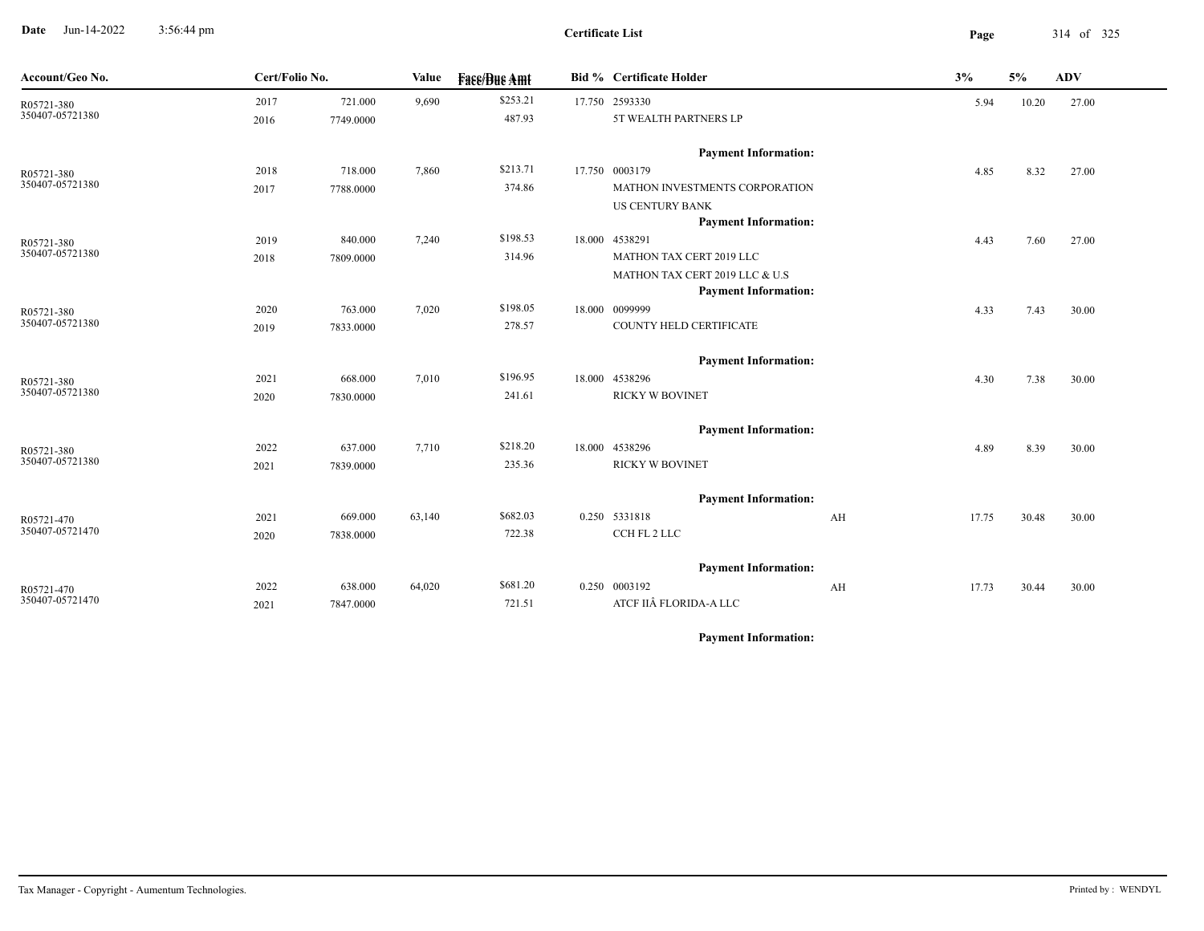**Date** Jun-14-2022 3:56:44 pm **Page** 314 of 325 3:56:44 pm

| Account/Geo No.               | Cert/Folio No. |           | Value  | <b>Fase/Bue Amt</b> | <b>Bid % Certificate Holder</b>         | 3% |       | 5%    | ADV   |
|-------------------------------|----------------|-----------|--------|---------------------|-----------------------------------------|----|-------|-------|-------|
| R05721-380<br>350407-05721380 | 2017           | 721.000   | 9,690  | \$253.21<br>487.93  | 17.750 2593330<br>5T WEALTH PARTNERS LP |    | 5.94  | 10.20 | 27.00 |
|                               | 2016           | 7749.0000 |        |                     |                                         |    |       |       |       |
|                               |                |           |        |                     | <b>Payment Information:</b>             |    |       |       |       |
| R05721-380                    | 2018           | 718.000   | 7,860  | \$213.71            | 17.750 0003179                          |    | 4.85  | 8.32  | 27.00 |
| 350407-05721380               | 2017           | 7788.0000 |        | 374.86              | MATHON INVESTMENTS CORPORATION          |    |       |       |       |
|                               |                |           |        |                     | <b>US CENTURY BANK</b>                  |    |       |       |       |
|                               |                |           |        |                     | <b>Payment Information:</b>             |    |       |       |       |
| R05721-380<br>350407-05721380 | 2019           | 840.000   | 7,240  | \$198.53            | 18.000 4538291                          |    | 4.43  | 7.60  | 27.00 |
|                               | 2018           | 7809.0000 |        | 314.96              | MATHON TAX CERT 2019 LLC                |    |       |       |       |
|                               |                |           |        |                     | MATHON TAX CERT 2019 LLC & U.S          |    |       |       |       |
|                               |                |           |        |                     | <b>Payment Information:</b>             |    |       |       |       |
| R05721-380<br>350407-05721380 | 2020           | 763.000   | 7,020  | \$198.05<br>278.57  | 18.000 0099999                          |    | 4.33  | 7.43  | 30.00 |
|                               | 2019           | 7833.0000 |        |                     | COUNTY HELD CERTIFICATE                 |    |       |       |       |
|                               |                |           |        |                     | <b>Payment Information:</b>             |    |       |       |       |
| R05721-380                    | 2021           | 668.000   | 7,010  | \$196.95            | 18.000 4538296                          |    | 4.30  | 7.38  | 30.00 |
| 350407-05721380               | 2020           | 7830.0000 |        | 241.61              | <b>RICKY W BOVINET</b>                  |    |       |       |       |
|                               |                |           |        |                     | <b>Payment Information:</b>             |    |       |       |       |
| R05721-380                    | 2022           | 637.000   | 7,710  | \$218.20            | 18.000 4538296                          |    | 4.89  | 8.39  | 30.00 |
| 350407-05721380               | 2021           | 7839.0000 |        | 235.36              | <b>RICKY W BOVINET</b>                  |    |       |       |       |
|                               |                |           |        |                     | <b>Payment Information:</b>             |    |       |       |       |
| R05721-470                    | 2021           | 669.000   | 63,140 | \$682.03            | 0.250 5331818                           | AH | 17.75 | 30.48 | 30.00 |
| 350407-05721470               | 2020           | 7838.0000 |        | 722.38              | CCH FL 2 LLC                            |    |       |       |       |
|                               |                |           |        |                     |                                         |    |       |       |       |
|                               |                |           |        |                     | <b>Payment Information:</b>             |    |       |       |       |
| R05721-470<br>350407-05721470 | 2022           | 638.000   | 64,020 | \$681.20            | 0.250 0003192                           | AH | 17.73 | 30.44 | 30.00 |
|                               | 2021           | 7847.0000 |        | 721.51              | ATCF IIÂ FLORIDA-A LLC                  |    |       |       |       |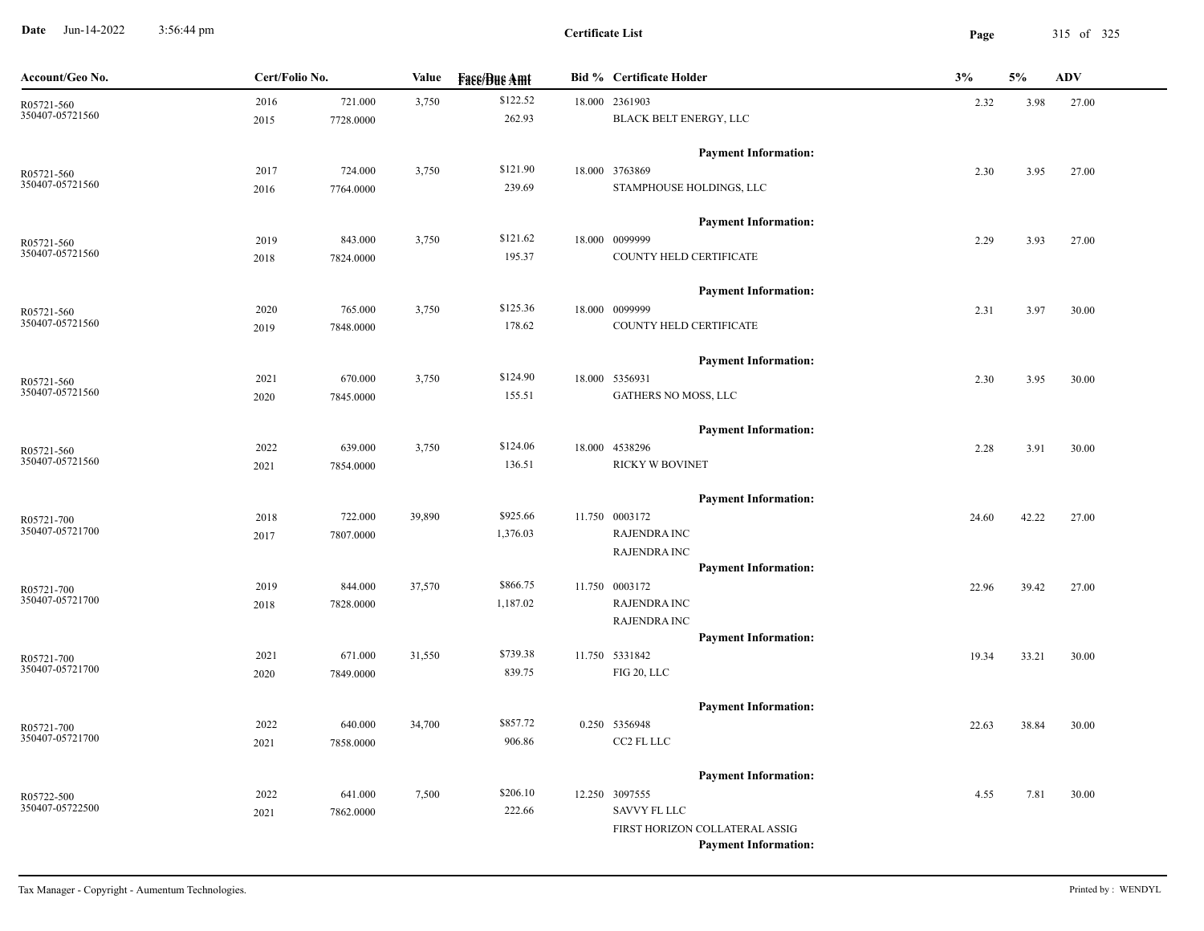**Date** Jun-14-2022 3:56:44 pm **Page** 315 of 325 3:56:44 pm

**Certificate List**

| Account/Geo No.               | Cert/Folio No. |           | Value  | <b>Face/Bue Amt</b> | <b>Bid % Certificate Holder</b>               | 3%    | 5%    | ${\bf A}{\bf D}{\bf V}$ |
|-------------------------------|----------------|-----------|--------|---------------------|-----------------------------------------------|-------|-------|-------------------------|
| R05721-560                    | 2016           | 721.000   | 3,750  | \$122.52            | 18.000 2361903                                | 2.32  | 3.98  | 27.00                   |
| 350407-05721560               | 2015           | 7728.0000 |        | 262.93              | BLACK BELT ENERGY, LLC                        |       |       |                         |
|                               |                |           |        |                     | <b>Payment Information:</b>                   |       |       |                         |
| R05721-560                    | 2017           | 724.000   | 3,750  | \$121.90            | 18.000 3763869                                | 2.30  | 3.95  | 27.00                   |
| 350407-05721560               | 2016           | 7764.0000 |        | 239.69              | STAMPHOUSE HOLDINGS, LLC                      |       |       |                         |
|                               |                |           |        |                     | <b>Payment Information:</b>                   |       |       |                         |
| R05721-560                    | 2019           | 843.000   | 3,750  | \$121.62            | 18.000 0099999                                | 2.29  | 3.93  | 27.00                   |
| 350407-05721560               | 2018           | 7824.0000 |        | 195.37              | COUNTY HELD CERTIFICATE                       |       |       |                         |
|                               |                |           |        |                     | <b>Payment Information:</b>                   |       |       |                         |
| R05721-560                    | 2020           | 765.000   | 3,750  | \$125.36            | 18.000 0099999                                | 2.31  | 3.97  | 30.00                   |
| 350407-05721560               | 2019           | 7848.0000 |        | 178.62              | COUNTY HELD CERTIFICATE                       |       |       |                         |
|                               |                |           |        |                     | <b>Payment Information:</b>                   |       |       |                         |
| R05721-560                    | 2021           | 670.000   | 3,750  | \$124.90            | 18.000 5356931                                | 2.30  | 3.95  | 30.00                   |
| 350407-05721560               | 2020           | 7845.0000 |        | 155.51              | GATHERS NO MOSS, LLC                          |       |       |                         |
|                               |                |           |        |                     | <b>Payment Information:</b>                   |       |       |                         |
| R05721-560                    | 2022           | 639.000   | 3,750  | \$124.06            | 18.000 4538296                                | 2.28  | 3.91  | 30.00                   |
| 350407-05721560               | 2021           | 7854.0000 |        | 136.51              | <b>RICKY W BOVINET</b>                        |       |       |                         |
|                               |                |           |        |                     | <b>Payment Information:</b>                   |       |       |                         |
| R05721-700                    | 2018           | 722.000   | 39,890 | \$925.66            | 11.750 0003172                                | 24.60 | 42.22 | 27.00                   |
| 350407-05721700               | 2017           | 7807.0000 |        | 1,376.03            | <b>RAJENDRA INC</b>                           |       |       |                         |
|                               |                |           |        |                     | <b>RAJENDRA INC</b>                           |       |       |                         |
|                               |                |           |        |                     | <b>Payment Information:</b>                   |       |       |                         |
| R05721-700                    | 2019           | 844.000   | 37,570 | \$866.75            | 11.750 0003172                                | 22.96 | 39.42 | 27.00                   |
| 350407-05721700               | 2018           | 7828.0000 |        | 1,187.02            | <b>RAJENDRA INC</b>                           |       |       |                         |
|                               |                |           |        |                     | <b>RAJENDRA INC</b>                           |       |       |                         |
|                               | 2021           | 671.000   | 31,550 | \$739.38            | <b>Payment Information:</b><br>11.750 5331842 |       |       |                         |
| R05721-700<br>350407-05721700 | 2020           | 7849.0000 |        | 839.75              | FIG 20, LLC                                   | 19.34 | 33.21 | 30.00                   |
|                               |                |           |        |                     |                                               |       |       |                         |
|                               |                |           |        |                     | <b>Payment Information:</b>                   |       |       |                         |
| R05721-700<br>350407-05721700 | 2022           | 640.000   | 34,700 | \$857.72            | 0.250 5356948                                 | 22.63 | 38.84 | 30.00                   |
|                               | 2021           | 7858.0000 |        | 906.86              | CC2 FL LLC                                    |       |       |                         |
|                               |                |           |        |                     | <b>Payment Information:</b>                   |       |       |                         |
| R05722-500                    | 2022           | 641.000   | 7,500  | \$206.10            | 12.250 3097555                                | 4.55  | 7.81  | 30.00                   |
| 350407-05722500               | 2021           | 7862.0000 |        | 222.66              | <b>SAVVY FL LLC</b>                           |       |       |                         |
|                               |                |           |        |                     | FIRST HORIZON COLLATERAL ASSIG                |       |       |                         |
|                               |                |           |        |                     | <b>Payment Information:</b>                   |       |       |                         |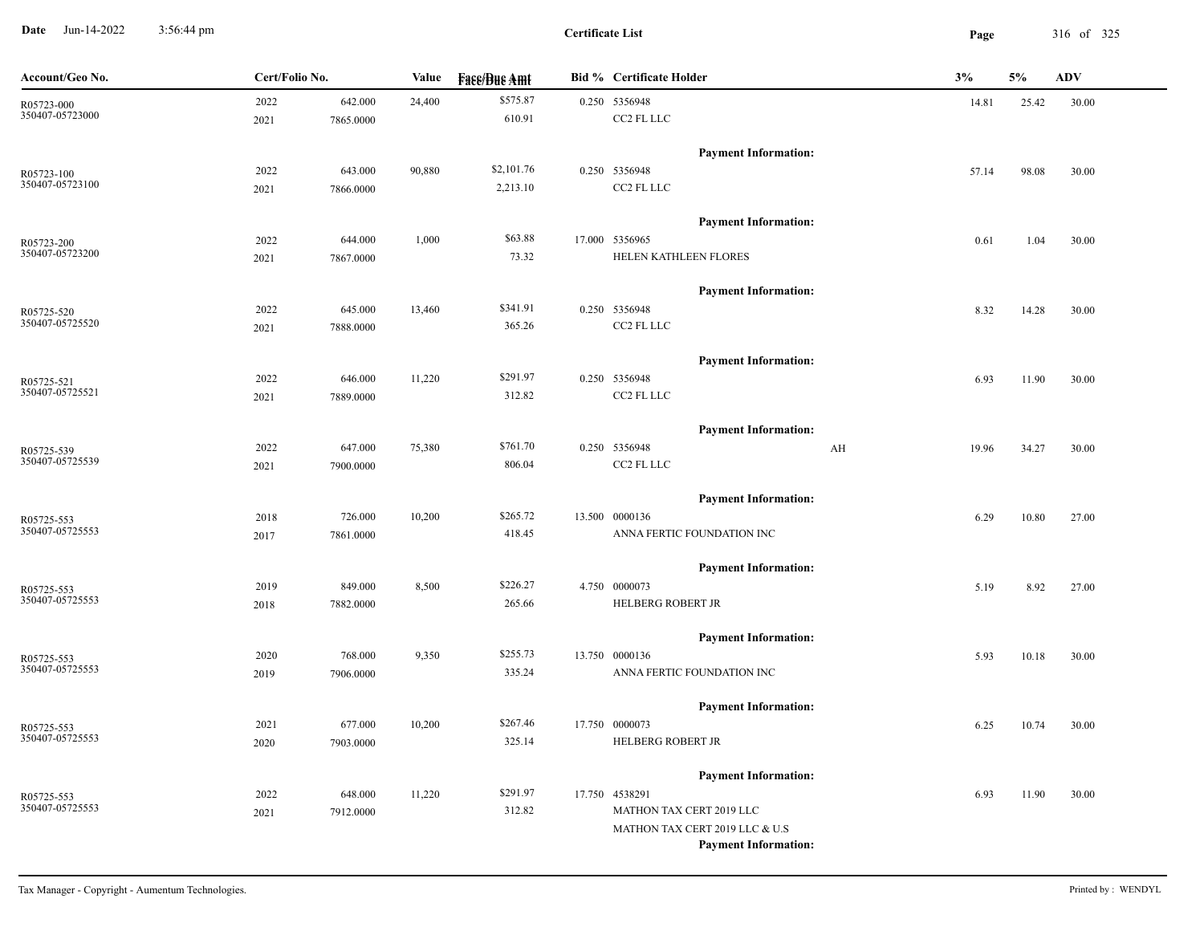**Date** Jun-14-2022 3:56:44 pm **Page** 316 of 325 3:56:44 pm

**Certificate List**

| Account/Geo No.               | Cert/Folio No. |           | Value  | <b>Face/Bue Amt</b> | <b>Bid % Certificate Holder</b>               | 3%          | 5%    | <b>ADV</b> |
|-------------------------------|----------------|-----------|--------|---------------------|-----------------------------------------------|-------------|-------|------------|
| R05723-000                    | 2022           | 642.000   | 24,400 | \$575.87            | 0.250 5356948                                 | 14.81       | 25.42 | 30.00      |
| 350407-05723000               | 2021           | 7865.0000 |        | 610.91              | CC2 FL LLC                                    |             |       |            |
|                               |                |           |        |                     | <b>Payment Information:</b>                   |             |       |            |
| R05723-100                    | 2022           | 643.000   | 90,880 | \$2,101.76          | 0.250 5356948                                 | 57.14       | 98.08 | 30.00      |
| 350407-05723100               | 2021           | 7866.0000 |        | 2,213.10            | CC2 FL LLC                                    |             |       |            |
|                               |                |           |        |                     | <b>Payment Information:</b>                   |             |       |            |
| R05723-200                    | 2022           | 644.000   | 1,000  | \$63.88             | 17.000 5356965                                | 0.61        | 1.04  | 30.00      |
| 350407-05723200               | 2021           | 7867.0000 |        | 73.32               | HELEN KATHLEEN FLORES                         |             |       |            |
|                               |                |           |        |                     |                                               |             |       |            |
|                               | 2022           | 645.000   | 13,460 | \$341.91            | <b>Payment Information:</b><br>0.250 5356948  | 8.32        | 14.28 | 30.00      |
| R05725-520<br>350407-05725520 | 2021           | 7888.0000 |        | 365.26              | CC2 FL LLC                                    |             |       |            |
|                               |                |           |        |                     |                                               |             |       |            |
|                               |                |           |        |                     | <b>Payment Information:</b>                   |             |       |            |
| R05725-521                    | 2022           | 646.000   | 11,220 | \$291.97            | 0.250 5356948                                 | 6.93        | 11.90 | 30.00      |
| 350407-05725521               | 2021           | 7889.0000 |        | 312.82              | CC2 FL LLC                                    |             |       |            |
|                               |                |           |        |                     | <b>Payment Information:</b>                   |             |       |            |
| R05725-539                    | 2022           | 647.000   | 75,380 | \$761.70            | 0.250 5356948                                 | AH<br>19.96 | 34.27 | 30.00      |
| 350407-05725539               | 2021           | 7900.0000 |        | 806.04              | CC2 FL LLC                                    |             |       |            |
|                               |                |           |        |                     |                                               |             |       |            |
|                               | 2018           | 726.000   | 10,200 | \$265.72            | <b>Payment Information:</b><br>13.500 0000136 |             |       |            |
| R05725-553<br>350407-05725553 | 2017           | 7861.0000 |        | 418.45              | ANNA FERTIC FOUNDATION INC                    | 6.29        | 10.80 | 27.00      |
|                               |                |           |        |                     |                                               |             |       |            |
|                               |                |           |        |                     | <b>Payment Information:</b>                   |             |       |            |
| R05725-553                    | 2019           | 849.000   | 8,500  | \$226.27            | 4.750 0000073                                 | 5.19        | 8.92  | 27.00      |
| 350407-05725553               | 2018           | 7882.0000 |        | 265.66              | HELBERG ROBERT JR                             |             |       |            |
|                               |                |           |        |                     | <b>Payment Information:</b>                   |             |       |            |
| R05725-553                    | 2020           | 768.000   | 9,350  | \$255.73            | 13.750 0000136                                | 5.93        | 10.18 | 30.00      |
| 350407-05725553               | 2019           | 7906.0000 |        | 335.24              | ANNA FERTIC FOUNDATION INC                    |             |       |            |
|                               |                |           |        |                     |                                               |             |       |            |
|                               | 2021           | 677.000   | 10,200 | \$267.46            | <b>Payment Information:</b><br>17.750 0000073 | 6.25        | 10.74 | 30.00      |
| R05725-553<br>350407-05725553 | 2020           | 7903.0000 |        | 325.14              | HELBERG ROBERT JR                             |             |       |            |
|                               |                |           |        |                     |                                               |             |       |            |
|                               |                |           |        |                     | <b>Payment Information:</b>                   |             |       |            |
| R05725-553                    | 2022           | 648.000   | 11,220 | \$291.97            | 17.750 4538291                                | 6.93        | 11.90 | 30.00      |
| 350407-05725553               | 2021           | 7912.0000 |        | 312.82              | MATHON TAX CERT 2019 LLC                      |             |       |            |
|                               |                |           |        |                     | MATHON TAX CERT 2019 LLC & U.S                |             |       |            |
|                               |                |           |        |                     | <b>Payment Information:</b>                   |             |       |            |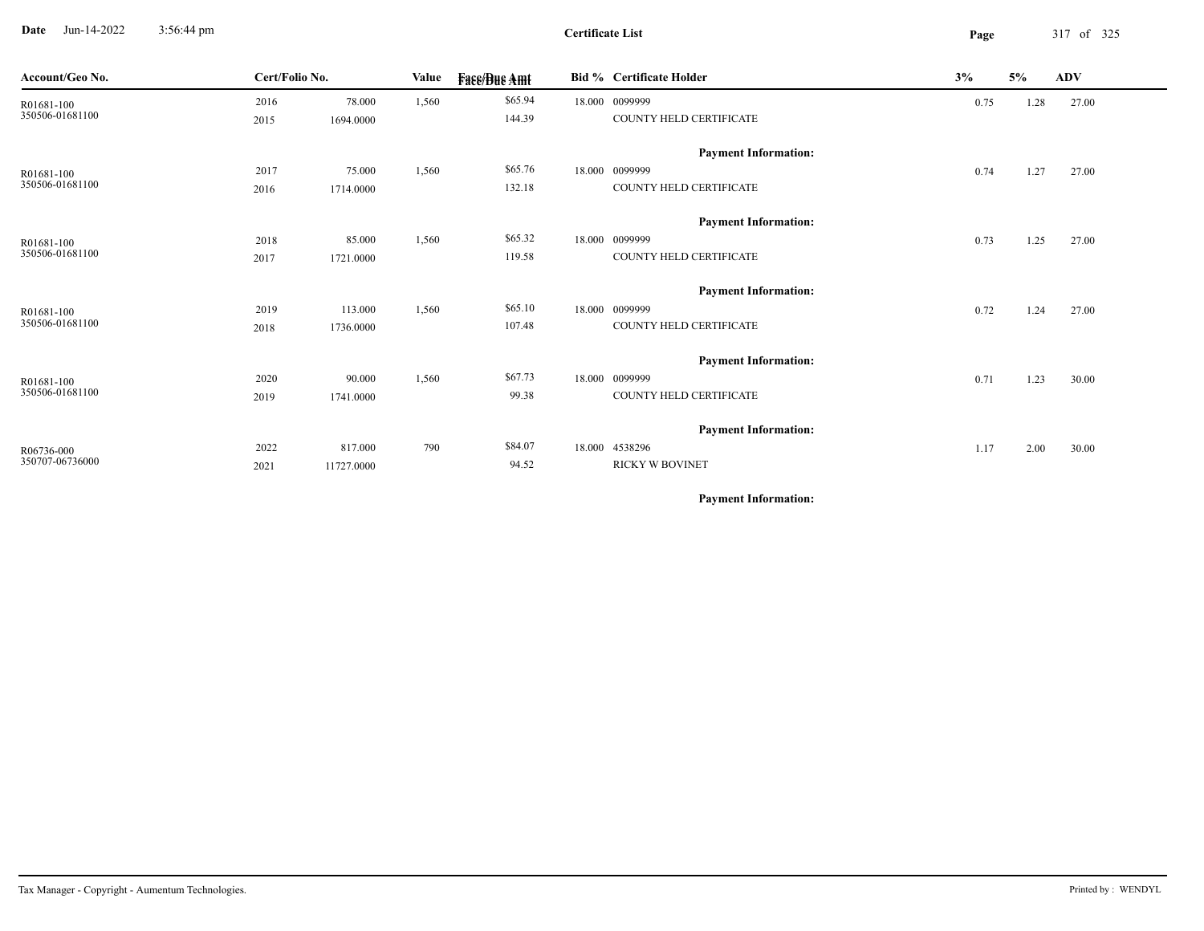**Date** Jun-14-2022 3:56:44 pm **Page** 317 of 325 3:56:44 pm

| Account/Geo No. | Cert/Folio No. |            | Value | <b>Face/Bue Amt</b> | <b>Bid % Certificate Holder</b> | 3%   | 5%   | <b>ADV</b> |
|-----------------|----------------|------------|-------|---------------------|---------------------------------|------|------|------------|
| R01681-100      | 2016           | 78.000     | 1,560 | \$65.94             | 18.000 0099999                  | 0.75 | 1.28 | 27.00      |
| 350506-01681100 | 2015           | 1694.0000  |       | 144.39              | COUNTY HELD CERTIFICATE         |      |      |            |
|                 |                |            |       |                     | <b>Payment Information:</b>     |      |      |            |
| R01681-100      | 2017           | 75.000     | 1,560 | \$65.76             | 18.000 0099999                  | 0.74 | 1.27 | 27.00      |
| 350506-01681100 | 2016           | 1714.0000  |       | 132.18              | COUNTY HELD CERTIFICATE         |      |      |            |
|                 |                |            |       |                     | <b>Payment Information:</b>     |      |      |            |
| R01681-100      | 2018           | 85.000     | 1,560 | \$65.32             | 18.000 0099999                  | 0.73 | 1.25 | 27.00      |
| 350506-01681100 | 2017           | 1721.0000  |       | 119.58              | COUNTY HELD CERTIFICATE         |      |      |            |
|                 |                |            |       |                     | <b>Payment Information:</b>     |      |      |            |
| R01681-100      | 2019           | 113.000    | 1,560 | \$65.10             | 18.000 0099999                  | 0.72 | 1.24 | 27.00      |
| 350506-01681100 | 2018           | 1736.0000  |       | 107.48              | COUNTY HELD CERTIFICATE         |      |      |            |
|                 |                |            |       |                     | <b>Payment Information:</b>     |      |      |            |
| R01681-100      | 2020           | 90.000     | 1,560 | \$67.73             | 18.000 0099999                  | 0.71 | 1.23 | 30.00      |
| 350506-01681100 | 2019           | 1741.0000  |       | 99.38               | COUNTY HELD CERTIFICATE         |      |      |            |
|                 |                |            |       |                     | <b>Payment Information:</b>     |      |      |            |
| R06736-000      | 2022           | 817.000    | 790   | \$84.07             | 18.000 4538296                  | 1.17 | 2.00 | 30.00      |
| 350707-06736000 | 2021           | 11727.0000 |       | 94.52               | <b>RICKY W BOVINET</b>          |      |      |            |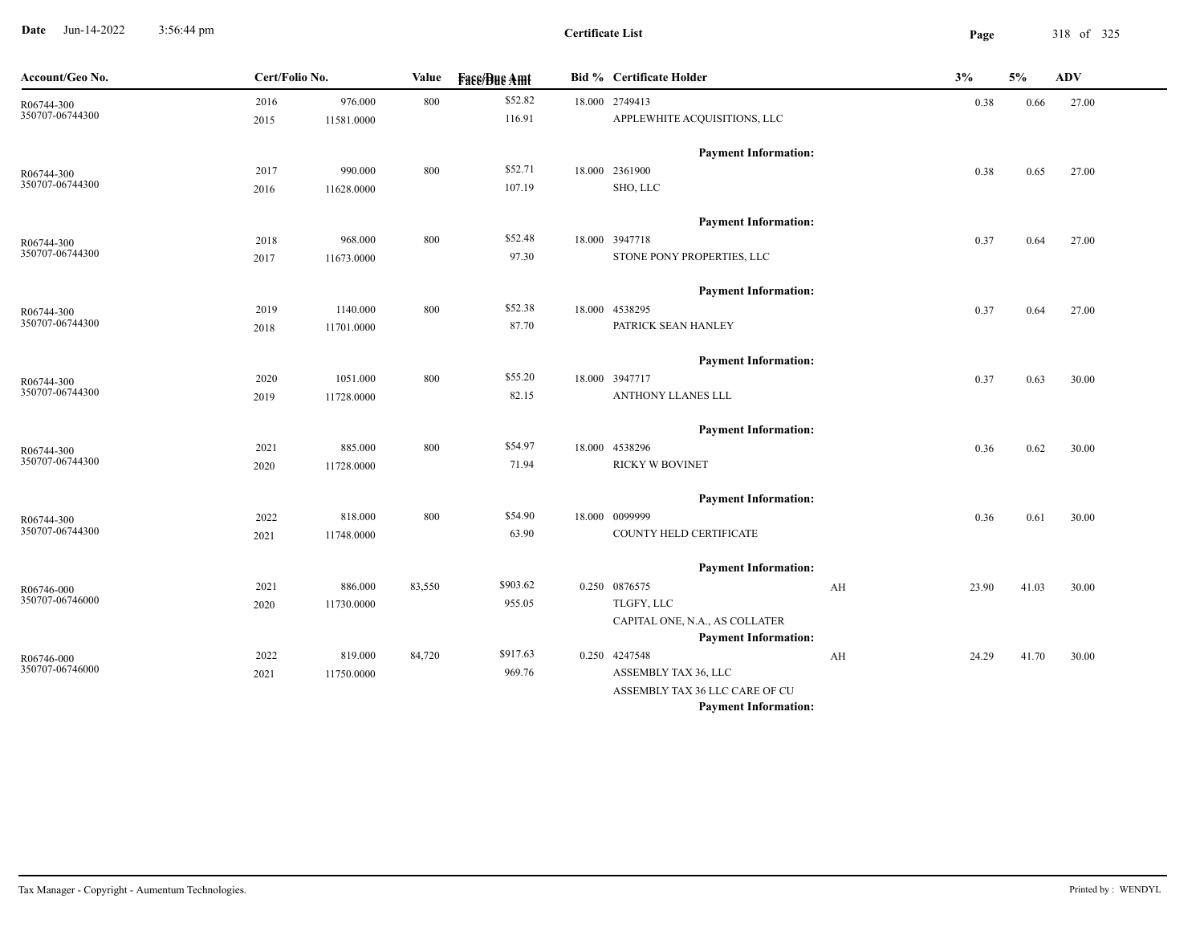**Date** Jun-14-2022 3:56:44 pm **Page** 318 of 325 3:56:44 pm

**Certificate List**

| Account/Geo No.               | Cert/Folio No. |            | Value  | <b>Fass/Bus Amt</b> | <b>Bid % Certificate Holder</b>                               |    | 3%    | 5%    | ADV   |
|-------------------------------|----------------|------------|--------|---------------------|---------------------------------------------------------------|----|-------|-------|-------|
| R06744-300                    | 2016           | 976.000    | 800    | \$52.82             | 18.000 2749413                                                |    | 0.38  | 0.66  | 27.00 |
| 350707-06744300               | 2015           | 11581.0000 |        | 116.91              | APPLEWHITE ACQUISITIONS, LLC                                  |    |       |       |       |
|                               |                |            |        |                     | <b>Payment Information:</b>                                   |    |       |       |       |
| R06744-300                    | 2017           | 990.000    | 800    | \$52.71             | 18.000 2361900                                                |    | 0.38  | 0.65  | 27.00 |
| 350707-06744300               | 2016           | 11628.0000 |        | 107.19              | SHO, LLC                                                      |    |       |       |       |
|                               |                |            |        |                     | <b>Payment Information:</b>                                   |    |       |       |       |
| R06744-300                    | 2018           | 968.000    | 800    | \$52.48             | 18.000 3947718                                                |    | 0.37  | 0.64  | 27.00 |
| 350707-06744300               | 2017           | 11673.0000 |        | 97.30               | STONE PONY PROPERTIES, LLC                                    |    |       |       |       |
|                               |                |            |        |                     | <b>Payment Information:</b>                                   |    |       |       |       |
| R06744-300                    | 2019           | 1140.000   | 800    | \$52.38             | 18.000 4538295                                                |    | 0.37  | 0.64  | 27.00 |
| 350707-06744300               | 2018           | 11701.0000 |        | 87.70               | PATRICK SEAN HANLEY                                           |    |       |       |       |
|                               |                |            |        |                     | <b>Payment Information:</b>                                   |    |       |       |       |
| R06744-300                    | 2020           | 1051.000   | 800    | \$55.20             | 18.000 3947717                                                |    | 0.37  | 0.63  | 30.00 |
| 350707-06744300               | 2019           | 11728.0000 |        | 82.15               | ANTHONY LLANES LLL                                            |    |       |       |       |
|                               |                |            |        |                     | <b>Payment Information:</b>                                   |    |       |       |       |
| R06744-300                    | 2021           | 885.000    | 800    | \$54.97             | 18.000 4538296                                                |    | 0.36  | 0.62  | 30.00 |
| 350707-06744300               | 2020           | 11728.0000 |        | 71.94               | <b>RICKY W BOVINET</b>                                        |    |       |       |       |
|                               |                |            |        |                     | <b>Payment Information:</b>                                   |    |       |       |       |
| R06744-300                    | 2022           | 818.000    | 800    | \$54.90             | 18.000 0099999                                                |    | 0.36  | 0.61  | 30.00 |
| 350707-06744300               | 2021           | 11748.0000 |        | 63.90               | COUNTY HELD CERTIFICATE                                       |    |       |       |       |
|                               |                |            |        |                     | <b>Payment Information:</b>                                   |    |       |       |       |
| R06746-000                    | 2021           | 886.000    | 83,550 | \$903.62            | 0.250 0876575                                                 | AH | 23.90 | 41.03 | 30.00 |
| 350707-06746000               | 2020           | 11730.0000 |        | 955.05              | TLGFY, LLC                                                    |    |       |       |       |
|                               |                |            |        |                     | CAPITAL ONE, N.A., AS COLLATER                                |    |       |       |       |
|                               |                |            |        |                     | <b>Payment Information:</b>                                   |    |       |       |       |
| R06746-000<br>350707-06746000 | 2022           | 819.000    | 84,720 | \$917.63            | 0.250 4247548                                                 | AH | 24.29 | 41.70 | 30.00 |
|                               | 2021           | 11750.0000 |        | 969.76              | ASSEMBLY TAX 36, LLC                                          |    |       |       |       |
|                               |                |            |        |                     | ASSEMBLY TAX 36 LLC CARE OF CU<br><b>Payment Information:</b> |    |       |       |       |
|                               |                |            |        |                     |                                                               |    |       |       |       |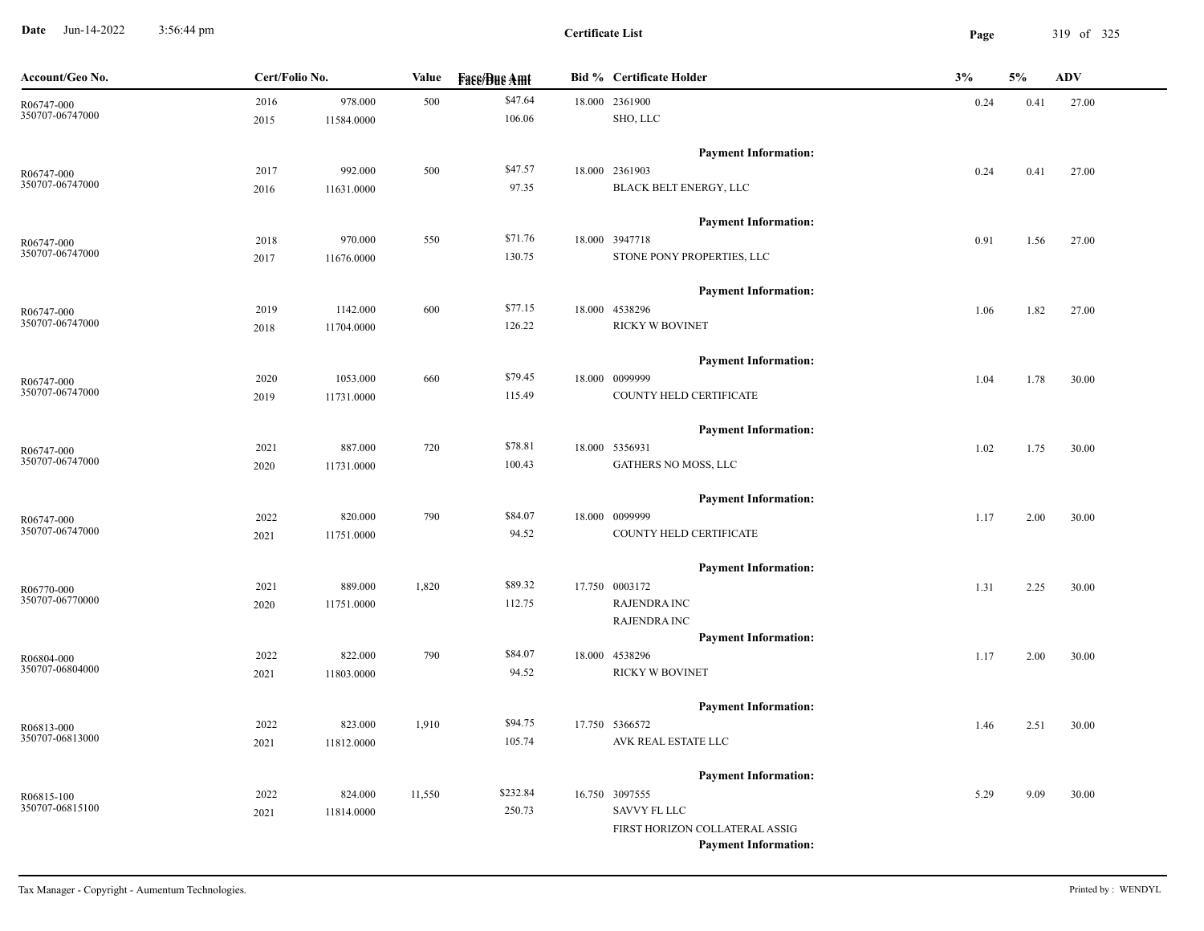**Date** Jun-14-2022 3:56:44 pm **Page** 319 of 325 3:56:44 pm

| Account/Geo No.               | Cert/Folio No. |            | Value  | <b>Face/Bue Amt</b> | <b>Bid % Certificate Holder</b>               | 3%   | 5%   | $\bf{ADV}$ |
|-------------------------------|----------------|------------|--------|---------------------|-----------------------------------------------|------|------|------------|
| R06747-000                    | 2016           | 978.000    | 500    | \$47.64             | 18.000 2361900                                | 0.24 | 0.41 | 27.00      |
| 350707-06747000               | 2015           | 11584.0000 |        | 106.06              | SHO, LLC                                      |      |      |            |
|                               |                |            |        |                     | <b>Payment Information:</b>                   |      |      |            |
| R06747-000                    | 2017           | 992.000    | 500    | \$47.57             | 18.000 2361903                                | 0.24 | 0.41 | 27.00      |
| 350707-06747000               | 2016           | 11631.0000 |        | 97.35               | BLACK BELT ENERGY, LLC                        |      |      |            |
|                               |                |            |        |                     | <b>Payment Information:</b>                   |      |      |            |
| R06747-000                    | 2018           | 970.000    | 550    | \$71.76             | 18.000 3947718                                | 0.91 | 1.56 | 27.00      |
| 350707-06747000               | 2017           | 11676.0000 |        | 130.75              | STONE PONY PROPERTIES, LLC                    |      |      |            |
|                               |                |            |        |                     | <b>Payment Information:</b>                   |      |      |            |
| R06747-000                    | 2019           | 1142.000   | 600    | \$77.15             | 18.000 4538296                                | 1.06 | 1.82 | 27.00      |
| 350707-06747000               | 2018           | 11704.0000 |        | 126.22              | RICKY W BOVINET                               |      |      |            |
|                               |                |            |        |                     | <b>Payment Information:</b>                   |      |      |            |
|                               | 2020           | 1053.000   | 660    | \$79.45             | 18.000 0099999                                | 1.04 | 1.78 | 30.00      |
| R06747-000<br>350707-06747000 | 2019           | 11731.0000 |        | 115.49              | COUNTY HELD CERTIFICATE                       |      |      |            |
|                               |                |            |        |                     |                                               |      |      |            |
|                               |                |            |        |                     | <b>Payment Information:</b>                   |      |      |            |
| R06747-000<br>350707-06747000 | 2021           | 887.000    | 720    | \$78.81             | 18.000 5356931                                | 1.02 | 1.75 | 30.00      |
|                               | 2020           | 11731.0000 |        | 100.43              | GATHERS NO MOSS, LLC                          |      |      |            |
|                               |                |            |        |                     | <b>Payment Information:</b>                   |      |      |            |
| R06747-000                    | 2022           | 820.000    | 790    | \$84.07             | 18.000 0099999                                | 1.17 | 2.00 | 30.00      |
| 350707-06747000               | 2021           | 11751.0000 |        | 94.52               | COUNTY HELD CERTIFICATE                       |      |      |            |
|                               |                |            |        |                     | <b>Payment Information:</b>                   |      |      |            |
| R06770-000                    | 2021           | 889.000    | 1,820  | \$89.32             | 17.750 0003172                                | 1.31 | 2.25 | 30.00      |
| 350707-06770000               | 2020           | 11751.0000 |        | 112.75              | <b>RAJENDRA INC</b>                           |      |      |            |
|                               |                |            |        |                     | RAJENDRA INC                                  |      |      |            |
|                               |                |            |        |                     | <b>Payment Information:</b>                   |      |      |            |
| R06804-000                    | 2022           | 822.000    | 790    | \$84.07             | 18.000 4538296                                | 1.17 | 2.00 | 30.00      |
| 350707-06804000               | 2021           | 11803.0000 |        | 94.52               | <b>RICKY W BOVINET</b>                        |      |      |            |
|                               |                |            |        |                     | <b>Payment Information:</b>                   |      |      |            |
| R06813-000                    | 2022           | 823.000    | 1,910  | \$94.75             | 17.750 5366572                                | 1.46 | 2.51 | 30.00      |
| 350707-06813000               | 2021           | 11812.0000 |        | 105.74              | AVK REAL ESTATE LLC                           |      |      |            |
|                               |                |            |        |                     |                                               |      |      |            |
|                               | 2022           | 824.000    | 11,550 | \$232.84            | <b>Payment Information:</b><br>16.750 3097555 | 5.29 | 9.09 | 30.00      |
| R06815-100<br>350707-06815100 | 2021           | 11814.0000 |        | 250.73              | <b>SAVVY FL LLC</b>                           |      |      |            |
|                               |                |            |        |                     | FIRST HORIZON COLLATERAL ASSIG                |      |      |            |
|                               |                |            |        |                     | <b>Payment Information:</b>                   |      |      |            |
|                               |                |            |        |                     |                                               |      |      |            |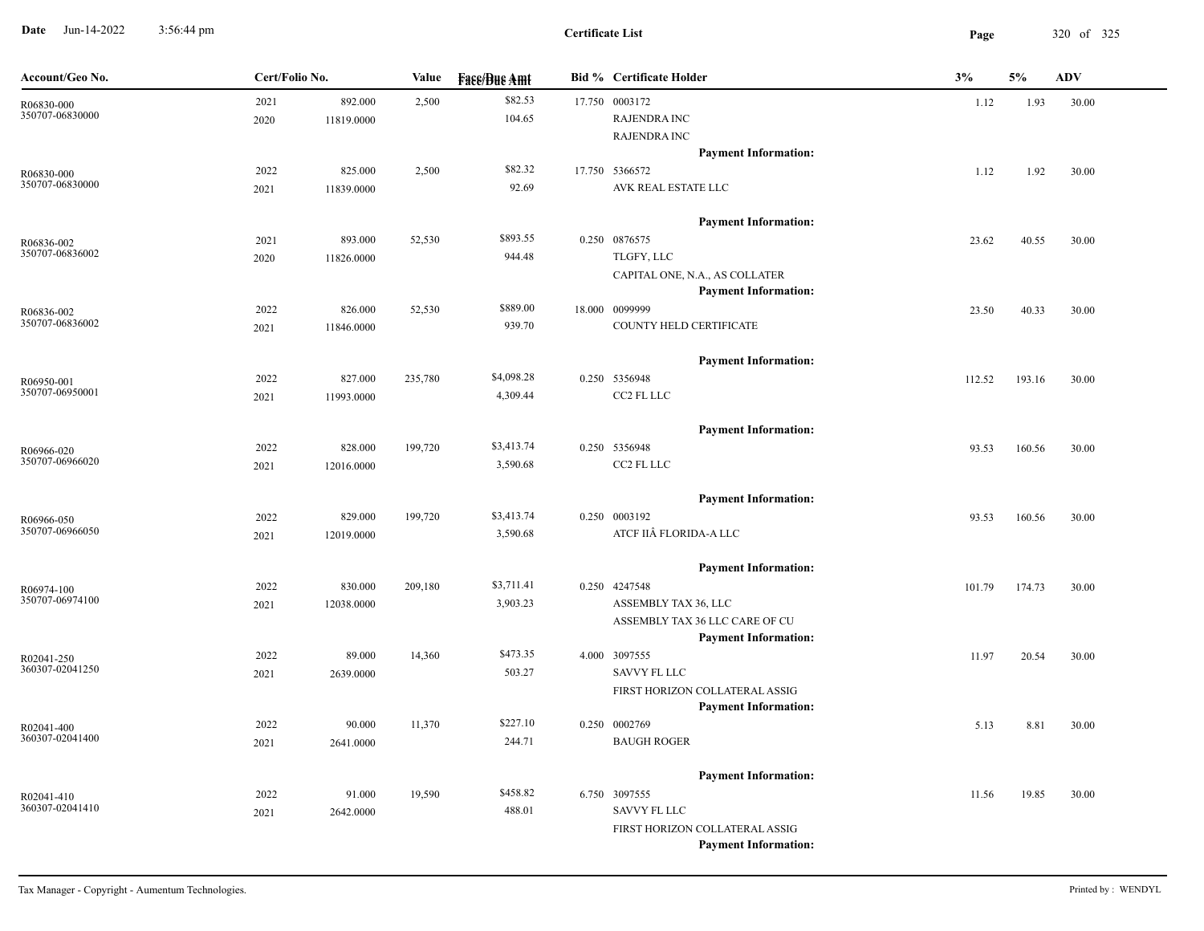**Date** Jun-14-2022 3:56:44 pm **Page** 320 of 325 3:56:44 pm

| Account/Geo No.               | Cert/Folio No. |            | Value   | <b>Face/Bue Amt</b> | Bid % Certificate Holder       | 3%     | 5%     | <b>ADV</b> |
|-------------------------------|----------------|------------|---------|---------------------|--------------------------------|--------|--------|------------|
| R06830-000                    | 2021           | 892.000    | 2,500   | \$82.53             | 17.750 0003172                 | 1.12   | 1.93   | 30.00      |
| 350707-06830000               | 2020           | 11819.0000 |         | 104.65              | <b>RAJENDRA INC</b>            |        |        |            |
|                               |                |            |         |                     | <b>RAJENDRA INC</b>            |        |        |            |
|                               |                |            |         |                     | <b>Payment Information:</b>    |        |        |            |
| R06830-000                    | 2022           | 825.000    | 2,500   | \$82.32             | 17.750 5366572                 | 1.12   | 1.92   | 30.00      |
| 350707-06830000               | 2021           | 11839.0000 |         | 92.69               | AVK REAL ESTATE LLC            |        |        |            |
|                               |                |            |         |                     | <b>Payment Information:</b>    |        |        |            |
| R06836-002                    | 2021           | 893.000    | 52,530  | \$893.55            | 0.250 0876575                  | 23.62  | 40.55  | 30.00      |
| 350707-06836002               | 2020           | 11826.0000 |         | 944.48              | TLGFY, LLC                     |        |        |            |
|                               |                |            |         |                     | CAPITAL ONE, N.A., AS COLLATER |        |        |            |
|                               |                |            |         |                     | <b>Payment Information:</b>    |        |        |            |
| R06836-002                    | 2022           | 826.000    | 52,530  | \$889.00            | 18.000 0099999                 | 23.50  | 40.33  | 30.00      |
| 350707-06836002               | 2021           | 11846.0000 |         | 939.70              | COUNTY HELD CERTIFICATE        |        |        |            |
|                               |                |            |         |                     | <b>Payment Information:</b>    |        |        |            |
| R06950-001                    | 2022           | 827.000    | 235,780 | \$4,098.28          | 0.250 5356948                  | 112.52 | 193.16 | 30.00      |
| 350707-06950001               | 2021           | 11993.0000 |         | 4,309.44            | CC2 FL LLC                     |        |        |            |
|                               |                |            |         |                     | <b>Payment Information:</b>    |        |        |            |
|                               | 2022           | 828.000    | 199,720 | \$3,413.74          | 0.250 5356948                  | 93.53  | 160.56 | 30.00      |
| R06966-020<br>350707-06966020 | 2021           | 12016.0000 |         | 3,590.68            | CC2 FL LLC                     |        |        |            |
|                               |                |            |         |                     |                                |        |        |            |
|                               |                |            |         |                     | <b>Payment Information:</b>    |        |        |            |
| R06966-050                    | 2022           | 829.000    | 199,720 | \$3,413.74          | 0.250 0003192                  | 93.53  | 160.56 | 30.00      |
| 350707-06966050               | 2021           | 12019.0000 |         | 3,590.68            | ATCF IIÂ FLORIDA-A LLC         |        |        |            |
|                               |                |            |         |                     | <b>Payment Information:</b>    |        |        |            |
| R06974-100                    | 2022           | 830.000    | 209,180 | \$3,711.41          | 0.250 4247548                  | 101.79 | 174.73 | 30.00      |
| 350707-06974100               | 2021           | 12038.0000 |         | 3,903.23            | ASSEMBLY TAX 36, LLC           |        |        |            |
|                               |                |            |         |                     | ASSEMBLY TAX 36 LLC CARE OF CU |        |        |            |
|                               |                |            |         |                     | <b>Payment Information:</b>    |        |        |            |
| R02041-250                    | 2022           | 89.000     | 14,360  | \$473.35            | 4.000 3097555                  | 11.97  | 20.54  | 30.00      |
| 360307-02041250               | 2021           | 2639.0000  |         | 503.27              | <b>SAVVY FL LLC</b>            |        |        |            |
|                               |                |            |         |                     | FIRST HORIZON COLLATERAL ASSIG |        |        |            |
|                               |                |            |         |                     | <b>Payment Information:</b>    |        |        |            |
| R02041-400<br>360307-02041400 | 2022           | 90.000     | 11,370  | \$227.10            | 0.250 0002769                  | 5.13   | 8.81   | 30.00      |
|                               | 2021           | 2641.0000  |         | 244.71              | <b>BAUGH ROGER</b>             |        |        |            |
|                               |                |            |         |                     | <b>Payment Information:</b>    |        |        |            |
| R02041-410                    | 2022           | 91.000     | 19,590  | \$458.82            | 6.750 3097555                  | 11.56  | 19.85  | 30.00      |
| 360307-02041410               | 2021           | 2642.0000  |         | 488.01              | SAVVY FL LLC                   |        |        |            |
|                               |                |            |         |                     | FIRST HORIZON COLLATERAL ASSIG |        |        |            |
|                               |                |            |         |                     | <b>Payment Information:</b>    |        |        |            |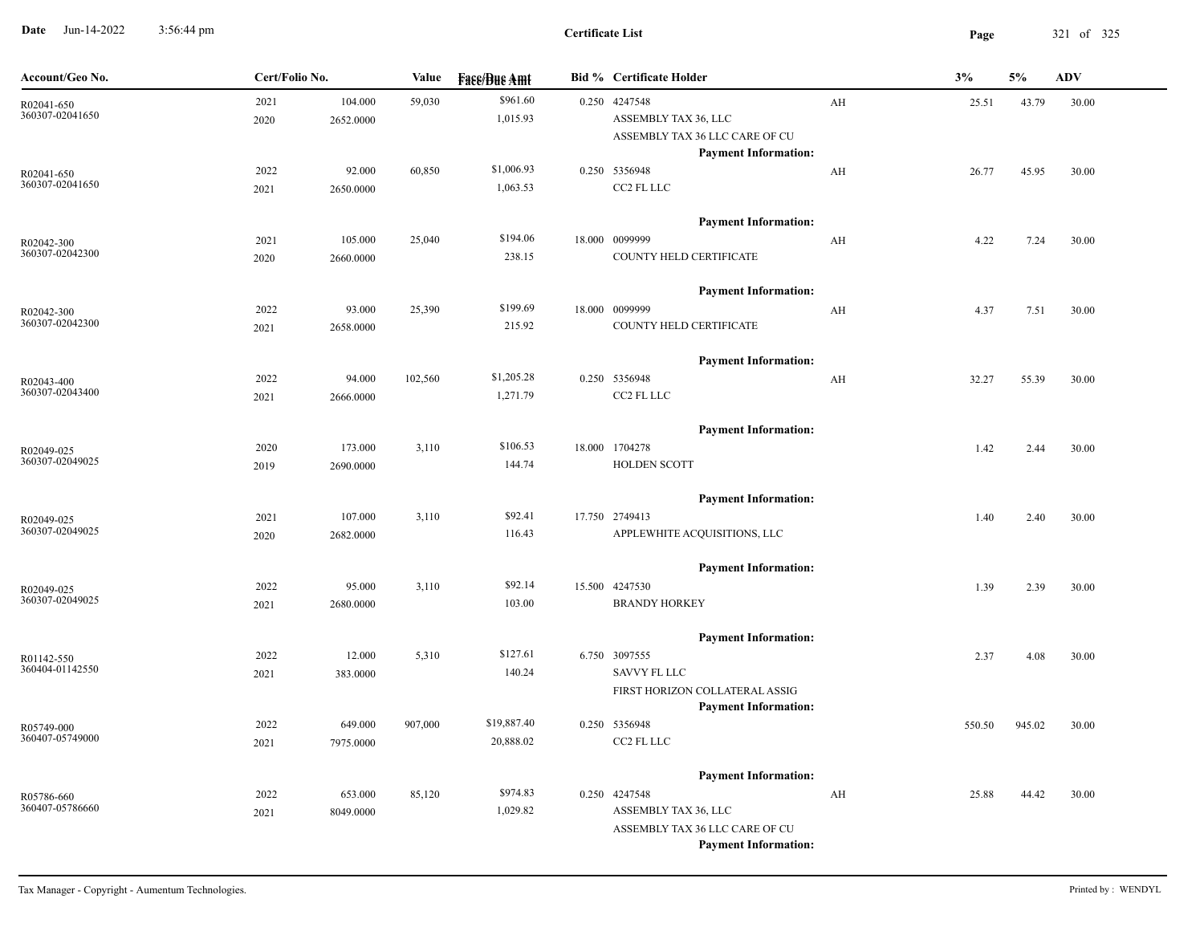**Date** Jun-14-2022 3:56:44 pm **Page** 321 of 325 3:56:44 pm

| Account/Geo No.               | Cert/Folio No. |                      | Value   | <b>Face/Bue Amt</b>    | <b>Bid % Certificate Holder</b>                                                                        |    | 3%     | 5%     | <b>ADV</b> |
|-------------------------------|----------------|----------------------|---------|------------------------|--------------------------------------------------------------------------------------------------------|----|--------|--------|------------|
| R02041-650<br>360307-02041650 | 2021<br>2020   | 104.000<br>2652.0000 | 59,030  | \$961.60<br>1,015.93   | 0.250 4247548<br>ASSEMBLY TAX 36, LLC<br>ASSEMBLY TAX 36 LLC CARE OF CU<br><b>Payment Information:</b> | AH | 25.51  | 43.79  | 30.00      |
| R02041-650<br>360307-02041650 | 2022<br>2021   | 92.000<br>2650.0000  | 60,850  | \$1,006.93<br>1,063.53 | 0.250 5356948<br>CC2 FL LLC                                                                            | AH | 26.77  | 45.95  | 30.00      |
| R02042-300<br>360307-02042300 | 2021<br>2020   | 105.000<br>2660.0000 | 25,040  | \$194.06<br>238.15     | <b>Payment Information:</b><br>18.000 0099999<br>COUNTY HELD CERTIFICATE                               | AH | 4.22   | 7.24   | 30.00      |
| R02042-300                    | 2022           | 93.000               | 25,390  | \$199.69               | <b>Payment Information:</b><br>18.000 0099999                                                          | AH | 4.37   | 7.51   | 30.00      |
| 360307-02042300               | 2021           | 2658.0000            |         | 215.92                 | COUNTY HELD CERTIFICATE<br><b>Payment Information:</b>                                                 |    |        |        |            |
| R02043-400<br>360307-02043400 | 2022<br>2021   | 94.000<br>2666.0000  | 102,560 | \$1,205.28<br>1,271.79 | 0.250 5356948<br>CC2 FL LLC                                                                            | AH | 32.27  | 55.39  | 30.00      |
| R02049-025<br>360307-02049025 | 2020<br>2019   | 173.000<br>2690.0000 | 3,110   | \$106.53<br>144.74     | <b>Payment Information:</b><br>18.000 1704278<br><b>HOLDEN SCOTT</b>                                   |    | 1.42   | 2.44   | 30.00      |
| R02049-025<br>360307-02049025 | 2021<br>2020   | 107.000<br>2682.0000 | 3,110   | \$92.41<br>116.43      | <b>Payment Information:</b><br>17.750 2749413<br>APPLEWHITE ACQUISITIONS, LLC                          |    | 1.40   | 2.40   | 30.00      |
| R02049-025<br>360307-02049025 | 2022<br>2021   | 95.000<br>2680.0000  | 3,110   | \$92.14<br>103.00      | <b>Payment Information:</b><br>15.500 4247530<br><b>BRANDY HORKEY</b>                                  |    | 1.39   | 2.39   | 30.00      |
| R01142-550<br>360404-01142550 | 2022<br>2021   | 12.000<br>383.0000   | 5,310   | \$127.61<br>140.24     | <b>Payment Information:</b><br>6.750 3097555<br>SAVVY FL LLC                                           |    | 2.37   | 4.08   | 30.00      |
| R05749-000<br>360407-05749000 | 2022           | 649.000              | 907,000 | \$19,887.40            | FIRST HORIZON COLLATERAL ASSIG<br><b>Payment Information:</b><br>0.250 5356948                         |    | 550.50 | 945.02 | 30.00      |
|                               | 2021           | 7975.0000            |         | 20,888.02<br>\$974.83  | CC2 FL LLC<br><b>Payment Information:</b><br>0.250 4247548                                             |    |        |        |            |
| R05786-660<br>360407-05786660 | 2022<br>2021   | 653.000<br>8049.0000 | 85,120  | 1,029.82               | ASSEMBLY TAX 36, LLC<br>ASSEMBLY TAX 36 LLC CARE OF CU<br><b>Payment Information:</b>                  | AH | 25.88  | 44.42  | 30.00      |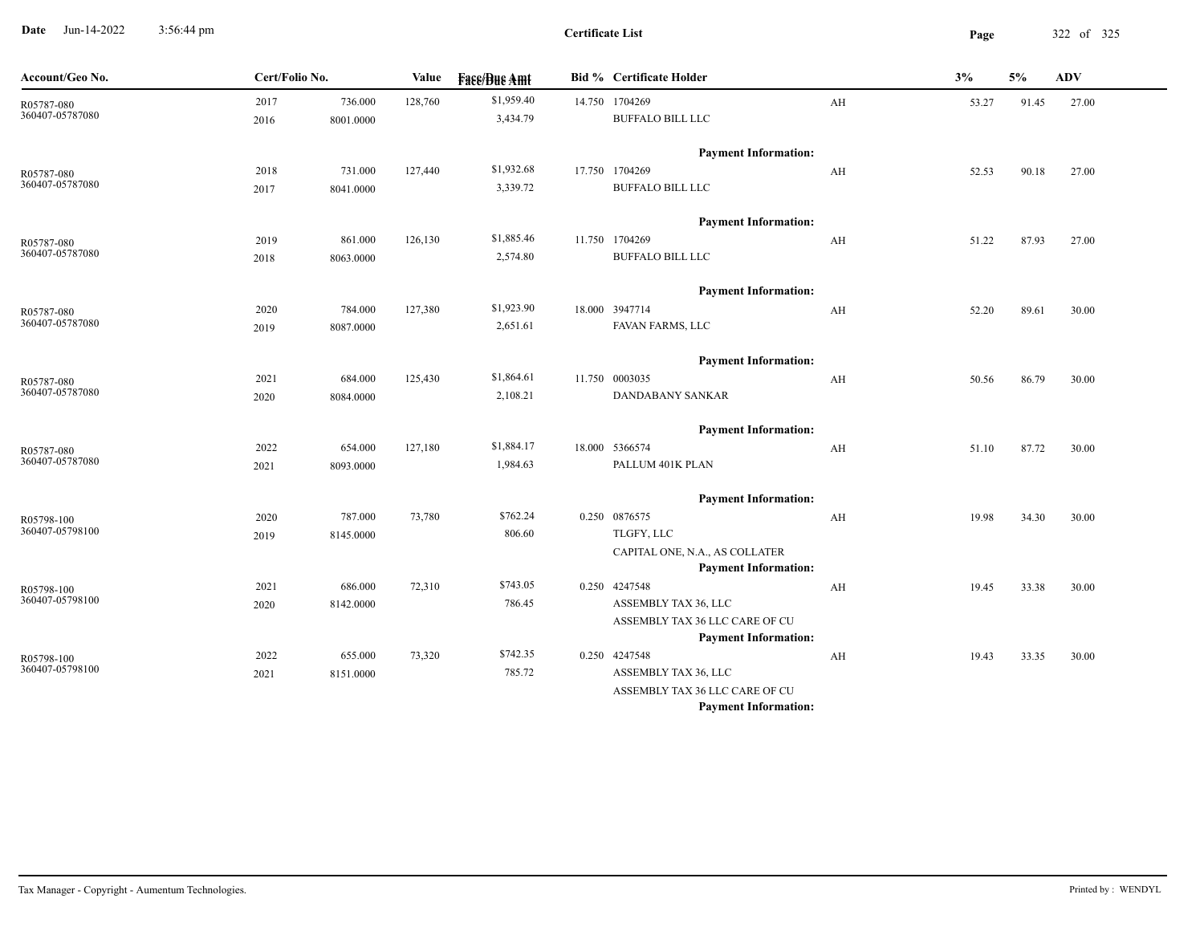**Date** Jun-14-2022 3:56:44 pm **Page** 322 of 325 3:56:44 pm

| Account/Geo No.               | Cert/Folio No. |           | Value   | <b>Fase/Bue Amt</b> | <b>Bid % Certificate Holder</b>                               |    | 3%    | 5%    | <b>ADV</b> |
|-------------------------------|----------------|-----------|---------|---------------------|---------------------------------------------------------------|----|-------|-------|------------|
| R05787-080                    | 2017           | 736.000   | 128,760 | \$1,959.40          | 14.750 1704269                                                | AH | 53.27 | 91.45 | 27.00      |
| 360407-05787080               | 2016           | 8001.0000 |         | 3,434.79            | <b>BUFFALO BILL LLC</b>                                       |    |       |       |            |
|                               |                |           |         |                     | <b>Payment Information:</b>                                   |    |       |       |            |
| R05787-080<br>360407-05787080 | 2018           | 731.000   | 127,440 | \$1,932.68          | 17.750 1704269                                                | AH | 52.53 | 90.18 | 27.00      |
|                               | 2017           | 8041.0000 |         | 3,339.72            | <b>BUFFALO BILL LLC</b>                                       |    |       |       |            |
|                               |                |           |         |                     | <b>Payment Information:</b>                                   |    |       |       |            |
| R05787-080                    | 2019           | 861.000   | 126,130 | \$1,885.46          | 11.750 1704269                                                | AH | 51.22 | 87.93 | 27.00      |
| 360407-05787080               | 2018           | 8063.0000 |         | 2,574.80            | <b>BUFFALO BILL LLC</b>                                       |    |       |       |            |
|                               |                |           |         |                     | <b>Payment Information:</b>                                   |    |       |       |            |
| R05787-080                    | 2020           | 784.000   | 127,380 | \$1,923.90          | 18.000 3947714                                                | AH | 52.20 | 89.61 | 30.00      |
| 360407-05787080               | 2019           | 8087.0000 |         | 2,651.61            | FAVAN FARMS, LLC                                              |    |       |       |            |
|                               |                |           |         |                     | <b>Payment Information:</b>                                   |    |       |       |            |
| R05787-080                    | 2021           | 684.000   | 125,430 | \$1,864.61          | 11.750 0003035                                                | AH | 50.56 | 86.79 | 30.00      |
| 360407-05787080               | 2020           | 8084.0000 |         | 2,108.21            | DANDABANY SANKAR                                              |    |       |       |            |
|                               |                |           |         |                     | <b>Payment Information:</b>                                   |    |       |       |            |
| R05787-080                    | 2022           | 654.000   | 127,180 | \$1,884.17          | 18.000 5366574                                                | AH | 51.10 | 87.72 | 30.00      |
| 360407-05787080               | 2021           | 8093.0000 |         | 1,984.63            | PALLUM 401K PLAN                                              |    |       |       |            |
|                               |                |           |         |                     | <b>Payment Information:</b>                                   |    |       |       |            |
| R05798-100                    | 2020           | 787.000   | 73,780  | \$762.24            | 0.250 0876575                                                 | AH | 19.98 | 34.30 | 30.00      |
| 360407-05798100               | 2019           | 8145.0000 |         | 806.60              | TLGFY, LLC                                                    |    |       |       |            |
|                               |                |           |         |                     | CAPITAL ONE, N.A., AS COLLATER<br><b>Payment Information:</b> |    |       |       |            |
|                               | 2021           | 686.000   | 72,310  | \$743.05            | 0.250 4247548                                                 | AH | 19.45 | 33.38 | 30.00      |
| R05798-100<br>360407-05798100 | 2020           | 8142.0000 |         | 786.45              | ASSEMBLY TAX 36, LLC                                          |    |       |       |            |
|                               |                |           |         |                     | ASSEMBLY TAX 36 LLC CARE OF CU                                |    |       |       |            |
|                               |                |           |         |                     | <b>Payment Information:</b>                                   |    |       |       |            |
| R05798-100                    | 2022           | 655.000   | 73,320  | \$742.35            | 0.250 4247548                                                 | AH | 19.43 | 33.35 | 30.00      |
| 360407-05798100               | 2021           | 8151.0000 |         | 785.72              | ASSEMBLY TAX 36, LLC                                          |    |       |       |            |
|                               |                |           |         |                     | ASSEMBLY TAX 36 LLC CARE OF CU                                |    |       |       |            |
|                               |                |           |         |                     | <b>Payment Information:</b>                                   |    |       |       |            |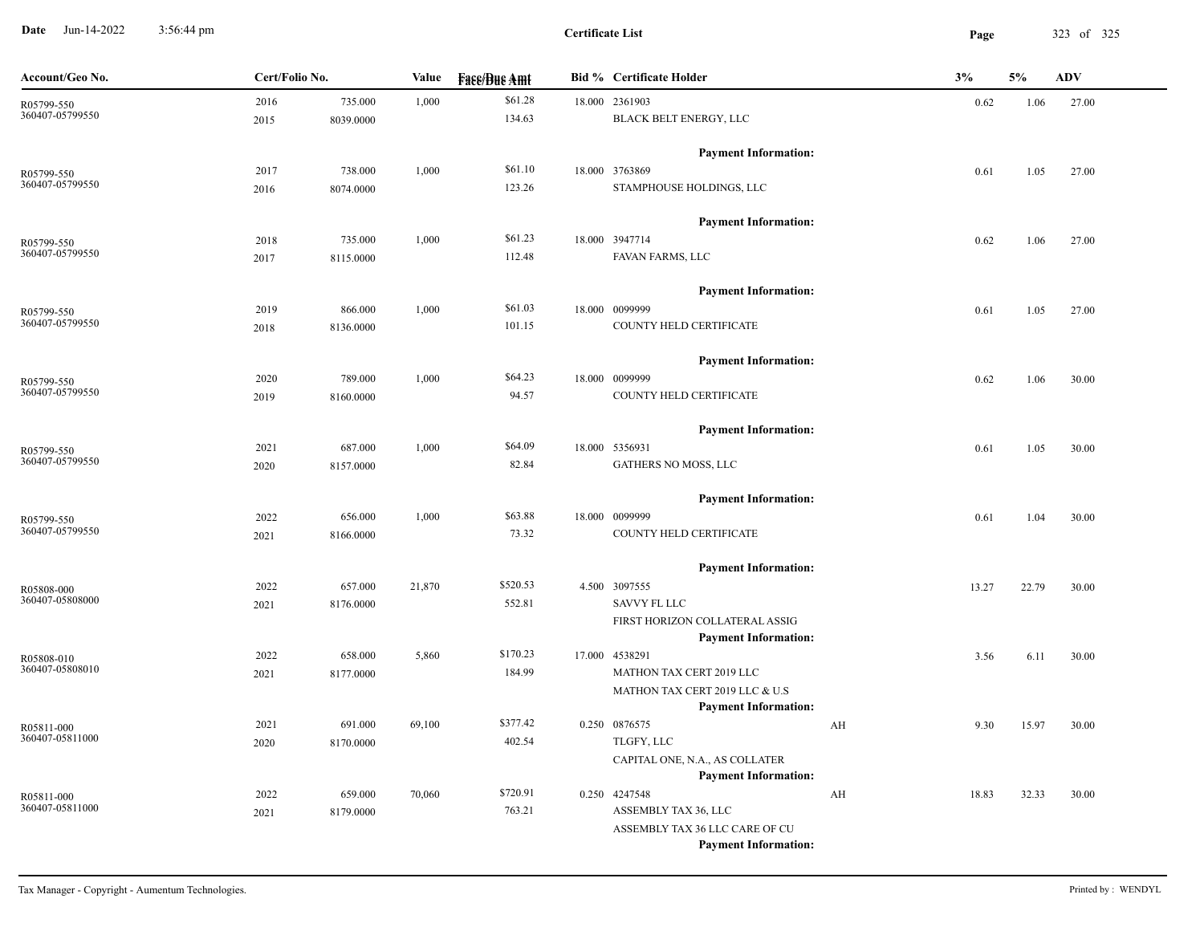**Date** Jun-14-2022 3:56:44 pm **Page** 323 of 325 3:56:44 pm

**Certificate List**

| Account/Geo No.               | Cert/Folio No. |           | Value  | <b>Face/Bue Amt</b> | <b>Bid % Certificate Holder</b>                               | 3%          | 5%    | <b>ADV</b> |
|-------------------------------|----------------|-----------|--------|---------------------|---------------------------------------------------------------|-------------|-------|------------|
| R05799-550                    | 2016           | 735.000   | 1,000  | \$61.28             | 18.000 2361903                                                | 0.62        | 1.06  | 27.00      |
| 360407-05799550               | 2015           | 8039.0000 |        | 134.63              | BLACK BELT ENERGY, LLC                                        |             |       |            |
|                               |                |           |        |                     | <b>Payment Information:</b>                                   |             |       |            |
| R05799-550                    | 2017           | 738.000   | 1,000  | \$61.10             | 18.000 3763869                                                | 0.61        | 1.05  | 27.00      |
| 360407-05799550               | 2016           | 8074.0000 |        | 123.26              | STAMPHOUSE HOLDINGS, LLC                                      |             |       |            |
|                               |                |           |        |                     | <b>Payment Information:</b>                                   |             |       |            |
| R05799-550                    | 2018           | 735.000   | 1,000  | \$61.23             | 18.000 3947714                                                | 0.62        | 1.06  | 27.00      |
| 360407-05799550               | 2017           | 8115.0000 |        | 112.48              | FAVAN FARMS, LLC                                              |             |       |            |
|                               |                |           |        |                     | <b>Payment Information:</b>                                   |             |       |            |
| R05799-550                    | 2019           | 866.000   | 1,000  | \$61.03             | 18.000 0099999                                                | 0.61        | 1.05  | 27.00      |
| 360407-05799550               | 2018           | 8136.0000 |        | 101.15              | COUNTY HELD CERTIFICATE                                       |             |       |            |
|                               |                |           |        |                     | <b>Payment Information:</b>                                   |             |       |            |
| R05799-550                    | 2020           | 789.000   | 1,000  | \$64.23             | 18.000 0099999                                                | 0.62        | 1.06  | 30.00      |
| 360407-05799550               | 2019           | 8160.0000 |        | 94.57               | COUNTY HELD CERTIFICATE                                       |             |       |            |
|                               |                |           |        |                     | <b>Payment Information:</b>                                   |             |       |            |
| R05799-550                    | 2021           | 687.000   | 1,000  | \$64.09             | 18.000 5356931                                                | 0.61        | 1.05  | 30.00      |
| 360407-05799550               | 2020           | 8157.0000 |        | 82.84               | GATHERS NO MOSS, LLC                                          |             |       |            |
|                               |                |           |        |                     | <b>Payment Information:</b>                                   |             |       |            |
| R05799-550                    | 2022           | 656.000   | 1,000  | \$63.88             | 18.000 0099999                                                | 0.61        | 1.04  | 30.00      |
| 360407-05799550               | 2021           | 8166.0000 |        | 73.32               | COUNTY HELD CERTIFICATE                                       |             |       |            |
|                               |                |           |        |                     | <b>Payment Information:</b>                                   |             |       |            |
| R05808-000                    | 2022           | 657.000   | 21,870 | \$520.53            | 4.500 3097555                                                 | 13.27       | 22.79 | 30.00      |
| 360407-05808000               | 2021           | 8176.0000 |        | 552.81              | <b>SAVVY FL LLC</b>                                           |             |       |            |
|                               |                |           |        |                     | FIRST HORIZON COLLATERAL ASSIG                                |             |       |            |
|                               |                |           |        |                     | <b>Payment Information:</b>                                   |             |       |            |
| R05808-010<br>360407-05808010 | 2022           | 658.000   | 5,860  | \$170.23            | 17.000 4538291                                                | 3.56        | 6.11  | 30.00      |
|                               | 2021           | 8177.0000 |        | 184.99              | MATHON TAX CERT 2019 LLC                                      |             |       |            |
|                               |                |           |        |                     | MATHON TAX CERT 2019 LLC & U.S<br><b>Payment Information:</b> |             |       |            |
|                               | 2021           | 691.000   | 69,100 | \$377.42            | 0.250 0876575                                                 | AH<br>9.30  | 15.97 | 30.00      |
| R05811-000<br>360407-05811000 | 2020           | 8170.0000 |        | 402.54              | TLGFY, LLC                                                    |             |       |            |
|                               |                |           |        |                     | CAPITAL ONE, N.A., AS COLLATER                                |             |       |            |
|                               |                |           |        |                     | <b>Payment Information:</b>                                   |             |       |            |
| R05811-000                    | 2022           | 659.000   | 70,060 | \$720.91            | 0.250 4247548                                                 | AH<br>18.83 | 32.33 | 30.00      |
| 360407-05811000               | 2021           | 8179.0000 |        | 763.21              | ASSEMBLY TAX 36, LLC                                          |             |       |            |
|                               |                |           |        |                     | ASSEMBLY TAX 36 LLC CARE OF CU                                |             |       |            |
|                               |                |           |        |                     | <b>Payment Information:</b>                                   |             |       |            |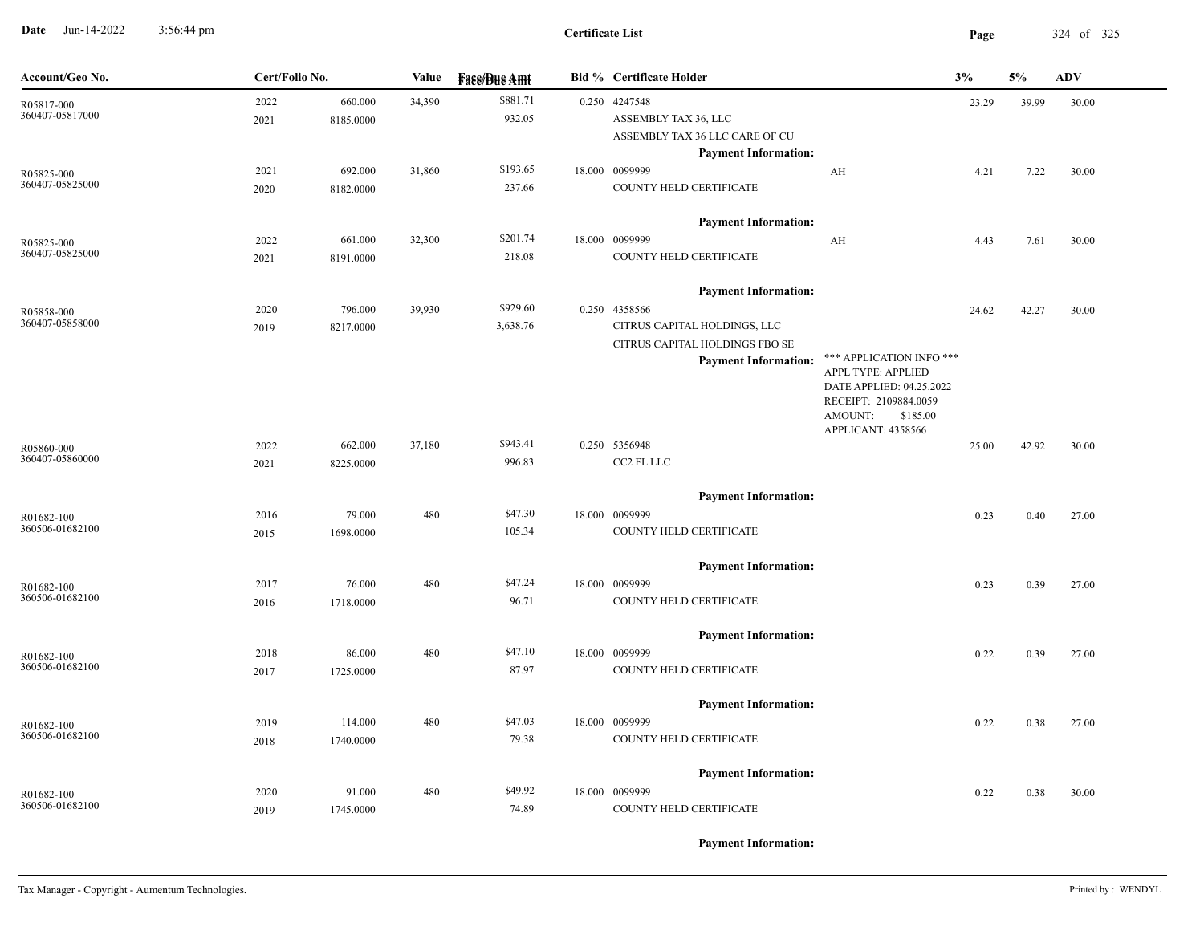**Date** Jun-14-2022 3:56:44 pm **Page** 324 of 325 3:56:44 pm

| Account/Geo No.               |              | Cert/Folio No.       |        | <b>Fase/Bue Amt</b>  | <b>Bid % Certificate Holder</b>                                                                                                               |                                                                                                                            | 3%    | 5%    | <b>ADV</b> |
|-------------------------------|--------------|----------------------|--------|----------------------|-----------------------------------------------------------------------------------------------------------------------------------------------|----------------------------------------------------------------------------------------------------------------------------|-------|-------|------------|
| R05817-000<br>360407-05817000 | 2022<br>2021 | 660.000<br>8185.0000 | 34,390 | \$881.71<br>932.05   | 0.250 4247548<br>ASSEMBLY TAX 36, LLC<br>ASSEMBLY TAX 36 LLC CARE OF CU<br><b>Payment Information:</b>                                        |                                                                                                                            | 23.29 | 39.99 | 30.00      |
| R05825-000<br>360407-05825000 | 2021<br>2020 | 692.000<br>8182.0000 | 31,860 | \$193.65<br>237.66   | 18.000 0099999<br>COUNTY HELD CERTIFICATE                                                                                                     | AH                                                                                                                         | 4.21  | 7.22  | 30.00      |
| R05825-000<br>360407-05825000 | 2022<br>2021 | 661.000<br>8191.0000 | 32,300 | \$201.74<br>218.08   | <b>Payment Information:</b><br>18.000 0099999<br>COUNTY HELD CERTIFICATE                                                                      | AH                                                                                                                         | 4.43  | 7.61  | 30.00      |
| R05858-000<br>360407-05858000 | 2020<br>2019 | 796.000<br>8217.0000 | 39,930 | \$929.60<br>3,638.76 | <b>Payment Information:</b><br>0.250 4358566<br>CITRUS CAPITAL HOLDINGS, LLC<br>CITRUS CAPITAL HOLDINGS FBO SE<br><b>Payment Information:</b> | *** APPLICATION INFO ***<br>APPL TYPE: APPLIED<br>DATE APPLIED: 04.25.2022<br>RECEIPT: 2109884.0059<br>AMOUNT:<br>\$185.00 | 24.62 | 42.27 | 30.00      |
| R05860-000<br>360407-05860000 | 2022<br>2021 | 662.000<br>8225.0000 | 37,180 | \$943.41<br>996.83   | 0.250 5356948<br>CC2 FL LLC                                                                                                                   | APPLICANT: 4358566                                                                                                         | 25.00 | 42.92 | 30.00      |
| R01682-100<br>360506-01682100 | 2016<br>2015 | 79.000<br>1698.0000  | 480    | \$47.30<br>105.34    | <b>Payment Information:</b><br>18.000 0099999<br>COUNTY HELD CERTIFICATE                                                                      |                                                                                                                            | 0.23  | 0.40  | 27.00      |
| R01682-100<br>360506-01682100 | 2017<br>2016 | 76.000<br>1718.0000  | 480    | \$47.24<br>96.71     | <b>Payment Information:</b><br>18.000 0099999<br>COUNTY HELD CERTIFICATE                                                                      |                                                                                                                            | 0.23  | 0.39  | 27.00      |
| R01682-100<br>360506-01682100 | 2018<br>2017 | 86.000<br>1725.0000  | 480    | \$47.10<br>87.97     | <b>Payment Information:</b><br>18.000 0099999<br>COUNTY HELD CERTIFICATE                                                                      |                                                                                                                            | 0.22  | 0.39  | 27.00      |
| R01682-100<br>360506-01682100 | 2019<br>2018 | 114.000<br>1740.0000 | 480    | \$47.03<br>79.38     | <b>Payment Information:</b><br>18.000 0099999<br>COUNTY HELD CERTIFICATE                                                                      |                                                                                                                            | 0.22  | 0.38  | 27.00      |
| R01682-100<br>360506-01682100 | 2020<br>2019 | 91.000<br>1745.0000  | 480    | \$49.92<br>74.89     | <b>Payment Information:</b><br>18.000 0099999<br>COUNTY HELD CERTIFICATE                                                                      |                                                                                                                            | 0.22  | 0.38  | 30.00      |

**Payment Information:**